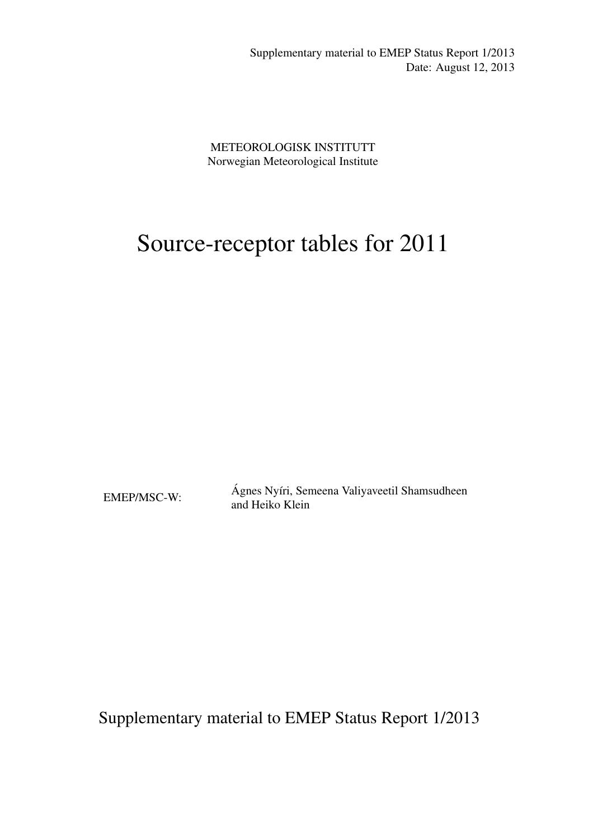Supplementary material to EMEP Status Report 1/2013 Date: August 12, 2013

METEOROLOGISK INSTITUTT Norwegian Meteorological Institute

# Source-receptor tables for 2011

EMEP/MSC-W: Ágnes Nyíri, Semeena Valiyaveetil Shamsudheen and Heiko Klein

Supplementary material to EMEP Status Report 1/2013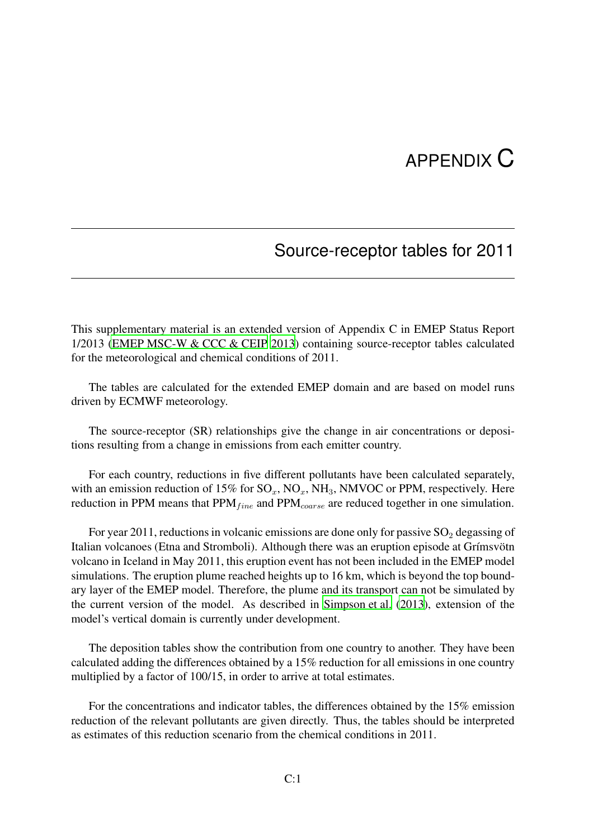## APPENDIX C

## Source-receptor tables for 2011

<span id="page-2-0"></span>This supplementary material is an extended version of Appendix C in EMEP Status Report 1/2013 [\(EMEP MSC-W & CCC & CEIP 2013\)](#page-6-0) containing source-receptor tables calculated for the meteorological and chemical conditions of 2011.

The tables are calculated for the extended EMEP domain and are based on model runs driven by ECMWF meteorology.

The source-receptor (SR) relationships give the change in air concentrations or depositions resulting from a change in emissions from each emitter country.

For each country, reductions in five different pollutants have been calculated separately, with an emission reduction of 15% for  $SO_x$ ,  $NO_x$ ,  $NH_3$ , NMVOC or PPM, respectively. Here reduction in PPM means that  $PPM<sub>fine</sub>$  and  $PPM<sub>coarse</sub>$  are reduced together in one simulation.

For year 2011, reductions in volcanic emissions are done only for passive  $SO_2$  degassing of Italian volcanoes (Etna and Stromboli). Although there was an eruption episode at Grímsvötn volcano in Iceland in May 2011, this eruption event has not been included in the EMEP model simulations. The eruption plume reached heights up to 16 km, which is beyond the top boundary layer of the EMEP model. Therefore, the plume and its transport can not be simulated by the current version of the model. As described in [Simpson et al.](#page-6-1) [\(2013\)](#page-6-1), extension of the model's vertical domain is currently under development.

The deposition tables show the contribution from one country to another. They have been calculated adding the differences obtained by a 15% reduction for all emissions in one country multiplied by a factor of 100/15, in order to arrive at total estimates.

For the concentrations and indicator tables, the differences obtained by the 15% emission reduction of the relevant pollutants are given directly. Thus, the tables should be interpreted as estimates of this reduction scenario from the chemical conditions in 2011.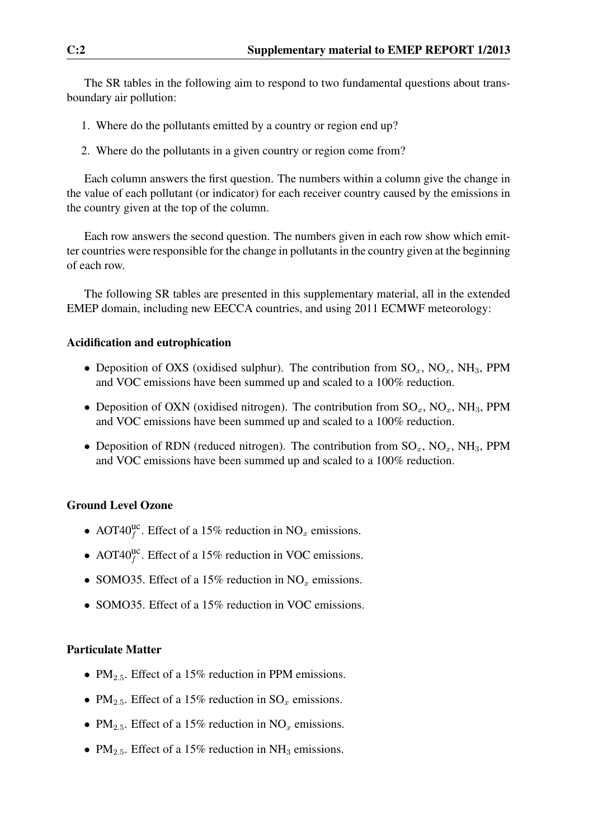The SR tables in the following aim to respond to two fundamental questions about transboundary air pollution:

- 1. Where do the pollutants emitted by a country or region end up?
- 2. Where do the pollutants in a given country or region come from?

Each column answers the first question. The numbers within a column give the change in the value of each pollutant (or indicator) for each receiver country caused by the emissions in the country given at the top of the column.

Each row answers the second question. The numbers given in each row show which emitter countries were responsible for the change in pollutants in the country given at the beginning of each row.

The following SR tables are presented in this supplementary material, all in the extended EMEP domain, including new EECCA countries, and using 2011 ECMWF meteorology:

#### Acidification and eutrophication

- Deposition of OXS (oxidised sulphur). The contribution from  $SO_x$ ,  $NO_x$ ,  $NH_3$ , PPM and VOC emissions have been summed up and scaled to a 100% reduction.
- Deposition of OXN (oxidised nitrogen). The contribution from  $SO_x$ ,  $NO_x$ ,  $NH_3$ , PPM and VOC emissions have been summed up and scaled to a 100% reduction.
- Deposition of RDN (reduced nitrogen). The contribution from  $SO_x$ ,  $NO_x$ ,  $NH_3$ , PPM and VOC emissions have been summed up and scaled to a 100% reduction.

#### Ground Level Ozone

- AOT40<sup>uc</sup>. Effect of a 15% reduction in NO<sub>x</sub> emissions.
- AOT40 $_{f}^{\text{uc}}$ . Effect of a 15% reduction in VOC emissions.
- SOMO35. Effect of a 15% reduction in  $NO<sub>x</sub>$  emissions.
- SOMO35. Effect of a 15% reduction in VOC emissions.

#### Particulate Matter

- PM<sub>2.5</sub>. Effect of a 15% reduction in PPM emissions.
- PM<sub>2.5</sub>. Effect of a 15% reduction in  $SO_x$  emissions.
- PM<sub>2.5</sub>. Effect of a 15% reduction in NO<sub>x</sub> emissions.
- PM<sub>2.5</sub>. Effect of a 15% reduction in NH<sub>3</sub> emissions.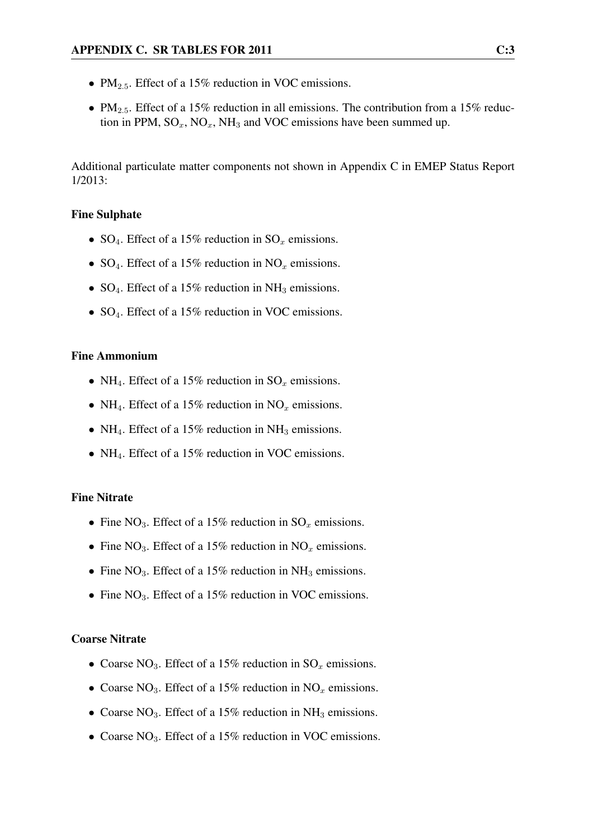- $PM_{2.5}$ . Effect of a 15% reduction in VOC emissions.
- PM<sub>2.5</sub>. Effect of a 15% reduction in all emissions. The contribution from a 15% reduction in PPM,  $SO_x$ ,  $NO_x$ ,  $NH_3$  and VOC emissions have been summed up.

Additional particulate matter components not shown in Appendix C in EMEP Status Report 1/2013:

#### Fine Sulphate

- SO<sub>4</sub>. Effect of a 15% reduction in SO<sub>x</sub> emissions.
- SO<sub>4</sub>. Effect of a 15% reduction in NO<sub>x</sub> emissions.
- $SO_4$ . Effect of a 15% reduction in NH<sub>3</sub> emissions.
- SO<sub>4</sub>. Effect of a 15% reduction in VOC emissions.

#### Fine Ammonium

- NH<sub>4</sub>. Effect of a 15% reduction in  $SO_x$  emissions.
- NH<sub>4</sub>. Effect of a 15% reduction in NO<sub>x</sub> emissions.
- NH<sub>4</sub>. Effect of a 15% reduction in NH<sub>3</sub> emissions.
- NH<sub>4</sub>. Effect of a 15% reduction in VOC emissions.

#### Fine Nitrate

- Fine NO<sub>3</sub>. Effect of a 15% reduction in  $SO<sub>x</sub>$  emissions.
- Fine NO<sub>3</sub>. Effect of a 15% reduction in NO<sub>x</sub> emissions.
- Fine  $NO_3$ . Effect of a 15% reduction in  $NH_3$  emissions.
- Fine  $NO_3$ . Effect of a 15% reduction in VOC emissions.

#### Coarse Nitrate

- Coarse NO<sub>3</sub>. Effect of a 15% reduction in  $SO_x$  emissions.
- Coarse NO<sub>3</sub>. Effect of a 15% reduction in NO<sub>x</sub> emissions.
- Coarse NO<sub>3</sub>. Effect of a 15% reduction in NH<sub>3</sub> emissions.
- Coarse NO<sub>3</sub>. Effect of a 15% reduction in VOC emissions.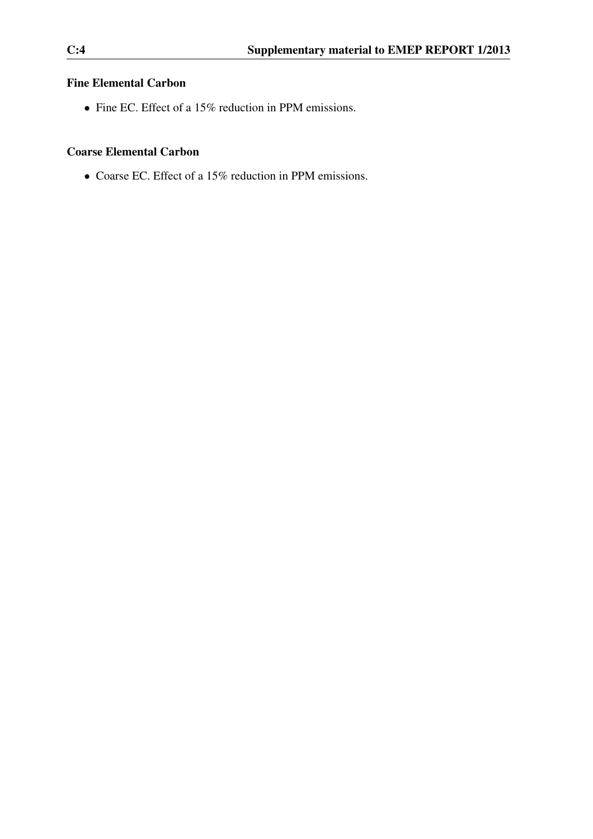#### Fine Elemental Carbon

• Fine EC. Effect of a 15% reduction in PPM emissions.

#### Coarse Elemental Carbon

• Coarse EC. Effect of a 15% reduction in PPM emissions.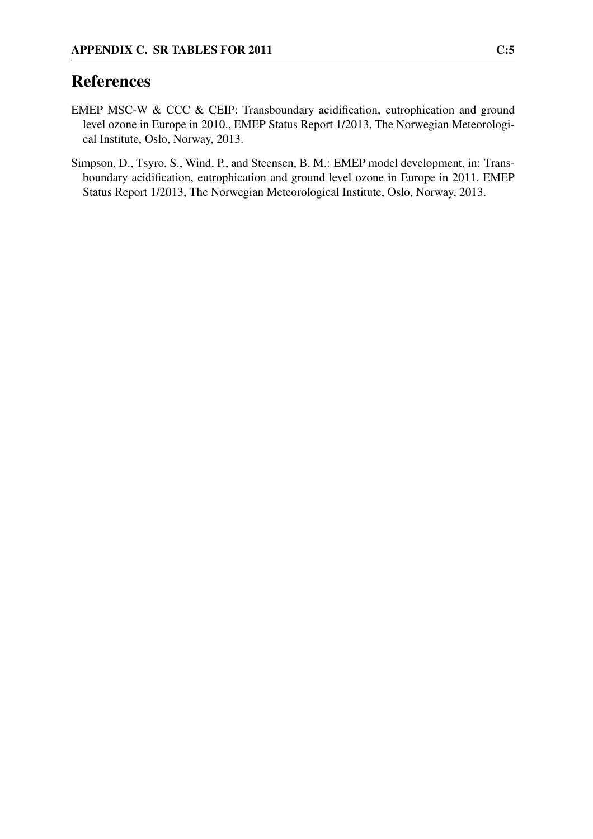### References

- <span id="page-6-0"></span>EMEP MSC-W & CCC & CEIP: Transboundary acidification, eutrophication and ground level ozone in Europe in 2010., EMEP Status Report 1/2013, The Norwegian Meteorological Institute, Oslo, Norway, 2013.
- <span id="page-6-1"></span>Simpson, D., Tsyro, S., Wind, P., and Steensen, B. M.: EMEP model development, in: Transboundary acidification, eutrophication and ground level ozone in Europe in 2011. EMEP Status Report 1/2013, The Norwegian Meteorological Institute, Oslo, Norway, 2013.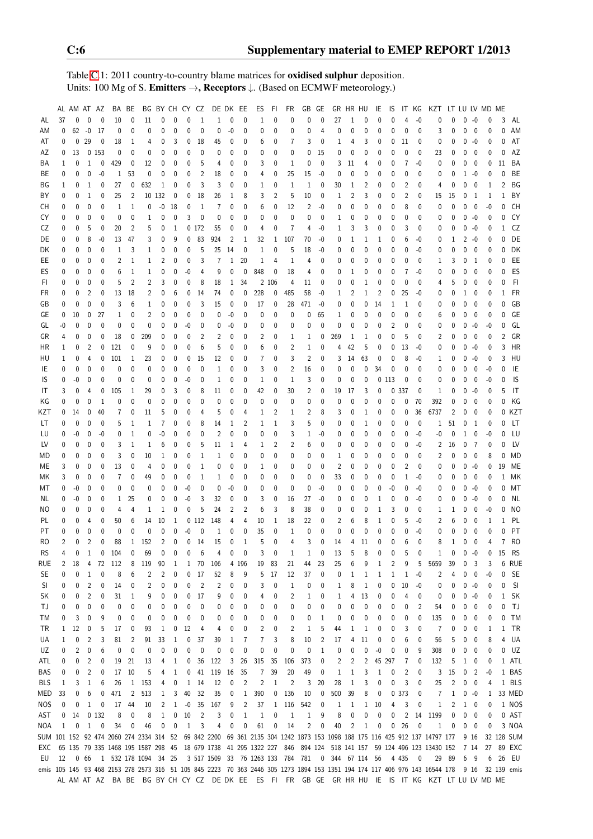Table [C.](#page-2-0)1: 2011 country-to-country blame matrices for oxidised sulphur deposition. Units: 100 Mg of S. Emitters →, Receptors ↓. (Based on ECMWF meteorology.)

|            |                | AL AM AT AZ |                |                |                | BA BE          |                                         | BG BY CH CY CZ |              |              |                         | DE DK EE                                          |                |                | ES             | FI             | FR             | GB             | GE             |     | GR HR HU       |             | IE             | 1S             |                | IT KG        | KZT                                                                                                                                         |              | LT LU LV MD ME |                          |              |                |            |
|------------|----------------|-------------|----------------|----------------|----------------|----------------|-----------------------------------------|----------------|--------------|--------------|-------------------------|---------------------------------------------------|----------------|----------------|----------------|----------------|----------------|----------------|----------------|-----|----------------|-------------|----------------|----------------|----------------|--------------|---------------------------------------------------------------------------------------------------------------------------------------------|--------------|----------------|--------------------------|--------------|----------------|------------|
| AL         | 37             | 0           | $\mathbf{0}$   | $\mathbf{0}$   | 10             | 0              | 11                                      | 0              | $\mathbf{0}$ | 0            | $\mathbf{1}$            | 1                                                 | 0              | 0              | 1              | $\mathbf{0}$   | 0              | 0              | $\theta$       | 27  | 1              | 0           | $\Omega$       | $\Omega$       |                | $-0$         | 0                                                                                                                                           | 0            | $\mathbf{0}$   | $-0$                     | 0            | 3              | AL         |
| ΑM         | 0              | 62          | $-0$           | 17             | 0              | 0              | 0                                       | 0              | 0            | 0            | 0                       | 0                                                 | $-0$           | 0              | 0              | 0              | 0              | 0              | 4              | 0   | 0              | 0           | 0              | $\Omega$       | 0              | 0            | 3                                                                                                                                           | 0            | 0              | 0                        | 0            | C              | AM         |
| AT         | 0              | 0           | 29             | $\overline{0}$ | 18             | 1              | 4                                       | 0              | 3            | 0            | 18                      | 45                                                | 0              | 0              | 6              | 0              | 7              | 3              | 0              | 1   | 4              | 3           | 0              | $\mathbf 0$    | 11             | 0            | 0                                                                                                                                           | 0            | 0              | $-0$                     | 0            | 0              | AT         |
| AΖ         | 0              | 13          |                | 0153           | 0              | $\mathbf{0}$   | 0                                       | $\mathbf{0}$   | $\mathbf{0}$ | $\mathbf{0}$ | 0                       | $\mathbf{0}$                                      | 0              | 0              | 0              | $\mathbf{0}$   | 0              | $\mathbf 0$    | 15             | 0   | 0              | 0           | $\mathbf 0$    | $\mathbf 0$    | $\mathbf 0$    | $\mathbf{0}$ | 23                                                                                                                                          | 0            | 0              | $\mathbf 0$              | 0            | 0              | AZ         |
| ΒA         | 1              | 0           | 1              | 0              | 429            | 0              | 12                                      | 0              | 0            | 0            | 5                       | 4                                                 | 0              | 0              | 3              | 0              | 1              | 0              | $\mathbf{0}$   | 3   | 11             | 4           | 0              | 0              | $\overline{7}$ | -0           | 0                                                                                                                                           | 0            | 0              | 0                        | 0            | 11             | BA         |
| ВE         | 0              | 0           | 0              | -0             | $\mathbf{1}$   | 53             | 0                                       | 0              | 0            | 0            | $\overline{2}$          | 18                                                | 0              | 0              | 4              | 0              | 25             | 15             | -0             | 0   | 0              | 0           | 0              | $\Omega$       | 0              | 0            | 0                                                                                                                                           | 0            | 1              | -0                       | 0            | 0              | BE         |
| ΒG         | 1              | 0           | 1              | 0              | 27             | 0              | 632                                     | $\mathbf{1}$   | 0            | 0            | 3                       | 3                                                 | 0              | 0              | 1              | 0              | 1              | 1              | 0              | 30  | 1              | 2           | 0              | $\Omega$       | $\overline{2}$ | 0            | 4                                                                                                                                           | 0            | 0              | 0                        | 1            | 2              | ΒG         |
| ΒY         | 0              | 0           | 1              | 0              | 25             | $\overline{2}$ |                                         | 10 132         | 0            | 0            | 18                      | 26                                                | 1              | 8              | 3              | $\overline{2}$ | 5              | 10             | 0              | 1   | $\overline{c}$ | 3           | 0              | 0              | $\overline{2}$ | 0            | 15                                                                                                                                          | 15           | $\pmb{0}$      | -1                       | 1            | 1              | BY         |
|            | 0              | 0           | 0              | 0              | 1              | 1              | 0                                       | $-0$           | 18           | 0            | 1                       | $\overline{7}$                                    | 0              | 0              | 6              | $\mathbf 0$    | 12             | $\overline{2}$ | $-0$           | 0   | 0              | 0           | 0              | 0              | 8              | 0            | 0                                                                                                                                           | 0            | 0              | $\mathbf 0$              | $-0$         | 0              | CH         |
| CH         |                |             |                |                |                |                |                                         |                |              |              | 0                       |                                                   |                |                |                | 0              |                |                |                |     |                |             |                |                |                |              |                                                                                                                                             |              |                |                          |              | C              | CY         |
| CY         | 0              | 0           | 0              | 0              | 0              | 0              | $\mathbf 1$                             | 0              | 0            | 3            |                         | 0                                                 | 0              | 0              | 0              |                | 0              | $\mathbf 0$    | 0              | 1   | 0              | 0           | 0              | 0              | 0              | 0            | 0                                                                                                                                           | 0            | 0              | -0                       | 0            |                |            |
| CZ         | 0              | 0           | 5              | 0              | 20             | $\overline{2}$ | 5                                       | 0              | $\mathbf{1}$ |              | 0172                    | 55                                                | 0              | 0              | 4              | 0              | $\overline{7}$ | $\overline{4}$ | $-0$           | 1   | 3              | 3           | $\mathbf 0$    | $\mathbf 0$    | 3              | 0            | 0                                                                                                                                           | 0            | 0              | $-0$                     | 0            | 1              | CZ         |
| DE         | 0              | 0           | 8              | $-0$           | 13             | 47             | 3                                       | $\pmb{0}$      | 9            | 0            | 83                      | 924                                               | $\overline{2}$ | 1              | 32             | $\mathbf{1}$   | 107            | 70             | $-0$           | 0   | 1              | 1           | 1              | 0              | 6              | -0           | 0                                                                                                                                           | 1            | $\overline{2}$ | -0                       | 0            | $\Omega$       | DE         |
| DK         | 0              | 0           | 0              | 0              | 1              | 3              | 1                                       | 0              | 0            | 0            | 5                       | 25                                                | 14             | 0              | 1              | 0              | 5              | 18             | -0             | 0   | 0              | 0           | 0              | 0              | 0              | -0           | 0                                                                                                                                           | 0            | 0              | 0                        | 0            | 0              | DK         |
| EE         | 0              | 0           | 0              | 0              | $\overline{2}$ | $\mathbf{1}$   | $\mathbf 1$                             | 2              | 0            | 0            | 3                       | $\overline{7}$                                    | 1              | 20             | 1              | 4              | $\mathbf 1$    | $\overline{4}$ | 0              | 0   | 0              | 0           | 0              | 0              | 0              | 0            | 1                                                                                                                                           | 3            | 0              | -1                       | 0            | 0              | EE         |
| ES         | 0              | 0           | 0              | 0              | 6              | $\mathbf{1}$   | $\mathbf 1$                             | 0              | 0            | $-0$         | 4                       | 9                                                 | 0              | $\mathbf{0}$   | 848            | 0              | 18             | 4              | 0              | 0   | 1              | 0           | $\mathbf 0$    | 0              | $\overline{7}$ | $-0$         | 0                                                                                                                                           | 0            | $\mathbf{0}$   | $\mathbf{0}$             | 0            | $\Omega$       | ES         |
| FI.        | 0              | 0           | 0              | 0              | 5              | $\overline{2}$ | $\overline{2}$                          | 3              | 0            | 0            | 8                       | 18                                                | 1              | 34             |                | 2 106          | 4              | 11             | 0              | 0   | 0              | 1           | $\mathbf 0$    | 0              | 0              | 0            | 4                                                                                                                                           | 5            | 0              | 0                        | 0            | 0              | F1         |
| FR         | 0              | 0           | 2              | 0              | 13             | 18             | 2                                       | 0              | 6            | 0            | 14                      | 74                                                | 0              | 0              | 228            | 0              | 485            | 58             | $-0$           | 1   | 2              | 1           | $\overline{2}$ | 0              | 25             | -0           | 0                                                                                                                                           | 0            | 1              | 0                        | 0            |                | FR         |
| GB         | 0              | 0           | 0              | 0              | 3              | 6              | 1                                       | 0              | 0            | 0            | 3                       | 15                                                | 0              | 0              | 17             | 0              | 28             | 471            | -0             | 0   | 0              | 0           | 14             | 1              | 1              | 0            | 0                                                                                                                                           | 0            | 0              | 0                        | 0            | C              | GB         |
| GE         | 0              | 10          | $\mathbf 0$    | 27             | 1              | 0              | $\overline{c}$                          | 0              | 0            | 0            | 0                       | 0                                                 | $-0$           | 0              | 0              | 0              | 0              | $\pmb{0}$      | 65             | 1   | 0              | 0           | 0              | $\mathbf 0$    | 0              | 0            | 6                                                                                                                                           | 0            | 0              | 0                        | 0            | 0              | GE         |
| GL         | $-0$           | 0           | 0              | $\mathbf{0}$   | 0              | $\mathbf{0}$   | $\mathbf{0}$                            | 0              | 0            | $-0$         | 0                       | 0                                                 | $-0$           | 0              | 0              | 0              | 0              | $\mathbf 0$    | $\mathbf{0}$   | 0   | 0              | 0           | $\mathbf{0}$   | $\overline{2}$ | 0              | 0            | 0                                                                                                                                           | 0            | 0              | $-0$                     | $-0$         | O              | GL         |
| GR         | 4              | 0           | 0              | 0              | 18             | 0              | 209                                     | $\pmb{0}$      | 0            | 0            | $\overline{2}$          | 2                                                 | 0              | 0              | 2              | 0              | 1              | 1              | 0              | 269 | 1              | 1           | 0              | 0              | 5              | 0            | 2                                                                                                                                           | 0            | 0              | 0                        | $\mathbf{0}$ | $\overline{2}$ | GR         |
| HR         | 1              | 0           | $\overline{2}$ | 0              | 121            | 0              | 9                                       | 0              | 0            | 0            | 6                       | 5                                                 | 0              | 0              | 6              | 0              | $\overline{2}$ | $\mathbf{1}$   | 0              | 4   | 42             | 5           | $\mathbf 0$    | 0              | 13             | -0           | 0                                                                                                                                           | 0            | 0              | $-0$                     | 0            | 3              | HR         |
| HU         | 1              | 0           | 4              | 0              | 101            | 1              | 23                                      | 0              | 0            | 0            | 15                      | 12                                                | 0              | 0              | 7              | 0              | 3              | $\overline{2}$ | 0              | 3   | 14             | 63          | 0              | 0              | 8              | $-0$         | 1                                                                                                                                           | 0            | 0              | -0                       | 0            | 3              | HU         |
| ΙE         | 0              | 0           | 0              | 0              | 0              | 0              | 0                                       | 0              | 0            | 0            | 0                       | 1                                                 | 0              | 0              | 3              | 0              | $\overline{2}$ | 16             | $\mathbf 0$    | 0   | 0              | 0           | 34             | $\mathbf 0$    | $\mathbf 0$    | 0            | 0                                                                                                                                           | 0            | 0              | $\mathbf 0$              | -0           | 0              | IE         |
|            | 0              | $-0$        | 0              | $\mathbf{0}$   | 0              | 0              | 0                                       | 0              | 0            | $-0$         | $\mathbf{0}$            | 1                                                 | 0              | 0              | 1              | 0              | $\mathbf{1}$   | 3              | 0              | 0   | 0              | $\mathbf 0$ |                | 0113           | 0              | 0            | 0                                                                                                                                           | 0            | 0              | 0                        | $-0$         | 0              | IS         |
| IS         |                |             |                |                |                |                |                                         |                |              |              |                         |                                                   |                |                |                |                |                |                |                |     |                |             |                |                |                |              |                                                                                                                                             |              |                |                          |              |                |            |
| IT         | 3              | 0           | 4              | 0              | 105            | 1              | 29                                      | 0              | 3            | 0            | 8                       | 11                                                | 0              | 0              | 42             | 0              | 30             | $\overline{2}$ | 0              | 19  | 17             | 3           | 0              | 0              | 337            | 0            | 1                                                                                                                                           | 0            | 0              | -0                       | 0            | 5              | IT         |
| ΚG         | 0              | 0           | 0              | $\mathbf{1}$   | 0              | $\mathbf{0}$   | 0                                       | 0              | 0            | 0            | 0                       | $\mathbf{0}$                                      | 0              | 0              | 0              | $\mathbf{0}$   | 0              | $\mathbf 0$    | $\mathbf 0$    | 0   | 0              | 0           | $\mathbf 0$    | 0              | $\mathbf 0$    | 70           | 392                                                                                                                                         | 0            | 0              | $\mathbf 0$              | 0            | 0              | ΚG         |
| KZT        | 0              | 14          | 0              | 40             | 7              | $\mathbf{0}$   | 11                                      | 5              | 0            | 0            | 4                       | 5                                                 | 0              | 4              | 1              | $\overline{2}$ | 1              | $\overline{2}$ | 8              | 3   | 0              | 1           | 0              | $\Omega$       | 0              | 36           | 6737                                                                                                                                        | 2            | $\pmb{0}$      | 0                        | 0            |                | KZT        |
| LT         | 0              | 0           | 0              | 0              | 5              | 1              | 1                                       | $\overline{7}$ | 0            | 0            | 8                       | 14                                                | 1              | 2              | 1              | 1              | 3              | 5              | $\mathbf{0}$   | 0   | 0              | 1           | 0              | 0              | 0              | $\mathbf{0}$ | 1                                                                                                                                           | 51           | 0              | 1                        | 0            |                | LT         |
| LU         | 0              | $-0$        | 0              | -0             | 0              | $\mathbf{1}$   | 0                                       | -0             | 0            | 0            | 0                       | $\overline{2}$                                    | 0              | 0              | 0              | 0              | 3              | 1              | -0             | 0   | 0              | 0           | 0              | 0              | 0              | $-0$         | -0                                                                                                                                          | 0            | 1              | 0                        | -0           | 0              | LU         |
| LV         | 0              | 0           | 0              | 0              | 3              | $\mathbf{1}$   | $\mathbf{1}$                            | 6              | $\mathbf{0}$ | 0            | 5                       | 11                                                | 1              | 4              | 1              | $\overline{2}$ | $\overline{2}$ | 6              | $\mathbf 0$    | 0   | 0              | 0           | $\mathbf 0$    | $\mathbf{0}$   | 0              | $-0$         | 2                                                                                                                                           | 16           | 0              | $\overline{7}$           | 0            | 0              | LV         |
| MD         | 0              | 0           | 0              | 0              | 3              | $\mathbf{0}$   | 10                                      | $1\,$          | 0            | 0            | $\mathbf{1}$            | 1                                                 | 0              | 0              | 0              | 0              | 0              | 0              | 0              | 1   | 0              | 0           | 0              | 0              | 0              | 0            | $\overline{2}$                                                                                                                              | 0            | 0              | $\mathbf 0$              | 8            | 0              | <b>MD</b>  |
| МE         | 3              | 0           | 0              | 0              | 13             | 0              | $\overline{4}$                          | 0              | 0            | 0            | $\mathbf{1}$            | 0                                                 | 0              | 0              | 1              | 0              | 0              | 0              | $\mathbf{0}$   | 2   | 0              | 0           | 0              | 0              | 2              | 0            | 0                                                                                                                                           | 0            | 0              | -0                       | 0            | 19             | МE         |
| МK         | 3              | 0           | 0              | 0              | 7              | 0              | 49                                      | 0              | 0            | 0            | $\mathbf{1}$            | 1                                                 | 0              | 0              | 0              | 0              | 0              | 0              | $\mathbf{0}$   | 33  | 0              | 0           | 0              | 0              | 1              | -0           | 0                                                                                                                                           | 0            | 0              | 0                        | 0            | 1              | МK         |
| МT         | 0              | $-0$        | 0              | $\mathbf{0}$   | 0              | 0              | 0                                       | 0              | 0            | -0           | 0                       | $\mathbf{0}$                                      | $-0$           | 0              | 0              | $\mathbf{0}$   | 0              | $\mathbf 0$    | $-0$           | 0   | 0              | 0           | 0              | $-0$           | 0              | -0           | 0                                                                                                                                           | 0            | 0              | $-0$                     | 0            | 0              | МT         |
| NL.        | 0              | -0          | 0              | 0              | 1              | 25             | 0                                       | $\mathbf{0}$   | $\mathbf{0}$ | $-0$         | 3                       | 32                                                | 0              | 0              | 3              | $\mathbf{0}$   | 16             | 27             | -0             | 0   | 0              | 0           | 1              | 0              | 0              | $-0$         | 0                                                                                                                                           | 0            | 0              | -0                       | 0            | 0              | NL         |
| NO.        | 0              | 0           | 0              | 0              | 4              | 4              | 1                                       | $\mathbf 1$    | 0            | 0            | 5                       | 24                                                | $\overline{2}$ | $\overline{2}$ | 6              | 3              | 8              | 38             | 0              | 0   | 0              | 0           | 1              | 3              | 0              | 0            | 1                                                                                                                                           | 1            | 0              | 0                        | $-0$         | 0              | NO         |
| PL         | 0              | 0           | 4              | 0              | 50             | 6              | 14                                      | 10             | 1            |              | 0112                    | 148                                               | 4              | 4              | 10             | 1              | 18             | 22             | 0              | 2   | 6              | 8           | 1              | $\Omega$       | 5              | -0           | 2                                                                                                                                           | 6            | 0              | 0                        | 1            |                | PL         |
| PT         | 0              | 0           | 0              | 0              | $\mathbf 0$    | $\mathbf{0}$   | 0                                       | $\mathbf{0}$   | 0            | -0           | 0                       | 1                                                 | 0              | 0              | 35             | 0              | 1              | $\mathbf 0$    | 0              | 0   | 0              | 0           | $\mathbf 0$    | 0              | 0              | $-0$         | 0                                                                                                                                           | 0            | 0              | 0                        | 0            |                | PT         |
| RO         | $\overline{2}$ | $\mathbf 0$ | $\overline{c}$ | $\mathbf 0$    | 88             |                | 1 152                                   | $\overline{2}$ | $\pmb{0}$    |              | $0$ 14                  | 15                                                | 0              | $\mathbf{1}$   | 5              | 0              | $\overline{4}$ | 3              | $\mathbf{0}$   | 14  | 4              | 11          | 0              | $\mathbf{0}$   | 6              | $\mathbf{0}$ | 8                                                                                                                                           | $\mathbf{1}$ | 0              | $\mathbf{0}$             | 4            |                | 7 RO       |
| <b>RS</b>  | $\Lambda$      |             | $0\quad 1$     |                | $0$ 104        |                | 0 69 0 0 0 6                            |                |              |              |                         | $\sqrt{ }$                                        |                | $0\qquad 0$    | $\overline{3}$ | $\mathbf 0$    | $\,$ 1 $\,$    | $\mathbf{1}$   | $\mathbf 0$    | 13  |                | 8           | $\Omega$       |                |                | 0            |                                                                                                                                             |              | $0$ 0 $-0$     |                          |              | 0 15 RS        |            |
| rue        | 2              | 18          | 4              | 72             | 112            | 8              | 119                                     | 90             | 1            | 1            | 70                      | 106                                               |                | 4 196          | 19             | 83             | 21             | 44             | 23             | 25  | 6              | 9           | 1              | 2              | 9              | 5            | 5659                                                                                                                                        | 39           | 0              | 3                        | 3            | 6              | <b>RUE</b> |
| SE         | 0              | 0           | 1              | 0              | 8              | 6              | 2                                       | 2              | 0            | 0            | 17                      | 52                                                | 8              | 9              | 5              | 17             | 12             | 37             | 0              | 0   | 1              | 1           | 1              | 1              | 1              | -0           | 2                                                                                                                                           | 4            | 0              | 0                        | -0           | 0              | <b>SE</b>  |
| SI         | 0              | 0           | 2              | 0              | 14             | 0              | 2                                       | 0              | 0            | 0            | $\overline{\mathbf{c}}$ | 2                                                 | 0              | 0              | 3              | 0              | 1              | 0              | 0              | 1   | 8              | 1           | 0              | 0              | 10             | $-0$         | 0                                                                                                                                           | 0            | 0              | -0                       | 0            | 0              | SI         |
| SK         | 0              | 0           | $\overline{c}$ | 0              | 31             | 1              | 9                                       | 0              | 0            | 0            | 17                      | 9                                                 | 0              | 0              | 4              | 0              | 2              | 1              | 0              |     | 4              | 13          | 0              | 0              | 4              | 0            | 0                                                                                                                                           | 0            | 0              | -0                       | 0            | 1              | <b>SK</b>  |
|            |                |             |                |                |                |                |                                         |                |              |              |                         |                                                   |                |                |                |                |                |                |                | 1   |                |             |                |                |                |              |                                                                                                                                             |              |                |                          |              |                |            |
| ΤJ         | 0              | 0           | 0              | 0              | 0              | 0              | 0                                       | 0              | 0            | 0            | 0                       | 0                                                 | 0              | 0              | 0              | 0              | 0              | 0              | 0              | 0   | 0              | 0           | 0              | 0              | 0              | 2            | 54                                                                                                                                          | 0            | 0              | - 0                      | 0            | 0              | TJ         |
| ТM         | 0              | 3           | 0              | 9              | 0              | 0              | 0                                       | 0              | 0            | 0            | 0                       | 0                                                 | 0              | 0              | 0              | 0              | 0              | 0              | 1              | 0   | 0              | 0           | 0              | 0              | 0              | 0            | 135                                                                                                                                         | 0            | 0              | 0                        | 0            | 0              | TM         |
| ΤR         | $\mathbf{1}$   | 12          | 0              | 5              | 17             | 0              | 93                                      | 1              | 0            | 12           | 4                       | 4                                                 | 0              | 0              | 2              | 0              | 2              | $\mathbf{1}$   | 5              | 44  | 1              | 1           | 0              | 0              | 3              | 0            | 7                                                                                                                                           | 0            | 0              | $\mathbf 0$              | 1            | 1              | TR         |
| UA         | 1              | 0           | 2              | 3              | 81             | $\overline{c}$ | 91                                      | 33             | 1            | 0            | 37                      | 39                                                | 1              | 7              | 7              | 3              | 8              | 10             | $\overline{2}$ | 17  | 4              | 11          | 0              | 0              | 6              | 0            | 56                                                                                                                                          | 5            | 0              | 0                        | 8            | 4              | UA         |
| UZ         | 0              | 2           | 0              | 6              | 0              | 0              | 0                                       | 0              | 0            | 0            | 0                       | 0                                                 | 0              | 0              | 0              | 0              | 0              | 0              | 1              | 0   | 0              | 0           | -0             | 0              | 0              | 9            | 308                                                                                                                                         | 0            | 0              | 0                        | 0            | 0              | UZ         |
| ATL        | 0              | 0           | 2              | 0              | 19             | 21             | 13                                      | 4              | 1            | 0            | 36                      | 122                                               | 3              | 26             | 315            | 35             | 106            | 373            | 0              | 2   | 2              | 2           |                | 45 297         | 7              | 0            | 132                                                                                                                                         | 5            | 1              | 0                        | 0            |                | 1 ATL      |
| BAS        | 0              | 0           | 2              | 0              | 17             | 10             | 5                                       | 4              | 1            | 0            | 41                      | 119                                               | 16             | 35             | 7              | 39             | 20             | 49             | 0              | 1   | 1              | 3           | 1              | 0              | $\overline{c}$ | 0            | 3                                                                                                                                           | 15           | 0              | 2                        | $-0$         |                | 1 BAS      |
| BLS        | 1              | 3           | 1              | 6              | 26             | 1              | 153                                     | 4              | 0            | $\mathbf{1}$ | 14                      | 12                                                | 0              | 2              | 2              | 1              | $\overline{2}$ | 3              | 20             | 28  | 1              | 3           | 0              | 0              | 3              | 0            | 25                                                                                                                                          | 2            | 0              | 0                        | 4            |                | 1 BLS      |
| MED        | 33             | 0           | 6              | 0              | 471            | $\overline{c}$ | 513                                     | 1              | 3            | 40           | 32                      | 35                                                | 0              | 1              | 390            | 0              | 136            | 10             | 0              | 500 | 39             | 8           | 0              | 0              | 373            | 0            | 7                                                                                                                                           | 1            | 0              | -0                       | 1            |                | 33 MED     |
| <b>NOS</b> | 0              | 0           | 1              | 0              | 17             | 44             | 10                                      | 2              | 1            | $-0$         | 35                      | 167                                               | 9              | 2              | 37             | $\mathbf{1}$   | 116            | 542            | 0              | 1   | 1              | 1           | 10             | 4              | 3              | 0            | 1                                                                                                                                           | 2            | $\mathbf{1}$   | $\overline{\phantom{0}}$ | 0            |                | 1 NOS      |
| AST        | 0              | 14          |                | 0132           | 8              | 0              | 8                                       | 1              | 0            | 10           | $\overline{c}$          | 3                                                 | 0              | 1              | $\mathbf{1}$   | 0              | 1              | $\mathbf{1}$   | 9              | 8   | 0              | 0           | 0              | 0              | $\overline{c}$ | 14           | 1199                                                                                                                                        | 0            | 0              | 0                        | 0            |                | 0 AST      |
| NOA        | $\mathbf{1}$   | $\mathbf 0$ | $\mathbf{1}$   | $\overline{0}$ | 34             | 0              | 46                                      | $\pmb{0}$      | 0            | $\mathbf{1}$ | 3                       | 4                                                 | 0              | $\mathbf 0$    | 61             | $\mathbf 0$    | 14             | $\overline{2}$ | $\mathbf 0$    | 40  | 2              | 1           | 0              | 0              | 26             | $\mathbf 0$  | 1                                                                                                                                           | 0            | 0              | $\overline{\phantom{0}}$ | 0            |                | 3 NOA      |
|            |                |             |                |                |                |                | SUM 101 152 92 474 2060 274 2334 314 52 |                |              |              |                         |                                                   |                |                |                |                |                |                |                |     |                |             |                |                |                |              | 69 842 2200 69 361 2135 304 1242 1873 153 1098 188 175 116 425 912 137 14797 177                                                            |              |                | 9 16                     |              |                | 32 128 SUM |
| EXC        |                |             |                |                |                |                |                                         |                |              |              |                         |                                                   |                |                |                |                |                |                |                |     |                |             |                |                |                |              | 65 135 79 335 1468 195 1587 298 45 18 679 1738 41 295 1322 227 846 894 124 518 141 157 59 124 496 123 13430 152                             |              | 7 14           |                          | 27           |                | 89 EXC     |
| EU         |                | 12 0 66     |                |                |                |                | 1 532 178 1094 34 25                    |                |              |              |                         | 3 517 1509 33 76 1263 133 784 781 0 344 67 114 56 |                |                |                |                |                |                |                |     |                |             |                |                | 4 4 3 5        | 0            |                                                                                                                                             | 29 89        | 6              | - 9                      | 6            | -26            | EU         |
|            |                |             |                |                |                |                |                                         |                |              |              |                         |                                                   |                |                |                |                |                |                |                |     |                |             |                |                |                |              | emis 105 145 93 468 2153 278 2573 316 51 105 845 2223 70 363 2446 305 1273 1894 153 1351 194 174 117 406 976 143 16544 178 9 16 32 139 emis |              |                |                          |              |                |            |
|            |                |             |                |                |                |                |                                         |                |              |              |                         |                                                   |                |                |                |                |                |                |                |     |                |             |                |                |                |              | ALAMATAZ BA BE BG BY CH CY CZ DE DK EE ES FI FR GB GE GR HR HU IE IS IT KG KZT LT LU LV MD ME                                               |              |                |                          |              |                |            |
|            |                |             |                |                |                |                |                                         |                |              |              |                         |                                                   |                |                |                |                |                |                |                |     |                |             |                |                |                |              |                                                                                                                                             |              |                |                          |              |                |            |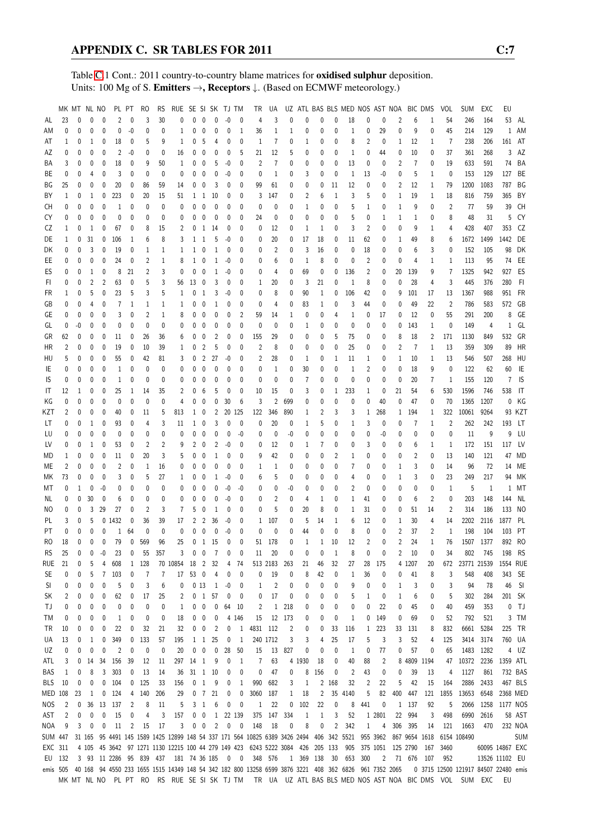Table [C.](#page-2-0)1 Cont.: 2011 country-to-country blame matrices for oxidised sulphur deposition. Units: 100 Mg of S. Emitters →, Receptors  $\downarrow$ . (Based on ECMWF meteorology.)

|                | MK MT NL NO    |              |              |              |                | PL PT        | RO             | <b>RS</b>               | RUE SE SI SK TJ TM                                                                      |                   |                          |                      |             |              | TR             | UA             |                |                |              |                | UZ ATL BAS BLS MED NOS AST NOA BIC DMS |                         |                |                   |                |              | VOL            | <b>SUM</b>                                                                                          | EXC       | EU              |              |
|----------------|----------------|--------------|--------------|--------------|----------------|--------------|----------------|-------------------------|-----------------------------------------------------------------------------------------|-------------------|--------------------------|----------------------|-------------|--------------|----------------|----------------|----------------|----------------|--------------|----------------|----------------------------------------|-------------------------|----------------|-------------------|----------------|--------------|----------------|-----------------------------------------------------------------------------------------------------|-----------|-----------------|--------------|
| AL             | 23             | 0            | 0            | 0            | $\overline{2}$ | $\mathbf{0}$ | 3              | 30                      | 0                                                                                       | $\mathbf{0}$      | $\mathbf{0}$             | $\mathbf{0}$         | $-0$        | 0            | $\overline{4}$ | 3              | 0              | 0              | 0            | $\mathbf{0}$   | 18                                     | 0                       | 0              | 2                 | 6              | 1            | 54             | 246                                                                                                 | 164       |                 | 53 AL        |
| ΑM             | $\Omega$       | 0            | 0            | 0            | 0              | $-0$         | 0              | 0                       | 1                                                                                       | 0                 | 0                        | 0                    | 0           | 1            | 36             | $\mathbf{1}$   | $\mathbf{1}$   | 0              | 0            | $\mathbf 0$    | 1                                      | 0                       | 29             | 0                 | 9              | 0            | 45             | 214                                                                                                 | 129       |                 | 1 AM         |
| AT             | 1              | 0            | 1            | 0            | 18             | 0            | 5              | 9                       | 1                                                                                       | 0                 | 5                        | 4                    | $\mathbf 0$ | 0            | 1              | $\overline{1}$ | 0              | 1              | 0            | 0              | 8                                      | $\overline{\mathbf{c}}$ | 0              | 1                 | 12             | 1            | 7              | 238                                                                                                 | 206       | 161             | AT           |
| AΖ             | 0              | 0            | 0            | 0            | 2              | -0           | 0              | 0                       | 16                                                                                      | 0                 | 0                        | 0                    | 0           | 5            | 21             | 12             | 5              | 0              | 0            | 0              | 1                                      | 0                       | 44             | 0                 | 10             | 0            | 37             | 361                                                                                                 | 268       |                 | $3$ AZ       |
| ΒA             | 3              | 0            | 0            | 0            | 18             | 0            | 9              | 50                      | 1                                                                                       | 0                 | 0                        | 5                    | $-0$        | 0            | 2              | $\overline{7}$ | 0              | 0              | 0            | $\mathbf 0$    | 13                                     | 0                       | 0              | 2                 | $\overline{1}$ | 0            | 19             | 633                                                                                                 | 591       | 74              | BA           |
| ВE             | 0              | 0            | 4            | 0            | 3              | 0            | 0              | $\mathbf{0}$            | 0                                                                                       | 0                 | 0                        | 0                    | -0          | 0            | $\mathbf{0}$   | $\mathbf{1}$   | 0              | 3              | 0            | 0              | $\mathbf{1}$                           | 13                      | -0             | 0                 | 5              | 1            | 0              | 153                                                                                                 | 129       | 127             | BE           |
| ΒG             | 25             | 0            | 0            | 0            | 20             | 0            |                |                         |                                                                                         | 0                 |                          | 3                    | 0           | 0            | 99             | 61             |                | 0              | 0            | 11             | 12                                     | 0                       | 0              | 2                 | 12             |              |                | 1200                                                                                                | 1083      | 787 BG          |              |
|                |                |              |              |              |                |              | 86             | 59                      | 14                                                                                      |                   | 0                        |                      |             |              |                |                | 0              |                |              |                |                                        |                         |                |                   |                | 1            | 79             |                                                                                                     |           |                 |              |
| BY             | 1              | 0            | 1            | 0            | 223            | 0            | 20             | 15                      | 51                                                                                      | $1\quad1$         |                          | 10                   | 0           | 0            | 3              | 147            | 0              | 2              | 6            | 1              | 3                                      | 5                       | 0              | 1                 | 19             | 1            | 18             | 816                                                                                                 | 759       | 365             | BY           |
| СH             | 0              | 0            | 0            | 0            | 1              | 0            | 0              | 0                       | $\mathbf{0}$                                                                            | 0                 | 0                        | $\mathbf 0$          | 0           | 0            | 0              | 0              | 0              | 1              | 0            | $\mathbf 0$    | 5                                      | 1                       | 0              | 1                 | 9              | 0            | $\overline{2}$ | 77                                                                                                  | 59        | 39              | CH           |
| CY             | 0              | $\mathbf{0}$ | 0            | 0            | 0              | 0            | 0              | 0                       | 0                                                                                       | 0                 | 0                        | 0                    | 0           | 0            | 24             | 0              | 0              | 0              | 0            | $\mathbf 0$    | 5                                      | 0                       | 1              | 1                 | $\mathbf{1}$   | 0            | 8              | 48                                                                                                  | 31        | 5               | CY           |
| CZ             | 1              | 0            | 1            | 0            | 67             | 0            | 8              | 15                      | 2                                                                                       | 0                 | 1                        | 14                   | 0           | 0            | 0              | 12             | 0              | 1              | 1            | $\mathbf 0$    | 3                                      | $\overline{2}$          | 0              | 0                 | 9              | 1            | 4              | 428                                                                                                 | 407       | 353             | CZ           |
| DE             | 1              | 0            | 31           | 0            | 106            | $\mathbf{1}$ | 6              | 8                       | 3                                                                                       |                   | $1\quad1$                | 5                    | $-0$        | 0            | 0              | 20             | 0              | 17             | 18           | 0              | 11                                     | 62                      | 0              | 1                 | 49             | 8            | 6              | 1672                                                                                                | 1499      | 1442            | DE           |
| DK             | 0              | 0            | 3            | 0            | 19             | 0            | 1              | 1                       | 1                                                                                       |                   | $1\quad 0$               | 1                    | 0           | 0            | 0              | 2              | 0              | 3              | 16           | 0              | 0                                      | 18                      | 0              | 0                 | 6              | 3            | $\mathbf{0}$   | 152                                                                                                 | 105       | 98              | DK           |
| EE.            | 0              | 0            | 0            | $\mathbf 0$  | 24             | 0            | $\overline{c}$ | 1                       | 8                                                                                       | $\mathbf{1}$      | $\mathbf 0$              | $\mathbf{1}$         | -0          | 0            | 0              | 6              | 0              | $\mathbf{1}$   | 8            | 0              | 0                                      | $\overline{2}$          | 0              | 0                 | 4              | 1            | 1              | 113                                                                                                 | 95        | 74              | EE           |
| ES             | 0              | 0            | $\mathbf{1}$ | 0            | 8              | 21           | $\overline{2}$ | 3                       | 0                                                                                       | 0                 | $\overline{0}$           | $\mathbf{1}$         | $-0$        | 0            | 0              | 4              | 0              | 69             | 0            | 0              | 136                                    | $\overline{2}$          | 0              | 20                | 139            | 9            | $\overline{7}$ | 1325                                                                                                | 942       | 927             | ES           |
| FI.            | 0              | 0            | 2            | 2            | 63             | 0            | 5              | 3                       | 56                                                                                      | 13                | 0                        | 3                    | 0           | 0            | 1              | 20             | 0              | 3              | 21           | 0              | 1                                      | 8                       | 0              | 0                 | 28             | 4            | 3              | 445                                                                                                 | 376       | 280             | - Fl         |
| FR             | 1              | 0            | 5            | 0            | 23             | 5            | 3              | 5                       | 1                                                                                       | 0                 | $\mathbf{1}$             | 3                    | -0          | 0            | 0              | 8              | 0              | 90             | $\mathbf{1}$ | 0              | 106                                    | 42                      | 0              | 9                 | 101            | 17           | 13             | 1367                                                                                                | 988       | 951             | FR           |
| GB             | 0              | 0            | 4            | 0            | 7              | $\mathbf{1}$ | 1              | 1                       | 1                                                                                       | 0                 | 0                        | 1                    | 0           | 0            | 0              | 4              | 0              | 83             | 1            | 0              | 3                                      | 44                      | 0              | 0                 | 49             | 22           | $\overline{2}$ | 786                                                                                                 | 583       | 572 GB          |              |
| GE             | 0              | 0            | 0            | 0            | 3              | 0            | 2              | 1                       | 8                                                                                       | 0                 | 0                        | 0                    | 0           | 2            | 59             | 14             | 1              | 0              | 0            | 4              | 1                                      | 0                       | 17             | 0                 | 12             | 0            | 55             | 291                                                                                                 | 200       | 8               | GE           |
|                |                |              |              |              | 0              |              | 0              |                         |                                                                                         | 0                 |                          |                      |             | $\mathbf 0$  |                |                |                |                |              | $\mathbf 0$    |                                        |                         |                |                   | 143            |              |                |                                                                                                     |           |                 | $1$ GL       |
| GL             | 0              | -0           | 0            | 0            |                | 0            |                | 0                       | 0                                                                                       |                   | 0                        | 0                    | 0           |              | 0              | 0              | 0              | 1              | 0            |                | 0                                      | 0                       | 0              | 0                 |                | 1            | 0              | 149                                                                                                 | 4         |                 |              |
| GR             | 62             | 0            | 0            | 0            | 11             | 0            | 26             | 36                      | 6                                                                                       | 0                 | 0                        | 2                    | 0           | 0            | 155            | 29             | 0              | 0              | 0            | 5              | 75                                     | 0                       | 0              | 8                 | 18             | 2            | 171            | 1130                                                                                                | 849       | 532             | GR           |
| HR             | $\overline{2}$ | 0            | 0            | $\mathbf 0$  | 19             | 0            | 10             | 39                      | 1                                                                                       | 0                 | $\overline{2}$           | 5                    | 0           | 0            | $\overline{2}$ | 8              | 0              | 0              | 0            | $\mathbf 0$    | 25                                     | 0                       | 0              | $\overline{c}$    | $\overline{1}$ | $\mathbf{1}$ | 13             | 359                                                                                                 | 309       | 89              | <b>HR</b>    |
| HU             | 5              | 0            | 0            | 0            | 55             | 0            | 42             | 81                      | 3                                                                                       | 0                 | $\overline{2}$           | 27                   | -0          | 0            | 2              | 28             | 0              | 1              | 0            | 1              | 11                                     | 1                       | 0              | 1                 | 10             | 1            | 13             | 546                                                                                                 | 507       | 268             | HU           |
| IE             | 0              | 0            | 0            | 0            | 1              | 0            | 0              | 0                       | 0                                                                                       | 0                 | 0                        | 0                    | 0           | 0            | 0              | 1              | 0              | 30             | 0            | $\mathbf 0$    | 1                                      | 2                       | 0              | 0                 | 18             | 9            | 0              | 122                                                                                                 | 62        | 60              | - IE         |
| IS.            | 0              | 0            | 0            | 0            | 1              | 0            | 0              | 0                       | 0                                                                                       | 0                 | 0                        | 0                    | 0           | 0            | 0              | $\mathbf 0$    | 0              | $\overline{7}$ | 0            | 0              | 0                                      | 0                       | 0              | 0                 | 20             | 7            | 1              | 155                                                                                                 | 120       | 7               | IS           |
| IT             | 12             | 1            | 0            | 0            | 25             | 1            | 14             | 35                      | 2                                                                                       | 0                 | 6                        | 5                    | 0           | 0            | 10             | 15             | 0              | 3              | 0            | $\mathbf{1}$   | 233                                    | 1                       | 0              | 21                | 54             | 6            | 530            | 1596                                                                                                | 746       | 538             | $\mathsf{I}$ |
| ΚG             | $\mathbf{0}$   | $\mathbf{0}$ | 0            | 0            | 0              | 0            | 0              | 0                       | 4                                                                                       | 0                 | $\mathbf 0$              | 0                    | 30          | 6            | 3              | $\overline{c}$ | 699            | 0              | 0            | 0              | 0                                      | 0                       | 40             | 0                 | 47             | 0            | 70             | 1365                                                                                                | 1207      |                 | 0 KG         |
| KZT            | $\overline{2}$ | 0            | 0            | 0            | 40             | 0            | 11             | 5                       | 813                                                                                     | $1\quad 0$        |                          | 2                    |             | 20 125       | 122            | 346            | 890            | 1              | 2            | 3              | 3                                      | $\mathbf{1}$            | 268            | $\mathbf{1}$      | 194            | 1            | 322            | 10061                                                                                               | 9264      |                 | 93 KZT       |
| LT             | 0              | 0            | 1            | 0            | 93             | 0            | 4              | 3                       | 11                                                                                      | $\mathbf{1}$      | 0                        | 3                    | 0           | 0            | 0              | 20             | 0              | 1              | 5            | 0              | 1                                      | 3                       | 0              | 0                 | 7              | 1            | $\overline{2}$ | 262                                                                                                 | 242       | 193 LT          |              |
| LU             | 0              | 0            | 0            | 0            | $\mathbf{0}$   | 0            | 0              | 0                       | 0                                                                                       | 0                 | $\mathbf 0$              | $\mathbf 0$          | $\mathbf 0$ | -0           | 0              | $\mathbf 0$    | -0             | 0              | 0            | $\mathbf 0$    | 0                                      | 0                       | -0             | 0                 | 0              | 0            | 0              | 11                                                                                                  | 9         | 9               | LU           |
| LV             | 0              | 0            | 1            | 0            | 53             | 0            | $\overline{c}$ | $\overline{c}$          | 9                                                                                       | 2                 | 0                        | 2                    | -0          | 0            | 0              | 12             | 0              | 1              | 7            | 0              | 0                                      | 3                       | 0              | 0                 | 6              | 1            | 1              | 172                                                                                                 | 151       | 117             | LV           |
|                |                | 0            | 0            | 0            | 11             | 0            | 20             | 3                       | 5                                                                                       | 0                 | 0                        | 1                    | 0           | 0            |                | 42             | 0              | 0              | 0            | $\overline{2}$ | 1                                      | 0                       |                | 0                 | 2              | 0            | 13             | 140                                                                                                 | 121       | 47              | <b>MD</b>    |
| MD             | 1              |              |              |              |                |              |                |                         |                                                                                         |                   |                          |                      |             |              | 9              |                |                |                |              |                |                                        |                         | 0              |                   |                |              |                |                                                                                                     |           |                 |              |
| МE             | $\overline{2}$ | 0            | 0            | $\mathbf 0$  | $\overline{2}$ | 0            | 1              | 16                      | 0                                                                                       | 0                 | $\mathbf 0$              | 0                    | 0           | 0            | 1              | 1              | 0              | 0              | 0            | $\mathbf 0$    | 7                                      | 0                       | 0              | 1                 | 3              | 0            | 14             | 96                                                                                                  | 72        |                 | 14 ME        |
| МK             | 73             | 0            | 0            | 0            | 3              | 0            | 5              | 27                      | 1                                                                                       | 0                 | 0                        | 1                    | -0          | 0            | 6              | 5              | 0              | 0              | 0            | 0              | 4                                      | 0                       | 0              | 1                 | 3              | 0            | 23             | 249                                                                                                 | 217       |                 | 94 MK        |
| МT             | 0              | 1            | 0            | -0           | 0              | 0            | 0              | $\mathbf{0}$            | 0                                                                                       | 0                 | $\mathbf 0$              | 0                    | -0          | -0           | 0              | 0              | -0             | 0              | 0            | 0              | $\overline{2}$                         | 0                       | 0              | 0                 | 0              | 0            | $\mathbf{1}$   | 5                                                                                                   | 1         |                 | 1 MT         |
| NL.            | 0              | $\mathbf 0$  | 30           | 0            | 6              | $\mathbf 0$  | 0              | $\mathbf{0}$            | 0                                                                                       | 0                 | 0                        | 0                    | $-0$        | 0            | 0              | $\overline{2}$ | 0              | 4              | 1            | 0              | 1                                      | 41                      | 0              | 0                 | 6              | 2            | $\mathbf 0$    | 203                                                                                                 | 148       | 144             | NL           |
| NO.            | 0              | 0            | 3            | 29           | 27             | 0            | 2              | 3                       | 7                                                                                       | 5                 | 0                        | 1                    | 0           | 0            | 0              | 5              | 0              | 20             | 8            | 0              | 1                                      | 31                      | 0              | 0                 | 51             | 14           | 2              | 314                                                                                                 | 186       | 133 NO          |              |
| PL             | 3              | 0            | 5            |              | 0 1432         | 0            | 36             | 39                      | 17                                                                                      | $\overline{2}$    | $\overline{2}$           | 36                   | -0          | 0            | 1              | 107            | 0              | 5              | 14           | 1              | 6                                      | 12                      | 0              | 1                 | 30             | 4            | 14             | 2202                                                                                                | 2116      | 1877 PL         |              |
| РT             | $\Omega$       | 0            | $\mathbf{0}$ | 0            | 1              | 64           | $\mathbf{0}$   | 0                       | 0                                                                                       | 0                 | 0                        | 0                    | $-0$        | $\mathbf 0$  | $\mathbf{0}$   | $\mathbf 0$    | 0              | 44             | 0            | $\mathbf{0}$   | 8                                      | 0                       | 0              | $\overline{c}$    | 37             | 2            | $\mathbf{1}$   | 198                                                                                                 | 104       | 103 PT          |              |
| R <sub>O</sub> | 18             | 0            | 0            | $\mathbf{0}$ | 79             | $\mathbf 0$  | 569            | 96                      | 25                                                                                      |                   |                          | $0 \quad 1 \quad 15$ | 0           | 0            | 51             | 178            | 0              | 1              | $\mathbf{1}$ | 10             | 12                                     | $\overline{2}$          | 0              | $\overline{c}$    | 24             | $\mathbf{1}$ | 76             |                                                                                                     | 1507 1377 | 892 RO          |              |
| <b>RS</b>      | 25             | $\pmb{0}$    | $\mathbf 0$  | 0            | 23             | $\mathbf 0$  | 55             | 357                     | 3 <sup>7</sup>                                                                          |                   | $\overline{\phantom{0}}$ |                      |             |              | $11\,$         | 20             | $\mathbf 0$    |                | 0            |                | 8                                      | $\mathbf{0}$            |                | $\overline{2}$    | 10             | $\mathbf{0}$ | 34             |                                                                                                     | 802 745   | 198 RS          |              |
| RUE            | 21             | 0            | 5            | 4            | 608            | 1            | 128            |                         | 70 10854 18                                                                             |                   | $\overline{2}$           | 32                   | 4           | 74           |                | 513 2183       | 263            | 21             | 46           | 32             | 27                                     | 28                      | 175            |                   | 4 1207         | 20           | 672            | 23771 21539                                                                                         |           | 1554 RUE        |              |
| SE             | 0              | 0            | 5            | 7            | 103            | 0            | 7              | 7                       | 17                                                                                      | 53 0              |                          | 4                    | 0           | 0            | 0              | 19             | 0              | 8              | 42           | 0              | 1                                      | 36                      | 0              | 0                 | 41             | 8            | 3              | 548                                                                                                 | 408       | 343 SE          |              |
| <sub>SI</sub>  | 0              | 0            | 0            | 0            | 5              | 0            | 3              | 6                       | 0                                                                                       |                   | 0 <sub>13</sub>          | 1                    | -0          | 0            | 1              | $\overline{c}$ | 0              | 0              | 0            | 0              | g                                      | 0                       | 0              | 1                 | 3              | 0            | 3              | 94                                                                                                  | 78        | 46              | - SI         |
|                |                |              |              |              | 62             |              | 17             |                         |                                                                                         |                   | 0 <sub>1</sub>           | 57                   | 0           | 0            |                | 17             |                |                | 0            |                |                                        |                         |                | 1                 | 6              | 0            |                |                                                                                                     | 284       | 201 SK          |              |
| SK             | 2              | 0            | 0            | 0            |                | 0            |                | 25                      | 2                                                                                       |                   |                          |                      |             |              | 0              |                | 0              | 0              |              | 0              | 5                                      | 1                       | 0              |                   |                |              | 5              | 302                                                                                                 |           |                 |              |
| ΤJ             | 0              | 0            | 0            | 0            | 0              | 0            | 0              | 0                       | 1                                                                                       | 0                 | $\mathbf 0$              | 0                    | 64          | 10           | 2              | $\mathbf{1}$   | 218            | 0              | 0            | 0              | 0                                      | 0                       | 22             | 0                 | 45             | 0            | 40             | 459                                                                                                 | 353       |                 | 0 TJ         |
| ТM             | 0              | 0            | 0            | 0            | 1              | 0            | 0              | 0                       | 18                                                                                      | 0                 | $\overline{\mathbf{0}}$  | 0                    |             | 4 1 4 6      | 15             |                | 12 173         | 0              | 0            | 0              | 1                                      | 0                       | 149            | 0                 | 69             | 0            | 52             | 792                                                                                                 | 521       |                 | 3 TM         |
| TR             | 10             | 0            | 0            | 0            | 22             | 0            | 32             | 21                      | 32                                                                                      | 0                 | $\mathbf 0$              | $\overline{2}$       | 0           | 1            | 4831           | 112            | $\overline{2}$ | 0              | 0            | 33             | 116                                    | $\mathbf{1}$            | 223            |                   | 33 131         | 8            | 832            | 6661                                                                                                | 5284      | 225             | <b>TR</b>    |
| UA             | 13             | 0            | 1            | 0            | 349            | 0            | 133            | 57                      | 195                                                                                     |                   | 1 1                      | 25                   | 0           | $\mathbf{1}$ |                | 240 1712       | 3              | 3              | 4            | 25             | 17                                     | 5                       | 3              | 3                 | 52             | 4            | 125            | 3414                                                                                                | 3174      | 760 UA          |              |
| UZ             | 0              | 0            | 0            | 0            | 2              | 0            | 0              | 0                       | 20                                                                                      | 0                 | $\mathbf 0$              | 0                    | 28          | 50           | 15             | 13             | 827            | 0              | 0            | 0              | 1                                      | 0                       | 77             | 0                 | 57             | 0            | 65             |                                                                                                     | 1483 1282 |                 | 4 UZ         |
| ATL            | 3              | 0            | 14           | 34           | 156            | 39           | 12             | 11                      |                                                                                         | 297 14 1          |                          | 9                    | 0           | 1            | 7              | 63             |                | 4 1930         | 18           | 0              | 40                                     | 88                      | $\overline{c}$ |                   | 8 4809 1194    |              | 47             | 10372                                                                                               | 2236      | 1359 ATL        |              |
| BAS            | 1              | 0            | 8            | 3            | 303            | 0            | 13             | 14                      | 36                                                                                      | 31 1 10           |                          |                      | 0           | 0            | 0              | 47             | 0              | 8              | 156          | 0              | $\overline{c}$                         | 43                      | 0              | 0                 | 39             | 13           | 4              | 1127                                                                                                | 861       |                 | 732 BAS      |
| BLS            | 10             | 0            | 0            | 0            | 104            | 0            | 125            | 33                      | 156                                                                                     |                   | 0 <sub>1</sub>           | 9                    | 0           | 1            | 990            | 682            | 3              | $\mathbf{1}$   |              | 2 168          | 32                                     | 2                       | 22             | 5                 | 42             | 15           | 164            | 2886                                                                                                | 2433      |                 | 467 BLS      |
| MED 108        |                | 23           | 1            | $\pmb{0}$    | 124            | 4            | 140            | 206                     | 29                                                                                      |                   | 0 <sub>7</sub>           | 21                   | 0           | 0            | 3060           | 187            | 1              | 18             | 2            |                | 35 4140                                | 5                       | 82             | 400               | 447            | 121          | 1855           | 13653                                                                                               | 6548      | 2368 MED        |              |
| <b>NOS</b>     | 2              | 0            | 36           | 13           | 137            | 2            | 8              | 11                      | 5                                                                                       |                   | 3 <sub>1</sub>           | 6                    | 0           | 0            | 1              | 22             | 0              | 102            | 22           | 0              | 8                                      | 441                     | 0              |                   | 1 137          | 92           | 5              | 2066                                                                                                | 1258      | 1177 NOS        |              |
|                | 2              | 0            | 0            | 0            | 15             | 0            | 4              | 3                       | 157                                                                                     | 0                 | $\pmb{0}$                | $\mathbf{1}$         |             | 22 139       | 375            | 147            | 334            | 1              | $\mathbf{1}$ | 3              | 52                                     |                         | 1 2801         | 22                | 994            | 3            | 498            | 6990                                                                                                | 2616      |                 | 58 AST       |
| AST            |                |              |              |              |                |              |                |                         |                                                                                         |                   |                          |                      |             |              |                |                |                |                |              |                |                                        |                         |                |                   |                |              |                |                                                                                                     |           |                 |              |
| NOA            | 9              | 3            | 0            | 0            | 11             | 2            | 15             | 17                      | 3                                                                                       |                   | $0\quad 0$               | $\overline{2}$       | 0           | 0            | 148            | 18             | 0              | 8              | 0            | $\overline{2}$ | 342                                    | 1                       | 4              | 306               | 395            | 14           | 121            | 1663                                                                                                | 470       |                 | 232 NOA      |
| SUM 447        |                |              |              |              |                |              |                |                         | 31 165 95 4491 145 1589 1425 12899 148 54 337 171 564 10825 6389 3426 2494 406 342 5521 |                   |                          |                      |             |              |                |                |                |                |              |                |                                        |                         | 955 3962       |                   | 867 9654 1618  |              |                | 6154 108490                                                                                         |           |                 | <b>SUM</b>   |
| EXC 311        |                |              |              |              |                |              |                |                         | 4 105 45 3642 97 1271 1130 12215 100 44 279 149 423 6243 5222 3084 426 205 133          |                   |                          |                      |             |              |                |                |                |                |              |                | 905                                    |                         |                | 375 1051 125 2790 |                | 167          | 3460           |                                                                                                     |           | 60095 14867 EXC |              |
| EU 132         |                |              |              |              |                |              |                | 3 93 11 2286 95 839 437 |                                                                                         | 181 74 36 185 0 0 |                          |                      |             |              |                | 348 576        |                | 1 369 138      |              | 30             | 653                                    | 300                     | 2              |                   | 71 676 107     |              | 952            |                                                                                                     |           | 13526 11102 EU  |              |
| emis 505       |                |              |              |              |                |              |                |                         | 40 168 94 4550 233 1655 1515 14349 148 54 342 182 800 13258 6599 3876 3221 408 362 6826 |                   |                          |                      |             |              |                |                |                |                |              |                |                                        |                         | 961 7352 2065  |                   |                |              |                | 0 3715 12500 121917 84507 22480 emis                                                                |           |                 |              |
|                |                |              |              |              |                |              |                |                         |                                                                                         |                   |                          |                      |             |              |                |                |                |                |              |                |                                        |                         |                |                   |                |              |                | MK MT NL NO PL PT RO RS RUE SE SI SK TJ TM TR UA UZ ATL BAS BLS MED NOS AST NOA BIC DMS VOL SUM EXC |           | EU              |              |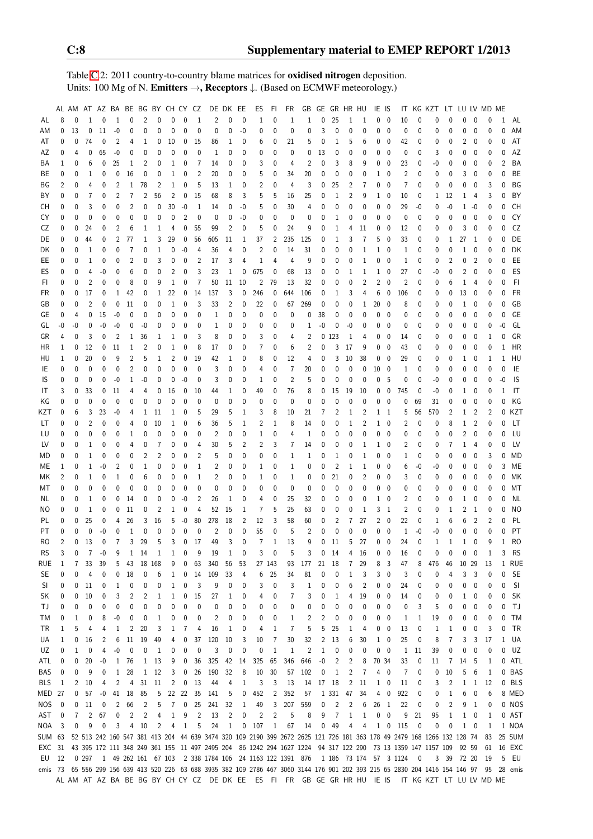Table [C.](#page-2-0)2: 2011 country-to-country blame matrices for oxidised nitrogen deposition. Units: 100 Mg of N. Emitters →, Receptors ↓. (Based on ECMWF meteorology.)

|            |                | AL AM       |                      |                   |                |                |                |                | AT AZ BA BE BG BY CH CY CZ |                |                |                  | DE DK EE                    |             | ES             | FI.            | FR             | GB                                                                             | GE           |                   | GR HR HU     |                               | IE IS        |                          |                |              | IT KG KZT LT LU LV MD ME                                                                                                 |                |                |                |              |              |           |
|------------|----------------|-------------|----------------------|-------------------|----------------|----------------|----------------|----------------|----------------------------|----------------|----------------|------------------|-----------------------------|-------------|----------------|----------------|----------------|--------------------------------------------------------------------------------|--------------|-------------------|--------------|-------------------------------|--------------|--------------------------|----------------|--------------|--------------------------------------------------------------------------------------------------------------------------|----------------|----------------|----------------|--------------|--------------|-----------|
| AL         | 8              | 0           | $\mathbf{1}$         | $\mathbf 0$       | $\mathbf{1}$   | 0              | $\overline{2}$ | 0              | $\mathbf{0}$               | $\mathbf{0}$   | $\mathbf{1}$   | 2                | 0                           | $\mathbf 0$ | 1              | 0              | 1              | 1                                                                              | 0            | 25                | 1            | 1                             |              | $0\quad 0$               | 10             | 0            | 0                                                                                                                        | $\Omega$       | 0              | 0              | 0            | $\mathbf{1}$ | AL        |
| ΑM         | 0              | 13          | 0                    | 11                | $-0$           | 0              | 0              | 0              | 0                          | 0              | 0              | 0                | 0                           | $-0$        | 0              | 0              | 0              | 0                                                                              | 3            | 0                 | 0            | $\mathbf 0$                   | 0            | $\overline{\phantom{0}}$ | 0              | 0            | 0                                                                                                                        | 0              | 0              | 0              | 0            | N            | AM        |
| AT         | 0              | 0           | 74                   | 0                 | $\overline{2}$ | 4              | 1              | 0              | 10                         | 0              | 15             | 86               | 1                           | 0           | 6              | 0              | 21             | 5                                                                              | 0            | 1                 | 5            | 6                             | 0            | 0                        | 42             | 0            | 0                                                                                                                        | 0              | 2              | 0              | 0            | N            | AT        |
| AZ         | 0              | 4           | 0                    | 65                | $-0$           | 0              | $\mathbf 0$    | 0              | 0                          | 0              | 0              | $\mathbf{1}$     | $\mathbf{0}$                | 0           | 0              | 0              | 0              | 0                                                                              | 13           | 0                 | 0            | $\mathbf 0$                   | 0            | - 0                      | 0              | 0            | 3                                                                                                                        | 0              | 0              | $\mathbf{0}$   | 0            | 0            | AZ        |
| BA         | 1              | 0           | 6                    | 0                 | 25             | 1              | 2              | 0              | 1                          | 0              | 7              | 14               | 0                           | $\mathbf 0$ | 3              | 0              | 4              | $\overline{2}$                                                                 | $\mathbf 0$  | 3                 | 8            | 9                             | 0            | 0                        | 23             | 0            | $-0$                                                                                                                     | 0              | 0              | 0              | 0            | 2            | BA        |
| ВE         | 0              | 0           | 1                    | 0                 | 0              | 16             | 0              | 0              | 1                          | 0              | $\overline{2}$ | 20               | 0                           | 0           | 5              | 0              | 34             | 20                                                                             | 0            | $\mathbf 0$       | 0            | 0                             | 1            | 0                        | $\overline{2}$ | 0            | 0                                                                                                                        | 0              | 3              | $\mathbf 0$    | 0            | N            | BE        |
| ΒG         | 2              | 0           | 4                    | 0                 | 2              | 1              | 78             | $\overline{2}$ | 1                          | 0              | 5              | 13               | 1                           | 0           | $\overline{2}$ | 0              | 4              | 3                                                                              | 0            | 25                | 2            | 7                             | 0            | - 0                      | 7              | $\mathbf 0$  | 0                                                                                                                        | 0              | 0              | 0              | 3            | N            | ΒG        |
| BY         | 0              | 0           | $\overline{7}$       | 0                 | 2              | 7              | 2              | 56             | $\overline{2}$             | 0              | 15             | 68               | 8                           | 3           | 5              | 5              | 16             | 25                                                                             | 0            | 1                 | 2            | 9                             | 1            | - 0                      | 10             | 0            | 1                                                                                                                        | 12             | 1              | 4              | 3            | N            | BY        |
| СH         | 0              | 0           | 3                    | 0                 | $\mathbf 0$    | $\overline{2}$ | 0              | 0              | 30                         | $-0$           | 1              | 14               | 0                           | $-0$        | 5              | 0              | 30             | $\overline{4}$                                                                 | 0            | 0                 | $\pmb{0}$    | $\pmb{0}$                     | 0            | $\overline{\phantom{0}}$ | 29             | $-0$         | 0                                                                                                                        | $-0$           | 1              | $-0$           | 0            | 0            | <b>CH</b> |
| CY         | 0              | 0           | 0                    | 0                 | $\mathbf 0$    | $\mathbf{0}$   | 0              | 0              | 0                          | $\overline{2}$ | $\mathbf{0}$   | $\mathbf{0}$     | $\mathbf 0$                 | $-0$        | 0              | 0              | 0              | 0                                                                              | $\mathbf 0$  | $\mathbf{1}$      | 0            | $\mathbf 0$                   | 0            | $\overline{\phantom{0}}$ | 0              | $\mathbf{0}$ | 0                                                                                                                        | 0              | 0              | $\mathbf{0}$   | 0            | $\Omega$     | CY        |
| CZ         | 0              | 0           | 24                   | 0                 | $\overline{2}$ | 6              | 1              | 1              | 4                          | 0              | 55             | 99               | 2                           | $\mathbf 0$ | 5              | 0              | 24             | 9                                                                              | $\mathbf 0$  | $\mathbf{1}$      | 4            | 11                            | 0            | - 0                      | 12             | 0            | 0                                                                                                                        | 0              | 3              | $\mathbf 0$    | $\mathbf 0$  | N            | CZ        |
| DE         | 0              | 0           | 44                   | 0                 | $\overline{2}$ | 77             | 1              | 3              | 29                         | 0              | 56             | 605              | 11                          | 1           | 37             | 2              | 235            | 125                                                                            | 0            | 1                 | 3            | $\overline{7}$                | 5            | - 0                      | 33             | 0            | 0                                                                                                                        | 1              | 27             | $\mathbf{1}$   | 0            | N            | DE        |
| DK         | 0              | 0           | 1                    | 0                 | 0              | 7              | 0              | 1              | 0                          | $-0$           | 4              | 36               | 4                           | 0           | 2              | 0              | 14             | 31                                                                             | 0            | 0                 | 0            | 1                             |              | $1 \quad 0$              | 1              | $\mathbf{0}$ | 0                                                                                                                        | 0              | 1              | 0              | 0            | N            | DK        |
| EE         | 0              | 0           | $\mathbf{1}$         | 0                 | 0              | $\overline{2}$ | 0              | 3              | 0                          | 0              | $\overline{2}$ | 17               | 3                           | 4           | $\mathbf{1}$   | 4              | 4              | 9                                                                              | 0            | $\mathbf 0$       | 0            | $\mathbf{1}$                  | 0            | $\mathbf{0}$             | $\mathbf{1}$   | 0            | 0                                                                                                                        | $\overline{2}$ | 0              | $\overline{2}$ | 0            | 0            | EE        |
| ES         | 0              | 0           | $\overline{4}$       | $-0$              | $\mathbf 0$    | 6              | 0              | $\mathbf 0$    | $\overline{2}$             | 0              | 3              | 23               | $\mathbf{1}$                | $\mathbf 0$ | 675            | 0              | 68             | 13                                                                             | 0            | 0                 | $\mathbf{1}$ | 1                             | $\mathbf{1}$ | $\overline{\mathbf{0}}$  | 27             | 0            | $-0$                                                                                                                     | $\mathbf{0}$   | $\overline{2}$ | $\mathbf 0$    | $\mathbf{0}$ | $\Omega$     | ES        |
| FI.        | 0              | 0           | $\overline{2}$       | 0                 | 0              | 8              | 0              | 9              | 1                          | 0              | $\overline{7}$ | 50               | 11                          | 10          | $\overline{2}$ | 79             | 13             | 32                                                                             | 0            | 0                 | 0            | 2                             | 2            | 0                        | $\overline{2}$ | 0            | 0                                                                                                                        | 6              | 1              | 4              | 0            | $\Omega$     | FI.       |
| FR         | 0              | 0           | 17                   | 0                 | $\mathbf{1}$   | 42             | 0              | 1              | 22                         | 0              | 14             | 137              | 3                           | $\mathbf 0$ | 246            | 0              | 644            | 106                                                                            | 0            | $\mathbf{1}$      | 3            | 4                             | 6            | 0                        | 106            | 0            | 0                                                                                                                        | 0              | 13             | 0              | 0            | N            | FR        |
| GB         | 0              | 0           | $\overline{2}$       | 0                 | 0              | 11             | 0              | 0              | 1                          | 0              | 3              | 33               | 2                           | 0           | 22             | 0              | 67             | 269                                                                            | 0            | 0                 | 0            | $\mathbf{1}$                  | 20           | - 0                      | 8              | 0            | 0                                                                                                                        | 0              | 1              | 0              | 0            | N            | GB        |
| GE         | 0              | 4           | 0                    | 15                | $-0$           | 0              | 0              | 0              | 0                          | 0              | 0              | 1                | 0                           | 0           | 0              | 0              | 0              | 0                                                                              | 38           | 0                 | 0            | 0                             | 0            | 0                        | 0              | 0            | 0                                                                                                                        | 0              | 0              | 0              | 0            | $\Omega$     | GE        |
| GL         | -0             | -0          | $\mathbf 0$          | $-0$              | $-0$           | 0              | $-0$           | 0              | 0                          | 0              | 0              | $\mathbf{1}$     | $\mathbf 0$                 | 0           | 0              | 0              | 0              | $\mathbf 1$                                                                    | $-0$         | $\mathbf 0$       | $-0$         | 0                             | 0            | - 0                      | 0              | 0            | 0                                                                                                                        | 0              | 0              | 0              | 0            | -0           | GL        |
| GR         | 4              | 0           | 3                    | 0                 | $\overline{2}$ | $\mathbf{1}$   | 36             | 1              | 1                          | 0              | 3              | 8                | 0                           | $\mathbf 0$ | 3              | 0              | 4              | 2                                                                              |              | 0123              | $\mathbf{1}$ | 4                             | 0            | 0                        | 14             | 0            | 0                                                                                                                        | 0              | 0              | 0              | 1            | 0            | GR        |
| HR         | 1              | 0           | 12                   | 0                 | 11             | 1              | $\overline{2}$ | 0              | 1                          | 0              | 8              | 17               | $\mathbf 0$                 | 0           | $\overline{7}$ | 0              | 6              | $\overline{2}$                                                                 | 0            | 3                 | 17           | 9                             |              | $0\quad 0$               | 43             | 0            | 0                                                                                                                        | 0              | 0              | 0              | 0            | 1            | HR        |
| HU         | 1              | 0           | 20                   | 0                 | 9              | 2              | 5              | 1              | $\overline{2}$             | $\mathbf 0$    | 19             | 42               | 1                           | 0           | 8              | 0              | 12             | 4                                                                              | 0            | 3                 | 10           | 38                            | 0            | $\overline{\phantom{0}}$ | 29             | 0            | 0                                                                                                                        | 0              | 1              | 0              | 1            | 1            | HU        |
| IE         | 0              | 0           | 0                    | 0                 | 0              | 2              | 0              | 0              | 0                          | 0              | 0              | 3                | $\mathbf{0}$                | $\mathbf 0$ | 4              | 0              | 7              | 20                                                                             | 0            | 0                 | 0            | 0                             | 10           | 0                        | 1              | 0            | 0                                                                                                                        | 0              | 0              | 0              | 0            | 0            | IE        |
| IS         | 0              | 0           | $\mathbf 0$          | 0                 | $-0$           | 1              | -0             | 0              | 0                          | $-0$           | 0              | 3                | $\mathbf 0$                 | 0           | 1              | 0              | $\overline{c}$ | 5                                                                              | 0            | $\mathbf{0}$      | $\mathbf 0$  | $\mathbf 0$                   | 0            | 5                        | 0              | 0            | $-0$                                                                                                                     | 0              | 0              | 0              | 0            | $-0$         | IS        |
| IT         | 3              | 0           | 33                   | 0                 | 11             | 4              | 4              | $\mathbf 0$    | 16                         | 0              | 10             | 44               | $\mathbf{1}$                | $\mathbf 0$ | 49             | 0              | 76             | 8                                                                              | 0            | 15                | 19           | 10                            | 0            | $\overline{\mathbf{0}}$  | 745            | $\mathbf{0}$ | -0                                                                                                                       | 0              | $\mathbf{1}$   | 0              | 0            | 1            | IT        |
| ΚG         | $\mathbf 0$    | 0           | 0                    | 0                 | $\mathbf 0$    | 0              | 0              | $\mathbf 0$    | 0                          | 0              | 0              | 0                | $\mathbf 0$                 | 0           | 0              | 0              | 0              | 0                                                                              | $\mathbf{0}$ | 0                 | 0            | $\mathbf 0$                   | 0            | 0                        | 0              | 69           | 31                                                                                                                       | 0              | 0              | 0              | 0            | N            | KG        |
| KZT        | 0              | 6           | 3                    | 23                | -0             | 4              | 1              | 11             | 1                          | 0              | 5              | 29               | 5                           | 1           | 3              | 8              | 10             | 21                                                                             | 7            | 2                 | $\mathbf{1}$ | $\overline{c}$                |              | $1\quad1$                | 5              | 56           | 570                                                                                                                      | 2              | 1              | $\overline{2}$ | 2            | 0            | KZT       |
| LТ         | 0              | 0           | 2                    | 0                 | 0              | 4              | 0              | 10             | 1                          | 0              | 6              | 36               | 5                           | 1           | 2              | 1              | 8              | 14                                                                             | 0            | 0                 | $\mathbf{1}$ | 2                             |              | $1\quad 0$               | 2              | 0            | 0                                                                                                                        | 8              | 1              | $\overline{2}$ | 0            | N            | LT        |
| LU         | 0              | 0           | 0                    | 0                 | 0              | 1              | 0              | $\mathbf 0$    | 0                          | 0              | 0              | 2                | $\mathbf 0$                 | $\mathbf 0$ | $\mathbf{1}$   | 0              | 4              | $\mathbf{1}$                                                                   | 0            | 0                 | 0            | $\mathbf 0$                   |              | $0\quad 0$               | 0              | 0            | 0                                                                                                                        | 0              | $\overline{2}$ | $\mathbf 0$    | 0            | 0            | LU        |
| LV.        | 0              | 0           | 1                    | $\mathbf 0$       | 0              | 4              | 0              | 7              | 0                          | 0              | 4              | 30               | 5                           | 2           | $\overline{c}$ | 3              | $\overline{7}$ | 14                                                                             | 0            | 0                 | 0            | 1                             |              | $1\quad 0$               | 2              | 0            | 0                                                                                                                        | 7              | $\mathbf{1}$   | 4              | 0            | N            | LV        |
|            | 0              | 0           | $\mathbf{1}$         | 0                 | 0              | 0              | 2              | 2              |                            | 0              | $\overline{2}$ | 5                | $\mathbf{0}$                | 0           | 0              | 0              | 1              | 1                                                                              | 0            | 1                 | 0            | 1                             |              | $0\quad 0$               | 1              | 0            | 0                                                                                                                        | 0              | 0              | $\mathbf 0$    | 3            | $\Omega$     | MD        |
| MD         |                |             | $\mathbf{1}$         | $-0$              |                |                |                |                | 0                          |                |                | 2                | $\mathbf 0$                 |             |                |                |                | 0                                                                              | 0            | $\overline{2}$    | $\mathbf{1}$ |                               |              |                          |                |              |                                                                                                                          | 0              |                | 0              |              | 3            | МE        |
| ME         | 1              | 0           |                      |                   | $\overline{2}$ | 0              | 1              | 0              | 0                          | 0              | 1              |                  |                             | 0           | 1              | 0              | 1              |                                                                                |              |                   |              | $\mathbf{1}$                  |              | $0\quad 0$               | 6              | -0           | -0                                                                                                                       |                | 0              |                | 0            | N            |           |
| МK         | 2<br>0         | 0<br>0      | 1<br>$\mathbf 0$     | 0<br>$\mathbf{0}$ | 1<br>0         | 0              | 6              | 0<br>0         | 0                          | 0<br>0         | 1<br>0         | 2<br>$\mathbf 0$ | $\mathbf 0$<br>$\mathbf{0}$ | 0           | 1              | 0<br>0         | 1<br>0         | 0<br>0                                                                         | 0<br>0       | 21<br>$\mathbf 0$ | 0<br>0       | $\overline{c}$<br>$\mathbf 0$ |              | $0\quad 0$               | 3              | 0            | 0                                                                                                                        | 0<br>0         | 0<br>0         | 0<br>0         | 0            | 0            | МK<br>MT  |
| МT         |                |             |                      |                   |                | 0              | 0              |                | 0                          |                |                |                  | $\mathbf{1}$                | 0           | 0              | $\mathbf{0}$   |                |                                                                                |              |                   | 0            |                               | 0            | 0<br>$1\quad 0$          | 0              | 0            | 0                                                                                                                        |                |                |                | 0            | N            |           |
| NL         | 0              | 0           | $\mathbf{1}$         | 0                 | $\mathbf{0}$   | 14             | 0              | $\mathbf 0$    | 0                          | $-0$           | 2              | 26               |                             | 0           | 4              |                | 25             | 32                                                                             | $\mathbf 0$  | $\mathbf 0$       |              | 0                             |              |                          | $\overline{2}$ | 0            | 0                                                                                                                        | 0              | 1              | 0              | $\mathbf{0}$ |              | ΝL        |
| NO         | 0              | 0           | 1                    | 0                 | 0              | 11             | 0              | $\overline{2}$ | 1                          | 0              | 4              | 52               | 15                          | 1           | 7              | 5              | 25             | 63                                                                             | 0            | 0                 | 0            | 1                             | 3            | $\overline{1}$           | 2              | $\mathbf{0}$ | 0                                                                                                                        | 1              | 2              | $\mathbf{1}$   | 0            | 0            | NO        |
| PL         | 0              | 0           | 25                   | 0                 | 4              | 26             | 3              | 16             | 5                          | -0             | 80             | 278              | 18                          | 2           | 12             | 3              | 58             | 60                                                                             | 0            | 2                 | 7            | 27                            | 2            | 0                        | 22             | 0            | 1                                                                                                                        | 6              | 6              | $\overline{2}$ | 2            | N            | PL        |
| PT         | 0              | 0           | 0                    | $-0$              | 0              | 1              | 0              | $\mathbf 0$    | 0                          | 0              | 0              | 2                | $\mathbf 0$                 | $\mathbf 0$ | 55             | 0              | 5              | $\overline{2}$                                                                 | 0            | 0                 | 0            | $\boldsymbol{0}$              | 0            | $\overline{\phantom{0}}$ | $\mathbf{1}$   | $-0$         | -0                                                                                                                       | 0              | 0              | $\mathbf 0$    | 0            | N            | PT        |
| RO         | $\overline{2}$ | $\mathbf 0$ | 13<br>$\overline{7}$ | $\mathbf 0$       | $\overline{7}$ | 3              | 29             | 5              | 3                          | $\mathbf{0}$   | 17             | 49               | 3                           | $\mathbf 0$ | $\overline{7}$ | 1              | 13             | 9                                                                              | $\mathbf 0$  | 11                | 5            | 27                            | $\mathbf{0}$ | $\overline{\phantom{0}}$ | 24             | $\mathbf{0}$ | $\mathbf 1$                                                                                                              | $\mathbf 1$    | $\mathbf 1$    | 0              | 9            | 1            | RO        |
| <b>RS</b>  | $\mathbf{3}$   | $\mathbf 0$ |                      | -0                | 9              |                |                |                |                            |                |                | 19               |                             | $\mathbf 0$ |                |                | 5              | 3 <sup>7</sup>                                                                 |              | $0$ 14            |              | $4$ 16                        |              | $0\quad 0$               | $16\,$         | $\mathbf 0$  | $\mathbf 0$                                                                                                              |                |                | 0              |              | 3            | <b>RS</b> |
| RUE        | 1              | 7           | 33                   | 39                | 5              | 43             | 18             | 168            | 9                          | 0              | 63             | 340              | 56                          | 53          |                | 27 143         | 93             | 177                                                                            | 21           | 18                | 7            | 29                            | 8            | 3                        | 47             | 8            | 476                                                                                                                      | 46             | 10 29          |                | 13           |              | 1 RUE     |
| SE         | 0              | 0           | 4                    | 0                 | 0              | 18             | 0              | 6              | 1                          | 0              | 14             | 109              | 33                          | 4           | 6              | 25             | 34             | 81                                                                             | 0            | 0                 | 1            | 3                             | 3            | $\overline{\phantom{0}}$ | 3              | 0            | 0                                                                                                                        | 4              | 3              | 3              | 0            | 0            | <b>SE</b> |
| SI         | 0              | 0           | 11                   | 0                 | 1              | 0              | 0              | 0              | 1                          | 0              | 3              | 9                | 0                           | 0           | 3              | 0              | 3              | 1                                                                              | 0            | 0                 | 6            | $\overline{2}$                | 0            | $\overline{\phantom{0}}$ | 24             | 0            | 0                                                                                                                        | 0              | 0              | 0              | 0            | 0            | SI        |
| SK         | 0              | 0           | 10                   | 0                 | 3              | 2              | 2              | 1              | 1                          | 0              | 15             | 27               | 1                           | 0           | 4              | 0              | 7              | 3                                                                              | 0            | 1                 | 4            | 19                            | 0            | $\overline{\phantom{0}}$ | 14             | 0            | 0                                                                                                                        | 0              | 1              | 0              | 0            | 0            | SK        |
| ТJ         | 0              | 0           | 0                    | 0                 | 0              | 0              | 0              | 0              | 0                          | 0              | 0              | 0                | 0                           | 0           | 0              | 0              | 0              | 0                                                                              | 0            | 0                 | 0            | 0                             |              | $0\quad 0$               | 0              | 3            | 5                                                                                                                        | 0              | 0              | 0              | 0            | 0            | TJ        |
| ТM         | 0              | 1           | $\boldsymbol{0}$     | 8                 | -0             | 0              | 0              | 1              | $\boldsymbol{0}$           | 0              | 0              | 2                | 0                           | 0           | 0              | 0              | 1              | 2                                                                              | 2            | 0                 | 0            | 0                             |              | $0\quad 0$               | 1              | 1            | 19                                                                                                                       | 0              | 0              | 0              | 0            | 0            | TM        |
| TR         | 1              | 5           | 4                    | 4                 | 1              | 2              | 20             | 3              | 1                          | 7              | 4              | 16               | 1                           | 0           | 4              | 1              | 7              | 5                                                                              | 5            | 25                | 1            | 4                             | 0            | $\overline{\phantom{0}}$ | 13             | 0            | 1                                                                                                                        | 1              | 0              | 0              | 3            | 0            | TR        |
| UA         | 1              | 0           | 16                   | 2                 | 6              | 11             | 19             | 49             | 4                          | 0              | 37             | 120              | 10                          | 3           | 10             | 7              | 30             | 32                                                                             | 2            | 13                | 6            | 30                            |              | $1\quad 0$               | 25             | 0            | 8                                                                                                                        | 7              | 3              | 3              | 17           | 1            | UA        |
| UZ         | 0              | 1           | 0                    | 4                 | -0             | 0              | 0              | 1              | 0                          | 0              | 0              | 3                | 0                           | 0           | 0              | 1              | 1              | $\overline{c}$                                                                 | 1            | 0                 | 0            | 0                             | 0            | $\overline{\phantom{0}}$ | 1              | 11           | 39                                                                                                                       | 0              | 0              | 0              | 0            | 0            | UZ        |
| ATL        | 0              | 0           | 20                   | $-0$              | 1              | 76             | 1              | 13             | 9                          | 0              | 36             | 325              | 42                          | 14          | 325            | 65             | 346            | 646                                                                            | -0           | $\overline{c}$    | 2            | 8                             | 70 34        |                          | 33             | 0            | 11                                                                                                                       | 7              | 14             | 5              | 1            |              | 0 ATL     |
| BAS        | 0              | 0           | 9                    | 0                 | 1              | 28             | 1              | 12             | 3                          | 0              | 26             | 190              | 32                          | 8           | 10             | 30             | 57             | 102                                                                            | 0            | 1                 | 2            | 7                             | 4            | $\overline{\phantom{0}}$ | 7              | 0            | 0                                                                                                                        | 10             | 5              | 6              | 1            |              | 0 BAS     |
| BLS        | 1              | 2           | 10                   | 4                 | 2              | 4              | 31             | 11             | 2                          | 0              | 13             | 44               | 4                           | 1           | 3              | 3              | 13             | 14                                                                             |              | 17 18             | 2            | 11                            |              | $1\quad 0$               | 11             | 0            | 3                                                                                                                        | 2              | 1              | 1              | 12           |              | 0 BLS     |
| MED        | 27             | 0           | 57                   | $-0$              | 41             | 18             | 85             | 5              | 22                         | 22             | 35             | 141              | 5                           | 0           | 452            | 2              | 352            | 57                                                                             |              | 1 3 3 1           | 47           | 34                            | 4            | $\overline{\mathbf{0}}$  | 922            | 0            | 0                                                                                                                        | 1              | 6              | 0              | 6            |              | 8 MED     |
| <b>NOS</b> | 0              | 0           | 11                   | 0                 | 2              | 66             | 2              | 5              | 7                          | 0              | 25             | 241              | 32                          | 1           | 49             | 3              | 207            | 559                                                                            | 0            | 2                 | 2            | 6                             | 26           | $\mathbf{1}$             | 22             | 0            | 0                                                                                                                        | 2              | 9              | 1              | 0            |              | 0 NOS     |
| AST        | 0              | 7           | 2                    | 67                | 0              | 2              | 2              | 4              | 1                          | 9              | $\overline{c}$ | 13               | 2                           | 0           | $\overline{c}$ | $\overline{c}$ | 5              | 8                                                                              | 9            | $\overline{7}$    | $\mathbf{1}$ | 1                             | 0            | $\mathbf 0$              | 9              | 21           | 95                                                                                                                       | 1              | 1              | 0              | 1            |              | 0 AST     |
| NOA        | 3              | 0           | 9                    | 0                 | 3              | 4              | 10             | 2              | 4                          | $\mathbf{1}$   | 5              | 24               | $\mathbf{1}$                | 0           | 107            | 1              | 67             | 14                                                                             | 0            | 49                | 4            | 4                             |              | $1\quad 0$               | 115            | 0            | 0                                                                                                                        | 0              | 1              | 0              | 1            |              | 1 NOA     |
| SUM 63     |                |             |                      |                   |                |                |                |                |                            |                |                |                  |                             |             |                |                |                |                                                                                |              |                   |              |                               |              |                          |                |              | 52 513 242 160 547 381 413 204 44 639 3474 320 109 2190 399 2672 2625 121 726 181 363 178 49 2479 168 1266 132 128 74    |                |                |                | 83           |              | 25 SUM    |
| EXC        | 31             |             |                      |                   |                |                |                |                |                            |                |                |                  |                             |             |                |                |                |                                                                                |              |                   |              |                               |              |                          |                |              | 43 395 172 111 348 249 361 155 11 497 2495 204 86 1242 294 1627 1224 94 317 122 290 73 13 1359 147 1157 109              |                | 92 59          |                | 61           |              | 16 EXC    |
| EU         | 12             |             | 0.297                |                   |                |                |                |                |                            |                |                |                  |                             |             |                |                |                | 1 49 262 161 67 103 2 338 1784 106 24 1163 122 1391 876 1 186 73 174 57 3 1124 |              |                   |              |                               |              |                          |                | 0            |                                                                                                                          |                | 3 39 72 20     |                | 19           |              | 5 EU      |
| emis 73    |                |             |                      |                   |                |                |                |                |                            |                |                |                  |                             |             |                |                |                |                                                                                |              |                   |              |                               |              |                          |                |              | 65 556 299 156 639 413 520 226 63 688 3935 382 109 2786 467 3060 3144 176 901 202 393 215 65 2830 204 1416 154 146 97 95 |                |                |                |              |              | 28 emis   |
|            |                |             |                      |                   |                |                |                |                |                            |                |                |                  |                             |             |                |                |                |                                                                                |              |                   |              |                               |              |                          |                |              | AL AM AT AZ BA BE BG BY CH CY CZ DE DK EE ES FI FR GB GE GR HR HU IE IS IT KG KZT LT LU LV MD ME                         |                |                |                |              |              |           |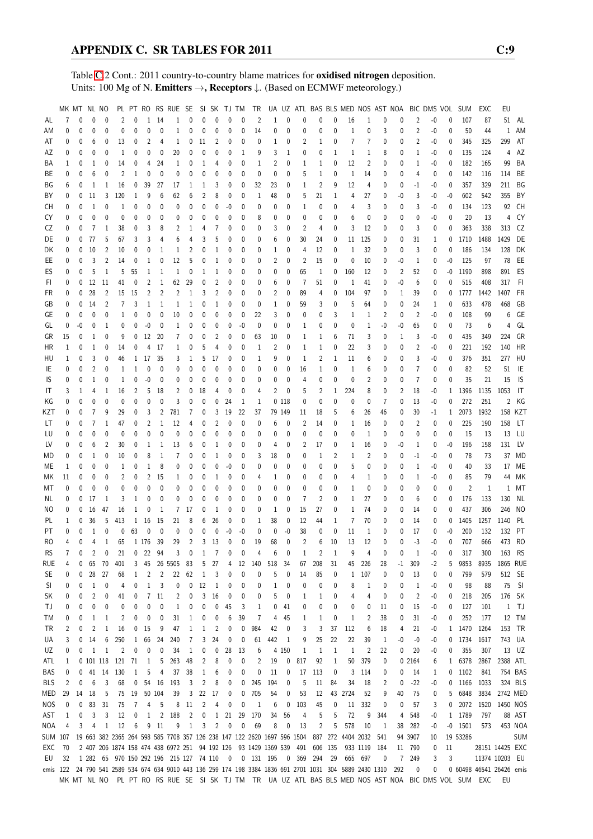Table [C.](#page-2-0)2 Cont.: 2011 country-to-country blame matrices for oxidised nitrogen deposition. Units: 100 Mg of N. **Emitters →, Receptors**  $\downarrow$ . (Based on ECMWF meteorology.)

|            | MK MT NL NO  |      |                |                |                |              |                |                | PL PT RO RS RUE SE                                                              |                |                |                |              |              | SISK TJTM TR   |                |              |                                                           |                |              |                                                                                                          |                | UA UZ ATL BAS BLS MED NOS AST NOA |                |                | BIC DMS VOL |              | <b>SUM</b>     | EXC                                                                                                 | EU              |            |
|------------|--------------|------|----------------|----------------|----------------|--------------|----------------|----------------|---------------------------------------------------------------------------------|----------------|----------------|----------------|--------------|--------------|----------------|----------------|--------------|-----------------------------------------------------------|----------------|--------------|----------------------------------------------------------------------------------------------------------|----------------|-----------------------------------|----------------|----------------|-------------|--------------|----------------|-----------------------------------------------------------------------------------------------------|-----------------|------------|
| AL         | 7            | 0    | 0              | 0              | $\overline{c}$ | 0            | 1              | 14             | 1                                                                               | $\mathbf{0}$   | 0              | $\mathbf{0}$   | $\mathbf{0}$ | $\mathbf{0}$ | $\overline{2}$ | 1              | $\mathbf{0}$ | 0                                                         | $\mathbf{0}$   | 0            | 16                                                                                                       | 1              | $\mathbf{0}$                      | 0              | 2              | $-0$        | 0            | 107            | 87                                                                                                  |                 | 51 AL      |
| ΑM         | 0            | 0    | 0              | 0              | 0              | 0            | 0              | 0              | 1                                                                               | 0              | 0              | 0              | 0            | 0            | 14             | 0              | 0            | 0                                                         | 0              | 0            | $\mathbf{1}$                                                                                             | 0              | 3                                 | 0              | 2              | -0          | 0            | 50             | 44                                                                                                  | $\mathbf{1}$    | AM         |
| AT         | 0            | 0    | 6              | 0              | 13             | 0            | 2              | 4              | 1                                                                               | 0              | 11             | 2              | 0            | 0            | 0              | 1              | 0            | 2                                                         | 1              | 0            | 7                                                                                                        | 7              | 0                                 | 0              | 2              | -0          | 0            | 345            | 325                                                                                                 | 299             | AT         |
| ΑZ         | 0            | 0    | 0              | 0              | 1              | 0            | 0              | 0              | 20                                                                              | 0              | 0              | 0              | $\mathbf 0$  | $\mathbf{1}$ | 9              | 3              | 1            | 0                                                         | 0              | 1            | 1                                                                                                        | 1              | 8                                 | 0              | 1              | -0          | 0            | 135            | 124                                                                                                 | 4               | AZ         |
| BA         | 1            | 0    | 1              | 0              | 14             | 0            | 4              | 24             | 1                                                                               | 0              | 1              | 4              | 0            | 0            | 1              | 2              | 0            | 1                                                         | 1              | 0            | 12                                                                                                       | 2              | 0                                 | 0              | 1              | -0          | 0            | 182            | 165                                                                                                 | 99              | BA         |
| BE         | 0            | 0    | 6              | 0              | 2              | 1            | 0              | $\mathbf 0$    | 0                                                                               | 0              | 0              | 0              | $\mathbf{0}$ | $\mathbf{0}$ | 0              | 0              | 0            | 5                                                         | 1              | 0            | $\mathbf{1}$                                                                                             | 14             | 0                                 | 0              | 4              | $\mathbf 0$ | $\mathbf{0}$ | 142            | 116                                                                                                 | 114             | BE         |
| ΒG         | 6            | 0    | 1              | 1              | 16             | 0            | 39             | 27             | 17                                                                              | 1              | 1              | 3              | 0            | 0            | 32             | 23             | 0            | 1                                                         | $\overline{2}$ | 9            | 12                                                                                                       | 4              | 0                                 | 0              | $-1$           | -0          | 0            | 357            | 329                                                                                                 | 211             | BG         |
| ΒY         | 0            | 0    | 11             | 3              | 120            | 1            | 9              | 6              | 62                                                                              | 6              | 2              | 8              | 0            | 0            | 1              | 48             | 0            | 5                                                         | 21             | 1            | 4                                                                                                        | 27             | 0                                 | -0             | 3              | -0          | $-0$         | 602            | 542                                                                                                 | 355             | BY         |
| СH         | 0            | 0    | $\mathbf{1}$   | 0              | 1              | 0            | 0              | 0              | 0                                                                               | 0              | 0              | 0              | $-0$         | $\mathbf{0}$ | 0              | 0              | 0            | 1                                                         | $\mathbf{0}$   | 0            | 4                                                                                                        | 3              | 0                                 | 0              | 3              | -0          | 0            | 134            | 123                                                                                                 | 92              | CH         |
| CY         | 0            | 0    | 0              | 0              | 0              | 0            | 0              | 0              | 0                                                                               | 0              | 0              | $\mathbf{0}$   | 0            | 0            | 8              | 0              | 0            | 0                                                         | 0              | 0            | 6                                                                                                        | 0              | 0                                 | 0              | 0              | -0          | 0            | 20             | 13                                                                                                  | 4               | CY         |
| CZ         | 0            | 0    | $\overline{7}$ | 1              | 38             | 0            | 3              | 8              | 2                                                                               | 1              | 4              | 7              | 0            | 0            | 0              | 3              | 0            | 2                                                         | 4              | 0            | 3                                                                                                        | 12             | 0                                 | 0              | 3              | 0           | 0            | 363            | 338                                                                                                 | 313             | CZ         |
| DE         | 0            | 0    | 77             | 5              | 67             | 3            | 3              | 4              | 6                                                                               | 4              | 3              | 5              | 0            | 0            | 0              | 6              | 0            | 30                                                        | 24             | 0            | 11                                                                                                       | 125            | 0                                 | 0              | 31             | 1           | 0            | 1710           | 1488                                                                                                | 1429            | DE         |
| DK         | 0            | 0    | 10             | 2              | 10             | 0            | 0              | 1              | 1                                                                               | 2              | 0              | 1              | 0            | 0            | 0              | 1              | 0            | 4                                                         | 12             | 0            | 1                                                                                                        | 32             | 0                                 | 0              | 3              | 0           | 0            | 186            | 134                                                                                                 | 128             | DK         |
| EE         | 0            | 0    | 3              | $\overline{c}$ | 14             | 0            | 1              | $\mathbf 0$    | 12                                                                              | 5              | 0              | $\mathbf{1}$   | $\mathbf{0}$ | 0            | 0              | 2              | 0            | 2                                                         | 15             | 0            | 0                                                                                                        | 10             | 0                                 | $-0$           | 1              | 0           | $-0$         | 125            | 97                                                                                                  | 78              | EE         |
| ES         | 0            | 0    | 5              | $\mathbf{1}$   | 5              | 55           | 1              | 1              | 1                                                                               | 0              | $\mathbf{1}$   | 1              | 0            | 0            | 0              | 0              | $\mathbf 0$  | 65                                                        | 1              | 0            | 160                                                                                                      | 12             | 0                                 | $\overline{2}$ | 52             | 0           | -0           | 1190           | 898                                                                                                 | 891             | ES         |
| FI         | 0            | 0    | 12             | 11             | 41             | 0            | 2              | 1              | 62                                                                              | 29             | 0              | 2              | 0            | 0            | 0              | 6              | 0            | 7                                                         | 51             | 0            | 1                                                                                                        | 41             | 0                                 | -0             | 6              | 0           | 0            | 515            | 408                                                                                                 | 317             | - FI       |
| FR         | 0            | 0    | 28             | $\overline{2}$ | 15             | 15           | 2              | $\overline{2}$ | 2                                                                               | $\mathbf{1}$   | 3              | 2              | 0            | 0            | 0              | 2              | 0            | 89                                                        | 4              | 0            | 104                                                                                                      | 97             | 0                                 | 1              | 39             | 0           | $\mathbf{0}$ | 1777           | 1442                                                                                                | 1407            | FR         |
| GB         | 0            | 0    | 14             | $\overline{2}$ | 7              | 3            | 1              | 1              | 1                                                                               | 1              | 0              | 1              | 0            | 0            | 0              | 1              | 0            | 59                                                        | 3              | 0            | 5                                                                                                        | 64             | 0                                 | 0              | 24             | 1           | 0            | 633            | 478                                                                                                 | 468             | GB         |
| GE         | 0            | 0    | 0              | 0              | 1              | 0            | 0              | 0              | 10                                                                              | $\mathbf{0}$   | 0              | $\mathbf 0$    | 0            | 0            | 22             | 3              | 0            | 0                                                         | 0              | 3            | 1                                                                                                        | 1              | 2                                 | 0              | $\overline{2}$ | -0          | 0            | 108            | 99                                                                                                  | 6               | GE         |
| GL         | 0            | $-0$ | 0              | $\mathbf{1}$   | 0              | 0            | $-0$           | 0              | 1                                                                               | 0              | 0              | 0              | 0            | $-0$         | 0              | 0              | 0            | 1                                                         | 0              | $\mathbf 0$  | 0                                                                                                        | 1              | -0                                | $-0$           | 65             | 0           | 0            | 73             | 6                                                                                                   | 4               | GL         |
| GR         | 15           | 0    | 1              | 0              | 9              | 0            | 12             | 20             | 7                                                                               | 0              | 0              | 2              | 0            | 0            | 63             | 10             | 0            | 1                                                         | 1              | 6            | 71                                                                                                       | 3              | 0                                 | 1              | 3              | -0          | $\mathbf{0}$ | 435            | 349                                                                                                 | 224             | GR         |
| HR         | $\mathbf{1}$ | 0    | 1              | 0              | 14             | 0            | $\overline{4}$ | 17             | $\mathbf{1}$                                                                    | 0              | 5              | $\overline{4}$ | $\mathbf 0$  | 0            | 1              | $\overline{2}$ | 0            | 1                                                         | $\mathbf{1}$   | 0            | 22                                                                                                       | 3              | 0                                 | 0              | 2              | -0          | 0            | 221            | 192                                                                                                 | 140             | HR         |
| HU         | 1            | 0    | 3              | 0              | 46             |              | 1 17           | 35             | 3                                                                               | $\mathbf{1}$   | 5              | 17             | $\mathbf 0$  | 0            | 1              | 9              | 0            | 1                                                         | 2              | 1            | 11                                                                                                       | 6              | 0                                 | 0              | 3              | -0          | 0            | 376            | 351                                                                                                 | 277             | HU         |
| IE         | 0            | 0    | 2              | 0              | 1              | 1            | 0              | 0              | 0                                                                               | 0              | 0              | $\mathbf{0}$   | 0            | 0            | 0              | 0              | 0            | 16                                                        | 1              | 0            | 1                                                                                                        | 6              | 0                                 | 0              | 7              | 0           | 0            | 82             | 52                                                                                                  | 51              | -IE        |
| IS         | 0            | 0    | $\mathbf{1}$   | 0              | 1              | 0            | $-0$           | 0              | 0                                                                               | 0              | 0              | 0              | $\mathbf 0$  | 0            | 0              | 0              | $\mathbf 0$  | 4                                                         | $\mathbf{0}$   | $\mathbf 0$  | $\mathbf 0$                                                                                              | $\overline{2}$ | 0                                 | 0              | $\overline{7}$ | 0           | 0            | 35             | 21                                                                                                  | 15              | IS.        |
| IT         | 3            | 1    | 4              | 1              | 16             | 2            | 5              | 18             | 2                                                                               | 0              | 18             | 4              | 0            | 0            | 4              | $\overline{2}$ | 0            | 5                                                         | $\overline{2}$ | 1            | 224                                                                                                      | 8              | 0                                 | 2              | 18             | -0          |              | 1 1396         | 1135                                                                                                | 1053            | ा          |
| ΚG         | 0            | 0    | 0              | 0              | 0              | 0            | 0              | $\mathbf 0$    | 3                                                                               | 0              | 0              | 0              | 24           | 1            | 1              |                | 0118         | 0                                                         | 0              | 0            | 0                                                                                                        | 0              | 7                                 | 0              | 13             | -0          | 0            | 272            | 251                                                                                                 |                 | 2 KG       |
| KZT        | 0            | 0    | 7              | 9              | 29             | 0            | 3              | $\overline{2}$ | 781                                                                             | $\overline{7}$ | 0              | 3              | 19           | 22           | 37             |                | 79 149       | 11                                                        | 18             | 5            | 6                                                                                                        | 26             | 46                                | 0              | 30             | $-1$        |              | 1 2073         | 1932                                                                                                |                 | 158 KZT    |
| LT         | 0            | 0    | 7              | 1              | 47             | 0            | 2              | 1              | 12                                                                              | 4              | 0              | 2              | 0            | 0            | 0              | 6              | 0            | 2                                                         | 14             | 0            | 1                                                                                                        | 16             | 0                                 | 0              | 2              | 0           | 0            | 225            | 190                                                                                                 | 158             | LT         |
| LU         | 0            | 0    | 0              | 0              | 0              | 0            | 0              | $\mathbf 0$    | 0                                                                               | 0              | 0              | 0              | $\mathbf 0$  | 0            | 0              | 0              | $\mathbf 0$  | 0                                                         | $\mathbf 0$    | 0            | 0                                                                                                        | 1              | 0                                 | 0              | 0              | 0           | $\mathbf{0}$ | 15             | 13                                                                                                  |                 | 13 LU      |
| LV         | 0            | 0    | 6              | $\overline{2}$ | 30             | 0            | 1              | 1              | 13                                                                              | 6              | 0              | 1              | 0            | 0            | 0              | 4              | 0            | 2                                                         | 17             | 0            | 1                                                                                                        | 16             | 0                                 | -0             | 1              | 0           | $-0$         | 196            | 158                                                                                                 |                 | 131 LV     |
| MD         | 0            | 0    | 1              | 0              | 10             | 0            | 8              | 1              | $\overline{7}$                                                                  | 0              | 0              | 1              | 0            | 0            | 3              | 18             | 0            | 0                                                         | 1              | 2            | 1                                                                                                        | 2              | 0                                 | 0              | $-1$           | -0          | 0            | 78             | 73                                                                                                  |                 | 37 MD      |
| МE         | 1            | 0    | 0              | 0              | $\mathbf{1}$   | 0            | 1              | 8              | 0                                                                               | 0              | 0              | 0              | $-0$         | 0            | 0              | 0              | 0            | 0                                                         | 0              | 0            | 5                                                                                                        | 0              | 0                                 | 0              | 1              | -0          | 0            | 40             | 33                                                                                                  |                 | 17 ME      |
| МK         | 11           | 0    | 0              | 0              | 2              | 0            | $\overline{c}$ | 15             | 1                                                                               | 0              | 0              | 1              | 0            | 0            | 4              | 1              | 0            | 0                                                         | 0              | 0            | 4                                                                                                        | 1              | 0                                 | 0              | 1              | -0          | 0            | 85             | 79                                                                                                  | 44              | МK         |
| МT         | 0            | 0    | 0              | 0              | 0              | 0            | 0              | $\mathbf 0$    | 0                                                                               | $\mathbf{0}$   | 0              | $\mathbf 0$    | $\mathbf 0$  | 0            | 0              | 0              | $\mathbf 0$  | 0                                                         | 0              | 0            | 1                                                                                                        | 0              | 0                                 | 0              | 0              | 0           | 0            | $\overline{2}$ | -1                                                                                                  |                 | 1 MT       |
| NL.        | 0            | 0    | 17             | 1              | 3              | 1            | 0              | $\pmb{0}$      | 0                                                                               | $\mathbf{0}$   | 0              | $\mathbf{0}$   | $\mathbf{0}$ | $\mathbf{0}$ | 0              | $\mathbf{0}$   | $\mathbf{0}$ | 7                                                         | $\overline{2}$ | $\mathbf{0}$ | 1                                                                                                        | 27             | 0                                 | 0              | 6              | 0           | 0            | 176            | 133                                                                                                 | 130             | NL         |
| NO         | 0            | 0    | 16             | 47             | 16             | 1            | 0              | 1              | 7                                                                               | 17             | 0              | 1              | 0            | 0            | 0              | 1              | 0            | 15                                                        | 27             | 0            | 1                                                                                                        | 74             | 0                                 | 0              | 14             | 0           | 0            | 437            | 306                                                                                                 | 246             | NO         |
| PL         | 1            | 0    | 36             | 5              | 413            | $\mathbf{1}$ | 16             | 15             | 21                                                                              | 8              | 6              | 26             | 0            | 0            | 1              | 38             | 0            | 12                                                        | 44             | 1            | 7                                                                                                        | 70             | 0                                 | 0              | 14             | 0           | $\mathbf{0}$ | 1405           | 1257                                                                                                | 1140            | PL         |
| PT         | 0            | 0    | $\mathbf{1}$   | $\mathbf 0$    | 0              | 63           | 0              | $\mathbf 0$    | 0                                                                               | 0              | 0              | $\mathbf 0$    | -0           | $-0$         | 0              | 0              | -0           | 38                                                        | 0              | 0            | 11                                                                                                       | $\mathbf{1}$   | $\mathbf 0$                       | 0              | 17             | 0           | -0           | 200            | 132                                                                                                 | 132             | PT         |
| RO         | 4            | 0    | 4              | $\mathbf{1}$   | 65             |              | 1 176 39       |                | 29                                                                              | $\overline{c}$ | 3              | 13             | 0            | $\mathbf 0$  | 19             | 68             | $\mathbf{0}$ | $\overline{c}$                                            | 6              | 10           | 13                                                                                                       | 12             | 0                                 | 0              | $-3$           | $-0$        | 0            | 707            | 666                                                                                                 |                 | 473 RO     |
| <b>RS</b>  |              | 70   | $2^{\circ}$    | $\overline{0}$ | 21             |              | $0$ 22         | 94             |                                                                                 | $3 \t 0 \t 1$  |                | 7 <sup>7</sup> | $\mathbf 0$  | $\mathbf 0$  |                | 6              |              |                                                           |                |              | 9                                                                                                        | $\overline{4}$ |                                   | 0              |                | -0          | 0            | 317            |                                                                                                     | 300 163 RS      |            |
| RUE        | 4            | 0    | 65             | 70             | 401            | 3            | 45             | 26             | 5505                                                                            | 83             | 5              | 27             | 4            | 12           | 140            | 518            | 34           | 67                                                        | 208            | 31           | 45                                                                                                       | 226            | 28                                | -1             | 309            | -2          | 5            | 9853           | 8935                                                                                                | 1865 RUE        |            |
| SE         | 0            | 0    | 28             | 27             | 68             | 1            | 2              | 2              | 22                                                                              | 62             | $\mathbf{1}$   | 3              | 0            | 0            | 0              | 5              | 0            | 14                                                        | 85             | 0            | $\mathbf{1}$                                                                                             | 107            | 0                                 | 0              | 13             | 0           | 0            | 799            | 579                                                                                                 |                 | 512 SE     |
| SI         | 0            | 0    | 1              | 0              | 4              | 0            | 1              | 3              | 0                                                                               | $\mathbf 0$    | 12             | 1              | 0            | 0            | 0              | 1              | 0            | 0                                                         | 0              | 0            | 8                                                                                                        | 1              | 0                                 | 0              | 1              | -0          | 0            | 98             | 88                                                                                                  | 75              | - SI       |
| SΚ.        | 0            | 0    | 2              | 0              | 41             | 0            | 7              | 11             | 2                                                                               | 0              | 3              | 16             | 0            | 0            | 0              | 5              | 0            | 1                                                         | 1              | 0            | 4                                                                                                        | 4              | 0                                 | 0              | 2              | -0          | 0            | 218            | 205                                                                                                 |                 | 176 SK     |
| ТJ         | 0            | 0    | 0              | 0              | 0              | 0            | 0              | 0              | 1                                                                               | 0              | 0              | 0              | 45           | 3            | 1              | 0              | 41           | 0                                                         | 0              | 0            | 0                                                                                                        | 0              | 11                                | 0              | 15             | -0          | 0            | 127            | 101                                                                                                 |                 | $1$ TJ     |
| ТM         | 0            | 0    | 1              | 1              | 2              | 0            | 0              | 0              | 31                                                                              | 1              | 0              | 0              | 6            | 39           | 7              | 4              | 45           | 1                                                         | 1              | 0            | 1                                                                                                        | $\overline{2}$ | 38                                | 0              | 31             | -0          | 0            | 252            | 177                                                                                                 |                 | 12 TM      |
| TR         | 2            | 0    | 2              | 1              | 16             | 0            | 15             | 9              | 47                                                                              | 1              | $\mathbf{1}$   | $\overline{2}$ | 0            | 0            | 984            | 42             | 0            | 3                                                         | 3              | 37           | 112                                                                                                      | 6              | 18                                | 4              | 21             | -0          |              | 1 1470         | 1264                                                                                                |                 | 153 TR     |
| UA         | 3            | 0    | 14             | 6              | 250            | 1            | 66             | 24             | 240                                                                             | $\overline{7}$ | 3              | 24             | 0            | 0            | 61             | 442            | -1           | 9                                                         | 25             | 22           | 22                                                                                                       | 39             | $\mathbf{1}$                      | -0             | -0             | -0          |              | 0 1734         | 1617                                                                                                |                 | 743 UA     |
| UZ         | 0            | 0    | 1              | 1              | 2              | 0            | 0              | 0              | 34                                                                              | $\mathbf{1}$   | 0              | 0              | 28           | 13           | 6              |                | 4 150        | 1                                                         | 1              | $\mathbf{1}$ | 1                                                                                                        | 2              | 22                                | 0              | 20             | -0          | 0            | 355            | 307                                                                                                 |                 | 13 UZ      |
| ATL        | 1            |      | 0 101 118      |                | 121            | 71           | $\mathbf{1}$   | 5              | 263                                                                             | 48             | 2              | 8              | 0            | 0            | 2              | 19             | 0            | 817                                                       | 92             | 1            | 50                                                                                                       | 379            | 0                                 |                | 0 2164         | 6           | $\mathbf{1}$ | 6378           | 2867                                                                                                | 2388 ATL        |            |
| BAS        | 0            | 0    | 41             | 14             | 130            | 1            | 5              | 4              | 37                                                                              | 38             | $\mathbf{1}$   | 6              | 0            | 0            | 0              | 11             | 0            | 17                                                        | 113            | 0            | 3                                                                                                        | 114            | 0                                 | 0              | 14             | 1           |              | $0$ 1102       | 841                                                                                                 |                 | 754 BAS    |
| <b>BLS</b> | 2            | 0    | 6              | 3              | 68             | 0            | 54             | 16             | 193                                                                             | 3              | 2              | 8              | 0            | 0            | 245            | 194            | 0            | 5                                                         | 11             | 84           | 34                                                                                                       | 18             | 2                                 | 0              | $-22$          | -0          |              | 0 1166         | 1033                                                                                                |                 | 324 BLS    |
| MED        | 29           | 14   | 18             | 5              | 75             | 19           | 50             | 104            | 39                                                                              | 3              | 22             | 17             | 0            | 0            | 705            | 54             | 0            | 53                                                        | 12             |              | 43 2724                                                                                                  | 52             | 9                                 | 40             | 75             | 0           | 5            | 6848           | 3834                                                                                                | 2742 MED        |            |
| NOS        | 0            | 0    | 83             | 31             | 75             | 7            | 4              | 5              | 8                                                                               | 11             | $\overline{c}$ | 4              | 0            | 0            | 1              | 6              | 0            | 103                                                       | 45             | 0            | 11                                                                                                       | 332            | 0                                 | 0              | 57             | 3           |              | $0$ 2072       | 1520                                                                                                | 1450 NOS        |            |
| AST        | 1            | 0    | 3              | 3              | 12             | 0            | 1              | $\overline{2}$ | 188                                                                             | $\overline{c}$ | 0              | $\mathbf{1}$   | 21           | 29           | 170            | 34             | 56           | 4                                                         | 5              | 5            | 72                                                                                                       | 9              | 344                               | 4              | 548            | -0          |              | 1 1789         | 797                                                                                                 |                 | 88 AST     |
| <b>NOA</b> | 4            | 3    | 4              | $\mathbf{1}$   | 12             | 6            | 9              | - 11           | 9                                                                               | $\mathbf{1}$   | 3              | 2              | $\mathbf 0$  | $\mathbf 0$  | 69             | 8              | 0            | 13                                                        | 2              | 5            | 578                                                                                                      | 10             | 1                                 | 38             | 282            | -0          |              | $-0$ 1501      | 573                                                                                                 |                 | 453 NOA    |
|            |              |      |                |                |                |              |                |                | SUM 107 19 663 382 2365 264 598 585 7708 357 126 238 147 122 2620 1697 596 1504 |                |                |                |              |              |                |                |              |                                                           |                |              | 887 272 4404 2032                                                                                        |                | 541                               |                | 94 3907        | 10          |              | 19 53286       |                                                                                                     |                 | <b>SUM</b> |
| EXC        | 70           |      |                |                |                |              |                |                | 2 407 206 1874 158 474 438 6972 251 94 192 126 93 1429 1369 539 491             |                |                |                |              |              |                |                |              |                                                           | 606 135        |              |                                                                                                          | 933 1119       | 184                               | 11             | 790            | 0           | 11           |                |                                                                                                     | 28151 14425 EXC |            |
| EU         | 32           |      |                |                |                |              |                |                |                                                                                 |                |                |                |              |              |                |                |              | 1 282 65 970 150 292 196 215 127 74 110 0 0 131 195 0 369 | 294            | 29           | 665                                                                                                      | 697            | 0                                 | $\overline{7}$ | 249            | 3           | 3            |                |                                                                                                     | 11374 10203 EU  |            |
|            |              |      |                |                |                |              |                |                |                                                                                 |                |                |                |              |              |                |                |              |                                                           |                |              | emis 122 24 790 541 2589 534 674 634 9010 443 136 259 174 198 3384 1836 691 2701 1031 304 5889 2430 1310 |                |                                   | 292            | 0              | 0           |              |                | 0 60498 46541 26426 emis                                                                            |                 |            |
|            |              |      |                |                |                |              |                |                |                                                                                 |                |                |                |              |              |                |                |              |                                                           |                |              |                                                                                                          |                |                                   |                |                |             |              |                | MK MT NL NO PL PT RO RS RUE SE SI SK TJ TM TR UA UZ ATL BAS BLS MED NOS AST NOA BIC DMS VOL SUM EXC | EU              |            |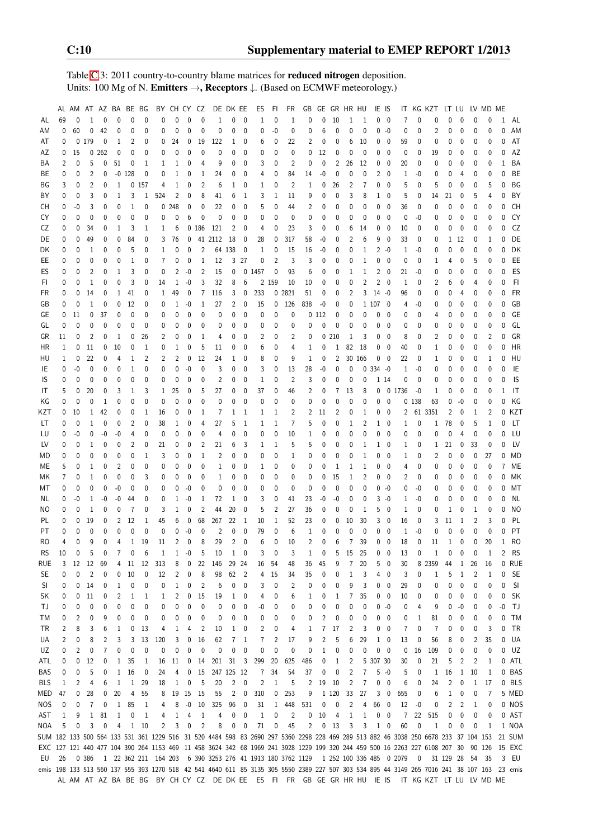Table [C.](#page-2-0)3: 2011 country-to-country blame matrices for reduced nitrogen deposition. Units: 100 Mg of N. Emitters →, Receptors ↓. (Based on ECMWF meteorology.)

|           |    |           |                | AL AM AT AZ BA BE BG |                |              |                |                | BY CH CY CZ |              |                         |                                                                                                                                             | DE DK EE               |                | ES             | FI.            | FR             | GB                  |                |                | GE GR HR HU    |                | IE IS          |                          |              |                          | IT KG KZT      |                 | LT LU          |             | LV MD        | МE       |           |
|-----------|----|-----------|----------------|----------------------|----------------|--------------|----------------|----------------|-------------|--------------|-------------------------|---------------------------------------------------------------------------------------------------------------------------------------------|------------------------|----------------|----------------|----------------|----------------|---------------------|----------------|----------------|----------------|----------------|----------------|--------------------------|--------------|--------------------------|----------------|-----------------|----------------|-------------|--------------|----------|-----------|
| AL        | 69 | 0         | 1              | 0                    | 0              | 0            | 0              | 0              |             | $\Omega$     | $\Omega$                | 1                                                                                                                                           | 0                      | 0              | 1              | 0              | 1              | $\mathbf{0}$        | $\Omega$       | 10             | 1              | 1              |                | $0\quad 0$               | 7            | $\mathbf 0$              | 0              | $\Omega$        | 0              | 0           | 0            | 1        | AL        |
| ΑM        | 0  | 60        | 0              | 42                   | 0              | 0            | 0              | 0              | 0           | 0            | 0                       | 0                                                                                                                                           | 0                      | 0              | 0              | $-0$           | 0              | 0                   | 6              | 0              | 0              | 0              |                | $0 - 0$                  | 0            | 0                        | 2              | 0               | 0              | O           | 0            | U        | AM        |
| AT        | 0  | 0         | 179            | 0                    | 1              | 2            | 0              | 0              | 24          | 0            | 19                      | 122                                                                                                                                         | 1                      | 0              | 6              | 0              | 22             | 2                   | 0              | 0              | 6              | 10             | 0              | 0                        | 59           | 0                        | 0              | 0               | 0              | 0           | 0            | 0        | AT        |
| AZ        | 0  | 15        |                | 0.262                | 0              | 0            | 0              | 0              | $\Omega$    | $\mathbf{0}$ | 0                       | 0                                                                                                                                           | 0                      | 0              | 0              | $\mathbf 0$    | $\mathbf{0}$   | $\mathbf{0}$        | 12             | 0              | $\mathbf 0$    | 0              | 0              | 0                        | 0            | $\mathbf 0$              | 19             | 0               | 0              | 0           | 0            | 0        | AZ        |
| ΒA        | 2  | 0         | 5              | 0                    | 51             | 0            | 1              | 1              | 1           | 0            | 4                       | 9                                                                                                                                           | 0                      | 0              | 3              | 0              | 2              | 0                   | 0              | $\overline{c}$ | 26             | 12             | 0              | 0                        | 20           | $\mathbf 0$              | 0              | 0               | 0              | 0           | 0            | 1        | BA        |
| ВE        | 0  | 0         | 2              | 0                    | -0             | 128          | 0              | 0              | 1           | 0            | 1                       | 24                                                                                                                                          | 0                      | 0              | 4              | 0              | 84             | 14                  | -0             | 0              | 0              | 0              | 2              | 0                        | 1            | $-0$                     | 0              | 0               | 4              | 0           | 0            | 0        | BE        |
| ΒG        | 3  | 0         | 2              | 0                    | 1              | 0            | 157            | 4              | 1           | $\mathbf 0$  | $\overline{2}$          | 6                                                                                                                                           | 1                      | - 0            | 1              | 0              | 2              | 1                   | 0              | 26             | 2              | 7              | 0              | 0                        | 5            | 0                        | 5              | 0               | 0              | 0           | 5            | 0        | ΒG        |
| BY        | 0  | 0         | 3              | 0                    | 1              | 3            | 1              | 524            | 2           | $\mathbf 0$  | 8                       | 41                                                                                                                                          | 6                      | 1              | 3              | 1              | 11             | 9                   | 0              | 0              | 3              | 8              | 1              | 0                        | 5            | 0                        | 14             | 21              | 0              | 5           | 4            | 0        | BY        |
| CH        | 0  | -0        | 3              | 0                    | 0              | 1            | 0              |                | 0.248       | 0            | 0                       | 22                                                                                                                                          | 0                      | 0              | 5              | 0              | 44             | 2                   | 0              | 0              | 0              | 0              | 0              | 0                        | 36           | 0                        | 0              | $\Omega$        | 0              | 0           | 0            | 0        | <b>CH</b> |
| CY        | 0  | 0         | $\mathbf{0}$   | 0                    | 0              | 0            | 0              | $\mathbf 0$    | 0           | 6            | $\mathbf{0}$            | $\bf{0}$                                                                                                                                    | 0                      | 0              | 0              | 0              | $\mathbf{0}$   | 0                   | 0              | 0              | 0              | $\mathbf{0}$   | 0              | $\mathbf{0}$             | 0            | $-0$                     | 0              | 0               | $\mathbf{0}$   | 0           | 0            | U        | CY        |
| CZ        | 0  | 0         | 34             | 0                    |                | 3            |                |                | 6           |              | 0 186                   | 121                                                                                                                                         | $\overline{2}$         | 0              | 4              | 0              | 23             | 3                   | 0              | 0              | 6              | 14             | 0              | $\mathbf 0$              | 10           |                          | 0              | 0               | 0              | $\mathbf 0$ | 0            | 0        | CZ        |
|           | 0  |           |                |                      | 1              |              | 1              | 1              |             |              |                         |                                                                                                                                             |                        |                |                |                |                |                     |                | 0              |                |                |                |                          |              | 0                        |                |                 |                |             |              | 0        | DE        |
| DE        |    | 0         | 49             | 0                    | 0              | 84           | 0              | 3              | 76          | 0            |                         | 41 2112                                                                                                                                     | - 18                   | 0              | 28             | 0              | 317            | 58                  | -0             |                | 2              | 6              | 9              | 0                        | 33           | 0                        | 0              | 1               | 12             | 0           | 1            |          |           |
| DK        | 0  | 0         | 1              | 0                    | 0              | 5            | 0              | 1              | 0           | 0            | $\overline{2}$          |                                                                                                                                             | 64 138                 | 0              | 1              | 0              | 15             | 16                  | $-0$           | 0              | 0              | 1              |                | $2 -0$                   | 1            | $-0$                     | 0              | $\Omega$        | 0              | 0           | 0            | 0        | DK        |
| EE        | 0  | 0         | 0              | 0                    | 0              | 1            | 0              | $\overline{7}$ | 0           | 0            | 1                       | 12                                                                                                                                          |                        | 3 27           | 0              | $\overline{2}$ | 3              | 3                   | 0              | 0              | 0              | 1              | 0              | $\overline{\phantom{0}}$ | 0            | $\mathbf 0$              | 1              | 4               | 0              | 5           | 0            | 0        | EE        |
| ES        | 0  | 0         | $\overline{2}$ | 0                    | 1              | 3            | 0              | 0              | 2           | $-0$         | $\overline{2}$          | 15                                                                                                                                          | 0                      |                | 0 1457         | 0              | 93             | 6                   | 0              | 0              | 1              | 1              | 2              | $\overline{\phantom{0}}$ | 21           | -0                       | 0              | 0               | 0              | 0           | 0            | 0        | ES        |
| FI        | 0  | 0         | $\mathbf{1}$   | 0                    | 0              | 3            | 0              | 14             | 1           | $-0$         | 3                       | 32                                                                                                                                          | 8                      | 6              |                | 2 159          | 10             | 10                  | 0              | 0              | 0              | $\overline{2}$ | $\overline{2}$ | $\overline{\phantom{0}}$ | 1            | 0                        | $\overline{2}$ | 6               | 0              | 4           | 0            | 0        | FI        |
| FR        | 0  | 0         | 14             | 0                    | 1              | 41           | 0              | 1              | 49          | 0            | $\overline{7}$          | 116                                                                                                                                         | 3                      | 0              | 233            |                | 0 2821         | 51                  | 0              | 0              | 2              | 3              | $14 - 0$       |                          | 96           | 0                        | 0              | 0               | 4              | 0           | 0            | 0        | FR        |
| GB        | 0  | 0         | 1              | 0                    | 0              | 12           | 0              | 0              | 1           | -0           | 1                       | 27                                                                                                                                          | 2                      | 0              | 15             | 0              | 126            | 838                 | -0             | 0              | 0              |                | 1 107 0        |                          | 4            | -0                       | 0              | 0               | 0              | 0           | 0            | O        | GB        |
| GE        | 0  | 11        | 0              | 37                   | 0              | 0            | 0              | 0              | 0           | $\mathbf 0$  | 0                       | 0                                                                                                                                           | 0                      | $\mathbf 0$    | 0              | 0              | 0              |                     | 0112           | $\bf{0}$       | 0              | 0              | 0              | 0                        | 0            | 0                        | 4              | 0               | 0              | 0           | 0            | $\Omega$ | GE        |
| GL        | 0  | 0         | 0              | 0                    | 0              | 0            | 0              | 0              | 0           | $\mathbf{0}$ | 0                       | 0                                                                                                                                           | 0                      | 0              | 0              | 0              | 0              | 0                   | 0              | 0              | 0              | 0              | 0              | - 0                      | 0            | 0                        | 0              | 0               | 0              | 0           | 0            | 0        | GL        |
| GR        | 11 | 0         | $\overline{2}$ | 0                    | 1              | 0            | 26             | 2              | 0           | 0            | 1                       | 4                                                                                                                                           | 0                      | 0              | 2              | 0              | 2              | 0                   |                | 0210           | $\mathbf{1}$   | 3              | 0              | $\overline{\phantom{0}}$ | 8            | $\mathbf 0$              | $\overline{2}$ | 0               | 0              | 0           | 2            | 0        | GR        |
| HR        | 1  | 0         | 11             | 0                    | 10             | 0            | 1              | 0              | 1           | 0            | 5                       | 11                                                                                                                                          | 0                      | 0              | 6              | 0              | $\overline{4}$ | 1                   | 0              | $\mathbf{1}$   |                | 82 18          | 0              | - 0                      | 40           | 0                        | 1              | 0               | 0              | 0           | 0            | 0        | HR        |
| HU        | 1  | 0         | 22             | 0                    | 4              | 1            | $\overline{2}$ | $\overline{2}$ | 2           | 0            | 12                      | 24                                                                                                                                          | 1                      | 0              | 8              | 0              | 9              | 1                   | 0              | $\overline{2}$ |                | 30 166         |                | $0\quad 0$               | 22           | 0                        | 1              | 0               | 0              | 0           | 1            | 0        | HU        |
| IE        | 0  | $-0$      | 0              | 0                    | 0              | 1            | 0              | 0              | 0           | $-0$         | $\mathbf{0}$            | 3                                                                                                                                           | 0                      | 0              | 3              | 0              | 13             | 28                  | $-0$           | 0              | 0              | 0              | $334 - 0$      |                          | 1            | $-0$                     | 0              | 0               | 0              | 0           | 0            | O        | IE        |
| IS        | 0  | 0         | 0              | 0                    | 0              | 0            | 0              | $\mathbf 0$    | 0           | 0            | 0                       | $\overline{c}$                                                                                                                              | 0                      | 0              | 1              | 0              | $\overline{2}$ | 3                   | 0              | 0              | 0              | 0              |                | 1 14                     | 0            | $\mathbf 0$              | 0              | 0               | 0              | 0           | 0            | 0        | IS        |
| IT        | 5  | 0         | 20             | 0                    | 3              | 1            | 3              | 1              | 25          | 0            | 5                       | 27                                                                                                                                          | 0                      | 0              | 37             | 0              | 46             | 2                   | 0              | $\overline{7}$ | 13             | 8              | 0              |                          | 0 1736       | $-0$                     | 1              | 0               | 0              | 0           | 0            | 1        | IT        |
| ΚG        | 0  | 0         | 0              | $\mathbf{1}$         | 0              | 0            | 0              | $\mathbf 0$    | 0           | 0            | $\mathbf{0}$            | $\bf{0}$                                                                                                                                    | 0                      | 0              | 0              | 0              | 0              | 0                   | 0              | 0              | 0              | 0              | 0              | $\overline{0}$           |              | 0138                     | 63             | 0               | $-0$           | 0           | 0            | 0        | КG        |
| KZT       | 0  | 10        | 1              | 42                   | 0              | 0            | 1              | 16             | 0           | 0            | 1                       | 7                                                                                                                                           | 1                      | -1             | 1              | 1              | 2              | $\overline{c}$      | 11             | 2              | 0              | 1              | 0              | $\overline{\phantom{0}}$ | 2            |                          | 61 3351        | 2               | 0              | 1           | 2            | O        | KZT       |
| LТ        | 0  | 0         | 1              | 0                    | 0              | 2            | 0              | 38             | 1           | 0            | 4                       | 27                                                                                                                                          | 5                      | 1              | 1              | 1              | $\overline{7}$ | 5                   | 0              | 0              | 1              | 2              |                | $1\quad 0$               | 1            | $\mathbf 0$              | 1              | 78              | 0              | 5           | 1            | O        | LT        |
| LU        | 0  | $-0$      | 0              | $-0$                 | $-0$           | 4            | 0              | 0              | 0           | $\mathbf 0$  | 0                       | 4                                                                                                                                           | 0                      | $\mathbf 0$    | 0              | 0              | 10             | 1                   | 0              | 0              | 0              | 0              | 0              | $\overline{\phantom{0}}$ | 0            | $\mathbf 0$              | 0              | 0               | $\overline{4}$ | 0           | 0            | 0        | LU        |
| LV        | 0  | 0         | 1              | 0                    | 0              | 2            | 0              | 21             | 0           | $\mathbf 0$  | $\overline{2}$          | 21                                                                                                                                          | 6                      | 3              | 1              | 1              | 5              | 5                   | 0              | 0              | 0              | 1              |                | 1 0                      | 1            | 0                        | 1              | 21              | $\mathbf 0$    | 33          | 0            | 0        | LV        |
| MD        | 0  | 0         | 0              | 0                    | 0              | 0            | 1              | 3              | 0           | $\mathbf 0$  | 1                       | $\overline{2}$                                                                                                                              | 0                      | 0              | 0              | $\mathbf 0$    | 1              | 0                   | 0              | 0              | 0              | $\mathbf{1}$   | 0              | - 0                      | 1            | 0                        | $\overline{2}$ | 0               | 0              | 0           | 27           | O        | MD        |
| МE        | 5  | 0         | 1              | 0                    | $\overline{2}$ | 0            | 0              | 0              | 0           | 0            | 0                       | 1                                                                                                                                           | 0                      | 0              | 1              | 0              | $\mathbf{0}$   | 0                   | 0              | 1              | $\mathbf{1}$   | $\mathbf{1}$   |                | $0\quad 0$               | 4            | 0                        | 0              | 0               | 0              | 0           | $\mathbf{0}$ |          | ME        |
| ΜK        | 7  | 0         | 1              | 0                    | 0              | 0            | 3              | $\mathbf 0$    | 0           | 0            | 0                       | 1                                                                                                                                           | 0                      | 0              | 0              | 0              | $\mathbf{0}$   | 0                   | 0              | 15             | 1              | 2              | 0              | $\overline{\phantom{0}}$ | 2            | 0                        | 0              | 0               | 0              | 0           | 0            | O        | МK        |
| МT        | 0  | 0         | 0              | 0                    | -0             | 0            | 0              | $\mathbf 0$    | 0           | $-0$         | 0                       | 0                                                                                                                                           | 0                      | $\mathbf 0$    | 0              | 0              | $\mathbf{0}$   | 0                   | 0              | 0              | 0              | 0              | 0              | $-0$                     | 0            | $-0$                     | 0              | 0               | 0              | 0           | 0            | 0        | МT        |
| NL.       | 0  | $-0$      | 1              | $-0$                 | $-0$           | 44           | 0              | $\mathbf 0$    | 1           | $-0$         | 1                       | 72                                                                                                                                          | 1                      | 0              | 3              | 0              | 41             | 23                  | -0             | $-0$           | 0              | 0              |                | $3 - 0$                  | 1            | -0                       | 0              | 0               | $\mathbf{0}$   | 0           | 0            | 0        | NL        |
|           | 0  |           |                |                      |                |              |                |                | 1           |              | $\overline{2}$          | 44                                                                                                                                          | 20                     | 0              |                | 2              |                | 36                  |                |                |                |                |                |                          |              | 0                        |                |                 | 0              |             | 0            | O        |           |
| NO.       |    | 0         | 1              | 0                    | 0              | 7            | 0              | 3              |             | 0            |                         |                                                                                                                                             |                        |                | 5              |                | 27             |                     | 0              | 0              | 0              | 1              | 5              | $\overline{\phantom{0}}$ | 1            |                          | 0              | 1               |                | 1           |              |          | NO        |
| PL        | 0  | 0         | 19             | 0                    | 2              | 12           | 1              | 45             | 6           | 0            | 68                      | 267                                                                                                                                         | 22                     | 1              | 10             | 1              | 52             | 23                  | 0              | 0              | 10             | 30             | 3              | 0                        | 16           | 0                        | 3              | 11              | 1              | 2           | 3            |          | PL        |
| РT        | 0  | 0         | 0              | 0                    | $\Omega$       | 0            | $\Omega$       | 0              | 0           | $-0$         | 0                       | $\overline{c}$                                                                                                                              | 0                      | 0              | 79             | 0              | 6              | 1                   | 0              | 0              | 0              | 0              | 0              | $\mathbf 0$              | $\mathbf{1}$ | $-0$                     | 0              | $\Omega$        | 0              | 0           | 0            | U        | PT        |
| RO        | 4  | 0         | 9              | 0                    | $\overline{4}$ | $\mathbf{1}$ | 19             | 11             | 2           | 0            | 8                       | 29                                                                                                                                          | $\overline{2}$         | $\mathbf{0}$   | 6              | 0              | 10             | $\overline{2}$<br>1 | 0              | 6              | $\overline{7}$ | 39             | 0              | $\overline{0}$           | 18           | $\mathbf{0}$             | 11<br>1        | 1               | $\mathbf 0$    | $\mathbf 0$ | 20           | 1        | RO        |
| <b>RS</b> | 10 | $\pmb{0}$ |                |                      |                | 0            |                | 1              |             | $1 - 0$      | 5                       |                                                                                                                                             | $10 \qquad 1 \qquad 0$ |                | 3              | 0              | $\mathbf{3}$   |                     | $\mathbf 0$    |                | 5 15 25        |                |                | $0\quad 0$               | 13           | $\pmb{0}$                |                |                 | $0\quad 0$     | $\Omega$    | $\mathbf{1}$ |          | 2 RS      |
| rue       | 3  | 12        | 12             | 69                   | 4              | 11           | 12             | 313            | 8           | 0            | 22                      | 146                                                                                                                                         | 29                     | -24            | 16             | 54             | 48             | 36                  | 45             | 9              | 7              | 20             | 5              | 0                        | 30           |                          | 8 2359         | 44              | 1              | 26          | 16           |          | 0 RUE     |
| SE        | 0  | 0         | 2              | 0                    | 0              | 10           | 0              | 12             | 2           | 0            | 8                       | 98                                                                                                                                          | 62                     | $\overline{2}$ | 4              | 15             | 34             | 35                  | 0              | 0              | 1              | 3              | 4              | 0                        | 3            | 0                        | 1              | 5               | 1              | 2           | 1            | 0        | SE        |
| SI        | 0  | 0         | 14             | 0                    | 1              | 0            | 0              | 0              | 1           | 0            | $\overline{\mathbf{c}}$ | 6                                                                                                                                           | 0                      | 0              | 3              | 0              | 2              | 0                   | 0              | 0              | 9              | 3              | 0              | 0                        | 29           | 0                        | 0              | 0               | 0              | 0           | 0            | 0        | SI        |
| SK        | 0  | 0         | 11             | 0                    | $\overline{c}$ | 1            | 1              | 1              | 2           | 0            | 15                      | 19                                                                                                                                          | 1                      | 0              | 4              | 0              | 6              | 1                   | 0              | 1              | 7              | 35             | 0              | $\overline{\phantom{0}}$ | 10           | 0                        | 0              | 0               | 0              | 0           | 0            | 0        | <b>SK</b> |
| ТJ        | 0  | 0         | 0              | 0                    | 0              | 0            | 0              | 0              | 0           | 0            | 0                       | 0                                                                                                                                           | 0                      | 0              | -0             | 0              | 0              | 0                   | 0              | 0              | 0              | 0              |                | $0 - 0$                  | 0            | 4                        | 9              | 0               | -0             | 0           | 0            | -0       | - TJ      |
| ТM        | 0  | 2         | 0              | 9                    | 0              | 0            | 0              | 0              | 0           | 0            | 0                       | 0                                                                                                                                           | 0                      | 0              | 0              | 0              | 0              | 0                   | 2              | 0              | 0              | 0              | 0              | $\overline{\phantom{0}}$ | 0            | 1                        | 81             | 0               | 0              | 0           | 0            | 0        | TM        |
| ΤR        | 2  | 8         | 3              | 6                    | 1              | 0            | 13             | 4              | 1           | 4            | $\overline{c}$          | 10                                                                                                                                          | 1                      | 0              | $\overline{2}$ | 0              | 4              | 1                   | $\overline{7}$ | 17             | 2              | 3              | 0              | $\overline{\phantom{0}}$ | 7            | 0                        | 7              | 0               | 0              | 0           | 3            | 0        | TR        |
| UA        | 2  | 0         | 8              | 2                    | 3              | 3            | 13             | 120            | 3           | 0            | 16                      | 62                                                                                                                                          | 7                      | 1              | 7              | 2              | 17             | 9                   | 2              | 5              | 6              | 29             |                | $1\quad 0$               | 13           | 0                        | 56             | 8               | 0              | 2           | 35           | 0        | UA        |
| UZ        | 0  | 2         | 0              | 7                    | 0              | 0            | 0              | 0              | 0           | 0            | 0                       | 0                                                                                                                                           | 0                      | 0              | 0              | 0              | 0              | 0                   | $\mathbf{1}$   | 0              | 0              | 0              | 0              | $\overline{\phantom{0}}$ | 0            | 16                       | 109            | 0               | 0              | 0           | 0            | 0        | UZ        |
| ATL       | 0  | 0         | 12             | 0                    | 1              | 35           | 1              | 16             | 11          | 0            | 14                      | 201                                                                                                                                         | 31                     | 3              | 299            | 20             | 625            | 486                 | 0              | 1              | 2              | 5              | 307 30         |                          | 30           | 0                        | 21             | 5               | 2              | 2           | 1            |          | 0 ATL     |
| BAS       | 0  | 0         | 5              | 0                    | 1              | 16           | 0              | 24             | 4           | 0            | 15                      |                                                                                                                                             | 247 125 12             |                | 7              | 34             | 54             | 37                  | 0              | 0              | 2              | 7              |                | $5 - 0$                  | 5            | 0                        | 1              | 16              | 1              | 10          | 1            |          | 0 BAS     |
| BLS       | 1  | 2         | 4              | 6                    | 1              | 1            | 29             | 18             | 1           | 0            | 5                       | 20                                                                                                                                          | 2                      | 0              | 2              | 1              | 5              | 2                   | 19             | 10             | 2              | 7              | 0              | - 0                      | 6            | 0                        | 24             | 2               | 0              | 1           | 17           |          | 0 BLS     |
| MED       | 47 | 0         | 28             | 0                    | 20             | 4            | 55             | 8              | 19          | 15           | -15                     | 55                                                                                                                                          | 2                      | 0              | 310            | 0              | 253            | 9                   |                | 1 1 2 0        | 33             | 27             | 3              | $\overline{\phantom{0}}$ | 655          | 0                        | 6              | 1               | 0              | 0           | 7            |          | 5 MED     |
| NOS       | 0  | 0         | 7              | 0                    | 1              | 85           | 1              | 4              | 8           | $-0$         | 10                      | 325                                                                                                                                         | 96                     | 0              | 31             | 1              | 448            | 531                 | 0              | 0              | 2              | 4              | 66             | $\overline{\phantom{0}}$ | 12           | -0                       | 0              | 2               | 2              | 1           | 0            |          | 0 NOS     |
| AST       | 1  | 9         | 1              | 81                   | 1              | 0            | 1              | 4              | 1           | 4            | 1                       | 4                                                                                                                                           | 0                      | 0              | 1              | 0              | $\overline{c}$ | 0                   | 10             | 4              | 1              | 1              | 0              | $\overline{\mathbf{0}}$  | 7            | 22                       | 515            | 0               | 0              | 0           | 0            |          | 0 AST     |
| NOA       | 5  | 0         | 3              | 0                    | 4              | $\mathbf{1}$ | 10             | $\overline{c}$ | 3           | 0            | $\overline{2}$          | 8                                                                                                                                           | 0                      | 0              | 71             | 0              | 45             | $\overline{c}$      | $\mathbf 0$    | 13             | 3              | 3              |                | $1\quad 0$               | 60           | 0                        | 1              | 0               | 0              | 0           | 1            |          | 1 NOA     |
|           |    |           |                |                      |                |              |                |                |             |              |                         | SUM 182 133 500 564 133 531 361 1229 516 31 520 4484 598 83 2690 297 5360 2298 228 469 289 513 882 46 3038 250 6678 233 37 104 153          |                        |                |                |                |                |                     |                |                |                |                |                |                          |              |                          |                |                 |                |             |              |          | 21 SUM    |
|           |    |           |                |                      |                |              |                |                |             |              |                         | EXC 127 121 440 477 104 390 264 1153 469 11 458 3624 342 68 1969 241 3928 1229 199 320 244 459 500 16 2263 227 6108 207 30 90 126           |                        |                |                |                |                |                     |                |                |                |                |                |                          |              |                          |                |                 |                |             |              |          | 15 EXC    |
| EU        | 26 |           | 0 386          |                      |                |              |                |                |             |              |                         | 1 22 362 211 164 203 6 390 3253 276 41 1913 180 3762 1129 1 252 100 336 485 0 2079                                                          |                        |                |                |                |                |                     |                |                |                |                |                |                          |              | $\overline{\phantom{0}}$ |                | 31 129 28 54 35 |                |             |              |          | 3 EU      |
|           |    |           |                |                      |                |              |                |                |             |              |                         | emis 198 133 513 560 137 555 393 1270 518 42 541 4640 611 85 3135 305 5550 2389 227 507 303 534 895 44 3149 265 7016 241 38 107 163 23 emis |                        |                |                |                |                |                     |                |                |                |                |                |                          |              |                          |                |                 |                |             |              |          |           |
|           |    |           |                |                      |                |              |                |                |             |              |                         |                                                                                                                                             |                        |                |                |                |                |                     |                |                |                |                |                |                          |              |                          |                |                 |                |             |              |          |           |
|           |    |           |                |                      |                |              |                |                |             |              |                         | ALAMATAZ BA BE BG BY CHCYCZ DE DKEE ES FIFRGBGEGRHRHU IE IS ITKGKZT LTLU LVMDME                                                             |                        |                |                |                |                |                     |                |                |                |                |                |                          |              |                          |                |                 |                |             |              |          |           |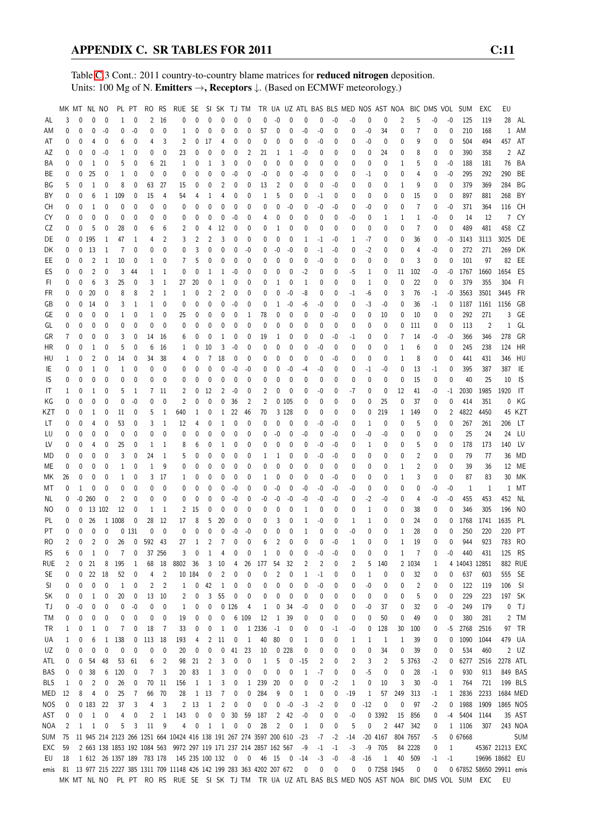Table [C.](#page-2-0)3 Cont.: 2011 country-to-country blame matrices for reduced nitrogen deposition. Units: 100 Mg of N. Emitters →, Receptors ↓. (Based on ECMWF meteorology.)

|                   | MK MT NL NO    |        |                |              |                | PL PT            | RO RS                     |                | RUE SE                                                                                                 |                   |                | SI SK TJ TM        |             |                |            |         |              |         |        |             |            |        |                |                |                |            |                   | TR UA UZ ATL BAS BLS MED NOS AST NOA BIC DMS VOL SUM | EXC            | EU                       |             |
|-------------------|----------------|--------|----------------|--------------|----------------|------------------|---------------------------|----------------|--------------------------------------------------------------------------------------------------------|-------------------|----------------|--------------------|-------------|----------------|------------|---------|--------------|---------|--------|-------------|------------|--------|----------------|----------------|----------------|------------|-------------------|------------------------------------------------------|----------------|--------------------------|-------------|
| AL                | 3              | 0      | 0              | $\mathbf 0$  | 1              | 0                |                           | 2 16           | 0                                                                                                      | 0                 | 0              | $\mathbf{0}$       | 0           | $\mathbf{0}$   | 0          | $-0$    | $\mathbf{0}$ | 0       | 0      | $-0$        | -0         | 0      | $\mathbf 0$    | $\overline{2}$ | 5              | $-0$       | $-0$              | 125                                                  | 119            | 28                       | AL          |
| ΑM                | 0              | 0      | 0              | $-0$         | 0              | -0               | 0                         | 0              | 1                                                                                                      | 0                 | 0              | 0                  | 0           | 0              | 57         | 0       | 0            | -0      | -0     | 0           | 0          | $-0$   | 34             | 0              | 7              | 0          | 0                 | 210                                                  | 168            | 1                        | AM          |
| AT                | 0              | 0      | 4              | 0            | 6              | 0                | 4                         | 3              | 2                                                                                                      | 0                 | 17             | 4                  | 0           | 0              | 0          | 0       | $\Omega$     | 0       | -0     | 0           | 0          | -0     | 0              | 0              | 9              | 0          | 0                 | 504                                                  | 494            | 457                      | AT          |
| AΖ                | 0              | 0      | 0              | $-0$         | 1              | 0                | 0                         | 0              | 23                                                                                                     | 0                 | 0              | 0                  | 0           | $\overline{2}$ | 21         | 1       | 1            | -0      | 0      | 0           | 0          | 0      | 24             | 0              | 8              | 0          | 0                 | 390                                                  | 358            | 2                        | AZ          |
| BA                | 0              | 0      | 1              | 0            | 5              | 0                | 6                         | 21             | 1                                                                                                      | 0                 | 1              | 3                  | 0           | 0              | 0          | 0       | 0            | 0       | 0      | 0           | 0          | 0      | 0              | 1              | 5              | 0          | $-0$              | 188                                                  | 181            | 76                       | BA          |
| ВE                | 0              | 0      | 25             | 0            | 1              | 0                | $\mathbf 0$               | $\mathbf 0$    | 0                                                                                                      | 0                 | 0              | 0                  | $-0$        | 0              | -0         | 0       | 0            | $-0$    | 0      | 0           | 0          | -1     | 0              | 0              | 4              | 0          | $-0$              | 295                                                  | 292            | 290                      | BE          |
| ΒG                | 5              | 0      | 1              | $\mathbf{0}$ | 8              | 0                | 63                        | 27             | 15                                                                                                     | 0                 | 0              | 2                  | 0           | 0              | 13         | 2       | 0            | 0       | 0      | -0          | 0          | 0      | 0              | 1              | 9              | 0          | 0                 | 379                                                  | 369            | 284                      | ΒG          |
| ΒY                | 0              | 0      | 6              | $\mathbf{1}$ | 109            | 0                | 15                        | 4              | 54                                                                                                     | 4                 | 1              | 4                  | 0           | 0              | 1          | 5       | 0            | 0       | -1     | 0           | 0          | 0      | 0              | 0              | 15             | 0          | 0                 | 897                                                  | 881            | 268                      | BY          |
| CH                | 0              | 0      | $\mathbf{1}$   | $\mathbf 0$  | 0              | 0                | 0                         | 0              | 0                                                                                                      | 0                 | 0              | 0                  | $\mathbf 0$ | 0              | 0          | 0       | -0           | 0       | -0     | $-0$        | 0          | -0     | 0              | 0              | $\overline{7}$ | 0          | -0                | 371                                                  | 364            | 116                      | CH          |
| CY                | 0              | 0      | 0              | $\mathbf 0$  | 0              | 0                | 0                         | 0              | 0                                                                                                      | 0                 | 0              | 0                  | $-0$        | 0              | 4          | 0       | 0            | 0       | 0      | 0           | -0         | 0      | 1              | 1              | $\mathbf{1}$   | -0         | 0                 | 14                                                   | 12             |                          | 7 CY        |
| CZ                | 0              | 0      | 5              | 0            | 28             | 0                | 6                         | 6              | 2                                                                                                      | 0                 | 4              | 12                 | 0           | 0              | 0          | 1       | 0            | 0       | 0      | 0           | 0          | 0      | 0              | 0              | $\overline{7}$ | 0          | 0                 | 489                                                  | 481            | 458                      | CZ          |
| DE                | 0              |        | 0 195          | $\mathbf{1}$ | 47             | 1                | 4                         | 2              | 3                                                                                                      | 2                 | $\overline{2}$ | 3                  | 0           | 0              | 0          | 0       | 0            | 1       | -1     | -0          | 1          | $-7$   | 0              | 0              | 36             | 0          | -0                | 3143                                                 | 3113           | 3025                     | DE          |
| DK                | 0              | 0      | 13             | $\mathbf{1}$ | $\overline{7}$ | 0                | 0                         | $\mathbf{0}$   | 0                                                                                                      | 3                 | 0              | 0                  | 0           | $-0$           | 0          | -0      | -0           | 0       | -1     | -0          | 0          | $-2$   | 0              | 0              | 4              | -0         | 0                 | 272                                                  | 271            | 269                      | DK          |
| EE                | 0              | 0      | 2              | $\mathbf{1}$ | 10             | 0                | 1                         | 0              | 7                                                                                                      | 5                 | 0              | 0                  | 0           | 0              | 0          | 0       | 0            | 0       | -0     | 0           | 0          | 0      | 0              | 0              | 3              | 0          | 0                 | 101                                                  | 97             | 82                       | EE          |
| ES                | 0              | 0      | $\overline{c}$ | $\mathbf 0$  | 3              | 44               | 1                         | 1              | 0                                                                                                      | 0                 | 1              | 1                  | -0          | 0              | 0          | 0       | 0            | $-2$    | 0      | $\mathbf 0$ | -5         | 1      | 0              | 11             | 102            | -0         | -0                | 1767                                                 | 1660           | 1654                     | ES          |
| FI                | 0              | 0      | 6              | 3            | 25             | 0                | 3                         | 1              | 27                                                                                                     | 20                | 0              | 1                  | 0           | 0              | 0          | 1       | 0            | 1       | 0      | 0           | 0          | 1      | 0              | 0              | 22             | 0          | 0                 | 379                                                  | 355            | 304                      | - FI        |
| FR                | 0              | 0      | 20             | $\mathbf 0$  | 8              | 8                | 2                         | 1              | 1                                                                                                      | 0                 | $\overline{2}$ | $\overline{2}$     | 0           | 0              | 0          | 0       | $-0$         | -8      | 0      | 0           | -1         | -6     | 0              | 3              | 76             | $-1$       | -0                | 3563                                                 | 3501           | 3445                     | FR          |
| GB                | 0              | 0      | 14             | 0            | 3              | 1                | 1                         | 0              | 0                                                                                                      | 0                 | 0              | 0                  | $-0$        | 0              | 0          | 1       | -0           | -6      | -0     | 0           | 0          | $-3$   | -0             | 0              | 36             | $-1$       | 0                 | 1187                                                 | 1161           | 1156                     | GB          |
| GE                | 0              | 0      | 0              | 0            | 1              | 0                | 1                         | 0              | 25                                                                                                     | 0                 | 0              | 0                  | 0           | 1              | 78         | 0       | 0            | 0       | 0      | -0          | 0          | 0      | 10             | 0              | 10             | 0          | 0                 | 292                                                  | 271            | 3                        | GE          |
| GL                | 0              | 0      | 0              | $\mathbf 0$  | 0              | 0                | 0                         | $\mathbf{0}$   | 0                                                                                                      | 0                 | 0              | 0                  | $\mathbf 0$ | $\mathbf{0}$   | 0          | 0       | 0            | 0       | 0      | 0           | 0          | 0      | 0              | 0              | 111            | 0          | 0                 | 113                                                  | $\overline{2}$ | 1                        | GL          |
| GR                | $\overline{7}$ | 0      | 0              | 0            | 3              | 0                | 14                        | - 16           | 6                                                                                                      | 0                 | 0              | 1                  | 0           | 0              | 19         | 1       | 0            | 0       | 0      | -0          | -1         | 0      | 0              | 7              | 14             | -0         | -0                | 366                                                  | 346            | 278                      | GR          |
| HR                | 0              | 0      | 1              | 0            | 5              | 0                | 6                         | 16             | 1                                                                                                      | 0                 | 10             | 3                  | $-0$        | 0              | 0          | 0       | 0            | 0       | -0     | 0           | 0          | 0      | 0              | 1              | 6              | 0          | 0                 | 245                                                  | 238            | 124                      | HR          |
| HU                | 1              | 0      | 2              | 0            | 14             | 0                | 34                        | 38             | 4                                                                                                      | 0                 | $\overline{7}$ | 18                 | 0           | 0              | 0          | 0       | 0            | 0       | 0      | -0          | 0          | 0      | 0              | 1              | 8              | 0          | 0                 | 441                                                  | 431            | 346                      | HU          |
| IE                | 0              | 0      | 1              | 0            | 1              | 0                | 0                         | 0              | 0                                                                                                      | 0                 | 0              | 0                  | $-0$        | $-0$           | 0          | 0       | -0           | $-4$    | -0     | 0           | 0          | -1     | -0             | 0              | 13             | -1         | 0                 | 395                                                  | 387            | 387                      | -IE         |
| IS                | 0              | 0      | 0              | $\mathbf 0$  | 0              | 0                | 0                         | 0              | 0                                                                                                      | 0                 | $\mathbf 0$    | 0                  | $\mathbf 0$ | $\mathbf 0$    | 0          | 0       | 0            | 0       | 0      | $\mathbf 0$ | 0          | 0      | $\mathbf{0}$   | 0              | 15             | 0          | 0                 | 40                                                   | 25             | 10                       | <b>IS</b>   |
| IT                | 1              | 0      | 1              | 0            | 5              | 1                |                           | 7 11           | 2                                                                                                      | $\mathbf{0}$      | 12             | 2                  | $-0$        | 0              | 2          | 0       | 0            | 0       | -0     | 0           | -7         | 0      | 0              | 12             | 41             | -0         | $-1$              | 2030                                                 | 1985           | 1920                     | -IT         |
| ΚG                | 0              | 0      | 0              | 0            | 0              | $-0$             | 0                         | 0              | $\overline{2}$                                                                                         | 0                 | 0              | 0                  | 36          | 2              | 2          |         | 0105         | 0       | 0      | 0           | 0          | 0      | 25             | 0              | 37             | 0          | 0                 | 414                                                  | 351            | $\mathbf 0$              | KG          |
| KZT               | 0              | 0      | 1              | 0            | 11             | 0                | 5                         | 1              | 640                                                                                                    | 1                 | 0              | $\mathbf{1}$       | 22          | 46             | 70         |         | 3 1 28       | 0       | 0      | 0           | 0          | 0      | 219            | 1              | 149            | 0          | 2                 | 4822                                                 | 4450           |                          | 45 KZT      |
| LT                | 0              | 0      | 4              | 0            | 53             | 0                | 3                         | 1              | 12                                                                                                     | 4                 | 0              | 1                  | 0           | 0              | 0          | 0       | 0            | 0       | -0     | -0          | 0          | 1      | 0              | 0              | 5              | 0          | 0                 | 267                                                  | 261            | 206                      | LT          |
| LU                | 0              | 0      | 0              | $\mathbf 0$  | 0              | 0                | 0                         | $\mathbf{0}$   | 0                                                                                                      | 0                 | 0              | 0                  | 0           | 0              | 0          | $-0$    | 0            | -0      | 0      | -0          | 0          | -0     | -0             | 0              | 0              | 0          | 0                 | 25                                                   | 24             | 24                       | LU          |
| LV                | 0              | 0      | 4              | 0            | 25             | 0                | 1                         | -1             | 8                                                                                                      | 6                 | 0              | 1                  | 0           | 0              | 0          | 0       | 0            | 0       | -0     | -0          | 0          | 1      | 0              | 0              | 5              | 0          | 0                 | 178                                                  | 173            | 140                      | LV          |
| MD                | 0              | 0      | 0              | 0            | 3              | 0                | 24                        | $\mathbf{1}$   | 5                                                                                                      | 0                 | 0              | 0                  | 0           | 0              | 1          | 1       | 0            | 0       | -0     | -0          | 0          | 0      | 0              | 0              | $\overline{2}$ | 0          | 0                 | 79                                                   | 77             | 36                       | MD          |
| МE                | 0              | 0      | 0              | 0            | $\mathbf{1}$   | 0                | $\mathbf{1}$              | 9              | 0                                                                                                      | 0                 | 0              | 0                  | 0           | 0              | 0          | 0       | $\mathbf 0$  | 0       | 0      | 0           | 0          | 0      | 0              | 1              | $\overline{2}$ | 0          | 0                 | 39                                                   | 36             |                          | 12 ME       |
| МK                | 26             | 0      | 0              | 0            | 1              | 0                |                           | 3 17           | 1                                                                                                      | 0                 | 0              | 0                  | 0           | 0              | 1          | 0       | 0            | 0       | 0      | -0          | 0          | 0      | 0              | 1              | 3              | 0          | 0                 | 87                                                   | 83             |                          | 30 MK       |
| МT                | 0              | 1      | 0              | $\mathbf 0$  | 0              | 0                | 0                         | 0              | 0                                                                                                      | 0                 | 0              | 0                  | $-0$        | 0              | 0          | $-0$    | 0            | -0      | -0     | $-0$        | -0         | 0      | 0              | 0              | 0              | -0         | $-0$              | 1                                                    | -1             |                          | 1 MT        |
| NL.               | 0              |        | $-0.260$       | $\mathbf 0$  | 2              | 0                | 0                         | 0              | 0                                                                                                      | 0                 | 0              | 0                  | -0          | 0              | -0         | -0      | $-0$         | -0      | -0     | -0          | 0          | $-2$   | $-0$           | 0              | 4              | -0         | $-0$              | 455                                                  | 453            | 452                      | NL          |
| NO                | 0              | 0      |                | 13 102       | 12             | 0                | $\mathbf{1}$              | -1             | 2                                                                                                      | 15                | 0              | 0                  | 0           | 0              | 0          | 0       | 0            | 1       | 0      | 0           | 0          | 1      | 0              | 0              | 38             | 0          | 0                 | 346                                                  | 305            | 196                      | NO          |
| PL                | 0              | 0      | 26             |              | 1 1008         | 0                | 28                        | 12             | 17                                                                                                     | 8                 | 5              | 20                 | 0           | 0              | 0          | 3       | 0            | 1       | -0     | 0           | 1          | 1      | 0              | 0              | 24             | 0          | 0                 | 1768                                                 | 1741           | 1635                     | - PL        |
| PT                | 0              | 0      | 0              | $\mathbf 0$  |                | 0131             | 0                         | 0              | 0                                                                                                      | $\mathbf{0}$      | 0              | $\Omega$           | $-0$        | $-0$           | 0          | 0       | 0            | 1       | 0      | 0           | -0         | 0      | 0              | 1              | 28             | 0          | 0                 | 250                                                  | 220            | 220                      | PT          |
| RO                | $\overline{2}$ | 0      | $\overline{c}$ | $\mathbf 0$  | 26             | 0                | 592 43                    |                | 27                                                                                                     | 1                 | $\overline{2}$ | $\overline{7}$     | 0           | 0              | 6          | 2       | 0            | 0       | 0      | $-0$        | 1          | 0      | 0              | 1              | 19             | 0          | 0                 | 944                                                  | 923            |                          | 783 RO      |
| <b>RS</b>         | 6              | 0      |                | 0            |                | 0                |                           | 37 256         | 3                                                                                                      | $\pmb{0}$         |                |                    |             |                |            |         |              |         | -0     | -0          |            |        |                |                |                | 0          |                   | 440                                                  | 431            | 125                      | <b>RS</b>   |
| <b>RUE</b>        | 2              | 0      | 21             | 8            | 195            | 1                | 68                        | 18             | 8802                                                                                                   | 36                | 3              | 10                 | 4           | 26             | 177        | 54      | 32           | 2       | 2      | 0           | 2          | 5      | 140            |                | 2 1034         | 1          |                   | 4 14043 12851                                        |                |                          | 882 RUE     |
| SE                | 0              | 0      | 22             | 18           | 52             | 0                | 4                         | $\overline{c}$ |                                                                                                        | 10 184            | 0              | 2                  | 0           | 0              | 0          | 2       | 0            | 1       | $-1$   | 0           | 0          | 1      | 0              | 0              | 32             | 0          | 0                 | 637                                                  | 603            | 555                      | - SE        |
| SI                | 0              | 0      | 0              | 0            | 1              | 0                | 2                         | $\overline{2}$ | 1                                                                                                      | 0                 | 42             | 1                  | 0           | 0              | 0          | 0       | 0            | 0       | -0     | 0           | 0          | -0     | 0              | 0              | $\overline{c}$ | 0          | 0                 | 122                                                  | 119            | 106                      | - SI        |
| SK                | 0              | 0      | 1              | 0            | 20             | $\boldsymbol{0}$ |                           | 13 10          | 2                                                                                                      | 0                 | 3              | 55                 | 0           | 0              | 0          | 0       | 0            | 0       | 0      | 0           | 0          | 0      | 0              | 0              | 5<br>32        | 0          | 0                 | 229                                                  | 223<br>179     |                          | 197 SK      |
| ТJ                | 0<br>0         | $-0$   | 0              | 0<br>0       | 0              | -0               | 0                         | 0<br>0         | 1                                                                                                      | 0                 | 0              |                    | 0126        | 4              | 1<br>12    | 0<br>1  | 34           | -0      | 0<br>0 | 0           | 0          | -0     | 37             | 0<br>0         | 49             | 0          | -0<br>0           | 249<br>380                                           | 281            | 0<br>2                   | TJ          |
| ТM<br>TR          |                | 0      | 0              |              | 0<br>7         | 0                | 0<br>18                   | -7             | 19                                                                                                     | 0                 | 0<br>0         | 0                  | 0           | 6 109          | 1 2336     | $-1$    | 39<br>0      | 0<br>0  |        | 0<br>$-1$   | 0<br>-0    | 0      | 50<br>128      | 30             | 100            | 0          | $-5$              | 2768                                                 | 2516           |                          | TM<br>97 TR |
| UA                | 1              | 0      | 1<br>6         | 0<br>$1\,$   | 138            | 0                | 113 18                    |                | 33<br>193                                                                                              | 0                 | 2              | $\mathbf{1}$<br>11 | 0           | $\mathbf{1}$   | 40         | 80      |              | 1       | 0<br>0 | 0           | 1          | 0<br>1 | 1              | 1              | 39             | 0          | 0                 | 1090                                                 | 1044           | 479                      | UA          |
| UZ                | 1<br>0         | 0<br>0 | 0              | 0            | 0              | 0<br>0           | 0                         | 0              | 20                                                                                                     | 4<br>0            | 0              | 0                  | 41          | 23             | 10         |         | 0<br>0228    | 0       | 0      | 0           | 0          | 0      | 34             | 0              | 39             | 0          | 0                 | 534                                                  | 460            |                          | 2 UZ        |
| ATL               | 0              | 0      | 54             | 48           | 53             | 61               | 6                         | $\overline{c}$ | 98                                                                                                     | 21                | 2              | 3                  | 0           | 0              | 1          | 5       | 0            | $-15$   | 2      | 0           | 2          | 3      | $\overline{2}$ | 5              | 3763           | 0<br>-2    | 0                 | 6277                                                 | 2516           | 2278                     | ATL         |
| BAS               | 0              | 0      | 38             | 6            | 120            | 0                | $\overline{7}$            | 3              | 20                                                                                                     | 83                | 1              | 3                  | 0           | 0              | 0          | 0       | 0            | 1       | $-7$   | 0           | 0          | $-5$   | 0              | 0              | 28             | -1         | 0                 | 930                                                  | 913            |                          | 849 BAS     |
|                   |                |        |                |              |                |                  |                           |                |                                                                                                        |                   |                |                    |             |                |            |         |              |         |        |             |            |        |                | 3              | 30             |            |                   | 764                                                  | 721            |                          | 199 BLS     |
| <b>BLS</b><br>MED | 1<br>12        | 0<br>8 | 2<br>4         | 0<br>0       | 26<br>25       | 0<br>7           | 70<br>66                  | - 11<br>70     | 156<br>28                                                                                              | 1<br>$\mathbf{1}$ | 1<br>13        | 3<br>7             | 0<br>0      | 1<br>0         | 239<br>284 | 20<br>9 | 0<br>0       | 0<br>1  | 0<br>0 | $-2$<br>0   | 1<br>$-19$ | 0<br>1 | 10<br>57       | 249            | 313            | -0<br>$-1$ | 1<br>$\mathbf{1}$ | 2836                                                 | 2233           | 1684 MED                 |             |
| NOS               | 0              |        | 0 183          | 22           | 37             | 3                | 4                         | 3              | 2                                                                                                      | 13                | 1              | 2                  | 0           | 0              | 0          | 0       | -0           | $-3$    | -2     | 0           | 0          | $-12$  | 0              | 0              | 97             | $-2$       | 0                 | 1988                                                 | 1909           | 1865 NOS                 |             |
| AST               | 0              | 0      | $\mathbf{1}$   | 0            | 4              | 0                | 2                         | 1              | 143                                                                                                    | 0                 | 0              | 0                  | 30          | 59             | 187        | 2       | 42           | -0      | 0      | 0           | -0         |        | 0 3392         | 15             | 856            | 0          | -4                | 5404                                                 | 1144           |                          | 35 AST      |
| <b>NOA</b>        | $\overline{c}$ | 1      | $\mathbf{1}$   | $\mathbf 0$  | 5              | 3                | 11                        | 9              | 4                                                                                                      | 0                 | 1              | 1                  | 0           | 0              | 28         | 2       | 0            | 1       | 0      | 0           | 5          | 0      | $\overline{2}$ | 447            | 342            | 0          |                   | 1 1106                                               | 307            |                          | 243 NOA     |
| SUM               | 75             |        |                |              |                |                  |                           |                | 11 945 214 2123 266 1251 664 10424 416 138 191 267 274 3597 200 610                                    |                   |                |                    |             |                |            |         |              | -23     | -7     | $-2$        | -14        |        | $-20$ 4167     |                | 804 7657       | -5         |                   | 0 67668                                              |                |                          | <b>SUM</b>  |
| EXC               | 59             |        |                |              |                |                  |                           |                | 2 663 138 1853 192 1084 563 9972 297 119 171 237 214 2857 162 567                                      |                   |                |                    |             |                |            |         |              | -9      | $-1$   | $-1$        | -3         | -9     | 705            |                | 84 2228        | 0          | 1                 |                                                      |                | 45367 21213 EXC          |             |
| EU                | 18             |        |                |              |                |                  | 1 612 26 1357 189 783 178 |                | 145 235 100 132 0 0 46 15                                                                              |                   |                |                    |             |                |            |         |              | $0 -14$ | $-3$   | $-0$        | -8         | $-16$  | 1              | 40             | 509            | $-1$       | $-1$              |                                                      |                | 19696 18682 EU           |             |
| emis              |                |        |                |              |                |                  |                           |                | 81 13 977 215 2227 385 1311 709 11148 426 142 199 283 363 4202 207 672                                 |                   |                |                    |             |                |            |         |              | 0       | 0      | 0           | 0          |        | 0 7258 1945    |                | 0              | 0          |                   |                                                      |                | 0 67852 58650 29911 emis |             |
|                   |                |        |                |              |                |                  |                           |                | MK MT NL NO PL PT RO RS RUE SE SI SK TJ TM TR UA UZ ATL BAS BLS MED NOS AST NOA BIC DMS VOL SUM EXC EU |                   |                |                    |             |                |            |         |              |         |        |             |            |        |                |                |                |            |                   |                                                      |                |                          |             |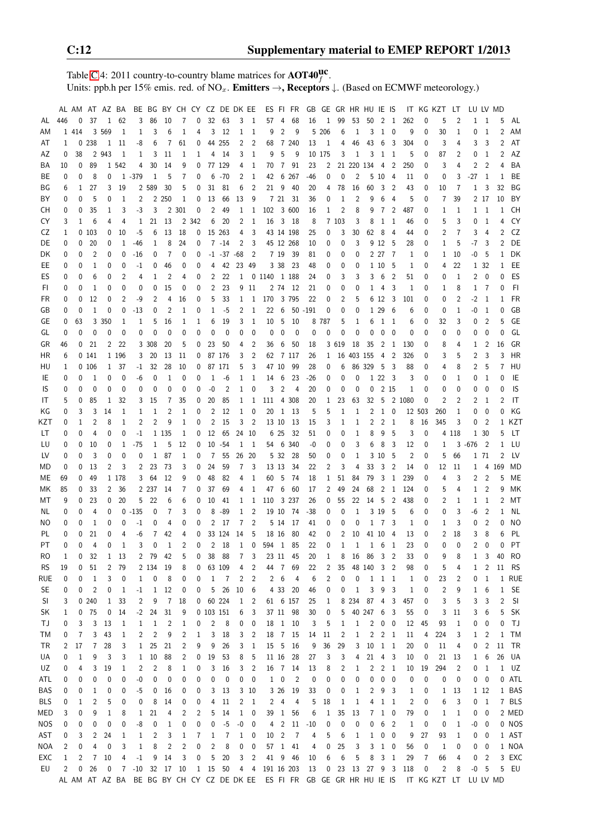Table [C.](#page-2-0)4: 2011 country-to-country blame matrices for  $\text{AOT40}^{\text{UC}}_f$ . Units: ppb.h per 15% emis. red. of NO<sub>x</sub>. **Emitters**  $\rightarrow$ **, Receptors**  $\downarrow$ . (Based on ECMWF meteorology.)

|            |          |             |                | AL AM AT AZ BA |                |                |                |                |                  | BE BG BY CH CY CZ DE DK EE |              |                  |                |                  |                        |                 | ES FI FR       | GB GE GR HR HU IE IS |              |                |              |                      |                     |                         |                |             | IT KG KZT                                                                            | LT           | LU LV MD       |                         |          |              |
|------------|----------|-------------|----------------|----------------|----------------|----------------|----------------|----------------|------------------|----------------------------|--------------|------------------|----------------|------------------|------------------------|-----------------|----------------|----------------------|--------------|----------------|--------------|----------------------|---------------------|-------------------------|----------------|-------------|--------------------------------------------------------------------------------------|--------------|----------------|-------------------------|----------|--------------|
| AL         | 446      | 0           | 37             | $\mathbf{1}$   | 62             | 3              | 86             | 10             | 7                | $\mathbf{0}$               |              | 32 63            |                | 3 1              | 57                     | 4               | 68             | 16                   | 1            | 99             | 53           | 50                   | $\overline{2}$      | - 1                     | 262            | 0           | 5                                                                                    | 2            | $\mathbf{1}$   | $\overline{1}$          | 5        | AL           |
| ΑM         |          | 1 4 1 4     |                | 3 5 6 9        | 1              | 1              | 3              | 6              | 1                | 4                          | 3            | 12               |                | $1 \quad 1$      | 9                      | $\overline{2}$  | 9              |                      | 5 206        | 6              | 1            | 3                    | $\,$ 1 $\,$         | $\mathbf 0$             | 9              | 0           | 30                                                                                   | 1            | 0              | 1                       | 2        | AM           |
| AT         | 1        |             | 0.238          |                | 1 11           | -8             | 6              | 7              | 61               | 0                          |              | 44 255           | $\overline{c}$ | $\overline{2}$   | 68                     |                 | 7 240          | 13                   | 1            | 4              | 46           | 43                   | $6\phantom{.}6$     | 3                       | 304            | 0           | 3                                                                                    | 4            | 3              | 3                       | 2        | AT           |
| AZ         | 0        | 38          |                | 2 9 4 3        | 1              | 1              | 3              | 11             | 1                | 1                          | 4            | 14               | 3              | -1               | 9                      | 5               | 9              |                      | 10 175       | 3              | 1            | 3                    | <sup>1</sup>        | -1                      | 5              | 0           | 87                                                                                   | 2            | 0              | $\mathbf{1}$            | 2        | AZ           |
|            |          |             |                |                |                |                |                |                |                  |                            |              |                  |                |                  |                        |                 |                |                      |              |                |              |                      |                     |                         |                |             |                                                                                      |              |                |                         |          |              |
| BA         | 10       | 0           | 89             |                | 1 542          | 4              | 30             | 14             | 9                | 0                          |              | 77 129           | 4              | 1                | 70                     | $7\phantom{.0}$ | 91             | 23                   | 2            |                |              | 21 220 134           | $\overline{4}$      | 2                       | 250            | 0           | 3                                                                                    | 4            | 2              | $\overline{2}$          | 4        | BA           |
| ВE         | 0        | 0           | 8              | 0              |                | $1 - 379$      | 1              | 5              | 7                | 0                          | 6            | -70              | $\overline{2}$ | 1                | 42                     | 6               | 267            | -46                  | 0            | 0              | 2            |                      | 5 10                | 4                       | 11             | 0           | 0                                                                                    | 3            | $-27$          | 1                       | 1        | BE           |
| ΒG         | 6        | 1           | 27             | 3              | 19             |                | 2 589          | 30             | 5                | 0                          | 31           | 81               | 6              | $\overline{2}$   | 21                     | 9               | 40             | 20                   | 4            | 78             | 16           | 60                   | 3                   | $\overline{2}$          | 43             | 0           | 10                                                                                   | 7            | $\mathbf{1}$   | 3                       | 32       | ΒG           |
| ΒY         | 0        | 0           | 5              | 0              | $\mathbf{1}$   | 2              |                | 2 2 5 0        | 1                | 0                          | 13           | 66               | 13             | -9               |                        | 7 21            | - 31           | 36                   | 0            | $\mathbf{1}$   | 2            | 9                    | 6                   | 4                       | 5              | $\mathbf 0$ | 7                                                                                    | 39           |                | 2 17                    | 10       | BY           |
| CН         | 0        | 0           | 35             | 1              | 3              | $-3$           | 3              |                | 2 3 0 1          | 0                          | 2            | 49               | 1              | 1                | 102                    |                 | 3 600          | 16                   | 1            | 2              | 8            | 9                    | 7                   | 2                       | 487            | 0           | 1                                                                                    | 1            | $\mathbf{1}$   | $\overline{1}$          | 1        | CH           |
| CY         | 3        | 1           | 6              | 4              | 4              | 1              | 21             | 13             |                  | 2 3 4 2                    | 6            | 20               | 2              | 1                | 16                     | 3               | - 18           | 8                    |              | 7 103          | 3            | 8                    | 1                   | 1                       | 46             | 0           | 5                                                                                    | 3            | 0              | 1                       | 4        | CY           |
| CZ         | 1        |             | 0103           | 0              | 10             | -5             | 6              | 13             | 18               | 0                          |              | 15 263           | 4              | 3                |                        |                 | 43 14 198      | 25                   | 0            | 3              | 30           | 62                   | - 8                 | 4                       | 44             | 0           | 2                                                                                    | 7            | 3              | 4                       | 2        | CZ           |
| DE         | 0        | 0           | 20             | 0              | 1              | -46            | 1              | 8              | 24               | 0                          |              | 7 -14            | 2              | -3               |                        |                 | 45 12 268      | 10                   | 0            | 0              | 3            |                      | 9 12                | - 5                     | 28             | 0           | 1                                                                                    | 5            | -7             | 3                       | 2        | DE           |
| DK         | 0        | 0           | 2              | 0              | 0              | -16            | 0              | 7              | 0                | 0                          |              | $-1$ $-37$ $-68$ |                | $\overline{2}$   |                        | 7 19            | - 39           | 81                   | 0            | 0              | 0            |                      | 2 27 7              |                         | 1              | 0           | 1                                                                                    | 10           | -0             | -5                      | 1        | DK           |
| EE         | 0        | 0           | 1              | 0              | $\mathbf 0$    | $-1$           | 0              | 46             | 0                | 0                          | 4            | 42               | 23 49          |                  |                        | 3 3 8           | 23             | 48                   | 0            | 0              | 0            |                      | 1 10                | 5                       | 1              | 0           | 4                                                                                    | 22           |                | 1 32                    | 1        | EE           |
|            | 0        | 0           | 6              | 0              | $\overline{2}$ | 4              | 1              | $\overline{2}$ | 4                | 0                          | 2            | 22               |                |                  | 1 0 1140 1 188         |                 |                | 24                   | 0            | 3              | 3            | 3                    | 6                   | $\overline{2}$          | 51             | 0           | 0                                                                                    | $\mathbf{1}$ | 2              | 0                       | 0        | ES           |
| ES         |          |             |                |                |                |                |                |                |                  |                            |              |                  |                |                  |                        |                 |                |                      |              |                |              |                      |                     |                         |                |             |                                                                                      |              |                |                         |          |              |
| FI.        | 0        | 0           | 1              | 0              | $\mathbf 0$    | 0              | 0              | 15             | 0                | 0                          | 2            | 23               |                | 9 11             |                        |                 | 2 74 12        | 21                   | 0            | 0              | $\mathbf 0$  | 1                    | 4                   | 3                       | 1              | $\mathbf 0$ | 1                                                                                    | 8            | $\mathbf{1}$   | $\overline{7}$          | $\Omega$ | FI.          |
| FR         | 0        | 0           | 12             | 0              | $\overline{2}$ | -9             | 2              | 4              | 16               | 0                          | 5            | 33               | 1              | 1                | 170                    |                 | 3 795          | 22                   | 0            | 2              | 5            |                      | 6 12                | $\overline{3}$          | 101            | 0           | 0                                                                                    | 2            | $-2$           | $\mathbf{1}$            | 1        | <b>FR</b>    |
| GB         | 0        | 0           | 1              | $\mathbf 0$    | 0              | $-13$          | 0              | 2              | 1                | 0                          | 1            | $-5$             | 2              | $\overline{1}$   | 22                     | 6               |                | $50 - 191$           | 0            | 0              | 0            |                      | 1 29                | 6                       | 6              | 0           | 0                                                                                    | 1            | -0             | -1                      | $\Omega$ | GB           |
| GE         | 0        | 63          |                | 3 3 5 0        | 1              | 1              | 5              | 16             | 1                | 1                          | 6            | 19               | 3              | $\mathbf{1}$     | 10                     | - 5             | 10             |                      | 8 787        | 5              | 1            | 6                    | $\,$ 1 $\,$         | - 1                     | 6              | 0           | 32                                                                                   | 3            | 0              | $\overline{2}$          | 5        | GE           |
| GL         | 0        | $\mathbf 0$ | $\mathbf 0$    | 0              | $\mathbf 0$    | 0              | 0              | 0              | 0                | 0                          | 0            | 0                | 0              | 0                | 0                      | $\mathbf 0$     | $\mathbf 0$    | 0                    | 0            | 0              | $\mathbf 0$  | 0                    | 0                   | 0                       | 0              | 0           | 0                                                                                    | 0            | 0              | 0                       | 0        | GL           |
| GR         | 46       | 0           | 21             | 2              | 22             |                | 3 3 0 8        | 20             | 5                | 0                          | 23           | 50               | 4              | 2                | 36                     | 6               | 50             | 18                   |              | 3 619          | 18           | 35                   | $\overline{2}$      | 1                       | 130            | 0           | 8                                                                                    | 4            | 1              | 2                       | 16       | GR           |
| НR         | 6        |             | 0 141          |                | 1 1 9 6        | 3              | 20             | 13             | 11               | 0                          |              | 87 176           | 3              | $\overline{2}$   | 62                     |                 | 7 117          | 26                   | 1            |                | 16 403 155   |                      | $\overline{4}$      | $\overline{2}$          | 326            | 0           | 3                                                                                    | 5            | 2              | 3                       | 3        | HR           |
| HU         | 1        |             | 0106           |                | 1 37           | $-1$           | 32             | 28             | 10               | 0                          |              | 87 171           | 5              | 3                | 47 10                  |                 | -99            | 28                   | 0            | 6              |              | 86 329               | - 5                 | $\overline{\mathbf{3}}$ | 88             | 0           | 4                                                                                    | 8            | $\overline{2}$ | 5                       | 7        | HU           |
| IE         | 0        | 0           | 1              | 0              | 0              | -6             | 0              | 1              | 0                | 0                          | 1            | -6               | 1              | 1                | 14                     | 6               | 23             | $-26$                | 0            | 0              | 0            |                      | 1 2 2               | - 3                     | 3              | 0           | 0                                                                                    | 1            | 0              | 1                       | 0        | IE           |
| IS         | 0        | 0           | 0              | 0              | 0              | 0              | 0              | 0              | 0                | 0                          | $-0$         | $\overline{c}$   | 1              | 0                | 3                      | $\overline{2}$  | 4              | 20                   | 0            | 0              | 0            | 0                    | 2 15                |                         | 1              | 0           | 0                                                                                    | $\mathbf 0$  | 0              | $\mathbf 0$             | 0        | IS           |
| IT         | 5        | 0           | 85             |                | 32             | 3              | 15             | $\overline{7}$ | 35               | 0                          | 20           | 85               | $\mathbf{1}$   | 1                | 111                    |                 | 4 308          | 20                   |              | 23             | 63           |                      |                     |                         | 32 5 2 1080    | 0           | 2                                                                                    | 2            | 2              | 1                       | 2        | -IT          |
|            |          |             |                | 1              |                |                |                |                |                  |                            |              |                  |                |                  |                        |                 |                |                      | 1            |                |              |                      |                     |                         |                |             |                                                                                      |              |                |                         |          |              |
| ΚG         | 0        | 3           | 3              | 14             | 1              | 1              | 1              | 2              | 1                | 0                          | 2            | 12               | 1              | 0                | 20                     | -1              | - 13           | 5                    | 5            | 1              | 1            |                      | $2 \t1 \t0$         |                         |                | 12 503      | 260                                                                                  | 1            | 0              | 0                       | 0        | KG           |
| KZT        | 0        | 1           | 2              | 8              | 1              | $\overline{2}$ | 2              | 9              | 1                | 0                          | 2            | 15               | 3              | $\overline{2}$   |                        | 13 10           | - 13           | 15                   | 3            | 1              | 1            | 2                    | $\overline{2}$      | - 1                     | 8              | 16          | 345                                                                                  | 3            | 0              | $\overline{2}$          |          | 1 KZT        |
| LT         | 0        | 0           | 4              | 0              | $\mathbf 0$    | -1             |                | 1 1 3 5        | 1                | 0                          | 12           | 65               |                | 24 10            |                        | 6 25            | -32            | 51                   | 0            | 0              | 1            | 8                    | 9                   | 5                       | 3              | 0           |                                                                                      | 4 1 1 8      |                | 1 30                    | 5        | LT           |
| LU         | 0        | 0           | 10             | 0              | 1              | $-75$          | 1              | 5              | 12               | 0                          |              | $10 - 54$        | $\mathbf{1}$   | $\overline{1}$   | 54                     |                 | 6 340          | -0                   | 0            | 0              | 3            | 6                    | 8                   | 3                       | 12             | 0           | 1                                                                                    | 3            | -676           | $\overline{2}$          | 1        | LU           |
| LV         | 0        | 0           | 3              | 0              | $\mathbf 0$    | $\mathbf{0}$   | $\mathbf{1}$   | 87             | 1                | 0                          | 7            | 55               | 26             | -20              |                        | 5 32            | - 28           | 50                   | 0            | 0              | 1            |                      | 3 10                | - 5                     | 2              | $\mathbf 0$ | 5                                                                                    | 66           |                | 1 71                    | 2        | LV           |
| MD         | 0        | 0           | 13             | $\overline{2}$ | 3              | 2              | 23             | 73             | 3                | 0                          | 24           | 59               | $\overline{7}$ | 3                | 13 13                  |                 | 34             | 22                   | 2            | 3              | 4            | 33                   | 3                   | $\overline{2}$          | 14             | 0           | 12                                                                                   | 11           | $\mathbf{1}$   |                         | 4 169    | MD           |
| МE         | 69       | 0           | 49             |                | 1 178          | 3              | 64             | 12             | 9                | 0                          | 48           | 82               | 4              | $\mathbf{1}$     | 60                     | 5               | -74            | 18                   | 1            | 51             | 84           | 79                   | 3                   | $\mathbf{1}$            | 239            | 0           | 4                                                                                    | 3            | 2              | $\overline{2}$          | 5        | ME           |
| МK         | 85       | 0           | 33             |                | 2 36           |                | 2 2 3 7        | 14             | 7                | 0                          | 37           | 69               | 4              | 1                | 47                     | 6               | 60             | 17                   | 2            | 49             | 24           | 68                   | $\overline{2}$      | $\mathbf{1}$            | 124            | 0           | 5                                                                                    | 4            | $\mathbf{1}$   | $\overline{2}$          | 9        | МK           |
| МT         | 9        | 0           | 23             | 0              | 20             | 5              | 22             | 6              | 6                | 0                          | 10           | 41               | 1              | 1                | 110                    |                 | 3 237          | 26                   | 0            | 55             | 22           | 14                   | - 5                 | $\overline{2}$          | 438            | 0           | 2                                                                                    | 1            | $\mathbf{1}$   | 1                       | 2        | МT           |
| NL.        | 0        | 0           | 4              | 0              |                | $0 - 135$      | 0              | 7              | 3                | 0                          | 8            | -89              | 1              | 2                | 19 10                  |                 | -74            | -38                  | 0            | 0              | 1            |                      | 3 19                | - 5                     | 6              | 0           | 0                                                                                    | 3            | -6             | $\overline{2}$          | 1        | NL           |
| NO         | 0        | 0           | $\mathbf{1}$   | 0              | $\mathbf 0$    | $-1$           | 0              | 4              | 0                | 0                          | 2            | 17               | 7              | 2                |                        | 5 14            | 17             | 41                   | 0            | 0              | 0            | 1                    | $\overline{7}$      | 3                       | 1              | $\mathbf 0$ | 1                                                                                    | 3            | 0              | $\overline{2}$          | $\Omega$ | NO           |
| PL         | 0        | 0           | 21             | 0              | $\overline{4}$ | $-6$           | $\overline{7}$ | 42             | 4                | $\mathbf{0}$               |              | 33 124           | 14             | 5                | 18 16                  |                 | 80             | 42                   | 0            | 2              | 10           | 41 10                |                     | $\overline{4}$          | 13             | 0           | 2                                                                                    | 18           | 3              | 8                       | 6        | PL           |
| <b>PT</b>  | $\Omega$ | $\theta$    | $\overline{4}$ | $\theta$       | $\mathbf{1}$   | 3              | $\mathbf 0$    | $\mathbf{1}$   | 2                | $\Omega$                   |              | 2 18             | 1 0            |                  | 594 1 85               |                 |                | 22                   | $\mathbf{0}$ | $\mathbf{1}$   | 1            |                      |                     |                         | 23             | $\theta$    | 0                                                                                    | $\Omega$     |                | $2 \quad 0$             | $\Omega$ | <b>PT</b>    |
|            |          |             |                |                |                |                |                |                |                  |                            |              |                  |                |                  |                        |                 |                |                      |              |                |              |                      | $1\quad 6$          | $\overline{1}$          |                |             |                                                                                      |              |                |                         |          |              |
| RO         | 1        | 0           | 32             |                | 1 13           |                | 2 79 42        |                | 5                | 0                          | 38           | - 88             | 7              | 3                |                        |                 | 23 11 45       | 20                   | 1            | 8              |              | 16 86 3              |                     | $\overline{2}$          | 33             | 0           | 9                                                                                    | 8            | $\mathbf{1}$   | $\overline{\mathbf{3}}$ | 40       | RO           |
| <b>RS</b>  | 19       | 0           | 51             | $\overline{2}$ | 79             |                | 2 1 3 4        | 19             | 8                | 0                          |              | 63 109           | 4              | $\overline{c}$   |                        | 44 7            | 69             | 22                   | 2            | 35             |              | 48 140 3 2           |                     |                         | 98             | 0           | 5                                                                                    | 4            | $\mathbf{1}$   | $\overline{2}$          |          | 11 RS        |
| rue        | 0        | 0           | $\mathbf{1}$   | 3              | 0              | $\mathbf 1$    | 0              | 8              | 0                | 0                          | $\mathbf{1}$ | $\overline{7}$   | $\mathbf{2}$   | $\overline{2}$   |                        | $2\quad 6$      | 4              | 6                    | 2            | 0              | 0            | 1 1 1                |                     |                         | 1              | 0           | 23                                                                                   | 2            | 0              | $\mathbf{1}$            |          | 1 RUE        |
| <b>SE</b>  | 0        | 0           | $\overline{c}$ | 0              | 1              | -1             |                | $1 \quad 12$   | $\boldsymbol{0}$ | 0                          | 5            | 26               | 10             | 6                |                        | 4 3 3           | 20             | 46                   | 0            | 0              | $\mathbf{1}$ | 3                    | 9 3                 |                         | $\mathbf 1$    | 0           | 2                                                                                    | 9            | $\mathbf{1}$   | 6                       |          | 1 SE         |
| SI         | 3        |             | 0240           | $\mathbf{1}$   | 33             | 2              | 9              | $\overline{7}$ | 18               | 0                          |              | 60 224           | $\mathbf{1}$   | 2                |                        |                 | 61 6 157       | 25                   | 1            |                |              | 8 2 3 4 8 7 4 3      |                     |                         | 457            | 0           | 3                                                                                    | 5            | 3              | 3                       | 2        | - SI         |
| <b>SK</b>  | 1        | 0           | 75             | 0              | 14             | $-2$           | 24             | 31             | 9                |                            | 0 103 151    |                  | 6              | 3                |                        |                 | 37 11 98       | 30                   | 0            | 5              |              | 40 247 6             |                     | $\overline{\mathbf{3}}$ | 55             | 0           | 3                                                                                    | 11           | 3              | 6                       | 5        | <b>SK</b>    |
| ТJ         | 0        | 3           | 3              | 13             | 1              | 1              | $\mathbf{1}$   | 2              | 1                | 0                          | 2            | 8                | 0              | $\mathbf 0$      | 18                     |                 | 1 10           | 3                    | 5            | 1              | $\mathbf{1}$ |                      | $2 \t0 \t0$         |                         | 12             | 45          | 93                                                                                   | 1            | 0              | $\mathbf 0$             | 0        | TJ           |
| ТM         | 0        | 7           | 3              | 43             | 1              | 2              | $\overline{c}$ | 9              | 2                | 1                          | 3            | 18               | 3              | 2                | 18                     |                 | 7 15           | 14                   | 11           | $\overline{c}$ | $\mathbf{1}$ |                      | $2 \t2 \t1$         |                         | 11             | 4           | 224                                                                                  | 3            | $\mathbf{1}$   | $\overline{2}$          |          | 1 TM         |
| TR         | 2        | 17          | $7\phantom{.}$ | 28             | 3              | $\mathbf{1}$   | 25             | 21             | 2                | 9                          | 9            | 26               | 3              | $\mathbf{1}$     |                        | 15 5            | 16             | 9                    | 36           | 29             | 3            | $10 \quad 1 \quad 1$ |                     |                         | 20             | 0           | 11                                                                                   | 4            | 0              | $\overline{2}$          |          | 11 TR        |
| UA         | 0        | 1           | 9              | 3              | 3              |                | 1 10           | 88             | 2                | 0                          | 19           | 53               | 8              | 5                |                        |                 | 11 16 28       | 27                   | 3            | 3              | 4            |                      | 21 4 3              |                         | 10             | 0           | 21                                                                                   | 13           | $\mathbf{1}$   | 6                       |          | 26 UA        |
| UZ         | 0        | 4           | 3              | 19             | 1              | 2              | 2              | 8              | 1                | 0                          | 3            | 16               | 3              | $\overline{2}$   |                        |                 | 16 7 14        | 13                   | 8            | 2              | 1            |                      | $2 \quad 2 \quad 1$ |                         | 10             | 19          | 294                                                                                  | 2            |                | 0 <sub>1</sub>          |          | $1 \quad UZ$ |
|            |          |             |                |                |                |                |                |                |                  |                            |              |                  |                |                  |                        |                 |                |                      |              |                |              |                      |                     |                         |                |             |                                                                                      |              |                |                         |          |              |
| ATL        | 0        | 0           | 0              | 0              | 0              | -0             | 0              | 0              | 0                | 0                          | 0            | 0                | 0              | 0                |                        | $1\quad 0$      | $\overline{c}$ | 0                    | 0            | 0              | 0            | 0                    | $0\quad 0$          |                         | 0              | 0           | 0                                                                                    | 0            |                | $0\quad 0$              |          | 0 ATL        |
| <b>BAS</b> | 0        | 0           | 1              | 0              | 0              | -5             | 0              | 16             | 0                | 0                          | 3            | 13               |                | 3 10             |                        | 3 26            | 19             | 33                   | 0            | 0              | 1            | 2                    | 9 <sub>3</sub>      |                         | 1              | 0           | $\mathbf 1$                                                                          | 13           |                | 1 12                    |          | 1 BAS        |
| <b>BLS</b> | 0        | 1           | 2              | 5              | 0              | 0              | 8              | -14            | 0                | 0                          |              | 4 11             | $\overline{2}$ | $\overline{1}$   |                        | $2 \quad 4$     | 4              | 5                    | 18           | $\mathbf{1}$   | $\mathbf{1}$ | 4                    | $1\quad1$           |                         | $\overline{c}$ | 0           | 6                                                                                    | 3            |                | $0\quad 1$              |          | 7 BLS        |
| MED        | 3        | 0           | 9              | $\mathbf{1}$   | 8              | 1              | 21             | 4              | 2                | 2                          | 5            | 14               | 1              | $\mathbf 0$      |                        |                 | 39 1 56        | 6                    | $\mathbf{1}$ | 35             | 13           |                      | $7\quad1\quad0$     |                         | 79             | 0           | 1                                                                                    | $\mathbf{1}$ |                | $0\quad 0$              |          | 2 MED        |
| <b>NOS</b> | 0        | 0           | 0              | 0              | 0              | -8             | 0              | $\mathbf{1}$   | 0                | 0                          | 0            | $-5$             |                | $-0$ 0           | 4                      | 2               |                | $11 - 10$            | 0            | 0              | 0            | 0                    | 6                   | $\overline{2}$          | $\mathbf{1}$   | 0           | 0                                                                                    | $\mathbf{1}$ | $-0$ 0         |                         |          | 0 NOS        |
| AST        | 0        | 3           | 2              | 24             | 1              | 1              | 2              | 3              | 1                | 7                          | $\mathbf{1}$ | $\overline{7}$   | $\mathbf{1}$   | 0                | 10                     | $\overline{2}$  | $\overline{7}$ | 4                    | 5            | 6              | 1            | $\mathbf{1}$         | $0\quad 0$          |                         | 9              | 27          | 93                                                                                   | $\mathbf{1}$ | 0              | $\mathbf 0$             |          | 1 AST        |
| NOA        | 2        | 0           | 4              | 0              | 3              | $\mathbf{1}$   | 8              | $\overline{c}$ | 2                | 0                          | 2            | 8                | 0              | $\boldsymbol{0}$ | 57                     |                 | 1 41           | 4                    | 0            | 25             | 3            |                      | $3\quad1\quad0$     |                         | 56             | 0           | $\mathbf{1}$                                                                         | 0            | 0              | 0                       |          | 1 NOA        |
| EXC        | 1        | 2           | $\overline{7}$ | 10             | $\overline{4}$ | $^{\rm -1}$    | 9              | 14             | 3                | $\pmb{0}$                  | 5            | $20\,$           |                | 3 <sup>2</sup>   |                        |                 | 41 9 46        | 10                   | 6            | 6              | 5            | 8                    | 3 <sub>1</sub>      |                         | 29             | 7           | 66                                                                                   | 4            | 0              | $\overline{2}$          |          | 3 EXC        |
| EU         | 2        | 0           | 26             | 0              |                | 7 -10 32 17 10 |                |                |                  |                            |              |                  |                |                  | 1 15 50 4 4 191 16 203 |                 |                | 13                   |              |                |              | 0 23 13 27 9 3 118   |                     |                         |                | 0           | 2                                                                                    | 8            | $-0$ 5         |                         |          | 5 EU         |
|            |          |             |                |                |                |                |                |                |                  |                            |              |                  |                |                  |                        |                 |                |                      |              |                |              |                      |                     |                         |                |             | AL AM AT AZ BA BE BG BY CH CY CZ DE DK EE ES FI FR GB GE GR HR HU IE IS IT KG KZT LT |              | LU LV MD       |                         |          |              |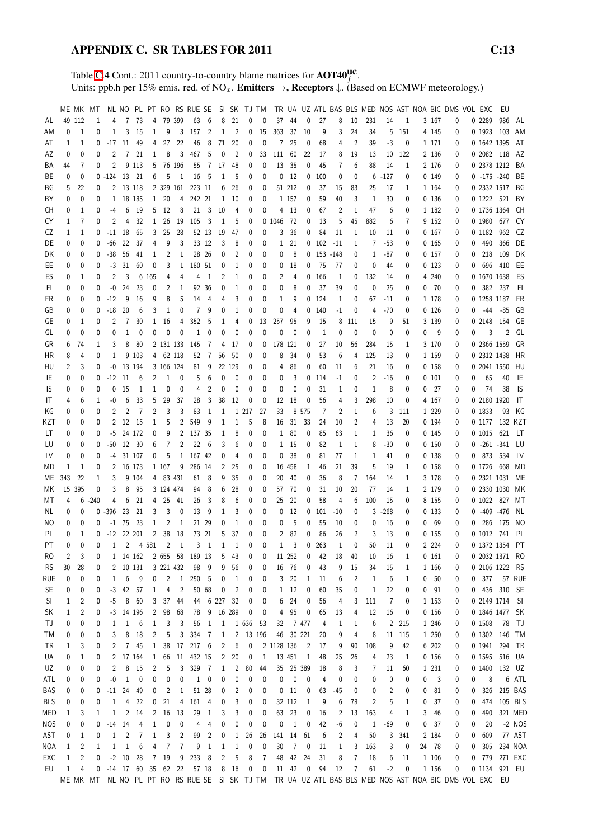Table [C.](#page-2-0)4 Cont.: 2011 country-to-country blame matrices for  $\text{AOT40}^{\text{UC}}_f$ . Units: ppb.h per 15% emis. red. of NO<sub>x</sub>. **Emitters**  $\rightarrow$ **, Receptors**  $\downarrow$ . (Based on ECMWF meteorology.)

|            |             |        | ME MK MT         |                |                |                    |                |                |              | NL NO PL PT RO RS RUE SE SI SK TJ TM |                |              |                |                  |           |              |              |                            |              |       |                |                |                         |              |              |                 | TR UA UZ ATL BAS BLS MED NOS AST NOA BIC DMS VOL EXC                                                  |   |                 | EU             |               |
|------------|-------------|--------|------------------|----------------|----------------|--------------------|----------------|----------------|--------------|--------------------------------------|----------------|--------------|----------------|------------------|-----------|--------------|--------------|----------------------------|--------------|-------|----------------|----------------|-------------------------|--------------|--------------|-----------------|-------------------------------------------------------------------------------------------------------|---|-----------------|----------------|---------------|
| AL         |             | 49 112 | 1                | 4              | 7              | 73                 | 4              | 79             | 399          | 63                                   | 6              | 8            | 21             | 0                | 0         | 37           | 44           | 0                          | 27           | 8     | 10             | 231            | 14                      | 1            |              | 3 167           | 0                                                                                                     |   | 0 2289          | 986            | AL            |
| ΑM         | 0           | 1      | 0                | 1              | 3              | 15                 | 1              | 9              |              | 3 157                                | $\overline{2}$ | $\mathbf{1}$ | $\overline{2}$ | 0                | 15        | 363          | 37           | 10                         | 9            | 3     | 24             | 34             | 5                       | 151          |              | 4 1 4 5         | 0                                                                                                     |   | 0 1923          | 103            | AM            |
| AT         | 1           | 1      | 0                | $-17$          | -11            | 49                 | 4              | 27             | 22           | 46                                   | 8              | 71           | 20             | 0                | 0         | 7            | 25           | 0                          | 68           | 4     | $\overline{2}$ | 39             | -3                      | 0            |              | 1 171           | 0                                                                                                     |   | 0 1642 1395     |                | AT            |
| AZ         | 0           | 0      | 0                | 2              | $\overline{7}$ | 21                 | 1              | 8              | 3            | 467                                  | 5              | 0            | 2              | 0                | 33        | 111          | 60           | 22                         | 17           | 8     | 19             | 13             | 10                      | 122          |              | 2 1 3 6         | 0                                                                                                     |   | 0 2082 118      |                | AZ            |
| BA         | 44          | 7      | 0                | $\overline{2}$ |                | 9 1 1 3            | 5              |                | 76 196       | 55                                   | 7              | 17           | 48             | 0                | 0         | 13           | 35           | 0                          | 45           | 7     | 6              | 88             | 14                      | 1            |              | 2 176           | 0                                                                                                     |   |                 | 0 2378 1212 BA |               |
| ВE         | 0           | 0      |                  | $0 -124$ 13 21 |                |                    | 6              | 5              | 1            | 16                                   | -5             | 1            | 5              | 0                | 0         | 0            | 12           |                            | 0 100        | 0     | 0              | 6              | $-127$                  | 0            |              | 0.149           | 0                                                                                                     |   | $0 - 175 - 240$ |                | BE            |
| ΒG         | 5           | 22     | 0                | 2              |                | 13 118             |                |                | 2 329 161    | 223 11                               |                | 6            | 26             | 0                | 0         |              | 51 212       | 0                          | 37           | 15    | 83             | 25             | 17                      | 1            |              | 1 164           | 0                                                                                                     |   | 0 2332 1517     |                | BG            |
| ΒY         | 0           | 0      | 0                |                | 1 18 185       |                    |                | 1 20           | 4            | 242 21                               |                | $\mathbf{1}$ | 10             | 0                | 0         |              | 1 1 5 7      | 0                          | 59           | 40    | 3              | 1              | 30                      | 0            |              | 0 136           | 0                                                                                                     |   | 0 1222 521      |                | BY            |
| СH         | 0           | 1      | 0                | $-4$           | 6              | -19                | 5              | - 12           | 8            | 21                                   | $\overline{3}$ | 10           | 4              | 0                | 0         |              | 4 13         | 0                          | 67           | 2     | $\mathbf{1}$   | 47             | 6                       | 0            |              | 1 182           | 0                                                                                                     |   | 0 1736 1364     |                | CH            |
| CY         | 1           | 7      | 0                | 2              | 4              | 32                 | $\mathbf{1}$   | 26             | 19           | 105                                  | - 3            | $\mathbf{1}$ | 5              | 0                |           | 0 1046       | -72          | 0                          | 13           | 5     | 45             | 882            | 6                       | 7            |              | 9 152           | 0                                                                                                     |   | 0 1980 677      |                | CY            |
| CZ         | 1           | 1      | 0                |                | $-11$ 18       | 65                 | 3              | 25             | 28           |                                      | 52 13          | 19           | 47             | 0                | 0         | 3            | 36           | 0                          | 84           | 11    | 1              | 10             | 11                      | 0            |              | 0167            | 0                                                                                                     |   | 0 1182          | 962            | CZ            |
| DE         | 0           | 0      | 0                | -66            | 22             | 37                 | 4              | 9              | 3            |                                      | 33 12          | 3            | 8              | 0                | 0         | $\mathbf{1}$ | 21           |                            | $0$ 102      | $-11$ | 1              | 7              | $-53$                   | 0            |              | 0165            | 0                                                                                                     | 0 | 490             | 366            | DE            |
| DK         | 0           | 0      | 0                | $-38$          | 56             | 41                 | 1              | 2              | 1            | 28 26                                |                | 0            | 2              | 0                | 0         | 0            | 8            |                            | $0$ 153 -148 |       | 0              | 1              | $-87$                   | 0            |              | 0157            | 0                                                                                                     | 0 | 218             | 109            | DK            |
| EE         | 0           | 0      | 0                | $-3$           | 31             | 60                 | 0              | 3              | $\mathbf{1}$ | 180 51                               |                | 0            | 1              | 0                | 0         | 0            | 18           | 0                          | 75           | 77    | 0              | 0              | 44                      | 0            |              | 0123            | 0                                                                                                     | 0 | 696             | 410            | EE            |
| ES         | 0           | 1      | 0                | $\overline{2}$ | 3              |                    | 6 165          | 4              | 4            | 4                                    | $\mathbf{1}$   | 2            | 1              | 0                | 0         | 2            | 4            |                            | 0, 166       | 1     | 0              | 132            | 14                      | 0            |              | 4 240           | 0                                                                                                     |   | 0 1670 1638     |                | ES            |
| FI         | 0           | 0      | 0                | $-0$           | 24             | 23                 | 0              | 2              | 1            |                                      | 92 36          | 0            | 1              | 0                | 0         | 0            | 8            | 0                          | 37           | 39    | 0              | 0              | 25                      | 0            |              | $0$ 70          | 0                                                                                                     | 0 |                 | 382 237        | -FI           |
| FR         | 0           | 0      | 0                | $-12$          | 9              | 16                 | 9              | 8              | 5            | 14                                   | $\overline{4}$ | 4            | 3              | 0                | 0         | 1            | 9            |                            | $0$ 124      | 1     | 0              | 67             | $-11$                   | 0            |              | 1 178           | 0                                                                                                     |   | 0 1258 1187     |                | FR            |
| GB         | 0           | 0      | 0                | $-18$          | 20             | 6                  | 3              | 1              | 0            | 7                                    | 9              | 0            | 1              | 0                | 0         | 0            | 4            |                            | $0$ 140      | -1    | 0              | 4              | -70                     | 0            |              | 0126            | 0                                                                                                     |   | -44             | $-85$          | GB            |
| GE         | 0           | 1      | 0                | 2              | 7              | 30                 | $\mathbf{1}$   | 16             | 4            | 352                                  | 5              | 1            | 4              | 0                | 13        | 257          | 95           | 9                          | 15           | 8     | 111            | 15             | 9                       | 51           |              | 3 1 3 9         | 0                                                                                                     |   | 0 2148          | 154            | GE            |
| GL         | 0           | 0      | 0                | $\mathbf{0}$   | 1              | 0                  | 0              | 0              | 0            | 1                                    | 0              | 0            | 0              | 0                | 0         | 0            | 0            | 0                          | 1            | 0     | 0              | $\mathbf{0}$   | 0                       | 0            | 0            | -9              | 0                                                                                                     | 0 | 3               | $\overline{2}$ | GL            |
| GR         | 6           | 74     | 1                | 3              | 8              | 80                 |                | 2 131 133      |              | 145                                  | -7             | 4            | 17             | 0                | 0         | 178 121      |              | 0                          | 27           | 10    | 56             | 284            | 15                      | 1            |              | 3 170           | 0                                                                                                     |   | 0 2366 1559     |                | GR            |
| HR         | 8           | 4      | 0                | $\mathbf{1}$   |                | 9 103              |                | 4 62 118       |              | 52                                   | $\overline{7}$ | 56           | 50             | 0                | 0         | 8            | 34           | 0                          | 53           | 6     | 4              | 125            | 13                      | 0            |              | 1 1 5 9         | 0                                                                                                     |   | 0 2312 1438     |                | HR            |
| HU         | 2           | 3      | 0                | -0             |                | 13 194             |                | 3 166 124      |              | 81                                   | 9              |              | 22 129         | 0                | 0         | 4            | 86           | 0                          | 60           | 11    | 6              | 21             | 16                      | 0            |              | 0,158           | 0                                                                                                     |   | 0 2041 1550     |                | HU            |
| IE         | 0           | 0      | 0                | $-12$          | -11            | 6                  | 2              | 1              | 0            | 5                                    | 6              | 0            | 0              | 0                | 0         | 0            | 3            |                            | $0$ 114      | -1    | 0              | $\overline{2}$ | $-16$                   | 0            |              | 0101            | 0                                                                                                     | 0 | 65              | 40             | IE            |
| IS         | 0           | 0      | 0                | 0              | 15             | 1                  | 1              | 0              | 0            | 4                                    | 2              | 0            | 0              | 0                | 0         | 0            | 0            | 0                          | 31           | 1     | 0              | 1              | 8                       | 0            |              | 0 <sub>27</sub> | 0                                                                                                     | 0 | 74              | 38             | IS.           |
| IT         | 4           | 6      | 1                | -0             | 6              | 33                 | 5              | 29             | 37           | 28                                   | 3              | 38           | 12             | 0                | 0         | 12           | 18           | 0                          | 56           | 4     | 3              | 298            | 10                      | 0            |              | 4 167           | 0                                                                                                     |   | 0 2180 1920     |                | $\mathsf{I}$  |
| ΚG         | 0           | 0      | 0                | 2              | 2              | 7                  | 2              | 3              | 3            | 83                                   | -1             | 1            |                | 1 217            | 27        | 33           |              | 8 5 7 5                    | 7            | 2     | 1              | 6              | 3                       | 111          |              | 1 2 2 9         | 0                                                                                                     |   | 0 1833          | 93             | KG            |
| KZT        | 0           | 0      | 0                | 2              | 12             | 15                 | 1              | 5              | 2            | 549                                  | 9              | 1            | 1              | 5                | 8         | 16           | 31           | 33                         | 24           | 10    | 2              | 4              | 13                      | 20           |              | 0 194           | 0                                                                                                     |   |                 | 0 1177 132 KZT |               |
| LT         | 0           | 0      | 0                | $-5$           |                | 24 172             | 0              | 9              | 2            | 137 35                               |                | 1            | 8              | 0                | 0         | $\mathbf{1}$ | 80           | 0                          | 85           | 63    | 1              | 1              | 36                      | 0            |              | 0.145           | 0                                                                                                     |   | 0 1015          | 621            | LT.           |
| LU         | 0           | 0      | 0                | $-50$          | 12             | - 30               | 6              | $\overline{7}$ | 2            | 22                                   | 6              | 3            | 6              | 0                | 0         | $\mathbf{1}$ | 15           | 0                          | 82           | 1     | $\mathbf{1}$   | 8              | $-30$                   | 0            |              | 0150            | 0                                                                                                     |   | $0 -261 -341$   |                | LU            |
| LV         | 0           | 0      | 0                | $-4$           |                | 31 107             | 0              | 5              | $1\,$        | 167 42                               |                | 0            | 4              | 0                | 0         | 0            | 38           | 0                          | 81           | 77    | 1              | 1              | 41                      | 0            |              | 0138            | 0                                                                                                     | 0 | 873             | 534            | LV            |
| MD         | 1           | 1      | 0                | 2              |                | 16 173             |                | 1 167          | 9            | 286 14                               |                | 2            | 25             | 0                | 0         |              | 16 458       | 1                          | 46           | 21    | 39             | 5              | 19                      | 1            |              | 0,158           | 0                                                                                                     |   | 0 1726          | 668            | MD            |
| МE         | 343         | 22     | 1                | 3              |                | 9 104              |                | 4 83 431       |              | 61                                   | 8              | 9            | 35             | 0                | 0         | 20           | 40           | 0                          | 36           | 8     | 7              | 164            | 14                      | 1            |              | 3 178           | 0                                                                                                     |   |                 | 0 2321 1031 ME |               |
| МK         |             | 15 395 | 0                | 3              | 8              | 95                 |                | 3 124 474      |              | 94                                   | 8              | 6            | 28             | 0                | 0         | 57           | -70          | 0                          | 31           | 10    | 20             | 77             | 14                      | 1            |              | 2 179           | 0                                                                                                     |   |                 | 0 2330 1030 MK |               |
| МT         | 4           | 6      | $-240$           | 4              | 6              | 21                 | 4              | 25             | 41           | 26                                   | 3              | 8            | 6              | 0                | 0         | 25           | 20           | 0                          | 58           | 4     | 6              | 100            | 15                      | 0            |              | 8 155           | 0                                                                                                     |   |                 | 0 1022 827 MT  |               |
| NL         | 0           | 0      | $\mathbf{0}$     | $-396$         | 23             | 21                 | 3              | 3              | 0            | 13                                   | 9              | $\mathbf{1}$ | 3              | 0                | 0         | 0            | 12           | 0                          | 101          | $-10$ | 0              | 3              | $-268$                  | 0            |              | 0133            | 0                                                                                                     |   | $0 - 409 - 476$ |                | NL            |
| NO.        | 0           | 0      | 0                | $-1$           | 75             | 23                 | 1              | 2              | 1            |                                      | 21 29          | 0            | 1              | 0                | 0         | 0            | 5            | 0                          | 55           | 10    | 0              | 0              | 16                      | 0            | $\mathbf{0}$ | 69              | 0                                                                                                     | 0 | 286             | 175            | NO.           |
| PL         | 0           | 1      | 0                | $-12$          |                | 22 201             | $\overline{c}$ | 38             | 18           |                                      | 73 21          | 5            | 37             | 0                | 0         | 2            | 82           | 0                          | 86           | 26    | 2              | 3              | 13                      | 0            |              | 0155            | 0                                                                                                     |   | 0 1012          | 741            | -PL           |
| PT.        | 0           | 0      | $\Omega$         | $\mathbf{1}$   |                | $\mathbf{2}$       | 4 581          | $\overline{c}$ | $\mathbf{1}$ |                                      | 3 <sub>1</sub> | $\mathbf{1}$ | - 1            | 0                | 0         | $\mathbf{1}$ | 3            |                            | 0.263        | 1     | 0              | 50             | 11                      | $\mathbf{0}$ |              | 2 2 2 4         | $\theta$                                                                                              |   |                 | 0 1372 1354 PT |               |
| RO         | 2           | 3      | 0                |                | 1 14 162       |                    |                |                |              | 2 655 58 189 13                      |                | 5            | 43             | 0                | 0         |              | 11 252       | 0                          | 42           | 18    | 40             | 10             | 16                      | 1            |              | 0 161           | 0                                                                                                     |   |                 | 0 2032 1371 RO |               |
| <b>RS</b>  | 30          | 28     | 0                |                | 2 10 131       |                    |                | 3 221 432      |              | 98                                   | - 9            | 9            | 56             | 0                | 0         |              | 16 76        | 0                          | 43           | 9     | 15             | 34             | 15                      | 1            |              | 1 166           | 0                                                                                                     |   |                 | 0 2106 1222 RS |               |
| <b>RUE</b> | 0           | 0      | 0                | 1              | 6              | -9                 | 0              | $\overline{c}$ | $\mathbf{1}$ | 250                                  | - 5            | 0            | 1              | 0                | 0         | 3            | 20           | 1                          | 11           | 6     | 2              | 1              | 6                       | 1            |              | 0 <sub>50</sub> | 0                                                                                                     |   | 0.377           |                | <b>57 RUE</b> |
| <b>SE</b>  | 0           | 0      | 0                | $-3$           | 42             | 57                 | 1              | 4              | 2            |                                      | 50 68          | 0            | 2              | 0                | 0         |              | 1 12         | 0                          | 60           | 35    | 0              | 1              | 22                      | 0            |              | $0$ $91$        | 0                                                                                                     |   |                 | 0 436 310 SE   |               |
| SI         | 1           | 2      | 0                | $-5$           | 8              | 60                 | 3              | 37             | 44           | 44                                   |                | 6 227        | 32             | 0                | 0         | 6            | 24           | 0                          | 56           | 4     | 3              | 111            | 7                       | 0            |              | 1 1 5 3         | 0                                                                                                     |   |                 | 0 2149 1714 SI |               |
| SK         | 1           | 2      | 0                |                | $-3$ 14 196    |                    | 2              | 98             | 68           | 78                                   | $\overline{9}$ | 16 289       |                | 0                | 0         | 4            | 95           | $\pmb{0}$                  | 65           | 13    | 4              | 12             | 16                      | 0            |              | 0 156           | 0                                                                                                     |   |                 | 0 1846 1477 SK |               |
| TJ         | 0           | 0      | 0                | 1              | 1              | 6                  | 1              | 3              | 3            | 56                                   | 1              | $\mathbf{1}$ |                | 1 636            | 53        | 32           |              | 7477                       | 4            | 1     | 1              | 6              | $\overline{c}$          | 215          |              | 1 246           | 0                                                                                                     |   | 0 1508          | 78             | - TJ          |
| ТM         | 0           | 0      | 0                | 3              | 8              | 18                 | 2              | 5              | 3            | 334 7                                |                | $\mathbf{1}$ | $\overline{2}$ |                  | 13 196    | 46           |              | 30 221                     | 20           | 9     | 4              | 8              | 11                      | 115          |              | 1 250           | 0                                                                                                     |   |                 | 0 1302 146 TM  |               |
| TR         | 1           | 3      | 0                | 2              |                | 7 45               | $\mathbf{1}$   | 38             |              | 17 217 6                             |                | 2            | 6              | 0                |           | 2 1128 136   |              | $\overline{\phantom{0}}^2$ | 17           | 9     | 90             | 108            | 9                       | 42           |              | 6 202           | 0                                                                                                     |   |                 | 0 1941 294 TR  |               |
| UA         | 0           | 1      | $\boldsymbol{0}$ |                | 2 17 164       |                    | $\mathbf{1}$   | 66             |              | 11 432 15                            |                | $\mathbf{2}$ | 20             | 0                | 1         |              | 13 451       | $\overline{1}$             | 48           | 25    | 26             | 4              | 23                      | 1            |              | 0 156           | 0                                                                                                     |   |                 | 0 1595 516 UA  |               |
| UZ         | 0           | 0      | 0                | 2              | 8              | 15                 | 2              | 5              | 3            | 329 7                                |                | 1            | 2              | 80               | 44        |              | 35 25 389    |                            | 18           | 8     | 3              | 7              | 11                      | 60           |              | 1 231           | 0                                                                                                     |   |                 | 0 1400 132 UZ  |               |
| ATL        | 0           | 0      | 0                | $-0$           | $\mathbf{1}$   | 0                  | 0              | 0              | 0            | $\mathbf{1}$                         | $\mathbf 0$    | 0            | 0              | 0                | 0         | 0            | 0            | 0                          | 4            | 0     | 0              | 0              | 0                       | 0            | 0            | 3               | 0                                                                                                     | 0 | 8               |                | 6 ATL         |
| BAS        | 0           | 0      | 0                | $-11$          | 24             | 49                 | 0              | 2              | $\mathbf{1}$ | 51 28                                |                | 0            | 2              | 0                | 0         |              | $0$ 11       | $\pmb{0}$                  | 63           | $-45$ | 0              | 0              | $\overline{\mathbf{c}}$ | 0            | 0            | 81              | 0                                                                                                     | 0 | 326             |                | 215 BAS       |
| BLS        | 0           | 0      | 0                | 1              | 4              | 22                 | 0              | 21             | 4            | 161 4                                |                | 0            | 3              | 0                | 0         |              | 32 112       | $\mathbf{1}$               | 9            | 6     | 78             | $\overline{2}$ | 5                       | 1            | 0            | 37              | 0                                                                                                     | 0 |                 | 474 105 BLS    |               |
| MED        | 1           | 3      | 1                | 1              | 2              | 14                 | 2              | 16             | 13           | 29                                   | $\mathbf{1}$   | 3            | 3              | 0                | 0         |              | 63 23        | $\pmb{0}$                  | 16           | 2     | 13             | 163            | 4                       | 1            | 3            | 46              | 0                                                                                                     | 0 | 490             |                | 321 MED       |
| <b>NOS</b> | 0           | 0      | 0                | $-14$          | 14             | 4                  | 1              | 0              | 0            | 4                                    | 4              | 0            | 0              | 0                | 0         | 0            | $\mathbf{1}$ | $\pmb{0}$                  | 42           | -6    | 0              | $\mathbf{1}$   | $-69$                   | 0            | 0            | 37              | 0                                                                                                     | 0 | 20              |                | $-2$ NOS      |
| AST        | 0           | 1      | 0                | $\mathbf{1}$   | $\overline{c}$ | 7                  | 1              | 3              | 2            | 99                                   | 2              | 0            | $\mathbf{1}$   | 26               | 26        |              | 141 14       | 61                         | 6            | 2     | 4              | 50             | 3                       | 341          |              | 2 184           | 0                                                                                                     | 0 | 609             |                | 77 AST        |
| <b>NOA</b> | $\mathbf 1$ | 2      | 1                | 1              | $\mathbf{1}$   | 6                  | 4              | 7              | 7            | 9                                    | 1              | $\mathbf{1}$ | 1              | 0                | 0         | 30           | $\sqrt{7}$   | $\boldsymbol{0}$           | 11           | 1     | 3              | 163            | 3                       | 0            |              | 24 78           | 0                                                                                                     | 0 | 305             |                | 234 NOA       |
| EXC        | 1           | 2      | 0                |                | $-2$ 10        | 28                 |                | 7 19           | 9            | 233                                  | 8              | 2            | 5              | 8                | 7         | 48           | 42           | 24                         | 31           | 8     | 7              | 18             | 6                       | 11           |              | 1 106           | 0                                                                                                     |   | 0 779           | 271 EXC        |               |
| EU         | 1           | 4      | 0                |                |                | -14 17 60 35 62 22 |                |                |              | 57 18                                |                |              | 8 16           | $\boldsymbol{0}$ | $\pmb{0}$ |              | 11 42        | $\overline{\mathbf{0}}$    | 94           | 12    | 7              | 61             | $-2$                    | 0            |              | 1 156           | 0                                                                                                     |   |                 | 0 1134 921 EU  |               |
|            |             |        |                  |                |                |                    |                |                |              |                                      |                |              |                |                  |           |              |              |                            |              |       |                |                |                         |              |              |                 | ME MK MT NL NO PL PT RO RS RUE SE SI SK TJ TM TR UA UZ ATL BAS BLS MED NOS AST NOA BIC DMS VOL EXC EU |   |                 |                |               |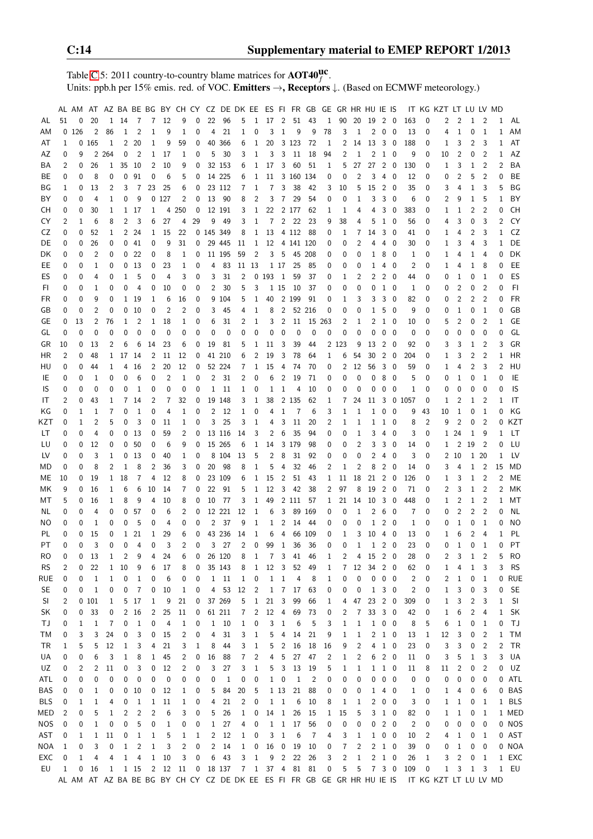Table [C.](#page-2-0)5: 2011 country-to-country blame matrices for  $\text{AOT40}^{\text{UC}}_f$ . Units: ppb.h per 15% emis. red. of VOC. Emitters  $\rightarrow$ , Receptors  $\downarrow$ . (Based on ECMWF meteorology.)

|            |                | AL AM    |                |              |                         |                |                         |         | AT AZ BA BE BG BY CH CY CZ DE DK EE ES FI FR GB GE GR HR HU IE IS |          |                |             |              |                |                |                         |                |                |              |                |                |              |                     |                          |                |                  | IT KG KZT LT LU LV MD                                                                         |                |                |                         |              |           |
|------------|----------------|----------|----------------|--------------|-------------------------|----------------|-------------------------|---------|-------------------------------------------------------------------|----------|----------------|-------------|--------------|----------------|----------------|-------------------------|----------------|----------------|--------------|----------------|----------------|--------------|---------------------|--------------------------|----------------|------------------|-----------------------------------------------------------------------------------------------|----------------|----------------|-------------------------|--------------|-----------|
| AL         | 51             | 0        | 20             | $\mathbf{1}$ | 14                      | 7              | 7                       | 12      | 9                                                                 | 0        | 22             | 96          | 5            | $\mathbf{1}$   | 17             | $\overline{2}$          |                | 51 43          | 1            | 90             | 20             | - 19         | $2\quad 0$          |                          | 163            | 0                | 2                                                                                             | 2              | 1              | $\overline{2}$          | 1            | AL        |
| ΑM         |                | 0126     | 2              | 86           | 1                       | $\overline{2}$ | 1                       | 9       | 1                                                                 | 0        | 4              | 21          | 1            | 0              | 3              | $\mathbf{1}$            | 9              | 9              | 78           | 3              | 1              | 2            | $\mathbf 0$         | $\overline{\phantom{0}}$ | 13             | 0                | 4                                                                                             | 1              | 0              | 1                       | 1            | AM        |
| AT         | 1              |          | 0 165          | 1            | 2                       | 20             | 1                       | 9       | 59                                                                | 0        |                | 40 366      | 6            | 1              | 20             |                         | 3 1 2 3        | -72            | 1            | 2              | 14             |              |                     |                          | 188            | 0                | 1                                                                                             | 3              | 2              | 3                       | 1            | AT        |
| AZ         | 0              | 9        |                | 2 2 6 4      | 0                       | $\overline{2}$ | 1                       | 17      | 1                                                                 | 0        | 5              | 30          | 3            | 1              | 3              | 3                       | 11             | 18             | 94           | 2              | 1              | 2            | $1\quad 0$          |                          | 9              | 0                | 10                                                                                            | 2              | 0              | $\overline{2}$          | 1            | AZ        |
| BA         | 2              | 0        | 26             | 1            | 35                      | 10             | 2                       | 10      | 9                                                                 | 0        |                | 32 153      | 6            | 1              | 17             | 3                       | 60             | 51             | 1            | 5              | 27             | 27           | $2\quad 0$          |                          | 130            | 0                | 1                                                                                             | 3              | 1              | $\overline{2}$          | 2            | BA        |
| BE         | 0              | 0        | 8              | 0            | 0                       | 91             | 0                       | 6       | 5                                                                 | 0        |                | 14 225      | 6            | 1              | 11             |                         | 3 160 134      |                | 0            | 0              | $\overline{2}$ | 3            | 4                   | 0                        | 12             | 0                | 0                                                                                             | 2              | 5              | $\overline{2}$          | 0            | BE        |
| ΒG         | 1              | 0        | 13             | 2            | 3                       | 7              | 23                      | 25      | 6                                                                 | 0        |                | 23 112      | 7            | 1              | 7              | 3                       | 38             | 42             | 3            | 10             | 5              | 15           | $2\quad 0$          |                          | 35             | 0                | 3                                                                                             | 4              | 1              | 3                       | 5            | ΒG        |
| BY         | 0              | 0        | 4              | 1            | 0                       | 9              |                         | 0 127   | 2                                                                 | 0        | 13             | - 90        | 8            | 2              | 3              | $\overline{7}$          | 29             | 54             | 0            | 0              | 1              | 3            | 3                   | - 0                      | 6              | 0                | 2                                                                                             | 9              | $\mathbf{1}$   | 5                       | 1            | BY        |
| СH         | 0              | 0        | 30             | 1            | 1                       | 17             | 1                       |         | 4 2 5 0                                                           | 0        |                | 12 191      | 3            | 1              | 22             |                         | 2 177          | 62             | 1            | 1              | 4              | 4            | 3                   | 0                        | 383            | 0                | 1                                                                                             | 1              | 2              | 2                       | 0            | СH        |
| CY         | $\overline{2}$ | 1        | 6              | 8            | 2                       | 3              | 6                       | 27      | 4                                                                 | 29       | 9              | 49          | 3            | 1              | $\overline{7}$ |                         | 2 2 2          | 23             | 9            | 38             | 4              | 5            | $1\quad 0$          |                          | 56             | 0                | 4                                                                                             | 3              | 0              | 3                       | 2            | CY        |
| CZ         | 0              | 0        | 52             | 1            | 2                       | 24             | 1                       | 15      | 22                                                                |          | 0 145 349      |             | 8            |                |                |                         | 1 13 4 112 88  |                | 0            | 1              | 7              | 14           | $3\quad0$           |                          | 41             | 0                | 1                                                                                             | 4              | 2              | 3                       | 1            | CZ        |
| DE         | 0              | 0        | 26             | 0            | 0                       | 41             | 0                       | 9       | 31                                                                | 0        |                | 29 445      | 11           | $\mathbf{1}$   |                |                         | 12 4 141 120   |                | 0            | 0              | 2              | 4            | 4                   | - 0                      | 30             | 0                | 1                                                                                             | 3              | 4              | 3                       | 1            | DE        |
| DK         | 0              | 0        | 2              | 0            | 0                       | 22             | 0                       | 8       | 1                                                                 | 0        |                | 11 195      | 59           | 2              | 3              | 5                       | 45 208         |                | 0            | 0              | 0              | 1            | 8 0                 |                          | 1              | 0                | 1                                                                                             | 4              | 1              | 4                       | 0            | DK        |
| EE         | 0              | 0        | $\mathbf{1}$   | 0            | 0                       | 13             | 0                       | 23      | 1                                                                 | 0        | 4              | 83          |              | 11 13          |                | 1 17                    | 25             | 85             | 0            | 0              | 0              | 1            | 4                   | - 0                      | 2              | 0                | 1                                                                                             | 4              | 1              | 8                       | 0            | EE        |
| ES         | 0              | 0        | 4              | 0            | 1                       | 5              | 0                       | 4       | 3                                                                 | 0        | 3              | 31          | 2            |                | 0 193          | $\overline{1}$          | 59             | 37             | 0            | 1              | 2              | 2            | $2\quad 0$          |                          | 44             | 0                | 0                                                                                             | 1              | 0              | -1                      | 0            | ES        |
| FI         | 0              | 0        | $\mathbf{1}$   | 0            | 0                       | 4              | 0                       | 10      | 0                                                                 | 0        | $\overline{c}$ | 30          | 5            | 3              |                | 1 15                    | 10             | 37             | 0            | 0              | 0              | 0            | $1\quad 0$          |                          | $\mathbf{1}$   | 0                | 0                                                                                             | 2              | 0              | $\overline{2}$          | 0            | FI        |
| <b>FR</b>  | 0              | 0        | 9              | 0            | 1                       | 19             | 1                       | 6       | 16                                                                | 0        |                | 9 104       | 5            | 1              | 40             |                         | 2 1 9 9        | 91             | 0            | 1              | 3              | 3            | 3                   | 0                        | 82             | 0                | 0                                                                                             | 2              | $\overline{2}$ | $\overline{2}$          | 0            | <b>FR</b> |
| GB         | 0              | 0        | 2              | 0            | 0                       | 10             | 0                       | 2       | 2                                                                 | 0        | 3              | 45          | 4            |                | 8              |                         | 2 52 216       |                | 0            | 0              | 0              | 1            | 5 0                 |                          | 9              | 0                | 0                                                                                             | 1              | 0              | 1                       | 0            | GB        |
| GE         |                |          | 2              |              | 1                       |                | 1                       |         |                                                                   |          | 6              | 31          |              | 1              | 3              |                         |                |                |              | $\overline{2}$ |                |              |                     |                          | 10             |                  | 5                                                                                             | 2              | 0              | $\overline{2}$          | 1            | GE        |
|            | 0              | 13       |                | 76           |                         | 2              |                         | 18      | 1                                                                 | 0        |                |             | 2            | 1              |                | $\overline{2}$          | 11             | 15 263         |              |                | 1              | 2            | 1 0                 |                          |                | 0                |                                                                                               |                |                |                         |              |           |
| GL         | 0              | 0        | 0              | 0            | 0                       | 0              | 0                       | 0       | 0                                                                 | 0        | 0              | 0           | 0            | 0              | 0              | 0                       | 0              | 0              | 0            | 0              | 0              | 0            | 0                   | - 0                      | $\mathbf 0$    | 0                | 0                                                                                             | 0              | 0              | 0                       | 0            | GL        |
| GR         | 10             | 0        | 13             | 2            | 6                       | 6              | 14                      | 23      | 6                                                                 | 0        | 19             | 81          | 5            | 1              | 11             | 3                       | 39             | 44             |              | 2 1 2 3        | 9              | 13           | 2                   | 0                        | 92             | 0                | 3                                                                                             | 3              | 1              | $\overline{2}$          | 3            | GR        |
| HR         | 2              | 0        | 48             | 1            | 17                      | 14             | 2                       | 11      | 12                                                                | 0        |                | 41 210      | 6            | $\overline{2}$ | 19             | 3                       | 78             | 64             | 1            | 6              | 54             | 30           | $2\quad 0$          |                          | 204            | 0                | 1                                                                                             | 3              | 2              | $\overline{2}$          | 1            | HR        |
| HU         | 0              | 0        | 44             | 1            | 4                       | 16             | 2                       | 20      | 12                                                                | 0        |                | 52 224      | 7            | 1              | 15             | 4                       | 74             | 70             | 0            | 2              | 12             | 56           | $3\quad0$           |                          | 59             | 0                | 1                                                                                             | 4              | $\overline{2}$ | 3                       | 2            | HU        |
| IE         | 0              | 0        | 1              | 0            | 0                       | 6              | 0                       | 2       | 1                                                                 | 0        | 2              | 31          | 2            | 0              | 6              | $\overline{2}$          | 19             | 71             | 0            | 0              | 0              | 0            | 8                   | - 0                      | 5              | 0                | 0                                                                                             | 1              | 0              | 1                       | 0            | IE        |
| IS         | 0              | 0        | 0              | 0            | 0                       | 1              | 0                       | 0       | 0                                                                 | 0        | $\mathbf{1}$   | - 11        | 1            | 0              | 1              | 1                       | 4              | 10             | 0            | 0              | 0              | 0            | 0                   | - 0                      | 1              | 0                | 0                                                                                             | 0              | 0              | 0                       | 0            | <b>IS</b> |
| IT         | $\overline{2}$ | 0        | 43             | 1            | 7                       | 14             | 2                       | 7       | 32                                                                | 0        |                | 19 148      | 3            | 1              | 38             |                         | 2 1 3 5        | 62             | 1            | 7              | 24             | 11           |                     |                          | 3 0 1057       | 0                | 1                                                                                             | 2              | $\mathbf{1}$   | $\overline{2}$          | 1            | IT        |
| ΚG         | 0              | 1        | 1              | 7            | 0                       | 1              | 0                       | 4       | 1                                                                 | 0        | 2              | - 12        | 1            | 0              | 4              | 1                       | 7              | 6              | 3            | 1              | 1              | $\mathbf{1}$ | $0\quad 0$          |                          | 9              | 43               | 10                                                                                            | 1              | 0              | 1                       | 0            | ΚG        |
| KZT        | 0              | 1        | 2              | 5            | 0                       | 3              | 0                       | 11      | 1                                                                 | 0        | 3              | 25          | 3            | 1              | 4              | 3                       | 11             | 20             | 2            | 1              | 1              | 1            | 10                  |                          | 8              | 2                | 9                                                                                             | 2              | 0              | $\overline{2}$          | 0            | KZT       |
| LТ         | 0              | 0        | 4              | 0            | 0                       | 13             | 0                       | 59      | 2                                                                 | 0        |                | 13 116      | 14           | 3              | 2              | 6                       | 35             | 94             | 0            | 0              | 1              | 3            | 4                   | - 0                      | 3              | 0                |                                                                                               | 1 24           | $\mathbf{1}$   | 9                       | 1            | LT        |
| LU         | 0              | 0        | 12             | 0            | 0                       | 50             | 0                       | 6       | 9                                                                 | 0        |                | 15 265      | 6            | 1              | 14             |                         | 3 1 7 9        | 98             | 0            | 0              | $\overline{2}$ | 3            |                     | $3\quad0$                | 14             | 0                | 1                                                                                             | 2              | 19             | $\overline{2}$          | 0            | LU        |
| LV         | 0              | 0        | 3              | 1            | 0                       | 13             | 0                       | 40      | 1                                                                 | 0        |                | 8 104       | 13           | 5              | $\overline{2}$ | 8                       | 31             | 92             | 0            | 0              | $\mathbf{0}$   | 2            | 4                   | 0                        | 3              | 0                |                                                                                               | 2 10           |                | 1 20                    | $\mathbf{1}$ | LV        |
| MD         | 0              | 0        | 8              | 2            | 1                       | 8              | 2                       | 36      | 3                                                                 | 0        | 20             | 98          | 8            | 1              | 5              | 4                       | 32             | 46             | 2            | 1              | 2              | 8            | $2\quad 0$          |                          | 14             | 0                | 3                                                                                             | 4              | $\mathbf{1}$   | $\overline{2}$          | 15           | MD        |
| ME         | 10             | 0        | 19             | 1            | 18                      | 7              | 4                       | 12      | 8                                                                 | 0        |                | 23 109      | 6            | 1              | 15             | 2                       | 51             | 43             | 1            | 11             | 18             | 21           | 2                   | 0                        | 126            | 0                | 1                                                                                             | 3              | $\mathbf 1$    | $\overline{2}$          | 2            | ME        |
| МK         | 9              | 0        | 16             | 1            | 6                       | 6              | 10                      | 14      | 7                                                                 | 0        | 22             | 91          | 5            | 1              | 12             | 3                       | 42             | 38             | 2            | 97             | 8              | 19           | $2\quad 0$          |                          | 71             | 0                | 2                                                                                             | 3              | $\mathbf{1}$   | $\overline{2}$          | 2            | МK        |
| МT         | 5              | 0        | 16             | 1            | 8                       | 9              | 4                       | 10      | 8                                                                 | 0        | 10             | - 77        | 3            | 1              | 49             |                         | 2 111 57       |                | 1            | 21             | 14             | 10           | 3                   | - 0                      | 448            | 0                | 1                                                                                             | 2              | $\mathbf 1$    | $\overline{2}$          | 1            | МT        |
| NL         | 0              | 0        | 4              | 0            | 0                       | 57             | 0                       | 6       | 2                                                                 | 0        |                | 12 221      | 12           | 1              | 6              | 3                       |                | 89 169         | 0            | 0              | 1              | 2            | 6                   | - 0                      | 7              | 0                | 0                                                                                             | $\overline{2}$ | $\overline{c}$ | 2                       | 0            | NL        |
| NO         | 0              | 0        | 1              | 0            | 0                       | 5              | 0                       | 4       | 0                                                                 | 0        | 2              | 37          | 9            | 1              | 1              | $\overline{2}$          | 14             | 44             | 0            | 0              | 0              | 1            | 2                   | - 0                      | 1              | 0                | 0                                                                                             | 1              | 0              | $\mathbf{1}$            | 0            | NO        |
| PL         | 0              | 0        | 15             | 0            | 1                       | 21             | 1                       | 29      | 6                                                                 | 0        |                | 43 236      | 14           | 1              | 6              | $\overline{4}$          |                | 66 109         | 0            | 1              | 3              | 10           | 4 0                 |                          | 13             | $\mathbf 0$      | 1                                                                                             | 6              | $\overline{c}$ | $\overline{4}$          | $\mathbf{1}$ | PL        |
| PT         | $\Omega$       | $\Omega$ | 3              | $\Omega$     | $\Omega$                | 4              | 0                       | 3       | 2                                                                 | $\Omega$ | 3              | 27          | 2            | $\mathbf 0$    |                | 99 1                    | 36             | - 36           | $\Omega$     | $\Omega$       | $\mathbf{1}$   |              | $1\quad2\quad0$     |                          | 23             | $\mathbf 0$      | 0                                                                                             | $\mathbf{1}$   | $\mathbf 0$    | <sup>1</sup>            |              | $0$ PT    |
| RO         | 0              | 0        | 13             | 1            | $\overline{\mathbf{c}}$ | 9              | 4                       | 24      | 6                                                                 | 0        |                | 26 120      | 8            | 1              |                |                         | 7 3 41         | 46             | 1            | 2              | 4              | 15           | $2\quad0$           |                          | 28             | 0                | 2                                                                                             | 3              | $\mathbf{1}$   | $\overline{2}$          | 5            | RO        |
| <b>RS</b>  | 2              | 0        | 22             | 1            | 10                      | 9              | 6                       | 17      | 8                                                                 | 0        |                | 35 143      | 8            | $\mathbf{1}$   | 12             | 3                       | 52             | 49             | 1            | 7              | 12             | 34           | $2\quad 0$          |                          | 62             | 0                | $\mathbf{1}$                                                                                  | 4              | 1              | 3                       | 3            | <b>RS</b> |
| RUE        | 0              | 0        | $\mathbf{1}$   | $\mathbf{1}$ | 0                       | 1              | 0                       | 6       | 0                                                                 | 0        |                | $1\quad 11$ | 1            | 0              |                | $1\quad1$               | 4              | 8              | 1            | 0              | 0              |              | $0\quad 0\quad 0$   |                          | 2              | 0                | 2                                                                                             | $\mathbf{1}$   | $\bf 0$        | $\overline{1}$          |              | 0 RUE     |
| SE.        | 0              | 0        | $\mathbf{1}$   | 0            | 0                       | 7              | 0                       | 10      | 1                                                                 | 0        |                | 4 53        | 12           | 2              |                | $1 \quad 7$             | 17             | 63             | 0            | 0              | 0              |              | $1 \quad 3 \quad 0$ |                          | 2              | 0                | 1                                                                                             | 3              | 0              | $\overline{\mathbf{3}}$ | 0            | <b>SE</b> |
| SI         | 2              |          | 0101           | 1            |                         | 5 17           | 1                       | 9       | 21                                                                | 0        |                | 37 269      | 5            | $\mathbf 1$    | 21             | $\overline{\mathbf{3}}$ | 99             | 66             | 1            | 4              | 47             | 23           | $2\quad 0$          |                          | 309            | 0                | 1                                                                                             | 3              | 2              | 3                       | 1            | SI        |
| SK         | 0              | 0        | 33             | 0            | $\overline{2}$          | 16             | 2                       | 25      | 11                                                                | 0        |                | 61 211      | 7            | 2              |                | 12 4                    | 69             | 73             | 0            | $\overline{c}$ | 7              |              | 33 3 0              |                          | 42             | 0                | 1                                                                                             | 6              | $\overline{c}$ | $\overline{4}$          | 1            | SK        |
| ТJ         | 0              | 1        | 1              | 7            | 0                       | 1              | 0                       | 4       | 1                                                                 | 0        |                | $1\quad 10$ | $\mathbf{1}$ | 0              | 3              | $\mathbf{1}$            | 6              | 5              | 3            | 1              | 1              |              | $1 \t0 \t0$         |                          | 8              | 5                | 6                                                                                             | $\mathbf{1}$   | $\mathbf 0$    | $\overline{1}$          | 0            | TJ        |
| ТM         | 0              | 3        | 3              | 24           | 0                       | 3              | 0                       | 15      | 2                                                                 | 0        | 4              | 31          | 3            | 1              | 5              | 4                       | 14             | 21             | 9            | 1              | 1              |              | $2\quad1\quad0$     |                          | 13             | 1                | 12                                                                                            | 3              | 0              | $\overline{2}$          |              | 1 TM      |
| TR         | 1              | 5        | 5              | 12           | 1                       | 3              | 4                       | 21      | 3                                                                 | 1        | 8              | 44          | 3            | 1              | 5              | $\overline{2}$          | 16             | 18             | 16           | 9              | $\overline{c}$ | 4            | $1\quad0$           |                          | 23             | 0                | 3                                                                                             | 3              | 0              | $\overline{2}$          | 2            | <b>TR</b> |
| UA         | 0              | 0        | 6              | 3            | 1                       | 8              | 1                       | 45      | 2                                                                 | 0        | 16             | 88          | 7            | 2              | 4              | 5                       | 27             | 47             | 2            | 1              | 2              | 6            | $2\quad 0$          |                          | 11             | 0                | 3                                                                                             | 5              | $\mathbf{1}$   | 3                       |              | 3 UA      |
| UZ         | 0              | 2        | $\overline{c}$ | 11           | 0                       | 3              | 0                       | 12      | 2                                                                 | 0        | 3              | 27          | 3            | 1              |                |                         | 5 3 13 19      |                | 5            | 1              | 1              |              | $1\quad1\quad0$     |                          | 11             | 8                | 11                                                                                            | $\overline{c}$ | 0              | $\overline{2}$          |              | $0$ $UZ$  |
| ATL        | 0              | 0        | 0              | 0            | 0                       | 0              | 0                       | 0       | 0                                                                 | 0        | 0              | 1           | 0            | 0              |                | $1\quad 0$              | <sup>1</sup>   | $\overline{2}$ | 0            | 0              | 0              | 0            | $0\quad 0$          |                          | 0              | 0                | 0                                                                                             | 0              | 0              | 0                       |              | 0 ATL     |
| BAS        | 0              | 0        | 1              | 0            | 0                       | 10             | 0                       | 12      | 1                                                                 | 0        | 5              | 84          | 20           | 5              |                | 1 1 3                   | 21             | 88             | 0            | 0              | 0              | 1            | 40                  |                          | 1              | 0                | 1                                                                                             | 4              | 0              | 6                       |              | 0 BAS     |
| <b>BLS</b> | 0              | 1        | $\mathbf{1}$   | 4            | 0                       | 1              | 1                       | 11      | 1                                                                 | 0        | 4              | 21          | 2            | 0              |                | $1\quad1$               | 6              | -10            | 8            | 1              | 1              | 2            | $0\quad 0$          |                          | 3              | 0                | $\mathbf{1}$                                                                                  | $\mathbf{1}$   | 0              | - 1                     |              | 1 BLS     |
| MED        | $\overline{2}$ | 0        | 5              | $\mathbf{1}$ | $\overline{c}$          | 2              | $\overline{\mathbf{c}}$ | 6       | 3                                                                 | 0        | 5              | 26          | $\mathbf{1}$ | 0              |                | 14 1                    | 26             | - 15           | $\mathbf{1}$ | 15             | 5              |              | 3 1 0               |                          | 82             | 0                | 1                                                                                             | $\mathbf{1}$   | $\pmb{0}$      | $\overline{1}$          |              | 1 MED     |
| NOS        | 0              | 0        | $\mathbf{1}$   | 0            | 0                       | 5              | 0                       | 1       | 0                                                                 | 0        | $\mathbf{1}$   | 27          | 4            | 0              |                |                         | 1 1 17         | 56             | 0            | 0              | 0              | 0            | $2\quad 0$          |                          | $\overline{c}$ | 0                | 0                                                                                             | 0              | 0              | $\mathbf 0$             |              | 0 NOS     |
| AST        | 0              | 1        | $\mathbf{1}$   | 11           | 0                       | 1              | 1                       | 5       | 1                                                                 | 1        | $\overline{2}$ | 12          | 1            | 0              | 3              | $\,1\,$                 | 6              | 7              | 4            | 3              | 1              | $\mathbf{1}$ | $0\quad 0$          |                          | 10             | $\overline{c}$   | 4                                                                                             | $\mathbf{1}$   | 0              | $\overline{1}$          |              | 0 AST     |
| NOA        | 1              | 0        | 3              | 0            | 1                       | $\overline{c}$ | 1                       | 3       | 2                                                                 | 0        | $\overline{2}$ | 14          | $\mathbf{1}$ | 0              | 16             | $\mathbf 0$             | 19             | 10             | 0            | 7              | 2              |              | $2\quad1\quad0$     |                          | 39             | 0                | 0                                                                                             | $\mathbf{1}$   | 0              | 0                       |              | 0 NOA     |
| EXC        | 0              | 1        | 4              | 4            | $\mathbf 1$             | 4              | $\mathbf{1}$            | 10      | 3                                                                 | 0        |                | 6 43        | 3            | $\mathbf{1}$   |                | 9 <sub>2</sub>          | 22             | 26             | 3            | $\overline{2}$ | $\mathbf{1}$   |              | $2\quad1\quad0$     |                          | 26             | $\mathbf{1}$     | 3                                                                                             | $\overline{c}$ | $0\quad 1$     |                         |              | 1 EXC     |
| EU         | 1              | 0        | 16             | 1            |                         | 1 15           |                         | 2 12 11 |                                                                   | 0        |                | 18 137      |              |                |                |                         | 7 1 37 4 81 81 |                | 0            | 5              | 5              |              | 730                 |                          | 109            | $\boldsymbol{0}$ |                                                                                               | $1 \quad 3$    |                | 1 3                     |              | 1 EU      |
|            |                |          |                |              |                         |                |                         |         |                                                                   |          |                |             |              |                |                |                         |                |                |              |                |                |              |                     |                          |                |                  | AL AM AT AZ BA BE BG BY CH CY CZ DE DK EE ES FI FR GB GE GR HR HU IE IS IT KG KZT LT LU LV MD |                |                |                         |              |           |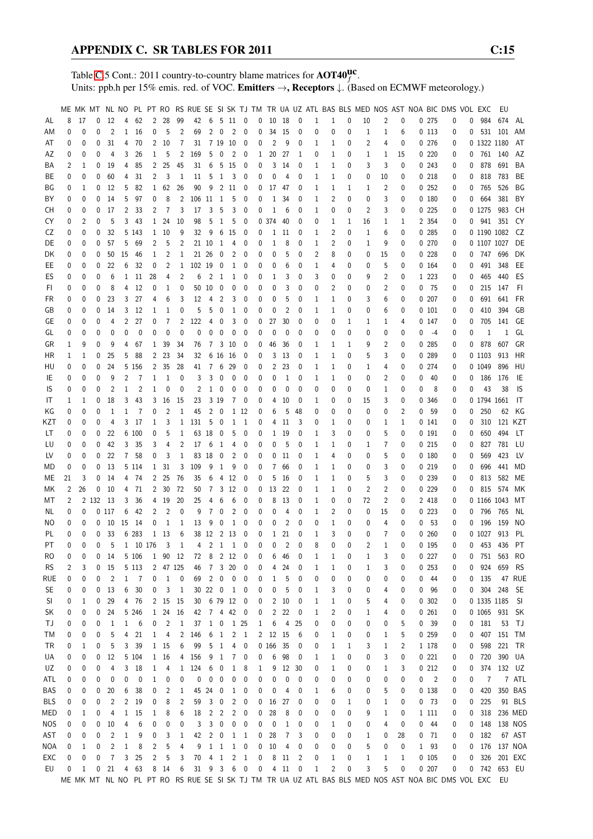Table [C.](#page-2-0)5 Cont.: 2011 country-to-country blame matrices for  $\text{AOT40}^{\text{UC}}_f$ . Units: ppb.h per 15% emis. red. of VOC. Emitters  $\rightarrow$ , Receptors  $\downarrow$ . (Based on ECMWF meteorology.)

|            |    |    |             |                |                |          |                |              |                |        |                |                |                |                          |   |       |                |                |   |              |          | ME MK MT NL NO PL PT RO RS RUE SE SI SK TJ TM TR UA UZ ATL BAS BLS MED NOS AST NOA BIC DMS VOL EXC |              |    |              |                            |                                                                                                       |   |               | EU           |           |
|------------|----|----|-------------|----------------|----------------|----------|----------------|--------------|----------------|--------|----------------|----------------|----------------|--------------------------|---|-------|----------------|----------------|---|--------------|----------|----------------------------------------------------------------------------------------------------|--------------|----|--------------|----------------------------|-------------------------------------------------------------------------------------------------------|---|---------------|--------------|-----------|
|            | 8  |    |             |                |                |          | $\overline{2}$ |              |                |        |                |                |                |                          |   |       |                |                |   |              | 0        |                                                                                                    |              | 0  |              |                            |                                                                                                       | 0 | 984           | 674          |           |
| AL         |    | 17 | 0           | 12             | 4              | 62       |                | 28           | 99             | 42     | 6              |                | 5 11 0         |                          | 0 | 10    | 18             | $\mathbf 0$    | 1 | $\mathbf{1}$ |          | 10                                                                                                 | 2            |    |              | 0.275                      | 0                                                                                                     |   |               |              | AL        |
| AM         | 0  | 0  | 0           | $\overline{2}$ | $\mathbf{1}$   | 16       | 0              | 5            | 2              | 69     | 2              | $\mathbf 0$    | 2              | 0                        | 0 | 34    | 15             | 0              | 0 | 0            | 0        | 1                                                                                                  | 1            | 6  |              | 0113                       | 0                                                                                                     | 0 |               | 531 101      | AM        |
| AT         | 0  | 0  | 0           | 31             | 4              | 70       | $\mathbf{2}$   | 10           | 7              | 31     |                | 7 19 10        |                | 0                        | 0 | 2     | 9              | 0              | 1 | 1            | 0        | 2                                                                                                  | 4            | 0  |              | 0276                       | 0                                                                                                     |   | 0 1322 1180   |              | AT        |
| AZ         | 0  | 0  | 0           | 4              | 3              | 26       | 1              | 5            | 2              | 169    | 5              | $\mathbf 0$    | 2              | 0                        | 1 | 20    | 27             | 1              | 0 | 1            | 0        | 1                                                                                                  | 1            | 15 |              | 0220                       | 0                                                                                                     | 0 |               | 761 140      | AZ        |
| ΒA         | 2  | 1  | 0           | 19             | 4              | 85       | 2              | 25           | 45             | 31     | 6              |                | 5 15           | 0                        | 0 | 3     | 14             | 0              | 1 | 1            | 0        | 3                                                                                                  | 3            | 0  |              | 0.243                      | 0                                                                                                     | 0 | 878           | 691          | BA        |
| ВE         | 0  | 0  | 0           | 60             | 4              | 31       | 2              | 3            | 1              | 11     | 5              | 1              | 3              | 0                        | 0 | 0     | 4              | 0              | 1 | 1            | 0        | 0                                                                                                  | 10           | 0  |              | 0 218                      | 0                                                                                                     | 0 | 818           | 783          | BE        |
| ΒG         | 0  | 1  | 0           | 12             | 5              | 82       | $\mathbf{1}$   | 62           | 26             | 90     | 9              |                | 2 11           | 0                        | 0 | 17    | 47             | 0              | 1 | 1            | 1        | 1                                                                                                  | 2            | 0  |              | 0252                       | 0                                                                                                     | 0 | 765           | 526          | ΒG        |
|            |    |    |             |                |                |          |                |              |                |        |                |                |                |                          |   |       |                |                |   |              |          |                                                                                                    |              |    |              |                            |                                                                                                       |   |               |              |           |
| ΒY         | 0  | 0  | 0           | 14             | 5              | 97       | 0              | 8            | 2              | 106 11 |                | -1             | 5              | 0                        | 0 | 1     | 34             | 0              | 1 | 2            | 0        | 0                                                                                                  | 3            | 0  |              | 0 180                      | 0                                                                                                     | 0 | 664           | 381          | BY        |
| CН         | 0  | 0  | 0           | 17             | 2              | 33       | 2              | 7            | 3              | 17     | 3              | 5              | 3              | 0                        | 0 | 1     | 6              | 0              | 1 | 0            | 0        | 2                                                                                                  | 3            | 0  |              | 0225                       | 0                                                                                                     |   | 0 1275        | 983          | CН        |
| CY         | 0  | 2  | 0           | 5              | 3              | 43       | 1              | 24           | 10             | 98     | 5              | 1              | 5              | 0                        | 0 | 374   | 40             | 0              | 0 | 1            | 1        | 16                                                                                                 | 1            | 1  |              | 2 354                      | 0                                                                                                     | 0 |               | 941 351      | CY        |
| CZ         | 0  | 0  | 0           | 32             |                | 5 1 4 3  | $\mathbf{1}$   | 10           | 9              | 32     | 9              | 6              | - 15           | 0                        | 0 | 1     | 11             | 0              | 1 | 2            | 0        | 1                                                                                                  | 6            | 0  |              | 0.285                      | 0                                                                                                     |   | 0 1190 1082   |              | CZ        |
| DE         | 0  | 0  | 0           | 57             | 5              | 69       | 2              | 5            | 2              |        | 21 10          | -1             | 4              | 0                        | 0 | 1     | 8              | 0              | 1 | 2            | 0        | 1                                                                                                  | 9            | 0  |              | 0 270                      | 0                                                                                                     |   | 0 1107 1027   |              | DE        |
| DK         | 0  | 0  | 0           | 50             | 15             | 46       | 1              | 2            | 1              |        | 21 26          | 0              | 2              | 0                        | 0 | 0     | 5              | 0              | 2 | 8            | 0        | 0                                                                                                  | 15           | 0  |              | 0228                       | 0                                                                                                     | 0 | 747 696       |              | DK        |
| EE         | 0  | 0  | 0           | 22             | 6              | 32       | 0              | 2            | 1              | 102 19 |                | 0              | 1              | 0                        | 0 | 0     | 6              | 0              | 1 | 4            | 0        | 0                                                                                                  | 5            | 0  |              | 0 164                      | 0                                                                                                     | 0 | 491           | 348          | EE        |
|            |    |    |             |                |                |          |                |              |                |        |                |                |                |                          |   |       |                |                |   |              |          |                                                                                                    |              |    |              |                            |                                                                                                       |   |               |              |           |
| ES         | 0  | 0  | 0           | 6              | 1              | 11       | 28             | 4            | 2              | 6      | 2              | 1              | 1              | 0                        | 0 | 1     | 3              | 0              | 3 | 0            | 0        | 9                                                                                                  | 2            | 0  |              | 1 2 2 3                    | 0                                                                                                     | 0 | 465           | 440          | ES        |
| FI.        | 0  | 0  | 0           | 8              | 4              | 12       | 0              | $\mathbf{1}$ | 0              |        | 50 10          | $\mathbf 0$    | 0              | 0                        | 0 | 0     | 3              | 0              | 0 | 2            | 0        | 0                                                                                                  | 2            | 0  |              | 0 75                       | 0                                                                                                     | 0 | 215           | 147          | FI        |
| FR         | 0  | 0  | 0           | 23             | 3              | 27       | 4              | 6            | 3              | 12     | 4              | 2              | 3              | 0                        | 0 | 0     | 5              | 0              | 1 | 1            | 0        | 3                                                                                                  | 6            | 0  |              | 0207                       | 0                                                                                                     | 0 | 691           | 641          | FR        |
| GB         | 0  | 0  | 0           | 14             | 3              | 12       | 1              | 1            | 0              | 5      | 5              | 0              | 1              | 0                        | 0 | 0     | $\overline{2}$ | 0              | 1 | 1            | 0        | 0                                                                                                  | 6            | 0  |              | $0$ $101$                  | 0                                                                                                     | 0 | 410           | 394          | GB        |
| GE         | 0  | 0  | 0           | 4              | 2              | 27       | 0              | 7            | 2              | 122    | 4              | 0              | 3              | 0                        | 0 | 27    | 30             | 0              | 0 | 0            | 1        | 1                                                                                                  | 1            | 4  |              | 0 147                      | 0                                                                                                     | 0 | 705           | 141          | GE        |
| GL         | 0  | 0  | 0           | 0              | 0              | 0        | 0              | $\mathbf{0}$ | $\mathbf{0}$   | 0      | $\mathbf 0$    | 0              | 0              | 0                        | 0 | 0     | 0              | 0              | 0 | 0            | 0        | 0                                                                                                  | 0            | 0  | 0            | -4                         | 0                                                                                                     | 0 | $\mathbf{1}$  | $\mathbf{1}$ | GL        |
| GR         | 1  | 9  | 0           | 9              | 4              | 67       | 1              | 39           | 34             | 76     | $\overline{7}$ |                | 3 10           | 0                        | 0 | 46    | 36             | 0              | 1 | 1            | 1        | 9                                                                                                  | 2            | 0  |              | 0 285                      | 0                                                                                                     | 0 | 878           | 607          | GR        |
|            |    |    |             |                |                |          |                |              |                |        |                |                |                |                          |   |       |                |                |   |              |          |                                                                                                    |              |    |              |                            |                                                                                                       |   |               |              |           |
| HR         | 1  | 1  | 0           | 25             | 5              | 88       | 2              | 23           | 34             | 32     |                | 6 16           | - 16           | 0                        | 0 | 3     | 13             | 0              | 1 | 1            | 0        | 5                                                                                                  | 3            | 0  |              | 0 289                      | 0                                                                                                     |   | 0 1103        | 913          | HR        |
| HU         | 0  | 0  | 0           | 24             |                | 5 156    | 2              | 35           | 28             | 41     | 7              | 6              | 29             | 0                        | 0 | 2     | 23             | 0              | 1 | 1            | 0        | 1                                                                                                  | 4            | 0  |              | 0 274                      | 0                                                                                                     |   | 0 1049        | 896          | HU        |
| IE         | 0  | 0  | 0           | 9              | 2              | 7        | 1              | 1            | 0              | 3      | 3              | 0              | 0              | 0                        | 0 | 0     | 1              | 0              | 1 | 1            | 0        | 0                                                                                                  | 2            | 0  | 0            | 40                         | 0                                                                                                     | 0 | 186           | 176          | IE        |
| IS         | 0  | 0  | 0           | 2              | 1              | 2        | 1              | 0            | 0              | 2      | 1              | 0              | 0              | 0                        | 0 | 0     | 0              | 0              | 0 | 0            | 0        | 0                                                                                                  | 1            | 0  | 0            | 8                          | 0                                                                                                     | 0 | 43            | 38           | IS        |
| IT         | 1  | 1  | 0           | 18             | 3              | 43       | 3              | 16           | 15             | 23     |                | 3 19           | 7              | 0                        | 0 | 4     | 10             | 0              | 1 | 0            | 0        | 15                                                                                                 | 3            | 0  |              | 0 346                      | 0                                                                                                     |   | 0 1794 1661   |              | IT        |
| ΚG         | 0  | 0  | 0           | 1              | 1              | 7        | 0              | 2            | 1              | 45     | $\overline{c}$ | $\mathbf 0$    |                | 1 12                     | 0 | 6     | 5              | 48             | 0 | 0            | 0        | 0                                                                                                  | 0            | 2  | 0            | 59                         | 0                                                                                                     | 0 | 250           | 62           | KG        |
| KZT        | 0  | 0  | 0           | 4              | 3              | 17       | 1              | 3            | 1              | 131    | 5              | 0              | 1              | -1                       | 0 | 4     | 11             | 3              | 0 | 1            | 0        | 0                                                                                                  | 1            | 1  |              | 0 141                      | 0                                                                                                     | 0 | 310           |              | 121 KZT   |
|            |    |    |             |                |                |          |                |              |                |        |                |                |                |                          |   |       |                |                |   |              |          |                                                                                                    |              |    |              |                            |                                                                                                       |   |               |              |           |
| LT         | 0  | 0  | 0           | 22             |                | 6 100    | 0              | 5            | 1              |        | 63 18          | 0              | 5              | 0                        | 0 | 1     | 19             | 0              | 1 | 3            | 0        | 0                                                                                                  | 5            | 0  |              | 0 191                      | 0                                                                                                     | 0 | 650           | 494          | LT        |
| LU         | 0  | 0  | 0           | 42             | 3              | 35       | 3              | 4            | 2              | 17     | 6              | 1              | 4              | 0                        | 0 | 0     | 5              | 0              | 1 | 1            | 0        | 1                                                                                                  | 7            | 0  |              | 0215                       | 0                                                                                                     | 0 | 827           | 781          | LU        |
| LV         | 0  | 0  | 0           | 22             | $\overline{7}$ | 58       | 0              | 3            | $\mathbf{1}$   | 83     | 18             | 0              | 2              | 0                        | 0 | 0     | 11             | 0              | 1 | 4            | 0        | 0                                                                                                  | 5            | 0  |              | 0180                       | 0                                                                                                     | 0 | 569           | 423          | LV        |
| MD         | 0  | 0  | 0           | 13             |                | 5 1 1 4  | $\mathbf{1}$   | 31           | 3              | 109    | 9              | 1              | 9              | 0                        | 0 | 7     | 66             | 0              | 1 | 1            | 0        | 0                                                                                                  | 3            | 0  |              | 0 219                      | 0                                                                                                     | 0 | 696           | 441          | MD        |
| МE         | 21 | 3  | 0           | 14             | 4              | 74       | 2              | 25           | 76             | 35     | 6              |                | 4 12           | 0                        | 0 | 5     | 16             | 0              | 1 | 1            | 0        | 5                                                                                                  | 3            | 0  |              | 0 239                      | 0                                                                                                     | 0 | 813           | 582          | МE        |
| МK         | 2  | 26 | 0           | 10             | 4              | 71       | $\overline{2}$ | 30           | 72             | 50     | $\overline{7}$ | 3              | 12             | 0                        | 0 | 13    | 22             | 0              | 1 | 1            | 0        | 2                                                                                                  | 2            | 0  |              | 0229                       | 0                                                                                                     | 0 | 815           | 574          | МK        |
| МT         | 2  |    | 2 1 3 2     | -13            | 3              | 36       | 4              | 19           | 20             | 25     | 4              | 6              | 6              | 0                        | 0 | 8     | 13             | 0              | 1 | 0            | 0        | 72                                                                                                 | 2            | 0  |              | 2 418                      | 0                                                                                                     |   | 0 1166 1043   |              | МT        |
| ΝL         | 0  | 0  |             | 0117           | 6              | 42       | 2              | 2            | 0              | 9      | 7              | 0              | 2              | 0                        | 0 | 0     | 4              | 0              | 1 | 2            | 0        | 0                                                                                                  | 15           | 0  |              | 0223                       | 0                                                                                                     | 0 | 796           | 765          | NL        |
|            |    |    |             |                |                |          |                |              |                |        |                |                |                |                          |   |       |                |                |   |              |          |                                                                                                    |              |    |              |                            |                                                                                                       |   |               |              |           |
| ΝO         | 0  | 0  | 0           | 10             | 15             | 14       | 0              | 1            | 1              | 13     | 9              | 0              | 1              | 0                        | 0 | 0     | $\overline{2}$ | 0              | 0 | 1            | 0        | 0                                                                                                  | 4            | 0  | 0            | - 53                       | 0                                                                                                     | 0 | 196           | 159          | NO        |
| PL         | 0  | 0  | $\mathbf 0$ | 33             |                | 6 283    | $\mathbf 1$    | 13           | 6              |        | 38 12          | 2 13           |                | 0                        | 0 | 1     | 21             | 0              | 1 | 3            | 0        | 0                                                                                                  | 7            | 0  |              | 0260                       | 0                                                                                                     |   | 0 1027        | 913          | PL        |
| PT         | 0  | 0  | 0           | 5              |                | 1 10 176 |                | 3            | $\mathbf{1}$   |        | $4 \t2 \t1$    |                | <sup>1</sup>   | 0                        | 0 | 0     | $\overline{2}$ | $\theta$       | 8 | $\Omega$     | $\Omega$ | $\overline{2}$                                                                                     | $\mathbf{1}$ | 0  |              | 0 195                      | 0                                                                                                     | 0 | 453           | 436          | PT        |
| RO         | 0  | 0  | 0           | 14             |                | 5 106    |                | 1 90 12      |                | 72     | 8 2 12         |                |                | 0                        | 0 | 6     | 46             | 0              | 1 | $\mathbf{1}$ | 0        | 1                                                                                                  | 3            | 0  |              | 0227                       | 0                                                                                                     | 0 |               | 751 563      | RO        |
| RS.        | 2  | 3  | 0           | 15             |                | 5 1 1 3  | $\overline{2}$ |              | 47 125         | 46     |                | 7 3 20         |                | 0                        | 0 | 4     | 24             | 0              | 1 | 1            | 0        | 1                                                                                                  | 3            | 0  |              | 0253                       | 0                                                                                                     | 0 | 924           | 659          | <b>RS</b> |
| rue        | 0  | 0  | 0           | $\overline{c}$ | $\mathbf{1}$   | 7        | 0              | $\mathbf{1}$ | 0              | 69     | $\overline{2}$ | $\pmb{0}$      | 0              | 0                        | 0 | 1     | 5              | 0              | 0 | 0            | 0        | 0                                                                                                  | 0            | 0  | 0            | 44                         | 0                                                                                                     | 0 | 135           |              | 47 RUE    |
| <b>SE</b>  | 0  | 0  | 0           | 13             | 6              | 30       | 0              | 3            | $\mathbf{1}$   |        | 30 22 0        |                | $\mathbf{1}$   | $\boldsymbol{0}$         | 0 | 0     | 5              | 0              | 1 | 3            | 0        | 0                                                                                                  | 4            | 0  |              | 0 96                       | 0                                                                                                     | 0 | 304           | 248          | <b>SE</b> |
|            |    |    |             |                |                | 4 76     |                |              |                |        |                |                |                |                          |   |       |                |                |   |              |          |                                                                                                    |              |    |              |                            |                                                                                                       |   | 0 1335 1185   |              |           |
| SI         | 0  | 1  | 0           | 29             |                |          |                | 2 15         | - 15           |        | 30 6 79 12     |                |                | $\overline{\phantom{0}}$ | 0 | 2     | 10             | 0              | 1 | 1            | 0        | 5                                                                                                  | 4            | 0  |              | 0.302                      | 0                                                                                                     |   |               |              | - SI      |
| SK         | 0  | 0  | 0           | 24             |                | 5 246    | $\mathbf{1}$   | 24           | 16             | 42     | 7 4 42         |                |                | $\overline{\phantom{0}}$ | 0 | 2     | 22             | 0              | 1 | 2            | 0        | 1                                                                                                  | 4            | 0  |              | 0261                       | 0                                                                                                     |   | 0 1065 931 SK |              |           |
| ΤJ         | 0  | 0  | 0           | 1              | 1              | 6        | 0              | 2            | $\mathbf{1}$   | 37     | $\mathbf{1}$   | $\bf{0}$       |                | 1 25                     | 1 | 6     | 4              | 25             | 0 | 0            | 0        | 0                                                                                                  | 0            | 5  |              | 0 <sup>39</sup>            | 0                                                                                                     |   | 0 181         | 53           | TJ        |
| ТM         | 0  | 0  | 0           | 5              | 4              | 21       | 1              | 4            | $\overline{c}$ | 146    | 6              | $\overline{1}$ | $\overline{2}$ | $\overline{1}$           | 2 | 12    | 15             | 6              | 0 | 1            | 0        | 0                                                                                                  | 1            | 5  |              | 0 259                      | 0                                                                                                     | 0 | 407           | 151 TM       |           |
| TR         | 0  | 1  | 0           | 5              | 3              | 39       |                | 1 15         | 6              | 99     | 5              | $\mathbf{1}$   | 4              | 0                        |   | 0 166 | 35             | 0              | 0 | 1            | 1        | 3                                                                                                  | $\mathbf{1}$ | 2  |              | 1 178                      | 0                                                                                                     | 0 | 598           |              | 221 TR    |
| UA         | 0  | 0  | 0           | 12             |                | 5 104    |                | 1 16         | 4              | 156    | 9              | 1              | 7              | 0                        | 0 | 6     | 98             | 0              | 1 | 1            | 0        | 0                                                                                                  | 3            | 0  |              | 0221                       | 0                                                                                                     | 0 | 720           |              | 390 UA    |
| UZ         | 0  | 0  | 0           | 4              |                | 3 18     | 1              | 4            | $\mathbf{1}$   | 124    | 6              | 0              | 1              | 8                        | 1 | 9     | - 12           | 30             | 0 | 1            | 0        | 0                                                                                                  | 1            | 3  |              | 0212                       | 0                                                                                                     | 0 |               | 374 132 UZ   |           |
| ATL        |    |    |             |                | 0              | 0        |                |              | 0              | 0      | 0              | 0              |                | 0                        | 0 | 0     | 0              | 0              |   |              | 0        |                                                                                                    |              |    | 0            |                            |                                                                                                       | 0 | 7             |              | 7 ATL     |
|            | 0  | 0  | 0           | 0              |                |          | 1              | 0            |                |        |                |                | 0              |                          |   |       |                |                | 0 | 0            |          | 0                                                                                                  | 0            | 0  |              | $\overline{\phantom{0}}^2$ | 0                                                                                                     |   |               |              |           |
| BAS        | 0  | 0  | 0           | 20             | 6              | 38       | 0              | 2            | 1              |        | 45 24          | 0              | 1              | 0                        | 0 | 0     | 4              | 0              | 1 | 6            | 0        | 0                                                                                                  | 5            | 0  |              | 0138                       | 0                                                                                                     | 0 | 420           |              | 350 BAS   |
| <b>BLS</b> | 0  | 0  | 0           | $\overline{c}$ | 2              | 19       | 0              | 8            | 2              | 59     | 3              | 0              | 2              | 0                        | 0 | 16    | 27             | 0              | 0 | 0            | 1        | 0                                                                                                  | 1            | 0  |              | 0 <sub>73</sub>            | 0                                                                                                     | 0 | 225           |              | 91 BLS    |
| MED        | 0  | 1  | 0           | 4              | $\mathbf{1}$   | 15       | 1              | 8            | 6              | 18     | 2              | $\overline{c}$ | 2              | 0                        | 0 | 28    | 8              | 0              | 0 | 0            | 0        | 9                                                                                                  | $\mathbf{1}$ | 0  |              | 1 1 1 1                    | 0                                                                                                     | 0 | 318           |              | 236 MED   |
| <b>NOS</b> | 0  | 0  | 0           | 10             | 4              | 6        | 0              | 0            | 0              | 3      | 3              | $\mathbf 0$    | 0              | 0                        | 0 | 0     | 1              | 0              | 0 | 1            | 0        | 0                                                                                                  | 4            | 0  |              | $0$ 44                     | 0                                                                                                     | 0 |               | 148 138 NOS  |           |
| AST        | 0  | 0  | 0           | $\overline{c}$ | 1              | 9        | 0              | 3            | 1              | 42     | $\overline{2}$ | 0              | $\mathbf{1}$   | $\overline{1}$           | 0 | 28    | 7              | 3              | 0 | 0            | 0        | 1                                                                                                  | 0            | 28 |              | $0$ 71                     | 0                                                                                                     | 0 | 182           |              | 67 AST    |
| NOA        | 0  | 1  | 0           | $\overline{c}$ | $\mathbf{1}$   | 8        | 2              | 5            | 4              | 9      |                | $1\quad1$      | $\mathbf{1}$   | $\pmb{0}$                | 0 | 10    | 4              | 0              | 0 | 0            | 0        | 5                                                                                                  | 0            | 0  | $\mathbf{1}$ | 93                         | 0                                                                                                     | 0 | 176           | 137 NOA      |           |
| EXC        | 0  | 0  | 0           | 7              | 3              | 25       | $\overline{c}$ | 5            | 3              | 70     | $4 \quad 1$    |                | $\overline{2}$ | $\overline{1}$           | 0 |       | 8 11           | $\overline{c}$ | 0 | 1            | 0        | $\mathbf{1}$                                                                                       | $\mathbf{1}$ | 1  |              | 0105                       | 0                                                                                                     | 0 | 326           |              | 201 EXC   |
|            |    |    |             |                |                |          |                |              |                |        |                |                |                |                          |   |       |                |                |   |              |          |                                                                                                    |              |    |              |                            |                                                                                                       |   |               |              |           |
| EU         | 0  | 1  | 0           | 21             | 4              | 63       |                | 8 14         | 6              |        | 31 9 3         |                |                | 6 0                      | 0 |       | $4$ 11         | 0              | 1 | 2            | 0        | 3                                                                                                  | 5            | 0  |              | 0.207                      | 0                                                                                                     |   | 0 742 653 EU  |              |           |
|            |    |    |             |                |                |          |                |              |                |        |                |                |                |                          |   |       |                |                |   |              |          |                                                                                                    |              |    |              |                            | ME MK MT NL NO PL PT RO RS RUE SE SI SK TJ TM TR UA UZ ATL BAS BLS MED NOS AST NOA BIC DMS VOL EXC EU |   |               |              |           |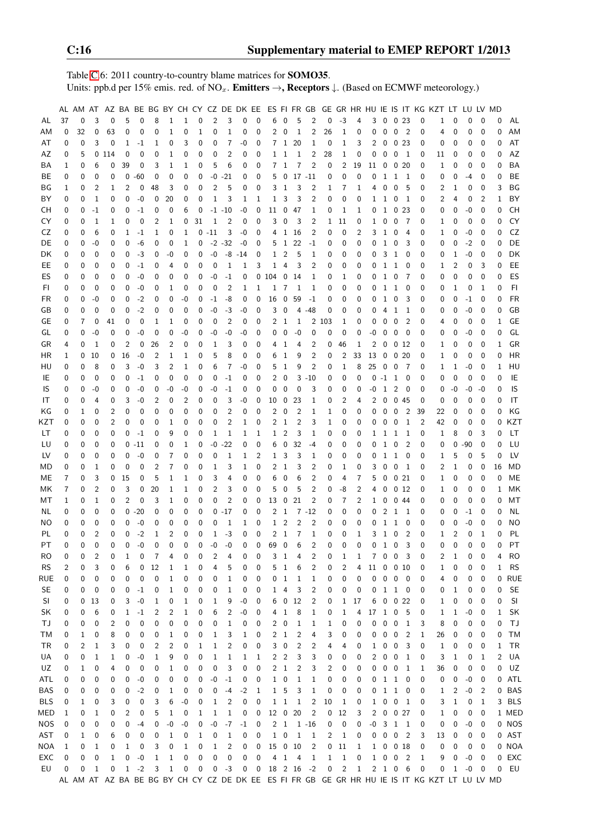Table [C.](#page-2-0)6: 2011 country-to-country blame matrices for SOMO35. Units: ppb.d per 15% emis. red. of NO<sub>x</sub>. **Emitters**  $\rightarrow$ **, Receptors**  $\downarrow$ . (Based on ECMWF meteorology.)

|            |          |              |                |       |                |          |          |                |              |          |                |                |              |              |              |                         |                 |                         |              |              |                |              |                 |                         |                            |          | AL AM AT AZ BA BE BG BY CH CY CZ DE DK EE ES FI FR GB GE GR HR HU IE IS IT KG KZT LT LU LV MD |          |          |                  |          |           |
|------------|----------|--------------|----------------|-------|----------------|----------|----------|----------------|--------------|----------|----------------|----------------|--------------|--------------|--------------|-------------------------|-----------------|-------------------------|--------------|--------------|----------------|--------------|-----------------|-------------------------|----------------------------|----------|-----------------------------------------------------------------------------------------------|----------|----------|------------------|----------|-----------|
| AL         | 37       | 0            | 3              | 0     | 5              | 0        | 8        | 1              | $\mathbf{1}$ | 0        | $\overline{2}$ | 3              | 0            | 0            | 6            | $\mathbf 0$             | 5               | 2                       | 0            | $-3$         | 4              | 3            | 0               | 0 <sub>23</sub>         |                            | 0        | 1                                                                                             | 0        | 0        | $\mathbf 0$      | 0        | AL        |
| ΑM         | 0        | 32           | $\mathbf 0$    | 63    | 0              | 0        | 0        | 1              | 0            | 1        | 0              | 1              | 0            | 0            | 2            | $\mathbf 0$             | 1               | $\overline{\mathbf{c}}$ | 26           | $\mathbf{1}$ | 0              | 0            | 0               | $\mathbf 0$             | $\overline{2}$             | 0        | 4                                                                                             | 0        | 0        | $\mathbf 0$      | 0        | ΑM        |
| AT         | 0        | 0            | 3              | 0     | 1              | $-1$     | 1        | 0              | 3            | 0        | 0              | 7              | -0           | 0            |              | 7 <sub>1</sub>          | 20              | 1                       | 0            | $\mathbf{1}$ | 3              | 2            | 0               | 0 <sub>23</sub>         |                            | 0        | 0                                                                                             | 0        | 0        | $\mathbf 0$      | 0        | AT        |
| ΑZ         | 0        | 5            |                | 0 114 | 0              | 0        | 0        | 1              | 0            | 0        | 0              | 2              | 0            | 0            |              | $1\quad1$               | 1               | 2                       | 28           | 1            | 0              | 0            | 0               | 0 <sub>1</sub>          |                            | 0        | 11                                                                                            | 0        | 0        | 0                | 0        | AZ        |
| ΒA         | 1        | 0            | 6              | 0     | 39             | 0        | 3        | 1              | 1            | 0        | 5              | 6              | 0            | 0            | 7            | 1                       | 7               | 2                       | 0            | 2            | 19             | 11           | 0               | 020                     |                            | 0        | 1                                                                                             | 0        | 0        | 0                | 0        | BA        |
| ВE         | 0        | 0            | $\mathbf 0$    | 0     | 0              | $-60$    | 0        | 0              | 0            | 0        | $-0$           | $-21$          | 0            | 0            | 5            | $\mathbf 0$             |                 | $17 - 11$               | 0            | $\mathbf 0$  | 0              | 0            | 1               | $\mathbf{1}$            | $\overline{\phantom{0}}$   | 0        | 0                                                                                             | 0        | $-4$     | 0                | 0        | BE        |
| ΒG         | 1        | 0            | 2              | 1     | 2              | 0        | 48       | 3              | 0            | 0        | 2              | 5              | 0            | 0            | 3            | $\mathbf{1}$            | 3               | 2                       | 1            | 7            | 1              | 4            | 0               | $\mathbf 0$             | - 5                        | 0        | 2                                                                                             | 1        | 0        | 0                | 3        | ΒG        |
| ΒY         | 0        | 0            | $\mathbf{1}$   | 0     | 0              | $-0$     | 0        | 20             | 0            | 0        | $\mathbf{1}$   | 3              | 1            | 1            | 1            | 3                       | 3               | $\overline{2}$          | $\mathbf 0$  | $\mathbf 0$  | 0              | $\mathbf{1}$ | $\mathbf{1}$    | $\overline{0}$          | $\overline{1}$             | 0        | 2                                                                                             | 4        | 0        | $\overline{2}$   | 1        | BY        |
| СH         | 0        | 0            | $-1$           | 0     | 0              | $-1$     | 0        | 0              | 6            | 0        |                | $-1 - 10$      | -0           | 0            | 11           | $\mathbf 0$             | 47              | 1                       | 0            | 1            | 1              | 0            |                 | 1 0 23                  |                            | 0        | 0                                                                                             | 0        | $-0$     | 0                | 0        | <b>CH</b> |
| CY         | 0        | 0            | 1              | 1     | 0              | 0        | 2        | 1              | 0            | 31       | 1              | $\overline{c}$ | 0            | 0            | 3            | $\mathbf 0$             | 3               | 2                       | $\mathbf{1}$ | 11           | 0              | 1            | 0               | $\mathbf 0$             | $\overline{7}$             | 0        | 1                                                                                             | 0        | 0        | 0                | 0        | CY        |
| CZ         | 0        | 0            | 6              | 0     | 1              | $-1$     | 1        | 0              | 1            |          | $0 - 11$       | 3              | -0           | 0            |              | 4 <sub>1</sub>          | -16             | 2                       | 0            | 0            | 2              | 3            | $\mathbf{1}$    | $\mathbf 0$             | 4                          | 0        | 1                                                                                             | 0        | -0       | 0                | 0        | CZ        |
| DE         | 0        | 0            | -0             | 0     | 0              | -6       | 0        | 0              | 1            | 0        | $-2 - 32$      |                | -0           | 0            | 5            | $\mathbf{1}$            | 22              | $-1$                    | 0            | 0            | 0              | 0            | $\,$ 1          | $\overline{0}$          | 3                          | 0        | 0                                                                                             | 0        | $-2$     | 0                | 0        | DE        |
| DK         | 0        | 0            | 0              | 0     | 0              | $-3$     | 0        | -0             | 0            | 0        | $-0$           | -8             |              | 0            | 1            | 2                       | 5               | 1                       | 0            | 0            | 0              | 0            | 3               | $\mathbf{1}$            | 0                          | 0        | 0                                                                                             |          | -0       | 0                | 0        | DK        |
| EE         |          | 0            | $\mathbf 0$    | 0     | 0              | $-1$     |          | 4              | 0            | 0        | 0              | 1              | -14<br>1     | 3            | 1            | 4                       | 3               | 2                       | 0            | 0            | 0              | 0            | $\mathbf{1}$    | $\mathbf{1}$            | 0                          | 0        |                                                                                               | 1<br>2   | 0        | 3                | 0        | EE        |
|            | 0        |              |                |       |                |          | 0        |                |              |          |                |                |              |              |              |                         |                 |                         |              |              |                |              |                 |                         |                            |          | 1                                                                                             |          |          |                  |          |           |
| ES         | 0        | 0            | 0              | 0     | 0              | $-0$     | 0        | 0              | 0            | 0        | -0             | $-1$           | 0            |              | 0104         | $\mathbf 0$             | 14              | 1                       | 0            | 1            | 0              | 0            | $\mathbf{1}$    | $\overline{0}$          | $\overline{7}$             | 0        | 0                                                                                             | 0        | 0        | 0                | 0        | ES        |
| FI         | 0        | 0            | $\mathbf 0$    | 0     | 0              | $-0$     | 0        | 1              | $\mathbf 0$  | 0        | 0              | $\overline{2}$ | 1            | 1            | 1            | 7                       | 1               | 1                       | 0            | $\mathbf 0$  | 0              | 0            | 1               | $\mathbf{1}$            | 0                          | 0        | 0                                                                                             | 1        | 0        | 1                | 0        | FI        |
| FR         | 0        | 0            | $-0$           | 0     | 0              | $-2$     | 0        | 0              | -0           | 0        | $-1$           | -8             | 0            | 0            | 16           | $\mathbf 0$             | 59              | $-1$                    | 0            | 0            | 0              | 0            | $\mathbf{1}$    | 0                       | 3                          | 0        | 0                                                                                             | 0        | $-1$     | 0                | 0        | <b>FR</b> |
| GB         | 0        | 0            | 0              | 0     | 0              | $-2$     | 0        | 0              | $\mathbf 0$  | 0        | -0             | $-3$           | -0           | 0            | 3            | $\mathbf 0$             | 4               | $-48$                   | 0            | 0            | 0              | 0            | 4               | $\mathbf{1}$            | $\mathbf{1}$               | 0        | 0                                                                                             | 0        | $-0$     | 0                | 0        | GB        |
| GE         | 0        | 7            | 0              | 41    | 0              | 0        | 1        | 1              | 0            | 0        | 0              | $\overline{2}$ | 0            | 0            | 2            | $\mathbf{1}$            | 1               |                         | 2 1 0 3      | 1            | 0              | 0            | 0               | 0                       | $\overline{c}$             | 0        | 4                                                                                             | 0        | 0        | 0                | 1        | GE        |
| GL         | 0        | 0            | $-0$           | 0     | 0              | $-0$     | 0        | 0              | -0           | 0        | -0             | $-0$           | -0           | 0            | 0            | 0                       | -0              | 0                       | 0            | 0            | 0              | -0           | 0               | 0                       | 0                          | 0        | 0                                                                                             | 0        | -0       | $\mathbf 0$      | 0        | GL        |
| GR         | 4        | 0            | 1              | 0     | 2              | 0        | 26       | 2              | 0            | 0        | 1              | 3              | 0            | 0            | 4            | 1                       | 4               | 2                       | 0            | 46           | 1              | 2            | 0               | $0\,12$                 |                            | 0        | 1                                                                                             | 0        | 0        | 0                | 1        | GR        |
| HR         | 1        | 0            | 10             | 0     | 16             | $-0$     | 2        | 1              | 1            | 0        | 5              | 8              | 0            | 0            | 6            | 1                       | 9               | $\overline{c}$          | 0            | 2            | 33             | 13           | 0               | 020                     |                            | 0        | 1                                                                                             | 0        | 0        | 0                | 0        | <b>HR</b> |
| HU         | 0        | 0            | 8              | 0     | 3              | $-0$     | 3        | 2              | $\mathbf{1}$ | 0        | 6              | 7              | -0           | 0            | 5            | 1                       | 9               | 2                       | 0            | 1            | 8              | 25           |                 | $0\quad 0$              | $\overline{7}$             | 0        | 1                                                                                             | 1        | -0       | 0                | 1        | HU        |
| IE         | 0        | 0            | 0              | 0     | 0              | $-1$     | 0        | 0              | 0            | 0        | $\mathbf 0$    | $-1$           | 0            | 0            | 2            | $\mathbf 0$             |                 | $3 - 10$                | 0            | 0            | 0              | 0            | $-1$ 1 0        |                         |                            | 0        | 0                                                                                             | 0        | 0        | $\mathbf 0$      | 0        | IE        |
| IS         | 0        | 0            | $-0$           | 0     | 0              | $-0$     | 0        | -0             | -0           | 0        | -0             | $-1$           | 0            | 0            | 0            | 0                       | 0               | 3                       | 0            | 0            | 0              | -0           | 1               | 2                       | $\overline{\phantom{0}}$   | 0        | 0                                                                                             | -0       | -0       | $-0$             | 0        | IS        |
| IT         | 0        | 0            | 4              | 0     | 3              | $-0$     | 2        | 0              | 2            | 0        | 0              | 3              | -0           | 0            | 10           | 0                       | 23              | 1                       | 0            | 2            | 4              | 2            | 0               | 045                     |                            | 0        | 0                                                                                             | 0        | 0        | 0                | 0        | IT        |
| ΚG         | 0        | 1            | 0              | 2     | 0              | 0        | 0        | 0              | 0            | 0        | 0              | 2              | 0            | 0            | 2            | 0                       | $\overline{c}$  | 1                       | 1            | 0            | 0              | 0            | 0               | $\overline{0}$          | $\overline{\phantom{0}}^2$ | 39       | 22                                                                                            | 0        | 0        | 0                | 0        | ΚG        |
| KZT        | 0        | 0            | 0              | 2     | 0              | 0        | 0        | 1              | 0            | 0        | 0              | 2              | 1            | 0            | 2            | 1                       | $\overline{c}$  | 3                       | 1            | 0            | 0              | 0            | 0               | $\overline{0}$          | $\mathbf{1}$               | 2        | 42                                                                                            | 0        | 0        | 0                | 0        | KZT       |
| LT         | 0        | 0            | 0              | 0     | 0              | $-1$     | 0        | 9              | 0            | 0        | 1              | 1              | 1            | 1            | 1            | 2                       | 3               | 1                       | 0            | 0            | 0              |              | 11              | <sup>1</sup>            | $\mathbf{1}$               | 0        | 1                                                                                             | 8        | 0        | 3                | 0        | LT        |
| LU         | 0        | 0            | 0              | 0     |                | $0 - 11$ | 0        | 0              | 1            | 0        | -0             | $-22$          | 0            | 0            | 6            | 0                       | 32              | $-4$                    | 0            | 0            | 0              | 0            | $\mathbf{1}$    | $\mathbf 0$             | $\overline{2}$             | 0        | 0                                                                                             | 0        | $-90$    | 0                | 0        | LU        |
| LV         | 0        | 0            | $\mathbf 0$    | 0     | 0              | $-0$     | 0        | 7              | 0            | 0        | 0              | 1              | 1            | 2            | 1            | 3                       | 3               | 1                       | 0            | 0            | 0              | 0            | $\mathbf{1}$    | 1 0                     |                            | 0        | 1                                                                                             | 5        | 0        | 5                | 0        | LV        |
| MD         | 0        | 0            | $\mathbf{1}$   | 0     | 0              | 0        | 2        | 7              | 0            | 0        | 1              | 3              | $\mathbf{1}$ | 0            | 2            | <sup>1</sup>            | 3               | 2                       | 0            | $\mathbf{1}$ | 0              | 3            | 0               | $\mathbf 0$             | $\overline{1}$             | 0        | 2                                                                                             | 1        | 0        | $\mathbf 0$      | 16       | MD        |
| ME         | 7        | 0            | 3              | 0     | 15             | 0        | 5        | 1              | 1            | 0        | 3              | 4              | 0            | 0            | 6            | 0                       | 6               | 2                       | 0            | 4            | 7              | 5            | 0               | 021                     |                            | 0        | 1                                                                                             | 0        | 0        | 0                | 0        | ME        |
| МK         | 7        | 0            | $\overline{2}$ | 0     | 3              | 0        | 20       | 1              | 1            | 0        | $\overline{2}$ | 3              | 0            | 0            | 5            | $\mathbf 0$             | 5               | $\overline{2}$          | 0            | -8           | $\overline{2}$ | 4            | 0               | 0 <sub>12</sub>         |                            | 0        | 1                                                                                             | 0        | 0        | 0                | 1        | ΜK        |
| МT         | 1        | 0            | 1              | 0     | $\overline{c}$ | 0        | 3        | 1              | 0            | 0        | 0              | 2              | 0            | 0            | 13           | $\mathbf 0$             | 21              | $\overline{2}$          | 0            | 7            | 2              | $\mathbf{1}$ | 0               | 044                     |                            | 0        | 0                                                                                             | 0        | 0        | 0                | 0        | МT        |
| NL         | 0        | 0            | 0              | 0     |                | $0 - 20$ | 0        | 0              | 0            | 0        |                | $0 - 17$       | 0            | 0            | 2            | 1                       |                 | $7 - 12$                | 0            | 0            | 0              | 0            | 2               | 1 1                     |                            | 0        | 0                                                                                             | 0        | -1       | 0                | 0        | ΝL        |
| NO         | 0        | 0            | 0              | 0     | 0              | $-0$     | 0        | 0              | 0            | 0        | 0              | $\mathbf{1}$   | 1            | $\mathbf{0}$ | 1            | $\overline{2}$          | $\overline{2}$  | $\overline{2}$          | 0            | 0            | 0              | 0            | $\mathbf{1}$    | $1\,$                   | 0                          | 0        | 0                                                                                             | 0        | $-0$     | $\mathbf 0$      | 0        | <b>NO</b> |
| PL         | 0        | 0            | $\overline{2}$ | 0     | 0              | $-2$     | 1        | $\overline{2}$ | 0            | 0        | $\mathbf{1}$   | $-3$           | 0            | $\mathbf 0$  | 2            | 1                       | $\overline{7}$  | 1                       | $\mathbf 0$  | 0            | $\mathbf{1}$   | 3            | $\mathbf{1}$    | $\overline{0}$          | $\overline{2}$             | 0        | 1                                                                                             | 2        | 0        | 1                | 0        | PL        |
| PT         | $\Omega$ | 0            | $\Omega$       | 0     | 0              | $-0$     | $\Omega$ | $\Omega$       | $\Omega$     | $\Omega$ | $-0$           | $-0$           | 0            | $\mathbf 0$  | 69           | $\overline{\mathbf{0}}$ | 6               | $\overline{2}$          | 0            | $\mathbf 0$  | $\Omega$       |              | $0$ 1 0         |                         | $\overline{\mathbf{3}}$    | $\Omega$ | 0                                                                                             | $\Omega$ | $\Omega$ | $\Omega$         | $\Omega$ | <b>PT</b> |
| RO         | 0        | 0            | 2              | 0     | 1              | 0        | 7        | 4              | 0            | 0        | 2              | 4              | 0            | 0            | 3            | 1                       | 4               | 2                       | 0            | 1            | 1              |              | 700             |                         | 3                          | 0        | 2                                                                                             | 1        | 0        | 0                | 4        | <b>RO</b> |
| <b>RS</b>  | 2        | 0            | 3              | 0     | 6              | 0        | 12       | 1              | 1            | 0        | 4              | 5              | 0            | 0            | 5            | $\mathbf{1}$            | 6               | 2                       | 0            | 2            | 4              | 11           |                 | 0 0 10                  |                            | 0        | 1                                                                                             | 0        | 0        | 0                | 1        | <b>RS</b> |
| RUE        | 0        | 0            | 0              | 0     | 0              | 0        | 0        | 1              | 0            | 0        | 0              | 1              | 0            | 0            | 0            | $\mathbf{1}$            | 1               | 1                       | 0            | 0            | 0              | $\mathbf{0}$ |                 | $0\quad 0\quad 0$       |                            | 0        | 4                                                                                             | 0        | 0        | $\boldsymbol{0}$ |          | 0 RUE     |
| <b>SE</b>  | 0        | 0            | 0              | 0     | 0              | $-1$     | 0        | 1              | 0            | 0        | 0              | 1              | 0            | 0            | 1            | $\overline{4}$          | 3               | $\overline{c}$          | 0            | 0            | 0              |              | 0 1 1 0         |                         |                            | 0        | 0                                                                                             | 1        | 0        | 0                | 0        | <b>SE</b> |
| SI         | 0        | $\mathbf{0}$ | 13             | 0     | 3              | $-0$     | 1        | 0              | 1            | 0        | 1              | 9              | -0           | 0            | 6            | $\bf{0}$                | 12              | 2                       | 0            | $\mathbf{1}$ | 17             | 6            |                 | $0 \t 0 \t 22$          |                            | 0        | 1                                                                                             | 0        | 0        | 0                | 0        | SI        |
| SK         | 0        | 0            | 6              | 0     | 1              | $-1$     | 2        | 2              | 1            | 0        | 6              | $\overline{c}$ | -0           | 0            | 4            | $\mathbf{1}$            | 8               | 1                       | 0            | 1            | 4              | 17 1         |                 | 0 <sub>5</sub>          |                            | 0        | 1                                                                                             | 1        | $-0$     | 0                | 1        | SK        |
| TJ         | 0        | 0            | 0              | 2     | 0              | 0        | 0        | 0              | 0            | 0        | 0              | $\mathbf{1}$   | 0            | 0            | 2            | $\mathbf 0$             | 1               | 1                       | $\mathbf{1}$ | 0            | 0              | 0            |                 | $0 \t0 \t1$             |                            | 3        | 8                                                                                             | 0        | 0        | 0                | 0        | TJ        |
| ТM         | 0        | 1            | 0              | 8     | 0              | 0        | 0        | 1              | 0            | 0        | 1              | 3              | 1            | 0            | 2            | $\mathbf{1}$            | $\overline{c}$  | 4                       | 3            | 0            | 0              | 0            | 0               | $\overline{0}$          | $\overline{2}$             | 1        | 26                                                                                            | 0        | 0        | 0                | 0        | TM        |
| TR         | 0        | 2            | 1              | 3     | 0              | 0        | 2        | 2              | 0            | 1        | 1              | 2              | 0            | 0            | 3            | $\mathbf 0$             | 2               | 2                       | 4            | 4            | 0              | 1            | 0               | $\overline{\mathbf{0}}$ | 3                          | 0        | 1                                                                                             | 0        | 0        | 0                | 1        | TR        |
| UA         | 0        | 0            | $\mathbf{1}$   | 1     | 0              | -0       | 1        | 9              | 0            | 0        | 1              | 1              | 1            | 1            | 2            | $\overline{c}$          | 3               | 3                       | 0            | 0            | 0              | 2            | 0               | $\overline{0}$          | $\mathbf{1}$               | 0        | 3                                                                                             | 1        | 0        | 1                | 2        | UA        |
| UZ         | 0        | 1            | 0              | 4     | 0              | 0        | 0        | 1              | 0            | 0        | 0              | 3              | 0            | 0            | 2            | $\mathbf{1}$            | 2               | 3                       | 2            | 0            | 0              | 0            | 0 0 1           |                         |                            | 1        | 36                                                                                            | 0        | 0        | 0                | 0        | UZ        |
| ATL        | 0        | 0            | 0              | 0     | 0              | $-0$     | 0        | 0              | 0            | 0        | -0             | $-1$           | 0            | 0            | 1            | $\mathbf 0$             | 1               | 1                       | 0            | 0            | 0              |              | 0 1 1 0         |                         |                            | 0        | 0                                                                                             | 0        | -0       | 0                |          | 0 ATL     |
| BAS        | 0        | 0            | 0              | 0     | 0              | $-2$     | 0        | 1              | 0            | 0        | 0              | -4             | $-2$         | 1            | 1            | 5                       | 3               | 1                       | 0            | 0            | 0              |              | 0 1 1 0         |                         |                            | 0        | 1                                                                                             | 2        | -0       | 2                |          | 0 BAS     |
| <b>BLS</b> | 0        | 1            | 0              | 3     | 0              | 0        | 3        | 6              | -0           | 0        | 1              | 2              | 0            | 0            | 1            | $\mathbf{1}$            | $\mathbf{1}$    | $\overline{c}$          | 10           | 1            | 0              |              | 1 0 0 1         |                         |                            | 0        | 3                                                                                             | 1        | 0        | 1                |          | 3 BLS     |
| MED        | 1        | 0            | $\mathbf{1}$   | 0     | 2              | 0        | 5        | 1              | 0            | 1        | $\mathbf{1}$   | $\mathbf{1}$   | 0            | 0            | $12\quad 0$  |                         | 20              | $\overline{c}$          | 0            | 12           | 3              |              | 2 0 0 27        |                         |                            | 0        | 1                                                                                             | 0        | 0        | 0                |          | 1 MED     |
| <b>NOS</b> | 0        | 0            | 0              | 0     | 0              | $-4$     | 0        | $-0$           | $-0$         | 0        | $-0$           | $-7$           | $-1$         | 0            |              | $2\quad1$               | $1 - 16$        |                         | 0            | 0            | 0              | $-0$         |                 | 3 1 1                   |                            | 0        | 0                                                                                             | 0        | -0       | 0                |          | 0 NOS     |
| AST        | 0        | 1            | 0              | 6     | 0              | 0        | 0        | 1              | 0            | 1        | 0              | 1              | 0            | 0            | $\mathbf{1}$ | 0                       | $\mathbf{1}$    | 1                       | 2            | 1            | 0              | 0            | 0               | $\mathbf 0$             | $\overline{\phantom{0}}^2$ | 3        | 13                                                                                            | 0        | 0        | 0                |          | 0 AST     |
| NOA        | 1        | 0            | $\mathbf{1}$   | 0     | 1              | 0        | 3        | 0              | $\mathbf 1$  | 0        | $\mathbf{1}$   | $\overline{c}$ | 0            | 0            | 15           |                         | 0 <sub>10</sub> | $\overline{c}$          |              | $0$ 11       | 1              |              | 1 0 0 18        |                         |                            | 0        | 0                                                                                             | 0        | 0        | 0                |          | 0 NOA     |
| EXC        | 0        | 0            | 0              | 1     | 0              | $-0$     | 1        | 1              | 0            | 0        | 0              | 0              | 0            | 0            | 4            |                         | $1 \quad 4$     | 1                       | $\mathbf{1}$ | $\mathbf{1}$ | 0              |              | $1 \t0 \t0 \t2$ |                         |                            | 1        | 9                                                                                             | 0        | $-0$     | 0                |          | 0 EXC     |
| EU         | 0        | 0            | $\mathbf{1}$   | 0     | 1              | $-2$     | 3        | $\mathbf{1}$   | 0            | 0        | 0              | $-3$           |              | $0\quad 0$   |              |                         | 18  2  16  -2   |                         |              | $0 \quad 2$  | $\mathbf{1}$   |              | 2 1 0 6         |                         |                            | 0        | 0                                                                                             | 1        | $-0$     | 0                | 0        | EU        |
|            |          |              |                |       |                |          |          |                |              |          |                |                |              |              |              |                         |                 |                         |              |              |                |              |                 |                         |                            |          | AL AM AT AZ BA BE BG BY CH CY CZ DE DK EE ES FI FR GB GE GR HR HU IE IS IT KG KZT LT LU LV MD |          |          |                  |          |           |
|            |          |              |                |       |                |          |          |                |              |          |                |                |              |              |              |                         |                 |                         |              |              |                |              |                 |                         |                            |          |                                                                                               |          |          |                  |          |           |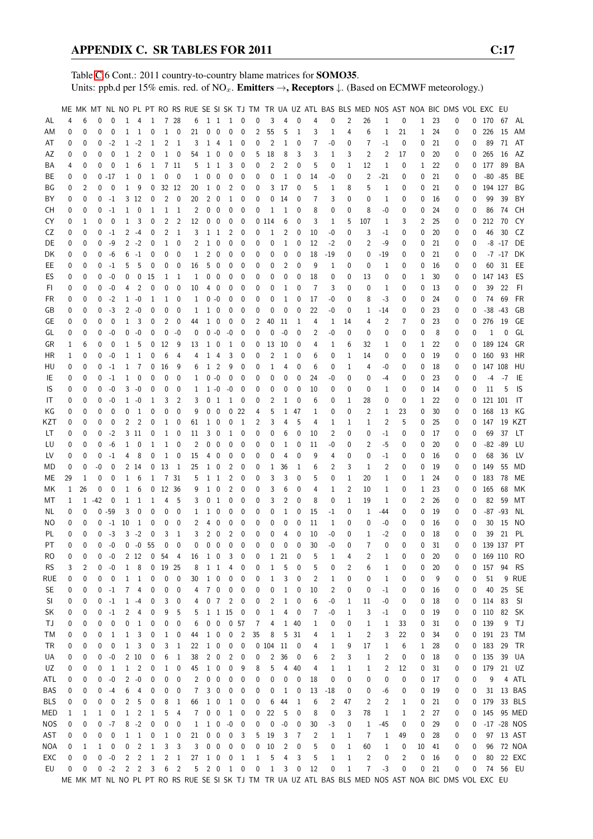Table [C.](#page-2-0)6 Cont.: 2011 country-to-country blame matrices for SOMO35. Units: ppb.d per 15% emis. red. of NO<sub>x</sub>. **Emitters**  $\rightarrow$ **, Receptors**  $\downarrow$ . (Based on ECMWF meteorology.)

|            |          |          |          |             |                |                   |                         |                 |                         |              |                |                          |                         |                          |              |              |                |    |                |                |                | ME MK MT NL NO PL PT RO RS RUE SE SI SK TJ TM TR UA UZ ATL BAS BLS MED NOS AST NOA BIC DMS VOL EXC EU |                |              |    |    |   |   |              |           |                |
|------------|----------|----------|----------|-------------|----------------|-------------------|-------------------------|-----------------|-------------------------|--------------|----------------|--------------------------|-------------------------|--------------------------|--------------|--------------|----------------|----|----------------|----------------|----------------|-------------------------------------------------------------------------------------------------------|----------------|--------------|----|----|---|---|--------------|-----------|----------------|
| AL         | 4        | 6        | $\Omega$ | $\mathbf 0$ | 1              | 4                 | $\mathbf{1}$            |                 | 7 28                    | 6            | 1 1            |                          | $\overline{1}$          | $\overline{\phantom{0}}$ | 0            | 3            | 4              | 0  | 4              | 0              | $\overline{2}$ | 26                                                                                                    | 1              | 0            | 1  | 23 | 0 |   | 0 170        | - 67      | AL             |
| ΑM         | 0        | 0        | 0        | 0           | 1              | $\mathbf{1}$      | 0                       | $\mathbf{1}$    | $\mathbf 0$             | 21           | 0              | 0                        | 0                       | 0                        | 2            | 55           | 5              | 1  | 3              | 1              | 4              | 6                                                                                                     | $\mathbf{1}$   | 21           | 1  | 24 | 0 | 0 | 226          | 15        | AM             |
| AT         | 0        | 0        | 0        | -2          | $\mathbf{1}$   | $-2$              | $\mathbf{1}$            | $\overline{2}$  | $\overline{1}$          | 3            | $\mathbf{1}$   | $\overline{4}$           | $\mathbf{1}$            | 0                        | 0            | 2            | $\mathbf{1}$   | 0  | 7              | -0             | 0              | 7                                                                                                     | $-1$           | 0            | 0  | 21 | 0 | 0 | 89           | 71        | AT             |
| AΖ         | 0        | 0        | 0        | 0           | 1              | 2                 | 0                       | 1               | $\boldsymbol{0}$        | 54           | $1\quad0$      |                          | 0                       | 0                        | 5            | 18           | 8              | 3  | 3              | 1              | 3              | 2                                                                                                     | 2              | 17           | 0  | 20 | 0 | 0 | 265          | 16        | AZ             |
| ΒA         | 4        | 0        | 0        | 0           | 1              | 6                 | 1                       |                 | 7 11                    | 5            | 1              | 1                        | 3                       | 0                        | 0            | 2            | 2              | 0  | 5              | 0              | 1              | 12                                                                                                    | $\mathbf{1}$   | 0            | 1  | 22 | 0 | 0 | 177          | 89        | BA             |
| ВE         | 0        | 0        |          | $0 - 17$    | 1              | 0                 | $\mathbf 1$             | 0               | 0                       | 1            | 0              | $\mathbf 0$              | 0                       | 0                        | 0            | 0            | 1              | 0  | 14             | -0             | 0              | 2                                                                                                     | $-21$          | 0            | 0  | 21 | 0 | 0 | $-80 - 85$   |           | BE             |
| ΒG         | 0        | 2        | 0        | $\mathbf 0$ | 1              | 9                 | 0                       |                 | 32 12                   | 20           | 1              | $\boldsymbol{0}$         | 2                       | 0                        | 0            | 3            | 17             | 0  | 5              | 1              | 8              | 5                                                                                                     | 1              | 0            | 0  | 21 | 0 | 0 | 194 127      |           | ΒG             |
| ΒY         | 0        | 0        | 0        | $-1$        |                | 3 12              | 0                       | $\overline{2}$  | $\overline{\mathbf{0}}$ | 20           | $2\quad 0$     |                          | 1                       | 0                        | 0            | 0            | 14             | 0  | 7              | 3              | 0              | 0                                                                                                     | 1              | 0            | 0  | 16 | 0 | 0 | 99           | 39        | BY             |
| CН         | 0        | 0        | 0        | $-1$        | 1              | 0                 | 1                       | $\mathbf{1}$    | <sup>1</sup>            | 2            | 0              | $\overline{0}$           | 0                       | 0                        | 0            | 1            | 1              | 0  | 8              | 0              | 0              | 8                                                                                                     | -0             | 0            | 0  | 24 | 0 | 0 | 86           | 74        | CН             |
| CY         | 0        | 1        | 0        | 0           | 1              | 3                 | 0                       | 2               | 2                       | 12           | $0\quad 0$     |                          | 0                       | 0                        |              | 0114         | 6              | 0  | 3              | 1              | 5              | 107                                                                                                   | 1              | 3            | 2  | 25 | 0 | 0 | 212          | 70        | CY             |
| CZ         | 0        | 0        | 0        | $-1$        | 2              | $-4$              | 0                       | 2               | $\mathbf{1}$            | 3            | $1\quad1$      |                          | 2                       | 0                        | 0            | 1            | 2              | 0  | 10             | -0             | 0              | 3                                                                                                     | -1             | 0            | 0  | 20 | 0 | 0 | 46           | 30        | CZ             |
| DE         | 0        | 0        | 0        | -9          |                | $2 -2$            | 0                       | $\mathbf 1$     | 0                       | 2            | $1\quad 0$     |                          | 0                       | 0                        | 0            | 0            | 1              | 0  | 12             | $-2$           | 0              | 2                                                                                                     | -9             | 0            | 0  | 21 | 0 | 0 |              | $-8 - 17$ | DE             |
| DK         | 0        | 0        | 0        | -6          | 6              | $-1$              | 0                       | 0               | 0                       | 1            | 2              | $\mathbf 0$              | 0                       | 0                        | 0            | 0            | 0              | 0  | 18             | $-19$          | 0              | 0                                                                                                     | -19            | 0            | 0  | 21 | 0 | 0 |              | $-7 - 17$ | DK             |
| EE         | 0        | 0        | 0        | $-1$        | 5              | 5                 | 0                       | 0               | 0                       | 16           | 5              | 0                        | 0                       | 0                        | 0            | 0            | 2              | 0  | 9              | 1              | 0              | 0                                                                                                     | 1              | 0            | 0  | 16 | 0 | 0 |              | 60 31     | EE             |
| ES         | 0        | 0        | 0        | $-0$        | 0              | 0                 | 15                      | 1               | 1                       | 1            | 0              | $\mathbf 0$              | 0                       | 0                        | 0            | 0            | 0              | 0  | 18             | 0              | 0              | 13                                                                                                    | 0              | 0            | 1  | 30 | 0 | 0 | 147 143      |           | ES             |
| FI.        | 0        | 0        | 0        | $-0$        | 4              | 2                 | 0                       | 0               | $\mathbf{0}$            | 10           | 4              | $\overline{\phantom{0}}$ | 0                       | 0                        | 0            | 0            | 1              | 0  | 7              | 3              | 0              | 0                                                                                                     | 1              | 0            | 0  | 13 | 0 | 0 | 39           | 22        | FI             |
| FR         | 0        | 0        | 0        | $-2$        | $\mathbf{1}$   | $-0$              | 1                       | 1               | 0                       | 1            | $0 - 0$        |                          | 0                       | 0                        | 0            | 0            | $\mathbf{1}$   | 0  | 17             | -0             | 0              | 8                                                                                                     | -3             | 0            | 0  | 24 | 0 | 0 | 74           | 69        | FR             |
| GB         | 0        | 0        | 0        | $-3$        | $\overline{2}$ | $-0$              | 0                       | 0               | 0                       | 1            | 1              | $\mathbf 0$              | 0                       | 0                        | 0            | 0            | 0              | 0  | 22             | -0             | 0              | 1                                                                                                     | $-14$          | 0            | 0  | 23 | 0 | 0 | $-38 - 43$   |           | GB             |
| GЕ         | 0        | 0        | 0        | 0           | $\mathbf 1$    | 3                 | 0                       | 2               | 0                       | 44           | $\mathbf{1}$   | $\mathbf 0$              | 0                       | 0                        | 2            | 40           | 11             | 1  | 4              | 1              | 14             | 4                                                                                                     | 2              | 7            | 0  | 23 | 0 | 0 | 276          | - 19      | GE             |
| GL         | 0        |          | 0        | $-0$        | 0              | $-0$              | 0                       | 0               | -0                      | 0            | $0 - 0$        |                          | $-0$                    | 0                        | 0            | 0            | $-0$           | 0  | 2              | -0             | 0              | 0                                                                                                     | 0              | 0            | 0  | 8  |   | 0 | $\mathbf{1}$ | 0         | GL             |
|            |          | 0        |          | 0           |                |                   |                         | 12              |                         |              |                |                          |                         |                          |              |              |                |    |                |                |                |                                                                                                       |                |              |    |    | 0 |   | 189 124      |           | GR             |
| GR         | 1        | 6        | 0        |             | 1              | 5<br>$\mathbf{1}$ | 0                       |                 | 9                       | 13           | 1              | 0                        | 1                       | 0                        | 0            | 13           | 10             | 0  | 4              | 1              | 6              | 32                                                                                                    | 1              | 0            | 1  | 22 | 0 | 0 |              |           |                |
| НR         | 1        | 0        | 0        | $-0$        | 1              |                   | 0                       | 6               | 4                       | 4            | 1              | 4                        | 3                       | 0                        | 0            | 2            | 1              | 0  | 6              | 0              | 1              | 14                                                                                                    | 0              | 0            | 0  | 19 | 0 | 0 | 160 93       |           | HR             |
| HU         | 0        | 0        | 0        | $-1$        | 1              | 7                 | 0                       | 16              | 9                       | 6            | 1              | $\overline{c}$           | 9                       | 0                        | 0            | 1            | 4              | 0  | 6              | 0              | 1              | 4                                                                                                     | -0             | 0            | 0  | 18 | 0 | 0 | 147 108      |           | HU             |
| IE         | 0        | 0        | 0        | $-1$        | $\mathbf 1$    | 0                 | 0                       | 0               | 0                       | 1            | $0 - 0$        |                          | 0                       | 0                        | 0            | 0            | 0              | 0  | 24             | -0             | 0              | 0                                                                                                     | -4             | 0            | 0  | 23 | 0 | 0 | $-4$         | -7        | IE             |
| IS         | 0        | 0        | 0        | $-0$        | 3              | $-0$              | 0                       | 0               | 0                       | 1            | $1 - 0$        |                          | $-0$                    | 0                        | 0            | 0            | 0              | 0  | 10             | 0              | 0              | 0                                                                                                     | 1              | 0            | 0  | 14 | 0 | 0 | 11           | 5         | IS             |
| IT         | 0        | 0        | 0        | $-0$        | $\mathbf{1}$   | -0                | 1                       | 3               | 2                       | 3            | 0              | $\mathbf{1}$             | 1                       | 0                        | 0            | 2            | 1              | 0  | 6              | 0              | 1              | 28                                                                                                    | 0              | 0            | 1  | 22 | 0 | 0 | 121 101      |           | IT             |
| ΚG         | 0        | 0        | 0        | 0           | 0              | 1                 | 0                       | 0               | 0                       | 9            | $0\quad 0$     |                          |                         | 022                      | 4            | 5            | 1              | 47 | 1              | 0              | 0              | 2                                                                                                     | 1              | 23           | 0  | 30 | 0 | 0 | 168          | - 13      | KG             |
| KZT        | 0        | 0        | 0        | 0           | 2              | 2                 | 0                       | 1               | 0                       | 61           | 1              | 0                        | 0                       | 1                        | 2            | 3            | 4              | 5  | 4              | 1              | 1              | 1                                                                                                     | $\overline{2}$ | 5            | 0  | 25 | 0 | 0 |              |           | 147 19 KZT     |
| LT         | 0        | 0        | 0        | -2          |                | 3 11              | 0                       | 1               | 0                       | 11           | 3              | 0                        | 1                       | 0                        | 0            | 0            | 6              | 0  | 10             | 2              | 0              | 0                                                                                                     | -1             | 0            | 0  | 17 | 0 | 0 | 69           | 37        | LT             |
| LU         | 0        | 0        | 0        | $-6$        | 1              | 0                 | 1                       | $\mathbf 1$     | 0                       | 2            | 0              | $\mathbf 0$              | 0                       | 0                        | 0            | 0            | 1              | 0  | 11             | -0             | 0              | 2                                                                                                     | -5             | 0            | 0  | 20 | 0 | 0 | $-82 - 89$   |           | LU             |
| LV         | 0        | 0        | 0        | $-1$        | 4              | 8                 | 0                       | 1               | $\mathbf 0$             | 15           | $4\quad0$      |                          | 0                       | 0                        | 0            | 0            | 4              | 0  | 9              | 4              | 0              | 0                                                                                                     | -1             | 0            | 0  | 16 | 0 | 0 | 68           | 36        | LV             |
| МD         | 0        | 0        | -0       | 0           |                | 2 14              | 0                       | 13              | $\overline{1}$          | 25           | 1              | $\overline{\phantom{0}}$ | 2                       | 0                        | 0            | 1            | 36             | 1  | 6              | 2              | 3              | 1                                                                                                     | 2              | 0            | 0  | 19 | 0 | 0 | 149          | 55        | MD             |
| МE         | 29       | 1        | 0        | 0           | 1              | 6                 | $\mathbf{1}$            |                 | 7 31                    | 5            | 1              | $\mathbf{1}$             | 2                       | 0                        | 0            | 3            | 3              | 0  | 5              | 0              | $\mathbf{1}$   | 20                                                                                                    | 1              | 0            | 1  | 24 | 0 | 0 | 183          | 78        | ME             |
| МK         | 1        | 26       | 0        | 0           | 1              | 6                 | 0                       | 12 36           |                         | 9            | $\mathbf{1}$   | $\pmb{0}$                | $\overline{c}$          | 0                        | 0            | 3            | 6              | 0  | 4              | 1              | 2              | 10                                                                                                    | 1              | 0            | 1  | 23 | 0 | 0 | 165          | 68        | МK             |
| МT         | 1        | 1        | $-42$    | 0           | 1              | 1                 | 1                       | 4               | 5                       | 3            | 0              | $\overline{1}$           | 0                       | 0                        | 0            | 3            | 2              | 0  | 8              | 0              | 1              | 19                                                                                                    | 1              | 0            | 2  | 26 | 0 | 0 | 82           | 59        | МT             |
| NL         | 0        | 0        |          | $0 - 59$    | 3              | 0                 | 0                       | 0               | 0                       | 1            | 1              | 0                        | 0                       | 0                        | 0            | 0            | 1              | 0  | 15             | $-1$           | 0              | 1                                                                                                     | -44            | 0            | 0  | 19 | 0 | 0 | $-87 - 93$   |           | NL             |
| ΝO         | 0        | 0        | 0        | $-1$        | 10             | 1                 | 0                       | 0               | 0                       | 2            | 4              | $\mathbf 0$              | 0                       | 0                        | 0            | 0            | 0              | 0  | 11             | 1              | 0              | 0                                                                                                     | -0             | 0            | 0  | 16 | 0 | 0 | 30           | 15        | NO.            |
| PL         | 0        | 0        | 0        | $-3$        | 3              | $-2$              | 0                       | 3               | 1                       | 3            | 2              | $\overline{\mathbf{0}}$  | $\overline{2}$          | 0                        | $\mathbf 0$  | 0            | 4              | 0  | 10             | -0             | $\mathbf{0}$   | 1                                                                                                     | $-2$           | 0            | 0  | 18 | 0 | 0 | 39           | 21        | PL             |
| PT         | $\theta$ | $\Omega$ | 0        | $-0$        |                | $0 - 0 55$        |                         | $\mathbf 0$     | $\mathbf{0}$            | $\Omega$     | $0\quad 0$     |                          | 0                       | $\mathbf 0$              | $\mathbf 0$  | 0            | 0              | 0  | 30             | $-0$           | $\Omega$       | 7                                                                                                     | $\Omega$       | $\theta$     | 0  | 31 | 0 |   | 0 139 137    |           | PT             |
| RO         | 0        | 0        | 0        | -0          |                | 2 12              |                         | 0 <sub>54</sub> | $\overline{4}$          | 16           | $1\quad0$      |                          | 3                       | 0                        | 0            | $\mathbf{1}$ | 21             | 0  | 5              | 1              | 4              | 2                                                                                                     | $\mathbf{1}$   | 0            | 0  | 20 | 0 |   | 0 169 110    |           | - RO           |
| <b>RS</b>  | 3        | 2        | 0        | -0          | $\mathbf{1}$   | 8                 |                         | $0$ 19 25       |                         | 8            | $1\quad1$      |                          | 4                       | 0                        | 0            | 1            | 5              | 0  | 5              | 0              | 2              | 6                                                                                                     | 1              | 0            | 0  | 20 | 0 |   | 0 157 94     |           | <b>RS</b>      |
| rue        | 0        | 0        | 0        | 0           | $\mathbf{1}$   | $\,1\,$           | 0                       | 0               | 0                       | 30           | $1\quad 0$     |                          | 0                       | 0                        | 0            | 1            | 3              | 0  | $\overline{c}$ | 1              | 0              | 0                                                                                                     | $\mathbf{1}$   | 0            | 0  | 9  | 0 | 0 | 51           | 9         | RUE            |
| <b>SE</b>  | 0        | 0        |          | $0 -1$      | $7^{\circ}$    | 4                 | 0                       | 0               | 0                       | 4            | 70             |                          | $\boldsymbol{0}$        | $\overline{0}$           | 0            | 0            | $\mathbf{1}$   | 0  | 10             | 2              | 0              | 0                                                                                                     | $-1$           | 0            | 0  | 16 | 0 | 0 | 40           | 25        | SE             |
| SI         | 0        | 0        |          | $0 -1$      |                | $1 - 4$           | 0                       | 3               | 0                       | 4            | 0 <sub>7</sub> |                          | 2                       | $\overline{0}$           | 0            | 2            | $\mathbf{1}$   | 0  | 6              | -0             | 1              | 11                                                                                                    | -0             | 0            | 0  | 18 | 0 |   | $0$ 114 83   |           | -SI            |
| SK         | 0        | 0        | 0        | $-1$        | 2              | 4                 | 0                       | 9               | 5                       | 5            |                |                          | 1 1 1 5                 | 0                        | 0            | 1            | 4              | 0  | 7              | -0             | 1              | 3                                                                                                     | $-1$           | 0            | 0  | 19 | 0 |   | $0$ 110      | 82        | SK             |
| ТJ         | 0        | 0        | 0        | $\mathbf 0$ | 0              | $\mathbf{1}$      | 0                       | 0               | 0                       | 6            | $0\quad 0$     |                          |                         | 0 <sub>57</sub>          | 7            | 4            | 1              | 40 | 1              | 0              | 0              | $\mathbf{1}$                                                                                          | 1              | 33           | 0  | 31 | 0 |   | 0 139        | 9         | TJ             |
| ТM         | 0        | 0        | 0        | -1          | 1              | 3                 | 0                       | $\mathbf{1}$    | 0                       | 44           | $1\quad 0$     |                          | $\boldsymbol{0}$        | $\overline{2}$           | 35           | 8            | 5              | 31 | 4              | 1              | 1              | $\overline{2}$                                                                                        | 3              | 22           | 0  | 34 | 0 |   | $0$ 191 23   |           | TM             |
| TR         | 0        | 0        | 0        | 0           | $\mathbf{1}$   | 3                 | 0                       | 3               | $\mathbf{1}$            | 22           | $1\quad0$      |                          | $\boldsymbol{0}$        | 0                        |              | 0 104        | 11             | 0  | 4              | 1              | 9              | 17                                                                                                    | 1              | 6            | 1  | 28 | 0 |   | $0$ 183      | 29        | TR             |
| UA         | 0        | 0        | 0        | -0          |                | 210               | 0                       | 6               | $\mathbf{1}$            | 38           | $2 \quad 0$    |                          | 2                       | 0                        | 0            | 2            | 36             | 0  | 6              | 2              | 3              | 1                                                                                                     | 2              | 0            | 0  | 18 | 0 |   | $0$ 135      | 39        | UA             |
| UZ         | 0        | 0        | 0        | 1           |                | $1\quad 2$        | 0                       | $\mathbf{1}$    | 0                       | 45           | $1\quad0$      |                          | 0                       | 9                        | 8            | 5            | 4              | 40 | 4              | 1              | 1              | 1                                                                                                     | 2              | 12           | 0  | 31 | 0 |   | 0 179 21 UZ  |           |                |
| ATL        | 0        | 0        | 0        | -0          | $\overline{2}$ | $-0$              | 0                       | 0               | 0                       | 2            | $0\quad 0$     |                          | 0                       | 0                        | 0            | 0            | 0              | 0  | 18             | 0              | 0              | 0                                                                                                     | 0              | 0            | 0  | 17 | 0 | 0 | 9            |           | 4 ATL          |
| BAS        | 0        | 0        | 0        | -4          | 6              | 4                 | 0                       | 0               | 0                       | 7            | 3 0            |                          | 0                       | 0                        | 0            | 0            | 1              | 0  | 13             | $-18$          | 0              | 0                                                                                                     | -6             | 0            | 0  | 19 | 0 | 0 |              |           | 31 13 BAS      |
| <b>BLS</b> | 0        | 0        | 0        | 0           | 2              | 5                 | 0                       | 8               | 1                       | 66           | $1\quad0$      |                          | $\mathbf{1}$            | $\overline{0}$           | 0            | 6            | 44             | 1  | 6              | $\overline{c}$ | 47             | 2                                                                                                     | 2              | 1            | 0  | 21 | 0 |   | 0 179 33 BLS |           |                |
| MED        | 1        | 1        | 1        | 0           | $\mathbf{1}$   | $\overline{c}$    | $\mathbf{1}$            | 5               | 4                       | 7            | $0\quad 0$     |                          | $\mathbf{1}$            | 0                        | 0            | 22           | 5              | 0  | 8              | 0              | 3              | 78                                                                                                    | 1              | $\mathbf{1}$ | 2  | 27 | 0 |   | 0 145 95 MED |           |                |
| <b>NOS</b> | 0        | 0        | 0        | $-7$        | 8              | $-2$              | $\mathbf 0$             | 0               | 0                       | $\mathbf{1}$ | $1\quad 0$     |                          | $-0$                    | $\overline{\phantom{0}}$ | 0            | 0            | $-0$           | 0  | 30             | $-3$           | 0              | $\mathbf{1}$                                                                                          | $-45$          | 0            | 0  | 29 | 0 | 0 |              |           | $-17 - 28$ NOS |
| AST        | 0        | 0        | 0        | 0           | $\mathbf{1}$   | $\overline{1}$    | 0                       | $\mathbf{1}$    | 0                       | 21           | $0\quad 0$     |                          | $\boldsymbol{0}$        | 3                        | 5            | 19           | 3              | 7  | 2              | $\mathbf{1}$   | 1              | $\overline{7}$                                                                                        | $\mathbf{1}$   | 49           | 0  | 28 | 0 | 0 |              |           | 97 13 AST      |
| NOA        | 0        | 1        | 1        | 0           | 0              | $\overline{c}$    | $1\,$                   | 3               | 3                       | 3            | $0\quad 0$     |                          | 0                       | 0                        | 0            | 10           | $\overline{c}$ | 0  | 5              | 0              | $\mathbf{1}$   | 60                                                                                                    | 1              | 0            | 10 | 41 | 0 | 0 | 96           |           | 72 NOA         |
| EXC        | 0        | 0        | 0        | $-0$        | $\overline{2}$ | $\overline{2}$    | $\mathbf{1}$            | $\overline{c}$  | $\mathbf{1}$            | 27           | $1\quad0$      |                          | $\overline{\mathbf{0}}$ | $\overline{1}$           | $\mathbf{1}$ | 5            | 4              | 3  | 5              | $\mathbf{1}$   | $\mathbf{1}$   | $\overline{2}$                                                                                        | 0              | 2            | 0  | 16 | 0 | 0 | 80           |           | 22 EXC         |
| EU         | 0        | 0        |          | $0 -2$      |                | $2 \quad 2$       | $\overline{\mathbf{3}}$ |                 | 6 <sub>2</sub>          |              | 5 2 0 1 0      |                          |                         |                          | 0            | $\mathbf{1}$ | 3              | 0  | 12             | 0              | $\mathbf{1}$   | $\overline{7}$                                                                                        | $-3$           | 0            | 0  | 21 | 0 | 0 |              | 74 56 EU  |                |
|            |          |          |          |             |                |                   |                         |                 |                         |              |                |                          |                         |                          |              |              |                |    |                |                |                | ME MK MT NL NO PL PT RO RS RUE SE SI SK TJ TM TR UA UZ ATL BAS BLS MED NOS AST NOA BIC DMS VOL EXC EU |                |              |    |    |   |   |              |           |                |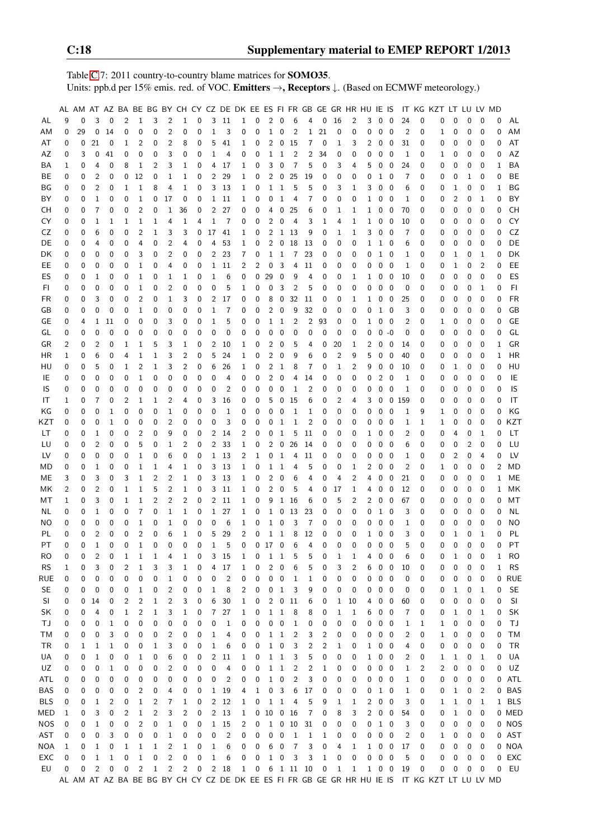Table [C.](#page-2-0)7: 2011 country-to-country blame matrices for SOMO35. Units: ppb.d per 15% emis. red. of VOC. Emitters →, Receptors ↓. (Based on ECMWF meteorology.)

|            |          | AL AM AT AZ BA BE BG BY CH CY CZ DE DK EE ES FI FR GB GE GR HR HU IE IS |                |              |                |                |                |                         |                |          |                |                 |                |                               |                |                  |                |                |                  |              |                |                |                                         |                         |                           |          | IT KG KZT LT LU LV MD                                                                         |              |          |              |              |           |
|------------|----------|-------------------------------------------------------------------------|----------------|--------------|----------------|----------------|----------------|-------------------------|----------------|----------|----------------|-----------------|----------------|-------------------------------|----------------|------------------|----------------|----------------|------------------|--------------|----------------|----------------|-----------------------------------------|-------------------------|---------------------------|----------|-----------------------------------------------------------------------------------------------|--------------|----------|--------------|--------------|-----------|
| AL         | 9        | 0                                                                       | 3              | 0            | 2              | $\mathbf{1}$   | 3              | 2                       | $\mathbf 1$    | 0        | 3              | -11             | $\mathbf{1}$   | 0                             | $\overline{2}$ | $\mathbf 0$      | 6              | 4              | 0                | 16           | 2              | 3              | 0                                       | 0                       | 24                        | 0        | 0                                                                                             | 0            | 0        | 0            | 0            | AL        |
| ΑM         | 0        | 29                                                                      | 0              | 14           | 0              | 0              | 0              | 2                       | 0              | 0        | $1\,$          | 3               | 0              | 0                             | $\mathbf{1}$   | 0                | $\overline{2}$ | $\mathbf{1}$   | 21               | 0            | 0              | 0              | 0                                       | 0                       | $\overline{2}$            | 0        | 1                                                                                             | 0            | 0        | 0            | 0            | ΑM        |
| AT         | 0        | 0                                                                       | 21             | 0            | 1              | $\overline{2}$ | 0              | 2                       | 8              | 0        | 5              | 41              | 1              | 0                             | 2              | 0                | 15             | 7              | 0                | 1            | 3              | 2              | 0                                       | $\boldsymbol{0}$        | 31                        | 0        | 0                                                                                             | 0            | 0        | 0            | 0            | AT        |
| ΑZ         | 0        | 3                                                                       | 0              | 41           | 0              | 0              | 0              | 3                       | 0              | 0        | 1              | 4               | 0              | 0                             | 1              | $\mathbf 1$      | $\overline{c}$ | 2              | 34               | 0            | 0              | 0              | 0                                       | 0                       | 1                         | 0        | 1                                                                                             | 0            | 0        | 0            | 0            | AZ        |
|            |          |                                                                         |                |              |                |                |                |                         |                |          |                |                 |                |                               |                |                  |                |                |                  |              |                |                |                                         |                         |                           |          |                                                                                               |              |          |              |              |           |
| ΒA         | 1        | 0                                                                       | 4              | 0            | 8              | 1              | 2              | 3                       | 1              | 0        | 4              | 17              | 1              | 0                             | 3              | 0                | 7              | 5              | 0                | 3            | 4              | 5              | 0                                       | 0                       | 24                        | 0        | 0                                                                                             | 0            | 0        | 0            | 1            | BA        |
| BE         | 0        | 0                                                                       | $\overline{2}$ | 0            | 0              | 12             | 0              | 1                       | 1              | 0        | $\overline{c}$ | 29              | 1              | 0                             | 2              | 0                | 25             | 19             | 0                | 0            | 0              | 0              | $\mathbf{1}$                            | 0                       | 7                         | 0        | 0                                                                                             | 0            | 1        | 0            | 0            | BE        |
| ΒG         | 0        | 0                                                                       | $\overline{2}$ | 0            | $\mathbf{1}$   | 1              | 8              | 4                       | 1              | 0        | 3              | -13             | 1              | 0                             | $\mathbf{1}$   | $\mathbf 1$      | 5              | 5              | 0                | 3            | 1              | 3              | 0                                       | 0                       | 6                         | 0        | 0                                                                                             | 1            | 0        | 0            | 1            | BG        |
| BY         | 0        | 0                                                                       | $\mathbf{1}$   | $\mathbf 0$  | $\mathbf 0$    | 1              | 0              | 17                      | 0              | 0        |                | 1 11            | 1              | 0                             | 0              | 1                | 4              | 7              | 0                | 0            | 0              | $\mathbf{1}$   | 0                                       | - 0                     | 1                         | 0        | 0                                                                                             | 2            | 0        | $\mathbf{1}$ | 0            | BY        |
| CН         | 0        | 0                                                                       | 7              | 0            | 0              | $\overline{2}$ | 0              | 1                       | 36             | 0        | 2              | 27              | 0              | 0                             | 4              | 0                | 25             | 6              | 0                | 1            | 1              | $\mathbf{1}$   | 0                                       | $\overline{\mathbf{0}}$ | 70                        | 0        | 0                                                                                             | 0            | 0        | 0            | 0            | CH        |
| CY         | 0        | 0                                                                       | 1              | 1            | 1              | 1              | 1              | 4                       | 1              | 4        | 1              | 7               | 0              | 0                             | 2              | 0                | 4              | 3              | 1                | 4            | 1              | 1              | $\mathbf 0$                             | 0                       | 10                        | 0        | 0                                                                                             | 0            | 0        | 0            | 0            | CY        |
| CZ         | 0        | 0                                                                       | 6              | 0            | 0              | $\overline{2}$ | 1              | 3                       | 3              | 0        | 17             | 41              | 1              | 0                             | 2              |                  | 1 13           | 9              | 0                | 1            | 1              | 3              | 0                                       | 0                       | 7                         | 0        | 0                                                                                             | 0            | 0        | 0            | 0            | CZ        |
| DE         | 0        | 0                                                                       | 4              | 0            | 0              | 4              | 0              | 2                       | 4              | 0        | 4              | 53              | 1              | 0                             | 2              | $\mathbf 0$      | 18             | -13            | 0                | 0            | 0              | $\mathbf{1}$   | 1 0                                     |                         | 6                         | 0        | 0                                                                                             | 0            | 0        | 0            | 0            | DE        |
| DK         | 0        | 0                                                                       | 0              | 0            | 0              | 3              | 0              | 2                       | 0              | 0        | 2              | 23              | 7              | 0                             | $\mathbf{1}$   | -1               | 7              | 23             | 0                | 0            | 0              | 0              | $1\quad0$                               |                         | 1                         | 0        | 0                                                                                             | 1            | 0        | 1            | 0            | DK        |
| EE         | 0        | 0                                                                       | 0              | 0            | $\mathbf 0$    | 1              | 0              | 4                       | 0              | 0        | $\mathbf{1}$   | 11              | 2              | 2                             | 0              | 3                | 4              | 11             | 0                | 0            | 0              | 0              | 0                                       | 0                       | 1                         | 0        | 0                                                                                             | 1            | 0        | 2            | 0            | EE        |
| ES         | 0        | 0                                                                       | 1              | 0            | 0              | 1              | 0              | 1                       | 1              | 0        | 1              | 6               | 0              | 0                             | 29             | 0                | 9              | 4              | 0                | 0            | 1              | $\mathbf{1}$   | 0                                       | 0                       | 10                        | 0        | 0                                                                                             | 0            | 0        | 0            | 0            | ES        |
| FI.        | 0        | 0                                                                       | 0              | $\mathbf 0$  | 0              | 1              | 0              | $\overline{2}$          | 0              | 0        | 0              | 5               | 1              | 0                             | 0              | 3                | 2              | 5              | $\mathbf 0$      | 0            | 0              | 0              | 0                                       | $\mathbf 0$             | 0                         | 0        | 0                                                                                             | 0            | 0        | 1            | 0            | FI        |
|            |          |                                                                         | 3              | 0            | 0              | 2              |                |                         |                |          | 2              | 17              |                |                               |                |                  |                |                |                  |              |                |                |                                         |                         |                           |          |                                                                                               |              |          |              | 0            | <b>FR</b> |
| FR         | 0        | 0                                                                       |                |              |                |                | 0              | 1                       | 3              | 0        |                |                 | 0              | 0                             | 8              | $\boldsymbol{0}$ | 32             | 11             | 0                | 0            | 1              | $\mathbf{1}$   | 0                                       | 0                       | 25                        | 0        | 0                                                                                             | 0            | 0        | 0            |              |           |
| GB         | 0        | 0                                                                       | 0              | 0            | 0              | 1              | 0              | 0                       | 0              | 0        | 1              | 7               | 0              | 0                             | 2              | 0                | 9              | 32             | 0                | 0            | 0              | 0              | $1\quad$ 0                              |                         | 3                         | 0        | 0                                                                                             | 0            | 0        | 0            | 0            | GB        |
| GE         | 0        | 4                                                                       | $\mathbf{1}$   | 11           | 0              | 0              | 0              | 3                       | 0              | 0        | 1              | 5               | 0              | 0                             | 1              | $\mathbf{1}$     | $\overline{2}$ | $\overline{2}$ | 93               | 0            | 0              | $\mathbf{1}$   | $0\quad 0$                              |                         | 2                         | 0        | 1                                                                                             | 0            | 0        | 0            | 0            | GE        |
| GL         | 0        | 0                                                                       | 0              | 0            | 0              | 0              | 0              | 0                       | 0              | 0        | 0              | 0               | 0              | 0                             | 0              | 0                | 0              | 0              | 0                | 0            | 0              | 0              | $0 - 0$                                 |                         | 0                         | 0        | 0                                                                                             | 0            | 0        | 0            | 0            | GL        |
| GR         | 2        | 0                                                                       | 2              | 0            | 1              | 1              | 5              | 3                       | 1              | 0        | 2              | 10              | 1              | 0                             | 2              | 0                | 5              | 4              | 0                | 20           | 1              | 2              | 0                                       | 0                       | 14                        | 0        | 0                                                                                             | 0            | 0        | 0            | 1            | GR        |
| HR         | 1        | 0                                                                       | 6              | 0            | 4              | 1              | 1              | 3                       | 2              | 0        | 5              | 24              | 1              | 0                             | 2              | 0                | 9              | 6              | 0                | 2            | 9              | 5              | 0                                       | 0                       | 40                        | 0        | 0                                                                                             | 0            | 0        | 0            | 1            | <b>HR</b> |
| HU         | 0        | 0                                                                       | 5              | $\mathbf 0$  | 1              | $\overline{2}$ | 1              | 3                       | 2              | 0        | 6              | 26              | 1              | 0                             | 2              | 1                | 8              | 7              | 0                | 1            | 2              | 9              | 0                                       | 0                       | 10                        | 0        | 0                                                                                             | 1            | 0        | 0            | 0            | HU        |
| IE         | 0        | 0                                                                       | 0              | 0            | 0              | 1              | 0              | 0                       | 0              | 0        | 0              | 4               | 0              | 0                             | 2              | 0                | 4              | 14             | 0                | 0            | 0              | 0              | 2                                       | 0                       | 1                         | 0        | 0                                                                                             | 0            | 0        | 0            | 0            | IE        |
| IS         | 0        | 0                                                                       | 0              | 0            | 0              | 0              | 0              | 0                       | 0              | 0        | 0              | 2               | 0              | 0                             | 0              | 0                | 1              | 2              | 0                | 0            | 0              | 0              | 0                                       | 0                       | 1                         | 0        | 0                                                                                             | 0            | 0        | 0            | 0            | IS        |
| IT         | 1        | 0                                                                       | 7              | 0            | $\overline{2}$ | 1              | 1              | 2                       | 4              | 0        | 3              | 16              | 0              | 0                             | 5              | 0                | 15             | 6              | 0                | 2            | 4              | 3              | 0                                       |                         | 0 159                     | 0        | 0                                                                                             | 0            | 0        | 0            | 0            | IT        |
| ΚG         | 0        | 0                                                                       | 0              | 1            | 0              | 0              | 0              | 1                       | 0              | 0        | 0              | 1               | 0              | 0                             | 0              | 0                | 1              | 1              | 0                | 0            | 0              | 0              | 0                                       | 0                       | 1                         | 9        | 1                                                                                             | 0            | 0        | 0            | 0            | ΚG        |
| KZT        | 0        | 0                                                                       | 0              | 1            | 0              | 0              | 0              | 2                       | 0              | 0        | 0              | 3               | 0              | 0                             | 0              | 1                | 1              | 2              | 0                | 0            | 0              | 0              | 0                                       | 0                       | 1                         | 1        | 1                                                                                             | 0            | 0        | 0            | 0            | KZT       |
| LT         | 0        | 0                                                                       | 1              | 0            | 0              | $\overline{2}$ | 0              | 9                       | 0              | 0        | $\overline{c}$ | 14              | 2              | 0                             | 0              | 1                | 5              | 11             | 0                | 0            | 0              | 1              | 0                                       | 0                       | 2                         | 0        | 0                                                                                             | 4            | 0        | 1            | 0            | LT        |
|            |          |                                                                         | $\overline{2}$ | 0            | 0              |                |                |                         |                |          | 2              |                 |                |                               |                |                  |                |                |                  |              |                |                |                                         |                         | 6                         |          |                                                                                               |              |          |              |              | LU        |
| LU         | 0        | 0                                                                       |                |              |                | 5              | 0              | 1                       | 2              | 0        |                | 33              | 1              | 0                             | 2              | 0                | 26             | 14             | 0                | 0            | 0              | 0              | 0                                       | 0                       |                           | 0        | 0                                                                                             | 0            | 2        | 0            | 0            |           |
| LV         | 0        | 0                                                                       | 0              | 0            | 0              | 1              | 0              | 6                       | 0              | 0        |                | 1 13            | 2              | $\mathbf 1$                   | 0              | $\mathbf{1}$     | 4              | 11             | 0                | 0            | 0              | 0              | 0                                       | - 0                     | 1                         | 0        | 0                                                                                             | 2            | 0        | 4            | 0            | LV        |
| MD         | 0        | 0                                                                       | 1              | 0            | 0              | 1              | 1              | 4                       | 1              | 0        | 3              | 13              | $\mathbf{1}$   | 0                             | $\mathbf{1}$   | $\mathbf{1}$     | 4              | 5              | 0                | 0            | 1              | 2              | 0                                       | 0                       | $\overline{2}$            | 0        | 1                                                                                             | 0            | 0        | 0            | 2            | MD        |
| МE         | 3        | 0                                                                       | 3              | $\mathbf 0$  | 3              | 1              | $\overline{c}$ | 2                       | 1              | 0        | 3              | 13              | 1              | 0                             | 2              | 0                | 6              | 4              | 0                | 4            | 2              | 4              | 0                                       | 0                       | 21                        | 0        | 0                                                                                             | 0            | 0        | 0            | 1            | ME        |
| МK         | 2        | 0                                                                       | $\overline{2}$ | 0            | 1              | $\mathbf 1$    | 5              | 2                       | 1              | 0        |                | 3 <sub>11</sub> | 1              | 0                             | 2              | $\mathbf 0$      | 5              | 4              | 0                | 17           | 1              | 4              | 0                                       | 0                       | 12                        | 0        | 0                                                                                             | 0            | 0        | 0            | 1            | МK        |
| МT         | 1        | 0                                                                       | 3              | 0            | 1              | 1              | $\overline{2}$ | 2                       | 2              | 0        | $\overline{c}$ | 11              | 1              | 0                             | 9              | $\mathbf{1}$     | 16             | 6              | 0                | 5            | 2              | 2              | 0                                       | 0                       | 67                        | 0        | 0                                                                                             | 0            | 0        | 0            | 0            | МT        |
| NL         | 0        | 0                                                                       | 1              | 0            | 0              | 7              | 0              | 1                       | 1              | 0        | $\mathbf{1}$   | 27              | 1              | 0                             | 1              | 0                | 13             | 23             | 0                | 0            | 0              | 0              | $1\quad$ 0                              |                         | 3                         | 0        | 0                                                                                             | 0            | 0        | 0            | 0            | ΝL        |
| ΝO         | 0        | 0                                                                       | 0              | 0            | $\mathbf 0$    | 1              | 0              | 1                       | 0              | 0        | 0              | 6               | 1              | 0                             | 1              | $\mathbf 0$      | 3              | 7              | 0                | 0            | 0              | 0              | 0                                       | $\mathbf 0$             | 1                         | 0        | 0                                                                                             | 0            | 0        | 0            | 0            | <b>NO</b> |
| PL         | 0        | 0                                                                       | $\overline{2}$ | $\mathbf 0$  | 0              | $\overline{2}$ | 0              | 6                       | 1              | 0        | 5              | 29              | $\overline{2}$ | 0                             | $\mathbf{1}$   | $\mathbf{1}$     | 8              | 12             | 0                | 0            | 0              | $\mathbf{1}$   | $0\quad 0$                              |                         | 3                         | 0        | 0                                                                                             | 1            | 0        | $\mathbf{1}$ | 0            | PL        |
| PT         | $\Omega$ | $\Omega$                                                                | $\mathbf{1}$   | $\mathbf{0}$ | 0              | $\mathbf{1}$   | $\mathbf 0$    | $\Omega$                | 0              | $\Omega$ | $\mathbf{1}$   | 5               | $\mathbf 0$    |                               | 0170           |                  | 6              | $\overline{4}$ | $\mathbf 0$      | 0            | $\Omega$       | $\mathbf{0}$   | $\mathbf 0$                             | $\mathbf 0$             | 5                         | $\Omega$ | 0                                                                                             | $\Omega$     | $\Omega$ | $\Omega$     | $\Omega$     | PT        |
| RO.        | 0        | 0                                                                       | 2              | 0            | 1              | 1              | 1              | 4                       | 1              | 0        |                | 3 15            | 1              | 0                             |                | 1 1              | 5              | 5              | 0                | 1            | 1              | 4              | $\mathbf{0}$                            | 0                       | 6                         | 0        | 0                                                                                             | 1            | 0        | 0            | $\mathbf{1}$ | RO        |
| <b>RS</b>  | 1        | 0                                                                       | 3              | 0            | 2              | 1              | 3              | 3                       | 1              | 0        | 4              | 17              | 1              | 0                             | 2              | 0                | 6              | 5              | 0                | 3            | $\overline{c}$ | 6              | 0                                       | $\boldsymbol{0}$        | 10                        | 0        | 0                                                                                             | 0            | 0        | 0            | $\mathbf{1}$ | <b>RS</b> |
| RUE        | 0        | 0                                                                       | 0              | 0            | 0              | 0              | 0              | 1                       | 0              | 0        | 0              | $\overline{c}$  | 0              | 0                             |                | $0\quad 0$       | 1              | $\mathbf 1$    | 0                | 0            | 0              | 0              | $0\quad 0$                              |                         | 0                         | 0        | 0                                                                                             | 0            | 0        | 0            |              | 0 RUE     |
| <b>SE</b>  | 0        | 0                                                                       | 0              | 0            | 0              | $\mathbf{1}$   | 0              | 2                       | 0              | 0        | $\mathbf 1$    | 8               | 2              | 0                             |                | $0\quad 1$       | 3              | 9              | 0                | 0            | 0              | 0              | $0\quad 0$                              |                         | 0                         | 0        | 0                                                                                             | 1            | 0        | 1            | 0            | <b>SE</b> |
| SI         | 0        |                                                                         | 0 14           | 0            | 2              | $\overline{c}$ | 1              | 2                       | 3              | 0        | 6              | 30              | 1              | 0                             |                | $2\quad 0$       | 11             | 6              | 0                | 1            | 10             | 4              | $0\quad 0$                              |                         | 60                        | 0        | 0                                                                                             | 0            | 0        | 0            | 0            | SI        |
|            |          |                                                                         |                |              |                |                |                |                         |                |          |                |                 |                |                               | $\mathbf{1}$   |                  |                |                |                  |              |                |                |                                         |                         |                           |          |                                                                                               |              |          |              |              |           |
| SK         | 0        | 0                                                                       | 4              | 0            | 1              | $\overline{2}$ | 1              | 3                       | 1              | 0        | 7 <sup>7</sup> | 27              | 1              | 0                             |                | $\mathbf{1}$     | 8              | 8              | 0                | $\mathbf{1}$ | $\mathbf{1}$   | 6              | $0\quad 0$                              |                         | 7                         | 0        | 0                                                                                             | 1            | 0        | 1            | 0            | <b>SK</b> |
| ТJ         | 0        | 0                                                                       | 0              | $\mathbf{1}$ | 0              | 0              | 0              | 0                       | 0              | 0        | 0              | 1               | 0              | 0                             |                | $0\quad 0$       | $\mathbf{1}$   | 0              | 0                | 0            | 0              |                | $0\quad 0\quad 0$                       |                         | $\mathbf{1}$              | 1        | 1                                                                                             | 0            | 0        | 0            | 0            | TJ        |
| ТM         | 0        | 0                                                                       | $\mathbf 0$    | 3            | 0              | 0              | 0              | $\overline{c}$          | 0              | 0        | $\mathbf{1}$   | 4               | 0              | 0                             |                | $1\quad1$        | 2              | 3              | 2                | 0            | 0              |                | $\begin{matrix} 0 & 0 & 0 \end{matrix}$ |                         | $\overline{c}$            | 0        | 1                                                                                             | 0            | 0        | 0            | 0            | <b>TM</b> |
| TR         | 0        | 1                                                                       | 1              | 1            | 0              | 0              | 1              | 3                       | 0              | 0        | $\mathbf{1}$   | 6               | 0              | 0                             |                | $1\quad 0$       | 3              | $\overline{c}$ | 2                | 1            | 0              |                | $1 \quad 0 \quad 0$                     |                         | 4                         | 0        | 0                                                                                             | 0            | 0        | 0            | 0            | <b>TR</b> |
| UA         | 0        | 0                                                                       | $\mathbf{1}$   | 0            | 0              | 1              | 0              | 6                       | 0              | 0        | $\overline{2}$ | 11              | 1              | 0                             |                | $1\quad1$        | 3              | 5              | 0                | 0            | 0              |                | $1 \quad 0 \quad 0$                     |                         | 2                         | 0        | 1                                                                                             | 1            | 0        | 1            | 0            | UA        |
| UZ         | 0        | 0                                                                       | 0              | 1            | 0              | 0              | 0              | 2                       | 0              | 0        | 0              | 4               | 0              | 0                             |                | $1\quad1$        | 2              | 2              | 1                | 0            | 0              |                | $0\quad 0\quad 0$                       |                         | 1                         | 2        | 2                                                                                             | 0            | 0        | 0            |              | 0 UZ      |
| ATL        | 0        | 0                                                                       | 0              | 0            | 0              | 0              | 0              | 0                       | 0              | 0        | 0              | $\overline{c}$  | 0              | 0                             |                | $1\quad 0$       | $\overline{c}$ | 3              | 0                | 0            | 0              | 0              | $0\quad 0$                              |                         | 1                         | 0        | 0                                                                                             | 0            | 0        | 0            |              | 0 ATL     |
| BAS        | 0        | 0                                                                       | 0              | 0            | 0              | $\overline{c}$ | 0              | 4                       | 0              | 0        |                | 1 19            | 4              | 1                             |                | 0 <sup>3</sup>   | 6              | 17             | 0                | 0            | 0              | 0              | $1\quad0$                               |                         | 1                         | 0        | 0                                                                                             | 1            | 0        | 2            |              | 0 BAS     |
| <b>BLS</b> | 0        | 0                                                                       | $\mathbf{1}$   | 2            | 0              | $\mathbf{1}$   | 2              | 7                       | 1              | 0        |                | 2 12            | 1              | 0                             |                | $1\quad1$        | 4              | 5              | 9                | 1            | 1              | $\overline{c}$ | $0\quad 0$                              |                         | 3                         | 0        | 1                                                                                             | $\mathbf{1}$ | 0        | $\mathbf{1}$ |              | 1 BLS     |
| MED        | 1        | 0                                                                       | 3              | 0            | $\overline{c}$ | $\mathbf{1}$   | 2              | 3                       | 2              | 0        |                | $2\quad 13$     | $\mathbf{1}$   |                               | 0 10 0 16      |                  |                | $\overline{7}$ | $\boldsymbol{0}$ | 8            | 3              |                | $2\quad 0\quad 0$                       |                         | 54                        | 0        | 0                                                                                             | $1\,$        | 0        | 0            |              | 0 MED     |
| NOS        | 0        | 0                                                                       | $\mathbf{1}$   | 0            | 0              | $\overline{c}$ | 0              | $\mathbf{1}$            | 0              | 0        |                | 1 15            | 2              | 0                             |                |                  | 1 0 10 31      |                | 0                | 0            | 0              |                | $0$ 1 0                                 |                         | 3                         | 0        | 0                                                                                             | 0            | 0        | 0            |              | 0 NOS     |
| AST        | 0        | 0                                                                       | 0              | 3            | 0              | 0              | 0              | $\mathbf{1}$            | 0              | 0        | 0              | $\overline{c}$  | 0              | 0                             |                | $0\quad 0$       | $\mathbf{1}$   | $\mathbf{1}$   | 1                | 0            | 0              | 0              | $0\quad 0$                              |                         | 2                         | 0        | 1                                                                                             | 0            | 0        | 0            |              | 0 AST     |
| NOA        | 1        | 0                                                                       | $\mathbf{1}$   | 0            | $\mathbf 1$    | 1              | $\mathbf{1}$   | 2                       | $\mathbf{1}$   | 0        | $\mathbf{1}$   | 6               | 0              | 0                             |                | 6 0              | $\overline{7}$ | 3              | 0                | 4            | $\mathbf{1}$   |                | $1 \t0 \t0$                             |                         | 17                        | 0        | 0                                                                                             | 0            | 0        | 0            |              | 0 NOA     |
| EXC        |          | 0                                                                       | $\mathbf{1}$   | $1\,$        | 0              | $\mathbf{1}$   | 0              | $\overline{\mathbf{c}}$ | 0              | 0        | $\mathbf{1}$   |                 | 0              | 0                             |                | $1\quad 0$       | $\mathbf{3}$   | $\mathbf{3}$   | $\mathbf{1}$     | 0            | 0              |                | $0\quad 0\quad 0$                       |                         | 5                         | 0        |                                                                                               | 0            | 0        | 0            |              | 0 EXC     |
|            | 0        |                                                                         |                |              |                |                |                |                         |                |          |                | 6               |                |                               |                |                  |                |                |                  |              |                |                |                                         |                         |                           |          | 0                                                                                             |              |          |              |              |           |
| EU         | 0        | 0                                                                       | $\overline{c}$ | 0            | 0              | $\overline{2}$ | $\mathbf{1}$   | $\overline{c}$          | $\overline{c}$ | 0        |                | 2 18            |                | $1 \t0 \t6 \t1 \t11 \t10 \t0$ |                |                  |                |                |                  | $\mathbf{1}$ | $\mathbf{1}$   |                |                                         |                         | $1\quad 0\quad 0\quad 19$ | 0        | 0                                                                                             | 0            | 0        | 0            |              | 0 EU      |
|            |          |                                                                         |                |              |                |                |                |                         |                |          |                |                 |                |                               |                |                  |                |                |                  |              |                |                |                                         |                         |                           |          | AL AM AT AZ BA BE BG BY CH CY CZ DE DK EE ES FI FR GB GE GR HR HU IE IS IT KG KZT LT LU LV MD |              |          |              |              |           |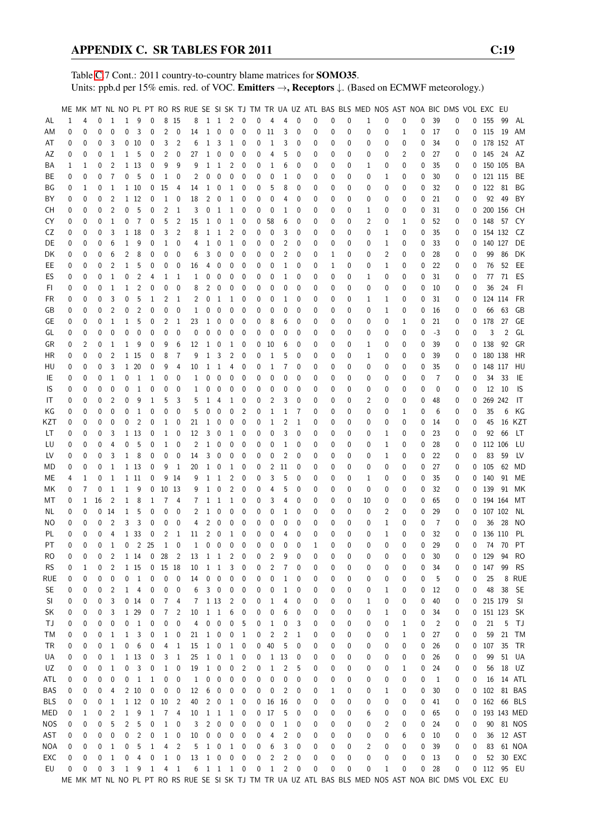Table [C.](#page-2-0)7 Cont.: 2011 country-to-country blame matrices for SOMO35. Units: ppb.d per 15% emis. red. of VOC. Emitters →, Receptors ↓. (Based on ECMWF meteorology.)

|            |          |   |    |                |              |                 |              |                 |                         |    |              |                          |                |                |   |              |                |              |              |   |          |                |              |             |   |      | ME MK MT NL NO PL PT RO RS RUE SE SI SK TJ TM TR UA UZ ATL BAS BLS MED NOS AST NOA BIC DMS VOL EXC EU |   |              |       |             |
|------------|----------|---|----|----------------|--------------|-----------------|--------------|-----------------|-------------------------|----|--------------|--------------------------|----------------|----------------|---|--------------|----------------|--------------|--------------|---|----------|----------------|--------------|-------------|---|------|-------------------------------------------------------------------------------------------------------|---|--------------|-------|-------------|
| AL         | 1        | 4 | 0  | 1              | 1            | 9               | 0            |                 | 8 15                    | 8  |              | $1\quad1$                | 2 0            |                | 0 | 4            | 4              | $\mathbf{0}$ | 0            | 0 | 0        | 1              | 0            | 0           | 0 | 39   | 0                                                                                                     |   | 0 155        | - 99  | AL          |
|            |          |   |    |                |              |                 |              |                 |                         |    |              |                          |                |                |   |              |                |              |              |   |          |                |              |             |   |      |                                                                                                       |   |              |       |             |
| ΑM         | 0        | 0 | 0  | $\mathbf{0}$   | 0            | 3               | 0            | $\overline{2}$  | 0                       | 14 | $\mathbf 1$  | $\mathbf 0$              | $\mathbf 0$    | $\mathbf 0$    | 0 | 11           | 3              | 0            | 0            | 0 | 0        | 0              | 0            | $\mathbf 1$ | 0 | 17   | 0                                                                                                     | 0 | 115 19       |       | AM          |
| AT         | 0        | 0 | 0  | 3              |              | 0 <sub>10</sub> | 0            | 3               | 2                       | 6  | 1            | 3                        | 1              | 0              | 0 | 1            | 3              | $\mathbf 0$  | 0            | 0 | 0        | 0              | 0            | 0           | 0 | 34   | 0                                                                                                     |   | 0 178 152    |       | AT          |
| AΖ         | 0        | 0 | 0  | 1              | 1            | 5               | 0            | 2               | 0                       | 27 | $\mathbf{1}$ | 0                        | 0              | 0              | 0 | 4            | 5              | 0            | 0            | 0 | 0        | 0              | 0            | 2           | 0 | 27   | 0                                                                                                     |   | $0$ 145 24   |       | AZ          |
| ΒA         | 1        | 1 | 0  | 2              |              | 1 13            | 0            | 9               | 9                       | 9  | 1            | $\mathbf{1}$             | 2              | 0              | 0 | 1            | 6              | 0            | 0            | 0 | 0        | 1              | 0            | 0           | 0 | 35   | 0                                                                                                     |   | 0 150 105    |       | BA          |
| ВE         | 0        | 0 | 0  | 7              | 0            | -5              | 0            | 1               | 0                       | 2  | 0            | 0                        | 0              | 0              | 0 | 0            | 1              | 0            | 0            | 0 | 0        | 0              | 1            | 0           | 0 | 30   | 0                                                                                                     |   | 0 121 115    |       | BE          |
| ΒG         | 0        | 1 | 0  | 1              |              | 1 10            | 0            | 15              | 4                       | 14 | 1            | 0                        | 1              | 0              | 0 | 5            | 8              | 0            | 0            | 0 | 0        | 0              | 0            | 0           | 0 | 32   | 0                                                                                                     | 0 | 122 81       |       | BG          |
|            |          |   | 0  | $\overline{2}$ |              | 1 12            | 0            | $\mathbf{1}$    |                         | 18 | 2            |                          | 1              | 0              |   |              | 4              | 0            |              |   | 0        |                |              |             |   | 21   |                                                                                                       |   |              | 92 49 | BY          |
| BY         | 0        | 0 |    |                |              |                 |              |                 | 0                       |    |              | 0                        |                |                | 0 | 0            |                |              | 0            | 0 |          | 0              | 0            | 0           | 0 |      | 0                                                                                                     | 0 |              |       |             |
| CН         | 0        | 0 | 0  | $\overline{2}$ | 0            | 5               | 0            | $\overline{2}$  | 1                       | 3  | 0            | $\mathbf{1}$             | 1              | 0              | 0 | 0            | 1              | 0            | 0            | 0 | 0        | 1              | 0            | 0           | 0 | 31   | 0                                                                                                     | 0 | 200 156      |       | CH          |
| CY         | 0        | 0 | 0  | 1              | 0            | 7               | 0            | 5               | 2                       | 15 | 1            | $\mathbf 0$              | $\mathbf{1}$   | 0              | 0 | 58           | 6              | 0            | 0            | 0 | 0        | $\overline{2}$ | 0            | 1           | 0 | 52   | 0                                                                                                     | 0 | 148 57       |       | CY          |
| CZ         | 0        | 0 | 0  | 3              |              | 1 18            | 0            | 3               | 2                       | 8  | 1            | 1                        | 2              | 0              | 0 | 0            | 3              | 0            | 0            | 0 | 0        | 0              | 1            | 0           | 0 | 35   | 0                                                                                                     | 0 | 154 132      |       | CZ.         |
| DE         | 0        | 0 | 0  | 6              | $\mathbf 1$  | 9               | 0            | 1               | 0                       | 4  | 1            | 0                        | 1              | 0              | 0 | 0            | 2              | 0            | 0            | 0 | 0        | 0              | 1            | 0           | 0 | 33   | 0                                                                                                     | 0 | 140 127      |       | DE          |
| DK         | 0        | 0 | 0  | 6              | 2            | 8               | 0            | 0               | 0                       | 6  | 3            | 0                        | 0              | 0              | 0 | 0            | 2              | 0            | 0            | 1 | 0        | 0              | 2            | 0           | 0 | 28   | 0                                                                                                     | 0 |              | 99 86 | DK          |
| EE         | 0        | 0 | 0  | 2              | 1            | 5               | 0            | 0               | 0                       | 16 | 4            | 0                        | 0              | 0              | 0 | 0            | 1              | 0            | 0            | 1 | 0        | 0              | 1            | 0           | 0 | 22   | 0                                                                                                     | 0 | 76           | 52    | EE          |
|            |          |   |    |                |              |                 |              |                 |                         |    |              |                          |                |                |   |              |                |              |              |   |          |                |              |             |   |      |                                                                                                       |   |              |       |             |
| ES         | 0        | 0 | 0  | $\mathbf{1}$   | 0            | 2               | 4            | 1               | -1                      | 1  | 0            | 0                        | 0              | 0              | 0 | 0            | 1              | 0            | 0            | 0 | 0        | 1              | 0            | 0           | 0 | 31   | 0                                                                                                     | 0 | 77           | 71    | ES          |
| FI.        | 0        | 0 | 0  | $\mathbf{1}$   | $\mathbf 1$  | 2               | 0            | 0               | 0                       | 8  | 2            | 0                        | 0              | 0              | 0 | 0            | 0              | 0            | 0            | 0 | 0        | 0              | 0            | 0           | 0 | 10   | 0                                                                                                     | 0 | 36           | 24    | FI.         |
| FR         | 0        | 0 | 0  | 3              | 0            | 5               | 1            | 2               | 1                       | 2  | 0            | 1                        | 1              | 0              | 0 | 0            | 1              | 0            | 0            | 0 | 0        | 1              | 1            | 0           | 0 | 31   | 0                                                                                                     | 0 | 124 114      |       | FR          |
| GB         | 0        | 0 | 0  | $\overline{2}$ | 0            | 2               | 0            | 0               | 0                       | 1  | 0            | 0                        | 0              | 0              | 0 | 0            | 0              | 0            | 0            | 0 | 0        | 0              | 1            | 0           | 0 | 16   | 0                                                                                                     | 0 | 66           | 63    | GB          |
| GЕ         | 0        | 0 | 0  | 1              | 1            | 5               | 0            | 2               | 1                       | 23 | 1            | 0                        | 0              | 0              | 0 | 8            | 6              | 0            | 0            | 0 | 0        | 0              | 0            | 1           | 0 | 21   | 0                                                                                                     | 0 | 178          | 27    | GE          |
| GL         | 0        | 0 | 0  | 0              | 0            | 0               | 0            | 0               | 0                       | 0  | 0            | 0                        | 0              | 0              | 0 | 0            | 0              | 0            | 0            | 0 | 0        | 0              | 0            | 0           | 0 | $-3$ | 0                                                                                                     | 0 | 3            | 2     | GL          |
| GR         |          | 2 | 0  | 1              | 1            | 9               | 0            | 9               | 6                       | 12 | 1            | $\mathbf 0$              | 1              | 0              | 0 | 10           | 6              | 0            | 0            |   | 0        |                | 0            | 0           | 0 | 39   |                                                                                                       | 0 | 138          | 92    | GR          |
|            | 0        |   |    |                |              |                 |              |                 |                         |    |              |                          |                |                |   |              |                |              |              | 0 |          | 1              |              |             |   |      | 0                                                                                                     |   |              |       |             |
| ΗR         | 0        | 0 | 0  | $\overline{2}$ |              | 1 15            | 0            | 8               | $\overline{7}$          | 9  | 1            | 3                        | 2              | 0              | 0 | 1            | 5              | 0            | 0            | 0 | 0        | 1              | 0            | 0           | 0 | 39   | 0                                                                                                     | 0 | 180 138      |       | HR          |
| HU         | 0        | 0 | 0  | 3              | $\mathbf{1}$ | 20              | 0            | 9               | 4                       | 10 | 1            | 1                        | 4              | 0              | 0 | 1            | 7              | 0            | 0            | 0 | 0        | 0              | 0            | 0           | 0 | 35   | 0                                                                                                     | 0 | 148 117      |       | HU          |
| IE         | 0        | 0 | 0  | 1              | 0            | 1               | 1            | 0               | 0                       | 1  | 0            | 0                        | 0              | 0              | 0 | 0            | 0              | 0            | 0            | 0 | 0        | 0              | 0            | 0           | 0 | 7    | 0                                                                                                     | 0 | 34           | -33   | IE          |
| IS         | 0        | 0 | 0  | $\mathbf{0}$   | 0            | 1               | 0            | 0               | 0                       | 1  | 0            | 0                        | 0              | 0              | 0 | 0            | 0              | 0            | 0            | 0 | 0        | 0              | 0            | 0           | 0 | 0    | 0                                                                                                     | 0 | 12           | 10    | IS          |
| IT         | 0        | 0 | 0  | $\overline{2}$ | 0            | 9               | 1            | 5               | 3                       | 5  | 1            | 4                        | 1              | 0              | 0 | 2            | 3              | 0            | 0            | 0 | 0        | 2              | 0            | 0           | 0 | 48   | 0                                                                                                     | 0 | 269 242      |       | IT          |
| ΚG         | 0        | 0 | 0  | 0              | 0            | 1               | 0            | 0               | $\mathbf 0$             | 5  | 0            | 0                        | 0              | 2              | 0 | 1            | 1              | 7            | 0            | 0 | 0        | 0              | 0            | 1           | 0 | 6    | 0                                                                                                     | 0 | 35           | 6     | ΚG          |
|            |          |   |    |                |              |                 |              |                 |                         |    |              |                          |                |                |   |              |                |              |              |   |          |                |              |             |   |      |                                                                                                       |   |              |       |             |
| KZT        | 0        | 0 | 0  | 0              | 0            | 2               | 0            | 1               | 0                       | 21 | 1            | 0                        | 0              | 0              | 0 | 1            | 2              | 1            | 0            | 0 | 0        | 0              | 0            | 0           | 0 | 14   | 0                                                                                                     | 0 | 45           |       | 16 KZT      |
| LT         | 0        | 0 | 0  | 3              |              | 1 13            | 0            | 1               | 0                       | 12 | 3            | $\mathbf 0$              | 1              | 0              | 0 | 0            | 3              | 0            | 0            | 0 | 0        | 0              | 1            | 0           | 0 | 23   | 0                                                                                                     | 0 | 92           | 66    | LT          |
| LU         | 0        | 0 | 0  | 4              | 0            | 5               | 0            | $\mathbf{1}$    | 0                       | 2  | 1            | 0                        | 0              | 0              | 0 | 0            | 1              | 0            | 0            | 0 | 0        | 0              | 1            | 0           | 0 | 28   | 0                                                                                                     | 0 | 112 106      |       | LU          |
| LV         | 0        | 0 | 0  | 3              | 1            | 8               | 0            | 0               | 0                       | 14 | 3            | $\pmb{0}$                | 0              | 0              | 0 | 0            | 2              | 0            | 0            | 0 | 0        | 0              | 1            | 0           | 0 | 22   | 0                                                                                                     | 0 | 83           | 59    | LV          |
| МD         | 0        | 0 | 0  | $\mathbf{1}$   |              | 1 13            | 0            | 9               | -1                      | 20 | 1            | 0                        | 1              | 0              | 0 | 2            | 11             | 0            | 0            | 0 | 0        | 0              | 0            | 0           | 0 | 27   | 0                                                                                                     | 0 | 105          | 62    | MD          |
| MЕ         | 4        | 1 | 0  | 1              |              | 1 11            | 0            |                 | 9 14                    | 9  | 1            | $\mathbf{1}$             | $\overline{2}$ | 0              | 0 | 3            | 5              | 0            | 0            | 0 | 0        | 1              | 0            | 0           | 0 | 35   | 0                                                                                                     | 0 | 140          | 91    | МE          |
| МK         | 0        | 7 | 0  | $\mathbf{1}$   | 1            | 9               | 0            | 10 13           |                         | 9  | $\mathbf 1$  | $\mathbf 0$              | $\overline{2}$ | 0              | 0 | 4            | 5              | 0            | 0            | 0 | 0        | 0              | 0            | 0           | 0 | 32   | 0                                                                                                     | 0 | 139 91       |       | МK          |
|            |          |   |    |                |              |                 |              |                 |                         |    |              |                          |                |                |   |              |                |              |              |   |          |                |              |             |   |      |                                                                                                       |   |              |       |             |
| МT         | 0        | 1 | 16 | 2              | 1            | 8               | 1            | 7               | 4                       | 7  | 1            | $\mathbf{1}$             | 1              | 0              | 0 | 3            | 4              | 0            | 0            | 0 | 0        | 10             | 0            | 0           | 0 | 65   | 0                                                                                                     | 0 | 194 164      |       | МT          |
| NL         | 0        | 0 |    | 014            | 1            | 5               | 0            | 0               | 0                       | 2  | 1            | 0                        | 0              | 0              | 0 | 0            | 1              | 0            | 0            | 0 | 0        | 0              | 2            | 0           | 0 | 29   | 0                                                                                                     | 0 | 107 102      |       | NL          |
| ΝO         | 0        | 0 | 0  | $\overline{2}$ | 3            | 3               | 0            | 0               | 0                       | 4  | 2            | 0                        | 0              | 0              | 0 | 0            | 0              | 0            | 0            | 0 | 0        | 0              | 1            | 0           | 0 | 7    | 0                                                                                                     | 0 | 36           | - 28  | NO          |
| PL         | 0        | 0 | 0  | 4              |              | 1 3 3           | 0            | 2               | 1                       | 11 | 2            | $\mathbf 0$              | 1              | 0              | 0 | 0            | 4              | 0            | 0            | 0 | 0        | 0              | 1            | 0           | 0 | 32   | 0                                                                                                     | 0 | 136 110      |       | PL          |
| PT         | $\Omega$ | 0 | 0  | $\mathbf{1}$   | $\mathbf 0$  |                 | 2 25         | $\mathbf{1}$    | $\Omega$                | 1  | 0            | $\overline{0}$           | $\mathbf{0}$   | $\mathbf{0}$   | 0 | 0            | 0              | $\Omega$     | $\mathbf{1}$ | 0 | $\Omega$ | $\theta$       | $\theta$     | 0           | 0 | 29   | 0                                                                                                     | 0 |              | 74 70 | PT          |
| RO         | 0        | 0 | 0  | 2              |              | 1 14            |              | 0 <sub>28</sub> | $\overline{2}$          | 13 |              | $1\quad 1$               | 2              | 0              | 0 | 2            | 9              | 0            | 0            | 0 | 0        | 0              | 0            | 0           | 0 | 30   | 0                                                                                                     |   | 0 129        | 94    | RO          |
| <b>RS</b>  | 0        | 1 | 0  | 2              |              | 1 15            |              | $0$ 15 18       |                         | 10 | 1            | $\overline{1}$           | 3              | 0              | 0 | 2            | 7              | 0            | 0            | 0 | 0        | 0              | 0            | 0           | 0 | 34   | 0                                                                                                     | 0 | 147          | 99    | <b>RS</b>   |
|            |          |   |    |                |              |                 |              |                 |                         |    |              |                          |                |                |   |              |                |              |              |   |          |                |              |             |   |      |                                                                                                       |   |              |       |             |
| rue        | 0        | 0 | 0  | 0              | 0            | $\mathbf{1}$    | 0            | 0               | 0                       | 14 | 0            | $\overline{\mathbf{0}}$  | 0              | 0              | 0 | 0            | 1              | 0            | 0            | 0 | 0        | 0              | 0            | 0           | 0 | 5    | 0                                                                                                     | 0 | 25           |       | 8 RUE       |
| <b>SE</b>  | 0        | 0 | 0  | 2              |              | $1 \quad 4$     | 0            | 0               | 0                       | 6  |              | $3 \quad 0$              | 0              | 0              | 0 | 0            | 1              | 0            | 0            | 0 | 0        | 0              | 1            | 0           | 0 | 12   | 0                                                                                                     | 0 | 48           | 38    | <b>SE</b>   |
| SI         | 0        | 0 | 0  | 3              |              | $0$ 14          | 0            | $\overline{7}$  | 4                       | 7  |              | 1 1 3                    | 2              | 0              | 0 | 1            | 4              | 0            | 0            | 0 | 0        | 1              | 0            | 0           | 0 | 40   | 0                                                                                                     |   | 0 215 179    |       | - SI        |
| SK         | 0        | 0 | 0  | 3              |              | 1 29            | 0            | $\overline{7}$  | 2                       | 10 |              | $1\quad1$                | 6              | 0              | 0 | 0            | 6              | 0            | 0            | 0 | 0        | 0              | 1            | 0           | 0 | 34   | 0                                                                                                     | 0 | 151 123 SK   |       |             |
| ТJ         | 0        | 0 | 0  | 0              | 0            | $\mathbf{1}$    | 0            | 0               | 0                       | 4  | 0            | $\pmb{0}$                | 0              | 5              | 0 | 1            | 0              | 3            | 0            | 0 | 0        | 0              | 0            | 1           | 0 | 2    | 0                                                                                                     | 0 | 21           | 5     | - TJ        |
| ТM         | 0        | 0 | 0  | $\mathbf{1}$   | $\mathbf 1$  | 3               | 0            | $\mathbf{1}$    | 0                       | 21 | $\mathbf{1}$ | $\boldsymbol{0}$         | 0              | $\mathbf{1}$   | 0 | 2            | 2              | 1            | 0            | 0 | 0        | 0              | 0            | 1           | 0 | 27   | 0                                                                                                     | 0 | 59           | 21    | TM          |
| TR         | 0        | 0 | 0  | $\overline{1}$ | 0            | 6               | 0            | 4               | $\mathbf{1}$            | 15 | $\mathbf{1}$ | $\overline{\phantom{0}}$ | $\mathbf{1}$   | $\mathbf 0$    | 0 | 40           | 5              | 0            | 0            | 0 | 0        | 0              | 0            | 0           | 0 | 26   | 0                                                                                                     | 0 | 107          | 35    | - TR        |
|            |          |   |    |                |              |                 |              |                 |                         |    |              |                          |                |                |   |              |                |              |              |   |          |                |              |             |   |      |                                                                                                       |   |              |       |             |
| UA         | 0        | 0 | 0  | 1              |              | 1 13            | 0            | 3               | $\mathbf{1}$            | 25 |              | $1\quad 0$               | $\mathbf{1}$   | 0              | 0 | $\mathbf{1}$ | 13             | 0            | 0            | 0 | 0        | 0              | 0            | 0           | 0 | 26   | 0                                                                                                     | 0 | 99           |       | 51 UA       |
| UZ         | 0        | 0 | 0  | $\mathbf{1}$   | 0            | 3               | 0            | $\mathbf{1}$    | 0                       | 19 | $\mathbf{1}$ | $\boldsymbol{0}$         | 0              | $\overline{c}$ | 0 | 1            | 2              | 5            | 0            | 0 | 0        | 0              | 0            | 1           | 0 | 24   | 0                                                                                                     | 0 |              |       | 56 18 UZ    |
| ATL        | 0        | 0 | 0  | 0              | 0            | $\overline{1}$  | 1            | 0               | 0                       | 1  | 0            | $\overline{\mathbf{0}}$  | 0              | 0              | 0 | 0            | 0              | 0            | 0            | 0 | 0        | 0              | 0            | 0           | 0 | 1    | 0                                                                                                     | 0 |              |       | 16  14  ATL |
| BAS        | 0        | 0 | 0  | 4              |              | 2 10            | 0            | 0               | $\overline{\mathbf{0}}$ | 12 | 6            | $\overline{\phantom{0}}$ | 0              | 0              | 0 | 0            | 2              | 0            | 0            | 1 | 0        | 0              | 1            | 0           | 0 | 30   | 0                                                                                                     | 0 |              |       | 102 81 BAS  |
| <b>BLS</b> | 0        | 0 | 0  | 1              |              | 1 12            | 0            | 10              | $\overline{2}$          | 40 |              | $2\quad 0$               | $\mathbf{1}$   | 0              | 0 | 16           | -16            | 0            | 0            | 0 | 0        | 0              | 0            | 0           | 0 | 41   | 0                                                                                                     |   | 0 162 66 BLS |       |             |
| MED        |          |   |    | $\overline{2}$ | 1            | 9               | $\mathbf{1}$ |                 | 74                      | 10 |              | $1\quad1$                | $\mathbf{1}$   | 0              | 0 | 17           | 5              | 0            | 0            |   | 0        | 6              | 0            |             |   | 65   | 0                                                                                                     | 0 |              |       | 193 143 MED |
|            | 0        | 1 | 0  |                |              |                 |              |                 |                         |    |              |                          |                |                |   |              |                |              |              | 0 |          |                |              | 0           | 0 |      |                                                                                                       |   |              |       |             |
| <b>NOS</b> | 0        | 0 | 0  | 5              | 2            | 5               | 0            | $\mathbf{1}$    | $\boldsymbol{0}$        | 3  | 2            | $\overline{\mathbf{0}}$  | 0              | 0              | 0 | 0            | 1              | 0            | 0            | 0 | 0        | 0              | 2            | 0           | 0 | 24   | 0                                                                                                     | 0 |              |       | 90 81 NOS   |
| AST        | 0        | 0 | 0  | 0              | 0            | $\overline{c}$  | 0            | $\mathbf{1}$    | $\overline{\mathbf{0}}$ | 10 | 0            | $\mathbf 0$              | 0              | 0              | 0 | 4            | 2              | 0            | 0            | 0 | 0        | 0              | 0            | 6           | 0 | 10   | 0                                                                                                     | 0 |              |       | 36 12 AST   |
| NOA        | 0        | 0 | 0  | 1              | 0            | 5               | $\mathbf{1}$ | 4               | $\overline{2}$          | 5  |              | $1 \quad 0$              | $\mathbf{1}$   | 0              | 0 | 6            | 3              | 0            | 0            | 0 | 0        | 2              | 0            | 0           | 0 | 39   | 0                                                                                                     | 0 |              |       | 83 61 NOA   |
| EXC        | 0        | 0 | 0  | $\mathbf{1}$   | 0            | 4               | 0            | $\mathbf{1}$    | $\pmb{0}$               | 13 |              | $1\quad 0$               | $\pmb{0}$      | $\pmb{0}$      | 0 | 2            | $\overline{c}$ | 0            | 0            | 0 | 0        | $\pmb{0}$      | 0            | 0           | 0 | 13   | 0                                                                                                     | 0 |              |       | 52 30 EXC   |
| EU         | 0        | 0 | 0  | 3              |              | $1 \quad 9$     | $\mathbf{1}$ |                 | $4 \quad 1$             |    |              |                          | 6 1 1 1 0      |                | 0 | $\mathbf{1}$ | 2              | 0            | 0            | 0 | 0        | 0              | $\mathbf{1}$ | 0           | 0 | 28   | 0                                                                                                     |   | 0 112 95 EU  |       |             |
|            |          |   |    |                |              |                 |              |                 |                         |    |              |                          |                |                |   |              |                |              |              |   |          |                |              |             |   |      | ME MK MT NL NO PL PT RO RS RUE SE SI SK TJ TM TR UA UZ ATL BAS BLS MED NOS AST NOA BIC DMS VOL EXC EU |   |              |       |             |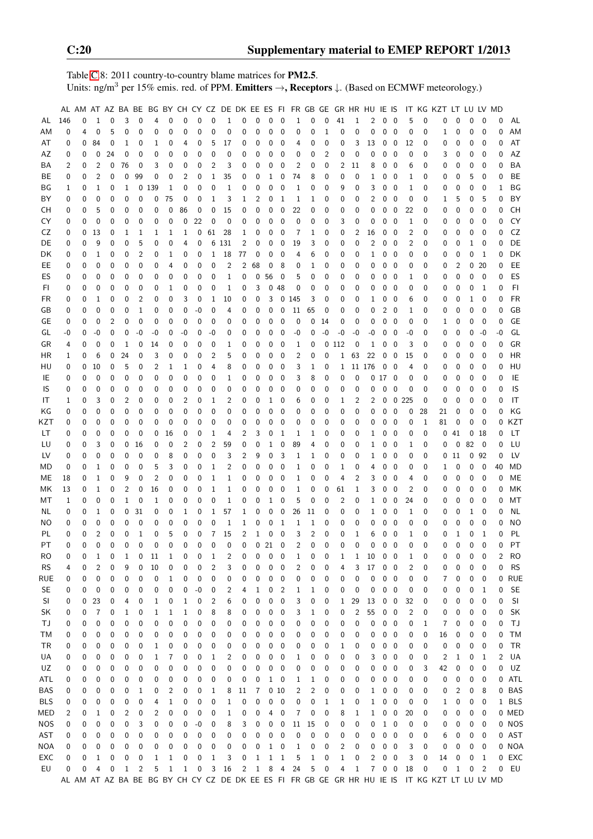Table [C.](#page-2-0)8: 2011 country-to-country blame matrices for PM2.5. Units: ng/m<sup>3</sup> per 15% emis. red. of PPM. **Emitters**  $\rightarrow$ **, Receptors**  $\downarrow$ . (Based on ECMWF meteorology.)

|            |     |   |                |                |             |              | AL AM AT AZ BA BE BG BY CH CY CZ DE DK EE ES FI FR GB GE GR HR HU IE IS |              |              |                   |                  |              |                |              |              |                          |                |                |              |              |                |        |                   |                          |       |          | IT KG KZT LT LU LV MD                                                                         |              |              |                         |             |                |
|------------|-----|---|----------------|----------------|-------------|--------------|-------------------------------------------------------------------------|--------------|--------------|-------------------|------------------|--------------|----------------|--------------|--------------|--------------------------|----------------|----------------|--------------|--------------|----------------|--------|-------------------|--------------------------|-------|----------|-----------------------------------------------------------------------------------------------|--------------|--------------|-------------------------|-------------|----------------|
| AL         | 146 | 0 | $\mathbf{1}$   | 0              | 3           | 0            | 4                                                                       | 0            | $\pmb{0}$    | 0                 | $\mathbf 0$      | $\mathbf{1}$ | 0              | $\mathbf 0$  | 0            | $\mathbf 0$              | $\mathbf{1}$   | 0              | $\pmb{0}$    | 41           | $\mathbf{1}$   | 2      |                   | $0\quad 0$               | 5     | 0        | 0                                                                                             | $\mathbf{0}$ | $\mathbf 0$  | $\mathbf 0$             | 0           | AL             |
| ΑM         | 0   | 4 | 0              | 5              | $\mathbf 0$ | 0            | 0                                                                       | 0            | 0            | 0                 | 0                | 0            | 0              | 0            | 0            | 0                        | 0              | 0              | 1            | 0            | $\mathbf 0$    | 0      | 0                 | $\overline{\mathbf{0}}$  | 0     | 0        | 1                                                                                             | 0            | 0            | $\mathbf 0$             | $\mathbf 0$ | AM             |
| AT         | 0   | 0 | 84             | 0              | 1           | 0            | 1                                                                       | 0            | 4            | 0                 | 5                | 17           | 0              | 0            | 0            | 0                        | 4              | 0              | 0            | 0            | 3              | 13     | 0                 | $\mathbf 0$              | 12    | 0        | 0                                                                                             | 0            | 0            | 0                       | 0           | AT             |
| AZ         | 0   | 0 | 0              | 24             | 0           | 0            | 0                                                                       | 0            | 0            | 0                 | 0                | 0            | 0              | 0            | 0            | 0                        | 0              | 0              | 2            | 0            | 0              | 0      | 0                 | $\mathbf 0$              | 0     | 0        | 3                                                                                             | 0            | 0            | 0                       | 0           | AZ             |
| ΒA         | 2   | 0 | 2              | 0              | 76          | 0            | 3                                                                       | 0            | 0            | 0                 | $\overline{2}$   | 3            | 0              | 0            | 0            | 0                        | 2              | 0              | 0            | 2            | 11             | 8      | 0                 | $\mathbf 0$              | 6     | 0        | 0                                                                                             | 0            | 0            | 0                       | 0           | <b>BA</b>      |
| BЕ         | 0   | 0 | 2              | 0              | 0           | 99           | 0                                                                       | 0            | 2            | 0                 | $\mathbf{1}$     | 35           | 0              | 0            | 1            | 0                        | 74             | 8              | 0            | 0            | 0              | 1      | 0                 | 0                        | 1     | 0        | 0                                                                                             | 0            | 5            | 0                       | 0           | BE             |
| BG         | 1   | 0 | 1              | 0              | 1           | 0            | 139                                                                     | 1            | 0            | 0                 | $\mathbf 0$      | 1            | 0              | 0            | 0            | $\mathbf 0$              | 1              | 0              | 0            | 9            | 0              | 3      | 0                 | $\mathbf 0$              | 1     | 0        | 0                                                                                             | 0            | 0            | $\mathbf 0$             | 1           | BG             |
|            |     |   | 0              |                |             |              |                                                                         |              |              |                   |                  |              |                |              |              |                          |                |                |              |              |                |        |                   |                          |       |          |                                                                                               |              |              |                         |             |                |
| ΒY         | 0   | 0 |                | 0              | 0           | 0            | 0                                                                       | 75           | 0            | 0                 | 1                | 3            | 1              | 2            | 0            | $\mathbf{1}$             | 1              | 1              | 0            | 0            | 0              | 2      | 0                 | $\boldsymbol{0}$         | 0     | 0        | 1                                                                                             | 5            | 0            | 5                       | 0           | BY             |
| <b>CH</b>  | 0   | 0 | 5              | 0              | 0           | 0            | 0                                                                       | 0            | 86           | 0                 | $\mathbf 0$      | 15           | 0              | 0            | 0            | 0                        | 22             | 0              | 0            | 0            | $\mathbf 0$    | 0      | 0                 | 0                        | 22    | 0        | 0                                                                                             | $\mathbf 0$  | 0            | $\mathbf 0$             | 0           | <b>CH</b>      |
| CY         | 0   | 0 | 0              | 0              | 0           | 0            | 0                                                                       | 0            | 0            | 22                | 0                | 0            | 0              | 0            | 0            | 0                        | 0              | 0              | 0            | 3            | 0              | 0      | 0                 | 0                        | 1     | 0        | 0                                                                                             | 0            | 0            | 0                       | 0           | CY             |
| CZ         | 0   | 0 | 13             | 0              | 1           | 1            | 1                                                                       | 1            | 1            | 0                 | 61               | 28           | 1              | 0            | 0            | 0                        | 7              | 1              | 0            | 0            | 2              | 16     | 0                 | $\boldsymbol{0}$         | 2     | 0        | 0                                                                                             | 0            | 0            | $\mathbf 0$             | 0           | CZ             |
| DE         | 0   | 0 | 9              | 0              | 0           | 5            | 0                                                                       | 0            | 4            | 0                 |                  | 6 131        | $\overline{2}$ | 0            | 0            | 0                        | 19             | 3              | 0            | 0            | 0              | 2      | 0                 | $\mathbf 0$              | 2     | 0        | 0                                                                                             | 0            | 1            | 0                       | 0           | DE             |
| DK         | 0   | 0 | 1              | 0              | 0           | 2            | 0                                                                       | 1            | 0            | 0                 | 1                | 18           | 77             | 0            | 0            | 0                        | 4              | 6              | 0            | 0            | 0              | 1      | 0                 | 0                        | 0     | 0        | 0                                                                                             | 0            | 0            | 1                       | 0           | DK             |
| EE.        | 0   | 0 | 0              | 0              | 0           | 0            | 0                                                                       | 4            | 0            | 0                 | 0                | 2            | 2              | 68           | 0            | 8                        | 0              | 1              | 0            | 0            | 0              | 0      | 0                 | $\mathbf 0$              | 0     | 0        | 0                                                                                             | 2            | 0            | 20                      | 0           | EE             |
| ES         | 0   | 0 | 0              | 0              | 0           | 0            | 0                                                                       | 0            | 0            | 0                 | 0                | 1            | 0              | 0            | 56           | 0                        | 5              | 0              | 0            | 0            | 0              | 0      | 0                 | 0                        | 1     | 0        | 0                                                                                             | 0            | $\mathbf 0$  | $\mathbf 0$             | 0           | ES             |
| FI         | 0   | 0 | 0              | 0              | 0           | 0            | 0                                                                       | 1            | 0            | 0                 | 0                | 1            | 0              | 3            | 0            | 48                       | 0              | 0              | 0            | 0            | 0              | 0      | 0                 | 0                        | 0     | 0        | 0                                                                                             | 0            | 0            | 1                       | 0           | F <sub>1</sub> |
| <b>FR</b>  | 0   | 0 | $\mathbf{1}$   | 0              | 0           | 2            | 0                                                                       | 0            | 3            | 0                 | $\mathbf{1}$     | 10           | 0              | 0            | 3            | 0                        | 145            | 3              | 0            | 0            | $\mathbf 0$    | 1      | 0                 | $\mathbf 0$              | 6     | 0        | 0                                                                                             | 0            | 1            | $\mathbf 0$             | 0           | <b>FR</b>      |
| GB         | 0   | 0 | 0              | 0              | 0           | 1            | 0                                                                       | 0            | 0            | -0                | 0                | 4            | 0              | 0            | 0            | 0                        | 11             | 65             | 0            | 0            | 0              | 0      | 2                 | $\overline{0}$           | 1     | 0        | 0                                                                                             | 0            | 0            | $\mathbf 0$             | 0           | GB             |
| GE         | 0   | 0 | $\mathbf 0$    | $\overline{2}$ | 0           | 0            | 0                                                                       | 0            | 0            | 0                 | 0                | 0            | 0              | 0            | 0            | 0                        | 0              | 0              | 14           | 0            | 0              | 0      | 0                 | $\mathbf 0$              | 0     | 0        | 1                                                                                             | 0            | 0            | $\mathbf 0$             | 0           | <b>GE</b>      |
| GL         | -0  | 0 | -0             | 0              | 0           | $-0$         | -0                                                                      | 0            | -0           | 0                 | -0               | 0            | 0              | 0            | 0            | 0                        | -0             | 0              | -0           | $-0$         | $-0$           | -0     | 0                 | $\mathbf 0$              | $-0$  | 0        | 0                                                                                             | 0            | 0            | $-0$                    | -0          | GL             |
| GR         | 4   | 0 | 0              | 0              | 1           | 0            | 14                                                                      | 0            | 0            | 0                 | 0                | 1            | 0              | 0            | 0            | 0                        | 1              | 0              | 0            | 112          | 0              | 1      | 0                 | $\mathbf 0$              | 3     | 0        | 0                                                                                             | 0            | 0            | 0                       | 0           | GR             |
| HR         | 1   | 0 | 6              | 0              | 24          | 0            | 3                                                                       | 0            | 0            | 0                 | 2                | 5            | 0              | 0            | 0            | 0                        | 2              | 0              | 0            | $\mathbf{1}$ | 63             | 22     | 0                 | $\mathbf 0$              | 15    | 0        | 0                                                                                             | 0            | 0            | 0                       | 0           | <b>HR</b>      |
| HU         | 0   | 0 | 10             | 0              | 5           | 0            | $\overline{2}$                                                          | 1            | 1            | 0                 | 4                | 8            | 0              | 0            | 0            | 0                        | 3              | 1              | 0            | 1            |                | 11 176 | 0                 | $\mathbf 0$              | 4     | 0        | 0                                                                                             | 0            | 0            | $\mathbf 0$             | 0           | HU             |
| IE         | 0   | 0 | $\mathbf 0$    | 0              | 0           | 0            | 0                                                                       | 0            | 0            | 0                 | 0                | 1            | 0              | 0            | 0            | 0                        | 3              | 8              | 0            | 0            | $\mathbf 0$    |        | 017               | $\overline{\phantom{0}}$ | 0     | 0        | 0                                                                                             | 0            | 0            | 0                       | 0           | IE             |
| IS         | 0   | 0 | 0              | 0              | 0           | 0            | 0                                                                       | 0            | 0            | 0                 | 0                | 0            | 0              | 0            | 0            | 0                        | 0              | 0              | 0            | 0            | 0              | 0      | 0                 | $\mathbf 0$              | 0     | 0        | 0                                                                                             | 0            | 0            | 0                       | 0           | IS             |
| IT         | 1   | 0 | 3              | 0              | 2           | 0            | 0                                                                       | 0            | 2            | 0                 | 1                | 2            | 0              | 0            | 1            | 0                        | 6              | 0              | 0            | 1            | 2              | 2      | 0                 | 0                        | 225   | 0        | 0                                                                                             | 0            | 0            | 0                       | 0           | IT             |
| KG         | 0   | 0 | 0              | 0              | 0           | 0            | 0                                                                       | 0            | 0            | 0                 | 0                | 0            | 0              | 0            | 0            | 0                        | 0              | 0              | 0            | 0            | 0              | 0      | 0                 | 0                        | 0     | 28       | 21                                                                                            | 0            | 0            | 0                       | 0           | KG             |
| KZT        | 0   | 0 | 0              | 0              | 0           | 0            | 0                                                                       | 0            | 0            | 0                 | 0                | 0            | 0              | 0            | 0            | 0                        | 0              | 0              | 0            | 0            | 0              | 0      | 0                 | 0                        | 0     | 1        | 81                                                                                            | 0            | 0            | 0                       | 0           | KZT            |
| LT         |     | 0 | 0              | 0              | 0           | 0            |                                                                         |              | 0            | 0                 | 1                | 4            | $\overline{c}$ | 3            | 0            | 1                        |                |                | 0            | 0            | 0              | 1      | 0                 | 0                        | 0     | 0        | 0                                                                                             | 41           |              | 0 <sub>18</sub>         | 0           | LT             |
|            | 0   |   |                |                |             |              | 0                                                                       | 16           |              |                   |                  |              |                |              |              |                          | 1              | 1              |              |              |                |        |                   |                          |       |          |                                                                                               |              |              |                         |             |                |
| LU         | 0   | 0 | 3              | 0              | 0           | 16           | 0                                                                       | 0            | 2            | 0                 | $\overline{c}$   | 59           | 0              | 0            | 1            | 0                        | 89             | 4              | 0            | 0            | 0              | 1      | 0                 | 0                        | 1     | 0        | 0                                                                                             | 0            | 82           | $\overline{\mathbf{0}}$ | 0           | LU             |
| LV         | 0   | 0 | 0              | 0              | 0           | 0            | 0                                                                       | 8            | 0            | 0                 | $\mathbf 0$      | 3            | 2              | 9            | 0            | 3                        | 1              | 1              | 0            | 0            | 0              | 1      | 0                 | 0                        | 0     | 0        | 0                                                                                             | 11           |              | 0.92                    | 0           | LV             |
| MD         | 0   | 0 | 1              | 0              | 0           | 0            | 5                                                                       | 3            | 0            | 0                 | 1                | 2            | 0              | 0            | 0            | 0                        | 1              | 0              | 0            | 1            | 0              | 4      | 0                 | 0                        | 0     | 0        | 1                                                                                             | 0            | 0            | $\mathbf 0$             | 40          | MD             |
| ME         | 18  | 0 | $\mathbf{1}$   | 0              | 9           | 0            | $\overline{2}$                                                          | 0            | 0            | 0                 | $1\,$            | 1            | 0              | 0            | 0            | 0                        | 1              | 0              | 0            | 4            | $\overline{2}$ | 3      | 0                 | $\mathbf 0$              | 4     | 0        | 0                                                                                             | 0            | 0            | $\mathbf 0$             | 0           | ME             |
| МK         | 13  | 0 | 1              | 0              | 2           | 0            | 16                                                                      | 0            | 0            | 0                 | $\mathbf{1}$     | 1            | 0              | 0            | 0            | 0                        | 1              | 0              | 0            | 61           | $\mathbf{1}$   | 3      | 0                 | $\mathbf 0$              | 2     | 0        | 0                                                                                             | 0            | 0            | $\mathbf 0$             | 0           | ΜK             |
| МT         | 1   | 0 | 0              | 0              | 1           | 0            | 1                                                                       | 0            | 0            | 0                 | 0                | 1            | 0              | 0            | $\mathbf{1}$ | 0                        | 5              | 0              | 0            | 2            | 0              | 1      | 0                 | $\boldsymbol{0}$         | 24    | 0        | 0                                                                                             | 0            | 0            | 0                       | 0           | МT             |
| NL         | 0   | 0 | 1              | 0              | 0           | 31           | 0                                                                       | 0            | 1            | 0                 | 1                | 57           | 1              | 0            | 0            | 0                        | 26             | 11             | 0            | 0            | 0              | 1      | 0                 | 0                        | 1     | 0        | 0                                                                                             | 0            | 1            | 0                       | 0           | ΝL             |
| NO         | 0   | 0 | 0              | 0              | 0           | 0            | 0                                                                       | 0            | 0            | 0                 | 0                | 1            | 1              | 0            | 0            | 1                        | 1              | 1              | 0            | 0            | 0              | 0      | 0                 | $\mathbf 0$              | 0     | 0        | 0                                                                                             | 0            | 0            | $\mathbf 0$             | 0           | ΝO             |
| PL         | 0   | 0 | $\overline{2}$ | 0              | $\mathbf 0$ | $\mathbf{1}$ | $\mathbf 0$                                                             | 5            | $\pmb{0}$    | 0                 | $\overline{7}$   | 15           | $\overline{2}$ | 1            | $\mathbf 0$  | $\mathbf 0$              | 3              | $\overline{2}$ | $\mathbf 0$  | 0            | $1\,$          | 6      | 0                 | $\mathbf 0$              | $1\,$ | 0        | 0                                                                                             | 1            | $\pmb{0}$    | $\mathbf{1}$            | $\mathbf 0$ | PL             |
| PT         | 0   | 0 | $\Omega$       | $\Omega$       | $\Omega$    | $\Omega$     | $\mathbf 0$                                                             | $\mathbf 0$  | 0            | 0                 | $\mathbf 0$      | $\mathbf{0}$ | $\mathbf{0}$   |              | $0\quad21$   | $\mathbf 0$              | $\overline{c}$ | $\mathbf 0$    | $\mathbf{0}$ | 0            | $\mathbf 0$    | 0      | $0\quad 0$        |                          | 0     | $\Omega$ | 0                                                                                             | $\Omega$     | $\mathbf 0$  | $\mathbf 0$             | 0           | PT             |
| RO         | 0   | 0 | 1              | 0              | 1           | 0            | 11                                                                      | 1            | 0            | 0                 | $\mathbf{1}$     | 2            | 0              | 0            | 0            | 0                        | 1              | 0              | 0            | 1            | 1              | 10     | $0\quad 0$        |                          | 1     | 0        | 0                                                                                             | 0            | 0            | $\mathbf 0$             | 2           | <b>RO</b>      |
| <b>RS</b>  | 4   | 0 | 2              | 0              | 9           | 0            | 10                                                                      | 0            | 0            | 0                 | 2                | 3            | 0              | 0            | 0            | 0                        | 2              | 0              | 0            | 4            | 3              | 17     | 0                 | $\overline{\mathbf{0}}$  | 2     | 0        | 0                                                                                             | 0            | 0            | 0                       | $\mathbf 0$ | <b>RS</b>      |
| <b>RUE</b> | 0   | 0 | 0              | 0              | 0           | 0            | 0                                                                       | 1            | 0            | 0                 | $\pmb{0}$        | 0            | 0              | 0            | 0            | 0                        | 0              | 0              | 0            | 0            | $\mathbf 0$    | 0      | 0                 | $\overline{\phantom{0}}$ | 0     | 0        | 7                                                                                             | 0            | 0            | 0                       | 0           | <b>RUE</b>     |
| SE.        | 0   | 0 | 0              | 0              | 0           | 0            | 0                                                                       | 0            | 0            | $-0$              | 0                | 2            | 4              | 1            | 0            | $\overline{2}$           | 1              | 1              | 0            | 0            | 0              | 0      | $0\quad 0$        |                          | 0     | 0        | 0                                                                                             | 0            | 0            | $\,1\,$                 | 0           | <b>SE</b>      |
| SI         | 0   | 0 | 23             | 0              | 4           | 0            | 1                                                                       | 0            | 1            | 0                 | 2                | 6            | 0              | 0            | 0            | 0                        | 3              | 0              | 0            | $\mathbf{1}$ | 29             | 13     |                   | $0\quad 0$               | 32    | 0        | 0                                                                                             | 0            | 0            | 0                       | 0           | SI             |
| SK         | 0   | 0 | 7              | 0              | 1           | 0            | 1                                                                       | 1            | 1            | 0                 | 8                | 8            | 0              | 0            | 0            | 0                        | 3              | 1              | 0            | 0            | 2              | 55     | $0\quad 0$        |                          | 2     | 0        | 0                                                                                             | 0            | 0            | 0                       | 0           | SK             |
| ТJ         | 0   | 0 | 0              | 0              | 0           | 0            | 0                                                                       | 0            | 0            | 0                 | 0                | 0            | 0              | 0            | 0            | 0                        | 0              | 0              | 0            | 0            | 0              | 0      |                   | $0\quad 0$               | 0     | 1        | 7                                                                                             | 0            | 0            | $\boldsymbol{0}$        | 0           | <b>TJ</b>      |
| ТM         | 0   | 0 | 0              | 0              | 0           | 0            | 0                                                                       | 0            | 0            | 0                 | 0                | 0            | 0              | 0            | 0            | 0                        | 0              | 0              | 0            | 0            | 0              | 0      |                   | $0\quad 0$               | 0     | 0        | 16                                                                                            | 0            | 0            | 0                       | 0           | <b>TM</b>      |
| TR         | 0   | 0 | 0              | 0              | 0           | 0            | 1                                                                       | 0            | 0            | 0                 | 0                | 0            | 0              | 0            | 0            | 0                        | 0              | 0              | 0            | 1            | 0              | 0      |                   | $0\quad 0$               | 0     | 0        | 0                                                                                             | 0            | 0            | 0                       | 0           | <b>TR</b>      |
| UA         | 0   | 0 | 0              | 0              | 0           | 0            | 1                                                                       | 7            | 0            | 0                 | 1                | 2            | 0              | 0            | 0            | 0                        | 1              | 0              | 0            | 0            | 0              | 3      |                   | $0\quad 0$               | 0     | 0        | 2                                                                                             | 1            | 0            | 1                       | 2           | UA             |
| UZ         | 0   | 0 | 0              | 0              | 0           | 0            | 0                                                                       | 0            | 0            | 0                 | 0                | 0            | 0              | 0            | 0            | 0                        | 0              | 0              | 0            | 0            | 0              | 0      |                   | $0\quad 0$               | 0     | 3        | 42                                                                                            | 0            | 0            | 0                       | 0           | UZ             |
| ATL        | 0   | 0 | 0              | 0              | 0           | 0            | 0                                                                       | 0            | 0            | 0                 | 0                | 0            | 0              | 0            |              | $1\quad 0$               | 1              | 1              | 0            | 0            | 0              | 0      |                   | $0\quad 0$               | 0     | 0        | 0                                                                                             | 0            | 0            | $\overline{0}$          |             | 0 ATL          |
| <b>BAS</b> |     |   | 0              | 0              | 0           | 1            |                                                                         |              |              |                   |                  |              |                | 7            |              | 010                      | 2              | 2              | 0            |              |                |        |                   |                          |       |          |                                                                                               |              |              | 8                       |             | 0 BAS          |
|            | 0   | 0 |                |                |             |              | 0                                                                       | 2            | 0            | 0                 | 1                | 8            | 11             |              |              |                          |                |                |              | 0            | 0              | 1      | $0\quad 0$        |                          | 0     | 0        | 0                                                                                             | 2            | 0            |                         |             |                |
| <b>BLS</b> | 0   | 0 | 0              | 0              | 0           | 0            | 4                                                                       | 1            | 0            | 0                 | 0                | 1            | 0              | 0            | 0            | 0                        | 0              | 0              | 1            | 1            | 0              | 1      | $0\quad 0$        |                          | 0     | 0        | 1                                                                                             | 0            | 0            | 0                       |             | 1 BLS          |
| <b>MED</b> | 2   | 0 | 1              | 0              | 2           | 0            | 2                                                                       | 0            | 0            | 0                 | 0                | 1            | 0              | 0            | 4            | $\mathbf 0$              | 7              | 0              | 0            | 8            | 1              | 1      | $0\quad 0$        |                          | 20    | 0        | 0                                                                                             | 0            | 0            | 0                       |             | 0 MED          |
| <b>NOS</b> | 0   | 0 | 0              | 0              | 0           | 3            | 0                                                                       | 0            | 0            | $\textnormal{-}0$ | $\boldsymbol{0}$ | 8            | 3              | 0            | $\mathbf 0$  | $\overline{\mathbf{0}}$  | 11             | 15             | 0            | 0            | 0              | 0      | $1\quad 0$        |                          | 0     | 0        | 0                                                                                             | 0            | 0            | $\overline{\mathbf{0}}$ |             | 0 NOS          |
| AST        | 0   | 0 | 0              | 0              | 0           | 0            | 0                                                                       | 0            | 0            | 0                 | 0                | 0            | 0              | 0            | $\mathbf 0$  | $\overline{\phantom{0}}$ | 0              | 0              | 0            | 0            | 0              | 0      |                   | $0\quad 0$               | 0     | 0        | 6                                                                                             | 0            | 0            | 0                       |             | 0 AST          |
| <b>NOA</b> | 0   | 0 | 0              | 0              | 0           | 0            | 0                                                                       | 0            | 0            | 0                 | 0                | 0            | 0              | 0            | $\mathbf{1}$ | $\mathbf 0$              | 1              | 0              | 0            | 2            | 0              | 0      |                   | $0\quad 0$               | 3     | 0        | 0                                                                                             | 0            | 0            | 0                       |             | 0 NOA          |
| EXC        | 0   | 0 | $\mathbf{1}$   | 0              | 0           | 0            | $\mathbf{1}$                                                            | $\mathbf{1}$ | 0            | 0                 | $\mathbf{1}$     | 3            | 0              | $\mathbf{1}$ |              | $1\quad1$                | 5              | $\mathbf{1}$   | 0            | $\mathbf{1}$ | 0              | 2      | $0\quad 0$        |                          | 3     | 0        | 14                                                                                            | 0            | 0            | 1                       |             | 0 EXC          |
| EU         | 0   | 0 | 4              | 0              | 1           | 2            | 5                                                                       | $1\,$        | $\mathbf{1}$ | 0                 | $\mathbf{3}$     | 16           | $\overline{2}$ | 1 8 4        |              |                          | 24             | 5              | 0            | 4            | $\mathbf{1}$   |        | $7\quad 0\quad 0$ |                          | 18    | 0        | 0                                                                                             | $\mathbf{1}$ | $\mathbf{0}$ | $\overline{2}$          |             | 0 EU           |
|            |     |   |                |                |             |              |                                                                         |              |              |                   |                  |              |                |              |              |                          |                |                |              |              |                |        |                   |                          |       |          | AL AM AT AZ BA BE BG BY CH CY CZ DE DK EE ES FI FR GB GE GR HR HU IE IS IT KG KZT LT LU LV MD |              |              |                         |             |                |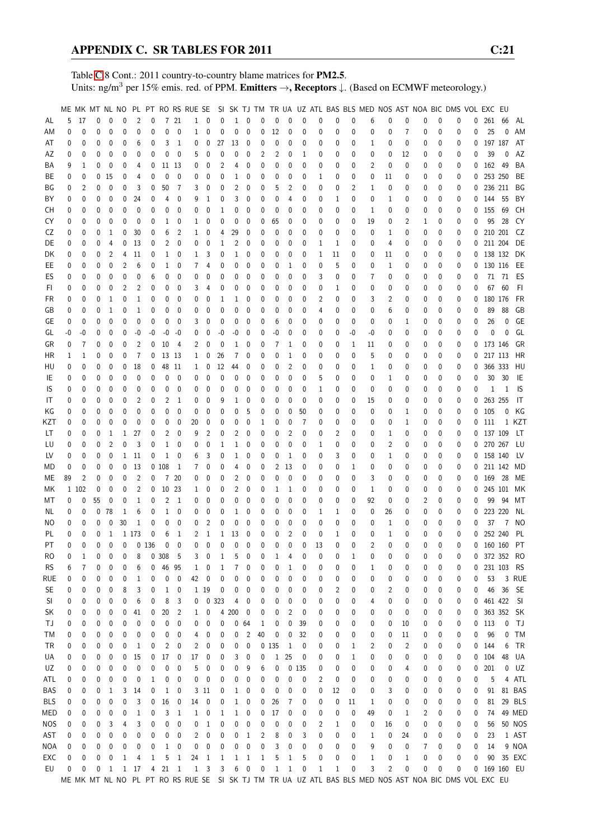Table [C.](#page-2-0)8 Cont.: 2011 country-to-country blame matrices for PM2.5. Units: ng/m<sup>3</sup> per 15% emis. red. of PPM. Emitters →, Receptors ↓. (Based on ECMWF meteorology.)

|            |          |       |    |              |          |                |                |                |                | ME MK MT NL NO PL PT RO RS RUE SE |                  |              |     |                  |    |              |              |             |    |    |    | SI SK TJ TM TR UA UZ ATL BAS BLS MED NOS AST NOA BIC DMS VOL EXC EU                                   |    |                |   |              |          |          |            |                |           |
|------------|----------|-------|----|--------------|----------|----------------|----------------|----------------|----------------|-----------------------------------|------------------|--------------|-----|------------------|----|--------------|--------------|-------------|----|----|----|-------------------------------------------------------------------------------------------------------|----|----------------|---|--------------|----------|----------|------------|----------------|-----------|
| AL         | 5        | 17    | 0  | 0            | 0        | 2              | 0              |                | 7 21           | 1                                 | 0                | 0            | 1   | 0                | 0  | 0            | 0            | 0           | 0  | 0  | 0  | 6                                                                                                     | 0  | 0              | 0 | 0            | 0        | 0        | 261        | 66             | AL        |
| ΑM         | 0        | 0     | 0  | 0            | 0        | 0              | 0              | $\pmb{0}$      | 0              | 1                                 | 0                | 0            | 0   | 0                | 0  | 12           | 0            | 0           | 0  | 0  | 0  | 0                                                                                                     | 0  | 7              | 0 | 0            | 0        | 0        | 25         | 0              | AM        |
| AT         | 0        | 0     | 0  | 0            | 0        | 6              | 0              | 3              | 1              | 0                                 | 0                | 27           | 13  | 0                | 0  | 0            | 0            | 0           | 0  | 0  | 0  | 1                                                                                                     | 0  | 0              | 0 | 0            | 0        | 0        | 197 187    |                | AT        |
| AZ         | 0        | 0     | 0  | 0            | 0        | 0              | 0              | 0              | 0              | 5                                 | 0                | 0            | 0   | 0                | 2  | 2            | 0            | 1           | 0  | 0  | 0  | 0                                                                                                     | 0  | 12             | 0 | 0            | 0        | 0        | 39         | 0              | AZ        |
| ΒA         | 9        |       | 0  | 0            |          |                | 0              |                | 11 13          |                                   | 0                | 2            | 4   | 0                | 0  | 0            | 0            | 0           |    | 0  |    | 2                                                                                                     | 0  | 0              |   | 0            |          | 0        | 162 49     |                | BA        |
|            |          | 1     |    |              | 0        | 4              |                |                |                | 0                                 |                  |              |     |                  |    |              |              |             | 0  |    | 0  |                                                                                                       |    |                | 0 |              | 0        |          |            |                |           |
| ВE         | 0        | 0     | 0  | 15           | 0        | 4              | 0              | 0              | 0              | 0                                 | 0                | 0            | 1   | 0                | 0  | 0            | 0            | 0           | 1  | 0  | 0  | 0                                                                                                     | 11 | 0              | 0 | 0            | 0        | 0        | 253 250    |                | BE        |
| ΒG         | 0        | 2     | 0  | 0            | 0        | 3              | 0              | 50             | $\overline{7}$ | 3                                 | 0                | 0            | 2   | 0                | 0  | 5            | 2            | 0           | 0  | 0  | 2  | 1                                                                                                     | 0  | 0              | 0 | 0            | 0        | 0        | 236 211    |                | BG        |
| ΒY         | 0        | 0     | 0  | 0            | 0        | 24             | 0              | 4              | 0              | 9                                 | 1                | 0            | 3   | 0                | 0  | 0            | 4            | 0           | 0  | 1  | 0  | 0                                                                                                     | 1  | 0              | 0 | 0            | 0        | 0        | 144        | 55             | BY        |
| CН         | 0        | 0     | 0  | 0            | 0        | 0              | 0              | 0              | 0              | 0                                 | 0                | 1            | 0   | 0                | 0  | 0            | 0            | 0           | 0  | 0  | 0  | 1                                                                                                     | 0  | 0              | 0 | 0            | 0        | 0        | 155        | 69             | СH        |
| CY         | 0        | 0     | 0  | 0            | 0        | $\mathbf 0$    | 0              | 1              | 0              | 1                                 | 0                | 0            | 0   | 0                | 0  | 65           | 0            | 0           | 0  | 0  | 0  | 19                                                                                                    | 0  | 2              | 1 | 0            | 0        | 0        | 95         | 28             | CY        |
| CZ         | 0        | 0     | 0  | 1            | 0        | 30             | 0              | 6              | 2              | 1                                 | 0                | 4            | 29  | 0                | 0  | 0            | 0            | 0           | 0  | 0  | 0  | 0                                                                                                     | 1  | 0              | 0 | 0            | 0        | 0        | 210 201    |                | CZ        |
| DE         | 0        | 0     | 0  | 4            | 0        | 13             | 0              | 2              | 0              | 0                                 | 0                | 1            | 2   | 0                | 0  | 0            | 0            | 0           | 1  | 1  | 0  | 0                                                                                                     | 4  | 0              | 0 | 0            | 0        | 0        | 211 204    |                | DE        |
| DK         | 0        | 0     | 0  | 2            | 4        | 11             | 0              | 1              | 0              | 1                                 | 3                | 0            | 1   | 0                | 0  | 0            | 0            | 0           | 1  | 11 | 0  | 0                                                                                                     | 11 | 0              | 0 | 0            | 0        | 0        | 138 132    |                | DK        |
| EE         | 0        | 0     | 0  | 0            | 2        | 6              | 0              | 1              | 0              | 7                                 | 4                | 0            | 0   | 0                | 0  | 0            | 1            | 0           | 0  | 5  | 0  | 0                                                                                                     | 1  | 0              | 0 | 0            | 0        | 0        | 130 116    |                | EE        |
| ES         | 0        | 0     | 0  | 0            | 0        | 0              | 6              | 0              | 0              | 0                                 | 0                | 0            | 0   | 0                | 0  | 0            | 0            | 0           | 3  | 0  | 0  | 7                                                                                                     | 0  | 0              | 0 | 0            | 0        | 0        |            | 71 71          | ES        |
| FI.        | 0        | 0     | 0  | 0            | 2        | 2              | 0              | 0              | 0              | 3                                 | 4                | 0            | 0   | 0                | 0  | 0            | 0            | 0           | 0  | 1  | 0  | 0                                                                                                     | 0  | 0              | 0 | 0            | 0        | 0        |            | 67 60          | FI.       |
| FR         | 0        | 0     | 0  | 1            | 0        | $\mathbf{1}$   | 0              | 0              | 0              | 0                                 | 0                | 1            | 1   | 0                | 0  | 0            | 0            | 0           | 2  | 0  | 0  | 3                                                                                                     | 2  | 0              | 0 | 0            | 0        | 0        | 180 176    |                | FR        |
| GB         | 0        | 0     | 0  | 1            | 0        | 1              | 0              | 0              | 0              | 0                                 | 0                | 0            | 0   | 0                | 0  | 0            | 0            | 0           | 4  | 0  | 0  | 0                                                                                                     | 6  | 0              | 0 | 0            | 0        | 0        | 89         | 88             | GB        |
| GE         | 0        | 0     | 0  | 0            | 0        | 0              | 0              | 0              | 0              | 3                                 | 0                | 0            | 0   | 0                | 0  | 6            | 0            | 0           | 0  | 0  | 0  | 0                                                                                                     | 0  | 1              | 0 | 0            | 0        | 0        | 26         | 0              | GE        |
| GL         | $-0$     | -0    | 0  | 0            | 0        | -0             | -0             | -0             | -0             | 0                                 | 0                | -0           | -0  | 0                | 0  | $-0$         | 0            | 0           | 0  | 0  | -0 | -0                                                                                                    | 0  | 0              | 0 | 0            | 0        | 0        | 0          | 0              | GL        |
| GR         | 0        | 7     | 0  | 0            | 0        | $\overline{2}$ | 0              | 10             | $\overline{4}$ | 2                                 | 0                | 0            | 1   | 0                | 0  | 7            | 1            | 0           | 0  | 0  | 1  | 11                                                                                                    | 0  | 0              | 0 | 0            | 0        | 0        | 173 146    |                | GR        |
| HR         | 1        | 1     | 0  | 0            | 0        | 7              | 0              |                | 13 13          | 1                                 | 0                | 26           | 7   | 0                | 0  | 0            | 1            | 0           | 0  | 0  | 0  | 5                                                                                                     | 0  | 0              | 0 | 0            | 0        | 0        | 217 113    |                | HR        |
| HU         | 0        | 0     | 0  | 0            | 0        | 18             | 0              |                | 48 11          | 1                                 | 0                | 12           | 44  | 0                | 0  | 0            | 2            | 0           | 0  | 0  | 0  | 1                                                                                                     | 0  | 0              | 0 | 0            | 0        | 0        |            | 366 333        | HU        |
| IE         | 0        | 0     | 0  | 0            | 0        | 0              | 0              | 0              | 0              | 0                                 | 0                | 0            | 0   | 0                | 0  | 0            | 0            | 0           | 5  | 0  | 0  | 0                                                                                                     | 1  | 0              | 0 | 0            | 0        | 0        | 30         | 30             | IE        |
| IS         | 0        | 0     | 0  | 0            | 0        | 0              | 0              | 0              | 0              | 0                                 | 0                | 0            | 0   | 0                | 0  | 0            | 0            | 0           | 1  | 0  | 0  | 0                                                                                                     | 0  | 0              | 0 | 0            | 0        | 0        | 1          | 1              | IS        |
|            | 0        | 0     | 0  |              |          | $\overline{2}$ | 0              | 2              | $\mathbf{1}$   |                                   |                  |              | 1   |                  | 0  | 0            | 0            | $\mathbf 0$ | 0  | 0  | 0  |                                                                                                       | 0  | 0              |   | 0            |          | 0        | 263 255    |                | IT        |
| IT         |          |       |    | 0            | 0        |                |                |                |                | 0                                 | 0                | 9            |     | 0                |    |              |              |             |    |    |    | 15                                                                                                    |    |                | 0 |              | 0        |          |            |                |           |
| ΚG         | 0        | 0     | 0  | 0            | 0        | 0              | 0              | 0              | 0              | 0                                 | 0                | 0            | 0   | 5                | 0  | 0            | 0            | 50          | 0  | 0  | 0  | 0                                                                                                     | 0  | 1              | 0 | 0            | 0        | 0        | 105        | 0              | ΚG        |
| KZT        | 0        | 0     | 0  | 0            | 0        | 0              | 0              | 0              | 0              | 20                                | 0                | 0            | 0   | 0                | 1  | 0            | 0            | 7           | 0  | 0  | 0  | 0                                                                                                     | 0  | 1              | 0 | 0            | 0        | 0        | 111        |                | 1 KZT     |
| LT         | 0        | 0     | 0  | 1            | 1        | 27             | 0              | 2              | 0              | 9                                 | 2                | 0            | 2   | 0                | 0  | 0            | 2            | 0           | 0  | 2  | 0  | 0                                                                                                     | 1  | 0              | 0 | 0            | 0        |          | 0 137 109  |                | LT.       |
| LU         | 0        | 0     | 0  | 2            | 0        | 3              | 0              | $\mathbf{1}$   | 0              | 0                                 | 0                | 1            | 1   | 0                | 0  | 0            | 0            | 0           | 1  | 0  | 0  | 0                                                                                                     | 2  | 0              | 0 | 0            | 0        |          | 0 270 267  |                | LU        |
| LV         | 0        | 0     | 0  | 0            | 1        | 11             | 0              | $\mathbf{1}$   | 0              | 6                                 | 3                | 0            | 1   | 0                | 0  | 0            | 1            | 0           | 0  | 3  | 0  | 0                                                                                                     | 1  | 0              | 0 | 0            | 0        |          | 0 158 140  |                | LV.       |
| MD         | 0        | 0     | 0  | 0            | 0        | 13             |                | 0108           | 1              | 7                                 | 0                | 0            | 4   | 0                | 0  | 2            | 13           | 0           | 0  | 0  | 1  | 0                                                                                                     | 0  | 0              | 0 | 0            | 0        | 0        | 211 142    |                | MD        |
| МE         | 89       | 2     | 0  | 0            | 0        | $\overline{2}$ | 0              |                | 7 20           | 0                                 | 0                | 0            | 2   | 0                | 0  | 0            | 0            | 0           | 0  | 0  | 0  | 3                                                                                                     | 0  | 0              | 0 | 0            | 0        | 0        | 169 28     |                | ME        |
| МK         |          | 1 102 | 0  | 0            | 0        | 2              | 0              |                | 10 23          | 1                                 | 0                | 0            | 2   | 0                | 0  | 1            | 1            | 0           | 0  | 0  | 0  | $\mathbf{1}$                                                                                          | 0  | 0              | 0 | 0            | 0        | 0        | 245 101    |                | МK        |
| МT         | 0        | 0     | 55 | 0            | 0        | 1              | 0              | 2              | 1              | 0                                 | 0                | 0            | 0   | 0                | 0  | 0            | 0            | 0           | 0  | 0  | 0  | 92                                                                                                    | 0  | 0              | 2 | 0            | 0        | 0        | 99         | 94             | МT        |
| NL         | 0        | 0     | 0  | 78           | 1        | 6              | 0              | $\mathbf{1}$   | 0              | 0                                 | 0                | 0            | 1   | 0                | 0  | 0            | 0            | 0           | 1  | 1  | 0  | 0                                                                                                     | 26 | 0              | 0 | 0            | 0        | 0        | 223 220    |                | NL        |
| ΝO         | 0        | 0     | 0  | 0            | 30       | 1              | 0              | 0              | 0              | 0                                 | 2                | 0            | 0   | 0                | 0  | 0            | 0            | 0           | 0  | 0  | 0  | 0                                                                                                     | 1  | 0              | 0 | 0            | 0        | 0        | 37         | $\overline{7}$ | NO        |
| PL         | 0        | 0     | 0  | 1            |          | 1 1 7 3        | 0              | 6              | $\mathbf{1}$   | 2                                 | $\mathbf{1}$     | $\mathbf{1}$ | 13  | $\mathbf{0}$     | 0  | 0            | 2            | 0           | 0  | 1  | 0  | 0                                                                                                     | 1  | 0              | 0 | $\mathbf{0}$ | 0        | 0        | 252 240    |                | PL        |
| PT         | $\Omega$ | 0     | 0  | $\mathbf{0}$ | $\Omega$ |                | 0 136          | $\mathbf 0$    | $\mathbf{0}$   | $\mathbf{0}$                      | $\theta$         | $\Omega$     | 0   | $\Omega$         | 0  | $\Omega$     | $\mathbf{0}$ | 0           | 13 | 0  | 0  | $\overline{2}$                                                                                        | 0  | $\Omega$       | 0 | $\Omega$     | $\Omega$ | $\Omega$ | 160 160    |                | PT.       |
| RO         | 0        | 1     | 0  | 0            | 0        | 8              |                | 0.308          | 5              | 3                                 | 0                | 1            | 5   | 0                | 0  | 1            | 4            | 0           | 0  | 0  | 1  | 0                                                                                                     | 0  | 0              | 0 | 0            | 0        | 0        |            | 372 352 RO     |           |
| <b>RS</b>  | 6        | 7     | 0  | 0            | 0        | 6              | 0              | 46 95          |                | 1                                 | 0                | 1            | 7   | 0                | 0  | 0            | 1            | 0           | 0  | 0  | 0  | 1                                                                                                     | 0  | 0              | 0 | 0            | 0        | 0        | 231 103    |                | <b>RS</b> |
| rue        | 0        | 0     | 0  | 0            | 0        | 1              | 0              | 0              | $\mathbf 0$    | 42                                | 0                | 0            | 0   | 0                | 0  | 0            | 0            | 0           | 0  | 0  | 0  | 0                                                                                                     | 0  | 0              | 0 | 0            | 0        | 0        | 53         |                | 3 RUE     |
| SE         | 0        | 0     | 0  | 0            | 8        | 3              | 0              | $\mathbf{1}$   | 0              |                                   | 1 19             | 0            | 0   | 0                | 0  | 0            | 0            | 0           | 0  | 2  | 0  | 0                                                                                                     | 2  | 0              | 0 | 0            | 0        | 0        | 46         | 36             | - SE      |
| SI         | 0        | 0     | 0  | 0            | 0        | 6              | 0              | 8              | 3              | 0                                 |                  | 0 323        | 4   | 0                | 0  | 0            | 0            | 0           | 0  | 0  | 0  | 4                                                                                                     | 0  | 0              | 0 | 0            | 0        | 0        | 461 422    |                | SI        |
| SK         | 0        | 0     | 0  | 0            | 0        | 41             | 0              | 20             | $\overline{2}$ | $\mathbf{1}$                      | 0                | 4            | 200 | 0                | 0  | 0            | 2            | 0           | 0  | 0  | 0  | 0                                                                                                     | 0  | 0              | 0 | 0            | 0        | 0        | 363 352 SK |                |           |
| ТJ         | 0        | 0     | 0  | 0            | 0        | 0              | 0              | 0              | 0              | 0                                 | 0                | 0            | 0   | 64               | 1  | 0            | 0            | 39          | 0  | 0  | 0  | 0                                                                                                     | 0  | 10             | 0 | 0            | 0        | 0        | 113        | 0              | - TJ      |
| ТM         | 0        | 0     | 0  | 0            | 0        | 0              | 0              | 0              | 0              | 4                                 | 0                | 0            | 0   | 2                | 40 | 0            | 0            | 32          | 0  | 0  | 0  | 0                                                                                                     | 0  | 11             | 0 | 0            | 0        | 0        | 96         | 0              | <b>TM</b> |
| TR         | 0        | 0     | 0  | 0            | 0        | 1              | 0              | $\overline{c}$ | 0              | 2                                 | 0                | 0            | 0   | 0                |    | 0 1 35       | 1            | 0           | 0  | 0  | 1  | $\overline{c}$                                                                                        | 0  | $\overline{c}$ | 0 | 0            | 0        | 0        | 144        | 6              | TR        |
| UA         | 0        | 0     | 0  | 0            | 0        | 15             | 0              | 17             | 0              | 17                                | 0                | 0            | 3   | 0                | 0  | $\mathbf{1}$ | 25           | 0           | 0  | 0  | 1  | 0                                                                                                     | 0  | 0              | 0 | 0            | 0        | 0        | 104        | 48             | UA        |
| UZ         | 0        | 0     | 0  | 0            | 0        | 0              | 0              | 0              | 0              | 5                                 | 0                | 0            | 0   | 9                | 6  | 0            |              | 0 1 35      | 0  | 0  | 0  | 0                                                                                                     | 0  | 4              | 0 | 0            | 0        | 0        | 201        | 0              | UZ        |
| ATL        | 0        | 0     | 0  | 0            | 0        | 0              | 1              | 0              | 0              | 0                                 | 0                | 0            | 0   | 0                | 0  | 0            | 0            | 0           | 2  | 0  | 0  |                                                                                                       | 0  |                |   | 0            |          | 0        | 5          |                | 4 ATL     |
| BAS        |          |       |    |              |          |                |                |                |                |                                   |                  |              |     |                  |    |              |              |             |    | 12 | 0  | 0                                                                                                     |    | 0              | 0 | 0            | 0        |          |            |                | 81 BAS    |
|            | 0        | 0     | 0  | 1            | 3        | 14             | 0              | $\mathbf{1}$   | 0              | 3                                 | 11               | 0            | 1   | 0                | 0  | 0            | 0            | 0           | 0  |    |    | 0                                                                                                     | 3  | 0              | 0 |              | 0        | 0        | 91         |                |           |
| BLS        | 0        | 0     | 0  | 0            | 0        | 3              | 0              | 16             | 0              | 14                                | 0                | 0            | 1   | 0                | 0  | 26           | 7            | 0           | 0  | 0  | 11 | 1                                                                                                     | 0  | 0              | 0 | 0            | 0        | 0        | 81         |                | 29 BLS    |
| MED        | 0        | 0     | 0  | 0            | 0        | 1              | 0              | 3              | 1              | 1                                 | $\boldsymbol{0}$ | 1            | 1   | $\boldsymbol{0}$ | 0  | 17           | 0            | 0           | 0  | 0  | 0  | 49                                                                                                    | 0  | 1              | 2 | 0            | 0        | 0        | 74         |                | 49 MED    |
| <b>NOS</b> | 0        | 0     | 0  | 3            | 4        | 3              | 0              | 0              | 0              | 0                                 | 1                | 0            | 0   | 0                | 0  | 0            | 0            | 0           | 2  | 1  | 0  | 0                                                                                                     | 16 | 0              | 0 | 0            | 0        | 0        | 56         |                | 50 NOS    |
| AST        | 0        | 0     | 0  | 0            | 0        | 0              | 0              | 0              | 0              | 2                                 | 0                | 0            | 0   | 1                | 2  | 8            | 0            | 3           | 0  | 0  | 0  | 1                                                                                                     | 0  | 24             | 0 | 0            | 0        | 0        | 23         |                | 1 AST     |
| NOA        | 0        | 0     | 0  | 0            | 0        | 0              | 0              | $\mathbf{1}$   | 0              | 0                                 | 0                | 0            | 0   | 0                | 0  | 3            | 0            | 0           | 0  | 0  | 0  | 9                                                                                                     | 0  | 0              | 7 | 0            | 0        | 0        | 14         |                | 9 NOA     |
| EXC        | 0        | 0     | 0  | 0            | 1        | 4              | $\mathbf{1}$   | 5              | $\mathbf{1}$   | 24                                | 1                | 1            | 1   | 1                | 1  | 5            | 1            | 5           | 0  | 0  | 0  | $\mathbf{1}$                                                                                          | 0  | 1              | 0 | 0            | 0        | 0        | 90         |                | 35 EXC    |
| EU         | 0        | 0     | 0  | 1            |          | 1 17           | $\overline{4}$ | 21             | $\overline{1}$ | $\mathbf{1}$                      | 3                | 3            | 6   | $\pmb{0}$        | 0  | $\mathbf{1}$ | $\mathbf{1}$ | 0           | 1  | 1  | 0  | 3                                                                                                     | 2  | 0              | 0 | 0            | 0        | 0        |            | 169 160 EU     |           |
|            |          |       |    |              |          |                |                |                |                |                                   |                  |              |     |                  |    |              |              |             |    |    |    | ME MK MT NL NO PL PT RO RS RUE SE SI SK TJ TM TR UA UZ ATL BAS BLS MED NOS AST NOA BIC DMS VOL EXC EU |    |                |   |              |          |          |            |                |           |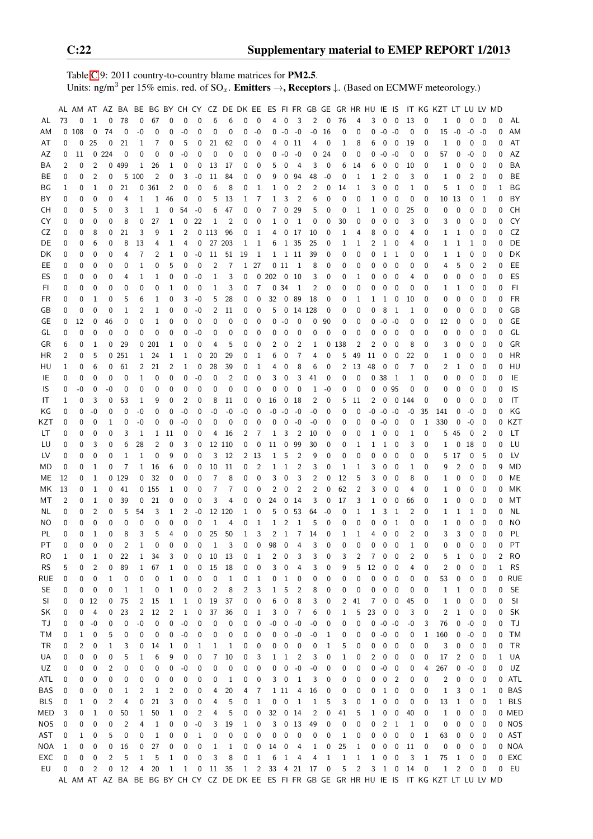Table [C.](#page-2-0)9: 2011 country-to-country blame matrices for PM2.5. Units: ng/m<sup>3</sup> per 15% emis. red. of  $SO_x$ . **Emitters →, Receptors**  $\downarrow$ . (Based on ECMWF meteorology.)

|            |                |             |                |                |             |              |                |                |              |                   |              |                |                         |                |                |                          |                |              |              |              | AL AM AT AZ BA BE BG BY CH CY CZ DE DK EE ES FI FR GB GE GR HR HU IE IS |              |              |                         |                |                  | IT KG KZT LT LU LV MD                                                                         |                |              |                          |              |           |
|------------|----------------|-------------|----------------|----------------|-------------|--------------|----------------|----------------|--------------|-------------------|--------------|----------------|-------------------------|----------------|----------------|--------------------------|----------------|--------------|--------------|--------------|-------------------------------------------------------------------------|--------------|--------------|-------------------------|----------------|------------------|-----------------------------------------------------------------------------------------------|----------------|--------------|--------------------------|--------------|-----------|
| AL         | 73             | 0           | 1              | 0              | 78          | 0            | 67             | 0              | 0            | 0                 | 6            | 6              | 0                       | 0              | 4              | 0                        | 3              | 2            | $\mathbf 0$  | 76           | 4                                                                       | 3            | 0            | 0                       | 13             | 0                | 1                                                                                             | 0              | 0            | 0                        | 0            | AL        |
| AM         |                | 0108        | 0              | 74             | $\mathbf 0$ | -0           | 0              | 0              | -0           | 0                 | 0            | 0              | 0                       | $-0$           | 0              | $-0$                     | $-0$           | -0           | 16           | 0            | 0                                                                       | 0            | $-0 -0$      |                         | 0              | 0                | 15                                                                                            | -0             | $-0$         | $-0$                     | 0            | AM        |
| AT         | 0              | 0           | 25             | 0              | 21          | 1            | 7              | 0              | 5            | 0                 | 21           | 62             | 0                       | 0              |                | 0                        | 11             | 4            | 0            | 1            | 8                                                                       | 6            | 0            | 0                       | 19             | 0                | 1                                                                                             | 0              | $\mathbf 0$  | $\overline{\mathbf{0}}$  | 0            | AT        |
| AZ         | 0              | 11          |                | 0.224          | 0           | 0            | 0              | 0              | -0           | 0                 | 0            | 0              | 0                       | 0              | 0              | $-0$                     | $-0$           | 0            | 24           | 0            | 0                                                                       | 0            | $-0$         | -0                      | 0              | 0                | 57                                                                                            | 0              | $-0$         | 0                        | 0            | AZ        |
| ΒA         | 2              | 0           | $\overline{2}$ | 0              | 499         | 1            | 26             | 1              | 0            | 0                 | 13           | 17             | 0                       | 0              | 5              | 0                        | 4              | 3            | 0            | 6            | 14                                                                      | 6            | 0            | 0                       | 10             | 0                | 1                                                                                             | 0              | 0            | 0                        | 0            | <b>BA</b> |
| BЕ         | 0              | 0           | $\overline{2}$ | $\mathbf 0$    |             | 5 100        | $\overline{2}$ | 0              | 3            | -0                | 11           | 84             | 0                       | 0              | 9              | 0                        | 94             | 48           | -0           | 0            | 1                                                                       | 1            | 2            | 0                       | 3              | 0                | 1                                                                                             | 0              | 2            | 0                        | 0            | BE        |
| ΒG         | 1              | 0           | 1              | 0              | 21          |              | 0 361          | 2              | 0            | 0                 | 6            | 8              | 0                       | 1              | 1              | 0                        | $\overline{2}$ | 2            | 0            | 14           | 1                                                                       | 3            | 0            | 0                       | 1              | 0                | 5                                                                                             | 1              | 0            | 0                        | 1            | ΒG        |
| BY         | 0              | 0           | 0              | 0              | 4           | 1            | 1              | 46             | 0            | 0                 | 5            | 13             | 1                       | 7              | 1              | 3                        | $\overline{2}$ | 6            | 0            | 0            | 0                                                                       | 1            | 0            | 0                       | 0              | 0                |                                                                                               | 10 13          | 0            | -1                       | 0            | BY        |
| СH         | 0              | 0           | 5              | 0              | 3           | 1            | 1              | 0              | 54           | $-0$              | 6            | 47             | 0                       | 0              | 7              | $\mathbf 0$              | 29             | 5            | 0            | 0            | 1                                                                       | 1            | 0            | 0                       | 25             | 0                | 0                                                                                             | 0              | 0            | 0                        | 0            | <b>CH</b> |
| CY         | 0              | 0           | 0              | 0              | 8           | 0            | 27             | 1              | 0            | 22                | 1            | $\overline{2}$ | 0                       | 0              | 1              | 0                        | $\overline{1}$ | 0            | 0            | 30           | 0                                                                       | 0            | 0            | 0                       | 3              | 0                | 3                                                                                             | 0              | 0            | 0                        | 0            | CY        |
| CZ         | 0              | 0           | 8              | 0              | 21          | 3            | 9              | 1              | 2            |                   | 0 1 1 3      | 96             | 0                       | $\mathbf{1}$   | 4              | $\mathbf 0$              | 17             | 10           | 0            | 1            | 4                                                                       | 8            | 0            | 0                       | 4              | 0                | 1                                                                                             | 1              | 0            | 0                        | 0            | CZ        |
| DE         | 0              | 0           | 6              | 0              | 8           | 13           | 4              | 1              | 4            | 0                 | 27           | 203            | 1                       | 1              | 6              |                          | 1 35           | 25           | 0            | 1            | 1                                                                       | 2            | 1            | 0                       | 4              | 0                | 1                                                                                             | 1              | 1            | 0                        | 0            | DE        |
| DK         | 0              | 0           | 0              | 0              | 4           | 7            | 2              | 1              | 0            | $-0$              | 11           | 51             | 19                      | 1              | 1              | $\,$ 1 $\,$              | 11             | 39           | 0            | 0            | 0                                                                       | 0            | 1            | 1                       | 0              | 0                | 1                                                                                             | 1              | 0            | $\mathbf 0$              | 0            | DK        |
| EE         | 0              | 0           | 0              | 0              | 0           | 1            | 0              | 5              | 0            | 0                 | 2            | 7              |                         | 1 27           |                | 011                      | $\mathbf 1$    | 8            | 0            | 0            | 0                                                                       | 0            | 0            | 0                       | 0              | 0                | 4                                                                                             | 5              | 0            | $\overline{2}$           | 0            | EE        |
| ES         | 0              | 0           | 0              | 0              | 4           | 1            | 1              | 0              | 0            | $-0$              | 1            | 3              | 0                       |                | 0202           | $\overline{\phantom{0}}$ | -10            | 3            | 0            | 0            | 1                                                                       | 0            | 0            | 0                       | 4              | 0                | 0                                                                                             | 0              | $\mathbf{0}$ | 0                        | 0            | ES        |
| FI         | 0              | 0           | 0              | 0              | 0           | 0            | 0              | 1              | 0            | 0                 | $\mathbf{1}$ | 3              | 0                       | $\overline{7}$ |                | 0.34                     | $\overline{1}$ | 2            | 0            | 0            | 0                                                                       | 0            | 0            | $\mathbf 0$             | 0              | 0                | 1                                                                                             | 1              | 0            | 0                        | 0            | FI        |
| FR         | 0              | 0           | 1              | 0              | 5           | 6            | 1              | 0              | 3            | -0                | 5            | 28             | 0                       | 0              | 32             | $\overline{0}$           | 89             | 18           | 0            | 0            | 1                                                                       | 1            | $\mathbf{1}$ | 0                       | 10             | 0                | 0                                                                                             | 0              | 0            | 0                        | 0            | <b>FR</b> |
| GB         | 0              | 0           | 0              | 0              | 1           | 2            | 1              | 0              | 0            | -0                | 2            | 11             | 0                       | 0              | 5              | $\overline{\mathbf{0}}$  | 14 128         |              | 0            | 0            | 0                                                                       | 0            | 8            | $\overline{1}$          | 1              | 0                | 0                                                                                             | 0              | 0            | 0                        | 0            | GB        |
| GE         | 0              | 12          | 0              | 46             | 0           | 0            | 1              | 0              | 0            | 0                 | 0            | $\mathbf 0$    | 0                       | 0              | 0              | $-0$                     | 0              | 0            | 90           | 0            | 0                                                                       | 0            | $-0$         | -0                      | 0              | 0                | 12                                                                                            | 0              | 0            | 0                        | 0            | GE        |
| GL         | 0              | 0           | 0              | 0              | 0           | 0            | 0              | 0              | 0            | -0                | 0            | 0              | 0                       | 0              | 0              | 0                        | 0              | 0            | 0            | 0            | 0                                                                       | 0            | 0            | 0                       | 0              | 0                | 0                                                                                             | 0              | 0            | 0                        | $\Omega$     | GL        |
| GR         | 6              | 0           | 1              | 0              | 29          |              | 0201           | 1              | 0            | $\mathbf{0}$      | 4            | 5              | 0                       | 0              | 2              | 0                        | $\overline{2}$ | 1            |              | 0 138        | 2                                                                       | 2            | 0            | 0                       | 8              | 0                | 3                                                                                             | 0              | $\mathbf{0}$ | $\mathbf 0$              | 0            | GR        |
| HR         | 2              | 0           | 5              |                | 0251        | $\mathbf{1}$ | 24             | 1              | 1            | 0                 | 20           | 29             | 0                       | 1              | 6              | 0                        | 7              | 4            | 0            | 5            | 49                                                                      | 11           | 0            | 0                       | 22             | 0                | 1                                                                                             | 0              | 0            | 0                        | 0            | HR        |
| HU         | 1              | 0           | 6              | 0              | 61          | 2            | 21             | 2              | 1            | 0                 | 28           | 39             | 0                       | 1              | 4              | 0                        | 8              | 6            | 0            | 2            | 13                                                                      | 48           | 0            | 0                       | 7              | 0                | 2                                                                                             | 1              | 0            | 0                        | 0            | HU        |
| IE         | 0              | 0           | 0              | 0              | 0           | 1            | 0              | 0              | 0            | $-0$              | 0            | $\overline{2}$ | 0                       | 0              | 3              | 0                        | 3              | 41           | 0            | 0            | 0                                                                       | 0            | 38           | - 1                     | 1              | 0                | 0                                                                                             | 0              | 0            | 0                        | 0            | IE        |
| IS         | 0              | -0          | 0              | -0             | 0           | 0            | 0              | 0              | 0            | 0                 | 0            | 0              | 0                       | 0              | 0              | 0                        | 0              | 1            | -0           | 0            | 0                                                                       | 0            |              | 0 95                    | 0              | 0                | 0                                                                                             | 0              | 0            | 0                        | 0            | IS        |
| IT         | 1              | 0           | 3              | 0              | 53          | 1            | 9              | 0              | 2            | 0                 | 8            | 11             | 0                       | 0              | 16             | 0                        | 18             | 2            | 0            | 5            | 11                                                                      | 2            | 0            | 0 144                   |                | 0                | 0                                                                                             | 0              | 0            | 0                        | 0            | IT        |
| ΚG         | 0              | 0           | $-0$           | 0              | $\mathbf 0$ | -0           | 0              | 0              | -0           | 0                 | $-0$         | $-0$           | -0                      | 0              | -0             | $-0$                     | -0             | -0           | 0            | 0            | 0                                                                       | -0           | $-0 - 0$     |                         | -0             | 35               | 141                                                                                           | 0              | -0           | 0                        | $\Omega$     | KG        |
| KZT        | 0              | 0           | 0              | 1              | 0           | -0           | 0              | 0              | -0           | 0                 | 0            | 0              | 0                       | 0              | 0              | 0                        | -0             | $-0$         | 0            | 0            | 0                                                                       | 0            | $-0$         | 0                       | 0              | 1                | 330                                                                                           | 0              | -0           | 0                        | 0            | KZT       |
| LТ         | 0              | 0           | $\mathbf 0$    | 0              | 3           | 1            | 1              | 11             | 0            | 0                 | 4            | 16             | 2                       | 7              | 1              | 3                        | $\overline{2}$ | 10           | 0            | 0            | 0                                                                       | 1            | 0            | 0                       | 1              | 0                | 5                                                                                             | 45             | 0            | $\overline{2}$           | 0            | LT        |
| LU         | 0              | 0           | 3              | 0              | 6           | 28           | 2              | 0              | 3            | 0                 |              | 12 110         | 0                       | $\mathbf 0$    | 11             | $\overline{\mathbf{0}}$  | 99             | 30           | 0            | 0            | 1                                                                       | 1            | 1            | 0                       | 3              | 0                | 1                                                                                             | 0              | 18           | 0                        | 0            | LU        |
| LV         | 0              | 0           | 0              | $\mathbf{0}$   | 1           | 1            | 0              | 9              | 0            | 0                 | 3            | 12             |                         | 2 13           | $\mathbf{1}$   | 5                        | $\overline{2}$ | 9            | 0            | 0            | 0                                                                       | 0            | 0            | 0                       | 0              | 0                | 5                                                                                             | -17            | 0            | -5                       | 0            | LV        |
| MD         | 0              | 0           | 1              | 0              | 7           | 1            | 16             | 6              | 0            | 0                 | 10           | 11             | 0                       | $\overline{2}$ | 1              | $\mathbf{1}$             | $\overline{2}$ | 3            | 0            | 1            | 1                                                                       | 3            | 0            | 0                       | 1              | 0                | 9                                                                                             | 2              | 0            | 0                        | 9            | MD        |
| ME         | 12             | 0           | 1              |                | 0129        | 0            | 32             | 0              | 0            | 0                 | 7            | 8              | 0                       | 0              | 3              | $\pmb{0}$                | 3              | 2            | 0            | 12           | 5                                                                       | 3            | 0            | 0                       | 8              | 0                | 1                                                                                             | 0              | 0            | 0                        | 0            | ME        |
| МK         | 13             | 0           | 1              | 0              | 41          |              | 0 155          | 1              | 0            | 0                 | 7            | 7              | 0                       | 0              | 2              | 0                        | $\overline{2}$ | 2            | 0            | 62           | 2                                                                       | 3            | 0            | 0                       | 4              | 0                | 1                                                                                             | 0              | 0            | 0                        | 0            | MK        |
| МT         | $\overline{2}$ | 0           | 1              | 0              | 39          | 0            | 21             | 0              | 0            | 0                 | 3            | 4              | 0                       | 0              | 24             | 0                        | 14             | 3            | 0            | 17           | 3                                                                       | 1            | 0            | 0                       | 66             | 0                | 1                                                                                             | 0              | 0            | 0                        | 0            | МT        |
| NL         | 0              | 0           | $\overline{2}$ | 0              | 5           | 54           | 3              | 1              | 2            | -0                |              | 12 120         | 1                       | 0              | 5              | 0                        | 53             | 64           | -0           | 0            | 1                                                                       | 1            | 3            | 1                       | $\overline{2}$ | 0                | 1                                                                                             | 1              | 1            | 0                        | 0            | <b>NL</b> |
| ΝO         | 0              | 0           | 0              | 0              | 0           | 0            | 0              | 0              | $\mathbf 0$  | 0                 | 1            | 4              | 0                       | 1              | 1              | 2                        | $\mathbf 1$    | 5            | 0            | 0            | 0                                                                       | 0            | 0            | 1                       | 0              | 0                | 1                                                                                             | 0              | 0            | 0                        | 0            | ΝO        |
| PL         | 0              | $\mathbf 0$ | $\mathbf{1}$   | 0              | 8           | 3            | 5              | 4              | $\mathbf{0}$ | $\mathbf 0$       | 25           | 50             | $\mathbf{1}$            | 3              | $\overline{c}$ | 1                        | $\overline{7}$ | 14           | 0            | $\mathbf{1}$ | 1                                                                       | 4            | 0            | $\mathbf 0$             | $\overline{2}$ | $\mathbf 0$      | 3                                                                                             | 3              | 0            | $\overline{0}$           | $\mathbf 0$  | PL        |
| PT         | $\Omega$       | $\Omega$    | $\Omega$       | 0              | 2           | $\mathbf{1}$ | $\mathbf 0$    | 0              | $\mathbf 0$  | $\mathbf 0$       | 1            | 3              | 0                       | $\pmb{0}$      | 98             | $\overline{\phantom{0}}$ | $\overline{4}$ | 3            | 0            | $\mathbf 0$  | 0                                                                       | 0            | 0            | $\mathbf 0$             | 1              | 0                | 0                                                                                             | $\mathbf 0$    | $\mathbf 0$  | $\overline{0}$           | $\Omega$     | PT        |
| RO.        | 1              | 0           | 1              | 0              | 22          | 1            | 34             | 3              | 0            | 0                 | 10           | 13             | 0                       | 1              | 2              | 0                        | 3              | 3            | 0            | 3            | 2                                                                       | 7            | 0            | 0                       | 2              | 0                | 5                                                                                             | 1              | 0            | 0                        | 2            | <b>RO</b> |
| <b>RS</b>  | 5              | 0           | 2              | 0              | 89          | $\mathbf{1}$ | 67             | 1              | 0            | 0                 | 15           | 18             | 0                       | 0              | 3              | 0                        | 4              | 3            | 0            | 9            | 5                                                                       | 12           | 0            | 0                       | 4              | 0                | 2                                                                                             | 0              | 0            | 0                        | 1            | <b>RS</b> |
| RUE        | 0              | 0           | 0              | $\mathbf{1}$   | 0           | 0            | 0              | 1              | 0            | 0                 | 0            | 1              | 0                       | 1              | 0              | $\mathbf{1}$             | 0              | 0            | 0            | 0            | 0                                                                       | 0            | 0            | 0                       | 0              | 0                | 53                                                                                            | 0              | 0            | $\overline{\mathbf{0}}$  |              | 0 RUE     |
| SE.        | 0              | 0           | 0              | 0              | 1           | 1            | 0              | 1              | 0            | 0                 | 2            | 8              | $\overline{\mathbf{c}}$ | 3              | $\mathbf 1$    | 5                        | 2              | 8            | 0            | 0            | 0                                                                       | 0            | 0            | 0                       | 0              | 0                | $\mathbf 1$                                                                                   | $\mathbf{1}$   | 0            | 0                        | 0            | <b>SE</b> |
| SI         | 0              | 0           | 12             | 0              | 75          | 2            | 15             | 1              | $\mathbf{1}$ | 0                 | 19           | 37             | 0                       | $\pmb{0}$      | 6              | $\pmb{0}$                | 8              | 3            | 0            | 2            | 41                                                                      | 7            | 0            | 0                       | 45             | 0                | $\mathbf{1}$                                                                                  | $\pmb{0}$      | 0            | $\boldsymbol{0}$         | 0            | SI        |
| SK         | 0              | 0           | 4              | 0              | 23          | 2            | 12             | $\overline{2}$ | $\mathbf{1}$ | 0                 | 37           | 36             | 0                       | 1              | 3              | 0                        | 7              | 6            | 0            | $\mathbf{1}$ | 5                                                                       | 23           | 0            | 0                       | 3              | 0                | $\overline{c}$                                                                                | $\mathbf{1}$   | 0            | 0                        | 0            | SK        |
| ТJ         | 0              | 0           | $-0$           | 0              | $\mathbf 0$ | -0           | 0              | 0              | $-0$         | $\pmb{0}$         | 0            | 0              | 0                       | 0              | $\mbox{-}0$    | $\overline{0}$           | $-0$           | $-0$         | 0            | 0            | 0                                                                       |              | $0 - 0 - 0$  |                         | -0             | 3                | 76                                                                                            | $\pmb{0}$      | $-0$         | $\overline{\phantom{0}}$ | 0            | TJ        |
| ТM         | 0              | 1           | 0              | 5              | 0           | 0            | 0              | 0              | -0           | 0                 | 0            | 0              | 0                       | 0              | 0              | 0                        | $-0$           | -0           | 1            | 0            | 0                                                                       | 0            | $-0$         | 0                       | 0              | 1                | 160                                                                                           | 0              | $-0$         | $\overline{\mathbf{0}}$  | 0            | <b>TM</b> |
| TR         | 0              | 2           | 0              | $\mathbf{1}$   | 3           | 0            | 14             | 1              | 0            | $\mathbf 1$       | 1            | 1              | 0                       | 0              | 0              | 0                        | 0              | 0            | 1            | 5            | 0                                                                       | 0            | 0            | 0                       | 0              | 0                | 3                                                                                             | 0              | 0            | 0                        | 0            | <b>TR</b> |
| UA         | 0              | 0           | 0              | 0              | 5           | 1            | 6              | 9              | 0            | 0                 | 7            | 10             | 0                       | 3              | 1              | 1                        | 2              | 3            | 0            | 1            | 0                                                                       | 2            | 0            | 0                       | 0              | 0                | 17                                                                                            | 2              | 0            | 0                        | $\mathbf{1}$ | UA        |
| UZ         | 0              | 0           | 0              | 2              | 0           | 0            | 0              | 0              | -0           | 0                 | 0            | 0              | 0                       | 0              | 0              | $\overline{\mathbf{0}}$  | -0             | -0           | 0            | 0            | 0                                                                       | 0            | $-0$         | 0                       | 0              | 4                | 267                                                                                           | 0              | -0           | $\overline{0}$           | 0            | UZ        |
| ATL        | 0              | 0           | 0              | 0              | 0           | 0            | 0              | 0              | 0            | 0                 | 0            | 1              | 0                       | 0              |                | $3 \quad 0$              | $\mathbf{1}$   | 3            | 0            | 0            | 0                                                                       | 0            | 0            | $\overline{2}$          | 0              | 0                | $\overline{c}$                                                                                | 0              | 0            | 0                        |              | 0 ATL     |
| BAS        | 0              | 0           | 0              | 0              | 1           | 2            | 1              | 2              | 0            | 0                 | 4            | 20             | 4                       | 7              |                | 1 11                     | 4              | 16           | 0            | 0            | 0                                                                       | 0            | $\mathbf{1}$ | 0                       | 0              | 0                | $\mathbf{1}$                                                                                  | 3              | 0            | -1                       |              | 0 BAS     |
| <b>BLS</b> | 0              | 1           | 0              | $\overline{2}$ | 4           | 0            | 21             | 3              | 0            | $\pmb{0}$         | 4            | 5              | 0                       | $\mathbf{1}$   | 0              | $\overline{\mathbf{0}}$  | $\mathbf{1}$   | $\mathbf{1}$ | 5            | 3            | 0                                                                       | $\mathbf 1$  | 0            | 0                       | 0              | 0                | 13                                                                                            | $\mathbf{1}$   | 0            | $\overline{0}$           |              | 1 BLS     |
| MED        | 3              | 0           | $\mathbf{1}$   | 0              | 50          | $\mathbf{1}$ | 50             | $\mathbf{1}$   | 0            | $\overline{c}$    | 4            | 5              | 0                       | 0              | 32             | $\overline{\phantom{0}}$ | 14             | 2            | 0            | 41           | 5                                                                       | $\mathbf{1}$ | 0            | $\boldsymbol{0}$        | 40             | $\boldsymbol{0}$ | $\mathbf{1}$                                                                                  | 0              | 0            | $\overline{0}$           |              | 0 MED     |
| NOS        | 0              | 0           | 0              | 0              | 2           | 4            | 1              | 0              | 0            | $\textnormal{-}0$ | 3            | 19             | $\mathbf{1}$            | 0              |                |                          | 3013           | 49           | 0            | 0            | 0                                                                       | 0            |              | 2 <sub>1</sub>          | 1              | 0                | 0                                                                                             | 0              | 0            | 0                        |              | 0 NOS     |
| AST        | 0              | 1           | 0              | 5              | 0           | 0            | $\mathbf{1}$   | 0              | 0            | $\mathbf{1}$      | 0            | 0              | 0                       | 0              | 0              | 0                        | 0              | 0            | 0            | $\mathbf{1}$ | 0                                                                       | 0            | $\pmb{0}$    | $\pmb{0}$               | 0              | 1                | 63                                                                                            | 0              | 0            | 0                        |              | 0 AST     |
| NOA        | 1              | 0           | 0              | 0              | 16          | 0            | 27             | 0              | 0            | 0                 | $\mathbf{1}$ | 1              | 0                       | 0              | 14             | 0                        | 4              | 1            | 0            | 25           | 1                                                                       | 0            | 0            | $\boldsymbol{0}$        | 11             | 0                | 0                                                                                             | 0              | 0            | $\overline{\mathbf{0}}$  |              | 0 NOA     |
| EXC        | 0              | 0           | 0              | 2              | 5           | 1            | 5              | 1              | 0            | 0                 | 3            | 8              | 0                       | $\mathbf{1}$   | 6              | $\mathbf{1}$             | 4              | 4            | $\mathbf{1}$ | $\mathbf{1}$ | $\mathbf{1}$                                                            | $\mathbf{1}$ | 0            | $\boldsymbol{0}$        | 3              | 1                | 75                                                                                            | $\mathbf 1$    | 0            | $\overline{\mathbf{0}}$  |              | 0 EXC     |
| EU         | 0              | 0           | 2              | $\pmb{0}$      | 12          | 4            | 20             | $\mathbf{1}$   | $\mathbf{1}$ | $\boldsymbol{0}$  | $11\,$       | 35             |                         |                | 1 2 33 4 21 17 |                          |                |              | 0            | 5            | $\overline{c}$                                                          | 3            | $1\,$        | $\overline{\mathbf{0}}$ | 14             | 0                | $\mathbf 1$                                                                                   | $\overline{c}$ | 0            | 0                        | 0            | EU        |
|            |                |             |                |                |             |              |                |                |              |                   |              |                |                         |                |                |                          |                |              |              |              |                                                                         |              |              |                         |                |                  | AL AM AT AZ BA BE BG BY CH CY CZ DE DK EE ES FI FR GB GE GR HR HU IE IS IT KG KZT LT LU LV MD |                |              |                          |              |           |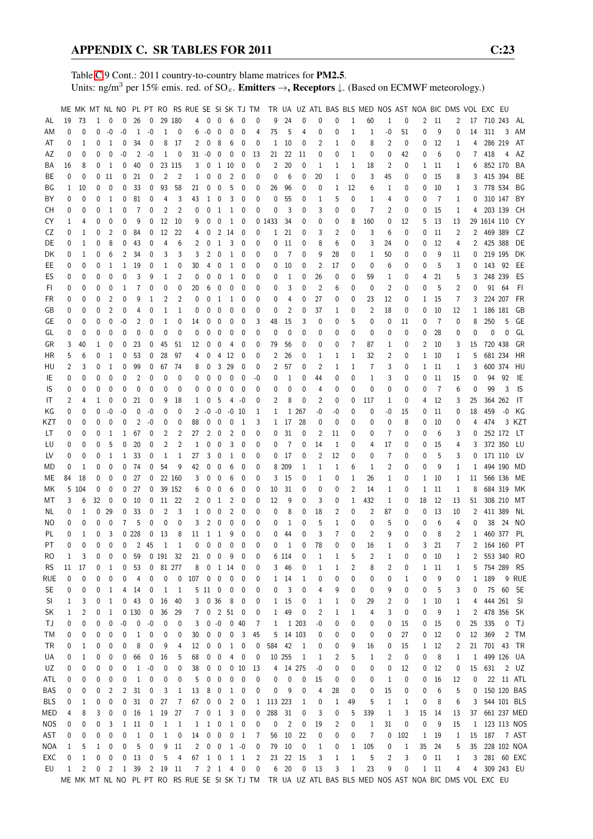Table [C.](#page-2-0)9 Cont.: 2011 country-to-country blame matrices for PM2.5. Units: ng/m<sup>3</sup> per 15% emis. red. of  $SO_x$ . **Emitters**  $\rightarrow$ **, Receptors**  $\downarrow$ . (Based on ECMWF meteorology.)

|            |              |       |          |                |          |                |                   |                |                | ME MK MT NL NO PL PT RO RS RUE SE SI SK TJ TM |                  |                         |                          |                          |                |              |                |                          |                |                |              | TR UA UZ ATL BAS BLS MED NOS AST NOA BIC DMS VOL EXC EU                                               |                |             |              |      |                |                |               |            |              |
|------------|--------------|-------|----------|----------------|----------|----------------|-------------------|----------------|----------------|-----------------------------------------------|------------------|-------------------------|--------------------------|--------------------------|----------------|--------------|----------------|--------------------------|----------------|----------------|--------------|-------------------------------------------------------------------------------------------------------|----------------|-------------|--------------|------|----------------|----------------|---------------|------------|--------------|
|            |              |       |          |                |          |                |                   |                |                |                                               |                  |                         |                          |                          |                |              |                |                          |                |                |              |                                                                                                       |                |             |              |      |                |                |               |            |              |
| AL         | 19           | 73    | 1        | 0              | 0        | 26             | $\mathbf 0$       |                | 29 180         | 4                                             | $\mathbf{0}$     | $\mathbf{0}$            | 6                        | $\mathbf{0}$             | 0              | 9            | 24             | 0                        | 0              | 0              | $\mathbf{1}$ | 60                                                                                                    | 1              | 0           | 2            | 11   | 2              | 17             | 710 243       |            | AL           |
| AM         | 0            | 0     | 0        | -0             | -0       | 1              | $-0$              | 1              | 0              | 6                                             | $-0$             | 0                       | 0                        | 0                        | 4              | 75           | 5              | 4                        | 0              | 0              | 1            | 1                                                                                                     | -0             | 51          | 0            | 9    | 0              | 14             | 311           | 3          | AM           |
| AT         | 0            | 1     | 0        | 1              | 0        | 34             | 0                 | 8              | 17             | 2                                             | 0                | 8                       | 6                        | 0                        | 0              | 1            | 10             | 0                        | 2              | 1              | 0            | 8                                                                                                     | 2              | 0           | 0            | 12   | 1              | 4              |               | 286 219    | AT           |
| AZ         | 0            | 0     | 0        | 0              | -0       | 2              | $-0$              | 1              | 0              | 31                                            | $-0$             | 0                       | 0                        | 0                        | 13             | 21           | 22             | 11                       | 0              | 0              | 1            | 0                                                                                                     | 0              | 42          | 0            | 6    | 0              | 7              | 418           | 4          | AZ           |
| ΒA         | 16           | 8     | 0        | 1              | 0        | 40             | 0                 |                | 23 115         | 3                                             | 0                | 1                       | -10                      | 0                        | 0              | 2            | 20             | 0                        | 1              | 1              | 1            | 18                                                                                                    | 2              | 0           | $\mathbf{1}$ | 11   | 1              | 6              |               | 852 170    | BA           |
| ВE         | 0            | 0     | 0        | 11             | 0        | 21             | 0                 | 2              | 2              | 1                                             | 0                | 0                       | 2                        | 0                        | 0              | 0            | 6              | 0                        | 20             | 1              | 0            | 3                                                                                                     | 45             |             | 0            | 15   |                | 3              |               | 415 394    | BE           |
|            |              |       |          |                |          |                |                   |                |                |                                               |                  |                         |                          |                          |                |              |                |                          |                |                |              |                                                                                                       |                | 0           |              |      | 8              |                |               |            |              |
| ΒG         | 1            | 10    | 0        | 0              | 0        | 33             | 0                 | 93             | 58             | 21                                            | 0                | 0                       | 5                        | 0                        | 0              | 26           | 96             | 0                        | 0              | 1              | 12           | 6                                                                                                     | 1              | 0           | 0            | 10   | 1              | 3              | 778 534       |            | ΒG           |
| ΒY         | 0            | 0     | 0        | $\,1\,$        | 0        | 81             | 0                 | 4              | 3              | 43                                            | 1                | 0                       | 3                        | 0                        | 0              | 0            | 55             | 0                        | 1              | 5              | 0            | 1                                                                                                     | 4              | 0           | 0            | 7    | 1              | 0              |               | 310 147    | BY           |
| CН         | 0            | 0     | 0        | 1              | 0        | $\overline{7}$ | 0                 | 2              | 2              | 0                                             | 0                | 1                       | $\mathbf{1}$             | 0                        | 0              | 0            | 3              | 0                        | 3              | 0              | 0            | 7                                                                                                     | 2              | 0           | 0            | 15   | 1              | 4              |               | 203 139    | CН           |
| CY         | 1            | 4     | 0        | 0              | 0        | 9              | 0                 | 12             | 10             | 9                                             | 0                | 0                       | $\mathbf{1}$             | 0                        |                | 0 1433       | 34             | 0                        | 0              | 0              | 8            | 160                                                                                                   | 0              | 12          | 5            | 13   | 13             |                | 29 1614 110   |            | CY           |
| CZ         | 0            | 1     | 0        | 2              | 0        | 84             | 0                 | 12             | 22             | 4                                             | 0                | 2                       | 14                       | 0                        | 0              | 1            | 21             | 0                        | 3              | 2              | 0            | 3                                                                                                     | 6              | 0           | 0            | 11   | 2              | $\overline{2}$ | 469 389       |            | CZ           |
|            |              |       |          |                |          |                |                   |                |                |                                               |                  |                         |                          |                          |                |              |                |                          |                |                |              |                                                                                                       |                |             |              |      |                |                |               | 425 388    |              |
| DE         | 0            | 1     | 0        | 8              | 0        | 43             | 0                 | 4              | 6              | 2                                             | 0                | $\mathbf{1}$            | 3                        | 0                        | 0              | 0            | 11             | 0                        | 8              | 6              | 0            | 3                                                                                                     | 24             | 0           | 0            | 12   | 4              | 2              |               |            | DE           |
| DK         | 0            | 1     | 0        | 6              | 2        | 34             | 0                 | 3              | 3              | 3                                             | 2                | 0                       | 1                        | 0                        | 0              | 0            | 7              | 0                        | 9              | 28             | 0            | 1                                                                                                     | 50             | 0           | 0            | 9    | 11             | 0              |               | 219 195    | DK           |
| EE         | 0            | 0     | 0        | 1              | 1        | 19             | 0                 | 1              | 0              | 30                                            | 4                | 0                       | 1                        | 0                        | 0              | 0            | 10             | 0                        | 2              | 17             | 0            | 0                                                                                                     | 6              | 0           | 0            | 5    | 3              | 0              |               | 143 92     | EE           |
| ES         | 0            | 0     | 0        | 0              | 0        | 3              | 9                 | $\mathbf{1}$   | $\overline{2}$ | 0                                             | 0                | 0                       | 1                        | 0                        | 0              | 0            | 1              | 0                        | 26             | 0              | 0            | 59                                                                                                    | 1              | 0           | 4            | 21   | 5              | 3              |               | 248 239    | ES           |
| FI.        | 0            | 0     | 0        | 0              | 1        | 7              | 0                 | 0              | 0              | 20                                            | 6                | 0                       | 0                        | 0                        | 0              | 0            | 3              | 0                        | $\overline{2}$ | 6              | 0            | 0                                                                                                     | $\overline{2}$ | 0           | 0            | 5    | 2              | 0              |               | 91 64      | FI.          |
| FR         | 0            | 0     | 0        | 2              | 0        | 9              | 1                 | 2              | 2              | 0                                             | 0                | 1                       | 1                        | 0                        | 0              | 0            | 4              | 0                        | 27             | 0              | 0            | 23                                                                                                    | 12             | 0           | 1            | 15   | 7              | 3              |               | 224 207    | FR           |
|            |              |       |          |                |          |                |                   |                |                |                                               |                  |                         |                          |                          |                |              |                |                          |                |                |              |                                                                                                       |                |             |              |      |                |                |               |            |              |
| GB         | 0            | 0     | 0        | 2              | 0        | 4              | 0                 | 1              | 1              | 0                                             | 0                | 0                       | 0                        | 0                        | 0              | 0            | 2              | 0                        | 37             | 1              | 0            | 2                                                                                                     | 18             | 0           | 0            | 10   | 12             | 1              | 186 181       |            | GB           |
| GE         | 0            | 0     | 0        | 0              | -0       | 2              | 0                 | $\mathbf{1}$   | 0              | 14                                            | 0                | 0                       | 0                        | 0                        | 3              | 48           | 15             | 3                        | 0              | 0              | 5            | 0                                                                                                     | 0              | 11          | 0            | 7    | 0              | 8              | 250           | 5          | GE           |
| GL         | 0            | 0     | 0        | 0              | 0        | 0              | 0                 | 0              | $\mathbf 0$    | 0                                             | 0                | 0                       | 0                        | 0                        | 0              | 0            | 0              | 0                        | 0              | 0              | 0            | 0                                                                                                     | 0              | 0           | 0            | 28   | 0              | 0              | 0             | 0          | GL           |
| GR         | 3            | 40    | 1        | 0              | 0        | 23             | 0                 | 45             | 51             | 12                                            | 0                | 0                       | 4                        | 0                        | 0              | 79           | 56             | 0                        | 0              | 0              | 7            | 87                                                                                                    | 1              | 0           | 2            | 10   | 3              | 15             |               | 720 438    | GR           |
| HR         | 5            | 6     | 0        | 1              | 0        | 53             | 0                 | 28             | 97             | 4                                             | 0                | 4                       | 12                       | 0                        | 0              | 2            | 26             | 0                        | 1              | 1              | 1            | 32                                                                                                    | 2              | 0           | 1            | 10   | 1              | 5              |               | 681 234    | HR           |
| HU         | 2            | 3     | 0        | 1              | 0        | 99             | 0                 | 67             | 74             | 8                                             | 0                | 3                       | 29                       | 0                        | 0              | 2            | 57             | 0                        | 2              | 1              | 1            | 7                                                                                                     | 3              | 0           | 1            | 11   | 1              | 3              |               | 600 374    | HU           |
|            |              |       |          |                |          |                |                   |                |                |                                               |                  |                         |                          |                          |                |              |                |                          |                |                |              |                                                                                                       |                |             |              |      |                |                |               |            |              |
| IE         | 0            | 0     | 0        | 0              | 0        | 2              | 0                 | 0              | 0              | 0                                             | 0                | 0                       | 0                        | 0                        | -0             | 0            | 1              | 0                        | 44             | 0              | 0            | 1                                                                                                     | 3              | 0           | 0            | 11   | 15             | 0              | 94            | 92         | IE           |
| IS         | 0            | 0     | 0        | 0              | 0        | 0              | 0                 | 0              | 0              | 0                                             | 0                | 0                       | 0                        | 0                        | 0              | 0            | 0              | 0                        | 4              | 0              | 0            | 0                                                                                                     | 0              | 0           | 0            | 7    | 6              | 0              | 99            | 3          | IS           |
| IT         | 2            | 4     | 1        | 0              | 0        | 21             | 0                 | 9              | 18             | 1                                             | 0                | 5                       | 4                        | -0                       | 0              | 2            | 8              | 0                        | 2              | 0              | 0            | 117                                                                                                   | 1              | 0           | 4            | 12   | 3              | 25             |               | 364 262    | IT           |
| ΚG         | 0            | 0     | 0        | -0             | -0       | 0              | -0                | 0              | 0              | 2                                             | $-0 - 0$         |                         |                          | $-0$ 10                  | 1              | 1            |                | 1 267                    | -0             | -0             | 0            | 0                                                                                                     | -0             | 15          | 0            | 11   | 0              | 18             | 459           | $-0$       | КG           |
| KZT        | 0            | 0     | 0        | 0              | 0        | 2              | $-0$              | 0              | 0              | 88                                            | 0                | 0                       | 0                        | 1                        | 3              |              | 1 17           | 28                       | 0              | 0              | 0            | 0                                                                                                     | 0              | 8           | 0            | 10   | 0              | 4              | 474           |            | 3 KZT        |
| LT         | 0            | 0     | 0        | 1              | 1        | 67             | 0                 | 2              | 2              | 27                                            | 2                | 0                       | 2                        | 0                        | 0              | 0            | 31             | 0                        | 2              | 11             | 0            | 0                                                                                                     | 7              | 0           | 0            | 6    | 3              | 0              |               | 252 172    | LT           |
|            |              |       |          |                |          |                |                   |                |                |                                               |                  |                         |                          |                          |                |              |                |                          |                |                |              |                                                                                                       |                |             |              |      |                |                |               |            |              |
| LU         | 0            | 0     | 0        | 5              | 0        | 20             | 0                 | $\overline{2}$ | $\overline{2}$ | 1                                             | 0                | 0                       | 3                        | 0                        | 0              | 0            | 7              | 0                        | 14             | 1              | 0            | 4                                                                                                     | 17             | 0           | 0            | 15   | 4              | 3              |               | 372 350    | LU           |
| LV         | 0            | 0     | 0        | 1              | 1        | 33             | 0                 | 1              | $\mathbf{1}$   | 27                                            | 3                | 0                       | 1                        | 0                        | 0              | 0            | 17             | 0                        | 2              | 12             | 0            | 0                                                                                                     | 7              | 0           | 0            | 5    | 3              | 0              |               | 171 110    | LV           |
| MD         | 0            | 1     | 0        | 0              | 0        | 74             | 0                 | 54             | 9              | 42                                            | 0                | 0                       | 6                        | 0                        | 0              | 8            | 209            | 1                        | 1              | 1              | 6            | 1                                                                                                     | $\overline{2}$ | 0           | 0            | 9    | 1              | 1              |               | 494 190    | MD           |
| МE         | 84           | 18    | 0        | 0              | 0        | 27             | 0                 |                | 22 160         | 3                                             | 0                | 0                       | 6                        | 0                        | 0              | 3            | 15             | 0                        | 1              | 0              | 1            | 26                                                                                                    | 1              | 0           | $\mathbf{1}$ | 10   | 1              | 11             |               | 566 136    | МE           |
| МK         |              | 5 104 | 0        | 0              | 0        | 27             | 0                 |                | 39 152         | 6                                             | 0                | 0                       | 6                        | 0                        | 0              | 10           | 31             | 0                        | 0              | 0              | 2            | 14                                                                                                    | 1              | 0           | 1            | 11   | 1              | 8              |               | 684 319    | МK           |
| МT         | 3            | 6     | 32       | 0              | 0        | 10             | 0                 |                | 11 22          | 2                                             | 0                | 1                       | 2                        | 0                        | 0              | 12           | 9              | 0                        | 3              | 0              | 1            | 432                                                                                                   | 1              | 0           | 18           | 12   | 13             | 51             |               | 308 210    | МT           |
|            |              |       |          |                |          |                |                   |                |                |                                               |                  |                         |                          |                          |                |              |                |                          |                |                |              |                                                                                                       |                |             |              |      |                |                |               |            |              |
| ΝL         | 0            | 1     | 0        | 29             | 0        | 33             | 0                 | 2              | 3              | 1                                             | 0                | 0                       | 2                        | 0                        | 0              | 0            | 8              | 0                        | 18             | 2              | 0            | 2                                                                                                     | 87             | 0           | 0            | 13   | 10             | 2              |               | 411 389    | NL           |
| NO         | 0            | 0     | 0        | 0              | 7        | 5              | 0                 | 0              | $\mathbf 0$    | 3                                             | 2                | $\mathbf{0}$            | 0                        | 0                        | 0              | 0            | 1              | 0                        | 5              | 1              | 0            | 0                                                                                                     | 5              | 0           | 0            | 6    | 4              | 0              | 38            | 24         | NO.          |
| PL         | 0            | 1     | 0        | 3              |          | 0.228          | 0                 | 13             | 8              | 11                                            | 1                | 1                       | 9                        | 0                        | $\mathbf{0}$   | 0            | 44             | 0                        | 3              | $\overline{7}$ | 0            | $\overline{2}$                                                                                        | 9              | 0           | 0            | 8    | $\overline{2}$ | 1              | 460 377       |            | PL           |
| <b>PT</b>  | 0            | 0     | $\Omega$ | $\Omega$       | $\Omega$ | $\overline{2}$ | 45                | 1              | $\mathbf{1}$   | 0                                             | $\mathbf 0$      | $\mathbf 0$             | $\mathbf{0}$             | $\mathbf{0}$             | $\Omega$       | 0            | 1              | 0                        | 78             | 0              | 0            | 16                                                                                                    | $\mathbf{1}$   | 0           | 3            | 21   | $\overline{7}$ |                | 2 164 160     |            | PT           |
| RO         | 1            | 3     | 0        | 0              | 0        | 59             |                   | 0 191 32       |                | 21                                            | 0                | $\overline{\mathbf{0}}$ | - 9                      | 0                        | 0              |              | 6 114          | 0                        | 1              | 1              | 5            | $\overline{c}$                                                                                        | $\mathbf{1}$   | 0           | 0            | 10   | 1              | 2              |               | 553 340    | RO           |
|            | 11           |       |          |                |          |                |                   |                | 81 277         |                                               |                  |                         | 1 14                     |                          |                |              |                |                          |                |                |              |                                                                                                       |                |             |              |      |                | 5              | 754 289       |            | <b>RS</b>    |
| <b>RS</b>  |              | 17    | 0        | 1              | 0        | 53             | 0                 |                |                | 8                                             | $\boldsymbol{0}$ |                         |                          | 0                        | 0              | 3            | 46             | 0                        | 1              | 1              | 2            | 8                                                                                                     | 2              | 0           |              | 1 11 | 1              |                |               |            |              |
| <b>RUE</b> | 0            | 0     | 0        | 0              | 0        | 4              | 0                 | $\pmb{0}$      | 0              | 107                                           | 0                | $\pmb{0}$               | 0                        | 0                        | 0              |              | $1\quad 14$    | 1                        | 0              | 0              | 0            | 0                                                                                                     | 0              | $\mathbf 1$ | 0            | 9    | 0              | $\mathbf{1}$   | 189           |            | 9 RUE        |
| <b>SE</b>  | 0            | 0     | 0        | 1              | 4        | 14             | 0                 | $\mathbf{1}$   | $\overline{1}$ |                                               | 5 11 0           |                         | $\overline{\phantom{0}}$ | 0                        | 0              | 0            | 3              | 0                        | 4              | 9              | 0            | 0                                                                                                     | 9              | 0           | 0            | 5    | 3              | 0              |               | 75 60 SE   |              |
| SI         | 1            | 3     | 0        | 1              | 0        | 43             | 0                 | 16             | 40             |                                               | 3 0 36           |                         | 8                        | 0                        | 0              |              | 1 15           | 0                        | 1              | 1              | 0            | 29                                                                                                    | 2              | 0           | $\mathbf{1}$ | 10   | 1              | 4              |               | 444 261    | - SI         |
| SK         | 1            | 2     | 0        | 1              | 0        | 130            | $\boldsymbol{0}$  | 36             | 29             | 7                                             |                  |                         | $0 \t2 \t51 \t0$         |                          | 0              | $\mathbf{1}$ | 49             | 0                        | $\overline{c}$ | 1              | 1            | 4                                                                                                     | 3              | 0           | 0            | 9    | $\mathbf{1}$   | 2              |               | 478 356    | -SK          |
| ТJ         | 0            | 0     | 0        | 0              | -0       | 0              | $\textnormal{-}0$ | 0              | 0              | 3                                             |                  | $0 - 0$                 |                          | $0\quad 40$              | 7              | 1            |                | 1 203                    | $-0$           | 0              | 0            | 0                                                                                                     | 0              | 15          | 0            | 15   | 0              | 25             | 335           | 0          | TJ           |
|            |              |       |          |                |          |                |                   |                |                |                                               |                  |                         |                          |                          |                | 5            |                | 14 103                   |                |                | 0            |                                                                                                       | 0              |             |              |      |                |                |               |            |              |
| ТM         | 0            | 0     | 0        | 0              | 0        | $\mathbf{1}$   | 0                 | 0              | 0              | 30                                            | 0                | $\overline{\mathbf{0}}$ | $\mathbf 0$              | $\overline{3}$           | 45             |              |                |                          | 0              | 0              |              | 0                                                                                                     |                | 27          | 0            | 12   | 0              | 12             | 369           |            | 2 TM         |
| TR         | 0            | 1     | 0        | 0              | 0        | 8              | 0                 | 9              | 4              | 12                                            | 0                | $\overline{\mathbf{0}}$ |                          | 1 0                      | 0              | 584          | 42             | $\overline{\phantom{0}}$ | 0              | 0              | 9            | 16                                                                                                    | 0              | 15          |              | 1 12 | 2              | 21             | 701 43 TR     |            |              |
| UA         | 0            | 1     | 0        | 0              | 0        | 66             | 0                 | 16             | 5              | 68                                            | 0                | $\boldsymbol{0}$        | 4                        | 0                        | 0              |              | 10 255         | 1                        | 1              | 2              | 5            | 1                                                                                                     | 2              | 0           | 0            | 8    | 1              | 1              |               | 499 126 UA |              |
| UZ         | 0            | 0     | 0        | 0              | 0        | 1              | $-0$              | 0              | 0              | 38                                            | 0                | 0                       |                          | 0 <sub>10</sub>          | 13             |              | 4 14 275       |                          | -0             | 0              | 0            | 0                                                                                                     | 0              | 12          | 0            | - 12 | 0              | 15             | 631           |            | $2 \quad UZ$ |
| ATL        | 0            | 0     | 0        | 0              | 0        | 1              | 0                 | 0              | 0              | 5                                             | 0                | $\overline{\mathbf{0}}$ | 0                        | $\overline{\phantom{0}}$ | 0              | 0            | 0              | 0                        | 15             | 0              | 0            | 0                                                                                                     | 1              | 0           | 0            | 16   | 12             | 0              |               | 22 11 ATL  |              |
| BAS        | 0            | 0     | 0        | 2              | 2        | 31             | 0                 | 3              | $\mathbf{1}$   | 13                                            | 8                | $\overline{\mathbf{0}}$ | $\mathbf{1}$             | 0                        | 0              | 0            | 9              | 0                        | 4              | 28             | 0            | 0                                                                                                     | 15             | 0           | 0            | 6    | 5              | 0              |               |            | 150 120 BAS  |
|            |              |       |          |                |          |                |                   |                |                |                                               |                  |                         |                          |                          |                |              |                |                          |                |                |              |                                                                                                       |                |             |              |      |                |                |               |            |              |
| <b>BLS</b> | 0            | 1     | 0        | 0              | 0        | 31             | 0                 | 27             | $\overline{7}$ | 67                                            | 0                | $\pmb{0}$               | $\overline{2}$           | $\boldsymbol{0}$         | $\mathbf{1}$   | 113 223      |                | 1                        | 0              | 1              | 49           | 5                                                                                                     | $\mathbf{1}$   | 1           | 0            | 8    | 6              | 3              |               |            | 544 101 BLS  |
| MED        | 4            | 8     | 3        | 0              | 0        | 16             | $\mathbf{1}$      | 19             | 27             | 7                                             | 0 <sub>1</sub>   |                         | $\mathbf{3}$             | $\overline{\phantom{0}}$ | 0              | 288          | 31             | 0                        | 3              | 0              | 5            | 339                                                                                                   | $\mathbf{1}$   | 3           | 15           | 14   | 13             | 37             |               |            | 661 237 MED  |
| <b>NOS</b> | 0            | 0     | 0        | 3              | 1        | 11             | $\boldsymbol{0}$  | $\mathbf{1}$   | $\overline{1}$ | $\mathbf{1}$                                  | $1\quad 0$       |                         |                          | $1 \quad 0$              | 0              | 0            | $\overline{c}$ | 0                        | 19             | $\overline{c}$ | 0            | $\mathbf{1}$                                                                                          | 31             | 0           | $\pmb{0}$    | 9    | 15             |                | 1 123 113 NOS |            |              |
| AST        | 0            | 0     | 0        | 0              | 0        | $\mathbf{1}$   | 0                 | $\mathbf{1}$   | 0              | 14                                            | 0                | $\overline{\mathbf{0}}$ | 0                        | $\overline{1}$           | 7              | 56           | 10             | 22                       | 0              | 0              | 0            | $\overline{7}$                                                                                        | 0              | 102         |              | 1 19 | 1              | 15             |               |            | 187 7 AST    |
| NOA        | 1            | 5     | 1        | 0              | 0        | 5              | 0                 | 9              | 11             | $\overline{\mathbf{c}}$                       | $\pmb{0}$        | $\pmb{0}$               |                          | $1 - 0$                  | 0              | 79           | 10             | 0                        | $\mathbf{1}$   | 0              | 1            | 105                                                                                                   | 0              | $\,1\,$     | 35           | 24   | 5              | 35             |               |            | 228 102 NOA  |
| EXC        | 0            |       | 0        |                | 0        | 13             | 0                 | 5              | $\overline{4}$ |                                               | 67 1 0 1 1       |                         |                          |                          | $\overline{2}$ |              | 23 22 15       |                          | 3              |                | $\mathbf 1$  | 5                                                                                                     | 2              | 3           | 0            | 11   |                | 3              |               |            | 281 60 EXC   |
|            |              | 1     |          | 0              |          |                |                   |                |                |                                               |                  |                         |                          |                          |                |              |                |                          |                | 1              |              |                                                                                                       |                |             |              |      | 1              |                |               |            |              |
| EU         | $\mathbf{1}$ | 2     | 0        | $\overline{2}$ |          | 1 39 2 19 11   |                   |                |                |                                               | $7$ 2 1 4 0      |                         |                          |                          | $\pmb{0}$      |              | 6 20           | 0                        | 13             | 3              | $\mathbf{1}$ | 23                                                                                                    | 9              | 0           |              | 1 11 | 4              | 4              |               | 309 243 EU |              |
|            |              |       |          |                |          |                |                   |                |                |                                               |                  |                         |                          |                          |                |              |                |                          |                |                |              | ME MK MT NL NO PL PT RO RS RUE SE SI SK TJ TM TR UA UZ ATL BAS BLS MED NOS AST NOA BIC DMS VOL EXC EU |                |             |              |      |                |                |               |            |              |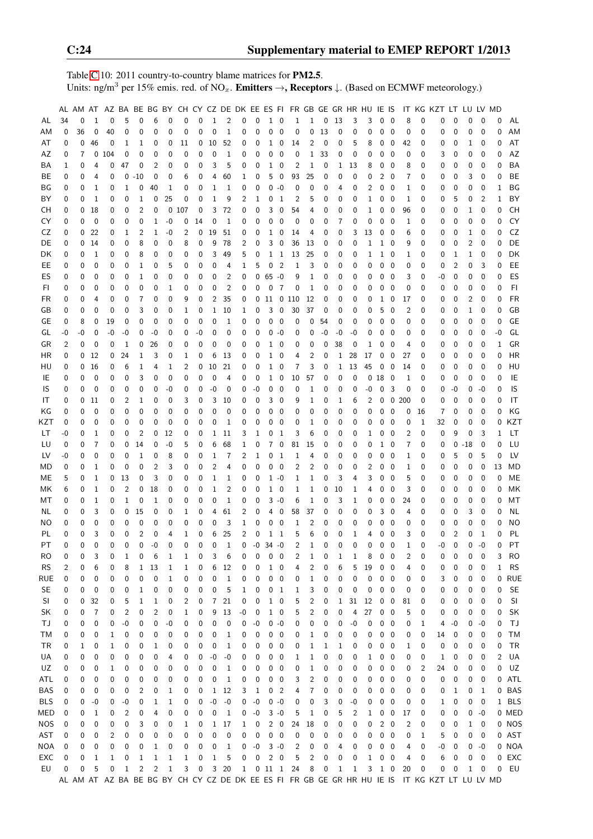Table [C.](#page-2-0)10: 2011 country-to-country blame matrices for PM2.5. Units: ng/m<sup>3</sup> per 15% emis. red. of NO<sub>x</sub>. **Emitters**  $\rightarrow$ **, Receptors**  $\downarrow$ . (Based on ECMWF meteorology.)

|            |                |              |                  |              |                |                |                |              |              |             |                   |              |                |                 |                |                          | AL AM AT AZ BA BE BG BY CH CY CZ DE DK EE ES FI FR GB GE GR HR HU IE IS |                |    |              |          |              |                     |                         |                |          | IT KG KZT LT                                                                                  |                | LU LV MD    |                  |      |            |
|------------|----------------|--------------|------------------|--------------|----------------|----------------|----------------|--------------|--------------|-------------|-------------------|--------------|----------------|-----------------|----------------|--------------------------|-------------------------------------------------------------------------|----------------|----|--------------|----------|--------------|---------------------|-------------------------|----------------|----------|-----------------------------------------------------------------------------------------------|----------------|-------------|------------------|------|------------|
| AL         | 34             | 0            | 1                | $\mathbf 0$  | 5              | $\mathbf 0$    | 6              | 0            | $\mathbf 0$  | 0           | $\mathbf{1}$      | 2            | 0              | 0               |                | $1\quad 0$               | $\mathbf{1}$                                                            | $\mathbf{1}$   | 0  | 13           | 3        | 3            | $\mathbf 0$         | $\overline{\mathbf{0}}$ | 8              | 0        | 0                                                                                             | 0              | $\mathbf 0$ | $\mathbf 0$      | 0    | AL         |
| ΑM         | 0              | 36           | 0                | 40           | 0              | 0              | 0              | 0            | 0            | 0           | 0                 | 1            | 0              | 0               | 0              | $\mathbf 0$              | 0                                                                       | 0              | 13 | 0            | 0        | 0            | 0                   | $\mathbf 0$             | 0              | 0        | 0                                                                                             | 0              | 0           | $\mathbf{0}$     | 0    | AM         |
| AT         | 0              | 0            | 46               | 0            | 1              | 1              | 0              | 0            | 11           | 0           | 10                | 52           | 0              | 0               | 1              | $\mathbf 0$              | 14                                                                      | 2              | 0  | 0            | 5        | 8            | 0                   | $\pmb{0}$               | 42             | 0        | 0                                                                                             | 0              | 1           | 0                | 0    | AT         |
| AZ         | 0              | 7            |                  | 0104         | 0              | 0              | 0              | 0            | 0            | 0           | 0                 | 1            | 0              | 0               | 0              | 0                        | 0                                                                       | 1              | 33 | 0            | 0        | 0            | 0                   | 0                       | 0              | 0        | 3                                                                                             | 0              | 0           | 0                | 0    | AZ         |
| ΒA         | 1              | 0            | 4                | 0            | 47             | 0              | 2              | 0            | 0            | 0           | 3                 | 5            | 0              | 0               | 1              | 0                        | 2                                                                       | 1              | 0  | 1            | 13       | 8            | 0                   | - 0                     | 8              | 0        | 0                                                                                             | 0              | 0           | 0                | 0    | <b>BA</b>  |
| ВE         | 0              | 0            | 4                | 0            | 0              | $-10$          | 0              |              | 6            | 0           | 4                 |              | 1              | 0               | 5              | 0                        | 93                                                                      | 25             |    | 0            | 0        | 0            | 2                   | 0                       | 7              | 0        |                                                                                               | 0              | 3           | 0                | 0    | BE         |
|            |                |              |                  |              |                |                |                | 0            |              |             |                   | 60           |                |                 |                |                          |                                                                         |                | 0  |              |          |              |                     |                         |                |          | 0                                                                                             |                |             |                  |      |            |
| BG         | 0              | 0            | 1                | 0            | 1              | 0              | 40             | 1            | 0            | 0           | 1                 | 1            | 0              | 0               | 0              | $-0$                     | 0                                                                       | 0              | 0  | 4            | 0        | 2            | 0                   | 0                       | 1              | 0        | 0                                                                                             | 0              | 0           | 0                | 1    | BG         |
| BY         | 0              | 0            | 1                | 0            | 0              | 1              | 0              | 25           | 0            | 0           | 1                 | 9            | 2              | 1               | 0              | 1                        | 2                                                                       | 5              | 0  | 0            | 0        | $\mathbf{1}$ | 0                   | - 0                     | 1              | 0        | 0                                                                                             | 5              | 0           | $\overline{2}$   | 1    | BY         |
| CН         | 0              | 0            | 18               | 0            | 0              | 2              | 0              | 0            | 107          | 0           | 3                 | 72           | 0              | 0               | 3              | 0                        | 54                                                                      | 4              | 0  | 0            | 0        | $\mathbf{1}$ | 0                   | 0                       | 96             | 0        | 0                                                                                             | 0              | 1           | $\mathbf{0}$     | 0    | <b>CH</b>  |
| CY         | 0              | 0            | $\mathbf 0$      | 0            | 0              | 0              | 1              | -0           | 0            | 14          | 0                 | 1            | 0              | 0               | 0              | 0                        | 0                                                                       | 0              | 0  | 7            | 0        | 0            | 0                   | - 0                     | 1              | 0        | 0                                                                                             | 0              | 0           | 0                | 0    | CY         |
| CZ         | 0              | $\mathbf{0}$ | 22               | 0            | 1              | 2              | 1              | -0           | 2            | 0           | 19                | 51           | 0              | 0               | 1              | 0                        | 14                                                                      | 4              | 0  | 0            | 3        | 13           | 0                   | - 0                     | 6              | 0        | 0                                                                                             | 0              | 1           | 0                | 0    | CZ         |
| DE         | 0              |              | 0, 14            | 0            | 0              | 8              | 0              | 0            | 8            | 0           | 9                 | 78           | 2              | 0               | 3              | 0                        | 36                                                                      | 13             | 0  | 0            | 0        | $\mathbf{1}$ | $1\quad0$           |                         | 9              | 0        | 0                                                                                             | 0              | 2           | 0                | 0    | DE         |
| DK         | 0              | 0            | 1                | 0            | 0              | 8              | 0              | 0            | 0            | 0           | 3                 | 49           | 5              | 0               |                | $1\quad1$                | 13                                                                      | 25             | 0  | 0            | 0        | 1            | $1\quad0$           |                         | 1              | 0        | 0                                                                                             | 1              | 1           | 0                | 0    | DK         |
| EE.        | 0              | 0            | 0                | 0            | 0              | 1              | 0              | 5            | 0            | 0           | 0                 | 4            | 1              | 5               | 0              | $\overline{2}$           | 1                                                                       | 3              | 0  | 0            | 0        | 0            | 0                   | - 0                     | 0              | 0        | 0                                                                                             | 2              | 0           | 3                | 0    | EE         |
| ES         | 0              | 0            | 0                | 0            | 0              | 1              | 0              | 0            | 0            | 0           | 0                 | 2            | 0              | 0               | $65 - 0$       |                          | 9                                                                       | 1              | 0  | 0            | 0        | 0            | 0                   | 0                       | 3              | 0        | -0                                                                                            | 0              | 0           | $\mathbf 0$      | 0    | ES         |
| FI         | 0              | 0            | 0                | 0            | 0              | 0              | 0              | 1            | 0            | 0           | 0                 | 2            | 0              | 0               | 0              | $\overline{7}$           | 0                                                                       | 1              | 0  | $\mathbf 0$  | 0        | 0            | 0                   | 0                       | 0              | 0        | 0                                                                                             | 0              | 0           | 0                | 0    | F1         |
| FR         | 0              | 0            | 4                | 0            | 0              | 7              | 0              | 0            | 9            | 0           | 2                 | 35           | 0              | 0               |                |                          | 11 0 110                                                                | 12             | 0  | 0            | 0        | 0            | 1                   | 0                       | 17             | 0        | 0                                                                                             | 0              | 2           | 0                | 0    | <b>FR</b>  |
| GB         | 0              | 0            | 0                | 0            | 0              | 3              | 0              | 0            | 1            | 0           | 1                 | 10           | 1              | 0               | 3              | 0                        | 30                                                                      | 37             | 0  | 0            | 0        | 0            | 5                   | 0                       | $\overline{c}$ | 0        | 0                                                                                             | 0              | 1           | 0                | 0    | GB         |
| GE         | 0              | 8            | 0                | 19           | 0              | 0              | 0              | 0            | 0            | 0           | 0                 | 1            | 0              | 0               | 0              | 0                        | 0                                                                       | 0              | 54 | 0            | 0        | 0            | 0                   | 0                       | 0              | 0        | 0                                                                                             | 0              | 0           | 0                | 0    | GE         |
| GL         | -0             | -0           | 0                | -0           | $-0$           | 0              | -0             | 0            | 0            | $-0$        | 0                 | 0            | 0              | 0               | 0              | -0                       | 0                                                                       | 0              | -0 | -0           | -0       | 0            | 0                   | - 0                     | 0              | 0        | 0                                                                                             | 0              | 0           | 0                | $-0$ | GL         |
| GR         | $\overline{c}$ | 0            | 0                | 0            | 1              | 0              | 26             | 0            | 0            | 0           | 0                 | 0            | 0              | 0               | 1              | 0                        | 0                                                                       | 0              | 0  | 38           | 0        | 1            | 0                   | 0                       | 4              | 0        | 0                                                                                             | 0              | 0           | 0                | 1    | GR         |
| HR         | 0              | 0            | 12               | 0            | 24             | 1              | 3              | 0            | 1            | 0           | 6                 | 13           | 0              | 0               | 1              | 0                        | 4                                                                       | 2              | 0  | 1            | 28       | 17           | $\mathbf 0$         | $\mathbf 0$             | 27             | 0        | 0                                                                                             | 0              | 0           | 0                | 0    | <b>HR</b>  |
| HU         | 0              | 0            | 16               | 0            | 6              | 1              | 4              | 1            | 2            | 0           | 10                | 21           | 0              | 0               | 1              | 0                        | 7                                                                       | 3              | 0  | 1            | 13       | 45           | 0                   | 0                       | 14             | 0        | 0                                                                                             | 0              | 0           | 0                | 0    | HU         |
| IE         | 0              | 0            | $\mathbf 0$      | 0            | 0              | 3              | 0              | 0            | 0            | 0           | 0                 | 4            | 0              | 0               | 1              | 0                        | 10                                                                      | 57             | 0  | 0            | 0        |              | 0 <sub>18</sub>     | $\overline{\mathbf{0}}$ | 1              | 0        | 0                                                                                             | 0              | 0           | $\mathbf 0$      | 0    | IE         |
| IS         | 0              | 0            | 0                | 0            | 0              | 0              | 0              | -0           | 0            | 0           | $-0$              | 0            | 0              | -0              | 0              | 0                        | 0                                                                       | 1              | 0  | 0            | 0        | $-0$         | 0                   | 3                       | 0              | 0        | 0                                                                                             | -0             | 0           | -0               | 0    | IS         |
| IT         | 0              | 0            | 11               | 0            | 2              | 1              | 0              | 0            | 3            | 0           | 3                 | 10           | 0              | 0               | 3              | $\mathbf 0$              | 9                                                                       | 1              | 0  | 1            | 6        | 2            | 0                   | 0                       | 200            | 0        | 0                                                                                             | 0              | 0           | 0                | 0    | IT         |
| ΚG         | 0              | 0            | 0                | 0            | 0              | 0              | 0              | 0            | 0            | 0           | 0                 | 0            | 0              | 0               | 0              | 0                        | 0                                                                       | 0              | 0  | 0            | 0        | 0            | 0                   | 0                       | 0              | 16       | 7                                                                                             | 0              | 0           | 0                | 0    | KG         |
| KZT        | 0              | 0            | 0                | 0            | 0              | 0              | 0              | 0            | 0            | 0           | 0                 | 1            | 0              | 0               | 0              | 0                        | 0                                                                       | 1              | 0  | 0            | 0        | 0            | 0                   | - 0                     | 0              | 1        | 32                                                                                            | 0              | 0           | 0                | 0    | <b>KZT</b> |
| LТ         | -0             | 0            | 1                | 0            | 0              | 2              | 0              | 12           | 0            | 0           | 1                 | 11           | 3              | 1               | 0              | 1                        | 3                                                                       | 6              | 0  | 0            | 0        | 1            | 0                   | 0                       | 2              | 0        | 0                                                                                             | 9              | 0           | 3                | 1    | LТ         |
| LU         | 0              | 0            | $\overline{7}$   | 0            | 0              | 14             | 0              | $-0$         | 5            | 0           | 6                 | 68           | 1              | 0               | $\overline{7}$ | $\mathbf 0$              | 81                                                                      | 15             | 0  | 0            | 0        | 0            | 1                   | 0                       | $\overline{7}$ | 0        | 0                                                                                             | 0              | $-18$       | 0                | 0    | LU         |
| LV         | -0             | 0            | 0                | 0            | 0              | 1              | 0              | 8            | 0            | 0           | 1                 | 7            | 2              | 1               | 0              | $\mathbf{1}$             | 1                                                                       | 4              | 0  | 0            | 0        | 0            | 0                   | 0                       | 1              | 0        | 0                                                                                             | 5              | 0           | 5                | 0    | LV         |
| MD         | 0              | 0            | 1                | 0            | 0              | 0              | 2              | 3            | 0            | 0           | $\overline{c}$    | 4            | 0              | 0               | 0              | 0                        | 2                                                                       | 2              | 0  | 0            | 0        | 2            | 0                   | - 0                     | 1              | 0        | 0                                                                                             | 0              | 0           | $\mathbf 0$      | 13   | MD         |
|            |                |              |                  |              |                |                |                |              |              |             |                   |              |                |                 |                |                          |                                                                         |                |    |              |          |              |                     |                         |                |          |                                                                                               |                |             |                  |      |            |
| MЕ         | 5              | 0            | 1                | 0            | 13             | 0              | 3              | 0            | 0            | 0           | 1                 | 1            | 0              | 0               |                | $1 - 0$                  | 1                                                                       | 1              | 0  | 3            | 4        | 3            | 0                   | 0                       | 5              | 0        | 0                                                                                             | 0              | 0           | 0                | 0    | MЕ         |
| МK         | 6              | 0            | 1                | 0            | $\overline{c}$ | 0              | 18             | 0            | 0            | 0           | $\mathbf{1}$      | 2            | 0              | 0               | $\mathbf{1}$   | 0                        | 1                                                                       | 1              | 0  | 10           | 1        | 4            | 0                   | 0                       | 3              | 0        | 0                                                                                             | 0              | 0           | 0                | 0    | MK         |
| МT         | 0              | 0            | 1                | 0            | 1              | 0              | 1              | 0            | 0            | 0           | 0                 | 1            | 0              | 0               |                | $3 - 0$                  | 6                                                                       | 1              | 0  | 3            | 1        | 0            | 0                   | 0                       | 24             | 0        | 0                                                                                             | 0              | 0           | 0                | 0    | MT         |
| ΝL         | 0              | 0            | 3                | 0            | 0              | 15             | 0              | 0            | 1            | 0           | 4                 | 61           | 2              | 0               | 4              | 0                        | 58                                                                      | 37             | 0  | 0            | 0        | 0            | 3                   | 0                       | 4              | 0        | 0                                                                                             | 0              | 3           | 0                | 0    | ΝL         |
| NO         | 0              | 0            | 0                | 0            | 0              | 0              | 0              | 0            | 0            | 0           | 0                 | 3            | 1              | 0               | 0              | 0                        | 1                                                                       | 2              | 0  | 0            | 0        | 0            | 0                   | 0                       | 0              | 0        | 0                                                                                             | 0              | 0           | 0                | 0    | <b>NO</b>  |
| PL         | 0              | 0            | 3                | $\mathbf 0$  | 0              | $\overline{2}$ | 0              | 4            | $\mathbf{1}$ | 0           | 6                 | 25           | $\overline{2}$ | 0               | $\mathbf{1}$   | $\mathbf{1}$             | 5                                                                       | 6              | 0  | $\mathbf 0$  | 1        | 4            | 0                   | $\overline{0}$          | 3              | 0        | 0                                                                                             | $\overline{2}$ | 0           | 1                | 0    | PL         |
| PT         | $\Omega$       | $\Omega$     | $\mathbf{0}$     | 0            | $\Omega$       | $\Omega$       | $-0$           | 0            | 0            | $\mathbf 0$ | $\mathbf 0$       | $\mathbf{1}$ |                | $0 - 0$ 34 $-0$ |                |                          | $\overline{2}$                                                          | $\mathbf{1}$   | 0  | $\mathbf 0$  | $\Omega$ | $\mathbf 0$  | $0\quad 0$          |                         | 1              | $\Omega$ | $-0$                                                                                          | $\Omega$       | 0           | $-0$             | 0    | PT         |
| RO         | 0              | 0            | 3                | 0            | 1              | 0              | 6              | 1            | $\mathbf{1}$ | 0           | 3                 | 6            | 0              | 0               | 0              | 0                        | 2                                                                       | 1              | 0  | $\mathbf{1}$ | 1        | 8            | 0                   | 0                       | 2              | 0        | 0                                                                                             | 0              | 0           | 0                | 3    | <b>RO</b>  |
| <b>RS</b>  | 2              | 0            | 6                | 0            | 8              | 1              | 13             | 1            | 1            | 0           | 6                 | 12           | 0              | 0               | 1              | 0                        | 4                                                                       | $\overline{c}$ | 0  | 6            | 5        | 19           | 0                   | 0                       | 4              | 0        | 0                                                                                             | 0              | 0           | 0                | 1    | <b>RS</b>  |
| <b>RUE</b> | 0              | 0            | 0                | 0            | 0              | 0              | 0              | 1            | 0            | 0           | 0                 | $\mathbf{1}$ | 0              | 0               | $\mathbf{0}$   | $\mathbf 0$              | 0                                                                       | $\mathbf{1}$   | 0  | 0            | 0        | 0            | $0\quad 0$          |                         | 0              | 0        | 3                                                                                             | 0              | 0           | 0                |      | 0 RUE      |
| SE.        | 0              | 0            | $\mathbf 0$      | 0            | 0              | 1              | 0              | 0            | 0            | 0           | 0                 | 5            | 1              | 0               |                | 0 <sub>1</sub>           | 1                                                                       | 3              | 0  | 0            | 0        | 0            | $0\quad 0$          |                         | 0              | 0        | 0                                                                                             | 0              | 0           | 0                | 0    | <b>SE</b>  |
| SI         | 0              | $\mathbf{0}$ | 32               | 0            | 5              | 1              | 1              | 0            | 2            | 0           | 7 <sup>1</sup>    | 21           | 0              | 0               |                | $1\quad$ 0               | 5                                                                       | 2              | 0  | 1            |          | 31 12        | $0\quad 0$          |                         | 81             | 0        | 0                                                                                             | 0              | 0           | 0                | 0    | SI         |
| SK         | 0              | 0            | 7                | 0            | $\overline{c}$ | 0              | $\overline{c}$ | 0            | 1            | 0           | 9                 | 13           | $-0$           | 0               |                | $1\quad 0$               | 5                                                                       | 2              | 0  | 0            | 4        | 27           | $0\quad 0$          |                         | 5              | 0        | 0                                                                                             | 0              | 0           | 0                | 0    | SK         |
| TJ         | 0              | 0            | $\mathbf 0$      | 0            | $-0$           | 0              | 0              | $-0$         | 0            | 0           | 0                 | 0            | 0              | $-0$            |                | $0 - 0$                  | 0                                                                       | 0              | 0  | 0            | $-0$     | 0            | $0\quad 0$          |                         | 0              | 1        | 4                                                                                             | $-0$           | 0           | $-0$             | 0    | TJ         |
| ТM         | 0              | 0            | $\boldsymbol{0}$ | 1            | 0              | 0              | 0              | 0            | 0            | 0           | 0                 | 1            | 0              | 0               | 0              | $\overline{\phantom{0}}$ | 0                                                                       | 1              | 0  | 0            | 0        | 0            | $0\quad 0$          |                         | 0              | 0        | 14                                                                                            | 0              | 0           | 0                | 0    | TM         |
| TR         | 0              | $\mathbf{1}$ | 0                | 1            | 0              | 0              | 1              | 0            | 0            | 0           | 0                 | 1            | 0              | 0               | 0              | $\overline{\mathbf{0}}$  | 0                                                                       | 1              | 1  | 1            | 0        | 0            | $0\quad 0$          |                         | 1              | 0        | 0                                                                                             | 0              | 0           | $\boldsymbol{0}$ | 0    | <b>TR</b>  |
| UA         | 0              | 0            | 0                | 0            | 0              | 0              | 0              | 4            | 0            | 0           | $-0$              | -0           | 0              | 0               | 0              | 0                        | 1                                                                       | 1              | 0  | 0            | 0        | 1            | $0\quad 0$          |                         | 0              | 0        | 1                                                                                             | 0              | 0           | 0                | 2    | UA         |
| UZ         | 0              | 0            | 0                | 1            | 0              | 0              | 0              | 0            | 0            | 0           | 0                 | 1            | 0              | 0               | 0              | 0                        | 0                                                                       | 1              | 0  | 0            | 0        | 0            | $0\quad 0$          |                         | 0              | 2        | 24                                                                                            | 0              | 0           | 0                | 0    | UZ         |
| ATL        | 0              | 0            | 0                | 0            | 0              | 0              | 0              | 0            | 0            | 0           | 0                 | 1            | 0              | 0               | 0              | $\overline{\mathbf{0}}$  | 3                                                                       | $\overline{c}$ | 0  | 0            | 0        | 0            | $0\quad 0$          |                         | 0              | 0        | 0                                                                                             | 0              | 0           | 0                |      | 0 ATL      |
| BAS        | 0              | 0            | 0                | 0            | 0              | 2              | 0              | 1            | 0            | 0           | $\mathbf{1}$      | 12           | 3              | 1               | 0              | $\overline{c}$           | 4                                                                       | 7              | 0  | 0            | 0        | 0            | $0\quad 0$          |                         | 0              | 0        | 0                                                                                             | 1              | 0           | 1                |      | 0 BAS      |
| <b>BLS</b> | 0              | 0            | $-0$             | 0            | $-0$           | 0              | 1              | 1            | 0            | 0           | $\textnormal{-}0$ | $-0$         | 0              | $-0$            |                | $0 - 0$                  | 0                                                                       | 0              | 3  | 0            | $-0$     | 0            | 0                   | $\overline{\mathbf{0}}$ | 0              | 0        | 1                                                                                             | 0              | 0           | $\mathbf 0$      |      | 1 BLS      |
| MED        | 0              | 0            | $\mathbf{1}$     | 0            | 2              | 0              | 4              | 0            | 0            | 0           | 0                 | 1            | 0              | $-0$            |                | $3 - 0$                  | 5                                                                       | 1              | 0  | 5            | 2        | $\mathbf{1}$ | $0\quad 0$          |                         | 17             | 0        | 0                                                                                             | 0              | 0           | $-0$             |      | 0 MED      |
| NOS        | 0              | 0            | $\mathbf 0$      | 0            | 0              | 3              | 0              | 0            | $\mathbf{1}$ | 0           | $\mathbf{1}$      | 17           | 1              | 0               |                | $2\quad 0$               | 24                                                                      | 18             | 0  | 0            | 0        | $\pmb{0}$    | $\overline{2}$      | $\overline{\mathbf{0}}$ | $\overline{c}$ | 0        | 0                                                                                             | 0              | 1           | 0                |      | 0 NOS      |
| AST        | 0              | 0            | 0                | 2            | 0              | 0              | 0              | 0            | 0            | 0           | 0                 | 0            | 0              | 0               |                | $0\quad 0$               | 0                                                                       | 0              | 0  | 0            | 0        | 0            | $0\quad 0$          |                         | 0              | 1        | 5                                                                                             | 0              | 0           | 0                |      | 0 AST      |
| NOA        | 0              | 0            | $\pmb{0}$        | 0            | 0              | 0              | 1              | 0            | 0            | 0           | 0                 | $\mathbf{1}$ | 0              | $-0$            |                | $3 - 0$                  | 2                                                                       | 0              | 0  | 4            | 0        | 0            | $0\quad 0$          |                         | 4              | 0        | -0                                                                                            | 0              | 0           | $-0$             |      | 0 NOA      |
| EXC        | 0              | 0            | $\mathbf{1}$     | $\mathbf{1}$ | 0              | 1              | $\mathbf 1$    | $\mathbf{1}$ | $\mathbf{1}$ | 0           | $\mathbf{1}$      | 5            | 0              | 0               |                | $2\quad 0$               | 5                                                                       | 2              | 0  | 0            | 0        | $\mathbf{1}$ | $0\quad 0$          |                         | 4              | 0        | 6                                                                                             | 0              | 0           | $\boldsymbol{0}$ |      | 0 EXC      |
| EU         | 0              | 0            | 5                | 0            | $\mathbf{1}$   | 2              | $\overline{c}$ | 1            | 3            | 0           |                   | 3 20         |                |                 |                |                          | 1 0 11 1 24                                                             | 8              | 0  | $\mathbf 1$  | 1        |              | $3 \quad 1 \quad 0$ |                         | 20             | 0        | 0                                                                                             | 0              | 1           | 0                | 0    | EU         |
|            |                |              |                  |              |                |                |                |              |              |             |                   |              |                |                 |                |                          |                                                                         |                |    |              |          |              |                     |                         |                |          | AL AM AT AZ BA BE BG BY CH CY CZ DE DK EE ES FI FR GB GE GR HR HU IE IS IT KG KZT LT LU LV MD |                |             |                  |      |            |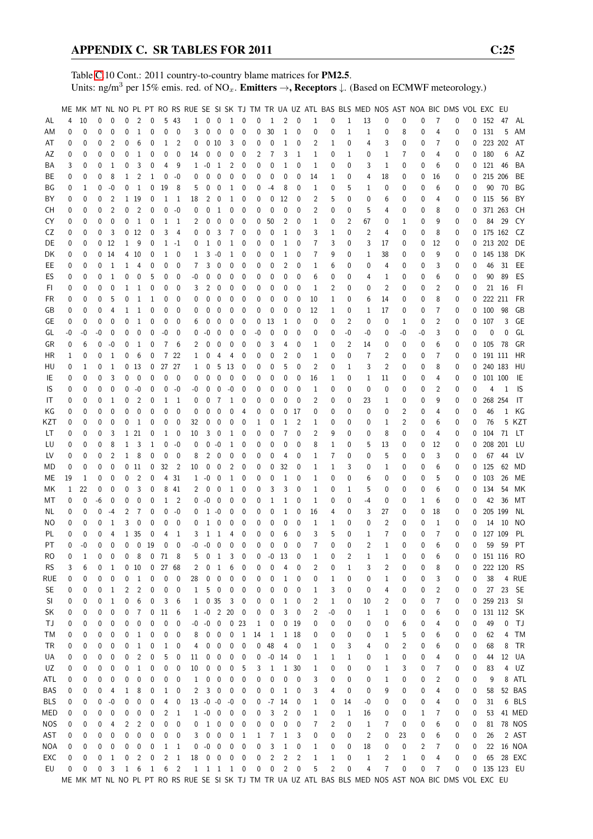Table [C.](#page-2-0)10 Cont.: 2011 country-to-country blame matrices for PM2.5. Units: ng/m<sup>3</sup> per 15% emis. red. of NO<sub>x</sub>. **Emitters**  $\rightarrow$ **, Receptors**  $\downarrow$ . (Based on ECMWF meteorology.)

|            |          |              |    |                 |          |                 |             |                     |                            |              |                   |                          |                                     |                          |    |          |                |                |                |                |                | ME MK MT NL NO PL PT RO RS RUE SE SI SK TJ TM TR UA UZ ATL BAS BLS MED NOS AST NOA BIC DMS VOL EXC EU |                |          |    |                |          |              |              |                |            |
|------------|----------|--------------|----|-----------------|----------|-----------------|-------------|---------------------|----------------------------|--------------|-------------------|--------------------------|-------------------------------------|--------------------------|----|----------|----------------|----------------|----------------|----------------|----------------|-------------------------------------------------------------------------------------------------------|----------------|----------|----|----------------|----------|--------------|--------------|----------------|------------|
|            |          |              |    |                 |          |                 |             |                     |                            |              |                   |                          |                                     |                          |    |          |                |                |                |                |                |                                                                                                       |                |          |    |                |          |              |              |                |            |
| AL         | 4        | 10           | 0  | $\mathbf{0}$    | 0        | $\overline{2}$  | 0           | 5                   | - 43                       | $\mathbf{1}$ |                   | $0\quad 0$               | 1 0                                 |                          | 0  | -1       | 2              | $\mathbf 0$    | $\mathbf{1}$   | 0              | $\mathbf{1}$   | 13                                                                                                    | 0              | 0        | 0  | 7              | 0        |              | $0$ 152 47   |                | AL         |
| ΑM         | 0        | $\mathbf{0}$ | 0  | $\mathbf 0$     | 0        | $\mathbf{1}$    | 0           | 0                   | 0                          | 3            | 0                 | $\mathbf 0$              | 0                                   | 0                        | 0  | 30       | $\mathbf{1}$   | $\mathbf{0}$   | 0              | 0              | 1              | 1                                                                                                     | 0              | 8        | 0  | 4              | 0        | 0            | 131          | 5              | AM         |
| AT         | 0        | 0            | 0  | 2               | 0        | 6               | 0           | 1                   | 2                          | 0            |                   | 010                      | 3                                   | 0                        | 0  | 0        | $\mathbf 1$    | 0              | 2              | 1              | 0              | 4                                                                                                     | 3              | 0        | 0  | 7              | 0        | 0            | 223 202      |                | AT         |
| AΖ         | 0        | 0            | 0  | 0               | 0        | 1               | 0           | 0                   | 0                          | 14           | 0                 | $\boldsymbol{0}$         | 0                                   | 0                        | 2  | 7        | 3              | 1              | 1              | 0              | 1              | 0                                                                                                     | 1              | 7        | 0  | 4              | 0        | 0            | 180          | 6              | AZ         |
|            | 3        |              | 0  | 1               | 0        | 3               | 0           | 4                   | 9                          |              | $-0$              | $\overline{1}$           | 2                                   | 0                        | 0  | 0        | 1              | 0              | 1              |                | 0              | 3                                                                                                     |                | 0        | 0  | 6              | 0        | 0            | 121 46       |                | BA         |
| BA         |          | 0            |    |                 |          |                 |             |                     |                            | 1            |                   |                          |                                     |                          |    |          |                |                |                | 0              |                |                                                                                                       | 1              |          |    |                |          |              |              |                |            |
| ВE         | 0        | 0            | 0  | 8               | 1        | 2               | 1           | 0                   | -0                         | 0            | 0                 | 0                        | 0                                   | 0                        | 0  | 0        | 0              | 0              | 14             | 1              | 0              | 4                                                                                                     | 18             | 0        | 0  | 16             | 0        | 0            | 215 206      |                | BE         |
| ΒG         | 0        | 1            | 0  | $-0$            | 0        | $\mathbf{1}$    | 0           | 19                  | 8                          | 5            | 0                 | 0                        | 1                                   | 0                        | 0  | -4       | 8              | 0              | 1              | 0              | 5              | 1                                                                                                     | 0              | 0        | 0  | 6              | 0        | 0            | 90           | 70             | ΒG         |
| BY         | 0        | 0            | 0  | $\overline{2}$  |          | 1 19            | 0           | 1                   | -1                         | 18           | 2                 | 0                        | 1                                   | 0                        | 0  | 0        | 12             | 0              | 2              | 5              | 0              | 0                                                                                                     | 6              | 0        | 0  | 4              | 0        | 0            | 115          | 56             | BY         |
| CН         | 0        | 0            | 0  | $\overline{2}$  | 0        | $\overline{2}$  | 0           | 0                   | -0                         | 0            | 0                 | $\mathbf{1}$             | 0                                   | 0                        | 0  | 0        | 0              | 0              | 2              | 0              | 0              | 5                                                                                                     | 4              | 0        | 0  | 8              | 0        | 0            | 371 263      |                | CH         |
|            |          |              |    |                 |          |                 |             |                     |                            |              |                   |                          |                                     |                          |    |          |                |                |                |                |                |                                                                                                       |                |          |    |                |          |              |              |                |            |
| CY         | 0        | 0            | 0  | $\mathbf 0$     | 0        | 1               | 0           | 1                   | $\overline{1}$             | 2            | 0                 | 0                        | 0                                   | 0                        | 0  | 50       | 2              | 0              | $\mathbf 1$    | 0              | 2              | 67                                                                                                    | 0              | 1        | 0  | 9              | 0        | 0            | 84           | 29             | CY         |
| CZ         | 0        | 0            | 0  | 3               |          | 0 <sub>12</sub> | 0           | 3                   | 4                          | 0            | 0                 | 3                        | 7                                   | 0                        | 0  | 0        | 1              | 0              | 3              | 1              | 0              | 2                                                                                                     | 4              | 0        | 0  | 8              | 0        | 0            | 175 162      |                | CZ         |
| DE         | 0        | 0            |    | 0 <sub>12</sub> | 1        | 9               | 0           |                     | $1 - 1$                    | 0            | 1                 | 0                        | 1                                   | 0                        | 0  | 0        | 1              | 0              | 7              | 3              | 0              | 3                                                                                                     | 17             | 0        | 0  | 12             | 0        | 0            |              | 213 202        | DE         |
| DK         | 0        | 0            |    | 014             |          | 4 10            | 0           | 1                   | 0                          | 1            | 3                 | -0                       | 1                                   | 0                        | 0  | 0        | 1              | 0              | 7              | 9              | 0              | 1                                                                                                     | 38             | 0        | 0  | 9              | 0        | 0            | 145 138      |                | DK         |
|            |          |              |    |                 |          |                 |             |                     |                            |              |                   |                          |                                     |                          |    |          |                |                |                |                |                |                                                                                                       |                |          |    |                |          |              |              |                |            |
| EE         | 0        | 0            | 0  | 1               | 1        | 4               | 0           | 0                   | 0                          | 7            | 3                 | 0                        | 0                                   | 0                        | 0  | 0        | 2              | 0              | 1              | 6              | 0              | 0                                                                                                     | 4              | 0        | 0  | 3              | 0        | 0            |              | 46 31          | EE         |
| ES         | 0        | 0            | 0  | $\mathbf{1}$    | 0        | 0               | 5           | 0                   | 0                          | $-0$         | 0                 | $\mathbf 0$              | 0                                   | 0                        | 0  | 0        | 0              | 0              | 6              | 0              | 0              | 4                                                                                                     | 1              | 0        | 0  | 6              | 0        | 0            | 90           | 89             | ES         |
| FI.        | 0        | 0            | 0  | $\mathbf{0}$    | 1        | 1               | 0           | 0                   | 0                          | 3            | 2                 | 0                        | 0                                   | 0                        | 0  | 0        | 0              | 0              | 1              | 2              | 0              | 0                                                                                                     | $\overline{2}$ | 0        | 0  | 2              | 0        | 0            |              | 21 16          | -FI        |
| FR         | 0        | 0            | 0  | 5               | 0        | 1               | 1           | 0                   | 0                          | 0            | 0                 | $\mathbf{0}$             | 0                                   | 0                        | 0  | 0        | 0              | 0              | 10             | 1              | 0              | 6                                                                                                     | 14             | 0        | 0  | 8              | 0        | 0            | 222 211      |                | FR         |
| GB         | 0        | 0            | 0  | 4               | 1        | 1               | 0           | 0                   | 0                          | 0            | 0                 | 0                        | 0                                   | 0                        | 0  | 0        | 0              | 0              | 12             | 1              | 0              | 1                                                                                                     | 17             | 0        | 0  | 7              | 0        | 0            | 100          | 98             | GB         |
|            |          |              |    |                 |          |                 |             |                     |                            |              |                   |                          |                                     |                          |    |          |                |                |                |                |                |                                                                                                       |                |          |    |                |          |              |              |                |            |
| GE         | 0        | 0            | 0  | 0               | 0        | $\mathbf{1}$    | 0           | 0                   | 0                          | 6            | 0                 | 0                        | 0                                   | 0                        | 0  | 13       | 1              | 0              | 0              | 0              | $\overline{2}$ | 0                                                                                                     | 0              | 1        | 0  | 2              | 0        | 0            | 107          | 3              | GE         |
| GL         | -0       | -0           | -0 | 0               | 0        | 0               | 0           | -0                  | 0                          | 0            | -0                | 0                        | 0                                   | 0                        | -0 | 0        | 0              | 0              | 0              | 0              | -0             | -0                                                                                                    | 0              | -0       | -0 | 3              | 0        | 0            | 0            | 0              | GL         |
| GR         | 0        | 6            | 0  | -0              | 0        | 1               | 0           | 7                   | 6                          | 2            | 0                 | 0                        | 0                                   | 0                        | 0  | 3        | 4              | 0              | 1              | 0              | 2              | 14                                                                                                    | 0              | 0        | 0  | 6              | 0        |              | $0$ 105 78   |                | GR         |
| НR         | 1        | 0            | 0  | 1               | 0        | 6               | 0           | $\overline{7}$      | 22                         | 1            | 0                 | $\overline{4}$           | 4                                   | 0                        | 0  | 0        | 2              | 0              | 1              | 0              | 0              | 7                                                                                                     | 2              | 0        | 0  | 7              | 0        | 0            | 191 111      |                | HR         |
| HU         | 0        | 1            | 0  | 1               |          | 0 <sub>13</sub> | 0           | 27 27               |                            | 1            | 0                 | 5                        | 13                                  | 0                        | 0  | 0        | 5              | 0              | 2              | 0              | 1              | 3                                                                                                     | $\overline{2}$ | 0        | 0  | 8              | 0        | 0            | 240 183      |                | HU         |
|            |          |              |    |                 |          |                 |             |                     |                            |              |                   |                          |                                     |                          |    |          |                |                |                |                |                |                                                                                                       |                |          |    |                |          |              |              |                |            |
| IE         | 0        | $\mathbf 0$  | 0  | 3               | 0        | $\overline{0}$  | 0           | 0                   | - 0                        | 0            | 0                 | 0                        | 0                                   | 0                        | 0  | 0        | 0              | 0              | 16             | 1              | 0              | 1                                                                                                     | 11             | 0        | 0  | 4              | 0        | 0            | 101 100      |                | IE         |
| IS         | 0        | 0            | 0  | 0               | 0        | -0              | 0           | 0                   | -0                         | -0           | 0                 | $\mathbf 0$              | -0                                  | 0                        | 0  | 0        | 0              | 0              | 1              | 0              | 0              | 0                                                                                                     | 0              | 0        | 0  | 2              | 0        | 0            | 4            | 1              | 1S         |
| IT         | 0        | 0            | 0  | 1               | 0        | 2               | 0           | 1                   | $\overline{1}$             | 0            | 0                 | 7                        | 1                                   | 0                        | 0  | 0        | 0              | 0              | 2              | 0              | 0              | 23                                                                                                    | 1              | 0        | 0  | 9              | 0        | 0            | 268 254      |                | IT         |
| ΚG         | 0        | 0            | 0  | 0               | 0        | 0               | 0           | 0                   | $\mathbf 0$                | 0            | 0                 | 0                        | 0                                   | 4                        | 0  | 0        | 0              | 17             | 0              | 0              | 0              | 0                                                                                                     | 0              | 2        | 0  | 4              | 0        | 0            | 46           | 1              | KG         |
|            |          |              |    |                 |          |                 |             |                     |                            |              |                   |                          |                                     |                          |    |          |                |                |                |                |                |                                                                                                       |                |          |    |                |          |              |              |                |            |
| KZT        | 0        | 0            | 0  | 0               | 0        | 1               | 0           | 0                   | 0                          | 32           | 0                 | $\mathbf 0$              | 0                                   | 0                        | 1  | 0        | 1              | 2              | 1              | 0              | 0              | 0                                                                                                     | 1              | 2        | 0  | 6              | 0        | 0            | 76           |                | 5 KZT      |
| LT         | 0        | 0            | 0  | 3               |          | 1 21            | 0           | $\mathbf 1$         | - 0                        | 10           | 3                 | $\overline{0}$           | 1                                   | 0                        | 0  | 0        | 7              | 0              | 2              | 9              | 0              | 0                                                                                                     | 8              | 0        | 0  | 4              | 0        | 0            | 104          | - 71           | LT         |
| LU         | 0        | 0            | 0  | 8               | 1        | 3               | 1           | 0                   | -0                         | 0            | 0                 | $-0$                     | 1                                   | 0                        | 0  | 0        | 0              | 0              | 8              | 1              | 0              | 5                                                                                                     | 13             | 0        | 0  | 12             | 0        | 0            | 208 201      |                | LU         |
| LV         | 0        | 0            | 0  | $\overline{2}$  | 1        | 8               | 0           | 0                   | $\mathbf{0}$               | 8            | 2                 | $\mathbf 0$              | 0                                   | 0                        | 0  | 0        | 4              | 0              | 1              | 7              | 0              | 0                                                                                                     | 5              | 0        | 0  | 3              | 0        | 0            | 67           | 44             | LV         |
| МD         | 0        | 0            | 0  | $\mathbf{0}$    |          | 0 <sub>11</sub> | 0           | 32                  | $\overline{2}$             | 10           | 0                 | 0                        | 2                                   | 0                        | 0  | 0        | 32             | 0              | 1              | 1              | 3              | 0                                                                                                     | 1              | 0        | 0  | 6              | 0        | $\mathbf{0}$ | 125          | 62             | MD         |
|            |          |              |    |                 |          |                 |             |                     |                            |              |                   |                          |                                     |                          |    |          |                |                |                |                |                |                                                                                                       |                |          |    |                |          |              |              |                |            |
| МE         | 19       | 1            | 0  | $\mathbf 0$     | 0        | 2               | 0           |                     | 4 31                       | 1            | $-0$              | $\mathbf 0$              | $\mathbf{1}$                        | 0                        | 0  | 0        | 1              | 0              | $\mathbf{1}$   | 0              | 0              | 6                                                                                                     | 0              | 0        | 0  | 5              | 0        | 0            | 103          | 26             | ME         |
| МK         | 1        | 22           | 0  | 0               | 0        | 3               | 0           |                     | 8 41                       | 2            | 0                 | 0                        | 1                                   | 0                        | 0  | 3        | 3              | 0              | 1              | 0              | 1              | 5                                                                                                     | 0              | 0        | 0  | 6              | 0        | 0            | 134          | 54             | МK         |
| МT         | 0        | 0            | -6 | 0               | 0        | 0               | 0           | 1                   | $\overline{\phantom{0}}^2$ | 0            | $-0$              | $\mathbf 0$              | 0                                   | 0                        | 0  | 1        | 1              | 0              | 1              | 0              | 0              | -4                                                                                                    | 0              | 0        | 1  | 6              | 0        | 0            | 42           | 36             | МT         |
| NL.        | 0        | 0            | 0  | -4              | 2        | 7               | $\mathbf 0$ | 0                   | -0                         | 0            | 1                 | $-0$                     | 0                                   | 0                        | 0  | 0        | 1              | 0              | 16             | 4              | 0              | 3                                                                                                     | 27             | 0        | 0  | 18             | 0        | 0            | 205 199      |                | NL         |
| ΝO         | 0        | 0            | 0  | 1               | 3        | 0               | 0           | 0                   | 0                          | 0            | 1                 | 0                        | 0                                   | 0                        | 0  | 0        | 0              | 0              | 1              | 1              | 0              | 0                                                                                                     | 2              | 0        | 0  | 1              | 0        | 0            | 14           | - 10           | NO.        |
|            |          |              |    |                 |          |                 |             |                     |                            |              |                   |                          |                                     |                          |    |          |                |                |                |                |                |                                                                                                       |                |          |    |                |          |              |              |                |            |
| PL         | 0        | 0            | 0  | 4               |          | 1 35            | 0           | 4                   | 1                          | 3            | 1                 | 1                        | 4                                   | $\mathbf 0$              | 0  | 0        | 6              | $\Omega$       | 3              | 5              | 0              | 1                                                                                                     | $\overline{7}$ | 0        | 0  | $\overline{7}$ | 0        | 0            | 127 109      |                | PL         |
| PT         | $\Omega$ | $-0$         | 0  | $\Omega$        | $\Omega$ |                 | 0, 19       | $\mathbf 0$         | $\Omega$                   | $-0$         | $-0$              | $\overline{0}$           | $\mathbf 0$                         | $\mathbf{0}$             | 0  | $\Omega$ | 0              | $\Omega$       | $\overline{7}$ | 0              | $\Omega$       | 2                                                                                                     | $\mathbf{1}$   | $\Omega$ | 0  | 6              | $\Omega$ | 0            |              | 59 59          | PT         |
| <b>RO</b>  | 0        | 1            | 0  | 0               | 0        | $\,$ 8 $\,$     |             | 0 <sub>71</sub>     | - 8                        | 5            | 0                 | 1                        | 3                                   | 0                        | 0  | $-0$     | 13             | 0              | 1              | 0              | 2              | $\mathbf{1}$                                                                                          | $\mathbf{1}$   | 0        | 0  | 6              | 0        |              | $0$ 151 116  |                | - RO       |
| <b>RS</b>  | 3        | 6            | 0  | 1               |          | 0 <sub>10</sub> | 0           | 27 68               |                            | 2            | 0                 | $\mathbf{1}$             | 6                                   | 0                        | 0  | 0        | 4              | 0              | 2              | 0              | 1              | 3                                                                                                     | 2              | 0        | 0  | 8              | 0        | 0            | 222 120      |                | <b>RS</b>  |
| <b>RUE</b> | 0        | 0            | 0  | 0               | 0        | $\mathbf{1}$    | 0           | $\pmb{0}$           | 0                          | 28           | 0                 | $\pmb{0}$                | 0                                   | 0                        | 0  | 0        | 1              | 0              | 0              | 1              | 0              | 0                                                                                                     | 1              | 0        | 0  | 3              | 0        | 0            | 38           | $\overline{4}$ | <b>RUE</b> |
|            |          |              |    |                 |          |                 |             |                     |                            |              |                   |                          |                                     |                          |    |          |                |                |                |                |                |                                                                                                       |                |          |    |                |          |              |              |                |            |
| <b>SE</b>  | 0        | 0            | 0  | $\mathbf{1}$    | 2        | $\overline{c}$  | 0           | 0                   | 0                          | 1            | 5                 | $\overline{\phantom{0}}$ | 0                                   | 0                        | 0  | 0        | 0              | 0              | 1              | 3              | 0              | 0                                                                                                     | 4              | 0        | 0  | 2              | 0        | 0            |              | 27 23 SE       |            |
| SI         | 0        | 0            | 0  | $\mathbf{1}$    | 0        | 6               | 0           | 3                   | 6                          | 1            |                   | 035                      | 3                                   | 0                        | 0  | 0        | 1              | 0              | 2              | 1              | 0              | 10                                                                                                    | 2              | 0        | 0  | 7              | 0        | 0            | 259 213      |                | - SI       |
| SK         | 0        | 0            | 0  | 0               | 0        | $\overline{7}$  | 0           | 11                  | - 6                        | $\mathbf{1}$ | $-0$ 2            |                          | 20                                  | $\overline{\phantom{0}}$ | 0  | 0        | 3              | 0              | 2              | $-0$           | 0              | 1                                                                                                     | 1              | 0        | 0  | 6              | 0        | 0            | 131 112 SK   |                |            |
| ТJ         | 0        | 0            | 0  | 0               | 0        | 0               | 0           | $\pmb{0}$           | 0                          | $-0$         | $\textnormal{-}0$ | $\overline{\phantom{0}}$ |                                     | 0 <sub>23</sub>          | 1  | 0        | 0              | 19             | 0              | 0              | 0              | 0                                                                                                     | 0              | 6        | 0  | 4              | 0        | 0            | 49           | 0              | TJ         |
| ТM         |          |              | 0  | 0               | 0        | $\mathbf{1}$    | 0           | 0                   | 0                          | 8            | 0                 | $\overline{0}$           | 0                                   | $\mathbf{1}$             | 14 | 1        | 1              | 18             | 0              |                | 0              |                                                                                                       | 1              |          | 0  | 6              | 0        | 0            | 62           | 4              | TM         |
|            | 0        | 0            |    |                 |          |                 |             |                     |                            |              |                   |                          |                                     |                          |    |          |                |                |                | 0              |                | 0                                                                                                     |                | 5        |    |                |          |              |              |                |            |
| TR         | 0        | 0            | 0  | 0               | 0        | $\mathbf{1}$    | 0           | $\mathbf{1}$        | 0                          | 4            | 0                 | $\mathbf 0$              | 0                                   | 0                        | 0  | 48       | 4              | 0              | 1              | 0              | 3              | 4                                                                                                     | 0              | 2        | 0  | 6              | 0        | 0            | 68           | 8              | <b>TR</b>  |
| UA         | 0        | 0            | 0  | 0               | 0        | 2               | 0           | 5                   | 0                          | 11           | 0                 | $\overline{\mathbf{0}}$  | 0                                   | 0                        | 0  | -0       | 14             | 0              | 1              | 1              | 1              | 0                                                                                                     | 1              | 0        | 0  | 4              | 0        | 0            | 44           |                | 12 UA      |
| UZ         | 0        | 0            | 0  | 0               | 0        | 1               | 0           | 0                   | 0                          | 10           | 0                 | 0                        | 0                                   | 5                        | 3  | 1        | 1              | 30             | $\mathbf{1}$   | 0              | 0              | 0                                                                                                     | 1              | 3        | 0  | 7              | 0        | 0            | 83           | 4              | UZ         |
| ATL        | 0        | 0            | 0  | 0               | 0        | 0               | 0           | 0                   | 0                          | 1            |                   | $0\quad 0$               | 0                                   | 0                        | 0  | 0        | 0              | 0              | 3              | 0              | 0              | 0                                                                                                     | 1              | 0        | 0  | 2              | 0        | 0            | 9            |                | 8 ATL      |
|            |          |              |    |                 |          |                 |             |                     |                            |              |                   |                          |                                     |                          |    |          |                |                |                |                |                |                                                                                                       |                |          |    |                |          |              |              |                |            |
| BAS        | 0        | 0            | 0  | 4               | 1        | 8               | 0           | 1                   | 0                          | 2            |                   | $3 \quad 0$              | 0                                   | 0                        | 0  | 0        | 1              | 0              | 3              | 4              | 0              | 0                                                                                                     | 9              | 0        | 0  | 4              | 0        | 0            | 58           |                | 52 BAS     |
| <b>BLS</b> | 0        | 0            | 0  | $-0$            | 0        | 0               | 0           | 4                   | 0                          | 13           | $-0 - 0$          |                          | $-0$                                | 0                        | 0  |          | $-7$ 14        | 0              | 1              | 0              | 14             | -0                                                                                                    | 0              | 0        | 0  | 4              | 0        | 0            | 31           |                | 6 BLS      |
| MED        | 0        | 0            | 0  | 0               | 0        | 0               | 0           | 2                   | $\mathbf{1}$               | $\mathbf{1}$ | $-0$              | $\overline{\phantom{0}}$ | 0                                   | 0                        | 0  | 3        | $\overline{2}$ | 0              | 1              | 0              | 1              | 16                                                                                                    | 0              | 0        | 1  | 7              | 0        | 0            | 53           |                | 41 MED     |
| <b>NOS</b> | 0        | 0            | 0  | 4               | 2        | 2               | 0           | 0                   | $\boldsymbol{0}$           | 0            |                   | $1\quad 0$               | 0                                   | 0                        | 0  | 0        | 0              | 0              | 7              | 2              | 0              | $\mathbf{1}$                                                                                          | 7              | 0        | 0  | 6              | 0        | 0            |              |                | 81 78 NOS  |
| AST        | 0        | 0            | 0  | 0               | 0        | 0               | 0           | 0                   | 0                          | 3            | 0                 | $\pmb{0}$                | 0                                   | $\mathbf{1}$             | 1  | 7        | $\mathbf{1}$   | 3              | 0              | 0              | 0              | $\overline{c}$                                                                                        | 0              | 23       | 0  | 6              | 0        | 0            | 26           |                | 2 AST      |
|            |          |              |    |                 |          |                 |             |                     |                            |              |                   |                          |                                     |                          |    |          |                |                |                |                |                |                                                                                                       |                |          |    |                |          |              |              |                |            |
| NOA        | 0        | 0            | 0  | 0               | 0        | 0               | 0           | 1                   | $\overline{1}$             | 0            | $\textnormal{-}0$ | $\overline{\phantom{0}}$ | 0                                   | 0                        | 0  | 3        | $\mathbf{1}$   | 0              | 1              | 0              | 0              | 18                                                                                                    | 0              | 0        | 2  | 7              | 0        | 0            |              |                | 22 16 NOA  |
| EXC        | 0        | 0            | 0  | $\mathbf{1}$    | 0        | $\overline{c}$  | 0           | $\overline{c}$      | $\mathbf{1}$               | 18           |                   | $0\quad 0$               | $\pmb{0}$                           | 0                        | 0  | 2        | 2              | $\overline{c}$ | $1\,$          | $\mathbf{1}$   | 0              | $\mathbf{1}$                                                                                          | 2              | 1        | 0  | 4              | 0        | 0            |              |                | 65 28 EXC  |
| EU         | 0        | 0            | 0  | 3               |          | $1\quad 6$      |             | $1 \quad 6 \quad 2$ |                            |              |                   |                          | $1 \quad 1 \quad 1 \quad 1 \quad 0$ |                          | 0  | 0        | $\overline{c}$ | $\mathbf 0$    | 5              | $\overline{c}$ | $\pmb{0}$      | 4                                                                                                     | 7              | 0        | 0  | 7              | 0        |              | 0 135 123 EU |                |            |
|            |          |              |    |                 |          |                 |             |                     |                            |              |                   |                          |                                     |                          |    |          |                |                |                |                |                | ME MK MT NL NO PL PT RO RS RUE SE SI SK TJ TM TR UA UZ ATL BAS BLS MED NOS AST NOA BIC DMS VOL EXC EU |                |          |    |                |          |              |              |                |            |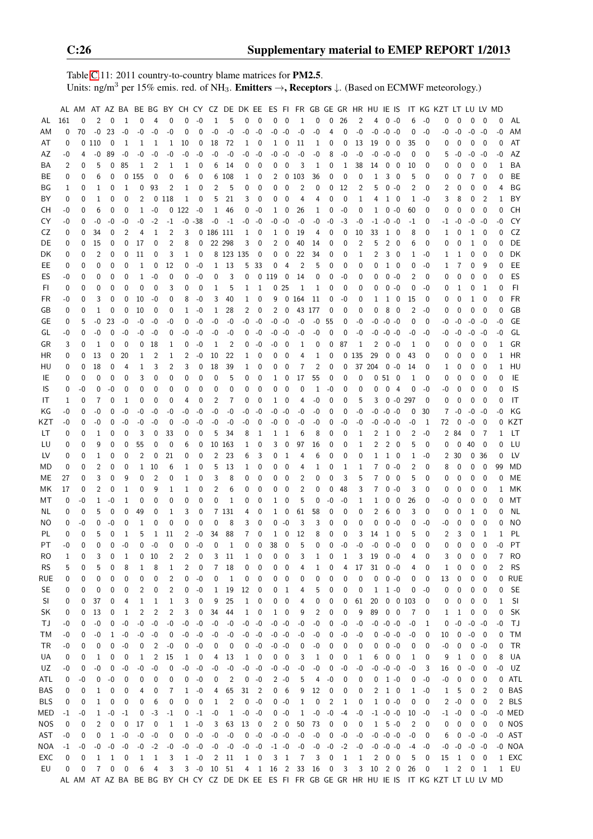Table [C.](#page-2-0)11: 2011 country-to-country blame matrices for PM2.5. Units: ng/m<sup>3</sup> per 15% emis. red. of NH<sub>3</sub>. **Emitters**  $\rightarrow$ **, Receptors**  $\downarrow$ . (Based on ECMWF meteorology.)

|            |      | AL AM AT AZ BA |                |              |      |                |                |      | BE BG BY CH CY CZ DE DK EE |             |              |                |              |                            |              |                 |                | ES FI FR GB GE GR HR HU IE IS |                   |              |      |                |                |                         |                 |                  | IT KG KZT LT LU LV MD                                                                         |                |             |                          |              |           |
|------------|------|----------------|----------------|--------------|------|----------------|----------------|------|----------------------------|-------------|--------------|----------------|--------------|----------------------------|--------------|-----------------|----------------|-------------------------------|-------------------|--------------|------|----------------|----------------|-------------------------|-----------------|------------------|-----------------------------------------------------------------------------------------------|----------------|-------------|--------------------------|--------------|-----------|
| AL         | 161  | 0              | 2              | $\mathbf{0}$ | 1    | 0              | 4              | 0    | $\Omega$                   | $-0$        | 1            | 5              | 0            | 0                          | 0            | $\mathbf 0$     | 1              | 0                             | 0                 | 26           | 2    | 4              |                | $0 - 0$                 | 6               | $-0$             | 0                                                                                             | 0              | 0           | 0                        | $\Omega$     | AL        |
| AM         | 0    | 70             | $-0$           | 23           | $-0$ | -0             | -0             | -0   | 0                          | 0           | $-0$         | -0             | $-0$         | $-0$                       | $-0 - 0$     |                 | $-0$           | $-0$                          | 4                 | 0            | $-0$ | -0             | $-0 - 0$       |                         | 0               | -0               | -0                                                                                            | -0             | -0          | -0                       | -0           | AM        |
| AT         | 0    |                | 0110           | 0            | 1    | 1              | 1              | 1    | 10                         | 0           | 18           | 72             | 1            | 0                          | 1            | 0               | 11             | 1                             | 0                 | 0            | 13   | 19             | 0              | 0                       | 35              | 0                |                                                                                               | 0              | 0           | 0                        | 0            | AT        |
| AZ         | -0   | 4              | -0             | 89           | -0   | -0             | -0             | -0   | -0                         | $-0$        | $-0$         | $-0$           | $-0$         | -0                         | -0           | -0              | -0             | -0                            | 8                 | -0           | -0   | -0             | $-0$           | -0                      | 0               | 0                | 5                                                                                             | -0             | -0          | -0                       | -0           | AZ        |
| ΒA         | 2    | 0              | 5              | 0            | 85   | 1              | 2              | 1    | 1                          | 0           | 6            | 14             | 0            | 0                          | 0            | 0               | 3              | 1                             | 0                 | $\mathbf{1}$ | 38   | 14             | 0              | 0                       | 10              | 0                | 0                                                                                             | 0              | 0           | 0                        | 1            | BA        |
| BE         | 0    | 0              | 6              | 0            |      | 0155           | 0              | 0    | 6                          | 0           | 6            | 108            | 1            | 0                          | 2            | 0               | 103            | 36                            | 0                 | 0            | 0    | 1              | 3              | 0                       | 5               | 0                | 0                                                                                             | 0              | 7           | 0                        | 0            | BE        |
| BG         | 1    | 0              | $\mathbf{1}$   | 0            | 1    | 0              | 93             | 2    | 1                          | 0           | 2            | 5              | 0            | $\mathbf{0}$               | 0            | 0               | 2              | 0                             | 0                 | 12           | 2    | 5              | 0              | -0                      | 2               | 0                | 2                                                                                             | 0              | 0           | 0                        | 4            | ΒG        |
| BY         | 0    | 0              | $\mathbf{1}$   | 0            | 0    | 2              |                | 0118 | 1                          | 0           | 5            | 21             | 3            | 0                          | 0            | 0               | 4              | 4                             | 0                 | 0            | 1    | 4              | $\mathbf{1}$   | 0                       | 1               | -0               | 3                                                                                             | 8              | 0           | $\overline{2}$           | 1            | BY        |
| CН         | -0   | 0              | 6              | 0            | 0    | 1              | -0             |      | 0122                       | $-0$        | 1            | 46             | 0            | $-0$                       | 1            | 0               | 26             | 1                             | 0                 | -0           | 0    | 1              |                | $0 - 0$                 | 60              | 0                | 0                                                                                             | 0              | 0           | $\mathbf 0$              | 0            | CH        |
| CY         | -0   | 0              | -0             | -0           | -0   | -0             | $-2$           | -1   |                            | $-0 - 38$   | -0           | $-1$           |              | $-0 - 0$                   | -0           | -0              | -0             | -0                            | -0                | -3           | -0   |                | $-1$ $-0$ $-0$ |                         | -1              | 0                | -1                                                                                            | -0             | -0          | -0                       | -0           | CY        |
| CZ         | 0    | 0              | 34             | 0            | 2    | 4              | 1              | 2    | 3                          |             | 0 186 111    |                | 1            | 0                          | 1            | 0               | 19             | 4                             | 0                 | 0            | 10   | 33             | 1              | - 0                     | 8               | 0                | 1                                                                                             | 0              | 1           | - 0                      | 0            | CZ        |
| DE         | 0    | 0              | 15             | 0            | 0    | 17             | 0              | 2    | 8                          | 0           |              | 22 298         | 3            | 0                          | 2            | 0               | 40             | 14                            | 0                 | 0            | 2    | 5              | 2              | 0                       | 6               | 0                | 0                                                                                             | 0              | 1           | 0                        | 0            | DE        |
| DK         | 0    | 0              | $\overline{2}$ | 0            | 0    | 11             | 0              | 3    | 1                          | 0           |              | 8 123 135      |              | 0                          | 0            | 0               | 22             | 34                            | 0                 | 0            | 1    | 2              | 3              | 0                       | 1               | -0               | 1                                                                                             | 1              | 0           | $\mathbf 0$              | 0            | DK        |
| EE.        | 0    | 0              | 0              | 0            | 0    | 1              | 0              | 12   | 0                          | $-0$        | 1            | 13             | 5            | -33                        | 0            | 4               | $\overline{2}$ | 5                             | 0                 | 0            | 0    | 0              | $1\quad 0$     |                         | 0               | -0               | 1                                                                                             | 7              | 0           | 9                        | $\Omega$     | EE        |
| ES         | -0   | 0              | 0              | 0            | 0    | 1              | -0             | 0    | 0                          | $-0$        | 0            | 3              | 0            |                            | 0119         | 0               | 14             | 0                             | 0                 | -0           | 0    | 0              |                | $0 - 0$                 | 2               | 0                | 0                                                                                             | 0              | 0           | $\mathbf 0$              | $\Omega$     | ES        |
| FI         | 0    | 0              | 0              | 0            | 0    | 0              | 0              | 3    | 0                          | 0           | 1            | 5              | 1            | 1                          |              | 0 <sub>25</sub> | 1              | 1                             | 0                 | 0            | 0    | 0              |                | $0 - 0$                 | 0               | -0               | 0                                                                                             | 1              | 0           | 1                        | $\Omega$     | F1        |
| FR         | -0   | 0              | 3              | 0            | 0    | 10             | -0             | 0    | 8                          | $-0$        | 3            | 40             | $\mathbf{1}$ | 0                          | 9            | 0               | 164            | 11                            | 0                 | -0           | 0    | $\mathbf{1}$   |                | 1 0                     | 15              | 0                | 0                                                                                             | 0              | 1           | 0                        | 0            | <b>FR</b> |
| GB         | 0    | 0              | 1              | 0            | 0    | 10             | 0              | 0    | 1                          | -0          | 1            | 28             | 2            | 0                          | 2            | 0               |                | 43 177                        | 0                 | 0            | 0    | 0              | 8              | 0                       | 2               | -0               | 0                                                                                             | 0              | 0           | 0                        | 0            | GB        |
| GЕ         | 0    | 5              | -0             | 23           | -0   | -0             | -0             | -0   | 0                          | $-0$        | -0           | -0             | -0           | -0                         | -0           | -0              | $-0$           | -0                            | 55                | 0            | $-0$ |                | $-0 - 0 - 0$   |                         | 0               | 0                | -0                                                                                            | -0             | -0          | -0                       | -0           | GE        |
| GL         | $-0$ | 0              | $-0$           | 0            | $-0$ | -0             | -0             | 0    | -0                         | $-0$        | -0           | $-0$           | 0            | -0                         | -0           | -0              | $-0$           | $-0$                          | 0                 | 0            | $-0$ | -0             | $-0$           | -0                      | $-0$            | $-0$             | -0                                                                                            | $-0$           | $-0$        | -0                       | -0           | GL        |
| GR         | 3    | 0              | $\mathbf{1}$   | 0            | 0    | 0              | 18             | 1    | 0                          | $-0$        | 1            | $\overline{2}$ | 0            | -0                         | -0           | 0               | 1              | 0                             | 0                 | 87           | 1    | 2              |                | $0 - 0$                 | 1               | 0                | 0                                                                                             | 0              | 0           | 0                        | 1            | GR        |
| HR         | 0    | 0              | 13             | 0            | 20   | 1              | $\overline{2}$ | 1    | 2                          | $-0$        | 10           | 22             | 1            | 0                          | 0            | 0               | 4              | 1                             | 0                 | 0            | 135  | 29             | 0              | 0                       | 43              | 0                | 0                                                                                             | 0              | 0           | 0                        | 1            | HR        |
| HU         | 0    | 0              | 18             | 0            | 4    | 1              | 3              | 2    | 3                          | 0           | 18           | 39             | 1            | 0                          | 0            | 0               | 7              | 2                             | 0                 | 0            | 37   | 204            | 0              | -0                      | 14              | 0                | 1                                                                                             | 0              | 0           | 0                        | 1            | HU        |
| IE         | 0    | 0              | 0              | 0            | 0    | 3              | 0              | 0    | 0                          | 0           | 0            | 5              | 0            | 0                          | 1            | 0               | 17             | 55                            | 0                 | 0            | 0    |                | 0 51           | 0                       | 1               | 0                | 0                                                                                             | 0              | 0           | 0                        | 0            | IE        |
| IS         | 0    | -0             | 0              | $-0$         | 0    | 0              | 0              | 0    | 0                          | 0           | 0            | 0              | 0            | 0                          | 0            | 0               | 0              | 1                             | -0                | 0            | 0    | 0              | 0              | $\overline{4}$          | 0               | -0               | -0                                                                                            | 0              | 0           | 0                        | 0            | IS        |
| IT         | 1    | 0              | 7              | 0            | 1    | 0              | 0              | 0    | 4                          | 0           | 2            | 7              | 0            | 0                          | 1            | 0               | 4              | -0                            | 0                 | 0            | 5    | 3              |                |                         | $0 - 0.297$     | 0                | 0                                                                                             | 0              | 0           | 0                        | 0            | IT        |
| ΚG         | -0   | 0              | -0             | 0            | -0   | -0             | -0             | -0   | -0                         | $-0$        | $-0$         | -0             | -0           | $-0$                       | -0           | -0              | $-0$           | -0                            | 0                 | 0            | -0   |                | $-0 - 0 - 0$   |                         | 0               | 30               | 7                                                                                             | -0             | $-0$        | -0                       | -0           | ΚG        |
| KZT        | $-0$ | 0              | -0             | 0            | $-0$ | $-0$           | -0             | 0    | $-0$                       | $-0$        | $-0$         | -0             | $-0$         | 0                          | -0           | 0               | $-0$           | $-0$                          | 0                 | $-0$         | -0   | -0             | $-0 - 0$       |                         | -0              | 1                | 72                                                                                            | 0              | $-0$        | 0                        | 0            | KZT       |
| LT         | 0    | 0              | $\mathbf{1}$   | 0            | 0    | 3              | 0              | 33   | 0                          | 0           | 5            | 34             | 8            | 1                          | 1            | 1               | 6              | 8                             | 0                 | 0            | 1    | 2              |                | $1\quad0$               | 2               | -0               | 2                                                                                             | 84             | 0           | - 7                      | 1            | LT.       |
| LU         | 0    | 0              | 9              | 0            | 0    | 55             | $\mathbf 0$    | 0    | 6                          | 0           |              | 10 163         | $\mathbf{1}$ | 0                          | 3            | 0               | 97             | 16                            | 0                 | 0            | 1    | 2              | $\overline{2}$ | - 0                     | 5               | 0                | 0                                                                                             | $\mathbf 0$    | 40          | $\mathbf 0$              | 0            | LU        |
| LV         | 0    | 0              | $\mathbf{1}$   | 0            | 0    | 2              | 0              | 21   | 0                          | 0           | 2            | 23             | 6            | 3                          | 0            | 1               | 4              | 6                             | 0                 | 0            | 0    | 1              |                | 1 0                     | 1               | -0               | 2                                                                                             | 30             | 0           | 36                       | 0            | LV        |
| MD         | 0    | 0              | 2              | 0            | 0    | 1              | 10             | 6    | 1                          | 0           | 5            | 13             | 1            | 0                          | 0            | 0               | 4              | 1                             | 0                 | 1            | 1    | 7              | 0              | -0                      | 2               | 0                | 8                                                                                             | 0              | 0           | $\mathbf 0$              | 99           | MD        |
| МE         | 27   | 0              | 3              | 0            | 9    | 0              | 2              | 0    | 1                          | 0           | 3            | 8              | 0            | 0                          | 0            | 0               | 2              | 0                             | 0                 | 3            | 5    | 7              | 0              | 0                       | 5               | 0                | 0                                                                                             | 0              | 0           | 0                        | 0            | ME        |
| МK         | 17   | 0              | 2              | 0            | 1    | 0              | 9              | 1    | 1                          | 0           | 2            | 6              | 0            | 0                          | 0            | 0               | $\overline{2}$ | 0                             | 0                 | 48           | 3    | 7              |                | $0 - 0$                 | 3               | 0                | 0                                                                                             | 0              | 0           | 0                        | 1            | МK        |
| МT         | 0    | -0             | 1              | $-0$         | 1    | 0              | 0              | 0    | 0                          | 0           | 0            | 1              | 0            | 0                          | 1            | 0               | 5              | 0                             | $-0$              | -0           | 1    | 1              | 0              | 0                       | 26              | 0                | -0                                                                                            | 0              | 0           | 0                        | 0            | МT        |
| NL.        | 0    | 0              | 5              | 0            | 0    | 49             | 0              | 1    | 3                          | 0           | 7            | 131            | 4            | 0                          | 1            | 0               | 61             | 58                            | 0                 | 0            | 0    | 2              | 6              | 0                       | 3               | 0                | 0                                                                                             | 0              | 1           | 0                        | 0            | NL        |
| NO.        | 0    | -0             | 0              | $-0$         | 0    | 1              | 0              | 0    | 0                          | $\mathbf 0$ | 0            | 8              | 3            | 0                          | 0            | -0              | 3              | 3                             | 0                 | 0            | 0    | 0              | 0              | -0                      | 0               | -0               | -0                                                                                            | 0              | 0           | 0                        | 0            | NO        |
| PL         | 0    | 0              | 5              | 0            | 1    | 5              | $\mathbf{1}$   | 11   | 2                          | $-0$        | 34           | 88             | 7            | $\mathbf{0}$               | 1            | 0               | 12             | 8                             | $\mathbf 0$       | 0            | 3    | 14             | $\mathbf{1}$   | 0                       | 5               | $\mathbf{0}$     | 2                                                                                             | 3              | 0           | $\mathbf{1}$             | 1            | PL        |
| <b>PT</b>  | -0   | 0              | $\Omega$       | 0            | $-0$ | 0              | $-0$           | 0    | 0                          | $-0$        | 0            | 1              | 0            | 0                          | 38           | 0               | 5              | 0                             | 0                 | $-0$         | $-0$ | $-0$           | $0 - 0$        |                         | 0               | 0                | $\Omega$                                                                                      | 0              | $\mathbf 0$ | $\mathbf 0$              | $-0$         | PT        |
| RO         | 1    | 0              | 3              | 0            | 1    | 0              | 10             | 2    | 2                          | 0           | 3            | 11             | 1            | $\boldsymbol{0}$           | 0            | 0               | 3              | 1                             | 0                 | 1            | 3    | 19             |                | $0 - 0$                 | 4               | 0                | 3                                                                                             | 0              | 0           | 0                        | 7            | <b>RO</b> |
| <b>RS</b>  | 5    | 0              | 5              | 0            | 8    | 1              | 8              | 1    | 2                          | 0           | 7            | 18             | 0            | 0                          | 0            | 0               |                | 1                             | 0                 | 4            | 17   | 31             | $0 - 0$        |                         | 4               | 0                | 1                                                                                             | 0              | 0           | 0                        | 2            | <b>RS</b> |
| rue        | 0    | 0              | 0              | 0            | 0    | 0              | 0              | 2    | 0                          | $-0$        | 0            | $\mathbf{1}$   | 0            | 0                          | 0            | 0               | 0              | 0                             | 0                 | 0            | 0    | 0              |                | $0 - 0$                 | 0               | 0                | 13                                                                                            | 0              | 0           | 0                        |              | 0 RUE     |
| <b>SE</b>  | 0    | 0              | 0              | 0            | 0    | 2              | 0              | 2    | 0                          | $-0$        | 1            | 19             | 12           | 0                          | 0            | 1               | 4              | 5                             | 0                 | 0            | 0    | 1              | $1 - 0$        |                         | 0               | -0               | 0                                                                                             | 0              | 0           | 0                        | 0            | <b>SE</b> |
| SI         | 0    | 0              | 37             | 0            | 4    | 1              | 1              | 1    | 3                          | 0           | 9            | 25             | $\mathbf 1$  | 0                          | 0            | 0               | 4              | 0                             | 0                 | 0            | 61   | 20             |                |                         | $0 \t 0 \t 103$ | 0                | 0                                                                                             | 0              | 0           | $\boldsymbol{0}$         | 1            | SI        |
| SK         | 0    | 0              | 13             | 0            | 1    | $\overline{c}$ | 2              | 2    | 3                          | $\mathbf 0$ | 34           | 44             | $\mathbf 1$  | 0                          | 1            | 0               | 9              | 2                             | 0                 | 0            | 9    | 89             | $0\quad 0$     |                         | 7               | 0                | 1                                                                                             | 1              | 0           | 0                        | 0            | <b>SK</b> |
| ТJ         | -0   | 0              | $-0$           | 0            | -0   | -0             | $-0$           | -0   | $-0$                       | $-0$        | $-0$         | $-0$           | $-0$         | $-0$                       | $-0 - 0$     |                 | -0             | $-0$                          | 0                 | -0           | -0   |                | $-0 - 0 - 0$   |                         | -0              | 1                | 0                                                                                             | $-0$           | $-0$        | $-0$                     | -0           | ΤJ        |
| ТM         | -0   | 0              | -0             | 1            | -0   | -0             | -0             | 0    | -0                         | $-0$        | -0           | -0             |              | $-0 - 0$                   | $-0 -0$      |                 | -0             | -0                            | 0                 | -0           | -0   |                | $0 - 0 - 0$    |                         | -0              | 0                | 10                                                                                            | 0              | $-0$        | $\overline{\phantom{0}}$ | 0            | <b>TM</b> |
| TR         | -0   | 0              | 0              | 0            | -0   | 0              | 2              | -0   | 0                          | $-0$        | 0            | 0              | 0            | -0                         | $-0 - 0$     |                 | 0              | -0                            | 0                 | 0            | 0    | 0              |                | $0 - 0$                 | 0               | 0                | -0                                                                                            | 0              | 0           | $-0$                     | 0            | TR        |
| UA         | 0    | 0              | 1              | 0            | 0    | 1              | 2              | 15   | 1                          | 0           | 4            | 13             | 1            | 0                          | 0            | 0               | 3              | 1                             | 0                 | 0            | 1    | 6              | $0\quad 0$     |                         | 1               | 0                | 9                                                                                             | 1              | 0           | $\overline{\mathbf{0}}$  | 8            | UA        |
| UZ         | -0   | 0              | -0             | 0            | -0   | -0             | -0             | 0    | -0                         | $-0$        | -0           | -0             |              | $-0 - 0$                   | $-0 - 0$     |                 | -0             | $-0$                          | 0                 | -0           | -0   |                | $-0 - 0 - 0$   |                         | -0              | 3                | 16                                                                                            | 0              | -0          | 0                        | -0           | UZ        |
| ATL        | 0    | $-0$           | 0              | $-0$         | 0    | 0              | 0              | 0    | 0                          | $-0$        | 0            | $\overline{2}$ | 0            | $-0$                       |              | $2 - 0$         | 5              | 4                             | $-0$              | 0            | 0    | 0              | $1 - 0$        |                         | 0               | $-0$             | -0                                                                                            | 0              | 0           | $\boldsymbol{0}$         | 0            | ATL       |
| <b>BAS</b> | 0    | 0              | 1              | 0            | 0    | 4              | 0              | 7    | 1                          | $-0$        | 4            | 65             | 31           | $\overline{\phantom{0}}^2$ | 0            | 6               | 9              | 12                            | 0                 | 0            | 0    | $\overline{2}$ | 1 0            |                         | 1               | -0               | $\mathbf{1}$                                                                                  | 5              | 0           | $\overline{2}$           |              | 0 BAS     |
| <b>BLS</b> | 0    | 0              | 1              | 0            | 0    | 0              | 6              | 0    | 0                          | $\mathbf 0$ | $\mathbf{1}$ | $\overline{2}$ | 0            | -0                         |              | $0 - 0$         | 1              | $\mathbf 0$                   | $\overline{c}$    | 1            | 0    | $\mathbf{1}$   | $0 - 0$        |                         | 0               | 0                | 2                                                                                             | $-0$           | $\pmb{0}$   | $\mathbf 0$              |              | 2 BLS     |
| MED        | $-1$ | -0             | $\mathbf{1}$   | $-0$         | $-1$ | 0              | $-3$           | $-1$ | 0                          | $-1$        | $-0$         | $\mathbf{1}$   | $-0$         | -0                         |              | $0 - 0$         | 1              | $\mbox{-}0$                   | $\textnormal{-}0$ | $-4$         | -0   |                | $-1$ $-0$ $-0$ |                         | 10              | -0               |                                                                                               | $-1 - 0$       | 0           | -0                       |              | -0 MED    |
| <b>NOS</b> | 0    | 0              | 2              | 0            | 0    | 17             | 0              | 1    | $\mathbf 1$                | $-0$        | 3            | 63             | 13           | $\overline{\phantom{0}}$   | $\mathbf{2}$ | 0               | 50             | 73                            | 0                 | 0            | 0    |                | $1 5 - 0$      |                         | 2               | 0                | 0                                                                                             | $\pmb{0}$      | 0           | $\overline{0}$           |              | 0 NOS     |
| AST        | -0   | 0              | 0              | $\mathbf{1}$ | $-0$ | -0             | -0             | 0    | 0                          | $-0$        | $-0$         | $-0$           | 0            | -0                         | $-0 - 0$     |                 | $-0$           | $-0$                          | 0                 | -0           | -0   |                | $-0 - 0 - 0$   |                         | -0              | 0                | 6                                                                                             | 0              |             | $-0 - 0$                 |              | $-0$ AST  |
| <b>NOA</b> | $-1$ | -0             | -0             | $-0$         | -0   | -0             | $-2$           | -0   | -0                         | $-0$        | -0           | $-0$           |              | $-0 - 0$                   | $-1 - 0$     |                 | $-0$           | $-0$                          | $-0$              | $-2$         | -0   |                | $-0 - 0 - 0$   |                         | -4              | -0               | -0                                                                                            | $-0$           | $-0 - 0$    |                          |              | -0 NOA    |
| EXC        | 0    | 0              | 1              | 1            | 0    | 1              | 1              | 3    | $\mathbf{1}$               | $-0$        | 2            | 11             | $\mathbf 1$  | 0                          | 3            | $\mathbf{1}$    | 7              | 3                             | 0                 | $\mathbf{1}$ | 1    | 2              | 0              | $\overline{\mathbf{0}}$ | 5               | 0                | 15                                                                                            | 1              | 0           | $\overline{\mathbf{0}}$  |              | 1 EXC     |
| EU         | 0    | 0              | 7              | 0            | 0    | 6              | $\overline{4}$ | 3    | 3                          | $\mbox{-}0$ | 10           | 51             | 4            | $\mathbf{1}$               | 16           |                 | 2 33           | 16                            | $\pmb{0}$         | 3            | 3    | 10             | 2 0            |                         | 26              | $\boldsymbol{0}$ | $\mathbf 1$                                                                                   | $\overline{2}$ | 0           | $\mathbf{1}$             | $\mathbf{1}$ | EU        |
|            |      |                |                |              |      |                |                |      |                            |             |              |                |              |                            |              |                 |                |                               |                   |              |      |                |                |                         |                 |                  | AL AM AT AZ BA BE BG BY CH CY CZ DE DK EE ES FI FR GB GE GR HR HU IE IS IT KG KZT LT LU LV MD |                |             |                          |              |           |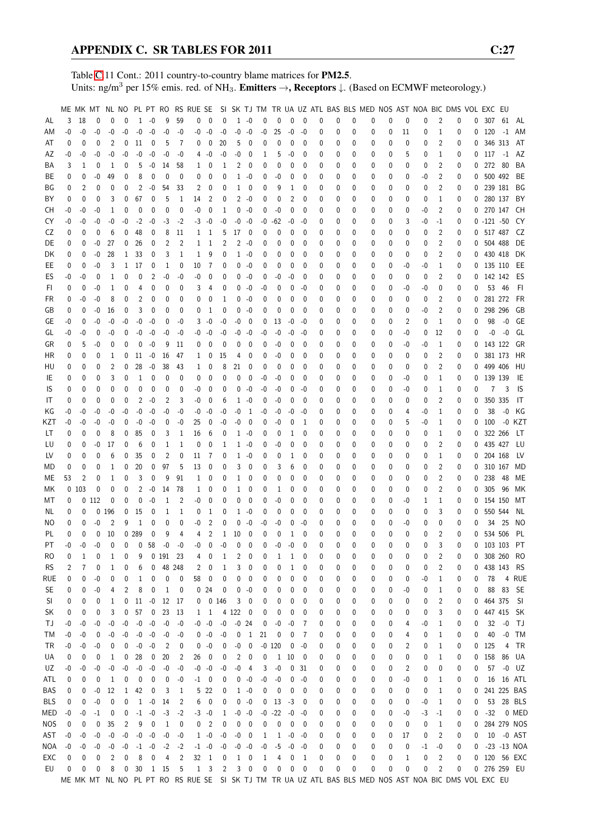Table [C.](#page-2-0)11 Cont.: 2011 country-to-country blame matrices for PM2.5. Units: ng/m<sup>3</sup> per 15% emis. red. of NH<sub>3</sub>. **Emitters**  $\rightarrow$ **, Receptors**  $\downarrow$ . (Based on ECMWF meteorology.)

|           |      |      |                  |                |              |                   |                |              |      | ME MK MT NL NO PL PT RO RS RUE SE |                            |                   |              |                          |      |            |             |             |   |          |          | SI SK TJ TM TR UA UZ ATL BAS BLS MED NOS AST NOA BIC DMS VOL EXC EU                                   |              |    |      |                |          |   |              |           |             |
|-----------|------|------|------------------|----------------|--------------|-------------------|----------------|--------------|------|-----------------------------------|----------------------------|-------------------|--------------|--------------------------|------|------------|-------------|-------------|---|----------|----------|-------------------------------------------------------------------------------------------------------|--------------|----|------|----------------|----------|---|--------------|-----------|-------------|
| AL        | 3    | 18   | 0                | 0              | $\Omega$     | $\mathbf{1}$      | $-0$           | 9            | 59   | 0                                 | $\mathbf 0$                | $\mathbf{0}$      | $\mathbf{1}$ | $-0$                     | 0    | 0          | $\Omega$    | 0           | 0 | 0        | 0        | 0                                                                                                     | $\mathbf{0}$ | 0  | 0    | $\overline{2}$ | 0        | 0 | 307          | 61        | AL          |
| AM        | $-0$ | -0   | -0               | -0             | $-0$         | $-0$              | $-0$           | $-0$         | -0   | -0                                | $-0$                       | $-0$              | $-0$         | $-0$                     | -0   | 25         | -0          | -0          | 0 | 0        | 0        | 0                                                                                                     | 0            | 11 | 0    | 1              | 0        | 0 |              | $120 - 1$ | AM          |
| AT        | 0    | 0    | 0                | 2              | 0            | 11                | 0              | 5            | 7    | 0                                 | 0                          | 20                | 5            | 0                        | 0    | 0          | 0           | 0           | 0 | 0        | 0        | 0                                                                                                     | 0            | 0  | 0    | 2              | 0        | 0 |              | 346 313   | AT          |
| AZ        | -0   | -0   | -0               | -0             | -0           | -0                | $-0$           | -0           | -0   |                                   | 40                         | -0                | -0           | 0                        | 1    | 5          | -0          | 0           | 0 | 0        | 0        | 0                                                                                                     | 0            | 5  | 0    | 1              | 0        |   | $0$ 117 $-1$ |           | AZ          |
| ΒA        | 3    | 1    | 0                | 1              | 0            | 5                 | -0             | 14           | 58   | 1                                 | 0                          | 1                 | 2            | 0                        | 0    | 0          | 0           | 0           | 0 | 0        | 0        | 0                                                                                                     | 0            | 0  | 0    | $\overline{2}$ | 0        | 0 | 272 80       |           | BA          |
| ВE        | 0    | 0    | -0               | 49             | 0            | 8                 | 0              | 0            | 0    | 0                                 | 0                          | 0                 | 1            | -0                       | 0    | -0         | 0           | 0           | 0 | 0        | 0        | 0                                                                                                     | 0            | 0  | -0   | 2              | 0        | 0 | 500 492      |           | BE          |
| ΒG        | 0    | 2    | 0                | 0              | 0            | $\overline{2}$    | $-0$           | 54           | 33   | 2                                 | 0                          | 0                 | 1            | 0                        | 0    | 9          | 1           | 0           | 0 | 0        | 0        | 0                                                                                                     | 0            | 0  | 0    | $\overline{2}$ | 0        | 0 |              | 239 181   | BG          |
|           | 0    |      |                  |                |              |                   |                |              |      |                                   |                            |                   |              |                          |      |            |             |             |   |          |          |                                                                                                       |              |    |      | 1              |          |   |              |           | BY          |
| ΒY        |      | 0    | 0                | 3              | 0            | 67                | 0              | 5            | 1    | 14                                | 2                          | 0                 | 2            | -0                       | 0    | 0          | 2           | 0           | 0 | 0        | 0        | 0                                                                                                     | 0            | 0  | 0    |                | 0        | 0 |              | 280 137   |             |
| CН        | -0   | -0   | -0               | 1              | 0            | 0                 | 0              | $\mathbf{0}$ | 0    | -0                                | $\mathbf{0}$               | $\mathbf 1$       | 0            | $-0$                     | 0    | -0         | 0           | 0           | 0 | 0        | 0        | 0                                                                                                     | 0            | 0  | -0   | 2              | 0        | 0 |              | 270 147   | CH          |
| CY        | -0   | -0   | -0               | -0             | -0           | $-2$              | -0             | -3           | $-2$ | -3                                | -0                         | $-0$              | -0           | -0                       | -0   | -62        | -0          | -0          | 0 | 0        | 0        | 0                                                                                                     | 0            | 3  | -0   | -1             | 0        |   | $0 -121 -50$ |           | CY          |
| CZ        | 0    | 0    | 0                | 6              | 0            | 48                | 0              | 8            | 11   | 1                                 | 1                          | 5                 | 17           | 0                        | 0    | 0          | 0           | 0           | 0 | 0        | 0        | 0                                                                                                     | 0            | 0  | 0    | 2              | 0        |   | 0 517 487    |           | CZ          |
| DE        | 0    | 0    | -0               | 27             | 0            | 26                | 0              | 2            | 2    | 1                                 | 1                          | 2                 | 2            | -0                       | 0    | 0          | 0           | 0           | 0 | 0        | 0        | 0                                                                                                     | 0            | 0  | 0    | 2              | 0        | 0 | 504 488      |           | DE          |
| DK        | 0    | 0    | -0               | 28             | $\mathbf{1}$ | 33                | 0              | 3            | 1    | 1                                 | 9                          | 0                 |              | $1 - 0$                  | 0    | 0          | 0           | 0           | 0 | 0        | 0        | 0                                                                                                     | 0            | 0  | 0    | 2              | 0        | 0 |              | 430 418   | DK          |
| EE        | 0    | 0    | -0               | 3              | 1            | 17                | 0              | 1            | 0    | 10                                | 7                          | 0                 | 0            | -0                       | 0    | 0          | 0           | 0           | 0 | 0        | 0        | 0                                                                                                     | 0            | -0 | -0   | 1              | 0        | 0 | 135 110      |           | EE          |
| ES        | $-0$ | -0   | $\mathbf 0$      | 1              | 0            | 0                 | $\overline{2}$ | $-0$         | $-0$ | -0                                | 0                          | 0                 | 0            | $-0$                     | 0    | -0         | -0          | 0           | 0 | 0        | 0        | 0                                                                                                     | 0            | 0  | 0    | $\overline{2}$ | 0        | 0 |              | 142 142   | ES          |
| FI.       | 0    | 0    | -0               | 1              | 0            | 4                 | 0              | 0            | 0    | 3                                 | 4                          | 0                 | 0            | -0                       | -0   | 0          | 0           | -0          | 0 | 0        | 0        | 0                                                                                                     | 0            | -0 | -0   | 0              | 0        | 0 |              | 53 46     | FI          |
| FR        | 0    | -0   | -0               | 8              | 0            | 2                 | 0              | 0            | 0    | 0                                 | 0                          | 1                 | 0            | -0                       | 0    | 0          | 0           | 0           | 0 | 0        | 0        | 0                                                                                                     | 0            | 0  | 0    | $\overline{2}$ | 0        | 0 |              | 281 272   | FR          |
| GB        | 0    | 0    | -0               | 16             | 0            | 3                 | 0              | 0            | 0    | 0                                 | 1                          | 0                 | 0            | -0                       | 0    | 0          | 0           | 0           | 0 | 0        | 0        | 0                                                                                                     | 0            | 0  | -0   | $\overline{2}$ | 0        | 0 | 298 296      |           | GB          |
| GE        | -0   | 0    | -0               | -0             | -0           | -0                | $-0$           | 0            | -0   | 3                                 | -0                         | $-0$              | -0           | 0                        | 0    | 13         | -0          | -0          | 0 | 0        | 0        | 0                                                                                                     | 0            | 2  | 0    | 1              | 0        | 0 | 98           | $-0$      | GE          |
| GL        | -0   | -0   | 0                | -0             | 0            | -0                | -0             | -0           | -0   |                                   | $-0 - 0$                   | -0                | -0           | -0                       | -0   | -0         | -0          | -0          | 0 | 0        | 0        | 0                                                                                                     | 0            | -0 | 0    | 12             | 0        | 0 | -0           | -0        | GL          |
| GR        | 0    | 5    | -0               | 0              | 0            | 0                 | $-0$           | 9            | 11   | 0                                 | 0                          | 0                 | 0            | 0                        | 0    | -0         | 0           | 0           | 0 | 0        | 0        | 0                                                                                                     | 0            | -0 | -0   | 1              | 0        | 0 | 143 122      |           | GR          |
| HR        | 0    | 0    | 0                | 1              | 0            | 11                | $-0$           | 16           | 47   | 1                                 | 0                          | 15                | 4            | 0                        | 0    | -0         | 0           | 0           | 0 | 0        | 0        | 0                                                                                                     | 0            | 0  | 0    | 2              | 0        | 0 | 381 173      |           | HR          |
| HU        | 0    | 0    | 0                | 2              | 0            | 28                | $-0$           | 38           | 43   | $\mathbf{1}$                      | 0                          | 8                 | 21           | 0                        | 0    | 0          | 0           | 0           | 0 | 0        | 0        | 0                                                                                                     | 0            | 0  | 0    | $\overline{2}$ | 0        | 0 | 499 406      |           | HU          |
| IE        | 0    | 0    | 0                | 3              | 0            | $\mathbf{1}$      | 0              | 0            | 0    | 0                                 | $\mathbf{0}$               | 0                 | 0            | 0                        | -0   | -0         | 0           | 0           | 0 | 0        | 0        | 0                                                                                                     | 0            | -0 | 0    | $\mathbf{1}$   | 0        | 0 | 139 139      |           | IE          |
| IS        | 0    | 0    | 0                | 0              | 0            | 0                 | 0              | 0            | 0    | -0                                | 0                          | 0                 | 0            | -0                       | -0   | -0         | 0           | -0          | 0 | 0        | 0        | 0                                                                                                     | 0            | -0 | 0    | 1              | 0        | 0 | 7            | 3         | IS          |
|           | 0    |      |                  | 0              | 0            | 2                 | $-0$           | 2            |      |                                   |                            |                   |              | $-0$                     |      |            |             | 0           |   | 0        |          |                                                                                                       |              |    |      | $\overline{2}$ |          |   | 350 335      |           | IT          |
| IT        |      | 0    | 0                |                |              |                   |                |              | 3    | -0                                | 0                          | 6                 | 1            |                          | 0    | -0         | 0           |             | 0 |          | 0        | 0                                                                                                     | 0            | 0  | 0    |                | 0        | 0 |              |           |             |
| ΚG        | -0   | -0   | -0               | -0             | -0           | -0                | $-0$           | -0           | -0   | -0                                | -0                         | -0                | -0           | 1                        | -0   | -0         | -0          | -0          | 0 | 0        | 0        | 0                                                                                                     | 0            | 4  | -0   | 1              | 0        | 0 | 38           | $-0$      | КG          |
| KZT       | -0   | -0   | -0               | -0             | 0            | $-0$              | $-0$           | 0            | -0   | 25                                | 0                          | -0                | -0           | 0                        | 0    | -0         | 0           | 1           | 0 | 0        | 0        | 0                                                                                                     | 0            | 5  | -0   | 1              | 0        | 0 | 100          |           | -0 KZT      |
| LT        | 0    | 0    | 0                | 8              | 0            | 85                | 0              | 3            | 1    | 16                                | 6                          | 0                 | 1            | -0                       | 0    | 0          | 1           | 0           | 0 | 0        | 0        | 0                                                                                                     | 0            | 0  | 0    | 1              | 0        | 0 | 322 266      |           | LT          |
| LU        | 0    | 0    | -0               | 17             | 0            | 6                 | 0              | 1            | 1    | 0                                 | 0                          | 1                 | 1            | -0                       | 0    | -0         | 0           | 0           | 0 | 0        | 0        | 0                                                                                                     | 0            | 0  | 0    | $\overline{2}$ | 0        | 0 | 435 427      |           | LU          |
| LV        | 0    | 0    | 0                | 6              | 0            | 35                | 0              | 2            | 0    | 11                                | -7                         | 0                 | $\mathbf{1}$ | -0                       | 0    | 0          | 1           | 0           | 0 | 0        | 0        | 0                                                                                                     | 0            | 0  | 0    | 1              | 0        | 0 | 204 168      |           | LV          |
| MD        | 0    | 0    | 0                | 1              | 0            | 20                | 0              | 97           | 5    | 13                                | 0                          | 0                 | 3            | 0                        | 0    | 3          | 6           | 0           | 0 | 0        | 0        | 0                                                                                                     | 0            | 0  | 0    | 2              | 0        | 0 |              | 310 167   | MD          |
| МE        | 53   | 2    | 0                | 1              | 0            | 3                 | 0              | 9            | 91   | 1                                 | 0                          | 0                 | $\mathbf{1}$ | 0                        | 0    | 0          | 0           | 0           | 0 | 0        | 0        | 0                                                                                                     | 0            | 0  | 0    | $\overline{2}$ | 0        | 0 | 238          | - 48      | МE          |
| МK        |      | 0103 | 0                | 0              | 0            | $\overline{c}$    | $-0$           | 14           | 78   | 1                                 | 0                          | 0                 | 1            | 0                        | 0    | 1          | 0           | 0           | 0 | 0        | 0        | 0                                                                                                     | 0            | 0  | 0    | $\overline{2}$ | 0        | 0 | 305          | - 96      | МK          |
| МT        | 0    |      | 0112             | 0              | 0            | 0                 | $-0$           | 1            | 2    | -0                                | 0                          | 0                 | 0            | 0                        | 0    | -0         | 0           | 0           | 0 | 0        | 0        | 0                                                                                                     | 0            | -0 | 1    | 1              | 0        | 0 | 154 150      |           | МT          |
| ΝL        | 0    | 0    | 0                | 196            | 0            | 15                | 0              | 1            | 1    | 0                                 | 1                          | 0                 | 1            | -0                       | 0    | 0          | 0           | 0           | 0 | 0        | 0        | 0                                                                                                     | 0            | 0  | 0    | 3              | 0        | 0 | 550 544      |           | NL          |
| ΝO        | 0    | 0    | $-0$             | $\overline{2}$ | 9            | $\mathbf{1}$      | 0              | 0            | 0    | -0                                | $\overline{2}$             | 0                 | 0            | $-0$                     | -0   | -0         | 0           | -0          | 0 | 0        | 0        | 0                                                                                                     | 0            | -0 | 0    | 0              | 0        | 0 | 34           | 25        | NO          |
| PL        | 0    | 0    | 0                | 10             |              | 0 289             | $\mathbf 0$    | 9            | 4    | 4                                 | $\overline{2}$             | $\mathbf{1}$      | 10           | 0                        | 0    | 0          | 1           | $\mathbf 0$ | 0 | 0        | 0        | 0                                                                                                     | 0            | 0  | 0    | $\overline{2}$ | 0        | 0 | 534 506      |           | PL          |
| PT        | $-0$ | $-0$ | $-0$             | $\theta$       | 0            | $\mathbf{0}$      | 58             | $-0$         | $-0$ | -0                                | $\theta$                   | $-0$              | 0            | $\mathbf{0}$             | 0    | $-0$       | $-0$        | $\Omega$    | U | $\Omega$ | $\Omega$ | U                                                                                                     | 0            | 0  | 0    | 3              | $\Omega$ | 0 | 103 103      |           | PT          |
| RO        | 0    | 1    | 0                | 1              | 0            | 9                 |                | 0 191 23     |      | 4                                 | 0                          | 1                 | 2            | 0                        | 0    | 1          | 1           | 0           | 0 | 0        | 0        | 0                                                                                                     | 0            | 0  | 0    | 2              | 0        | 0 |              | 308 260   | RO          |
| <b>RS</b> | 2    | 7    | 0                | 1              | 0            | 6                 |                | $0$ 48 248   |      | 2                                 | 0                          | 1                 | 3            | 0                        | 0    | 0          | 1           | 0           | 0 | 0        | 0        | 0                                                                                                     | 0            | 0  | 0    | 2              | 0        | 0 |              | 438 143   | RS          |
| rue       | 0    | 0    | $-0$             | 0              | 0            | 1                 | 0              | 0            | 0    | 58                                | 0                          | 0                 | 0            | 0                        | 0    | 0          | 0           | 0           | 0 | 0        | 0        | 0                                                                                                     | 0            | 0  | -0   | 1              | 0        | 0 | 78           |           | 4 RUE       |
| <b>SE</b> | 0    | 0    | -0               | 4              | 2            | 8                 | 0              | $\mathbf{1}$ | 0    |                                   | 024                        | 0                 | 0            | $-0$                     | 0    | 0          | 0           | 0           | 0 | 0        | 0        | 0                                                                                                     | 0            | -0 | 0    | 1              | 0        | 0 |              | 88 83     | - SE        |
| SI        | 0    | 0    | $\boldsymbol{0}$ | 1              | 0            |                   | $11 - 0$       | 12 17        |      |                                   | 0 0 146                    |                   | 3            | 0                        | 0    | 0          | 0           | 0           | 0 | 0        | 0        | 0                                                                                                     | 0            | 0  | 0    | 2              | 0        | 0 | 464 375      |           | - SI        |
| SK        | 0    | 0    | 0                | 3              | 0            | 57                | 0              | 23           | 13   |                                   | $1\quad 1$                 |                   | 4 1 2 2      | $\boldsymbol{0}$         | 0    | 0          | 0           | 0           | 0 | 0        | 0        | 0                                                                                                     | 0            | 0  | 0    | 3              | 0        | 0 |              | 447 415   | - SK        |
|           |      |      |                  |                |              | $\textnormal{-}0$ |                |              |      |                                   |                            | $\textnormal{-}0$ |              |                          |      |            |             |             |   |          |          |                                                                                                       |              |    |      |                |          |   |              |           |             |
| ТJ        | -0   | -0   | -0               | -0             | $-0$         |                   | $-0$           | $-0$         | -0   |                                   | $-0 - 0$                   |                   | $-0$ 24      |                          | 0    | -0         | -0          | 7           | 0 | 0        | 0        | 0                                                                                                     | 0            | 4  | -0   | 1              | 0        | 0 | 32           | $-0$      | TJ          |
| ТM        | -0   | -0   | 0                | -0             | -0           | $-0$              | $-0$           | $-0$         | -0   |                                   | $0 - 0$                    | $-0$              | 0            | $\,$ 1                   | 21   | 0          | 0           | 7           | 0 | 0        | 0        | 0                                                                                                     | 0            | 4  | 0    | 1              | 0        | 0 | 40           | $-0$      | TM          |
| TR        | -0   | -0   | -0               | 0              | 0            | $-0$              | $-0$           | 2            | 0    |                                   | $0 - 0$                    | 0                 | $-0$         | $\boldsymbol{0}$         |      | $-0$ 120   | 0           | -0          | 0 | 0        | 0        | 0                                                                                                     | 0            | 2  | 0    | 1              | 0        | 0 | 125          | 4         | TR          |
| UA        | 0    | 0    | 0                | 1              | 0            | 28                | 0              | 20           | 2    | 26                                | 0                          | 0                 | 2            | 0                        | 0    | 1          | 10          | 0           | 0 | 0        | 0        | 0                                                                                                     | 0            | 0  | 0    | 1              | 0        | 0 | 158          | 86        | UA          |
| UZ        | -0   | -0   | -0               | -0             | -0           | $-0$              | $-0$           | -0           | -0   |                                   | $-0 - 0$                   | -0                | -0           | 4                        | 3    | -0         | 0           | 31          | 0 | 0        | 0        | 0                                                                                                     | 0            | 2  | 0    | 0              | 0        | 0 | 57           |           | $-0$ UZ     |
| ATL       | 0    | 0    | 0                | 1              | 0            | 0                 | 0              | 0            | -0   |                                   | $-1$ 0                     | 0                 |              | $0 - 0$                  | -0   | -0         | 0           | -0          | 0 | 0        | 0        | 0                                                                                                     | 0            | -0 | 0    | 1              | 0        | 0 |              |           | 16 16 ATL   |
| BAS       | 0    | 0    | -0               | 12             | $\mathbf{1}$ | 42                | 0              | 3            | 1    | 5                                 | 22                         | 0                 |              | $1 - 0$                  | 0    | 0          | 0           | 0           | 0 | 0        | 0        | 0                                                                                                     | 0            | 0  | 0    | 1              | 0        | 0 |              |           | 241 225 BAS |
| BLS       | 0    | 0    | -0               | 0              | 0            | $\mathbf{1}$      | $-0$           | 14           | 2    | 6                                 | 0                          | 0                 | 0            | $-0$                     | 0    | 13         | $-3$        | 0           | 0 | 0        | 0        | 0                                                                                                     | 0            | 0  | $-0$ | 1              | 0        | 0 |              |           | 53 28 BLS   |
| MED       | -0   | $-0$ | $-1$             | 0              | 0            | $-1$              | $-0$           | $-3$         | $-2$ |                                   | $-3 - 0$                   | $\mathbf{1}$      | $-0 - 0$     |                          |      | $-0$ $-22$ | -0          | -0          | 0 | 0        | 0        | 0                                                                                                     | 0            | -0 | $-3$ | $-1$           | 0        | 0 | $-32$        |           | 0 MED       |
| NOS       | 0    | 0    | 0                | 35             | 2            | 9                 | $\pmb{0}$      | $\mathbf{1}$ | 0    | 0                                 | $\overline{\phantom{0}}^2$ | 0                 | 0            | $\overline{\phantom{0}}$ | 0    | 0          | $\mathbf 0$ | 0           | 0 | 0        | 0        | 0                                                                                                     | 0            | 0  | 0    | $\mathbf{1}$   | 0        | 0 |              |           | 284 279 NOS |
| AST       | -0   | $-0$ | -0               | -0             | $-0$         | $-0$              | $-0$           | $-0$         | -0   |                                   | $1 - 0$                    | $-0$              | $-0$ 0       |                          | 1    | 1          | $-0$        | -0          | 0 | 0        | 0        | 0                                                                                                     | 0            | 17 | 0    | 2              | 0        | 0 |              |           | 10 -0 AST   |
| NOA       | $-0$ | -0   | -0               | -0             | $-0$         | $-1$              | $-0$           | $-2$         | $-2$ |                                   | $-1 - 0$                   | $\textnormal{-}0$ | $-0 - 0$     |                          | $-0$ | $-5$       | $-0$        | -0          | 0 | 0        | 0        | 0                                                                                                     | 0            | 0  | $-1$ | -0             | 0        | 0 |              |           | -23 -13 NOA |
| EXC       | 0    | 0    | 0                | 2              | 0            | 8                 | 0              | 4            | 2    | 32 1                              |                            | 0                 |              | $1 \quad 0$              | 1    | 4          | 0           | 1           | 0 | 0        | 0        | 0                                                                                                     | 0            | 1  | 0    | 2              | 0        |   | 0 120 56 EXC |           |             |
| EU        | 0    | 0    | 0                | 8              | 0            | 30                |                | 1 15         | 5    |                                   | $1 \quad 3$                | $\overline{2}$    |              | $3 \quad 0$              | 0    | 0          | 0           | 0           | 0 | 0        | 0        | 0                                                                                                     | 0            | 0  | 0    | $\overline{c}$ | 0        |   | 0 276 259 EU |           |             |
|           |      |      |                  |                |              |                   |                |              |      |                                   |                            |                   |              |                          |      |            |             |             |   |          |          | ME MK MT NL NO PL PT RO RS RUE SE SI SK TJ TM TR UA UZ ATL BAS BLS MED NOS AST NOA BIC DMS VOL EXC EU |              |    |      |                |          |   |              |           |             |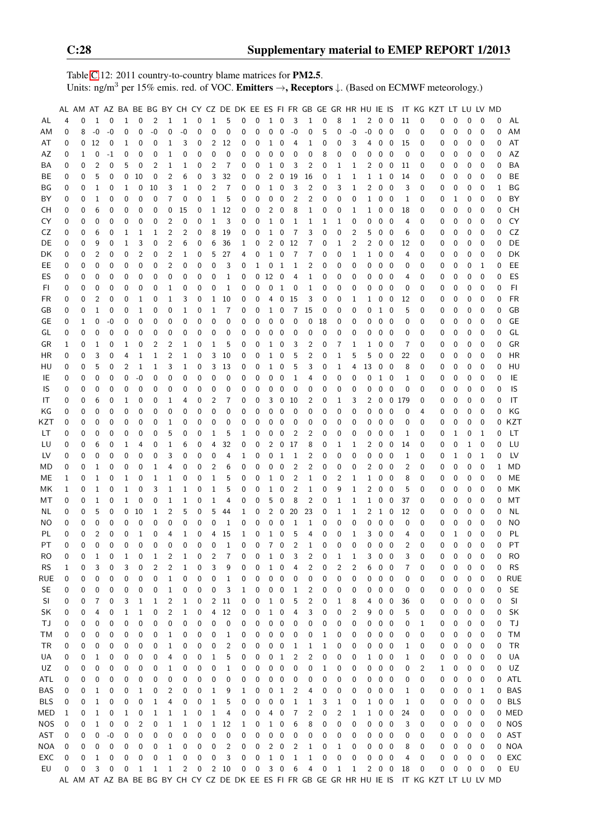Table [C.](#page-2-0)12: 2011 country-to-country blame matrices for PM2.5. Units: ng/m<sup>3</sup> per 15% emis. red. of VOC. Emitters →, Receptors ↓. (Based on ECMWF meteorology.)

|            |   | AL AM AT AZ BA BE BG BY CH CY CZ DE DK EE ES FI FR GB GE GR HR HU IE IS |                |             |             |                |                |   |                |   |                |                |             |             |              |                          |                |                         |    |                |                |                |                         |                          |              |          | IT KG KZT LT LU LV MD                                                                         |   |             |             |   |            |
|------------|---|-------------------------------------------------------------------------|----------------|-------------|-------------|----------------|----------------|---|----------------|---|----------------|----------------|-------------|-------------|--------------|--------------------------|----------------|-------------------------|----|----------------|----------------|----------------|-------------------------|--------------------------|--------------|----------|-----------------------------------------------------------------------------------------------|---|-------------|-------------|---|------------|
| AL         | 4 | 0                                                                       | 1              | 0           | 1           | 0              | $\overline{c}$ | 1 | 1              | 0 | $\mathbf{1}$   | 5              | 0           | 0           | $\mathbf{1}$ | $\mathbf 0$              | 3              | $\mathbf{1}$            | 0  | 8              | $\mathbf{1}$   | 2              | 0                       | $\overline{0}$           | 11           | 0        | 0                                                                                             | 0 | 0           | $\mathbf 0$ | 0 | AL         |
| AM         | 0 | 8                                                                       | $-0$           | $-0$        | 0           | 0              | $-0$           | 0 | $-0$           | 0 | $\pmb{0}$      | 0              | 0           | 0           | 0            | 0                        | $-0$           | 0                       | 5  | 0              | -0             | $\mbox{-}0$    | $\mathbf 0$             | $\overline{0}$           | $\pmb{0}$    | 0        | 0                                                                                             | 0 | 0           | 0           | 0 | ΑM         |
| AT         | 0 | 0                                                                       | 12             | 0           | 1           | 0              | 0              | 1 | 3              | 0 | 2              | 12             | 0           | 0           | 1            | 0                        | 4              | 1                       | 0  | 0              | 3              | 4              | 0                       | $\overline{0}$           | 15           | 0        | 0                                                                                             | 0 | 0           | 0           | 0 | AT         |
| AZ         | 0 | 1                                                                       | 0              | -1          | 0           | 0              | 0              | 1 | 0              | 0 | 0              | 0              | 0           | 0           | 0            | 0                        | 0              | 0                       | 8  | 0              | 0              | 0              | 0                       | 0                        | 0            | 0        | 0                                                                                             | 0 | 0           | 0           | 0 | AZ         |
| BA         | 0 | 0                                                                       | $\overline{2}$ | 0           | 5           | 0              | 2              | 1 | 1              | 0 | 2              | 7              | 0           | 0           | 1            | 0                        | 3              | $\overline{c}$          | 0  | 1              | 1              | 2              | 0                       | $\mathbf 0$              | 11           | 0        | 0                                                                                             | 0 | 0           | 0           | 0 | <b>BA</b>  |
| BE         | 0 | 0                                                                       | 5              | 0           | 0           | 10             | 0              | 2 | 6              | 0 | 3              | 32             | 0           | 0           | 2            | 0                        | 19             | 16                      | 0  | 1              | 1              | $\mathbf{1}$   | $1\quad0$               |                          | 14           | 0        | 0                                                                                             | 0 | 0           | 0           | 0 | BE         |
| ΒG         | 0 | 0                                                                       | 1              | $\mathbf 0$ | 1           | 0              | 10             | 3 | $\mathbf 1$    | 0 | $\overline{2}$ | $\overline{7}$ | 0           | 0           | 1            | 0                        | 3              | $\overline{c}$          | 0  | 3              | 1              | $\overline{c}$ | $\overline{\mathbf{0}}$ | $\overline{0}$           | 3            | 0        | 0                                                                                             | 0 | $\mathbf 0$ | $\mathbf 0$ | 1 | BG         |
| BY         | 0 | 0                                                                       | $\mathbf{1}$   | $\mathbf 0$ | 0           | 0              | 0              | 7 | 0              | 0 | $\mathbf{1}$   | 5              | 0           | 0           | 0            | 0                        | 2              | $\overline{c}$          | 0  | 0              | 0              |                | $1 \quad 0 \quad 0$     |                          | 1            | 0        | 0                                                                                             | 1 | 0           | 0           | 0 | BY         |
| CН         | 0 | 0                                                                       | 6              | 0           | 0           | 0              | 0              | 0 | 15             | 0 | $\mathbf{1}$   | 12             | 0           | 0           | 2            | 0                        | 8              | $\mathbf{1}$            | 0  | 0              | 1              | $\mathbf{1}$   | 0                       | $\overline{\mathbf{0}}$  | 18           | 0        | 0                                                                                             | 0 | 0           | 0           | 0 | <b>CH</b>  |
| CY         | 0 | 0                                                                       | 0              | 0           | 0           | 0              | 0              | 2 | 0              | 0 | $\mathbf{1}$   | 3              | 0           | 0           | $\mathbf{1}$ | $\mathbf 0$              | 1              | $\mathbf{1}$            | 1  | 1              | 0              | 0              | 0                       | 0                        | 4            | 0        | 0                                                                                             | 0 | 0           | 0           | 0 | CY         |
| CZ         | 0 | 0                                                                       | 6              | 0           | 1           | 1              | 1              | 2 | 2              | 0 | 8              | 19             | 0           | 0           | $\mathbf{1}$ | $\overline{\mathbf{0}}$  | 7              | 3                       | 0  | 0              | 2              | 5              | 0                       | 0                        | 6            | 0        | 0                                                                                             | 0 | 0           | 0           | 0 | CZ         |
| DE         | 0 | 0                                                                       | 9              | 0           | 1           | 3              | 0              | 2 | 6              | 0 | 6              | 36             | 1           | 0           | 2            | 0                        | 12             | 7                       | 0  | 1              | 2              | 2              | 0                       | 0                        | 12           | 0        | 0                                                                                             | 0 | 0           | 0           | 0 | DE         |
| DK         | 0 | 0                                                                       | $\overline{2}$ | 0           | 0           | $\overline{2}$ | 0              | 2 | 1              | 0 | 5              | 27             | 4           | 0           | $\mathbf 1$  | 0                        | 7              | 7                       | 0  | 0              | 1              | $\mathbf{1}$   | 0                       | 0                        | 4            | 0        | 0                                                                                             | 0 | 0           | 0           | 0 | DK         |
| EE         | 0 | 0                                                                       | 0              | 0           | 0           | 0              | 0              | 2 | 0              | 0 | 0              | 3              | 0           | 1           | 0            | $\mathbf{1}$             | $\mathbf 1$    | $\overline{c}$          | 0  | 0              | 0              | 0              | 0                       | $\overline{\mathbf{0}}$  | 0            | 0        | 0                                                                                             | 0 | 0           | 1           | 0 | EE         |
| ES         | 0 | 0                                                                       | 0              | $\mathbf 0$ | $\mathbf 0$ | 0              | 0              | 0 | 0              | 0 | 0              | 1              | 0           | 0           | 12           | $\overline{\phantom{0}}$ | 4              | $\mathbf{1}$            | 0  | 0              | 0              | 0              | 0                       | $\overline{\mathbf{0}}$  | 4            | 0        | 0                                                                                             | 0 | $\mathbf 0$ | $\mathbf 0$ | 0 | ES         |
| FI         | 0 | 0                                                                       | 0              | 0           | 0           | 0              | 0              | 1 | 0              | 0 | 0              | $\mathbf 1$    | 0           | 0           | 0            | 1                        | 0              | $\mathbf{1}$            | 0  | 0              | 0              | 0              | 0                       | $\overline{\mathbf{0}}$  | 0            | 0        | 0                                                                                             | 0 | 0           | 0           | 0 | FI         |
| <b>FR</b>  | 0 | 0                                                                       | $\overline{2}$ | 0           | 0           | 1              | 0              | 1 | 3              | 0 | 1              | 10             | 0           | 0           | 4            | 0                        | 15             | 3                       | 0  | 0              | 1              | $\mathbf{1}$   | 0                       | $\boldsymbol{0}$         | 12           | 0        | 0                                                                                             | 0 | 0           | 0           | 0 | <b>FR</b>  |
| GB         | 0 | 0                                                                       | 1              | 0           | 0           | 1              | 0              | 0 | 1              | 0 | 1              | 7              | 0           | 0           |              | $1\quad 0$               | $\overline{7}$ | 15                      | 0  | 0              | 0              | 0              | 1 0                     |                          | 5            | 0        | 0                                                                                             | 0 | 0           | 0           | 0 | GB         |
| GE         | 0 | 1                                                                       | 0              | -0          | 0           | 0              | 0              | 0 | 0              | 0 | 0              | 0              | 0           | 0           | 0            | $\mathbf 0$              | 0              | 0                       | 18 | 0              | 0              | 0              | 0                       | $\overline{\phantom{0}}$ | 0            | 0        | 0                                                                                             | 0 | 0           | 0           | 0 | GE         |
|            |   | 0                                                                       | 0              | 0           | 0           | 0              | 0              |   |                | 0 | $\mathbf 0$    |                |             | 0           | 0            |                          |                | 0                       | 0  |                | 0              | 0              | 0                       |                          |              | 0        |                                                                                               |   |             |             | 0 | GL         |
| GL         | 0 |                                                                         |                |             |             |                |                | 0 | 0              |   |                | 0              | 0           |             |              | 0                        | 0              |                         |    | 0              |                |                |                         | - 0                      | 0            |          | 0                                                                                             | 0 | 0<br>0      | 0           |   | GR         |
| GR         | 1 | 0                                                                       | 1              | 0           | 1           | 0              | 2              | 2 | 1              | 0 | 1              | 5              | 0           | 0           | $\mathbf{1}$ | 0                        | 3              | $\overline{2}$          | 0  | 7              | 1              | $\mathbf{1}$   | 0                       | $\overline{0}$           | 7            | 0        | 0                                                                                             | 0 |             | 0           | 0 |            |
| HR         | 0 | 0                                                                       | 3              | 0           | 4           | 1              | 1              | 2 | 1              | 0 | 3              | 10             | 0           | 0           | 1            | 0                        | 5              | $\overline{c}$          | 0  | 1              | 5              | 5              | 0                       | $\overline{\mathbf{0}}$  | 22           | 0        | 0                                                                                             | 0 | 0           | 0           | 0 | HR         |
| HU         | 0 | 0                                                                       | 5              | 0           | 2           | $\mathbf 1$    | 1              | 3 | 1              | 0 | 3              | 13             | 0           | 0           | $\mathbf{1}$ | 0                        | 5              | 3                       | 0  | 1              | 4              | 13             | $\mathbf 0$             | $\overline{\phantom{0}}$ | 8            | 0        | 0                                                                                             | 0 | 0           | $\mathbf 0$ | 0 | HU         |
| IE         | 0 | 0                                                                       | 0              | $\mathbf 0$ | 0           | $-0$           | 0              | 0 | 0              | 0 | 0              | 0              | 0           | 0           | 0            | 0                        | 1              | 4                       | 0  | 0              | 0              | 0              | 1 0                     |                          | 1            | 0        | 0                                                                                             | 0 | 0           | 0           | 0 | IE         |
| IS         | 0 | 0                                                                       | 0              | 0           | 0           | 0              | 0              | 0 | 0              | 0 | 0              | 0              | 0           | 0           | 0            | 0                        | 0              | 0                       | 0  | 0              | 0              | 0              | 0                       | 0                        | 0            | 0        | 0                                                                                             | 0 | 0           | 0           | 0 | IS         |
| IT         | 0 | 0                                                                       | 6              | 0           | 1           | 0              | 0              | 1 | 4              | 0 | 2              | 7              | 0           | 0           | 3            | 0                        | 10             | 2                       | 0  | 1              | 3              | 2              | 0                       |                          | 0 179        | 0        | 0                                                                                             | 0 | 0           | 0           | 0 | IT         |
| ΚG         | 0 | 0                                                                       | 0              | 0           | 0           | 0              | 0              | 0 | 0              | 0 | 0              | 0              | 0           | 0           | 0            | 0                        | 0              | 0                       | 0  | 0              | 0              | 0              | 0                       | 0                        | 0            | 4        | 0                                                                                             | 0 | 0           | 0           | 0 | KG         |
| KZT        | 0 | 0                                                                       | 0              | 0           | 0           | 0              | 0              | 1 | 0              | 0 | 0              | 0              | 0           | 0           | 0            | 0                        | 0              | 0                       | 0  | 0              | 0              | 0              | 0                       | 0                        | 0            | 0        | 0                                                                                             | 0 | 0           | 0           | 0 | KZT        |
| LТ         | 0 | 0                                                                       | 0              | 0           | 0           | 0              | 0              | 5 | 0              | 0 | 1              | 5              | 1           | 0           | 0            | 0                        | $\overline{2}$ | $\overline{2}$          | 0  | 0              | 0              | 0              | 0                       | 0                        | 1            | 0        | 0                                                                                             | 1 | 0           | 1           | 0 | LT.        |
| LU         | 0 | 0                                                                       | 6              | 0           | 1           | 4              | 0              | 1 | 6              | 0 | 4              | 32             | 0           | 0           | 2            | $\mathbf 0$              | 17             | 8                       | 0  | 1              | 1              | 2              | 0                       | $\overline{\mathbf{0}}$  | 14           | 0        | 0                                                                                             | 0 | 1           | $\mathbf 0$ | 0 | LU         |
| LV         | 0 | 0                                                                       | 0              | $\mathbf 0$ | 0           | 0              | 0              | 3 | 0              | 0 | 0              | 4              | 1           | 0           | 0            | $\mathbf{1}$             | $\mathbf{1}$   | $\overline{2}$          | 0  | 0              | $\mathbf{0}$   | 0              | 0                       | $\overline{0}$           | $\mathbf{1}$ | 0        | 0                                                                                             | 1 | 0           | 1           | 0 | LV         |
| MD         | 0 | 0                                                                       | 1              | 0           | 0           | 0              | 1              | 4 | 0              | 0 | 2              | 6              | 0           | 0           | 0            | $\mathbf 0$              | $\overline{2}$ | $\overline{c}$          | 0  | 0              | 0              | 2              | 0                       | $\overline{\phantom{0}}$ | 2            | 0        | 0                                                                                             | 0 | 0           | 0           | 1 | <b>MD</b>  |
| МE         | 1 | 0                                                                       | 1              | 0           | 1           | 0              | 1              | 1 | 0              | 0 | $\mathbf{1}$   | 5              | 0           | 0           | 1            | 0                        | $\overline{2}$ | $\mathbf{1}$            | 0  | 2              | 1              | $\mathbf{1}$   | $0\quad 0$              |                          | 8            | 0        | 0                                                                                             | 0 | 0           | 0           | 0 | ME         |
| МK         | 1 | 0                                                                       | 1              | 0           | 1           | 0              | 3              | 1 | 1              | 0 | 1              | 5              | 0           | 0           | 1            | 0                        | $\overline{2}$ | $\mathbf{1}$            | 0  | 9              | 1              | $\overline{2}$ | $0\quad 0$              |                          | 5            | 0        | 0                                                                                             | 0 | 0           | 0           | 0 | MK         |
| МT         | 0 | 0                                                                       | 1              | 0           | 1           | 0              | 0              | 1 | 1              | 0 | 1              | 4              | 0           | 0           | 5            | 0                        | 8              | $\overline{c}$          | 0  | 1              | 1              | $\mathbf{1}$   | $0\quad 0$              |                          | 37           | 0        | 0                                                                                             | 0 | 0           | 0           | 0 | MT         |
| NL         | 0 | 0                                                                       | 5              | 0           | 0           | 10             | 1              | 2 | 5              | 0 | 5              | 44             | 1           | 0           | 2            | 0                        | 20             | 23                      | 0  | 1              | 1              | $\overline{c}$ | $\mathbf{1}$            | $\mathbf 0$              | 12           | 0        | 0                                                                                             | 0 | 0           | 0           | 0 | <b>NL</b>  |
| ΝO         | 0 | 0                                                                       | 0              | 0           | $\mathbf 0$ | 0              | 0              | 0 | 0              | 0 | 0              | 1              | 0           | 0           | 0            | 0                        | 1              | 1                       | 0  | 0              | 0              | 0              | $0\quad 0$              |                          | 0            | 0        | 0                                                                                             | 0 | 0           | 0           | 0 | <b>NO</b>  |
| PL         | 0 | 0                                                                       | $\overline{2}$ | 0           | $\mathbf 0$ | $\mathbf{1}$   | 0              | 4 | $\mathbf 1$    | 0 | 4              | 15             | $\mathbf 1$ | 0           | $\mathbf{1}$ | $\mathbf 0$              | 5              | 4                       | 0  | 0              | $1\,$          | 3              | 0                       | $\overline{0}$           | 4            | 0        | 0                                                                                             | 1 | $\mathbf 0$ | 0           | 0 | PL         |
| PT         | 0 | 0                                                                       | 0              | 0           | 0           | 0              | 0              | 0 | 0              | 0 | $\mathbf 0$    | $\mathbf{1}$   | 0           | $\mathbf 0$ | $7^{\circ}$  | 0                        | 2              | $\mathbf{1}$            | 0  | $\mathbf{0}$   | 0              | 0              | $0\quad 0$              |                          | 2            | $\Omega$ | 0                                                                                             | 0 | 0           | 0           | 0 | PT         |
| RO         | 0 | 0                                                                       | 1              | 0           | 1           | 0              | 1              | 2 | 1              | 0 | 2              | 7              | 0           | 0           | $\mathbf{1}$ | 0                        | 3              | 2                       | 0  | 1              | 1              | 3              | 0                       | $\overline{\mathbf{0}}$  | 3            | 0        | 0                                                                                             | 0 | 0           | 0           | 0 | <b>RO</b>  |
| <b>RS</b>  | 1 | 0                                                                       | 3              | 0           | 3           | 0              | 2              | 2 | 1              | 0 | 3              | 9              | 0           | 0           | 1            | 0                        | 4              | 2                       | 0  | $\overline{c}$ | $\overline{2}$ | 6              |                         | $0\quad 0$               | 7            | 0        | 0                                                                                             | 0 | 0           | 0           | 0 | <b>RS</b>  |
| RUE        | 0 | 0                                                                       | 0              | 0           | 0           | 0              | 0              | 1 | 0              | 0 | 0              | 1              | 0           | 0           | 0            | $\overline{\phantom{0}}$ | 0              | 0                       | 0  | 0              | 0              | $\mathbf{0}$   | $0\quad 0$              |                          | 0            | 0        | 0                                                                                             | 0 | 0           | 0           | 0 | <b>RUE</b> |
| <b>SE</b>  | 0 | 0                                                                       | 0              | 0           | 0           | 0              | 0              | 1 | 0              | 0 | 0              | 3              | 1           | 0           | 0            | 0                        | 1              | 2                       | 0  | 0              | 0              | 0              | $0\quad 0$              |                          | 0            | 0        | 0                                                                                             | 0 | 0           | 0           | 0 | <b>SE</b>  |
| SI         | 0 | 0                                                                       | 7              | 0           | 3           | 1              | 1              | 2 | $\mathbf{1}$   | 0 | $\overline{2}$ | 11             | 0           | 0           | 1            | 0                        | 5              | $\overline{\mathbf{c}}$ | 0  | 1              | 8              | 4              | 0                       | $\overline{0}$           | 36           | 0        | 0                                                                                             | 0 | 0           | 0           | 0 | SI         |
| SK         | 0 | 0                                                                       | 4              | 0           | 1           | 1              | 0              | 2 | $\mathbf{1}$   | 0 | 4              | 12             | 0           | 0           | $\mathbf{1}$ | 0                        | 4              | 3                       | 0  | 0              | 2              | 9              | $0\quad 0$              |                          | 5            | 0        | 0                                                                                             | 0 | 0           | 0           | 0 | SK         |
| ТJ         | 0 | 0                                                                       | 0              | 0           | 0           | 0              | 0              | 0 | 0              | 0 | $\mathbf 0$    | 0              | 0           | 0           | 0            | $\mathbf 0$              | 0              | 0                       | 0  | 0              | 0              |                | $0\quad 0\quad 0$       |                          | 0            | 1        | 0                                                                                             | 0 | 0           | 0           | 0 | TJ         |
| ТM         | 0 | 0                                                                       | 0              | 0           | 0           | 0              | 0              | 1 | 0              | 0 | 0              | 1              | 0           | 0           | 0            | 0                        | 0              | 0                       | 1  | 0              | 0              | 0              | $0\quad 0$              |                          | 0            | 0        | 0                                                                                             | 0 | 0           | 0           | 0 | <b>TM</b>  |
| TR         | 0 | 0                                                                       | 0              | 0           | 0           | 0              | 0              | 1 | 0              | 0 | 0              | $\overline{c}$ | 0           | 0           | 0            | 0                        | 1              | 1                       | 1  | 0              | 0              | 0              | 0                       | $\overline{\mathbf{0}}$  | 1            | 0        | 0                                                                                             | 0 | 0           | 0           | 0 | <b>TR</b>  |
| UA         | 0 | 0                                                                       | 1              | 0           | 0           | 0              | 0              | 4 | 0              | 0 | 1              | 5              | 0           | 0           | 0            | $\mathbf{1}$             | $\overline{c}$ | 2                       | 0  | 0              | 0              | $\mathbf{1}$   | $0\quad 0$              |                          | 1            | 0        | 0                                                                                             | 0 | 0           | 0           | 0 | UA         |
| UZ         | 0 | 0                                                                       | 0              | 0           | 0           | 0              | 0              | 1 | 0              | 0 | 0              | 1              | 0           | 0           | 0            | 0                        | 0              | 0                       | 1  | 0              | 0              | 0              | $0\quad 0$              |                          | 0            | 2        | 1                                                                                             | 0 | 0           | 0           | 0 | UZ         |
| ATL        | 0 | 0                                                                       | 0              | 0           | 0           | 0              | 0              | 0 | 0              | 0 | 0              | 0              | 0           | 0           | 0            | $\mathbf 0$              | 0              | 0                       | 0  | 0              | 0              | 0              | $0\quad 0$              |                          | 0            | 0        | 0                                                                                             | 0 | 0           | 0           |   | 0 ATL      |
| BAS        | 0 | 0                                                                       | 1              | 0           | 0           | 1              | 0              | 2 | 0              | 0 | 1              | 9              | 1           | 0           | 0            | $\mathbf{1}$             | $\overline{c}$ | 4                       | 0  | 0              | 0              | 0              | $0\quad 0$              |                          | 1            | 0        | 0                                                                                             | 0 | 0           | 1           |   | 0 BAS      |
| <b>BLS</b> | 0 | 0                                                                       | $\mathbf{1}$   | 0           | 0           | 0              | $\mathbf{1}$   | 4 | 0              | 0 | $\mathbf{1}$   | 5              | 0           | 0           | 0            | $\overline{\phantom{0}}$ | $\mathbf{1}$   | $\mathbf{1}$            | 3  | 1              | 0              | $\mathbf{1}$   | $0\quad 0$              |                          | $\mathbf{1}$ | 0        | 0                                                                                             | 0 | 0           | 0           |   | 0 BLS      |
| MED        | 1 | 0                                                                       | $\mathbf{1}$   | 0           | $\mathbf 1$ | 0              | $\mathbf{1}$   | 1 | $\mathbf{1}$   | 0 | $\mathbf{1}$   | 4              | 0           | 0           | 4            | $\overline{\phantom{0}}$ | 7              | $\overline{c}$          | 0  | 2              | $\mathbf{1}$   |                | $1 \quad 0 \quad 0$     |                          | 24           | 0        | 0                                                                                             | 0 | 0           | 0           |   | 0 MED      |
| NOS        | 0 | 0                                                                       | $\mathbf{1}$   | 0           | 0           | $\overline{c}$ | 0              | 1 | 1              | 0 | $\mathbf{1}$   | 12             | 1           | 0           |              | $1\quad 0$               | 6              | 8                       | 0  | 0              | 0              | 0              | $0\quad 0$              |                          | 3            | 0        | 0                                                                                             | 0 | 0           | 0           |   | 0 NOS      |
| AST        | 0 | 0                                                                       | 0              | $-0$        | 0           | 0              | 0              | 0 | 0              | 0 | 0              | 0              | 0           | 0           | 0            | 0                        | 0              | 0                       | 0  | 0              | 0              | 0              | $0\quad 0$              |                          | 0            | 0        | 0                                                                                             | 0 | 0           | 0           |   | 0 AST      |
| NOA        | 0 | 0                                                                       | 0              | 0           | 0           | 0              | 0              | 1 | 0              | 0 | 0              | 2              | 0           | 0           |              | $2\quad 0$               | $\overline{c}$ | $\mathbf{1}$            | 0  | 1              | 0              | $\mathbf 0$    | $0\quad 0$              |                          | 8            | 0        | 0                                                                                             | 0 | 0           | 0           |   | 0 NOA      |
| EXC        | 0 | 0                                                                       | 1              | 0           | 0           | 0              | 0              | 1 | 0              | 0 | 0              | 3              | 0           | 0           |              | $1\quad 0$               | $\mathbf{1}$   | $\mathbf{1}$            | 0  | 0              | 0              | 0              | $0\quad 0$              |                          | 4            | 0        | 0                                                                                             | 0 | 0           | 0           |   | 0 EXC      |
| EU         | 0 | 0                                                                       | 3              | 0           | 0           | 1              | 1              | 1 | $\overline{c}$ | 0 |                | 2 10           | 0           | 0           |              | $3 \quad 0$              | 6              | 4                       | 0  | 1              | 1              |                | $2\quad 0\quad 0$       |                          | 18           | 0        | 0                                                                                             | 0 | 0           | 0           | 0 | EU         |
|            |   |                                                                         |                |             |             |                |                |   |                |   |                |                |             |             |              |                          |                |                         |    |                |                |                |                         |                          |              |          | AL AM AT AZ BA BE BG BY CH CY CZ DE DK EE ES FI FR GB GE GR HR HU IE IS IT KG KZT LT LU LV MD |   |             |             |   |            |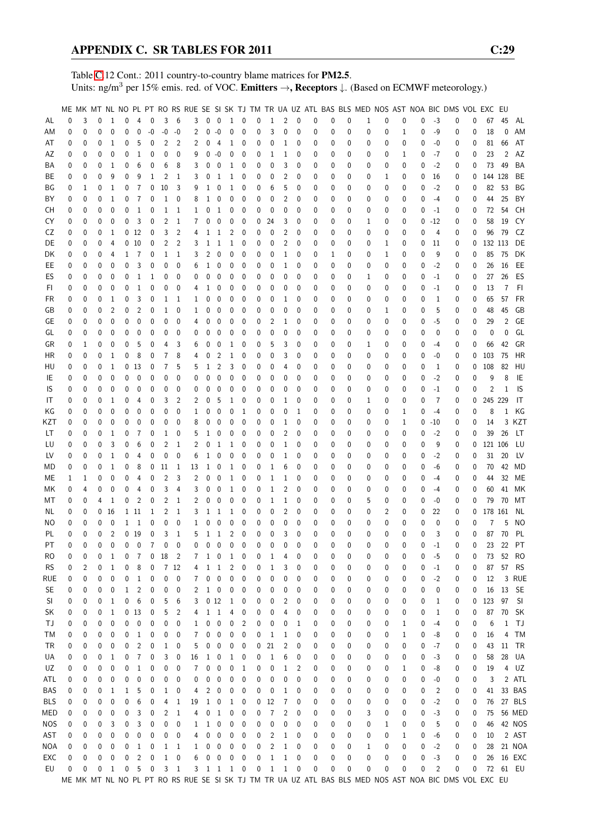Table [C.](#page-2-0)12 Cont.: 2011 country-to-country blame matrices for PM2.5. Units: ng/m<sup>3</sup> per 15% emis. red. of VOC. Emitters →, Receptors ↓. (Based on ECMWF meteorology.)

|            |          |          |   |                 |              |                 |                |                |                            |                |              |                          |                |                |             |                |              |             |   |              |          |           |   |             |   |                | ME MK MT NL NO PL PT RO RS RUE SE SI SK TJ TM TR UA UZ ATL BAS BLS MED NOS AST NOA BIC DMS VOL EXC EU |              |         |              |               |
|------------|----------|----------|---|-----------------|--------------|-----------------|----------------|----------------|----------------------------|----------------|--------------|--------------------------|----------------|----------------|-------------|----------------|--------------|-------------|---|--------------|----------|-----------|---|-------------|---|----------------|-------------------------------------------------------------------------------------------------------|--------------|---------|--------------|---------------|
| AL         | 0        | 3        | 0 | 1               | 0            | $\overline{4}$  | $\mathbf 0$    | 3              | 6                          | 3              |              | $0\quad 0$               | 1 0            |                | 0           | 1              | 2            | 0           | 0 | 0            | 0        | 1         | 0 | 0           | 0 | $-3$           | 0                                                                                                     | 0            | 67      | 45           | AL            |
| ΑM         | 0        | 0        | 0 | $\mathbf{0}$    | 0            | 0               | $-0$           | $-0$           | $-0$                       | 2              | 0            | $-0$                     | 0              | 0              | 0           | 3              | 0            | $\mathbf 0$ | 0 | 0            | 0        | 0         | 0 | $\mathbf 1$ | 0 | -9             | 0                                                                                                     | 0            | 18      | 0            | AM            |
| AT         | 0        | 0        | 0 | 1               | 0            | 5               | 0              | 2              | 2                          | 2              | 0            | 4                        | 1              | 0              | 0           | 0              | 1            | 0           | 0 | 0            | 0        | 0         | 0 | 0           | 0 | -0             | 0                                                                                                     | 0            | 81      | 66           | AT            |
|            |          |          |   |                 |              |                 |                |                |                            |                |              |                          |                |                |             |                |              |             |   |              |          |           |   |             |   |                |                                                                                                       |              |         |              |               |
| AΖ         | 0        | 0        | 0 | 0               | 0            | 1               | 0              | 0              | 0                          | 9              | 0            | $-0$                     | 0              | 0              | 0           | 1              | 1            | 0           | 0 | 0            | 0        | 0         | 0 | 1           | 0 | -7             | 0                                                                                                     | 0            | 23      | 2            | AZ            |
| ΒA         | 0        | 0        | 0 | 1               | 0            | 6               | 0              | 6              | 8                          | 3              | 0            | $\mathbf 0$              | $\mathbf{1}$   | 0              | 0           | 0              | 3            | 0           | 0 | 0            | 0        | 0         | 0 | 0           | 0 | $-2$           | 0                                                                                                     | 0            | 73      | 49           | BA            |
| ВE         | 0        | 0        | 0 | 9               | 0            | 9               | 1              | 2              | 1                          | 3              | 0            | 1                        | 1              | 0              | 0           | 0              | 2            | 0           | 0 | 0            | 0        | 0         | 1 | 0           | 0 | 16             | 0                                                                                                     | 0            | 144 128 |              | BE            |
| ΒG         | 0        | 1        | 0 | 1               | 0            | $\overline{7}$  | 0              | 10             | 3                          | 9              | 1            | $\mathbf 0$              | 1              | 0              | 0           | 6              | 5            | 0           | 0 | 0            | 0        | 0         | 0 | 0           | 0 | $-2$           | 0                                                                                                     | 0            | 82      | 53           | ΒG            |
| BY         | 0        | 0        | 0 | 1               | 0            | 7               | 0              | $\mathbf{1}$   | 0                          | 8              | 1            | 0                        | 0              | 0              | 0           | 0              | 2            | 0           | 0 | 0            | 0        | 0         | 0 | 0           | 0 | $-4$           | 0                                                                                                     | 0            | 44      | 25           | BY            |
| CН         | 0        | 0        | 0 | $\mathbf{0}$    | 0            | 1               | 0              | 1              | -1                         | 1              | 0            | $\mathbf{1}$             | 0              | 0              | 0           | 0              | 0            | 0           | 0 | 0            | 0        | 0         | 0 | 0           | 0 | $-1$           | 0                                                                                                     | 0            | 72      | 54           | CН            |
| CY         | 0        | 0        | 0 | 0               | 0            | 3               | 0              | 2              | -1                         | 7              | 0            | 0                        | 0              | 0              | 0           | 24             | 3            | 0           | 0 | 0            | 0        | 1         | 0 | 0           | 0 | $-12$          | 0                                                                                                     | 0            | 58      | 19           | CY            |
| CZ         | 0        | 0        | 0 | 1               |              | 0 <sub>12</sub> | 0              | 3              | 2                          | 4              | 1            | 1                        | 2              | 0              | 0           | 0              | 2            | 0           | 0 | 0            | 0        | 0         | 0 | 0           | 0 | 4              | 0                                                                                                     | 0            | 96      | 79           | CZ            |
| DE         | 0        | 0        | 0 | 4               |              | 010             | 0              | 2              | 2                          | 3              | 1            | $\mathbf{1}$             | 1              | 0              | 0           | 0              | 2            | 0           | 0 | 0            | 0        | 0         | 1 | 0           | 0 | 11             | 0                                                                                                     | 0            | 132 113 |              | DE            |
| DK         | 0        | 0        | 0 | 4               | 1            | - 7             | 0              | 1              | 1                          | 3              | 2            | $\overline{0}$           | 0              | 0              | 0           | 0              | 1            | 0           | 0 | 1            | 0        | 0         | 1 | 0           | 0 | 9              | 0                                                                                                     | $\mathbf 0$  | 85      | - 75         | DK            |
|            |          |          |   |                 |              |                 |                |                |                            |                |              |                          |                |                |             |                |              |             |   |              |          |           |   |             |   |                |                                                                                                       |              |         |              |               |
| EE         | 0        | 0        | 0 | 0               | 0            | 3               | 0              | 0              | 0                          | 6              | 1            | 0                        | 0              | 0              | 0           | 0              | 1            | 0           | 0 | 0            | 0        | 0         | 0 | 0           | 0 | $-2$           | 0                                                                                                     | 0            | 26      | 16           | EE            |
| ES         | 0        | 0        | 0 | 0               | 0            | $\mathbf{1}$    | 1              | 0              | 0                          | 0              | 0            | $\mathbf 0$              | 0              | 0              | 0           | 0              | 0            | 0           | 0 | 0            | 0        | 1         | 0 | 0           | 0 | $-1$           | 0                                                                                                     | 0            | 27      | 26           | ES            |
| FI.        | 0        | 0        | 0 | 0               | 0            | 1               | 0              | 0              | 0                          | 4              | 1            | 0                        | 0              | 0              | 0           | 0              | 0            | 0           | 0 | 0            | 0        | 0         | 0 | 0           | 0 | $-1$           | 0                                                                                                     | 0            | 13      | 7            | FI.           |
| FR         | 0        | 0        | 0 | 1               | 0            | 3               | 0              | 1              | -1                         | 1              | 0            | 0                        | 0              | 0              | 0           | 0              | 1            | 0           | 0 | 0            | 0        | 0         | 0 | 0           | 0 | $\mathbf{1}$   | 0                                                                                                     | 0            | 65      | 57           | FR            |
| GB         | 0        | 0        | 0 | 2               | 0            | 2               | 0              | 1              | 0                          | 1              | 0            | 0                        | 0              | 0              | 0           | 0              | 0            | 0           | 0 | 0            | 0        | 0         | 1 | 0           | 0 | 5              | 0                                                                                                     | 0            | 48      | 45           | GB            |
| GE         | 0        | 0        | 0 | 0               | 0            | 0               | 0              | 0              | 0                          | 4              | 0            | 0                        | 0              | 0              | 0           | 2              | 1            | 0           | 0 | 0            | 0        | 0         | 0 | 0           | 0 | $-5$           | 0                                                                                                     | 0            | 29      | 2            | GE            |
| GL         | 0        | 0        | 0 | 0               | 0            | 0               | 0              | 0              | 0                          | 0              | 0            | 0                        | 0              | 0              | 0           | 0              | 0            | 0           | 0 | 0            | 0        | 0         | 0 | 0           | 0 | 0              | 0                                                                                                     | 0            | 0       | 0            | GL            |
| GR         | 0        | 1        | 0 | $\mathbf 0$     | 0            | 5               | 0              | 4              | 3                          | 6              | 0            | 0                        | 1              | 0              | 0           | 5              | 3            | 0           | 0 | 0            | 0        | 1         | 0 | 0           | 0 | -4             | 0                                                                                                     | 0            | 66      | 42           | GR            |
| НR         | 0        | 0        | 0 | 1               | 0            | 8               | 0              | 7              | 8                          | 4              | 0            | $\overline{2}$           | 1              | 0              | 0           | 0              | 3            | 0           | 0 | 0            | 0        | 0         | 0 | 0           | 0 | -0             | 0                                                                                                     | 0            | 103     | 75           | HR            |
| HU         | 0        | 0        | 0 | $\mathbf{1}$    |              | 0 <sub>13</sub> | 0              | 7              | 5                          | 5              | 1            | 2                        | 3              | 0              | 0           | 0              | 4            | 0           | 0 | 0            | 0        | 0         | 0 | 0           | 0 | 1              | 0                                                                                                     | $\mathbf{0}$ | 108     | 82           | HU            |
| IE         | 0        | 0        | 0 | $\mathbf{0}$    | 0            | $\mathbf 0$     | 0              | 0              | 0                          | 0              | 0            | 0                        | 0              | 0              | 0           | 0              | 0            | 0           | 0 |              | 0        |           | 0 | 0           | 0 | $-2$           | 0                                                                                                     | 0            | 9       | 8            | IE            |
|            |          |          |   |                 |              |                 |                |                |                            |                |              |                          |                |                |             |                |              |             |   | 0            |          | 0         |   |             |   |                |                                                                                                       |              |         |              |               |
| IS         | 0        | 0        | 0 | $\mathbf 0$     | 0            | 0               | 0              | 0              | 0                          | 0              | 0            | 0                        | 0              | 0              | 0           | 0              | 0            | 0           | 0 | 0            | 0        | 0         | 0 | 0           | 0 | $-1$           | 0                                                                                                     | 0            | 2       | $\mathbf{1}$ | 1S            |
| IT         | 0        | 0        | 0 | 1               | 0            | 4               | 0              | 3              | 2                          | 2              | 0            | 5                        | 1              | 0              | 0           | 0              | 1            | 0           | 0 | 0            | 0        | 1         | 0 | 0           | 0 | 7              | 0                                                                                                     | 0            | 245 229 |              | -IT           |
| ΚG         | 0        | 0        | 0 | 0               | 0            | 0               | 0              | 0              | 0                          | 1              | 0            | 0                        | 0              | 1              | 0           | 0              | 0            | 1           | 0 | 0            | 0        | 0         | 0 | 1           | 0 | $-4$           | 0                                                                                                     | 0            | 8       | 1            | KG            |
| KZT        | 0        | 0        | 0 | 0               | 0            | 0               | 0              | 0              | 0                          | 8              | 0            | $\mathbf 0$              | 0              | 0              | 0           | 0              | 1            | 0           | 0 | 0            | 0        | 0         | 0 | 1           | 0 | $-10$          | 0                                                                                                     | 0            | 14      |              | 3 KZT         |
| LT         | 0        | 0        | 0 | 1               | 0            | 7               | 0              | 1              | 0                          | 5              | 1            | 0                        | 0              | 0              | 0           | 0              | 2            | 0           | 0 | 0            | 0        | 0         | 0 | 0           | 0 | $-2$           | 0                                                                                                     | 0            | 39      | 26           | LT            |
| LU         | 0        | 0        | 0 | 3               | 0            | 6               | 0              | 2              | 1                          | 2              | 0            | 1                        | 1              | 0              | 0           | 0              | 1            | 0           | 0 | 0            | 0        | 0         | 0 | 0           | 0 | 9              | 0                                                                                                     | 0            | 121 106 |              | LU            |
| LV         | 0        | 0        | 0 | $\mathbf{1}$    | 0            | 4               | 0              | $\pmb{0}$      | $\mathbf{0}$               | 6              | $\mathbf 1$  | $\mathbf 0$              | 0              | 0              | 0           | 0              | 1            | 0           | 0 | 0            | 0        | 0         | 0 | 0           | 0 | $-2$           | 0                                                                                                     | 0            | 31      | 20           | LV            |
| MD         | 0        | 0        | 0 | 1               | 0            | 8               | 0              | 11             | - 1                        | 13             | 1            | $\mathbf 0$              | 1              | 0              | 0           | 1              | 6            | 0           | 0 | 0            | 0        | 0         | 0 | 0           | 0 | -6             | 0                                                                                                     | 0            |         |              | 70  42  MD    |
| МE         | 1        | 1        | 0 | $\mathbf 0$     | 0            | 4               | 0              | 2              | 3                          | 2              | 0            | $\mathbf 0$              | 1              | 0              | 0           | 1              | 1            | 0           | 0 | 0            | 0        | 0         | 0 | 0           | 0 | -4             | 0                                                                                                     | 0            | 44      | 32           | ME            |
| МK         | 0        | 4        | 0 | 0               | 0            | 4               | 0              | 3              | 4                          | 3              | 0            | 0                        | 1              | 0              | 0           | 1              | 2            | 0           | 0 | 0            | 0        | 0         | 0 | 0           | 0 | $-4$           | 0                                                                                                     | 0            | 60      | 41           | МK            |
| МT         | 0        | 0        | 4 | $\mathbf{1}$    | 0            | $\overline{2}$  | 0              | 2              | 1                          | 2              | 0            | 0                        | 0              | 0              | 0           | 1              | 1            | 0           | 0 | 0            | 0        | 5         | 0 | 0           | 0 | -0             | 0                                                                                                     | 0            | 79      | 70           | МT            |
|            |          |          |   | 0 <sub>16</sub> |              | 1 11            | $\mathbf{1}$   | $\overline{c}$ | 1                          | 3              |              | $\mathbf{1}$             | 1              | 0              | 0           | 0              | 2            | 0           |   |              | 0        | 0         |   |             | 0 | 22             |                                                                                                       | 0            | 178 161 |              |               |
| NL.        | 0        | 0        |   |                 |              |                 |                |                |                            |                | 1            |                          |                |                |             |                |              |             | 0 | 0            |          |           | 2 | 0           |   |                | 0                                                                                                     |              |         |              | NL            |
| ΝO         | 0        | 0        | 0 | 0               | $\mathbf 1$  | 1               | 0              | 0              | 0                          | 1              | 0            | 0                        | 0              | 0              | 0           | 0              | 0            | 0           | 0 | 0            | 0        | 0         | 0 | 0           | 0 | 0              | 0                                                                                                     | 0            | 7       | 5            | NO.           |
| PL         | 0        | 0        | 0 | $\overline{2}$  |              | $0$ 19          | 0              | 3              | 1                          | 5              | $\mathbf 1$  | $\mathbf{1}$             | $\overline{2}$ | $\mathbf 0$    | 0           | 0              | 3            | $\mathbf 0$ | 0 | 0            | 0        | 0         | 0 | 0           | 0 | 3              | 0                                                                                                     | 0            | 87      | 70           | PL            |
| PT         | $\Omega$ | $\Omega$ | 0 | $\Omega$        | $\mathbf 0$  | $\overline{0}$  | $\overline{7}$ | $\mathbf{0}$   | $\Omega$                   | 0              |              | $0\quad 0$               | $\mathbf{0}$   | $\mathbf{0}$   | 0           | 0              | $\Omega$     | $\Omega$    | 0 | $\mathbf{0}$ | $\Omega$ | $\theta$  | 0 | 0           | 0 | $-1$           | $\Omega$                                                                                              | 0            |         | 23 22        | PT            |
| <b>RO</b>  | 0        | 0        | 0 | -1              | 0            | $\overline{7}$  |                | $0$ 18         | $\overline{\phantom{0}}^2$ | $\overline{7}$ |              | $1\quad 0$               | $\,$ 1 $\,$    | $\mathbf 0$    | 0           | 1              | 4            | 0           | 0 | 0            | 0        | 0         | 0 | 0           | 0 | $-5$           | 0                                                                                                     | 0            | 73      | 52           | <b>RO</b>     |
| <b>RS</b>  | 0        | 2        | 0 | 1               | 0            | 8               | 0              |                | 7 12                       | 4              | 1            | $\mathbf{1}$             | 2              | 0              | 0           | 1              | 3            | 0           | 0 | 0            | 0        | 0         | 0 | 0           | 0 | $-1$           | 0                                                                                                     | 0            | 87      | 57           | RS            |
| <b>RUE</b> | 0        | 0        | 0 | 0               | 0            | 1               | 0              | 0              | 0                          | 7              | 0            | $\pmb{0}$                | $\pmb{0}$      | $\pmb{0}$      | 0           | 0              | 0            | 0           | 0 | 0            | 0        | 0         | 0 | 0           | 0 | $-2$           | 0                                                                                                     | 0            | 12      |              | 3 RUE         |
| <b>SE</b>  | 0        | 0        | 0 | 0               | $\mathbf{1}$ | $\overline{c}$  | 0              | 0              | 0                          | 2              |              | $1\quad 0$               | 0              | 0              | 0           | 0              | 0            | 0           | 0 | 0            | 0        | 0         | 0 | 0           | 0 | 0              | 0                                                                                                     | 0            |         | 16 13 SE     |               |
| SI         | 0        | 0        | 0 | $\mathbf{1}$    | 0            | 6               | 0              | 5              | 6                          | 3              |              | 012                      | $\mathbf{1}$   | 0              | 0           | 0              | 2            | 0           | 0 | 0            | 0        | 0         | 0 | 0           | 0 | 1              | 0                                                                                                     | 0            | 123 97  |              | - SI          |
| SK         | 0        | 0        | 0 | $\mathbf{1}$    |              | 0 <sub>13</sub> | 0              | 5              | 2                          | 4              |              | $1\quad 1$               | 4              | 0              | 0           | 0              | 4            | 0           | 0 | 0            | 0        | 0         | 0 | 0           | 0 | 1              | 0                                                                                                     | 0            | 87      | 70           | - SK          |
| ТJ         | 0        | 0        | 0 | $\pmb{0}$       | 0            | $\pmb{0}$       | 0              | 0              | 0                          | 1              | 0            | $\pmb{0}$                | $\pmb{0}$      | $\overline{2}$ | 0           | 0              | 0            | 1           | 0 | 0            | 0        | 0         | 0 | 1           | 0 | $-4$           | 0                                                                                                     | 0            | 6       | 1            | TJ            |
| ТM         | 0        | 0        | 0 | 0               | 0            | $\mathbf{1}$    | 0              | 0              | 0                          | 7              | 0            | $\pmb{0}$                | 0              | 0              | 0           | 1              | 1            | 0           | 0 | 0            | 0        | 0         | 0 | 1           | 0 | -8             | 0                                                                                                     | 0            | 16      | 4            | TM            |
| TR         |          |          |   |                 | 0            |                 | 0              | $\mathbf{1}$   |                            |                | 0            | $\mathbf 0$              | 0              | 0              | 0           | 21             | 2            | 0           | 0 |              | 0        |           |   | 0           |   | $-7$           |                                                                                                       |              | 43      |              | 11 TR         |
|            | 0        | 0        | 0 | 0               |              | $\overline{c}$  |                |                | 0                          | 5              |              |                          |                |                |             |                |              |             |   | 0            |          | 0         | 0 |             | 0 |                | 0                                                                                                     | 0            |         |              |               |
| UA         | 0        | 0        | 0 | 1               | 0            | 7               | 0              | 3              | 0                          | 16             | 1            | $\overline{\phantom{0}}$ | $\mathbf{1}$   | 0              | 0           | 1              | 6            | 0           | 0 | 0            | 0        | 0         | 0 | 0           | 0 | $-3$           | 0                                                                                                     | 0            | 58      |              | 28 UA         |
| UZ         | 0        | 0        | 0 | 0               | 0            | 1               | 0              | 0              | 0                          | 7              | 0            | 0                        | 0              | 1              | 0           | 0              | 1            | 2           | 0 | 0            | 0        | 0         | 0 | 1           | 0 | -8             | 0                                                                                                     | 0            | 19      |              | 4 UZ          |
| ATL        | 0        | 0        | 0 | 0               | 0            | 0               | 0              | 0              | 0                          | 0              | 0            | $\overline{0}$           | 0              | 0              | 0           | 0              | 0            | 0           | 0 | 0            | 0        | 0         | 0 | 0           | 0 | -0             | 0                                                                                                     | 0            | 3       |              | 2 ATL         |
| BAS        | 0        | 0        | 0 | 1               | 1            | 5               | 0              | 1              | $\boldsymbol{0}$           | 4              | 2            | $\overline{\phantom{0}}$ | 0              | 0              | 0           | 0              | 1            | 0           | 0 | 0            | 0        | 0         | 0 | 0           | 0 | 2              | 0                                                                                                     | 0            | 41      |              | 33 BAS        |
| <b>BLS</b> | 0        | 0        | 0 | 0               | 0            | 6               | 0              | 4              | 1                          | 19             | $\mathbf{1}$ | $\pmb{0}$                | $\mathbf{1}$   | 0              | 0           | 12             | 7            | 0           | 0 | 0            | 0        | 0         | 0 | 0           | 0 | $-2$           | 0                                                                                                     | 0            |         |              | 76 27 BLS     |
| MED        | 0        | 0        | 0 | 0               | 0            | 3               | 0              | 2              | $\mathbf{1}$               | 4              | 0            | $\overline{1}$           | $\pmb{0}$      | 0              | 0           | 7              | 2            | 0           | 0 | 0            | 0        | 3         | 0 | 0           | 0 | $-3$           | 0                                                                                                     | 0            | 75      |              | <b>56 MED</b> |
| <b>NOS</b> | 0        | 0        | 0 | 3               | 0            | 3               | 0              | 0              | $\mathbf 0$                | 1              |              | $1 \quad 0$              | 0              | 0              | 0           | 0              | 0            | 0           | 0 | 0            | 0        | 0         | 1 | 0           | 0 | 5              | 0                                                                                                     | 0            |         |              | 46  42  NOS   |
| AST        | 0        | 0        | 0 | 0               | 0            | 0               | 0              | 0              | 0                          | 4              | 0            | $\mathbf 0$              | $\pmb{0}$      | 0              | 0           | 2              | $\mathbf{1}$ | 0           | 0 | 0            | 0        | 0         | 0 | 1           | 0 | -6             | 0                                                                                                     | 0            | 10      |              | 2 AST         |
| NOA        | 0        | 0        | 0 | 0               | 0            | 1               | 0              | 1              | $\overline{1}$             | 1              | 0            | $\overline{\phantom{0}}$ | 0              | 0              | 0           | 2              | $\mathbf{1}$ | 0           | 0 | 0            | 0        | 1         | 0 | 0           | 0 | $-2$           | 0                                                                                                     | 0            | 28      |              | 21 NOA        |
| EXC        | 0        | 0        | 0 | 0               | 0            | $\overline{c}$  | 0              | $\mathbf{1}$   | $\pmb{0}$                  | 6              |              | $0\quad 0$               | $\pmb{0}$      | 0              | 0           | $\mathbf 1$    | $\mathbf{1}$ | 0           | 0 | 0            | 0        | 0         | 0 | 0           | 0 | $-3$           | 0                                                                                                     | 0            |         |              | 26 16 EXC     |
|            |          |          |   |                 |              |                 |                |                |                            |                |              |                          |                |                |             |                |              |             |   |              |          |           |   |             |   |                |                                                                                                       |              |         |              |               |
| EU         | 0        | 0        | 0 | $\mathbf{1}$    | $\pmb{0}$    | 5               | $\mathbf 0$    |                | $3 \quad 1$                |                |              |                          | 3 1 1 1 0      |                | $\mathbf 0$ | $\overline{1}$ | $\mathbf{1}$ | $\mathbf 0$ | 0 | 0            | 0        | $\pmb{0}$ | 0 | 0           | 0 | $\overline{c}$ | 0                                                                                                     | 0            |         |              | 72 61 EU      |
|            |          |          |   |                 |              |                 |                |                |                            |                |              |                          |                |                |             |                |              |             |   |              |          |           |   |             |   |                | ME MK MT NL NO PL PT RO RS RUE SE SI SK TJ TM TR UA UZ ATL BAS BLS MED NOS AST NOA BIC DMS VOL EXC EU |              |         |              |               |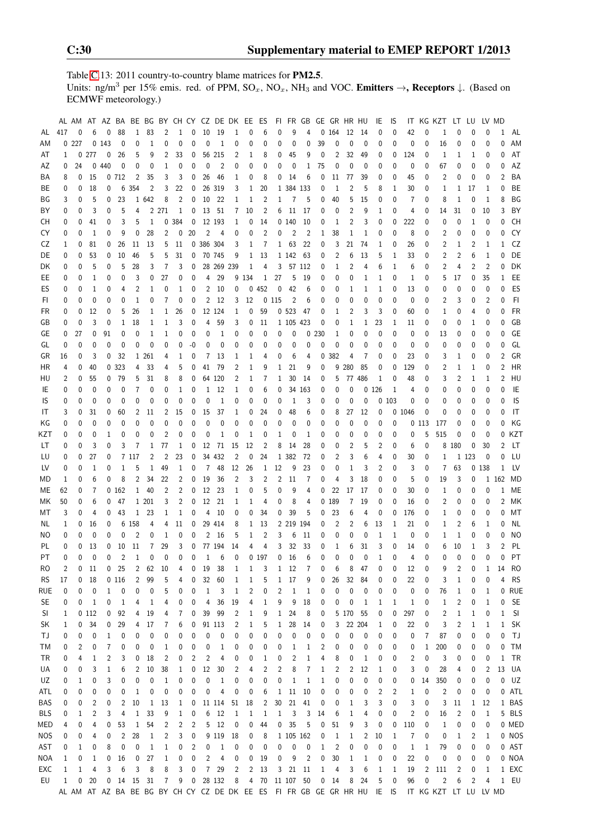Table [C.](#page-2-0)13: 2011 country-to-country blame matrices for PM2.5. Units: ng/m<sup>3</sup> per 15% emis. red. of PPM,  $SO_x$ ,  $NO_x$ ,  $NH_3$  and VOC. Emitters  $\rightarrow$ , Receptors  $\downarrow$ . (Based on ECMWF meteorology.)

|            |                  |        |          | AL AM AT AZ BA BE BG BY CH CY CZ DE DK EE |                |                |              |                         |                |              |                 |                    |                |             | ES             |                |              | FI FR GB GE GR HR HU    |          |             |                |                  | IE           | IS           |                |                | IT KG KZT LT LU                                                                               |              |                |              | LV MD          |           |
|------------|------------------|--------|----------|-------------------------------------------|----------------|----------------|--------------|-------------------------|----------------|--------------|-----------------|--------------------|----------------|-------------|----------------|----------------|--------------|-------------------------|----------|-------------|----------------|------------------|--------------|--------------|----------------|----------------|-----------------------------------------------------------------------------------------------|--------------|----------------|--------------|----------------|-----------|
| AL         | 417              | 0      | 6        | 0                                         | 88             | $\mathbf{1}$   | 83           | 2                       | 1              | 0            | 10              | 19                 | 1              | 0           | 6              | 0              | 9            | 4                       | 0        | 164         | 12             | - 14             | 0            | 0            | 42             | 0              | 1                                                                                             | 0            | 0              | 0            | 1              | AL        |
| ΑM         |                  | 0227   |          | 0143                                      | 0              | 0              | 1            | 0                       | 0              | 0            | 0               | $\mathbf{1}$       | 0              | 0           | 0              | 0              | 0            | 0                       | 39       | 0           | 0              | 0                | 0            | 0            | 0              | 0              | 16                                                                                            | 0            | 0              | 0            | 0              | AM        |
| AT         | 1                | 0      | 277      | 0                                         | 26             | 5              | 9            | 2                       | 33             | 0            |                 | 56 215             | 2              | 1           | 8              | 0              | 45           | 9                       | 0        | 2           | 32             | 49               | 0            | 0            | 124            | 0              | 1                                                                                             | 1            | 1              | 0            | 0              | AT        |
| AΖ         | 0                | 24     | 0        | 440                                       | 0              | 0              | 0            | 1                       | 0              | 0            | 0               | $\overline{2}$     | 0              | 0           | 0              | 0              | 0            | 1                       | 75       | 0           | 0              | 0                | 0            | 0            | 0              | 0              | 67                                                                                            | 0            | 0              | 0            | 0              | AZ        |
| ΒA         | 8                | 0      | 15       |                                           | 0 712          | 2              | 35           | 3                       | 3              | 0            | 26              | 46                 | 1              | 0           | 8              | 0              | 14           | 6                       | 0        | 11          | 77             | 39               | 0            | 0            | 45             | 0              | 2                                                                                             | 0            | 0              | 0            | 2              | BA        |
| ВE         | 0                | 0      | 18       | 0                                         | 6              | 354            | 2            | 3                       | 22             | 0            |                 | 26 319             | 3              | 1           | 20             |                | 1 384 133    |                         | 0        | 1           | 2              | 5                | 8            | 1            | 30             | 0              | 1                                                                                             | 1            | 17             | 1            | 0              | BE        |
| ΒG         | 3                | 0      | 5        | 0                                         | 23             |                | 1 642        | 8                       | 2              | 0            | 10              | 22                 | 1              | 1           | $\overline{2}$ | 1              | 7            | 5                       | 0        | 40          | 5              | 15               | 0            | 0            | $\overline{7}$ | 0              | 8                                                                                             | 1            | 0              | 1            | 8              | BG        |
| ΒY         | 0                | 0      | 3        | 0                                         | 5              | 4              |              | 2 271                   | 1              | 0            | 13              | 51                 | 7              | 10          | 2              | 6              | 11           | 17                      | 0        | 0           | $\overline{2}$ | 9                | 1            | 0            | 4              | 0              | 14                                                                                            | 31           | 0              | 10           | 3              | BY        |
| CН         | 0                | 0      | 41       | 0                                         | 3              | 5              | 1            | 0                       | 384            | 0            |                 | 12 193             | 1              | 0           | 14             |                | 0140         | 10                      | 0        | 1           | 2              | 3                | 0            | 0            | 222            | 0              | 0                                                                                             | $\mathbf{0}$ | $\mathbf{1}$   | 0            | 0              | <b>CH</b> |
| CY         |                  | 0      |          | 0                                         | 9              | 0              | 28           |                         |                | 20           | $\overline{2}$  |                    |                |             | 2              | 0              |              | $\overline{2}$          |          |             | 1              |                  |              | 0            | 8              |                |                                                                                               |              | 0              | 0            | 0              | CY        |
|            | 0                |        | 1        |                                           |                |                |              | 2                       | 0              |              |                 | 4                  | 0              | 0           |                |                | 2            |                         | 1        | 38          |                | 1                | 0            |              |                | 0              | 2                                                                                             | 0            |                |              |                |           |
| CZ         | 1                | 0      | 81       | 0                                         | 26             | 11             | 13           | 5                       | 11             |              | 0 386 304       |                    | 3              | 1           | 7              | $\mathbf{1}$   | 63           | 22                      | 0        | 3           | 21             | 74               | 1            | 0            | 26             | 0              | 2                                                                                             | 1            | 2              | 1            | 1              | CZ        |
| DE         | 0                | 0      | 53       | 0                                         | 10             | 46             | 5            | 5                       | 31             | 0            |                 | 70 745             | 9              | 1           | -13            |                | 1 142 63     |                         | 0        | 2           | 6              | 13               | 5            | 1            | 33             | 0              | 2                                                                                             | 2            | 6              | 1            | 0              | DE        |
| DK         | 0                | 0      | 5        | 0                                         | 5              | 28             | 3            | 7                       | 3              | 0            |                 | 28 269 239         |                | 1           | 4              | 3              |              | 57 112                  | 0        | 1           | 2              | 4                | 6            | 1            | 6              | 0              | 2                                                                                             | 4            | 2              | 2            | 0              | DK        |
| EE.        | 0                | 0      | 1        | 0                                         | 0              | 3              | 0            | 27                      | 0              | 0            | 4               | 29                 |                | 9 1 3 4     | 1              | 27             | 5            | 19                      | 0        | 0           | 0              | 1                | 1            | 0            | 1              | 0              | 5                                                                                             | 17           | 0              | 35           | 1              | EE        |
| ES         | 0                | 0      | 1        | 0                                         | 4              | $\overline{2}$ | 1            | 0                       | 1              | 0            | $\overline{2}$  | 10                 | 0              |             | 0452           | 0              | 42           | 6                       | 0        | 0           | 1              | 1                | 1            | 0            | 13             | 0              | 0                                                                                             | 0            | 0              | 0            | 0              | ES        |
| FI.        | 0                | 0      | 0        | 0                                         | 0              | 1              | 0            | 7                       | 0              | 0            | $\overline{2}$  | 12                 | 3              | 12          |                | 0115           | 2            | 6                       | 0        | 0           | 0              | 0                | 0            | 0            | $\mathbf{0}$   | 0              | 2                                                                                             | 3            | 0              | 2            | 0              | FI.       |
| FR         | 0                | 0      | 12       | 0                                         | 5              | 26             | 1            | 1                       | 26             | 0            |                 | 12 124             | 1              | 0           | 59             |                | 0.523        | 47                      | 0        | 1           | 2              | 3                | 3            | 0            | 60             | 0              | 1                                                                                             | 0            | 4              | 0            | 0              | <b>FR</b> |
| GB         | 0                | 0      | 3        | 0                                         | 1              | 18             | 1            | 1                       | 3              | 0            | 4               | 59                 | 3              | 0           | 11             |                | 1 105 423    |                         | 0        | 0           | 1              | 1                | 23           | 1            | 11             | 0              | 0                                                                                             | 0            | 1              | 0            | 0              | GB        |
| GE         | 0                | 27     | 0        | 91                                        | 0              | 0              | 1            | 1                       | 0              | 0            | 0               | $\mathbf{1}$       | 0              | 0           | 0              | 0              | 0            | 0                       | 230      | 1           | 0              | 0                | 0            | 0            | 0              | 0              | 13                                                                                            | 0            | 0              | 0            | 0              | GE        |
| GL         | 0                | 0      | 0        | 0                                         | 0              | 0              | $\mathbf 0$  | 0                       | 0              | -0           | 0               | 0                  | 0              | 0           | 0              | 0              | 0            | 0                       | 0        | 0           | 0              | 0                | 0            | 0            | $\mathbf{0}$   | 0              | 0                                                                                             | 0            | 0              | 0            | 0              | GL        |
| GR         | 16               | 0      | 3        | 0                                         | 32             |                | 1 261        | 4                       | 1              | 0            | 7               | 13                 | 1              | 1           | 4              | 0              | 6            | 4                       | 0        | 382         | 4              | 7                | 0            | 0            | 23             | 0              | 3                                                                                             | 1            | 0              | 0            | 2              | GR        |
| HR         | 4                | 0      | 40       |                                           | 0 323          | 4              | 33           | 4                       | 5              | 0            | 41              | 79                 | 2              | $\mathbf 1$ | 9              | 1              | 21           | 9                       | 0        | 9           | 280            | 85               | 0            | 0            | 129            | 0              | 2                                                                                             | 1            | 1              | 0            | $\overline{2}$ | <b>HR</b> |
| HU         | 2                | 0      | 55       | 0                                         | 79             | 5              | 31           | 8                       | 8              | 0            |                 | 64 120             | 2              | 1           | 7              | 1              | 30           | 14                      | 0        | 5           |                | 77 486           | 1            | 0            | 48             | 0              | 3                                                                                             | 2            | 1              | 1            | 2              | HU        |
| IE         | 0                | 0      | 0        | 0                                         | $\mathbf{0}$   | $\overline{7}$ | 0            | 0                       | 1              | 0            | 1               | 12                 | 1              | 0           | 6              | 0              | 34           | 163                     | 0        | 0           | 0              | 0                | 126          | 1            | 4              | 0              | 0                                                                                             | 0            | 0              | $\mathbf{0}$ | $\mathbf{0}$   | IE        |
| IS         | 0                | 0      | 0        | 0                                         | 0              | 0              | 0            | 0                       | 0              | 0            | 0               | $\mathbf{1}$       | 0              | 0           | 0              | 0              | $\mathbf{1}$ | 3                       | 0        | 0           | 0              | 0                |              | 0103         | 0              | 0              | 0                                                                                             | 0            | 0              | 0            | 0              | IS        |
| IT         | 3                | 0      | 31       | 0                                         | 60             | 2              | 11           | 2                       | 15             | 0            | 15              | 37                 | 1              | 0           | 24             | 0              | 48           | 6                       | 0        | 8           | 27             | 12               | 0            |              | 0 1046         | $\mathbf{0}$   | 0                                                                                             | 0            | 0              | 0            | 0              | IT        |
| ΚG         | 0                | 0      | 0        | 0                                         | 0              | 0              | $\mathbf{0}$ | 0                       | 0              | 0            | 0               | 0                  | 0              | 0           | 0              | 0              | 0            | 0                       | 0        | 0           | 0              | 0                | 0            | 0            |                | 0 113          | 177                                                                                           | 0            | 0              | 0            | 0              | ΚG        |
| KZT        | 0                | 0      | 0        | 1                                         | 0              | 0              | 0            | $\overline{2}$          | 0              | 0            | 0               | 1                  | 0              | 1           | 0              | 1              | 0            | 1                       | 0        | 0           | 0              | 0                | 0            | 0            | 0              | 5              | 515                                                                                           | 0            | 0              | 0            | 0              | KZT       |
| LT         | 0                | 0      | 3        | 0                                         | 3              | 7              | 1            | 77                      | 1              | 0            | 12              | -71                | 15             | 12          | 2              | 8              | 14           | 28                      | 0        | 0           | 2              | 5                | 2            | 0            | 6              | 0              |                                                                                               | 8 180        | 0              | 30           | 2              | LT.       |
| LU         | 0                | 0      | 27       | 0                                         |                | 7 117          | 2            | $\overline{2}$          | 23             | $\mathbf{0}$ |                 | 34 432             | $\overline{2}$ | 0           | 24             |                | 1 382        | 72                      | 0        | 2           | 3              | 6                | 4            | 0            | 30             | 0              | 1                                                                                             |              | 1 1 2 3        | 0            | 0              | LU        |
| LV         | 0                | 0      | 1        | 0                                         | $\mathbf{1}$   | 5              | 1            | 49                      | 1              | 0            | 7               | 48                 | 12             | 26          | 1              | 12             | 9            | 23                      | 0        | 0           | $\mathbf{1}$   | 3                | 2            | 0            | 3              | 0              | 7                                                                                             | 63           |                | 0 1 38       | 1              | LV        |
| MD         | 1                | 0      | 6        | 0                                         | 8              | $\overline{2}$ | 34           | 22                      | 2              | 0            | 19              | 36                 | 2              | 3           | 2              | $\overline{c}$ | 11           | 7                       | 0        | 4           | 3              | 18               | $\mathbf 0$  | 0            | 5              | 0              | 19                                                                                            | 3            | 0              |              | 1 162          | MD        |
| МE         | 62               | 0      | 7        |                                           | 0162           |                | 1 40         | 2                       | 2              | 0            | 12              | 23                 | 1              | 0           | 5              | 0              | 9            | 4                       | 0        | 22          | 17             | 17               | 0            | 0            | 30             | 0              | 1                                                                                             | 0            | 0              | 0            | 1              | МE        |
| МK         | 50               | 0      | 6        | 0                                         | 47             |                | 1 201        | 3                       | $\overline{c}$ | 0            | 12              | 21                 | 1              | 1           | 4              | 0              | 8            | 4                       | 0        | 189         | 7              | 19               | 0            | 0            | 16             | 0              | 2                                                                                             | 0            | 0              | 0            | 2              | MK        |
| МT         | 3                | 0      | 4        | 0                                         | 43             | $\mathbf{1}$   | 23           | 1                       | 1              | 0            | 4               | 10                 | 0              | 0           | 34             | 0              | 39           | 5                       | 0        | 23          | 6              | 4                | 0            | 0            | 176            | 0              | 1                                                                                             | 0            | 0              | 0            | 0              | MT        |
| NL.        | 1                | 0      | 16       | 0                                         | 6              | 158            | 4            | 4                       | 11             | 0            |                 | 29 414             | 8              | 1           | 13             |                | 2 219 194    |                         | 0        | 2           | 2              | 6                | 13           | 1            | 21             | 0              | 1                                                                                             | 2            | 6              | 1            | 0              | ΝL        |
| ΝO         | 0                | 0      | 0        | 0                                         | 0              | 2              | 0            | 1                       | 0              | 0            | 2               | 16                 | 5              | 1           | 2              | 3              | 6            | 11                      | 0        | 0           | 0              | 0                | 1            | $\mathbf{1}$ | 0              | 0              | 1                                                                                             | $\mathbf{1}$ | 0              | $\mathbf{0}$ | 0              | NO.       |
| PL         | 0                | 0      | 13       | 0                                         | 10             | 11             | 7            | 29                      | 3              | 0            |                 | 77 194             | 14             | 4           | 4              | 3              | 32           | 33                      | 0        | 1           | 6              | 31               | 3            | 0            | 14             | 0              | 6                                                                                             | 10           | $\mathbf{1}$   | 3            | 2              | PL        |
| <b>PT</b>  | 0                | 0      | $\theta$ | $\theta$                                  | $\overline{2}$ | $\mathbf{1}$   | $\mathbf{0}$ | $\theta$                | 0              | $\mathbf{0}$ | $\mathbf{1}$    | 6                  | $\mathbf{0}$   |             | 0197           | 0              | 16           | 6                       | $\theta$ | $\mathbf 0$ | $\mathbf{0}$   | $\Omega$         | $\mathbf{1}$ | $\Omega$     | 4              | $\theta$       | 0                                                                                             | $\Omega$     | $\mathbf{0}$   | $\Omega$     | 0              | PT        |
| RO         | 2                | 0      | 11       | 0                                         | 25             | 2              | 62           | 10                      | 4              | 0            | 19              | 38                 | $\mathbf{1}$   | 1           | 3              |                | 1 12         | 7                       | 0        | 6           | 8              | 47               | 0            | 0            | 12             | 0              | 9                                                                                             | 2            | 0              | 1            | 14             | RO        |
| <b>RS</b>  | 17               | 0      | 18       |                                           | 0 116          | 2              | 99           | 5                       | 4              | 0            | 32              | 60                 | 1              | 1           | 5              | 1              | 17           | 9                       | 0        | 26          | 32             | 84               | 0            | 0            | 22             | 0              | 3                                                                                             | 1            | 0              | 0            | 4              | <b>RS</b> |
| RUE        | 0                | 0      | 0        | $\mathbf{1}$                              | 0              | 0              | 0            | 5                       | 0              | 0            | $\mathbf{1}$    | 3                  | $\mathbf{1}$   | 2           | 0              | 2              | $\mathbf{1}$ | $\mathbf{1}$            | 0        | 0           | 0              | 0                | 0            | 0            | 0              | 0              | 76                                                                                            | 1            | 0              | $\mathbf{1}$ |                | 0 RUE     |
| <b>SE</b>  | 0                | 0      | 1        | 0                                         | 1              | 4              | 1            | 4                       | 0              | 0            | 4               | 36                 | 19             | 4           | 1              | 9              | 9            | 18                      | 0        | 0           | 0              | 1                | 1            | 1            | 1              | 0              | 1                                                                                             | 2            | 0              | 1            | 0              | <b>SE</b> |
| SI         | 1                |        | 0 112    | 0                                         | 92             | 4              | 19           | 4                       | 7              | 0            | 39              | 99                 | 2              | 1           | 9              | 1              | 24           | 8                       | 0        |             | 5 170 55       |                  | 0            | 0            | 297            | 0              | 2                                                                                             | $\mathbf{1}$ | 1              | 0            | 1              | - SI      |
| SK         | 1                | 0      | 34       | 0                                         | 29             | 4              | 17           | 7                       | 6              | 0            |                 | 91 113             | 2              | 1           | 5              | 1              | 28           | 14                      | 0        | 3           |                | 22 204           | 1            | 0            | 22             | 0              | 3                                                                                             | 2            | $\mathbf{1}$   | 1            | $\mathbf{1}$   | SK        |
| ΤJ         | 0                | 0      | 0        | $\mathbf{1}$                              | 0              | 0              | 0            | 0                       | 0              | 0            | 0               | 0                  | 0              | 0           | 0              | 0              | 0            | 0                       | 0        | 0           | 0              | $\boldsymbol{0}$ | 0            | 0            | 0              | 7              | 87                                                                                            | 0            | 0              | 0            | 0              | TJ        |
| ТM         | 0                | 2      | 0        | 7                                         | 0              | 0              | 0            | 1                       | 0              | 0            | 0               | 1                  | 0              | 0           | 0              | 0              | 1            | 1                       | 2        | 0           | 0              | 0                | 0            | 0            | 0              | 1              | 200                                                                                           | 0            | 0              | 0            | 0              | TM        |
| TR         | 0                | 4      | 1        | 2                                         | 3              | 0              | 18           | $\overline{\mathbf{c}}$ | 0              | 2            | 2               | 4                  | 0              | 0           | $\mathbf{1}$   | 0              | 2            | 1                       | 4        | 8           | 0              | 1                | 0            | 0            | 2              | 0              | 3                                                                                             | 0            | 0              | 0            | $\mathbf{1}$   | TR        |
| UA         | 0                | 0      | 3        | 1                                         | 6              | 2              | 10           | 38                      | 1              | 0            | 12              | 30                 | 2              | 4           | 2              | 2              | 8            | 7                       | 1        | 2           | 2              | 12               | 1            | 0            | 3              | 0              | 28                                                                                            | 4            | 0              | 2            | 13             | UA        |
| UZ         | 0                | 1      | 0        | 3                                         | 0              | 0              | 0            | 1                       | 0              | 0            | 0               | $\mathbf{1}$       | 0              | 0           | 0              | 0              | 1            | 1                       | 1        | 0           | 0              | 0                | 0            | 0            | 0              | 14             | 350                                                                                           | 0            | 0              | 0            |                | $0$ $UZ$  |
| ATL        | 0                | 0      | 0        | 0                                         | 0              | 1              | 0            | 0                       | 0              | 0            | 0               | 4                  | 0              | 0           | 6              | $\mathbf{1}$   | 11           | 10                      | 0        | 0           | 0              | 0                | 2            | 2            | 1              | 0              | 2                                                                                             | 0            | 0              | 0            |                | 0 ATL     |
| <b>BAS</b> | 0                | 0      | 2        | 0                                         | 2              | 10             | 1            | 13                      | 1              | 0            |                 | 11 114             | 51             | 18          | 2              | 30             | 21           | 41                      | 0        | 0           | 1              | 3                | 3            | 0            | 3              | 0              | 3                                                                                             | 11           | $\mathbf{1}$   | 12           |                | 1 BAS     |
| <b>BLS</b> | 0                | 1      | 2        | 3                                         | 4              | $\mathbf{1}$   | 33           | 9                       | 1              | 0            | 6               | 12                 | 1              | 1           | 1              | 1              | 3            | 3                       | 14       | 6           | 1              | 4                | 0            | 0            | $\overline{c}$ | 0              | 16                                                                                            | 2            | 0              | 1            |                | 5 BLS     |
| MED        | 4                | 0      | 4        | 0                                         | 53             | $\mathbf{1}$   | 54           | 2                       | 2              | 2            | 5               | 12                 | 0              | 0           | 44             | 0              | 35           | 5                       | 0        | $51\,$      | 9              | 3                | 0            | 0            | 110            | 0              | 1                                                                                             | 0            | 0              | 0            |                | 0 MED     |
| NOS        | 0                | 0      | 4        | 0                                         | $\overline{2}$ | 28             | 1            | $\overline{c}$          | 3              | 0            |                 | 9 1 1 9            | 18             | 0           | 8              |                | 1 105 162    |                         | 0        | 1           | 1              | 2                | 10           | $\mathbf{1}$ | 7              | 0              | 0                                                                                             | 1            | $\overline{c}$ | 1            |                | 0 NOS     |
| AST        | 0                | 1      |          | 8                                         | 0              | 0              | 1            | 1                       | 0              | 2            | 0               | 1                  |                | 0           | 0              | 0              | 0            | 0                       | 1        | 2           | 0              | 0                | 0            | 0            | $\mathbf{1}$   | 1              | 79                                                                                            | 0            | 0              | 0            |                | 0 AST     |
| NOA        | 1                |        | 0        | 0                                         |                | 0              | 27           |                         | 0              | 0            | $\overline{c}$  |                    | 0<br>0         | 0           |                | 0              | 9            | $\overline{\mathbf{c}}$ | 0        | 30          | $\mathbf{1}$   |                  | 0            | 0            | 22             | 0              | 0                                                                                             | 0            | 0              | 0            |                | 0 NOA     |
| EXC        |                  | 0      | 1<br>4   | 3                                         | 16<br>6        | 3              | 8            | 1<br>8                  | 3              | 0            | $7\overline{ }$ | 4                  |                | 2           | 19<br>13       |                | 3 21 11      |                         |          | 4           | 3              | 1                |              |              | 19             | $\overline{c}$ | 111                                                                                           |              | 0              | 1            |                | 1 EXC     |
| EU         | 1<br>$\mathbf 1$ | 1<br>0 |          |                                           |                | 0 14 15 31     |              |                         |                |              |                 | 29<br>9 0 28 132 8 | 2              |             | 4 70 11 107 50 |                |              |                         | 1<br>0   | 14          | 8              | 6                | 1            | 1<br>0       | 96             | 0              | $\overline{\mathbf{c}}$                                                                       | 2<br>6       | 2              | 4            |                | $1$ EU    |
|            |                  |        | - 20     |                                           |                |                |              | 7                       |                |              |                 |                    |                |             |                |                |              |                         |          |             |                | 24               | 5            |              |                |                | AL AM AT AZ BA BE BG BY CH CY CZ DE DK EE ES FI FR GB GE GR HR HU IE IS IT KG KZT LT LU LV MD |              |                |              |                |           |
|            |                  |        |          |                                           |                |                |              |                         |                |              |                 |                    |                |             |                |                |              |                         |          |             |                |                  |              |              |                |                |                                                                                               |              |                |              |                |           |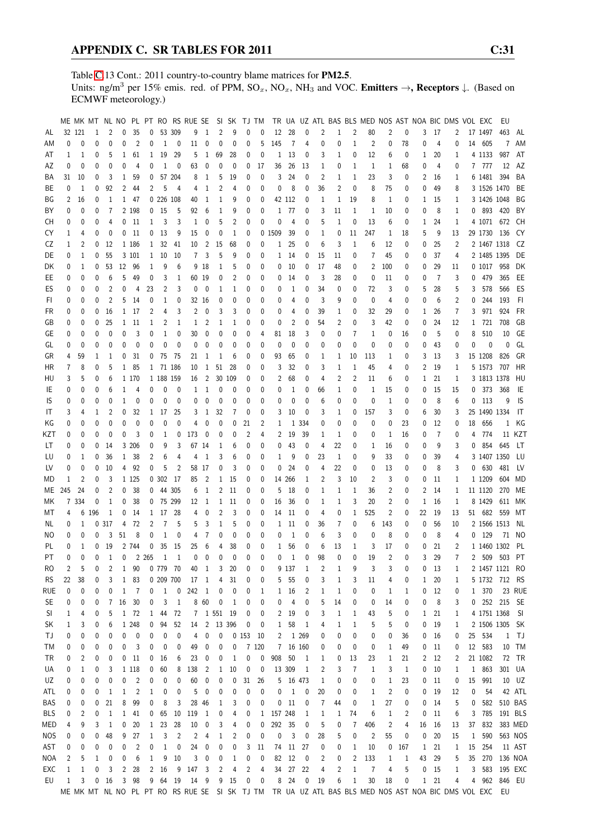Table [C.](#page-2-0)13 Cont.: 2011 country-to-country blame matrices for PM2.5. Units: ng/m<sup>3</sup> per 15% emis. red. of PPM,  $SO_x$ ,  $NO_x$ ,  $NH_3$  and VOC. Emitters  $\rightarrow$ , Receptors  $\downarrow$ . (Based on ECMWF meteorology.)

|            |                |              |     |                |              |                |                |                 |                          | ME MK MT NL NO PL PT RO RS RUE SE |                |        |     |                | SI SK TJ TM |              |          |              |                         |              |                | TR UA UZ ATL BAS BLS MED NOS AST NOA BIC DMS VOL EXC                                                  |                |     |              |                 |                |              |              | EU             |           |
|------------|----------------|--------------|-----|----------------|--------------|----------------|----------------|-----------------|--------------------------|-----------------------------------|----------------|--------|-----|----------------|-------------|--------------|----------|--------------|-------------------------|--------------|----------------|-------------------------------------------------------------------------------------------------------|----------------|-----|--------------|-----------------|----------------|--------------|--------------|----------------|-----------|
| AL         |                | 32 121       | 1   | 2              | 0            | 35             | 0              |                 | 53 309                   | 9                                 | 1              | 2      | 9   | $\mathbf{0}$   | $\theta$    | 12           | 28       | 0            | 2                       | 1            | $\overline{2}$ | 80                                                                                                    | $\overline{c}$ | 0   | 3            | -17             | 2              |              | 17 1497      | 463            | AL        |
| ΑM         | 0              | 0            | 0   | 0              | 0            | $\overline{2}$ | 0              | $\mathbf{1}$    | 0                        | 11                                | 0              | 0      | 0   | 0              | 5           | 145          | 7        | 4            | 0                       | 0            | 1              | 2                                                                                                     | 0              | 78  | 0            | 4               | 0              |              | 14 605       |                | 7 AM      |
| AT         | 1              | 1            | 0   | 5              | 1            | 61             |                | 1 19            | 29                       | 5                                 | 1              | 69     | 28  | 0              | 0           | 1            | 13       | 0            | 3                       | 1            | 0              | 12                                                                                                    | 6              | 0   | $\mathbf{1}$ | 20              | 1              |              | 4 1 1 3 3    | 987            | AT        |
| AΖ         | 0              | 0            | 0   | 0              | 0            | 4              | 0              | 1               | 0                        | 63                                | 0              | 0      | 0   | 0              | 17          | 36           | 26       | 13           | 1                       | 0            | 1              | 1                                                                                                     | 1              | 68  | 0            | 4               | 0              |              | 7 777        | 12             | AZ        |
| BA         | 31             | 10           | 0   | 3              | 1            | 59             | 0              |                 | 57 204                   | 8                                 | 1              | 5      | 19  | 0              | 0           | 3            | 24       | 0            | 2                       | 1            | 1              | 23                                                                                                    | 3              | 0   | 2            | 16              | 1              |              | 6 1481 394   |                | BA        |
|            |                |              |     |                |              |                |                |                 |                          |                                   |                |        |     |                |             |              |          |              |                         |              |                |                                                                                                       |                |     |              |                 |                |              |              |                |           |
| ВE         | 0              | 1            | 0   | 92             | 2            | 44             | 2              | 5               | $\overline{4}$           | 4                                 | 1              | 2      | 4   | 0              | 0           | 0            | 8        | 0            | 36                      | 2            | 0              | 8                                                                                                     | 75             | 0   | 0            | 49              | 8              |              | 3 1526 1470  |                | BE        |
| ΒG         | $\overline{2}$ | 16           | 0   | 1              | $\mathbf{1}$ | 47             |                | 0 226 108       |                          | 40                                | 1              | 1      | 9   | $\mathbf{0}$   | 0           |              | 42 112   | 0            | 1                       | 1            | 19             | 8                                                                                                     | $\mathbf{1}$   | 0   | $\mathbf{1}$ | 15              | 1              |              | 3 1426 1048  |                | ΒG        |
| ΒY         | 0              | 0            | 0   | 7              |              | 2 198          |                | 0 <sub>15</sub> | 5                        | 92                                | 6              | 1      | 9   | 0              | 0           | 1            | -77      | 0            | 3                       | 11           | 1              | 1                                                                                                     | 10             | 0   | 0            | 8               | 1              |              | 0 893 420    |                | BY        |
| CН         | 0              | 0            | 0   | 4              | 0            | 11             | 1              | 3               | 3                        | 1                                 | 0              | 5      | 2   | 0              | 0           | 0            | 4        | 0            | 5                       | 1            | 0              | 13                                                                                                    | 6              | 0   | 1            | 24              | 1              |              | 4 1071 672   |                | СH        |
| CY         | 1              | 4            | 0   | 0              | 0            | - 11           |                | 0 <sub>13</sub> | 9                        | 15                                | 0              | 0      | 1   | 0              |             | 0 1509       | 39       | 0            | 1                       | 0            | 11             | 247                                                                                                   | 1              | 18  | 5            | 9               | 13             |              | 29 1730 136  |                | CY        |
| CZ         | 1              | 2            | 0   | 12             |              | 1 186          |                | 1 32            | 41                       | 10                                | 2              | 15     | 68  | 0              | 0           | 1            | 25       | 0            | 6                       | 3            | 1              | 6                                                                                                     | 12             | 0   | 0            | 25              | $\overline{2}$ |              | 2 1467 1318  |                | CZ        |
| DE         | 0              | 1            | 0   | 55             |              | 3 101          |                | 1 10            | 10                       | 7                                 | 3              | 5      | 9   | 0              | 0           | 1            | 14       | 0            | 15                      | 11           | 0              | 7                                                                                                     | 45             | 0   | 0            | 37              | 4              |              | 2 1485 1395  |                | DE        |
| DK         | 0              | 1            | 0   | 53             | 12           | 96             | 1              | 9               | 6                        |                                   | 9 18           | 1      | 5   | 0              | 0           | 0            | 10       | 0            | 17                      | 48           | 0              | 2                                                                                                     | 100            | 0   | 0            | 29              | 11             |              | 0 1017 958   |                | DK        |
| EE         | 0              | 0            | 0   | 6              | 5            | 49             | 0              | 3               | 1                        | 60 19                             |                | 0      | 2   | $\mathbf{0}$   | 0           | 0            | 14       | 0            | 3                       | 28           | 0              | 0                                                                                                     | 11             | 0   | 0            | 7               | 3              | 0            | 479          | 365            | EE        |
| ES         | 0              | 0            | 0   | $\overline{2}$ | 0            | 4              | 23             | 2               | 3                        | 0                                 | 0              | 1      | 1   | 0              | 0           | 0            | 1        | 0            | 34                      | 0            | 0              | 72                                                                                                    | 3              | 0   | 5            | 28              | 5              | 3            | 578          | 566            | ES        |
|            |                |              |     |                |              |                |                |                 |                          |                                   |                |        |     |                |             |              |          |              |                         |              |                |                                                                                                       |                |     |              |                 |                |              |              |                |           |
| FI         | 0              | 0            | 0   | $\overline{2}$ | 5            | 14             | 0              | 1               | 0                        |                                   | 32 16          | 0      | 0   | 0              | 0           | 0            | 4        | 0            | 3                       | 9            | 0              | $\mathbf{0}$                                                                                          | 4              | 0   | 0            | 6               | $\overline{2}$ | 0            | 244          | 193            | FI.       |
| FR         | 0              | 0            | 0   | 16             | 1            | 17             | 2              | 4               | 3                        | 2                                 | $\mathbf 0$    | 3      | 3   | $\mathbf{0}$   | 0           | 0            | 4        | 0            | 39                      | 1            | 0              | 32                                                                                                    | 29             | 0   | 1            | 26              | 7              | 3            | 971          | 924            | FR        |
| GB         | 0              | 0            | 0   | 25             | 1            | 11             | 1              | 2               | 1                        | 1                                 | 2              | 1      | 1   | 0              | 0           | 0            | 2        | 0            | 54                      | 2            | 0              | 3                                                                                                     | 42             | 0   | 0            | 24              | 12             | $\mathbf{1}$ | 721          | 708            | GB        |
| GЕ         | 0              | 0            | 0   | 0              | 0            | 3              | 0              | 1               | 0                        | 30                                | 0              | 0      | 0   | 0              | 4           | 81           | 18       | 3            | 0                       | 0            | 7              | 1                                                                                                     | 0              | 16  | 0            | 5               | 0              | 8            | 510          | 10             | GE        |
| GL         | 0              | 0            | 0   | 0              | 0            | 0              | 0              | 0               | 0                        | 0                                 | 0              | 0      | 0   | 0              | 0           | $\mathbf{0}$ | 0        | 0            | 0                       | 0            | 0              | 0                                                                                                     | 0              | 0   | 0            | 43              | 0              | 0            | $\mathbf 0$  | 0              | GL        |
| GR         | 4              | 59           | 1   | 1              | 0            | 31             | 0              | 75              | 75                       | 21                                | 1              | 1      | 6   | 0              | 0           | 93           | 65       | 0            | 1                       | 1            | 10             | 113                                                                                                   | 1              | 0   | 3            | 13              | 3              |              | 15 1208      | 826            | GR        |
| HR         | $\overline{7}$ | 8            | 0   | 5              | 1            | 85             |                | 1 71 186        |                          | 10                                | 1              | 51     | 28  | 0              | 0           | 3            | 32       | 0            | 3                       | 1            | 1              | 45                                                                                                    | 4              | 0   | 2            | 19              | 1              |              | 5 1573 707   |                | HR        |
| HU         | 3              | 5            | 0   | 6              |              | 1 170          |                | 1 188 159       |                          | 16                                | 2              | 30     | 109 | 0              | 0           | 2            | 68       | 0            | 4                       | 2            | 2              | 11                                                                                                    | 6              | 0   | $\mathbf{1}$ | 21              | 1              |              | 3 1813 1378  |                | HU        |
| IE         | 0              | 0            | 0   | 6              | 1            | 4              | 0              | 0               | 0                        | 1                                 | 1              | 0      | 0   | 0              | 0           | 0            | 1        | 0            | 66                      | 1            | 0              | 1                                                                                                     | 15             | 0   | 0            | 15              | 15             | 0            | 373          | 368            | IE        |
| IS         | 0              | 0            | 0   | 0              | 1            | 0              | 0              | 0               | 0                        | 0                                 | 0              | 0      | 0   | 0              | 0           | 0            | 0        | 0            | 6                       | 0            | 0              | 0                                                                                                     | 1              | 0   | 0            | 8               | 6              |              | $0$ 113      | 9              | IS        |
|            |                |              |     |                | 0            |                | 1              |                 |                          |                                   |                |        | 7   |                | 0           | 3            | 10       | 0            |                         |              | 0              |                                                                                                       |                |     |              |                 |                |              |              |                | IT        |
| IT         | 3              | 4            | 1   | 2              |              | 32             |                | 17              | 25                       | 3                                 | 1              | 32     |     | 0              |             |              |          |              | 3                       | 1            |                | 157                                                                                                   | 3              | 0   | 6            | 30              | 3              |              | 25 1490 1334 |                |           |
| ΚG         | 0              | 0            | 0   | 0              | 0            | 0              | 0              | 0               | 0                        | 4                                 | 0              | 0      | 0   | 21             | 2           | 1            | 1        | 334          | 0                       | 0            | 0              | 0                                                                                                     | 0              | 23  | 0            | 12              | 0              | 18           | 656          | 1              | KG        |
| KZT        | 0              | 0            | 0   | 0              | 0            | 3              | 0              | 1               | 0                        | 173                               | 0              | 0      | 0   | $\overline{2}$ | 4           | 2            | 19       | 39           | 1                       | 1            | 0              | 0                                                                                                     | 1              | 16  | 0            | 7               | 0              | 4            | 774          |                | 11 KZT    |
| LT         | 0              | 0            | 0   | 14             |              | 3 206          | 0              | 9               | 3                        |                                   | 67 14          | 1      | 6   | 0              | 0           | 0            | 43       | 0            | 4                       | 22           | 0              | 1                                                                                                     | 16             | 0   | 0            | 9               | 3              | 0            | 854          | 645            | LT        |
| LU         | 0              | 1            | 0   | 36             | 1            | 38             | 2              | 6               | 4                        | 4                                 | 1              | 3      | 6   | 0              | 0           | 1            | 9        | 0            | 23                      | 1            | 0              | 9                                                                                                     | 33             | 0   | 0            | 39              | 4              |              | 3 1407 1350  |                | LU        |
| LV         | 0              | 0            | 0   | 10             | 4            | 92             | 0              | 5               | $\overline{c}$           |                                   | 58 17          | 0      | 3   | 0              | 0           | 0            | 24       | 0            | 4                       | 22           | 0              | 0                                                                                                     | 13             | 0   | 0            | 8               | 3              |              | 0 630        | 481            | LV        |
| МD         | 1              | 2            | 0   | 3              |              | 1 1 2 5        |                | 0 302 17        |                          | 85                                | 2              | 1      | 15  | 0              | 0           |              | 14 266   | 1            | 2                       | 3            | 10             | 2                                                                                                     | 3              | 0   | 0            | 11              | 1              |              | 1 1 2 0 9    | 604            | MD        |
| МE         | 245            | 24           | 0   | 2              | 0            | 38             | 0              |                 | 44 305                   | 6                                 | 1              | 2      | 11  | 0              | 0           | 5            | 18       | 0            | 1                       | 1            | 1              | 36                                                                                                    | 2              | 0   | 2            | 14              | 1              |              | 11 1120      | 270            | ME        |
| МK         |                | 7 334        | 0   | 1              | 0            | 38             |                | 0 75 299        |                          | 12                                | 1              | 1      | 11  | 0              | 0           | 16           | 36       | 0            | 1                       | 1            | 3              | 20                                                                                                    | 2              | 0   |              | 1 16            | 1              |              | 8 1429       | 611 MK         |           |
| МT         | 4              | 6            | 196 | 1              | 0            | 14             | $\mathbf{1}$   | 17              | 28                       | 4                                 | 0              | 2      | 3   | 0              | 0           | 14           | 11       | 0            | 4                       | 0            | 1              | 525                                                                                                   | 2              | 0   | 22           | 19              | 13             |              | 51 682 559   |                | МT        |
| NL         | 0              | 1            | 0   | 317            | 4            | 72             | 2              | $\overline{7}$  | 5                        | 5                                 | 3              | 1      | 5   | 0              | 0           | 1            | 11       | 0            | 36                      | 7            | 0              | 6                                                                                                     | 143            | 0   | 0            | 56              | 10             |              | 2 1566 1513  |                | NL        |
| ΝO         | 0              | 0            | 0   | 3              | 51           | 8              | 0              | $\mathbf{1}$    | 0                        | 4                                 | 7              | 0      | 0   | 0              | 0           | 0            | 1        | 0            | 6                       | 3            | 0              | 0                                                                                                     | 8              | 0   | 0            | 8               | 4              |              | $0$ 129      | 71             | NO.       |
|            |                |              |     |                |              |                |                |                 |                          |                                   |                |        |     |                |             |              |          |              |                         |              |                |                                                                                                       |                |     |              |                 |                |              |              |                |           |
| PL         | 0              | $\mathbf{1}$ | 0   | 19             |              | 2 744          | 0              | 35              | 15                       | 25                                | 6              | 4      | 38  | $\mathbf{0}$   | 0           | 1            | 56       | $\mathbf{0}$ | 6                       | 13           | 1              | 3                                                                                                     | 17             | 0   | 0            | 21              | $\overline{2}$ |              | 1 1460 1302  |                | PL        |
| PT         | 0              | 0            | 0   | 1              | 0            |                | 2 2 6 5        | 1               | $\mathbf{1}$             | 0                                 | 0              | 0      | 0   | 0              | $\theta$    | 0            | 1        | 0            | 98                      | 0            | 0              | 19                                                                                                    | 2              | 0   | 3            | 29              | 7              |              | 2 509        | 503            | PT        |
| RO         | 2              | 5            | 0   | 2              | 1            | 90             |                | 0 779 70        |                          | 40                                | 1              | 3      | 20  | 0              | 0           |              | 9 137    | 1            | $\overline{\mathbf{c}}$ | 1            | 9              | 3                                                                                                     | 3              | 0   | 0            | - 13            | 1              |              |              | 2 1457 1121 RO |           |
| <b>RS</b>  | 22             | 38           | 0   | 3              | 1            | 83             |                | 0 209 700       |                          | 17                                | 1              | 4      | 31  | 0              | 0           | 5            | - 55     | 0            | 3                       | $\mathbf{1}$ | 3              | 11                                                                                                    | 4              | 0   | $\mathbf{1}$ | 20              | 1              |              | 5 1732 712   |                | <b>RS</b> |
| rue        | 0              | 0            | 0   | 0              | 1            | 7              | 0              | $\mathbf{1}$    | $\overline{\phantom{0}}$ | 242                               | 1              | 0      | 0   | 0              | 1           | $\mathbf{1}$ | 16       | 2            | 1                       | 1            | 0              | 0                                                                                                     | 1              | 1   |              | 0 <sub>12</sub> | 0              |              | 1 370        |                | 23 RUE    |
| <b>SE</b>  | 0              | 0            | 0   | 7              | 16           | 30             | 0              | 3               | $\mathbf{1}$             | 8                                 | 60             | 0      | 1   | 0              | 0           | 0            | 4        | 0            | 5                       | 14           | 0              | 0                                                                                                     | 14             | 0   | 0            | 8               | 3              |              |              | 0 252 215 SE   |           |
| SI         | 1              | 4            | 0   | 5              | 1            | 72             | $\mathbf{1}$   | 44              | 72                       | 7                                 |                | 1 551  | 19  | 0              | 0           | 2            | 19       | 0            | 3                       | $\mathbf{1}$ | $\mathbf 1$    | 43                                                                                                    | 5              | 0   | $\mathbf{1}$ | 21              | 1              |              | 4 1751 1368  |                | SI        |
| SK         | 1              | 3            | 0   | 6              |              | 1 248          | 0              | 94              | 52                       | 14                                | $\overline{2}$ | 13 396 |     | 0              | 0           | 1            | 58       | 1            | 4                       | 1            | 1              | 5                                                                                                     | 5              | 0   | 0            | 19              | 1              |              | 2 1506 1305  |                | -SK       |
| ΤJ         | 0              | 0            | 0   | 0              | 0            | 0              | 0              | 0               | 0                        | 4                                 | 0              | 0      |     | 0153           | 10          | 2            |          | 1 269        | 0                       | 0            | 0              | 0                                                                                                     | 0              | 36  |              | 0 <sub>16</sub> | 0              |              | 25 534       | 1              | - TJ      |
| ТM         | 0              | 0            | 0   | 0              | 0            | 3              | 0              | 0               | 0                        | 49                                | 0              | 0      | 0   |                | 7 120       |              | 7 16 160 |              | 0                       | 0            | 0              | 0                                                                                                     | 1              | 49  |              | 0 <sub>11</sub> | 0              | 12           | 583          |                | 10 TM     |
| TR         | 0              | 2            | 0   | 0              | 0            | 11             | 0              | 16              | 6                        | 23                                | 0              | 0      | 1   | 0              | 0           | 908          | 50       | 1            | 1                       | 0            | 13             | 23                                                                                                    | 1              | 21  |              | 2 12            | $\overline{c}$ |              | 21 1082      |                | 72 TR     |
|            |                |              |     |                |              |                |                |                 |                          |                                   |                |        |     |                |             |              |          |              |                         |              |                |                                                                                                       |                |     |              |                 |                |              |              |                | 301 UA    |
| UA         | 0              | 1            | 0   | 3              |              | 1 1 18         | 0              | 60              | 8                        | 138                               | 2              | 1      | 10  | 0              | 0           |              | 13 309   | 1            | 2                       | 3            | 7              | 1                                                                                                     | 3              | 1   |              | 0 <sub>10</sub> | 1              |              | 1 863        |                |           |
| UZ         | 0              | 0            | 0   | 0              | 0            | $\overline{c}$ | 0              | 0               | 0                        | 60                                | 0              | 0      | 0   | 31             | 26          |              | 5 16 473 |              | 1                       | 0            | 0              | 0                                                                                                     | 1              | 23  |              | $0$ 11          | 0              | 15           | 991          |                | 10 UZ     |
| ATL        | 0              | 0            | 0   | 1              | 1            | $\overline{2}$ | 1              | 0               | 0                        | 5                                 | 0              | 0      | 0   | 0              | 0           | 0            | 1        | 0            | 20                      | 0            | 0              | 1                                                                                                     | $\overline{c}$ | 0   |              | $0$ 19          | 12             | 0            | 54           |                | 42 ATL    |
| <b>BAS</b> | 0              | 0            | 0   | 21             | 8            | 99             | 0              | 8               | 3                        | 28                                | 46             | 1      | 3   | 0              | 0           | 0            | 11       | 0            | 7                       | 44           | 0              | 1                                                                                                     | 27             | 0   | 0            | 14              | 5              | 0            | 582          | 510 BAS        |           |
| <b>BLS</b> | 0              | 2            | 0   | $\mathbf{1}$   | 1            | 41             | 0              | 65              | 10                       | 119                               | 1              | 0      | 4   | 0              |             | 1 157 248    |          | $\mathbf{1}$ | 1                       | 1            | 74             | 6                                                                                                     | $1\,$          | 2   | 0            | 11              | 6              | 3            | 785          | 191 BLS        |           |
| MED        | 4              | 9            | 3   | $\mathbf{1}$   | 0            | 20             | $\mathbf{1}$   | 23              | 28                       | 10                                | 0              | 3      | 4   | 0              | 0           | 292          | 35       | 0            | 5                       | 0            | 7              | 406                                                                                                   | 2              | 4   | 16           | 16              | 13             | 37           | 832          |                | 383 MED   |
| <b>NOS</b> | 0              | 0            | 0   | 48             | 9            | 27             | 1              | 3               | $\overline{2}$           | 2                                 | 4              | 1      | 2   | 0              | 0           | 0            | 3        | 0            | 28                      | 5            | 0              | $\overline{2}$                                                                                        | 55             | 0   | 0            | 20              | 15             | $\mathbf{1}$ | 590          |                | 563 NOS   |
| AST        | 0              | 0            | 0   | 0              | 0            | $\overline{c}$ | 0              | $\mathbf{1}$    | 0                        | 24                                | 0              | 0      | 0   | 3              | 11          | 74           | 11       | 27           | 0                       | 0            | 1              | 10                                                                                                    | 0              | 167 |              | 1 21            | 1              | 15           | 254          |                | 11 AST    |
| NOA        | 2              | 5            | 1   | 0              | 0            | 6              | 1              | 9               | 10                       | 3                                 | 0              | 0      | 1   | 0              | 0           | 82           | 12       | 0            | 2                       | 0            | 2              | 133                                                                                                   | 1              | 1   | 43           | 29              | 5              | 35           | 270          | 136 NOA        |           |
| EXC        | 1              | 1            | 0   | 3              | 2            | 28             | $\overline{2}$ | 16              | 9                        | 147                               | 3              | 2      | 4   | 2              | 4           | 34           | 27       | 22           | 4                       | 2            | $\mathbf 1$    | 7                                                                                                     | 4              | 5   | 0            | 15              | 1              | 3            |              | 583 195 EXC    |           |
|            |                |              |     | 16             |              |                |                |                 | 64 19                    | 14 9                              |                |        | 15  |                |             |              | 24       |              |                         |              |                | 30                                                                                                    |                |     |              | 21              | 4              |              | 962          | 846 EU         |           |
| EU         | 1              | 3            | 0   |                | 3            | 98             | 9              |                 |                          |                                   |                | 9      |     | 0              | 0           | 8            |          | $\pmb{0}$    | 19                      | 6            | 1              |                                                                                                       | 18             | 0   | 1            |                 |                | 4            |              |                |           |
|            |                |              |     |                |              |                |                |                 |                          |                                   |                |        |     |                |             |              |          |              |                         |              |                | ME MK MT NL NO PL PT RO RS RUE SE SI SK TJ TM TR UA UZ ATL BAS BLS MED NOS AST NOA BIC DMS VOL EXC EU |                |     |              |                 |                |              |              |                |           |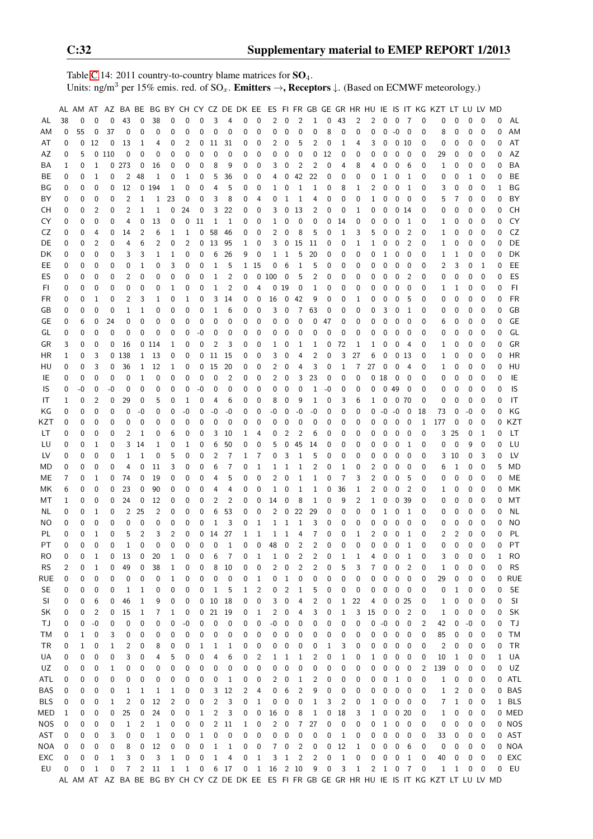Table [C.](#page-2-0)14: 2011 country-to-country blame matrices for  $SO_4$ . Units: ng/m<sup>3</sup> per 15% emis. red. of SO<sub>x</sub>. **Emitters →, Receptors**  $\downarrow$ . (Based on ECMWF meteorology.)

|            |    |      |                |              |                |                |              |                |              |              |                         |              |   |                  |               |              |                |                |              |                |              |                |                   |              |                         |          | AL AM AT AZ BA BE BG BY CH CY CZ DE DK EE ES FI FR GB GE GR HR HU IE IS IT KG KZT LT LU LV MD |                |             |             |   |            |
|------------|----|------|----------------|--------------|----------------|----------------|--------------|----------------|--------------|--------------|-------------------------|--------------|---|------------------|---------------|--------------|----------------|----------------|--------------|----------------|--------------|----------------|-------------------|--------------|-------------------------|----------|-----------------------------------------------------------------------------------------------|----------------|-------------|-------------|---|------------|
| AL         | 38 | 0    | $\Omega$       | 0            | 43             | 0              | 38           | $\mathbf 0$    | $\mathbf 0$  | $\mathbf 0$  | 3                       | 4            | 0 | $\mathbf 0$      | 2             | 0            | $\overline{c}$ | $\mathbf{1}$   | 0            | 43             | 2            | 2              | 0                 | 0            | 7                       | 0        | 0                                                                                             | 0              | 0           | 0           | 0 | AL         |
| ΑM         | 0  | 55   | 0              | 37           | 0              | $\mathbf 0$    | 0            | 0              | $\mathbf 0$  | 0            | 0                       | 0            | 0 | 0                | 0             | 0            | 0              | 0              | 8            | 0              | 0            | 0              | 0                 | $-0$         | 0                       | 0        | 8                                                                                             | 0              | 0           | 0           | 0 | AM         |
| AT         | 0  | 0    | 12             | 0            | 13             | 1              | 4            | 0              | 2            | 0            | 11                      | 31           | 0 | 0                | 2             | 0            | 5              | $\overline{2}$ | 0            | 1              | 4            | 3              | 0                 | 0            | 10                      | 0        | 0                                                                                             | 0              | 0           | 0           | 0 | AT         |
| AZ         | 0  | 5    |                | 0110         | 0              | 0              | 0            | 0              | 0            | 0            | 0                       | 0            | 0 | 0                | 0             | 0            | 0              | 0              | 12           | 0              | 0            | 0              | 0                 | 0            | 0                       | 0        | 29                                                                                            | 0              | 0           | 0           | 0 | AZ         |
| ΒA         | 1  | 0    | 1              |              | 0.273          | 0              | 16           | 0              | 0            | 0            | 8                       | 9            | 0 | 0                | 3             | 0            | 2              | $\overline{2}$ | 0            | 4              | 8            | 4              | 0                 | 0            | 6                       | 0        | 1                                                                                             | 0              | 0           | 0           | 0 | BA         |
| ВE         | 0  | 0    | $\mathbf{1}$   | 0            | 2              | 48             | 1            | 0              | 1            | 0            | 5                       | 36           | 0 | 0                | 4             | 0            | 42             | 22             | 0            | 0              | 0            | 0              | 1                 | 0            | 1                       | 0        | 0                                                                                             | 0              | 1           | 0           | 0 | BE         |
| ΒG         | 0  | 0    | 0              | 0            | 12             | 0              | 194          | $\mathbf{1}$   | 0            | 0            | 4                       | 5            | 0 | 0                | 1             | 0            | 1              | 1              | 0            | 8              | 1            | 2              | 0                 | 0            | $\mathbf{1}$            | 0        | 3                                                                                             | 0              | 0           | 0           | 1 | BG         |
| BY         | 0  | 0    | $\mathbf 0$    | 0            | 2              | 1              | $\mathbf{1}$ | 23             | 0            | 0            | 3                       | 8            | 0 | 4                | 0             | 1            | 1              | 4              | 0            | 0              | 0            | 1              | 0                 | 0            | 0                       | 0        | 5                                                                                             | 7              | 0           | 0           | 0 | BY         |
| СH         | 0  | 0    | 2              | 0            | 2              | 1              | $\mathbf 1$  | 0              | 24           | 0            | 3                       | 22           | 0 | 0                | 3             | 0            | 13             | $\overline{2}$ | 0            | 0              | 1            | 0              | 0                 |              | 0 <sub>14</sub>         | 0        | 0                                                                                             | 0              | 0           | 0           | 0 | CH         |
| CY         | 0  | 0    | 0              | 0            | 4              | 0              | 13           | 0              | 0            | 11           | 1                       | 1            | 0 | 0                | 1             | 0            | 0              | 0              | 0            | 14             | 0            | 0              | 0                 | 0            | 1                       | 0        | 1                                                                                             | 0              | 0           | 0           | 0 | CY         |
| CZ         | 0  | 0    | 4              | 0            | 14             | $\overline{c}$ | 6            | 1              | 1            | 0            | 58                      | 46           | 0 | 0                | 2             | 0            | 8              | 5              | 0            | 1              | 3            | 5              | 0                 | 0            | $\overline{2}$          | 0        | 1                                                                                             | 0              | 0           | 0           | 0 | CZ         |
| DE         | 0  | 0    | 2              | 0            | 4              | 6              | 2            | 0              | 2            | 0            | 13                      | 95           | 1 | 0                | 3             | 0            | 15             | 11             | 0            | 0              | 1            | 1              | 0                 | 0            | $\overline{2}$          | 0        | 1                                                                                             | 0              | 0           | 0           | 0 | DE         |
| DK         | 0  | 0    | 0              | 0            | 3              | 3              | 1            | 1              | 0            | 0            | 6                       | 26           | 9 | 0                | 1             | 1            | 5              | 20             | 0            | 0              | 0            | 0              | 1                 | 0            | 0                       | 0        | 1                                                                                             | 1              | 0           | 0           | 0 | DK         |
| EE.        | 0  | 0    | 0              | 0            | 0              | 1              | 0            | 3              | 0            | 0            | 1                       | 5            |   | 1 15             | 0             | 6            | 1              | 5              | 0            | 0              | 0            | 0              | 0                 | 0            | 0                       | 0        | 2                                                                                             | 3              | 0           | 1           | 0 | EE         |
| ES         | 0  | 0    | $\mathbf 0$    | 0            | 2              | 0              | 0            | 0              | 0            | 0            | 1                       | 2            | 0 | 0                | 100           | 0            | 5              | $\overline{2}$ | 0            | 0              | 0            | 0              | 0                 | 0            | $\overline{2}$          | 0        | 0                                                                                             | 0              | 0           | $\mathbf 0$ | 0 | ES         |
| FI         | 0  | 0    | 0              | 0            | 0              | 0              | 0            | 1              | 0            | 0            | $\mathbf 1$             | 2            | 0 | 4                | 0             | 19           | 0              | 1              | 0            | 0              | 0            | 0              | 0                 | 0            | 0                       | 0        | 1                                                                                             | 1              | 0           | 0           | 0 | FI         |
| FR         | 0  | 0    | 1              | 0            | 2              | 3              | 1            | 0              | $\mathbf{1}$ | 0            | 3                       | 14           | 0 | $\mathbf 0$      | 16            | 0            | 42             | 9              | 0            | 0              | 1            | 0              | 0                 | 0            | 5                       | 0        | 0                                                                                             | 0              | $\mathbf 0$ | $\mathbf 0$ | 0 | <b>FR</b>  |
| GB         | 0  | 0    | 0              | 0            | 1              | 1              | 0            | 0              | 0            | 0            | 1                       | 6            | 0 | 0                | 3             | 0            | 7              | 63             | 0            | 0              | 0            | 0              | 3                 | 0            | 1                       | 0        | 0                                                                                             | 0              | 0           | 0           | 0 | GB         |
| GE         | 0  | 6    | 0              | 24           | 0              | 0              | 0            | 0              | 0            | 0            | 0                       | 0            | 0 | 0                | 0             | 0            | 0              | 0              | 47           | 0              | 0            | 0              | 0                 | 0            | 0                       | 0        | 6                                                                                             | 0              | 0           | 0           | 0 | GE         |
| GL         | 0  | 0    | 0              | 0            | 0              | 0              | 0            | 0              | 0            | -0           | 0                       | 0            | 0 | 0                | 0             | 0            | 0              | 0              | 0            | 0              | 0            | 0              | 0                 | 0            | 0                       | 0        | 0                                                                                             | 0              | 0           | 0           | 0 | GL         |
|            |    |      | 0              |              |                |                |              |                | 0            | 0            | 2                       | 3            |   |                  |               |              |                |                |              |                |              |                |                   |              |                         | 0        |                                                                                               |                |             | $\mathbf 0$ | 0 | GR         |
| GR         | 3  | 0    | 3              | 0            | 16             |                | 0114         | 1              | 0            | 0            | 11                      | 15           | 0 | 0                | 1             | 0            | 1<br>4         | 1<br>2         | 0<br>0       | 72<br>3        | 1<br>27      | 1<br>6         | 0<br>0            | 0            | 4                       | 0        | 1                                                                                             | 0              | 0           |             |   | <b>HR</b>  |
| HR         | 1  | 0    | 3              | 0            | 138            | 1              | 13           | 0              |              |              |                         |              | 0 | 0                | 3             | 0            |                |                |              |                |              | 27             |                   | 0            | 13                      |          | 1                                                                                             | 0              | 0           | 0           | 0 |            |
| HU         | 0  | 0    | $\mathbf 0$    | 0            | 36             | 1              | 12           | 1              | 0            | 0            | 15                      | 20           | 0 | 0                | 2             | 0            | 4              | 3              | 0            | 1              | 7            |                | 0                 | 0            | 4                       | 0        | 1                                                                                             | 0              | 0           | 0           | 0 | HU         |
| IE         | 0  | 0    |                | 0            | 0              | 1              | 0            | 0              | 0            | 0            | 0                       | 2            | 0 | 0                | 2             | 0            | 3              | 23             | 0            | 0              | 0            | 0              | 18                | 0            | 0                       | 0        | 0                                                                                             | 0              | 0           | 0           | 0 | IE         |
| IS         | 0  | $-0$ | 0              | -0           | 0              | 0              | 0            | 0              | 0            | $-0$         | 0                       | 0            | 0 | 0                | 0             | 0            | 0              | 1              | -0           | 0              | 0            | 0              | 0                 | 49           | 0                       | 0        | 0                                                                                             | 0              | $\mathbf 0$ | 0           | 0 | IS         |
| IT         | 1  | 0    | $\overline{2}$ | 0            | 29             | 0              | 5            | 0              | 1            | 0            | 4                       | 6            | 0 | 0                | 8             | 0            | 9              | 1              | 0            | 3              | 6            | 1              | 0                 | 0            | 70                      | 0        | 0                                                                                             | 0              | 0           | 0           | 0 | IT         |
| ΚG         | 0  | 0    | 0              | 0            | 0              | $-0$           | 0            | 0              | -0           | 0            | -0                      | -0           | 0 | 0                | -0            | 0            | $-0$           | -0             | 0            | 0              | 0            | 0              | -0                | -0           | 0                       | 18       | 73                                                                                            | 0              | -0          | 0           | 0 | KG         |
| KZT        | 0  | 0    | 0              | 0            | 0              | 0              | 0            | 0              | 0            | 0            | 0                       | 0            | 0 | 0                | 0             | 0            | 0              | 0              | 0            | 0              | 0            | 0              | 0                 | 0            | 0                       | 1        | 177                                                                                           | 0              | 0           | 0           | 0 | KZT        |
| LT         | 0  | 0    | 0              | 0            | 2              | 1              | 0            | 6              | 0            | 0            | 3                       | 10           | 1 | 4                | 0             | 2            | 2              | 6              | 0            | 0              | 0            | 0              | 0                 | 0            | 0                       | 0        | 3                                                                                             | 25             | 0           | 1           | 0 | LT         |
| LU         | 0  | 0    | 1              | 0            | 3              | 14             | 1            | 0              | 1            | 0            | 6                       | 50           | 0 | 0                | 5             | 0            | 45             | 14             | 0            | 0              | 0            | 0              | 0                 | 0            | 1                       | 0        | 0                                                                                             | 0              | 9           | 0           | 0 | LU         |
| LV         | 0  | 0    | 0              | 0            | 1              | 1              | 0            | 5              | 0            | 0            | 2                       | 7            | 1 | 7                | 0             | 3            | 1              | 5              | 0            | 0              | 0            | 0              | 0                 | 0            | 0                       | 0        | 3                                                                                             | 10             | 0           | 3           | 0 | LV         |
| MD         | 0  | 0    | 0              | 0            | 4              | 0              | 11           | 3              | 0            | 0            | 6                       | 7            | 0 | 1                | 1             | 1            | 1              | $\overline{2}$ | 0            | 1              | 0            | 2              | 0                 | 0            | 0                       | 0        | 6                                                                                             | 1              | 0           | 0           | 5 | MD         |
| MЕ         | 7  | 0    | 1              | 0            | 74             | 0              | 19           | 0              | 0            | 0            | 4                       | 5            | 0 | 0                | 2             | 0            | 1              | 1              | 0            | $\overline{7}$ | 3            | 2              | 0                 | 0            | 5                       | 0        | 0                                                                                             | 0              | 0           | $\mathbf 0$ | 0 | МE         |
| МK         | 6  | 0    | 0              | 0            | 23             | 0              | 90           | 0              | 0            | 0            | 4                       | 4            | 0 | 0                | 1             | 0            | 1              | 1              | 0            | 36             | 1            | 2              | 0                 | 0            | $\overline{2}$          | 0        | 1                                                                                             | 0              | 0           | 0           | 0 | ΜK         |
| МT         | 1  | 0    | 0              | 0            | 24             | 0              | 12           | 0              | 0            | 0            | 2                       | 2            | 0 | 0                | 14            | 0            | 8              | 1              | 0            | 9              | 2            | 1              | 0                 | 0            | 39                      | 0        | 0                                                                                             | 0              | 0           | 0           | 0 | MT         |
| NL         | 0  | 0    | 1              | 0            | 2              | 25             | 2            | 0              | 0            | 0            | 6                       | 53           | 0 | 0                | 2             | 0            | 22             | 29             | 0            | 0              | 0            | 0              | 1                 | 0            | 1                       | 0        | 0                                                                                             | 0              | 0           | 0           | 0 | ΝL         |
| NO         | 0  | 0    | 0              | 0            | 0              | 0              | 0            | 0              | 0            | 0            | 1                       | 3            | 0 | 1                | 1             | 1            | 1              | 3              | 0            | 0              | 0            | 0              | 0                 | 0            | 0                       | 0        | 0                                                                                             | 0              | 0           | 0           | 0 | ΝO         |
| PL         | 0  | 0    | $\mathbf{1}$   | 0            | 5              | $\overline{2}$ | 3            | $\overline{2}$ | 0            | $\mathbf 0$  | 14                      | 27           | 1 | 1                | 1             | 1            | 4              | 7              | 0            | 0              | 1            | $\overline{2}$ | $\mathbf 0$       | 0            | $\mathbf 1$             | 0        | 2                                                                                             | $\overline{2}$ | $\mathbf 0$ | 0           | 0 | PL         |
| PT         | 0  | 0    | $\mathbf 0$    | $\Omega$     | $\mathbf{1}$   | $\Omega$       | $\Omega$     | $\Omega$       | $\Omega$     | $\Omega$     | $\Omega$                | $\mathbf{1}$ | 0 | $\mathbf 0$      | 48            | $\mathbf 0$  | $\overline{2}$ | $\overline{2}$ | 0            | 0              | $\Omega$     | $\mathbf 0$    | $\mathbf 0$       | $\mathbf{0}$ | $\mathbf{1}$            | $\Omega$ | $\mathbf{0}$                                                                                  | $\Omega$       | 0           | $\Omega$    | 0 | <b>PT</b>  |
| RO         | 0  | 0    | 1              | 0            | 13             | 0              | 20           | 1              | 0            | 0            | 6                       | 7            | 0 | 1                | 1             | 0            | 2              | $\overline{c}$ | 0            | 1              | 1            | 4              | 0                 | 0            | 1                       | 0        | 3                                                                                             | 0              | 0           | 0           | 1 | <b>RO</b>  |
| <b>RS</b>  | 2  | 0    | 1              | 0            | 49             | 0              | 38           | 1              | 0            | 0            | 8                       | 10           | 0 | 0                | 2             | 0            | 2              | 2              | 0            | 5              | 3            | 7              | 0                 | 0            | 2                       | 0        | 1                                                                                             | 0              | 0           | 0           | 0 | <b>RS</b>  |
| <b>RUE</b> | 0  | 0    | 0              | 0            | 0              | 0              | 0            | $\mathbf{1}$   | 0            | 0            | 0                       | 0            | 0 | $\mathbf{1}$     | 0             | 1            | 0              | 0              | 0            | 0              | 0            | 0              | 0                 | 0            | 0                       | 0        | 29                                                                                            | 0              | 0           | 0           | 0 | <b>RUE</b> |
| SE.        | 0  | 0    | 0              | 0            | 1              | 1              | 0            | 0              | 0            | 0            | 1                       | 5            | 1 | 2                | 0             | 2            | 1              | 5              | 0            | 0              | 0            | 0              | 0                 | 0            | 0                       | 0        | 0                                                                                             | 1              | 0           | 0           | 0 | <b>SE</b>  |
| SI         | 0  | 0    | 6              | 0            | 46             | $\mathbf 1$    | 9            | 0              | 0            |              | $0$ 10                  | 18           | 0 | 0                | 3             | 0            | 4              | $\overline{c}$ | 0            | 1              | 22           | 4              | 0                 |              | 025                     | 0        | 1                                                                                             | 0              | 0           | 0           | 0 | SI         |
| SK         | 0  | 0    | 2              | 0            | 15             | 1              | 7            | $\mathbf{1}$   | 0            | 0            | 21                      | 19           | 0 | 1                | 2             | 0            | 4              | 3              | 0            | 1              | 3            | 15             | 0                 | 0            | $\overline{2}$          | 0        | 1                                                                                             | 0              | 0           | 0           | 0 | SK         |
| ТJ         | 0  | 0    | $-0$           | 0            | 0              | 0              | 0            | 0              | $-0$         | 0            | 0                       | 0            | 0 | 0                | $-0$          | 0            | 0              | 0              | 0            | 0              | 0            | 0              | $-0$              | 0            | 0                       | 2        | 42                                                                                            | 0              | $-0$        | 0           | 0 | <b>TJ</b>  |
| ТM         | 0  | 1    | 0              | 3            | 0              | 0              | 0            | 0              | 0            | 0            | 0                       | 0            | 0 | 0                | 0             | 0            | 0              | 0              | 0            | 0              | 0            | 0              | 0                 | 0            | 0                       | 0        | 85                                                                                            | 0              | 0           | 0           | 0 | TM         |
| TR         | 0  | 1    | 0              | $\mathbf{1}$ | 2              | 0              | 8            | 0              | 0            | 1            | 1                       | 1            | 0 | 0                | 0             | 0            | 0              | 0              | $\mathbf{1}$ | 3              | 0            | 0              | 0                 | 0            | 0                       | 0        | $\overline{c}$                                                                                | 0              | 0           | 0           | 0 | TR         |
| UA         | 0  | 0    | 0              | 0            | 3              | 0              | 4            | 5              | 0            | 0            | 4                       | 6            | 0 | 2                | 1             | 1            | 1              | 2              | 0            | 1              | 0            | 1              | 0                 | 0            | 0                       | 0        | 10                                                                                            | 1              | 0           | 0           | 1 | UA         |
| UZ         | 0  | 0    | 0              | 1            | 0              | 0              | 0            | 0              | 0            | 0            | 0                       | 0            | 0 | 0                | 0             | 0            | 0              | 0              | 0            | 0              | 0            | 0              | 0                 | 0            | 0                       | 2        | 139                                                                                           | 0              | 0           | 0           | 0 | UZ         |
| ATL        | 0  | 0    | 0              | 0            | 0              | 0              | 0            | 0              | 0            | 0            | 0                       | 1            | 0 | 0                | 2             | 0            | 1              | 2              | 0            | 0              | 0            | 0              | 0                 | 1            | 0                       | 0        | 1                                                                                             | 0              | 0           | 0           |   | 0 ATL      |
| <b>BAS</b> | 0  | 0    | 0              | 0            | 1              | 1              | 1            | 1              | 0            | 0            | 3                       | 12           | 2 | 4                | 0             | 6            | 2              | 9              | 0            | 0              | 0            | 0              | 0                 | 0            | 0                       | 0        | 1                                                                                             | 2              | 0           | 0           |   | 0 BAS      |
| <b>BLS</b> | 0  | 0    | 0              | 1            | 2              | 0              | 12           | $\overline{c}$ | 0            | 0            | 2                       | 3            | 0 | 1                | 0             | 0            | 0              | 1              | 3            | 2              | 0            | 1              | 0                 | 0            | $\overline{\mathbf{0}}$ | 0        | 7                                                                                             | 1              | 0           | 0           |   | 1 BLS      |
| MED        | 1  | 0    | 0              | 0            | 25             | 0              | 24           | 0              | 0            | $\mathbf{1}$ | $\overline{\mathbf{c}}$ | 3            | 0 | $\boldsymbol{0}$ | 16            | 0            | 8              | $\mathbf 1$    | 0            | 18             | 3            | 1              | 0                 |              | 020                     | 0        | $\mathbf{1}$                                                                                  | 0              | 0           | 0           |   | 0 MED      |
| <b>NOS</b> | 0  | 0    | 0              | 0            | 1              | 2              | $\mathbf{1}$ | 0              | 0            | 0            | $\overline{c}$          | 11           | 1 | $\boldsymbol{0}$ | 2             | 0            | 7              | 27             | 0            | 0              | 0            | 0              | $\mathbf{1}$      | 0            | $\overline{\mathbf{0}}$ | 0        | 0                                                                                             | 0              | 0           | 0           |   | 0 NOS      |
| AST        | 0  | 0    | 0              | 3            | 0              | 0              | $\mathbf{1}$ | 0              | 0            | $\mathbf{1}$ | 0                       | 0            | 0 | 0                | 0             | 0            | 0              | 0              | 0            | $\mathbf{1}$   | 0            | 0              | 0                 | 0            | 0                       | 0        | 33                                                                                            | 0              | 0           | 0           |   | 0 AST      |
| NOA        | 0  | 0    | 0              | 0            | 8              | 0              | 12           | 0              | 0            | 0            | $\mathbf{1}$            | 1            | 0 | 0                | 7             | 0            | 2              | 0              | 0            | 12             | 1            | 0              | 0                 | 0            | 6                       | 0        | 0                                                                                             | 0              | 0           | 0           |   | 0 NOA      |
| EXC        | 0  | 0    | 0              | $\mathbf{1}$ | 3              | 0              | 3            | $\mathbf{1}$   | 0            | 0            | $\mathbf 1$             | 4            | 0 | $\mathbf{1}$     | 3             | $\mathbf{1}$ | $\overline{c}$ | $\overline{c}$ | 0            | $\mathbf{1}$   | 0            | 0              | 0                 | 0            | $\mathbf{1}$            | 0        | 40                                                                                            | 0              | 0           | 0           |   | 0 EXC      |
| EU         | 0  | 0    | $\mathbf{1}$   | 0            | $\overline{7}$ | 2              | 11           | $\mathbf{1}$   | $\mathbf{1}$ | 0            |                         | 6 17         |   |                  | $0$ 1 16 2 10 |              |                | 9              | 0            | 3              | $\mathbf{1}$ |                | $2\quad 1\quad 0$ |              | $\overline{7}$          | 0        | $\mathbf{1}$                                                                                  | 1              | 0           | 0           | 0 | EU         |
|            |    |      |                |              |                |                |              |                |              |              |                         |              |   |                  |               |              |                |                |              |                |              |                |                   |              |                         |          | AL AM AT AZ BA BE BG BY CH CY CZ DE DK EE ES FI FR GB GE GR HR HU IE IS IT KG KZT LT LU LV MD |                |             |             |   |            |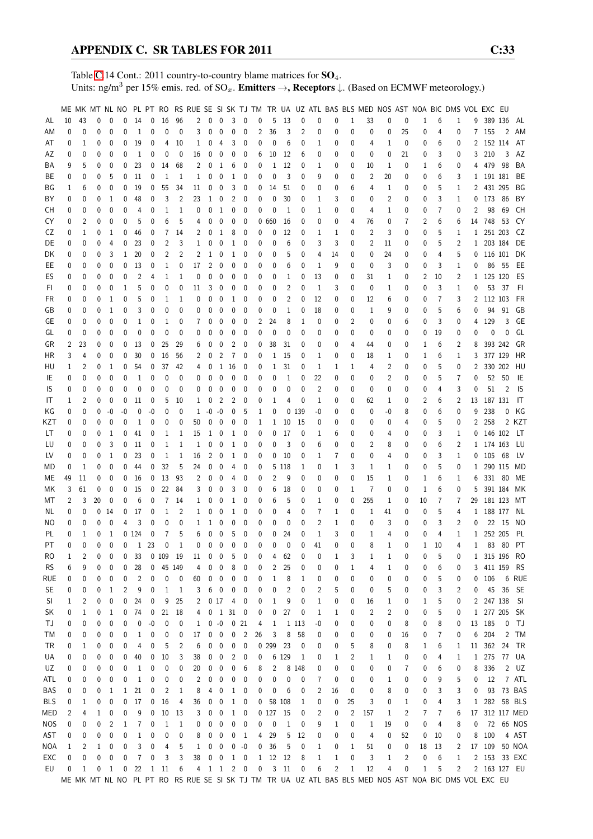Table [C.](#page-2-0)14 Cont.: 2011 country-to-country blame matrices for  $SO_4$ . Units: ng/m<sup>3</sup> per 15% emis. red. of  $SO_x$ . **Emitters**  $\rightarrow$ **, Receptors**  $\downarrow$ . (Based on ECMWF meteorology.)

|            |    |              |          |              |          |              |                         |              |                |              |                      |                          |                                  |                  |              |              |        |                |                |              |                | ME MK MT NL NO PL PT RO RS RUE SE SI SK TJ TM TR UA UZ ATL BAS BLS MED NOS AST NOA BIC DMS VOL EXC EU |    |          |    |                |              |              |                |                |           |
|------------|----|--------------|----------|--------------|----------|--------------|-------------------------|--------------|----------------|--------------|----------------------|--------------------------|----------------------------------|------------------|--------------|--------------|--------|----------------|----------------|--------------|----------------|-------------------------------------------------------------------------------------------------------|----|----------|----|----------------|--------------|--------------|----------------|----------------|-----------|
| AL         | 10 | 43           | 0        | 0            | 0        | 14           | 0                       | 16           | 96             | 2            | $\mathbf 0$          | 0                        | 3                                | $\mathbf 0$      | 0            | 5            | 13     | 0              | 0              | 0            | 1              | 33                                                                                                    | 0  | 0        | 1  | 6              | $\mathbf{1}$ |              | 9 389 136      |                | AL        |
| ΑM         | 0  | $\mathbf{0}$ | 0        | 0            | 0        | $\mathbf{1}$ | 0                       | 0            | 0              | 3            | 0                    | 0                        | 0                                | 0                | 2            | 36           | 3      | $\overline{2}$ | 0              | 0            | 0              | 0                                                                                                     | 0  | 25       | 0  | 4              | 0            |              | 7 155          | 2              | AM        |
|            |    |              |          |              |          |              |                         |              |                |              |                      |                          |                                  | 0                |              |              |        |                |                |              |                |                                                                                                       |    |          |    |                |              |              | 2 152 114      |                | AT        |
| AT         | 0  | 1            | 0        | 0            | 0        | 19           | 0                       | 4            | 10             | 1            | 0                    | 4                        | 3                                |                  | 0            | 0            | 6      | 0              | 1              | 0            | 0              | 4                                                                                                     | 1  | 0        | 0  | 6              | 0            |              |                |                |           |
| ΑZ         | 0  | 0            | 0        | 0            | 0        | 1            | 0                       | 0            | 0              | 16           | 0                    | 0                        | 0                                | 0                | 6            | 10           | 12     | 6              | 0              | 0            | 0              | 0                                                                                                     | 0  | 21       | 0  | 3              | 0            |              | 3 210          | 3              | AZ        |
| ΒA         | 9  | 5            | 0        | 0            | 0        | 23           | 0                       | 14           | 68             | 2            | 0                    | 1                        | 6                                | 0                | 0            | 1            | 12     | 0              | 1              | 0            | 0              | 10                                                                                                    | 1  | 0        | 1  | 6              | 0            | 4            | 479            | - 98           | BA        |
| BE         | 0  | 0            | 0        | 5            | 0        | 11           | 0                       | 1            | 1              | 1            | 0                    | 0                        | 1                                | 0                | 0            | 0            | 3      | 0              | 9              | 0            | 0              | $\overline{c}$                                                                                        | 20 | 0        | 0  | 6              | 3            |              | 1 191 181      |                | BE        |
| ΒG         | 1  | 6            | 0        | 0            | 0        | 19           | 0                       | 55           | 34             | 11           | 0                    | 0                        | 3                                | 0                | 0            | 14           | 51     | 0              | 0              | 0            | 6              | 4                                                                                                     | 1  | 0        | 0  | 5              | 1            |              | 2 431 295      |                | BG        |
| ΒY         | 0  | 0            | 0        | 1            | 0        | 48           | 0                       | 3            | 2              | 23           | 1                    | 0                        | 2                                | 0                | 0            | 0            | 30     | 0              | 1              | 3            | 0              | 0                                                                                                     | 2  | 0        | 0  | 3              | 1            | 0            | 173            | 86             | BY        |
| CН         | 0  | 0            | 0        | 0            | 0        | 4            | 0                       | 1            | 1              | 0            | 0                    | $\mathbf{1}$             | 0                                | 0                | 0            | 0            | 1      | 0              | 1              | 0            | 0              | 4                                                                                                     | 1  | 0        | 0  | 7              | 0            | 2            | 98             | 69             | CН        |
| CY         | 0  | 2            | 0        | 0            | 0        | 5            | 0                       | 6            | 5              | 4            | 0                    | 0                        | 0                                | 0                | 0            | 660          | 16     | 0              | 0              | 0            | 4              | 76                                                                                                    | 0  | 7        | 2  | 6              | 6            | 14           | 748            | 53             | CY        |
| CZ         | 0  | 1            | 0        | 1            | 0        | 46           | 0                       | 7            | 14             | 2            | 0                    | 1                        | 8                                | 0                | 0            | 0            | 12     | 0              | 1              | 1            | 0              | $\overline{2}$                                                                                        | 3  | 0        | 0  | 5              | 1            | $\mathbf{1}$ | 251 203        |                | CZ        |
| DE         | 0  | 0            | 0        | 4            | 0        | 23           | 0                       | 2            | 3              | $\mathbf{1}$ | 0                    | 0                        | 1                                | 0                | 0            | 0            | 6      | 0              | 3              | 3            | 0              | 2                                                                                                     | 11 | 0        | 0  | 5              | 2            |              | 1 203 184      |                | DE        |
| DK         | 0  | 0            | 0        | 3            | 1        | 20           | 0                       | 2            | 2              | 2            | 1                    | 0                        | 1                                | 0                | 0            | 0            | 5      | 0              | 4              | 14           | 0              | 0                                                                                                     | 24 | 0        | 0  | 4              | 5            |              | 0 116 101      |                | DK        |
| EE         | 0  | 0            | 0        | 0            | 0        | 13           | 0                       | 1            | 0              | 17           | 2                    | 0                        | 0                                | 0                | 0            | 0            | 6      | 0              | 1              | 9            | 0              | 0                                                                                                     | 3  | 0        | 0  | 3              | 1            | 0            |                | 86 55          | EE        |
| ES         | 0  | 0            | 0        | 0            | 0        | 2            | 4                       | 1            | 1              | 0            | 0                    | 0                        | 0                                | 0                | 0            | 0            | 1      | 0              | 13             | 0            | 0              | 31                                                                                                    | 1  | 0        | 2  | 10             | 2            |              | 1 125 120      |                | ES        |
| FI.        | 0  | 0            | 0        | 0            | 1        | 5            | 0                       | 0            | 0              | 11           | 3                    | 0                        | 0                                | 0                | 0            | 0            | 2      | 0              | 1              | 3            | 0              | 0                                                                                                     | 1  | 0        | 0  | 3              | 1            | 0            | 53             | - 37           | FI.       |
| FR         | 0  | 0            | 0        | 1            | 0        | 5            | 0                       | $\mathbf{1}$ | 1              | 0            | 0                    | 0                        | 1                                | 0                | 0            | $\mathbf{0}$ | 2      | 0              | 12             | 0            | 0              | 12                                                                                                    | 6  | 0        | 0  | $\overline{7}$ | 3            | 2            | 112 103        |                | <b>FR</b> |
|            |    |              |          |              |          |              |                         |              |                |              |                      |                          |                                  |                  |              |              |        |                |                |              |                |                                                                                                       |    |          |    |                |              |              |                |                |           |
| GB         | 0  | 0            | 0        | 1            | 0        | 3            | 0                       | 0            | 0              | 0            | 0                    | 0                        | 0                                | 0                | 0            | 0            | 1      | 0              | 18             | 0            | 0              | 1                                                                                                     | 9  | 0        | 0  | 5              | 6            | 0            | 94             | 91             | GB        |
| GЕ         | 0  | 0            | 0        | 0            | 0        | 1            | 0                       | 1            | 0              | 7            | 0                    | 0                        | 0                                | 0                | 2            | 24           | 8      | 1              | 0              | 0            | 2              | 0                                                                                                     | 0  | 6        | 0  | 3              | 0            | 4            | 129            | 3              | GE        |
| GL         | 0  | 0            | 0        | 0            | 0        | 0            | 0                       | 0            | 0              | 0            | 0                    | 0                        | 0                                | 0                | 0            | 0            | 0      | 0              | 0              | 0            | 0              | 0                                                                                                     | 0  | 0        | 0  | 19             | 0            | 0            | 0              | 0              | GL        |
| GR         | 2  | 23           | 0        | 0            | 0        | 13           | 0                       | 25           | 29             | 6            | 0                    | 0                        | 2                                | 0                | 0            | 38           | 31     | 0              | 0              | 0            | 4              | 44                                                                                                    | 0  | 0        | 1  | 6              | 2            | 8            |                | 393 242        | GR        |
| HR         | 3  | 4            | 0        | 0            | 0        | 30           | 0                       | 16           | 56             | 2            | 0                    | 2                        | 7                                | 0                | 0            | 1            | 15     | 0              | 1              | 0            | 0              | 18                                                                                                    | 1  | 0        | 1  | 6              | 1            | 3            | 377 129        |                | HR        |
| HU         | 1  | 2            | 0        | 1            | 0        | 54           | 0                       | 37           | 42             | 4            | 0                    | 1                        | 16                               | 0                | 0            | 1            | 31     | 0              | 1              | 1            | 1              | 4                                                                                                     | 2  | 0        | 0  | 5              | 0            | 2            |                | 330 202        | HU        |
| IE         | 0  | 0            | 0        | 0            | 0        | 1            | 0                       | 0            | 0              | 0            | 0                    | 0                        | 0                                | 0                | 0            | 0            | 1      | 0              | 22             | 0            | 0              | 0                                                                                                     | 2  | 0        | 0  | 5              | 7            | 0            | 52             | 50             | IE        |
| IS         | 0  | 0            | 0        | 0            | 0        | 0            | 0                       | 0            | 0              | 0            | 0                    | 0                        | 0                                | 0                | 0            | 0            | 0      | 0              | 2              | 0            | 0              | 0                                                                                                     | 0  | 0        | 0  | 4              | 3            | 0            | 51             | $\overline{2}$ | IS        |
| IT         | 1  | 2            | 0        | 0            | 0        | 11           | 0                       | 5            | 10             | 1            | 0                    | 2                        | 2                                | 0                | 0            | 1            | 4      | 0              | 1              | 0            | 0              | 62                                                                                                    | 1  | 0        | 2  | 6              | 2            | 13           | 187 131        |                | IT        |
| ΚG         | 0  | 0            | 0        | -0           | -0       | 0            | -0                      | 0            | 0              | 1            | $-0$                 | -0                       | 0                                | 5                | 1            | 0            |        | 0 139          | -0             | 0            | 0              | 0                                                                                                     | -0 | 8        | 0  | 6              | 0            | 9            | 238            | 0              | KG        |
| KZT        | 0  | 0            | 0        | 0            | 0        | 1            | 0                       | 0            | 0              | 50           | 0                    | 0                        | 0                                | 0                | 1            | 1            | 10     | 15             | 0              | 0            | 0              | 0                                                                                                     | 0  | 4        | 0  | 5              | 0            |              | 2 258          |                | 2 KZT     |
| LT         | 0  | 0            | 0        | 1            | 0        | 41           | 0                       | 1            | 1              | 15           | 1                    | 0                        | 1                                | 0                | 0            | 0            | 17     | 0              | 1              | 6            | 0              | 0                                                                                                     | 4  | 0        | 0  | 3              | 1            |              | 0 146 102      |                | LT        |
| LU         | 0  | 0            | 0        | 3            | 0        | 11           | 0                       | 1            | 1              | 1            | 0                    | 0                        | 1                                | 0                | 0            | 0            | 3      | 0              | 6              | 0            | 0              | 2                                                                                                     | 8  | 0        | 0  | 6              | 2            |              | 1 174 163      |                | LU        |
| LV         | 0  | 0            | 0        | 1            | 0        | 23           | 0                       | 1            | 1              | 16           | 2                    | 0                        | 1                                | 0                | 0            | 0            | 10     | 0              | 1              | 7            | 0              | 0                                                                                                     | 4  | 0        | 0  | 3              | 1            | 0            | 105 68         |                | LV        |
| MD         | 0  | 1            | 0        | $\mathbf{0}$ | 0        | 44           | 0                       | 32           | 5              | 24           |                      | 0                        | 4                                |                  | 0            | 5            | 118    | 1              | 0              | 1            | 3              | 1                                                                                                     | 1  | 0        |    | 5              | 0            |              | 1 290 115      |                | MD        |
|            |    |              |          |              |          |              |                         |              |                |              | 0                    |                          |                                  | 0                |              |              |        |                |                |              |                |                                                                                                       |    |          | 0  |                |              |              |                |                |           |
| ME         | 49 | 11           | 0        | 0            | 0        | 16           | 0                       | 13           | 93             | 2            | 0                    | 0                        | 4                                | 0                | 0            | 2            | 9      | 0              | 0              | 0            | 0              | 15                                                                                                    | 1  | 0        | 1  | 6              | 1            | 6            |                | 331 80         | МE        |
| МK         | 3  | 61           | 0        | 0            | 0        | 15           | 0                       | 22           | 84             | 3            | 0                    | 0                        | 3                                | 0                | 0            | 6            | 18     | 0              | 0              | 0            | 1              | $\overline{7}$                                                                                        | 0  | 0        | 1  | 6              | 0            | 5            |                | 391 184        | МK        |
| МT         | 2  | 3            | 20       | 0            | 0        | 6            | 0                       | 7            | 14             | 1            | 0                    | 0                        | 1                                | 0                | 0            | 6            | 5      | 0              | 1              | 0            | 0              | 255                                                                                                   | 1  | 0        | 10 | 7              | 7            | 29           |                | 181 123        | МT        |
| NL         | 0  | 0            | 0        | 14           | 0        | 17           | 0                       | 1            | 2              | $\mathbf{1}$ | 0                    | 0                        | 1                                | 0                | 0            | 0            | 4      | 0              | 7              | 1            | 0              | 1                                                                                                     | 41 | 0        | 0  | 5              | 4            |              | 1 188 177      |                | NL        |
| ΝO         | 0  | 0            | 0        | 0            | 4        | 3            | 0                       | 0            | 0              | 1            | 1                    | 0                        | 0                                | 0                | 0            | 0            | 0      | 0              | $\overline{2}$ | 1            | 0              | 0                                                                                                     | 3  | 0        | 0  | 3              | 2            | 0            |                | 22 15          | NO        |
| PL         | 0  | 1            | 0        | 1            |          | 0124         | 0                       | 7            | 5              | 6            | 0                    | 0                        | 5                                | 0                | 0            | $\mathbf 0$  | 24     | 0              | 1              | 3            | 0              | 1                                                                                                     | 4  | 0        | 0  | 4              | 1            |              | 1 252 205      |                | PL        |
| PT         | 0  | 0            | $\Omega$ | $\mathbf{0}$ | $\Omega$ | $\mathbf{1}$ | 23                      | 0            | $\mathbf{1}$   | 0            | $\mathbf{0}$         | $\mathbf{0}$             | 0                                | $\mathbf{0}$     | 0            | 0            | 0      | 0              | 41             | $\Omega$     | $\theta$       | 8                                                                                                     | 1  | $\theta$ | 1  | 10             | 4            | $\mathbf{1}$ |                | 83 80          | <b>PT</b> |
| RO         | 1  | 2            | 0        | 0            | 0        | 33           |                         | 0 109 19     |                | 11           | $\overline{0}$       | $\overline{\phantom{0}}$ | 5                                | 0                | 0            | 4            | 62     | 0              | 0              | 1            | 3              | 1                                                                                                     | 1  | 0        | 0  | 5              | 0            |              | 1 315 196      |                | -RO       |
| <b>RS</b>  | 6  | 9            | 0        | 0            | 0        | 28           | 0                       |              | 45 149         | 4            | 0                    | 0                        | 8                                | 0                | 0            | 2            | 25     | 0              | 0              | 0            | 1              | 4                                                                                                     | 1  | 0        | 0  | 6              | 0            |              | 3 411 159      |                | RS        |
| rue        | 0  | 0            | 0        | 0            | 0        | 2            | 0                       | 0            | 0              | 60           | 0                    | 0                        | 0                                | 0                | 0            | 1            | 8      | 1              | 0              | 0            | 0              | 0                                                                                                     | 0  | 0        | 0  | 5              | 0            |              | 0 106          |                | 6 RUE     |
| <b>SE</b>  | 0  | 0            | 0        | 1            | 2        | 9            | 0                       | 1            | 1              | 3            | 6                    | 0                        | 0                                | 0                | 0            | 0            | 2      | 0              | 2              | 5            | 0              | 0                                                                                                     | 5  | 0        | 0  | 3              | 2            | 0            | 45             | - 36           | -SE       |
| SI         | 1  | 2            | 0        | 0            | 0        | 24           | 0                       | 9            | 25             | 2            |                      | 017                      | 4                                | 0                | 0            | 1            | 9      | 0              | 1              | 0            | 0              | 16                                                                                                    | 1  | 0        | 1  | 5              | 0            |              | 2 247 138      |                | -SI       |
| SK         | 0  | 1            | 0        | 1            | 0        | 74           | $\overline{\mathbf{0}}$ | 21           | 18             |              |                      |                          | $4\quad 0\quad 1\quad 31\quad 0$ |                  | 0            | 0            | 27     | 0              | 1              | 1            | 0              | $\overline{c}$                                                                                        | 2  | 0        | 0  | 5              | 0            |              | 1 277 205      |                | <b>SK</b> |
| ТJ         | 0  | 0            | 0        | 0            | 0        | 0            | $-0$                    | 0            | 0              |              | $1 \quad 0 \quad -0$ |                          |                                  | 0 <sub>21</sub>  | 4            | 1            |        | 1 1 1 3        | -0             | 0            | 0              | 0                                                                                                     | 0  | 8        | 0  | 8              | 0            |              | 13 185         | 0              | TJ        |
| ТM         | 0  |              | 0        | 0            | 0        | $\mathbf{1}$ | 0                       | 0            | 0              | 17           | 0                    | $\boldsymbol{0}$         | 0                                | $\overline{2}$   | 26           | 3            | 8      | 58             | 0              | 0            | 0              |                                                                                                       | 0  | 16       | 0  | 7              | 0            | 6            | 204            | 2              | TM        |
|            |    | 0            |          |              |          |              |                         |              |                |              |                      |                          |                                  |                  |              |              |        |                |                |              |                | $\boldsymbol{0}$                                                                                      |    |          |    |                |              |              |                |                |           |
| TR         | 0  | 1            | 0        | 0            | 0        | 4            | 0                       | 5            | $\overline{c}$ | 6            | 0                    | 0                        | 0                                | $\mathbf 0$      | 0            | 299          | 23     | 0              | 0              | 0            | 5              | 8                                                                                                     | 0  | 8        | 1  | 6              | 1            |              | 11 362         | 24             | TR        |
| UA         | 0  | 0            | 0        | 0            | 0        | 40           | 0                       | 10           | 3              | 38           | 0                    | 0                        | 2                                | 0                | 0            |              | 6 129  | 1              | 0              | 1            | 2              | 1                                                                                                     | 1  | 0        | 0  | 4              | 1            |              | 1 275          |                | 77 UA     |
| UZ         | 0  | 0            | 0        | 0            | 0        | 1            | 0                       | 0            | 0              | 20           | 0                    | 0                        | 0                                | 6                | 8            | 2            |        | 8 1 4 8        | 0              | 0            | 0              | 0                                                                                                     | 0  | 7        | 0  | 6              | 0            | 8            | 336            |                | $2$ $UZ$  |
| ATL        | 0  | 0            | 0        | 0            | 0        | 1            | 0                       | 0            | 0              | 2            | 0                    | 0                        | 0                                | 0                | 0            | 0            | 0      | 0              | 7              | 0            | 0              | 0                                                                                                     | 1  | 0        | 0  | 9              | 5            | 0            | 12             |                | 7 ATL     |
| BAS        | 0  | 0            | 0        | 1            | 1        | 21           | 0                       | 2            | 1              | 8            | 4                    | 0                        | 1                                | 0                | 0            | 0            | 6      | 0              | 2              | 16           | 0              | 0                                                                                                     | 8  | 0        | 0  | 3              | 3            | 0            | 93             |                | 73 BAS    |
| <b>BLS</b> | 0  | 1            | 0        | 0            | 0        | 17           | 0                       | 16           | 4              | 36           | 0                    | 0                        | 1                                | 0                | 0            |              | 58 108 | 1              | 0              | 0            | 25             | 3                                                                                                     | 0  | 1        | 0  | 4              | 3            |              | 1 282 58 BLS   |                |           |
| MED        | 2  | 4            | 1        | 0            | 0        | 9            | 0                       | 10           | 13             | 3            | 0                    | 0                        | 1                                | 0                |              | 0127         | 15     | 0              | 2              | 0            | $\overline{c}$ | 157                                                                                                   | 1  | 2        | 7  | 7              | 6            |              | 17 312 117 MED |                |           |
| <b>NOS</b> | 0  | 0            | 0        | 2            | 1        | 7            | 0                       | $\mathbf{1}$ | 1              | 0            | 0                    | $\boldsymbol{0}$         | 0                                | 0                | 0            | 0            | 1      | 0              | 9              | 1            | 0              | $\mathbf{1}$                                                                                          | 19 | 0        | 0  | 4              | 8            | 0            |                |                | 72 66 NOS |
| AST        | 0  | 0            | 0        | 0            | 0        | $\mathbf{1}$ | 0                       | 0            | 0              | 8            | 0                    | 0                        | 0                                | $\mathbf{1}$     | 4            | 29           | 5      | 12             | 0              | 0            | 0              | 4                                                                                                     | 0  | 52       | 0  | 10             | 0            | 8            | 100            |                | 4 AST     |
| NOA        | 1  | 2            | 1        | 0            | 0        | 3            | 0                       | 4            | 5              | $\mathbf 1$  | 0                    | 0                        | 0                                | $-0$             | 0            | 36           | 5      | 0              | 1              | 0            | 1              | 51                                                                                                    | 0  | 0        | 18 | 13             | 2            |              | 17 109         |                | 50 NOA    |
| EXC        | 0  | 0            | 0        | 0            | 0        | 7            | 0                       | 3            | 3              | 38           |                      | $0\quad 0$               | $\mathbf{1}$                     | $\boldsymbol{0}$ | $\mathbf{1}$ | 12           | 12     | 8              | 1              | $\mathbf{1}$ | 0              | 3                                                                                                     | 1  | 2        | 0  | 6              | $\mathbf{1}$ |              | 2 153 33 EXC   |                |           |
| EU         | 0  | 1            | 0        | 1            | 0        | 22           |                         | 1 11         | 6              |              |                      |                          | 4 1 1 2 0                        |                  | 0            |              | $3$ 11 | 0              | 6              | 2            | 1              | 12                                                                                                    | 4  | 0        | 1  | 5              | 2            |              | 2 163 127 EU   |                |           |
|            |    |              |          |              |          |              |                         |              |                |              |                      |                          |                                  |                  |              |              |        |                |                |              |                | ME MK MT NL NO PL PT RO RS RUE SE SI SK TJ TM TR UA UZ ATL BAS BLS MED NOS AST NOA BIC DMS VOL EXC EU |    |          |    |                |              |              |                |                |           |
|            |    |              |          |              |          |              |                         |              |                |              |                      |                          |                                  |                  |              |              |        |                |                |              |                |                                                                                                       |    |          |    |                |              |              |                |                |           |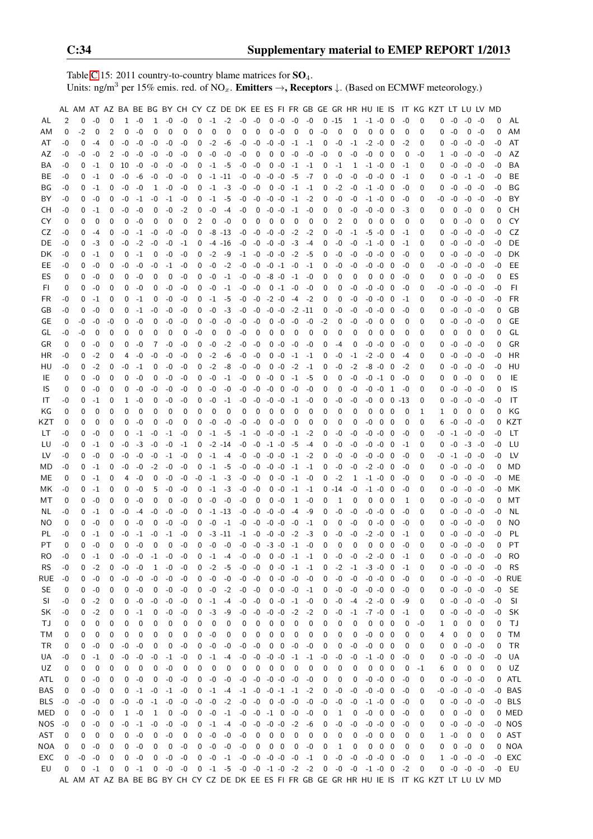Table [C.](#page-2-0)15: 2011 country-to-country blame matrices for  $SO_4$ . Units: ng/m<sup>3</sup> per 15% emis. red. of NO<sub>x</sub>. **Emitters**  $\rightarrow$ **, Receptors**  $\downarrow$ . (Based on ECMWF meteorology.)

|           |          |          |             |          |          |      |                |          |              |                |      |             |                               |                               |          |                |                |                 |              |                |      | AL AM AT AZ BA BE BG BY CH CY CZ DE DK EE ES FI FR GB GE GR HR HU IE IS                       |                            |         |          | IT KG KZT LT LU LV MD |          |                 |             |          |           |
|-----------|----------|----------|-------------|----------|----------|------|----------------|----------|--------------|----------------|------|-------------|-------------------------------|-------------------------------|----------|----------------|----------------|-----------------|--------------|----------------|------|-----------------------------------------------------------------------------------------------|----------------------------|---------|----------|-----------------------|----------|-----------------|-------------|----------|-----------|
| AL        | 2        | 0        | $-0$        | 0        | 1        | -0   | 1              | -0       | -0           | 0              |      | $-1$ $-2$   | $-0$                          | $-0$                          |          | $0 - 0$        | $-0$           | $-0$            |              | $0 - 15$       | 1    | $-1$ $-0$                                                                                     | 0                          | $-0$    | 0        | 0                     | $-0$     | $-0$            | -0          | 0        | AL        |
| AМ        | 0        | $-2$     | 0           | 2        | 0        | -0   | 0              | 0        | $\mathbf{0}$ | 0              | 0    | 0           | 0                             | 0                             |          | $0 - 0$        | 0              | 0               | $-0$         | $\mathbf 0$    | 0    | 0                                                                                             | 0<br>0                     | 0       | 0        | 0                     | $-0$     | 0               | -0          | 0        | AM        |
| AT        | -0       | 0        | $-4$        | 0        | -0       | -0   | -0             | -0       | -0           | 0              | $-2$ | -6          | -0                            | -0                            |          | $-0 - 0$       | $-1$           | -1              | 0            | -0             | $-1$ | $-2 - 0$                                                                                      | 0                          | $-2$    | 0        | 0                     | $-0$     | -0              | $-0$        | -0       | AT        |
| AZ        | -0       | -0       | -0          | 2        | -0       | -0   | -0             | -0       | -0           | 0              | -0   | -0          | -0                            | 0                             | 0        | 0              | -0             | -0              | -0           | 0              | -0   | $-0$<br>$\overline{\mathbf{0}}$                                                               | -0                         | 0       | -0       | 1                     | -0       | -0              | $-0$        | -0       | AZ        |
| BA        | -0       | 0        | -1          | 0        | 10       | -0   | -0             | -0       | -0           | 0              | $-1$ | -5          | -0                            | -0                            |          | $0 - 0$        | -1             | -1              | 0            | -1             | 1    | $-1$ $-0$                                                                                     | 0                          | -1      | 0        | 0                     | -0       | $-0$            | -0          | -0       | BA        |
| BE        | -0       | 0        | $-1$        | 0        | -0       | -6   | -0             | -0       | -0           | 0              |      | $-1$ $-11$  | -0                            | -0                            | -0       | $-0$           | -5             | -7              | 0            | -0             | $-0$ | $-0 - 0$                                                                                      | 0                          | -1      | 0        | 0                     | -0       | $-1$            | -0          | -0       | BE        |
| BG        | -0       | $\Omega$ | $-1$        | 0        | -0       | -0   | 1              | -0       | -0           | 0              | $-1$ | $-3$        | -0                            | $-0$                          |          | $0 - 0$        | $-1$           | -1              | 0            | $-2$           | -0   | $-1$ $-0$                                                                                     | - 0                        | -0      | 0        | 0                     | -0       | $-0$            | -0          | -0       | BG        |
|           |          |          |             |          |          |      |                |          |              |                |      |             |                               |                               |          |                |                |                 |              |                |      |                                                                                               |                            |         |          |                       |          |                 |             |          | BY        |
| BY        | -0       | 0        | -0          | 0        | -0       | -1   | -0             | $-1$     | -0           | 0              | $-1$ | -5          | -0                            | -0                            | $-0$     | -0             | -1             | $-2$            | 0            | -0             | -0   | $-1$ $-0$                                                                                     | - 0                        | -0      | 0        | -0                    | -0       | -0              | -0          | -0       |           |
| CН        | -0       | 0        | $-1$        | 0        | -0       | -0   | 0              | -0       | $-2$         | 0              | -0   | -4          | $-0$                          | 0                             | $-0 - 0$ |                | $-1$           | -0              | 0            | 0              | -0   | $-0 - 0$                                                                                      | 0                          | -3      | 0        | 0                     | 0        | $-0$            | 0           | 0        | СH        |
| CY        | 0        | $\Omega$ | 0           | 0        | 0        | -0   | 0              | 0        | 0            | $\overline{2}$ | 0    | $-0$        | 0                             | 0                             | 0        | 0              | 0              | 0               | 0            | $\overline{2}$ | 0    | 0<br>$\mathbf 0$                                                                              | 0                          | 0       | 0        | 0                     | 0        | -0              | $\mathbf 0$ | 0        | CY        |
| CZ        | -0       | 0        | -4          | 0        | -0       | -1   | -0             | -0       | -0           | 0              |      | $-8 - 13$   | -0                            | -0                            |          | $-0 -0$        | $-2$           | -2              | 0            | -0             | $-1$ | $-5 - 0$                                                                                      | 0                          | -1      | 0        | 0                     | -0       | $-0$            | -0          | -0       | CZ        |
| DE        | -0       | 0        | -3          | 0        | -0       | $-2$ | -0             | -0       | -1           | 0              |      | $-4$ $-16$  | -0                            | -0                            | $-0 -0$  |                | -3             | -4              | 0            | -0             | -0   | $-1$ $-0$                                                                                     | 0                          | -1      | 0        | 0                     | -0       | -0              | -0          | -0       | DE        |
| DK        | -0       | 0        | $-1$        | 0        | 0        | -1   | 0              | -0       | -0           | 0              | $-2$ | -9          | $-1$                          | $-0$                          |          | $-0 -0$        | $-2$           | -5              | 0            | -0             | $-0$ | $-0 - 0$                                                                                      | 0                          | -0      | 0        | 0                     | -0       | $-0$            | -0          | -0       | DK        |
| EE        | -0       | 0        | $-0$        | 0        | -0       | -0   | -0             | -1       | -0           | 0              | -0   | $-2$        | -0                            | $-0$                          |          | $-0 -1$        | -0             | -1              | 0            | -0             | -0   | $-0 - 0$                                                                                      | 0                          | -0      | 0        | -0                    | -0       | -0              | -0          | -0       | EE        |
| ES        | 0        | 0        | $-0$        | 0        | 0        | -0   | 0              | 0        | -0           | 0              | $-0$ | $-1$        | -0                            | -0                            |          | $-8 - 0$       | $-1$           | -0              | $\Omega$     | $\Omega$       | 0    | 0<br>$\overline{0}$                                                                           | 0                          | -0      | 0        | 0                     | 0        | -0              | -0          | 0        | ES        |
| FI        | 0        | $\Omega$ | $-0$        | 0        | 0        | -0   | 0              | -0       | -0           | $\Omega$       | $-0$ | $-1$        | -0                            | -0                            |          | $0 -1$         | -0             | -0              | 0            | 0              | $-0$ | $-0 - 0$                                                                                      | 0                          | -0      | 0        | -0                    | -0       | $-0$            | -0          | $-0$     | FI.       |
| <b>FR</b> | -0       | 0        | $-1$        | 0        | 0        | -1   | 0              | -0       | -0           | 0              | $-1$ | -5          | -0                            | $-0$                          | $-2 - 0$ |                | -4             | -2              | 0            | 0              | $-0$ | $-0 - 0$                                                                                      | 0                          | -1      | 0        | 0                     | $-0$     | $-0$            | -0          | -0       | FR        |
| GB        | -0       | 0        | -0          | 0        | 0        | -1   | -0             | -0       | -0           | 0              | -0   | $-3$        | -0                            | -0                            |          | $-0 -0$        | $-2$ $-11$     |                 | 0            | -0             | -0   | $-0 - 0$                                                                                      | 0                          | -0      | 0        | 0                     | $-0$     | $-0$            | -0          | 0        | GB        |
| GE        | 0        | -0       | -0          | -0       | 0        | -0   | 0              | -0       | -0           | 0              | -0   | -0          | -0                            | -0                            |          | $0 - 0$        | $-0$           | -0              | $-2$         | 0              | -0   | -0                                                                                            | 0<br>- 0                   | 0       | 0        | $\Omega$              | -0       | -0              | -0          | 0        | GЕ        |
| GL        | -0       | -0       | 0           | 0        | 0        | 0    | 0              | 0        | 0            | -0             | 0    | 0           | -0                            | 0                             | 0        | 0              | 0              | 0               | 0            | 0              | 0    | 0                                                                                             | 0<br>0                     | 0       | 0        | 0                     | 0        | 0               | 0           | 0        | GL        |
| GR        | 0        | 0        | $-0$        | 0        | 0        | -0   | 7              | -0       | -0           | 0              | $-0$ | $-2$        | -0                            | $-0$                          |          | $0 - 0$        | -0             | $-0$            | 0            | -4             | 0    | -0<br>$-0$                                                                                    | 0                          | $-0$    | 0        | 0                     | $-0$     | -0              | -0          | 0        | GR        |
| HR        | -0       | 0        | $-2$        | 0        | 4        | -0   | -0             | -0       | -0           | 0              | $-2$ | -6          | -0                            | -0                            |          | $0 - 0$        | -1             | -1              | 0            | -0             | $-1$ | $-2 -0 0$                                                                                     |                            | -4      | 0        | 0                     | $-0$     | -0              | -0          | -0       | HR        |
| HU        | -0       | 0        | $-2$        | 0        | -0       | -1   | 0              | -0       | -0           | 0              | $-2$ | -8          | -0                            | -0                            |          | $0 - 0$        | $-2$           | -1              | 0            | -0             | $-2$ | $-8 - 0 0$                                                                                    |                            | $-2$    | 0        | $\Omega$              | -0       | -0              | -0          | -0       | HU        |
| IE        | 0        | 0        | $-0$        | $\Omega$ | 0        | -0   | 0              | -0       | -0           | 0              | -0   | -1          | -0                            | 0                             | $-0$     | 0              | $-1$           | -5              | 0            | 0              | -0   | $-0$ $-1$ 0                                                                                   |                            | -0      | 0        | $\Omega$              | 0        | $-0$            | 0           | 0        | IE        |
| IS        | 0        | 0        | -0          | 0        | 0        | -0   | -0             | -0       | -0           | 0              | $-0$ | -0          | -0                            | -0                            | -0       | $\mathbf 0$    | $-0$           | -0              | $\Omega$     | 0              | $-0$ | $-0 - 0$                                                                                      | 1                          | -0      | 0        | 0                     | -0       | $-0$            | -0          | 0        | IS        |
| IT        | -0       | 0        | $-1$        | 0        | 1        | -0   | 0              | -0       | -0           | 0              | $-0$ | -1          | -0                            | -0                            |          | $-0 - 0$       | -1             | -0              | 0            | -0             | -0   | $\overline{\mathbf{0}}$<br>-0                                                                 | 0                          | -13     | 0        | U                     | $-0$     | $-0$            | -0          | $-0$     | IT        |
| ΚG        | 0        | 0        | 0           | 0        | 0        | 0    | 0              | 0        | 0            | 0              | 0    | 0           | 0                             | 0                             | 0        | - 0            | 0              | 0               | 0            | 0              | 0    | 0                                                                                             | 0<br>-0                    | 0       | 1        | 1                     | 0        | 0               | 0           | 0        | ΚG        |
| KZT       | 0        | 0        | $\mathbf 0$ | 0        | 0        | -0   | 0              | -0       | 0            | 0              | -0   | -0          | -0                            | -0                            |          | $0 - 0$        | $\mathbf 0$    | 0               | 0            | 0              | 0    | $-0$                                                                                          | 0<br>0                     | 0       | 0        | 6                     | -0       | -0              | -0          | 0        | KZT       |
| LT        | -0       | 0        | $-0$        | 0        | 0        | -1   | $-0$           | $-1$     | -0           | 0              | $-1$ | -5          | $-1$                          | $-0$                          | $-0 -0$  |                | $-1$           | $-2$            | 0            | -0             | -0   | $-0 - 0$                                                                                      | 0                          | $-0$    | 0        | -0                    | $-1$     | $-0$            | -0          | -0       | LТ        |
| LU        | -0       | 0        | $^{-1}$     | 0        | -0       | -3   | $-0$           | -0       | -1           | 0              |      | $-2 - 14$   | -0                            | -0                            | $-1 - 0$ |                | -5             | $-4$            | 0            | $-0$           | -0   | $-0 -0$                                                                                       | 0                          | -1      | 0        | 0                     | $-0$     | $-3$            | -0          | -0       | LU        |
| LV        | -0       | $\Omega$ | $-0$        | 0        | -0       | -0   | -0             | -1       | -0           | 0              | $-1$ | -4          | -0                            | -0                            | $-0 - 0$ |                | $-1$           | $-2$            | 0            | -0             | $-0$ | $-0 -0$                                                                                       | - 0                        | -0      | 0        | -0                    | -1       | -0              | -0          | -0       | LV        |
| МD        | -0       | 0        | $-1$        | 0        | $-0$     | -0   | $-2$           | -0       | -0           | 0              | $-1$ | -5          | -0                            | -0                            | $-0 -0$  |                | $-1$           | $-1$            | 0            | -0             | -0   | $-2 - 0$                                                                                      | 0                          | -0      | 0        | 0                     | -0       |                 | $-0 -0$     | 0        | MD        |
| МE        | 0        | 0        | $-1$        | 0        | 4        | -0   | 0              | -0       | -0           | -0             | $-1$ | $-3$        | $-0$                          | -0                            |          | $0 - 0$        | $-1$           | -0              | 0            | $-2$           | 1    | $-1 - 0$                                                                                      | 0                          | -0      | 0        | 0                     | -0       | $-0$            | -0          | -0       | ME        |
| МK        | -0       | 0        | $-1$        | 0        | 0        | -0   | 5              |          | -0           | 0              | $-1$ | $-3$        |                               | -0                            |          | $0 - 0$        | $-1$           |                 |              | $0 - 14$       | -0   | $-1 -0$                                                                                       |                            | -0      | 0        |                       | -0       | $-0$            | -0          | -0       | МK        |
| МT        | 0        | 0        | $-0$        | 0        | 0        | -0   | 0              | -0<br>0  | -0           | 0              | -0   | -0          | -0<br>-0                      | 0                             |          | $0 - 0$        | 1              | $-1$<br>-0      | 0            | 1              | 0    | $\overline{\mathbf{0}}$<br>0                                                                  | 0<br>- 0                   | 1       | 0        | 0<br>0                | -0       | -0              | $-0$        | 0        | МT        |
|           |          |          | $^{-1}$     |          | -0       |      | -0             |          |              |                |      |             |                               |                               |          |                |                |                 |              | -0             | -0   |                                                                                               |                            |         |          |                       |          |                 |             | -0       |           |
| NL.       | -0       | 0        |             | 0        |          | -4   |                | -0       | -0           | 0              |      | $-1$ $-13$  | -0                            | $-0$                          | $-0 -0$  |                | $-4$           | -9              | 0            |                |      | $-0 - 0$                                                                                      | 0                          | -0      | 0        | 0                     | -0       | $-0$            | -0          |          | NL        |
| ΝO        | 0        | $\Omega$ | -0          | 0        | 0        | -0   | 0              | -0       | -0           | 0              | -0   | $-1$        | -0                            | -0                            | -0       | -0             | -0             | -1              | 0            | 0              | -0   | $-0$<br>0                                                                                     | 0                          | -0      | 0        | 0                     | -0       | -0              | -0          | 0        | NO        |
| PL        | -0       | $\Omega$ | $-1$        | $\Omega$ | $-0$     | $-1$ | -0             | -1       | -0           | 0              |      | $-3 - 11$   | $-1$                          | $-0$                          | $-0 - 0$ |                | $-2$           | -3              | $\Omega$     | $-0$           | $-0$ | $-2$<br>$-0$                                                                                  | 0                          | $^{-1}$ | 0        | 0                     | -0       | -0              | $-0$        | $-0$     | PL        |
| PT.       | $\Omega$ | $\Omega$ | $-0$        | $\Omega$ | $\Omega$ | $-0$ | 0              | 0        | $-0$         | $\Omega$       | $-0$ | $-0$        |                               | $-0 - 0$                      | $-3 - 0$ |                | $-1$           | $-0$            | $\Omega$     | 0              | 0    | $\mathbf 0$                                                                                   | $\mathbf 0$<br>$\mathbf 0$ | $-0$    | $\Omega$ | 0                     | -0       | $-0$            | -0          | $\Omega$ | <b>PT</b> |
| RO.       | $-0$     | 0        | $-1$        | 0        | $-0$     | $-0$ | $-1 -0$        |          | $-0$         |                |      | $0 -1 -4$   |                               | -0 -0                         |          |                |                | $0 - 0 - 1 - 1$ |              | $0 - 0$        | $-0$ | $-2$ $-0$ 0                                                                                   |                            | $-1$    | 0        |                       |          | $0 - 0 - 0 - 0$ |             | $-0$     | RO        |
| <b>RS</b> | -0       | 0        | $-2$        | 0        | -0       | -0   |                | $1 - 0$  | $-0$         | 0              | $-2$ | $-5$        | -0                            | $-0$                          |          |                |                | $0 - 0 - 1 - 1$ | $\mathbf{0}$ | $-2$           | $-1$ | $-3 - 0 = 0$                                                                                  |                            | $-1$    | 0        |                       |          | $0 - 0 - 0 - 0$ |             | $-0$     | <b>RS</b> |
| RUE       | -0       |          | $0 - 0$     | 0        | -0       | $-0$ |                | $-0 - 0$ | $-0$         | 0              |      | $-0 - 0$    |                               | $-0 - 0$                      |          |                | $0 - 0 - 0$    | $-0$            | 0            | $-0$           | $-0$ | $-0$ $-0$ 0                                                                                   |                            | -0      | 0        |                       |          | $0 - 0 - 0 - 0$ |             |          | -0 RUE    |
| SE        | 0        | 0        | $-0$        | 0        | 0        | -0   | 0              | $-0$     | $-0$         |                |      | $0 -0 -2$   |                               | $-0 - 0$                      |          |                | $0 - 0 - 0$    | $-1$            | 0            | $-0$           | $-0$ | $-0$ $-0$ 0                                                                                   |                            | $-0$    | 0        |                       |          | $0 - 0 - 0 - 0$ |             | -0       | <b>SE</b> |
| <b>SI</b> | -0       | 0        | $-2$        | 0        | 0        | $-0$ | -0             | $-0$     | $-0$         | 0              |      | $-1$ $-4$   | -0                            | $-0$                          |          | $0 - 0$        | $-1$           | $-0$            | 0            | -0             | $-4$ | $-2$ $-0$ 0                                                                                   |                            | -9      | 0        | 0                     | $-0$     | $-0$            | -0          | -0       | SI        |
| SK        | -0       | 0        | $-2$        | 0        | 0        | $-1$ | 0              | $-0$     | -0           | 0              | $-3$ | -9          | $-0$                          | $-0$                          |          | $-0 - 0$       | $-2$           | $-2$            | 0            | -0             | $-1$ | $-7 - 0$ 0                                                                                    |                            | $-1$    | 0        | 0                     | $-0$     | $-0$            | $-0$        | $-0$     | SK        |
| ТJ        | 0        | 0        | 0           | 0        | 0        | 0    | 0              | 0        | 0            | 0              | 0    | 0           | 0                             | 0                             |          | $0\quad 0$     | 0              | 0               | 0            | 0              | 0    | $0\quad 0\quad 0$                                                                             |                            | 0       | $-0$     | 1                     | 0        | 0               | 0           | 0        | ТJ        |
| ТM        | 0        | 0        | 0           | 0        | 0        | 0    | 0              | 0        | 0            | 0              | $-0$ | 0           | 0                             | 0                             | 0        | $\overline{0}$ | 0              | 0               | 0            | 0              | 0    | $-0$ 0 0                                                                                      |                            | 0       | 0        | 4                     | 0        | 0               | 0           | 0        | TM        |
| TR        | 0        | 0        | $-0$        | 0        | -0       | $-0$ | 0              | 0        | $-0$         | 0              | $-0$ | $-0$        | -0                            | $-0$                          |          | $0\quad 0$     | $-0$           | $-0$            | 0            | 0              | $-0$ | $-0$ 0 0                                                                                      |                            | 0       | 0        | 0                     | 0        | $-0$            | -0          | 0        | <b>TR</b> |
| UA        | -0       | 0        | $-1$        | 0        | -0       | $-0$ |                | $-0 -1$  | $-0$         | 0              | $-1$ | $-4$        | -0                            | $-0$ $-0$ $-0$                |          |                |                | $-1$ $-1$ $-0$  |              | -0             | $-0$ | $-1$ $-0$ 0                                                                                   |                            | $-0$    | 0        | 0                     | $-0$     | $-0$            | -0          |          | $-0$ UA   |
| UZ        | 0        | 0        | 0           | 0        | 0        | 0    | 0              | $-0$     | 0            | 0              | 0    | 0           | 0                             | 0                             |          | $0\quad 0$     | 0              | 0               | 0            | 0              | 0    | $0\quad 0\quad 0$                                                                             |                            | 0       | $-1$     | 6                     | 0        | 0               | 0           |          | $0$ $UZ$  |
| ATL       | 0        | 0        | $-0$        | 0        | 0        | $-0$ | 0              | $-0$     | $-0$         | 0              |      | $-0 - 0$    |                               | $-0 - 0$                      | $-0 - 0$ |                | $-0$           | $-0$            | 0            | 0              | 0    | $-0$ $-0$ 0                                                                                   |                            | $-0$    | 0        | 0                     | $-0$     | -0 -0           |             |          | 0 ATL     |
| BAS       | 0        | 0        | $-0$        | 0        | 0        | $-1$ | $-0$           | $-1$     | $-0$         | 0              | $-1$ | -4          | $-1$                          | $-0$                          |          |                | $-0$ $-1$ $-1$ | $-2$            | 0            | -0             | $-0$ | $-0$ $-0$ 0                                                                                   |                            | $-0$    | 0        |                       | $-0 - 0$ | $-0$            | -0          |          | -0 BAS    |
| BLS -0    |          | -0       | $-0$        | 0        | $-0$     | $-0$ | $-1 - 0$       |          | $-0$         | $-0$           |      | $-0 -2$     |                               | $-0 - 0$                      |          | $0 - 0$        | $-0$           | $-0 - 0$        |              | $-0$           | $-0$ | $-1$ $-0$ 0                                                                                   |                            | $-0$    | 0        |                       |          | $0 - 0 - 0 - 0$ |             |          | $-0$ BLS  |
| MED       | 0        | 0        | $-0$        | 0        | 1        | $-0$ | 1              | 0        | $-0$         |                |      | $0 - 0 - 1$ |                               | $-0$ $-0$ $-1$ $0$            |          |                | $-0$           | $-0$            | 0            | 1              | 0    | $-0$ 0 0                                                                                      |                            | -0      | 0        | 0                     | 0        | -0              | 0           |          | 0 MED     |
| NOS -0    |          | 0        | $-0$        | 0        | $-0$     |      | $-1$ $-0$ $-0$ |          | $-0$         |                |      | $0 -1 -4$   |                               | $-0$ $-0$ $-0$ $-0$ $-2$ $-6$ |          |                |                |                 | 0            | $-0$           | $-0$ | $-0$ $-0$ 0                                                                                   |                            | $-0$    | 0        |                       |          | $0 - 0 - 0$     | -0          |          | -0 NOS    |
| AST       | 0        | 0        | 0           | 0        | 0        | $-0$ | 0              | $-0$     | 0            | 0              |      | $-0 - 0$    | $-0$                          | 0                             |          | $0\quad 0$     | 0              | 0               | 0            | 0              | 0    | $-0$ 0 0                                                                                      |                            | 0       | 0        |                       | $1 - 0$  | 0               | 0           |          | 0 AST     |
| NOA       | 0        | 0        | $-0$        | 0        | 0        | $-0$ | 0              | 0        | $-0$         | 0              |      | $-0 - 0$    | $-0$                          | 0                             |          | $0\quad 0$     | 0              | $-0$            | 0            | 1              | 0    | $0\quad 0\quad 0$                                                                             |                            | 0       | 0        | 0                     | 0        | $-0$            | 0           |          | 0 NOA     |
| EXC       | 0        | -0       | $-0$        | 0        | 0        | $-0$ |                | $0 - 0$  | -0           |                |      | $0 - 0 - 1$ | $-0$ $-0$ $-0$ $-0$ $-0$ $-1$ |                               |          |                |                |                 | 0            | $-0$           | $-0$ | $-0$ $-0$ 0                                                                                   |                            | $-0$    | 0        |                       |          | $1 -0 -0 -0$    |             |          | -0 EXC    |
| EU        | 0        | 0        | $-1$        | 0        | 0        | $-1$ |                | $0 - 0$  | $-0$         |                |      |             | $0 -1 -5 -0 -0 -1 -0 -2 -2$   |                               |          |                |                |                 |              |                |      | $0 -0 -0 -1 -0 0$                                                                             |                            | $-2$    | 0        |                       |          | $0 - 0 - 0 - 0$ |             |          | -0 EU     |
|           |          |          |             |          |          |      |                |          |              |                |      |             |                               |                               |          |                |                |                 |              |                |      | AL AM AT AZ BA BE BG BY CH CY CZ DE DK EE ES FI FR GB GE GR HR HU IE IS IT KG KZT LT LU LV MD |                            |         |          |                       |          |                 |             |          |           |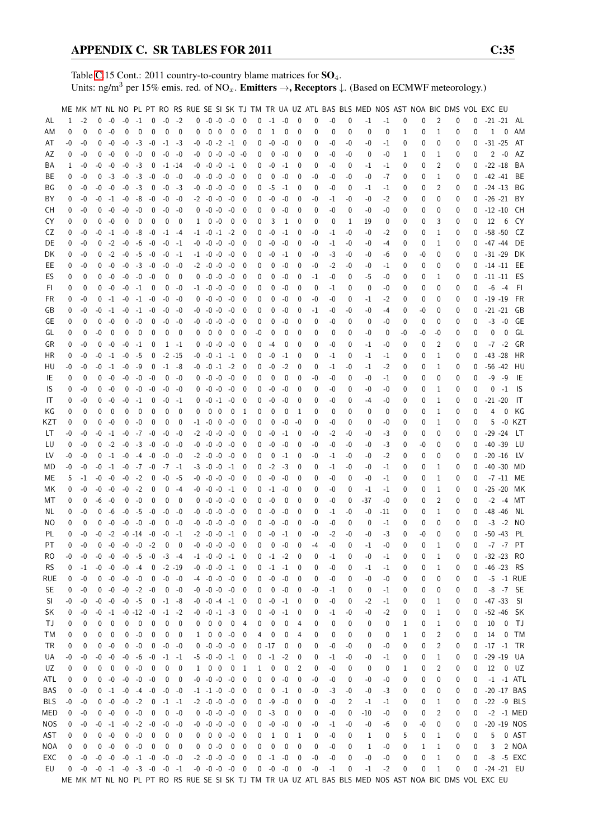Table [C.](#page-2-0)15 Cont.: 2011 country-to-country blame matrices for  $SO_4$ . Units: ng/m<sup>3</sup> per 15% emis. red. of NO<sub>x</sub>. **Emitters**  $\rightarrow$ **, Receptors**  $\downarrow$ . (Based on ECMWF meteorology.)

|           |          |             |             |             |                                    |                          |              |                     |             |    |                                                                                                       |                          |                          |          |          |             |              |      |             |      | ME MK MT NL NO PL PT RO RS RUE SE SI SK TJ TM TR UA UZ ATL BAS BLS MED NOS AST NOA BIC DMS VOL EXC EU |      |             |              |                |          |          |            |               |               |
|-----------|----------|-------------|-------------|-------------|------------------------------------|--------------------------|--------------|---------------------|-------------|----|-------------------------------------------------------------------------------------------------------|--------------------------|--------------------------|----------|----------|-------------|--------------|------|-------------|------|-------------------------------------------------------------------------------------------------------|------|-------------|--------------|----------------|----------|----------|------------|---------------|---------------|
| AL        | 1        | $-2$        | 0           | $-0$        | $-0$                               | $-1$                     | $\mathbf{0}$ | $-0$ $-2$           |             |    | $0 -0 -0 -0 0$                                                                                        |                          |                          | 0        | $-1$     | $-0$        | 0            | 0    | $-0$        | 0    | -1                                                                                                    | $-1$ | 0           | 0            | 2              | 0        | 0        |            | $-21 -21$     | AL            |
| AM        | 0        | 0           | 0           | $-0$        | $\mathbf 0$                        | 0                        | $\mathbf{0}$ | 0                   | $\Omega$    | 0  | $0\quad 0\quad 0$                                                                                     |                          | - 0                      | 0        | 1        | 0           | 0            | 0    | $\mathbf 0$ | 0    | 0                                                                                                     | 0    | 1           | 0            | 1              | 0        | 0        | 1          | 0             | AM            |
| AT        | -0       | -0          | 0           | -0          | -0                                 | $-3$                     | $-0$         |                     | $-1$ $-3$   | -0 | $-0$ $-2$ $-1$ $0$                                                                                    |                          |                          | 0        | -0       | -0          | 0            | 0    | -0          | -0   | -0                                                                                                    | $-1$ | 0           | 0            | $\Omega$       | 0        | 0        | $-31 - 25$ |               | AT            |
| AZ        | 0        | -0          | 0           | $-0$        | 0                                  | $-0$                     | $\mathbf 0$  | $-0$                | -0          | -0 | $0 - 0 - 0 - 0$                                                                                       |                          |                          | 0        | 0        | -0          | 0            | 0    | -0          | -0   | 0                                                                                                     | -0   | 1           | 0            | 1              | 0        | 0        |            | $2 - 0$       | AZ            |
| BA        | 1        | -0          | -0          | $-0$        | -0                                 | $-3$                     | 0            |                     | -1 -14      |    | $-0$ $-0$ $-0$ $-1$                                                                                   |                          | -0                       | 0        | -0       | $-1$        | 0            | 0    | -0          | 0    | -1                                                                                                    | $-1$ | 0           | 0            | $\overline{2}$ | 0        | 0        |            | $-22 - 18$    | BA            |
| ВE        | 0        | -0          |             | $0 -3$      | $-0$                               | $-3$                     | $-0$         | $-0$                | -0          |    | $-0$ $-0$ $-0$ $-0$                                                                                   |                          | 0                        | 0        | 0        | -0          | 0            | -0   | -0          | -0   | -0                                                                                                    | -7   | 0           | 0            | 1              | 0        | 0        |            | $-42 -41$     | BE            |
| ΒG        | 0        | -0          |             | $-0 - 0$    | $-0$                               | $-3$                     | $\mathbf 0$  | $-0$                | -3          |    | $-0$ $-0$ $-0$ $-0$                                                                                   |                          | 0                        | 0        | -5       | -1          | 0            | 0    | -0          | 0    | -1                                                                                                    | $-1$ | 0           | 0            | 2              | 0        | $\Omega$ |            | $-24 - 13$    | BG            |
| BY        | 0        | -0          | -0          | $-1$        | $-0$                               | -8                       | $-0$         | -0                  | -0          |    | $-2$ $-0$ $-0$ $-0$                                                                                   |                          | $\mathbf 0$              | 0        | -0       | -0          | 0            | -0   | -1          | -0   | -0                                                                                                    | $-2$ | 0           | 0            | 0              | 0        | 0        |            | $-26 -21$     | BY            |
| CН        | 0        | -0          | 0           | $-0$        | $-0$                               | $-0$                     | $\mathbf 0$  | $-0$                | -0          |    | $0 - 0 - 0 - 0$                                                                                       |                          | $\mathbf 0$              | 0        | 0        | -0          | 0            | 0    | -0          | 0    | -0                                                                                                    | -0   | 0           | 0            | 0              | 0        | 0        |            | $-12 - 10$    | CH            |
| CY        | $\Omega$ | $\mathbf 0$ | 0           | $-0$        | $\mathbf 0$                        | 0                        | $\mathbf 0$  | 0                   | 0           |    | $1 \t 0 \t -0$                                                                                        | $\overline{\phantom{0}}$ | 0                        | 0        | 3        | 1           | 0            | 0    | $\mathbf 0$ | 1    | 19                                                                                                    | 0    | 0           | 0            | 3              | 0        | 0        | 12         | 6             | CY            |
| CZ        | 0        |             |             | $-0 -1$     |                                    |                          |              |                     |             |    |                                                                                                       |                          |                          |          |          |             |              |      |             | -0   |                                                                                                       |      |             |              | 1              |          |          |            | $-58 - 50$    | CZ            |
| DE        | 0        | -0          |             | $0 -2$      | $-0$                               | -8                       | -0           |                     | -1 -4       |    | $-1$ $-0$ $-1$ $-2$                                                                                   |                          | 0<br>0                   | 0        | -0       | -1          | 0<br>0       | -0   | -1          | -0   | -0                                                                                                    | -2   | 0           | 0            | 1              | 0        | 0        |            | $-47 - 44$    | DE            |
|           |          | -0          |             |             | $-0$                               | -6                       | $-0$         | $-0$                | -1          |    | $-0$ $-0$ $-0$ $-0$                                                                                   |                          |                          | 0        | -0       | -0          |              | -0   | -1          |      | -0                                                                                                    | $-4$ | 0           | 0            |                | 0        | 0        |            |               |               |
| DK        | 0        | -0          |             | $0 -2$      | $-0$                               | $-5$                     | -0           | -0                  | -1          |    | $-1$ $-0$ $-0$ $-0$                                                                                   |                          | 0                        | 0        | -0       | $-1$        | 0            | -0   | -3          | -0   | -0                                                                                                    | -6   | 0           | -0           | 0              | 0        | 0        |            | $-31 - 29$    | DK            |
| EE        | 0        | -0          |             | $0 - 0$     | $-0$                               |                          | $-3 - 0$     | -0                  | -0          |    | $-2$ $-0$ $-0$ $-0$                                                                                   |                          | 0                        | 0        | 0        | -0          | 0            | -0   | $-2$        | -0   | -0                                                                                                    | $-1$ | 0           | 0            | 0              | 0        | 0        |            |               | $-14 - 11$ EE |
| ES        | 0        | 0           |             | $0 - 0$     | $-0$                               | $-0$                     | -0           | 0                   | 0           |    | $0 - 0 - 0 - 0$                                                                                       |                          | 0                        | 0        | 0        | -0          | 0            | $-1$ | -0          | 0    | -5                                                                                                    | -0   | 0           | 0            | 1              | 0        | 0        |            | $-11 - 11$    | ES            |
| FI.       | 0        | 0           | $^{0}$      | -0          | $-0$                               | $-1$                     | 0            | 0                   | -0          |    | $-1$ $-0$ $-0$ $-0$                                                                                   |                          | 0                        | 0        | 0        | -0          | 0            | 0    | -1          | 0    | 0                                                                                                     | -0   | 0           | 0            | 0              | 0        | 0        |            | $-6 -4$       | FI.           |
| FR        | 0        | -0          | 0           | $-1$        | $-0$                               | $-1$                     | -0           | $-0$                | -0          | 0  | $-0$ $-0$ $-0$                                                                                        |                          | 0                        | 0        | 0        | -0          | 0            | -0   | -0          | 0    | -1                                                                                                    | $-2$ | 0           | 0            | 0              | 0        | 0        | $-19 - 19$ |               | <b>FR</b>     |
| GB        | 0        | -0          | -0          | $-1$        | $-0$                               | $-1$                     | -0           | -0                  | -0          | -0 | $-0$ $-0$ $-0$                                                                                        |                          | 0                        | 0        | 0        | -0          | 0            | -1   | -0          | -0   | -0                                                                                                    | $-4$ | 0           | -0           | 0              | 0        | 0        | $-21 - 21$ |               | GB            |
| GE        | $\Omega$ | 0           | $\mathbf 0$ | $-0$        | 0                                  | $-0$                     | $\mathbf{0}$ | $-0$                | -0          | -0 | $-0$ $-0$ $-0$                                                                                        |                          | $\mathbf 0$              | 0        | 0        | -0          | 0            | 0    | -0          | 0    | 0                                                                                                     | -0   | $\mathbf 0$ | 0            | 0              | 0        | 0        | $-3$       | $-0$          | GE            |
| GL        | 0        | 0           | -0          | 0           | 0                                  | 0                        | 0            | 0                   | 0           | 0  | 0<br>0                                                                                                | 0                        | 0                        | -0       | 0        | 0           | 0            | 0    | 0           | 0    | -0                                                                                                    | 0    | -0          | -0           | -0             | 0        | 0        | 0          | 0             | GL            |
| GR        | 0        | -0          | 0           | -0          | $-0$                               | $-1$                     | 0            |                     | $1 - 1$     | 0  | $-0$ $-0$ $-0$                                                                                        |                          | 0                        | 0        | $-4$     | 0           | 0            | 0    | -0          | 0    | $-1$                                                                                                  | -0   | 0           | 0            | 2              | 0        | 0        |            | $-7 - 2$      | GR            |
| ΗR        | 0        | -0          |             | $-0 -1$     | $-0$                               | -5                       | $\mathbf{0}$ |                     | $-2 - 15$   |    | $-0$ $-0$ $-1$ $-1$                                                                                   |                          | 0                        | 0        | $-0$     | -1          | 0            | 0    | -1          | 0    | -1                                                                                                    | $-1$ | 0           | 0            | 1              | 0        |          | $-43 - 28$ |               | HR            |
| HU        | -0       | -0          |             | $-0 -1$     | $-0$                               | -9                       | 0            |                     | $-1 -8$     |    | -0 -0 -1 -2                                                                                           |                          | 0                        | 0        | -0       | $-2$        | 0            | 0    | -1          | -0   | $-1$                                                                                                  | $-2$ | 0           | 0            | 1              | 0        | 0        |            | $-56 - 42$    | HU            |
| IE        | 0        | 0           | $\Omega$    | $-0$        | $-0$                               | $-0$                     | $-0$         | 0                   | -0          |    | $0 - 0 - 0 - 0$                                                                                       |                          | 0                        | 0        | 0        | 0           | 0            | -0   | -0          | 0    | -0                                                                                                    | -1   | 0           | 0            | 0              | 0        | 0        | $-9$       | -9            | IE            |
| IS        | 0        | -0          | 0           | $-0$        | 0                                  | $-0$                     | $-0$         | -0                  | -0          |    | $0 - 0 - 0 - 0$                                                                                       |                          | 0                        | 0        | -0       | -0          | 0            | 0    | -0          | 0    | -0                                                                                                    | -0   | 0           | 0            | 1              | 0        | 0        | 0          | $-1$          | 1S            |
| IT        | $\Omega$ | -0          | 0           | -0          | $-0$                               | $-1$                     | $\mathbf 0$  | -0                  | -1          |    | $0 - 0 - 1 - 0$                                                                                       |                          | 0                        | 0        | -0       | -0          | 0            | 0    | -0          | 0    | -4                                                                                                    | -0   | 0           | 0            | 1              | 0        | 0        | $-21 - 20$ |               | IT            |
| ΚG        | 0        | $\mathbf 0$ | 0           | 0           | 0                                  | 0                        | 0            | 0                   | $\mathbf 0$ | 0  | $0\quad 0$                                                                                            | 0                        | -1                       | 0        | 0        | 0           | 1            | 0    | $\mathbf 0$ | 0    | 0                                                                                                     | 0    | 0           | 0            | 1              | 0        | 0        | 4          | $\mathbf{0}$  | КG            |
| KZT       | 0        | 0           | $\Omega$    | -0          | 0                                  | -0                       | 0            | 0                   | 0           |    | $-1$ $-0$ 0 $-0$                                                                                      |                          | $\mathbf 0$              | 0        | 0        | -0          | -0           | 0    | -0          | 0    | 0                                                                                                     | -0   | 0           | 0            | 1              | 0        | 0        | 5          |               | -0 KZT        |
| LT        | -0       | -0          |             | $-0 -1$     | $-0$                               | $-7$                     | -0           | -0                  | -0          |    | $-2$ $-0$ $-0$ $-0$                                                                                   |                          | 0                        | 0        | -0       | $-1$        | 0            | -0   | $-2$        | -0   | -0                                                                                                    | -3   | 0           | 0            | 0              | 0        | 0        |            | $-29 - 24$    | LT.           |
| LU        | 0        | -0          |             | $0 -2$      | $-0$                               |                          | $-3 - 0$     | -0                  | -0          |    | $-0$ $-0$ $-0$ $-0$                                                                                   |                          | 0                        | 0        | -0       | -0          | 0            | -0   | -0          | -0   | -0                                                                                                    | -3   | 0           | -0           | 0              | 0        | 0        | $-40 - 39$ |               | LU            |
| LV        | -0       | -0          |             | $0 -1$      | $-0$                               |                          | $-4 - 0$     | -0                  | -0          |    | $-2$ $-0$ $-0$ $-0$                                                                                   |                          | 0                        | 0        | 0        | -1          | 0            | -0   | -1          | -0   | -0                                                                                                    | $-2$ | 0           | 0            | 0              | 0        | 0        |            | $-20 -16$     | LV.           |
| MD        | -0       | -0          | -0          | $-1$        | $-0$                               | $-7 - 0$                 |              |                     | -7 -1       |    | $-3$ $-0$ $-0$ $-1$                                                                                   |                          | 0                        | 0        | $-2$     | -3          | 0            | 0    | -1          | -0   | -0                                                                                                    | $-1$ | 0           | 0            | 1              | 0        | 0        |            | $-40 - 30$    | MD            |
| МE        | 5        | -1          | -0          | $-0$        | $-0$                               | $-2$                     | $\mathbf 0$  | $-0$                | -5          |    | $-0$ $-0$ $-0$ $-0$                                                                                   |                          | 0                        | 0        | -0       | -0          | 0            | 0    | -0          | 0    | -0                                                                                                    | $-1$ | 0           | 0            | 1              | 0        | 0        |            |               | -7 -11 ME     |
| MK.       | $\Omega$ | $-0$        | -0          | $-0$        | $-0$                               | $-2$                     | $\mathbf 0$  | 0                   | -4          |    | $-0$ $-0$ $-0$ $-1$                                                                                   |                          | 0                        | 0        | $-1$     | -0          | 0            | 0    | -0          | 0    | -1                                                                                                    | $-1$ | 0           | 0            | 1              | 0        | 0        |            | $-25 - 20$    | МK            |
| МT        | 0        | 0           | -6          | $-0$        | 0                                  | $-0$                     | 0            | 0                   | 0           | 0  | $-0$ $-0$ $-0$                                                                                        |                          | $\mathbf 0$              | 0        | -0       | 0           | 0            | 0    | -0          | 0    | $-37$                                                                                                 | -0   | 0           | 0            | 2              | 0        | 0        | $-2$       | -4            | МT            |
| NL        | 0        | -0          | 0           | -6          | -0                                 | -5                       | -0           | -0                  | -0          | -0 | $-0$ $-0$ $-0$                                                                                        |                          | $\mathbf 0$              | 0        | -0       | -0          | 0            | 0    | -1          | -0   | -0                                                                                                    | -11  | 0           | 0            | 1              | 0        | 0        | $-48 - 46$ |               | NL            |
| NO        | 0        | $\mathbf 0$ | 0           | $-0$        | -0                                 | $-0$                     | -0           | 0                   | -0          |    | $-0$ $-0$ $-0$ $-0$                                                                                   |                          | 0                        | 0        | -0       | -0          | 0            | -0   | -0          | 0    | 0                                                                                                     | $-1$ | 0           | 0            | 0              | 0        | 0        | $-3$       | $-2$          | NO            |
| PL        | $\Omega$ | -0          |             | $-0 -2$     |                                    | $-0 - 14$                | -0           | $-0$                | $-1$        |    | $-2$ $-0$ $-0$ $-1$                                                                                   |                          | $\mathbf{0}$             | 0        | $-0$     | $-1$        | 0            | $-0$ | $-2$        | $-0$ | $-0$                                                                                                  | $-3$ | 0           | -0           | $\Omega$       | 0        | $\Omega$ |            | $-50 - 43$    | - PL          |
| <b>PT</b> | $\Omega$ | $-0$        |             | $0 - 0$     |                                    | $-0$ $-0$ $-2$           |              | $\Omega$            | $\Omega$    |    | $-0$ $-0$ $-0$ $-0$                                                                                   |                          | $\Omega$                 | $\Omega$ | $\Omega$ | $-0$        | $\mathbf{0}$ | $-4$ | $-0$        | 0    | $-1$                                                                                                  | $-0$ | 0           | $\mathbf{0}$ | 1              | $\Omega$ | $\Omega$ |            |               | $-7 - 7$ PT   |
| RO        | -0       | -0          |             |             | $-0$ $-0$ $-0$                     |                          |              | $-5$ $-0$ $-3$ $-4$ |             |    | $-1$ $-0$ $-0$ $-1$ 0                                                                                 |                          |                          | 0        |          | $-1$ $-2$   | 0            | 0    | $-1$        | 0    | -0                                                                                                    | $-1$ | 0           | 0            | 1              | 0        | 0        |            |               | $-32 - 23$ RO |
| RS.       | 0        | $-1$        |             |             | $-0$ $-0$ $-0$ $-4$ $0$ $-2$ $-19$ |                          |              |                     |             |    | $-0$ $-0$ $-0$ $-1$ 0                                                                                 |                          |                          | 0        |          | $-1$ $-1$   | 0            | 0    | $-0$        | 0    | -1                                                                                                    | $-1$ | 0           | 0            | 1              | 0        | 0        |            | -46 -23 RS    |               |
| rue       | 0        | -0          |             | $0 - 0$     |                                    | $-0 - 0$                 |              | $0 - 0 - 0$         |             |    | $-4$ $-0$ $-0$ $-0$ 0                                                                                 |                          |                          | 0        | $-0$     | -0          | 0            | 0    | $-0$        | 0    | -0                                                                                                    | -0   | 0           | 0            | 0              | 0        | 0        |            |               | -5 -1 RUE     |
| SE.       | 0        | -0          |             | $0 - 0$     |                                    | $-0$ $-2$ $-0$           |              |                     | $0 - 0$     |    | $-0$ $-0$ $-0$ $-0$ 0                                                                                 |                          |                          | 0        | 0        | -0          | 0            | -0   | -1          | 0    | 0                                                                                                     | $-1$ | 0           | 0            | 0              | 0        | 0        |            |               | -8 -7 SE      |
| <b>SI</b> | -0       | -0          |             | $-0 - 0$    | $-0$                               | $-5$                     | $\mathbf 0$  |                     | $-1 -8$     |    | $-0$ $-0$ $-4$ $-1$ 0                                                                                 |                          |                          | 0        | $-0$     | $-1$        | 0            | 0    | $-0$        | 0    | $-2$                                                                                                  | $-1$ | 0           | 0            | 1              | 0        | 0        |            | $-47 - 33$ SI |               |
| SK        | 0        | -0          |             | $-0$ $-1$   |                                    | $-0$ $-12$ $-0$          |              |                     | $-1$ $-2$   |    | $-0$ $-0$ $-1$ $-3$ 0                                                                                 |                          |                          | 0        | $-0$     | $-1$        | 0            | 0    | $-1$        | -0   | -0                                                                                                    | $-2$ | 0           | 0            | 1              | 0        | 0        |            |               | $-52 - 46$ SK |
| TJ        | 0        | 0           | 0           | $\mathbf 0$ | 0                                  | $\overline{\phantom{0}}$ | 0            | 0                   | 0           | 0  | $0 \quad 0 \quad 0 \quad 4$                                                                           |                          |                          | 0        | 0        | 0           | 4            | 0    | 0           | 0    | 0                                                                                                     | 0    | 1           | 0            | 1              | 0        | 0        | 10         |               | 0 TJ          |
| TM        | 0        | 0           | 0           | 0           | 0                                  | $-0$                     | 0            | 0                   | 0           |    | $1 \t0 \t0 \t-0 \t0$                                                                                  |                          |                          | 4        | 0        | 0           | 4            | 0    | 0           | 0    | 0                                                                                                     | 0    | 1           | 0            | 2              | 0        | 0        | 14         |               | $0$ TM        |
| TR        | 0        | 0           | 0           | $-0$        | 0                                  | $-0$                     | 0            |                     | $-0 - 0$    |    | $0 -0 -0 -0 0$                                                                                        |                          |                          |          | $0 - 17$ | 0           | 0            | 0    | $-0$        | $-0$ | 0                                                                                                     | $-0$ | 0           | 0            | $\overline{2}$ | 0        | 0        |            |               | $-17 - 1$ TR  |
| UA        | $-0$     | -0          |             | $-0 - 0$    | $-0$                               | -6                       | $-0$         | $-1$ $-1$           |             |    | $-5$ $-0$ $-0$ $-1$ 0                                                                                 |                          |                          | 0        | $-1$     | $-2$        | 0            | 0    | $-1$        | -0   | -0                                                                                                    | $-1$ | 0           | 0            | 1              | 0        | 0        |            |               | $-29 - 19$ UA |
| UZ        | 0        | 0           | 0           | 0           | 0                                  | $-0$                     | $\mathbf 0$  | 0                   | $\mathbf 0$ |    | 1 0 0 0 1                                                                                             |                          |                          | 1        | 0        | 0           | 2            | 0    | $-0$        | 0    | 0                                                                                                     | 0    | 1           | 0            | 2              | 0        | 0        |            |               | 12 0 UZ       |
| ATL       | 0        | 0           |             | $0 - 0$     |                                    | $-0 - 0$                 | -0           | 0                   | 0           |    | $-0$ $-0$ $-0$ $-0$                                                                                   |                          | 0                        | 0        | 0        | $-0$        | 0            | -0   | $-0$        | 0    | -0                                                                                                    | -0   | 0           | 0            | 0              | 0        | 0        |            |               | $-1$ $-1$ ATL |
| BAS       | 0        | -0          |             |             | $0 -1 -0$                          |                          | -4 -0        |                     | $-0 - 0$    |    | $-1$ $-1$ $-0$ $-0$ 0                                                                                 |                          |                          | 0        | 0        | $-1$        | 0            | -0   | $-3$        | -0   | -0                                                                                                    | -3   | 0           | 0            | 0              | 0        | 0        |            |               | $-20 -17$ BAS |
| BLS       | $-0$     | -0          |             |             | $0 -0 -0 -2$                       |                          |              | $0 -1 -1$           |             |    | $-2$ $-0$ $-0$ $-0$ 0                                                                                 |                          |                          | 0        | -9       | -0          | 0            | 0    | -0          | 2    | $-1$                                                                                                  | $-1$ | 0           | 0            | 1              | 0        | 0        |            |               | $-22 - 9$ BLS |
| MED       | 0        | -0          |             | $0 - 0$     | 0                                  | $-0$                     | 0            |                     | $0 - 0$     |    | $0 -0 -0 -0 0$                                                                                        |                          |                          | 0        | $-3$     | 0           | 0            | 0    | -0          | 0    | -10                                                                                                   | -0   | 0           | 0            | 2              | 0        | 0        |            |               | -2 -1 MED     |
| NOS       | 0        | -0          |             | $-0 -1$     |                                    | $-0$ $-2$ $-0$           |              |                     | $-0 - 0$    |    | $-0$ $-0$ $-0$ $-0$                                                                                   |                          | $\overline{\phantom{0}}$ | 0        | $-0$     | $-0$        | 0            | -0   | $-1$        | -0   | -0                                                                                                    | -6   | 0           | -0           | 0              | 0        | 0        |            |               | -20 -19 NOS   |
| AST       | 0        | 0           |             | $0 - 0$     | 0                                  | $-0$                     | 0            | 0                   | 0           |    | $0 \t0 \t0 \t-0 \t0$                                                                                  |                          |                          | 0        | 1        | 0           | 1            | 0    | $-0$        | 0    | 1                                                                                                     | 0    | 5           | 0            | 1              | 0        | 0        | 5          |               | 0 AST         |
| NOA       | 0        | 0           |             | $0 - 0$     | $\mathbf 0$                        | $-0$                     | $\mathbf 0$  | 0                   | 0           | 0  | $0 - 0 0 0$                                                                                           |                          |                          | 0        | 0        | $\mathbf 0$ | 0            | 0    | $-0$        | 0    | 1                                                                                                     | -0   | 0           | 1            | 1              | 0        | 0        | 3          |               | 2 NOA         |
| EXC       | 0        | -0          |             | $-0 - 0$    |                                    | $-0$ $-1$ $-0$ $-0$ $-0$ |              |                     |             |    | $-2$ $-0$ $-0$ $-0$ 0                                                                                 |                          |                          | 0        | $-1$     | $-0$        | 0            | -0   | $-0$        | 0    | $-0$                                                                                                  | $-0$ | 0           | 0            | 1              | 0        | 0        |            |               | -8 -5 EXC     |
| EU        | 0        | $-0$        |             |             | $-0$ $-1$ $-0$ $-3$ $-0$ $-0$ $-1$ |                          |              |                     |             |    | $-0$ $-0$ $-0$ $-0$ 0                                                                                 |                          |                          | 0        | $-0$     | $-0$        | 0            | $-0$ | $-1$        | 0    | $-1$                                                                                                  | $-2$ | 0           | 0            | $1\,$          | 0        | 0        |            |               | $-24 - 21$ EU |
|           |          |             |             |             |                                    |                          |              |                     |             |    | ME MK MT NL NO PL PT RO RS RUE SE SI SK TJ TM TR UA UZ ATL BAS BLS MED NOS AST NOA BIC DMS VOL EXC EU |                          |                          |          |          |             |              |      |             |      |                                                                                                       |      |             |              |                |          |          |            |               |               |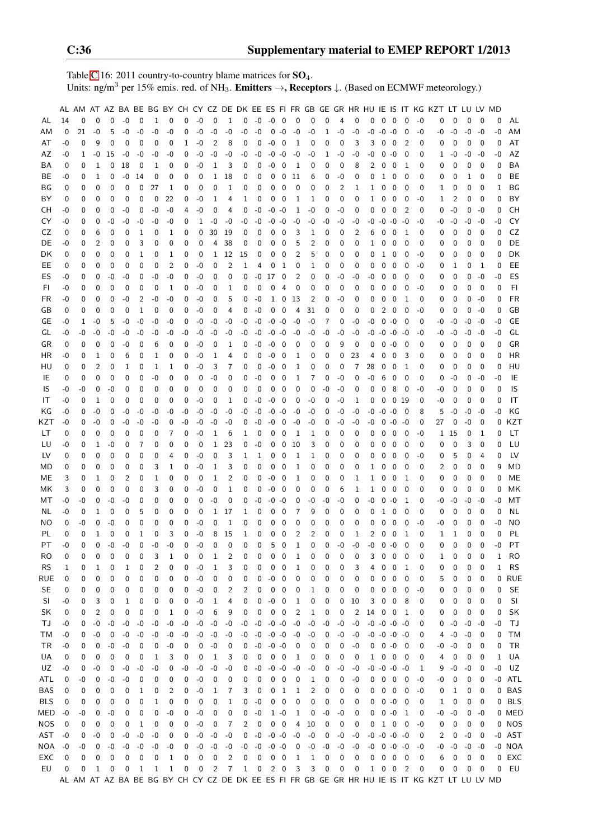Table [C.](#page-2-0)16: 2011 country-to-country blame matrices for  $SO_4$ . Units: ng/m<sup>3</sup> per 15% emis. red. of NH<sub>3</sub>. **Emitters**  $\rightarrow$ **, Receptors**  $\downarrow$ . (Based on ECMWF meteorology.)

|            |      |          |                |      |             |              |              |             |             |      |             |              |              |             |               |                          |                |                |             |                |              |      |                     |                         |                          |          | AL AM AT AZ BA BE BG BY CH CY CZ DE DK EE ES FI FR GB GE GR HR HU IE IS IT KG KZT             |          | LT LU LV MD |             |              |            |
|------------|------|----------|----------------|------|-------------|--------------|--------------|-------------|-------------|------|-------------|--------------|--------------|-------------|---------------|--------------------------|----------------|----------------|-------------|----------------|--------------|------|---------------------|-------------------------|--------------------------|----------|-----------------------------------------------------------------------------------------------|----------|-------------|-------------|--------------|------------|
| AL         | 14   | 0        | $\mathbf 0$    | 0    | $-0$        | 0            | $\mathbf{1}$ | $\mathbf 0$ | $\mathbf 0$ | $-0$ | $\mathbf 0$ | $\mathbf{1}$ | 0            |             | $-0$ $-0$ $0$ |                          | $\mathbf 0$    | 0              | $\mathbf 0$ | $\overline{4}$ | 0            | 0    | $0\quad 0$          |                         | 0                        | $-0$     | 0                                                                                             | 0        | 0           | 0           | 0            | AL         |
|            |      |          |                |      |             |              |              |             |             |      |             |              |              |             |               |                          |                |                |             |                |              |      |                     |                         |                          |          |                                                                                               |          |             |             |              |            |
| AM         | 0    | 21       | $-0$           | 5    | $-0$        | -0           | $-0$         | -0          | 0           | $-0$ | $-0$        | $-0$         | -0           | $-0$        | 0             | $-0$                     | $-0$           | -0             | 1           | -0             | $-0$         | -0   | $-0$                | $-0$                    | 0                        | -0       | -0                                                                                            | -0       | -0          | $-0$        | $-0$         | AM         |
| AT         | -0   | 0        | 9              | 0    | 0           | 0            | 0            | 0           | 1           | $-0$ | 2           | 8            | 0            | 0           | $-0$          | 0                        | 1              | 0              | 0           | $\mathbf 0$    | 3            | 3    | 0                   | $\mathbf 0$             | 2                        | 0        | 0                                                                                             | 0        | 0           | $\mathbf 0$ | 0            | AT         |
| AZ         | -0   | 1        | -0             | 15   | -0          | -0           | -0           | -0          | 0           | $-0$ | -0          | -0           | -0           | -0          | $-0$          | $-0$                     | -0             | -0             | 1           | -0             | -0           | -0   | 0                   | $-0$                    | 0                        | 0        | 1                                                                                             | -0       | $-0$        | $-0$        | -0           | AZ         |
| BA         | 0    | 0        | 1              | 0    | 18          | 0            | 1            | 0           | 0           | -0   | 1           | 3            | 0            | 0           | -0            | 0                        | 1              | 0              | 0           | 0              | 8            | 2    | 0                   | 0                       | 1                        | 0        | 0                                                                                             | 0        | 0           | 0           | 0            | BA         |
| BE         | -0   | 0        | 1              | 0    | -0          | 14           | 0            | 0           | 0           | 0    | 1           | 18           | 0            | 0           | 0             | 0                        | 11             | 6              | 0           | -0             | 0            | 0    | 1                   | 0                       | 0                        | 0        | 0                                                                                             | 0        | 1           | 0           | 0            | BE         |
| ΒG         | 0    | 0        | 0              | 0    | 0           | 0            | 27           | 1           | 0           | 0    | 0           | 1            | 0            | 0           | 0             | 0                        | 0              | 0              | 0           | 2              | 1            | 1    | 0                   | $\mathbf 0$             | 0                        | 0        | 1                                                                                             | 0        | 0           | 0           | 1            | ΒG         |
| BY         | 0    | 0        | 0              | 0    | 0           | 0            | 0            | 22          | 0           | $-0$ | 1           | 4            | 1            | 0           | 0             | 0                        | 1              | 1              | 0           | $\mathbf 0$    | 0            | 1    | 0                   | 0                       | 0                        | -0       | 1                                                                                             | 2        | 0           | 0           | 0            | BY         |
| CН         | -0   | 0        | 0              | 0    | -0          | 0            | $-0$         | $-0$        | 4           | $-0$ | 0           | 4            | 0            | $-0$        | $-0$          | $-0$                     | 1              | -0             | $\mathbf 0$ | $-0$           | 0            | 0    | 0                   | $\mathbf 0$             | $\overline{2}$           | 0        | 0                                                                                             | $-0$     | 0           | $-0$        | 0            | <b>CH</b>  |
| CY         | -0   | 0        | 0              | -0   | -0          | -0           | $-0$         | -0          | 0           | 1    | -0          | -0           | -0           | $-0$        | -0            | -0                       | -0             | -0             | -0          | -0             | -0           | -0   | -0                  | $-0$                    | -0                       | -0       | -0                                                                                            | -0       | $-0$        | $-0$        | -0           | CY         |
| CZ         | 0    | 0        | 6              | 0    | 0           | 1            | 0            | 1           | 0           | 0    | 30          | 19           | 0            | 0           | 0             | 0                        | 3              | 1              | 0           | 0              | 2            | 6    | 0                   | 0                       | 1                        | 0        | 0                                                                                             | 0        | 0           | 0           | 0            | CZ         |
| DE         | -0   | 0        | 2              | 0    | 0           | 3            | 0            | 0           | 0           | 0    | 4           | 38           | 0            | 0           | 0             | 0                        | 5              | 2              | 0           | 0              | 0            | 1    | 0                   | $\mathbf 0$             | 0                        | 0        | 0                                                                                             | 0        | 0           | 0           | 0            | DE         |
| DK         | 0    | 0        | 0              | 0    | 0           | 1            | 0            | 1           | 0           | 0    | 1           | 12           | 15           | 0           | 0             | 0                        | 2              | 5              | 0           | 0              | 0            | 0    | 1                   | 0                       | 0                        | -0       | 0                                                                                             | 0        | 0           | 0           | 0            | DK         |
| EE         |      | 0        | 0              | 0    | 0           | 0            | 0            | 2           | 0           | $-0$ | 0           | 2            | 1            | 4           | 0             | 1                        | 0              | 1              | 0           | 0              | 0            | 0    | 0                   | 0                       | 0                        | -0       |                                                                                               |          | 0           | 1           | 0            | EE         |
|            | 0    |          |                |      |             |              |              |             |             |      |             |              |              |             |               |                          |                |                |             |                |              |      |                     |                         |                          |          | 0                                                                                             | 1        |             |             |              |            |
| ES         | -0   | 0        | 0              | $-0$ | $-0$        | 0            | $-0$         | $-0$        | 0           | $-0$ | 0           | 0            | 0            | -0          | 17            | 0                        | $\overline{2}$ | 0              | 0           | $-0$           | $-0$         | -0   | 0                   | 0                       | 0                        | 0        | 0                                                                                             | 0        | 0           | $-0$        | $-0$         | ES         |
| FI         | -0   | 0        | 0              | 0    | 0           | 0            | 0            | 1           | 0           | -0   | 0           | 1            | 0            | 0           | 0             | 4                        | 0              | 0              | 0           | 0              | 0            | 0    | 0                   | 0                       | 0                        | -0       | 0                                                                                             | 0        | 0           | 0           | 0            | FI         |
| FR         | -0   | 0        | 0              | 0    | -0          | 2            | $-0$         | -0          | 0           | -0   | 0           | 5            | 0            | $-0$        | 1             | $\mathbf 0$              | 13             | $\overline{2}$ | 0           | -0             | 0            | 0    | 0                   | 0                       | 1                        | 0        | 0                                                                                             | 0        | 0           | $-0$        | 0            | <b>FR</b>  |
| GB         | 0    | 0        | 0              | 0    | 0           | 1            | 0            | 0           | 0           | $-0$ | 0           | 4            | 0            | -0          | 0             | 0                        | 4              | 31             | 0           | 0              | 0            | 0    | 2                   | 0                       | 0                        | -0       | 0                                                                                             | 0        | 0           | $-0$        | 0            | GB         |
| GE         | -0   | 1        | $-0$           | 5    | $-0$        | -0           | -0           | -0          | 0           | $-0$ | -0          | -0           | -0           | -0          | $-0$          | $-0$                     | -0             | -0             | 7           | 0              | $-0$         | -0   | 0                   | $-0$                    | 0                        | 0        | -0                                                                                            | -0       | -0          | $-0$        | -0           | GE         |
| GL         | -0   | -0       | -0             | -0   | -0          | -0           | -0           | -0          | -0          | -0   | $-0$        | -0           | -0           | -0          | $-0$          | -0                       | -0             | -0             | -0          | -0             | -0           | -0   | $-0 -0$             |                         | -0                       | -0       | -0                                                                                            | -0       | -0          | $-0$        | -0           | GL         |
| GR         | 0    | 0        | 0              | 0    | -0          | 0            | 6            | 0           | 0           | -0   | 0           | 1            | 0            | -0          | -0            | 0                        | 0              | 0              | 0           | 9              | 0            | 0    | 0                   | $-0$                    | 0                        | 0        | 0                                                                                             | 0        | 0           | 0           | 0            | GR         |
| ΗR         | -0   | 0        | 1              | 0    | 6           | 0            | 1            | 0           | 0           | -0   | 1           | 4            | 0            | 0           | -0            | 0                        | 1              | 0              | 0           | 0              | 23           | 4    | 0                   | $\mathbf 0$             | 3                        | 0        | 0                                                                                             | 0        | 0           | 0           | 0            | <b>HR</b>  |
| HU         | 0    | 0        | $\overline{2}$ | 0    | 1           | 0            | 1            | 1           | 0           | $-0$ | 3           | 7            | 0            | 0           | $-0$          | 0                        | 1              | 0              | 0           | 0              | 7            | 28   | 0                   | $\mathbf 0$             | 1                        | 0        | 0                                                                                             | 0        | 0           | 0           | 0            | HU         |
| IE         | 0    | 0        | 0              | 0    | 0           | 0            | -0           | 0           | 0           | 0    | $-0$        | $\mathbf 0$  | 0            | -0          | 0             | 0                        | 1              | 7              | 0           | -0             | 0            | $-0$ | 6                   | 0                       | 0                        | 0        | 0                                                                                             | -0       | 0           | -0          | -0           | IE         |
| IS         | -0   | -0       | $\mathbf 0$    | -0   | 0           | 0            | 0            | 0           | 0           | 0    | 0           | 0            | 0            | 0           | 0             | 0                        | 0              | 0              | -0          | -0             | 0            | 0    | 0                   | 8                       | 0                        | -0       | -0                                                                                            | 0        | 0           | 0           | 0            | IS         |
|            |      |          | 1              | 0    |             |              |              | 0           | 0           |      |             | 1            |              | -0          |               |                          |                |                |             |                |              |      | 0                   |                         |                          | 0        |                                                                                               |          |             | 0           | 0            | IT         |
| IT         | -0   | 0        |                |      | 0           | 0            | 0            |             |             | -0   | 0           |              | 0            |             | -0            | 0                        | 0              | -0             | 0           | -0             | 1            | 0    |                     | 0                       | -19                      |          | -0                                                                                            | 0        | 0           |             |              |            |
| ΚG         | -0   | 0        | -0             | 0    | -0          | -0           | -0           | -0          | -0          | $-0$ | -0          | -0           | -0           | -0          | $-0$          | -0                       | -0             | -0             | 0           | -0             | -0           | -0   | $-0$                | $-0$                    | 0                        | 8        | 5                                                                                             | -0       | -0          | -0          | -0           | ΚG         |
| KZT        | -0   | 0        | -0             | 0    | -0          | -0           | -0           | 0           | -0          | -0   | -0          | -0           | 0            | -0          | -0            | 0                        | -0             | -0             | 0           | -0             | -0           | -0   | 0                   | $-0$                    | -0                       | 0        | 27                                                                                            | 0        | -0          | 0           | 0            | KZT        |
| LТ         | 0    | 0        | 0              | 0    | 0           | 0            | 0            | 7           | 0           | -0   | 1           | 6            | 1            | 0           | 0             | 0                        | 1              | 1              | 0           | 0              | 0            | 0    | 0                   | 0                       | 0                        | -0       | $\mathbf{1}$                                                                                  | 15       | 0           | 1           | 0            | LТ         |
| LU         | -0   | 0        | 1              | -0   | 0           | 7            | 0            | 0           | 0           | 0    | 1           | 23           | 0            | -0          | 0             | 0                        | 10             | 3              | 0           | 0              | 0            | 0    | 0                   | 0                       | 0                        | 0        | 0                                                                                             | 0        | 3           | 0           | 0            | LU         |
| LV         | 0    | 0        | 0              | 0    | 0           | 0            | 0            | 4           | 0           | $-0$ | 0           | 3            | 1            | 1           | 0             | 0                        | 1              | 1              | 0           | 0              | 0            | 0    | 0                   | $\mathbf 0$             | 0                        | -0       | 0                                                                                             | 5        | 0           | 4           | 0            | LV         |
| MD         | 0    | 0        | 0              | 0    | 0           | 0            | 3            | 1           | 0           | -0   | 1           | 3            | 0            | 0           | 0             | 0                        | 1              | 0              | 0           | 0              | 0            | 1    | 0                   | $\mathbf 0$             | 0                        | 0        | 2                                                                                             | 0        | 0           | 0           | 9            | MD         |
| MЕ         | 3    | 0        | 1              | 0    | 2           | 0            | 1            | 0           | 0           | 0    | 1           | 2            | 0            | 0           | $-0$          | 0                        | 1              | 0              | 0           | 0              | 1            | 1    | 0                   | 0                       | 1                        | 0        | 0                                                                                             | 0        | 0           | 0           | 0            | ME         |
| МK         | 3    | 0        | 0              | 0    | 0           | 0            | 3            | 0           | 0           | $-0$ | 0           | 1            | 0            | 0           | -0            | 0                        | 0              | 0              | 0           | 6              | 1            | 1    | $\mathbf 0$         | 0                       | 0                        | 0        | 0                                                                                             | 0        | 0           | 0           | 0            | ΜK         |
| МT         | -0   | -0       | 0              | $-0$ | -0          | 0            | 0            | 0           | 0           | 0    | -0          | 0            | 0            | -0          | $-0$          | -0                       | 0              | -0             | -0          | -0             | 0            | -0   | 0                   | $-0$                    | 1                        | 0        | -0                                                                                            | -0       | -0          | -0          | -0           | МT         |
| NL         | -0   | 0        | 1              | 0    | 0           | 5            | 0            | 0           | 0           | 0    | 1           | 17           | 1            | 0           | 0             | 0                        | 7              | 9              | 0           | 0              | 0            | 0    | 1                   | $\mathbf 0$             | 0                        | 0        | 0                                                                                             | 0        | 0           | 0           | 0            | ΝL         |
| ΝO         | 0    | -0       | 0              | -0   | 0           | 0            | 0            | 0           | 0           | $-0$ | 0           | $\mathbf{1}$ | 0            | 0           | 0             | 0                        | 0              | 0              | 0           | 0              | 0            | 0    | 0                   | 0                       | 0                        | -0       | -0                                                                                            | 0        | 0           | 0           | -0           | ΝO         |
| PL         | 0    | 0        | 1              | 0    | $\mathbf 0$ | $\mathbf{1}$ | 0            | 3           | 0           | $-0$ | 8           | 15           | $\mathbf 1$  | 0           | 0             | 0                        | $\overline{2}$ | $\overline{2}$ | $\mathbf 0$ | $\mathbf 0$    | $\mathbf{1}$ | 2    | 0                   | $\mathbf 0$             | 1                        | 0        | 1                                                                                             | 1        | 0           | $\mathbf 0$ | 0            | PL         |
| PT.        | $-0$ | $\Omega$ | 0              | $-0$ | $-0$        | 0            | $-0$         | $-0$        | 0           | $-0$ | 0           | $\Omega$     | $\mathbf 0$  | $\mathbf 0$ | 5             | $\mathbf{0}$             | $\mathbf{1}$   | $\Omega$       | $\Omega$    | $-0$           | $-0$         | $-0$ | $0 - 0$             |                         | $\mathbf 0$              | $\Omega$ | 0                                                                                             | $\Omega$ | 0           | $\Omega$    | $-0$         | <b>PT</b>  |
|            |      |          |                |      |             |              |              |             |             |      |             |              |              |             |               |                          |                |                |             |                |              |      |                     |                         |                          |          |                                                                                               |          |             |             |              |            |
| RO         | 0    | 0        | 0              | 0    | 0           | 0            | 3            | 1           | 0           | 0    | 1           | 2            | 0            | 0           | 0             | 0                        | 1              | 0              | 0           | 0              | 0            | 3    | 0                   | 0                       | 0                        | 0        | 1                                                                                             | 0        | 0           | 0           | 1            | <b>RO</b>  |
| <b>RS</b>  | 1    | 0        | 1              | 0    | 1           | 0            | 2            | 0           | 0           | $-0$ | 1           | 3            | 0            | 0           | 0             | 0                        | 1              | 0              | 0           | 0              | 3            | 4    | 0                   | 0                       | 1                        | 0        | 0                                                                                             | 0        | 0           | 0           | $\mathbf{1}$ | <b>RS</b>  |
| RUE        | 0    | 0        | 0              | 0    | 0           | 0            | 0            | 0           | 0           | $-0$ | 0           | 0            | 0            | 0           | $-0$          | 0                        | 0              | 0              | 0           | 0              | 0            | 0    | 0                   | 0                       | 0                        | 0        | 5                                                                                             | 0        | 0           | 0           | 0            | <b>RUE</b> |
| SE         | 0    | 0        | 0              | 0    | 0           | 0            | 0            | 0           | 0           | $-0$ | 0           | 2            | 2            | 0           | 0             | 0                        | 0              | 1              | 0           | 0              | 0            | 0    | 0                   | 0                       | 0                        | -0       | 0                                                                                             | 0        | 0           | 0           | 0            | <b>SE</b>  |
| SI.        | -0   | 0        | 3              | 0    | 1           | 0            | 0            | 0           | 0           | $-0$ | 1           | 4            | 0            | 0           | $-0$          | $\overline{\phantom{0}}$ | 1              | 0              | 0           | 0              | 10           | 3    | 0                   | $\overline{\mathbf{0}}$ | 8                        | 0        | 0                                                                                             | 0        | 0           | 0           | 0            | SI         |
| SK         | 0    | 0        | 2              | 0    | 0           | 0            | 0            | 1           | 0           | $-0$ | 6           | 9            | 0            | 0           | 0             | 0                        | 2              | 1              | 0           | 0              | 2            | 14   | 0                   | $\overline{\mathbf{0}}$ | 1                        | 0        | 0                                                                                             | 0        | 0           | 0           | 0            | SK         |
| ТJ         | -0   | 0        | $\mbox{-}0$    | $-0$ | $-0$        | $-0$         | $-0$         | $-0$        | $-0$        | $-0$ | $-0$        | -0           | -0           | $-0$        | $-0$          | $-0$                     | $-0$           | -0             | -0          | -0             | $-0$         |      | $-0$ $-0$ $-0$ $-0$ |                         |                          | 0        | 0                                                                                             | $-0$     | $-0$        | -0          | $-0$         | ΤJ         |
| ТM         | -0   | 0        | $-0$           | 0    | $-0$        | -0           | $-0$         | $-0$        | $-0$        | $-0$ | $-0$        | -0           | -0           | $-0$        | $-0 - 0$      |                          | $-0$           | -0             | 0           | -0             | $-0$         |      | $-0$ $-0$ $-0$ $-0$ |                         |                          | 0        | 4                                                                                             | $-0$     | $-0$        | 0           | 0            | TM         |
| TR         | $-0$ | 0        | 0              | $-0$ | $-0$        | 0            | 0            | $-0$        | 0           | 0    | $-0$        | 0            | 0            | $-0$        | $-0$ $-0$     |                          | 0              | 0              | 0           | 0              | $-0$         | 0    | $0 - 0$             |                         | - 0                      | 0        |                                                                                               | $-0 - 0$ | 0           | 0           | 0            | TR         |
| UA         | 0    | 0        | 0              | 0    | 0           | 0            | 1            | 3           | 0           | 0    | 1           | 3            | 0            | 0           | 0             | 0                        | 1              | 0              | 0           | 0              | 0            | 1    | $0\quad 0$          |                         | 0                        | 0        | 4                                                                                             | 0        | 0           | 0           | 1            | UA         |
| UZ         | $-0$ | 0        | -0             | 0    | -0          | -0           | -0           | 0           | -0          | $-0$ | -0          | -0           | 0            | -0          | $-0$          | $-0$                     | -0             | -0             | 0           | -0             | -0           |      | $-0 - 0 - 0 - 0$    |                         |                          | 1        | 9                                                                                             | $-0$     | -0          | 0           | -0           | UZ         |
| ATL        | 0    | -0       | 0              | -0   | -0          | 0            | 0            | 0           | 0           | -0   | 0           | 0            | 0            | 0           | 0             | 0                        | 0              | 1              | 0           | 0              | -0           | 0    |                     | $0\quad 0$              | $\overline{\phantom{0}}$ | -0       | -0                                                                                            | 0        | 0           | 0           |              | -0 ATL     |
|            |      |          |                |      |             |              |              |             |             |      |             |              |              |             |               |                          |                |                |             |                |              |      |                     |                         |                          |          |                                                                                               |          |             |             |              |            |
| BAS        | 0    | 0        | 0              | 0    | 0           | 1            | 0            | 2           | 0           | $-0$ | 1           | 7            | 3            | 0           | 0             | 1                        | 1              | 2              | 0           | 0              | 0            | 0    | $0\quad 0$          |                         | 0                        | -0       | 0                                                                                             | 1        | 0           | 0           |              | 0 BAS      |
| <b>BLS</b> | 0    | 0        | 0              | 0    | 0           | 0            | 1            | 0           | 0           | 0    | 0           | 1            | 0            | $-0$        | 0             | 0                        | 0              | 0              | 0           | 0              | 0            | 0    |                     | $0 - 0$                 | 0                        | 0        | 1                                                                                             | 0        | 0           | 0           |              | 0 BLS      |
| MED        | $-0$ | -0       | 0              | -0   | 0           | 0            | 0            | -0          | 0           | $-0$ | 0           | 0            | 0            | $-0$        |               | $1 - 0$                  | 1              | 0              | -0          | -0             | 0            | 0    | $0 - 0$             |                         | 1                        | 0        | -0                                                                                            | $-0$     | 0           | -0          |              | 0 MED      |
| <b>NOS</b> | 0    | 0        | 0              | 0    | 0           | 1            | 0            | 0           | 0           | $-0$ | 0           | 7            | 2            | 0           |               | $0\quad 0$               | 4              | 10             | 0           | 0              | 0            | 0    | $1\quad0$           |                         | 0                        | -0       | 0                                                                                             | 0        | 0           | 0           |              | 0 NOS      |
| AST        | -0   | 0        | $-0$           | 0    | $-0$        | $-0$         | $-0$         | 0           | 0           | $-0$ | $-0$        | $-0$         | 0            | $-0$        | $-0 - 0$      |                          | $-0$           | $-0$           | 0           | -0             | $-0$         | $-0$ | $-0$ $-0$ $-0$      |                         |                          | 0        | 2                                                                                             | 0        | $-0$        | 0           |              | -0 AST     |
| NOA        | $-0$ | -0       | 0              | -0   | $-0$        | -0           | $-0$         | $-0$        | 0           | $-0$ | $-0$        | $-0$         | -0           | $-0$        | $-0 - 0$      |                          | 0              | $-0$           | -0          | -0             | $-0$         | $-0$ |                     | $0 - 0 - 0$             |                          | -0       | -0                                                                                            | $-0$     | $-0$        | $-0$        |              | -0 NOA     |
| EXC        | 0    | 0        | 0              | 0    | 0           | 0            | 0            | 1           | 0           | 0    | 0           | 2            | 0            | 0           | 0             | $\overline{0}$           | 1              | 1              | 0           | 0              | 0            | 0    | $0\quad 0$          |                         | 0                        | 0        | 6                                                                                             | 0        | 0           | 0           |              | 0 EXC      |
| EU         | 0    | 0        | $\mathbf{1}$   | 0    | 0           | 1            | 1            | 1           | 0           | 0    | 2           | 7            | $\mathbf{1}$ | $\mathbf 0$ | 2 0           |                          | 3              | 3              | 0           | 0              | 0            |      | $1 \t0 \t0$         |                         | $\overline{2}$           | 0        | 0                                                                                             | 0        | 0           | 0           | 0            | EU         |
|            |      |          |                |      |             |              |              |             |             |      |             |              |              |             |               |                          |                |                |             |                |              |      |                     |                         |                          |          | AL AM AT AZ BA BE BG BY CH CY CZ DE DK EE ES FI FR GB GE GR HR HU IE IS IT KG KZT LT LU LV MD |          |             |             |              |            |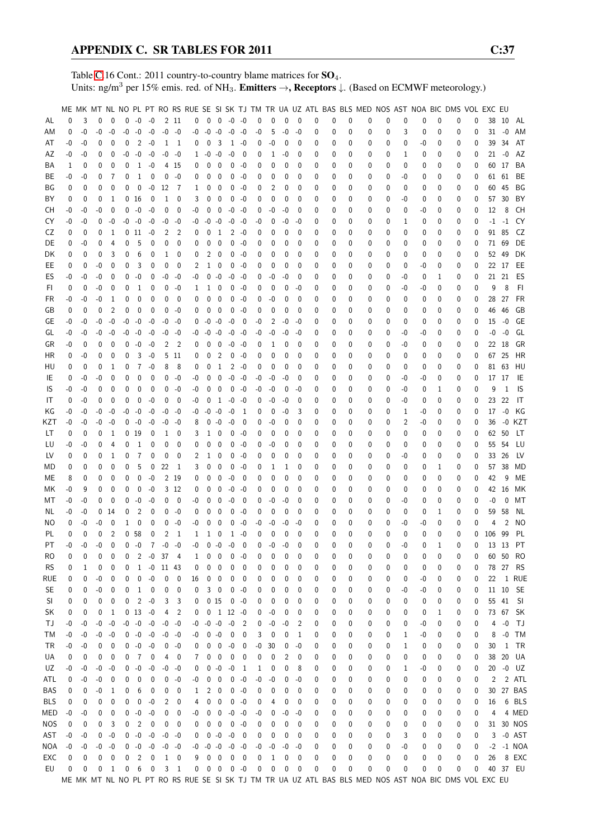Table [C.](#page-2-0)16 Cont.: 2011 country-to-country blame matrices for  $SO_4$ . Units: ng/m<sup>3</sup> per 15% emis. red. of NH<sub>3</sub>. **Emitters**  $\rightarrow$ **, Receptors**  $\downarrow$ . (Based on ECMWF meteorology.)

|            |          |                  |             |                |              |                 |                  |            |                          |    |          |                  |                         |                          |          |      |                |          |   |   |   | ME MK MT NL NO PL PT RO RS RUE SE SI SK TJ TM TR UA UZ ATL BAS BLS MED NOS AST NOA BIC DMS VOL EXC EU |          |              |    |   |   |          |     |                |               |
|------------|----------|------------------|-------------|----------------|--------------|-----------------|------------------|------------|--------------------------|----|----------|------------------|-------------------------|--------------------------|----------|------|----------------|----------|---|---|---|-------------------------------------------------------------------------------------------------------|----------|--------------|----|---|---|----------|-----|----------------|---------------|
|            | $\Omega$ | 3                | 0           | $\mathbf 0$    |              | $0 - 0 - 0$     |                  |            | 2 11                     | 0  |          |                  | $0 \t 0 \t -0 \t -0$    |                          | 0        | 0    | 0              | $\Omega$ | 0 | 0 | 0 | 0                                                                                                     | 0        | 0            | 0  | 0 | 0 | 0        | 38  |                |               |
| AL         |          |                  |             |                |              |                 |                  |            |                          |    |          |                  |                         |                          |          |      |                |          |   |   |   |                                                                                                       |          |              |    |   |   |          |     | -10            | AL            |
| ΑM         | 0        | $-0$             | -0          | -0             | $-0$         | -0              | $-0$             |            | $-0 - 0$                 | -0 | $-0 - 0$ |                  | $-0$                    | -0                       | -0       | 5    | $-0$           | -0       | 0 | 0 | 0 | 0                                                                                                     | 0        | 3            | 0  | 0 | 0 | 0        |     | $31 - 0$       | AM            |
| AT         | -0       | -0               | 0           | 0              | 0            | 2               | -0               | 1          | - 1                      | 0  | 0        | 3                | $\mathbf{1}$            | -0                       | 0        | -0   | 0              | 0        | 0 | 0 | 0 | 0                                                                                                     | 0        | 0            | -0 | 0 | 0 | 0        | 39  | 34             | AT            |
| AΖ         | -0       | -0               | 0           | 0              | -0           | $-0$            | -0               | -0         | -0                       | 1  | $-0 - 0$ |                  | -0                      | 0                        | 0        | 1    | -0             | 0        | 0 | 0 | 0 | 0                                                                                                     | 0        | 1            | 0  | 0 | 0 | 0        | 21  | -0             | AZ            |
| ΒA         | 1        | 0                | 0           | 0              | 0            | 1               | $-0$             |            | 4 15                     | 0  | 0        | 0                | 0                       | -0                       | 0        | 0    | 0              | 0        | 0 | 0 | 0 | 0                                                                                                     | 0        | 0            | 0  | 0 | 0 | 0        |     | 60 17          | BA            |
| ВE         | -0       | -0               | 0           | 7              | 0            | 1               | $\mathbf 0$      |            | $0 - 0$                  | 0  | 0        | 0                | 0                       | -0                       | 0        | 0    | 0              | 0        | 0 | 0 | 0 | 0                                                                                                     | 0        | -0           | 0  | 0 | 0 | 0        |     | 61 61          | BE            |
| ΒG         | 0        | 0                | $\Omega$    | 0              | 0            | 0               | $-0$             | 12         | - 7                      | 1  | 0        | 0                | 0                       | -0                       | 0        | 2    | 0              | 0        | 0 | 0 | 0 | 0                                                                                                     | 0        | 0            | 0  | 0 | 0 | 0        | 60  | 45             | BG            |
| ΒY         | 0        | 0                | 0           | 1              |              | 0 <sub>16</sub> | 0                | 1          | 0                        | 3  | 0        | 0                | 0                       | -0                       | 0        | 0    | 0              | 0        | 0 | 0 | 0 | 0                                                                                                     | 0        | -0           | 0  | 0 | 0 | 0        | 57  | 30             | BY            |
| CН         | -0       | -0               | -0          | 0              | $\mathbf{0}$ | $-0$            | $-0$             | 0          | $\mathbf 0$              | -0 | 0        | 0                | $-0$                    | -0                       | 0        | $-0$ | -0             | 0        | 0 | 0 | 0 | 0                                                                                                     | 0        | 0            | -0 | 0 | 0 | 0        | 12  | 8              | СH            |
| CY         | -0       | -0               | $\mathbf 0$ | -0             |              | $-0 - 0$        | $-0$             |            | $-0 - 0$                 | -0 | $-0$     | -0               | -0                      | -0                       | -0       | 0    | -0             | -0       | 0 | 0 | 0 | 0                                                                                                     | 0        | 1            | 0  | 0 | 0 | 0        |     | $-1$ $-1$      | CY            |
| CZ         | 0        | $\mathbf 0$      | $\Omega$    | 1              |              | 0 11            | $-0$             | 2          | 2                        | 0  | 0        | 1                |                         | $2 - 0$                  | 0        | 0    | 0              | 0        | 0 | 0 | 0 | 0                                                                                                     | 0        | 0            | 0  | 0 | 0 | 0        | 91  | 85             | CZ            |
| DE         | 0        | -0               | 0           | 4              | 0            | 5               | 0                | 0          | 0                        | 0  | 0        | 0                | 0                       | -0                       | 0        | 0    | 0              | 0        | 0 | 0 | 0 | 0                                                                                                     | 0        | 0            | 0  | 0 | 0 | 0        | 71  | 69             | DE            |
| DK         | 0        | 0                | 0           | 3              | 0            | 6               | 0                | 1          | 0                        | 0  | 2        | 0                | 0                       | -0                       | 0        | 0    | 0              | 0        | 0 | 0 | 0 | 0                                                                                                     | 0        | 0            | 0  | 0 | 0 | 0        | 52  | 49             | DK            |
| EE         | 0        | 0                | -0          | 0              | 0            | 3               | 0                | 0          | 0                        | 2  |          | 1 0              | 0                       | -0                       | 0        | 0    | 0              | 0        | 0 | 0 | 0 | 0                                                                                                     | 0        | 0            | -0 | 0 | 0 | 0        |     | 22 17          | EE            |
| ES         | -0       | -0               | -0          | 0              | 0            | -0              | 0                | -0         | -0                       | -0 |          | $0 - 0$          | $-0$                    | -0                       | 0        | -0   | -0             | 0        | 0 | 0 | 0 | 0                                                                                                     | 0        | -0           | 0  | 1 | 0 | 0        |     | 21 21          | ES            |
| FI.        | 0        | 0                | -0          | 0              | 0            | 1               | 0                | 0          | -0                       | 1  | 1        | 0                | 0                       | -0                       | 0        | 0    | 0              | -0       | 0 | 0 | 0 | 0                                                                                                     | 0        | -0           | -0 | 0 | 0 | 0        | 9   | 8              | FI.           |
| FR         | -0       | -0               | -0          | 1              | 0            | $\mathbf 0$     | 0                | 0          | 0                        | 0  | 0        | 0                | 0                       | -0                       | 0        | -0   | 0              | 0        | 0 | 0 | 0 | 0                                                                                                     | 0        | 0            | 0  | 0 | 0 | 0        | 28  | 27             | FR            |
| GB         | 0        | 0                | 0           | $\overline{2}$ | 0            | 0               | 0                | 0          | -0                       | 0  | 0        | 0                | 0                       | -0                       | 0        | 0    | 0              | 0        | 0 | 0 | 0 | 0                                                                                                     | 0        | 0            | 0  | 0 | 0 | 0        | 46  | 46             | GB            |
|            | -0       |                  | -0          |                | -0           |                 |                  |            |                          |    |          |                  |                         |                          |          |      |                | -0       | 0 |   | 0 | 0                                                                                                     | 0        |              |    | 0 |   |          |     | -0             | GE            |
| GЕ         |          | -0               |             | -0             |              | -0              | $-0$             | -0         | -0                       | 0  | $-0 - 0$ |                  | -0                      | 0                        | -0       | 2    | -0             |          |   | 0 |   |                                                                                                       |          | 0            | 0  |   | 0 | 0        | 15  |                |               |
| GL         | -0       | -0               | -0          | -0             | -0           | $-0$            | -0               | -0         | -0                       | -0 | -0       | $-0$             | $-0$                    | -0                       | -0       | $-0$ | -0             | -0       | 0 | 0 | 0 | 0                                                                                                     | 0        | -0           | -0 | 0 | 0 | 0        | -0  | $-0$           | GL            |
| GR         | -0       | 0                | 0           | 0              | $\mathbf{0}$ | $-0$            | -0               | 2          | $\overline{2}$           | 0  | 0        | 0                | $-0$                    | -0                       | 0        | 1    | 0              | 0        | 0 | 0 | 0 | 0                                                                                                     | 0        | -0           | 0  | 0 | 0 | 0        |     | 22 18          | GR            |
| ΗR         | 0        | -0               | 0           | 0              | 0            | 3               | -0               |            | 5 11                     | 0  | 0        | $\overline{2}$   | 0                       | -0                       | 0        | 0    | 0              | $\Omega$ | 0 | 0 | 0 | 0                                                                                                     | 0        | 0            | 0  | 0 | 0 | 0        | 67  | 25             | HR            |
| HU         | 0        | 0                | 0           | 1              | 0            | $\overline{7}$  | $-0$             | 8          | 8                        | 0  | 0        | 1                | 2                       | -0                       | 0        | 0    | 0              | 0        | 0 | 0 | 0 | 0                                                                                                     | 0        | $\mathbf 0$  | 0  | 0 | 0 | 0        | 81  | 63             | HU            |
| IE         | 0        | -0               | -0          | 0              | 0            | 0               | 0                | 0          | $-0$                     | -0 | 0        | 0                | $-0$                    | $-0$                     | -0       | $-0$ | -0             | 0        | 0 | 0 | 0 | 0                                                                                                     | 0        | -0           | -0 | 0 | 0 | 0        | 17  | 17             | IE            |
| IS         | -0       | -0               | 0           | 0              | 0            | 0               | 0                |            | $0 - 0$                  | -0 | 0        | 0                | $\mathbf 0$             | -0                       | -0       | $-0$ | 0              | -0       | 0 | 0 | 0 | 0                                                                                                     | 0        | -0           | 0  | 1 | 0 | 0        | 9   | 1              | IS            |
| IT         | 0        | -0               | $\Omega$    | 0              | $\mathbf 0$  | 0               | $-0$             | 0          | - 0                      | -0 | 0        | 1                | $-0$                    | -0                       | 0        | -0   | -0             | 0        | 0 | 0 | 0 | 0                                                                                                     | 0        | -0           | 0  | 0 | 0 | 0        | 23  | 22             | IT            |
| ΚG         | -0       | -0               | -0          | -0             |              | $-0 - 0$        | $-0$             |            | $-0 - 0$                 | -0 | $-0 - 0$ |                  | $-0$                    | - 1                      | 0        | 0    | -0             | 3        | 0 | 0 | 0 | 0                                                                                                     | 0        | 1            | -0 | 0 | 0 | 0        | 17  | $-0$           | ΚG            |
| KZT        | -0       | -0               | -0          | -0             |              | $0 - 0$         | -0               | -0         | -0                       | 8  |          | $0 - 0$          | $-0$                    | 0                        | 0        | -0   | 0              | 0        | 0 | 0 | 0 | 0                                                                                                     | 0        | 2            | -0 | 0 | 0 | 0        | 36  | $-0$           | KZT           |
| LT         | 0        | $\mathbf 0$      | 0           | 1              |              | 0 <sub>19</sub> | 0                | 1          | 0                        | 3  | 1        | 0                | 0                       | -0                       | 0        | 0    | 0              | 0        | 0 | 0 | 0 | 0                                                                                                     | 0        | 0            | 0  | 0 | 0 | 0        | 62  | 50             | LT            |
| LU         | -0       | -0               | 0           | 4              | 0            | 1               | 0                | 0          | $\mathbf 0$              | 0  | 0        | 0                | 0                       | -0                       | 0        | -0   | 0              | 0        | 0 | 0 | 0 | 0                                                                                                     | 0        | 0            | 0  | 0 | 0 | 0        | 55  | 54             | LU            |
| LV         | 0        | 0                | 0           | 1              | 0            | 7               | 0                | 0          | $\mathbf 0$              | 2  | 1        | 0                | 0                       | -0                       | 0        | 0    | 0              | 0        | 0 | 0 | 0 | 0                                                                                                     | 0        | -0           | 0  | 0 | 0 | 0        | 33  | 26             | LV            |
| MD         | 0        | 0                | 0           | 0              | 0            | 5               | 0                | 22         | -1                       | 3  | 0        | 0                | 0                       | -0                       | 0        | 1    | 1              | 0        | 0 | 0 | 0 | 0                                                                                                     | 0        | 0            | 0  | 1 | 0 | 0        | 57  | 38             | MD            |
| МE         | 8        | 0                | 0           | 0              | 0            | 0               | $-0$             |            | 2 19                     | 0  | 0        | 0                | -0                      | 0                        | 0        | 0    | 0              | 0        | 0 | 0 | 0 | 0                                                                                                     | 0        | 0            | 0  | 0 | 0 | 0        | 42  | 9              | ME            |
| МK         | -0       | 9                | $\Omega$    | 0              | 0            | 0               | -0               |            | 3 12                     | 0  | 0        | 0                | $-0$                    | -0                       | 0        | 0    | 0              | 0        | 0 | 0 | 0 | 0                                                                                                     | 0        | 0            | 0  | 0 | 0 | 0        |     | 42 16          | МK            |
| МT         | -0       | -0               | 0           | 0              | 0            | $-0$            | -0               | 0          | 0                        | -0 | 0        | 0                | -0                      | 0                        | 0        | -0   | -0             | 0        | 0 | 0 | 0 | 0                                                                                                     | 0        | -0           | 0  | 0 | 0 | 0        | -0  | 0              | МT            |
| NL         | -0       | -0               | 0           | 14             | 0            | 2               | 0                | 0          | -0                       | 0  | 0        | 0                | 0                       | -0                       | 0        | 0    | 0              | 0        | 0 | 0 | 0 | 0                                                                                                     | 0        | 0            | 0  | 1 | 0 | 0        | 59  | 58             | ΝL            |
| ΝO         | 0        | -0               | -0          | 0              | 1            | 0               | 0                | 0          | -0                       | -0 | 0        | 0                | 0                       | -0                       | -0       | -0   | -0             | -0       | 0 | 0 | 0 | 0                                                                                                     | 0        | -0           | -0 | 0 | 0 | 0        | 4   | $\overline{2}$ | NO.           |
| PL         | 0        | 0                | 0           | $\overline{2}$ |              | 0 <sub>58</sub> | 0                | 2          | - 1                      | 1  | 1        | 0                | $\mathbf{1}$            | -0                       | 0        | 0    | 0              | 0        | 0 | 0 | 0 | 0                                                                                                     | 0        | $\mathbf{0}$ | 0  | 0 | 0 | 0        | 106 | 99             | PL            |
| PT         | -0       | $-0$             | $-0$        | $\mathbf{0}$   |              | $0 - 0$         | $7^{\circ}$      |            | $-0 - 0$                 | -0 |          | $0 - 0$          | $-0$                    | $\Omega$                 | $\Omega$ | $-0$ | $-0$           | 0        | 0 | 0 | U | $\Omega$                                                                                              | $\Omega$ | $-0$         | 0  | 1 | 0 | $\Omega$ |     | 13 13          | <b>PT</b>     |
| RO         |          |                  | 0           | 0              | 0            |                 |                  | $2 - 0 37$ |                          |    | 0        | 0                | 0                       | $-0$                     | 0        | 0    | 0              | 0        | 0 | 0 | 0 | 0                                                                                                     | 0        | 0            |    | 0 | 0 | 0        |     | 60 50          | <b>RO</b>     |
|            | 0        | 0                |             |                |              |                 |                  |            | $\overline{4}$           | 1  |          |                  |                         |                          |          |      |                |          |   |   |   |                                                                                                       |          |              | 0  |   |   |          |     |                |               |
| <b>RS</b>  | 0        | 1                | 0           | 0              | 0            | $\mathbf{1}$    | $-0$             | 11 43      |                          | 0  | 0        | 0                | 0                       | 0                        | 0        | 0    | 0              | 0        | 0 | 0 | 0 | 0                                                                                                     | 0        | 0            | 0  | 0 | 0 | 0        |     | 78 27          | <b>RS</b>     |
| rue        | 0        | $\boldsymbol{0}$ | $-0$        | 0              | 0            | 0               | $-0$             | 0          | 0                        | 16 | 0        | 0                | 0                       | 0                        | 0        | 0    | 0              | 0        | 0 | 0 | 0 | 0                                                                                                     | 0        | 0            | -0 | 0 | 0 | 0        | 22  |                | 1 RUE         |
| <b>SE</b>  | 0        | 0                | -0          | 0              | 0            | 1               | 0                | 0          | $\boldsymbol{0}$         | 0  |          | $3 \quad 0$      | 0                       | -0                       | 0        | 0    | 0              | 0        | 0 | 0 | 0 | 0                                                                                                     | 0        | -0           | -0 | 0 | 0 | 0        |     |                | 11 10 SE      |
| SI         | 0        | 0                | 0           | 0              | 0            | $\overline{c}$  | $-0$             | 3          | 3                        | 0  |          | 015              |                         | $0 - 0$                  | 0        | 0    | 0              | 0        | 0 | 0 | 0 | 0                                                                                                     | 0        | 0            | 0  | 0 | 0 | 0        |     | 55 41          | - SI          |
| SK         | 0        | 0                | 0           | 1              |              | $0 \t13 \t-0$   |                  | 4          | 2                        | 0  |          |                  | $0 \t1 \t12 \t-0$       |                          | 0        | -0   | 0              | 0        | 0 | 0 | 0 | 0                                                                                                     | 0        | 0            | 0  | 1 | 0 | 0        |     |                | 73 67 SK      |
| ТJ         | -0       | -0               | -0          | -0             |              | $-0$ $-0$ $-0$  |                  |            | $-0 - 0$                 | -0 | $-0 - 0$ |                  | $-0$                    | $\overline{2}$           | 0        | $-0$ | $-0$           | 2        | 0 | 0 | 0 | 0                                                                                                     | 0        | 0            | -0 | 0 | 0 | 0        | 4   | $-0$           | TJ            |
| ТM         | -0       | -0               | -0          | $-0$           |              | $0 - 0$         | $-0$             |            | $-0 - 0$                 | -0 |          | $0 - 0$          | 0                       | 0                        | 3        | 0    | 0              | 1        | 0 | 0 | 0 | 0                                                                                                     | 0        | 1            | -0 | 0 | 0 | 0        | 8   | $-0$           | <b>TM</b>     |
| TR         | -0       | -0               | 0           | 0              |              | $0 - 0$         | $-0$             |            | $0 - 0$                  | 0  | 0        | 0                | $-0$                    | 0                        | -0       | 30   | 0              | -0       | 0 | 0 | 0 | 0                                                                                                     | 0        | 1            | 0  | 0 | 0 | 0        | 30  | 1              | TR            |
| UA         | 0        | 0                | 0           | 0              | 0            | -7              | $\mathbf 0$      | 4          | $\overline{\phantom{0}}$ | 7  | 0        | 0                | 0                       | 0                        | 0        | 0    | $\overline{2}$ | 0        | 0 | 0 | 0 | 0                                                                                                     | 0        | 0            | 0  | 0 | 0 | 0        | 38  | 20             | UA            |
| UZ         | -0       | -0               | -0          | $-0$           |              | $0 - 0$         | $-0$             |            | $-0 - 0$                 | 0  |          | $0 - 0$          | $-0$                    | -1                       | 1        | 0    | 0              | 8        | 0 | 0 | 0 | 0                                                                                                     | 0        | 1            | -0 | 0 | 0 | 0        | 20  |                | -0 UZ         |
| ATL        | 0        | -0               | $-0$        | 0              | 0            | 0               | 0                | 0          | -0                       | -0 | 0        | 0                | 0                       | $-0$                     | -0       | $-0$ | 0              | -0       | 0 | 0 | 0 | 0                                                                                                     | 0        | 0            | 0  | 0 | 0 | 0        | 2   |                | 2 ATL         |
| BAS        | 0        | 0                | -0          | 1              | 0            | 6               | 0                | 0          | $\mathbf 0$              | 1  | 2        | 0                | 0                       | -0                       | 0        | 0    | 0              | 0        | 0 | 0 | 0 | 0                                                                                                     | 0        | 0            | 0  | 0 | 0 | 0        | 30  |                | 27 BAS        |
| BLS        | 0        | 0                | 0           | 0              | 0            | 0               | $-0$             | 2          | 0                        | 4  | 0        | 0                | 0                       | -0                       | 0        | 4    | 0              | 0        | 0 | 0 | 0 | 0                                                                                                     | 0        | 0            | 0  | 0 | 0 | 0        | 16  |                | 6 BLS         |
| MED        | -0       | -0               | 0           | 0              |              | $0 - 0$         | $-0$             | 0          | 0                        | -0 | 0        | $\boldsymbol{0}$ | $-0$                    | -0                       | -0       | 0    | -0             | -0       | 0 | 0 | 0 | 0                                                                                                     | 0        | 0            | 0  | 0 | 0 | 0        | 4   |                | 4 MED         |
| <b>NOS</b> | 0        | $\boldsymbol{0}$ | 0           | 3              | 0            | $\overline{c}$  | $\boldsymbol{0}$ | 0          | $\mathbf 0$              | 0  | 0        | 0                | $\pmb{0}$               | -0                       | 0        | 0    | 0              | 0        | 0 | 0 | 0 | 0                                                                                                     | 0        | 0            | 0  | 0 | 0 | 0        |     |                | 31 30 NOS     |
| AST        | $-0$     | -0               | 0           | $-0$           |              | $0 - 0$         | $-0$             |            | $-0 - 0$                 | 0  |          | $0 - 0$          | $-0$                    | $\overline{\phantom{0}}$ | 0        | 0    | 0              | 0        | 0 | 0 | 0 | 0                                                                                                     | 0        | 3            | 0  | 0 | 0 | 0        |     |                | 3 -0 AST      |
| NOA        | $-0$     | -0               | -0          | -0             |              | $0 - 0$         | $-0$             |            | $-0 - 0$                 | -0 | $-0 - 0$ |                  | $-0$                    | -0                       | -0       | $-0$ | $-0$           | -0       | 0 | 0 | 0 | 0                                                                                                     | 0        | -0           | 0  | 0 | 0 | 0        |     |                | $-2$ $-1$ NOA |
| EXC        | 0        | 0                | 0           | 0              | 0            | $\overline{c}$  | $\mathbf 0$      |            | $1 \quad 0$              | 9  | 0        | $\pmb{0}$        | $\boldsymbol{0}$        | 0                        | 0        | 1    | 0              | 0        | 0 | 0 | 0 | 0                                                                                                     | 0        | 0            | 0  | 0 | 0 | 0        | 26  |                | 8 EXC         |
| EU         | 0        | 0                | 0           | $\mathbf{1}$   | 0            | 6               | $\mathbf 0$      | 3          | $\overline{1}$           | 0  |          | $0\quad 0$       | $\overline{\mathbf{0}}$ | $-0$                     | 0        | 0    | 0              | 0        | 0 | 0 | 0 | 0                                                                                                     | 0        | 0            | 0  | 0 | 0 | 0        |     |                | 40 37 EU      |
|            |          |                  |             |                |              |                 |                  |            |                          |    |          |                  |                         |                          |          |      |                |          |   |   |   | ME MK MT NL NO PL PT RO RS RUE SE SI SK TJ TM TR UA UZ ATL BAS BLS MED NOS AST NOA BIC DMS VOL EXC EU |          |              |    |   |   |          |     |                |               |
|            |          |                  |             |                |              |                 |                  |            |                          |    |          |                  |                         |                          |          |      |                |          |   |   |   |                                                                                                       |          |              |    |   |   |          |     |                |               |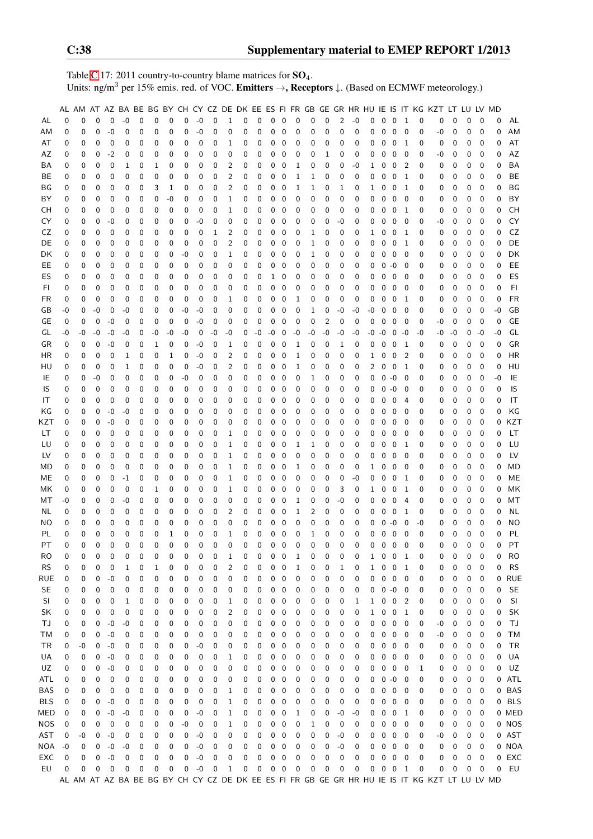Table [C.](#page-2-0)17: 2011 country-to-country blame matrices for  $SO_4$ . Units: ng/m<sup>3</sup> per 15% emis. red. of VOC. **Emitters**  $\rightarrow$ **, Receptors**  $\downarrow$ . (Based on ECMWF meteorology.)

|            |    |             |             |             |             |          |          |          |      |          |    |                |          |          |             |              |    |          |                |                |             |                |             |                |                            |             | AL AM AT AZ BA BE BG BY CH CY CZ DE DK EE ES FI FR GB GE GR HR HU IE IS IT KG KZT LT LU LV MD |          |             |             |          |            |
|------------|----|-------------|-------------|-------------|-------------|----------|----------|----------|------|----------|----|----------------|----------|----------|-------------|--------------|----|----------|----------------|----------------|-------------|----------------|-------------|----------------|----------------------------|-------------|-----------------------------------------------------------------------------------------------|----------|-------------|-------------|----------|------------|
| AL         | 0  | $\Omega$    | $\Omega$    | 0           | $-0$        | 0        | 0        | 0        | 0    | $-0$     | 0  | 1              | 0        | 0        | 0           | $\mathbf 0$  | 0  | 0        | 0              | $\overline{c}$ | $-0$        | 0              | $\mathbf 0$ | $\mathbf 0$    | 1                          | 0           | 0                                                                                             | 0        | 0           | 0           | 0        | AL         |
| AM         | 0  | $\mathbf 0$ | $\mathbf 0$ | $-0$        | 0           | 0        | 0        | 0        | 0    | $-0$     | 0  | 0              | 0        | 0        | $\mathbf 0$ | 0            | 0  | 0        | 0              | 0              | 0           | 0              | 0           | $\mathbf 0$    | $\mathbf 0$                | $\mathbf 0$ | -0                                                                                            | 0        | 0           | $\mathbf 0$ | 0        | AM         |
| AT         |    |             | 0           |             | 0           |          |          |          |      | 0        | 0  |                |          |          | 0           |              |    | 0        |                |                | 0           |                |             |                |                            |             |                                                                                               |          | 0           | 0           | 0        | AT         |
|            | 0  | 0           |             | 0           |             | 0        | 0        | 0        | 0    |          |    | 1              | 0        | 0        |             | 0            | 0  |          | 0              | 0              |             | 0              | 0           | 0              | 1                          | 0           | 0                                                                                             | 0        |             |             |          |            |
| AZ         | 0  | 0           | 0           | $-2$        | 0           | 0        | 0        | 0        | 0    | 0        | 0  | 0              | 0        | 0        | 0           | 0            | 0  | 0        | 1              | 0              | 0           | 0              | 0           | 0              | 0                          | 0           | -0                                                                                            | 0        | 0           | 0           | 0        | AZ         |
| ВA         | 0  | 0           | 0           | 0           | 1           | 0        | 1        | 0        | 0    | 0        | 0  | 2              | 0        | 0        | 0           | 0            | 1  | 0        | 0              | 0              | -0          | 1              | 0           | 0              | $\overline{2}$             | 0           | 0                                                                                             | 0        | 0           | 0           | 0        | <b>BA</b>  |
| BE         | 0  | 0           | 0           | 0           | 0           | 0        | 0        | 0        | 0    | 0        | 0  | 2              | 0        | 0        | 0           | 0            | 1  | 1        | 0              | 0              | 0           | 0              | 0           | 0              | 1                          | 0           | 0                                                                                             | 0        | 0           | 0           | 0        | BE         |
| ΒG         | 0  | 0           | 0           | 0           | 0           | 0        | 3        | 1        | 0    | 0        | 0  | 2              | 0        | 0        | 0           | 0            | 1  | 1        | 0              | 1              | 0           | 1              | 0           | 0              | 1                          | 0           | 0                                                                                             | 0        | 0           | 0           | 0        | BG         |
| BY         | 0  | $\mathbf 0$ | 0           | $\mathbf 0$ | 0           | 0        | 0        | -0       | 0    | 0        | 0  | 1              | 0        | 0        | 0           | 0            | 0  | 0        | 0              | 0              | 0           | 0              | 0           | $\mathbf 0$    | $\mathbf 0$                | 0           | 0                                                                                             | 0        | $\mathbf 0$ | 0           | 0        | BY         |
| CН         | 0  | 0           | 0           | 0           | 0           | 0        | 0        | 0        | 0    | 0        | 0  | 1              | 0        | 0        | 0           | 0            | 0  | 0        | 0              | 0              | 0           | 0              | 0           | 0              | -1                         | 0           | 0                                                                                             | 0        | 0           | 0           | 0        | CH         |
| CY         | 0  | $\mathbf 0$ | $\mathbf 0$ | $-0$        | 0           | 0        | 0        | 0        | 0    | $-0$     | 0  | 0              | 0        | 0        | 0           | 0            | 0  | 0        | 0              | $-0$           | 0           | 0              | 0           | 0              | 0                          | 0           | -0                                                                                            | 0        | 0           | 0           | 0        | CY         |
| CZ         | 0  | 0           | 0           | 0           | 0           | 0        | 0        | 0        | 0    | 0        | 1  | 2              | 0        | 0        | 0           | 0            | 0  | 1        | 0              | 0              | 0           | 1              | 0           | 0              | -1                         | 0           | 0                                                                                             | 0        | 0           | 0           | 0        | CZ         |
| DE         | 0  | 0           | 0           | 0           | 0           | 0        | 0        | 0        | 0    | 0        | 0  | $\overline{2}$ | 0        | 0        | 0           | 0            | 0  | 1        | 0              | 0              | 0           | 0              | 0           | 0              | 1                          | 0           | 0                                                                                             | 0        | 0           | 0           | 0        | DE         |
| DK         | 0  | 0           | 0           | 0           | 0           | 0        | 0        | 0        | -0   | 0        | 0  | 1              | 0        | 0        | 0           | 0            | 0  | 1        | 0              | 0              | 0           | 0              | 0           | $\mathbf 0$    | 0                          | 0           | 0                                                                                             | 0        | 0           | 0           | 0        | DK         |
|            |    |             |             |             |             |          |          |          |      |          |    |                |          |          |             |              |    |          |                |                |             |                |             |                |                            |             |                                                                                               |          |             |             |          |            |
| EE.        | 0  | 0           | 0           | 0           | 0           | 0        | 0        | 0        | 0    | 0        | 0  | 0              | 0        | 0        | 0           | 0            | 0  | 0        | 0              | 0              | 0           | 0              | 0           | $-0$           | - 0                        | 0           | 0                                                                                             | 0        | 0           | 0           | 0        | EE         |
| ES         | 0  | 0           | 0           | 0           | 0           | 0        | 0        | 0        | 0    | 0        | 0  | 0              | 0        | 0        | 1           | 0            | 0  | 0        | 0              | 0              | 0           | 0              | 0           | 0              | 0                          | 0           | 0                                                                                             | 0        | 0           | 0           | 0        | ES         |
| FI.        | 0  | 0           | $\mathbf 0$ | $\mathbf 0$ | 0           | 0        | 0        | 0        | 0    | 0        | 0  | 0              | 0        | 0        | 0           | 0            | 0  | 0        | 0              | 0              | 0           | 0              | 0           | 0              | 0                          | 0           | 0                                                                                             | 0        | 0           | $\mathbf 0$ | 0        | FI         |
| FR         | 0  | $\mathbf 0$ | 0           | $\mathbf 0$ | 0           | 0        | 0        | 0        | 0    | 0        | 0  | 1              | 0        | 0        | 0           | 0            | 1  | 0        | 0              | 0              | 0           | 0              | 0           | 0              | 1                          | 0           | 0                                                                                             | 0        | 0           | $\mathbf 0$ | 0        | <b>FR</b>  |
| GB         | -0 | 0           | $-0$        | 0           | -0          | 0        | 0        | 0        | $-0$ | $-0$     | 0  | 0              | 0        | 0        | 0           | 0            | 0  | 1        | 0              | -0             | $-0$        | $-0$           | 0           | 0              | 0                          | 0           | 0                                                                                             | 0        | 0           | 0           | $-0$     | GB         |
| GE         | 0  | 0           | 0           | $-0$        | 0           | 0        | 0        | 0        | 0    | $-0$     | 0  | 0              | 0        | 0        | 0           | 0            | 0  | 0        | $\overline{2}$ | 0              | 0           | 0              | 0           | $\mathbf 0$    | 0                          | 0           | -0                                                                                            | 0        | 0           | 0           | 0        | GE         |
| GL         | -0 | -0          | -0          | -0          | $-0$        | 0        | -0       | -0       | -0   | 0        | -0 | $-0$           | 0        | -0       | -0          | 0            | -0 | $-0$     | $-0$           | -0             | $-0$        | -0             | $-0$        | $0 - 0$        |                            | $-0$        | -0                                                                                            | -0       | 0           | $-0$        | $-0$     | GL         |
| GR         | 0  | 0           | 0           | -0          | 0           | 0        | 1        | 0        | 0    | -0       | 0  | 1              | 0        | 0        | 0           | 0            | 1  | 0        | 0              | 1              | 0           | 0              | 0           | $\mathbf 0$    | -1                         | 0           | 0                                                                                             | 0        | 0           | 0           | 0        | GR         |
| ΗR         | 0  | 0           | 0           | 0           | 1           | 0        | 0        | 1        | 0    | $-0$     | 0  | 2              | 0        | 0        | 0           | 0            | 1  | 0        | 0              | 0              | 0           | 1              | 0           | 0              | $\overline{2}$             | 0           | 0                                                                                             | 0        | 0           | 0           | 0        | <b>HR</b>  |
| HU         | 0  | 0           | $\mathbf 0$ | 0           | 1           | 0        | 0        | 0        | 0    | $-0$     | 0  | $\overline{2}$ | 0        | 0        | $\mathbf 0$ | 0            | 1  | 0        | 0              | 0              | 0           | $\overline{2}$ | 0           | $\mathbf 0$    | 1                          | 0           | 0                                                                                             | 0        | 0           | 0           | 0        | HU         |
| IE         | 0  | 0           | -0          | 0           | 0           | 0        | 0        | 0        | $-0$ | 0        | 0  | 0              | 0        | 0        | 0           | 0            | 0  | 1        | 0              | 0              | 0           | 0              |             | $0 - 0 0$      |                            | 0           | 0                                                                                             | 0        | 0           | 0           | $-0$     | IE         |
|            |    |             |             |             |             |          |          |          |      |          |    |                |          |          |             |              |    |          |                |                |             |                |             |                |                            |             |                                                                                               |          |             |             |          |            |
| IS         | 0  | 0           | $\mathbf 0$ | $\mathbf 0$ | 0           | 0        | 0        | 0        | 0    | 0        | 0  | 0              | 0        | 0        | 0           | 0            | 0  | 0        | 0              | 0              | 0           | 0              | $\mathbf 0$ | $-0$           | $\overline{\phantom{0}}$   | 0           | 0                                                                                             | 0        | 0           | 0           | 0        | IS         |
| IT         | 0  | 0           | $\mathbf 0$ | 0           | 0           | 0        | 0        | 0        | 0    | 0        | 0  | 0              | 0        | 0        | 0           | 0            | 0  | 0        | 0              | 0              | 0           | 0              | 0           | 0              | $\overline{4}$             | 0           | 0                                                                                             | 0        | 0           | 0           | 0        | IT         |
| ΚG         | 0  | 0           | 0           | -0          | $-0$        | 0        | 0        | 0        | 0    | 0        | 0  | 0              | 0        | 0        | 0           | 0            | 0  | 0        | 0              | 0              | 0           | 0              | 0           | 0              | 0                          | 0           | 0                                                                                             | 0        | 0           | 0           | 0        | ΚG         |
| KZT        | 0  | 0           | 0           | -0          | 0           | 0        | 0        | 0        | 0    | 0        | 0  | 0              | 0        | 0        | 0           | 0            | 0  | 0        | 0              | 0              | 0           | 0              | 0           | 0              | 0                          | 0           | 0                                                                                             | 0        | 0           | 0           | 0        | KZT        |
| LT         | 0  | 0           | 0           | 0           | 0           | 0        | 0        | 0        | 0    | 0        | 0  | 1              | 0        | 0        | 0           | 0            | 0  | 0        | 0              | 0              | 0           | 0              | 0           | $\mathbf 0$    | 0                          | 0           | 0                                                                                             | 0        | 0           | 0           | 0        | LT         |
| LU         | 0  | 0           | 0           | 0           | 0           | 0        | 0        | 0        | 0    | 0        | 0  | 1              | 0        | 0        | 0           | 0            | 1  | 1        | 0              | 0              | 0           | 0              | 0           | 0              | 1                          | 0           | 0                                                                                             | 0        | 0           | 0           | 0        | LU         |
| LV         | 0  | 0           | 0           | 0           | 0           | 0        | 0        | 0        | 0    | 0        | 0  | 1              | 0        | 0        | 0           | 0            | 0  | 0        | 0              | 0              | 0           | 0              | 0           | $\mathbf 0$    | 0                          | 0           | 0                                                                                             | 0        | 0           | 0           | 0        | LV         |
| MD         | 0  | 0           | 0           | 0           | 0           | 0        | 0        | 0        | 0    | 0        | 0  | 1              | 0        | 0        | 0           | 0            | 1  | 0        | 0              | 0              | 0           | 1              | 0           | 0              | 0                          | 0           | 0                                                                                             | 0        | 0           | 0           | 0        | MD         |
| MЕ         | 0  | 0           | 0           | $\mathbf 0$ | $-1$        | 0        | 0        | 0        | 0    | 0        | 0  | 1              | 0        | 0        | 0           | 0            | 0  | 0        | 0              | 0              | $-0$        | 0              | 0           | $\mathbf 0$    | -1                         | 0           | 0                                                                                             | 0        | $\mathbf 0$ | $\mathbf 0$ | 0        | ME         |
| МK         | 0  | 0           | 0           | 0           | 0           | 0        | 1        | 0        | 0    | 0        | 0  | 1              | 0        | 0        | 0           | 0            | 0  | 0        | 0              | 3              | 0           | 1              | 0           | 0              | 1                          | 0           | 0                                                                                             | 0        | 0           | 0           | 0        | ΜK         |
| МT         | -0 | 0           | 0           | 0           | $-0$        | 0        | 0        | 0        | 0    | 0        | 0  | 0              | 0        | 0        | 0           | 0            | 1  | 0        | 0              | -0             | 0           | 0              | 0           | 0              | 4                          | 0           | 0                                                                                             | 0        | 0           | 0           | 0        | MT         |
|            | 0  | 0           | 0           | 0           | 0           | 0        | 0        | 0        | 0    | 0        | 0  | 2              | 0        | 0        | 0           | 0            | 1  | 2        | 0              | 0              | 0           | 0              | 0           | 0              | 1                          | 0           | 0                                                                                             | 0        | 0           | 0           | 0        | <b>NL</b>  |
| NL         |    |             |             |             |             |          |          |          |      |          |    |                |          |          |             |              |    |          |                |                |             |                |             |                |                            |             |                                                                                               |          |             |             |          |            |
| ΝO         | 0  | 0           | 0           | 0           | 0           | 0        | 0        | 0        | 0    | 0        | 0  | 0              | 0        | 0        | 0           | 0            | 0  | 0        | 0              | 0              | 0           | 0              | 0           | $-0$           | 0                          | $-0$        | 0                                                                                             | 0        | 0           | 0           | 0        | <b>NO</b>  |
| PL         | 0  | $\mathbf 0$ | 0           | 0           | $\mathbf 0$ | 0        | 0        | 1        | 0    | 0        | 0  | 1              | 0        | 0        | $\mathbf 0$ | 0            | 0  | 1        | 0              | 0              | $\mathbf 0$ | 0              | 0           | $\mathbf 0$    | 0                          | 0           | 0                                                                                             | 0        | 0           | $\mathbf 0$ | 0        | PL         |
| <b>PT</b>  | 0  | $\Omega$    | $\mathbf 0$ | $\Omega$    | $\Omega$    | $\Omega$ | $\Omega$ | $\Omega$ | 0    | $\Omega$ | 0  | $\Omega$       | $\Omega$ | $\Omega$ | $\mathbf 0$ | $\mathbf{0}$ | 0  | $\Omega$ | $\Omega$       | $\Omega$       | $\Omega$    | 0              | $\mathbf 0$ | $\overline{0}$ | $\mathbf 0$                | $\Omega$    | 0                                                                                             | $\Omega$ | 0           | $\Omega$    | $\Omega$ | PT         |
| RO         | 0  | 0           | 0           | 0           | 0           | 0        | 0        | 0        | 0    | 0        | 0  | 1              | 0        | 0        | 0           | 0            | 1  | 0        | 0              | 0              | 0           | 1              | 0           | 0              | 1                          | 0           | 0                                                                                             | 0        | 0           | 0           | 0        | <b>RO</b>  |
| <b>RS</b>  | 0  | 0           | 0           | 0           | 1           | 0        | 1        | 0        | 0    | 0        | 0  | 2              | 0        | 0        | 0           | 0            | 1  | 0        | 0              | 1              | 0           | 1              | 0           | 0              | 1                          | 0           | 0                                                                                             | 0        | 0           | 0           | 0        | <b>RS</b>  |
| RUE        | 0  | 0           | 0           | $-0$        | 0           | 0        | 0        | 0        | 0    | 0        | 0  | 0              | 0        | 0        | 0           | 0            | 0  | 0        | 0              | 0              | 0           | 0              | 0           | $\mathbf 0$    | 0                          | 0           | 0                                                                                             | 0        | 0           | 0           | 0        | <b>RUE</b> |
| <b>SE</b>  | 0  | 0           | 0           | 0           | 0           | 0        | 0        | 0        | 0    | 0        | 0  | 0              | 0        | 0        | 0           | 0            | 0  | 0        | 0              | 0              | 0           | 0              |             | $0 - 0$        | 0                          | 0           | 0                                                                                             | 0        | 0           | 0           | 0        | <b>SE</b>  |
| SI         | 0  | 0           | 0           | 0           | 1           | 0        | 0        | 0        | 0    | 0        | 0  | 1              | 0        | 0        | 0           | 0            | 0  | 0        | 0              | 0              | 1           | 1              | $0\quad 0$  |                | $\overline{\phantom{0}}^2$ | 0           | 0                                                                                             | 0        | 0           | 0           | 0        | SI         |
| SK         | 0  | 0           | 0           | 0           | 0           | 0        | 0        | 0        | 0    | 0        | 0  | 2              | 0        | 0        | 0           | 0            | 0  | 0        | 0              | 0              | 0           | 1              | 0           | $\overline{0}$ | $\mathbf{1}$               | 0           | 0                                                                                             | 0        | 0           | 0           | 0        | SK         |
| ΤJ         | 0  | 0           | 0           | $-0$        | -0          | 0        | 0        | 0        | 0    | 0        | 0  | 0              | 0        | 0        | 0           | 0            | 0  | 0        | 0              | 0              | 0           | 0              | 0           | $\mathbf 0$    | 0                          | 0           | -0                                                                                            | 0        | 0           | 0           | 0        | ΤJ         |
| ТM         | 0  | 0           | 0           | $-0$        | 0           | 0        | 0        | 0        | 0    | 0        | 0  | 0              | 0        | 0        | 0           | 0            | 0  | 0        | 0              | 0              | 0           | 0              | 0           | $\mathbf 0$    | 0                          | 0           | -0                                                                                            | 0        | 0           | 0           | 0        | <b>TM</b>  |
|            |    |             |             |             |             |          |          |          |      |          |    |                |          |          |             |              |    |          |                |                |             |                |             | $\pmb{0}$      |                            |             |                                                                                               |          |             | 0           |          |            |
| TR         | 0  | $-0$        | 0           | -0          | 0           | 0        | 0        | 0        | 0    | -0       | 0  | 0              | 0        | 0        | 0           | 0            | 0  | 0        | 0              | 0              | 0           | 0              | 0           |                | - 0                        | 0           | 0                                                                                             | 0        | 0           |             | 0        | TR         |
| UA         | 0  | 0           | 0           | $-0$        | 0           | 0        | 0        | 0        | 0    | 0        | 0  | 1              | 0        | 0        | 0           | 0            | 0  | 0        | 0              | 0              | 0           | 0              | 0           | 0              | 0                          | 0           | 0                                                                                             | 0        | 0           | 0           | 0        | UA         |
| UZ         | 0  | 0           | 0           | -0          | 0           | 0        | 0        | 0        | 0    | 0        | 0  | 0              | 0        | 0        | 0           | 0            | 0  | 0        | 0              | 0              | 0           | 0              | 0           | 0              | 0                          | 1           | 0                                                                                             | 0        | 0           | 0           | 0        | UZ         |
| ATL        | 0  | 0           | 0           | 0           | 0           | 0        | 0        | 0        | 0    | 0        | 0  | 0              | 0        | 0        | 0           | 0            | 0  | 0        | 0              | 0              | 0           | 0              |             | $0 - 0 0$      |                            | 0           | 0                                                                                             | 0        | 0           | 0           |          | 0 ATL      |
| BAS        | 0  | 0           | 0           | 0           | 0           | 0        | 0        | 0        | 0    | 0        | 0  | 1              | 0        | 0        | 0           | 0            | 0  | 0        | 0              | 0              | 0           | 0              | 0           | $\overline{0}$ | $\overline{\phantom{0}}$   | 0           | 0                                                                                             | 0        | 0           | 0           |          | 0 BAS      |
| <b>BLS</b> | 0  | 0           | 0           | -0          | 0           | 0        | 0        | 0        | 0    | 0        | 0  | 1              | 0        | 0        | 0           | 0            | 0  | 0        | 0              | 0              | 0           | 0              | 0           | 0              | 0                          | 0           | 0                                                                                             | 0        | 0           | 0           |          | 0 BLS      |
| MED        | 0  | 0           | 0           | $-0$        | -0          | 0        | 0        | 0        | 0    | $-0$     | 0  | 1              | 0        | 0        | 0           | 0            | 1  | 0        | 0              | $-0$           | -0          | 0              | 0           | $\pmb{0}$      | -1                         | 0           | 0                                                                                             | 0        | 0           | 0           |          | 0 MED      |
| <b>NOS</b> | 0  | 0           | 0           | 0           | 0           | 0        | 0        | 0        | $-0$ | 0        | 0  | 1              | 0        | 0        | 0           | $\mathbf 0$  | 0  | 1        | 0              | 0              | 0           | 0              | 0           | $\mathbf 0$    | 0                          | 0           | 0                                                                                             | 0        | 0           | 0           |          | 0 NOS      |
| AST        | 0  | -0          | 0           | $-0$        | 0           | 0        | 0        | 0        | 0    | $-0$     | 0  | 0              | 0        | 0        | 0           | $\pmb{0}$    | 0  | 0        | 0              | $-0$           | 0           | 0              | 0           | $\pmb{0}$      | $\mathbf 0$                | 0           | -0                                                                                            | 0        | 0           | 0           |          | 0 AST      |
| NOA        | -0 | 0           | 0           | $-0$        | $-0$        | 0        | 0        | 0        | 0    | $-0$     | 0  | 0              | 0        | 0        | 0           | 0            | 0  | 0        | 0              | $-0$           | 0           | 0              | 0           | 0              | 0                          | 0           | 0                                                                                             | 0        | 0           | 0           |          | 0 NOA      |
| EXC        | 0  | 0           | 0           | $-0$        | 0           | 0        | 0        | 0        | 0    | $-0$     | 0  | 0              | 0        | 0        | $\pmb{0}$   | 0            | 0  | 0        | 0              | 0              | 0           | 0              | 0           | $\pmb{0}$      | 0                          | 0           | 0                                                                                             | 0        | 0           | 0           |          | 0 EXC      |
| EU         | 0  | 0           | 0           | 0           | 0           | 0        | 0        | 0        | 0    | $-0$     | 0  | 1              | 0        | 0        |             | $0\quad 0$   | 0  | 0        | 0              | 0              | 0           | 0              |             | $0\quad 0$     | $\mathbf{1}$               | 0           | 0                                                                                             | 0        | 0           | 0           | 0        | EU         |
|            |    |             |             |             |             |          |          |          |      |          |    |                |          |          |             |              |    |          |                |                |             |                |             |                |                            |             |                                                                                               |          |             |             |          |            |
|            |    |             |             |             |             |          |          |          |      |          |    |                |          |          |             |              |    |          |                |                |             |                |             |                |                            |             | AL AM AT AZ BA BE BG BY CH CY CZ DE DK EE ES FI FR GB GE GR HR HU IE IS IT KG KZT LT LU LV MD |          |             |             |          |            |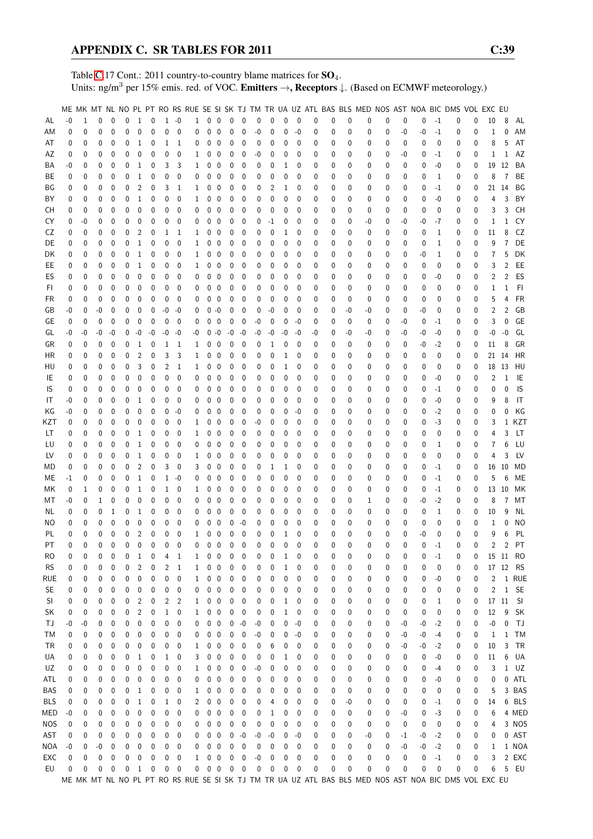Table [C.](#page-2-0)17 Cont.: 2011 country-to-country blame matrices for  $SO_4$ . Units: ng/m<sup>3</sup> per 15% emis. red. of VOC. Emitters →, Receptors ↓. (Based on ECMWF meteorology.)

|            |              |          |              |              |              |                |              |                |                          |              |              |                         |                   |                  |      |      |              |              |    |   |          |    |          |      |      |              | ME MK MT NL NO PL PT RO RS RUE SE SI SK TJ TM TR UA UZ ATL BAS BLS MED NOS AST NOA BIC DMS VOL EXC EU |   |                |                |           |
|------------|--------------|----------|--------------|--------------|--------------|----------------|--------------|----------------|--------------------------|--------------|--------------|-------------------------|-------------------|------------------|------|------|--------------|--------------|----|---|----------|----|----------|------|------|--------------|-------------------------------------------------------------------------------------------------------|---|----------------|----------------|-----------|
| AL         | $-0$         | 1        | $\Omega$     | $\mathbf{0}$ | $\mathbf{0}$ | $\mathbf{1}$   | $\mathbf 0$  |                | $1 - 0$                  | $\mathbf{1}$ | $0\quad 0$   |                         | 0                 | $\mathbf{0}$     | 0    | 0    | 0            | $\mathbf 0$  | 0  | 0 | 0        | 0  | 0        | 0    | 0    | $-1$         | 0                                                                                                     | 0 | 10             | 8              | AL        |
| ΑM         | 0            | 0        | 0            | 0            | 0            | 0              | $\mathbf{0}$ | 0              | $\mathbf{0}$             | 0            | 0            | $\mathbf 0$             | 0                 | 0                | -0   | 0    | 0            | -0           | 0  | 0 | 0        | 0  | 0        | $-0$ | -0   | $-1$         | 0                                                                                                     | 0 | 1              | 0              | AM        |
| AT         | 0            | 0        | 0            | 0            | 0            | 1              | 0            | 1              | 1                        | 0            | 0            | $\mathbf 0$             | 0                 | 0                | 0    | 0    | 0            | 0            | 0  | 0 | 0        | 0  | 0        | 0    | 0    | $\mathbf 0$  | 0                                                                                                     | 0 | 8              | 5              | AT        |
| AΖ         | 0            | 0        | 0            | 0            | 0            | 0              | 0            | 0              | 0                        | 1            | 0            | $\mathbf 0$             | 0                 | 0                | -0   | 0    | 0            | 0            | 0  | 0 | 0        | 0  | 0        | -0   | 0    | $-1$         | 0                                                                                                     | 0 | 1              | 1              | AZ        |
| ΒA         | -0           | 0        | 0            | 0            | 0            | 1              | 0            | 3              | 3                        | 1            | 0            | $\mathbf 0$             | 0                 | 0                | 0    | 0    | 1            | 0            | 0  | 0 | 0        | 0  | 0        | 0    | 0    | $-0$         | 0                                                                                                     | 0 | 19             | 12             | BA        |
| ВE         | 0            | 0        | 0            | 0            | 0            | 1              | 0            | 0              | 0                        | 0            | 0            | $\boldsymbol{0}$        | 0                 | 0                | 0    | 0    | 0            | $\mathbf 0$  | 0  | 0 | 0        | 0  | 0        | 0    | 0    | 1            | 0                                                                                                     | 0 | 8              | $\overline{7}$ | BE        |
| BG         | 0            | 0        | 0            | 0            | 0            | 2              | 0            | 3              | 1                        | 1            | 0            | $\mathbf 0$             | 0                 | 0                | 0    | 2    | 1            | 0            | 0  | 0 | 0        | 0  | 0        | 0    | 0    | $-1$         | 0                                                                                                     | 0 |                | 21 14          | ΒG        |
|            |              |          | 0            | 0            | 0            | 1              | $\mathbf{0}$ | 0              | 0                        |              |              | $\mathbf 0$             |                   |                  | 0    | 0    |              | 0            | 0  |   | 0        |    | 0        |      |      | $-0$         |                                                                                                       | 0 |                | 3              |           |
| ΒY         | 0            | 0        | 0            | $\mathbf 0$  | 0            | $\mathbf 0$    | 0            | 0              | 0                        | 1            | 0            | $\mathbf 0$             | 0<br>$\mathbf{0}$ | 0                |      | 0    | 0<br>0       | $\mathbf{0}$ |    | 0 |          | 0  |          | 0    | 0    | 0            | 0                                                                                                     |   | 4              | 3              | BY<br>CH  |
| CН         | 0            | 0        |              |              |              |                |              |                |                          | 0            | 0            |                         |                   | 0                | 0    |      |              |              | 0  | 0 | 0        | 0  | 0        | 0    | 0    |              | 0                                                                                                     | 0 | 3              |                |           |
| CY         | 0            | -0       | 0            | 0            | 0            | 0              | 0            | 0              | 0                        | 0            | 0            | $\mathbf 0$             | 0                 | 0                | 0    | $-1$ | 0            | 0            | 0  | 0 | 0        | -0 | 0        | -0   | -0   | $-7$         | 0                                                                                                     | 0 | 1              | 1              | CY        |
| CZ         | 0            | 0        | 0            | $\mathbf{0}$ | 0            | 2              | 0            | 1              | 1                        | 1            | 0            | 0                       | 0                 | 0                | 0    | 0    | 1            | $\mathbf{0}$ | 0  | 0 | 0        | 0  | 0        | 0    | 0    | $\mathbf{1}$ | 0                                                                                                     | 0 | 11             | 8              | CZ        |
| DE         | 0            | 0        | 0            | 0            | 0            | $\mathbf{1}$   | 0            | 0              | 0                        | 1            | 0            | 0                       | 0                 | 0                | 0    | 0    | 0            | 0            | 0  | 0 | 0        | 0  | 0        | 0    | 0    | 1            | 0                                                                                                     | 0 | 9              | 7              | DE        |
| DK         | 0            | 0        | 0            | 0            | 0            | 1              | 0            | 0              | 0                        | 1            | 0            | 0                       | 0                 | 0                | 0    | 0    | 0            | 0            | 0  | 0 | 0        | 0  | 0        | 0    | -0   | 1            | 0                                                                                                     | 0 | 7              | 5              | DK        |
| EE         | 0            | 0        | 0            | 0            | 0            | 1              | 0            | 0              | 0                        | 1            | 0            | $\boldsymbol{0}$        | 0                 | 0                | 0    | 0    | 0            | 0            | 0  | 0 | 0        | 0  | 0        | 0    | 0    | 0            | 0                                                                                                     | 0 | 3              | 2              | EE        |
| ES         | 0            | 0        | 0            | $\mathbf 0$  | 0            | 0              | 0            | 0              | 0                        | 0            | 0            | $\mathbf 0$             | 0                 | 0                | 0    | 0    | 0            | 0            | 0  | 0 | 0        | 0  | 0        | 0    | 0    | -0           | 0                                                                                                     | 0 | 2              | 2              | ES        |
| FI.        | 0            | 0        | 0            | 0            | 0            | 0              | 0            | 0              | 0                        | 0            | 0            | $\mathbf 0$             | 0                 | 0                | 0    | 0    | 0            | 0            | 0  | 0 | 0        | 0  | 0        | 0    | 0    | 0            | 0                                                                                                     | 0 | 1              | 1              | FI        |
| FR         | 0            | 0        | 0            | 0            | 0            | 0              | $\mathbf{0}$ | 0              | 0                        | 0            | 0            | $\mathbf 0$             | 0                 | 0                | 0    | 0    | 0            | 0            | 0  | 0 | 0        | 0  | 0        | 0    | 0    | 0            | 0                                                                                                     | 0 | 5              | 4              | <b>FR</b> |
| GB         | -0           | 0        | $-0$         | 0            | 0            | 0              | 0            | -0             | -0                       | 0            | $0 - 0$      |                         | 0                 | 0                | 0    | -0   | 0            | 0            | 0  | 0 | $-0$     | -0 | 0        | 0    | -0   | 0            | 0                                                                                                     | 0 | 2              | 2              | GB        |
| GE         | 0            | 0        | $\mathbf{0}$ | $\mathbf{0}$ | 0            | 0              | 0            | 0              | $\mathbf 0$              | 0            | 0            | $\mathbf{0}$            | $\mathbf{0}$      | 0                | $-0$ | 0    | 0            | -0           | 0  | 0 | 0        | 0  | 0        | $-0$ | 0    | $-1$         | 0                                                                                                     | 0 | 3              | 0              | GE        |
| GL         | -0           | -0       | $-0$         | $-0$         | 0            | $-0$           | $-0$         | -0             | -0                       | -0           | 0            | $-0$                    | $-0$              | $-0$             | $-0$ | -0   | $-0$         | $-0$         | -0 | 0 | $-0$     | -0 | 0        | -0   | -0   | $-0$         | 0                                                                                                     | 0 | -0             | $-0$           | GL        |
| GR         | 0            | 0        | 0            | 0            | 0            | 1              | 0            | 1              | 1                        | 1            | 0            | $\mathbf 0$             | 0                 | 0                | 0    | 1    | 0            | 0            | 0  | 0 | 0        | 0  | 0        | 0    | -0   | $-2$         | 0                                                                                                     | 0 | 11             | 8              | GR        |
| ΗR         | 0            | 0        | 0            | 0            | 0            | $\overline{c}$ | 0            | 3              | 3                        | 1            | 0            | $\mathbf 0$             | 0                 | 0                | 0    | 0    | 1            | $\mathbf{0}$ | 0  | 0 | 0        | 0  | 0        | 0    | 0    | 0            | 0                                                                                                     | 0 |                | 21 14          | HR        |
| HU         | 0            | 0        | 0            | 0            | 0            | 3              | 0            | 2              | 1                        | 1            | 0            | $\mathbf 0$             | 0                 | 0                | 0    | 0    | 1            | 0            | 0  | 0 | 0        | 0  | 0        | 0    | 0    | 0            | 0                                                                                                     | 0 |                | 18 13          | HU        |
| IE         | 0            | 0        | 0            | 0            | 0            | 0              | 0            | 0              | 0                        | 0            | 0            | 0                       | 0                 | 0                | 0    | 0    | 0            | 0            | 0  | 0 | 0        | 0  | 0        | 0    | 0    | $-0$         | 0                                                                                                     | 0 | 2              | 1              | IE        |
| IS         | 0            | 0        | 0            | 0            | 0            | 0              | 0            | 0              | 0                        | 0            | 0            | 0                       | 0                 | 0                | 0    | 0    | 0            | 0            | 0  | 0 | 0        | 0  | 0        | 0    | 0    | $-1$         | 0                                                                                                     | 0 | 0              | $\Omega$       | IS        |
| IT         | -0           | 0        | 0            | 0            | 0            | 1              | 0            | 0              | 0                        | 0            | 0            | $\mathbf 0$             | 0                 | 0                | 0    | 0    | 0            | 0            | 0  | 0 | 0        | 0  | 0        | 0    | 0    | $-0$         | 0                                                                                                     | 0 | 9              | 8              | IT        |
| ΚG         | -0           | 0        | 0            | $\mathbf{0}$ | 0            | 0              | 0            | 0              | -0                       | 0            | 0            | $\mathbf 0$             | 0                 | 0                | 0    | 0    | 0            | -0           | 0  | 0 | 0        | 0  | 0        | 0    | 0    | $-2$         | 0                                                                                                     | 0 | 0              | 0              | ΚG        |
| KZT        | 0            | 0        | 0            | 0            | 0            | 0              | 0            | 0              | 0                        | 1            | 0            | 0                       | 0                 | 0                | -0   | 0    | 0            | 0            | 0  | 0 | 0        | 0  | 0        | 0    | 0    | $-3$         | 0                                                                                                     | 0 | 3              | 1              | KZT       |
| LТ         | 0            | 0        | 0            | 0            | 0            | 1              | 0            | 0              | 0                        | 1            | 0            | 0                       | 0                 | 0                | 0    | 0    | 0            | 0            | 0  | 0 | 0        | 0  | 0        | 0    | 0    | 0            | 0                                                                                                     | 0 | 4              | 3              | LT.       |
| LU         | 0            | 0        | 0            | 0            | 0            | 1              | 0            | 0              | 0                        | 0            | 0            | 0                       | 0                 | 0                | 0    | 0    | 0            | 0            | 0  | 0 | 0        | 0  | 0        | 0    | 0    | 1            | 0                                                                                                     | 0 | 7              | 6              | LU        |
| LV         | 0            | 0        | 0            | 0            | 0            | $\mathbf 1$    | 0            | 0              | 0                        | 1            | 0            | 0                       | 0                 | 0                | 0    | 0    | 0            | 0            | 0  | 0 | 0        | 0  | 0        | 0    | 0    | 0            | 0                                                                                                     | 0 | 4              | 3              | LV        |
| МD         | 0            | 0        | 0            | 0            | 0            | $\overline{c}$ | 0            | 3              | 0                        | 3            | 0            | 0                       | 0                 | 0                | 0    | 1    | 1            | 0            | 0  | 0 | 0        | 0  | 0        | 0    | 0    | $-1$         | 0                                                                                                     | 0 | 16             | 10             | MD        |
| МE         | $-1$         | 0        | 0            | 0            | 0            | $\mathbf{1}$   | 0            | $\mathbf{1}$   | $-0$                     | 0            | 0            | 0                       | 0                 | 0                | 0    | 0    | 0            | $\mathbf 0$  | 0  | 0 | 0        | 0  | 0        | 0    | 0    | $-1$         | 0                                                                                                     | 0 | 5              | 6              | ME        |
| МK         | 0            | 1        | 0            | $\mathbf{0}$ | 0            | 1              | 0            | $\mathbf{1}$   | 0                        | 1            | 0            | 0                       | 0                 | 0                | 0    | 0    | 0            | 0            | 0  | 0 | 0        | 0  | 0        | 0    | 0    | $-1$         | 0                                                                                                     | 0 | 13             | 10             | МK        |
| МT         | -0           | 0        | $\mathbf{1}$ | 0            | 0            | 0              | 0            | 0              | 0                        | 0            | 0            | $\mathbf 0$             | 0                 | 0                | 0    | 0    | 0            | 0            | 0  | 0 | 0        | 1  | 0        | 0    | -0   | $-2$         | 0                                                                                                     | 0 | 8              | 7              | МT        |
| NL         | 0            | 0        | 0            | 1            | 0            | $\mathbf 1$    | 0            | 0              | 0                        | 0            | 0            | 0                       | 0                 | 0                | 0    | 0    | 0            | $\mathbf 0$  | 0  | 0 | 0        | 0  | 0        | 0    | 0    | 1            | 0                                                                                                     | 0 | 10             | g              | <b>NL</b> |
| ΝO         | 0            | 0        | 0            | 0            | 0            | 0              | 0            | 0              | 0                        | 0            | 0            | 0                       | 0                 | $-0$             | 0    | 0    | 0            | 0            | 0  | 0 | 0        | 0  | 0        | 0    | 0    | 0            | 0                                                                                                     | 0 | 1              | 0              | <b>NO</b> |
| PL         | $\mathbf{0}$ | $\theta$ | $\theta$     | 0            | 0            | 2              | 0            | 0              | $\mathbf{0}$             | 1            | 0            | $\mathbf 0$             | 0                 | 0                | 0    | 0    | 1            | $\mathbf{0}$ | 0  | 0 | $\theta$ | 0  | $\Omega$ | 0    | $-0$ | $\mathbf 0$  | 0                                                                                                     | 0 | 9              | 6              | PL        |
| PT         | $\Omega$     | $\Omega$ | $\theta$     | $\Omega$     | 0            | 0              | $\mathbf 0$  | 0              | $\theta$                 | 0            | $\mathbf{0}$ | $\overline{0}$          | $\mathbf{0}$      | $\mathbf{0}$     | 0    | 0    | $\Omega$     | $\Omega$     | 0  | 0 | 0        | 0  | $\Omega$ | 0    | 0    | $-1$         | 0                                                                                                     | 0 | $\overline{2}$ | $\overline{2}$ | PT        |
| RO         | 0            | 0        | 0            | 0            | 0            | 1              | 0            | 4              | 1                        | 1            | 0            | 0                       | 0                 | 0                | 0    | 0    | 1            | 0            | 0  | 0 | 0        | 0  | 0        | 0    | 0    | $-1$         | 0                                                                                                     | 0 |                |                | 15 11 RO  |
| <b>RS</b>  | 0            | 0        | 0            | 0            | 0            | 2              | 0            | 2              | 1                        | 1            | 0            | 0                       | 0                 | 0                | 0    | 0    | 1            | 0            | 0  | 0 | 0        | 0  | 0        | 0    | 0    | 0            | 0                                                                                                     | 0 |                |                | 17 12 RS  |
| rue        | 0            | 0        | 0            | 0            | 0            | 0              | 0            | 0              | 0                        | $\mathbf{1}$ | 0            | $\overline{\mathbf{0}}$ | 0                 | 0                | 0    | 0    | 0            | 0            | 0  | 0 | 0        | 0  | 0        | 0    | 0    | -0           | 0                                                                                                     | 0 | $\overline{2}$ |                | 1 RUE     |
| <b>SE</b>  | 0            | 0        | 0            | 0            | 0            | 0              | 0            | 0              | 0                        | 0            | 0            | $\overline{\mathbf{0}}$ | 0                 | 0                | 0    | 0    | 0            | 0            | 0  | 0 | 0        | 0  | 0        | 0    | 0    | 0            | 0                                                                                                     | 0 | 2              | $\mathbf{1}$   | <b>SE</b> |
| SI         | 0            | 0        | 0            | 0            | 0            | 2              | $\pmb{0}$    | $\overline{c}$ | $\overline{2}$           | 1            | 0            | $\pmb{0}$               | 0                 | 0                | 0    | 0    | $\mathbf{1}$ | 0            | 0  | 0 | 0        | 0  | 0        | 0    | 0    | 1            | 0                                                                                                     | 0 |                | 17 11          | SI        |
| SK         | 0            | 0        | 0            | 0            | 0            | 2              | 0            | $\mathbf{1}$   | 0                        | 1            | $0\quad 0$   |                         | 0                 | 0                | 0    | 0    | $\mathbf{1}$ | 0            | 0  | 0 | 0        | 0  | 0        | 0    | 0    | 0            | 0                                                                                                     | 0 | 12             | 9              | SK        |
| ΤJ         | -0           | -0       | 0            | 0            | 0            | 0              | 0            | 0              | 0                        | 0            | 0            | $\overline{\mathbf{0}}$ | 0                 | $-0$             | -0   | 0    | 0            | -0           | 0  | 0 | 0        | 0  | 0        | -0   | -0   | $-2$         | 0                                                                                                     | 0 | -0             | 0              | TJ        |
| ТM         | 0            | 0        | 0            | 0            | 0            | 0              | 0            | 0              | 0                        | 0            | 0            | $\mathbf 0$             | 0                 | 0                | -0   | 0    | 0            | -0           | 0  | 0 | 0        | 0  | 0        | -0   | $-0$ | -4           | 0                                                                                                     | 0 | 1              |                | 1 TM      |
| <b>TR</b>  | 0            | 0        | 0            | 0            | 0            | 0              | 0            | 0              | 0                        | 1            | 0            | $\boldsymbol{0}$        | 0                 | 0                | 0    | 6    | 0            | 0            | 0  | 0 | 0        | 0  | 0        | -0   | -0   | $-2$         | 0                                                                                                     | 0 | 10             | 3              | TR        |
| UA         | 0            | 0        | 0            | 0            | 0            | 1              | 0            | 1              | 0                        | 3            | 0            | $\overline{\mathbf{0}}$ | 0                 | 0                | 0    | 0    | 1            | 0            | 0  | 0 | 0        | 0  | 0        | 0    | 0    | -0           | 0                                                                                                     | 0 | 11             | 6              | UA        |
| UZ         | 0            | 0        | 0            | 0            | 0            | 0              | 0            | 0              | 0                        | 1            | 0            | $\mathbf 0$             | 0                 | 0                | -0   | 0    | 0            | 0            | 0  | 0 | 0        | 0  | 0        | 0    | 0    | $-4$         | 0                                                                                                     | 0 | 3              |                | $1$ $UZ$  |
| ATL        | 0            | 0        | 0            | 0            | 0            | 0              | 0            | 0              | 0                        | 0            | 0            | 0                       | 0                 | 0                | 0    | 0    | 0            | 0            | 0  | 0 | 0        | 0  | 0        | 0    | 0    | -0           | 0                                                                                                     | 0 | 0              |                | 0 ATL     |
| <b>BAS</b> | 0            | 0        | 0            | 0            | 0            | 1              | 0            | 0              | 0                        |              | 0            | 0                       | 0                 | 0                | 0    | 0    | 0            | 0            | 0  |   | 0        | 0  | 0        | 0    | 0    | 0            |                                                                                                       | 0 | 5              |                | 3 BAS     |
| BLS        | 0            | 0        | 0            | 0            | 0            | 1              | 0            |                | 0                        | 1<br>2       | 0            |                         | 0                 | 0                | 0    | 4    | 0            | 0            | 0  | 0 | -0       | 0  | 0        | 0    |      |              | 0                                                                                                     |   | 14             |                | 6 BLS     |
| MED        |              |          |              |              | 0            | 0              |              | 1              | 0                        |              |              | $\overline{\mathbf{0}}$ |                   |                  |      |      | 0            | 0            |    | 0 | 0        |    |          |      | 0    | $-1$         | 0                                                                                                     | 0 | 6              |                | 4 MED     |
|            | -0           | 0        | 0            | 0            |              |                | 0            | 0              |                          | 0            | 0            | 0                       | 0                 | 0                | 0    | 1    |              |              | 0  | 0 |          | 0  | 0        | -0   | 0    | -3           | 0                                                                                                     | 0 |                |                |           |
| <b>NOS</b> | 0            | 0        | 0            | 0            | 0            | 0              | 0            | 0              | 0                        | 0            | 0            | $\mathbf 0$             | 0                 | 0                | 0    | 0    | 0            | 0            | 0  | 0 | 0        | 0  | 0        | 0    | 0    | 0            | 0                                                                                                     | 0 | 4              |                | 3 NOS     |
| AST        | 0            | 0        | 0            | 0            | 0            | 0              | 0            | 0              | 0                        | 0            | 0            | $\overline{0}$          | 0                 | $-0$             | -0   | $-0$ | 0            | -0           | 0  | 0 | 0        | -0 | 0        | $-1$ | $-0$ | $-2$         | 0                                                                                                     | 0 | 0              |                | 0 AST     |
| NOA        | -0           | 0        | $-0$         | 0            | 0            | 0              | 0            | 0              | 0                        | 0            | $0\quad 0$   |                         | 0                 | 0                | 0    | 0    | 0            | 0            | 0  | 0 | 0        | 0  | 0        | $-0$ | -0   | $-2$         | 0                                                                                                     | 0 | 1              |                | 1 NOA     |
| EXC        | 0            | 0        | 0            | 0            | 0            | 0              | 0            | 0              | 0                        | 1            | 0            | $\overline{\mathbf{0}}$ | 0                 | 0                | $-0$ | 0    | 0            | 0            | 0  | 0 | 0        | 0  | 0        | 0    | 0    | $-1$         | 0                                                                                                     | 0 | 3              |                | 2 EXC     |
| EU         | 0            | 0        | 0            | 0            | $\pmb{0}$    | 1              | 0            | 0              | $\overline{\phantom{0}}$ | 0            | $0\quad 0$   |                         | $\pmb{0}$         | $\boldsymbol{0}$ | 0    | 0    | 0            | 0            | 0  | 0 | 0        | 0  | 0        | 0    | 0    | $\mathbf 0$  | 0                                                                                                     | 0 | 6              |                | 5 EU      |
|            |              |          |              |              |              |                |              |                |                          |              |              |                         |                   |                  |      |      |              |              |    |   |          |    |          |      |      |              | ME MK MT NL NO PL PT RO RS RUE SE SI SK TJ TM TR UA UZ ATL BAS BLS MED NOS AST NOA BIC DMS VOL EXC EU |   |                |                |           |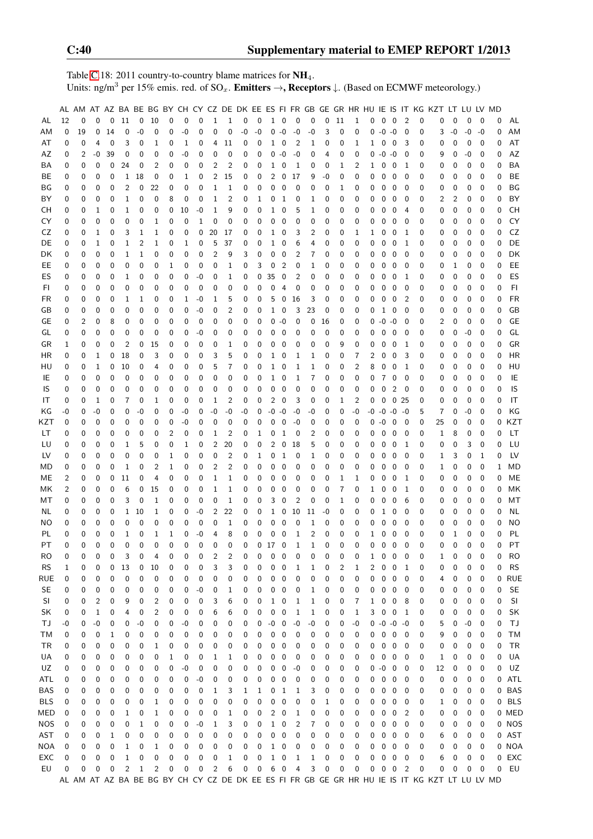Table [C.](#page-2-0)18: 2011 country-to-country blame matrices for  $NH_4$ . Units: ng/m<sup>3</sup> per 15% emis. red. of SO<sub>x</sub>. **Emitters →, Receptors**  $\downarrow$ . (Based on ECMWF meteorology.)

|            |          |          |              |             |                |          |          |             |                |             |                |                |          |             |              |                |                |              |             |          |              |          |                 |                         |                |          | AL AM AT AZ BA BE BG BY CH CY CZ DE DK EE ES FI FR GB GE GR HR HU IE IS IT KG KZT LT LU LV MD |          |          |             |          |           |
|------------|----------|----------|--------------|-------------|----------------|----------|----------|-------------|----------------|-------------|----------------|----------------|----------|-------------|--------------|----------------|----------------|--------------|-------------|----------|--------------|----------|-----------------|-------------------------|----------------|----------|-----------------------------------------------------------------------------------------------|----------|----------|-------------|----------|-----------|
| AL         | 12       | 0        | $\mathbf 0$  | 0           | 11             | 0        | 10       | 0           | 0              | 0           | $\mathbf{1}$   | $\mathbf{1}$   | 0        | 0           |              | $1\quad 0$     | $\pmb{0}$      | 0            | $\mathbf 0$ | 11       | $\mathbf{1}$ | 0        | 0               | $\overline{\mathbf{0}}$ | 2              | 0        | 0                                                                                             | 0        | 0        | 0           | 0        | AL        |
| AM         | 0        | 19       | 0            | 14          | 0              | $-0$     | 0        | 0           | $-0$           | 0           | 0              | $\mathbf 0$    | -0       | $-0$        | 0            | $-0$           | $-0$           | -0           | 3           | 0        | $\mathbf 0$  |          | $0 - 0 - 0$     |                         | $\mathbf 0$    | 0        | 3                                                                                             | $-0$     | $-0$     | $-0$        | 0        | AM        |
| AT         | 0        | 0        | 4            | 0           | 3              | 0        | 1        | 0           | 1              | 0           | 4              | 11             | 0        | 0           | 1            | 0              | $\overline{c}$ | 1            | 0           | 0        | 1            | 1        | 0               | 0                       | 3              | 0        | 0                                                                                             | 0        | 0        | 0           | 0        | AT        |
| AZ         | 0        | 2        | -0           | 39          | 0              | 0        | 0        | 0           | $-0$           | 0           | 0              | 0              | 0        | 0           | 0            | $-0$           | $-0$           | 0            | 4           | 0        | 0            | 0        | $-0 - 0$        |                         | 0              | 0        | 9                                                                                             | 0        | $-0$     | 0           | 0        | AZ        |
| BA         | 0        | 0        | 0            | 0           | 24             | 0        | 2        | 0           | 0              | 0           | 2              | $\overline{c}$ | 0        | 0           | 1            | 0              | $\mathbf{1}$   | 0            | 0           | 1        | 2            | 1        | 0               | $\overline{0}$          | 1              | 0        | 0                                                                                             | 0        | 0        | 0           | 0        | BA        |
| BE         | 0        | 0        | 0            | 0           | 1              | 18       | 0        | 0           | 1              | 0           | 2              | 15             | 0        | 0           | 2            | 0              | 17             | 9            | -0          | 0        | 0            | 0        | 0               | $\mathbf 0$             | 0              | 0        | 0                                                                                             | 0        | 0        | 0           | 0        | BE        |
|            |          |          |              |             |                |          |          |             |                |             |                |                |          |             |              |                |                |              |             |          |              |          |                 |                         |                |          |                                                                                               |          |          |             | 0        |           |
| ΒG         | 0        | 0        | 0            | 0           | 2              | 0        | 22       | 0           | 0              | 0           | 1              | 1              | 0        | 0           | 0            | 0              | 0              | 0            | 0           | 1        | 0            | 0        | 0               | 0                       | 0              | 0        | 0                                                                                             | 0        | 0        | 0           |          | ΒG        |
| BY         | 0        | 0        | 0            | 0           | 1              | 0        | 0        | 8           | 0              | 0           | $\mathbf{1}$   | $\overline{2}$ | 0        | 1           | 0            | 1              | 0              | 1            | 0           | 0        | 0            | 0        | 0               | $\mathbf 0$             | 0              | 0        | 2                                                                                             | 2        | 0        | 0           | 0        | BY        |
| CН         | 0        | 0        | 1            | 0           | 1              | 0        | 0        | $\mathbf 0$ | 10             | $-0$        | 1              | 9              | 0        | 0           | 1            | 0              | 5              | 1            | 0           | 0        | 0            | 0        | 0               | 0                       | 4              | 0        | 0                                                                                             | 0        | 0        | 0           | 0        | <b>CH</b> |
| CY         | 0        | 0        | $\mathbf 0$  | 0           | 0              | 0        | 1        | 0           | $\mathbf 0$    | $1\,$       | 0              | 0              | 0        | 0           | 0            | 0              | 0              | 0            | $\mathbf 0$ | 0        | 0            | 0        | $\mathbf 0$     | 0                       | $\mathbf 0$    | 0        | 0                                                                                             | 0        | 0        | 0           | 0        | CY        |
| CZ         | 0        | 0        | $\mathbf{1}$ | 0           | 3              | 1        | 1        | 0           | 0              | 0           | 20             | 17             | 0        | 0           | 1            | 0              | 3              | 2            | 0           | 0        | $\mathbf{1}$ | 1        | 0               | $\mathbf 0$             | -1             | 0        | 0                                                                                             | 0        | 0        | 0           | 0        | CZ        |
| DE         | 0        | 0        | $\mathbf{1}$ | 0           | 1              | 2        | 1        | 0           | 1              | 0           | 5              | 37             | 0        | 0           | 1            | 0              | 6              | 4            | 0           | 0        | 0            | 0        | 0               | 0                       | 1              | 0        | 0                                                                                             | 0        | 0        | 0           | 0        | DE        |
| DK         | 0        | 0        | 0            | 0           | 1              | 1        | 0        | 0           | 0              | 0           | 2              | 9              | 3        | 0           | 0            | 0              | 2              | 7            | 0           | 0        | 0            | 0        | 0               | $\boldsymbol{0}$        | 0              | 0        | 0                                                                                             | 0        | 0        | 0           | 0        | DK        |
| EE.        | 0        | 0        | 0            | 0           | 0              | 0        | 0        | 1           | 0              | 0           | 0              | 1              | 0        | 3           | 0            | $\overline{c}$ | 0              | 1            | 0           | 0        | 0            | 0        | 0               | $\mathbf 0$             | 0              | 0        | 0                                                                                             | 1        | 0        | 0           | 0        | EE        |
| ES         | 0        | 0        | 0            | 0           | 1              | 0        | 0        | 0           | 0              | $-0$        | 0              | 1              | 0        | 0           | 35           | 0              | 2              | 0            | 0           | 0        | 0            | 0        | 0               | 0                       | 1              | 0        | 0                                                                                             | 0        | 0        | 0           | 0        | ES        |
| FI         | 0        | 0        | 0            | 0           | 0              | 0        | 0        | 0           | 0              | $\mathbf 0$ | 0              | 0              | 0        | 0           | $\pmb{0}$    | 4              | 0              | 0            | 0           | 0        | 0            | 0        | 0               | $\mathbf 0$             | 0              | 0        | 0                                                                                             | 0        | 0        | 0           | 0        | F1        |
| FR         | 0        | 0        | $\mathbf 0$  | 0           | 1              | 1        | 0        | 0           | 1              | $-0$        | 1              | 5              | 0        | 0           | 5            | 0              | 16             | 3            | 0           | 0        | 0            | 0        | 0               | $\mathbf 0$             | $\overline{2}$ | 0        | 0                                                                                             | 0        | 0        | 0           | 0        | <b>FR</b> |
| GB         | 0        | 0        | $\mathbf 0$  | 0           | 0              | 0        | 0        | 0           | 0              | $-0$        | 0              | 2              | 0        | 0           | $\mathbf{1}$ | $\mathbf 0$    | 3              | 23           | 0           | 0        | 0            | 0        | $\mathbf{1}$    | $\overline{0}$          | 0              | 0        | 0                                                                                             | 0        | 0        | 0           | 0        | GB        |
| GE         | 0        | 2        | 0            | 8           | 0              | 0        | 0        | 0           | 0              | 0           | 0              | 0              | 0        | 0           | 0            | $-0$           | 0              | 0            | 16          | 0        | 0            | 0        | $-0 -0$         |                         | 0              | 0        | 2                                                                                             | 0        | 0        | 0           | 0        | GE        |
| GL         | 0        | 0        | $\pmb{0}$    | 0           | 0              | 0        | 0        | 0           | 0              | $-0$        | 0              | 0              | 0        | 0           | 0            | 0              | 0              | 0            | 0           | 0        | 0            | 0        | 0               | $\mathbf 0$             | 0              | 0        | 0                                                                                             | 0        | -0       | 0           | 0        | GL        |
| GR         | 1        | 0        | 0            | 0           | 2              | 0        | 15       | 0           | 0              | 0           | 0              | 1              | 0        | 0           | 0            | 0              | 0              | 0            | 0           | 9        | 0            | 0        | 0               | $\overline{\mathbf{0}}$ | 1              | 0        | 0                                                                                             | 0        | 0        | 0           | 0        | GR        |
| HR         | 0        | 0        | 1            | 0           | 18             | 0        | 3        | 0           | 0              | 0           | 3              | 5              | 0        | 0           | 1            | 0              | 1              | 1            | 0           | 0        | 7            | 2        | 0               | 0                       | 3              | 0        | 0                                                                                             | 0        | 0        | 0           | 0        | HR        |
| HU         | 0        | 0        | $\mathbf 1$  | 0           | 10             | 0        | 4        | 0           | 0              | 0           | 5              | 7              | 0        | 0           | 1            | 0              | 1              | 1            | 0           | 0        | 2            | 8        | 0               | 0                       | 1              | 0        | 0                                                                                             | 0        | 0        | 0           | 0        | HU        |
| IE         | 0        | 0        | $\pmb{0}$    | $\mathbf 0$ | 0              | 0        | 0        | 0           | 0              | 0           | 0              | 0              | 0        | 0           | 1            | 0              | 1              | 7            | 0           | 0        | 0            | 0        | 7               | 0                       | 0              | 0        | 0                                                                                             | 0        | 0        | 0           | 0        | IE        |
| IS         | 0        | 0        | $\mathbf 0$  | 0           | 0              | 0        | 0        | 0           | 0              | 0           | 0              | 0              | 0        | 0           | 0            | 0              | $\mathbf 0$    | 0            | 0           | 0        | 0            | 0        | 0               | 2                       | - 0            | 0        | 0                                                                                             | 0        | 0        | 0           | 0        | IS        |
| IT         | 0        | 0        | 1            | 0           | 7              | 0        | 1        | 0           | 0              | 0           | 1              | 2              | 0        | 0           | 2            | 0              | 3              | 0            | 0           | 1        | 2            | 0        | 0               | 0 <sub>25</sub>         |                | 0        | 0                                                                                             | 0        | 0        | 0           | 0        | IT        |
|            |          |          | $-0$         |             |                |          |          |             |                |             |                |                |          |             |              |                |                |              |             |          |              |          | $-0$ $-0$ $-0$  |                         |                |          |                                                                                               |          |          |             |          | KG        |
| ΚG         | -0       | 0        |              | 0           | 0              | -0       | 0        | 0           | -0             | 0           | $-0$           | $-0$           | -0       | 0           | $-0$         | $-0$           | $-0$           | -0           | 0           | 0        | $-0$         | -0       |                 |                         |                | 5        | 7                                                                                             | 0        | $-0$     | 0           | 0        |           |
| KZT        | 0        | 0        | 0            | 0           | 0              | 0        | 0        | 0           | $-0$           | 0           | 0              | 0              | 0        | 0           | 0            | 0              | $-0$           | 0            | 0           | 0        | 0            | 0        | $-0$            | $\overline{0}$          | 0              | 0        | 25                                                                                            | 0        | 0        | 0           | 0        | KZT       |
| LT         | 0        | 0        | 0            | 0           | 0              | 0        | 0        | 2           | 0              | 0           | 1              | 2              | 0        | 1           | 0            | 1              | 0              | 2            | 0           | 0        | 0            | 0        | 0               | $\overline{0}$          | 0              | 0        | 1                                                                                             | 8        | 0        | 0           | 0        | LT        |
| LU         | 0        | 0        | 0            | 0           | 1              | 5        | 0        | 0           | 1              | 0           | 2              | 20             | 0        | 0           | 2            | 0              | 18             | 5            | 0           | 0        | 0            | 0        | 0               | $\mathbf 0$             | 1              | 0        | 0                                                                                             | 0        | 3        | 0           | 0        | LU        |
| LV         | 0        | 0        | 0            | 0           | 0              | 0        | 0        | 1           | 0              | 0           | 0              | $\overline{c}$ | 0        | 1           | 0            | 1              | 0              | 1            | 0           | 0        | 0            | 0        | 0               | $\mathbf 0$             | 0              | 0        | 1                                                                                             | 3        | 0        | 1           | 0        | LV        |
| MD         | 0        | 0        | 0            | $\mathbf 0$ | 1              | 0        | 2        | 1           | 0              | 0           | $\overline{2}$ | $\overline{c}$ | 0        | 0           | 0            | 0              | 0              | 0            | 0           | 0        | 0            | 0        | 0               | 0                       | 0              | 0        | 1                                                                                             | 0        | 0        | 0           | 1        | MD        |
| ME         | 2        | 0        | $\mathbf 0$  | 0           | 11             | 0        | 4        | 0           | 0              | 0           | $\mathbf{1}$   | $1\,$          | 0        | 0           | 0            | 0              | 0              | 0            | 0           | 1        | 1            | 0        | 0               | $\overline{0}$          | -1             | 0        | 0                                                                                             | 0        | 0        | 0           | 0        | ME        |
| МK         | 2        | 0        | 0            | 0           | 6              | 0        | 15       | 0           | 0              | 0           | 1              | 1              | 0        | 0           | 0            | 0              | 0              | 0            | 0           | 7        | 0            | 1        | 0               | $\mathbf 0$             | 1              | 0        | 0                                                                                             | 0        | 0        | 0           | 0        | MK        |
| МT         | 0        | 0        | 0            | 0           | 3              | 0        | 1        | 0           | 0              | 0           | 0              | $1\,$          | 0        | 0           | 3            | 0              | $\overline{c}$ | 0            | 0           | 1        | 0            | 0        | 0               | 0                       | 6              | 0        | 0                                                                                             | 0        | 0        | 0           | 0        | MT        |
| NL         | 0        | 0        | 0            | 0           | 1              | 10       | 1        | 0           | 0              | $-0$        | 2              | 22             | 0        | 0           | 1            | 0              | 10             | $11\,$       | -0          | 0        | 0            | 0        | $\mathbf{1}$    | 0                       | 0              | 0        | 0                                                                                             | 0        | 0        | 0           | 0        | <b>NL</b> |
| ΝO         | 0        | 0        | 0            | 0           | 0              | 0        | 0        | 0           | 0              | 0           | 0              | 1              | 0        | 0           | 0            | 0              | 0              | 1            | 0           | 0        | 0            | 0        | 0               | 0                       | 0              | 0        | 0                                                                                             | 0        | 0        | 0           | 0        | <b>NO</b> |
| PL         | 0        | 0        | $\mathbf 0$  | $\mathbf 0$ | 1              | 0        | 1        | 1           | 0              | $-0$        | 4              | 8              | 0        | 0           | 0            | 0              | $\mathbf{1}$   | 2            | $\mathbf 0$ | 0        | 0            | 1        | 0               | 0                       | 0              | 0        | 0                                                                                             | 1        | 0        | $\mathbf 0$ | 0        | PL        |
| PT         | $\Omega$ | $\Omega$ | $\mathbf 0$  | $\Omega$    | $\Omega$       | $\Omega$ | $\Omega$ | $\Omega$    | $\overline{0}$ | $\Omega$    | $\Omega$       | $\Omega$       | $\Omega$ | $\mathbf 0$ | 17           | $\mathbf 0$    | $\mathbf{1}$   | $\mathbf{1}$ | $\Omega$    | $\Omega$ | $\Omega$     | $\Omega$ | $\mathbf 0$     | $\overline{0}$          | $\Omega$       | $\Omega$ | 0                                                                                             | $\Omega$ | $\Omega$ | $\Omega$    | $\Omega$ | PT        |
| RO         | 0        | 0        | 0            | 0           | 3              | 0        | 4        | 0           | 0              | 0           | 2              | 2              | 0        | 0           | 0            | 0              | 0              | 0            | 0           | 0        | 0            | 1        | 0               | 0                       | 0              | 0        | 1                                                                                             | 0        | 0        | 0           | 0        | <b>RO</b> |
| <b>RS</b>  | 1        | 0        | 0            | 0           | 13             | 0        | 10       | 0           | 0              | 0           | 3              | 3              | 0        | 0           | 0            | 0              | 1              | 1            | 0           | 2        | 1            | 2        | 0               | 0                       | -1             | 0        | 0                                                                                             | 0        | 0        | 0           | 0        | <b>RS</b> |
| RUE        | 0        | 0        | 0            | 0           | 0              | 0        | 0        | 0           | 0              | 0           | 0              | 0              | 0        | 0           | 0            | 0              | 0              | 0            | 0           | 0        | 0            | 0        | 0               | 0                       | 0              | 0        | 4                                                                                             | 0        | 0        | 0           | 0        | RUE       |
| SE         | 0        | 0        | 0            | 0           | 0              | 0        | 0        | 0           | 0              | $-0$        | 0              | 1              | 0        | 0           | 0            | 0              | 0              | 1            | 0           | 0        | 0            | 0        | 0               | 0                       | 0              | 0        | 0                                                                                             | 0        | 0        | 0           | 0        | <b>SE</b> |
| SI         | 0        | 0        | 2            | 0           | 9              | 0        | 2        | 0           | 0              | 0           | 3              | 6              | 0        | 0           | 1            | 0              | 1              | 1            | 0           | 0        | 7            | 1        |                 | $0\quad 0$              | 8              | 0        | 0                                                                                             | 0        | 0        | 0           | 0        | SI        |
| SK         | 0        | 0        | 1            | 0           | 4              | 0        | 2        | 0           | 0              | 0           | 6              | 6              | 0        | 0           | 0            | 0              | 1              | 1            | 0           | 0        | 1            | 3        |                 | $0\quad 0$              | $\mathbf{1}$   | 0        | 0                                                                                             | 0        | 0        | 0           | 0        | SK        |
| ΤJ         | -0       | 0        | $-0$         | 0           | 0              | $-0$     | 0        | 0           | -0             | 0           | 0              | 0              | 0        | 0           | $-0$         | 0              | $-0$           | -0           | 0           | 0        | $-0$         |          | $0 - 0 - 0 - 0$ |                         |                | 0        | 5                                                                                             | 0        | -0       | 0           | 0        | TJ        |
| ТM         | 0        | 0        | 0            | 1           | 0              | 0        | 0        | 0           | 0              | 0           | 0              | 0              | 0        | 0           | 0            | 0              | 0              | 0            | 0           | 0        | 0            | 0        |                 | $0\quad 0$              | 0              | 0        | 9                                                                                             | 0        | 0        | 0           | 0        | <b>TM</b> |
| TR         | 0        | 0        | 0            | 0           | 0              | 0        | 1        | 0           | 0              | 0           | 0              | 0              | 0        | 0           | 0            | 0              | 0              | 0            | 0           | 0        | 0            | 0        |                 | $0\quad 0$              | 0              | 0        | 0                                                                                             | 0        | 0        | 0           | 0        | TR        |
|            |          |          |              |             |                |          |          |             |                |             |                |                |          |             |              |                |                |              |             |          |              |          |                 |                         |                |          |                                                                                               |          |          |             |          |           |
| UA         | 0        | 0        | 0            | 0           | 0              | 0        | 0        | 1           | 0              | 0           | 1              | 1              | 0        | 0           | 0            | 0              | 0              | 0            | 0           | 0        | 0            | 0        | 0               | $\overline{\mathbf{0}}$ | 0              | 0        | 1                                                                                             | 0        | 0        | 0           | 0        | UA        |
| UZ         | 0        | 0        | 0            | 0           | 0              | 0        | 0        | 0           | -0             | 0           | 0              | 0              | 0        | 0           | 0            | 0              | -0             | 0            | 0           | 0        | 0            | 0        | $-0$            | $\overline{\mathbf{0}}$ | 0              | 0        | 12                                                                                            | 0        | 0        | 0           | 0        | UZ        |
| ATL        | 0        | 0        | 0            | 0           | 0              | 0        | 0        | 0           | 0              | $-0$        | 0              | 0              | 0        | 0           | 0            | 0              | 0              | 0            | 0           | 0        | 0            | 0        | 0               | 0                       | 0              | 0        | 0                                                                                             | 0        | 0        | 0           | 0        | ATL       |
| BAS        | 0        | 0        | 0            | 0           | 0              | 0        | 0        | 0           | 0              | 0           | 1              | 3              | 1        | 1           | 0            | 1              | 1              | 3            | 0           | 0        | 0            | 0        | 0               | 0                       | 0              | 0        | 0                                                                                             | 0        | 0        | 0           |          | 0 BAS     |
| <b>BLS</b> | 0        | 0        | 0            | 0           | 0              | 0        | 1        | 0           | 0              | 0           | 0              | 0              | 0        | 0           | 0            | 0              | 0              | 0            | 1           | 0        | 0            | 0        | 0               | - 0                     | 0              | 0        | 1                                                                                             | 0        | 0        | 0           |          | 0 BLS     |
| MED        | 0        | 0        | 0            | 0           | 1              | 0        | 1        | 0           | 0              | 0           | 0              | 1              | 0        | 0           | 2            | 0              | 1              | 0            | 0           | 0        | 0            | 0        | 0               | 0                       | 2              | 0        | 0                                                                                             | 0        | 0        | 0           |          | 0 MED     |
| <b>NOS</b> | 0        | 0        | 0            | 0           | 0              | 1        | 0        | 0           | 0              | $-0$        | 1              | 3              | 0        | 0           | $\mathbf{1}$ | 0              | $\overline{2}$ | 7            | 0           | 0        | 0            | 0        | $\pmb{0}$       | $\mathbf 0$             | 0              | 0        | 0                                                                                             | 0        | 0        | 0           |          | 0 NOS     |
| <b>AST</b> | 0        | 0        | 0            | 1           | 0              | 0        | 0        | 0           | 0              | $\mathbf 0$ | 0              | 0              | 0        | 0           | 0            | $\mathbf 0$    | 0              | 0            | 0           | 0        | 0            | 0        |                 | $0\quad 0$              | 0              | 0        | 6                                                                                             | 0        | 0        | 0           |          | 0 AST     |
| <b>NOA</b> | 0        | 0        | 0            | 0           | 1              | 0        | 1        | 0           | 0              | 0           | 0              | 0              | 0        | 0           | $\mathbf{1}$ | 0              | 0              | 0            | 0           | 0        | 0            | 0        | 0               | $\overline{\mathbf{0}}$ | 0              | 0        | 0                                                                                             | 0        | 0        | 0           |          | 0 NOA     |
| EXC        | 0        | 0        | 0            | 0           | 1              | 0        | 0        | 0           | 0              | 0           | 0              | 1              | 0        | 0           | $\mathbf{1}$ | 0              | 1              | 1            | 0           | 0        | 0            | 0        | 0               | $\mathbf 0$             | 0              | 0        | 6                                                                                             | 0        | 0        | 0           | 0        | EXC       |
| EU         | 0        | 0        | 0            | 0           | $\overline{2}$ | 1        | 2        | 0           | 0              | $\pmb{0}$   | $\overline{c}$ | 6              | 0        | 0           | 6            | 0              | 4              | 3            | 0           | 0        | 0            | 0        |                 | $0\quad 0$              | $\overline{c}$ | 0        | 0                                                                                             | 0        | 0        | 0           | 0        | EU        |
|            |          |          |              |             |                |          |          |             |                |             |                |                |          |             |              |                |                |              |             |          |              |          |                 |                         |                |          | AL AM AT AZ BA BE BG BY CH CY CZ DE DK EE ES FI FR GB GE GR HR HU IE IS IT KG KZT LT LU LV MD |          |          |             |          |           |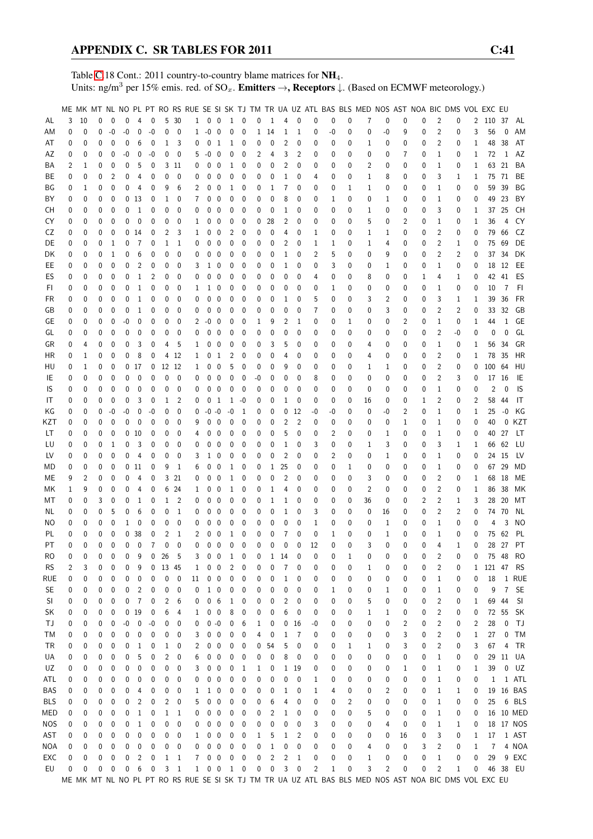Table [C.](#page-2-0)18 Cont.: 2011 country-to-country blame matrices for NH<sub>4</sub>. Units: ng/m<sup>3</sup> per 15% emis. red. of  $SO_x$ . **Emitters →, Receptors**  $\downarrow$ . (Based on ECMWF meteorology.)

|            |          |          |          |              |           |                 |                |                |                |              |                     |                         |                |              |              |          |                |                |             |    |          | ME MK MT NL NO PL PT RO RS RUE SE SI SK TJ TM TR UA UZ ATL BAS BLS MED NOS AST NOA BIC DMS VOL EXC EU |                |    |          |                |              |              |                |                |           |
|------------|----------|----------|----------|--------------|-----------|-----------------|----------------|----------------|----------------|--------------|---------------------|-------------------------|----------------|--------------|--------------|----------|----------------|----------------|-------------|----|----------|-------------------------------------------------------------------------------------------------------|----------------|----|----------|----------------|--------------|--------------|----------------|----------------|-----------|
|            |          |          |          |              |           |                 |                |                |                |              |                     |                         |                |              |              |          |                |                |             |    |          |                                                                                                       |                |    |          |                |              |              |                |                |           |
| AL         | 3        | 10       | $\theta$ | $\mathbf{0}$ | 0         | $\overline{4}$  | 0              |                | 5 30           |              | $1 \quad 0 \quad 0$ |                         | 1 0            |              | 0            | 1        | 4              | $\mathbf 0$    | 0           | 0  | 0        | 7                                                                                                     | 0              | 0  | 0        | 2              | 0            | 2            | 110 37         |                | AL        |
| ΑM         | 0        | 0        | 0        | $-0$         | -0        | 0               | $-0$           | 0              | $\mathbf{0}$   | 1            | $-0$                | $\overline{\mathbf{0}}$ | 0              | 0            | $\mathbf{1}$ | 14       | 1              | 1              | 0           | -0 | 0        | 0                                                                                                     | $-0$           | 9  | 0        | $\overline{2}$ | 0            | 3            | 56             | 0              | AM        |
| AT         | 0        | 0        | 0        | 0            | 0         | 6               | $\mathbf 0$    | 1              | 3              | 0            | 0                   | $\overline{1}$          | $\mathbf{1}$   | 0            | 0            | 0        | 2              | $\mathbf 0$    | 0           | 0  | 0        | 1                                                                                                     | 0              | 0  | 0        | $\overline{2}$ | 0            | 1            | 48             | 38             | AT        |
|            |          |          |          |              |           |                 |                |                |                |              |                     |                         |                |              |              |          |                |                |             |    |          |                                                                                                       |                |    |          |                |              |              |                |                |           |
| AΖ         | 0        | 0        | 0        | 0            | $-0$      | 0               | $-0$           | 0              | 0              | 5            | $-0$                | $\mathbf 0$             | 0              | 0            | 2            | 4        | 3              | 2              | 0           | 0  | 0        | 0                                                                                                     | 0              | 7  | 0        | $\mathbf 1$    | 0            | 1            | 72             | 1              | AZ        |
| ΒA         | 2        | 1        | 0        | 0            | 0         | 5               | 0              |                | 3 11           | 0            | 0                   | $\mathbf 0$             | 1              | 0            | 0            | 0        | 2              | $\mathbf 0$    | 0           | 0  | 0        | 2                                                                                                     | 0              | 0  | 0        | $\mathbf 1$    | 0            | 1            | 63             | 21             | BA        |
| ВE         | 0        | 0        | 0        | 2            | 0         | 4               | 0              | 0              | 0              | 0            | 0                   | $\mathbf 0$             | 0              | 0            | 0            | 0        | 1              | 0              | 4           | 0  | 0        | 1                                                                                                     | 8              | 0  | 0        | 3              | 1            | 1            | 75             | 71             | BE        |
| ΒG         | 0        | 1        | 0        | 0            | 0         | 4               | 0              | 9              | 6              | 2            | 0                   | 0                       | 1              | 0            | 0            | 1        | 7              | 0              | 0           | 0  | 1        | 1                                                                                                     | 0              | 0  | 0        | $\mathbf 1$    | 0            | 0            | 59             | 39             | ΒG        |
|            |          | 0        | 0        | 0            |           |                 |                |                | 0              | 7            |                     | $\mathbf 0$             | 0              |              | 0            | 0        | 8              | 0              |             |    | 0        |                                                                                                       |                |    |          |                |              |              | 49             | 23             | BY        |
| ΒY         | 0        |          |          |              |           | 0 <sub>13</sub> | 0              | $\mathbf 1$    |                |              | 0                   |                         |                | 0            |              |          |                |                | 0           | 1  |          | 0                                                                                                     | 1              | 0  | 0        | 1              | 0            | 0            |                |                |           |
| CН         | 0        | 0        | 0        | 0            | 0         | 1               | 0              | 0              | 0              | 0            | 0                   | $\mathbf 0$             | 0              | 0            | 0            | 0        | 1              | 0              | 0           | 0  | 0        | 1                                                                                                     | 0              | 0  | 0        | 3              | 0            | 1            | 37             | 25             | CH        |
| CY         | 0        | 0        | 0        | 0            | 0         | 0               | 0              | 0              | 0              | 1            | 0                   | $\mathbf 0$             | 0              | 0            | 0            | 28       | 2              | 0              | 0           | 0  | 0        | 5                                                                                                     | 0              | 2  | 0        | 1              | 0            | 1            | 36             | 4              | CY        |
| CZ         | 0        | 0        | 0        | $\mathbf{0}$ |           | 014             | 0              | 2              | 3              | 1            | 0                   | $\mathbf 0$             | 2              | 0            | 0            | 0        | 4              | 0              | 1           | 0  | 0        | $\mathbf 1$                                                                                           | 1              | 0  | 0        | $\overline{2}$ | 0            | 0            | 79             | 66             | CZ        |
| DE         | 0        | 0        | 0        | 1            | 0         | 7               | 0              | 1              | 1              | 0            | 0                   | $\mathbf 0$             | 0              | 0            | 0            | 0        | 2              | 0              | 1           | 1  | 0        | 1                                                                                                     | 4              | 0  | 0        | 2              | 1            | 0            | 75             | 69             | DE        |
|            |          |          |          |              |           |                 |                |                |                |              |                     |                         |                |              |              |          |                |                |             |    |          |                                                                                                       |                |    |          |                |              |              |                |                |           |
| DK         | 0        | 0        | 0        | 1            | 0         | 6               | 0              | 0              | 0              | 0            | 0                   | $\mathbf 0$             | 0              | 0            | 0            | 0        | 1              | 0              | 2           | 5  | 0        | 0                                                                                                     | 9              | 0  | 0        | 2              | 2            | 0            | 37             | 34             | DK        |
| EE         | 0        | 0        | 0        | 0            | 0         | 2               | 0              | 0              | 0              | 3            | $\mathbf{1}$        | $\mathbf 0$             | 0              | 0            | 0            | 0        | 1              | 0              | 0           | 3  | 0        | 0                                                                                                     | 1              | 0  | 0        | 1              | 0            | 0            |                | 18 12          | EE        |
| ES         | 0        | 0        | 0        | 0            | 0         | 1               | 2              | 0              | 0              | 0            | 0                   | 0                       | 0              | 0            | 0            | 0        | 0              | 0              | 4           | 0  | 0        | 8                                                                                                     | 0              | 0  | 1        | 4              | 1            | 0            |                | 42 41          | ES        |
| FI.        | 0        | 0        | 0        | 0            | 0         | 1               | 0              | 0              | 0              | 1            | 1                   | 0                       | 0              | 0            | 0            | 0        | 0              | 0              | 0           | 1  | 0        | 0                                                                                                     | 0              | 0  | 0        | 1              | 0            | 0            | 10             | 7              | FI        |
| FR         | 0        | 0        | 0        | 0            | 0         | 1               | $\mathbf{0}$   | 0              | 0              | 0            | 0                   | $\mathbf 0$             | 0              | 0            | 0            | 0        | 1              | 0              | 5           | 0  | 0        | 3                                                                                                     | 2              | 0  | 0        | 3              | 1            | 1            | 39             | 36             | FR        |
|            |          |          |          |              |           |                 |                |                |                |              |                     |                         |                |              |              |          |                |                |             |    |          |                                                                                                       |                |    |          |                |              |              |                |                |           |
| GB         | 0        | 0        | 0        | $\mathbf 0$  | 0         | $\mathbf 1$     | 0              | 0              | 0              | 0            | 0                   | 0                       | 0              | 0            | 0            | 0        | 0              | 0              | 7           | 0  | 0        | 0                                                                                                     | 3              | 0  | 0        | $\overline{2}$ | 2            | 0            | 33             | 32             | GB        |
| GE         | 0        | 0        | 0        | 0            | $-0$      | 0               | 0              | 0              | 0              | 2            | $-0$                | 0                       | 0              | 0            | 1            | 9        | 2              | $\mathbf{1}$   | 0           | 0  | 1        | 0                                                                                                     | 0              | 2  | 0        | $\mathbf{1}$   | 0            | 1            | 44             | 1              | GE        |
| GL         | 0        | 0        | 0        | 0            | 0         | 0               | 0              | 0              | 0              | 0            | 0                   | 0                       | 0              | 0            | 0            | 0        | 0              | $\mathbf 0$    | 0           | 0  | 0        | 0                                                                                                     | 0              | 0  | 0        | $\overline{2}$ | -0           | 0            | 0              | $\Omega$       | GL        |
| GR         | 0        | 4        | 0        | 0            | 0         | 3               | 0              | 4              | 5              | 1            | 0                   | $\mathbf 0$             | 0              | 0            | 0            | 3        | 5              | 0              | 0           | 0  | 0        | 4                                                                                                     | 0              | 0  | 0        | $\mathbf 1$    | 0            | 1            | 56             | 34             | GR        |
|            |          |          |          |              |           |                 |                |                |                |              |                     |                         |                |              |              |          |                |                |             |    |          |                                                                                                       |                |    |          |                |              |              |                |                |           |
| ΗR         | 0        | 1        | 0        | 0            | 0         | 8               | 0              |                | 4 12           | 1            | 0                   | $\mathbf{1}$            | 2              | 0            | 0            | 0        | 4              | 0              | 0           | 0  | 0        | 4                                                                                                     | 0              | 0  | 0        | 2              | 0            | 1            |                | 78 35          | HR        |
| HU         | 0        | 1        | 0        | 0            |           | 0 <sub>17</sub> | 0              |                | 12 12          | 1            | 0                   | $\mathbf 0$             | 5              | 0            | 0            | 0        | 9              | 0              | 0           | 0  | 0        | 1                                                                                                     | 1              | 0  | 0        | 2              | 0            | 0            | 100 64         |                | HU        |
| IE         | 0        | 0        | 0        | 0            | 0         | 0               | 0              | 0              | 0              | 0            | 0                   | 0                       | 0              | 0            | -0           | 0        | 0              | 0              | 8           | 0  | 0        | 0                                                                                                     | 0              | 0  | 0        | 2              | 3            | 0            | 17             | - 16           | IE        |
| IS         | 0        | 0        | 0        | 0            | 0         | 0               | 0              | 0              | 0              | 0            | 0                   | $\mathbf 0$             | 0              | 0            | 0            | 0        | 0              | 0              | 0           | 0  | 0        | 0                                                                                                     | 0              | 0  | 0        | 1              | 0            | 0            | 2              | $\mathbf{0}$   | IS        |
| IT         | 0        | 0        | 0        | 0            | 0         | 3               | $\mathbf 0$    | 1              | 2              | 0            | 0                   | -1                      |                | $1 - 0$      | 0            | 0        | 1              | 0              | 0           | 0  | 0        | 16                                                                                                    | 0              | 0  | 1        | 2              | 0            | 2            | 58             | 44             | IT        |
|            |          |          |          |              |           |                 |                |                |                |              |                     |                         |                |              |              |          |                |                |             |    |          |                                                                                                       |                |    |          |                |              |              |                |                |           |
| ΚG         | 0        | 0        | 0        | $-0$         | $-0$      | 0               | $-0$           | 0              | 0              | 0            | $-0 - 0$            |                         | $-0$           | 1            | 0            | 0        | 0              | 12             | -0          | -0 | 0        | 0                                                                                                     | -0             | 2  | 0        | $\mathbf{1}$   | 0            | 1            | 25             | $-0$           | ΚG        |
| KZT        | 0        | 0        | 0        | 0            | 0         | 0               | 0              | 0              | 0              | 9            | 0                   | 0                       | 0              | 0            | 0            | 0        | 2              | $\overline{2}$ | 0           | 0  | 0        | 0                                                                                                     | 0              | 1  | 0        | 1              | 0            | 0            | 40             | $\Omega$       | KZT       |
| LТ         | 0        | 0        | 0        | 0            |           | 0 <sub>10</sub> | 0              | 0              | 0              | 4            | 0                   | 0                       | 0              | 0            | 0            | 0        | 5              | $\mathbf 0$    | 0           | 2  | 0        | 0                                                                                                     | 1              | 0  | 0        | 1              | 0            | 0            | 40             | 27             | LT.       |
| LU         | 0        | 0        | 0        | 1            | 0         | 3               | 0              | 0              | 0              | 0            | 0                   | 0                       | 0              | 0            | 0            | 0        | 1              | 0              | 3           | 0  | 0        | 1                                                                                                     | 3              | 0  | 0        | 3              | 1            | 1            | 66             | 62             | LU        |
|            |          |          |          |              |           |                 |                |                |                |              |                     |                         |                |              |              |          |                |                |             |    |          |                                                                                                       |                |    |          |                |              |              |                |                |           |
| LV         | 0        | 0        | 0        | 0            | 0         | 4               | 0              | 0              | 0              | 3            | 1                   | 0                       | 0              | 0            | 0            | 0        | 2              | 0              | 0           | 2  | 0        | 0                                                                                                     | 1              | 0  | 0        | $\mathbf{1}$   | 0            | 0            |                | 24 15          | LV        |
| МD         | 0        | 0        | 0        | 0            |           | $0\quad11$      | 0              | 9              | 1              | 6            | 0                   | 0                       | 1              | 0            | 0            | 1        | 25             | 0              | 0           | 0  | 1        | 0                                                                                                     | 0              | 0  | 0        | 1              | 0            | 0            | 67             | 29             | MD        |
| МE         | 9        | 2        | 0        | 0            | 0         | 4               | 0              |                | 3 21           | 0            | 0                   | 0                       | 1              | 0            | 0            | 0        | $\overline{2}$ | $\mathbf 0$    | 0           | 0  | 0        | 3                                                                                                     | 0              | 0  | 0        | $\overline{2}$ | 0            | 1            | 68             | -18            | ME        |
| МK         | 1        | 9        | 0        | 0            | 0         | 4               | 0              |                | 6 24           | 1            | 0                   | 0                       | 1              | 0            | 0            | 1        | 4              | 0              | 0           | 0  | 0        | $\overline{2}$                                                                                        | 0              | 0  | 0        | $\overline{2}$ | 0            | 1            | 86             | 38             | MK        |
| МT         | 0        | 0        | 3        | 0            | 0         | 1               | 0              | 1              | 2              | 0            | 0                   | $\mathbf 0$             | 0              | 0            | 0            | 1        | 1              | 0              | 0           | 0  | 0        | 36                                                                                                    | 0              | 0  | 2        | 2              | 1            | 3            | 28             | 20             | МT        |
|            |          |          |          |              |           |                 |                |                |                |              |                     |                         |                |              |              |          |                |                |             |    |          |                                                                                                       |                |    |          |                |              |              |                |                |           |
| NL         | 0        | 0        | 0        | 5            | 0         | 6               | 0              | 0              | 1              | 0            | 0                   | 0                       | 0              | 0            | 0            | 0        | 1              | $\mathbf 0$    | 3           | 0  | 0        | 0                                                                                                     | 16             | 0  | 0        | $\overline{2}$ | 2            | 0            | 74             | 70             | ΝL        |
| ΝO         | 0        | 0        | 0        | 0            | 1         | 0               | 0              | 0              | 0              | 0            | 0                   | 0                       | 0              | 0            | 0            | 0        | 0              | 0              | 1           | 0  | 0        | 0                                                                                                     | 1              | 0  | 0        | 1              | 0            | 0            | 4              | 3              | <b>NO</b> |
| PL         | 0        | 0        | $\theta$ | 0            |           | 0 <sub>38</sub> | $\mathbf 0$    | $\overline{2}$ | 1              | 2            | 0                   | $\mathbf 0$             | 1              | $\mathbf 0$  | 0            | 0        | $\overline{7}$ | $\Omega$       | $\mathbf 0$ | 1  | $\theta$ | 0                                                                                                     | $\mathbf{1}$   | 0  | 0        | $\mathbf{1}$   | 0            | 0            | 75             | 62             | PL        |
| PT         | $\Omega$ | $\Omega$ | $\Omega$ | $\Omega$     | 0         | $\overline{0}$  | $\overline{7}$ | $\mathbf{0}$   | $\mathbf{0}$   | $\Omega$     | $0\quad 0$          |                         | $\mathbf 0$    | $\mathbf{0}$ | 0            | $\Omega$ | 0              | $\mathbf 0$    | 12          | 0  | 0        | 3                                                                                                     | $\Omega$       | 0  | $\Omega$ | 4              | $\mathbf{1}$ | 0            |                |                | 28 27 PT  |
| RO         | 0        | 0        | 0        | 0            | 0         | 9               | 0              | 26             | 5              | 3            | 0                   | $\overline{\mathbf{0}}$ | 1              | 0            | 0            | 1        | 14             | 0              | 0           | 0  | 1        | 0                                                                                                     | 0              | 0  | 0        | 2              | 0            | 0            |                | 75 48          | <b>RO</b> |
|            |          |          |          |              |           |                 |                |                |                |              |                     |                         |                |              |              |          |                |                |             |    |          |                                                                                                       |                |    |          |                |              |              |                |                |           |
| <b>RS</b>  | 2        | 3        | 0        | 0            | 0         | 9               | 0              |                | 13 45          | 1            | 0                   | 0                       | $\overline{c}$ | 0            | 0            | 0        | 7              | 0              | 0           | 0  | 0        | 1                                                                                                     | 0              | 0  | 0        | 2              | 0            | $\mathbf{1}$ | 121 47         |                | <b>RS</b> |
| rue        | 0        | 0        | 0        | 0            | 0         | 0               | 0              | 0              | $\mathbf 0$    | 11           | $0\quad 0$          |                         | 0              | 0            | 0            | 0        | 1              | 0              | 0           | 0  | 0        | 0                                                                                                     | 0              | 0  | 0        | 1              | 0            | 0            | 18             |                | 1 RUE     |
| <b>SE</b>  | 0        | 0        | 0        | 0            | 0         | 2               | 0              | 0              | 0              | 0            | $1\quad0$           |                         | 0              | 0            | 0            | 0        | 0              | 0              | 0           | 1  | 0        | 0                                                                                                     | 1              | 0  | 0        | 1              | 0            | 0            | 9              | $\overline{7}$ | SE        |
| SI         | 0        | 0        | 0        | 0            | 0         | 7               | 0              | 2              | 6              | 0            | 0                   | 6                       | $\mathbf{1}$   | 0            | 0            | 0        | 2              | 0              | 0           | 0  | 0        | 5                                                                                                     | 0              | 0  | 0        | 2              | 0            | 1            | 69             | 44             | SI        |
| SK         |          | 0        | 0        | 0            |           | 0 <sub>19</sub> | 0              | 6              | 4              | 1            | $0\quad 0$          |                         | 8              | 0            |              | 0        | 6              | 0              | 0           |    | 0        | 1                                                                                                     | 1              |    |          | 2              | 0            |              | 72             | 55             | SK        |
|            | 0        |          |          |              |           |                 |                |                |                |              |                     |                         |                |              | 0            |          |                |                |             | 0  |          |                                                                                                       |                | 0  | 0        |                |              | 0            |                |                |           |
| ΤJ         | 0        | 0        | 0        | 0            | $-0$      | $\pmb{0}$       | $-0$           | 0              | 0              | 0            | $0 - 0$             |                         | 0              | 6            | 1            | 0        | 0              | 16             | -0          | 0  | 0        | 0                                                                                                     | 0              | 2  | 0        | 2              | 0            | 2            | 28             | 0              | TJ        |
| ТM         | 0        | 0        | 0        | 0            | 0         | 0               | 0              | 0              | 0              | 3            | 0                   | $\overline{\mathbf{0}}$ | 0              | 0            | 4            | 0        | 1              | 7              | 0           | 0  | 0        | 0                                                                                                     | 0              | 3  | 0        | 2              | 0            | 1            | 27             | 0              | TM        |
| <b>TR</b>  | 0        | 0        | 0        | 0            | 0         | $\mathbf{1}$    | 0              | 1              | 0              | 2            | 0                   | $\mathbf 0$             | 0              | 0            | 0            | 54       | 5              | 0              | 0           | 0  | 1        | 1                                                                                                     | 0              | 3  | 0        | $\overline{2}$ | 0            | 3            | 67             | 4              | <b>TR</b> |
| UA         | 0        | 0        | 0        | 0            | 0         | 5               | 0              | 2              | 0              | 6            | $0\quad 0$          |                         | 0              | 0            | 0            | 0        | 8              | 0              | 0           | 0  | 0        | 0                                                                                                     | 0              | 0  | 0        | 1              | 0            | 0            | 29             | 11             | UA        |
|            |          |          |          |              |           |                 |                |                |                |              |                     |                         |                |              |              |          |                |                |             |    |          |                                                                                                       |                |    |          |                |              |              |                |                |           |
| UZ         | 0        | 0        | 0        | 0            | 0         | 0               | 0              | 0              | 0              | 3            | 0                   | $\mathbf 0$             | 0              | 1            | 1            | 0        | $\mathbf 1$    | 19             | 0           | 0  | 0        | 0                                                                                                     | 0              | 1  | 0        | 1              | 0            | 1            | 39             | 0              | UZ        |
| ATL        | 0        | 0        | 0        | 0            | 0         | 0               | 0              | 0              | 0              | 0            | 0                   | 0                       | 0              | 0            | 0            | 0        | 0              | 0              | 1           | 0  | 0        | 0                                                                                                     | 0              | 0  | 0        | 1              | 0            | 0            | 1              |                | 1 ATL     |
| BAS        | 0        | 0        | 0        | 0            | 0         | 4               | 0              | 0              | 0              | 1            | 1                   | 0                       | 0              | 0            | 0            | 0        | 1              | 0              | 1           | 4  | 0        | 0                                                                                                     | $\overline{2}$ | 0  | 0        | 1              | 1            | 0            | 19             |                | 16 BAS    |
| BLS        | 0        | 0        | 0        | 0            | 0         | 2               | 0              | 2              | 0              | 5            | 0                   | 0                       | 0              | 0            | 0            | 6        | 4              | 0              | 0           | 0  | 2        | 0                                                                                                     | 0              | 0  | 0        | 1              | 0            | 0            | 25             |                | 6 BLS     |
|            |          |          |          |              |           |                 |                |                |                |              |                     |                         |                |              |              |          |                |                |             |    |          |                                                                                                       |                |    |          |                |              |              |                |                |           |
| MED        | 0        | 0        | 0        | 0            | 0         | 1               | 0              | 1              | 1              | 0            | 0                   | 0                       | 0              | 0            | 0            | 2        | 1              | 0              | 0           | 0  | 0        | 5                                                                                                     | 0              | 0  | 0        | 1              | 0            | 0            |                |                | 16 10 MED |
| <b>NOS</b> | 0        | 0        | 0        | 0            | 0         | 1               | 0              | 0              | 0              | 0            | 0                   | $\mathbf 0$             | 0              | 0            | 0            | 0        | 0              | 0              | 3           | 0  | 0        | 0                                                                                                     | 4              | 0  | 0        | 1              | 1            | 0            |                |                | 18 17 NOS |
| AST        | 0        | 0        | 0        | 0            | 0         | 0               | 0              | 0              | 0              | 1            | 0                   | $\bf{0}$                | 0              | 0            | 1            | 5        | 1              | 2              | 0           | 0  | 0        | 0                                                                                                     | 0              | 16 | 0        | 3              | 0            | 1            | 17             |                | 1 AST     |
| NOA        | 0        | 0        | 0        | 0            | 0         | 0               | 0              | 0              | 0              | 0            | $0\quad 0$          |                         | 0              | 0            | 0            | 1        | 0              | 0              | 0           | 0  | 0        | 4                                                                                                     | 0              | 0  | 3        | $\overline{c}$ | 0            | 1            | $\overline{7}$ |                | 4 NOA     |
| EXC        | 0        | 0        | 0        | 0            | 0         | 2               | 0              | $\mathbf{1}$   | $\overline{1}$ | 7            | 0                   | $\overline{\mathbf{0}}$ | 0              | 0            | 0            | 2        | 2              | 1              | 0           | 0  | 0        | $\mathbf{1}$                                                                                          | 0              | 0  | 0        | 1              | 0            | 0            | 29             |                | 9 EXC     |
|            |          |          |          |              |           |                 |                |                |                |              |                     |                         |                |              |              |          |                |                |             |    |          |                                                                                                       |                |    |          |                |              |              |                |                |           |
| EU         | 0        | 0        | 0        | 0            | $\pmb{0}$ | 6               | $\pmb{0}$      | 3              | $\overline{1}$ | $\mathbf{1}$ | $0\quad 0$          |                         |                | 1 0          | 0            | 0        | 3              | 0              | 2           | 1  | 0        | 3                                                                                                     | $\overline{2}$ | 0  | 0        | $\overline{c}$ | 1            | 0            |                |                | 46 38 EU  |
|            |          |          |          |              |           |                 |                |                |                |              |                     |                         |                |              |              |          |                |                |             |    |          | ME MK MT NL NO PL PT RO RS RUE SE SI SK TJ TM TR UA UZ ATL BAS BLS MED NOS AST NOA BIC DMS VOL EXC EU |                |    |          |                |              |              |                |                |           |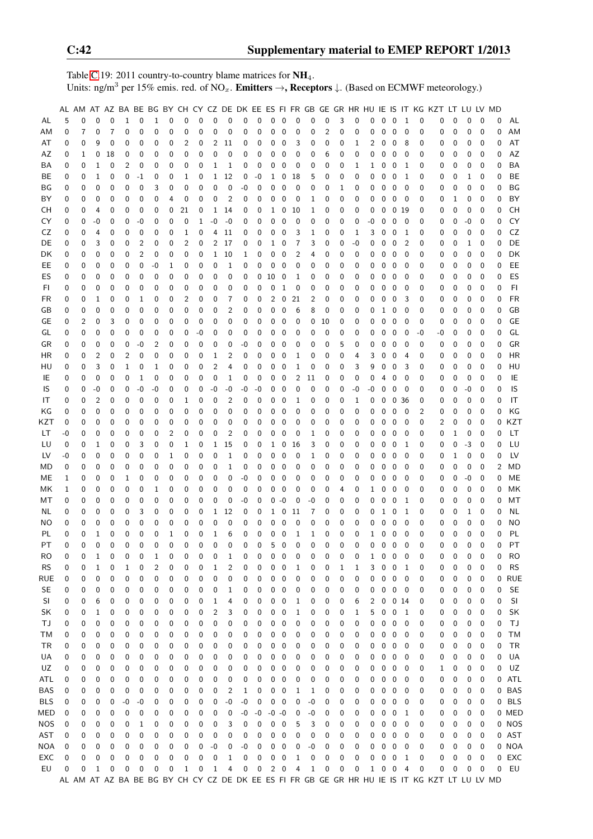Table [C.](#page-2-0)19: 2011 country-to-country blame matrices for  $NH_4$ . Units: ng/m<sup>3</sup> per 15% emis. red. of NO<sub>x</sub>. **Emitters**  $\rightarrow$ **, Receptors**  $\downarrow$ . (Based on ECMWF meteorology.)

|            |      |   |                     |             |                   |    |              |          |          |              |                     |                         |      |                  |             |                          |                |      |                         |   |             |        |              |                         |                          |          | AL AM AT AZ BA BE BG BY CH CY CZ DE DK EE ES FI FR GB GE GR HR HU IE IS IT KG KZT LT LU LV MD |   |      |             |   |            |
|------------|------|---|---------------------|-------------|-------------------|----|--------------|----------|----------|--------------|---------------------|-------------------------|------|------------------|-------------|--------------------------|----------------|------|-------------------------|---|-------------|--------|--------------|-------------------------|--------------------------|----------|-----------------------------------------------------------------------------------------------|---|------|-------------|---|------------|
| AL         | 5    | 0 | 0                   | 0           | $\mathbf{1}$      | 0  | $\mathbf{1}$ | 0        | 0        | $\mathbf{0}$ | $\mathbf{0}$        | $\mathbf 0$             | 0    | $\mathbf 0$      | $\mathbf 0$ | $\overline{0}$           | $\mathbf 0$    | 0    | $\mathbf 0$             | 3 | $\mathbf 0$ | 0      |              | $0\quad 0$              | $\mathbf{1}$             | 0        | 0                                                                                             | 0 | 0    | 0           | 0 | AL         |
| AM         | 0    | 7 | 0                   | 7           | $\mathbf 0$       | 0  | 0            | 0        | 0        | 0            | 0                   | 0                       | 0    | 0                | 0           | 0                        | 0              | 0    | $\overline{\mathbf{c}}$ | 0 | 0           | 0      | 0            | $\mathbf 0$             | 0                        | 0        | 0                                                                                             | 0 | 0    | 0           | 0 | AM         |
| AT         | 0    | 0 | 9                   | 0           | 0                 | 0  | 0            | 0        | 2        | 0            | $\overline{2}$      | 11                      | 0    | 0                | 0           | 0                        | 3              | 0    | 0                       | 0 | 1           | 2      | 0            | 0                       | 8                        | 0        | 0                                                                                             | 0 | 0    | 0           | 0 | AT         |
| AZ         | 0    | 1 | 0                   | 18          | 0                 | 0  | 0            | 0        | 0        | 0            | 0                   | 0                       | 0    | 0                | 0           | 0                        | 0              | 0    | 6                       | 0 | 0           | 0      | 0            | 0                       | 0                        | 0        | 0                                                                                             | 0 | 0    | 0           | 0 | AZ         |
| ΒA         | 0    | 0 | 1                   | 0           | 2                 | 0  | 0            | 0        | 0        | 0            | $\mathbf{1}$        | 1                       | 0    | 0                | 0           | 0                        | 0              | 0    | 0                       | 0 | 1           | 1      | 0            | $\overline{0}$          | 1                        | 0        | 0                                                                                             | 0 | 0    | 0           | 0 | BA         |
| BE         | 0    | 0 | 1                   | 0           | 0                 | -1 | 0            | 0        | 1        | 0            | $\mathbf{1}$        | 12                      | 0    | -0               | 1           | 0                        | 18             | 5    | 0                       | 0 | 0           | 0      | 0            | 0                       | 1                        | 0        | 0                                                                                             | 0 | 1    | 0           | 0 | BE         |
| ΒG         | 0    | 0 | 0                   | 0           | 0                 | 0  | 3            | 0        | 0        | 0            | 0                   | $\mathbf 0$             | -0   | 0                | 0           | 0                        | 0              | 0    | 0                       | 1 | 0           | 0      | $\mathbf 0$  | $\mathbf 0$             | $\mathbf 0$              | 0        | 0                                                                                             | 0 | 0    | 0           | 0 | BG         |
| ΒY         | 0    | 0 | 0                   | 0           | 0                 | 0  | 0            | 4        | 0        | 0            | 0                   | $\overline{2}$          | 0    | 0                | 0           | 0                        | 0              | 1    | 0                       | 0 | 0           | 0      | 0            | $\mathbf 0$             | 0                        | 0        | 0                                                                                             | 1 | 0    | 0           | 0 | BY         |
| CН         | 0    | 0 | 4                   | 0           | 0                 | 0  | 0            | 0        | 21       | 0            | $\mathbf{1}$        | 14                      | 0    | 0                | 1           | 0                        | 10             | 1    | 0                       | 0 | 0           | 0      | $\mathbf 0$  | 0 <sub>19</sub>         |                          | 0        | 0                                                                                             | 0 | 0    | $\mathbf 0$ | 0 | <b>CH</b>  |
| CY         | 0    | 0 | -0                  | 0           | 0                 | -0 | 0            | 0        | 0        | 1            | -0                  | -0                      | 0    | 0                | 0           | 0                        | 0              | 0    | 0                       | 0 | 0           | -0     | 0            | 0                       | - 0                      | 0        | 0                                                                                             | 0 | $-0$ | 0           | 0 | CY         |
| CZ         | 0    | 0 | 4                   | 0           | 0                 | 0  | 0            | 0        | 1        | 0            | 4                   | 11                      | 0    | 0                | 0           | 0                        | 3              | 1    | 0                       | 0 | 1           | 3      | 0            | 0                       | 1                        | 0        | 0                                                                                             | 0 | 0    | 0           | 0 | CZ         |
| DE         | 0    | 0 | 3                   | 0           | 0                 | 2  | 0            | 0        | 2        | 0            | $\overline{2}$      | 17                      | 0    | 0                | 1           | 0                        | 7              | 3    | 0                       | 0 | -0          | 0      | 0            | 0                       | $\overline{2}$           | 0        | 0                                                                                             | 0 | 1    | 0           | 0 | DE         |
| DK         | 0    | 0 | 0                   | 0           | 0                 | 2  | 0            | 0        | 0        | 0            | 1                   | 10                      | 1    | 0                | 0           | 0                        | 2              | 4    | 0                       | 0 | 0           | 0      | 0            | $\mathbf 0$             | 0                        | 0        | 0                                                                                             | 0 | 0    | 0           | 0 | DK         |
| EE.        | 0    | 0 | 0                   | 0           | 0                 | 0  | $-0$         | 1        | 0        | 0            | 0                   | 1                       | 0    | 0                | 0           | 0                        | 0              | 0    | 0                       | 0 | 0           | 0      | 0            | 0                       | 0                        | 0        | 0                                                                                             | 0 | 0    | 0           | 0 | EE         |
| ES         | 0    | 0 | 0                   | 0           | 0                 | 0  | 0            | 0        | 0        | 0            | 0                   | 0                       | 0    | 0                | 10          | $\mathbf 0$              | 1              | 0    | 0                       | 0 | 0           | 0      | 0            | 0                       | 0                        | 0        | 0                                                                                             | 0 | 0    | 0           | 0 | ES         |
| FI         | 0    | 0 | 0                   | $\mathbf 0$ | 0                 | 0  | 0            | 0        | 0        | 0            | 0                   | 0                       | 0    | 0                | 0           | $\mathbf{1}$             | 0              | 0    | 0                       | 0 | 0           | 0      | 0            | $\mathbf 0$             | 0                        | 0        | 0                                                                                             | 0 | 0    | 0           | 0 | F1         |
| FR         | 0    | 0 | 1                   | 0           | 0                 | 1  | 0            | 0        | 2        | 0            | $\mathbf 0$         | 7                       | 0    | 0                | 2           | $\pmb{0}$                | 21             | 2    | 0                       | 0 | 0           | 0      | 0            | 0                       | 3                        | 0        | 0                                                                                             | 0 | 0    | 0           | 0 | <b>FR</b>  |
| GB         | 0    | 0 | 0                   | 0           | 0                 | 0  | 0            | 0        | 0        | 0            | 0                   | 2                       | 0    | 0                | 0           | 0                        | 6              | 8    | 0                       | 0 | 0           | 0      | 1            | 0                       | 0                        | 0        | 0                                                                                             | 0 | 0    | 0           | 0 | GB         |
| GE         | 0    | 2 | 0                   | 3           | 0                 | 0  | 0            | 0        | 0        | $\pmb{0}$    | 0                   | 0                       | 0    | 0                | 0           | 0                        | 0              | 0    | 10                      | 0 | 0           | 0      | 0            | 0                       | 0                        | 0        | 0                                                                                             | 0 | 0    | 0           | 0 | GE         |
| GL         | 0    | 0 | 0                   | 0           | 0                 | 0  |              | 0        | 0        | -0           | 0                   | 0                       | 0    | 0                | 0           | 0                        | 0              | 0    | $\mathbf 0$             | 0 | 0           | 0      | 0            | $\mathbf 0$             |                          | -0       | -0                                                                                            |   | 0    | 0           | 0 | GL         |
|            |      |   | 0                   |             | 0                 |    | 0            |          |          | 0            |                     | 0                       | -0   |                  |             |                          |                |      |                         |   |             |        |              | 0                       | 0                        | 0        |                                                                                               | 0 |      |             | 0 | GR         |
| GR         | 0    | 0 |                     | 0           |                   | -0 | 2            | 0        | 0        |              | 0                   |                         |      | 0                | 0           | 0                        | 0              | 0    | 0                       | 5 | 0           | 0      | 0            |                         | 0                        |          | 0                                                                                             | 0 | 0    | 0           |   | <b>HR</b>  |
| ΗR         | 0    | 0 | $\overline{c}$<br>3 | 0           | 2<br>$\mathbf{1}$ | 0  | 0            | 0        | 0        | 0<br>0       | 1<br>$\overline{2}$ | 2<br>4                  | 0    | 0                | 0           | 0                        | 1              | 0    | 0<br>0                  | 0 | 4<br>3      | 3<br>9 | 0            | 0<br>$\mathbf 0$        | 4                        | 0        | 0                                                                                             | 0 | 0    | 0           | 0 | HU         |
| HU         | 0    | 0 |                     | 0           |                   | 0  | 1            | 0        | 0        |              |                     |                         | 0    | 0                | 0           | 0                        | 1              | 0    |                         | 0 |             |        | 0            |                         | 3                        | 0        | 0                                                                                             | 0 | 0    | 0           | 0 |            |
| IE         | 0    | 0 | 0                   | 0           | 0                 | 1  | 0            | 0        | 0        | 0            | $\mathbf 0$         | $\mathbf 1$             | 0    | 0                | 0           | 0                        | 2              | 11   | 0                       | 0 | 0           | 0      | 4            | $\overline{0}$          | 0                        | 0        | 0                                                                                             | 0 | 0    | 0           | 0 | IE         |
| IS         | 0    | 0 | -0                  | 0           | $\mathbf 0$       | -0 | -0           | 0        | 0        | $\mathbf 0$  | -0                  | $-0$                    | -0   | -0               | 0           | 0                        | 0              | 0    | 0                       | 0 | -0          | -0     | 0            | $\mathbf 0$             | - 0                      | 0        | 0                                                                                             | 0 | $-0$ | 0           | 0 | IS         |
| IT         | 0    | 0 | $\overline{2}$      | 0           | 0                 | 0  | 0            | 0        | 1        | 0            | 0                   | 2                       | 0    | 0                | 0           | 0                        | 1              | 0    | 0                       | 0 | 1           | 0      | 0            |                         | 0 <sub>36</sub>          | 0        | 0                                                                                             | 0 | 0    | 0           | 0 | IT         |
| ΚG         | 0    | 0 | 0                   | 0           | 0                 | 0  | 0            | 0        | 0        | 0            | 0                   | 0                       | 0    | 0                | 0           | 0                        | 0              | 0    | 0                       | 0 | 0           | 0      | 0            | 0                       | 0                        | 2        | 0                                                                                             | 0 | 0    | 0           | 0 | KG         |
| KZT        | 0    | 0 | 0                   | 0           | 0                 | 0  | 0            | 0        | 0        | 0            | 0                   | 0                       | 0    | 0                | 0           | 0                        | 0              | 0    | 0                       | 0 | 0           | 0      | 0            | $\mathbf 0$             | 0                        | 0        | 2                                                                                             | 0 | 0    | 0           | 0 | KZT        |
| LТ         | -0   | 0 | 0                   | 0           | 0                 | 0  | 0            | 2        | 0        | 0            | 0                   | 2                       | 0    | 0                | 0           | 0                        | 0              | 1    | 0                       | 0 | 0           | 0      | 0            | 0                       | 0                        | 0        | 0                                                                                             | 1 | 0    | 0           | 0 | LT         |
| LU         | 0    | 0 | 1                   | 0           | 0                 | 3  | 0            | 0        | 1        | 0            | 1                   | 15                      | 0    | 0                | 1           | 0                        | 16             | 3    | 0                       | 0 | 0           | 0      | 0            | 0                       | 1                        | 0        | 0                                                                                             | 0 | $-3$ | 0           | 0 | LU         |
| LV         | $-0$ | 0 | 0                   | 0           | 0                 | 0  | 0            | 1        | 0        | 0            | 0                   | 1                       | 0    | 0                | 0           | 0                        | 0              | 1    | 0                       | 0 | 0           | 0      | 0            | 0                       | 0                        | 0        | 0                                                                                             | 1 | 0    | 0           | 0 | LV         |
| MD         | 0    | 0 | 0                   | 0           | 0                 | 0  | 0            | 0        | 0        | $\mathbf 0$  | 0                   | 1                       | 0    | 0                | 0           | 0                        | 0              | 0    | 0                       | 0 | 0           | 0      | 0            | $\mathbf 0$             | 0                        | 0        | 0                                                                                             | 0 | 0    | 0           | 2 | <b>MD</b>  |
| MЕ         | 1    | 0 | 0                   | 0           | 1                 | 0  | 0            | 0        | 0        | 0            | $\mathbf 0$         | 0                       | -0   | 0                | 0           | 0                        | 0              | 0    | 0                       | 0 | 0           | 0      | 0            | $\mathbf 0$             | 0                        | 0        | 0                                                                                             | 0 | $-0$ | 0           | 0 | ME         |
| МK         | 1    | 0 | 0                   | 0           | 0                 | 0  | 1            | 0        | 0        | 0            | 0                   | 0                       | 0    | 0                | 0           | 0                        | 0              | 0    | 0                       | 4 | 0           | 1      | 0            | 0                       | 0                        | 0        | 0                                                                                             | 0 | 0    | 0           | 0 | MK         |
| МT         | 0    | 0 | 0                   | 0           | 0                 | 0  | 0            | 0        | 0        | 0            | 0                   | 0                       | -0   | 0                | 0           | $-0$                     | 0              | $-0$ | 0                       | 0 | 0           | 0      | 0            | $\mathbf 0$             | 1                        | 0        | 0                                                                                             | 0 | 0    | 0           | 0 | MT         |
| NL         | 0    | 0 | 0                   | 0           | 0                 | 3  | 0            | 0        | 0        | 0            | $\mathbf{1}$        | 12                      | 0    | 0                |             | $1\quad$ 0               | 11             | 7    | 0                       | 0 | 0           | 0      | $\mathbf{1}$ | 0                       | 1                        | 0        | 0                                                                                             | 0 | 1    | 0           | 0 | <b>NL</b>  |
| ΝO         | 0    | 0 | 0                   | 0           | 0                 | 0  | 0            | 0        | 0        | 0            | 0                   | $\mathbf 0$             | 0    | 0                | 0           | 0                        | 0              | 0    | 0                       | 0 | 0           | 0      | 0            | 0                       | $\mathbf 0$              | 0        | 0                                                                                             | 0 | 0    | 0           | 0 | ΝO         |
| PL         | 0    | 0 | 1                   | 0           | $\mathbf 0$       | 0  | $\pmb{0}$    | 1        | 0        | 0            | $\mathbf{1}$        | 6                       | 0    | 0                | 0           | $\mathbf 0$              | 1              | 1    | 0                       | 0 | 0           | 1      | $\mathbf 0$  | $\pmb{0}$               | $\mathbf 0$              | 0        | 0                                                                                             | 0 | 0    | $\mathbf 0$ | 0 | PL         |
| PT         | 0    | 0 | $\overline{0}$      | $\Omega$    | 0                 | 0  | $\mathbf 0$  | $\Omega$ | $\Omega$ | 0            | $\Omega$            | $\Omega$                | 0    | 0                | 5           | $\mathbf 0$              | $\overline{0}$ | 0    | 0                       | 0 | 0           | 0      |              | $0\quad 0$              | $\mathbf 0$              | $\Omega$ | 0                                                                                             | 0 | 0    | $\Omega$    | 0 | PT         |
| RO.        | 0    | 0 | 1                   | 0           | 0                 | 0  | 1            | 0        | 0        | 0            | 0                   | 1                       | 0    | 0                | 0           | 0                        | 0              | 0    | 0                       | 0 | 0           | 1      | $0\quad 0$   |                         | 0                        | 0        | 0                                                                                             | 0 | 0    | $\mathbf 0$ | 0 | <b>RO</b>  |
| <b>RS</b>  | 0    | 0 | 1                   | 0           | 1                 | 0  | 2            | 0        | 0        | 0            | $\mathbf{1}$        | 2                       | 0    | 0                | 0           | 0                        | 1              | 0    | 0                       | 1 | 1           | 3      | 0            | 0                       | 1                        | 0        | 0                                                                                             | 0 | 0    | 0           | 0 | <b>RS</b>  |
| <b>RUE</b> | 0    | 0 | 0                   | 0           | 0                 | 0  | 0            | 0        | 0        | 0            | 0                   | 0                       | 0    | 0                | 0           | 0                        | 0              | 0    | 0                       | 0 | 0           | 0      | $\pmb{0}$    | $\mathbf 0$             | 0                        | 0        | 0                                                                                             | 0 | 0    | 0           | 0 | <b>RUE</b> |
| <b>SE</b>  | 0    | 0 | 0                   | 0           | 0                 | 0  | 0            | 0        | 0        | 0            | 0                   | 1                       | 0    | 0                | 0           | 0                        | 0              | 0    | 0                       | 0 | 0           | 0      | $0\quad 0$   |                         | 0                        | 0        | 0                                                                                             | 0 | 0    | 0           | 0 | <b>SE</b>  |
| SI         | 0    | 0 | 6                   | 0           | 0                 | 0  | 0            | 0        | 0        | 0            | 1                   | 4                       | 0    | 0                | 0           | 0                        | 1              | 0    | 0                       | 0 | 6           | 2      |              | $0 \t 0 \t 14$          |                          | 0        | 0                                                                                             | 0 | 0    | 0           | 0 | SI         |
| SK         | 0    | 0 | 1                   | 0           | 0                 | 0  | 0            | 0        | 0        | 0            | $\overline{2}$      | 3                       | 0    | 0                | 0           | 0                        | 1              | 0    | 0                       | 0 | 1           | 5      |              | $0\quad 0$              | $\mathbf{1}$             | 0        | 0                                                                                             | 0 | 0    | 0           | 0 | SK         |
| ТJ         | 0    | 0 | 0                   | 0           | 0                 | 0  | 0            | 0        | 0        | 0            | 0                   | 0                       | 0    | 0                | 0           | 0                        | 0              | 0    | 0                       | 0 | 0           | 0      | $\pmb{0}$    | $\overline{0}$          | $\mathbf 0$              | 0        | 0                                                                                             | 0 | 0    | 0           | 0 | TJ         |
| ТM         | 0    | 0 | 0                   | 0           | 0                 | 0  | 0            | 0        | 0        | 0            | 0                   | 0                       | 0    | 0                | 0           | 0                        | 0              | 0    | 0                       | 0 | 0           | 0      |              | $0\quad 0$              | 0                        | 0        | 0                                                                                             | 0 | 0    | 0           | 0 | TM         |
| TR         | 0    | 0 | 0                   | 0           | 0                 | 0  | 0            | 0        | 0        | 0            | 0                   | 0                       | 0    | 0                | 0           | 0                        | 0              | 0    | 0                       | 0 | 0           | 0      |              | $0\quad 0$              | - 0                      | 0        | 0                                                                                             | 0 | 0    | 0           | 0 | TR         |
| UA         | 0    | 0 | 0                   | 0           | 0                 | 0  | 0            | 0        | 0        | 0            | 0                   | 0                       | 0    | 0                | 0           | 0                        | 0              | 0    | 0                       | 0 | 0           | 0      | 0            | $\overline{0}$          | 0                        | 0        | 0                                                                                             | 0 | 0    | 0           | 0 | UA         |
| UZ         | 0    | 0 | 0                   | 0           | 0                 | 0  | 0            | 0        | 0        | 0            | 0                   | 0                       | 0    | 0                | 0           | 0                        | 0              | 0    | 0                       | 0 | 0           | 0      | 0            | $\overline{0}$          | 0                        | 0        | 1                                                                                             | 0 | 0    | 0           | 0 | UZ         |
| ATL        | 0    | 0 | 0                   | 0           | 0                 | 0  | 0            | 0        | 0        | 0            | 0                   | 0                       | 0    | 0                | 0           | 0                        | 0              | 0    | 0                       | 0 | 0           | 0      |              | $0\quad 0$              | 0                        | 0        | 0                                                                                             | 0 | 0    | 0           |   | 0 ATL      |
| BAS        | 0    | 0 | 0                   | 0           | 0                 | 0  | 0            | 0        | 0        | 0            | 0                   | $\overline{\mathbf{c}}$ | 1    | 0                | 0           | 0                        | 1              | 1    | 0                       | 0 | 0           | 0      | 0            | $\overline{\mathbf{0}}$ | - 0                      | 0        | 0                                                                                             | 0 | 0    | 0           |   | 0 BAS      |
| <b>BLS</b> | 0    | 0 | 0                   | 0           | -0                | -0 | 0            | 0        | 0        | 0            | 0                   | $-0$                    | $-0$ | $\boldsymbol{0}$ | 0           | $\mathbf 0$              | 0              | -0   | 0                       | 0 | 0           | 0      | 0            | $\overline{\mathbf{0}}$ | 0                        | 0        | 0                                                                                             | 0 | 0    | 0           |   | 0 BLS      |
| MED        | 0    | 0 | 0                   | 0           | 0                 | 0  | 0            | 0        | 0        | 0            | 0                   | 0                       | $-0$ | $-0$             | $-0 - 0$    |                          | 0              | -0   | 0                       | 0 | 0           | 0      |              | $0\quad 0$              | 1                        | 0        | 0                                                                                             | 0 | 0    | 0           |   | 0 MED      |
| <b>NOS</b> | 0    | 0 | 0                   | 0           | 0                 | 1  | 0            | 0        | 0        | 0            | 0                   | 3                       | 0    | 0                | 0           | $\overline{\phantom{0}}$ | 5              | 3    | 0                       | 0 | 0           | 0      | $0\quad 0$   |                         | $\overline{\phantom{0}}$ | 0        | 0                                                                                             | 0 | 0    | 0           |   | 0 NOS      |
| AST        | 0    | 0 | 0                   | 0           | 0                 | 0  | 0            | 0        | 0        | 0            | 0                   | 0                       | 0    | 0                | 0           | 0                        | 0              | 0    | 0                       | 0 | 0           | 0      | 0            | $\overline{0}$          | $\mathbf 0$              | 0        | 0                                                                                             | 0 | 0    | 0           |   | 0 AST      |
| NOA        | 0    | 0 | 0                   | 0           | 0                 | 0  | 0            | 0        | 0        | 0            | $-0$                | 0                       | $-0$ | 0                | 0           | 0                        | 0              | -0   | 0                       | 0 | 0           | 0      | 0            | $\overline{0}$          | 0                        | 0        | 0                                                                                             | 0 | 0    | 0           |   | 0 NOA      |
| EXC        | 0    | 0 | 0                   | 0           | 0                 | 0  | 0            | 0        | 0        | 0            | 0                   | $\mathbf{1}$            | 0    | 0                | 0           | $\mathbf 0$              | $\mathbf{1}$   | 0    | 0                       | 0 | 0           | 0      | $0\quad 0$   |                         | 1                        | 0        | 0                                                                                             | 0 | 0    | 0           |   | 0 EXC      |
| EU         | 0    | 0 | $\mathbf{1}$        | 0           | 0                 | 0  | 0            | 0        | 1        | $\pmb{0}$    | $\mathbf{1}$        | 4                       | 0    | $\mathbf 0$      |             | $2\quad 0$               | 4              | 1    | 0                       | 0 | 0           |        | $1 \t0 \t0$  |                         | $\overline{4}$           | 0        | 0                                                                                             | 0 | 0    | 0           | 0 | EU         |
|            |      |   |                     |             |                   |    |              |          |          |              |                     |                         |      |                  |             |                          |                |      |                         |   |             |        |              |                         |                          |          | AL AM AT AZ BA BE BG BY CH CY CZ DE DK EE ES FI FR GB GE GR HR HU IE IS IT KG KZT LT LU LV MD |   |      |             |   |            |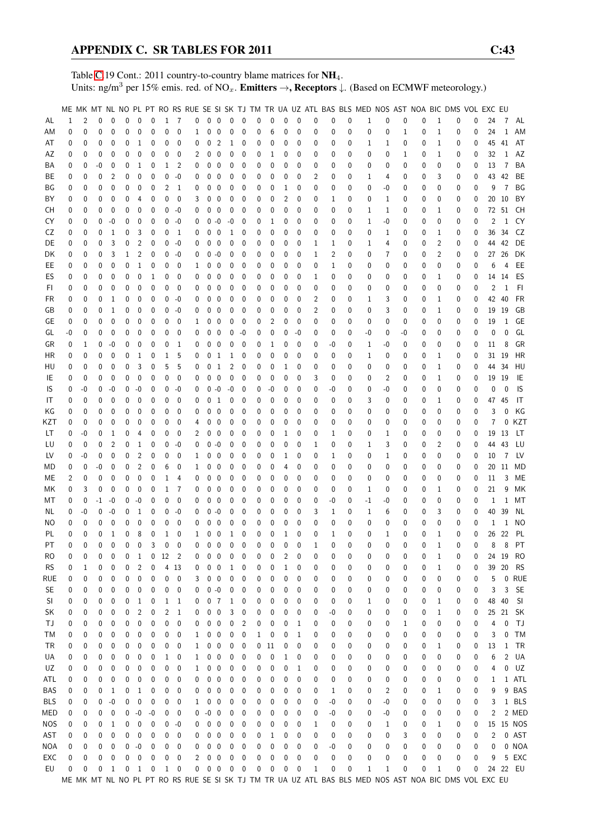Table [C.](#page-2-0)19 Cont.: 2011 country-to-country blame matrices for NH<sub>4</sub>. Units: ng/m<sup>3</sup> per 15% emis. red. of NO<sub>x</sub>. **Emitters**  $\rightarrow$ **, Receptors**  $\downarrow$ . (Based on ECMWF meteorology.)

|                 |                   |                  |               |                   |                   |                  |                          |                              |                                    |                |            |                           |                             |                             |                  |                  |                              |                            |                   |        |                  |                  |                   |        |        |                   | ME MK MT NL NO PL PT RO RS RUE SE SI SK TJ TM TR UA UZ ATL BAS BLS MED NOS AST NOA BIC DMS VOL EXC EU |        |         |              |                 |
|-----------------|-------------------|------------------|---------------|-------------------|-------------------|------------------|--------------------------|------------------------------|------------------------------------|----------------|------------|---------------------------|-----------------------------|-----------------------------|------------------|------------------|------------------------------|----------------------------|-------------------|--------|------------------|------------------|-------------------|--------|--------|-------------------|-------------------------------------------------------------------------------------------------------|--------|---------|--------------|-----------------|
| AL              | 1                 | 2                | $\Omega$      | $\Omega$          | 0                 | 0                | $\mathbf{0}$             |                              | $1 \quad 7$                        | $\mathbf 0$    | $0\quad 0$ |                           | $\mathbf 0$                 | $\mathbf{0}$                | 0                | 0                | 0                            | $\mathbf 0$                | 0                 | 0      | 0                | 1                | $\mathbf 0$       | 0      | 0      | 1                 | 0                                                                                                     | 0      | 24      |              | 7 AL            |
| ΑM              | 0                 | 0                | $\theta$      | 0                 | 0                 | 0                | 0                        | $\mathbf 0$                  | $\mathbf{0}$                       | 1              | 0          | $\mathbf 0$               | 0                           | 0                           | 0                | 6                | 0                            | 0                          | 0                 | 0      | 0                | 0                | 0                 | 1      | 0      | $\mathbf{1}$      | 0                                                                                                     | 0      | 24      | 1            | AM              |
| AT              | 0                 | 0                | 0             | 0                 | 0                 | 1                | 0                        | 0                            | 0                                  | 0              | 0          | $\overline{c}$            | $\mathbf{1}$                | 0                           | 0                | 0                | 0                            | 0                          | 0                 | 0      | 0                | 1                | 1                 | 0      | 0      | $\mathbf{1}$      | 0                                                                                                     | 0      | 45      | 41           | AT              |
| ΑZ              | 0                 | 0                | 0             | 0                 | 0                 | 0                | 0                        | 0                            | 0                                  | $\overline{2}$ | 0          | 0                         | 0                           | 0                           | 0                | 1                | 0                            | 0                          | 0                 | 0      | 0                | 0                | 0                 | 1      | 0      | $\mathbf{1}$      | 0                                                                                                     | 0      | 32      | $\mathbf{1}$ | AZ              |
| ΒA              | 0                 | 0                | $-0$          | 0                 | 0                 | 1                | 0                        | 1                            | 2                                  | 0              | 0          | 0                         | 0                           | 0                           | 0                | 0                | 0                            | 0                          | 0                 | 0      | 0                | 0                | 0                 | 0      | 0      | 0                 | 0                                                                                                     | 0      | 13      | 7            | BA              |
| ВE              | 0                 | 0                | 0             | $\overline{2}$    | 0                 | 0                | 0                        | 0                            | $-0$                               | 0              | 0          | $\boldsymbol{0}$          | 0                           | 0                           | 0                | 0                | 0                            | $\mathbf 0$                | 2                 | 0      | 0                | 1                | 4                 | 0      | 0      | 3                 | 0                                                                                                     | 0      | 43      | 42           | BE              |
| ΒG              | 0                 | 0                | 0             | 0                 | 0                 | 0                | 0                        | 2                            | 1                                  | 0              | 0          | $\mathbf 0$               | 0                           | 0                           | 0                | 0                | 1                            | 0                          | 0                 | 0      | 0                | 0                | -0                | 0      | 0      | 0                 | 0                                                                                                     | 0      | 9       | 7            | BG              |
| BY              | 0                 | 0                | 0             | 0                 | 0                 | 4                | 0                        | 0                            | 0                                  | 3              | 0          | 0                         | 0                           | 0                           | 0                | 0                | 2                            | 0                          | 0                 | 1      | 0                | 0                | 1                 | 0      | 0      | 0                 | 0                                                                                                     | 0      | 20      | 10           | BY              |
| CН              | 0                 | 0                | 0             | $\mathbf 0$       | 0                 | 0                | 0                        | 0                            | $-0$                               | 0              | 0          | 0                         | 0                           | 0                           | 0                | 0                | 0                            | 0                          | 0                 | 0      | 0                | 1                | 1                 | 0      | 0      | 1                 | 0                                                                                                     | 0      | 72      | 51           | CH              |
| CY              | 0                 | 0                | 0             | $-0$              | 0                 | 0                | $\mathbf{0}$             | 0                            | -0                                 | 0              |            | $0 - 0$                   | $-0$                        | 0                           | 0                | 1                | 0                            | 0                          | 0                 | 0      | 0                | 1                | -0                | 0      | 0      | 0                 | 0                                                                                                     | 0      | 2       | $\mathbf{1}$ | CY              |
| CZ              | 0                 | 0                | 0             | $\mathbf{1}$      | 0                 | 3                | 0                        | 0                            | $\overline{1}$                     | 0              | 0          | $\overline{0}$            | 1                           | 0                           | 0                | 0                | 0                            | 0                          | 0                 | 0      | 0                | 0                | 1                 | 0      | 0      | 1                 | 0                                                                                                     | 0      | 36      | 34           | CZ              |
| DE              | 0                 | 0                | 0             | 3                 | 0                 | 2                | $\mathbf{0}$             | 0                            | -0                                 | 0              | 0          | 0                         | 0                           | 0                           | 0                | 0                | 0                            | 0                          | 1                 | 1      | 0                | $\mathbf{1}$     | 4                 | 0      | 0      | $\overline{2}$    | 0                                                                                                     | 0      | 44      | 42           | DE              |
| DK              | 0                 | 0                | 0             | 3                 | 1                 | 2                | 0                        | 0                            | -0                                 | 0              | 0          | $-0$                      | 0                           | 0                           | 0                | 0                | 0                            | 0                          | 1                 | 2      | 0                | 0                | 7                 | 0      | 0      | 2                 | 0                                                                                                     | 0      | 27      | 26           | DK              |
| EE              | 0                 | 0                | 0             | 0                 | 0                 | 1                | 0                        | 0                            | 0                                  | 1              | 0          | $\boldsymbol{0}$          | 0                           | 0                           | 0                | 0                | 0                            | $\mathbf 0$                | 0                 | 1      | 0                | 0                | 0                 | 0      | 0      | 0                 | 0                                                                                                     | 0      | 6       | 4            | EE              |
| ES              | 0                 | 0                | 0             | 0                 | 0                 | 0                | 1                        | 0                            | 0                                  | 0              | 0          | 0                         | 0                           | 0                           | 0                | 0                | 0                            | 0                          | 1                 | 0      | 0                | 0                | 0                 | 0      | 0      | 1                 | 0                                                                                                     | 0      |         | 14 14        | ES              |
| FI.             | 0                 | 0                | 0             | 0                 | 0                 | 0                | $\mathbf{0}$             | 0                            | 0                                  | 0              | 0          | 0                         | 0                           | 0                           | 0                | 0                | 0                            | 0                          | 0                 | 0      | 0                | 0                | 0                 | 0      | 0      | 0                 | 0                                                                                                     | 0      | 2       | 1            | FI              |
| FR              | 0                 | 0                | 0             | 1                 | 0                 | 0                | 0                        | 0                            | $-0$                               | 0              | 0          | $\mathbf 0$               | $\mathbf{0}$                | 0                           | 0                | 0                | 0                            | 0                          | 2                 | 0      | 0                | 1                | 3                 | 0      | 0      | $\mathbf{1}$      | 0                                                                                                     | 0      | 42      | 40           | <b>FR</b>       |
| GB              | 0                 | 0                | 0             | 1                 | 0                 | 0                | 0                        | 0                            | -0                                 | 0              | 0          | $\mathbf 0$               | 0                           | 0                           | 0                | 0                | 0                            | 0                          | 2                 | 0      | 0                | 0                | 3                 | 0      | 0      | 1                 | 0                                                                                                     | 0      | 19      | 19           | GB              |
| GE              | 0                 | 0                | $\theta$      | 0                 | 0                 | 0                | 0                        | 0                            | 0                                  | 1              | 0          | 0                         | 0                           | 0                           | 0                | 2                | 0                            | $\mathbf{0}$               | 0                 | 0      | 0                | 0                | 0                 | 0      | 0      | 0                 | 0                                                                                                     | 0      | 19      | 1            | GE              |
| GL              | -0                | 0                | 0             | 0                 | 0                 | 0                | 0                        | 0                            | 0                                  | 0              | 0          | $\mathbf 0$               | 0                           | $-0$                        | 0                | 0                | 0                            | -0                         | 0                 | 0      | 0                | $-0$             | 0                 | -0     | 0      | 0                 | 0                                                                                                     | 0      | 0       | $\Omega$     | GL              |
| GR              | 0                 | 1                | 0             | $-0$              | 0                 | 0                | 0                        | 0                            | 1                                  | 0              | 0          | $\mathbf 0$               | 0                           | 0                           | 0                | 1                | 0                            | $\mathbf 0$                | 0                 | -0     | 0                | 1                | -0                | 0      | 0      | 0                 | 0                                                                                                     | 0      | 11      | 8            | GR              |
| HR              | 0                 | 0                | 0             | 0                 | 0                 | 1                | 0                        | 1                            | 5                                  | 0              |            | 0 <sub>1</sub>            | $\mathbf{1}$                | 0                           | 0                | 0                | 0                            | $\mathbf 0$                | 0                 | 0      | 0                | 1                | 0                 | 0      | 0      | 1                 | 0                                                                                                     | 0      |         | 31 19        | HR              |
| HU              | 0                 | 0                | 0             | $\mathbf 0$       | 0                 | 3                | 0                        | 5                            | 5                                  | 0              | 0          | $\mathbf{1}$              | 2                           | 0                           | 0                | 0                | 1                            | 0                          | 0                 | 0      | 0                | 0                | 0                 | 0      | 0      | 1                 | 0                                                                                                     | 0      | 44      | 34           | HU              |
| IE              | 0                 | 0                | 0             | 0                 | 0                 | 0                | $\mathbf{0}$             | 0                            | 0                                  | 0              | 0          | $\mathbf 0$               | 0                           | 0                           | 0                | 0                | 0                            | 0                          | 3                 | 0      | 0                | 0                | 2                 | 0      | 0      | 1                 | 0                                                                                                     | 0      | 19      | 19           | IE              |
| IS              | 0                 | -0               | 0             | $-0$              | 0                 | $-0$             | 0                        | 0                            | $-0$                               | 0              | 0          | $-0$                      | $-0$                        | 0                           | 0                | $-0$             | 0                            | 0                          | 0                 | -0     | 0                | 0                | $-0$              | 0      | 0      | 0                 | 0                                                                                                     | 0      | 0       | $\Omega$     | IS              |
| IT              | 0                 | 0                | 0             | 0                 | 0                 | 0                | 0                        | 0                            | 0                                  | 0              | 0          | -1                        | 0                           | 0                           | 0                | 0                | 0                            | 0                          | 0                 | 0      | 0                | 3                | 0                 | 0      | 0      | 1                 | 0                                                                                                     | 0      | 47      | 45           | IT              |
| ΚG              | 0                 | 0                | 0             | $\mathbf{0}$      | 0                 | 0                | 0                        | 0                            | 0                                  | 0              | 0          | $\mathbf 0$               | 0                           | 0                           | 0                | 0                | 0                            | 0                          | 0                 | 0      | 0                | 0                | 0                 | 0      | 0      | 0                 | 0                                                                                                     | 0      | 3       | $\Omega$     | ΚG              |
| KZT             | 0                 | 0                | 0             | 0                 | 0                 | 0                | 0                        | 0                            | 0                                  | 4              | 0          | 0                         | 0                           | 0                           | 0                | 0                | 0                            | 0                          | 0                 | 0      | 0                | 0                | 0                 | 0      | 0      | 0                 | 0                                                                                                     | 0      | 7       | 0            | KZT             |
| LТ              | 0                 | -0               | 0             | 1                 | 0                 | 4                | 0                        | 0                            | 0                                  | 2              | 0          | 0                         | 0                           | 0                           | 0                | 0                | 1                            | 0                          | 0                 | 1      | 0                | 0                | 1                 | 0      | 0      | 0                 | 0                                                                                                     | 0      | 19      | 13           | LT              |
| LU              | 0                 | 0                | 0             | 2                 | 0                 | 1                | 0                        | 0                            | -0                                 | 0              | $0 - 0$    |                           | 0                           | 0                           | 0                | 0                | 0                            | 0                          | 1                 | 0      | 0                | 1                | 3                 | 0      | 0      | 2                 | 0                                                                                                     | 0      | 44      | 43           | LU              |
| LV              | 0                 | -0               | 0             | 0                 | 0                 | 2                | 0                        | 0                            | 0                                  | 1              | 0          | 0                         | 0                           | 0                           | 0                | 0                | 1                            | 0                          | 0                 | 1      | 0                | 0                | $\mathbf{1}$      | 0      | 0      | 0                 | 0                                                                                                     | 0      | 10      | 7            | LV.             |
| MD              | 0                 | 0                | -0            | 0                 | 0                 | 2                | 0                        | 6                            | 0                                  | 1              | 0          | 0                         | 0                           | 0                           | 0                | 0                | 4                            | 0                          | 0                 | 0      | 0                | 0                | 0                 | 0      | 0      | 0                 | 0                                                                                                     | 0      | 20      | 11           | MD              |
| МE              | 2                 | 0                | $\theta$      | $\mathbf 0$       | 0                 | 0                | $\mathbf 0$              | 1                            | 4                                  | 0              | 0          | $\mathbf 0$               | $\mathbf{0}$                | 0                           | 0                | 0                | 0                            | 0                          | 0                 | 0      | 0                | 0                | 0                 | 0      | 0      | 0                 | 0                                                                                                     | 0      | 11      | 3            | ME              |
| МK              | 0                 | 3                | 0             | 0                 | 0                 | 0                | 0                        | 1                            | 7                                  | 0              | 0          | $\mathbf 0$               | 0                           | 0                           | 0                | 0                | 0                            | 0                          | 0                 | 0      | 0                | 1                | 0                 | 0      | 0      | 1                 | 0                                                                                                     | 0      | 21      | 9            | МK              |
| МT              | 0                 | 0                | $-1$          | $-0$              | 0                 | $-0$             | 0                        | 0                            | 0                                  | 0              | 0          | 0                         | 0                           | 0                           | 0                | 0                | 0                            | $\mathbf 0$                | 0                 | -0     | 0                | $-1$             | -0                | 0      | 0      | 0                 | 0                                                                                                     | 0      | 1       | $\mathbf{1}$ | МT              |
| NL              | 0                 | -0               | 0             | $-0$              | 0                 | 1                | 0                        | 0                            | -0                                 | 0              | 0          | $-0$                      | 0                           | 0                           | 0                | 0                | 0                            | 0                          | 3                 | 1      | 0                | 1                | 6                 | 0      | 0      | 3                 | 0                                                                                                     | 0      | 40      | 39           | NL              |
| ΝO              | 0                 | 0                | 0             | 0                 | 0                 | 0                | 0                        | 0                            | 0                                  | 0              | 0          | 0                         | 0                           | 0                           | 0                | 0                | 0                            | $\mathbf 0$                | 0                 | 0      | 0                | 0                | 0                 | 0      | 0      | 0                 | 0                                                                                                     | 0      | 1       | 1            | <b>NO</b><br>PL |
| PL<br>PT        | $\mathbf{0}$<br>0 | $\mathbf 0$<br>0 | 0<br>$\Omega$ | 1<br>$\mathbf{0}$ | 0<br>$\mathbf{0}$ | 8<br>$\mathbf 0$ | $\mathbf 0$<br>3         | $\mathbf{1}$<br>$\mathbf{0}$ | $\mathbf{0}$<br>$\mathbf{0}$       | 1<br>0         | 0          | $\mathbf 0$<br>$0\quad 0$ | $\mathbf{1}$<br>$\mathbf 0$ | $\mathbf 0$<br>$\mathbf{0}$ | 0<br>$\mathbf 0$ | 0<br>$\mathbf 0$ | $\mathbf{1}$<br>$\mathbf{0}$ | $\mathbf 0$<br>$\mathbf 0$ | 0<br>$\mathbf{1}$ | 1<br>0 | $\mathbf 0$<br>0 | $\mathbf 0$<br>0 | $\mathbf{1}$<br>0 | 0<br>0 | 0<br>0 | $\mathbf{1}$<br>1 | 0<br>0                                                                                                | 0<br>0 | 26<br>8 | 22           |                 |
|                 |                   |                  | 0             | 0                 | 0                 | 1                | 0                        | 12                           |                                    | 0              | 0          | 0                         | 0                           | 0                           | 0                | 0                | 2                            | 0                          | 0                 | 0      | 0                | 0                | 0                 | 0      | 0      | 1                 |                                                                                                       | 0      |         | 24 19        | 8 PT<br>RO      |
| RO<br><b>RS</b> | 0<br>0            | 0<br>1           | 0             | 0                 | 0                 | $\overline{c}$   | $\pmb{0}$                |                              | $\overline{\phantom{0}}^2$<br>4 13 | 0              | 0          | 0                         | 1                           | 0                           | 0                | 0                | 1                            | 0                          | 0                 | 0      | 0                | 0                | 0                 | 0      | 0      | 1                 | 0<br>0                                                                                                | 0      | 39      | 20           | <b>RS</b>       |
| rue             | 0                 | 0                | 0             | 0                 | 0                 | 0                | 0                        | 0                            | 0                                  | 3              |            | $0\quad 0$                | 0                           | 0                           | 0                | 0                | 0                            | 0                          | 0                 | 0      | 0                | 0                | 0                 | 0      | 0      | 0                 | 0                                                                                                     | 0      | 5       |              | 0 RUE           |
| <b>SE</b>       | 0                 | 0                | 0             | 0                 | 0                 | 0                | 0                        | 0                            | 0                                  | 0              | $0 - 0$    |                           | 0                           | 0                           | 0                | 0                | 0                            | 0                          | 0                 | 0      | 0                | 0                | 0                 | 0      | 0      | 0                 | 0                                                                                                     | 0      | 3       | 3            | <b>SE</b>       |
| SI              | 0                 | 0                | 0             | 0                 | 0                 | 1                | 0                        | $\mathbf 1$                  | 1                                  | 0              |            | 0 <sub>7</sub>            | 1                           | 0                           | 0                | 0                | 0                            | 0                          | 0                 | 0      | 0                | 1                | 0                 | 0      | 0      | 1                 | 0                                                                                                     | 0      | 48      | 40           | SI              |
| SK              | 0                 | 0                | 0             | 0                 | 0                 | 2                | 0                        | 2                            | $\mathbf{1}$                       | 0              | 0          | $\mathbf 0$               | 3                           | 0                           | 0                | 0                | 0                            | 0                          | 0                 | -0     | 0                | 0                | 0                 | 0      | 0      | 1                 | 0                                                                                                     | 0      |         | 25 21        | <b>SK</b>       |
| ΤJ              | 0                 | 0                | 0             | 0                 | 0                 | 0                | 0                        | 0                            | 0                                  | 0              | 0          | $\overline{\mathbf{0}}$   | 0                           | $\overline{c}$              | 0                | 0                | 0                            | 1                          | 0                 | 0      | 0                | 0                | 0                 | 1      | 0      | 0                 | 0                                                                                                     | 0      | 4       | 0            | TJ              |
| ТM              | 0                 | 0                | 0             | 0                 | 0                 | 0                | 0                        | 0                            | 0                                  | 1              | 0          | $\mathbf 0$               | 0                           | 0                           | 1                | 0                | 0                            | 1                          | 0                 | 0      | 0                | 0                | 0                 | 0      | 0      | 0                 | 0                                                                                                     | 0      | 3       | 0            | <b>TM</b>       |
| TR              | 0                 | 0                | 0             | 0                 | 0                 | 0                | 0                        | 0                            | 0                                  | 1              | 0          | $\mathbf 0$               | 0                           | 0                           | 0                | 11               | 0                            | 0                          | 0                 | 0      | 0                | 0                | 0                 | 0      | 0      | 1                 | 0                                                                                                     | 0      | 13      | 1            | TR              |
| UA              | 0                 | 0                | 0             | 0                 | 0                 | 0                | 0                        | 1                            | 0                                  | 1              | 0          | $\overline{\mathbf{0}}$   | 0                           | 0                           | 0                | 0                | 1                            | 0                          | 0                 | 0      | 0                | 0                | 0                 | 0      | 0      | 0                 | 0                                                                                                     | 0      | 6       | 2            | UA              |
| UZ              | 0                 | 0                | 0             | 0                 | 0                 | 0                | 0                        | 0                            | $\mathbf{0}$                       | 1              | 0          | $\overline{\mathbf{0}}$   | 0                           | 0                           | 0                | 0                | 0                            | 1                          | 0                 | 0      | 0                | 0                | 0                 | 0      | 0      | 0                 | 0                                                                                                     | 0      | 4       | 0            | UZ              |
| ATL             | 0                 | 0                | 0             | 0                 | 0                 | 0                | 0                        | 0                            | 0                                  | 0              | 0          | $\mathbf 0$               | 0                           | 0                           | 0                | 0                | 0                            | 0                          | 0                 | 0      | 0                | 0                | 0                 | 0      | 0      | 0                 | 0                                                                                                     | 0      | 1       |              | 1 ATL           |
| BAS             | 0                 | 0                | 0             | 1                 | 0                 | 1                | 0                        | 0                            | 0                                  | 0              | 0          | 0                         | 0                           | 0                           | 0                | 0                | 0                            | 0                          | 0                 | 1      | 0                | 0                | $\overline{2}$    | 0      | 0      | 1                 | 0                                                                                                     | 0      | 9       |              | 9 BAS           |
| BLS             | 0                 | 0                | 0             | $-0$              | 0                 | 0                | 0                        | 0                            | 0                                  | 1              | 0          | $\mathbf 0$               | 0                           | 0                           | 0                | 0                | 0                            | 0                          | 0                 | -0     | 0                | 0                | -0                | 0      | 0      | 0                 | 0                                                                                                     | 0      | 3       |              | 1 BLS           |
| MED             | 0                 | 0                | 0             | 0                 | 0                 | $-0$             | $-0$                     | 0                            | 0                                  | 0              | -0         | $\overline{\phantom{0}}$  | 0                           | 0                           | 0                | 0                | 0                            | 0                          | 0                 | -0     | 0                | 0                | -0                | 0      | 0      | 0                 | 0                                                                                                     | 0      | 2       |              | 2 MED           |
| NOS             | 0                 | 0                | 0             | 1                 | 0                 | 0                | 0                        | 0                            | -0                                 | 0              | 0          | $\overline{\mathbf{0}}$   | 0                           | 0                           | 0                | 0                | 0                            | 0                          | 1                 | 0      | 0                | 0                | 1                 | 0      | 0      | 1                 | 0                                                                                                     | 0      |         |              | 15 15 NOS       |
| AST             | 0                 | 0                | 0             | 0                 | 0                 | 0                | 0                        | 0                            | 0                                  | 0              | 0          | $\overline{\mathbf{0}}$   | 0                           | 0                           | 0                | 1                | 0                            | 0                          | 0                 | 0      | 0                | 0                | 0                 | 3      | 0      | 0                 | 0                                                                                                     | 0      | 2       |              | 0 AST           |
| <b>NOA</b>      | 0                 | 0                | 0             | 0                 | 0                 | $-0$             | 0                        | 0                            | 0                                  | 0              |            | $0\quad 0$                | 0                           | 0                           | 0                | 0                | 0                            | 0                          | 0                 | -0     | 0                | 0                | 0                 | 0      | 0      | 0                 | 0                                                                                                     | 0      | 0       |              | 0 NOA           |
| EXC             | 0                 | 0                | 0             | 0                 | $\mathbf 0$       | $\boldsymbol{0}$ | $\mathbf 0$              | 0                            | 0                                  | 2              | $0\quad 0$ |                           | 0                           | 0                           | 0                | 0                | 0                            | $\mathbf{0}$               | 0                 | 0      | 0                | 0                | 0                 | 0      | 0      | 0                 | 0                                                                                                     | 0      | 9       |              | 5 EXC           |
| EU              | 0                 | 0                | 0             | 1                 | 0                 | 1                | $\overline{\phantom{0}}$ |                              | $1 \quad 0$                        | 0              | $0\quad 0$ |                           | 0                           | $\overline{\phantom{0}}$    | 0                | 0                | 0                            | 0                          | 1                 | 0      | 0                | 1                | 1                 | 0      | 0      | 1                 | 0                                                                                                     | 0      |         |              | 24 22 EU        |
|                 |                   |                  |               |                   |                   |                  |                          |                              |                                    |                |            |                           |                             |                             |                  |                  |                              |                            |                   |        |                  |                  |                   |        |        |                   | ME MK MT NL NO PL PT RO RS RUE SE SI SK TJ TM TR UA UZ ATL BAS BLS MED NOS AST NOA BIC DMS VOL EXC EU |        |         |              |                 |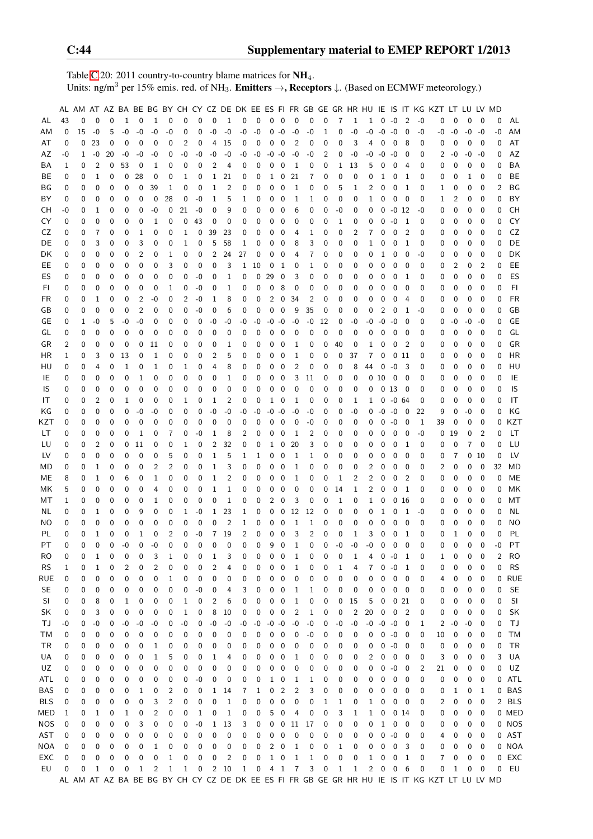Table [C.](#page-2-0)20: 2011 country-to-country blame matrices for  $NH_4$ . Units: ng/m<sup>3</sup> per 15% emis. red. of NH<sub>3</sub>. **Emitters**  $\rightarrow$ **, Receptors**  $\downarrow$ . (Based on ECMWF meteorology.)

|            |    |             |                |             |              |                |                |      |             |              |                   |             |              |                         |                |                          |                |                |          |                |              |                |                   |                         |                          |          | AL AM AT AZ BA BE BG BY CH CY CZ DE DK EE ES FI FR GB GE GR HR HU IE IS IT KG KZT LT LU LV MD |          |      |             |      |            |
|------------|----|-------------|----------------|-------------|--------------|----------------|----------------|------|-------------|--------------|-------------------|-------------|--------------|-------------------------|----------------|--------------------------|----------------|----------------|----------|----------------|--------------|----------------|-------------------|-------------------------|--------------------------|----------|-----------------------------------------------------------------------------------------------|----------|------|-------------|------|------------|
| AL         | 43 | $\mathbf 0$ | 0              | 0           | $\mathbf{1}$ | $\mathbf 0$    | $\mathbf{1}$   | 0    | 0           | $\mathbf 0$  | 0                 | $\mathbf 1$ | 0            | $\overline{0}$          |                | $0\quad 0$               | $\mathbf 0$    | 0              | 0        | $\overline{7}$ | $\mathbf{1}$ | $\mathbf{1}$   | $0 - 0$           |                         | $\overline{2}$           | $-0$     | 0                                                                                             | $\Omega$ | 0    | 0           | 0    | AL         |
| ΑM         | 0  | 15          | $-0$           | 5           | $-0$         | -0             | $-0$           | $-0$ | 0           | 0            | $-0$              | $-0$        | $-0$         | $-0$                    | 0              | -0                       | $-0$           | $-0$           | 1        | 0              | -0           | $-0$           | $-0$              | $-0$                    | 0                        | $-0$     | -0                                                                                            | -0       | $-0$ | $-0$        | $-0$ | ΑM         |
| AT         | 0  | 0           | 23             | 0           | 0            | 0              | 0              | 0    | 2           | 0            | 4                 | 15          | 0            | 0                       | 0              | 0                        | 2              | 0              | 0        | 0              | 3            | 4              | 0                 | 0                       | 8                        | 0        | 0                                                                                             | 0        | 0    | $\mathbf 0$ | 0    | AT         |
| AZ         | -0 | 1           | $-0$           | 20          | -0           | -0             | -0             | 0    | -0          | -0           | $-0$              | -0          | -0           | $-0$                    | $-0 - 0$       |                          | -0             | -0             | 2        | 0              | -0           | -0             | $-0$              | -0                      | 0                        | 0        | 2                                                                                             | -0       | -0   | $-0$        | 0    | AZ         |
| BA         | 1  | 0           | 2              | 0           | 53           | 0              | 1              | 0    | 0           | 0            | 2                 | 4           | 0            | 0                       | 0              | 0                        | 1              | 0              | 0        | 1              | 13           | 5              | 0                 | 0                       | 4                        | 0        | 0                                                                                             | 0        | 0    | 0           | 0    | BA         |
| BE         | 0  | 0           | 1              | 0           | 0            | 28             | 0              | 0    | 1           | 0            | 1                 | 21          | 0            | 0                       | 1              | 0                        | 21             | 7              | 0        | 0              | 0            | 0              | 1                 | 0                       | 1                        | 0        | 0                                                                                             | 0        | 1    | 0           | 0    | BE         |
| ΒG         | 0  | 0           | 0              | 0           | 0            | 0              | 39             | 1    | 0           | 0            | 1                 | 2           | 0            | 0                       | 0              | 0                        | 1              | 0              | 0        | 5              | 1            | 2              | 0                 | 0                       | 1                        | 0        | 1                                                                                             | 0        | 0    | 0           | 2    | BG         |
| ΒY         | 0  | 0           | 0              | 0           | 0            | 0              | 0              | 28   | 0           | $-0$         | 1                 | 5           | 1            | 0                       | 0              | 0                        | 1              | 1              | 0        | 0              | 0            | 1              | 0                 | 0                       | $\overline{0}$           | 0        | 1                                                                                             | 2        | 0    | $\mathbf 0$ | 0    | BY         |
| CН         | -0 | 0           | $\mathbf{1}$   | 0           | 0            | 0              | -0             | 0    | 21          | $-0$         | 0                 | 9           | 0            | 0                       | 0              | 0                        | 6              | 0              | 0        | -0             | 0            | 0              | 0                 | $-0$ 12                 |                          | -0       | 0                                                                                             | 0        | 0    | 0           | 0    | <b>CH</b>  |
| CY         | 0  | 0           | 0              | 0           | 0            | 0              | 1              | 0    | 0           | 43           | 0                 | 0           | 0            | 0                       | 0              | 0                        | 0              | 0              | 0        | 1              | 0            | 0              | 0                 | -0                      | $\mathbf{1}$             | 0        | 0                                                                                             | 0        | 0    | 0           | 0    | CY         |
| CZ         | 0  | 0           | 7              | 0           | 0            | 1              | 0              | 0    | 1           | 0            | 39                | 23          | 0            | 0                       | 0              | 0                        | 4              | 1              | 0        | 0              | 2            | 7              | 0                 | 0                       | 2                        | 0        | 0                                                                                             | 0        | 0    | 0           | 0    | CZ         |
| DE         | 0  | 0           | 3              | 0           | 0            | 3              | 0              | 0    | 1           | 0            | 5                 | 58          | 1            | 0                       | 0              | 0                        | 8              | 3              | 0        | 0              | 0            | 1              | 0                 | 0                       | 1                        | 0        | 0                                                                                             | 0        | 0    | 0           | 0    | DE         |
| DK         | 0  | 0           | 0              | 0           | 0            | 2              | 0              | 1    | 0           | 0            | 2                 | 24          | 27           | 0                       | 0              | 0                        | 4              | 7              | 0        | 0              | 0            | 0              | 1                 | 0                       | 0                        | -0       | 0                                                                                             | 0        | 0    | 0           | 0    | DK         |
| EE.        | 0  | 0           | 0              | 0           | 0            | 0              | 0              | 3    | 0           | 0            | 0                 | 3           | $\mathbf 1$  | 10                      | 0              | 1                        | 0              | 1              | 0        | 0              | 0            | 0              | 0                 | 0                       | 0                        | 0        | 0                                                                                             | 2        | 0    | 2           | 0    | EE         |
| ES         | 0  | 0           | 0              | 0           | 0            | 0              | 0              | 0    | 0           | $-0$         | 0                 | 1           | 0            | 0                       | 29             | 0                        | 3              | 0              | 0        | 0              | 0            | 0              | 0                 | 0                       | 1                        | 0        | 0                                                                                             | 0        | 0    | $\mathbf 0$ | 0    | ES         |
| FI         | 0  | 0           | 0              | 0           | 0            | 0              | 0              | 1    | 0           | $-0$         | 0                 | 1           | 0            | 0                       | 0              | 8                        | 0              | 0              | 0        | 0              | 0            | 0              | 0                 | 0                       | 0                        | 0        | 0                                                                                             | 0        | 0    | 0           | 0    | FI         |
| FR         | 0  | 0           | 1              | 0           | 0            | 2              | -0             | 0    | 2           | $-0$         | 1                 | 8           | 0            | 0                       | 2              | 0                        | 34             | 2              | 0        | 0              | 0            | 0              | 0                 | 0                       | 4                        | 0        | 0                                                                                             | 0        | 0    | 0           | 0    | <b>FR</b>  |
| GB         | 0  | 0           | $\mathbf 0$    | 0           | 0            | $\overline{2}$ | 0              | 0    | 0           | $-0$         | 0                 | 6           | 0            | 0                       | 0              | 0                        | 9              | 35             | 0        | 0              | 0            | 0              | 2                 | 0                       | 1                        | -0       | 0                                                                                             | 0        | 0    | 0           | 0    | GB         |
| GE         | 0  | 1           | $-0$           | 5           | $-0$         | -0             | 0              | 0    | 0           | 0            | -0                | -0          | -0           | $-0$                    | $-0 - 0$       |                          | -0             | -0             | 12       | 0              | -0           | -0             | $-0$              | $-0$                    | 0                        | 0        | 0                                                                                             | -0       | -0   | -0          | 0    | GE         |
| GL         | 0  | 0           | 0              | 0           | 0            | 0              | 0              | 0    | 0           | 0            | 0                 | 0           | 0            | 0                       | 0              | 0                        | 0              | 0              | 0        | 0              | 0            | 0              | 0                 | 0                       | 0                        | 0        | 0                                                                                             | 0        | 0    | 0           | 0    | GL         |
| GR         | 2  | 0           | 0              | 0           | 0            | 0              | 11             | 0    | 0           | 0            | 0                 | 1           | 0            | 0                       | 0              | 0                        | 1              | 0              | 0        | 40             | 0            | 1              | 0                 | 0                       | 2                        | 0        | 0                                                                                             | 0        | 0    | 0           | 0    | GR         |
| HR         | 1  | 0           | 3              | 0           | 13           | 0              | 1              | 0    | 0           | 0            | $\overline{c}$    | 5           | 0            | 0                       | 0              | 0                        | 1              | 0              | 0        | 0              | 37           | 7              | $\mathbf 0$       |                         | 011                      | 0        | 0                                                                                             | 0        | 0    | 0           | 0    | <b>HR</b>  |
| HU         | 0  | 0           | 4              | 0           | 1            | 0              | 1              | 0    | 1           | 0            | 4                 | 8           | 0            | 0                       | 0              | 0                        | 2              | 0              | 0        | 0              | 8            | 44             | 0                 | $-0$                    | - 3                      | 0        | 0                                                                                             | 0        | 0    | 0           | 0    | HU         |
| IE         | 0  | 0           | 0              | $\mathbf 0$ | 0            | 1              | 0              | 0    | 0           | 0            | 0                 | 1           | 0            | 0                       | 0              | 0                        | 3              | 11             | 0        | 0              | 0            |                | 010               | $\overline{\mathbf{0}}$ | $\overline{\phantom{0}}$ | 0        | 0                                                                                             | 0        | 0    | $\mathbf 0$ | 0    | IE         |
| IS         | 0  | 0           | 0              | 0           | 0            | 0              | 0              | 0    | 0           | 0            | 0                 | 0           | 0            | 0                       | 0              | 0                        | 0              | 0              | 0        | 0              | 0            | 0              |                   | 0 <sub>13</sub>         | $\overline{\phantom{0}}$ | 0        | 0                                                                                             | 0        | 0    | 0           | 0    | IS         |
| IT         | 0  | 0           | 2              | 0           | 1            | 0              | 0              | 0    | 1           | 0            | 1                 | 2           | 0            | 0                       | 1              | 0                        | 1              | 0              | 0        | 0              | 1            | 1              | 0                 | $-0.64$                 |                          | 0        | 0                                                                                             | 0        | 0    | 0           | 0    | IT         |
| ΚG         | 0  | 0           | 0              | 0           | 0            | -0             | -0             | 0    | 0           | 0            | -0                | -0          | -0           | -0                      | $-0 - 0$       |                          | -0             | -0             | 0        | 0              | -0           | 0              | $-0$              | $-0$                    | - 0                      | 22       | 9                                                                                             | 0        | -0   | 0           | 0    | ΚG         |
| KZT        | 0  | 0           | 0              | 0           | 0            | 0              | 0              | 0    | 0           | 0            | 0                 | 0           | 0            | 0                       | 0              | 0                        | 0              | -0             | 0        | 0              | 0            | 0              | 0                 | -0                      | 0                        | 1        | 39                                                                                            | 0        | 0    | 0           | 0    | KZT        |
| LT         | 0  | 0           | 0              | 0           | 0            | 1              | 0              | 7    | 0           | -0           | 1                 | 8           | 2            | 0                       | 0              | 0                        | 1              | 2              | 0        | 0              | 0            | 0              | 0                 | 0                       | 0                        | -0       | 0                                                                                             | 19       | 0    | 2           | 0    | LT         |
| LU         | 0  | 0           | $\overline{2}$ | 0           | 0            | 11             | 0              | 0    | 1           | 0            | $\overline{c}$    | 32          | 0            | 0                       | 1              | 0                        | 20             | 3              | 0        | 0              | 0            | 0              | 0                 | 0                       | 1                        | 0        | 0                                                                                             | 0        | 7    | $\mathbf 0$ | 0    | LU         |
| LV         | 0  | 0           | 0              | $\mathbf 0$ | 0            | 0              | 0              | 5    | 0           | 0            | $1\,$             | 5           | 1            | 1                       | 0              | 0                        | 1              | 1              | 0        | 0              | 0            | 0              | 0                 | 0                       | 0                        | 0        | 0                                                                                             | 7        | 0    | 10          | 0    | LV         |
| MD         | 0  | 0           | 1              | 0           | 0            | 0              | 2              | 2    | 0           | 0            | 1                 | 3           | 0            | 0                       | 0              | 0                        | 1              | 0              | 0        | 0              | 0            | 2              | 0                 | 0                       | 0                        | 0        | 2                                                                                             | 0        | 0    | $\mathbf 0$ | 32   | MD         |
| MЕ         | 8  | 0           | 1              | 0           | 6            | 0              | 1              | 0    | 0           | 0            | 1                 | 2           | 0            | 0                       | 0              | 0                        | 1              | 0              | 0        | 1              | 2            | 2              | 0                 | 0                       | 2                        | 0        | 0                                                                                             | 0        | 0    | 0           | 0    | ME         |
| ΜK         | 5  | 0           | 0              | 0           | 0            | 0              | 4              | 0    | 0           | 0            | 1                 | 1           | 0            | 0                       | 0              | 0                        | 0              | 0              | 0        | 14             | 1            | 2              | $\mathbf 0$       | 0                       | 1                        | 0        | 0                                                                                             | 0        | 0    | 0           | 0    | MK         |
| МT         | 1  | 0           | 0              | 0           | 0            | 0              | 1              | 0    | 0           | 0            | 0                 | $\mathbf 1$ | 0            | 0                       | 2              | 0                        | 3              | 0              | 0        | 1              | 0            | 1              | 0                 |                         | 0 <sub>16</sub>          | 0        | 0                                                                                             | 0        | 0    | 0           | 0    | МT         |
| NL         | 0  | 0           | 1              | 0           | 0            | 9              | 0              | 0    | 1           | $-0$         | 1                 | 23          | 1            | 0                       | 0              | $\overline{\mathbf{0}}$  | 12             | 12             | 0        | 0              | 0            | 0              | 1                 | 0                       | 1                        | -0       | 0                                                                                             | 0        | 0    | 0           | 0    | ΝL         |
| ΝO         | 0  | 0           | 0              | 0           | 0            | 0              | 0              | 0    | 0           | 0            | 0                 | 2           | 1            | 0                       | 0              | 0                        | 1              | 1              | 0        | 0              | 0            | 0              | $\mathbf 0$       | $\mathbf 0$             | 0                        | 0        | 0                                                                                             | 0        | 0    | 0           | 0    | NO         |
| PL         | 0  | 0           | 1              | $\mathbf 0$ | 0            | 1              | 0              | 2    | 0           | $-0$         | $\overline{7}$    | 19          | 2            | $\pmb{0}$               | 0              | $\mathbf 0$              | 3              | $\overline{2}$ | 0        | 0              | 1            | 3              | 0                 | $\mathbf 0$             | 1                        | 0        | 0                                                                                             | 1        | 0    | $\mathbf 0$ | 0    | PL         |
| PT         | 0  | 0           | $\Omega$       | $\Omega$    | $-0$         | $\mathbf 0$    | $-0$           | 0    | $\mathbf 0$ | $\mathbf 0$  | 0                 | $\mathbf 0$ | 0            | $\pmb{0}$               | 9              | $\mathbf 0$              | $\mathbf{1}$   | $\mathbf 0$    | $\Omega$ | $-0$           | $-0$         | $-0$           | $\overline{0}$    | $\mathbf 0$             | $\mathbf 0$              | $\Omega$ | 0                                                                                             | $\Omega$ | 0    | $\Omega$    | $-0$ | PT         |
| RO         | 0  | 0           | 1              | 0           | 0            | 0              | 3              | 1    | 0           | 0            | 1                 | 3           | 0            | 0                       | 0              | $\overline{0}$           | 1              | 0              | 0        | 0              | 1            | 4              | 0                 | -0                      | 1                        | 0        | 1                                                                                             | 0        | 0    | 0           | 2    | <b>RO</b>  |
| <b>RS</b>  | 1  | 0           | 1              | 0           | 2            | 0              | 2              | 0    | 0           | 0            | 2                 | 4           | 0            | 0                       | 0              | 0                        | 1              | 0              | 0        | 1              | 4            | 7              | 0                 | $-0$                    | 1                        | 0        | 0                                                                                             | 0        | 0    | 0           | 0    | <b>RS</b>  |
| RUE        | 0  | 0           | 0              | 0           | 0            | 0              | 0              | 1    | 0           | 0            | 0                 | 0           | 0            | 0                       | 0              | $\boldsymbol{0}$         | 0              | 0              | 0        | 0              | 0            | 0              | 0                 | 0                       | 0                        | 0        | 4                                                                                             | 0        | 0    | 0           | 0    | <b>RUE</b> |
| <b>SE</b>  | 0  | 0           | 0              | 0           | 0            | 0              | 0              | 0    | 0           | $-0$         | 0                 | 4           | 3            | 0                       |                | $0\quad 0$               | 1              | 1              | 0        | 0              | 0            | 0              | 0                 | 0                       | $\overline{\mathbf{0}}$  | 0        | 0                                                                                             | 0        | 0    | 0           | 0    | <b>SE</b>  |
| SI         | 0  | 0           | 8              | 0           | 1            | 0              | 0              | 0    | 1           | 0            | 2                 | 6           | 0            | 0                       | 0              | $\overline{\phantom{0}}$ | 1              | 0              | 0        | 0              | 15           | 5              | 0                 |                         | 021                      | 0        | 0                                                                                             | 0        | 0    | 0           | 0    | SI         |
| SK         | 0  | 0           | 3              | 0           | 0            | 0              | 0              | 0    | 1           | 0            | 8                 | 10          | 0            | 0                       | 0              | $\mathbf 0$              | 2              | 1              | 0        | 0              | 2            | 20             | $\pmb{0}$         | 0                       | $\overline{c}$           | 0        | 0                                                                                             | 0        | 0    | 0           | 0    | SK         |
| ТJ         | -0 | 0           | $\mbox{-}0$    | 0           | -0           | $-0$           | -0             | 0    | $\mbox{-}0$ | 0            | $\textnormal{-}0$ | $-0$        | -0           | $-0$                    | $-0 - 0$       |                          | $-0$           | $-0$           | 0        | $-0$           | $-0$         | $\mbox{-}0$    | $\textnormal{-}0$ | $-0$                    | 0                        | 1        | 2                                                                                             | $-0$     | -0   | 0           | 0    | ΤJ         |
| ТM         | 0  | 0           | 0              | 0           | 0            | 0              | 0              | 0    | 0           | 0            | 0                 | 0           | 0            | 0                       | 0              | $\overline{\mathbf{0}}$  | 0              | -0             | 0        | 0              | 0            | 0              | $\boldsymbol{0}$  | $-0$                    | $\overline{\phantom{0}}$ | 0        | 10                                                                                            | 0        | 0    | 0           | 0    | TМ         |
| TR         | 0  | 0           | 0              | 0           | 0            | 0              | 1              | 0    | 0           | 0            | 0                 | 0           | 0            | 0                       | 0              | 0                        | 0              | 0              | 0        | 0              | 0            | 0              | 0                 | $-0$                    | $\overline{0}$           | 0        | 0                                                                                             | 0        | 0    | 0           | 0    | TR         |
| UA         | 0  | 0           | 0              | 0           | 0            | 0              | 1              | 5    | 0           | 0            | 1                 | 4           | 0            | 0                       | 0              | $\boldsymbol{0}$         | 1              | 0              | 0        | 0              | 0            | 2              | 0                 | 0                       | 0                        | 0        | 3                                                                                             | 0        | 0    | 0           | 3    | UA         |
| UZ         | 0  | 0           | 0              | 0           | 0            | 0              | 0              | 0    | 0           | 0            | 0                 | 0           | 0            | 0                       | 0              | $\boldsymbol{0}$         | 0              | 0              | 0        | 0              | 0            | 0              | 0                 | $-0$                    | 0                        | 2        | 21                                                                                            | 0        | 0    | 0           | 0    | UZ         |
| ATL        | 0  | 0           | 0              | 0           | 0            | 0              | 0              | 0    | 0           | -0           | 0                 | 0           | 0            | 0                       |                | $1\quad 0$               | 1              | 1              | 0        | 0              | 0            | 0              | 0                 | 0                       | 0                        | 0        | 0                                                                                             | 0        | 0    | 0           |      | 0 ATL      |
| BAS        | 0  | 0           | 0              | 0           | 0            | 1              | 0              | 2    | 0           | 0            | 1                 | 14          | 7            | 1                       | 0              | $\overline{c}$           | 2              | 3              | 0        | 0              | 0            | 0              | 0                 | 0                       | 0                        | 0        | 0                                                                                             | 1        | 0    | 1           | 0    | <b>BAS</b> |
| <b>BLS</b> | 0  | 0           | 0              | 0           | 0            | 0              | 3              | 2    | 0           | 0            | 0                 | 1           | 0            | 0                       | $\mathbf 0$    | $\pmb{0}$                | 0              | 0              | 1        | 1              | 0            | 1              | 0                 | 0                       | 0                        | 0        | 2                                                                                             | 0        | 0    | 0           |      | 2 BLS      |
| MED        | 1  | 0           | 1              | 0           | 1            | 0              | 2              | 0    | 0           | $\mathbf{1}$ | 0                 | 1           | 0            | 0                       | 5              | $\mathbf 0$              | 4              | 0              | 0        | 3              | $\mathbf{1}$ | $\mathbf{1}$   | 0                 |                         | 0 <sub>14</sub>          | 0        | 0                                                                                             | 0        | 0    | 0           |      | 0 MED      |
| NOS        | 0  | 0           | 0              | 0           | 0            | 3              | 0              | 0    | 0           | $-0$         | 1                 | 13          | 3            | 0                       |                | $0\quad 0$               | -11            | 17             | 0        | 0              | 0            | 0              | $1\,$             | $\pmb{0}$               | $\overline{\phantom{0}}$ | 0        | 0                                                                                             | 0        | 0    | 0           |      | 0 NOS      |
| AST        | 0  | 0           | 0              | 0           | 0            | 0              | 0              | 0    | 0           | 0            | 0                 | 0           | 0            | 0                       | 0              | $\overline{\mathbf{0}}$  | 0              | 0              | 0        | 0              | 0            | 0              | 0                 | $-0$                    | $\overline{\mathbf{0}}$  | 0        | 4                                                                                             | 0        | 0    | 0           |      | 0 AST      |
| NOA        | 0  | 0           | 0              | 0           | 0            | 0              | 1              | 0    | 0           | 0            | 0                 | 0           | 0            | 0                       | $\overline{2}$ | $\overline{\mathbf{0}}$  | 1              | 0              | 0        | 1              | 0            | 0              | 0                 | 0                       | 3                        | 0        | 0                                                                                             | 0        | 0    | 0           |      | 0 NOA      |
| EXC        | 0  | 0           | 0              | 0           | 0            | 0              | 0              | 1    | 0           | 0            | 0                 | 2           | 0            | 0                       |                | $1\quad 0$               | $\mathbf{1}$   | $\mathbf{1}$   | 0        | 0              | 0            | $\mathbf{1}$   | 0                 | 0                       | $\mathbf{1}$             | 0        | 7                                                                                             | 0        | 0    | 0           |      | 0 EXC      |
| EU         | 0  | 0           | $1\,$          | 0           | 0            | $\mathbf{1}$   | $\overline{c}$ | 1    | $1\,$       | $\pmb{0}$    |                   | 2 10        | $\mathbf{1}$ | $\overline{\mathbf{0}}$ |                | $4\quad1$                | $\overline{7}$ | 3              | 0        | $\mathbf 1$    | $\mathbf 1$  | $\overline{2}$ | $\overline{0}$    | $\mathbf 0$             | 6                        | 0        | 0                                                                                             | 1        | 0    | 0           | 0    | EU         |
|            |    |             |                |             |              |                |                |      |             |              |                   |             |              |                         |                |                          |                |                |          |                |              |                |                   |                         |                          |          | AL AM AT AZ BA BE BG BY CH CY CZ DE DK EE ES FI FR GB GE GR HR HU IE IS IT KG KZT LT LU LV MD |          |      |             |      |            |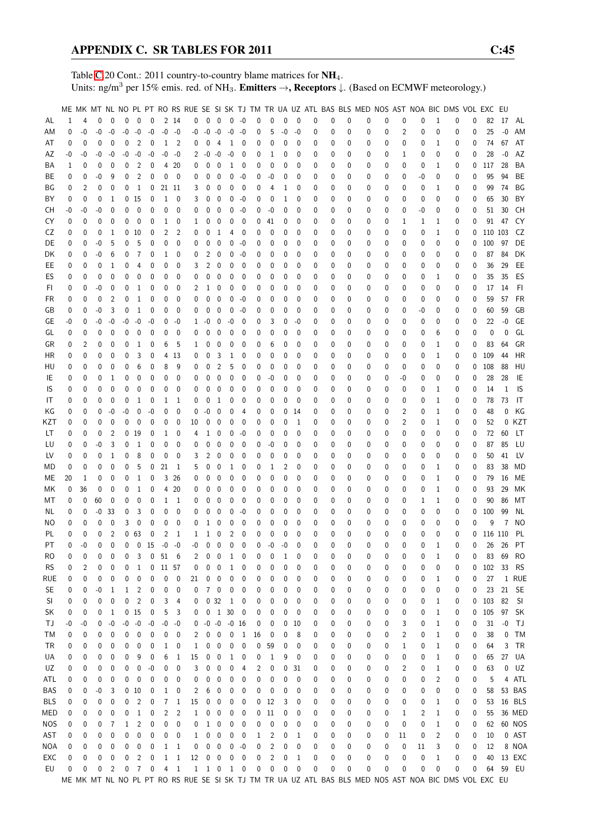Table [C.](#page-2-0)20 Cont.: 2011 country-to-country blame matrices for NH<sub>4</sub>. Units: ng/m<sup>3</sup> per 15% emis. red. of NH<sub>3</sub>. **Emitters**  $\rightarrow$ **, Receptors**  $\downarrow$ . (Based on ECMWF meteorology.)

|            |          |             |             |                |              |                  |             |              |                            |      |                                         |                         |                     |                          |             |      |             |              |   |   |          |              |             |              |    |                | ME MK MT NL NO PL PT RO RS RUE SE SI SK TJ TM TR UA UZ ATL BAS BLS MED NOS AST NOA BIC DMS VOL EXC EU |             |           |       |           |
|------------|----------|-------------|-------------|----------------|--------------|------------------|-------------|--------------|----------------------------|------|-----------------------------------------|-------------------------|---------------------|--------------------------|-------------|------|-------------|--------------|---|---|----------|--------------|-------------|--------------|----|----------------|-------------------------------------------------------------------------------------------------------|-------------|-----------|-------|-----------|
| AL         | 1        | 4           | 0           | $\mathbf{0}$   | $\mathbf 0$  | $\mathbf 0$      | $\mathbf 0$ |              | 2 14                       | 0    |                                         | $0\quad 0$              | $0 - 0$             |                          | $\mathbf 0$ | 0    | $\mathbf 0$ | $\mathbf{0}$ | 0 | 0 | 0        | 0            | $\mathbf 0$ | 0            | 0  | 1              | 0                                                                                                     | 0           | 82        | 17    | AL        |
| ΑM         | 0        | $-0$        | -0          | -0             | $-0$         | $-0$             | $-0$        | $-0$         | -0                         | -0   | $-0 - 0$                                |                         | $-0$                | $-0$                     | 0           | 5    | -0          | -0           | 0 | 0 | 0        | 0            | 0           | 2            | 0  | 0              | 0                                                                                                     | 0           | 25        | $-0$  | AM        |
| AT         | 0        | 0           | 0           | $\mathbf 0$    | 0            | 2                | 0           | 1            | $\overline{\phantom{0}}^2$ | 0    | 0                                       | $\overline{4}$          | 1                   | 0                        | 0           | 0    | 0           | $\mathbf 0$  | 0 | 0 | 0        | 0            | 0           | 0            | 0  | 1              | 0                                                                                                     | 0           | 74        | 67    | AT        |
| AΖ         | -0       | -0          | -0          | $-0$           | $-0$         | $-0$             | $-0$        | $-0$         | -0                         | 2    | $-0 -0$                                 |                         | $-0$                | 0                        | 0           | 1    | 0           | 0            | 0 | 0 | 0        | 0            | 0           | 1            | 0  | 0              | 0                                                                                                     | 0           | 28        | $-0$  | AZ        |
| ΒA         | 1        | 0           | $\mathbf 0$ | $\mathbf 0$    | 0            | 2                | 0           |              | 4 20                       | 0    | 0                                       | 0                       | $\mathbf{1}$        | 0                        | 0           | 0    | 0           | 0            | 0 | 0 | 0        | 0            | 0           | 0            | 0  | 1              | 0                                                                                                     | 0           | 117       | 28    | BA        |
| ВE         | 0        | 0           | -0          | 9              | 0            | $\overline{2}$   | 0           | 0            | - 0                        | 0    | 0                                       | $\mathbf 0$             | 0                   | -0                       | 0           | -0   | 0           | 0            | 0 | 0 | 0        | 0            | 0           | 0            | -0 | 0              | 0                                                                                                     | $\mathbf 0$ | 95        | 94    | BE        |
|            |          |             |             |                |              |                  |             |              |                            |      |                                         |                         |                     |                          |             |      |             |              |   |   |          |              |             |              |    |                |                                                                                                       |             |           |       |           |
| ΒG         | 0        | 2           | 0           | 0              | 0            | 1                | 0           | 21 11        |                            | 3    | 0                                       | $\mathbf 0$             | 0                   | 0                        | 0           | 4    | 1           | 0            | 0 | 0 | 0        | 0            | 0           | 0            | 0  | 1              | 0                                                                                                     | 0           | 99        | 74    | ΒG        |
| BY         | 0        | 0           | $\mathbf 0$ | 1              |              | 0 <sub>15</sub>  | 0           | 1            | 0                          | 3    | 0                                       | $\mathbf 0$             | 0                   | $-0$                     | 0           | 0    | 1           | 0            | 0 | 0 | 0        | 0            | 0           | 0            | 0  | 0              | 0                                                                                                     | 0           | 65        | 30    | BY        |
| CН         | -0       | -0          | -0          | 0              | 0            | $\mathbf 0$      | 0           | 0            | $\mathbf 0$                | 0    | 0                                       | 0                       | 0                   | -0                       | 0           | $-0$ | 0           | 0            | 0 | 0 | 0        | 0            | 0           | 0            | -0 | 0              | 0                                                                                                     | 0           | 51        | 30    | CН        |
| CY         | 0        | $\mathbf 0$ | $\mathbf 0$ | 0              | 0            | 0                | 0           | 1            | 0                          | 1    | 0                                       | $\mathbf 0$             | 0                   | 0                        | 0           | 41   | 0           | 0            | 0 | 0 | 0        | 0            | 0           | 1            | 1  | 1              | 0                                                                                                     | $\mathbf 0$ | 91        | 47    | CY        |
| CZ         | 0        | 0           | $\mathbf 0$ | 1              |              | 0 <sub>10</sub>  | 0           | 2            | 2                          | 0    | 0                                       | 1                       | 4                   | 0                        | 0           | 0    | 0           | 0            | 0 | 0 | 0        | 0            | 0           | 0            | 0  | 1              | 0                                                                                                     | 0           | 110 103   |       | CZ        |
| DE         | 0        | 0           | -0          | 5              | 0            | 5                | 0           | 0            | 0                          | 0    | 0                                       | 0                       | 0                   | -0                       | 0           | 0    | 0           | 0            | 0 | 0 | 0        | 0            | 0           | 0            | 0  | 0              | 0                                                                                                     | 0           | 100       | 97    | DE        |
| DK         | 0        | 0           | -0          | 6              | 0            | 7                | 0           | 1            | 0                          | 0    | 2                                       | 0                       | 0                   | -0                       | 0           | 0    | 0           | 0            | 0 | 0 | 0        | 0            | 0           | 0            | 0  | 0              | 0                                                                                                     | 0           | 87        | 84    | DK        |
| EE         | 0        | 0           | $\mathbf 0$ | 1              | 0            | 4                | 0           | 0            | 0                          | 3    | 2                                       | $\mathbf 0$             | 0                   | 0                        | 0           | 0    | 0           | 0            | 0 | 0 | 0        | 0            | 0           | 0            | 0  | 0              | 0                                                                                                     | 0           | 36        | 29    | EE        |
| ES         | 0        | 0           | 0           | 0              | 0            | 0                | 0           | 0            | 0                          | 0    | 0                                       | 0                       | 0                   | 0                        | 0           | 0    | 0           | 0            | 0 | 0 | 0        | 0            | 0           | 0            | 0  | 1              | 0                                                                                                     | $\mathbf 0$ | 35        | 35    | ES        |
| FI.        | 0        | 0           | -0          | 0              | 0            | 1                | 0           | 0            | 0                          | 2    | 1                                       | 0                       | 0                   | 0                        | 0           | 0    | 0           | 0            | 0 | 0 | 0        | 0            | 0           | 0            | 0  | 0              | 0                                                                                                     | 0           | 17        | 14    | FI.       |
| FR         | 0        | 0           | 0           | 2              | 0            | 1                | 0           | 0            | 0                          | 0    | 0                                       | 0                       | 0                   | $-0$                     | 0           | 0    | 0           | 0            | 0 | 0 | 0        | 0            | 0           | 0            | 0  | 0              | 0                                                                                                     | 0           | 59        | 57    | FR        |
| GB         | 0        | 0           | -0          | 3              | 0            | 1                | 0           | 0            | 0                          | 0    | 0                                       | $\mathbf{0}$            | 0                   | -0                       | 0           | 0    | 0           | 0            | 0 | 0 | 0        | 0            | 0           | 0            | -0 | 0              | 0                                                                                                     | 0           | 60        | 59    | GB        |
| GЕ         | -0       | 0           | -0          | -0             | -0           | $-0$             | -0          | 0            | -0                         | 1    | $-0$                                    | $\overline{0}$          | -0                  | 0                        | 0           | 3    | 0           | -0           | 0 | 0 | 0        | 0            | 0           | 0            | 0  | 0              | 0                                                                                                     | 0           | 22        | $-0$  | GE        |
| GL         | 0        | 0           | 0           | 0              | 0            | $\mathbf 0$      | $\mathbf 0$ | 0            | $\mathbf 0$                | 0    | 0                                       | 0                       | 0                   | 0                        | 0           | 0    | 0           | 0            | 0 | 0 | 0        | 0            | 0           | 0            | 0  | 6              | 0                                                                                                     | 0           | 0         | 0     | GL        |
| GR         | 0        | 2           | 0           | 0              | 0            | 1                | 0           | 6            | 5                          | 1    | 0                                       | 0                       | 0                   | 0                        | 0           | 6    | 0           | 0            | 0 | 0 | 0        | 0            | 0           | 0            | 0  | 1              | 0                                                                                                     | 0           | 83        | 64    | GR        |
| ΗR         | 0        | 0           | 0           | $\mathbf 0$    | 0            | 3                | 0           |              | 4 13                       | 0    | 0                                       | 3                       | 1                   | 0                        | 0           | 0    | 0           | 0            | 0 | 0 | 0        | 0            | 0           | 0            | 0  | 1              | 0                                                                                                     | 0           | 109       | 44    | HR        |
| HU         | 0        | 0           | 0           | $\mathbf 0$    | 0            | 6                | 0           | 8            | 9                          | 0    | 0                                       | 2                       | 5                   | 0                        | 0           | 0    | 0           | 0            | 0 | 0 | 0        | 0            | 0           | 0            | 0  | 0              | 0                                                                                                     | 0           | 108       | 88    | HU        |
| IE         | 0        | 0           | 0           | 1              | 0            | 0                | 0           | 0            | 0                          | 0    | 0                                       | 0                       | 0                   | 0                        | 0           | $-0$ | 0           | 0            | 0 | 0 | 0        | 0            | 0           | -0           | 0  | 0              | 0                                                                                                     | 0           | 28        | 28    | IE        |
| IS         | 0        | 0           | 0           | $\mathbf{0}$   | 0            | 0                | 0           | 0            | $\mathbf 0$                | 0    | 0                                       | 0                       | 0                   | 0                        | 0           | 0    | 0           | 0            | 0 | 0 | 0        | 0            | 0           | 0            | 0  | 1              | 0                                                                                                     | 0           | 14        | 1     | IS        |
| IT         | 0        | 0           | 0           | 0              | 0            | 1                | 0           | 1            | - 1                        | 0    | 0                                       | 1                       | 0                   | 0                        | 0           | 0    | 0           | 0            | 0 | 0 | 0        | 0            | 0           | 0            | 0  | 1              | 0                                                                                                     | $\mathbf 0$ | 78        | 73    | -IT       |
| ΚG         | 0        | 0           | 0           | $-0$           | -0           | 0                | -0          | 0            | 0                          | 0    | -0                                      | 0                       | 0                   | 4                        | 0           | 0    | 0           | 14           | 0 | 0 | 0        | 0            | 0           | 2            | 0  | 1              | 0                                                                                                     | 0           | 48        | 0     | KG        |
|            |          |             | 0           |                | 0            |                  |             |              | 0                          | 10   |                                         | 0                       | 0                   |                          |             |      | 0           | 1            |   |   | 0        |              |             |              | 0  |                |                                                                                                       | 0           | 52        |       | 0 KZT     |
| KZT        | 0        | 0           |             | 0              |              | 0                | 0           | 0            |                            |      | 0                                       |                         |                     | 0                        | 0           | 0    |             |              | 0 | 0 |          | 0            | 0           | 2            |    | 1              | 0                                                                                                     |             |           |       |           |
| LT         | 0        | 0           | 0           | 2              |              | 0 <sub>19</sub>  | 0           | 1            | - 0                        | 4    | 1                                       | 0                       | 0                   | $-0$                     | 0           | 0    | 0           | 0            | 0 | 0 | 0        | 0            | 0           | 0            | 0  | 0              | 0                                                                                                     | 0           | 72        | 60    | LT        |
| LU         | 0        | 0           | -0          | 3              | 0            | 1                | 0           | 0            | 0                          | 0    | 0                                       | 0                       | 0                   | 0                        | 0           | -0   | 0           | 0            | 0 | 0 | 0        | 0            | 0           | 0            | 0  | 0              | 0                                                                                                     | 0           | 87        | 85    | LU        |
| LV         | 0        | 0           | 0           | 1              | 0            | 8                | 0           | 0            | 0                          | 3    | 2                                       | 0                       | 0                   | 0                        | 0           | 0    | 0           | 0            | 0 | 0 | 0        | 0            | 0           | 0            | 0  | 0              | 0                                                                                                     | 0           | 50        | 41    | LV        |
| MD         | 0        | 0           | 0           | $\mathbf{0}$   | 0            | 5                | 0           | 21           | -1                         | 5    | 0                                       | 0                       | 1                   | 0                        | 0           | 1    | 2           | 0            | 0 | 0 | 0        | 0            | 0           | 0            | 0  | 1              | 0                                                                                                     | 0           | 83        | 38    | MD        |
| МE         | 20       | 1           | 0           | $\mathbf 0$    | 0            | $\mathbf{1}$     | 0           |              | 3 26                       | 0    | 0                                       | $\mathbf 0$             | 0                   | 0                        | 0           | 0    | 0           | 0            | 0 | 0 | 0        | 0            | 0           | 0            | 0  | 1              | 0                                                                                                     | 0           | 79        | 16    | ME        |
| МK         | 0        | 36          | 0           | $\mathbf 0$    | 0            | 1                | 0           | 4            | 20                         | 0    | 0                                       | $\mathbf{0}$            | 0                   | 0                        | 0           | 0    | 0           | 0            | 0 | 0 | 0        | 0            | 0           | 0            | 0  | 1              | 0                                                                                                     | 0           | 93        | 29    | МK        |
| МT         | 0        | 0           | 60          | 0              | 0            | 0                | 0           | 1            | - 1                        | 0    | 0                                       | 0                       | 0                   | 0                        | 0           | 0    | 0           | 0            | 0 | 0 | 0        | 0            | 0           | 0            | 1  | 1              | 0                                                                                                     | 0           | 90        | 86    | МT        |
| ΝL         | 0        | $\mathbf 0$ | -0          | 33             | 0            | 3                | 0           | 0            | 0                          | 0    | 0                                       | 0                       | 0                   | $-0$                     | 0           | 0    | 0           | 0            | 0 | 0 | 0        | 0            | 0           | 0            | 0  | 0              | 0                                                                                                     | 0           | 100       | 99    | ΝL        |
| ΝO         | 0        | 0           | $\mathbf 0$ | 0              | 3            | 0                | 0           | 0            | 0                          | 0    | 1                                       | 0                       | 0                   | 0                        | 0           | 0    | 0           | 0            | 0 | 0 | 0        | 0            | 0           | 0            | 0  | 0              | 0                                                                                                     | 0           | 9         | 7     | NO        |
| PL         | 0        | 0           | 0           | $\overline{2}$ |              | 0 <sub>63</sub>  | 0           | 2            | -1                         | 1    | 1                                       | 0                       | 2                   | 0                        | 0           | 0    | 0           | $\Omega$     | 0 | 0 | 0        | 0            | 0           | 0            | 0  | 0              | 0                                                                                                     | 0           | 116 110   |       | PL        |
| PT         | $\Omega$ | $-0$        | 0           | $\Omega$       | $\Omega$     |                  | 0, 15       | $-0 -0$      |                            | $-0$ | $\mathbf{0}$                            | $\overline{0}$          | $\mathbf{0}$        | $\mathbf{0}$             | $\Omega$    | $-0$ | $-0$        | $\Omega$     | 0 | 0 | $\Omega$ | $\mathbf{0}$ | $\theta$    | $\mathbf{0}$ | 0  | 1              | 0                                                                                                     | 0           |           | 26 26 | <b>PT</b> |
| RO         | 0        | 0           | 0           | 0              | 0            | 3                | 0           | 51           | - 6                        | 2    | 0                                       | $\boldsymbol{0}$        | 1                   | 0                        | 0           | 0    | 1           | 0            | 0 | 0 | 0        | 0            | 0           | 0            | 0  | 1              | 0                                                                                                     | 0           | 83        | 69    | RO        |
| <b>RS</b>  | 0        | 2           | 0           | 0              | 0            | 1                | 0           | 11 57        |                            | 0    | 0                                       | 0                       | 1                   | 0                        | 0           | 0    | 0           | 0            | 0 | 0 | 0        | 0            | 0           | 0            | 0  | 0              | 0                                                                                                     | 0           | 102 33    |       | <b>RS</b> |
| rue        | 0        | 0           | 0           | 0              | 0            | 0                | 0           | 0            | 0                          | 21   | 0                                       | $\boldsymbol{0}$        | 0                   | 0                        | 0           | 0    | 0           | 0            | 0 | 0 | 0        | 0            | 0           | 0            | 0  | 1              | 0                                                                                                     | 0           | 27        |       | 1 RUE     |
| <b>SE</b>  | 0        | 0           | -0          | 1              | 1            | 2                | 0           | 0            | 0                          | 0    | 7                                       | $\overline{0}$          | 0                   | 0                        | 0           | 0    | 0           | 0            | 0 | 0 | 0        | 0            | 0           | 0            | 0  | 0              | 0                                                                                                     | 0           | 23        | 21    | <b>SE</b> |
| SI         | 0        | 0           | 0           | 0              | 0            | 2                | 0           | 3            | 4                          | 0    |                                         | 0 <sub>32</sub>         | $\mathbf{1}$        | $\mathbf 0$              | 0           | 0    | 0           | 0            | 0 | 0 | 0        | 0            | 0           | 0            | 0  | 1              | 0                                                                                                     | 0           | 103       | 82    | SI        |
| SK         | 0        | 0           | 0           | -1             |              | 0 <sub>15</sub>  | 0           | 5            | 3                          | 0    |                                         |                         | $0$ 1 30            | $\overline{\phantom{0}}$ | 0           | 0    | 0           | 0            | 0 | 0 | 0        | 0            | 0           | 0            | 0  | 1              | 0                                                                                                     | 0           | 105 97 SK |       |           |
| ТJ         | -0       | -0          | 0           | $-0$           |              | $-0 - 0$         | $-0$        |              | $-0 - 0$                   | 0    |                                         |                         | $-0$ $-0$ $-0$ $16$ |                          | 0           | 0    | 0           | 10           | 0 | 0 | 0        | 0            | 0           | 3            | 0  | 1              | 0                                                                                                     | 0           | 31        | $-0$  | - TJ      |
| ТM         | 0        | 0           | 0           | 0              | 0            | $\boldsymbol{0}$ | 0           | 0            | 0                          | 2    | 0                                       | $\overline{0}$          | $\pmb{0}$           | $\mathbf{1}$             | 16          | 0    | 0           | 8            | 0 | 0 | 0        | 0            | 0           | 2            | 0  | 1              | 0                                                                                                     | 0           | 38        | 0     | <b>TM</b> |
| ΤR         | 0        | 0           | 0           | 0              | 0            | 0                | 0           | 1            | $\overline{\mathbf{0}}$    | 1    | 0                                       | $\overline{0}$          | 0                   | $\mathbf 0$              | 0           | 59   | 0           | 0            | 0 | 0 | 0        | 0            | 0           | 1            | 0  | 1              | 0                                                                                                     | 0           | 64        | 3     | TR        |
| UA         | 0        | 0           | 0           | 0              | 0            | 9                | 0           | 6            | -1                         | 15   | 0                                       | $\boldsymbol{0}$        | 1                   | 0                        | 0           | 1    | 9           | 0            | 0 | 0 | 0        | 0            | 0           | 0            | 0  | 1              | 0                                                                                                     | 0           | 65        | 27    | UA        |
| UZ         | 0        | 0           | 0           | 0              | 0            | 0                | $-0$        | 0            | 0                          | 3    | 0                                       | 0                       | 0                   | 4                        | 2           | 0    | 0           | 31           | 0 | 0 | 0        | 0            | 0           | 2            | 0  | 1              | 0                                                                                                     | 0           | 63        | 0     | UZ        |
| ATL        | 0        | 0           | $\bf{0}$    | 0              | 0            | 0                | 0           | 0            | 0                          | 0    | 0                                       | 0                       | 0                   | 0                        | 0           | 0    | 0           | 0            | 0 | 0 | 0        | 0            | 0           | 0            | 0  | 2              | 0                                                                                                     | 0           | 5         |       | 4 ATL     |
|            |          |             |             |                |              |                  |             |              |                            |      |                                         |                         |                     |                          |             |      |             | 0            |   |   |          |              |             |              |    |                |                                                                                                       |             |           |       | 53 BAS    |
| BAS        | 0        | 0           | -0          | 3              |              | 0 <sub>10</sub>  | 0           | 1            | 0                          | 2    | 6                                       | 0                       | 0                   | 0                        | 0           | 0    | 0           |              | 0 | 0 | 0        | 0            | 0           | 0            | 0  | 0              | 0                                                                                                     | 0           | 58        |       |           |
| BLS        | 0        | 0           | 0           | 0              | 0            | 2                | 0           | 7            | 1                          | 15   | 0                                       | 0                       | 0                   | 0                        | 0           | 12   | 3           | 0            | 0 | 0 | 0        | 0            | 0           | 0            | 0  | 1              | 0                                                                                                     | 0           | 53        |       | 16 BLS    |
| MED        | 0        | 0           | 0           | 0              | 0            | 1                | 0           | 2            | 2                          | 1    | 0                                       | $\boldsymbol{0}$        | 0                   | 0                        | 0           | 11   | 0           | 0            | 0 | 0 | 0        | 0            | 0           | 1            | 2  | 1              | 0                                                                                                     | 0           | 55        |       | 36 MED    |
| <b>NOS</b> | 0        | 0           | 0           | 7              | $\mathbf{1}$ | 2                | 0           | $\pmb{0}$    | 0                          | 0    | $\mathbf{1}$                            | $\boldsymbol{0}$        | 0                   | 0                        | 0           | 0    | 0           | 0            | 0 | 0 | 0        | 0            | 0           | 0            | 0  | 1              | 0                                                                                                     | 0           | 62        |       | 60 NOS    |
| AST        | 0        | 0           | 0           | 0              | 0            | 0                | 0           | 0            | $\mathbf 0$                | 1    | 0                                       | $\overline{\mathbf{0}}$ | 0                   | 0                        | 1           | 2    | 0           | 1            | 0 | 0 | 0        | 0            | 0           | 11           | 0  | $\overline{2}$ | 0                                                                                                     | 0           | 10        |       | 0 AST     |
| NOA        | 0        | 0           | 0           | 0              | 0            | 0                | 0           | 1            | $\overline{1}$             | 0    | 0                                       | $\overline{0}$          | 0                   | $-0$                     | 0           | 2    | 0           | 0            | 0 | 0 | 0        | 0            | 0           | 0            | 11 | 3              | 0                                                                                                     | 0           | 12        |       | 8 NOA     |
| EXC        | 0        | 0           | 0           | 0              | 0            | 2                | 0           | $\mathbf{1}$ | $\mathbf{1}$               | 12   |                                         | $0\quad 0$              | 0                   | 0                        | 0           | 2    | 0           | 1            | 0 | 0 | 0        | 0            | 0           | 0            | 0  | 1              | 0                                                                                                     | 0           | 40        |       | 13 EXC    |
| EU         | 0        | 0           | 0           | 2              | 0            | $\overline{7}$   | 0           | 4            | $\overline{1}$             |      | $\begin{matrix} 1 & 1 & 0 \end{matrix}$ |                         |                     | 1 0                      | 0           | 0    | 0           | 0            | 0 | 0 | 0        | 0            | 0           | 0            | 0  | 0              | 0                                                                                                     | 0           | 64        |       | 59 EU     |
|            |          |             |             |                |              |                  |             |              |                            |      |                                         |                         |                     |                          |             |      |             |              |   |   |          |              |             |              |    |                | ME MK MT NL NO PL PT RO RS RUE SE SI SK TJ TM TR UA UZ ATL BAS BLS MED NOS AST NOA BIC DMS VOL EXC EU |             |           |       |           |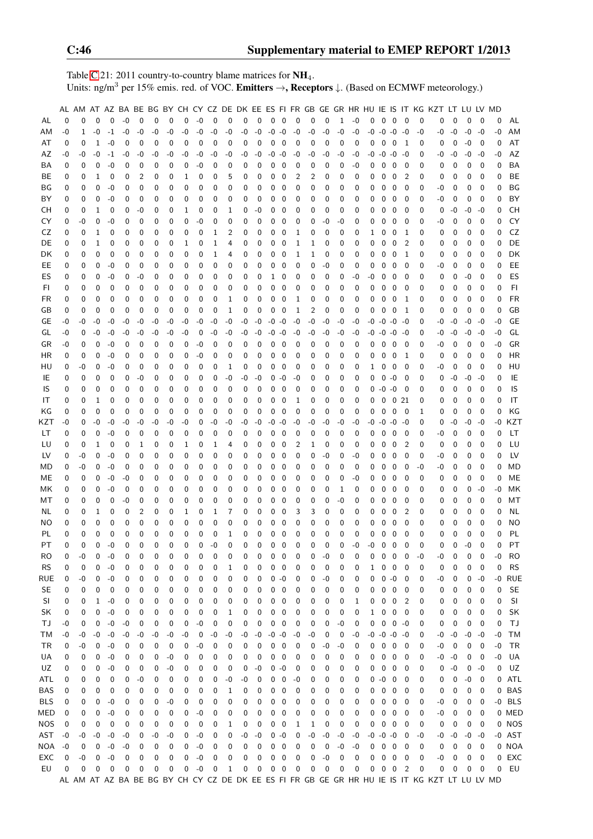Table [C.](#page-2-0)21: 2011 country-to-country blame matrices for  $NH_4$ . Units: ng/m<sup>3</sup> per 15% emis. red. of VOC. **Emitters**  $\rightarrow$ **, Receptors**  $\downarrow$ . (Based on ECMWF meteorology.)

|            |      |          |              |             |      |             |          |             |              |                |             |              |             |             |             |                          |             |             |             |              |             |      |                |                          |                          |             | AL AM AT AZ BA BE BG BY CH CY CZ DE DK EE ES FI FR GB GE GR HR HU IE IS IT KG KZT LT LU LV MD |             |      |             |      |            |
|------------|------|----------|--------------|-------------|------|-------------|----------|-------------|--------------|----------------|-------------|--------------|-------------|-------------|-------------|--------------------------|-------------|-------------|-------------|--------------|-------------|------|----------------|--------------------------|--------------------------|-------------|-----------------------------------------------------------------------------------------------|-------------|------|-------------|------|------------|
| AL         | 0    | $\Omega$ | $\Omega$     | $\mathbf 0$ | $-0$ | $\mathbf 0$ | 0        | $\mathbf 0$ | $\mathbf 0$  | $-0$           | $\mathbf 0$ | $\mathbf 0$  | 0           | $\mathbf 0$ | $\mathbf 0$ | $\overline{\phantom{0}}$ | $\mathbf 0$ | $\mathbf 0$ | $\mathbf 0$ | $\mathbf{1}$ | $-0$        | 0    | $0\quad 0$     |                          | $\mathbf{0}$             | $\mathbf 0$ | 0                                                                                             | $\mathbf 0$ | 0    | 0           | 0    | AL         |
| AM         | -0   | 1        | $-0$         | $-1$        | $-0$ | $-0$        | $-0$     | -0          | -0           | $-0$           | $-0$        | $-0$         | -0          | $-0$        | $-0$        | $-0$                     | $-0$        | -0          | $-0$        | -0           | $-0$        | -0   | $-0 - 0$       |                          | -0                       | $-0$        | -0                                                                                            | -0          | $-0$ | $-0$        | $-0$ | AM         |
| AT         | 0    | 0        | $\mathbf{1}$ | $-0$        | 0    | 0           | 0        | 0           | 0            | 0              | 0           | 0            | 0           | 0           | 0           | 0                        | 0           | 0           | 0           | 0            | 0           | 0    | 0              | $\mathbf 0$              | -1                       | 0           | 0                                                                                             | 0           | $-0$ | 0           | 0    | AT         |
| AZ         | -0   | -0       | -0           | $-1$        | -0   | -0          | -0       | -0          | -0           | -0             | -0          | -0           | -0          | -0          | $-0$        | -0                       | -0          | -0          | -0          | -0           | -0          | -0   | $-0$ $-0$ $-0$ |                          |                          | 0           | -0                                                                                            | -0          | $-0$ | $-0$        | -0   | AZ         |
| BA         | 0    | 0        | 0            | -0          | 0    | 0           | 0        | 0           | 0            | $-0$           | 0           | 0            | 0           | 0           | 0           | 0                        | 0           | 0           | 0           | 0            | -0          | 0    | 0              | $\mathbf 0$              | 0                        | 0           | 0                                                                                             | 0           | 0    | 0           | 0    | BA         |
| BE         | 0    | 0        | 1            | 0           | 0    | 2           | 0        | 0           | 1            | 0              | 0           | 5            | 0           | 0           | 0           | 0                        | 2           | 2           | 0           | 0            | 0           | 0    | 0              | $\mathbf 0$              | 2                        | 0           | 0                                                                                             | 0           | 0    | 0           | 0    | BE         |
| ΒG         | 0    | 0        | 0            | $-0$        | 0    | 0           | 0        | 0           | 0            | 0              | 0           | 0            | 0           | 0           | 0           | 0                        | 0           | 0           | 0           | 0            | 0           | 0    | 0              | 0                        | 0                        | 0           | -0                                                                                            | 0           | 0    | 0           | 0    | BG         |
|            |      | 0        | 0            | $-0$        |      | 0           |          | 0           | 0            | 0              | 0           | 0            | 0           |             |             |                          |             | 0           | 0           | 0            | 0           | 0    | 0              | $\mathbf 0$              |                          | 0           | -0                                                                                            |             | 0    | 0           | 0    | BY         |
| BY         | 0    |          |              |             | 0    |             | 0        |             |              |                |             |              |             | 0           | 0           | 0                        | 0           |             |             |              |             |      |                |                          | 0                        |             |                                                                                               | 0           |      |             |      |            |
| CН         | 0    | 0        | $\mathbf{1}$ | 0           | 0    | -0          | 0        | 0           | $\mathbf{1}$ | 0              | 0           | 1            | 0           | -0          | 0           | 0                        | 0           | 0           | 0           | $\mathbf 0$  | 0           | 0    | 0              | $\mathbf 0$              | 0                        | 0           | 0                                                                                             | -0          | -0   | $-0$        | 0    | <b>CH</b>  |
| CY         | 0    | -0       | 0            | -0          | 0    | 0           | 0        | 0           | 0            | $-0$           | 0           | 0            | 0           | 0           | 0           | 0                        | 0           | 0           | -0          | -0           | 0           | 0    | 0              | 0                        | 0                        | 0           | -0                                                                                            | 0           | 0    | 0           | 0    | CY         |
| CZ         | 0    | 0        | 1            | 0           | 0    | 0           | 0        | 0           | 0            | 0              | 1           | 2            | 0           | 0           | 0           | 0                        | 1           | 0           | 0           | 0            | 0           | 1    | 0              | 0                        | 1                        | 0           | 0                                                                                             | 0           | 0    | 0           | 0    | CZ         |
| DE         | 0    | 0        | 1            | 0           | 0    | 0           | 0        | 0           | 1            | 0              | 1           | 4            | 0           | 0           | 0           | 0                        | 1           | 1           | 0           | 0            | 0           | 0    | 0              | $\mathbf 0$              | 2                        | 0           | 0                                                                                             | 0           | 0    | 0           | 0    | DE         |
| DK         | 0    | 0        | 0            | 0           | 0    | 0           | 0        | 0           | 0            | 0              | 1           | 4            | 0           | 0           | 0           | 0                        | 1           | 1           | 0           | 0            | 0           | 0    | 0              | 0                        | 1                        | 0           | 0                                                                                             | 0           | 0    | 0           | 0    | DK         |
| EE         | 0    | 0        | 0            | $-0$        | 0    | 0           | 0        | 0           | 0            | 0              | 0           | 0            | 0           | 0           | 0           | 0                        | 0           | 0           | -0          | 0            | 0           | 0    | 0              | 0                        | 0                        | 0           | -0                                                                                            | 0           | 0    | 0           | 0    | EE         |
| ES         | 0    | 0        | 0            | $-0$        | 0    | $-0$        | 0        | 0           | 0            | 0              | 0           | 0            | 0           | 0           | 1           | 0                        | 0           | 0           | 0           | 0            | $-0$        | -0   | 0              | $\mathbf 0$              | 0                        | 0           | 0                                                                                             | 0           | -0   | 0           | 0    | ES         |
| FI         | 0    | 0        | 0            | 0           | 0    | 0           | 0        | 0           | 0            | 0              | 0           | 0            | 0           | 0           | 0           | $\mathbf 0$              | 0           | 0           | 0           | 0            | 0           | 0    | 0              | $\overline{0}$           | 0                        | 0           | 0                                                                                             | 0           | 0    | 0           | 0    | F1         |
| FR         | 0    | 0        | 0            | 0           | 0    | 0           | 0        | 0           | 0            | 0              | 0           | 1            | 0           | 0           | 0           | 0                        | 1           | 0           | 0           | 0            | 0           | 0    | 0              | $\mathbf 0$              | 1                        | 0           | 0                                                                                             | 0           | 0    | 0           | 0    | <b>FR</b>  |
| GB         | 0    | 0        | 0            | 0           | 0    | 0           | 0        | 0           | 0            | 0              | 0           | 1            | 0           | 0           | 0           | 0                        | 1           | 2           | 0           | 0            | 0           | 0    | 0              | 0                        | 1                        | 0           | 0                                                                                             | 0           | 0    | $\mathbf 0$ | 0    | GB         |
| GE         | -0   | -0       | -0           | $-0$        | -0   | -0          | -0       | -0          | -0           | $-0$           | -0          | $-0$         | -0          | -0          | $-0$        | $-0$                     | $-0$        | -0          | -0          | -0           | -0          | -0   | $-0$ $-0$ $-0$ |                          |                          | 0           | $-0$                                                                                          | -0          | $-0$ | $-0$        | -0   | GE         |
| GL         | -0   | 0        | -0           | -0          | -0   | -0          | $-0$     | -0          | -0           | 0              | -0          | -0           | -0          | -0          | $-0$        | -0                       | $-0$        | -0          | -0          | -0           | -0          | -0   | $-0$ $-0$ $-0$ |                          |                          | 0           | -0                                                                                            | -0          | $-0$ | $-0$        | -0   | GL         |
| GR         | -0   | 0        | 0            | -0          | 0    | 0           | 0        | 0           | 0            | $-0$           | 0           | 0            | 0           | 0           | 0           | 0                        | 0           | 0           | 0           | 0            | 0           | 0    | 0              | $\mathbf 0$              | - 0                      | 0           | -0                                                                                            | 0           | 0    | 0           | $-0$ | GR         |
| ΗR         | 0    | 0        | 0            | $-0$        | 0    | 0           | 0        | 0           | 0            | $-0$           | 0           | 0            | 0           | 0           | 0           | 0                        | 0           | 0           | 0           | 0            | 0           | 0    | 0              | $\mathbf 0$              | -1                       | 0           | 0                                                                                             | 0           | 0    | 0           | 0    | <b>HR</b>  |
| HU         | 0    | $-0$     | 0            | -0          | 0    | 0           | 0        | 0           | 0            | 0              | 0           | 1            | 0           | 0           | 0           | 0                        | 0           | 0           | 0           | 0            | 0           | 1    | 0              | $\overline{\mathbf{0}}$  | 0                        | 0           | -0                                                                                            | 0           | 0    | 0           | 0    | HU         |
| IE         | 0    | 0        | 0            | 0           | 0    | -0          | 0        | 0           | 0            | 0              | 0           | $-0$         | $-0$        | $-0$        | 0           | -0                       | -0          | 0           | $\mathbf 0$ | 0            | 0           | 0    |                | $0 - 0$                  | $\overline{\phantom{0}}$ | 0           | 0                                                                                             | -0          | $-0$ | $-0$        | 0    | IE         |
| IS         | 0    | 0        | 0            | 0           | 0    | 0           | 0        | 0           | 0            | 0              | 0           | 0            | 0           | 0           | 0           | 0                        | 0           | 0           | 0           | 0            | 0           | 0    | $-0 -0$        |                          | $\overline{\phantom{0}}$ | 0           | 0                                                                                             | 0           | 0    | 0           | 0    | IS         |
| IT         | 0    | 0        | 1            | 0           | 0    | 0           | 0        | 0           | 0            | 0              | 0           | 0            | 0           | 0           | 0           | 0                        | 1           | 0           | 0           | 0            | 0           | 0    | 0              | 0 <sub>21</sub>          |                          | 0           | 0                                                                                             | 0           | 0    | 0           | 0    | IT         |
| ΚG         | 0    | 0        | 0            | 0           | 0    | 0           | 0        | 0           | 0            | 0              | 0           | 0            | 0           | 0           | 0           | 0                        | 0           | 0           | 0           | 0            | 0           | 0    | 0              | 0                        | - 0                      | 1           | 0                                                                                             | 0           | 0    | 0           | 0    | ΚG         |
| KZT        | -0   | 0        | -0           | -0          | -0   | -0          | -0       | -0          | -0           | 0              | -0          | -0           | -0          | -0          | $-0$        | -0                       | -0          | -0          | -0          | -0           | -0          | -0   | $-0$           | $-0$                     | -0                       | 0           | 0                                                                                             | -0          | -0   | $-0$        | -0   | KZT        |
| LT         | 0    | 0        | 0            | -0          | 0    | 0           | 0        | 0           | 0            | 0              | 0           | 0            | 0           | 0           | 0           | 0                        | 0           | 0           | 0           | 0            | 0           | 0    | 0              | 0                        | 0                        | 0           | -0                                                                                            | 0           | 0    | 0           | 0    | LТ         |
| LU         | 0    | 0        | 1            | 0           | 0    | 1           | 0        | 0           | 1            | 0              | 1           | 4            | 0           | 0           | 0           | 0                        | 2           | 1           | 0           | 0            | 0           | 0    | 0              | $\mathbf 0$              | 2                        | 0           | 0                                                                                             | 0           | 0    | 0           | 0    | LU         |
| LV         | 0    | $-0$     | 0            | $-0$        | 0    | 0           | 0        | 0           | 0            | 0              | 0           | 0            | 0           | 0           | 0           | 0                        | 0           | 0           | -0          | 0            | -0          | 0    | 0              | 0                        | 0                        | 0           | -0                                                                                            | 0           | 0    | 0           | 0    | LV         |
| MD         | 0    | -0       | 0            | $-0$        | 0    | 0           | 0        | 0           | 0            | 0              | 0           | 0            | 0           | 0           | 0           | 0                        | 0           | 0           | 0           | 0            | 0           | 0    | 0              | 0                        | 0                        | -0          | -0                                                                                            | 0           | 0    | 0           | 0    | MD         |
| MЕ         | 0    | 0        | 0            | $-0$        | -0   | 0           | 0        | 0           | 0            | 0              | 0           | 0            | 0           | 0           | 0           | 0                        | 0           | 0           | 0           | 0            | -0          | 0    | 0              | 0                        | 0                        | 0           | 0                                                                                             | 0           | 0    | 0           | 0    | MЕ         |
| ΜK         | 0    | 0        | 0            | $-0$        | 0    | 0           | 0        | 0           | 0            | 0              | 0           | 0            | 0           | 0           | 0           | 0                        | 0           | 0           | 0           | 1            | 0           | 0    | 0              | $\mathbf 0$              | 0                        | 0           | 0                                                                                             | 0           | 0    | $-0$        | $-0$ | МK         |
| МT         | 0    | 0        | 0            | 0           | -0   | 0           | 0        | 0           | 0            | 0              | 0           | 0            | 0           | 0           | 0           | 0                        | 0           | 0           | 0           | -0           | 0           | 0    | 0              | 0                        | 0                        | 0           | 0                                                                                             | 0           | 0    | 0           | 0    | МT         |
|            |      | 0        | 1            | 0           | 0    | 2           | 0        |             | 1            | 0              | 1           | 7            | 0           | 0           | 0           | 0                        | 3           |             | 0           | 0            | 0           | 0    | 0              | 0                        | $\overline{2}$           | 0           |                                                                                               |             | 0    |             | 0    | ΝL         |
| NL         | 0    |          |              |             |      |             |          | 0           | 0            |                | 0           | 0            |             |             |             |                          |             | 3           |             |              | 0           |      | 0              |                          |                          |             | 0                                                                                             | 0           |      | 0           |      |            |
| NO         | 0    | 0        | 0            | 0           | 0    | 0           | 0        | 0           |              | 0              |             |              | 0           | 0           | 0           | 0                        | 0           | 0           | 0           | 0            |             | 0    |                | 0                        | 0                        | 0           | 0                                                                                             | 0           | 0    | 0           | 0    | ΝO         |
| PL         | 0    | 0        | $\mathbf{0}$ | $\mathbf 0$ | 0    | 0           | 0        | $\mathbf 0$ | 0            | $\mathbf 0$    | 0           | $\mathbf{1}$ | 0           | 0           | $\mathbf 0$ | 0                        | 0           | 0           | $\mathbf 0$ | 0            | $\mathbf 0$ | 0    | $\mathbf 0$    | $\mathbf 0$              | 0                        | 0           | 0                                                                                             | 0           | 0    | $\mathbf 0$ | 0    | PL         |
| PT         | 0    | $\Omega$ | $\mathbf{0}$ | $-0$        | 0    | $\mathbf 0$ | $\Omega$ | $\Omega$    | $\Omega$     | $\overline{0}$ | $-0$        | $\Omega$     | $\mathbf 0$ | $\mathbf 0$ | $\mathbf 0$ | $\mathbf 0$              | $\mathbf 0$ | 0           | $\Omega$    | $\Omega$     | $-0$        | $-0$ | $0\quad 0$     |                          | $\mathbf 0$              | $\Omega$    | 0                                                                                             | $\Omega$    | $-0$ | $\Omega$    | 0    | PT         |
| RO         | 0    | $-0$     | 0            | -0          | 0    | 0           | 0        | 0           | 0            | 0              | 0           | 0            | 0           | 0           | 0           | 0                        | 0           | 0           | -0          | 0            | 0           | 0    | 0              | 0                        | 0                        | -0          | -0                                                                                            | 0           | 0    | 0           | $-0$ | <b>RO</b>  |
| <b>RS</b>  | 0    | 0        | 0            | -0          | 0    | 0           | 0        | 0           | 0            | 0              | 0           | 1            | 0           | 0           | 0           | 0                        | 0           | 0           | 0           | 0            | 0           | 1    | 0              | 0                        | 0                        | 0           | 0                                                                                             | 0           | 0    | 0           | 0    | <b>RS</b>  |
| RUE        | 0    | -0       | 0            | -0          | 0    | 0           | 0        | 0           | 0            | 0              | 0           | 0            | 0           | 0           | 0           | $-0$                     | 0           | 0           | $-0$        | 0            | 0           | 0    | $0 - 0$        |                          | 0                        | 0           | -0                                                                                            | 0           | 0    | $-0$        | $-0$ | <b>RUE</b> |
| <b>SE</b>  | 0    | 0        | 0            | 0           | 0    | 0           | 0        | 0           | 0            | 0              | 0           | 0            | 0           | 0           | 0           | 0                        | 0           | 0           | 0           | 0            | 0           | 0    | $0\quad 0$     |                          | 0                        | 0           | 0                                                                                             | 0           | 0    | 0           | 0    | <b>SE</b>  |
| SI         | 0    | 0        | 1            | -0          | 0    | 0           | 0        | 0           | 0            | 0              | 0           | 0            | 0           | 0           | 0           | 0                        | 0           | 0           | 0           | 0            | 1           | 0    | $0\quad 0$     |                          | $\overline{2}$           | 0           | 0                                                                                             | 0           | 0    | 0           | 0    | SI         |
| SK         | 0    | 0        | 0            | -0          | 0    | 0           | 0        | 0           | 0            | 0              | 0           | 1            | 0           | 0           | 0           | 0                        | 0           | 0           | 0           | 0            | 0           | 1    | 0              | 0                        | 0                        | 0           | 0                                                                                             | 0           | 0    | 0           | 0    | SK         |
| ТJ         | -0   | 0        | 0            | $-0$        | -0   | 0           | 0        | 0           | 0            | $-0$           | 0           | 0            | 0           | 0           | 0           | 0                        | 0           | 0           | 0           | -0           | 0           | 0    | 0              | $\mathbf 0$              | -0                       | 0           | 0                                                                                             | 0           | 0    | 0           | 0    | TJ         |
| ТM         | -0   | -0       | $-0$         | -0          | -0   | -0          | -0       | -0          | -0           | 0              | -0          | -0           | -0          | -0          | $-0$        | $-0$                     | -0          | -0          | 0           | 0            | -0          | -0   | $-0$ $-0$ $-0$ |                          |                          | 0           | -0                                                                                            | $-0$        | $-0$ | -0          | -0   | TМ         |
| TR         | 0    | -0       | 0            | -0          | 0    | 0           | 0        | 0           | 0            | $-0$           | 0           | 0            | 0           | 0           | 0           | 0                        | 0           | 0           | -0          | -0           | 0           | 0    | 0              | 0                        | 0                        | 0           | -0                                                                                            | 0           | 0    | 0           | -0   | TR         |
| UA         | 0    | 0        | 0            | -0          | 0    | 0           | 0        | -0          | 0            | 0              | 0           | 0            | 0           | 0           | 0           | 0                        | 0           | 0           | 0           | 0            | 0           | 0    | 0              | 0                        | 0                        | 0           | -0                                                                                            | $-0$        | 0    | 0           | -0   | UA         |
| UZ         | 0    | 0        | 0            | -0          | 0    | 0           | 0        | -0          | 0            | 0              | 0           | 0            | 0           | -0          | 0           | -0                       | 0           | 0           | 0           | 0            | 0           | 0    | 0              | 0                        | 0                        | 0           | 0                                                                                             | -0          | 0    | -0          | 0    | UZ         |
| ATL        | 0    | 0        | 0            | 0           | 0    | -0          | 0        | 0           | 0            | 0              | 0           | -0           | -0          | 0           | 0           | 0                        | -0          | 0           | 0           | 0            | 0           | 0    | $-0$ 0         |                          | 0                        | 0           | 0                                                                                             | 0           | $-0$ | 0           | 0    | ATL        |
| BAS        | 0    | 0        | 0            | 0           | 0    | 0           | 0        | 0           | 0            | 0              | 0           | 1            | 0           | 0           | 0           | 0                        | 0           | 0           | 0           | 0            | 0           | 0    | 0              | 0                        | 0                        | 0           | 0                                                                                             | 0           | 0    | 0           |      | 0 BAS      |
| <b>BLS</b> | 0    | 0        | 0            | -0          | 0    | 0           | 0        | -0          | 0            | 0              | 0           | 0            | 0           | 0           | 0           | 0                        | 0           | 0           | 0           | 0            | 0           | 0    | 0              | 0                        | 0                        | 0           | -0                                                                                            | 0           | 0    | 0           |      | $-0$ BLS   |
| MED        | 0    | 0        | 0            | -0          | 0    | 0           | 0        | 0           | 0            | $-0$           | 0           | 0            | 0           | 0           | 0           | 0                        | 0           | 0           | 0           | 0            | 0           | 0    | 0              | $\mathbf 0$              | 0                        | 0           | -0                                                                                            | 0           | 0    | 0           |      | 0 MED      |
| <b>NOS</b> | 0    | 0        | 0            | 0           | 0    | 0           | 0        | 0           | 0            | 0              | 0           | 1            | 0           | 0           | 0           | 0                        | 1           | 1           | 0           | 0            | 0           | 0    | 0              | $\overline{\phantom{0}}$ | 0                        | 0           | 0                                                                                             | 0           | 0    | 0           |      | 0 NOS      |
| AST        | $-0$ | -0       | $-0$         | -0          | -0   | 0           | $-0$     | -0          | 0            | $-0$           | 0           | 0            | -0          | -0          | 0           | $-0$                     | 0           | -0          | -0          | -0           | $-0$        | -0   | $-0 -0$        |                          | 0                        | -0          | -0                                                                                            | $-0$        | $-0$ | $-0$        |      | -0 AST     |
| NOA        | $-0$ | 0        | 0            | -0          | -0   | 0           | 0        | 0           | 0            | $-0$           | 0           | 0            | 0           | 0           | 0           | 0                        | 0           | 0           | 0           | $-0$         | -0          | 0    | 0              | 0                        | 0                        | 0           | 0                                                                                             | 0           | 0    | 0           |      | 0 NOA      |
| EXC        | 0    | -0       | 0            | $-0$        | 0    | 0           | 0        | 0           | 0            | $-0$           | 0           | 0            | 0           | 0           | 0           | 0                        | 0           | 0           | $-0$        | 0            | 0           | 0    | 0              | 0                        | 0                        | 0           | -0                                                                                            | 0           | 0    | 0           |      | 0 EXC      |
| EU         | 0    | 0        | 0            | 0           | 0    | 0           | 0        | 0           | 0            | $-0$           | 0           | 1            | 0           | 0           | $\pmb{0}$   | $\mathbf 0$              | 0           | 0           | 0           | 0            | 0           | 0    | $0\quad 0$     |                          | $\overline{2}$           | 0           | 0                                                                                             | 0           | 0    | 0           | 0    | EU         |
|            |      |          |              |             |      |             |          |             |              |                |             |              |             |             |             |                          |             |             |             |              |             |      |                |                          |                          |             | AL AM AT AZ BA BE BG BY CH CY CZ DE DK EE ES FI FR GB GE GR HR HU IE IS IT KG KZT LT LU LV MD |             |      |             |      |            |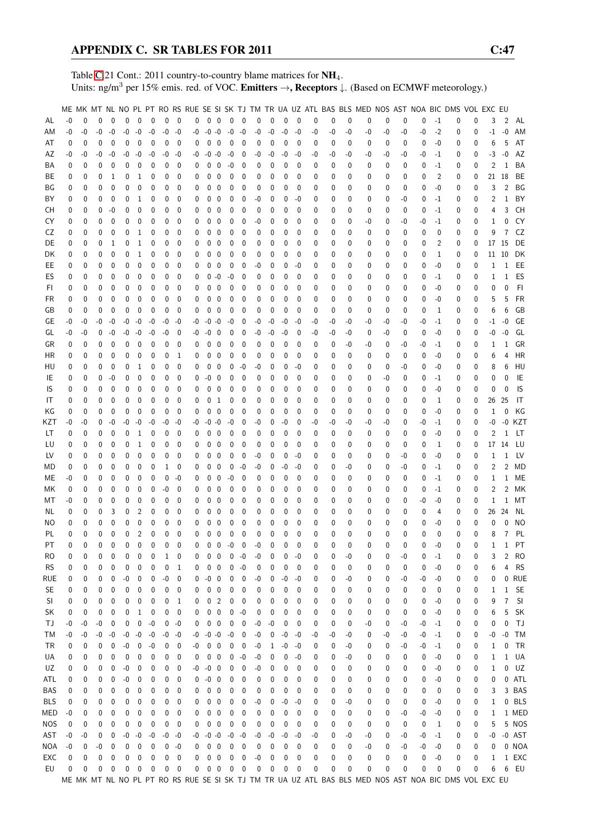Table [C.](#page-2-0)21 Cont.: 2011 country-to-country blame matrices for NH<sub>4</sub>. Units: ng/m<sup>3</sup> per 15% emis. red. of VOC. Emitters →, Receptors ↓. (Based on ECMWF meteorology.)

|            |              |          |          |              |              |              |              |             |              |    |             |                         |              |              |      |          |          |              |    |    |          |    |             |      |          |              | ME MK MT NL NO PL PT RO RS RUE SE SI SK TJ TM TR UA UZ ATL BAS BLS MED NOS AST NOA BIC DMS VOL EXC EU |              |              |                |            |
|------------|--------------|----------|----------|--------------|--------------|--------------|--------------|-------------|--------------|----|-------------|-------------------------|--------------|--------------|------|----------|----------|--------------|----|----|----------|----|-------------|------|----------|--------------|-------------------------------------------------------------------------------------------------------|--------------|--------------|----------------|------------|
| AL         | $-0$         | 0        | $\theta$ | $\mathbf{0}$ | 0            | $\mathbf 0$  | $\mathbf 0$  | $\mathbf 0$ | $\mathbf 0$  | 0  | $0\quad 0$  |                         | $\mathbf 0$  | $\mathbf{0}$ | 0    | 0        | 0        | $\mathbf 0$  | 0  | 0  | 0        | 0  | $\mathbf 0$ | 0    | 0        | $-1$         | 0                                                                                                     | 0            | 3            | 2              | AL         |
| ΑM         | -0           | -0       | $-0$     | $-0$         | $-0$         | $-0$         | $-0$         | -0          | -0           | -0 | $-0 - 0$    |                         | $-0$         | $-0$         | $-0$ | $-0$     | $-0$     | -0           | -0 | -0 | -0       | -0 | -0          | -0   | -0       | $-2$         | 0                                                                                                     | 0            | $-1$         | $-0$           | AM         |
| AT         | 0            | 0        | 0        | $\mathbf 0$  | 0            | 0            | $\mathbf 0$  | 0           | $\mathbf{0}$ | 0  | 0           | $\mathbf 0$             | $\mathbf 0$  | 0            | 0    | 0        | 0        | 0            | 0  | 0  | 0        | 0  | 0           | 0    | 0        | $-0$         | 0                                                                                                     | 0            | 6            | 5              | AT         |
| AΖ         | -0           | -0       | -0       | -0           | $-0$         | $-0$         | $-0$         | -0          | -0           | -0 | -0          | $-0$                    | -0           | 0            | -0   | -0       | $-0$     | -0           | -0 | -0 | -0       | -0 | -0          | -0   | -0       | $-1$         | 0                                                                                                     | 0            | $-3$         | $-0$           | AZ         |
| ΒA         | 0            | 0        | 0        | 0            | 0            | 0            | 0            | 0           | 0            | 0  | 0           | 0                       | -0           | 0            | 0    | 0        | 0        | 0            | 0  | 0  | 0        | 0  | 0           | 0    | 0        | $-1$         | 0                                                                                                     | 0            | 2            | 1              | BA         |
| ВE         | 0            | 0        | 0        | 1            | 0            | 1            | 0            | 0           | 0            | 0  | 0           | 0                       | 0            | 0            | 0    | 0        | 0        | 0            | 0  |    | 0        | 0  | 0           |      | 0        | 2            | 0                                                                                                     |              | 21           | 18             | BE         |
|            |              |          |          |              |              |              |              |             |              |    |             |                         |              |              |      |          |          |              |    | 0  |          |    |             | 0    |          |              |                                                                                                       | 0            |              |                |            |
| ΒG         | 0            | 0        | 0        | 0            | 0            | 0            | 0            | 0           | 0            | 0  | 0           | 0                       | 0            | 0            | 0    | 0        | 0        | 0            | 0  | 0  | 0        | 0  | 0           | 0    | 0        | $-0$         | 0                                                                                                     | 0            | 3            | 2              | BG         |
| ΒY         | 0            | 0        | 0        | $\mathbf 0$  | 0            | 1            | 0            | 0           | 0            | 0  | 0           | 0                       | 0            | 0            | -0   | 0        | 0        | -0           | 0  | 0  | 0        | 0  | 0           | -0   | 0        | $-1$         | 0                                                                                                     | 0            | 2            | 1              | BY         |
| CН         | 0            | 0        | 0        | $-0$         | 0            | 0            | $\mathbf{0}$ | 0           | 0            | 0  | 0           | 0                       | 0            | 0            | 0    | 0        | 0        | 0            | 0  | 0  | 0        | 0  | 0           | 0    | 0        | $-1$         | 0                                                                                                     | 0            | 4            | 3              | CH         |
| CY         | 0            | 0        | 0        | 0            | 0            | 0            | 0            | 0           | 0            | 0  | 0           | 0                       | 0            | 0            | -0   | 0        | 0        | 0            | 0  | 0  | 0        | -0 | 0           | -0   | -0       | $-1$         | 0                                                                                                     | 0            | 1            | 0              | CY         |
| CZ         | 0            | 0        | 0        | $\mathbf 0$  | 0            | 1            | 0            | 0           | 0            | 0  | 0           | $\mathbf 0$             | 0            | 0            | 0    | 0        | 0        | 0            | 0  | 0  | 0        | 0  | 0           | 0    | 0        | 0            | 0                                                                                                     | 0            | 9            | 7              | CZ         |
| DE         | 0            | 0        | 0        | 1            | 0            | 1            | 0            | 0           | 0            | 0  | 0           | 0                       | 0            | 0            | 0    | 0        | 0        | 0            | 0  | 0  | 0        | 0  | 0           | 0    | 0        | 2            | 0                                                                                                     | 0            | 17           | - 15           | DE         |
| DK         | 0            | 0        | 0        | 0            | 0            | 1            | 0            | 0           | 0            | 0  | 0           | 0                       | 0            | 0            | 0    | 0        | 0        | 0            | 0  | 0  | 0        | 0  | 0           | 0    | 0        | 1            | 0                                                                                                     | 0            | 11           | 10             | DK         |
| EE         | 0            | 0        | 0        | 0            | 0            | 0            | 0            | 0           | 0            | 0  | 0           | 0                       | 0            | 0            | -0   | 0        | 0        | -0           | 0  | 0  | 0        | 0  | 0           | 0    | 0        | -0           | 0                                                                                                     | 0            | 1            | 1              | EE         |
| ES         | 0            | 0        | 0        | 0            | 0            | 0            | 0            | 0           | 0            | 0  | 0           | -0                      | -0           | 0            | 0    | 0        | 0        | 0            | 0  | 0  | 0        | 0  | 0           | 0    | 0        | $-1$         | 0                                                                                                     | 0            | 1            | 1              | ES         |
| FI.        | 0            | 0        | 0        | 0            | 0            | 0            | 0            | 0           | 0            | 0  | 0           | 0                       | 0            | 0            | 0    | 0        | 0        | 0            | 0  | 0  | 0        | 0  | 0           | 0    | 0        | -0           | 0                                                                                                     | 0            | 0            | 0              | FI         |
| FR         | 0            | 0        | 0        | 0            | 0            | 0            | 0            | 0           | 0            | 0  | 0           | 0                       | 0            | 0            | 0    | 0        | 0        | 0            | 0  | 0  | 0        | 0  | 0           | 0    | 0        | $-0$         | 0                                                                                                     | 0            | 5            | 5              | FR         |
| GB         | 0            | 0        | 0        | $\mathbf{0}$ | 0            | 0            | 0            | 0           | 0            | 0  | 0           | $\overline{0}$          | 0            | 0            | 0    | 0        | 0        | 0            | 0  | 0  | 0        | 0  | 0           | 0    | 0        | $\mathbf{1}$ | 0                                                                                                     | 0            | 6            | 6              | GB         |
| GE         | -0           | -0       | -0       | -0           | -0           | $-0$         | $-0$         | -0          | -0           | -0 | $-0 -0$     |                         | -0           | 0            | -0   | -0       | -0       | -0           | -0 | -0 | -0       | -0 | -0          | -0   | -0       | $-1$         | 0                                                                                                     | 0            | $-1$         | $-0$           | GE         |
| GL         | -0           | -0       | 0        | $-0$         | $-0$         | $-0$         | $-0$         | -0          | 0            | -0 | $-0$        | 0                       | 0            | 0            | $-0$ | $-0$     | $-0$     | $\mathbf{0}$ | -0 | -0 | -0       | 0  | -0          | 0    | 0        | $-0$         | 0                                                                                                     | 0            | -0           | $-0$           | GL         |
| GR         | 0            | 0        | 0        | 0            | 0            | 0            | 0            | 0           | 0            | 0  | 0           | 0                       | 0            | 0            | 0    | 0        | 0        | 0            | 0  | 0  | -0       | -0 | 0           | -0   | -0       | $-1$         | 0                                                                                                     | 0            | 1            | 1              | GR         |
| ΗR         | 0            | 0        | 0        | $\mathbf 0$  | 0            | 0            | 0            | 0           | 1            | 0  | 0           | $\mathbf 0$             | 0            | 0            | 0    | 0        | 0        | 0            | 0  | 0  | 0        | 0  | 0           | 0    | 0        | -0           | 0                                                                                                     | 0            | 6            | 4              | HR         |
| HU         | 0            | 0        | 0        | 0            | 0            | 1            | $\mathbf{0}$ | 0           | 0            | 0  | 0           | $\mathbf 0$             | 0            | $-0$         | -0   | 0        | 0        | -0           | 0  | 0  | 0        | 0  | 0           | -0   | 0        | -0           | 0                                                                                                     | 0            | 8            | 6              | HU         |
| IE         | 0            | 0        | 0        | $-0$         | 0            | 0            | 0            | 0           | 0            | 0  | $-0$        | 0                       | 0            | 0            | 0    | 0        | 0        | 0            | 0  | 0  | 0        | 0  | -0          | 0    | 0        | $-1$         | 0                                                                                                     | 0            | 0            | $\Omega$       | IE         |
| IS         | 0            | 0        | 0        | 0            | 0            | 0            | 0            | 0           | 0            | 0  | 0           | 0                       | 0            | 0            | 0    | 0        | 0        | 0            | 0  | 0  | 0        | 0  | 0           | 0    | 0        | $-0$         | 0                                                                                                     | 0            | 0            | $\Omega$       | IS         |
|            | 0            | 0        | 0        | $\mathbf{0}$ | 0            | 0            | 0            | 0           | 0            |    | $\mathbf 0$ |                         | 0            | 0            | 0    | 0        | 0        | 0            | 0  |    | 0        | 0  | 0           |      |          | 1            | 0                                                                                                     |              | 26           | 25             | IT         |
| IT         |              |          |          |              |              |              |              |             |              | 0  |             | -1                      |              |              |      |          |          |              |    | 0  |          |    |             | 0    | 0        |              |                                                                                                       | 0            |              |                |            |
| ΚG         | 0            | 0        | 0        | 0            | 0            | 0            | 0            | 0           | 0            | 0  | 0           | $\mathbf 0$             | 0            | 0            | 0    | 0        | 0        | 0            | 0  | 0  | 0        | 0  | 0           | 0    | 0        | $-0$         | 0                                                                                                     | 0            | 1            | 0              | ΚG         |
| KZT        | -0           | -0       | 0        | $-0$         | -0           | -0           | $-0$         | -0          | -0           | -0 | $-0$        | $-0$                    | -0           | 0            | -0   | 0        | -0       | 0            | -0 | -0 | -0       | -0 | -0          | 0    | -0       | $-1$         | 0                                                                                                     | 0            | -0           | -0             | KZT        |
| LT         | 0            | 0        | 0        | 0            | 0            | 1            | 0            | 0           | 0            | 0  | 0           | 0                       | 0            | 0            | 0    | 0        | 0        | 0            | 0  | 0  | 0        | 0  | 0           | 0    | 0        | -0           | 0                                                                                                     | 0            | 2            | 1              | LT.        |
| LU         | 0            | 0        | 0        | 0            | 0            | 1            | 0            | 0           | 0            | 0  | 0           | 0                       | 0            | 0            | 0    | 0        | 0        | 0            | 0  | 0  | 0        | 0  | 0           | 0    | 0        | 1            | 0                                                                                                     | 0            | 17           | 14             | LU         |
| LV         | 0            | 0        | 0        | 0            | 0            | 0            | 0            | 0           | 0            | 0  | 0           | $\mathbf 0$             | 0            | 0            | -0   | 0        | 0        | -0           | 0  | 0  | 0        | 0  | 0           | -0   | 0        | $-0$         | 0                                                                                                     | 0            | 1            | 1              | LV         |
| МD         | 0            | 0        | 0        | $\mathbf 0$  | 0            | 0            | 0            | 1           | 0            | 0  | 0           | $\mathbf 0$             | 0            | $-0$         | $-0$ | 0        | $-0$     | -0           | 0  | 0  | -0       | 0  | 0           | -0   | 0        | $-1$         | 0                                                                                                     | 0            | 2            | 2              | MD         |
| МE         | -0           | 0        | 0        | 0            | 0            | 0            | 0            | 0           | -0           | 0  | 0           | $\mathbf 0$             | $-0$         | 0            | 0    | 0        | 0        | 0            | 0  | 0  | 0        | 0  | 0           | 0    | 0        | $-1$         | 0                                                                                                     | 0            | 1            | 1              | МE         |
| МK         | 0            | 0        | 0        | 0            | 0            | 0            | 0            | -0          | 0            | 0  | 0           | $\mathbf 0$             | $\mathbf{0}$ | 0            | 0    | 0        | 0        | 0            | 0  | 0  | 0        | 0  | 0           | 0    | 0        | $-1$         | 0                                                                                                     | 0            | 2            | 2              | МK         |
| МT         | -0           | 0        | 0        | 0            | 0            | 0            | 0            | 0           | 0            | 0  | 0           | 0                       | 0            | 0            | 0    | 0        | 0        | 0            | 0  | 0  | 0        | 0  | 0           | 0    | -0       | -0           | 0                                                                                                     | 0            | 1            | 1              | МT         |
| NL         | 0            | 0        | 0        | 3            | 0            | 2            | 0            | 0           | 0            | 0  | 0           | 0                       | 0            | 0            | 0    | 0        | 0        | 0            | 0  | 0  | 0        | 0  | 0           | 0    | 0        | 4            | 0                                                                                                     | 0            | 26           | 24             | ΝL         |
| ΝO         | 0            | 0        | 0        | 0            | 0            | 0            | 0            | 0           | 0            | 0  | 0           | 0                       | 0            | 0            | 0    | 0        | 0        | 0            | 0  | 0  | 0        | 0  | 0           | 0    | 0        | -0           | 0                                                                                                     | 0            | 0            | $\Omega$       | ΝO         |
| PL         | 0            | 0        | $\Omega$ | 0            | 0            | 2            | 0            | 0           | 0            | 0  | 0           | $\mathbf 0$             | 0            | 0            | 0    | 0        | 0        | $\mathbf 0$  | 0  | 0  | $\theta$ | 0  | $\Omega$    | 0    | 0        | 0            | 0                                                                                                     | 0            | 8            | 7              | PL         |
| PT         | $\mathbf{0}$ | $\Omega$ | 0        | $\Omega$     | $\mathbf{0}$ | $\mathbf{0}$ | $\mathbf{0}$ | $\Omega$    | $\theta$     | 0  | $\Omega$    | $\mathbf 0$             | $-0$         | $\mathbf{0}$ | $-0$ | $\Omega$ | $\Omega$ | $\Omega$     | 0  | 0  | 0        | 0  | $\Omega$    | 0    | $\Omega$ | $-0$         | 0                                                                                                     | $\mathbf{0}$ | $\mathbf{1}$ |                | $1$ PT     |
| RO         | 0            | 0        | 0        | 0            | 0            | 0            | 0            | 1           | 0            | 0  | 0           | $\mathbf 0$             | 0            | $-0$         | -0   | 0        | 0        | $-0$         | 0  | 0  | -0       | 0  | 0           | $-0$ | 0        | $-1$         | 0                                                                                                     | 0            | 3            | 2              | <b>RO</b>  |
| <b>RS</b>  | 0            | 0        | 0        | 0            | 0            | 0            | 0            | 0           | 1            | 0  | 0           | 0                       | 0            | $-0$         | 0    | 0        | 0        | 0            | 0  | 0  | 0        | 0  | 0           | 0    | 0        | -0           | 0                                                                                                     | 0            | 6            | 4              | <b>RS</b>  |
| rue        | 0            | 0        | 0        | 0            | $-0$         | 0            | 0            | $-0$        | 0            | 0  | -0          | 0                       | 0            | 0            | $-0$ | 0        | $-0$     | -0           | 0  | 0  | $-0$     | 0  | 0           | -0   | -0       | -0           | 0                                                                                                     | 0            | 0            | 0              | <b>RUE</b> |
| <b>SE</b>  | 0            | 0        | 0        | 0            | 0            | 0            | 0            | 0           | 0            | 0  | 0           | 0                       | 0            | 0            | 0    | 0        | 0        | 0            | 0  | 0  | 0        | 0  | 0           | 0    | 0        | 0            | 0                                                                                                     | 0            | 1            | $\mathbf 1$    | <b>SE</b>  |
| SI         | 0            | 0        | 0        | 0            | 0            | 0            | 0            | 0           | 1            | 0  | 0           | $\overline{2}$          | 0            | 0            | 0    | 0        | 0        | 0            | 0  | 0  | 0        | 0  | 0           | 0    | 0        | -0           | 0                                                                                                     | 0            | 9            | $\overline{7}$ | SI         |
| SK         | 0            | 0        | 0        | 0            | 0            | 1            | 0            | 0           | 0            | 0  | 0           | $\overline{\mathbf{0}}$ | 0            | $-0$         | 0    | 0        | 0        | 0            | 0  | 0  | 0        | 0  | 0           | 0    | 0        | -0           | 0                                                                                                     | 0            | 6            | 5              | <b>SK</b>  |
| ТJ         | -0           | -0       | -0       | 0            | 0            | 0            | $-0$         | 0           | -0           | 0  | 0           | $\overline{\mathbf{0}}$ | 0            | 0            | -0   | -0       | 0        | 0            | 0  | 0  | 0        | -0 | 0           | -0   | -0       | $-1$         | 0                                                                                                     | 0            | 0            | 0              | TJ         |
| ТM         | -0           | -0       | -0       | $-0$         | $-0$         | $-0$         | $-0$         | -0          | $-0$         | -0 | $-0 - 0$    |                         | $-0$         | 0            | $-0$ | 0        | $-0$     | -0           | -0 | -0 | -0       | 0  | -0          | -0   | $-0$     | $-1$         | 0                                                                                                     | 0            | -0           | $-0$           | <b>TM</b>  |
| TR         | 0            | 0        | 0        | 0            | $-0$         | 0            | $-0$         | 0           | 0            | -0 | $0\quad 0$  |                         | 0            | 0            | -0   | 1        | -0       | -0           | 0  | 0  | -0       | 0  | 0           | -0   | -0       | $-1$         | 0                                                                                                     | 0            | 1            | 0              | TR         |
|            |              |          |          |              | 0            |              |              |             |              |    | 0           | $\mathbf 0$             | 0            |              |      |          | 0        | -0           |    |    |          |    |             |      |          |              |                                                                                                       |              |              | $\mathbf 1$    |            |
| UA         | 0            | 0        | 0        | 0            |              | 0            | 0            | 0           | 0            | 0  |             |                         |              | $-0$         | -0   | 0        |          |              | 0  | 0  | -0       | 0  | 0           | 0    | 0        | -0           | 0                                                                                                     | 0            | 1            |                | UA         |
| UZ         | 0            | 0        | 0        | 0            | -0           | 0            | 0            | 0           | 0            | -0 | -0          | $\overline{0}$          | 0            | 0            | -0   | 0        | 0        | 0            | 0  | 0  | 0        | 0  | 0           | 0    | 0        | -0           | 0                                                                                                     | 0            | 1            | 0              | UZ         |
| ATL        | 0            | 0        | 0        | 0            | -0           | 0            | 0            | 0           | 0            | 0  | $-0$        | $\mathbf 0$             | 0            | 0            | 0    | 0        | 0        | 0            | 0  | 0  | 0        | 0  | 0           | 0    | 0        | -0           | 0                                                                                                     | 0            | 0            |                | 0 ATL      |
| BAS        | 0            | 0        | 0        | 0            | 0            | 0            | 0            | 0           | 0            | 0  | 0           | 0                       | 0            | 0            | 0    | 0        | 0        | 0            | 0  | 0  | 0        | 0  | 0           | 0    | 0        | 0            | 0                                                                                                     | 0            | 3            |                | 3 BAS      |
| <b>BLS</b> | 0            | 0        | 0        | 0            | 0            | 0            | 0            | 0           | 0            | 0  | 0           | $\mathbf 0$             | 0            | 0            | -0   | 0        | -0       | -0           | 0  | 0  | -0       | 0  | 0           | 0    | 0        | -0           | 0                                                                                                     | 0            | 1            |                | 0 BLS      |
| MED        | -0           | 0        | 0        | 0            | 0            | 0            | 0            | 0           | 0            | 0  | 0           | 0                       | 0            | 0            | 0    | 0        | 0        | 0            | 0  | 0  | 0        | 0  | 0           | -0   | -0       | -0           | 0                                                                                                     | 0            | 1            |                | 1 MED      |
| <b>NOS</b> | 0            | 0        | 0        | 0            | 0            | 0            | 0            | 0           | 0            | 0  | 0           | $\mathbf 0$             | $\pmb{0}$    | 0            | 0    | 0        | 0        | 0            | 0  | 0  | 0        | 0  | 0           | 0    | 0        | 1            | 0                                                                                                     | 0            | 5            |                | 5 NOS      |
| AST        | -0           | -0       | 0        | 0            | $-0$         | $-0$         | $-0$         | -0          | -0           | -0 | $-0 - 0$    |                         | $-0$         | $-0$         | -0   | -0       | $-0$     | -0           | -0 | 0  | -0       | -0 | 0           | -0   | -0       | $-1$         | 0                                                                                                     | 0            | -0           |                | $-0$ AST   |
| NOA        | -0           | 0        | -0       | 0            | 0            | $\mathbf 0$  | $\mathbf 0$  | 0           | -0           | 0  | $0\quad 0$  |                         | 0            | 0            | 0    | 0        | 0        | 0            | 0  | 0  | 0        | -0 | 0           | -0   | -0       | -0           | 0                                                                                                     | 0            | 0            |                | 0 NOA      |
| EXC        | 0            | 0        | 0        | 0            | 0            | 0            | 0            | 0           | 0            | 0  | 0           | $\overline{\mathbf{0}}$ | 0            | 0            | -0   | 0        | 0        | 0            | 0  | 0  | 0        | 0  | 0           | 0    | 0        | $-0$         | 0                                                                                                     | 0            | $\mathbf{1}$ |                | 1 EXC      |
| EU         | 0            | 0        | 0        | 0            | 0            | 0            | 0            | 0           | 0            | 0  | $0\quad 0$  |                         | $\mathbf 0$  | 0            | 0    | 0        | 0        | 0            | 0  | 0  | 0        | 0  | 0           | 0    | 0        | 0            | 0                                                                                                     | 0            | 6            | 6              | EU         |
|            |              |          |          |              |              |              |              |             |              |    |             |                         |              |              |      |          |          |              |    |    |          |    |             |      |          |              | ME MK MT NL NO PL PT RO RS RUE SE SI SK TJ TM TR UA UZ ATL BAS BLS MED NOS AST NOA BIC DMS VOL EXC EU |              |              |                |            |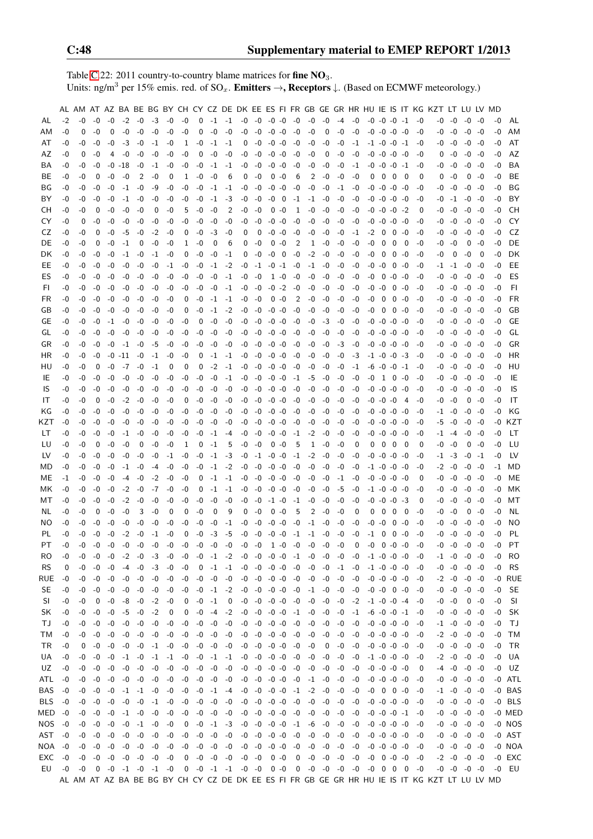Table [C.](#page-2-0)22: 2011 country-to-country blame matrices for fine  $NO<sub>3</sub>$ . Units: ng/m<sup>3</sup> per 15% emis. red. of  $SO_x$ . **Emitters**  $\rightarrow$ **, Receptors**  $\downarrow$ . (Based on ECMWF meteorology.)

|           |      |      |      |      |      |           |                          |          |                |                     |                |                |                         |                          |                |                          |                                              |           |                 |      |                                                                                 |                     |                     |             |         |                          | AL AM AT AZ BA BE BG BY CH CY CZ DE DK EE ES FI FR GB GE GR HR HU IE IS IT KG KZT LT LU LV MD |           |                     |           |      |           |
|-----------|------|------|------|------|------|-----------|--------------------------|----------|----------------|---------------------|----------------|----------------|-------------------------|--------------------------|----------------|--------------------------|----------------------------------------------|-----------|-----------------|------|---------------------------------------------------------------------------------|---------------------|---------------------|-------------|---------|--------------------------|-----------------------------------------------------------------------------------------------|-----------|---------------------|-----------|------|-----------|
| AL        | -2   | -0   | -0   | -0   | $-2$ | -0        | -3                       | -0       | -0             | $\mathbf 0$         | $-1$ $-1$      |                | $-0$                    | -0                       | $-0$ $-0$      |                          | -0                                           | -0        | -0              | $-4$ | -0                                                                              | $-0$ $-0$ $-0$ $-1$ |                     |             |         | -0                       | -0                                                                                            | -0        | $-0 - 0$            |           | -0   | AL        |
| AМ        | -0   | 0    | -0   | 0    | $-0$ | -0        | $-0$                     | -0       | -0             | 0                   | $-0$           | $-0$           | -0                      | $-0$                     | $-0 -0$        |                          | $-0$                                         | -0        | 0               | -0   | $-0$                                                                            |                     | $-0$ $-0$ $-0$ $-0$ |             |         | -0                       | -0                                                                                            | -0        |                     | $-0 -0$   | -0   | AM        |
| AT        | -0   | -0   | -0   | -0   | $-3$ | -0        | $-1$                     | -0       | 1              | -0                  | $-1$           | -1             | 0                       | -0                       | $-0 -0$        |                          | $-0$                                         | -0        | -0              | -0   | $-1$                                                                            |                     | $-1$ $-0$ $-0$ $-1$ |             |         | -0                       |                                                                                               | -0 -0     |                     | $-0 -0$   | -0   | AT        |
| AZ        | -0   | 0    | -0   | 4    | -0   | -0        | -0                       | -0       | -0             | 0                   | -0             | -0             | -0                      | -0                       | $-0$ $-0$      |                          | $-0$                                         | -0        | 0               | -0   | -0                                                                              |                     | $-0$ $-0$ $-0$ $-0$ |             |         | -0                       |                                                                                               | $0 - 0$   |                     | $-0 -0$   | -0   | AZ        |
| BA        | -0   | -0   | -0   | -0   | -18  | -0        | $-1$                     | -0       | -0             | $-0$                | $-1$           | -1             | -0                      | -0                       | $-0 - 0$       |                          | -0                                           | -0        | -0              | -0   | -1                                                                              |                     | $-0$ $-0$ $-0$ $-1$ |             |         | -0                       | -0                                                                                            | -0        |                     | $-0$ $-0$ | -0   | BA        |
| BE.       | -0   | -0   | 0    | -0   | -0   | 2         | $-0$                     | 0        | 1              | -0                  | -0             | 6              | 0                       | $-0$                     | 0              | -0                       | 6                                            | 2         | -0              | -0   | $-0$                                                                            | 0                   | 0                   | 0           | 0       | 0                        | 0                                                                                             | -0        | 0                   | -0        | -0   | BE        |
| BG        | -0   | -0   | -0   | -0   | -1   | -0        | -9                       | -0       | -0             | $-0$                | $-1$           | -1             | -0                      | -0                       | $-0 -0$        |                          | -0                                           | -0        | -0              | -1   | -0                                                                              |                     | $-0$ $-0$ $-0$ $-0$ |             |         | -0                       |                                                                                               | -0 -0     |                     | $-0 - 0$  | -0   | BG        |
| BY        | -0   | -0   | -0   | -0   | $-1$ | -0        | -0                       | -0       | -0             | -0                  | -1             | -3             | -0                      | -0                       | -0             | $\overline{\phantom{0}}$ | $-1$                                         | $-1$      | -0              | -0   | -0                                                                              |                     | -0 -0 -0 -0         |             |         | -0                       |                                                                                               | $-0 -1$   |                     | $-0 - 0$  | -0   | BY        |
| CН        | -0   | -0   | 0    | -0   | -0   | -0        | 0                        | -0       | 5              | -0                  | -0             | 2              | -0                      | -0                       |                | $0 - 0$                  | 1                                            | -0        | -0              | -0   | -0                                                                              |                     | $-0$ $-0$ $-0$ $-2$ |             |         | 0                        |                                                                                               | $-0 - 0$  | -0 -0               |           | -0   | CН        |
|           |      |      |      |      |      |           |                          |          |                |                     |                |                |                         |                          |                |                          |                                              |           |                 |      |                                                                                 |                     |                     | $-0 - 0$    |         |                          |                                                                                               |           |                     |           |      | CY        |
| CY        | -0   | 0    | -0   | -0   | -0   | -0        | -0                       | -0       | -0             | $-0$                | -0             | -0             | -0                      | -0                       | $-0 - 0$       |                          | -0                                           | -0        | -0              | -0   | -0                                                                              | $-0 - 0$            |                     |             |         | -0                       | -0                                                                                            | -0        |                     | $-0 -0$   | -0   |           |
| CZ        | -0   | -0   | 0    | -0   | -5   | -0        | $-2$                     | -0       | 0              | $-0$                | -3             | $-0$           | 0                       | 0                        | $-0$ $-0$      |                          | -0                                           | -0        | -0              | -0   | $-1$                                                                            | $-2$                | 0                   | 0-0         |         | -0                       |                                                                                               | -0 -0     |                     | $-0 - 0$  | -0   | CZ        |
| DE        | -0   | -0   | 0    | -0   | $-1$ | 0         | -0                       | $-0$     | 1              | -0                  | 0              | 6              | 0                       | -0                       |                | $0 - 0$                  | 2                                            | 1         | -0              | -0   | -0                                                                              | -0                  | 0                   | 0           | - 0     | -0                       |                                                                                               | -0 -0     |                     | $0 - 0$   | -0   | DE        |
| DK        | -0   | -0   | -0   | -0   | -1   | -0        | $-1$                     | -0       | 0              | -0                  | -0             | -1             | 0                       | -0                       | $-0$ 0         |                          | -0                                           | $-2$      | -0              | -0   | -0                                                                              | -0                  | 0                   | $0 - 0$     |         | -0                       | -0                                                                                            | 0         | $-0$                | 0         | -0   | DK        |
| EE        | -0   | -0   | -0   | -0   | -0   | -0        | -0                       | $-1$     | -0             | -0                  | $-1$           | $-2$           | -0                      | $-1$                     | $-0$ $-1$      |                          | -0                                           | $-1$      | $-0$            | -0   | -0                                                                              | -0                  | -0                  | 0           | -0      | -0                       |                                                                                               | -1 -1     |                     | $-0 -0$   | -0   | EE        |
| ES        | -0   | -0   | -0   | -0   | -0   | -0        | -0                       | -0       | -0             | $-0$                | -0             | -1             | $-0$                    | $-0$                     |                | $1 - 0$                  | -0                                           | -0        | -0              | -0   | -0                                                                              | -0                  | 0                   | $-0$ $-0$   |         | -0                       |                                                                                               | $-0 - 0$  |                     | $-0 - 0$  | -0   | ES        |
| FI.       | -0   | -0   | -0   | -0   | -0   | -0        | -0                       | -0       | -0             | -0                  | -0             | -1             | $-0$                    | -0                       | $-0$ $-2$      |                          | $-0$                                         | -0        | -0              | -0   | -0                                                                              | -0 -0               |                     | $0 - 0$     |         | -0                       |                                                                                               | $-0 - 0$  | $-0$ $-0$           |           | -0   | FI.       |
| FR        | -0   | -0   | -0   | -0   | -0   | -0        | -0                       | -0       | 0              | $-0$                | $-1$           | $-1$           | -0                      | -0                       |                | $0 - 0$                  | 2                                            | -0        | -0              | -0   | -0                                                                              | -0                  | 0                   |             | $0 - 0$ | -0                       |                                                                                               | -0 -0     |                     | $-0 -0$   | -0   | <b>FR</b> |
| GB        | -0   | -0   | -0   | -0   | -0   | -0        | -0                       | -0       | 0              | -0                  | $-1$           | $-2$           | -0                      | -0                       | $-0 -0$        |                          | -0                                           | -0        | -0              | -0   | -0                                                                              | -0                  | 0                   | $0 - 0$     |         | -0                       |                                                                                               | -0 -0     |                     | $-0$ $-0$ | -0   | GB        |
| GЕ        | -0   | -0   | -0   | $-1$ | -0   | -0        | -0                       | -0       | -0             | 0                   | -0             | -0             | -0                      | -0                       | $-0$ $-0$      |                          | -0                                           | -0        | -3              | -0   | -0                                                                              |                     | $-0$ $-0$ $-0$ $-0$ |             |         | -0                       |                                                                                               | -0 -0     |                     | -0 -0     | -0   | GЕ        |
| GL        | -0   | -0   | -0   | -0   | -0   | -0        | -0                       | -0       | -0             | -0                  | -0             | -0             | -0                      | -0                       | $-0 -0$        |                          | -0                                           | -0        | -0              | -0   | -0                                                                              |                     | -0 -0 -0 -0         |             |         | -0                       | -0                                                                                            | -0        | -0                  | -0        | -0   | GL        |
| GR        | -0   | -0   | -0   | -0   | $-1$ | -0        | -5                       | -0       | -0             | -0                  | -0             | $-0$           | -0                      | -0                       | $-0 -0$        |                          | -0                                           | -0        | -0              | $-3$ | -0                                                                              |                     | $-0$ $-0$ $-0$ $-0$ |             |         | -0                       | -0                                                                                            | -0        |                     | $-0 - 0$  | -0   | GR        |
| НR        | -0   | -0   | -0   | -0   | -11  | -0        | $-1$                     | -0       | -0             | 0                   | $-1$           | -1             | -0                      | -0                       | $-0 -0$        |                          | -0                                           | -0        | -0              | -0   | $-3$                                                                            |                     | -1 -0               | $-0 -3$     |         | -0                       | -0                                                                                            | -0        |                     | $-0 - 0$  | -0   | <b>HR</b> |
| HU        | -0   | -0   | 0    | -0   | $-7$ | -0        | $-1$                     | 0        | 0              | 0                   | $-2$           | -1             | -0                      | -0                       | $-0$ $-0$      |                          | -0                                           | -0        | -0              | -0   | $-1$                                                                            | $-6 - 0$            |                     | $-0$ $-1$   |         | -0                       |                                                                                               | $-0 - 0$  |                     | $-0 - 0$  | -0   | HU        |
| IE        | -0   | -0   | -0   | -0   | -0   | -0        | -0                       | -0       | -0             | -0                  | -0             | $-1$           | -0                      | -0                       | $-0$ $-0$      |                          | $-1$                                         | -5        | -0              | -0   | -0                                                                              | -0                  | 1                   | $\mathbf 0$ | -0      | -0                       |                                                                                               | $-0 - 0$  |                     | $-0 - 0$  | -0   | IE        |
| IS.       | -0   | -0   | -0   | -0   | -0   | -0        | -0                       | -0       | -0             | $-0$                | -0             | -0             | -0                      | -0                       | $-0$ $-0$      |                          | -0                                           | -0        | -0              | -0   | -0                                                                              |                     | -0 -0 -0 -0         |             |         | -0                       |                                                                                               | -0 -0     |                     | $-0 -0$   | -0   | IS        |
| IT        | -0   | -0   | 0    | -0   | $-2$ | -0        | -0                       | -0       | 0              | -0                  | -0             | -0             | -0                      | -0                       | $-0$ $-0$      |                          | -0                                           | -0        | -0              | -0   | -0                                                                              | $-0$ $-0$           |                     | -0          | -4      | -0                       | -0                                                                                            | -0        |                     | $0 - 0$   | -0   | IT        |
| ΚG        | -0   | -0   | -0   | -0   | -0   | -0        | -0                       | -0       | -0             | -0                  | -0             | -0             | -0                      | -0                       | $-0$ $-0$      |                          | -0                                           | -0        | -0              | -0   | -0                                                                              |                     | -0 -0 -0 -0         |             |         | -0                       |                                                                                               | $-1 - 0$  |                     | $-0$ $-0$ | -0   | ΚG        |
| KZT       | -0   | -0   | -0   | -0   | -0   | -0        | $-0$                     | -0       | -0             | -0                  | -0             | -0             | -0                      | -0                       | $-0$ $-0$      |                          | -0                                           | $-0$      | -0              | -0   | -0                                                                              |                     | -0 -0 -0 -0         |             |         | -0                       |                                                                                               | $-5 - 0$  |                     | $-0$ $-0$ | -0   | KZT       |
| LT        | -0   | -0   | -0   | -0   | -1   | -0        | -0                       | -0       | -0             | $-0$                | $-1$           | -4             | -0                      | -0                       | $-0 - 0$       |                          | $-1$                                         | $-2$      | -0              | -0   | -0                                                                              |                     | -0 -0 -0 -0         |             |         | -0                       |                                                                                               | $-1$ $-4$ |                     | $-0 -0$   | -0   | LT        |
| LU        | -0   | -0   | 0    | -0   | -0   | 0         | -0                       | -0       | 1              | 0                   | $-1$           | 5              | -0                      | $-0$                     |                | $0 - 0$                  | 5                                            | 1         | -0              | -0   | 0                                                                               | 0                   | 0                   | 0           | 0       | 0                        |                                                                                               | -0 -0     | $\mathbf{0}$        | -0        | -0   | LU        |
|           |      |      |      |      |      |           |                          |          |                |                     |                |                |                         |                          |                |                          | $-1$                                         |           |                 |      |                                                                                 |                     |                     |             |         |                          |                                                                                               |           |                     |           | -0   | .LV       |
| LV        | -0   | -0   | -0   | -0   | -0   | -0        | -0                       | $-1$     | -0             | -0                  | $-1$           | -3             | -0                      |                          | $-1$ $-0$ $-0$ |                          |                                              | $-2$      | -0              | -0   | -0                                                                              | $-0 -0$             |                     | $-0$ $-0$   |         | -0                       |                                                                                               | $-1$ $-3$ |                     | $-0 -1$   |      |           |
| MD        | -0   | -0   | -0   | -0   | -1   | -0        | -4                       | -0       | -0             | -0                  | $-1$           | $-2$           | -0                      | -0                       | $-0$ $-0$      |                          | -0                                           | -0        | -0              | -0   | -0                                                                              | $-1$ $-0$           |                     | $-0$ $-0$   |         | -0                       |                                                                                               | $-2 - 0$  |                     | $-0$ $-0$ | -1   | MD        |
| ME        | -1   | -0   | -0   | -0   | $-4$ | -0        | $-2$                     | -0       | -0             | 0                   | $-1$           | $-1$           | $-0$                    | -0                       | $-0 -0$        |                          | -0                                           | -0        | $-0$            | $-1$ | -0                                                                              | $-0 - 0$            |                     | -0 -0       |         | 0                        |                                                                                               | -0 -0     |                     | $-0 -0$   | -0   | ME        |
| МK        | -0   | -0   | -0   | -0   | $-2$ | -0        | $-7$                     | -0       | -0             | 0                   | $-1$           | -1             | -0                      | -0                       | $-0 -0$        |                          | -0                                           | -0        | -0              | -5   | -0                                                                              | $-1$ $-0$           |                     | $-0 -0$     |         | -0                       | -0                                                                                            | -0        |                     | $-0 - 0$  | -0   | МK        |
| мт        | -0   | -0   | -0   | -0   | $-2$ | -0        | -0                       | -0       | -0             | $-0$                | -0             | -0             | -0                      | -0                       | $-1$ $-0$      |                          | $-1$                                         | -0        | -0              | -0   | -0                                                                              | $-0 -0$             |                     | -0 -3       |         | 0                        |                                                                                               | $-0 - 0$  |                     | $-0$ $-0$ | -0   | МT        |
| NL.       | -0   | -0   | 0    | -0   | -0   | 3         | -0                       | 0        | 0              | $-0$                | 0              | 9              | 0                       | $-0$                     |                | $0 - 0$                  | 5                                            | 2         | -0              | -0   | 0                                                                               | 0                   | 0                   | 0           | - 0     | -0                       | -0                                                                                            | -0        | 0                   | -0        | -0   | NL        |
| NO.       | -0   | -0   | -0   | -0   | $-0$ | -0        | -0                       | -0       | -0             | $-0$                | -0             | -1             | -0                      | -0                       | $-0$           | -0                       | $-0$                                         | -1        | -0              | $-0$ | $-0$                                                                            | -0                  | -0                  | $\mathbf 0$ | -0      | -0                       | -0                                                                                            | -0        | $-0$                | -0        | -0   | NO        |
| PL        | -0   | -0   | -0   | $-0$ | $-2$ | $-0$      | $-1$                     | -0       | 0              | $-0$                | $-3$           | -5             | $-0$                    | $-0$                     | $-0$ $-0$      |                          | $-1$                                         | $-1$      | -0              | -0   | $-0$                                                                            | $-1$                | 0                   | $0 - 0$     |         | -0                       | -0                                                                                            | -0        |                     | $-0 - 0$  | -0   | PL        |
| PT        | -0   | $-0$ | $-0$ | $-0$ | $-0$ | $-0$      | -0                       | $-0$     | $-0$           | -0                  | -0             | -0             | $-0$                    | -0                       |                | $1 - 0$                  | $-0$                                         | $-0$      | $-0$            | $-0$ | $\Omega$                                                                        | $-0$                |                     | $0 - 0 - 0$ |         | -0                       |                                                                                               | $-0 - 0$  | $-0$ $-0$           |           | $-0$ | PT        |
| RO.       | -0   | -0   | -0   | -0   | $-2$ | $-0$      | $-3 -0$                  |          |                |                     |                |                |                         |                          |                |                          |                                              |           |                 |      | $-0$ $-1$ $-2$ $-0$ $-0$ $-0$ $-1$ $-0$ $-0$ $-0$ $-1$ $-0$ $-1$ $-0$ $-0$ $-0$ |                     |                     |             |         |                          |                                                                                               |           | $-1$ $-0$ $-0$ $-0$ |           | $-0$ | RO        |
| <b>RS</b> | 0    | -0   | $-0$ | -0   | $-4$ | -0        | $-3$                     | -0       | $-0$           | 0                   |                |                |                         |                          |                |                          |                                              |           |                 |      | $-1$ $-1$ $-0$ $-0$ $-0$ $-0$ $-0$ $-0$ $-1$ $-1$ $-0$ $-1$ $-0$ $-0$           |                     |                     |             |         | -0                       |                                                                                               |           | $-0$ $-0$ $-0$ $-0$ |           | $-0$ | <b>RS</b> |
| RUE       | $-0$ | -0   | $-0$ | -0   |      | $-0 - 0$  | -0 -0                    |          | $-0$           |                     |                |                |                         |                          |                |                          |                                              |           |                 | $-0$ | $-0$                                                                            | $-0$ $-0$ $-0$ $-0$ |                     |             |         | -0                       |                                                                                               |           | $-2$ $-0$ $-0$ $-0$ |           |      | -0 RUE    |
| <b>SE</b> | -0   | -0   | -0   | -0   | -0   | $-0$      | $-0 - 0$                 |          |                | $-0$ $-0$ $-1$ $-2$ |                |                |                         |                          |                |                          | $-0$ $-0$ $-0$ $-0$ $-0$ $-1$ $-0$ $-0$ $-0$ |           |                 |      |                                                                                 | $-0$ $-0$ $0$ $-0$  |                     |             |         | -0                       |                                                                                               |           | $-0$ $-0$ $-0$ $-0$ |           | $-0$ | SE        |
| SI.       | -0   | -0   | 0    | -0   | -8   | $-0$      | $-2$                     | $-0$     | 0              |                     | $-0 -1$        | 0              |                         |                          |                |                          | $-0$ $-0$ $-0$ $-0$ $-0$                     | $-0$      | $-0$            | $-0$ | $-2$                                                                            | $-1$ $-0$ $-0$ $-4$ |                     |             |         | -0                       |                                                                                               | $-0 - 0$  |                     | $0 - 0$   | -0   | SI        |
| SK        | $-0$ | -0   | $-0$ | $-0$ | $-5$ | $-0$      | $-2$                     | 0        | 0              | $-0$                | $-4$           | $-2$           |                         | $-0$ $-0$ $-0$ $-0$      |                |                          | $-1$                                         | $-0$      | $-0$            | $-0$ | $-1$                                                                            |                     | $-6$ $-0$ $-0$ $-1$ |             |         | -0                       |                                                                                               | $-0 - 0$  |                     | $-0 - 0$  | $-0$ | SK        |
| ТJ        | $-0$ | -0   | $-0$ | $-0$ | $-0$ | $-0$      | $-0$                     | -0       | $-0$           |                     | $-0 - 0$       | $-0$           |                         | $-0$ $-0$ $-0$ $-0$      |                |                          | $-0$                                         | -0        | $-0$            | $-0$ | $-0$                                                                            |                     | $-0$ $-0$ $-0$ $-0$ |             |         | -0                       |                                                                                               |           | $-1$ $-0$ $-0$ $-0$ |           | $-0$ | ТJ        |
| TM        | -0   | -0   | -0   | -0   | $-0$ | $-0$      | $-0 - 0$                 |          | $-0$           |                     | $-0 - 0$       | $-0$           |                         | $-0$ $-0$ $-0$ $-0$      |                |                          | $-0$                                         | $-0$      | $-0$            | $-0$ | -0                                                                              | $-0$ $-0$ $-0$ $-0$ |                     |             |         | -0                       |                                                                                               |           | $-2 -0 -0 -0$       |           | $-0$ | TM        |
| TR.       | -0   | 0    | $-0$ | -0   | $-0$ | $-0$      | $-1 -0$                  |          | $-0$           |                     | $-0 - 0$       | $-0$           |                         | $-0$ $-0$ $-0$ $-0$ $-0$ |                |                          |                                              | $-0$      | 0               | $-0$ | $-0$                                                                            | $-0$ $-0$ $-0$ $-0$ |                     |             |         | -0                       |                                                                                               |           | $-0$ $-0$ $-0$ $-0$ |           | $-0$ | TR        |
| UA        | -0   | -0   | $-0$ | -0   |      | $-1 - 0$  |                          |          | $-1$ $-1$ $-0$ |                     |                | $-0$ $-1$ $-1$ |                         | $-0$ $-0$ $-0$ $-0$      |                |                          | $-0$                                         | $-0$ $-0$ |                 | $-0$ | $-0$                                                                            |                     | $-1$ $-0$ $-0$ $-0$ |             |         | -0                       |                                                                                               |           | $-2$ $-0$ $-0$ $-0$ |           | -0   | UA        |
| UZ.       | $-0$ | -0   | -0   | -0   |      | $-0 - 0$  | $-0 - 0$                 |          |                | $-0$ $-0$ $-0$ $-0$ |                |                |                         |                          |                |                          | $-0$ $-0$ $-0$ $-0$ $-0$ $-0$ $-0$ $-0$      |           |                 |      | -0                                                                              |                     | $-0$ $-0$ $-0$ $-0$ |             |         | 0                        |                                                                                               |           | $-4$ $-0$ $-0$ $-0$ |           |      | $-0$ UZ   |
| ATL       | $-0$ | $-0$ | -0   | -0   |      | $-0 - 0$  | -0 -0                    |          |                | $-0$ $-0$ $-0$ $-0$ |                |                |                         |                          |                |                          | $-0$ $-0$ $-0$ $-0$ $-0$ $-1$ $-0$           |           |                 | $-0$ | $-0$                                                                            | $-0$ $-0$ $-0$ $-0$ |                     |             |         | -0                       |                                                                                               |           | $-0$ $-0$ $-0$ $-0$ |           |      | -0 ATL    |
| BAS       | $-0$ | -0   | $-0$ | -0   |      | $-1$ $-1$ | $-0$                     | -0       | $-0$           |                     | -0 -1          | $-4$           |                         |                          |                |                          | $-0$ $-0$ $-0$ $-0$ $-1$ $-2$ $-0$           |           |                 | $-0$ | -0                                                                              |                     | $-0$ 0 0 $-0$       |             |         | -0                       |                                                                                               |           | $-1$ $-0$ $-0$ $-0$ |           |      | -0 BAS    |
| BLS       |      | -0   | $-0$ | $-0$ | $-0$ | $-0$      | $-1$                     | $-0$     | -0             | $-0$                | $-0$           | $-0$           |                         | $-0$ $-0$ $-0$ $-0$      |                |                          | $-0$                                         | $-0$      | $-0$            | -0   | $-0$                                                                            |                     | $-0$ $-0$ $-0$ $-0$ |             |         | -0                       |                                                                                               |           | $-0$ $-0$ $-0$ $-0$ |           |      | -0 BLS    |
|           | -0   |      |      |      |      |           |                          |          |                |                     |                |                |                         |                          |                |                          |                                              |           |                 |      |                                                                                 |                     |                     |             |         |                          |                                                                                               |           |                     |           |      |           |
| MED -0    |      | -0   | $-0$ | -0   |      | $-1 -0$   |                          | $-0 - 0$ | $-0$           |                     | $-0$ $-0$ $-0$ |                |                         |                          |                |                          | $-0$ $-0$ $-0$ $-0$ $-0$ $-0$ $-0$           |           |                 | $-0$ | $-0$                                                                            |                     |                     |             |         | $-0$ $-0$ $-0$ $-1$ $-0$ |                                                                                               |           | $-0$ $-0$ $-0$ $-0$ |           |      | -0 MED    |
| NOS -0    |      | -0   | -0   | $-0$ | $-0$ | $-1$      | $-0 - 0$                 |          | $\overline{0}$ |                     | $-0$ $-1$ $-3$ |                |                         |                          |                |                          | $-0$ $-0$ $-0$ $-0$ $-1$ $-6$ $-0$           |           |                 | $-0$ | -0                                                                              | $-0$ $-0$ $-0$ $-0$ |                     |             |         | -0                       |                                                                                               |           | $-0$ $-0$ $-0$ $-0$ |           |      | -0 NOS    |
| AST -0    |      | -0   | $-0$ | $-0$ | $-0$ | $-0$      | -0 -0                    |          | $-0$           |                     | $-0$ $-0$ $-0$ |                |                         |                          |                |                          | $-0$ $-0$ $-0$ $-0$ $-0$ $-0$ $-0$           |           |                 | $-0$ | -0                                                                              | $-0$ $-0$ $-0$ $-0$ |                     |             |         | -0                       |                                                                                               |           | $-0$ $-0$ $-0$ $-0$ |           |      | -0 AST    |
| NOA -0    |      | -0   | $-0$ | $-0$ | $-0$ | $-0$      |                          | $-0 - 0$ | $-0$           |                     | $-0$ $-0$ $-0$ |                |                         |                          |                |                          | $-0$ $-0$ $-0$ $-0$ $-0$ $-0$ $-0$           |           |                 | $-0$ | $-0$                                                                            |                     | $-0$ $-0$ $-0$ $-0$ |             |         | -0                       |                                                                                               |           | $-0$ $-0$ $-0$ $-0$ |           |      | -0 NOA    |
| $EXC -0$  |      | -0   | $-0$ | -0   |      | $-0 - 0$  | -0 -0                    |          |                | $0 - 0 - 0 - 0$     |                |                |                         | $-0$ $-0$ $0$ $-0$       |                |                          |                                              |           | $0 - 0 - 0 - 0$ |      | $-0$                                                                            | $-0$ 0 $-0$ $-0$    |                     |             |         | -0                       |                                                                                               |           | $-2$ $-0$ $-0$ $-0$ |           |      | -0 EXC    |
| EU        | $-0$ | $-0$ | 0    |      |      |           | $-0$ $-1$ $-0$ $-1$ $-0$ |          |                |                     |                |                | $0 -0 -1 -1 -0 -0 0 -0$ |                          |                |                          |                                              |           |                 |      | $0 -0 -0 -0 -0 -0 -0 0 0 0 -0$                                                  |                     |                     |             |         |                          |                                                                                               |           | $-0$ $-0$ $-0$ $-0$ |           |      | -0 EU     |
|           |      |      |      |      |      |           |                          |          |                |                     |                |                |                         |                          |                |                          |                                              |           |                 |      |                                                                                 |                     |                     |             |         |                          | AL AM AT AZ BA BE BG BY CH CY CZ DE DK EE ES FI FR GB GE GR HR HU IE IS IT KG KZT LT LU LV MD |           |                     |           |      |           |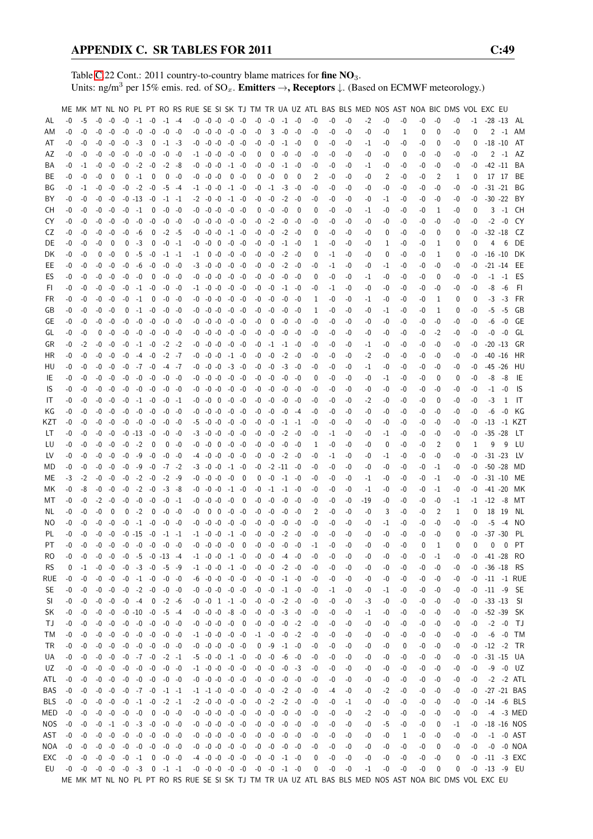Table [C.](#page-2-0)22 Cont.: 2011 country-to-country blame matrices for fine NO<sub>3</sub>. Units: ng/m<sup>3</sup> per 15% emis. red. of  $SO_x$ . **Emitters**  $\rightarrow$ **, Receptors**  $\downarrow$ . (Based on ECMWF meteorology.)

|           |      |          |      |           |      |                                     |                          |             |           |    |                                                                                                       |           |                          |              |             |                      |             |      |      |      | ME MK MT NL NO PL PT RO RS RUE SE SI SK TJ TM TR UA UZ ATL BAS BLS MED NOS AST NOA BIC DMS VOL EXC EU |      |    |          |             |          |          |                     |               |                 |
|-----------|------|----------|------|-----------|------|-------------------------------------|--------------------------|-------------|-----------|----|-------------------------------------------------------------------------------------------------------|-----------|--------------------------|--------------|-------------|----------------------|-------------|------|------|------|-------------------------------------------------------------------------------------------------------|------|----|----------|-------------|----------|----------|---------------------|---------------|-----------------|
| AL        | -0   | -5       | -0   | -0        | $-0$ |                                     | $-1$ $-0$                | $-1$ $-4$   |           |    | $-0$ $-0$ $-0$ $-0$ $-0$                                                                              |           |                          | $-0$         | -0          | $-1 -0$              |             | -0   | -0   | -0   | $-2$                                                                                                  | $-0$ | -0 | $-0$     | -0          | -0       |          | $-1$ $-28$ $-13$ AL |               |                 |
| ΑM        | -0   | -0       | -0   | $-0$      | $-0$ | $-0$                                | $-0$                     | $-0$        | -0        | -0 | $-0 - 0$                                                                                              | $-0$      | $-0$                     | $-0$         | 3           | $-0$                 | $-0$        | -0   | -0   | -0   | -0                                                                                                    | -0   | 1  | 0        | 0           | -0       | 0        |                     | $2 - 1$       | AM              |
| AT        | -0   | -0       | -0   | -0        | $-0$ | $-3$                                | $\overline{\phantom{0}}$ |             | $-1$ $-3$ |    | $-0$ $-0$ $-0$ $-0$ $-0$                                                                              |           |                          | -0           | $-0$        | $-1$                 | -0          | 0    | -0   | -0   | $-1$                                                                                                  | -0   | -0 | -0       | 0           | -0       | 0        | $-18 - 10$          |               | AT              |
| AZ        | -0   | -0       | -0   | -0        | $-0$ | $-0$                                | $-0$                     |             | $-0 - 0$  |    | $-1$ $-0$ $-0$ $-0$ $-0$                                                                              |           |                          | 0            | $\mathbf 0$ | $-0$                 | -0          | -0   | -0   | -0   | -0                                                                                                    | -0   | 0  | $-0$     | -0          | -0       | $-0$     |                     |               | $2 -1$ AZ       |
| ВA        | -0   | $-1$     | -0   | -0        | $-0$ | $-2$                                | $-0$                     |             | $-2 - 8$  |    | $-0$ $-0$ $-0$                                                                                        |           | $-1$ $-0$                | -0           | $-0$        | $-1$                 | $-0$        | -0   | -0   | -0   | $-1$                                                                                                  | -0   | -0 | -0       | -0          | -0       | -0       | $-42 -11$           |               | BA              |
| BE        | -0   | -0       | -0   | 0         | 0    | $-1$                                | 0                        | 0           | -0        | -0 | $-0 - 0$                                                                                              |           | $0 - 0$                  | $\mathbf{0}$ | $-0$        | 0                    | 0           | 2    | -0   | -0   | -0                                                                                                    | 2    | -0 | -0       | 2           | 1        | 0        |                     | 17 17         | BE              |
| ΒG        | -0   | $-1$     | -0   | -0        | $-0$ | $-2$                                | -0                       | -5 -4       |           |    | $-1$ $-0$ $-0$                                                                                        | $-1$ $-0$ |                          | -0           | $-1$        | -3                   | -0          | -0   | -0   | -0   | -0                                                                                                    | $-0$ | -0 | $-0$     | -0          | -0       | -0       | $-31 -21$           |               | BG              |
| ΒY        | -0   | -0       | $-0$ | -0        |      | $-0$ $-13$ $-0$                     |                          | $-1$ $-1$   |           |    | $-2 - 0 - 0$                                                                                          |           | $-1$ $-0$                | -0           | $-0$        | $-2$                 | -0          | -0   | -0   | -0   | -0                                                                                                    | -1   | -0 | -0       | -0          | -0       | -0       | $-30 -22$           |               | BY              |
| СH        | -0   | -0       | $-0$ | -0        | $-0$ | $-1$                                | 0                        | -0 -0       |           |    | $-0$ $-0$ $-0$                                                                                        | $-0$ $-0$ |                          | 0            | $-0$        | -0                   | $\mathbf 0$ | 0    | -0   | -0   | $-1$                                                                                                  | -0   | -0 | -0       | 1           | -0       | 0        | 3                   | $-1$          | CH.             |
| CY        | -0   | -0       | -0   | $-0$      | -0   | $-0$                                | $-0$                     |             | -0 -0     |    | $-0$ $-0$ $-0$                                                                                        | $-0$ $-0$ |                          | -0           | $-2$        | $-0$                 | -0          | -0   | -0   | -0   | -0                                                                                                    | -0   | -0 | -0       | -0          | -0       | -0       |                     | $-2 - 0$      | CY)             |
|           |      |          |      |           |      |                                     |                          |             |           |    | $-0$ $-0$ $-0$ $-1$ $-0$                                                                              |           |                          |              |             |                      |             |      |      |      |                                                                                                       |      |    |          |             |          |          |                     |               |                 |
| CZ        | -0   | -0       | -0   | -0        | $-0$ | -6                                  | 0                        | $-2$ $-5$   |           |    |                                                                                                       |           |                          | -0           | -0          | $-2$                 | -0          | 0    | -0   | -0   | -0                                                                                                    | 0    | -0 | $-0$     | 0           | 0        | -0       | $-32 - 18$          |               | CZ.             |
| DE        | -0   | -0       | -0   | 0         | 0    | $-3$                                | 0                        | $-0 -1$     |           |    | $-0$ $-0$ 0                                                                                           | $-0$ $-0$ |                          | -0           | -0          | $-1$                 | -0          | 1    | -0   | -0   | -0                                                                                                    | 1    | -0 | $-0$     | 1           | 0        | 0        | 4                   | 6             | DE              |
| DK        | -0   | -0       | 0    | $-0$      | 0    | $-5$                                | $-0$                     | $-1$ $-1$   |           |    | $-1$ 0 $-0$ $-0$ $-0$                                                                                 |           |                          | -0           | -0          | $-2$                 | -0          | 0    | -1   | -0   | -0                                                                                                    | 0    | -0 | $-0$     | 1           | 0        | -0       | $-16 - 10$          |               | DK              |
| EE        | -0   | -0       | -0   | $-0$      | -0   | -6                                  | $-0$                     |             | $-0 - 0$  |    | $-3 - 0 - 0$                                                                                          |           | $-0$ $-0$                | -0           | $-0$        | $-2$                 | -0          | -0   | -1   | -0   | -0                                                                                                    | -1   | -0 | -0       | -0          | -0       | -0       | $-21 - 14$          |               | EE              |
| ES        | -0   | -0       | -0   | -0        | $-0$ | -0                                  | $\overline{0}$           | -0 -0       |           |    | $-0$ $-0$ $-0$ $-0$ $-0$                                                                              |           |                          | -0           | -0          | $-0$                 | -0          | 0    | -0   | -0   | $-1$                                                                                                  | -0   | -0 | -0       | $\mathbf 0$ | -0       | -0       |                     | $-1$ $-1$     | ES              |
| FI.       | -0   | -0       | -0   | -0        | $-0$ |                                     | $-1 -0$                  | -0 -0       |           |    | $-1$ $-0$ $-0$                                                                                        | $-0$ $-0$ |                          | -0           | $-0$        | $-1$                 | -0          | -0   | $-1$ | -0   | -0                                                                                                    | -0   | -0 | $-0$     | -0          | -0       | $-0$     | -8                  | -6            | - FI            |
| FR.       | -0   | -0       | -0   | -0        | -0   | $-1$                                | 0                        | $-0$        | -0        |    | $-0 - 0 - 0$                                                                                          |           | $-0 - 0$                 | -0           | -0          | $-0$                 | $-0$        | 1    | -0   | -0   | -1                                                                                                    | -0   | -0 | -0       | 1           | 0        | 0        | $-3$                | $-3$          | FR              |
| GB        | -0   | -0       | -0   | -0        | 0    |                                     | $-1 - 0$                 |             | -0 -0     |    | $-0$ $-0$ $-0$ $-0$ $-0$                                                                              |           |                          | -0           | -0          | $-0$                 | -0          | 1    | -0   | -0   | -0                                                                                                    | -1   | -0 | -0       | 1           | 0        | -0       | -5                  | -5            | GB              |
| GE        | -0   | -0       | -0   | -0        | $-0$ | -0                                  | -0                       | -0 -0       |           |    | $-0$ $-0$ $-0$ $-0$ $-0$                                                                              |           |                          | -0           | 0           | -0                   | -0          | -0   | -0   | -0   | -0                                                                                                    | -0   | -0 | $-0$     | -0          | -0       | -0       | -6                  | -0            | GE              |
| GL        | -0   | -0       | 0    | $-0$      | $-0$ | $-0$                                | $-0$                     |             | -0 -0     |    | $-0$ $-0$ $-0$ $-0$ $-0$                                                                              |           |                          | -0           | -0          | $-0$                 | -0          | -0   | -0   | -0   | -0                                                                                                    | -0   | -0 | -0       | -2          | -0       | -0       | -0                  | -0            | GL              |
| GR        | -0   | $-2$     | -0   | $-0$      | $-0$ | $-1$                                | -0                       | $-2$        | -2        | -0 | $-0 - 0$                                                                                              | $-0$ $-0$ |                          | -0           | $-1$        | -1                   | -0          | -0   | -0   | -0   | -1                                                                                                    | -0   | -0 | $-0$     | -0          | -0       | -0       | $-20 - 13$          |               | GR              |
| HR        | -0   | $-0$     | -0   | -0        | $-0$ | $-4$                                | $-0$                     | -2 -7       |           |    | $-0$ $-0$ $-0$                                                                                        | $-1$ $-0$ |                          | -0           | -0          | $-2$                 | -0          | -0   | -0   | -0   | $-2$                                                                                                  | $-0$ | -0 | -0       | -0          | -0       | -0       | $-40 -16$           |               | HR              |
| HU        | -0   | -0       | -0   | -0        | $-0$ | $-7 - 0$                            |                          | -4 -7       |           |    | $-0 - 0 - 0$                                                                                          | $-3 - 0$  |                          | -0           | -0          | $-3$                 | -0          | -0   | -0   | -0   | -1                                                                                                    | -0   | -0 | -0       | -0          | -0       | -0       | $-45 - 26$          |               | HU              |
| IE        | -0   | -0       | $-0$ | -0        | $-0$ |                                     | $-0 -0$                  | -0 -0       |           |    | $-0$ $-0$ $-0$                                                                                        | $-0$ $-0$ |                          |              | $-0 - 0$    | -0                   | -0          | 0    | -0   | -0   | -0                                                                                                    | -1   | -0 | -0       | 0           | 0        | -0       | -8                  | -8            | IE              |
| IS        | -0   | -0       | -0   | -0        | $-0$ | -0                                  | $-0$                     | -0 -0       |           | -0 | $-0 - 0$                                                                                              |           | $-0 - 0$                 | -0           | -0          | $-0$                 | $-0$        | -0   | -0   | -0   | -0                                                                                                    | -0   | -0 | -0       | -0          | -0       | -0       | -1                  | -0            | IS              |
| IT        | -0   | -0       | -0   | -0        | $-0$ |                                     | $-1 - 0$                 |             | -0 -1     |    | $-0$ $-0$ $0$ $-0$ $-0$                                                                               |           |                          |              | $-0 - 0$    | $-0$                 | -0          | -0   | -0   | -0   | $-2$                                                                                                  | -0   | -0 | $-0$     | 0           | -0       | -0       | -3                  | 1             | IT              |
| ΚG        | -0   | -0       |      | -0 -0     | $-0$ | $-0 - 0$                            |                          | -0 -0       |           |    | $-0$ $-0$ $-0$ $-0$ $-0$                                                                              |           |                          |              | $-0 - 0$    | -0                   | -4          | -0   | -0   | -0   | -0                                                                                                    | -0   | -0 | $-0$     | -0          | -0       | -0       | -6                  | -0            | KG              |
| KZT       | -0   | -0       | -0   | -0        |      | $-0$ $-0$ $-0$                      |                          |             | -0 -0     |    | $-5$ $-0$ $-0$ $-0$ $-0$                                                                              |           |                          |              | $-0 - 0$    | $-1$                 | -1          | -0   | -0   | -0   | -0                                                                                                    | -0   | -0 | $-0$     | -0          | -0       | -0       |                     |               | -13 -1 KZT      |
| LT        | -0   | -0       | -0   | -0        |      | $-0$ $-13$ $-0$                     |                          |             | $-0 - 0$  |    | $-3$ $-0$ $-0$ $-0$ $-0$                                                                              |           |                          | -0           | $-0$        | $-2$                 | -0          | -0   | -1   | -0   | -0                                                                                                    | -1   | -0 | -0       | -0          | -0       | -0       | $-35 -28$           |               | LT              |
| LU        | -0   | -0       | -0   | -0        | $-0$ | $-2$                                | $\overline{\mathbf{0}}$  |             | $0 - 0$   |    | $-0$ $-0$ $0$ $-0$ $-0$                                                                               |           |                          |              | $-0 - 0$    | -0                   | -0          | 1    | -0   | -0   | -0                                                                                                    | 0    | -0 | -0       | 2           | 0        | 1        | 9                   | 9             | LU              |
| LV        | -0   | -0       | -0   | -0        | $-0$ | -9                                  | -0                       | -0 -0       |           |    | $-4$ $-0$ $-0$ $-0$ $-0$                                                                              |           |                          |              | $-0 - 0$    | $-2$                 | -0          |      | $-1$ | -0   |                                                                                                       | -1   |    |          | $-0$        |          |          | $-31 - 23$          |               | LV.             |
|           |      |          |      |           |      |                                     |                          |             |           |    |                                                                                                       |           |                          |              |             |                      |             | -0   |      |      | -0                                                                                                    |      | -0 | $-0$     |             | -0       | -0       |                     |               |                 |
| MD        | $-0$ | $-0$     | -0   | $-0$      | $-0$ | -9                                  | $-0$                     | -7 -2       |           |    | $-3$ $-0$ $-0$ $-1$ $-0$                                                                              |           |                          |              |             | $-0$ $-2$ $-11$ $-0$ |             | -0   | -0   | -0   | -0                                                                                                    | $-0$ | -0 | $-0$     | $-1$        | -0       | -0       | $-50 -28$           |               | MD              |
| ME        | $-3$ | $-2$     | -0   | $-0$      | $-0$ | $-2$                                | -0                       |             | $-2$ $-9$ |    | $-0 - 0 - 0$                                                                                          | -0        | $\overline{\phantom{0}}$ | 0            | $-0$        | -1                   | -0          | -0   | -0   | -0   | -1                                                                                                    | -0   | -0 | -0       | $-1$        | -0       | -0       | $-31 - 10$          |               | ME              |
| МK        | -0   | -8       | -0   | -0        | -0   | $-2$                                | $-0$                     |             | $-3 - 8$  |    | $-0$ $-0$ $-0$                                                                                        |           | $-1$ $-0$                | -0           | $-1$ $-1$   |                      | -0          | -0   | -0   | -0   | $-1$                                                                                                  | -0   | -0 | $-0$     | -1          | -0       | -0       | $-41 - 20$          |               | MK              |
| МT        | -0   | -0       | $-2$ | -0        | -0   | $-0$                                | -0                       | -0          | $-1$      |    | $-0 - 0 - 0$                                                                                          | -0        | $\overline{\phantom{0}}$ | -0           | $-0$        | $-0$                 | -0          | -0   | -0   | -0   | -19                                                                                                   | -0   | -0 | $-0$     | -0          | -1       | $-1$     | $-12 - 8$           |               | МT              |
| NL        | -0   | -0       | -0   | 0         | 0    | $-2$                                | 0                        | $-0$        | -0        | -0 | $0\quad 0$                                                                                            |           | -0 -0                    | -0           | -0          | -0                   | -0          | 2    | -0   | -0   | -0                                                                                                    | 3    | -0 | -0       | 2           | 1        | 0        | 18                  | - 19          | NL              |
| ΝO        | -0   | -0       | -0   | -0        | $-0$ | $-1$                                | $-0$                     |             | $-0 - 0$  | -0 | $-0 - 0$                                                                                              | -0        | -0                       | -0           | $-0$        | -0                   | -0          | -0   | -0   | -0   | -0                                                                                                    | -1   | -0 | -0       | -0          | -0       | -0       | -5                  | $-4$          | NO.             |
| PL.       | -0   | $-0$     | -0   | -0        |      | $-0 - 15$                           | $-0$                     | $-1$ $-1$   |           |    | $-1$ $-0$ $-0$                                                                                        |           | $-1$ $-0$                | $-0$         | -0          | $-2$                 | $-0$        | -0   | -0   | -0   | -0                                                                                                    | -0   | -0 | -0       | -0          | $\Omega$ | -0       | $-37 - 30$          |               | PL              |
| PT        | -0   | $-0$     |      | $-0 - 0$  |      | $-0$ $-0$ $-0$                      |                          | $-0$ $-0$   |           |    | $-0 - 0 - 0$                                                                                          | $-0$ 0    |                          |              | $-0$ $-0$   | $-0$                 | -0          | -1   | -0   | $-0$ | -0                                                                                                    | -0   | -0 | $\Omega$ | 1           | $\Omega$ | $\Omega$ | 0                   |               | $0$ PT          |
| RO.       | -0   | -0       |      |           |      | $-0$ $-0$ $-0$ $-5$ $-0$ $-13$ $-4$ |                          |             |           |    | $-1$ $-0$ $-0$ $-1$ $-0$                                                                              |           |                          |              |             | -0 -0 -4 -0          |             | -0   | -0   | -0   | -0                                                                                                    | -0   | -0 | -0       | $-1$        | -0       | -0       | -41 -28 RO          |               |                 |
| <b>RS</b> | 0    | $-1$     |      | $-0 - 0$  |      | $-0$ $-3$ $-0$ $-5$ $-9$            |                          |             |           |    | $-1$ $-0$ $-0$ $-1$ $-0$                                                                              |           |                          |              | $-0 - 0$    | $-2$                 | -0          | -0   | -0   | -0   | -0                                                                                                    | -0   | -0 | -0       | -0          | -0       | -0       |                     | $-36 - 18$    | RS              |
| rue       | $-0$ | $-0$     |      |           |      | $-0$ $-0$ $-0$ $-1$ $-0$ $-0$ $-0$  |                          |             |           |    | $-6$ $-0$ $-0$ $-0$ $-0$                                                                              |           |                          |              |             | $-0$ $-0$ $-1$ $-0$  |             | -0   | -0   | -0   | -0                                                                                                    | -0   | -0 | $-0$     | -0          | -0       | -0       |                     |               | $-11 - 1$ RUE   |
| <b>SE</b> | $-0$ | -0       |      |           |      | $-0$ $-0$ $-0$ $-2$ $-0$            |                          | -0 -0       |           |    | $-0$ $-0$ $-0$ $-0$ $-0$                                                                              |           |                          |              | $-0 - 0$    | $-1 -0$              |             | -0   | -1   | -0   | -0                                                                                                    | $-1$ | -0 | $-0$     | -0          | -0       | -0       |                     | $-11 - 9$ SE  |                 |
| SI        | -0   | $-0$     |      | $-0 - 0$  |      | $-0 -4$                             | $\overline{\phantom{0}}$ | $-2 -6$     |           |    | $-0$ $-0$ $1$ $-1$ $-0$                                                                               |           |                          | -0           | $-0$        | $-2$                 | $-0$        | -0   | -0   | -0   | $-3$                                                                                                  | -0   | -0 | -0       | -0          | -0       | -0       |                     | $-33 - 13$ SI |                 |
| SK        | $-0$ | -0       |      | $-0 - 0$  |      | $-0 - 10 - 0$                       |                          | $-5 - 4$    |           |    | $-0$ $-0$ $-0$ $-8$ $-0$                                                                              |           |                          | $-0$         | $-0$        | $-3$                 | $-0$        | -0   | -0   | -0   | -1                                                                                                    | -0   | -0 | -0       | -0          | -0       | -0       |                     | -52 -39 SK    |                 |
| ТJ        | $-0$ | -0       |      | $-0 - 0$  |      | $-0$ $-0$ $-0$                      |                          | -0 -0       |           |    | $-0$ $-0$ $-0$ $-0$ 0                                                                                 |           |                          |              | $-0 - 0$    | $-0$                 | $-2$        | -0   | -0   | -0   | -0                                                                                                    | -0   | -0 | -0       | -0          | -0       | -0       |                     | $-2$ $-0$ TJ  |                 |
| ТM        | $-0$ | $-0$     |      | $-0 - 0$  |      | $-0$ $-0$ $-0$                      |                          | $-0$ $-0$   |           |    | $-1$ $-0$ $-0$ $-0$ $-0$                                                                              |           |                          |              | $-1 -0$     | $-0$                 | $-2$        | -0   | -0   | -0   | -0                                                                                                    | -0   | -0 | $-0$     | -0          | -0       | -0       |                     |               | $-6 - 0$ TM     |
| TR        | $-0$ | -0       |      | $-0 - 0$  |      | $-0$ $-0$ $-0$                      |                          | $-0 - 0$    |           |    | $-0$ $-0$ $-0$ $-0$ $-0$                                                                              |           |                          | 0            | -9          | $-1$                 | -0          | -0   | -0   | -0   | -0                                                                                                    | -0   | 0  | -0       | -0          | -0       | -0       |                     |               | $-12$ $-2$ TR   |
| UA        | $-0$ | $-0$     |      | $-0 - 0$  |      | $-0$ $-7$ $-0$ $-2$ $-1$            |                          |             |           |    | $-5$ $-0$ $-0$ $-1$ $-0$                                                                              |           |                          |              | $-0 - 0$    | -6                   | -0          | -0   | -0   | -0   | -0                                                                                                    | -0   | -0 | $-0$     | -0          | -0       | -0       |                     |               | $-31 - 15$ UA   |
| UZ        | -0   | -0       |      | $-0 - 0$  |      | $-0$ $-0$ $-0$ $-0$ $-0$            |                          |             |           |    | $-1$ $-0$ $-0$ $-0$ $-0$                                                                              |           |                          |              | $-0 - 0$    | -0                   | -3          | -0   | -0   | -0   | -0                                                                                                    | -0   | -0 | $-0$     | -0          | -0       | -0       |                     |               | $-9 - 0$ UZ     |
| ATL       | -0   | -0       |      | $-0 - 0$  |      | $-0$ $-0$ $-0$ $-0$ $-0$            |                          |             |           |    | $-0$ $-0$ $-0$ $-0$ $-0$                                                                              |           |                          |              | $-0 - 0$    | -0                   | -0          | -0   | -0   | -0   | -0                                                                                                    | -0   | -0 | $-0$     | -0          |          | -0       |                     |               | $-2$ $-2$ $ATL$ |
|           | $-0$ |          |      | $-0 - 0$  |      | $-0$ $-7$ $-0$                      |                          | $-1$ $-1$   |           |    | $-1$ $-1$ $-0$ $-0$ $-0$                                                                              |           |                          | -0           | -0          | $-2$                 | -0          |      | -4   | -0   |                                                                                                       |      |    |          | -0          | -0       |          |                     |               | $-27 - 21$ BAS  |
| BAS       |      | -0       |      |           |      |                                     |                          |             |           |    |                                                                                                       |           |                          |              |             |                      |             | -0   |      |      | -0                                                                                                    | $-2$ | -0 | -0       |             | -0       | -0       |                     |               |                 |
| BLS       | $-0$ | -0       |      | $-0 - 0$  | $-0$ | $-1$ $-0$                           |                          | $-2 -1$     |           |    | $-2$ $-0$ $-0$ $-0$ $-0$                                                                              |           |                          |              | $-0 -2$     | $-2$                 | -0          | -0   | -0   | $-1$ | -0                                                                                                    | -0   | -0 | $-0$     | -0          | -0       | $-0$     |                     |               | -14 -6 BLS      |
| MED       | $-0$ | -0       |      | $-0 - 0$  | $-0$ | $-0$                                | $\overline{\phantom{0}}$ | $-0 - 0$    |           |    | $-0$ $-0$ $-0$ $-0$ $-0$                                                                              |           |                          |              | $-0 - 0$    | -0                   | -0          | $-0$ | $-0$ | -0   | $-2$                                                                                                  | -0   | -0 | $-0$     | -0          | -0       | $-0$     |                     |               | -4 -3 MED       |
| NOS       | $-0$ | $-0$     |      | $-0$ $-1$ |      | $-0$ $-3$ $-0$                      |                          | $-0 - 0$    |           |    | $-0$ $-0$ $-0$ $-0$ $-0$                                                                              |           |                          |              |             | $-0$ $-0$ $-0$ $-0$  |             | -0   | -0   | -0   | -0                                                                                                    | -5   | -0 | $-0$     | 0           | -1       | $-0$     |                     |               | $-18 - 16$ NOS  |
| AST       | $-0$ | -0       | $-0$ | $-0$      |      | $-0 - 0 - 0$                        |                          | $-0 - 0$    |           |    | $-0$ $-0$ $-0$ $-0$ $-0$                                                                              |           |                          | -0           | $-0$        | $-0$                 | -0          | -0   | -0   | -0   | -0                                                                                                    | -0   | 1  | $-0$     | -0          | -0       | $-0$     |                     |               | $-1$ $-0$ AST   |
| NOA       | $-0$ | $-0$     |      | $-0 - 0$  |      | $-0$ $-0$ $-0$                      |                          | $-0 - 0$    |           |    | $-0$ $-0$ $-0$ $-0$ $-0$                                                                              |           |                          |              |             | $-0$ $-0$ $-0$       | -0          | -0   | -0   | $-0$ | -0                                                                                                    | $-0$ | -0 | $-0$     | 0           | -0       | $-0$     |                     |               | $-0$ $-0$ NOA   |
| EXC       | $-0$ | $-0$     |      | $-0 - 0$  |      | $-0 -1$                             |                          | $0 - 0 - 0$ |           |    | $-4$ $-0$ $-0$ $-0$ $-0$                                                                              |           |                          |              | $-0 - 0$    | $-1$ $-0$            |             | 0    | -0   | $-0$ | -0                                                                                                    | -0   | -0 | $-0$     | -0          | 0        | $-0$     |                     |               | $-11$ $-3$ EXC  |
| EU        |      | $-0 - 0$ |      |           |      | $-0$ $-0$ $-0$ $-3$ 0               |                          | $-1$ $-1$   |           |    | $-0$ $-0$ $-0$ $-0$ $-0$ $-0$ $-0$ $-1$ $-0$                                                          |           |                          |              |             |                      |             | 0    | -0   | $-0$ | $-1$                                                                                                  | -0   | -0 | -0       | 0           | 0        | -0       | $-13 - 9$ EU        |               |                 |
|           |      |          |      |           |      |                                     |                          |             |           |    | ME MK MT NL NO PL PT RO RS RUE SE SI SK TJ TM TR UA UZ ATL BAS BLS MED NOS AST NOA BIC DMS VOL EXC EU |           |                          |              |             |                      |             |      |      |      |                                                                                                       |      |    |          |             |          |          |                     |               |                 |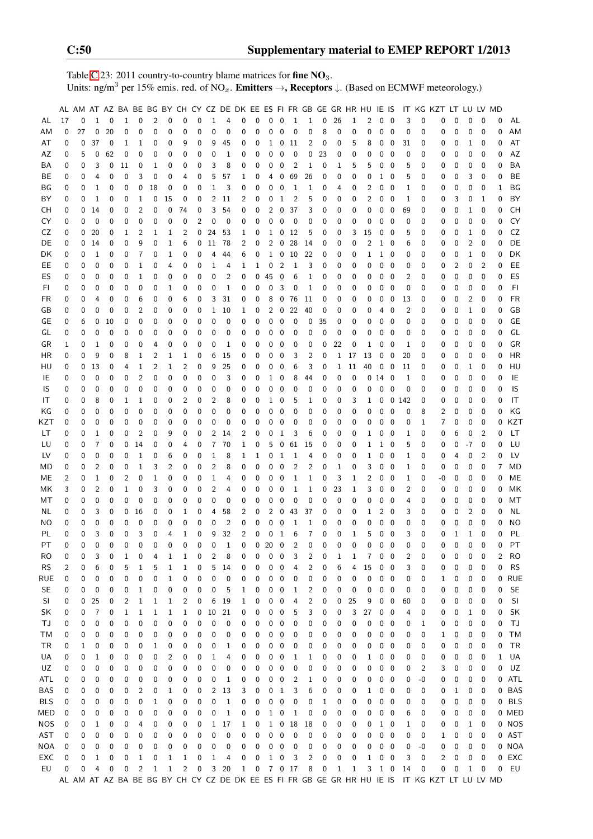Table [C.](#page-2-0)23: 2011 country-to-country blame matrices for fine  $NO<sub>3</sub>$ . Units: ng/m<sup>3</sup> per 15% emis. red. of NO<sub>x</sub>. **Emitters**  $\rightarrow$ **, Receptors**  $\downarrow$ . (Based on ECMWF meteorology.)

|            |    | AL AM AT AZ BA BE BG BY CH CY CZ DE DK EE ES FI FR GB GE GR HR HU IE IS |                |             |             |                |                |                |                |          |                |                |              |                  |              |                |                |                |             |              |          |                |              |                          |              |          | IT KG KZT LT LU LV MD                                                                         |          |                |                |          |            |
|------------|----|-------------------------------------------------------------------------|----------------|-------------|-------------|----------------|----------------|----------------|----------------|----------|----------------|----------------|--------------|------------------|--------------|----------------|----------------|----------------|-------------|--------------|----------|----------------|--------------|--------------------------|--------------|----------|-----------------------------------------------------------------------------------------------|----------|----------------|----------------|----------|------------|
| AL         | 17 | 0                                                                       | 1              | 0           | $\mathbf 1$ | 0              | $\overline{c}$ | 0              | 0              | 0        | $\mathbf{1}$   | 4              | 0            | 0                | 0            | 0              | $\mathbf{1}$   | $\mathbf{1}$   | 0           | 26           | 1        | $\overline{2}$ | 0            | 0                        | 3            | 0        | 0                                                                                             | 0        | 0              | 0              | 0        | AL         |
|            |    | 27                                                                      |                |             |             |                |                |                |                |          | 0              |                |              |                  |              |                |                |                |             |              |          |                |              |                          |              |          |                                                                                               |          |                |                |          |            |
| AM         | 0  |                                                                         | $\mathbf 0$    | 20          | 0           | 0              | $\mathbf 0$    | 0              | 0              | 0        |                | 0              | $\mathbf 0$  | 0                | 0            | 0              | $\mathbf 0$    | 0              | 8           | $\mathbf{0}$ | 0        | 0              | $\mathbf 0$  | 0                        | $\mathbf 0$  | 0        | 0                                                                                             | 0        | 0              | $\mathbf 0$    | 0        | AM         |
| AT         | 0  | 0                                                                       | 37             | 0           | 1           | 1              | 0              | 0              | 9              | 0        | 9              | 45             | 0            | 0                | 1            | 0              | 11             | 2              | 0           | 0            | 5        | 8              | 0            | 0                        | 31           | 0        | 0                                                                                             | 0        | 1              | 0              | 0        | AT         |
| AZ         | 0  | 5                                                                       | 0              | 62          | 0           | 0              | 0              | 0              | 0              | 0        | 0              | $\mathbf 1$    | 0            | 0                | 0            | 0              | 0              | 0              | 23          | 0            | 0        | 0              | 0            | 0                        | 0            | 0        | 0                                                                                             | 0        | 0              | 0              | 0        | AZ         |
| ΒA         | 0  | 0                                                                       | 3              | 0           | 11          | 0              | 1              | 0              | 0              | 0        | 3              | 8              | 0            | 0                | 0            | 0              | 2              | 1              | 0           | 1            | 5        | 5              | 0            | 0                        | 5            | 0        | 0                                                                                             | 0        | 0              | 0              | 0        | BA         |
| ВE         | 0  | 0                                                                       | 4              | 0           | 0           | 3              | 0              | 0              | 4              | 0        | 5              | 57             | 1            | 0                | 4            | 0              | 69             | 26             | 0           | 0            | 0        | 0              | $\mathbf{1}$ | 0                        | 5            | 0        | 0                                                                                             | 0        | 3              | $\mathbf 0$    | 0        | BE         |
| ΒG         | 0  | 0                                                                       | 1              | 0           | 0           | 0              | 18             | 0              | 0              | 0        | 1              | 3              | 0            | 0                | 0            | 0              | 1              | 1              | 0           | 4            | 0        | 2              | 0            | 0                        | 1            | 0        | 0                                                                                             | 0        | 0              | 0              | 1        | BG         |
| BY         | 0  | 0                                                                       | 1              | 0           | 0           | 1              | 0              | 15             | 0              | 0        | $\overline{c}$ | 11             | 2            | 0                | 0            | 1              | $\overline{2}$ | 5              | 0           | 0            | 0        | $\overline{2}$ | 0            | 0                        | 1            | 0        | 0                                                                                             | 3        | 0              | 1              | 0        | BY         |
| CН         | 0  | 0                                                                       | 14             | 0           | 0           | $\overline{2}$ | $\mathbf 0$    | 0              | 74             | 0        | 3              | 54             | 0            | 0                | 2            | 0              | 37             | 3              | 0           | 0            | 0        | 0              | 0            | $\mathbf 0$              | 69           | 0        | 0                                                                                             | 0        | 1              | 0              | 0        | CH         |
| CY         | 0  | 0                                                                       | $\mathbf 0$    | 0           | 0           | 0              | 0              | 0              | 0              | 2        | 0              | 0              | $\mathbf 0$  | 0                | 0            | 0              | 0              | 0              | 0           | 0            | 0        | 0              | 0            | 0                        | 0            | 0        | 0                                                                                             | 0        | 0              | $\mathbf 0$    | 0        | CY         |
| CZ         | 0  | 0                                                                       | 20             | 0           | 1           | 2              | 1              | 1              | 2              | 0        | 24             | 53             | 1            | 0                | 1            | 0              | 12             | 5              | 0           | 0            | 3        | 15             | 0            | 0                        | 5            | 0        | 0                                                                                             | 0        | 1              | 0              | 0        | CZ         |
| DE         | 0  | 0                                                                       | 14             | 0           | 0           | 9              | 0              | 1              | 6              |          | $0\quad11$     | 78             | 2            | 0                | 2            | 0              | 28             | 14             | 0           | 0            | 0        | $\overline{2}$ | $\mathbf{1}$ | 0                        | 6            | 0        | 0                                                                                             | 0        | $\overline{2}$ | 0              | 0        | DE         |
| DK         | 0  | 0                                                                       | 1              | 0           | 0           | 7              | 0              | 1              | 0              | 0        | 4              | 44             | 6            | 0                | $\mathbf{1}$ | 0              | 10             | 22             | 0           | 0            | 0        | 1              | $1\quad 0$   |                          | 0            | 0        | 0                                                                                             | 0        | 1              | 0              | 0        | DK         |
| EE         | 0  | 0                                                                       | 0              | 0           | 0           | 1              | 0              | 4              | 0              | 0        | 1              | 4              | 1            | 1                | 0            | $\overline{c}$ | 1              | 3              | 0           | 0            | 0        | 0              | 0            | 0                        | 0            | 0        | 0                                                                                             | 2        | 0              | 2              | 0        | EE         |
|            |    |                                                                         |                |             |             |                |                |                |                |          |                |                |              |                  |              |                |                |                |             |              |          |                |              |                          |              |          |                                                                                               |          |                |                |          |            |
| ES         | 0  | 0                                                                       | 0              | 0           | 0           | 1              | 0              | 0              | 0              | 0        | 0              | 2              | 0            | 0                | 45           | 0              | 6              | 1              | 0           | 0            | 0        | 0              | 0            | 0                        | 2            | 0        | 0                                                                                             | 0        | 0              | $\mathbf 0$    | 0        | ES         |
| FI         | 0  | 0                                                                       | 0              | 0           | 0           | 0              | 0              | 1              | 0              | 0        | 0              | 1              | 0            | 0                | 0            | 3              | 0              | 1              | 0           | 0            | 0        | 0              | 0            | $\mathbf 0$              | 0            | 0        | 0                                                                                             | 0        | 0              | 0              | 0        | FI         |
| FR         | 0  | 0                                                                       | 4              | $\mathbf 0$ | 0           | 6              | 0              | 0              | 6              | 0        | 3              | 31             | 0            | 0                | 8            | 0              | 76             | 11             | 0           | 0            | 0        | 0              | 0            | $\mathbf 0$              | 13           | 0        | 0                                                                                             | 0        | $\overline{2}$ | $\mathbf 0$    | 0        | <b>FR</b>  |
| GB         | 0  | 0                                                                       | 0              | $\mathbf 0$ | 0           | 2              | 0              | 0              | 0              | 0        | $\mathbf{1}$   | 10             | 1            | 0                | 2            | 0              | 22             | 40             | 0           | 0            | 0        | 0              | 4            | 0                        | 2            | 0        | 0                                                                                             | 0        | 1              | 0              | 0        | GB         |
| GE         | 0  | 6                                                                       | 0              | 10          | 0           | 0              | 0              | 0              | 0              | 0        | 0              | 0              | 0            | 0                | 0            | 0              | 0              | 0              | 35          | 0            | 0        | 0              | 0            | $\mathbf 0$              | 0            | 0        | 0                                                                                             | 0        | 0              | $\mathbf 0$    | 0        | GE         |
| GL         | 0  | 0                                                                       | 0              | 0           | 0           | 0              | 0              | 0              | 0              | 0        | 0              | 0              | 0            | 0                | 0            | 0              | 0              | 0              | 0           | 0            | 0        | 0              | 0            | $\mathbf 0$              | 0            | 0        | 0                                                                                             | 0        | 0              | 0              | 0        | GL         |
| GR         | 1  | 0                                                                       | $\mathbf{1}$   | 0           | 0           | 0              | 4              | 0              | 0              | 0        | 0              | 1              | 0            | 0                | 0            | 0              | 0              | 0              | 0           | 22           | 0        | $\mathbf{1}$   | 0            | $\mathbf 0$              | 1            | 0        | 0                                                                                             | 0        | 0              | 0              | 0        | GR         |
| HR         | 0  | 0                                                                       | 9              | 0           | 8           | 1              | 2              | 1              | 1              | 0        | 6              | 15             | 0            | 0                | 0            | 0              | 3              | 2              | 0           | 1            | 17       | 13             | 0            | 0                        | 20           | 0        | 0                                                                                             | 0        | 0              | $\mathbf 0$    | 0        | <b>HR</b>  |
| HU         | 0  | 0                                                                       | 13             | 0           | 4           | 1              | 2              | 1              | 2              | 0        | 9              | 25             | 0            | 0                | 0            | 0              | 6              | 3              | 0           | 1            | 11       | 40             | 0            | $\mathbf 0$              | 11           | 0        | 0                                                                                             | 0        | 1              | 0              | 0        | HU         |
| IE         | 0  | 0                                                                       | 0              | 0           | 0           | $\overline{2}$ | 0              | 0              | 0              | 0        | 0              | 3              | 0            | 0                | 1            | 0              | 8              | 44             | 0           | 0            | 0        |                | 0140         |                          | $\mathbf{1}$ | 0        | 0                                                                                             | 0        | 0              | 0              | 0        | IE         |
| IS         | 0  | 0                                                                       | 0              | 0           | 0           | 0              | $\mathbf 0$    | 0              | 0              | 0        | 0              | 0              | 0            | 0                | 0            | 0              | 0              | 0              | 0           | 0            | 0        | 0              | 0            | $\mathbf 0$              | 0            | 0        | 0                                                                                             | 0        | 0              | $\mathbf 0$    | 0        | IS         |
| IT         | 0  | 0                                                                       | 8              | 0           | 1           | 1              | 0              | 0              | 2              | 0        | 2              | 8              | 0            | 0                | 1            | 0              | 5              | 1              | 0           | 0            | 3        | $\mathbf{1}$   | 0            |                          | 0 142        | 0        | 0                                                                                             | 0        | 0              | 0              | 0        | IT         |
| ΚG         | 0  | 0                                                                       | 0              | 0           | 0           | 0              | 0              | 0              | 0              | 0        | 0              | 0              | 0            | 0                | 0            | 0              | 0              | 0              | 0           | 0            | 0        | 0              | 0            | $\mathbf 0$              | 0            | 8        | 2                                                                                             | 0        | 0              | 0              | 0        | ΚG         |
| KZT        | 0  | 0                                                                       | 0              | 0           | 0           | 0              |                | 0              | 0              | 0        | 0              | 0              | 0            | 0                | 0            | 0              | 0              | 0              |             | 0            | 0        | 0              | 0            | 0                        | 0            | 1        | 7                                                                                             |          | 0              | 0              | 0        | KZT        |
|            |    |                                                                         |                |             |             |                | 0              |                |                |          |                |                |              |                  |              |                |                |                | 0           |              |          |                |              |                          |              |          |                                                                                               | 0        |                |                |          |            |
| LT         | 0  | 0                                                                       | $\mathbf{1}$   | 0           | 0           | $\overline{2}$ | 0              | 9              | 0              | 0        | $\overline{c}$ | 14             | 2            | 0                | 0            | 1              | 3              | 6              | 0           | 0            | 0        | $\mathbf{1}$   | 0            | 0                        | 1            | 0        | 0                                                                                             | 6        | 0              | $\overline{2}$ | 0        | LT         |
| LU         | 0  | 0                                                                       | 7              | 0           | 0           | 14             | 0              | 0              | 4              | 0        | 7              | 70             | 1            | 0                | 5            | 0              | 61             | 15             | 0           | 0            | 0        | 1              | 1            | 0                        | 5            | 0        | 0                                                                                             | 0        | $-7$           | 0              | 0        | LU         |
| LV         | 0  | 0                                                                       | 0              | 0           | 0           | 1              | 0              | 6              | 0              | 0        | 1              | 8              | 1            | 1                | 0            | 1              | 1              | 4              | 0           | 0            | 0        | $\mathbf{1}$   | 0            | 0                        | 1            | 0        | 0                                                                                             | 4        | 0              | 2              | 0        | LV         |
| MD         | 0  | 0                                                                       | $\overline{2}$ | 0           | 0           | 1              | 3              | 2              | 0              | 0        | $\overline{2}$ | 8              | 0            | 0                | 0            | 0              | $\overline{c}$ | 2              | 0           | 1            | 0        | 3              | 0            | 0                        | 1            | 0        | 0                                                                                             | 0        | 0              | 0              | 7        | MD         |
| МE         | 2  | 0                                                                       | $\mathbf{1}$   | 0           | 2           | 0              | $1\,$          | 0              | 0              | 0        | $1\,$          | 4              | 0            | 0                | 0            | 0              | 1              | 1              | 0           | 3            | 1        | $\overline{2}$ | 0            | 0                        | 1            | 0        | -0                                                                                            | 0        | 0              | $\mathbf{0}$   | 0        | ME         |
| МK         | 3  | 0                                                                       | 2              | 0           | 1           | 0              | 3              | 0              | 0              | 0        | 2              | 4              | 0            | 0                | 0            | 0              | 1              | $\mathbf{1}$   | 0           | 23           | 1        | 3              | 0            | 0                        | 2            | 0        | 0                                                                                             | 0        | 0              | $\mathbf 0$    | 0        | MK         |
| МT         | 0  | 0                                                                       | 0              | 0           | 0           | 0              | 0              | 0              | 0              | 0        | 0              | 0              | 0            | 0                | 0            | 0              | 0              | 0              | 0           | $\mathbf{0}$ | 0        | 0              | 0            | $\mathbf 0$              | 4            | 0        | 0                                                                                             | 0        | 0              | 0              | 0        | MT         |
| NL         | 0  | 0                                                                       | 3              | 0           | 0           | 16             | 0              | 0              | 1              | 0        | 4              | 58             | 2            | 0                | 2            | 0              | 43             | 37             | 0           | 0            | 0        | 1              | 2            | 0                        | 3            | 0        | 0                                                                                             | 0        | 2              | 0              | 0        | <b>NL</b>  |
| NO         | 0  | 0                                                                       | 0              | 0           | 0           | 0              | 0              | 0              | 0              | 0        | 0              | $\overline{2}$ | 0            | 0                | 0            | 0              | 1              | 1              | 0           | 0            | 0        | 0              | 0            | 0                        | 0            | 0        | 0                                                                                             | 0        | 0              | 0              | 0        | <b>NO</b>  |
| PL         | 0  | 0                                                                       | 3              | 0           | 0           | 3              | $\mathbf 0$    | 4              | 1              | 0        | 9              | 32             | 2            | 0                | 0            | $\mathbf{1}$   | 6              | $\overline{7}$ | 0           | 0            | 1        | 5              | 0            | $\mathbf 0$              | 3            | 0        | 0                                                                                             | 1        | 1              | $\mathbf 0$    | 0        | PL         |
| <b>PT</b>  | 0  | $\Omega$                                                                | $\overline{0}$ | $\Omega$    | $\Omega$    | $\Omega$       | $\Omega$       | $\Omega$       | $\Omega$       | $\Omega$ | 0              | $\mathbf{1}$   | $\Omega$     |                  | 020          | $\mathbf 0$    | $\overline{2}$ | $\mathbf 0$    | $\mathbf 0$ | $\Omega$     | $\Omega$ | $\mathbf 0$    | $\mathbf{0}$ | $\mathbf{0}$             | $\Omega$     | $\Omega$ | 0                                                                                             | $\Omega$ | 0              | $\Omega$       | $\Omega$ | <b>PT</b>  |
| RO         | 0  | 0                                                                       | 3              | 0           | 1           | 0              | 4              | 1              | 1              | 0        | 2              | 8              | 0            | 0                | 0            | 0              | 3              | 2              | 0           | 1            | 1        | 7              | 0            | 0                        | 2            | 0        | 0                                                                                             | 0        | 0              | 0              | 2        | <b>RO</b>  |
| <b>RS</b>  | 2  | 0                                                                       | 6              | 0           | 5           | 1              | 5              | 1              | 1              | 0        | 5              | 14             | 0            | 0                | 0            | 0              | 4              | 2              | 0           | 6            | 4        | 15             | 0            | 0                        | 3            | 0        | 0                                                                                             | 0        | 0              | 0              | 0        | <b>RS</b>  |
| RUE        | 0  | 0                                                                       | 0              | 0           | 0           | 0              | 0              | 1              | 0              | 0        | 0              | 0              | 0            | 0                | 0            | 0              | 0              | 0              | 0           | 0            | 0        | 0              | 0            | 0                        | 0            | 0        | 1                                                                                             | 0        | 0              | 0              | 0        | <b>RUE</b> |
|            |    |                                                                         |                |             |             |                |                |                |                |          |                |                |              |                  |              |                |                |                |             |              |          |                |              |                          |              |          |                                                                                               |          |                |                |          | <b>SE</b>  |
| <b>SE</b>  | 0  | 0                                                                       | 0              | 0           | 0           | 1              | 0              | 0              | 0              | 0        | 0              | 5              | 1            | 0                | 0            | 0              | 1              | 2              | 0           | 0            | 0        | 0              | 0            | 0                        | 0            | 0        | 0                                                                                             | 0        | 0              | 0              | 0        |            |
| SI         | 0  | 0                                                                       | 25             | 0           | 2           | 1              | 1              | 1              | 2              | 0        | 6              | 19             | 1            | 0                | 0            | 0              | 4              | 2              | 0           | 0            | 25       | 9              | 0            | 0                        | 60           | 0        | 0                                                                                             | 0        | 0              | 0              | 0        | SI         |
| SK         | 0  | 0                                                                       | 7              | 0           | 1           | 1              | 1              | 1              | 1              | 0        | 10             | 21             | 0            | 0                | 0            | 0              | 5              | 3              | 0           | 0            | 3        | 27             | 0            | $\overline{\phantom{0}}$ | 4            | 0        | 0                                                                                             | 0        | 1              | 0              | 0        | SK         |
| ΤJ         | 0  | 0                                                                       | 0              | 0           | 0           | 0              | 0              | 0              | 0              | 0        | 0              | 0              | 0            | 0                | 0            | 0              | 0              | 0              | 0           | 0            | 0        | 0              | 0            | 0                        | 0            | 1        | 0                                                                                             | 0        | 0              | 0              | 0        | ТJ         |
| ТM         | 0  | 0                                                                       | 0              | 0           | 0           | 0              | 0              | 0              | 0              | 0        | 0              | 0              | 0            | 0                | 0            | 0              | 0              | 0              | 0           | 0            | 0        | 0              | 0            | $\boldsymbol{0}$         | 0            | 0        | 1                                                                                             | 0        | 0              | 0              | 0        | ТM         |
| TR         | 0  | 1                                                                       | 0              | 0           | 0           | 0              | 1              | 0              | 0              | 0        | 0              | 1              | 0            | 0                | 0            | 0              | 0              | 0              | 0           | 0            | 0        | 0              | 0            | 0                        | 0            | 0        | 0                                                                                             | 0        | 0              | 0              | 0        | TR         |
| UA         | 0  | 0                                                                       | 1              | 0           | 0           | 0              | 0              | $\overline{c}$ | 0              | 0        | 1              | 4              | 0            | 0                | 0            | 0              | 1              | 1              | 0           | 0            | 0        | $\mathbf{1}$   | 0            | 0                        | 0            | 0        | 0                                                                                             | 0        | 0              | 0              | 1        | UA         |
| UZ         | 0  | 0                                                                       | 0              | 0           | 0           | 0              | 0              | 0              | 0              | 0        | 0              | 0              | 0            | 0                | 0            | 0              | 0              | 0              | 0           | 0            | 0        | 0              | 0            | 0                        | 0            | 2        | 3                                                                                             | 0        | 0              | 0              | 0        | UZ         |
| ATL        | 0  | 0                                                                       | 0              | 0           | 0           | 0              | 0              | 0              | 0              | 0        | 0              | 1              | 0            | 0                | 0            | 0              | 2              | 1              | 0           | 0            | 0        | 0              | 0            | 0                        | 0            | -0       | 0                                                                                             | 0        | 0              | 0              |          | 0 ATL      |
| <b>BAS</b> | 0  | 0                                                                       | 0              | 0           | 0           | 2              | 0              | 1              | 0              | 0        | 2              | 13             | 3            | 0                | 0            | 1              | 3              | 6              | 0           | 0            | 0        | 1              | 0            | 0                        | 0            | 0        | 0                                                                                             | 1        | 0              | 0              |          | 0 BAS      |
| <b>BLS</b> | 0  | 0                                                                       | 0              | 0           | 0           | 0              | 1              | 0              | 0              | 0        | 0              | 1              | 0            | 0                | 0            | 0              | 0              | 0              | 1           | 0            | 0        | 0              | 0            | 0                        | 0            | 0        | 0                                                                                             | 0        | 0              | 0              |          | 0 BLS      |
| MED        | 0  | 0                                                                       | 0              | 0           | 0           | 0              | 0              | 0              | 0              | 0        | 0              | 1              | 0            | 0                | 1            | 0              | 1              | 0              | 0           | 0            | 0        | 0              | 0            | $\boldsymbol{0}$         | 6            | 0        | 0                                                                                             | 0        | 0              | 0              |          | 0 MED      |
| <b>NOS</b> | 0  | 0                                                                       | 1              | 0           | 0           | 4              | 0              | 0              | 0              | 0        | $\mathbf{1}$   | 17             | 1            | 0                | $\mathbf{1}$ | $\mathbf 0$    | 18             | 18             | 0           | 0            | 0        | 0              | 1            | 0                        | 1            | 0        | 0                                                                                             | 0        | 1              | 0              |          | 0 NOS      |
| AST        | 0  | 0                                                                       | 0              | 0           | 0           | 0              | 0              | 0              | 0              | 0        | 0              | 0              | 0            | 0                | 0            | 0              | 0              | 0              | 0           | 0            | 0        | 0              | 0            | 0                        | 0            | 0        | 1                                                                                             | 0        | 0              | 0              |          | 0 AST      |
| NOA        |    |                                                                         |                | 0           | 0           |                | 0              |                |                |          | 0              | 0              |              |                  |              |                |                |                | 0           | 0            | 0        |                | 0            |                          |              | -0       |                                                                                               | 0        |                |                |          | 0 NOA      |
|            | 0  | 0                                                                       | 0              |             |             | 0              |                | 0              | 0              | 0        |                |                | 0            | 0                | 0            | 0              | 0              | 0              |             |              |          | 0              |              | 0                        | 0            |          | 0                                                                                             |          | 0              | 0              |          |            |
| EXC        | 0  | 0                                                                       | 1              | 0           | 0           | 1              | 0              | 1              | 1              | 0        | 1              | 4              | 0            | 0                | 1            | 0              | 3              | 2              | 0           | 0            | 0        | 1              | 0            | 0                        | 3            | 0        | 2                                                                                             | 0        | 0              | 0              |          | 0 EXC      |
| EU         | 0  | 0                                                                       | 4              | 0           | 0           | 2              | $\mathbf{1}$   | $\mathbf{1}$   | $\overline{c}$ | 0        | 3              | 20             | $\mathbf{1}$ | $\boldsymbol{0}$ |              |                | 7 0 17         | 8              | 0           | $\mathbf{1}$ | 1        | 3              | $1\quad 0$   |                          | 14           | 0        | 0                                                                                             | 0        | 1              | 0              | 0        | EU         |
|            |    |                                                                         |                |             |             |                |                |                |                |          |                |                |              |                  |              |                |                |                |             |              |          |                |              |                          |              |          | AL AM AT AZ BA BE BG BY CH CY CZ DE DK EE ES FI FR GB GE GR HR HU IE IS IT KG KZT LT LU LV MD |          |                |                |          |            |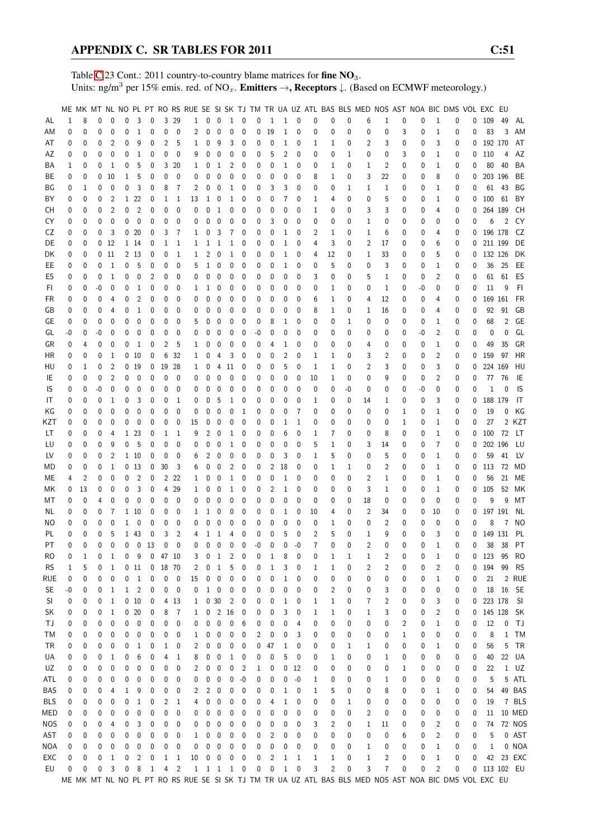Table [C.](#page-2-0)23 Cont.: 2011 country-to-country blame matrices for fine NO<sub>3</sub>. Units: ng/m<sup>3</sup> per 15% emis. red. of NO<sub>x</sub>. **Emitters**  $\rightarrow$ **, Receptors**  $\downarrow$ . (Based on ECMWF meteorology.)

|                |          |              |    |                 |             |                  |              |              |                |              |   |                          |                                     |                          |      |           |              |             |                |                |             | ME MK MT NL NO PL PT RO RS RUE SE SI SK TJ TM TR UA UZ ATL BAS BLS MED NOS AST NOA BIC DMS VOL EXC EU |                |              |    |              |          |              |              |             |              |
|----------------|----------|--------------|----|-----------------|-------------|------------------|--------------|--------------|----------------|--------------|---|--------------------------|-------------------------------------|--------------------------|------|-----------|--------------|-------------|----------------|----------------|-------------|-------------------------------------------------------------------------------------------------------|----------------|--------------|----|--------------|----------|--------------|--------------|-------------|--------------|
|                | 1        | 8            | 0  | $\mathbf{0}$    | 0           | 3                | 0            |              | 3 29           |              |   | $0\quad 0$               | $\mathbf{1}$                        | $\overline{\phantom{0}}$ | 0    | -1        | 1            | 0           | 0              | 0              | 0           | 6                                                                                                     |                | 0            | 0  | 1            | 0        | 0            | 109          | 49          |              |
| AL             |          |              |    |                 |             |                  |              |              |                | $\mathbf{1}$ |   |                          |                                     |                          |      |           |              |             |                |                |             |                                                                                                       | 1              |              |    |              |          |              |              |             | AL           |
| ΑM             | 0        | 0            | 0  | $\mathbf{0}$    | 0           | 1                | 0            | 0            | $\mathbf 0$    | 2            | 0 | 0                        | 0                                   | 0                        | 0    | 19        | 1            | 0           | 0              | 0              | 0           | 0                                                                                                     | 0              | 3            | 0  | 1            | 0        | 0            | 83           | 3           | AM           |
| AT             | 0        | 0            | 0  | 2               | 0           | 9                | 0            | 2            | 5              | 1            | 0 | 9                        | 3                                   | 0                        | 0    | 0         | 1            | 0           | 1              | 1              | 0           | 2                                                                                                     | 3              | 0            | 0  | 3            | 0        | 0            | 192 170      |             | AT           |
| AΖ             | 0        | 0            | 0  | 0               | 0           | 1                | 0            | 0            | 0              | 9            | 0 | 0                        | 0                                   | 0                        | 0    | 5         | 2            | 0           | 0              | 0              | 1           | 0                                                                                                     | 0              | 3            | 0  | 1            | 0        | 0            | 110          | 4           | AZ           |
| ΒA             | 1        | 0            | 0  | 1               | 0           | 5                | 0            |              | 3 20           | 1            | 0 | 1                        | 2                                   | 0                        | 0    | 0         | 1            | 0           | 0              | 1              | 0           | 1                                                                                                     | 2              | 0            | 0  | 1            | 0        | 0            | 80           | 40          | BA           |
| ВE             | 0        | 0            |    | $0\quad10$      | 1           | 5                | 0            | 0            | 0              | 0            | 0 | 0                        | 0                                   | 0                        | 0    | 0         | 0            | 0           | 8              | 1              | 0           | 3                                                                                                     | 22             | 0            | 0  | 8            | 0        | 0            |              | 203 196     | BE           |
| ΒG             | 0        | 1            | 0  | 0               | 0           | 3                | 0            | 8            | 7              | 2            | 0 | $\mathbf 0$              | 1                                   | 0                        | 0    | 3         | 3            | 0           | 0              | 0              | 1           | 1                                                                                                     | 1              | 0            | 0  | 1            | 0        | 0            | 61           | 43          | BG           |
| BY             | 0        | 0            | 0  | $\overline{2}$  |             | 1 22             | 0            | 1            | 1              | 13           | 1 | 0                        | 1                                   | 0                        | 0    | 0         | 7            | 0           | 1              | 4              | 0           | 0                                                                                                     | 5              | 0            | 0  | 1            | 0        | 0            | 100 61       |             | BY           |
|                | 0        | 0            | 0  | $\overline{2}$  | 0           | $\overline{2}$   | 0            | 0            | $\mathbf 0$    | 0            | 0 | $\mathbf{1}$             | 0                                   | 0                        | 0    | 0         | 0            | 0           | 1              | 0              | 0           | 3                                                                                                     | 3              | 0            | 0  | 4            | 0        | 0            | 264 189      |             | CH           |
| CН             |          |              |    |                 |             |                  |              |              |                |              |   |                          |                                     |                          |      |           |              |             |                |                |             |                                                                                                       |                |              |    |              |          |              |              |             |              |
| CY             | 0        | 0            | 0  | $\mathbf{0}$    | 0           | $\mathbf 0$      | 0            | 0            | 0              | 0            | 0 | 0                        | 0                                   | 0                        | 0    | 3         | 0            | 0           | 0              | 0              | 0           | 1                                                                                                     | 0              | 0            | 0  | 0            | 0        | 0            | 6            | 2           | CY           |
| CZ             | 0        | 0            | 0  | 3               |             | 0 <sub>20</sub>  | 0            | 3            | 7              | 1            | 0 | 3                        | 7                                   | 0                        | 0    | 0         | 1            | 0           | 2              | 1              | 0           | 1                                                                                                     | 6              | 0            | 0  | 4            | 0        | 0            | 196 178      |             | CZ           |
| DE             | 0        | 0            |    | 0 <sub>12</sub> |             | 1 14             | 0            | 1            | 1              | 1            | 1 | 1                        | 1                                   | 0                        | 0    | 0         | 1            | 0           | 4              | 3              | 0           | 2                                                                                                     | 17             | 0            | 0  | 6            | 0        | 0            | 211 199      |             | DE           |
| DK             | 0        | 0            |    | $0\quad11$      |             | 2 13             | 0            | 0            | 1              | 1            | 2 | 0                        | 1                                   | 0                        | 0    | 0         | 1            | 0           | 4              | 12             | 0           | 1                                                                                                     | 33             | 0            | 0  | 5            | 0        | 0            | 132 126      |             | DK           |
| EE             | 0        | 0            | 0  | 1               | 0           | 5                | 0            | 0            | 0              | 5            | 1 | 0                        | 0                                   | 0                        | 0    | 0         | 1            | 0           | 0              | 5              | 0           | 0                                                                                                     | 3              | 0            | 0  | 1            | 0        | 0            |              | 36 25       | EE           |
| ES             | 0        | 0            | 0  | $\mathbf{1}$    | 0           | 0                | 2            | 0            | 0              | 0            | 0 | $\mathbf 0$              | 0                                   | 0                        | 0    | 0         | 0            | 0           | 3              | 0              | 0           | 5                                                                                                     | 1              | 0            | 0  | 2            | 0        | 0            | 61           | 61          | ES           |
| FI.            | 0        | 0            | -0 | 0               | 0           | 1                | 0            | 0            | 0              | 1            | 1 | 0                        | 0                                   | 0                        | 0    | 0         | 0            | 0           | 0              | 1              | 0           | 0                                                                                                     | 1              | 0            | -0 | 0            | 0        | 0            | 11           | 9           | FI.          |
| FR             | 0        | 0            | 0  | 4               | 0           | 2                | 0            | 0            | 0              | 0            | 0 | 0                        | 0                                   | 0                        | 0    | 0         | 0            | 0           | 6              | 1              | 0           | 4                                                                                                     | 12             | 0            | 0  | 4            | 0        | 0            | 169 161      |             | FR           |
| GB             | 0        | 0            | 0  | 4               | 0           | 1                | 0            | 0            | 0              | 0            | 0 | 0                        | 0                                   | 0                        | 0    | 0         | 0            | 0           | 8              | 1              | 0           | 1                                                                                                     | 16             | 0            | 0  | 4            | 0        | 0            | 92           | 91          | GB           |
| GE             | 0        | 0            | 0  | 0               | 0           | 0                | 0            | 0            | 0              | 5            | 0 | 0                        | 0                                   | 0                        | 0    | 8         | 1            | 0           | 0              | 0              | 1           | 0                                                                                                     | 0              | 0            | 0  | 1            | 0        | 0            | 68           | 2           | GE           |
| GL             | -0       | 0            | -0 | 0               | 0           | 0                | 0            | 0            | 0              | 0            | 0 | 0                        | 0                                   | 0                        | -0   | 0         | 0            | 0           | 0              | 0              | 0           | 0                                                                                                     | 0              | 0            | -0 | 2            | 0        | 0            | 0            | 0           | GL           |
| GR             | 0        | 4            | 0  | 0               | 0           | 1                | 0            | 2            | 5              | 1            | 0 | 0                        | 0                                   | 0                        | 0    | 4         | 1            | 0           | 0              | 0              | 0           | 4                                                                                                     | 0              | 0            | 0  | 1            | 0        | 0            | 49           | 35          | GR           |
|                |          |              |    |                 |             |                  |              |              |                |              |   |                          |                                     |                          |      |           |              |             |                |                |             |                                                                                                       |                |              |    |              |          |              |              |             |              |
| НR             | 0        | 0            | 0  | 1               |             | 0 <sub>10</sub>  | 0            | 6            | -32            | 1            | 0 | 4                        | 3                                   | 0                        | 0    | 0         | 2            | 0           | 1              | 1              | 0           | 3                                                                                                     | 2              | 0            | 0  | 2            | 0        | 0            | 159          | 97          | HR           |
| HU             | 0        | 1            | 0  | $\overline{2}$  |             | 0 <sub>19</sub>  | 0            |              | 19 28          | 1            | 0 | 4                        | 11                                  | 0                        | 0    | 0         | 5            | 0           | 1              | 1              | 0           | 2                                                                                                     | 3              | 0            | 0  | 3            | 0        | 0            | 224 169      |             | HU           |
| IE             | 0        | 0            | 0  | $\overline{2}$  | 0           | 0                | 0            | 0            | 0              | 0            | 0 | 0                        | 0                                   | 0                        | 0    | 0         | 0            | 0           | 10             | 1              | 0           | 0                                                                                                     | 9              | 0            | 0  | 2            | 0        | 0            | 77           | 76          | IE           |
| IS             | 0        | 0            | -0 | 0               | 0           | 0                | 0            | 0            | 0              | 0            | 0 | 0                        | 0                                   | 0                        | 0    | 0         | 0            | 0           | 0              | 0              | -0          | 0                                                                                                     | 0              | 0            | -0 | 0            | 0        | 0            | $\mathbf{1}$ | 0           | 1S           |
| IT             | 0        | 0            | 0  | 1               | 0           | 3                | 0            | 0            | 1              | 0            | 0 | 5                        | 1                                   | 0                        | 0    | 0         | 0            | 0           | 1              | 0              | 0           | 14                                                                                                    | 1              | 0            | 0  | 3            | 0        | 0            | 188 179      |             | IT           |
| ΚG             | 0        | 0            | 0  | 0               | 0           | 0                | 0            | 0            | 0              | 0            | 0 | 0                        | 0                                   | 1                        | 0    | 0         | 0            | 7           | 0              | 0              | 0           | 0                                                                                                     | 0              | 1            | 0  | 1            | 0        | 0            | 19           | 0           | KG           |
| KZT            | 0        | 0            | 0  | 0               | 0           | 0                | 0            | 0            | 0              | 15           | 0 | 0                        | 0                                   | 0                        | 0    | 0         | 1            | 1           | 0              | 0              | 0           | 0                                                                                                     | 0              | 1            | 0  | 1            | 0        | 0            | 27           |             | 2 KZT        |
| LT             | 0        | 0            | 0  | 4               |             | 1 23             | 0            | 1            | -1             | 9            | 2 | 0                        | 1                                   | 0                        | 0    | 0         | 6            | 0           | 1              | 7              | 0           | 0                                                                                                     | 8              | 0            | 0  | 1            | 0        | 0            | 100 72       |             | LT           |
| LU             | 0        | 0            | 0  | 9               | 0           | 5                | 0            | 0            | 0              | 0            | 0 | 0                        | 1                                   | 0                        | 0    | 0         | 0            | 0           | 5              | 1              | 0           | 3                                                                                                     | 14             | 0            | 0  | 7            | 0        | 0            | 202 196      |             | LU           |
| LV             | 0        | 0            | 0  | $\overline{2}$  |             | 1 10             | 0            | 0            | 0              | 6            | 2 | 0                        | 0                                   | 0                        | 0    | 0         | 3            | 0           | 1              | 5              | 0           | 0                                                                                                     | 5              | 0            | 0  | 1            | 0        | 0            | 59           | 41          | LV           |
| MD             | 0        | 0            | 0  | $\mathbf{1}$    |             | 0 <sub>13</sub>  | 0            | 30           | 3              | 6            | 0 | 0                        | $\overline{2}$                      | 0                        | 0    | 2         | 18           | 0           | 0              | 1              | 1           | 0                                                                                                     | 2              | 0            | 0  | 1            | 0        | $\mathbf{0}$ | 113 72       |             | MD           |
| МE             | 4        | 2            | 0  | $\mathbf{0}$    | 0           | $\overline{2}$   | 0            |              | 2 2 2          | 1            | 0 | $\mathbf{0}$             | 1                                   | 0                        | 0    | 0         | 1            | 0           | 0              | 0              | 0           | 2                                                                                                     | 1              | 0            | 0  | 1            | 0        | 0            | 56           |             | 21 ME        |
| МK             | 0        | 13           | 0  | 0               | 0           | 3                | 0            | 4            | 29             | 1            | 0 | 0                        | 1                                   | 0                        | 0    | 2         | 1            | 0           | 0              | 0              | 0           | 3                                                                                                     | 1              | 0            | 0  | 1            | 0        | 0            | 105          | 52          | MK           |
|                |          |              | 4  |                 |             |                  |              |              | 0              | 0            |   |                          | 0                                   | 0                        |      |           | 0            | 0           |                |                |             |                                                                                                       |                |              | 0  | 0            |          | 0            | 9            | 9           | МT           |
| МT             | 0        | 0            |    | 0               | 0           | 0                | 0            | 0            |                |              | 0 | 0                        |                                     |                          | 0    | 0         |              |             | 0              | 0              | 0           | 18                                                                                                    | 0              | 0            |    |              | 0        |              |              |             |              |
| NL.            | 0        | 0            | 0  | 7               |             | 1 10             | 0            | 0            | 0              | 1            | 1 | 0                        | 0                                   | 0                        | 0    | 0         | 1            | 0           | 10             | 4              | 0           | 2                                                                                                     | 34             | 0            | 0  | 10           | 0        | 0            | 197 191      |             | NL           |
| ΝO             | 0        | 0            | 0  | 0               | 1           | $\mathbf 0$      | 0            | 0            | 0              | 0            | 0 | $\mathbf 0$              | 0                                   | 0                        | 0    | 0         | 0            | 0           | 0              | 1              | 0           | 0                                                                                                     | 2              | 0            | 0  | 0            | 0        | 0            | 8            | 7           | NO.          |
| PL             | 0        | 0            | 0  | 5               |             | 1 43             | 0            | 3            | $\overline{2}$ | 4            | 1 | 1                        | 4                                   | 0                        | 0    | 0         | 5            | $\mathbf 0$ | $\overline{2}$ | 5              | 0           | 1                                                                                                     | 9              | 0            | 0  | 3            | 0        | 0            | 149 131      |             | PL           |
| PT             | $\Omega$ | 0            | 0  | $\theta$        | $\mathbf 0$ | 0 <sub>13</sub>  |              | $\mathbf{0}$ | $\Omega$       | 0            | 0 | $\overline{0}$           | $\mathbf 0$                         | $\mathbf{0}$             | $-0$ | 0         | $\mathbf 0$  | $-0$        | 7              | 0              | $\Omega$    | $\overline{2}$                                                                                        | $\theta$       | $\mathbf{0}$ | 0  | 1            | $\Omega$ | 0            | 38           | - 38        | PT           |
| R <sub>O</sub> | 0        | $\mathbf{1}$ | 0  | -1              | 0           | $\overline{9}$   |              | 04710        |                | 3            | 0 | $\mathbf{1}$             | $\overline{c}$                      | 0                        | 0    | 1         | 8            | 0           | 0              | 1              | 1           | $\mathbf{1}$                                                                                          | $\overline{c}$ | 0            | 0  | $\mathbf{1}$ | 0        |              | 0 123        | 95          | <b>RO</b>    |
| <b>RS</b>      | 1        | 5            | 0  | 1               |             | 011              | $\mathbf 0$  | 18 70        |                | 2            | 0 | $\mathbf{1}$             | 5                                   | 0                        | 0    | 1         | 3            | 0           | 1              | 1              | 0           | $\overline{c}$                                                                                        | 2              | 0            | 0  | 2            | 0        | 0            | 194          | 99          | <b>RS</b>    |
| <b>RUE</b>     | 0        | 0            | 0  | 0               | 0           | $\mathbf{1}$     | 0            | $\pmb{0}$    | 0              | 15           | 0 | $\pmb{0}$                | 0                                   | $\pmb{0}$                | 0    | 0         | 1            | 0           | 0              | 0              | 0           | 0                                                                                                     | 0              | 0            | 0  | 1            | 0        | 0            | 21           |             | 2 RUE        |
| <b>SE</b>      | -0       | 0            | 0  | $\mathbf{1}$    |             | $1 \quad 2$      | 0            | 0            | $\mathbf 0$    | 0            |   | $1\quad 0$               | 0                                   | 0                        | 0    | 0         | 0            | 0           | 0              | 2              | 0           | 0                                                                                                     | 3              | 0            | 0  | 0            | 0        | 0            |              | 18 16 SE    |              |
| SI             | 0        | 0            | 0  | $\mathbf{1}$    |             | 0 <sub>10</sub>  | 0            |              | 4 13           | 1            |   | 030                      | $\overline{c}$                      | 0                        | 0    | 0         | 1            | 0           | 1              | 1              | 0           | 7                                                                                                     | 2              | 0            | 0  | 3            | 0        | 0            | 223 178      |             | - SI         |
| SK             | 0        | 0            | 0  | $\mathbf{1}$    |             | 020              | 0            | 8            | $\overline{7}$ | 1            | 0 |                          | 2 16                                | 0                        | 0    | 0         | 3            | 0           | 1              | 1              | 0           | 1                                                                                                     | 3              | 0            | 0  | 2            | 0        | 0            | 145 128      |             | SK           |
| ТJ             | 0        | 0            | 0  | $\pmb{0}$       | 0           | $\mathbf 0$      | 0            | 0            | 0              | 0            | 0 | $\pmb{0}$                | $\pmb{0}$                           | 6                        | 0    | 0         | 0            | 4           | 0              | 0              | 0           | 0                                                                                                     | 0              | 2            | 0  | 1            | 0        | 0            | 12           | 0           | - TJ         |
| ТM             | 0        | 0            | 0  | 0               | 0           | $\boldsymbol{0}$ | 0            | 0            | 0              | 1            | 0 | 0                        | 0                                   | 0                        | 2    | 0         | 0            | 3           | 0              | 0              | 0           | 0                                                                                                     | 0              | 1            | 0  | 0            | 0        | 0            | 8            | $\mathbf 1$ | TM           |
| TR             | 0        | 0            | 0  | 0               | 0           | 1                | 0            | $\mathbf{1}$ | 0              | 2            | 0 | $\pmb{0}$                | 0                                   | 0                        | 0    | 47        | 1            | 0           | 0              | 0              | $\mathbf 1$ | $\mathbf{1}$                                                                                          | 0              | 0            | 0  | 1            | 0        | 0            | 56           | 5           | <b>TR</b>    |
|                |          |              |    |                 |             |                  |              |              |                |              |   |                          |                                     |                          |      |           |              |             |                |                |             |                                                                                                       |                |              |    |              |          |              |              |             |              |
| UA             | 0        | 0            | 0  | 1               | 0           | 6                | 0            | 4            | 1              | 8            | 0 | $\boldsymbol{0}$         | $\mathbf{1}$                        | 0                        | 0    | 0         | 5            | 0           | 0              | 1              | 0           | 0                                                                                                     | 1              | 0            | 0  | 0            | 0        | 0            | 40           |             | 22 UA        |
| UZ             | 0        | 0            | 0  | 0               | 0           | 0                | 0            | 0            | 0              | 2            | 0 | 0                        | 0                                   | 2                        | 1    | 0         | 0            | 12          | 0              | 0              | 0           | 0                                                                                                     | 0              | 1            | 0  | 0            | 0        | 0            | 22           |             | $1 \quad UZ$ |
| ATL            | 0        | 0            | 0  | 0               | 0           | 0                | 0            | 0            | 0              | 0            | 0 | 0                        | 0                                   | -0                       | 0    | 0         | 0            | -0          | 1              | 0              | 0           | 0                                                                                                     | 1              | 0            | 0  | 0            | 0        | 0            | 5            |             | 5 ATL        |
| BAS            | 0        | 0            | 0  | 4               | 1           | 9                | 0            | 0            | 0              | 2            | 2 | $\overline{0}$           | 0                                   | 0                        | 0    | 0         | 1            | 0           | 1              | 5              | 0           | 0                                                                                                     | 8              | 0            | 0  | 1            | 0        | 0            | 54           |             | 49 BAS       |
| <b>BLS</b>     | 0        | 0            | 0  | 0               | 0           | 1                | 0            | 2            | 1              | 4            | 0 | $\pmb{0}$                | 0                                   | 0                        | 0    | 4         | 1            | 0           | 0              | 0              | 1           | 0                                                                                                     | 0              | 0            | 0  | 0            | 0        | 0            | 19           |             | 7 BLS        |
| MED            | 0        | 0            | 0  | 0               | 0           | 0                | 0            | 0            | 0              | 0            | 0 | $\boldsymbol{0}$         | 0                                   | 0                        | 0    | 0         | 0            | 0           | 0              | 0              | 0           | $\overline{c}$                                                                                        | 0              | 0            | 0  | 0            | 0        | 0            | 11           |             | 10 MED       |
| <b>NOS</b>     | 0        | 0            | 0  | 4               | 0           | 3                | 0            | 0            | 0              | 0            | 0 | $\overline{0}$           | 0                                   | 0                        | 0    | 0         | 0            | 0           | 3              | 2              | 0           | $\mathbf{1}$                                                                                          | 11             | 0            | 0  | 2            | 0        | 0            | 74           |             | 72 NOS       |
| AST            | 0        | 0            | 0  | 0               | 0           | 0                | 0            | 0            | 0              | 1            | 0 | $\mathbf 0$              | 0                                   | 0                        | 0    | 2         | 0            | 0           | 0              | 0              | 0           | 0                                                                                                     | 0              | 6            | 0  | 2            | 0        | 0            | 5            |             | 0 AST        |
| NOA            | 0        | 0            | 0  | 0               | 0           | 0                | 0            | 0            | 0              | 0            | 0 | $\overline{0}$           | 0                                   | 0                        | 0    | 0         | 0            | 0           | 0              | 0              | 0           | 1                                                                                                     | 0              | 0            | 0  | 1            | 0        | 0            | $\mathbf{1}$ |             | 0 NOA        |
| EXC            | 0        | 0            | 0  | $\mathbf{1}$    | 0           | $\overline{c}$   | 0            | $\mathbf{1}$ | $\mathbf{1}$   | 10           | 0 | $\overline{\phantom{0}}$ | $\pmb{0}$                           | 0                        | 0    | 2         | $\mathbf{1}$ | 1           | $\mathbf{1}$   | $\mathbf{1}$   | 0           | $\mathbf{1}$                                                                                          | 2              | 0            | 0  | $\mathbf 1$  | 0        | 0            |              |             | 42 23 EXC    |
| EU             | 0        | 0            | 0  | 3               | $\pmb{0}$   | 8                | <sup>1</sup> |              | 4 <sup>2</sup> |              |   |                          | $1 \quad 1 \quad 1 \quad 1 \quad 0$ |                          | 0    | $\pmb{0}$ | $\mathbf{1}$ | $\mathbf 0$ | 3              | $\overline{c}$ | $\pmb{0}$   | 3                                                                                                     | 7              | 0            | 0  | 2            | 0        |              | 0 113 102 EU |             |              |
|                |          |              |    |                 |             |                  |              |              |                |              |   |                          |                                     |                          |      |           |              |             |                |                |             | ME MK MT NL NO PL PT RO RS RUE SE SI SK TJ TM TR UA UZ ATL BAS BLS MED NOS AST NOA BIC DMS VOL EXC EU |                |              |    |              |          |              |              |             |              |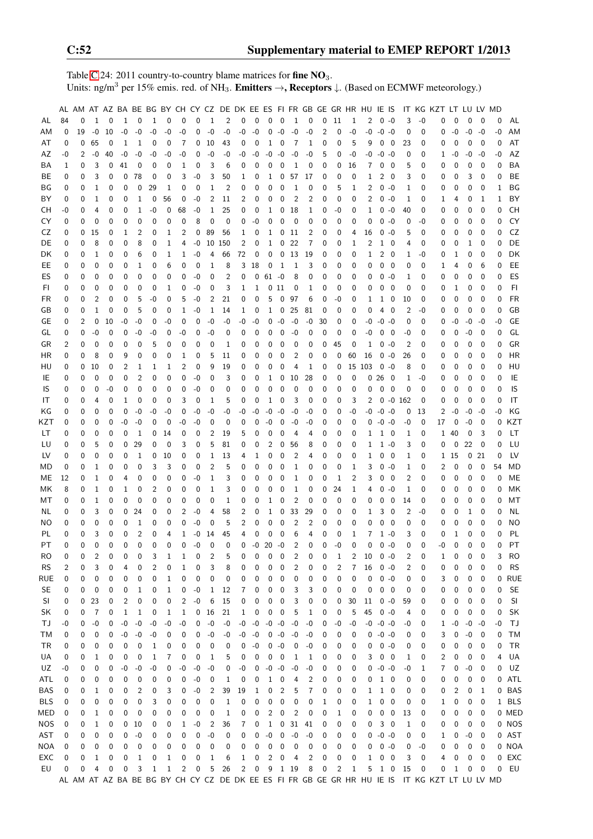Table [C.](#page-2-0)24: 2011 country-to-country blame matrices for fine  $NO<sub>3</sub>$ . Units: ng/m<sup>3</sup> per 15% emis. red. of NH<sub>3</sub>. **Emitters**  $\rightarrow$ **, Receptors**  $\downarrow$ . (Based on ECMWF meteorology.)

|            |             |                |                |             |              |                         |      |              |              |                   |                  |                |                |        |                |                  |                |                |                |      |          | AL AM AT AZ BA BE BG BY CH CY CZ DE DK EE ES FI FR GB GE GR HR HU IE IS |              |                          |              |          | IT KG KZT LT LU LV MD                                                                         |           |      |              |      |           |
|------------|-------------|----------------|----------------|-------------|--------------|-------------------------|------|--------------|--------------|-------------------|------------------|----------------|----------------|--------|----------------|------------------|----------------|----------------|----------------|------|----------|-------------------------------------------------------------------------|--------------|--------------------------|--------------|----------|-----------------------------------------------------------------------------------------------|-----------|------|--------------|------|-----------|
| AL         | 84          | 0              | 1              | 0           | $\mathbf{1}$ | 0                       | 1    | 0            | 0            | 0                 | $\mathbf{1}$     | 2              | 0              | 0      | 0              | 0                | $\mathbf{1}$   | 0              | 0              | - 11 | 1        | 2                                                                       | $0 - 0$      |                          | 3            | $-0$     | 0                                                                                             | 0         | 0    | 0            | 0    | AL        |
| ΑM         | 0           | 19             | $-0$           | 10          | $-0$         | $-0$                    | -0   | $-0$         | $-0$         | 0                 | $-0$             | $-0$           | $-0$           | $-0$   | 0              | $-0$             | $-0$           | $-0$           | $\overline{c}$ | 0    | $-0$     | $-0$                                                                    | $-0 -0$      |                          | 0            | 0        | 0                                                                                             | $-0$      | $-0$ | $-0$         | $-0$ | AM        |
| AT         | 0           | 0              | 65             | 0           | 1            | 1                       | 0    | 0            | 7            | 0                 | -10              | 43             | 0              | 0      | 1              | 0                | 7              | $\mathbf 1$    | 0              | 0    | 5        | 9                                                                       | 0            | $\overline{\phantom{0}}$ | 23           | 0        | 0                                                                                             | 0         | 0    | 0            | 0    | AT        |
| AZ         | -0          | 2              | $-0$           | 40          | -0           | -0                      | -0   | -0           | -0           | 0                 | -0               | -0             | -0             | -0     | -0             | $-0$             | -0             | -0             | 5              | 0    | -0       | -0                                                                      | $-0 -0$      |                          | 0            | 0        | 1                                                                                             | -0        | -0   | -0           | -0   | AZ        |
| ΒA         | 1           | 0              | 3              | 0           | 41           | 0                       | 0    | 0            | 1            | 0                 | 3                | 6              | 0              | 0      | 0              | 0                | 1              | 0              | 0              | 0    | 16       | 7                                                                       | 0            | - 0                      | 5            | 0        | 0                                                                                             | 0         | 0    | 0            | 0    | BA        |
| ВE         | 0           | 0              | 3              | 0           | 0            | 78                      | 0    | 0            | 3            | $-0$              | 3                | 50             | 1              | 0      | 1              | 0                | 57             | 17             | 0              | 0    | 0        | 1                                                                       | 2            | 0                        | 3            | 0        | 0                                                                                             | 0         | 3    | 0            | 0    | BE        |
| ΒG         | 0           | 0              | 1              | 0           | 0            | 0                       | 29   | 1            | 0            | 0                 | 1                | 2              | 0              | 0      | 0              | 0                | 1              | 0              | 0              | 5    | 1        | 2                                                                       | $0 - 0$      |                          | 1            | 0        | 0                                                                                             | 0         | 0    | 0            | 1    | ΒG        |
| ΒY         | $\mathbf 0$ | 0              | 1              | $\mathbf 0$ | 0            | 1                       | 0    | 56           | 0            | -0                | 2                | 11             | 2              | 0      | 0              | 0                | 2              | 2              | 0              | 0    | 0        | 2                                                                       | $0 - 0$      |                          | 1            | 0        | 1                                                                                             | 4         | 0    | 1            | 1    | BY        |
| CН         | -0          | 0              | 4              | 0           | 0            | 1                       | -0   | 0            | 68           | -0                | 1                | 25             | 0              | 0      | 1              | 0                | 18             | 1              | 0              | -0   | 0        | 1                                                                       | $0 - 0$      |                          | 40           | 0        | 0                                                                                             | 0         | 0    | 0            | 0    | <b>CH</b> |
| CY         | 0           | 0              | 0              | 0           | 0            | 0                       | 0    | 0            | 0            | 8                 | 0                | 0              | 0              | -0     | 0              | 0                | 0              | 0              | 0              | 0    | 0        | 0                                                                       | $0 - 0$      |                          | 0            | -0       | 0                                                                                             | 0         | 0    | $\mathbf{0}$ | 0    | CY        |
| CZ         | 0           | 0              | 15             | 0           | 1            | 2                       | 0    | 1            | 2            | 0                 | 89               | 56             | 1              | 0      | 1              | 0                | -11            | 2              | 0              | 0    | 4        | 16                                                                      | $0 - 0$      |                          | 5            | 0        | 0                                                                                             | 0         | 0    | 0            | 0    | CZ        |
| DE         | 0           | 0              | 8              | 0           | 0            | 8                       | 0    | 1            | 4            | -0                |                  | 10 150         | 2              | 0      | 1              | 0                | 22             | 7              | 0              | 0    | 1        | 2                                                                       | $1\quad$     |                          | 4            | 0        | 0                                                                                             | 0         | 1    | 0            | 0    | DE        |
|            |             | 0              | 1              | 0           | 0            | 6                       |      | 1            |              | -0                | 4                |                | 72             | 0      | 0              | 0                | 13             | 19             | 0              |      | 0        | 1                                                                       | $2\quad 0$   |                          | 1            | -0       |                                                                                               |           | 0    | 0            | 0    | DK        |
| DK         | 0           |                | $\mathbf 0$    |             |              |                         | 0    |              | 1            |                   |                  | 66             |                |        |                |                  |                |                |                | 0    |          |                                                                         |              |                          |              |          | 0                                                                                             | 1         |      |              |      |           |
| EE         | 0           | 0              |                | 0           | 0            | 1                       | 0    | 6            | 0            | 0                 | 1                | 8              | 3              | 18     | 0              | $\mathbf{1}$     | $\mathbf{1}$   | 3              | 0              | 0    | 0        | 0                                                                       | 0            | $\overline{0}$           | 0            | 0        | 1                                                                                             | 4         | 0    | 6            | 0    | EE        |
| ES         | 0           | 0              | $\mathbf 0$    | 0           | 0            | 0                       | 0    | 0            | 0            | -0                | 0                | $\overline{2}$ | 0              | 0      | $61 - 0$       |                  | 8              | 0              | 0              | 0    | 0        | 0                                                                       | $0 - 0$      |                          | 1            | 0        | 0                                                                                             | 0         | 0    | $\mathbf 0$  | 0    | ES        |
| FI         | 0           | 0              | 0              | $\mathbf 0$ | 0            | 0                       | 0    | 1            | 0            | -0                | 0                | 3              | 1              | 1      |                | 011              | 0              | $\mathbf 1$    | 0              | 0    | 0        | 0                                                                       | 0            | $\overline{0}$           | $\mathbf 0$  | 0        | 0                                                                                             | 1         | 0    | $\mathbf 0$  | 0    | F1        |
| <b>FR</b>  | 0           | 0              | $\overline{2}$ | 0           | 0            | 5                       | $-0$ | 0            | 5            | -0                | 2                | 21             | 0              | 0      | 5              | 0                | 97             | 6              | 0              | -0   | 0        | 1                                                                       | 1            | 0                        | 10           | 0        | 0                                                                                             | 0         | 0    | 0            | 0    | <b>FR</b> |
| GB         | 0           | 0              | 1              | 0           | 0            | 5                       | 0    | 0            | 1            | -0                | 1                | 14             | 1              | 0      | $\mathbf{1}$   | 0                | 25             | 81             | 0              | 0    | 0        | 0                                                                       | 4            | $\overline{0}$           | 2            | -0       | 0                                                                                             | 0         | 0    | 0            | 0    | GB        |
| GE         | 0           | $\overline{c}$ | 0              | 10          | -0           | $-0$                    | 0    | -0           | 0            | 0                 | -0               | -0             | -0             | $-0$   | 0              | $-0$             | $-0$           | $-0$           | 30             | 0    | 0        | -0                                                                      | $-0 -0$      |                          | 0            | 0        | 0                                                                                             | -0        | -0   | $-0$         | -0   | <b>GE</b> |
| GL         | 0           | 0              | $-0$           | 0           | 0            | -0                      | -0   | 0            | -0           | 0                 | -0               | 0              | 0              | 0      | 0              | 0                | $-0$           | 0              | 0              | 0    | 0        | -0                                                                      | 0            | - 0                      | -0           | 0        | 0                                                                                             | 0         | -0   | 0            | 0    | GL        |
| GR         | 2           | 0              | $\mathbf 0$    | 0           | 0            | 0                       | 5    | 0            | 0            | 0                 | 0                | 1              | 0              | 0      | 0              | 0                | 0              | 0              | 0              | 45   | 0        | 1                                                                       | $0 - 0$      |                          | 2            | 0        | 0                                                                                             | 0         | 0    | 0            | 0    | GR        |
| HR         | 0           | 0              | 8              | 0           | 9            | 0                       | 0    | 0            | 1            | 0                 | 5                | 11             | 0              | 0      | 0              | 0                | $\overline{2}$ | 0              | 0              | 0    | 60       | 16                                                                      | $0 - 0$      |                          | 26           | 0        | 0                                                                                             | 0         | 0    | 0            | 0    | HR        |
| HU         | 0           | 0              | 10             | 0           | 2            | 1                       | 1    | 1            | 2            | 0                 | 9                | 19             | 0              | 0      | 0              | 0                | 4              | 1              | 0              | 0    |          | 15 103                                                                  | $0 - 0$      |                          | 8            | 0        | 0                                                                                             | 0         | 0    | $\mathbf 0$  | 0    | HU        |
| IE         | 0           | 0              | 0              | 0           | 0            | 2                       | 0    | 0            | 0            | -0                | 0                | 3              | 0              | 0      | 1              | 0                | 10             | 28             | 0              | 0    | 0        | 0                                                                       | $26\quad0$   |                          | 1            | -0       | 0                                                                                             | 0         | 0    | 0            | 0    | IE        |
| IS         | $\mathbf 0$ | 0              | 0              | -0          | 0            | 0                       | 0    | 0            | 0            | $-0$              | 0                | 0              | 0              | 0      | 0              | 0                | 0              | 0              | 0              | 0    | 0        | 0                                                                       | 0            | $\overline{0}$           | 0            | 0        | 0                                                                                             | 0         | 0    | 0            | 0    | IS        |
| IT         | 0           | 0              | 4              | 0           | 1            | 0                       | 0    | 0            | 3            | 0                 | 1                | 5              | 0              | 0      | 1              | 0                | 3              | 0              | 0              | 0    | 3        | 2                                                                       |              | $0 - 0 162$              |              | 0        | 0                                                                                             | 0         | 0    | 0            | 0    | IT        |
| ΚG         | 0           | 0              | $\mathbf 0$    | 0           | 0            | -0                      | -0   | -0           | 0            | -0                | -0               | $-0$           | -0             | $-0$   | $-0$           | -0               | $-0$           | -0             | 0              | 0    | -0       |                                                                         | $-0 - 0 - 0$ |                          | 0            | 13       | 2                                                                                             | $-0$      | -0   | $-0$         | -0   | ΚG        |
| KZT        | 0           | 0              | $\mathbf 0$    | 0           | $-0$         | -0                      | 0    | 0            | -0           | -0                | 0                | 0              | 0              | 0      | -0             | 0                | -0             | -0             | 0              | 0    | 0        | 0                                                                       | $-0 -0$      |                          | -0           | 0        | 17                                                                                            | 0         | $-0$ | 0            | 0    | KZT       |
| LT         | 0           | 0              | 0              | 0           | 0            | 1                       | 0    | 14           | 0            | 0                 | 2                | 19             | 5              | 0      | 0              | 0                | 4              | 4              | 0              | 0    | 0        | 1                                                                       | 1            | $\overline{\phantom{0}}$ | 1            | 0        | 1                                                                                             | 40        | 0    | 3            | 0    | LT        |
| LU         | 0           | 0              | 5              | 0           | 0            | 29                      | 0    | 0            | 3            | 0                 | 5                | 81             | 0              | 0      | $\overline{2}$ | 0                | 56             | 8              | 0              | 0    | 0        | 1                                                                       | $1 - 0$      |                          | 3            | 0        | 0                                                                                             | 0         | 22   | 0            | 0    | LU        |
| LV         | 0           | 0              | $\mathbf 0$    | $\mathbf 0$ | 0            | 1                       | 0    | 10           | 0            | 0                 | $\mathbf{1}$     | 13             | 4              | 1      | 0              | 0                | 2              | 4              | 0              | 0    | 0        | $\mathbf{1}$                                                            | $0\quad 0$   |                          | 1            | 0        |                                                                                               | 1 15      | 0    | 21           | 0    | LV        |
| MD         | 0           | 0              | 1              | $\mathbf 0$ | 0            | 0                       | 3    | 3            | 0            | 0                 | 2                | 5              | 0              | 0      | 0              | 0                | 1              | 0              | 0              | 0    | 1        | 3                                                                       | $0 - 0$      |                          | 1            | 0        | 2                                                                                             | 0         | 0    | 0            | 54   | MD        |
| ME         | 12          | 0              | 1              | $\mathbf 0$ | 4            | 0                       | 0    | 0            | 0            | -0                | 1                | 3              | 0              | 0      | 0              | 0                | 1              | 0              | 0              | 1    | 2        | 3                                                                       | 0            | - 0                      | 2            | 0        | 0                                                                                             | 0         | 0    | 0            | 0    | МE        |
| МK         | 8           | 0              | 1              | 0           | 1            | 0                       | 2    | 0            | 0            | 0                 | 1                | 3              | 0              | 0      | 0              | 0                | 1              | 0              | 0              | 24   | 1        | 4                                                                       | $0 - 0$      |                          | 1            | 0        | 0                                                                                             | 0         | 0    | 0            | 0    | MK        |
| МT         | 0           | 0              | 1              | 0           | 0            | 0                       | 0    | 0            | 0            | 0                 | 0                | 1              | 0              | 0      | 1              | 0                | $\overline{2}$ | 0              | 0              | 0    | 0        | 0                                                                       | 0            | - 0                      | 14           | 0        | 0                                                                                             | 0         | 0    | 0            | 0    | МT        |
| ΝL         | 0           | 0              | 3              | 0           | 0            | 24                      | 0    | 0            | 2            | -0                | 4                | 58             | 2              | 0      | 1              | 0                | 33             | 29             | 0              | 0    | 0        | 1                                                                       | 3            | - 0                      | 2            | -0       | 0                                                                                             | 0         | 1    | 0            | 0    | <b>NL</b> |
| ΝO         | 0           | 0              | $\mathbf 0$    | 0           | 0            | 1                       | 0    | 0            | 0            | $-0$              | 0                | 5              | $\overline{c}$ | 0      | 0              | 0                | $\overline{c}$ | 2              | 0              | 0    | 0        | 0                                                                       | $\mathbf 0$  | $\overline{0}$           | 0            | 0        | 0                                                                                             | 0         | 0    | $\mathbf{0}$ | 0    | NO        |
| PL         | 0           | $\mathbf 0$    | 3              | $\mathbf 0$ | 0            | $\overline{2}$          | 0    | 4            | 1            | -0                | 14               | 45             | 4              | 0      | 0              | 0                | 6              | 4              | 0              | 0    | 1        | 7                                                                       | $1 - 0$      |                          | 3            | 0        | 0                                                                                             | 1         | 0    | $\mathbf 0$  | 0    | PL        |
| PT         | $\Omega$    | $\Omega$       | $\mathbf 0$    | $\mathbf 0$ | 0            | $\mathbf 0$             | 0    | $\Omega$     | $\mathbf 0$  | -0                | $\mathbf 0$      | 0              | 0              | $-0$   | $20 - 0$       |                  | 2              | 0              | 0              | $-0$ | $\Omega$ | $\mathbf{0}$                                                            | $0 - 0$      |                          | $\mathbf{0}$ | $\Omega$ | -0                                                                                            | 0         | 0    | $\mathbf{0}$ | 0    | PT        |
| RO         | 0           | 0              | $\overline{c}$ | 0           | 0            | 0                       | 3    | 1            | 1            | 0                 | 2                | 5              | 0              | 0      | 0              | 0                | 2              | 0              | 0              | 1    | 2        | 10                                                                      | $0 - 0$      |                          | 2            | 0        | 1                                                                                             | 0         | 0    | 0            | 3    | RO        |
| <b>RS</b>  | 2           | 0              | 3              | 0           | 4            | 0                       | 2    | 0            | 1            | 0                 | 3                | 8              | 0              | 0      | 0              | 0                | 2              | 0              | 0              | 2    | 7        | 16                                                                      | $0 - 0$      |                          | 2            | 0        | 0                                                                                             | 0         | 0    | 0            | 0    | <b>RS</b> |
| RUE        | 0           | 0              | 0              | 0           | 0            | 0                       | 0    | $\mathbf{1}$ | 0            | 0                 | 0                | 0              | 0              | 0      | 0              | 0                | 0              | 0              | 0              | 0    | 0        | 0                                                                       | $0 - 0$      |                          | 0            | 0        | 3                                                                                             | 0         | 0    | 0            |      | 0 RUE     |
| <b>SE</b>  | 0           | 0              | 0              | 0           | 0            | 1                       | 0    | $\mathbf{1}$ | 0            | $-0$              | $\mathbf{1}$     | 12             | 7              | 0      | 0              | 0                | 3              | 3              | 0              | 0    | 0        | 0                                                                       | $0\quad 0$   |                          | 0            | 0        | 0                                                                                             | 0         | 0    | 0            | 0    | <b>SE</b> |
| SI         | 0           | 0              | 23             | 0           | 2            | 0                       | 0    | 0            | 2            | $\textnormal{-}0$ | 6                | 15             | 0              | 0      | 0              | 0                | 3              | 0              | 0              | 0    | 30       | 11                                                                      | $0 - 0$      |                          | 59           | 0        | 0                                                                                             | 0         | 0    | 0            | 0    | SI        |
| SK         | 0           | 0              | 7              | 0           | $\mathbf 1$  | 1                       | 0    | 1            | $\mathbf{1}$ | 0                 | 16               | 21             | 1              | 0      | 0              | 0                | 5              | $\mathbf{1}$   | 0              | 0    | 5        | 45                                                                      | $0 - 0$      |                          | 4            | 0        | 0                                                                                             | 0         | 0    | 0            | 0    | SK        |
| ТJ         | -0          | 0              | $-0$           | 0           | $-0$         | $-0$                    | $-0$ | $-0$         | $-0$         | 0                 | $-0$             | $-0$           | $-0$           | $-0$   | $-0 - 0$       |                  | $-0$           | $-0$           | 0              | $-0$ | -0       |                                                                         | $-0 - 0 - 0$ |                          | -0           | 0        | 1                                                                                             | $-0$      | $-0$ | $-0$         | -0   | TJ        |
| ТM         | 0           | 0              | 0              | 0           | $-0$         | -0                      | -0   | 0            | 0            | 0                 | $-0$             | $-0$           | $-0$           | $-0$   |                | $0 - 0$          | $-0$           | $-0$           | 0              | 0    | 0        |                                                                         | $0 - 0 - 0$  |                          | 0            | 0        | 3                                                                                             | $\pmb{0}$ | $-0$ | 0            | 0    | TM        |
| TR         | 0           | 0              | 0              | 0           | 0            | 0                       | 1    | 0            | 0            | 0                 | 0                | 0              | 0              | $-0$   |                | $0 - 0$          | 0              | $-0$           | 0              | 0    | 0        | 0                                                                       | $0 - 0$      |                          | 0            | 0        | 0                                                                                             | 0         | 0    | 0            | 0    | <b>TR</b> |
| UA         |             |                |                |             |              |                         |      |              |              |                   |                  |                |                |        |                |                  |                |                |                |      |          |                                                                         | $0\quad 0$   |                          |              |          |                                                                                               | 0         |      |              | 4    | UA        |
| UZ         | 0           | 0              | 1              | 0           | 0            | 0                       | 1    | 7            | 0            | 0                 | 1                | 5              | 0              | 0<br>0 | 0              | 0                | 1<br>-0        | 1              | 0              | 0    | 0        | 3                                                                       |              |                          | 1            | 0        | 2                                                                                             |           | 0    | 0<br>0       | 0    | UZ        |
|            | $-0$        | 0              | 0              | 0           | -0           | $-0$                    | -0   | 0            | -0           | $-0$              | -0               | 0              | -0             |        | $-0 -0$        |                  |                | -0             | 0              | 0    | 0        | 0                                                                       | $-0 -0$      |                          | -0           | 1        | 7                                                                                             | 0         | $-0$ |              |      |           |
| ATL        | 0           | 0              | 0              | 0           | 0            | 0                       | 0    | 0            | 0            | -0                | 0                | 1              | 0              | 0      | 1              | 0                | 4              | 2              | 0              | 0    | 0        | 0                                                                       | $1\quad0$    |                          | 0            | 0        | 0                                                                                             | 0         | 0    | 0            |      | 0 ATL     |
| BAS        | 0           | 0              | 1              | 0           | 0            | $\overline{\mathbf{c}}$ | 0    | 3            | 0            | $-0$              | 2                | 39             | 19             | 1      | 0              | 2                | 5              | $\overline{7}$ | 0              | 0    | 0        | 1                                                                       | $1\quad$ 0   |                          | 0            | 0        | 0                                                                                             | 2         | 0    | 1            |      | 0 BAS     |
| <b>BLS</b> | 0           | 0              | $\pmb{0}$      | 0           | 0            | 0                       | 3    | 0            | 0            | 0                 | 0                | $\mathbf{1}$   | 0              | 0      | 0              | $\boldsymbol{0}$ | 0              | 0              | 1              | 0    | 0        | $\mathbf{1}$                                                            | $0\quad 0$   |                          | 0            | 0        | 1                                                                                             | 0         | 0    | 0            |      | 1 BLS     |
| MED        | 0           | 0              | $1\,$          | 0           | 0            | 0                       | 0    | 0            | 0            | 0                 | $\boldsymbol{0}$ | $\mathbf{1}$   | 0              | 0      | $\overline{2}$ | $\boldsymbol{0}$ | $\overline{c}$ | 0              | 0              | 1    | 0        | 0                                                                       | $0\quad 0$   |                          | 13           | 0        | 0                                                                                             | 0         | 0    | 0            |      | 0 MED     |
| NOS        | 0           | 0              | $\mathbf{1}$   | 0           | 0            | 10                      | 0    | 0            | 1            | $-0$              | $\overline{c}$   | 36             | 7              | 0      | $\mathbf{1}$   | 0                |                | 31 41          | 0              | 0    | 0        | 0                                                                       | 30           |                          | 1            | 0        | 0                                                                                             | 0         | 0    | 0            |      | 0 NOS     |
| AST        | 0           | 0              | $\pmb{0}$      | $\mathbf 0$ | 0            | $-0$                    | 0    | 0            | 0            | 0                 | $-0$             | 0              | 0              | 0      | $-0$           | $\pmb{0}$        | $-0$           | $-0$           | 0              | 0    | 0        |                                                                         | $0 - 0 - 0$  |                          | 0            | 0        | 1                                                                                             | 0         | $-0$ | 0            |      | 0 AST     |
| NOA        | 0           | 0              | 0              | 0           | 0            | 0                       | 0    | 0            | 0            | 0                 | 0                | 0              | 0              | 0      | 0              | 0                | 0              | 0              | 0              | 0    | 0        | 0                                                                       | $0 - 0$      |                          | 0            | -0       | 0                                                                                             | 0         | 0    | 0            |      | 0 NOA     |
| EXC        | 0           | 0              | 1              | 0           | 0            | $\mathbf 1$             | 0    | 1            | 0            | 0                 | 1                | 6              | 1              | 0      | $\overline{2}$ | 0                | 4              | 2              | 0              | 0    | 0        | $\mathbf{1}$                                                            | $0\quad 0$   |                          | 3            | 0        | 4                                                                                             | 0         | 0    | 0            |      | 0 EXC     |
| EU         | 0           | 0              | 4              | $\mathbf 0$ | 0            | 3                       | 1    | 1            | 2            | 0                 | 5                | 26             | 2              | 0      | 9              |                  | 1 19           | 8              | $\pmb{0}$      | 2    | 1        | 5                                                                       | $1\quad 0$   |                          | 15           | 0        | 0                                                                                             | 1         | 0    | 0            | 0    | EU        |
|            |             |                |                |             |              |                         |      |              |              |                   |                  |                |                |        |                |                  |                |                |                |      |          |                                                                         |              |                          |              |          | AL AM AT AZ BA BE BG BY CH CY CZ DE DK EE ES FI FR GB GE GR HR HU IE IS IT KG KZT LT LU LV MD |           |      |              |      |           |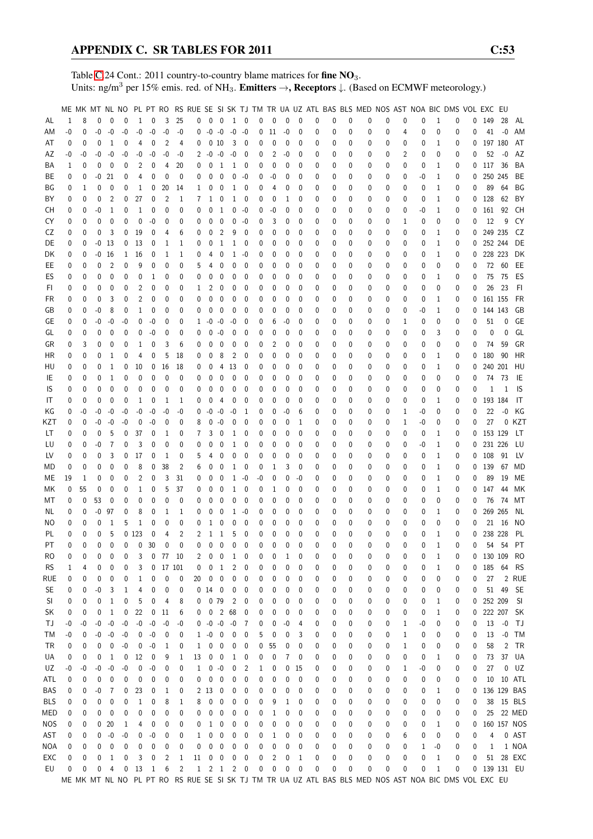Table [C.](#page-2-0)24 Cont.: 2011 country-to-country blame matrices for fine NO<sub>3</sub>. Units: ng/m<sup>3</sup> per 15% emis. red. of NH<sub>3</sub>. **Emitters**  $\rightarrow$ **, Receptors**  $\downarrow$ . (Based on ECMWF meteorology.)

|            |      |    |             |                |              |                |                |                 |                |              |                     |                  |                |             |              |              |              |              |   |              |          | ME MK MT NL NO PL PT RO RS RUE SE SI SK TJ TM TR UA UZ ATL BAS BLS MED NOS AST NOA BIC DMS VOL EXC EU |          |   |          |              |          |   |              |                   |             |
|------------|------|----|-------------|----------------|--------------|----------------|----------------|-----------------|----------------|--------------|---------------------|------------------|----------------|-------------|--------------|--------------|--------------|--------------|---|--------------|----------|-------------------------------------------------------------------------------------------------------|----------|---|----------|--------------|----------|---|--------------|-------------------|-------------|
| AL         | 1    | 8  | $\mathbf 0$ | $\mathbf{0}$   | $\Omega$     | $\mathbf{1}$   | $\mathbf{0}$   | 3               | 25             |              | $0\quad 0$          | 0                | $\mathbf{1}$   | 0           | 0            | $\mathbf{0}$ | $\mathbf{0}$ | $\mathbf{0}$ | 0 | 0            | 0        | 0                                                                                                     | 0        | 0 | 0        | $\mathbf{1}$ | 0        | 0 | 149          | 28                | AL          |
| ΑM         | $-0$ | 0  | $-0$        | $-0$           | -0           | -0             | $-0$           | $-0$            | -0             | 0            | $-0 - 0$            |                  | $-0$           | -0          | 0            | 11           | -0           | 0            | 0 | 0            | 0        | 0                                                                                                     | 0        | 4 | 0        | 0            | 0        | 0 |              | $41 - 0$          | AM          |
| AT         | 0    | 0  | 0           | 1              | 0            | 4              | 0              | $\overline{2}$  | 4              | 0            |                     | 010              | 3              | 0           | 0            | 0            | 0            | 0            | 0 | 0            | 0        | 0                                                                                                     | 0        | 0 | 0        | 1            | 0        | 0 | 197 180      |                   | AT          |
| AΖ         | -0   | -0 | -0          | -0             | -0           | -0             | -0             | -0              | -0             |              | $2 - 0$             | -0               | -0             | 0           | 0            | 2            | -0           | 0            | 0 | 0            | 0        | 0                                                                                                     | 0        | 2 | 0        | 0            | 0        | 0 | 52           | $-0$              | AZ          |
| ΒA         | 1    | 0  | 0           | 0              | 0            | 2              | 0              | $\overline{4}$  | 20             | 0            | 0                   | 1                | 1              | 0           | 0            | 0            | 0            | 0            | 0 | 0            | 0        | 0                                                                                                     | 0        | 0 | 0        | 1            | 0        | 0 | 117 36       |                   | BA          |
| ВE         | 0    | 0  | -0          | 21             | 0            | 4              | 0              | 0               | 0              | 0            | 0                   | 0                | 0              | -0          | 0            | -0           | 0            | 0            | 0 | 0            | 0        | 0                                                                                                     | 0        | 0 | -0       | 1            | 0        | 0 |              | 250 245           | BE          |
| ΒG         | 0    | 1  | 0           | 0              | 0            | 1              | 0              | 20              | 14             | 1            | 0                   | 0                | 1              | 0           | 0            | 4            | 0            | $\mathbf 0$  | 0 | 0            | 0        | 0                                                                                                     | 0        | 0 | 0        | 1            | 0        | 0 | 89           | 64                | ΒG          |
|            | 0    |    |             | 2              | 0            | 27             | $\mathbf 0$    | $\overline{2}$  | 1              | 7            |                     |                  |                |             |              |              | 1            | 0            |   | 0            | 0        | 0                                                                                                     | 0        |   |          |              |          | 0 | 128          | 62                | BY          |
| ΒY         |      | 0  | 0           |                |              |                |                |                 |                |              | 1                   | 0                | 1              | 0           | 0            | 0            |              |              | 0 |              |          |                                                                                                       |          | 0 | 0        | 1            | 0        |   |              |                   |             |
| CН         | 0    | 0  | -0          | 1              | 0            | $\mathbf{1}$   | 0              | $\mathbf 0$     | 0              | 0            | 0                   | 1                | 0              | -0          | 0            | -0           | 0            | 0            | 0 | 0            | 0        | 0                                                                                                     | 0        | 0 | -0       | 1            | 0        | 0 | 161 92       |                   | CH          |
| CY         | 0    | 0  | 0           | 0              | 0            | 0              | $-0$           | 0               | 0              | 0            | 0                   | 0                | 0              | -0          | 0            | 3            | 0            | 0            | 0 | 0            | 0        | 0                                                                                                     | 0        | 1 | 0        | 0            | 0        | 0 | 12           | 9                 | CY          |
| CZ         | 0    | 0  | 0           | 3              | 0            | 19             | 0              | 4               | 6              | 0            | 0                   | 2                | 9              | 0           | 0            | 0            | 0            | 0            | 0 | 0            | 0        | 0                                                                                                     | 0        | 0 | 0        | 1            | 0        | 0 |              | 249 235           | CZ          |
| DE         | 0    | 0  | -0          | -13            | 0            | 13             | 0              | 1               | 1              | 0            | 0                   | 1                | 1              | 0           | 0            | 0            | 0            | 0            | 0 | 0            | 0        | 0                                                                                                     | 0        | 0 | 0        | 1            | 0        | 0 |              | 252 244           | DE          |
| DK         | 0    | 0  | -0          | 16             | $\mathbf{1}$ | 16             | 0              | 1               | 1              | 0            | 4                   | 0                | 1              | -0          | 0            | 0            | 0            | 0            | 0 | 0            | 0        | 0                                                                                                     | 0        | 0 | 0        | 1            | 0        | 0 |              | 228 223           | DK          |
| EE         | 0    | 0  | 0           | $\overline{2}$ | 0            | 9              | 0              | 0               | 0              | 5            | 4                   | 0                | 0              | 0           | 0            | 0            | 0            | 0            | 0 | 0            | 0        | 0                                                                                                     | 0        | 0 | 0        | 0            | 0        | 0 |              | 72 60             | EE          |
| ES         | 0    | 0  | 0           | 0              | 0            | 0              | 1              | 0               | 0              | 0            | $\mathbf 0$         | 0                | 0              | 0           | 0            | 0            | 0            | 0            | 0 | 0            | 0        | 0                                                                                                     | 0        | 0 | 0        | 1            | 0        | 0 | 75           | - 75              | ES          |
| FI.        | 0    | 0  | 0           | 0              | 0            | $\overline{c}$ | 0              | 0               | 0              | 1            | 2                   | 0                | 0              | 0           | 0            | 0            | 0            | 0            | 0 | 0            | 0        | 0                                                                                                     | 0        | 0 | 0        | 0            | 0        | 0 | 26           | 23                | F1          |
| FR         | 0    | 0  | 0           | 3              | 0            | 2              | 0              | 0               | 0              | 0            | 0                   | 0                | 0              | 0           | 0            | 0            | 0            | 0            | 0 | 0            | 0        | 0                                                                                                     | 0        | 0 | 0        | 1            | 0        | 0 | 161 155      |                   | FR          |
| GB         | 0    | 0  | -0          | 8              | 0            | 1              | 0              | 0               | 0              | 0            | 0                   | 0                | 0              | 0           | 0            | 0            | 0            | 0            | 0 | 0            | 0        | 0                                                                                                     | 0        | 0 | -0       | 1            | 0        | 0 |              | 144 143           | GB          |
| GЕ         | 0    | 0  | -0          | -0             | -0           | 0              | $-0$           | 0               | 0              | $\mathbf{1}$ | -0                  | $-0$             | -0             | 0           | 0            | 6            | -0           | 0            | 0 | 0            | 0        | 0                                                                                                     | 0        | 1 | 0        | 0            | 0        | 0 | 51           | 0                 | GE          |
| GL         | 0    | 0  | 0           | 0              | 0            | 0              | -0             | 0               | 0              | 0            | $\mathbf 0$         | -0               | 0              | 0           | 0            | 0            | 0            | 0            | 0 | 0            | 0        | 0                                                                                                     | 0        | 0 | 0        | 3            | 0        | 0 | 0            | 0                 | GL          |
| GR         | 0    | 3  | 0           | 0              | 0            | 1              | 0              | 3               | 6              | 0            | 0                   | 0                | 0              | 0           | 0            | 2            | $\mathbf 0$  | 0            | 0 | 0            | 0        | 0                                                                                                     | 0        | 0 | 0        | 0            | 0        | 0 | 74           | 59                | GR          |
| НR         | 0    | 0  | 0           | 1              | 0            | 4              | 0              | 5               | 18             | 0            | 0                   | 8                | $\overline{c}$ | 0           | 0            | 0            | 0            | 0            | 0 | 0            | 0        | 0                                                                                                     | 0        | 0 | 0        | 1            | 0        | 0 | 180          | 90                | HR          |
| HU         | 0    | 0  | 0           | 1              | 0            | 10             | 0              | 16              | 18             | 0            | 0                   | 4                | 13             | 0           | 0            | 0            | 0            | 0            | 0 | 0            | 0        | 0                                                                                                     | 0        | 0 | 0        | 1            | 0        | 0 |              | 240 201           | HU          |
| IE         | 0    | 0  | 0           | 1              | 0            | 0              | 0              | $\mathbf 0$     | 0              | 0            | $\mathbf 0$         | 0                | 0              | 0           | 0            | 0            | 0            | 0            | 0 | 0            | 0        | 0                                                                                                     | 0        | 0 | 0        | 0            | 0        | 0 | 74           | - 73              | IE          |
| IS         | 0    | 0  | 0           | 0              | 0            | 0              | 0              | 0               | 0              | 0            | 0                   | 0                | 0              | 0           | 0            | 0            | 0            | 0            | 0 | 0            | 0        | 0                                                                                                     | 0        | 0 | 0        | 0            | 0        | 0 | 1            | 1                 | IS          |
| IT         | 0    | 0  | 0           | 0              | 0            | 1              | 0              | 1               | 1              | 0            | 0                   | 4                | 0              | 0           | 0            | 0            | 0            | 0            | 0 | 0            | 0        | 0                                                                                                     | 0        | 0 | 0        | 1            | 0        | 0 | 193 184      |                   | IT          |
| ΚG         | 0    | -0 | -0          | -0             | -0           | -0             | $-0$           | -0              | -0             | 0            | -0                  | -0               | -0             | 1           | 0            | 0            | -0           | 6            | 0 | 0            | 0        | 0                                                                                                     | 0        | 1 | -0       | 0            | 0        | 0 | 22           | $-0$              | KG          |
| KZT        | 0    | 0  | -0          | -0             | -0           | 0              | -0             | 0               | 0              | 8            | $\mathbf 0$         | $-0$             | 0              | 0           | 0            | 0            | 0            | 1            | 0 | 0            | 0        | 0                                                                                                     | 0        | 1 | -0       | 0            | 0        | 0 | 27           |                   | 0 KZT       |
| LT         | 0    | 0  | 0           | 5              | 0            | 37             | 0              | 1               | 0              | 7            | 3                   | 0                | 1              | 0           | 0            | 0            | $\mathbf 0$  | 0            | 0 | 0            | 0        | 0                                                                                                     | 0        | 0 | 0        | 1            | 0        | 0 | 153 129      |                   | LT          |
|            |      |    |             | 7              |              |                |                |                 |                |              |                     |                  |                |             |              |              |              |              |   |              |          |                                                                                                       |          |   |          |              |          |   |              |                   |             |
| LU         | 0    | 0  | -0          |                | 0            | 3              | 0              | 0               | 0              | 0            | 0                   | 0                | 1              | 0           | 0            | 0            | 0            | 0            | 0 | 0            | 0        | 0                                                                                                     | 0        | 0 | -0       | 1            | 0        | 0 | 231 226      |                   | LU          |
| LV         | 0    | 0  | 0           | 3              | 0            | 17             | 0              | 1               | 0              | 5            | 4                   | 0                | 0              | 0           | 0            | 0            | 0            | $\mathbf 0$  | 0 | 0            | 0        | 0                                                                                                     | 0        | 0 | 0        | 1            | 0        | 0 | 108          | 91                | LV          |
| МD         | 0    | 0  | 0           | 0              | 0            | 8              | 0              | 38              | $\overline{2}$ | 6            | $\mathbf 0$         | 0                | 1              | 0           | 0            | 1            | 3            | 0            | 0 | 0            | 0        | 0                                                                                                     | 0        | 0 | 0        | 1            | 0        | 0 | 139          | 67                | MD          |
| МE         | 19   | 1  | 0           | 0              | 0            | 2              | 0              | 3               | 31             | 0            | 0                   | 0                | 1              | -0          | -0           | 0            | $\mathbf 0$  | -0           | 0 | 0            | 0        | 0                                                                                                     | 0        | 0 | 0        | 1            | 0        | 0 | 89           | 19                | ME          |
| МK         | 0    | 55 | 0           | 0              | 0            | 1              | 0              | 5               | 37             | 0            | 0                   | 0                | 1              | 0           | 0            | 1            | 0            | 0            | 0 | 0            | 0        | 0                                                                                                     | 0        | 0 | 0        | 1            | 0        | 0 | 147          | 44                | МK          |
| МT         | 0    | 0  | 53          | 0              | 0            | 0              | 0              | 0               | 0              | 0            | 0                   | 0                | 0              | 0           | 0            | 0            | 0            | 0            | 0 | 0            | 0        | 0                                                                                                     | 0        | 0 | 0        | 0            | 0        | 0 | 76           | -74               | МT          |
| NL         | 0    | 0  | -0          | 97             | 0            | 8              | 0              | 1               | 1              | 0            | 0                   | 0                | 1              | -0          | 0            | 0            | 0            | 0            | 0 | 0            | 0        | 0                                                                                                     | 0        | 0 | 0        | 1            | 0        | 0 |              | 269 265           | ΝL          |
| ΝO         | 0    | 0  | 0           | 1              | 5            | $\mathbf 1$    | 0              | 0               | 0              | 0            | 1                   | 0                | 0              | 0           | 0            | 0            | 0            | 0            | 0 | 0            | 0        | 0                                                                                                     | 0        | 0 | 0        | 0            | 0        | 0 | 21           | - 16              | NO          |
| PL         | 0    | 0  | 0           | 5              |              | 0123           | $\mathbf 0$    | 4               | 2              | 2            | 1                   | $\mathbf{1}$     | 5              | 0           | $\mathbf{0}$ | 0            | 0            | $\mathbf{0}$ | 0 | $\mathbf{0}$ | 0        | 0                                                                                                     | 0        | 0 | 0        | 1            | 0        | 0 | 238 228      |                   | PL          |
| PT         | 0    | 0  | $\theta$    | $\Omega$       | 0            | $\mathbf 0$    | 30             | $\mathbf 0$     | 0              | 0            | $\mathbf{0}$        | $\mathbf{0}$     | 0              | $\Omega$    | $\Omega$     | 0            | $\mathbf{0}$ | $\Omega$     | 0 | $\Omega$     | $\Omega$ | 0                                                                                                     | $\Omega$ | 0 | $\Omega$ | $\mathbf{1}$ | $\Omega$ | 0 |              | 54 54             | PT          |
| RO         | 0    | 0  | 0           | 0              | 0            | 3              |                | $0$ 77 10       |                | 2            | 0                   | $\mathbf 0$      | 1              | 0           | 0            | 0            | 1            | 0            | 0 | 0            | 0        | 0                                                                                                     | 0        | 0 | 0        | 1            | 0        | 0 | 130 109      |                   | RO          |
| <b>RS</b>  | 1    | 4  | 0           | 0              | 0            | 3              | 0              | 17 101          |                | 0            | 0                   | 1                | 2              | 0           | 0            | 0            | 0            | 0            | 0 | 0            | 0        | 0                                                                                                     | 0        | 0 | 0        | 1            | 0        | 0 | 185 64       |                   | <b>RS</b>   |
| rue        | 0    | 0  | 0           | 0              | 0            | 1              | 0              | 0               | 0              | 20           | 0                   | 0                | 0              | 0           | 0            | 0            | 0            | 0            | 0 | 0            | 0        | 0                                                                                                     | 0        | 0 | 0        | 0            | 0        | 0 | 27           |                   | 2 RUE       |
| <b>SE</b>  | 0    | 0  | -0          | 3              | 1            | 4              | 0              | 0               | 0              |              | $0$ 14 $0$          |                  | 0              | 0           | 0            | 0            | 0            | 0            | 0 | 0            | 0        | 0                                                                                                     | 0        | 0 | 0        | 0            | 0        | 0 |              | 51 49             | <b>SE</b>   |
| SI         | 0    | 0  | 0           | 1              | 0            | 5              | 0              | 4               | 8              | 0            | 079                 |                  | 2              | 0           | 0            | 0            | 0            | 0            | 0 | 0            | 0        | 0                                                                                                     | 0        | 0 | 0        | 1            | 0        | 0 | 252 209      |                   | SI          |
| SK         | 0    | 0  | 0           | 1              | 0            | 22             | 0              | 11              | 6              | 0            | $\bm{0}$            | $\overline{2}$   | 68             | 0           | 0            | 0            | 0            | 0            | 0 | 0            | 0        | 0                                                                                                     | 0        | 0 | 0        | 1            | 0        | 0 |              | 222 207           | - SK        |
| ТJ         | -0   | -0 | -0          | $-0$           | $-0$         | $-0$           | $-0$           | -0              | -0             |              | $0 - 0 - 0$         |                  | $-0$           | 7           | 0            | 0            | -0           | 4            | 0 | 0            | 0        | 0                                                                                                     | 0        | 1 | -0       | 0            | 0        | 0 | 13           | $\textnormal{-}0$ | TJ          |
| ТM         | -0   | 0  | -0          | $-0$           | -0           | 0              | $-0$           | 0               | 0              |              | $1 - 0$             | $\overline{0}$   | 0              | 0           | 5            | 0            | 0            | 3            | 0 | 0            | 0        | 0                                                                                                     | 0        | 1 | 0        | 0            | 0        | 0 | 13           | $-0$              | TM          |
| TR         | 0    | 0  | 0           | 0              | -0           | 0              | $-0$           | 1               | 0              | 1            | 0                   | 0                | 0              | 0           | 0            | 55           | 0            | 0            | 0 | 0            | 0        | 0                                                                                                     | 0        | 1 | 0        | 0            | 0        | 0 | 58           | 2                 | TR          |
| UA         | 0    | 0  | 0           | 1              | 0            | 12             | 0              | 9               | 1              | 13           | 0                   | 0                | 1              | 0           | 0            | 0            | 7            | 0            | 0 | 0            | 0        | 0                                                                                                     | 0        | 0 | 0        | 1            | 0        | 0 | 73           |                   | 37 UA       |
| UZ         | -0   | -0 | -0          | -0             | -0           | 0              | -0             | 0               | 0              | $\mathbf{1}$ | 0                   | $-0$             | 0              | 2           | 1            | 0            | 0            | 15           | 0 | 0            | 0        | 0                                                                                                     | 0        | 1 | -0       | 0            | 0        | 0 | 27           |                   | $0$ $UZ$    |
| ATL        | 0    | 0  | 0           | 0              | 0            | 0              | 0              | 0               | 0              | 0            | 0                   | 0                | 0              | 0           | 0            | 0            | 0            | 0            | 0 | 0            | 0        | 0                                                                                                     | 0        | 0 | 0        | 0            | 0        | 0 |              | 10 10 ATL         |             |
|            |      |    |             |                |              |                |                |                 |                |              |                     |                  |                |             |              |              |              |              |   |              |          |                                                                                                       |          |   |          |              |          |   | 136 129 BAS  |                   |             |
| BAS        | 0    | 0  | -0          | 7              | 0            | 23             | 0              | 1               | 0              |              | 2 13                | 0                | 0              | 0           | 0            | 0            | 0            | 0            | 0 | 0            | 0        | 0                                                                                                     | 0        | 0 | 0        | 1            | 0        | 0 |              |                   |             |
| <b>BLS</b> | 0    | 0  | 0           | 0              | 0            | $\mathbf{1}$   | 0              | 8               | 1              | 8            | 0                   | 0                | 0              | 0           | 0            | 9            | 1            | 0            | 0 | 0            | 0        | 0                                                                                                     | 0        | 0 | 0        | 0            | 0        | 0 |              |                   | 38 15 BLS   |
| MED        | 0    | 0  | 0           | 0              | 0            | 0              | 0              | 0               | 0              | 0            | 0                   | 0                | 0              | 0           | 0            | 1            | 0            | 0            | 0 | 0            | 0        | 0                                                                                                     | 0        | 0 | 0        | 0            | 0        | 0 |              |                   | 25 22 MED   |
| <b>NOS</b> | 0    | 0  | 0           | 20             | 1            | 4              | 0              | 0               | 0              | 0            | <sup>1</sup>        | 0                | 0              | 0           | 0            | 0            | 0            | 0            | 0 | 0            | 0        | 0                                                                                                     | 0        | 0 | 0        | 1            | 0        | 0 |              |                   | 160 157 NOS |
| AST        | 0    | 0  | 0           | $-0$           | -0           | 0              | $-0$           | 0               | 0              | 1            | 0                   | 0                | 0              | 0           | 0            | 1            | 0            | 0            | 0 | 0            | 0        | 0                                                                                                     | 0        | 6 | 0        | 0            | 0        | 0 | 4            |                   | 0 AST       |
| NOA        | 0    | 0  | 0           | 0              | 0            | 0              | 0              | 0               | 0              | 0            | 0                   | $\pmb{0}$        | 0              | 0           | 0            | 0            | 0            | 0            | 0 | 0            | 0        | 0                                                                                                     | 0        | 0 | 1        | -0           | 0        | 0 | 1            |                   | 1 NOA       |
| EXC        | 0    | 0  | 0           | 1              | 0            | 3              | 0              | $\overline{c}$  | $\mathbf{1}$   | 11           | 0                   | $\boldsymbol{0}$ | 0              | 0           | 0            | 2            | 0            | 1            | 0 | 0            | 0        | 0                                                                                                     | 0        | 0 | 0        | 1            | 0        | 0 |              |                   | 51 28 EXC   |
| EU         | 0    | 0  | 0           | 4              | 0            | 13             | $\overline{1}$ | $6\overline{6}$ | $\overline{2}$ |              | $1 \quad 2 \quad 1$ |                  |                | $2 \quad 0$ | 0            | 0            | 0            | 0            | 0 | 0            | 0        | 0                                                                                                     | 0        | 0 | 0        | 1            | 0        |   | 0 139 131 EU |                   |             |
|            |      |    |             |                |              |                |                |                 |                |              |                     |                  |                |             |              |              |              |              |   |              |          | ME MK MT NL NO PL PT RO RS RUE SE SI SK TJ TM TR UA UZ ATL BAS BLS MED NOS AST NOA BIC DMS VOL EXC EU |          |   |          |              |          |   |              |                   |             |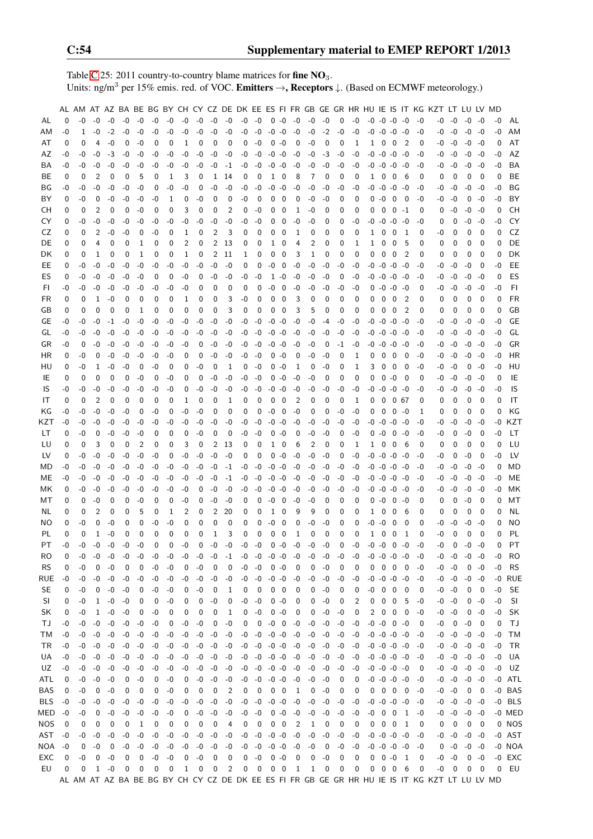Table [C.](#page-2-0)25: 2011 country-to-country blame matrices for fine  $NO<sub>3</sub>$ . Units: ng/m<sup>3</sup> per 15% emis. red. of VOC. **Emitters**  $\rightarrow$ **, Receptors**  $\downarrow$ . (Based on ECMWF meteorology.)

|            |      |      |              |      |             |              |          |          |             |          |              |                |      |                     |                |                          |                |      |          |          |             |       |                     |                         |              |          | AL AM AT AZ BA BE BG BY CH CY CZ DE DK EE ES FI FR GB GE GR HR HU IE IS IT KG KZT LT LU LV MD |          |                     |          |          |           |
|------------|------|------|--------------|------|-------------|--------------|----------|----------|-------------|----------|--------------|----------------|------|---------------------|----------------|--------------------------|----------------|------|----------|----------|-------------|-------|---------------------|-------------------------|--------------|----------|-----------------------------------------------------------------------------------------------|----------|---------------------|----------|----------|-----------|
| AL         | 0    | -0   | $-0$         | $-0$ | $-0$        | $-0$         | $-0$     | $-0$     | $-0$        | $-0$     | -0           | -0             | $-0$ | $-0$                | 0              | -0                       | -0             | -0   | -0       | 0        | -0          |       | $-0$ $-0$ $-0$ $-0$ |                         |              | -0       | -0                                                                                            | -0       | $-0 - 0$            |          | $-0$     | AL        |
| ΑM         | -0   | 1    | $-0$         | $-2$ | -0          | $-0$         | $-0$     | $-0$     | -0          | $-0$     | $-0$         | -0             | $-0$ | $-0$                | $-0$           | -0                       | $-0$           | $-0$ | $-2$     | $-0$     | -0          | -0    | $-0$                | $-0$                    | -0           | -0       | -0                                                                                            | $-0$     |                     | $-0 - 0$ | -0       | AM        |
| AT         | 0    | 0    | 4            | -0   | 0           | $-0$         | 0        | 0        | 1           | 0        | 0            | 0              | 0    | $-0$                | 0              | -0                       | 0              | $-0$ | 0        | 0        | 1           | 1     | 0                   | 0                       | 2            | 0        | -0                                                                                            | $-0$     |                     | $-0 -0$  | 0        | AT        |
| AZ         | -0   | -0   | -0           | -3   | -0          | -0           | -0       | -0       | -0          | -0       | -0           | -0             | -0   | -0                  | $-0$           | -0                       | -0             | -0   | -3       | -0       | -0          |       | $-0$ $-0$ $-0$ $-0$ |                         |              | -0       | -0                                                                                            | -0       | $-0$                | -0       | -0       | AZ        |
| BA         | -0   | -0   | -0           | -0   | -0          | -0           | -0       | -0       | -0          | -0       | $-0$         | $-1$           | -0   | $-0$                | $-0$           | -0                       | -0             | -0   | -0       | -0       | -0          | -0    | $-0$ $-0$ $-0$      |                         |              | -0       | -0                                                                                            | -0       | $-0$                | $-0$     | -0       | BA        |
| BE.        | 0    | 0    | 2            | 0    | 0           | 5            | 0        | 1        | 3           | 0        | 1            | 14             | 0    | 0                   | 1              | 0                        | 8              | 7    | 0        | 0        | 0           | 1     | 0                   | 0                       | 6            | 0        | 0                                                                                             | 0        | 0                   | 0        | 0        | <b>BE</b> |
| BG         | -0   | -0   | $-0$         | -0   | -0          | $-0$         | 0        | -0       | -0          | 0        | $-0$         | $-0$           | -0   | $-0$                | $-0$           | -0                       | $-0$           | -0   | -0       | -0       | -0          |       | $-0$ $-0$ $-0$ $-0$ |                         |              | -0       | -0                                                                                            | -0       | -0                  | -0       | -0       | BG        |
| BY         | 0    | -0   | 0            | -0   | -0          | -0           | -0       | 1        | 0           | -0       | 0            | 0              | -0   | 0                   | 0              | 0                        | 0              | -0   | -0       | 0        | 0           | 0     | -0                  | - 0                     | 0            | -0       | -0                                                                                            | -0       | 0                   | -0       | -0       | BY        |
| CН         | 0    | 0    | 2            | 0    | 0           | -0           | 0        | 0        | 3           | 0        | 0            | 2              | 0    | -0                  | 0              | 0                        | 1              | -0   | 0        | 0        | 0           | 0     | 0                   | 0                       | -1           | 0        | 0                                                                                             | -0       | $-0$                | -0       | 0        | СH        |
| CY         | 0    | -0   | -0           | -0   | -0          | -0           | -0       | -0       | -0          | -0       | -0           | -0             | -0   | -0                  | 0              | 0                        | -0             | -0   | 0        | 0        | -0          | -0    | $-0$                | $-0$                    | -0           | -0       | 0                                                                                             | 0        | -0                  | $-0$     | -0       | CY        |
| CZ         | 0    | 0    | 2            | -0   | -0          | 0            | -0       | 0        | 1           | 0        | 2            | 3              | 0    | 0                   | 0              | 0                        | 1              | 0    | 0        | 0        | 0           | 1     | $\mathbf 0$         | - 0                     | -1           | 0        | -0                                                                                            | 0        | 0                   | 0        | 0        | CZ        |
| DE         | 0    | 0    | 4            | 0    | 0           | 1            | 0        | 0        | 2           | 0        | 2            | 13             | 0    | 0                   | 1              | 0                        | 4              | 2    | 0        | 0        | 1           | 1     | 0                   | 0                       | 5            | 0        | 0                                                                                             | 0        | 0                   | 0        | 0        | DE        |
| DK         | 0    | 0    | 1            | 0    | 0           | 1            | 0        | 0        | 1           | 0        | 2            | 11             | 1    | 0                   | 0              | 0                        | 3              | 1    | 0        | 0        | 0           | 0     | 0                   | 0                       | 2            | 0        | 0                                                                                             | 0        | 0                   | 0        | 0        | DK        |
| EE         | 0    | -0   | $-0$         | $-0$ | -0          | -0           | $-0$     | -0       | -0          | $-0$     | $-0$         | -0             | 0    | 0                   | -0             | 0                        | $-0$           | -0   | -0       | -0       | -0          |       | -0 -0 -0            |                         | -0           | -0       | -0                                                                                            | $-0$     | $-0$                | 0        | -0       | EE        |
| ES         | 0    | -0   | -0           | $-0$ | -0          | $-0$         | 0        | 0        | -0          | 0        | -0           | $-0$           | -0   | $-0$                | 1              | $-0$                     | $-0$           | -0   | -0       | 0        | $-0$        |       | $-0$ $-0$ $-0$ $-0$ |                         |              | -0       | -0                                                                                            | -0       | -0                  | -0       | 0        | ES        |
| FI         | -0   | -0   | -0           | -0   |             | -0           |          |          | -0          | 0        | 0            | 0              | 0    | 0                   | $-0$           | 0                        |                |      |          | -0       |             | 0     | -0                  | -0                      |              | 0        |                                                                                               | -0       | -0                  |          | -0       | FI.       |
| <b>FR</b>  |      |      | 1            | -0   | -0          |              | -0       | -0       |             |          |              | 3              | -0   | 0                   |                |                          | $-0$           | -0   | -0<br>0  | 0        | -0          |       |                     |                         | -0           |          | -0                                                                                            |          |                     | -0<br>0  | 0        | <b>FR</b> |
|            | 0    | 0    |              |      | 0           | 0            | 0        | 0        | 1           | 0        | 0            |                |      |                     | 0              | 0                        | 3              | 0    |          |          | 0           | 0     | 0                   | 0                       | 2            | 0        | 0                                                                                             | 0        | 0                   |          |          |           |
| GB         | 0    | 0    | 0            | 0    | 0           | 1            | 0        | 0        | 0           | 0        | 0            | 3              | 0    | 0                   | 0              | 0                        | 3              | 5    | 0        | 0        | 0           | 0     | 0                   | 0                       | 2            | 0        | 0                                                                                             | 0        | 0                   | 0        | 0        | GB        |
| GE         | -0   | -0   | $-0$         | $-1$ | $-0$        | -0           | $-0$     | -0       | -0          | -0       | $-0$         | $-0$           | -0   | $-0$                | $-0$           | -0                       | $-0$           | -0   | -4       | -0       | -0          | -0    | $-0$ $-0$ $-0$      |                         |              | -0       | -0                                                                                            | -0       | $-0$                | -0       | -0       | GЕ        |
| GL         | -0   | -0   | -0           | -0   | -0          | $-0$         | $-0$     | -0       | -0          | $-0$     | -0           | -0             | -0   | $-0$                | $-0 - 0$       |                          | $-0$           | -0   | $-0$     | -0       | $-0$        |       | $-0$ $-0$ $-0$ $-0$ |                         |              | -0       | -0                                                                                            | $-0$     | -0                  | -0       | -0       | GL        |
| GR         | -0   | 0    | -0           | -0   | -0          | -0           | $-0$     | -0       | -0          | 0        | $-0$         | -0             | -0   | $-0$                | -0             | -0                       | $-0$           | -0   | 0        | -1       | -0          | -0    | -0                  | -0                      | -0           | -0       | -0                                                                                            | $-0$     | $-0$                | -0       | -0       | GR        |
| ΗR         | 0    | -0   | 0            | -0   | -0          | -0           | $-0$     | -0       | 0           | 0        | $-0$         | -0             | -0   | $-0$                | 0              | -0                       | 0              | -0   | -0       | 0        | 1           | 0     | 0                   | 0                       | 0            | -0       | -0                                                                                            | -0       | $-0$                | -0       | -0       | HR        |
| HU         | 0    | -0   | 1            | -0   | -0          | 0            | -0       | 0        | 0           | $-0$     | 0            | 1              | 0    | -0                  | 0              | -0                       | 1              | 0    | -0       | 0        | 1           | 3     | 0                   | - 0                     | - 0          | -0       | -0                                                                                            | -0       | 0                   | -0       | -0       | HU        |
| IE         | 0    | 0    | 0            | 0    | 0           | $-0$         | 0        | -0       | 0           | 0        | -0           | $-0$           | -0   | $-0$                | 0              | -0                       | $-0$           | -0   | 0        | 0        | 0           | 0     | 0                   | -0                      | 0            | 0        | -0                                                                                            | -0       |                     | $-0 - 0$ | 0        | IE        |
| IS         | -0   | -0   | $-0$         | -0   | -0          | -0           | $-0$     | -0       | 0           | $-0$     | $-0$         | -0             | -0   | $-0$                | $-0$           | -0                       | -0             | -0   | -0       | -0       | -0          | -0    | $-0$                | $-0$                    | -0           | -0       | -0                                                                                            | -0       | $-0$                | $-0$     | -0       | IS        |
| IT         | 0    | 0    | 2            | 0    | 0           | 0            | 0        | 0        | 1           | 0        | 0            | 1              | 0    | 0                   | 0              | 0                        | 2              | 0    | 0        | 0        | 1           | 0     | 0                   | 067                     |              | 0        | 0                                                                                             | 0        | 0                   | 0        | 0        | IT        |
| ΚG         | -0   | -0   | $-0$         | -0   | -0          | 0            | -0       | 0        | -0          | $-0$     | 0            | 0              | 0    | 0                   | $-0$           | 0                        | -0             | 0    | 0        | -0       | -0          | 0     | 0                   | $\mathbf{0}$            | -0           | 1        | 0                                                                                             | 0        | 0                   | 0        | 0        | ΚG        |
| KZT        | -0   | -0   | -0           | -0   | -0          | -0           | -0       | -0       | -0          | -0       | -0           | -0             | -0   | $-0$                | $-0$           | -0                       | -0             | -0   | -0       | -0       | -0          | -0 -0 |                     | $-0$                    | -0           | -0       | -0                                                                                            | $-0$     | $-0$                | -0       | -0       | KZT       |
| LT         | 0    | -0   | 0            | -0   | -0          | -0           | 0        | 0        | 0           | -0       | 0            | 0              | -0   | $-0$                | 0              | -0                       | 0              | -0   | -0       | 0        | -0          | 0     | $-0$                | 0                       | -0           | -0       | -0                                                                                            | 0        | $-0$                | 0        | -0       | LT        |
| LU         | 0    | 0    | 3            | 0    | 0           | 2            | 0        | 0        | 3           | 0        | 2            | 13             | 0    | 0                   | 1              | 0                        | 6              | 2    | 0        | 0        | 1           | 1     | 0                   | 0                       | 6            | 0        | 0                                                                                             | 0        | 0                   | 0        | 0        | LU        |
| LV         | 0    | -0   | $-0$         | -0   | -0          | $-0$         | -0       | 0        | $-0$        | $-0$     | -0           | -0             | 0    | 0                   | 0              | -0                       | -0             | -0   | -0       | 0        | $-0$        | -0    | -0                  | -0                      | -0           | -0       | -0                                                                                            | 0        | $-0$                | 0        | -0       | LV        |
| MD         | -0   | -0   | -0           | -0   | -0          | $-0$         | -0       | -0       | -0          | -0       | -0           | -1             | -0   | $-0$                | -0             | -0                       | -0             | -0   | -0       | -0       | -0          | -0    | $-0$ $-0$ $-0$      |                         |              | -0       | -0                                                                                            | -0       |                     | $-0 -0$  | 0        | MD        |
| MЕ         | -0   | -0   | $-0$         | -0   | -0          | $-0$         | $-0$     | -0       | -0          | $-0$     | $-0$         | $^{-1}$        | -0   | $-0$                | $-0$           | -0                       | $-0$           | -0   | -0       | -0       | -0          | -0    | $-0$                | -0 -0                   |              | -0       | -0                                                                                            | $-0$     | $-0$                | -0       | -0       | ME        |
| МK         | 0    | -0   | $-0$         | -0   | -0          | $-0$         | -0       | -0       | -0          | 0        | -0           | -0             | -0   | -0                  | $-0$           | -0                       | -0             | -0   | -0       | -0       | -0          |       | -0 -0 -0 -0         |                         |              | -0       | -0                                                                                            | -0       | -0                  | $-0$     | -0       | МK        |
| мт         | 0    | 0    | -0           | 0    | 0           | -0           | 0        | 0        | -0          | 0        | -0           | -0             | 0    | 0                   | -0             | 0                        | -0             | -0   | 0        | 0        | 0           | 0     | -0                  | $\overline{\mathbf{0}}$ | -0           | 0        | 0                                                                                             | 0        | -0                  | 0        | 0        | МT        |
| NL.        | 0    | 0    | 2            | 0    | 0           | 5            | 0        | 1        | 2           | 0        | 2            | 20             | 0    | 0                   | 1              | 0                        | 9              | 9    | 0        | 0        | 0           | 1     | 0                   | 0                       | 6            | 0        | 0                                                                                             | 0        | 0                   | 0        | 0        | ΝL        |
| ΝO         | 0    | $-0$ | $\mathbf 0$  | $-0$ | 0           | 0            | -0       | -0       | 0           | 0        | 0            | 0              | 0    | 0                   | $-0$           | 0                        | 0              | -0   | -0       | 0        | 0           | -0    | $-0$                | 0                       | 0            | 0        | -0                                                                                            | -0       | $-0$                | -0       | 0        | ΝO        |
| PL         | 0    | 0    | $\mathbf{1}$ | $-0$ | $\mathbf 0$ | 0            | 0        | $\Omega$ | $\mathbf 0$ | $\Omega$ | $\mathbf{1}$ | 3              | 0    | $\mathbf 0$         | 0              | $\mathbf 0$              | $\mathbf{1}$   | 0    | $\Omega$ | 0        | $\mathbf 0$ | 1     | 0                   | $\overline{0}$          | 1            | $\Omega$ | -0                                                                                            | 0        | 0                   | 0        | 0        | PL        |
| PT.        | -0   | $-0$ | $-0$         | -0   | $-0$        | $-0$         | $\Omega$ | $\Omega$ | $-0$        | $\Omega$ | $-0$         | $-0$           | $-0$ | $-0$                | 0              | $-0$                     | $-0$           | -0   | -0       | $\Omega$ | $-0$        |       | $-0$ $-0$ 0         |                         | -0           | -0       | -0                                                                                            | $\Omega$ |                     | $-0 - 0$ | $\Omega$ | <b>PT</b> |
| RO.        | 0    | -0   | $-0$         | $-0$ | $-0$        | $-0$         | $-0$     | $-0$     | $-0$        | $-0$     | $-0$         | $-1$           |      | $-0 - 0$            | $-0 -0$        |                          | $-0$           | $-0$ | -0       | $-0$     | $-0$        |       | $-0$ $-0$ $-0$ $-0$ |                         |              | -0       |                                                                                               | $-0 - 0$ |                     | $-0 - 0$ | -0       | RO        |
| <b>RS</b>  | 0    | -0   | 0            | -0   | 0           | 0            | -0       | $-0$     | 0           | $-0$     | 0            | 0              | -0   | $-0$                | 0              | $-0$                     | 0              | 0    | -0       | 0        | 0           | 0     | 0                   | $\overline{0}$          | 0            | -0       |                                                                                               | $-0 - 0$ | 0                   | $-0$     | -0       | <b>RS</b> |
| RUE        | $-0$ | -0   | $-0$         | -0   | $-0$        | $-0$         | $-0$     | $-0$     | -0          | $-0$     | $-0$         | $-0$           | -0   | $-0$                | $-0 -0$        |                          | $-0$           | -0   | -0       | -0       | $-0$        |       | $-0$ $-0$ $-0$ $-0$ |                         |              | -0       |                                                                                               | $-0 - 0$ |                     | $-0 - 0$ | $-0$     | RUE       |
| <b>SE</b>  | 0    | -0   | 0            | -0   | $-0$        | 0            | $-0$     | $-0$     | 0           | $-0$     | 0            | 1              | 0    | 0                   | 0              | $\overline{\phantom{0}}$ | 0              | 0    | -0       | 0        | 0           | -0    | $0\quad 0$          |                         | 0            | 0        |                                                                                               | $-0 - 0$ | 0                   | 0        | -0       | <b>SE</b> |
| <b>SI</b>  | 0    | -0   | 1            | -0   | -0          | 0            | 0        | -0       | 0           | 0        | $-0$         | 0              | -0   | $-0$                |                | $0 - 0$                  | 0              | 0    | $-0$     | 0        | 2           | 0     | 0                   | 0                       | 5            | -0       | -0                                                                                            | $-0$     | 0                   | $-0$     | -0       | SI        |
| SK         | 0    | $-0$ | $\mathbf{1}$ | $-0$ | -0          | 0            | $-0$     | 0        | 0           | 0        | 0            | 1              | 0    | $-0$                |                | $0 - 0$                  | 0              | 0    | $-0$     | $-0$     | 0           | 2     | 0                   | $\mathbf 0$             | 0            | -0       | -0                                                                                            | $-0$     | 0                   | $-0$     | $-0$     | SK        |
| ТJ         | -0   | $-0$ | $-0$         | $-0$ | $-0$        | $-0$         | $-0$     | 0        | $-0$        | $-0$     | 0            | $-0$           | 0    | 0                   | $-0$           | $\overline{\phantom{0}}$ | $-0$           | $-0$ | $-0$     | $-0$     | $-0$        |       | $-0$ $-0$ 0         |                         | -0           | 0        | -0                                                                                            | 0        | $-0$                | 0        | 0        | TJ        |
| TМ         | -0   | $-0$ | $-0$         | $-0$ | -0          | $-0$         | $-0$     | $-0$     | $-0$        | $-0$     | $-0$         | -0             | -0   | $-0$                | $-0 - 0$       |                          | $-0$           | $-0$ | $-0$     | $-0$     | $-0$        |       | $-0$ $-0$ $-0$ $-0$ |                         |              | $-0$     |                                                                                               | $-0 - 0$ | $-0$                | -0       | -0       | TM        |
| TR.        | -0   | $-0$ | $-0$         | -0   | $-0$        | $-0$         | $-0$     | $-0$     | -0          | $-0$     | $-0$         | $-0$           | -0   | $-0$                | $-0 - 0$       |                          | $-0$           | $-0$ | -0       | -0       | $-0$        |       | $-0$ $-0$ $-0$ $-0$ |                         |              | -0       |                                                                                               | $-0 - 0$ | $-0 -0$             |          | $-0$     | TR        |
| UA         | $-0$ | -0   | $-0$         | -0   | -0          | $-0$         | $-0$     | -0       | -0          | $-0$     | $-0$         | -0             | -0   |                     | $-0$ $-0$ $-0$ |                          | $-0$           | $-0$ | $-0$     | $-0$     | $-0$        |       | $-0$ $-0$ $-0$ $-0$ |                         |              | -0       |                                                                                               |          | $-0$ $-0$ $-0$ $-0$ |          | -0       | UA        |
| UZ         | -0   | -0   | $-0$         | -0   | -0          | $-0$         | $-0$     | $-0$     | $-0$        | $-0$     | -0           | -0             |      | $-0$ $-0$ $-0$ $-0$ |                |                          | -0             | $-0$ | -0       | -0       | -0          |       | $-0$ $-0$ $-0$ $-0$ |                         |              | 0        |                                                                                               | $-0 - 0$ | $-0$ $-0$           |          |          | -0 UZ     |
| ATL        | 0    | -0   | $-0$         | $-0$ | 0           | $-0$         | 0        | $-0$     | 0           | $-0$     | $-0$         | $-0$           | -0   | $-0$ $-0$ $-0$      |                |                          | $-0$           | $-0$ | -0       | 0        | 0           |       | $-0$ $-0$ $-0$ $-0$ |                         |              | -0       |                                                                                               | $-0 - 0$ | $-0$ $-0$           |          |          | -0 ATL    |
| BAS        | 0    | $-0$ | 0            | -0   | 0           | 0            | 0        | $-0$     | 0           | 0        | 0            | 2              | 0    | 0                   | 0              | $\overline{\mathbf{0}}$  | 1              | 0    | $-0$     | 0        | 0           | 0     | 0                   | $\overline{0}$          | $\mathbf 0$  | -0       |                                                                                               | $-0 - 0$ | 0                   | 0        |          | -0 BAS    |
| <b>BLS</b> | $-0$ | $-0$ | -0           | -0   | -0          | $-0$         | $-0$     | $-0$     | -0          | $-0$     | $-0$         | $-0$           | -0   | $-0$                | $-0$ $-0$      |                          | $-0$           | $-0$ | $-0$     | -0       | $-0$        |       | $-0$ $-0$ $-0$ $-0$ |                         |              | -0       |                                                                                               | $-0 - 0$ |                     | $-0 -0$  |          | -0 BLS    |
| MED -0     |      | -0   | 0            | $-0$ | $-0$        | $-0$         | $-0$     | $-0$     | 0           | $-0$     | $-0$         | $-0$           | -0   | $-0$                | $0 - 0$        |                          | -0             | $-0$ | $-0$     | $-0$     | $-0$        | -0    | $0\quad 0$          |                         | <sup>1</sup> | -0       |                                                                                               | $-0 - 0$ | $-0$ $-0$           |          |          | -0 MED    |
| NOS        | 0    | 0    | 0            | 0    | 0           | $\mathbf{1}$ | 0        | 0        | 0           | 0        | 0            | 4              | 0    | 0                   | 0              | $\overline{\phantom{0}}$ | $\overline{c}$ | 1    | 0        | 0        | 0           | 0     | $0\quad 0$          |                         | -1           | 0        | $\mathbf{0}$                                                                                  | 0        | 0                   | 0        |          | 0 NOS     |
| AST        | $-0$ | $-0$ | $-0$         | $-0$ | $-0$        | $-0$         | $-0$     | $-0$     | -0          | $-0$     | $-0$         | $-0$           |      | $-0 - 0$            | $-0 - 0$       |                          | $-0$           | $-0$ | $-0$     | $-0$     | $-0$        |       | $-0$ $-0$ $-0$ $-0$ |                         |              | -0       |                                                                                               | $-0 - 0$ | $-0 - 0$            |          |          | -0 AST    |
| NOA        | $-0$ | 0    | -0           | 0    | $-0$        | -0           | $-0$     | $-0$     | -0          | $-0$     | $-0$         | $-0$           | -0   | $-0$                | $-0 - 0$       |                          | $-0$           | $-0$ | 0        | -0       | $-0$        |       | $-0$ $-0$ $-0$ $-0$ |                         |              | -0       |                                                                                               | $0 - 0$  |                     | $-0 - 0$ |          | -0 NOA    |
| EXC        | 0    | -0   | 0            | $-0$ | 0           | 0            | $-0$     | $-0$     | 0           | $-0$     | 0            | 0              | 0    | $-0$                |                | $0 - 0$                  | 0              | 0    | $-0$     | 0        | 0           | 0     | $0 - 0$             |                         | $\mathbf{1}$ | 0        |                                                                                               | $-0 - 0$ |                     | $0 - 0$  |          | -0 EXC    |
| EU         | 0    | 0    | $\mathbf{1}$ | $-0$ | 0           | 0            | 0        | 0        | 1           | 0        | 0            | $\overline{c}$ | 0    | 0                   | 0              | $\overline{\mathbf{0}}$  | $\mathbf{1}$   | 1    | 0        | 0        | 0           | 0     | 0                   | $\overline{\mathbf{0}}$ | 6            | 0        | -0                                                                                            | 0        | 0                   | 0        | 0        | EU        |
|            |      |      |              |      |             |              |          |          |             |          |              |                |      |                     |                |                          |                |      |          |          |             |       |                     |                         |              |          | AL AM AT AZ BA BE BG BY CH CY CZ DE DK EE ES FI FR GB GE GR HR HU IE IS IT KG KZT LT LU LV MD |          |                     |          |          |           |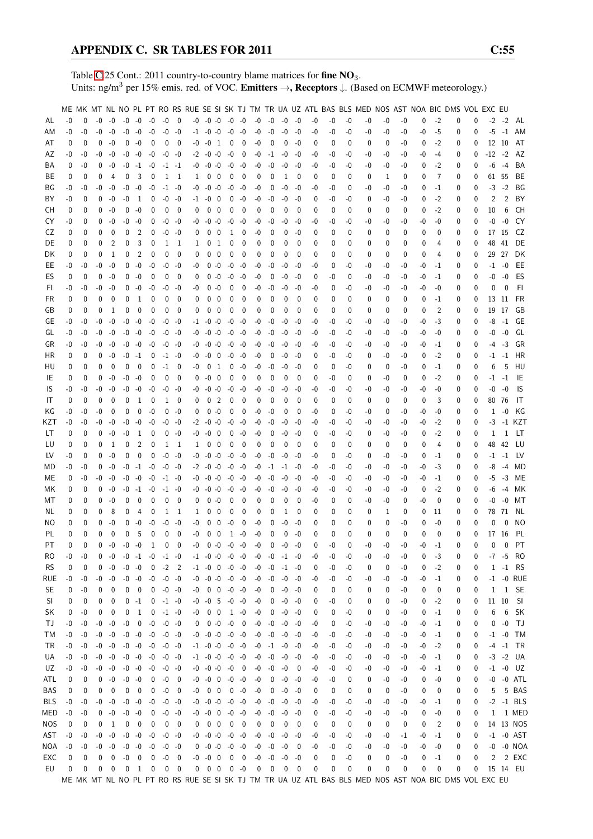Table [C.](#page-2-0)25 Cont.: 2011 country-to-country blame matrices for fine NO<sub>3</sub>. Units: ng/m<sup>3</sup> per 15% emis. red. of VOC. Emitters →, Receptors ↓. (Based on ECMWF meteorology.)

|            |      |          |          |                  |                   |                          |                   |                          |                          |          |                          |                         |                      |                          |      |             |      |          |    |      |          | ME MK MT NL NO PL PT RO RS RUE SE SI SK TJ TM TR UA UZ ATL BAS BLS MED NOS AST NOA BIC DMS VOL EXC EU |          |      |      |             |   |          |              |                |                 |
|------------|------|----------|----------|------------------|-------------------|--------------------------|-------------------|--------------------------|--------------------------|----------|--------------------------|-------------------------|----------------------|--------------------------|------|-------------|------|----------|----|------|----------|-------------------------------------------------------------------------------------------------------|----------|------|------|-------------|---|----------|--------------|----------------|-----------------|
|            |      |          |          |                  |                   |                          |                   |                          |                          |          |                          |                         |                      |                          |      |             |      |          |    |      |          |                                                                                                       |          |      |      |             |   |          |              |                |                 |
| AL         | $-0$ | $\Omega$ | $-0$     | -0               |                   | $-0 - 0$                 | $-0$              | -0                       | $\overline{\phantom{0}}$ |          | $-0$ $-0$ $-0$ $-0$ $-0$ |                         |                      |                          | -0   | -0          | -0   | -0       | -0 | -0   | -0       | -0                                                                                                    | -0       | -0   | 0    | $-2$        | 0 | 0        | $-2$         | $-2$           | AL              |
| ΑM         | -0   | $-0$     | -0       | $-0$             | $-0$              | $-0$                     | $-0$              |                          | $-0 - 0$                 |          | $-1$ $-0$ $-0$           |                         | $-0$                 | -0                       | -0   | $-0$        | $-0$ | $-0$     | -0 | $-0$ | $-0$     | -0                                                                                                    | -0       | $-0$ | $-0$ | $-5$        | 0 | 0        | -5           |                | -1 AM           |
| AT         | 0    | 0        | 0        | $-0$             | 0                 | -0                       | 0                 | 0                        | 0                        | -0       | $-0$                     | -1                      | 0                    | 0                        | -0   | 0           | 0    | $-0$     | 0  | 0    | 0        | 0                                                                                                     | 0        | -0   | 0    | $-2$        | 0 | 0        |              | 12 10          | AT              |
| AΖ         | -0   | -0       | -0       | -0               |                   | $-0 - 0$                 | $-0$              |                          | $-0 - 0$                 |          | $-2 - 0 - 0$             |                         | $-0$                 | 0                        | -0   | $-1$        | $-0$ | -0       | -0 | -0   | -0       | -0                                                                                                    | -0       | -0   | -0   | -4          | 0 | 0        | $-12$        | $-2$           | AZ              |
| BA         | 0    | -0       | 0        | -0               |                   | $-0$ $-1$                | -0                | $-1$ $-1$                |                          |          | $-0$ $-0$ $-0$           |                         | -0                   | -0                       | -0   | $-0$        | $-0$ | -0       | -0 | -0   | -0       | -0                                                                                                    | -0       | -0   | 0    | -2          | 0 | 0        | -6           | $-4$           | BA              |
| BE         | 0    | 0        | 0        | 4                | 0                 | 3                        | 0                 |                          | 1 1                      | 1        | $0\quad 0$               |                         | 0                    | 0                        | 0    | 0           | 1    | 0        | 0  | 0    | 0        | 0                                                                                                     | 1        | 0    | 0    | 7           | 0 | 0        | 61           | 55             | BE              |
|            | -0   |          | -0       | -0               | $-0$              | $-0$                     | $-0$              |                          |                          |          | $-0 - 0$                 |                         | $-0$                 | $-0$                     | -0   | 0           | $-0$ | -0       | -0 |      |          |                                                                                                       | -0       |      |      | $-1$        |   |          | $-3$         | $-2$           | ΒG              |
| ΒG         |      | -0       |          |                  |                   |                          |                   |                          | $-1 - 0$                 | -0       |                          |                         |                      |                          |      |             |      |          |    | -0   | 0        | -0                                                                                                    |          | -0   | 0    |             | 0 | 0        |              |                |                 |
| BY         | -0   | 0        | 0        | -0               | $-0$              | -1                       | 0                 |                          | $-0 - 0$                 |          | $-1$ $-0$ 0              |                         | 0                    | $-0$                     | -0   | -0          | $-0$ | -0       | 0  | -0   | -0       | 0                                                                                                     | -0       | -0   | 0    | $-2$        | 0 | 0        | 2            | $\overline{2}$ | BY              |
| CН         | 0    | 0        | 0        | -0               | 0                 | -0                       | $\mathbf{0}$      | $\mathbf 0$              | 0                        | $\Omega$ | 0                        | 0                       | $\mathbf 0$          | - 0                      | 0    | 0           | 0    | $\Omega$ | 0  | 0    | 0        | 0                                                                                                     | 0        | 0    | 0    | $-2$        | 0 | 0        | 10           | 6              | CН              |
| CY         | -0   | 0        | $\Omega$ | -0               | -0                | -0                       | 0                 |                          | $-0 - 0$                 | -0       | $-0 - 0$                 |                         | $-0$                 | -0                       | -0   | -0          | -0   | -0       | -0 | -0   | -0       | -0                                                                                                    | -0       | -0   | -0   | -0          | 0 | 0        | -0           | $-0$           | CY              |
| CZ         | 0    | 0        | 0        | 0                | 0                 | 2                        | $\mathbf{0}$      | -0                       | -0                       | 0        | $\mathbf 0$              | 0                       | 1                    | 0                        | -0   | 0           | 0    | -0       | 0  | 0    | 0        | 0                                                                                                     | 0        | 0    | 0    | 0           | 0 | 0        |              | 17 15          | CZ.             |
| DE         | 0    | 0        | 0        | 2                | 0                 | 3                        | 0                 |                          | 1 1                      | 1        |                          | 0 <sub>1</sub>          | 0                    | 0                        | 0    | 0           | 0    | 0        | 0  | 0    | 0        | 0                                                                                                     | 0        | 0    | 0    | 4           | 0 | 0        | 48           | 41             | DE              |
| DK         | 0    | 0        | 0        | 1                | 0                 | 2                        | 0                 | 0                        | $\mathbf 0$              | 0        | 0                        | $\overline{\mathbf{0}}$ | 0                    | 0                        | 0    | 0           | 0    | 0        | 0  | 0    | 0        | 0                                                                                                     | 0        | 0    | 0    | 4           | 0 | 0        | 29           | 27             | DK              |
|            |      |          | -0       | -0               |                   |                          |                   |                          |                          |          |                          |                         |                      |                          |      |             |      |          |    |      | -0       |                                                                                                       |          |      |      |             |   |          |              |                |                 |
| EE         | -0   | -0       |          |                  |                   | $0 - 0$                  | $-0$              | -0                       | -0                       | -0       |                          | $0 - 0$                 | -0 -0                |                          | -0   | -0          | $-0$ | -0       | -0 | 0    |          | -0                                                                                                    | -0       | -0   | -0   | -1          | 0 | 0        | -1           | $-0$           | EE              |
| ES         | 0    | 0        | 0        | $-0$             | 0                 | $-0$                     | $\mathbf 0$       | 0                        | $\mathbf 0$              | 0        |                          | $0 - 0$                 | $-0$                 | $-0$                     | -0   | 0           | $-0$ | -0       | 0  | -0   | 0        | -0                                                                                                    | -0       | -0   | -0   | -1          | 0 | 0        | -0           | $-0$           | ES              |
| FI.        | -0   | -0       | -0       | -0               | 0                 | $-0$                     | $-0$              | $-0$                     | -0                       | -0       |                          | $0 - 0$                 | $\mathbf 0$          | 0                        | -0   | -0          | -0   | -0       | -0 | 0    | -0       | -0                                                                                                    | -0       | -0   | -0   | -0          | 0 | 0        | $\mathbf{0}$ | $\mathbf 0$    | -FI             |
| FR.        | 0    | 0        | 0        | 0                | 0                 | 1                        | 0                 | 0                        | 0                        | 0        | 0                        | 0                       | 0                    | 0                        | 0    | 0           | 0    | 0        | 0  | 0    | 0        | 0                                                                                                     | $\Omega$ | 0    | 0    | -1          | 0 | 0        |              | 13 11          | FR              |
| GB         | 0    | 0        | 0        | 1                | 0                 | 0                        | 0                 | 0                        | $\mathbf 0$              | 0        | 0                        | 0                       | 0                    | 0                        | 0    | 0           | 0    | 0        | 0  | 0    | 0        | 0                                                                                                     | 0        | 0    | 0    | 2           | 0 | 0        | 19           | 17             | GB              |
| GE         | -0   | -0       | -0       | -0               | -0                | $-0$                     | $-0$              | $-0$                     | -0                       | -1       | $-0 - 0$                 |                         | $-0$                 | -0                       | -0   | -0          | -0   | -0       | -0 | -0   | -0       | -0                                                                                                    | -0       | -0   | -0   | -3          | 0 | 0        | -8           | $-1$           | GE              |
| GL         | -0   | -0       | -0       | -0               |                   | $-0 - 0$                 | $-0$              | -0                       | -0                       | -0       | $-0 - 0$                 |                         | $-0 - 0$             |                          | -0   | -0          | -0   | -0       | -0 | -0   | -0       | -0                                                                                                    | -0       | -0   | -0   | $-0$        | 0 | 0        | -0           | $-0$           | GL              |
| GR         | -0   | -0       | -0       | -0               |                   | $-0 - 0$                 | $-0$              | $-0$                     | -0                       | -0       | $-0 - 0$                 |                         | $-0 - 0$             |                          | -0   | $-0$        | $-0$ | -0       | -0 | -0   | -0       | -0                                                                                                    | -0       | -0   | -0   | -1          | 0 | $\Omega$ | -4           | $-3$           | GR              |
|            |      |          |          |                  |                   |                          |                   |                          |                          |          |                          |                         |                      |                          |      |             |      |          |    |      |          |                                                                                                       |          |      |      |             |   |          |              |                |                 |
| ΗR         | 0    | 0        | 0        | -0               |                   | $-0$ $-1$                | 0                 |                          | $-1 - 0$                 | -0       | $-0$                     | $\overline{\mathbf{0}}$ | $-0$                 | -0                       | -0   | 0           | $-0$ | -0       | 0  | -0   | -0       | 0                                                                                                     | -0       | -0   | 0    | -2          | 0 | 0        | -1           | $-1$           | HR              |
| HU         | 0    | 0        | 0        | $\mathbf 0$      | 0                 | $\mathbf{0}$             | $\mathbf 0$       | $-1$                     | 0                        | -0       | 0                        | 1                       | 0                    | $-0$                     | -0   | -0          | $-0$ | -0       | 0  | 0    | -0       | 0                                                                                                     | 0        | -0   | 0    | -1          | 0 | 0        | 6            | 5              | HU              |
| IE         | 0    | 0        | $\Omega$ | -0               |                   | $-0 - 0$                 | 0                 | $\mathbf 0$              | 0                        | 0        | -0                       | - 0                     | 0                    | - 0                      | 0    | 0           | 0    | 0        | 0  | -0   | 0        | 0                                                                                                     | -0       | 0    | 0    | -2          | 0 | 0        | -1           | $-1$           | IE              |
| IS         | -0   | -0       | -0       | -0               | -0                | -0                       | $-0$              | -0                       | -0                       | -0       | $-0 - 0$                 |                         | $-0$                 | -0                       | -0   | -0          | $-0$ | -0       | -0 | -0   | -0       | -0                                                                                                    | -0       | -0   | -0   | -0          | 0 | 0        | -0           | $-0$           | 1S              |
| IT         | 0    | 0        | 0        | 0                | 0                 | 1                        | 0                 | $\mathbf{1}$             | 0                        | 0        | 0                        | $\overline{2}$          | 0                    | 0                        | 0    | 0           | 0    | 0        | 0  | 0    | 0        | 0                                                                                                     | $\Omega$ | 0    | 0    | 3           | 0 | 0        | 80           | 76             | IT              |
| ΚG         | -0   | -0       | -0       | 0                | 0                 | 0                        | $-0$              | 0                        | -0                       | 0        | $0 - 0$                  |                         | 0                    | 0                        | -0   | -0          | 0    | 0        | -0 | 0    | -0       | -0                                                                                                    | 0        | -0   | -0   | -0          | 0 | 0        | 1            | -0             | KG              |
| KZT        | -0   | -0       | -0       | -0               | -0                | $-0$                     | $-0$              |                          | $-0 - 0$                 | $-2$     | $-0 - 0$                 |                         | $-0$                 | -0                       | -0   | -0          | -0   | -0       | -0 | -0   | -0       | -0                                                                                                    | -0       | -0   | -0   | $-2$        | 0 | 0        | -3           |                | -1 KZT          |
|            |      |          | 0        | -0               | $-0$              |                          |                   |                          |                          |          | $-0 \quad 0$             |                         |                      |                          |      |             | $-0$ |          |    |      |          |                                                                                                       |          |      |      | -2          |   |          |              | 1              |                 |
| LT         | 0    | 0        |          |                  |                   | 1                        | 0                 | 0                        | -0                       | -0       |                          |                         | 0                    | -0                       | -0   | 0           |      | -0       | 0  | -0   | -0       | 0                                                                                                     | -0       | -0   | 0    |             | 0 | 0        | 1            |                | LT              |
| LU         | 0    | 0        | 0        | 1                | 0                 | 2                        | 0                 | 1                        | - 1                      | 1        | 0                        | 0                       | 0                    | 0                        | 0    | 0           | 0    | 0        | 0  | 0    | 0        | 0                                                                                                     | 0        | 0    | 0    | 4           | 0 | 0        | 48           | 42             | LU              |
| LV         | -0   | 0        | 0        | $-0$             | 0                 | 0                        | $\mathbf 0$       | $-0$                     | -0                       | -0       | $-0 - 0$                 |                         | -0                   | $-0$                     | -0   | -0          | $-0$ | -0       | -0 | 0    | -0       | 0                                                                                                     | -0       | -0   | 0    | -1          | 0 | 0        | -1           | $-1$           | LV              |
| MD         | -0   | -0       | 0        | -0               | $-0$              | $-1$                     | $-0$              |                          | $-0 - 0$                 | $-2$     | $-0$ $-0$                |                         | -0 -0                |                          | -0   | $-1$        | $-1$ | -0       | -0 | -0   | -0       | -0                                                                                                    | -0       | -0   | -0   | -3          | 0 | 0        | -8           | $-4$           | MD              |
| ME         | 0    | -0       | -0       | -0               | -0                | $-0$                     | $-0$              | $-1$ $-0$                |                          | -0       | $-0 - 0$                 |                         | $-0$ $-0$            |                          | -0   | $-0$        | $-0$ | -0       | -0 | -0   | -0       | -0                                                                                                    | -0       | -0   | -0   | $-1$        | 0 | 0        | -5           | $-3$           | МE              |
| МK         | 0    | 0        | $\Omega$ | -0               | -0                | $-1$                     | $-0$              |                          | $-1 - 0$                 | -0       | $-0 - 0$                 |                         | -0                   | -0                       | -0   | -0          | -0   | -0       | -0 | -0   | -0       | -0                                                                                                    | -0       | -0   | 0    | $-2$        | 0 | 0        | -6           | $-4$           | МK              |
| МT         | 0    | 0        | 0        | -0               | 0                 | 0                        | 0                 | 0                        | $\mathbf 0$              | 0        | $0 - 0$                  |                         | 0                    | 0                        | 0    | 0           | 0    | 0        | -0 | 0    | 0        | -0                                                                                                    | -0       | 0    | -0   | 0           | 0 | 0        | -0           | $-0$           | МT              |
| NL.        | 0    | 0        | 0        | 8                | 0                 | 4                        | 0                 | 1                        | $\overline{1}$           | 1        | $\mathbf{0}$             | 0                       | 0                    | 0                        | 0    | 0           | 1    | 0        | 0  | 0    | 0        | 0                                                                                                     | 1        | 0    | 0    | 11          | 0 | 0        | 78           | 71             | NL              |
|            |      |          |          |                  |                   |                          |                   |                          |                          |          |                          |                         |                      |                          |      |             |      |          |    |      |          |                                                                                                       |          |      |      |             |   |          |              | 0              |                 |
| ΝO         | 0    | 0        | 0        | -0               | 0                 | $-0$                     | $-0$              | -0                       | -0                       | -0       | 0                        | 0                       | $-0$                 | 0                        | -0   | 0           | -0   | -0       | 0  | 0    | 0        | 0                                                                                                     | 0        | -0   | 0    | -0          | 0 | 0        | 0            |                | NO              |
| PL         | 0    | 0        | $\Omega$ | $\mathbf 0$      | 0                 | 5                        | 0                 | 0                        | $\mathbf{0}$             | -0       | 0                        | $\mathbf{0}$            | 1                    | $-0$                     | $-0$ | 0           | 0    | $-0$     | 0  | 0    | $\Omega$ | 0                                                                                                     | 0        | 0    | 0    | $\mathbf 0$ | 0 | 0        | 17           | 16             | PL              |
| PT         | 0    | 0        | 0        | $-0$             |                   | $-0 - 0$                 | 1                 | $\mathbf 0$              | $\Omega$                 | $-0$     |                          | $0 - 0$                 | $-0 - 0$             |                          | $-0$ | 0           | $-0$ | -0       | 0  | $-0$ | 0        | $-0$                                                                                                  | $-0$     | $-0$ | $-0$ | $-1$        | 0 | 0        | 0            | $\mathbf 0$    | PT              |
| RO         | -0   | $-0$     | 0        | -0               |                   |                          |                   | $-0$ $-1$ $-0$ $-1$ $-0$ |                          |          | $-1$ $-0$ $-0$ $-0$ $-0$ |                         |                      |                          |      | $-0 - 0$    | $-1$ | -0       | -0 | -0   | -0       | -0                                                                                                    | -0       | -0   | 0    | $-3$        | 0 | 0        |              | $-7 - 5$       | <b>RO</b>       |
| <b>RS</b>  | 0    | 0        | 0        | -0               |                   | $-0 - 0$                 | $\overline{0}$    | $-2$ 2                   |                          |          | $-1$ $-0$ 0 $-0$ $-0$    |                         |                      |                          |      | $-0 - 0$    | $-1$ | -0       | 0  | -0   | -0       | 0                                                                                                     | 0        | -0   | 0    | $-2$        | 0 | 0        |              | $1 - 1$        | <b>RS</b>       |
| rue        | -0   | -0       | -0       | -0               |                   | $-0 - 0$                 | $-0$              | $-0 - 0$                 |                          |          | $-0$ $-0$ $-0$ $-0$ $-0$ |                         |                      |                          | $-0$ | $-0$        | $-0$ | $-0$     | -0 | -0   | -0       | -0                                                                                                    | -0       | -0   | -0   | $-1$        | 0 | 0        |              |                | $-1$ $-0$ RUE   |
| <b>SE</b>  | 0    | -0       | 0        | 0                |                   | $0\quad 0$               | $\mathbf{0}$      | $-0 - 0$                 |                          | -0       |                          |                         | $0 \t 0 \t -0 \t -0$ |                          | $-0$ | 0           | $-0$ | $-0$     | 0  | 0    | 0        | 0                                                                                                     | 0        | -0   | 0    | 0           | 0 | 0        | $\mathbf{1}$ |                | 1 SE            |
| SI         | 0    | 0        | 0        | 0                |                   | $0 -1$                   | $\boldsymbol{0}$  | $-1 - 0$                 |                          |          | $-0$ $-0$ $5$ $-0$ $-0$  |                         |                      |                          | $-0$ | 0           | $-0$ | -0       | 0  | -0   | 0        | 0                                                                                                     | 0        | -0   | 0    | $-2$        | 0 | 0        |              | 11 10          | - SI            |
|            |      |          |          |                  |                   |                          |                   |                          |                          |          |                          |                         |                      |                          |      |             |      |          |    |      |          |                                                                                                       |          |      |      |             |   |          |              |                | SK              |
| SK         | 0    | -0       | 0        | 0                | 0                 | $\mathbf{1}$             | 0                 | $-1 - 0$                 |                          | -0       |                          | $0\quad 0$              | $1 - 0$              |                          | -0   | 0           | $-0$ | -0       | 0  | 0    | -0       | 0                                                                                                     | 0        | -0   | 0    | $-1$        | 0 | 0        | 6            | 6              |                 |
| ТJ         | $-0$ | -0       | -0       | $-0$             | $\textnormal{-}0$ | $\mathbf 0$              | $\textnormal{-}0$ |                          | $-0 - 0$                 | 0        |                          | $0 - 0$                 | $-0$                 | $\overline{\mathbf{0}}$  | $-0$ | $-0$        | $-0$ | -0       | -0 | 0    | -0       | -0                                                                                                    | $-0$     | -0   | -0   | $-1$        | 0 | 0        | 0            | $-0$           | TJ              |
| ТM         | $-0$ | -0       | $-0$     | $-0$             |                   | $-0 - 0$                 | $-0$              |                          | $-0 - 0$                 |          | $-0$ $-0$ $-0$ $-0$ $-0$ |                         |                      |                          |      | $-0 - 0$    | $-0$ | $-0$     | -0 | -0   | -0       | -0                                                                                                    | $-0$     | -0   | $-0$ | $-1$        | 0 | 0        | $-1$         | $-0$           | TM              |
| TR         | $-0$ | -0       | -0       | -0               |                   | $-0 - 0$                 | -0                | -0 -0                    |                          |          | $-1$ $-0$ $-0$ $-0$ $-0$ |                         |                      |                          |      | $-0$ $-1$   | -0   | -0       | -0 | -0   | -0       | -0                                                                                                    | -0       | -0   | $-0$ | $-2$        | 0 | 0        |              | $-4 - 1$       | TR              |
| UA         | -0   | $-0$     |          | $-0 - 0$         |                   | $-0$ $-0$ $-0$           |                   | $-0 -0$                  |                          |          | $-1$ $-0$ $-0$ $-0$ $-0$ |                         |                      |                          |      | $-0 - 0$    | $-0$ | $-0$     | -0 | -0   | -0       | -0                                                                                                    | -0       | -0   | -0   | $-1$        | 0 | 0        |              |                | $-3 -2$ UA      |
| UZ         | -0   | -0       | -0       | $-0$             |                   | $-0 - 0$                 | $-0$              |                          | $-0 - 0$                 |          | $-0$ $-0$ $-0$ $-0$ 0    |                         |                      |                          | -0   | -0          | $-0$ | 0        | -0 | -0   | -0       | -0                                                                                                    | -0       | -0   | -0   | $-1$        | 0 | 0        | $-1$         |                | -0 UZ           |
| ATL        | 0    | 0        |          | $0 - 0$          |                   | $-0 - 0$                 | 0                 |                          | $-0$ 0                   |          | $-0$ $-0$ $0$ $-0$ $-0$  |                         |                      |                          | -0   | 0           | $-0$ | -0       | -0 | -0   | 0        | 0                                                                                                     | -0       | -0   | 0    | -0          | 0 | 0        |              |                | $-0$ $-0$ $ATL$ |
| BAS        |      |          |          | 0                |                   |                          |                   | $-0$ 0                   |                          |          |                          | $0\quad 0$              | $0 - 0$              |                          |      | 0           | $-0$ | -0       |    |      | 0        |                                                                                                       |          |      |      | 0           |   |          | 5            |                | 5 BAS           |
|            | 0    | 0        | 0        |                  | 0                 | $\overline{\phantom{0}}$ | 0                 |                          |                          | -0       |                          |                         |                      |                          | $-0$ |             |      |          | 0  | 0    |          | 0                                                                                                     | 0        | -0   | 0    |             | 0 | 0        |              |                |                 |
| <b>BLS</b> | -0   | -0       |          | $-0 - 0$         |                   | $-0 - 0$                 | $-0$              |                          | $-0 - 0$                 |          | $-0$ $-0$ $-0$ $-0$ $-0$ |                         |                      |                          | $-0$ | -0          | $-0$ | -0       | -0 | -0   | $-0$     | -0                                                                                                    | -0       | -0   | -0   | $-1$        | 0 | 0        |              |                | $-2$ $-1$ BLS   |
| MED        | $-0$ | -0       | 0        | $-0$             |                   | $-0 - 0$                 | 0                 |                          | $-0 - 0$                 |          | $-0$ $-0$ 0              |                         | $-0 - 0$             |                          | $-0$ | $-0$        | $-0$ | $-0$     | 0  | -0   | -0       | -0                                                                                                    | -0       | -0   | 0    | $-0$        | 0 | 0        | $\mathbf{1}$ |                | 1 MED           |
| NOS        | 0    | 0        | 0        | $\mathbf{1}$     | 0                 | $\overline{\mathbf{0}}$  | 0                 |                          | $0\quad 0$               | 0        | $0\quad 0$               |                         | $\mathbf 0$          | $\overline{\phantom{0}}$ | 0    | $\mathbf 0$ | 0    | 0        | 0  | 0    | 0        | 0                                                                                                     | 0        | 0    | 0    | 2           | 0 | 0        |              |                | 14 13 NOS       |
| AST        | $-0$ | -0       | $-0$     | -0               |                   | $-0 - 0$                 | $-0$              | $-0 - 0$                 |                          |          | $-0$ $-0$ $-0$ $-0$ $-0$ |                         |                      |                          |      | $-0 - 0$    | $-0$ | -0       | -0 | -0   | -0       | -0                                                                                                    | -0       | $-1$ | -0   | $-1$        | 0 | 0        |              |                | $-1$ $-0$ AST   |
| NOA        | $-0$ | -0       | -0       | $-0$             |                   | $-0 - 0$                 | $-0$              | $-0 - 0$                 |                          |          | $0 - 0 - 0 - 0 - 0$      |                         |                      |                          |      | $-0 - 0$    | $-0$ | 0        | -0 | -0   | -0       | -0                                                                                                    | -0       | -0   | -0   | -0          | 0 | 0        |              |                | $-0$ $-0$ NOA   |
| EXC        | 0    | 0        | 0        | 0                | $-0$              | $\bm{0}$                 | $\mathbf 0$       |                          | $-0$ 0                   |          | $-0$ $-0$ 0              |                         |                      | $0\quad 0$               | $-0$ | $-0$        | $-0$ | $-0$     | 0  | 0    | $-0$     | 0                                                                                                     | 0        | $-0$ | 0    | $-1$        | 0 | 0        | 2            |                | 2 EXC           |
| EU         | 0    | 0        | 0        | $\boldsymbol{0}$ | $\overline{0}$    |                          | 1 0               |                          | $0\quad 0$               |          | $0\quad 0\quad 0$        |                         | $0 - 0$              |                          | 0    | $\mathbf 0$ | 0    | 0        | 0  | 0    | 0        | 0                                                                                                     | 0        | 0    | 0    | 0           | 0 | 0        |              |                | 15 14 EU        |
|            |      |          |          |                  |                   |                          |                   |                          |                          |          |                          |                         |                      |                          |      |             |      |          |    |      |          | ME MK MT NL NO PL PT RO RS RUE SE SI SK TJ TM TR UA UZ ATL BAS BLS MED NOS AST NOA BIC DMS VOL EXC EU |          |      |      |             |   |          |              |                |                 |
|            |      |          |          |                  |                   |                          |                   |                          |                          |          |                          |                         |                      |                          |      |             |      |          |    |      |          |                                                                                                       |          |      |      |             |   |          |              |                |                 |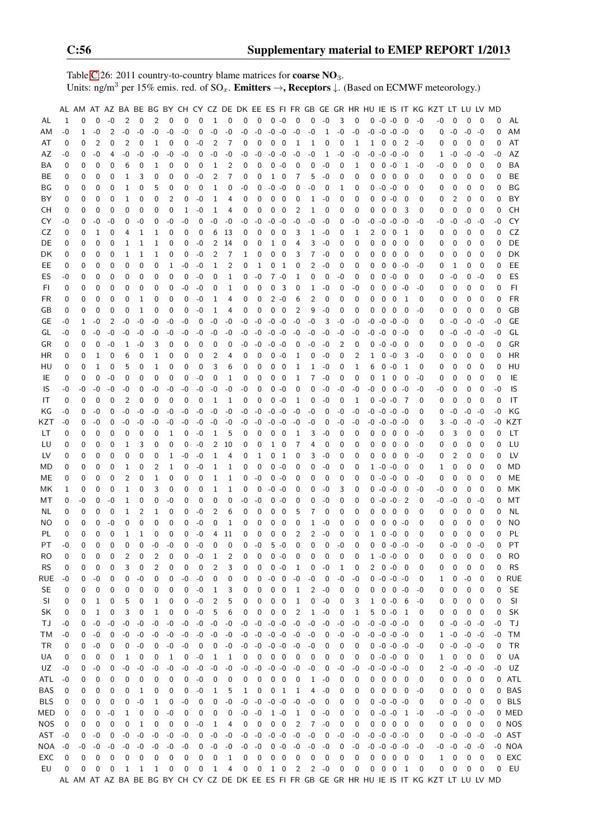Table [C.](#page-2-0)26: 2011 country-to-country blame matrices for **coarse NO**<sub>3</sub>. Units: ng/m<sup>3</sup> per 15% emis. red. of  $SO_x$ . **Emitters**  $\rightarrow$ **, Receptors**  $\downarrow$ . (Based on ECMWF meteorology.)

|            |      |             |              |             |              |              |             |      |             |             |                |             |      |                         |                |                          |                |      |             |      |             |          |             |                     |                            |      | AL AM AT AZ BA BE BG BY CH CY CZ DE DK EE ES FI FR GB GE GR HR HU IE IS IT KG KZT LT LU LV MD |             |             |             |      |           |
|------------|------|-------------|--------------|-------------|--------------|--------------|-------------|------|-------------|-------------|----------------|-------------|------|-------------------------|----------------|--------------------------|----------------|------|-------------|------|-------------|----------|-------------|---------------------|----------------------------|------|-----------------------------------------------------------------------------------------------|-------------|-------------|-------------|------|-----------|
| AL         | 1    | $\mathbf 0$ | $\mathbf 0$  | $-0$        | 2            | $\mathbf 0$  | 2           | 0    | $\mathbf 0$ | $\mathbf 0$ | 1              | $\mathbf 0$ | 0    | 0                       |                | $0 - 0$                  | 0              | 0    | $-0$        | 3    | 0           |          | $0 - 0 - 0$ |                     | $\overline{0}$             | $-0$ | $-0$                                                                                          | 0           | $\mathbf 0$ | 0           | 0    | AL        |
| AM         | -0   | 1           | $-0$         | 2           | $-0$         | -0           | $-0$        | -0   | -0          | 0           | $-0$           | $-0$        | -0   | $-0$                    | $-0$           | $-0$                     | $-0$           | $-0$ | 1           | $-0$ | $-0$        | -0       | $-0$        | $-0 -0$             |                            | 0    | 0                                                                                             | -0          | $-0$        | $-0$        | 0    | ΑM        |
| AT         | 0    | 0           | 2            | 0           | 2            | $\mathbf 0$  | 1           | 0    | 0           | -0          | 2              | 7           | 0    | 0                       | 0              | $\mathbf 0$              | 1              | 1    | 0           | 0    | 1           | 1        | 0           | 0                   | $\overline{2}$             | $-0$ | 0                                                                                             | 0           | 0           | 0           | 0    | AT        |
| AZ         | -0   | 0           | -0           | 4           | -0           | -0           | -0          | -0   | -0          | 0           | -0             | -0          | -0   | -0                      | $-0$           | -0                       | -0             | -0   | 1           | -0   | -0          | -0       |             | $-0$ $-0$ $-0$      |                            | 0    | 1                                                                                             | -0          | $-0$        | -0          | -0   | AZ        |
| BA         | 0    | 0           | 0            | 0           | 6            | 0            | 1           | 0    | 0           | 0           | 1              | 2           | 0    | 0                       | 0              | $-0$                     | 0              | 0    | -0          | 0    | 1           | 0        | 0           | $-0$                | - 1                        | $-0$ | -0                                                                                            | 0           | 0           | 0           | 0    | BA        |
| BE         | 0    | $\mathbf 0$ | 0            | 0           | 1            | 3            | 0           | 0    | 0           | $-0$        | 2              | 7           | 0    | 0                       | 1              | 0                        | 7              | 5    | $-0$        | 0    | 0           | 0        | $\mathbf 0$ | $\mathbf 0$         | $\mathbf 0$                | 0    | 0                                                                                             | 0           | 0           | 0           | 0    | BE        |
|            |      |             |              |             |              |              |             |      |             |             | 1              |             |      |                         |                |                          |                |      |             |      |             |          |             |                     |                            |      |                                                                                               |             | $\mathbf 0$ |             |      |           |
| ΒG         | 0    | 0           | 0            | 0           | 1            | 0            | 5           | 0    | 0           | 0           |                | 0           | -0   | 0                       | -0             | -0                       | 0              | -0   | 0           | 1    | 0           | 0        | $-0 - 0$    |                     | 0                          | 0    | 0                                                                                             | 0           |             | 0           | 0    | BG        |
| BY         | 0    | 0           | $\mathbf 0$  | 0           | 1            | 0            | 0           | 2    | 0           | $-0$        | 1              | 4           | 0    | 0                       | 0              | 0                        | 0              | 1    | $-0$        | 0    | 0           | 0        | 0           | $-0$                | - 0                        | 0    | 0                                                                                             | 2           | 0           | 0           | 0    | BY        |
| CН         | 0    | 0           | $\mathbf 0$  | 0           | 0            | 0            | 0           | 0    | 1           | $-0$        | 1              | 4           | 0    | 0                       | 0              | 0                        | 2              | 1    | 0           | 0    | 0           | 0        | 0           | 0                   | 3                          | 0    | 0                                                                                             | 0           | 0           | 0           | 0    | CH        |
| CY         | -0   | 0           | -0           | -0          | 0            | -0           | 0           | -0   | $-0$        | 0           | $-0$           | $-0$        | -0   | $-0$                    | $-0$           | $-0$                     | $-0$           | -0   | $-0$        | 0    | -0          | -0       | $-0$        | $-0$                | -0                         | -0   | -0                                                                                            | -0          | $-0$        | $-0$        | -0   | CY        |
| CZ         | 0    | 0           | 1            | 0           | 4            | 1            | 1           | 0    | 0           | 0           | 6              | 13          | 0    | 0                       | 0              | 0                        | 3              | 1    | -0          | 0    | 1           | 2        | 0           | 0                   | -1                         | 0    | 0                                                                                             | 0           | 0           | 0           | 0    | CZ        |
| DE         | 0    | 0           | 0            | 0           | 1            | 1            | 1           | 0    | 0           | -0          | 2              | 14          | 0    | 0                       | 1              | 0                        | 4              | 3    | -0          | 0    | 0           | 0        | 0           | 0                   | 0                          | 0    | 0                                                                                             | 0           | 0           | 0           | 0    | DE        |
| DK         | 0    | 0           | 0            | 0           | 1            | 1            | 1           | 0    | 0           | -0          | 2              | 7           | 1    | 0                       | 0              | 0                        | 3              | 7    | -0          | 0    | 0           | 0        | 0           | 0                   | 0                          | 0    | 0                                                                                             | 0           | 0           | 0           | 0    | DK        |
| EE         | 0    | 0           | 0            | 0           | $\mathbf 0$  | 0            | 0           | 1    | $-0$        | $-0$        | 1              | 2           | 0    | 1                       | 0              | 1                        | 0              | 2    | -0          | 0    | 0           | 0        | 0           | 0                   | -0                         | -0   | 0                                                                                             | 1           | 0           | 0           | 0    | EE        |
| ES         | -0   | 0           | 0            | 0           | 0            | 0            | 0           | 0    | 0           | $-0$        | 0              | 1           | 0    | $-0$                    |                | $7 - 0$                  | 1              | 0    | 0           | $-0$ | 0           | 0        | 0           | $-0$                | 0                          | 0    | 0                                                                                             | -0          | 0           | $-0$        | 0    | ES        |
| FI         | 0    | 0           | 0            | 0           | 0            | 0            | 0           | 0    | -0          | -0          | 0              | 1           | 0    | 0                       | 0              | 3                        | 0              | 1    | $-0$        | 0    | $-0$        | 0        | 0           | 0                   | -0                         | -0   | 0                                                                                             | 0           | 0           | 0           | 0    | FI        |
| FR         | 0    | 0           | 0            | 0           | 0            | 1            | 0           | 0    | 0           | -0          | 1              | 4           | 0    | 0                       | 2              | -0                       | 6              | 2    | 0           | 0    | 0           | 0        | 0           | 0                   | 1                          | 0    | 0                                                                                             | 0           | 0           | 0           | 0    | <b>FR</b> |
| GB         | 0    | 0           | 0            | 0           | 0            | 1            | 0           | 0    | 0           | $-0$        | 1              | 4           | 0    | 0                       | 0              | 0                        | 2              | 9    | $-0$        | 0    | 0           | 0        | 0           | 0                   | $\mathbf 0$                | $-0$ | 0                                                                                             | 0           | 0           | 0           | 0    | GB        |
| GE         | -0   | 1           | $-0$         | 2           | -0           | -0           | $-0$        | -0   | -0          | 0           | -0             | -0          | -0   | -0                      | $-0$           | $-0$                     | -0             | -0   | 3           | -0   | -0          | -0       |             | $-0$ $-0$ $-0$      |                            | 0    | 0                                                                                             | -0          | $-0$        | -0          | -0   | <b>GE</b> |
| GL         | -0   | 0           | $-0$         | -0          | -0           | -0           | -0          | -0   | -0          | -0          | -0             | -0          | -0   | $-0$                    | $-0$           | -0                       | -0             | -0   | $-0$        | -0   | -0          | -0       | $-0$        | $0 - 0$             |                            | 0    | 0                                                                                             | -0          | -0          | -0          | -0   | GL        |
| GR         | 0    | 0           | 0            | -0          | 1            | -0           | 3           | 0    | 0           | 0           | 0              | 0           | -0   | $-0$                    | $-0$           | -0                       | 0              | -0   | -0          | 2    | 0           | 0        | $-0 -0$     |                     | $\overline{\phantom{0}}$   | 0    | 0                                                                                             | 0           | 0           | $-0$        | 0    | GR        |
| ΗR         | 0    | 0           | 1            | 0           | 6            | 0            | 1           | 0    | 0           | 0           | 2              | 4           | 0    | 0                       | 0              | $-0$                     | 1              | 0    | -0          | 0    | 2           | 1        | 0           | $-0$                | -3                         | -0   | 0                                                                                             | 0           | 0           | 0           | 0    | HR        |
| HU         | 0    | 0           | $\mathbf{1}$ | 0           | 5            | 0            | 1           | 0    | 0           | 0           | 3              | 6           | 0    | 0                       | 0              | 0                        | 1              | 1    | -0          | 0    | 1           | 6        | 0           | $-0$                | - 1                        | 0    | 0                                                                                             | 0           | 0           | 0           | 0    | HU        |
| IE         | 0    | 0           | $\mathbf 0$  | $-0$        | 0            | 0            | 0           | 0    | 0           | -0          | 0              | 1           | 0    | 0                       | 0              | 0                        | 1              | 7    | -0          | 0    | 0           | 0        | 1           | 0                   | 0                          | -0   | 0                                                                                             | 0           | 0           | 0           | 0    | IE        |
| IS         | -0   | -0          | -0           | -0          | -0           | 0            | $-0$        | -0   | -0          | -0          | -0             | -0          | -0   | 0                       | 0              | -0                       | 0              | 0    | $-0$        | -0   | $-0$        | -0       | 0           | $0 - 0$             |                            | -0   | -0                                                                                            | 0           | 0           | 0           | -0   | IS        |
| IT         | 0    | $\mathbf 0$ | 0            | 0           | 2            | $\mathbf 0$  | 0           | 0    | 0           | 0           | 1              | 1           | 0    | 0                       | 0              | $-0$                     | 1              | 0    | -0          | 0    | 1           | 0        | $-0$        | $-0$                | - 7                        | 0    | 0                                                                                             | 0           | 0           | 0           | 0    | IT        |
| ΚG         | -0   | 0           | -0           | 0           | -0           | -0           | -0          | -0   | -0          | -0          | -0             | -0          | -0   | -0                      | $-0$           | -0                       | -0             | -0   | 0           | -0   | -0          | -0       | -0          | $-0 -0$             |                            | 0    | 0                                                                                             | -0          | -0          | -0          | -0   | ΚG        |
| KZT        | -0   | 0           | -0           | 0           | -0           | -0           | -0          | -0   | -0          | -0          | -0             | -0          | -0   | -0                      | $-0$           | $-0$                     | -0             | -0   | 0           | -0   | -0          | -0       | -0          | $-0 -0$             |                            | 0    | 3                                                                                             | -0          | -0          | $-0$        | -0   | KZT       |
| LT         | 0    | 0           | 0            | 0           | 0            | 0            | 0           | 1    | 0           | -0          | 1              | 5           | 0    | 0                       | 0              | 0                        | 1              | 3    | -0          | 0    | 0           | 0        | 0           | 0                   | 0                          | -0   | 0                                                                                             | 3           | 0           | 0           | 0    | LT        |
|            |      | 0           | 0            | 0           |              | 3            |             | 0    | 0           | $-0$        | 2              | 10          |      | 0                       | $\mathbf{1}$   | 0                        | 7              | 4    |             | 0    | 0           | 0        |             | 0                   |                            |      |                                                                                               |             | $\mathbf 0$ | 0           | 0    | LU        |
| LU         | 0    |             |              |             | 1            |              | 0           |      |             |             |                |             | 0    |                         |                |                          |                |      | 0           |      |             |          | 0           |                     | 0                          | 0    | 0                                                                                             | 0           |             |             |      |           |
| LV         | 0    | 0           | $\mathbf 0$  | 0           | 0            | 0            | 0           | 1    | -0          | -0          | 1              | 4           | 0    | 1                       | 0              | <sup>1</sup>             | 0              | 3    | $-0$        | 0    | 0           | 0        | 0           | $\mathbf 0$         | 0                          | -0   | 0                                                                                             | 2           | 0           | 0           | 0    | LV        |
| MD         | 0    | 0           | $\mathbf 0$  | 0           | 1            | 0            | 2           | 1    | 0           | -0          | 1              | 1           | 0    | 0                       | 0              | -0                       | 0              | 0    | $-0$        | 0    | 0           |          | $1 - 0 - 0$ |                     | 0                          | 0    | 1                                                                                             | 0           | 0           | 0           | 0    | MD        |
| MЕ         | 0    | 0           | 0            | 0           | 2            | 0            | 1           | 0    | 0           | 0           | $\mathbf{1}$   | 1           | 0    | $-0$                    |                | $0 - 0$                  | 0              | 0    | 0           | 0    | 0           | 0        | $-0 - 0$    |                     | 0                          | $-0$ | 0                                                                                             | 0           | 0           | 0           | 0    | ME        |
| ΜK         | 1    | 0           | 0            | 0           | 1            | 0            | 3           | 0    | 0           | 0           | 1              | 1           | 0    | 0                       | $-0 - 0$       |                          | 0              | 0    | -0          | 3    | 0           | 0        | $-0 -0$     |                     | 0                          | $-0$ | -0                                                                                            | 0           | 0           | 0           | 0    | ΜK        |
| МT         | 0    | -0          | 0            | -0          | 1            | 0            | 0           | -0   | 0           | 0           | 0              | 0           | -0   | -0                      | 0              | -0                       | 0              | 0    | -0          | 0    | 0           | 0        | $-0 - 0$    |                     | $\overline{\phantom{0}}^2$ | 0    | -0                                                                                            | -0          | 0           | -0          | 0    | МT        |
| NL         | 0    | 0           | 0            | 0           | 1            | 2            | 1           | 0    | 0           | $-0$        | 2              | 6           | 0    | 0                       | 0              | 0                        | 5              | 7    | 0           | 0    | 0           | 0        | 0           | 0                   | 0                          | 0    | 0                                                                                             | 0           | 0           | 0           | 0    | ΝL        |
| NO         | 0    | 0           | 0            | $-0$        | $\mathbf 0$  | 0            | $\mathbf 0$ | 0    | 0           | $-0$        | 0              | 1           | 0    | 0                       | 0              | 0                        | 0              | 1    | -0          | 0    | 0           | 0        | $\mathbf 0$ | $0 - 0$             |                            | 0    | 0                                                                                             | 0           | 0           | 0           | 0    | <b>NO</b> |
| PL         | 0    | $\mathbf 0$ | 0            | $\mathbf 0$ | $\mathbf{1}$ | $\mathbf{1}$ | $\mathbf 0$ | 0    | 0           | $-0$        | $\overline{4}$ | 11          | 0    | $\mathbf 0$             | 0              | 0                        | 2              | 2    | $-0$        | 0    | $\mathbf 0$ | 1        | 0           | $-0$                | - 0                        | 0    | 0                                                                                             | $\mathbf 0$ | 0           | $\mathbf 0$ | 0    | PL        |
| PT         | $-0$ | $\Omega$    | $\Omega$     | $\Omega$    | $\Omega$     | $\mathbf 0$  | $-0$        | $-0$ | 0           | $-0$        | 0              | $\Omega$    | 0    | $-0$                    | 5              | $-0$                     | $\Omega$       | 0    | $\mathbf 0$ | $-0$ | $\Omega$    | $\Omega$ |             | $0 - 0 - 0$         |                            | -0   | 0                                                                                             | -0          | $\Omega$    | $-0$        | 0    | <b>PT</b> |
| RO         | 0    | 0           | 0            | 0           | 2            | 0            | 2           | 0    | 0           | $-0$        | 1              | 2           | 0    | 0                       |                | $0 - 0$                  | 0              | 0    | 0           | 0    | 0           |          | $1 - 0 - 0$ |                     | $\overline{\phantom{0}}$   | 0    | 0                                                                                             | 0           | 0           | 0           | 0    | RO        |
| <b>RS</b>  | 0    | 0           | 0            | 0           | 3            | 0            | 2           | 0    | 0           | 0           | 2              | 3           | 0    | 0                       |                | $0 - 0$                  | 1              | 0    | $-0$        | 1    | 0           | 2        |             | $0 - 0 0$           |                            | 0    | 0                                                                                             | 0           | 0           | 0           | 0    | <b>RS</b> |
| RUE        | $-0$ | 0           | $-0$         | 0           | 0            | $-0$         | 0           | 0    | $-0$        | $-0$        | 0              | 0           | 0    | 0                       | $-0$ 0         |                          | $-0$           | $-0$ | 0           | $-0$ | $-0$        |          |             | $0 - 0 - 0 - 0$     |                            | 0    | 1                                                                                             | 0           | $-0$        | 0           |      | 0 RUE     |
| SE         | 0    | 0           | 0            | 0           | 0            | 0            | 0           | 0    | 0           | $-0$        | 1              | 3           | 0    | 0                       | 0              | $\overline{\phantom{0}}$ | 1              | 2    | -0          | 0    | 0           | 0        |             | $0 \t 0 \t -0$      |                            | -0   | 0                                                                                             | 0           | 0           | 0           | 0    | <b>SE</b> |
| SI         | 0    | 0           | 1            | 0           | 5            | 0            | 1           | 0    | 0           | $-0$        | 2              | 5           | 0    | 0                       | 0              | 0                        | 1              | 0    | $-0$        | 0    | 3           | 1        |             | $0 - 0 6$           |                            | -0   | 0                                                                                             | 0           | 0           | 0           | 0    | SI        |
| SK         | 0    | 0           | $\mathbf{1}$ | 0           | 3            | 0            | 1           | 0    | 0           | $-0$        | 5              | 6           | 0    | 0                       | $\pmb{0}$      | $\mathbf 0$              | 2              | 1    | $-0$        | 0    | 1           | 5        |             | $0 - 0$             | $\mathbf{1}$               | 0    | 0                                                                                             | 0           | 0           | 0           | 0    | SK        |
| ТJ         | $-0$ | 0           | $-0$         | $-0$        | $-0$         | $-0$         | $-0$        | $-0$ | $-0$        | $-0$        | $-0$           | $-0$        |      | $-0$ $-0$ $-0$ $-0$     |                |                          | $-0$           | $-0$ | $-0$        | $-0$ | $-0$        |          |             | $-0$ $-0$ $-0$ $-0$ |                            | 0    |                                                                                               | $0 - 0$     | $-0 - 0$    |             | $-0$ | TJ        |
| ТM         | $-0$ | 0           | -0           | 0           | $-0$         | $-0$         | $-0$        | $-0$ | $-0$        | $-0$        | $-0$           | $-0$        |      | $-0$ $-0$ $-0$ $-0$     |                |                          | $-0$           | $-0$ | 0           | $-0$ | -0          |          |             | $-0$ $-0$ $-0$ $-0$ |                            | 0    |                                                                                               | $1 - 0$     | $-0 - 0$    |             | $-0$ | TM        |
| TR         | 0    | 0           | $-0$         | 0           | 0            | $-0$         | 0           | $-0$ | $-0$        | 0           | 0              | $-0$        |      | $-0$ $-0$ $-0$ $-0$     |                |                          | $-0$           | $-0$ | 0           | 0    | 0           |          |             | $0 - 0 - 0 - 0$     |                            | -0   |                                                                                               | $0 - 0$     | $-0 - 0$    |             | 0    | TR        |
| UA         | 0    | 0           | 0            | 0           | 1            | 0            | 0           | 1    | 0           | -0          | 1              | 1           | 0    | 0                       | 0              | $\overline{\phantom{0}}$ | 0              | 0    | 0           | 0    | 0           |          |             | $0 -0 -0 0$         |                            | 0    | 1                                                                                             | 0           | 0           | 0           | 0    | UA        |
| UZ         | $-0$ | 0           | -0           | 0           | -0           | $-0$         | $-0$        | -0   | -0          | $-0$        | $-0$           | -0          | -0   |                         | $-0$ $-0$ $-0$ |                          | $-0$           | $-0$ | 0           | -0   | $-0$        |          |             | $-0$ $-0$ $-0$ $-0$ |                            | 0    |                                                                                               | $2 -0$      |             | $-0 - 0$    |      | $-0$ UZ   |
| ATL        | -0   | 0           | 0            | 0           | 0            | 0            | 0           | 0    | 0           | $-0$        | 0              | 0           | 0    | 0                       | 0              | $\overline{\mathbf{0}}$  | 0              | 1    | -0          | 0    | 0           | 0        |             | $0\quad 0$          | $\overline{\phantom{0}}$   | 0    | 0                                                                                             | 0           | 0           | 0           |      | 0 ATL     |
| BAS        | 0    | 0           | 0            | 0           | 0            | 1            | 0           | 0    | 0           | $-0$        | 1              | 5           | 1    | 0                       |                | 0 <sub>1</sub>           | 1              | 4    | -0          | 0    | 0           | 0        |             | $0\quad 0\quad 0$   |                            | -0   | 0                                                                                             | 0           | 0           | 0           |      | 0 BAS     |
| <b>BLS</b> | 0    | 0           | 0            | 0           | 0            | $-0$         | 1           | 0    | -0          | 0           | 0              | $-0$        |      | $-0$ $-0$ $-0$ $-0$     |                |                          | $-0$           | $-0$ | 0           | 0    | 0           |          |             | $0 - 0 - 0 - 0$     |                            | 0    | 0                                                                                             | 0           | $-0$        | 0           |      | 0 BLS     |
| MED        | 0    | 0           | 0            | $-0$        | 1            | 0            | 0           | $-0$ | 0           | 0           | 0              | 0           |      | $-0 - 0$                | $1 - 0$        |                          | $\mathbf{1}$   | 0    | $-0$        | 0    | 0           |          |             | $0 - 0 - 0 1$       |                            | -0   |                                                                                               | $-0 - 0$    |             | $0 - 0$     |      | 0 MED     |
| NOS        | 0    | 0           | 0            | 0           | 0            | $\mathbf{1}$ | 0           | 0    | 0           | $-0$        | $\mathbf{1}$   | 4           | 0    | $\overline{0}$          |                | $0\quad 0$               | $\overline{c}$ | 7    | $-0$        | 0    | 0           | 0        |             | $0\quad 0$          | $\overline{\phantom{0}}$   | 0    | $\mathbf{0}$                                                                                  | 0           | 0           | $\mathbf 0$ |      | 0 NOS     |
|            |      |             |              |             | $-0$         |              |             |      |             |             |                |             |      | $-0$ $-0$ $-0$ $-0$     |                |                          |                |      |             |      |             |          |             |                     |                            |      |                                                                                               |             | $-0 - 0$    |             |      |           |
| AST        | $-0$ | 0           | $-0$         | 0           |              | $-0$         | $-0$        | $-0$ | $-0$        | 0           | $-0$           | $-0$        |      |                         |                |                          | $-0$           | $-0$ | 0           | $-0$ | $-0$        |          |             | $-0$ $-0$ $-0$ $-0$ |                            | 0    |                                                                                               | $0 - 0$     |             |             |      | -0 AST    |
| NOA        | $-0$ | -0          | $-0$         | $-0$        | $-0$         | $-0$         | $-0$        | $-0$ | $-0$        | 0           | $-0$           | $-0$        | $-0$ | $-0$                    | $0 - 0$        |                          | $-0$           | $-0$ | $-0$        | 0    | $-0$        |          |             | $-0$ $-0$ $-0$ $-0$ |                            | $-0$ |                                                                                               | -0 -0       | $-0 - 0$    |             |      | -0 NOA    |
| EXC        | 0    | 0           | 0            | 0           | 0            | 0            | 0           | 0    | 0           | 0           | 0              | 1           | 0    | $\overline{0}$          |                | $0\quad 0$               | 0              | 0    | 0           | 0    | 0           | 0        |             | $0\quad 0\quad 0$   |                            | 0    | $\mathbf{1}$                                                                                  | 0           | 0           | 0           |      | 0 EXC     |
| EU         | 0    | 0           | 0            | 0           | 1            | $\mathbf{1}$ | 1           | 0    | 0           | 0           | $\mathbf{1}$   | 4           | 0    | $\overline{\mathbf{0}}$ | 1 0            |                          | $\overline{2}$ |      | $2 - 0$     | 0    | 0           | 0        | $0\quad 0$  |                     | $\overline{1}$             | 0    | 0                                                                                             | 0           | 0           | 0           | 0    | EU        |
|            |      |             |              |             |              |              |             |      |             |             |                |             |      |                         |                |                          |                |      |             |      |             |          |             |                     |                            |      | AL AM AT AZ BA BE BG BY CH CY CZ DE DK EE ES FI FR GB GE GR HR HU IE IS IT KG KZT LT LU LV MD |             |             |             |      |           |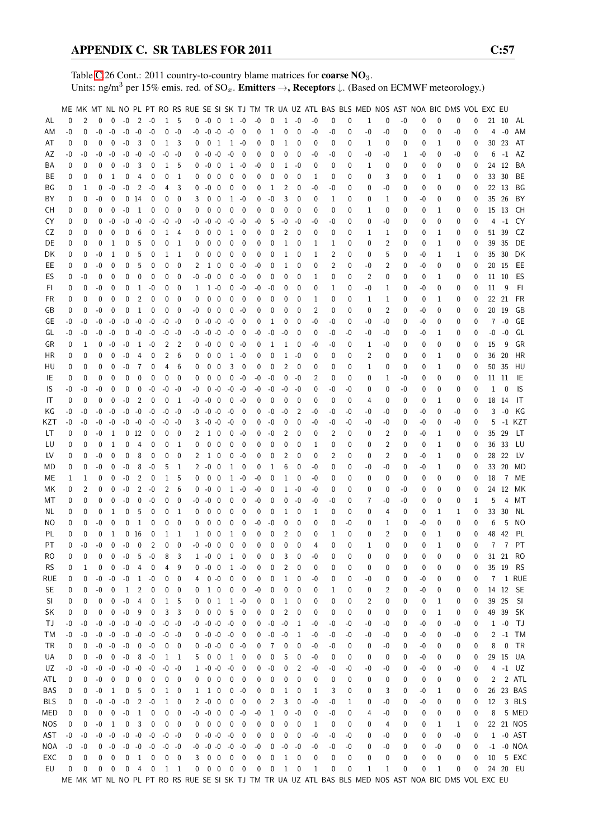Table [C.](#page-2-0)26 Cont.: 2011 country-to-country blame matrices for **coarse NO**<sub>3</sub>. Units: ng/m<sup>3</sup> per 15% emis. red. of  $SO_x$ . **Emitters**  $\rightarrow$ **, Receptors**  $\downarrow$ . (Based on ECMWF meteorology.)

|            |          |      |          |              |                   |                 |                |              |                          |    |                          |                          |              |                          |      |              |              |              |      |      |          | ME MK MT NL NO PL PT RO RS RUE SE SI SK TJ TM TR UA UZ ATL BAS BLS MED NOS AST NOA BIC DMS VOL EXC EU |                |      |          |              |    |              |                |       |               |
|------------|----------|------|----------|--------------|-------------------|-----------------|----------------|--------------|--------------------------|----|--------------------------|--------------------------|--------------|--------------------------|------|--------------|--------------|--------------|------|------|----------|-------------------------------------------------------------------------------------------------------|----------------|------|----------|--------------|----|--------------|----------------|-------|---------------|
|            |          |      |          |              |                   |                 |                |              |                          |    |                          |                          |              |                          |      |              |              |              |      |      |          |                                                                                                       |                |      |          |              |    |              |                |       |               |
| AL         | 0        | 2    | $\Omega$ | 0            | $-0$              | 2               | $-0$           |              | 1 5                      |    | $0 - 0 0 1 - 0$          |                          |              |                          | $-0$ | 0            | 1            | $-0$         | $-0$ | 0    | 0        | 1                                                                                                     | 0              | $-0$ | 0        | 0            | 0  | 0            |                | 21 10 | AL            |
| ΑM         | $-0$     | 0    | $-0$     | $-0$         | $-0$              | $-0$            | $-0$           | 0            | $-0$                     | -0 | $-0 - 0$                 |                          | $-0$         | $\overline{\phantom{0}}$ | 0    | 1            | 0            | 0            | -0   | $-0$ | 0        | $-0$                                                                                                  | $-0$           | 0    | 0        | 0            | -0 | 0            | 4              | $-0$  | AM            |
| AT         | 0        | 0    | 0        | $\mathbf 0$  | $-0$              | 3               | 0              | $\mathbf{1}$ | 3                        | 0  | 0                        | 1                        |              | $1 - 0$                  | 0    | 0            | 1            | 0            | 0    | 0    | 0        | 1                                                                                                     | 0              | 0    | 0        | 1            | 0  | 0            | 30             | 23    | AT            |
| AΖ         | -0       | -0   | -0       | $-0$         | $-0$              | $-0$            | $-0$           | -0           | -0                       | 0  | $-0 - 0$                 |                          | $-0$         | 0                        | 0    | 0            | 0            | 0            | -0   | -0   | 0        | -0                                                                                                    | -0             | 1    | -0       | 0            | -0 | 0            | 6              | $-1$  | AZ            |
|            |          |      |          |              | $-0$              |                 |                |              |                          |    |                          |                          |              |                          |      |              |              |              |      |      |          |                                                                                                       |                |      |          |              |    |              |                |       |               |
| ΒA         | 0        | 0    | 0        | $\mathbf 0$  |                   | 3               | 0              | $\mathbf 1$  | 5                        |    | $0 -0 0$                 |                          |              | $1 - 0$                  | -0   | 0            | 1            | -0           | 0    | 0    | 0        | 1                                                                                                     | 0              | 0    | 0        | 0            | 0  | 0            |                | 24 12 | BA            |
| ВE         | 0        | 0    | 0        | 1            | 0                 | 4               | 0              | 0            | 1                        | 0  | 0                        | 0                        | 0            | 0                        | 0    | 0            | 0            | 0            | 1    | 0    | 0        | 0                                                                                                     | 3              | 0    | 0        | 1            | 0  | 0            |                | 33 30 | BE            |
| ΒG         | 0        | 1    | 0        | $-0$         | $-0$              | 2               | $-0$           | 4            | 3                        | 0  | $-0$                     | 0                        | 0            | 0                        | 0    | 1            | 2            | 0            | -0   | -0   | 0        | 0                                                                                                     | -0             | 0    | 0        | 0            | 0  | 0            |                | 22 13 | ΒG            |
| ΒY         | 0        | 0    | -0       | $\mathbf{0}$ |                   | 014             | $\mathbf 0$    | 0            | $\mathbf{0}$             | 3  | 0                        | $\mathbf 0$              | $\mathbf{1}$ | $-0$                     | 0    | $-0$         | 3            | 0            | 0    | 1    | 0        | 0                                                                                                     | 1              | 0    | -0       | 0            | 0  | 0            | 35             | -26   | BY            |
| CН         | 0        | 0    | 0        | 0            | $-0$              | $\mathbf{1}$    | $\mathbf 0$    | 0            | $\mathbf 0$              | 0  | 0                        | $\mathbf{0}$             | 0            | 0                        | 0    | 0            | 0            | 0            | 0    | 0    | 0        | 1                                                                                                     | 0              | 0    | 0        | 1            | 0  | 0            |                | 15 13 | CH            |
|            |          |      |          |              |                   |                 |                |              |                          |    |                          |                          |              |                          |      |              |              |              |      |      |          |                                                                                                       |                |      |          |              |    |              |                |       |               |
| CY         | 0        | 0    | $\Omega$ | $-0$         | $-0$              | $-0$            | $-0$           | $-0$         | -0                       | -0 | $-0 - 0$                 |                          | $-0$         | -0                       | -0   | 5            | -0           | -0           | -0   | -0   | 0        | 0                                                                                                     | -0             | 0    | 0        | 0            | 0  | 0            | 4              | $-1$  | CY            |
| CZ         | 0        | 0    | 0        | 0            | 0                 | 6               | 0              | 1            | 4                        | 0  | 0                        | 0                        | 1            | 0                        | 0    | 0            | 2            | 0            | 0    | 0    | 0        | 1                                                                                                     | 1              | 0    | 0        | 1            | 0  | 0            | 51             | 39    | CZ            |
| DE         | 0        | 0    | 0        | 1            | 0                 | 5               | 0              | 0            | 1                        | 0  | 0                        | $\mathbf 0$              | 0            | 0                        | 0    | 0            | 1            | 0            | 1    | 1    | 0        | 0                                                                                                     | $\overline{2}$ | 0    | 0        | 1            | 0  | 0            | 39             | 35    | DE            |
| DK         | 0        | 0    | -0       | 1            | 0                 | 5               | 0              | 1            | 1                        | 0  | 0                        | 0                        | 0            | 0                        | 0    | 0            | 1            | 0            | 1    | 2    | 0        | 0                                                                                                     | 5              | 0    | -0       | 1            | 1  | 0            | 35             | 30    | DK            |
|            |          |      |          |              |                   |                 |                |              |                          |    |                          |                          |              |                          |      |              |              |              |      |      |          |                                                                                                       |                |      |          |              |    |              |                |       |               |
| EE         | 0        | 0    | -0       | 0            | 0                 | 5               | 0              | 0            | 0                        | 2  | $\mathbf{1}$             | - 0                      | 0            | -0                       | -0   | 0            | 1            | 0            | 0    | 2    | 0        | -0                                                                                                    | 2              | 0    | -0       | 0            | 0  | 0            |                | 20 15 | EE            |
| ES         | 0        | -0   | 0        | 0            | 0                 | 0               | 0              | 0            | 0                        | -0 | $-0$                     | $\overline{\phantom{0}}$ | 0            | $-0$                     | 0    | 0            | 0            | 0            | 1    | 0    | 0        | 2                                                                                                     | 0              | 0    | 0        | 1            | 0  | 0            |                | 11 10 | ES            |
| FI.        | 0        | 0    | -0       | 0            | 0                 | 1               | $-0$           | 0            | 0                        | 1  | $1 - 0$                  |                          | 0            | $-0$                     | -0   | -0           | 0            | 0            | 0    | 1    | 0        | -0                                                                                                    | 1              | 0    | -0       | 0            | 0  | 0            | 11             | 9     | FI.           |
| FR         | 0        | 0    | 0        | 0            | 0                 | 2               | 0              | 0            | 0                        | 0  | 0                        | $\mathbf{0}$             | 0            | 0                        | 0    | 0            | 0            | 0            | 1    | 0    | 0        | 1                                                                                                     | 1              | 0    | 0        | 1            | 0  | 0            |                | 22 21 | FR            |
| GB         | 0        | 0    | -0       | 0            | 0                 | 1               | 0              | 0            | 0                        | -0 | 0                        | $\mathbf 0$              | 0            | $-0$                     | 0    | 0            | 0            | 0            | 2    | 0    | 0        | 0                                                                                                     | $\overline{2}$ | 0    | -0       | 0            | 0  | 0            |                | 20 19 | GB            |
|            |          |      |          |              |                   |                 |                |              |                          |    |                          |                          |              |                          |      |              |              |              |      |      |          |                                                                                                       |                |      |          |              |    |              |                |       |               |
| GЕ         | -0       | -0   | -0       | $-0$         | $-0$              | $-0$            | $-0$           | -0           | -0                       | 0  | $-0 -0$                  |                          | -0           | 0                        | 0    | 1            | 0            | 0            | $-0$ | -0   | 0        | -0                                                                                                    | -0             | 0    | -0       | 0            | 0  | 0            | 7              | $-0$  | GE            |
| GL         | -0       | -0   | -0       | -0           | 0                 | $-0$            | $-0$           | -0           | -0                       | -0 | $-0 - 0$                 |                          | $-0$         | 0                        | -0   | $-0$         | $-0$         | 0            | 0    | -0   | -0       | -0                                                                                                    | -0             | 0    | -0       | 1            | 0  | 0            | -0             | $-0$  | GL            |
| GR         | 0        | 1    | 0        | $-0$         | -0                | 1               | $-0$           | 2            | 2                        | 0  | $-0$ 0                   |                          | 0            | -0                       | 0    | 1            | 1            | 0            | -0   | -0   | 0        | 1                                                                                                     | -0             | 0    | 0        | 0            | 0  | 0            | 15             | 9     | GR            |
| ΗR         | 0        | 0    | 0        | 0            | $-0$              | 4               | 0              | 2            | 6                        | 0  | 0                        | 0                        |              | $1 - 0$                  | 0    | 0            | 1            | -0           | 0    | 0    | 0        | 2                                                                                                     | 0              | 0    | 0        | 1            | 0  | 0            | 36             | 20    | HR            |
| HU         | 0        | 0    | 0        | 0            | $-0$              | $\overline{7}$  | 0              | 4            | 6                        | 0  | 0                        | $\mathbf 0$              | 3            | 0                        | 0    | 0            | 2            | 0            | 0    |      | 0        | 1                                                                                                     | 0              | 0    |          | 1            |    | 0            | 50             | 35    | HU            |
|            |          |      |          |              |                   |                 |                |              |                          |    |                          |                          |              |                          |      |              |              |              |      | 0    |          |                                                                                                       |                |      | 0        |              | 0  |              |                |       |               |
| IE         | 0        | 0    | 0        | 0            | 0                 | 0               | $\mathbf 0$    | 0            | $\mathbf 0$              | 0  | 0                        | $\overline{\mathbf{0}}$  | 0            | $-0$                     | -0   | -0           | 0            | -0           | 2    | 0    | 0        | 0                                                                                                     | 1              | -0   | 0        | 0            | 0  | 0            |                | 11 11 | IE            |
| IS         | $-0$     | -0   | -0       | $\mathbf 0$  | 0                 | $\mathbf 0$     | $-0$           | $-0$         | -0                       | -0 | $0 - 0$                  |                          | -0           | -0                       | $-0$ | $-0$         | -0           | -0           | 0    | -0   | -0       | 0                                                                                                     | 0              | -0   | 0        | 0            | 0  | 0            | 1              | 0     | IS            |
| IT         | 0        | 0    | 0        | 0            | -0                | 2               | 0              | 0            | - 1                      | -0 | -0                       | 0                        | 0            | -0                       | 0    | 0            | 0            | 0            | 0    | 0    | 0        | 4                                                                                                     | 0              | 0    | 0        | 1            | 0  | 0            |                | 18 14 | IT            |
| ΚG         | -0       | -0   | -0       | -0           | -0                | $-0$            | $-0$           | $-0$         | -0                       | -0 | $-0 -0$                  |                          | -0           | 0                        | 0    | -0           | -0           | 2            | -0   | -0   | -0       | -0                                                                                                    | -0             | 0    | -0       | 0            | -0 | 0            | 3              | $-0$  | КG            |
|            |          |      |          |              |                   |                 |                |              |                          |    |                          |                          |              |                          |      |              |              |              |      |      |          |                                                                                                       |                |      |          |              |    |              |                |       |               |
| KZT        | -0       | -0   | -0       | -0           |                   | $-0 - 0$        | $-0$           | -0           | -0                       | 3  | $-0 - 0$                 |                          | $-0$         | 0                        | 0    | -0           | 0            | 0            | -0   | -0   | -0       | -0                                                                                                    | -0             | 0    | -0       | 0            | -0 | 0            | 5              |       | -1 KZT        |
| LT         | 0        | 0    | -0       | 1            |                   | 0 <sub>12</sub> | 0              | 0            | $\mathbf 0$              | 2  | $1\quad0$                |                          | 0            | -0                       | 0    | $-0$         | 2            | 0            | 0    | 2    | $\Omega$ | 0                                                                                                     | 2              | 0    | -0       | 1            | 0  | 0            | 35             | 29    | LT            |
| LU         | 0        | 0    | 0        | 1            | 0                 | 4               | 0              | 0            | 1                        | 0  | 0                        | 0                        | 0            | 0                        | 0    | 0            | 0            | 0            | 1    | 0    | 0        | 0                                                                                                     | 2              | 0    | 0        | 1            | 0  | 0            |                | 36 33 | LU            |
| LV         | 0        | 0    | -0       | 0            | 0                 | 8               | 0              | 0            | 0                        | 2  | 1                        | 0                        | 0            | $-0$                     | 0    | 0            | 2            | 0            | 0    | 2    | 0        | 0                                                                                                     | 2              | 0    | -0       | 1            | 0  | 0            | 28             | 22    | LV            |
| MD         | 0        | 0    | -0       | 0            | $-0$              | 8               | $-0$           | 5            | 1                        | 2  | $-0$                     | $\overline{\mathbf{0}}$  | 1            | 0                        | 0    | 1            | 6            | 0            | -0   | 0    | 0        | -0                                                                                                    | -0             | 0    | -0       | 1            | 0  | 0            |                | 33 20 | MD            |
|            |          |      |          |              |                   |                 |                |              |                          |    |                          |                          |              |                          |      |              |              |              |      |      |          |                                                                                                       |                |      |          |              |    |              |                |       |               |
| MЕ         | 1        | 1    | 0        | 0            | $-0$              | 2               | $\mathbf 0$    | 1            | 5                        | 0  | $\mathbf 0$              | $\mathbf 0$              | $\mathbf{1}$ | $-0$                     | -0   | 0            | 1            | 0            | -0   | 0    | 0        | 0                                                                                                     | 0              | 0    | 0        | 0            | 0  | 0            | 18             | 7     | ME            |
| МK         | 0        | 2    | 0        | 0            | $-0$              | 2               | $-0$           | 2            | 6                        | 0  | -0                       | - 0                      |              | $1 - 0$                  | -0   | 0            | 1            | -0           | -0   | 0    | 0        | 0                                                                                                     | 0              | -0   | 0        | 0            | 0  | 0            |                | 24 12 | МK            |
| МT         | 0        | 0    | 0        | 0            | -0                | 0               | $-0$           | 0            | 0                        | -0 | $-0$                     | 0                        | 0            | 0                        | -0   | 0            | 0            | $-0$         | -0   | -0   | 0        | 7                                                                                                     | -0             | -0   | 0        | 0            | 0  | 1            | 5              | 4     | МT            |
| NL.        | 0        | 0    | 0        | 1            | 0                 | 5               | 0              | 0            | 1                        | 0  | 0                        | 0                        | 0            | 0                        | 0    | 0            | 1            | 0            | 1    | 0    | 0        | 0                                                                                                     | 4              | 0    | 0        | 1            | 1  | 0            | 33             | 30    | NL            |
|            |          |      |          |              |                   |                 |                |              |                          |    |                          |                          |              |                          |      |              |              |              |      |      |          |                                                                                                       |                |      |          |              |    |              |                |       |               |
| ΝO         | 0        | 0    | -0       | 0            | 0                 | $\mathbf{1}$    | 0              | 0            | 0                        | 0  | 0                        | 0                        | 0            | 0                        | -0   | -0           | 0            | 0            | 0    | 0    | -0       | 0                                                                                                     | 1              | 0    | -0       | 0            | 0  | 0            | 6              | 5     | NO            |
| PL         | 0        | 0    | 0        | 1            |                   | 0 <sub>16</sub> | 0              | $\mathbf 1$  | 1                        | 1  | 0                        | $\mathbf 0$              | 1            | 0                        | 0    | 0            | 2            | $\mathbf 0$  | 0    | 1    | $\theta$ | 0                                                                                                     | $\overline{2}$ | 0    | 0        | $\mathbf{1}$ | 0  | 0            | 48             | 42    | PL            |
| PT         | $\Omega$ | $-0$ | $-0$     | $\Omega$     | $-0$              | $\overline{0}$  | $\overline{2}$ | $\mathbf{0}$ | $\Omega$                 | -0 | $-0$ 0                   |                          | $\mathbf{0}$ | $\mathbf{0}$             | 0    | $\mathbf{0}$ | $\mathbf{0}$ | $\Omega$     | 4    | 0    | 0        | 1                                                                                                     | $\Omega$       | 0    | $\Omega$ | $\mathbf{1}$ | 0  | $\mathbf{0}$ | $\overline{7}$ |       | 7 PT          |
| RO         | 0        | 0    | 0        | 0            | $-0$              | 5               | $-0$           | 8            | 3                        |    | $1 - 0 0$                |                          | $\mathbf{1}$ | $\overline{\phantom{0}}$ | 0    | 0            | 3            | 0            | -0   | 0    | 0        | 0                                                                                                     | 0              | 0    | 0        | 0            | 0  | 0            |                |       | 31 21 RO      |
| <b>RS</b>  | 0        | 1    | 0        | 0            | $-0$              | 4               | 0              | 4            | 9                        | 0  | $-0$                     | $\overline{0}$           | $\mathbf{1}$ | -0                       | 0    | 0            | 2            | 0            | 0    | 0    | 0        | 0                                                                                                     | 0              | 0    | 0        | 0            | 0  | 0            |                | 35 19 | <b>RS</b>     |
|            |          |      |          |              |                   |                 |                |              |                          |    |                          |                          |              |                          |      |              |              |              |      |      |          |                                                                                                       |                |      |          |              |    |              |                |       | 1 RUE         |
| rue        | 0        | 0    | $-0$     | $-0$         | $-0$              | $\mathbf{1}$    | $-0$           | 0            | 0                        | 4  | $0 - 0$                  |                          | 0            | 0                        | 0    | 0            | 1            | 0            | -0   | 0    | 0        | -0                                                                                                    | 0              | 0    | -0       | 0            | 0  | 0            | 7              |       |               |
| <b>SE</b>  | 0        | 0    | $-0$     | 0            | $\mathbf{1}$      | 2               | 0              | 0            | 0                        | 0  | $1\quad0$                |                          | 0            | $\mathbf 0$              | -0   | 0            | 0            | 0            | 0    | 1    | 0        | 0                                                                                                     | 2              | 0    | -0       | 0            | 0  | 0            |                |       | 14 12 SE      |
| SI         | 0        | 0    | 0        | 0            | $-0$              | 4               | 0              | $\mathbf{1}$ | 5                        | 0  | 0 <sub>1</sub>           |                          |              | $1 - 0$                  | 0    | 0            | 1            | 0            | 0    | 0    | 0        | 2                                                                                                     | 0              | 0    | 0        | 1            | 0  | 0            |                | 39 25 | -SI           |
| SK         | 0        | 0    | 0        | 0            | $\textnormal{-}0$ | 9               | 0              | 3            | 3                        | 0  | $0\quad 0$               |                          | 5            | 0                        | 0    | 0            | 2            | 0            | 0    | 0    | 0        | 0                                                                                                     | 0              | 0    | 0        | 1            | 0  | 0            |                | 49 39 | SK            |
| ТJ         | -0       | -0   | -0       | $-0$         |                   | $-0 - 0$        | $-0$           | $-0$         | -0                       |    | $-0 - 0 - 0$             |                          | $-0$         | 0                        | 0    | $-0$         | $-0$         | 1            | -0   | -0   | -0       | -0                                                                                                    | -0             | 0    | -0       | 0            | -0 | 0            | $\mathbf{1}$   | $-0$  | TJ            |
|            |          |      |          |              |                   |                 |                |              |                          |    |                          |                          |              |                          |      |              |              |              |      |      |          |                                                                                                       |                |      |          |              |    |              |                |       |               |
| ТM         | -0       | -0   | -0       | $-0$         |                   | $-0 - 0$        | $-0$           | $-0$         | -0                       | 0  | $-0 - 0$                 |                          | $-0$         | $\overline{\mathbf{0}}$  | 0    | $-0$         | $-0$         | $\mathbf{1}$ | -0   | -0   | -0       | -0                                                                                                    | -0             | 0    | -0       | 0            | -0 | 0            | 2              |       | $-1$ TM       |
| TR         | 0        | 0    |          | $-0 - 0$     |                   | $-0$ 0          | $-0$           | 0            | $\overline{\phantom{0}}$ | 0  | $-0 - 0$                 |                          | $0 - 0$      |                          | 0    | 7            | 0            | 0            | -0   | -0   | 0        | 0                                                                                                     | -0             | 0    | -0       | 0            | 0  | 0            | 8              | 0     | TR            |
| UA         | 0        | 0    | -0       | 0            | $-0$              | 8               | -0             | 1            | $\overline{1}$           | 5  | $0\quad 0$               |                          |              | $1 \quad 0$              | 0    | 0            | 5            | 0            | -0   | 0    | 0        | 0                                                                                                     | 0              | 0    | -0       | 0            | 0  | 0            |                | 29 15 | UA            |
| UZ         | -0       | -0   | -0       | $-0$         |                   | $-0 - 0$        | $-0$           | $-0$         | -0                       |    | $1 - 0 - 0$              |                          | $-0$         | 0                        | 0    | -0           | 0            | 2            | -0   | -0   | -0       | -0                                                                                                    | -0             | 0    | -0       | 0            | -0 | 0            | 4              |       | $-1$ UZ       |
| ATL        | 0        |      |          |              |                   | 0               |                |              | 0                        |    | $0\quad 0$               |                          | 0            |                          |      | 0            | 0            | 0            | 0    |      | 0        |                                                                                                       | 0              |      |          | 0            | 0  |              |                |       | 2 ATL         |
|            |          | 0    | -0       | 0            | 0                 |                 | 0              | 0            |                          | 0  |                          |                          |              | $\overline{\phantom{0}}$ | 0    |              |              |              |      | 0    |          | 0                                                                                                     |                | 0    | 0        |              |    | 0            | 2              |       |               |
| BAS        | 0        | 0    | -0       | 1            | 0                 | 5               | 0              | 1            | 0                        |    | $1\quad1\quad0$          |                          |              | $0 - 0$                  | 0    | 0            | 1            | 0            | 1    | 3    | 0        | 0                                                                                                     | 3              | 0    | -0       | 1            | 0  | 0            | 26             |       | 23 BAS        |
| <b>BLS</b> | 0        | 0    | -0       | $-0$         | $-0$              | 2               | $-0$           | $\mathbf{1}$ | 0                        |    | $2 -0 0$                 |                          | 0            | 0                        | 0    | 2            | 3            | 0            | -0   | -0   | 1        | 0                                                                                                     | -0             | 0    | -0       | 0            | 0  | 0            | 12             |       | 3 BLS         |
| MED        | 0        | 0    | 0        | 0            | $-0$              | $\mathbf{1}$    | 0              | 0            | 0                        |    | $-0$ $-0$ $0$            |                          | 0            | $-0$                     | -0   | 1            | 0            | $-0$         | 0    | -0   | 0        | 4                                                                                                     | -0             | 0    | 0        | 0            | 0  | 0            | 8              |       | 5 MED         |
| <b>NOS</b> | 0        | 0    | $-0$     | 1            | 0                 | 3               | $\mathbf 0$    | 0            | $\mathbf 0$              | 0  | $0\quad 0$               |                          | 0            | $\overline{0}$           | 0    | 0            | 0            | 0            | 1    | 0    | 0        | 0                                                                                                     | 4              | 0    | 0        | 1            | 1  | 0            |                |       | 22 21 NOS     |
|            |          |      |          |              |                   |                 |                |              |                          |    |                          |                          |              |                          |      |              |              |              |      |      |          |                                                                                                       |                |      |          |              |    |              |                |       |               |
| AST        | $-0$     | -0   | -0       | -0           |                   | $-0 - 0$        | $-0$           | $-0 - 0$     |                          |    | $0 - 0 - 0$              |                          | $-0$         | $\overline{\phantom{0}}$ | 0    | 0            | 0            | 0            | -0   | -0   | -0       | 0                                                                                                     | -0             | 0    | 0        | 0            | -0 | 0            |                |       | 1 -0 AST      |
| NOA        | $-0$     | -0   | 0        | -0           |                   | $-0$ $-0$ $-0$  |                | $-0 - 0$     |                          |    | $-0$ $-0$ $-0$ $-0$ $-0$ |                          |              |                          | -0   | 0            | $-0$         | $-0$         | -0   | -0   | -0       | 0                                                                                                     | -0             | 0    | 0        | -0           | 0  | 0            |                |       | $-1$ $-0$ NOA |
| EXC        | 0        | 0    | 0        | 0            | 0                 | 1               | $\mathbf 0$    | 0            | 0                        | 3  | $0\quad 0$               |                          | $\mathbf 0$  | $\mathbf 0$              | 0    | 0            | 1            | 0            | 0    | 0    | 0        | 0                                                                                                     | 0              | 0    | 0        | 0            | 0  | 0            | 10             |       | 5 EXC         |
| EU         | 0        | 0    | 0        | 0            | 0                 |                 | 4 0            |              | 1 1                      |    | $0\ 0\ 0\ 0\ 0$          |                          |              |                          | 0    | 0            | $\mathbf{1}$ | 0            | 1    | 0    | 0        | 1                                                                                                     | 1              | 0    | 0        | 1            | 0  | 0            |                |       | 24 20 EU      |
|            |          |      |          |              |                   |                 |                |              |                          |    |                          |                          |              |                          |      |              |              |              |      |      |          | ME MK MT NL NO PL PT RO RS RUE SE SI SK TJ TM TR UA UZ ATL BAS BLS MED NOS AST NOA BIC DMS VOL EXC EU |                |      |          |              |    |              |                |       |               |
|            |          |      |          |              |                   |                 |                |              |                          |    |                          |                          |              |                          |      |              |              |              |      |      |          |                                                                                                       |                |      |          |              |    |              |                |       |               |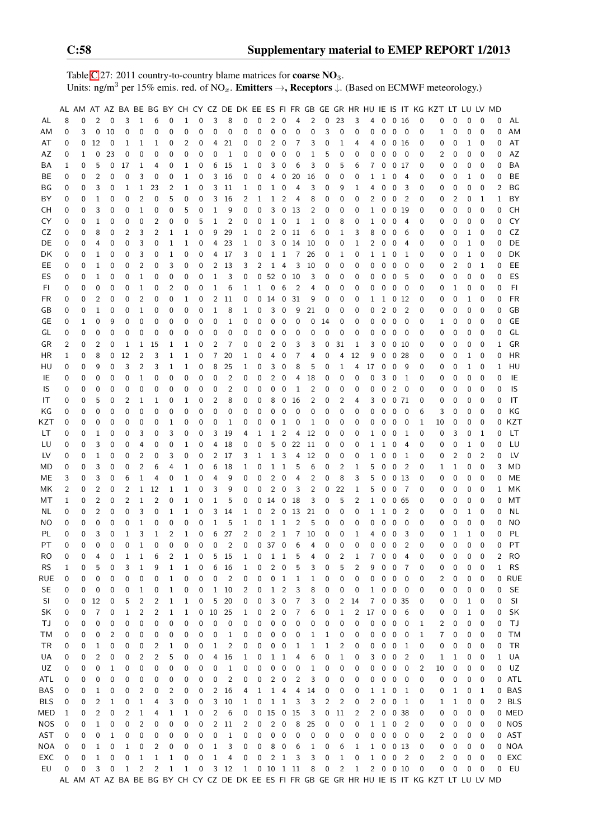Table [C.](#page-2-0)27: 2011 country-to-country blame matrices for **coarse NO**<sub>3</sub>. Units: ng/m<sup>3</sup> per 15% emis. red. of NO<sub>x</sub>. **Emitters**  $\rightarrow$ **, Receptors**  $\downarrow$ . (Based on ECMWF meteorology.)

|            |   |          |                |             |              |              |              |              |              |             |                |                |   |                       |                |                         |                |    |        |                  |              |          |                 |                         |                            |          | AL AM AT AZ BA BE BG BY CH CY CZ DE DK EE ES FI FR GB GE GR HR HU IE IS IT KG KZT LT LU LV MD |   |   |                |              |           |
|------------|---|----------|----------------|-------------|--------------|--------------|--------------|--------------|--------------|-------------|----------------|----------------|---|-----------------------|----------------|-------------------------|----------------|----|--------|------------------|--------------|----------|-----------------|-------------------------|----------------------------|----------|-----------------------------------------------------------------------------------------------|---|---|----------------|--------------|-----------|
| AL         | 8 | 0        | 2              | 0           | 3            | $\mathbf{1}$ | 6            | 0            | 1            | 0           | 3              | 8              | 0 | 0                     | 2              | 0                       | 4              | 2  | 0      | 23               | 3            | 4        | $\mathbf 0$     | 0 <sub>16</sub>         |                            | 0        | 0                                                                                             | 0 | 0 | 0              | 0            | AL        |
| AM         | 0 | 3        | 0              | 10          | 0            | 0            | 0            | 0            | 0            | 0           | 0              | 0              | 0 | 0                     | 0              | 0                       | 0              | 0  | 3      | 0                | 0            | 0        | 0               | 0                       | - 0                        | 0        | 1                                                                                             | 0 | 0 | 0              | 0            | AM        |
| AT         | 0 | 0        | 12             | 0           | 1            | 1            | 1            | 0            | 2            | 0           | 4              | 21             | 0 | 0                     | 2              | 0                       | 7              | 3  | 0      | 1                | 4            | 4        | 0               | 0 <sub>16</sub>         |                            | 0        | 0                                                                                             | 0 | 1 | 0              | 0            | AT        |
| AZ         | 0 | 1        | 0              | 23          | 0            | 0            | 0            | 0            | 0            | 0           | 0              | 1              | 0 | 0                     | 0              | 0                       | 0              | 1  | 5      | 0                | 0            | 0        | $\mathbf 0$     | 0                       | - 0                        | 0        | 2                                                                                             | 0 | 0 | 0              | 0            | AZ        |
| ВA         | 1 | 0        | 5              | 0           | 17           | 1            | 4            | 0            | 1            | 0           | 6              | 15             | 1 | 0                     | 3              | 0                       | 6              | 3  | 0      | 5                | 6            | 7        | 0               | 0 17                    |                            | 0        | 0                                                                                             | 0 | 0 | 0              | 0            | BA        |
| BE         | 0 | 0        | $\overline{2}$ | 0           | 0            | 3            | $\mathbf 0$  | 0            | 1            | 0           | 3              | 16             | 0 | 0                     | 4              | 0                       | 20             | 16 | 0      | 0                | 0            | 1        | 1               | 0                       | 4                          | 0        | 0                                                                                             | 0 | 1 | 0              | 0            | <b>BE</b> |
| ΒG         | 0 | 0        | 3              | 0           | 1            | 1            | 23           | 2            | 1            | 0           | 3              | 11             | 1 | 0                     | 1              | 0                       | 4              | 3  | 0      | 9                | 1            | 4        | 0               | 0                       | 3                          | 0        | 0                                                                                             | 0 | 0 | 0              | 2            | ΒG        |
| BY         | 0 | 0        | $1\,$          | 0           | 0            | 2            | 0            | 5            | 0            | 0           | 3              | 16             | 2 | 1                     | 1              | 2                       | 4              | 8  | 0      | 0                | 0            | 2        | 0               | $\mathbf 0$             | $\overline{2}$             | 0        | 0                                                                                             | 2 | 0 | 1              | $\mathbf{1}$ | BY        |
| CН         | 0 | 0        | 3              | 0           | 0            | 1            | 0            | 0            | 5            | 0           | $\mathbf{1}$   | 9              | 0 | 0                     | 3              | 0                       | 13             | 2  | 0      | 0                | 0            | 1        | 0               | 0                       | -19                        | 0        | 0                                                                                             | 0 | 0 | 0              | 0            | <b>CH</b> |
| CY         | 0 | 0        | 1              | 0           | 0            | 0            | 2            | 0            | 0            | 5           | $\mathbf{1}$   | $\overline{2}$ | 0 | 0                     | 1              | 0                       | $\mathbf{1}$   | 1  | 0      | 8                | 0            | 1        | 0               | 0                       | 4                          | 0        | 0                                                                                             | 0 | 0 | $\mathbf 0$    | 0            | CY        |
| CZ         | 0 | 0        | 8              | 0           | 2            | 3            | 2            | 1            | 1            | 0           | 9              | 29             | 1 | 0                     | 2              | 0                       | 11             | 6  | 0      | 1                | 3            | 8        | 0               | 0                       | 6                          | 0        | 0                                                                                             | 0 | 1 | 0              | 0            | CZ        |
| DE         | 0 | 0        | 4              | 0           | 0            | 3            | 0            | 1            | 1            | 0           | 4              | 23             | 1 | 0                     | 3              | $\mathbf 0$             | 14             | 10 | 0      | 0                | 1            | 2        | 0               | 0                       | 4                          | 0        | 0                                                                                             | 0 | 1 | 0              | 0            | DE        |
| DK         | 0 | 0        | 1              | 0           | 0            | 3            | 0            | 1            | 0            | 0           | 4              | 17             | 3 | 0                     | 1              | 1                       | 7              | 26 | 0      | 1                | 0            | 1        | 1               | 0                       | 1                          | 0        | 0                                                                                             | 0 | 1 | 0              | 0            | DK        |
| EE         | 0 | 0        | 1              | 0           | 0            | 2            | 0            | 3            | 0            | 0           | 2              | 13             | 3 | 2                     | 1              | 4                       | 3              | 10 | 0      | 0                | 0            | 0        | 0               | 0                       | 0                          | 0        | 0                                                                                             | 2 | 0 | 1              | 0            | EE        |
| ES         | 0 | 0        | 1              | 0           | 0            | 1            | 0            | 0            | 0            | 0           | 1              | 3              | 0 | 0                     | 52             | $\overline{0}$          | 10             | 3  | 0      | 0                | 0            | 0        | 0               | $\mathbf 0$             | 5                          | 0        | 0                                                                                             | 0 | 0 | 0              | 0            | ES        |
| FI         | 0 | 0        | $\mathbf 0$    | 0           | 0            | 1            | 0            | 2            | 0            | $\mathbf 0$ | 1              | 6              | 1 | 1                     | $\pmb{0}$      | 6                       | $\overline{c}$ | 4  | 0      | 0                | 0            | 0        | 0               | $\overline{0}$          | $\mathbf 0$                | 0        | 0                                                                                             | 1 | 0 | $\mathbf 0$    | 0            | F1        |
| FR         | 0 | 0        | $\overline{2}$ | 0           | 0            | 2            | 0            | 0            | 1            | 0           | 2              | 11             | 0 | 0                     | 14             | $\mathbf 0$             | 31             | 9  | 0      | 0                | 0            | 1        | 1               | 0 12                    |                            | 0        | 0                                                                                             | 0 | 1 | 0              | 0            | <b>FR</b> |
| GB         | 0 | 0        | 1              | 0           | 0            | 1            | 0            | 0            | 0            | 0           | 1              | 8              | 1 | 0                     | 3              | 0                       | 9              | 21 | 0      | 0                | 0            | 0        | $\overline{2}$  | 0                       | $\overline{2}$             | 0        | 0                                                                                             | 0 | 0 | 0              | 0            | GB        |
| GE         | 0 | 1        | 0              | 9           | 0            | 0            | 0            | 0            | 0            | 0           | 0              | 1              | 0 | 0                     | 0              | 0                       | 0              | 0  | 14     | 0                | 0            | 0        | 0               | $\mathbf 0$             | 0                          | 0        | 1                                                                                             | 0 | 0 | 0              | 0            | GE        |
| GL         | 0 | 0        | 0              | 0           | 0            | 0            | 0            | 0            | 0            | 0           | 0              | $\mathbf 0$    | 0 | 0                     | 0              | 0                       | 0              | 0  | 0      | 0                | 0            | 0        | 0               | 0                       | - 0                        | 0        | 0                                                                                             | 0 | 0 | 0              | 0            | GL        |
| GR         | 2 | 0        | 2              | 0           | 1            | 1            | 15           | 1            | 1            | 0           | 2              | 7              | 0 | 0                     | 2              | 0                       | 3              | 3  | 0      | 31               | 1            | 3        | 0               | 0 10                    |                            | 0        | 0                                                                                             | 0 | 0 | 0              | 1            | GR        |
| HR         | 1 | 0        | 8              | 0           | 12           | 2            | 3            | 1            | 1            | 0           | 7              | 20             | 1 | 0                     | 4              | 0                       | 7              | 4  | 0      | 4                | 12           | 9        | 0               | 0 <sub>28</sub>         |                            | 0        | 0                                                                                             | 0 | 1 | 0              | 0            | <b>HR</b> |
| HU         | 0 | 0        | 9              | $\mathbf 0$ | 3            | 2            | 3            | 1            | 1            | 0           | 8              | 25             | 1 | 0                     | 3              | 0                       | 8              | 5  | 0      | 1                | 4            | 17       | 0               | $\overline{0}$          | - 9                        | 0        | 0                                                                                             | 0 | 1 | 0              | 1            | HU        |
| IE         | 0 | 0        | 0              | 0           | 0            | 1            | 0            | 0            | 0            | $\mathbf 0$ | 0              | $\overline{2}$ | 0 | 0                     | 2              | 0                       | 4              | 18 | 0      | 0                | 0            | 0        | 3               | 0                       | -1                         | 0        | 0                                                                                             | 0 | 0 | 0              | 0            | IE        |
| IS         | 0 | 0        | 0              | 0           | 0            | 0            | 0            | 0            | 0            | 0           | 0              | 2              | 0 | 0                     | 0              | 0                       | 1              | 2  | 0      | 0                | 0            | 0        | 0               | 2                       | 0                          | 0        | 0                                                                                             | 0 | 0 | 0              | 0            | IS        |
| IT         | 0 | 0        | 5              | 0           | 2            | 1            | 1            | 0            | 1            | 0           | 2              | 8              | 0 | 0                     | 8              | 0                       | 16             | 2  | 0      | 2                | 4            | 3        | 0               | 071                     |                            | 0        | 0                                                                                             | 0 | 0 | 0              | 0            | IT        |
|            | 0 | 0        | 0              | 0           | 0            | 0            | 0            | 0            | 0            | 0           | 0              | 0              | 0 | 0                     | 0              | 0                       | 0              | 0  | 0      | 0                | 0            | 0        | 0               | 0                       | - 0                        | 6        | 3                                                                                             | 0 | 0 | 0              | 0            | KG        |
| ΚG         |   |          | 0              |             |              |              |              |              |              |             |                |                |   |                       |                |                         |                |    |        |                  |              |          |                 |                         |                            |          |                                                                                               |   |   | 0              | 0            | KZT       |
| KZT        | 0 | 0        |                | 0           | 0            | 0            | 0            | 1            | 0            | 0           | 0              | 1              | 0 | 0                     | 0              | 1                       | 0              | 1  | 0      | 0                | 0            | 0        | 0               | 0                       | - 0                        | 1        | 10                                                                                            | 0 | 0 |                |              |           |
| LТ         | 0 | 0        | 1              | 0           | 0            | 3            | 0            | 3            | 0            | 0           | 3              | 19             | 4 | 1                     | 1              | 2                       | 4              | 12 | 0      | 0                | 0            | 1        | 0               | 0                       | 1                          | 0        | 0                                                                                             | 3 | 0 | 1              | 0            | LТ        |
| LU         | 0 | 0        | 3              | 0           | 0            | 4            | 0            | 0            | 1            | 0           | 4              | 18             | 0 | 0                     | 5              | 0                       | 22             | 11 | 0      | 0                | 0            | 1        | 1               | 0                       | 4                          | 0        | 0                                                                                             | 0 | 1 | $\mathbf 0$    | 0            | LU        |
| LV         | 0 | 0        | 1              | 0           | 0            | 2            | 0            | 3            | 0            | 0           | 2              | 17             | 3 | 1                     | $\mathbf{1}$   | $\overline{3}$          | 4              | 12 | 0      | 0                | 0            | 1        | 0               | $\overline{\mathbf{0}}$ | -1                         | 0        | 0                                                                                             | 2 | 0 | $\overline{2}$ | 0            | LV        |
| MD         | 0 | 0        | 3              | 0           | 0            | 2            | 6            | 4            | 1            | 0           | 6              | 18             | 1 | 0                     | $\mathbf{1}$   | $\mathbf{1}$            | 5              | 6  | 0      | 2                | 1            | 5        | 0               | 0                       | $\overline{2}$             | 0        | 1                                                                                             | 1 | 0 | 0              | 3            | MD        |
| ME         | 3 | 0        | 3              | 0           | 6            | 1            | 4            | 0            | 1            | 0           | 4              | 9              | 0 | 0                     | 2              | 0                       | 4              | 2  | 0      | 8                | 3            | 5        | 0               | 0 <sub>13</sub>         |                            | 0        | 0                                                                                             | 0 | 0 | 0              | 0            | МE        |
| ΜK         | 2 | 0        | 2              | 0           | 2            | 1            | 12           | 1            | 1            | 0           | 3              | 9              | 0 | 0                     | $\overline{2}$ | 0                       | 3              | 2  | 0<br>0 | 22               | 1            | 5        | 0               | 0                       | - 7                        | 0        | 0                                                                                             | 0 | 0 | 0              | 1            | MK<br>MT  |
| МT         | 1 | 0        | 2              | 0           | 2            | 1            | 2            | 0            | 1            | 0           | 1              | 5              | 0 | 0                     | 14             | $\mathbf 0$             | 18             | 3  |        | 5                | 2            | 1        | $\mathbf 0$     | 0 65                    |                            | 0        | 0                                                                                             | 0 | 0 | 0              | 0            |           |
| NL         | 0 | 0        | 2              | 0           | 0            | 3            | 0            | 1            | 1            | 0           | 3              | 14             | 1 | 0                     | 2              | 0                       | 13             | 21 | 0      | 0                | 0            | 1        | 1               | 0                       | $\overline{2}$             | 0        | 0                                                                                             | 0 | 1 | 0              | 0            | ΝL        |
| ΝO         | 0 | 0        | 0              | 0           | 0            | 1            | 0            | $\mathbf 0$  | 0            | 0           | 1              | 5              | 1 | 0                     | $\mathbf{1}$   | 1                       | $\overline{c}$ | 5  | 0      | 0                | 0            | 0        | 0               | 0                       | 0                          | 0        | 0                                                                                             | 0 | 0 | 0              | 0            | <b>NO</b> |
| PL         | 0 | 0        | 3              | 0           | $\mathbf{1}$ | 3            | $\mathbf{1}$ | 2            | 1            | 0           | 6              | 27             | 2 | 0                     | $\overline{2}$ | $\mathbf{1}$            | $\overline{7}$ | 10 | 0      | 0                | 1            | 4        | 0               | $\overline{0}$          | 3                          | 0        | 0                                                                                             | 1 | 1 | 0              | 0            | PL        |
| PT         | 0 | $\Omega$ | $\Omega$       | $\Omega$    | $\Omega$     | $\mathbf{1}$ | $\mathbf 0$  | $\Omega$     | $\Omega$     | $\mathbf 0$ | $\mathbf{0}$   | $\overline{2}$ | 0 |                       | $0$ 37 $0$     |                         | 6              | 4  | 0      | 0                | 0            | $\Omega$ | $0\quad 0$      |                         | $\overline{2}$             | $\Omega$ | 0                                                                                             | 0 | 0 | $\Omega$       | 0            | PT        |
| RO         | 0 | 0        | 4              | 0           | 1            | $\mathbf 1$  | 6            | 2            | $\mathbf{1}$ | 0           | 5              | 15             | 1 | 0                     | $\mathbf{1}$   | $\mathbf{1}$            | 5              | 4  | 0      | 2                | 1            | 7        | 0               | 0                       | 4                          | 0        | 0                                                                                             | 0 | 0 | 0              | 2            | <b>RO</b> |
| <b>RS</b>  | 1 | 0        | 5              | 0           | 3            | 1            | 9            | 1            | 1            | 0           | 6              | 16             | 1 | 0                     | 2              | 0                       | 5              | 3  | 0      | 5                | 2            | 9        | 0               | 0                       | 7                          | 0        | 0                                                                                             | 0 | 0 | 0              | $\mathbf{1}$ | <b>RS</b> |
| RUE        | 0 | 0        | 0              | 0           | 0            | 0            | 0            | 1            | 0            | 0           | 0              | $\overline{2}$ | 0 | 0                     | 0              | $\mathbf{1}$            | $\mathbf{1}$   | 1  | 0      | 0                | 0            | 0        | $0\quad 0$      |                         | 0                          | 0        | 2                                                                                             | 0 | 0 | 0              |              | 0 RUE     |
| <b>SE</b>  | 0 | 0        | 0              | 0           | 0            | 1            | 0            | 1            | 0            | 0           | $\mathbf{1}$   | 10             | 2 | 0                     | $\mathbf{1}$   | $\overline{c}$          | 3              | 8  | 0      | 0                | 0            | 1        | $0\quad 0$      |                         | $\overline{\phantom{0}}$   | 0        | 0                                                                                             | 0 | 0 | 0              | 0            | <b>SE</b> |
| SI         | 0 | 0        | 12             | 0           | 5            | 2            | 2            | 1            | 1            | 0           | 5              | 20             | 0 | 0                     | 3              | 0                       | 7              | 3  | 0      | 2                | 14           | 7        | $0 \t0 \t35$    |                         |                            | 0        | 0                                                                                             | 0 | 1 | 0              | 0            | SI        |
| SK         | 0 | 0        | 7              | 0           | 1            | 2            | 2            | 1            | 1            | 0           | 10             | 25             | 1 | 0                     | 2              | 0                       | 7              | 6  | 0      | 1                | 2            | 17       | $0\quad 0$      |                         | - 6                        | 0        | 0                                                                                             | 0 | 1 | 0              | 0            | SK        |
| ТJ         | 0 | 0        | 0              | 0           | 0            | 0            | 0            | 0            | 0            | 0           | 0              | 0              | 0 | 0                     | 0              | 0                       | 0              | 0  | 0      | 0                | 0            | 0        | $0\quad 0$      |                         | 0                          | 1        | 2                                                                                             | 0 | 0 | 0              | 0            | TJ        |
| ТM         | 0 | 0        | 0              | 2           | 0            | 0            | 0            | 0            | 0            | 0           | 0              | 1              | 0 | 0                     | 0              | 0                       | 0              | 1  | 1      | 0                | 0            | 0        | $0\quad 0$      |                         | 0                          | 1        | $\overline{7}$                                                                                | 0 | 0 | 0              | 0            | TM        |
| TR         | 0 | 0        | 1              | 0           | 0            | 0            | 2            | 1            | 0            | 0           | 1              | $\overline{2}$ | 0 | 0                     | 0              | 0                       | 1              | 1  | 1      | 2                | 0            | 0        | 0               | $\overline{\mathbf{0}}$ | -1                         | 0        | 0                                                                                             | 0 | 0 | 0              | 0            | TR        |
| UA         | 0 | 0        | 2              | 0           | 0            | 2            | 2            | 5            | 0            | 0           | 4              | 16             | 1 | 0                     | 1              | $\,1\,$                 | 4              | 6  | 0      | 1                | 0            | 3        | 0               | $\overline{0}$          | $\overline{2}$             | 0        | 1                                                                                             | 1 | 0 | 0              | 1            | UA        |
| UZ         | 0 | 0        | 0              | 1           | 0            | 0            | 0            | 0            | 0            | 0           | 0              | 1              | 0 | 0                     | 0              | 0                       | 0              | 1  | 0      | 0                | 0            | 0        | $0\quad 0$      |                         | 0                          | 2        | 10                                                                                            | 0 | 0 | 0              | 0            | UZ        |
| ATL        | 0 | 0        | 0              | 0           | 0            | 0            | 0            | 0            | 0            | 0           | 0              | 2              | 0 | 0                     | 2              | 0                       | 2              | 3  | 0      | 0                | 0            | 0        | $0\quad 0$      |                         | $\overline{\phantom{0}}$   | 0        | 0                                                                                             | 0 | 0 | 0              |              | 0 ATL     |
| BAS        | 0 | 0        | 1              | 0           | 0            | 2            | 0            | 2            | 0            | 0           | $\overline{2}$ | 16             | 4 | 1                     | 1              | 4                       | 4              | 14 | 0      | 0                | 0            | 1        | $1\quad0$       |                         | $\mathbf{1}$               | 0        | 0                                                                                             | 1 | 0 | 1              |              | 0 BAS     |
| <b>BLS</b> | 0 | 0        | 2              | 1           | 0            | 1            | 4            | 3            | 0            | 0           | 3              | 10             | 1 | 0                     | $\mathbf{1}$   | $\mathbf{1}$            | 3              | 3  | 2      | 2                | 0            | 2        | $0\quad 0$      |                         | $\mathbf{1}$               | 0        | 1                                                                                             | 1 | 0 | 0              |              | 2 BLS     |
| MED        | 1 | 0        | $\overline{c}$ | 0           | 2            | $\mathbf{1}$ | 4            | 1            | 1            | 0           | $\overline{2}$ | 6              | 0 |                       | $0$ 15 0 15    |                         |                | 3  | 0      | 11               | 2            | 2        |                 | $0 \t 0 \t 38$          |                            | 0        | 0                                                                                             | 0 | 0 | 0              |              | 0 MED     |
| <b>NOS</b> | 0 | 0        | $\mathbf{1}$   | 0           | 0            | 2            | 0            | 0            | 0            | 0           |                | 2 11           | 2 | $\mathbf 0$           | $\overline{c}$ | $\overline{\mathbf{0}}$ | 8              | 25 | 0      | $\boldsymbol{0}$ | 0            |          | $1\quad1\quad0$ |                         | $\overline{\phantom{0}}^2$ | 0        | 0                                                                                             | 0 | 0 | 0              |              | 0 NOS     |
| AST        | 0 | 0        | 0              | 1           | 0            | 0            | 0            | 0            | 0            | 0           | 0              | 1              | 0 | 0                     | 0              | 0                       | 0              | 0  | 0      | 0                | 0            | 0        | $0\quad 0$      |                         | $\overline{\phantom{0}}$   | 0        | 2                                                                                             | 0 | 0 | 0              |              | 0 AST     |
| NOA        | 0 | 0        | 1              | 0           | 1            | 0            | 2            | 0            | 0            | 0           | $\mathbf{1}$   | 3              | 0 | 0                     | 8              | $\mathbf 0$             | 6              | 1  | 0      | 6                | 1            | 1        |                 | $0 \t 0 \t 13$          |                            | 0        | 0                                                                                             | 0 | 0 | 0              |              | 0 NOA     |
| EXC        | 0 | 0        | $\mathbf 1$    | 0           | 0            | 1            | $\mathbf{1}$ | 1            | 0            | 0           | $\mathbf{1}$   | 4              | 0 | 0                     |                | $2\quad 1$              | 3              | 3  | 0      | $\mathbf{1}$     | 0            |          | $1 \t0 \t0 \t2$ |                         |                            | 0        | 2                                                                                             | 0 | 0 | 0              |              | 0 EXC     |
| EU         | 0 | 0        | 3              | 0           | $\mathbf{1}$ | 2            | 2            | $\mathbf{1}$ | $\mathbf{1}$ | 0           |                | 3 12           |   | $1 \t0 \t10 \t1 \t11$ |                |                         |                | 8  | 0      | $\overline{2}$   | $\mathbf{1}$ |          | 20010           |                         |                            | 0        | 0                                                                                             | 0 | 0 | 0              | 0            | EU        |
|            |   |          |                |             |              |              |              |              |              |             |                |                |   |                       |                |                         |                |    |        |                  |              |          |                 |                         |                            |          | AL AM AT AZ BA BE BG BY CH CY CZ DE DK EE ES FI FR GB GE GR HR HU IE IS IT KG KZT LT LU LV MD |   |   |                |              |           |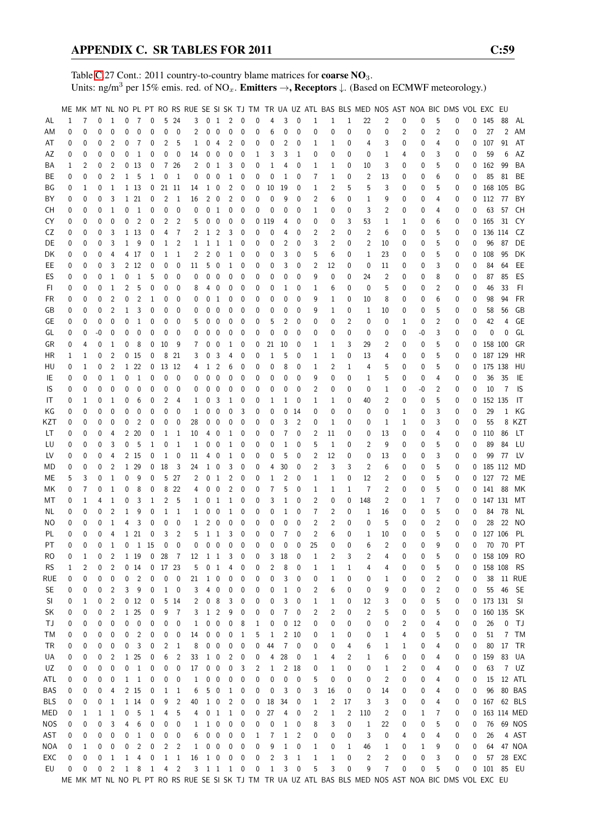Table [C.](#page-2-0)27 Cont.: 2011 country-to-country blame matrices for **coarse NO**<sub>3</sub>. Units: ng/m<sup>3</sup> per 15% emis. red. of NO<sub>x</sub>. **Emitters**  $\rightarrow$ **, Receptors**  $\downarrow$ . (Based on ECMWF meteorology.)

|            |          |          |          |                |              |                 |             |                 |                |                |                                     |                          |                |                         |             |              |              |                |                |                |                | ME MK MT NL NO PL PT RO RS RUE SE SI SK TJ TM TR UA UZ ATL BAS BLS MED NOS AST NOA BIC DMS VOL EXC EU |                |                |    |   |   |              |              |                |             |
|------------|----------|----------|----------|----------------|--------------|-----------------|-------------|-----------------|----------------|----------------|-------------------------------------|--------------------------|----------------|-------------------------|-------------|--------------|--------------|----------------|----------------|----------------|----------------|-------------------------------------------------------------------------------------------------------|----------------|----------------|----|---|---|--------------|--------------|----------------|-------------|
| AL         | 1        | 7        | 0        | 1              | 0            | 7               | 0           |                 | 5 24           | 3              |                                     | 0 <sub>1</sub>           | $\overline{2}$ | $\mathbf 0$             | $\mathbf 0$ | 4            | 3            | 0              | $\mathbf{1}$   | 1              | 1              | 22                                                                                                    | 2              | 0              | 0  | 5 | 0 |              | $0$ 145      | 88             | AL          |
|            |          |          |          |                |              |                 |             |                 |                |                |                                     |                          |                |                         |             |              |              |                |                |                | $\mathbf 0$    |                                                                                                       |                |                |    |   |   |              |              | $\overline{2}$ |             |
| ΑM         | 0        | 0        | 0        | $\mathbf{0}$   | 0            | 0               | 0           | 0               | $\mathbf{0}$   | $\overline{c}$ | 0                                   | $\mathbf 0$              | $\pmb{0}$      | $\mathbf 0$             | 0           | 6            | 0            | $\mathbf 0$    | 0              | 0              |                | 0                                                                                                     | 0              | $\overline{c}$ | 0  | 2 | 0 | 0            | 27           |                | AM          |
| AT         | 0        | 0        | 0        | 2              | 0            | 7               | 0           | 2               | 5              | 1              | 0                                   | $\overline{4}$           | 2              | 0                       | 0           | 0            | 2            | 0              | 1              | 1              | 0              | 4                                                                                                     | 3              | 0              | 0  | 4 | 0 | 0            | 107          | 91             | AT          |
| AΖ         | 0        | 0        | 0        | 0              | 0            | $\mathbf{1}$    | 0           | 0               | 0              | 14             | 0                                   | $\overline{\mathbf{0}}$  | 0              | $\mathbf 0$             | 1           | 3            | 3            | 1              | 0              | 0              | 0              | 0                                                                                                     | $\mathbf{1}$   | 4              | 0  | 3 | 0 | 0            | 59           | 6              | AZ          |
| ΒA         | 1        | 2        | 0        | $\overline{2}$ |              | 0 <sub>13</sub> | 0           |                 | 7 26           | 2              |                                     | 0 <sub>1</sub>           | 3              | 0                       | 0           | 1            | 4            | 0              | 1              | 1              | 0              | 10                                                                                                    | 3              | 0              | 0  | 5 | 0 | 0            | 162          | 99             | BA          |
| BE         | 0        | 0        | 0        | $\overline{2}$ |              | 1 <sub>5</sub>  | 1           | 0               | - 1            | 0              | 0                                   | $\overline{0}$           | $\mathbf{1}$   | 0                       | 0           | 0            | 1            | 0              | 7              | 1              | 0              | 2                                                                                                     | 13             | 0              | 0  | 6 | 0 | 0            | 85           | 81             | BE          |
| ΒG         | 0        | 1        | 0        | 1              |              | 1 13            | 0           | 21 11           |                | 14             | 1                                   | 0                        | 2              | 0                       | 0           | 10           | 19           | 0              | 1              | 2              | 5              | 5                                                                                                     | 3              | 0              | 0  | 5 | 0 | 0            | 168 105      |                | ΒG          |
| BY         | 0        | 0        | 0        | 3              |              | 1 21            | 0           | 2               | -1             | 16             |                                     | $2\quad 0$               | 2              | $\mathbf 0$             | 0           | 0            | 9            | 0              | 2              | 6              | 0              | 1                                                                                                     | 9              | 0              | 0  | 4 | 0 | 0            | 112 77       |                | BY          |
| CН         | 0        | 0        | 0        | $\overline{1}$ | 0            | $\mathbf{1}$    | 0           | 0               | 0              | 0              | 0                                   | $\mathbf{1}$             | $\pmb{0}$      | 0                       | 0           | 0            | $\mathbf 0$  | 0              | 1              | 0              | 0              | 3                                                                                                     | 2              | 0              | 0  | 4 | 0 | 0            | 63           | 57             | CH          |
| CY         | 0        | 0        | 0        | $\mathbf{0}$   | 0            | 2               | 0           | 2               | 2              | 5              | 0                                   | $\mathbf 0$              | 0              | 0                       |             | 0119         | 4            | 0              | 0              | 0              | 3              | 53                                                                                                    | 1              | 1              | 0  | 6 | 0 | 0            | 165          | 31             | CY          |
| CZ         | 0        | 0        | 0        | 3              |              | 1 13            | 0           | 4               | 7              | 2              | 1                                   | 2                        | 3              | 0                       | 0           | 0            | 4            | 0              | 2              | 2              | 0              | 2                                                                                                     | 6              | 0              | 0  | 5 | 0 | $\mathbf{0}$ | 136 114      |                | CZ          |
| DE         | 0        | 0        | 0        | 3              | 1            | 9               | 0           | $\mathbf{1}$    | 2              | 1              |                                     | $1\quad1$                | $\mathbf{1}$   | 0                       | 0           | 0            | 2            | 0              | 3              | 2              | 0              | 2                                                                                                     | 10             | 0              | 0  | 5 | 0 | 0            | 96           | - 87           | DE          |
| DK         | 0        | 0        | 0        | 4              |              | 4 17            | 0           | 1               | 1              | 2              | 2                                   | $\overline{\phantom{0}}$ | 1              | 0                       | 0           | 0            | 3            | 0              | 5              | 6              | 0              | 1                                                                                                     | 23             | 0              | 0  | 5 | 0 | 0            | 108          | 95             | DK          |
| EE         | 0        | 0        | 0        | 3              |              | 2 1 2           | 0           | 0               | 0              | 11             | 5                                   | $\overline{\mathbf{0}}$  | 1              | 0                       | 0           | 0            | 3            | 0              | 2              | 12             | 0              | 0                                                                                                     | 11             | 0              | 0  | 3 | 0 | 0            | 84           | 64             | EE          |
|            |          |          |          | $\mathbf{1}$   |              | 1               |             |                 |                |                |                                     | $\mathbf 0$              |                |                         |             |              |              | $\Omega$       |                |                |                |                                                                                                       |                |                |    |   |   |              |              |                | ES          |
| ES         | 0        | 0        | 0        |                | 0            |                 | 5           | 0               | 0              | 0              | 0                                   |                          | 0              | 0                       | 0           | 0            | 0            |                | 9              | 0              | 0              | 24                                                                                                    | 2              | 0              | 0  | 8 | 0 | 0            | 87           | 85             |             |
| FI.        | 0        | 0        | 0        | $\mathbf{1}$   | 2            | 5               | 0           | 0               | $\mathbf 0$    | 8              | 4                                   | 0                        | 0              | 0                       | 0           | 0            | 1            | 0              | 1              | 6              | 0              | 0                                                                                                     | 5              | 0              | 0  | 2 | 0 | 0            | 46           | 33             | FI.         |
| FR         | 0        | 0        | 0        | $\overline{2}$ | 0            | 2               | 1           | 0               | 0              | 0              | 0                                   | -1                       | 0              | 0                       | 0           | 0            | 0            | 0              | 9              | 1              | 0              | 10                                                                                                    | 8              | 0              | 0  | 6 | 0 | 0            | 98           | 94             | FR          |
| GB         | 0        | 0        | 0        | $\overline{2}$ | 1            | 3               | 0           | 0               | 0              | 0              | 0                                   | $\mathbf 0$              | 0              | 0                       | 0           | 0            | 0            | 0              | 9              | 1              | 0              | 1                                                                                                     | 10             | 0              | 0  | 5 | 0 | 0            | 58           | 56             | GB          |
| GЕ         | 0        | 0        | 0        | 0              | 0            | $\mathbf{1}$    | 0           | 0               | 0              | 5              | 0                                   | $\mathbf 0$              | 0              | 0                       | 0           | 5            | 2            | 0              | 0              | 0              | $\overline{2}$ | 0                                                                                                     | 0              | 1              | 0  | 2 | 0 | 0            | 42           | 4              | GE          |
| GL         | 0        | 0        | -0       | 0              | 0            | 0               | 0           | 0               | $\mathbf 0$    | 0              | 0                                   | 0                        | 0              | 0                       | 0           | 0            | 0            | 0              | 0              | 0              | 0              | 0                                                                                                     | 0              | 0              | -0 | 3 | 0 | 0            | 0            | 0              | GL          |
| GR         | 0        | 4        | 0        | 1              | 0            | 8               | 0           | 10              | - 9            | 7              | 0                                   | $\mathbf 0$              | 1              | 0                       | 0           | 21           | 10           | 0              | 1              | 1              | 3              | 29                                                                                                    | 2              | 0              | 0  | 5 | 0 | 0            | 158 100      |                | GR          |
| ΗR         | 1        | 1        | 0        | $\overline{2}$ |              | 0 <sub>15</sub> | 0           |                 | 8 21           | 3              | 0                                   | 3                        | 4              | 0                       | 0           | 1            | 5            | 0              | 1              | 1              | 0              | 13                                                                                                    | 4              | 0              | 0  | 5 | 0 | 0            | 187 129      |                | HR          |
| HU         | 0        | 1        | 0        | 2              |              | 1 22            | 0           | 13 12           |                | 4              | 1                                   | $\overline{2}$           | 6              | 0                       | 0           | 0            | 8            | 0              | 1              | 2              | 1              | 4                                                                                                     | 5              | 0              | 0  | 5 | 0 | 0            | 175 138      |                | HU          |
| IE         | 0        | 0        | 0        | $\mathbf{1}$   | 0            | $\mathbf{1}$    | 0           | 0               | $\mathbf 0$    | 0              | 0                                   | $\overline{\mathbf{0}}$  | 0              | $\mathbf 0$             | 0           | 0            | 0            | 0              | 9              | 0              | 0              | 1                                                                                                     | 5              | 0              | 0  | 4 | 0 | 0            | 36           | 35             | IE          |
| IS         | 0        | 0        | 0        | $\mathbf{0}$   | 0            | $\mathbf 0$     | 0           | 0               | 0              | 0              | 0                                   | $\mathbf 0$              | 0              | 0                       | 0           | 0            | 0            | 0              | 2              | 0              | 0              | 0                                                                                                     | 1              | 0              | -0 | 2 | 0 | $\mathbf 0$  | 10           | 7              | IS          |
| IT         | 0        | 1        | 0        | 1              | 0            | 6               | 0           | 2               | 4              | 1              | 0                                   | 3                        | 1              | 0                       | 0           | 1            | 1            | 0              | 1              | 1              | 0              | 40                                                                                                    | 2              | 0              | 0  | 5 | 0 | 0            | 152 135      |                | IT          |
| ΚG         | 0        | 0        | 0        | 0              | 0            | 0               | 0           | 0               | 0              | 1              | 0                                   | 0                        | 0              | 3                       | 0           | 0            | 0            | 14             | 0              | 0              | 0              | 0                                                                                                     | 0              | 1              | 0  | 3 | 0 | 0            | 29           | 1              | КG          |
|            |          |          |          |                |              |                 |             |                 |                |                |                                     |                          |                |                         |             |              |              |                |                |                |                |                                                                                                       |                |                |    |   |   |              |              |                |             |
| KZT        | 0        | 0        | 0        | 0              | 0            | 2               | 0           | 0               | 0              | 28             |                                     | $0\quad 0$               | 0              | 0                       | 0           | 0            | 3            | 2              | 0              | 1              | 0              | 0                                                                                                     | 1              | 1              | 0  | 3 | 0 | 0            | 55           |                | 8 KZT       |
| LT         | 0        | 0        | 0        | 4              |              | 2 20            | 0           | 1               | -1             | 10             |                                     | $4\quad0$                | 1              | 0                       | 0           | 0            | 7            | 0              | 2              | 11             | 0              | 0                                                                                                     | 13             | 0              | 0  | 4 | 0 | 0            | 110          | 86             | LT.         |
| LU         | 0        | 0        | 0        | 3              | 0            | - 5             | 1           | 0               | -1             | 1              | 0                                   | 0                        | 1              | 0                       | 0           | 0            | 1            | 0              | 5              | 1              | 0              | 2                                                                                                     | 9              | 0              | 0  | 5 | 0 | 0            | 89           | 84             | LU          |
| LV         | 0        | 0        | 0        | 4              |              | 2 15            | 0           | $\mathbf{1}$    | $\mathbf{0}$   | 11             | 4                                   | $\mathbf 0$              | 1              | 0                       | 0           | 0            | 5            | 0              | $\overline{2}$ | 12             | 0              | 0                                                                                                     | 13             | 0              | 0  | 3 | 0 | 0            | 99           | 77             | LV          |
| МD         | 0        | 0        | 0        | $\overline{2}$ |              | 1 29            | 0           | 18              | 3              | 24             |                                     | $1\quad$ 0               | 3              | 0                       | 0           | 4            | 30           | 0              | 2              | 3              | 3              | 2                                                                                                     | 6              | 0              | 0  | 5 | 0 | 0            | 185 112      |                | MD          |
| MЕ         | 5        | 3        | $\Omega$ | 1              | 0            | 9               | 0           | 5               | 27             | 2              | 0                                   | $\mathbf{1}$             | $\overline{c}$ | 0                       | 0           | 1            | 2            | 0              | 1              | 1              | 0              | 12                                                                                                    | 2              | 0              | 0  | 5 | 0 | 0            | 127 72       |                | ME          |
| МK         | 0        | 7        | 0        | 1              | 0            | 8               | 0           | 8               | 22             | 4              | 0                                   | $\mathbf 0$              | $\overline{c}$ | 0                       | 0           | 7            | 5            | $\mathbf 0$    | $\mathbf{1}$   | 1              | $\mathbf{1}$   | $\overline{7}$                                                                                        | 2              | 0              | 0  | 5 | 0 | 0            | 141 88       |                | МK          |
| МT         | 0        | 1        | 4        | 1              | 0            | 3               | 1           | 2               | 5              | 1              | 0                                   | $\overline{1}$           | $\mathbf{1}$   | 0                       | 0           | 3            | 1            | 0              | 2              | 0              | 0              | 148                                                                                                   | 2              | 0              | 1  | 7 | 0 | 0            | 147 131      |                | МT          |
| NL         | 0        | 0        | 0        | 2              | 1            | 9               | 0           | 1               | $\overline{1}$ | 1              | 0                                   | $\mathbf 0$              | 1              | 0                       | 0           | 0            | 1            | 0              | 7              | 2              | 0              | 1                                                                                                     | 16             | 0              | 0  | 5 | 0 | 0            | 84           | - 78           | NL          |
| ΝO         | 0        | 0        | 0        | $\mathbf{1}$   | 4            | 3               | $\mathbf 0$ | 0               | 0              | 1              | 2                                   | $\mathbf 0$              | 0              | 0                       | 0           | 0            | 0            | 0              | 2              | 2              | 0              | 0                                                                                                     | 5              | 0              | 0  | 2 | 0 | 0            | 28           | 22             | NO          |
| PL         | 0        | 0        | 0        | 4              |              | 1 21            | 0           | 3               | 2              | 5              | $\mathbf 1$                         | $\mathbf{1}$             | 3              | $\mathbf 0$             | 0           | 0            | 7            | $\Omega$       | $\overline{2}$ | 6              | 0              | 1                                                                                                     | 10             | 0              | 0  | 5 | 0 | 0            | 127 106      |                | PL          |
| PT.        | $\Omega$ | $\Omega$ | 0        | $\mathbf{1}$   | $\mathbf{0}$ | 1 15            |             | $\mathbf 0$     | $\Omega$       | 0              |                                     | $0\quad 0$               | $\mathbf 0$    | $\mathbf{0}$            | $\mathbf 0$ | 0            | $\Omega$     | $\Omega$       | 25             | $\mathbf{0}$   | $\Omega$       | 6                                                                                                     | $\overline{2}$ | 0              | 0  | q | 0 | 0            |              |                | 70 70 PT    |
| RO         | 0        | 1        | 0        | 2              |              | 1 19            |             | 0 <sub>28</sub> | $\overline{7}$ | 12             | 1 1                                 |                          | $\overline{3}$ | $\overline{\mathbf{0}}$ | 0           | 3            | 18           | 0              | 1              | 2              | 3              | 2                                                                                                     | 4              | 0              | 0  | 5 | 0 |              | 0 158 109 RO |                |             |
| <b>RS</b>  | 1        | 2        | 0        | 2              |              | 014             | 0           | 17 23           |                | 5              | 0                                   | $\mathbf{1}$             | 4              | 0                       | 0           | 2            | 8            | 0              | 1              | 1              | $\mathbf{1}$   | 4                                                                                                     | 4              | 0              | 0  | 5 | 0 | 0            | 158 108      |                | <b>RS</b>   |
| rue        | 0        | 0        |          | 0              | 0            | $\overline{c}$  |             | 0               | 0              | 21             |                                     | $1\quad 0$               |                |                         |             | 0            | 3            | 0              | 0              |                | 0              |                                                                                                       |                |                |    | 2 |   | 0            |              |                | 38 11 RUE   |
|            |          |          | 0        |                |              |                 | 0           |                 |                |                |                                     |                          | 0              | 0                       | 0           |              |              |                |                | $\mathbf 1$    |                | 0                                                                                                     | 1              | 0              | 0  |   | 0 |              |              |                | 55 46 SE    |
| <b>SE</b>  | 0        | 0        | 0        | 2              | 3            | 9               | 0           |                 | $1 \quad 0$    | 3              |                                     | 40                       | 0              | 0                       | 0           | 0            | $\mathbf{1}$ | 0              | 2              | 6              | 0              | 0                                                                                                     | 9              | 0              | 0  | 2 | 0 | 0            |              |                |             |
| SI         | 0        | 1        | 0        | $\overline{2}$ |              | 0 <sub>12</sub> | 0           |                 | 5 14           | 2              |                                     | 0 <sub>8</sub>           | 3              | 0                       | 0           | 0            | 3            | 0              | 1              | 1              | 0              | 12                                                                                                    | 3              | 0              | 0  | 5 | 0 |              | 0 173 131 SI |                |             |
| SK         | 0        | 0        | 0        | $\overline{2}$ |              | 1 25            | 0           | 9               | $\overline{7}$ | 3              |                                     | $1\quad2$                | 9              | 0                       | 0           | 0            | 7            | 0              | 2              | 2              | 0              | $\overline{c}$                                                                                        | 5              | 0              | 0  | 5 | 0 | 0            | 160 135 SK   |                |             |
| ТJ         | 0        | 0        | 0        | 0              | 0            | 0               | 0           | 0               | 0              | 1              |                                     | $0\quad 0$               | 0              | 8                       | 1           | 0            | 0            | 12             | 0              | 0              | 0              | 0                                                                                                     | 0              | 2              | 0  | 4 | 0 | 0            | 26           | 0              | TJ          |
| ТM         | 0        | 0        | 0        | 0              | 0            | $\overline{2}$  | 0           | 0               | 0              | 14             |                                     | $0\quad 0$               | 0              | $\mathbf{1}$            | 5           | 1            | 2            | 10             | 0              | 1              | 0              | 0                                                                                                     | 1              | 4              | 0  | 5 | 0 | 0            | 51           | 7              | TM          |
| TR         | 0        | 0        | 0        | $\mathbf 0$    | 0            | 3               | 0           | $\overline{2}$  | $\overline{1}$ | 8              |                                     | $0\quad 0$               | 0              | $\boldsymbol{0}$        | 0           | 44           | 7            | 0              | 0              | 0              | 4              | 6                                                                                                     | 1              | 1              | 0  | 4 | 0 | 0            | 80           | 17             | TR          |
| UA         | 0        | 0        | 0        | 2              |              | 1 25            | 0           | 6               | $\overline{2}$ | 33             |                                     | $1\quad0$                | 2              | 0                       | 0           | 4            | 28           | 0              | 1              | 4              | 2              | 1                                                                                                     | 6              | 0              | 0  | 4 | 0 | 0            | 159          |                | 83 UA       |
| UZ         | 0        | 0        | 0        | 0              | 0            | $\mathbf{1}$    | 0           | 0               | 0              | 17             |                                     | $0\quad 0$               | 0              | 3                       | 2           | 1            | 2            | 18             | 0              | 1              | 0              | 0                                                                                                     | 1              | 2              | 0  | 4 | 0 | 0            | 63           |                | 7 UZ        |
| ATL        | 0        | 0        | 0        | 0              |              | $1\quad1$       | 0           | 0               | 0              | 1              |                                     | $0\quad 0$               | 0              | 0                       | 0           | 0            | 0            | 0              | 5              | 0              | 0              | 0                                                                                                     | 2              | 0              | 0  | 4 | 0 | 0            | 15           |                | 12 ATL      |
| BAS        | 0        | 0        | 0        | 4              |              | 2 15            | 0           | 1               | $\mathbf{1}$   | 6              |                                     | 5 0                      | 1              | 0                       | 0           | 0            | 3            | 0              | 3              | 16             | 0              | 0                                                                                                     | 14             | 0              | 0  | 4 | 0 | 0            |              |                | 96 80 BAS   |
| <b>BLS</b> | 0        | 0        | 0        | 1              |              | 1 14            | 0           | 9               | 2              | 40             |                                     | $1\quad0$                | 2              | 0                       | 0           | 18           | 34           | 0              | 1              | $\overline{c}$ | 17             | 3                                                                                                     | 3              | 0              | 0  | 4 | 0 | 0            |              |                | 167 62 BLS  |
| MED        | 0        | 1        | 1        | 1              | 0            | 5               | 1           | 4               | 5              | 4              |                                     | 0 <sub>1</sub>           | $\,1\,$        | $\boldsymbol{0}$        | 0           | 27           | 4            | 0              | 2              | 1              | 2              | 110                                                                                                   | 2              | 0              | 1  | 7 | 0 | 0            |              |                | 163 114 MED |
| <b>NOS</b> | 0        |          | 0        | 3              | 4            | 6               | 0           | 0               | $\mathbf 0$    |                |                                     | $1\quad0$                | 0              | $\boldsymbol{0}$        | 0           | 0            | 1            | 0              | 8              | 3              | 0              | $\mathbf{1}$                                                                                          | 22             | 0              |    | 5 | 0 | 0            |              |                | 76 69 NOS   |
|            |          | 0        |          |                |              |                 |             |                 |                | 1              |                                     |                          |                |                         |             |              |              |                |                |                |                |                                                                                                       |                |                | 0  |   |   |              |              |                |             |
| AST        | 0        | 0        | 0        | 0              | 0            | $\mathbf{1}$    | 0           | 0               | 0              | 6              | 0                                   | $\overline{\phantom{0}}$ | 0              | 0                       | 1           | 7            | $\mathbf{1}$ | $\overline{2}$ | 0              | 0              | 0              | 3                                                                                                     | 0              | 4              | 0  | 4 | 0 | 0            | 26           |                | 4 AST       |
| NOA        | 0        | 1        | 0        | 0              | 0            | 2               | 0           | 2               | $\overline{2}$ | 1              |                                     | $0\quad 0$               | 0              | 0                       | 0           | 9            | $\mathbf{1}$ | 0              | 1              | 0              | 1              | 46                                                                                                    | 1              | 0              | 1  | 9 | 0 | 0            | 64           |                | 47 NOA      |
| EXC        | 0        | 0        | 0        | $\mathbf{1}$   | $\mathbf 1$  | $\overline{4}$  | 0           | $\mathbf{1}$    | $\mathbf{1}$   | 16             |                                     | $1\quad 0$               | 0              | $\boldsymbol{0}$        | 0           | 2            | 3            | 1              | $\mathbf{1}$   | 1              | $\pmb{0}$      | $\overline{c}$                                                                                        | $\overline{c}$ | 0              | 0  | 3 | 0 | 0            |              |                | 57 28 EXC   |
| EU         | 0        | 0        | 0        | $\overline{2}$ |              | $1 \quad 8$     | <b>1</b>    |                 | 4 <sup>2</sup> |                | $3 \quad 1 \quad 1 \quad 1 \quad 0$ |                          |                |                         | $\mathbf 0$ | $\mathbf{1}$ | 3            | 0              | 5              | 3              | $\pmb{0}$      | 9                                                                                                     | 7              | 0              | 0  | 5 | 0 |              | 0 101 85 EU  |                |             |
|            |          |          |          |                |              |                 |             |                 |                |                |                                     |                          |                |                         |             |              |              |                |                |                |                | ME MK MT NL NO PL PT RO RS RUE SE SI SK TJ TM TR UA UZ ATL BAS BLS MED NOS AST NOA BIC DMS VOL EXC EU |                |                |    |   |   |              |              |                |             |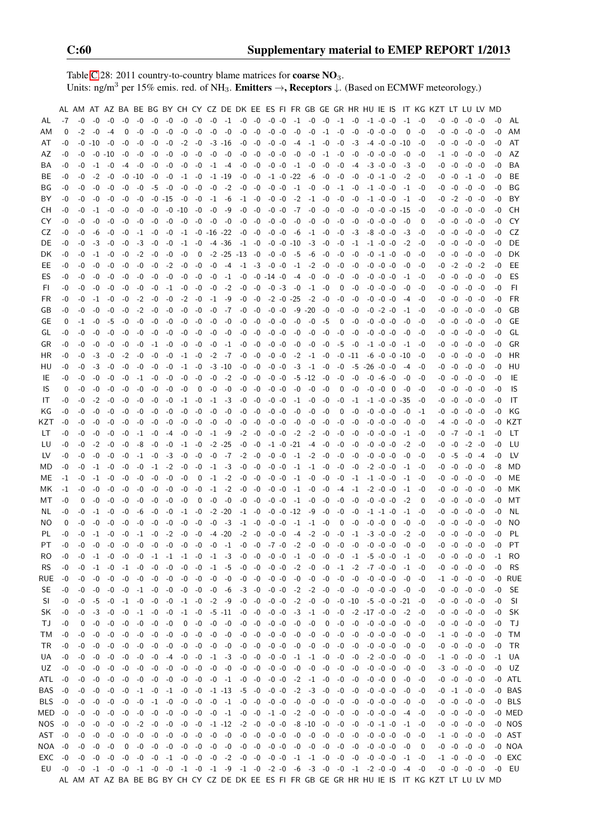Table [C.](#page-2-0)28: 2011 country-to-country blame matrices for **coarse NO**<sub>3</sub>. Units: ng/m<sup>3</sup> per 15% emis. red. of NH<sub>3</sub>. **Emitters**  $\rightarrow$ **, Receptors**  $\downarrow$ . (Based on ECMWF meteorology.)

|           |          | AL AM AT AZ BA BE BG BY CH CY CZ DE DK EE ES FI FR GB GE GR HR HU IE IS |            |          |          |                |                               |           |                |                      |      |                    |                                                        |                                    |           |                                 |                |      |          |            |                                                                                                                              |                                  |                          |                      |                           | IT KG KZT LT LU LV MD                                                                         |                   |                     |                 |          |           |
|-----------|----------|-------------------------------------------------------------------------|------------|----------|----------|----------------|-------------------------------|-----------|----------------|----------------------|------|--------------------|--------------------------------------------------------|------------------------------------|-----------|---------------------------------|----------------|------|----------|------------|------------------------------------------------------------------------------------------------------------------------------|----------------------------------|--------------------------|----------------------|---------------------------|-----------------------------------------------------------------------------------------------|-------------------|---------------------|-----------------|----------|-----------|
| AL.       | $-7$     | -0                                                                      | -0         | -0       | -0       | $-0$           | -0                            | -0        | -0             | $-0$                 |      |                    | $-0$ $-1$ $-0$ $-0$                                    |                                    | $-0$ $-0$ | $-1$ $-0$ $-0$ $-1$ $-0$        |                |      |          |            | $-1$ $-0$ $-0$                                                                                                               |                                  |                          | $-1$                 | -0                        |                                                                                               | $-0 - 0$          | -0                  | -0              | -0       | AL        |
| AM        | 0        | $-2$                                                                    | -0         | -4       | 0        | $-0$           | -0                            | -0        | $-0$           | $-0$                 | $-0$ | -0                 | -0                                                     | -0                                 | $-0 -0$   | -0                              | -0             | $-1$ | $-0$     | $-0$       |                                                                                                                              | $-0 - 0 - 0$                     |                          | 0                    | -0                        | -0                                                                                            | $-0$              | -0                  | -0              | $-0$     | AM        |
| AT        | -0       |                                                                         | -0 -10     | $-0$     | -0       | -0             | -0                            | -0        | $-2$           | $-0$                 |      | $-3 - 16$          |                                                        | $-0 - 0$                           | $-0 -0$   | -4                              | -1             | -0   | $-0$     | $-3$       |                                                                                                                              | -4 -0 -0 -10                     |                          |                      | -0                        |                                                                                               | -0 -0             |                     | -0 -0           | -0       | AT        |
| AZ        | -0       | -0                                                                      | -0         | -10      | -0       | -0             | -0                            | $-0$      | -0             | -0                   | -0   | -0                 | -0                                                     | -0                                 | $-0 -0$   | -0                              | $-0$           | $-1$ | -0       | -0         |                                                                                                                              | $-0$ $-0$ $-0$                   |                          | -0                   | -0                        |                                                                                               | -1 -0             | -0                  | -0              | -0       | AZ        |
| BA        | -0       | -0                                                                      | -1         | -0       | -4       | -0             | -0                            | -0        | -0             | -0                   | $-1$ | $-4$               | -0                                                     | -0                                 | $-0 -0$   | $-1$                            | $-0$           | $-0$ | $-0$     | -4         |                                                                                                                              | $-3 - 0 - 0$                     |                          | -3                   | -0                        | -0                                                                                            | -0                | -0                  | -0              | -0       | BA        |
| BE        | -0       | -0                                                                      | $-2$       | -0       | -0       | -10            | -0                            | -0        | $-1$           | -0                   |      | $-1$ $-19$         | -0                                                     | $-0$                               |           | $-1$ $-0$ $-22$                 | -6             | -0   | -0       | -0         |                                                                                                                              | $-0 -1 -0$                       |                          | $-2$                 | -0                        | -0                                                                                            | -0                |                     | -1 -0           | -0       | BE        |
| BG.       | -0       | -0                                                                      | -0         | -0       | -0       | -0             | -5                            | -0        | -0             | $-0$                 | $-0$ | $-2$               |                                                        | $-0 - 0$                           | $-0 -0$   | $-1$                            | -0             | $-0$ | -1       | $-0$       |                                                                                                                              | $-1$ $-0$ $-0$                   |                          | $-1$                 | -0                        |                                                                                               | -0 -0             |                     | $-0 - 0$        | -0       | BG        |
| ΒY        | -0       | -0                                                                      | -0         | -0       | -0       | -0             |                               | -0 -15    | -0             | -0                   |      | $-1$ $-6$          |                                                        | $-1$ $-0$                          | $-0$ $-0$ | $-2$                            | $-1$ $-0$      |      | -0       | -0         |                                                                                                                              | $-1$ $-0$ $-0$                   |                          | -1                   | -0                        |                                                                                               | $-0$ $-2$         |                     | -0 -0           | -0       | BY        |
| CH.       | -0       | -0                                                                      | $-1$       | -0       | -0       | -0             | -0                            |           | -0 -10         | $-0$                 | $-0$ | -9                 | $-0$                                                   | -0                                 | $-0 - 0$  |                                 | $-7 - 0$       | $-0$ | -0       | -0         |                                                                                                                              | $-0$ $-0$ $-0$ $-15$             |                          |                      | -0                        |                                                                                               | -0 -0             |                     | $-0 - 0$        | -0       | CН        |
| CY        | -0       | -0                                                                      | -0         | -0       | -0       | -0             | -0                            | -0        | -0             | -0                   | -0   | $-0$               | -0                                                     | $-0$                               | $-0 -0$   | -0                              | -0             | -0   | -0       | -0         |                                                                                                                              | $-0$ $-0$ $-0$                   |                          | -0                   | $\Omega$                  | -0                                                                                            | -0                |                     | -0 -0           | -0       | CY.       |
| CZ        | -0       | -0                                                                      | -6         | -0       | -0       | -1             | -0                            | -0        | $-1$           |                      |      | $-0$ $-16$ $-22$   |                                                        | -0 -0                              | $-0 -0$   | -6                              | -1             | $-0$ | -0       | $-3$       |                                                                                                                              | $-8$ $-0$ $-0$                   |                          | -3                   | -0                        |                                                                                               | -0 -0             |                     | -0 -0           | -0       | CZ        |
| DE        | -0       | -0                                                                      | -3         | -0       | -0       | -3             | -0                            | -0        | $-1$           | -0                   |      | $-4$ $-36$         |                                                        | $-1$ $-0$                          |           | -0 -0 -10                       | -3             | -0   | -0       | $-1$       |                                                                                                                              | $-1$ $-0$ $-0$                   |                          | $-2$                 | -0                        |                                                                                               | -0 -0             |                     | $-0$ $-0$       | -0       | DE        |
| DK.       | -0       | -0                                                                      | -1         | -0       | -0       | $-2$           | -0                            | -0        | -0             | 0                    |      |                    | $-2$ $-25$ $-13$ $-0$                                  |                                    | $-0 -0$   | -5                              | -6             | -0   | -0       | -0         |                                                                                                                              | $-0 -1 -0$                       |                          | -0                   | -0                        | -0                                                                                            | -0                | -0                  | -0              | -0       | DK        |
| EE        | -0       | -0                                                                      | -0         | -0       | -0       | -0             | -0                            | $-2$      | -0             | -0                   | $-0$ | -4                 |                                                        | $-1$ $-3$ $-0$ $-0$                |           | $-1$                            | $-2$           | -0   | -0       | -0         |                                                                                                                              | $-0$ $-0$ $-0$                   |                          | -0                   | -0                        | -0                                                                                            | $-2$              | -0                  | $-2$            | -0       | EE        |
| ES        | -0       | -0                                                                      | -0         | $-0$     | -0       | -0             | -0                            | -0        | -0             | -0                   | -0   | $-1$               |                                                        | $-0$ $-0$ $-14$ $-0$               |           | -4                              | -0             | -0   | -0       | -0         |                                                                                                                              | $-0$ $-0$ $-0$                   |                          | $-1$                 | -0                        |                                                                                               | $-0 - 0$          | -0                  | -0              | -0       | ES        |
| FI.       | -0       | -0                                                                      | -0         | -0       | -0       | -0             | -0                            | $-1$      | -0             | $-0$                 | -0   | $-2$               | $-0$                                                   | $-0$                               | $-0$ $-3$ | -0                              | $-1$ $-0$      |      | 0        | -0         |                                                                                                                              | $-0$ $-0$ $-0$                   |                          | -0                   | -0                        |                                                                                               | -0 -0             | -0                  | -0              | -0       | FI.       |
| FR.       | -0       | -0                                                                      | -1         | -0       | -0       | $-2$           | -0                            | -0        | $-2$           | $-0$                 | $-1$ | -9                 | -0                                                     | $-0$                               |           | $-2$ $-0$ $-25$                 | $-2$           | -0   | -0       | -0         |                                                                                                                              | $-0$ $-0$ $-0$                   |                          | -4                   | -0                        |                                                                                               | -0 -0             | -0                  | -0              | -0       | <b>FR</b> |
| GB        | -0       | -0                                                                      | -0         | -0       | -0       | $-2$           | -0                            | -0        | -0             | $-0$                 | $-0$ | $-7$               |                                                        | $-0 - 0$                           | $-0 -0$   |                                 | $-9 - 20$      | -0   | $-0$     | -0         |                                                                                                                              | $-0$ $-2$ $-0$                   |                          | -1                   | -0                        |                                                                                               | -0 -0             |                     | $-0 - 0$        | -0       | GB        |
| GE        | 0        | $-1$                                                                    | -0         | -5       | -0       | -0             | -0                            | -0        | -0             | -0                   | -0   | -0                 |                                                        | $-0 - 0$                           | $-0 -0$   | -0                              | -0             | -5   | 0        | -0         |                                                                                                                              | $-0$ $-0$ $-0$                   |                          | -0                   | -0                        |                                                                                               | -0 -0             | -0 -0               |                 | -0       | GЕ        |
| GL        | -0       | -0                                                                      | -0         | -0       | -0       | -0             | -0                            | -0        | -0             | -0                   | -0   | -0                 |                                                        | $-0 - 0$                           | $-0 -0$   | -0                              | -0             | -0   | -0       | -0         |                                                                                                                              | $-0$ $-0$ $-0$                   |                          | -0                   | -0                        |                                                                                               | -0 -0             | -0                  | -0              | -0       | GL        |
| GR        | -0       | -0                                                                      | -0         | -0       | -0       | -0             | $-1$                          | -0        | -0             | $-0$                 | $-0$ | $-1$               | -0                                                     | -0                                 | $-0 -0$   | -0                              | -0             | -0   | -5       | $-0$       |                                                                                                                              | $-1$ $-0$ $-0$                   |                          | -1                   | -0                        |                                                                                               | $-0 - 0$          | -0                  | -0              | -0       | GR        |
| HR        | -0       | -0                                                                      | -3         | -0       | $-2$     | -0             | -0                            | -0        | $-1$           | -0                   | $-2$ | $-7$               |                                                        | $-0 - 0$                           | $-0 -0$   | $-2$                            | $-1$           | -0   |          | $-0$ $-11$ |                                                                                                                              |                                  |                          | $-6$ $-0$ $-0$ $-10$ | -0                        |                                                                                               | $-0 - 0$          |                     | $-0 - 0$        | -0       | HR        |
| HU        | -0       | -0                                                                      | -3         | -0       | -0       | -0             | -0                            | -0        | $-1$           | -0                   |      | $-3 - 10$          | -0                                                     | -0                                 | $-0$ $-0$ | -3                              | $-1$           | $-0$ | -0       |            | $-5$ $-26$ $-0$ $-0$                                                                                                         |                                  |                          | -4                   | -0                        |                                                                                               | -0 -0             |                     | $-0 - 0$        | -0       | HU        |
| IE        | -0       | -0                                                                      | -0         | -0       | -0       | -1             | -0                            | $-0$      | -0             | $-0$                 |      | $-0$ $-2$          |                                                        | $-0 - 0$                           | $-0$ $-0$ |                                 | $-5 - 12$      | $-0$ | -0       | -0         | $-0$ $-6$ $-0$                                                                                                               |                                  |                          | $-0$                 | -0                        |                                                                                               | -0 -0             |                     | $-0 - 0$        | -0       | IE        |
| IS        | 0        | -0                                                                      | -0         | -0       | -0       | -0             | -0                            | -0        | -0             | 0                    | -0   | -0                 | $-0$                                                   | -0                                 | $-0 -0$   | -0                              | -0             | -0   | 0        | -0         | $-0 - 0$                                                                                                                     |                                  | $\overline{\phantom{0}}$ | -0                   | -0                        |                                                                                               | -0 -0             |                     | $-0 -0$         | -0       | IS.       |
| IT        | -0       | -0                                                                      | -2         | -0       | -0       | -0             | -0                            | -0        | $-1$           | -0                   | $-1$ | -3                 |                                                        | $-0 - 0$                           | $-0 -0$   |                                 | $-1$ $-0$      | -0   | -0       | $-1$       |                                                                                                                              | $-1$ $-0$ $-0$ $-35$             |                          |                      | -0                        |                                                                                               | $-0 - 0$          |                     | $-0 - 0$        | -0       | IT        |
| KG.       | -0       | -0                                                                      | -0         | -0       | -0       | -0             | -0                            | -0        | -0             | -0                   | -0   | -0                 |                                                        | $-0 - 0$                           | $-0$ $-0$ | -0                              | -0             | -0   | 0        | -0         |                                                                                                                              | $-0$ $-0$ $-0$                   |                          | -0                   | -1                        |                                                                                               | -0 -0             | -0 -0               |                 | -0       | ΚG        |
| KZT       | -0       | -0                                                                      | -0         | -0       | -0       | -0             | -0                            | $-0$      | -0             | -0                   | -0   | -0                 |                                                        | $-0 - 0$                           | $-0 - 0$  | -0                              | -0             | -0   | -0       | -0         |                                                                                                                              | $-0$ $-0$ $-0$                   |                          | -0                   | -0                        |                                                                                               | -4 -0             |                     | $-0$ $-0$       | -0       | KZT       |
| LТ        | -0       | -0                                                                      | -0<br>$-2$ | -0       | -0       | $-1$           | -0                            | $-4$      | -0             | $-0$                 | $-1$ | -9                 |                                                        | $-2 - 0$                           | $-0 - 0$  | $-2$                            | -2             | -0   | -0       | -0         |                                                                                                                              | $-0$ $-0$ $-0$                   |                          | $-1$<br>$-2$         | -0                        |                                                                                               | -0 -7<br>$-0 - 0$ | -0                  | -1              | -0       | LT<br>LU  |
| LU<br>LV. | -0<br>-0 | -0<br>-0                                                                | -0         | -0<br>-0 | -0<br>-0 | -8<br>$-1$     | -0<br>-0                      | -0<br>-3  | $-1$<br>-0     | -0<br>-0             |      | $-2 - 25$<br>-0 -7 |                                                        | $-0 - 0$<br>$-2 - 0$               | $-0 - 0$  | $-1$ $-0$ $-21$ $-4$ $-0$<br>-1 | $-2$           | $-0$ | -0<br>-0 | -0<br>-0   |                                                                                                                              | $-0$ $-0$ $-0$<br>$-0$ $-0$ $-0$ |                          | -0                   | -0<br>-0                  |                                                                                               | $-0 -5$           | $-2$                | -0<br>$-0$ $-4$ | -0<br>-0 | LV        |
| MD        | -0       | -0                                                                      | $-1$       | -0       | -0       | -0             |                               | $-1$ $-2$ | $-0$           | -0                   |      | $-1$ $-3$          |                                                        | $-0 - 0$                           | $-0$ $-0$ |                                 | $-1$ $-1$ $-0$ |      | -0       | -0         |                                                                                                                              | $-2$ $-0$ $-0$                   |                          | $-1$                 | -0                        |                                                                                               | -0 -0             |                     | $-0$ $-0$       | -8       | MD        |
| ME        | -1       | -0                                                                      | $-1$       | -0       | -0       | -0             | -0                            | -0        | -0             | 0                    | $-1$ | $-2$               | $-0$                                                   | -0                                 | $-0 -0$   | $-1$                            | -0             | $-0$ | -0       | $-1$       |                                                                                                                              | $-1$ $-0$ $-0$                   |                          | $-1$                 | $-0$                      |                                                                                               | -0 -0             | -0                  | -0              | -0       | ME        |
| MK.       | -1       | -0                                                                      | -0         | -0       | -0       | -0             | -0                            | -0        | -0             | $-0$                 | $-1$ | $-2$               |                                                        | $-0 - 0$                           | $-0 -0$   | $-1$                            | $-0$           | -0   | -4       | $-1$       |                                                                                                                              | $-2 - 0 - 0$                     |                          | $-1$                 | -0                        | -0                                                                                            | -0                |                     | $-0 - 0$        | -0       | МK        |
| MТ        | -0       | 0                                                                       | -0         | -0       | -0       | -0             | -0                            | -0        | -0             | 0                    | -0   | -0                 |                                                        | $-0 - 0$                           | $-0$ $-0$ | $-1$                            | -0             | -0   | -0       | $-0$       |                                                                                                                              | $-0$ $-0$ $-0$                   |                          | -2                   | 0                         | -0                                                                                            | -0                | -0                  | -0              | -0       | МT        |
| NL        | -0       | -0                                                                      | -1         | -0       | -0       | -6             | -0                            | -0        | $-1$           | $-0$                 |      | $-2 - 20$          |                                                        | $-1 - 0$                           |           | $-0$ $-0$ $-12$                 | -9             | -0   | -0       | -0         |                                                                                                                              | $-1$ $-1$ $-0$                   |                          | $-1$                 | -0                        | -0                                                                                            | -0                | -0                  | -0              | -0       | NL        |
| NO.       | 0        | -0                                                                      | -0         | -0       | -0       | -0             | -0                            | -0        | -0             | -0                   | -0   | -3                 | -1                                                     | $-0$                               | $-0 -0$   | -1                              | $-1$           | -0   | 0        | -0         | $-0 - 0$                                                                                                                     |                                  | - 0                      | -0                   | -0                        | -0                                                                                            | -0                | -0                  | -0              | -0       | NO.       |
| PL        | -0       | -0                                                                      | $-1$       | -0       | -0       | -1             | -0                            | $-2$      | $-0$           | $-0$                 |      | $-4$ $-20$         |                                                        | $-2 - 0$                           | $-0 -0$   | -4                              | $-2$           | -0   | -0       | $-1$       |                                                                                                                              | $-3 - 0 - 0$                     |                          | $-2$                 | -0                        | -0                                                                                            | $-0$              | -0                  | -0              | $-0$     | PL        |
| PT.       | -0       | $-0$                                                                    | -0         | -0       | -0       | $-0$           | -0                            | $-0$      | $-0$ $-0$      |                      |      | $-0 -1$            | $-0$ $-0$                                              |                                    | $-7 - 0$  | $-2$ $-0$ $-0$                  |                |      | $-0$     | -0         | $-0$ $-0$ $-0$                                                                                                               |                                  |                          | -0                   | -0                        |                                                                                               | $-0 - 0$          | $-0$ $-0$           |                 | $-0$     | PT        |
| RO.       | -0       | -0                                                                      |            |          |          |                |                               |           |                |                      |      |                    |                                                        |                                    |           |                                 |                |      |          |            | $-1$ $-0$ $-0$ $-1$ $-1$ $-1$ $-0$ $-1$ $-3$ $-0$ $-0$ $-0$ $-1$ $-0$ $-0$ $-0$ $-1$ $-5$ $-0$ $-0$ $-1$ $-0$                |                                  |                          |                      |                           |                                                                                               |                   | $-0$ $-0$ $-0$ $-0$ |                 | $-1$     | RO        |
| RS.       | -0       | -0                                                                      |            |          |          |                | $-1$ $-0$ $-1$ $-0$ $-0$ $-0$ |           |                | $-0 - 0$             |      |                    |                                                        |                                    |           |                                 |                |      |          |            | $-1$ $-5$ $-0$ $-0$ $-0$ $-0$ $-2$ $-0$ $-0$ $-1$ $-2$ $-7$ $-0$ $-0$ $-1$ $-0$                                              |                                  |                          |                      |                           |                                                                                               |                   | $-0$ $-0$ $-0$ $-0$ |                 | $-0$     | <b>RS</b> |
| RUE       | -0       | -0                                                                      | $-0$       | $-0$     |          |                | $-0$ $-0$ $-0$ $-0$           |           |                | $-0 - 0$             |      |                    |                                                        |                                    |           |                                 |                |      |          |            |                                                                                                                              |                                  |                          |                      |                           |                                                                                               |                   | $-1$ $-0$ $-0$ $-0$ |                 |          | -0 RUE    |
| SE.       | $-0$     | -0                                                                      | -0         | -0       |          | $-0$ $-1$ $-0$ |                               | -0        |                | $-0 - 0$             |      | $-0$ $-6$          |                                                        | $-3$ $-0$ $-0$ $-0$ $-2$ $-2$ $-0$ |           |                                 |                |      |          |            | -0 -0 -0 -0 -0 -0 -0                                                                                                         |                                  |                          |                      |                           |                                                                                               | $-0 - 0$          | $-0$ $-0$           |                 | $-0$     | SE        |
| SI.       | -0       | -0                                                                      | -5         | $-0$     | $-1$     | $-0$           | $-0$                          | $-0$      |                | $-1 - 0$             |      | $-2 -9$            |                                                        | $-0 - 0$                           | $-0$ $-0$ |                                 | $-2 - 0$       | $-0$ |          | $-0 - 10$  |                                                                                                                              |                                  |                          |                      | $-5$ $-0$ $-0$ $-21$ $-0$ |                                                                                               | $-0 - 0$          |                     | $-0 -0$         | $-0$     | SI        |
| SK        | $-0$     | -0                                                                      | $-3$       | $-0$     | $-0$     | $-1$           | $-0$                          | $-0$      |                | $-1 - 0$             |      | $-5 - 11$          |                                                        | $-0 - 0$                           | $-0 - 0$  |                                 | $-3 -1 -0$     |      | $-0$     |            | $-2$ $-17$ $-0$ $-0$                                                                                                         |                                  |                          |                      | $-2 - 0$                  |                                                                                               | $-0 - 0$          |                     | $-0 - 0$        | $-0$     | SK        |
| ТJ        | -0       | 0                                                                       | -0         | -0       | $-0$     | $-0$           | $-0$                          | -0        |                | $0 - 0$              |      | $-0 - 0$           |                                                        | $-0$ $-0$ $-0$ $-0$                |           | $-0 - 0$                        |                | 0    | $-0$     |            | $-0$ $-0$ $-0$ $-0$ $-0$ $-0$                                                                                                |                                  |                          |                      |                           |                                                                                               | $-0 - 0$          | $-0 - 0$            |                 | $-0$     | TJ        |
| TM        | $-0$     | -0                                                                      | $-0$       | -0       | $-0$     | $-0$           | $-0$                          | -0        |                | $-0 - 0$             |      | $-0 - 0$           |                                                        | $-0$ $-0$ $-0$ $-0$                |           | $-0 - 0$                        |                | $-0$ | $-0$     |            | $-0$ $-0$ $-0$ $-0$                                                                                                          |                                  |                          |                      | $-0$ $-0$                 |                                                                                               |                   | $-1$ $-0$ $-0$ $-0$ |                 | $-0$     | TM        |
| TR .      | -0       | $-0$                                                                    | $-0$       | -0       | -0       | $-0$           | $-0$                          | $-0$      |                | $-0 - 0$             |      |                    | $-0$ $-0$ $-0$ $-0$ $-0$ $-0$                          |                                    |           | $-0$ $-0$ $-0$                  |                |      | $-0$     | $-0$       | $-0$ $-0$ $-0$                                                                                                               |                                  |                          |                      | -0 -0                     |                                                                                               |                   | $-0$ $-0$ $-0$ $-0$ |                 |          | -0 TR     |
| UA        | -0       | -0                                                                      | $-0$       | -0       | -0       | $-0$           |                               |           |                |                      |      |                    | $-0$ $-4$ $-0$ $-0$ $-1$ $-3$ $-0$ $-0$ $-0$ $-0$      |                                    |           |                                 |                |      |          |            | $-1$ $-1$ $-0$ $-0$ $-0$ $-2$ $-0$ $-0$                                                                                      |                                  |                          |                      | -0 -0                     |                                                                                               |                   | $-1$ $-0$ $-0$ $-0$ |                 |          | -1 UA     |
| UZ        | $-0$     | $-0$                                                                    | -0         | -0       | -0       | $-0$           | -0 -0                         |           |                |                      |      |                    | $-0$ $-0$ $-0$ $-0$ $-0$ $-0$ $-0$ $-0$                |                                    |           | -0 -0 -0 -0 -0                  |                |      |          |            | -0 -0 -0 -0 -0                                                                                                               |                                  |                          |                      |                           |                                                                                               |                   | $-3$ $-0$ $-0$ $-0$ |                 |          | -0 UZ     |
| ATL -0    |          | -0                                                                      | $-0$       | -0       | -0       | $-0$           | $-0$                          | -0        |                |                      |      |                    | $-0$ $-0$ $-0$ $-1$ $-0$ $-0$ $-0$ $-0$ $-2$ $-1$ $-0$ |                                    |           |                                 |                |      | $-0 - 0$ |            | $-0$ $-0$ 0                                                                                                                  |                                  |                          |                      | $-0$ $-0$                 |                                                                                               |                   | $-0$ $-0$ $-0$ $-0$ |                 |          | -0 ATL    |
| BAS       | $-0$     | -0                                                                      | $-0$       | $-0$     | $-0$     | $-1$           | $-0$                          | $-1$      |                | $-0$ $-0$ $-1$ $-13$ |      |                    |                                                        | $-5$ $-0$ $-0$ $-0$                |           |                                 | $-2$ $-3$ $-0$ |      | $-0$     | -0         |                                                                                                                              | $-0 - 0 - 0$                     |                          |                      | $-0$ $-0$                 |                                                                                               | $-0$ $-1$         | $-0$ $-0$           |                 |          | -0 BAS    |
| BLS -0    |          | $-0$                                                                    | $-0$       | $-0$     | $-0$     | $-0$           |                               | $-1$ $-0$ |                | $-0 - 0$             |      |                    | $-0$ $-1$ $-0$ $-0$ $-0$ $-0$ $-0$ $-0$ $-0$           |                                    |           |                                 |                |      | $-0$     | -0         | $-0$ $-0$ $-0$                                                                                                               |                                  |                          |                      | $-0 - 0$                  |                                                                                               | $-0 - 0$          | $-0 - 0$            |                 |          | $-0$ BLS  |
| MED -0    |          | -0                                                                      | $-0$       | -0       | -0       | $-0$           | -0                            | $-0$      | $-0 - 0$       |                      |      |                    | $-0$ $-1$ $-0$ $-0$ $-1$ $-0$ $-2$ $-0$ $-0$           |                                    |           |                                 |                |      | $-0$     | -0         | $-0$ $-0$ $-0$                                                                                                               |                                  |                          |                      | $-4$ $-0$                 |                                                                                               |                   | $-0$ $-0$ $-0$ $-0$ |                 |          | -0 MED    |
| NOS -0    |          | -0                                                                      | $-0$       | $-0$     |          |                | $-0$ $-2$ $-0$ $-0$           |           |                | $-0 - 0$             |      |                    | $-1$ $-12$ $-2$ $-0$ $-0$ $-0$ $-8$ $-10$ $-0$ $-0$    |                                    |           |                                 |                |      |          | $-0$       | $-0$ $-1$ $-0$                                                                                                               |                                  |                          |                      | $-1$ $-0$                 |                                                                                               |                   | $-0$ $-0$ $-0$ $-0$ |                 |          | -0 NOS    |
| $AST -0$  |          | $-0$                                                                    | -0         | $-0$     | $-0$     | $-0$           | -0                            |           | $-0$ $-0$ $-0$ |                      |      |                    |                                                        |                                    |           |                                 |                |      |          | -0         |                                                                                                                              | $-0 - 0 - 0$                     |                          |                      | $-0$ $-0$                 |                                                                                               |                   | $-1$ $-0$ $-0$ $-0$ |                 |          | -0 AST    |
| NOA -0    |          | -0                                                                      | $-0$       | $-0$     | 0        | $-0$           |                               |           |                |                      |      |                    |                                                        |                                    |           |                                 |                |      |          | $-0$       | $-0$ $-0$ $-0$                                                                                                               |                                  |                          | $-0$                 | $\overline{\phantom{0}}$  |                                                                                               |                   | $-0$ $-0$ $-0$ $-0$ |                 |          | -0 NOA    |
| $EXC -0$  |          | -0                                                                      | $-0$       | $-0$     |          | -0 -0          |                               |           |                |                      |      |                    |                                                        |                                    |           |                                 |                |      |          |            | $-0$ $-1$ $-0$ $-0$ $-0$ $-2$ $-0$ $-0$ $-0$ $-0$ $-1$ $-1$ $-0$ $-0$ $-0$ $-0$ $-0$ $-1$ $-0$                               |                                  |                          |                      |                           |                                                                                               |                   | $-1$ $-0$ $-0$ $-0$ |                 |          | -0 EXC    |
| EU        | $-0$     |                                                                         |            |          |          |                |                               |           |                |                      |      |                    |                                                        |                                    |           |                                 |                |      |          |            | $-0$ $-1$ $-0$ $-0$ $-1$ $-0$ $-0$ $-1$ $-0$ $-1$ $-9$ $-1$ $-0$ $-2$ $-0$ $-6$ $-3$ $-0$ $-0$ $-1$ $-2$ $-0$ $-0$ $-4$ $-0$ |                                  |                          |                      |                           |                                                                                               |                   | $-0$ $-0$ $-0$ $-0$ |                 |          | -0 EU     |
|           |          |                                                                         |            |          |          |                |                               |           |                |                      |      |                    |                                                        |                                    |           |                                 |                |      |          |            |                                                                                                                              |                                  |                          |                      |                           | AL AM AT AZ BA BE BG BY CH CY CZ DE DK EE ES FI FR GB GE GR HR HU IE IS IT KG KZT LT LU LV MD |                   |                     |                 |          |           |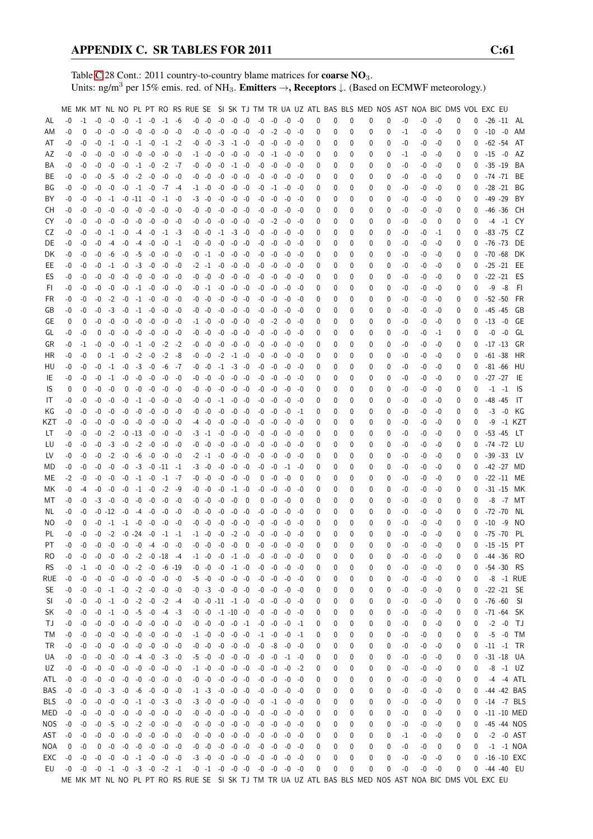Table [C.](#page-2-0)28 Cont.: 2011 country-to-country blame matrices for **coarse NO**<sub>3</sub>. Units: ng/m<sup>3</sup> per 15% emis. red. of NH<sub>3</sub>. **Emitters**  $\rightarrow$ **, Receptors**  $\downarrow$ . (Based on ECMWF meteorology.)

|           |      |          |                                              |          |                                    |                 |           |                           |           |                           |      |                |          |                                              |          |      |       |   |   |   |   |   |      | ME MK MT NL NO PL PT RO RS RUE SE SI SK TJ TM TR UA UZ ATL BAS BLS MED NOS AST NOA BIC DMS VOL EXC EU |      |   |          |               |               |                |
|-----------|------|----------|----------------------------------------------|----------|------------------------------------|-----------------|-----------|---------------------------|-----------|---------------------------|------|----------------|----------|----------------------------------------------|----------|------|-------|---|---|---|---|---|------|-------------------------------------------------------------------------------------------------------|------|---|----------|---------------|---------------|----------------|
| AL        | $-0$ | $-1$     | $-0$                                         | $-0$     | $-0$                               |                 | $-1$ $-0$ | $-1$ $-6$                 |           | $-0$ $-0$ $-0$ $-0$ $-0$  |      |                |          | $-0$                                         | $-0$     | -0   | -0    | 0 | 0 | 0 | 0 | 0 | -0   | $-0$                                                                                                  | -0   | 0 | 0        |               |               | $-26 - 11$ AL  |
| ΑM        | $-0$ | 0        | $-0$                                         | $-0$     | $-0$                               | $-0$            | $-0$      | $-0$                      | -0        | $-0 - 0$                  | -0   | $-0$           | -0       | $-0$                                         | $-2$     | $-0$ | -0    | 0 | 0 | 0 | 0 | 0 | $-1$ | -0                                                                                                    | $-0$ | 0 | 0        | $-10 - 0$     |               | AM             |
| AT        | -0   | -0       | -0                                           | $-1$     | $-0$                               | $-1$            | $-0$      |                           | $-1$ $-2$ | $-0 - 0$                  | $-3$ | $-1$ $-0$      |          | -0                                           | -0       |      |       |   | 0 | 0 | 0 | 0 | -0   |                                                                                                       | -0   | 0 | 0        | $-62 -54$     |               | AT             |
|           |      |          |                                              |          |                                    |                 |           |                           |           |                           |      |                |          |                                              |          | -0   | -0    | 0 |   |   |   |   |      | -0                                                                                                    |      |   |          |               |               |                |
| AZ        | -0   | -0       | -0                                           | $-0$     | $-0$                               | $-0$            | -0        | -0                        | -0        | $-1$ $-0$                 | -0   | $-0$ $-0$      |          | -0                                           | $-1$     | -0   | -0    | 0 | 0 | 0 | 0 | 0 | $-1$ | -0                                                                                                    | -0   | 0 | 0        | $-15 - 0$     |               | AZ             |
| ΒA        | -0   | -0       | -0                                           | -0       | $-0$                               | $-1 -0$         |           | $-2$                      | -7        | -0 -0                     | -0   | $-1$ $-0$      |          | -0                                           | -0       | -0   | -0    | 0 | 0 | 0 | 0 | 0 | -0   | -0                                                                                                    | -0   | 0 | 0        | $-35 - 19$    |               | BA             |
| BE        | -0   | -0       | -0                                           | -5       | $-0$                               | $-2$            | $-0$      | $-0$                      | -0        | $-0 - 0$                  | $-0$ | $-0$           | -0       | -0                                           | $-0$     | -0   | -0    | 0 | 0 | 0 | 0 | 0 | -0   | -0                                                                                                    | -0   | 0 | 0        | $-74 - 71$    |               | BE             |
| ΒG        | -0   | -0       | -0                                           | $-0$     | $-0$                               | $-1$            | $-0$      |                           | $-7 - 4$  | $-1$ $-0$                 | $-0$ | $-0$           | -0       | -0                                           | $-1$     | -0   | -0    | 0 | 0 | 0 | 0 | 0 | -0   | -0                                                                                                    | -0   | 0 | 0        | $-28 - 21$    |               | BG             |
| BY        | -0   | -0       | -0                                           | $-1$     |                                    | $-0$ $-11$ $-0$ |           | $-1$                      | -0        | $-3 - 0$                  | $-0$ | $-0$           | -0       | -0                                           | $-0$     | $-0$ | -0    | 0 | 0 | 0 | 0 | 0 | -0   | -0                                                                                                    | -0   | 0 | 0        | $-49 - 29$    |               | BY             |
| CН        | -0   | -0       | -0                                           | $-0$     | $-0$                               | $-0$            | $-0$      | -0                        | -0        | $-0 - 0$                  | -0   | $-0$           | -0       | $-0$                                         | -0       | -0   | -0    | 0 | 0 | 0 | 0 | 0 | -0   | -0                                                                                                    | -0   | 0 | 0        | $-46 - 36$    |               | CH             |
| CY        | -0   | -0       | $-0$                                         | $-0$     | $-0$                               | $-0$            | -0        | -0                        | -0        | -0 -0                     | $-0$ | $-0$           | -0       | -0                                           | $-2$     | $-0$ | -0    | 0 | 0 | 0 | 0 | 0 | -0   | -0                                                                                                    | 0    | 0 | 0        |               | $-4 - 1$      | CY.            |
| CZ        | -0   | -0       | -0                                           | $-1$     | $-0$                               | $-4$            | -0        |                           | $-1 -3$   | $-0 - 0$                  |      | $-1$ $-3$ $-0$ |          | -0                                           | -0       | -0   | -0    | 0 | 0 | 0 | 0 | 0 | -0   | -0                                                                                                    | -1   | 0 | 0        | $-83 - 75$    |               | CZ.            |
| DE        | -0   | -0       | -0                                           | -4       |                                    | $-0$ $-4$ $-0$  |           | $-0$                      | -1        | -0 -0                     |      | $-0$ $-0$ $-0$ |          | -0                                           | -0       | -0   | -0    | 0 | 0 | 0 | 0 | 0 | -0   | -0                                                                                                    | -0   | 0 | 0        | -76 -73       |               | DE             |
| DK        | -0   | -0       | -0                                           | -6       |                                    | $-0 -5$         | -0        | -0                        | -0        | $-0$ $-1$ $-0$ $-0$ $-0$  |      |                |          |                                              | $-0 - 0$ | -0   | -0    | 0 | 0 | 0 | 0 | 0 | -0   | -0                                                                                                    | -0   | 0 | 0        | $-70 -68$     |               | DK             |
| EE        | -0   | -0       | -0                                           | $-1$     | $-0$                               |                 | $-3 - 0$  | -0                        | $-0$      | $-2$ $-1$ $-0$            |      | $-0$           | -0       | -0                                           | -0       | $-0$ | -0    | 0 | 0 | 0 | 0 | 0 | -0   | -0                                                                                                    | -0   | 0 | 0        | $-25 - 21$    |               | EE             |
| ES        | -0   | -0       | -0                                           | $-0$     | $-0$                               | $-0$            | $-0$      | $-0$                      | -0        | -0 -0                     | $-0$ | $-0$           | -0       | -0                                           | -0       | $-0$ | -0    | 0 | 0 | 0 | 0 | 0 | -0   | -0                                                                                                    | -0   | 0 | 0        | $-22 - 21$    |               | ES             |
| FI.       | -0   | -0       | -0                                           | $-0$     | $-0$                               |                 | $-1$ $-0$ | -0                        | -0        | $-0$ $-1$ $-0$            |      | -0             | -0       | -0                                           | -0       | $-0$ | -0    |   | 0 | 0 | 0 | 0 | -0   | -0                                                                                                    | -0   | 0 | 0        | -9            | -8            | -FI            |
| FR.       |      |          |                                              |          |                                    |                 | $-1 - 0$  |                           |           | -0 -0                     | -0   | -0             |          |                                              |          |      |       | 0 |   | 0 | 0 |   |      |                                                                                                       |      |   |          | $-52 - 50$    |               | FR             |
|           | -0   | -0       | -0                                           | $-2$     | $-0$                               |                 |           | -0                        | -0        |                           |      |                | -0       | -0                                           | $-0$     | $-0$ | -0    | 0 | 0 |   |   | 0 | -0   | -0                                                                                                    | -0   | 0 | 0        |               |               |                |
| GB        | -0   | -0       | $-0$                                         | $-3$     | $-0$                               | $-1$            | $-0$      | -0                        | -0        | $-0 - 0$                  | $-0$ | $-0$           | -0       | -0                                           | -0       | -0   | -0    | 0 | 0 | 0 | 0 | 0 | -0   | -0                                                                                                    | -0   | 0 | 0        | $-45 - 45$    |               | GB             |
| GE        | 0    | 0        | -0                                           | $-0$     | $-0$                               | $-0$            | $-0$      | -0                        | -0        | $-1 - 0$                  | -0   |                | $-0 -0$  | -0                                           | $-2$     | -0   | -0    | 0 | 0 | 0 | 0 | 0 | -0   | -0                                                                                                    | -0   | 0 | 0        | $-13 - 0$     |               | GE             |
| GL        | -0   | -0       | 0                                            | -0       | $-0$                               | -0              | -0        | -0                        | -0        | -0 -0                     | -0   | $-0$ $-0$      |          | $-0$                                         | -0       | -0   | -0    | 0 | 0 | 0 | 0 | 0 | -0   | -0                                                                                                    | -1   | 0 | 0        |               | $-0 - 0$      | GL             |
| GR        | -0   | -1       | -0                                           | -0       | $-0$                               |                 | $-1 - 0$  | $-2$                      | -2        | $-0 - 0$                  | -0   | $-0$ $-0$      |          | -0                                           | -0       | -0   | -0    | 0 | 0 | 0 | 0 | 0 | -0   | -0                                                                                                    | -0   | 0 | 0        | $-17 - 13$    |               | GR             |
| HR        | $-0$ | -0       | 0                                            | $-1$     | $-0$                               | $-2$            | $-0$      | $-2$                      | -8        | $-0 - 0$                  | $-2$ | $-1$           | -0       | -0                                           | -0       | $-0$ | -0    | 0 | 0 | 0 | 0 | 0 | -0   | -0                                                                                                    | -0   | 0 | 0        | $-61 - 38$    |               | HR             |
| HU        | -0   | -0       | -0                                           | $-1$     | $-0$                               | $-3$            | $-0$      | -6                        | -7        | -0 -0                     | $-1$ | $-3$           | -0       | -0                                           | -0       | $-0$ | -0    | 0 | 0 | 0 | 0 | 0 | -0   | -0                                                                                                    | -0   | 0 | 0        | $-81 - 66$    |               | HU             |
| IE        | -0   | -0       | $-0$                                         | $-1$     | $-0$                               | -0              | -0        | -0                        | -0        | -0 -0                     | -0   | -0             | -0       | $-0$                                         | -0       | -0   | -0    | 0 | 0 | 0 | 0 | 0 | -0   | -0                                                                                                    | -0   | 0 | $\bf{0}$ | $-27 -27$     |               | IE             |
| IS        | 0    | 0        | $-0$                                         | $-0$     | 0                                  |                 | $-0 - 0$  | $-0$                      | -0        | -0 -0                     | -0   | -0             | -0       | -0                                           | -0       | $-0$ | -0    | 0 | 0 | 0 | 0 | 0 | -0   | -0                                                                                                    | -0   | 0 | 0        |               | $-1 -1$       | 1S             |
| IT        | -0   | -0       | -0                                           | -0       | $-0$                               | $-1 -0$         |           | -0                        | -0        | $-0 - 0$                  | $-1$ | -0             | $-0$     | -0                                           | -0       | -0   | -0    | 0 | 0 | 0 | 0 | 0 | -0   | -0                                                                                                    | -0   | 0 | 0        | $-48 - 45$    |               | IT             |
| ΚG        | -0   | -0       | -0                                           | $-0$     | $-0$                               | -0              | -0        | -0                        | -0        | -0 -0                     | -0   | $-0$ $-0$      |          | -0                                           | $-0$     | -0   | -1    | 0 | 0 | 0 | 0 | 0 | -0   | -0                                                                                                    | -0   | 0 | 0        |               | $-3 - 0$      | KG             |
| KZT       | -0   | -0       | -0                                           | -0       |                                    | $-0 - 0$        | $-0$      | -0                        | $-0$      | -4 -0                     | -0   | $-0 -0$        |          |                                              | $-0 - 0$ | -0   | -0    | 0 | 0 | 0 | 0 | 0 | -0   | -0                                                                                                    | -0   | 0 | 0        | -9            |               | -1 KZT         |
| LT        | -0   | -0       | -0                                           | $-2$     |                                    | $-0$ $-13$ $-0$ |           | $-0$                      | -0        | $-3$ $-1$ $-0$            |      | $-0$ $-0$      |          |                                              | -0 -0    | -0   | -0    | 0 | 0 | 0 | 0 | 0 | -0   | -0                                                                                                    | -0   | 0 | 0        | $-53 - 45$    |               | LT.            |
| LU        | -0   | -0       | $-0$                                         | $-3$     | $-0$                               | $-2$            | $-0$      | -0                        | -0        | $-0 - 0$                  | -0   | $-0$           | -0       | -0                                           | $-0$     | $-0$ | -0    | 0 | 0 | 0 | 0 | 0 | -0   | -0                                                                                                    | -0   | 0 | 0        | $-74 - 72$    |               | LU             |
|           |      |          |                                              |          |                                    |                 |           |                           |           |                           |      |                |          |                                              |          |      |       |   |   |   |   |   |      |                                                                                                       |      |   |          |               |               |                |
| LV        | -0   | -0       | -0                                           | $-2$     | $-0$                               | -6              | $-0$      | -0 -0                     |           | $-2$ $-1$ $-0$            |      | $-0$           | -0       | -0                                           | $-0$     | $-0$ | -0    | 0 | 0 | 0 | 0 | 0 | -0   | -0                                                                                                    | -0   | 0 | 0        | $-39 - 33$    |               | LV.            |
| MD        | -0   | -0       | -0                                           | -0       | $-0$                               |                 |           | $-3$ $-0$ $-11$ $-1$      |           | $-3 - 0$                  | -0   | $-0$           | -0       | -0                                           | -0       | $-1$ | -0    | 0 | 0 | 0 | 0 | 0 | -0   | -0                                                                                                    | -0   | 0 | $\bf{0}$ |               |               | -42 -27 MD     |
| МE        | $-2$ | -0       | -0                                           | -0       | $-0$                               | $-1$ $-0$       |           | $-1$ $-7$                 |           | $-0 - 0$                  | -0   | -0             | -0       | $\mathbf 0$                                  | -0       | -0   | - 0   | 0 | 0 | 0 | 0 | 0 | -0   | -0                                                                                                    | -0   | 0 | 0        |               |               | $-22 - 11$ ME  |
| МK        | -0   | $-4$     | -0                                           | -0       | $-0$                               | $-1$            | $-0$      | $-2$                      | - 9       | $-0 - 0$                  | $-0$ |                | $-1 - 0$ | -0                                           | -0       | -0   | -0    | 0 | 0 | 0 | 0 | 0 | -0   | -0                                                                                                    | -0   | 0 | 0        | $-31 - 15$    |               | МK             |
| МT        | -0   | -0       | $-3$                                         | $-0$     | $-0$                               | -0              | -0        | $-0$                      | -0        | $-0 - 0$                  | -0   | -0             | 0        | 0                                            | -0       | -0   | - 0   | 0 | 0 | 0 | 0 | 0 | -0   | -0                                                                                                    | 0    | 0 | 0        |               |               | -8 -7 MT       |
| NL        | -0   | -0       |                                              | $-0 -12$ |                                    | $-0$ $-4$ $-0$  |           | -0                        | -0        | $-0 - 0$                  | -0   | $-0$           | -0       | -0                                           | -0       | -0   | -0    | 0 | 0 | 0 | 0 | 0 | -0   | -0                                                                                                    | -0   | 0 | 0        | $-72 - 70$    |               | NL             |
| NO        | -0   | 0        | -0                                           | $-1$     |                                    | $-1 - 0$        | $-0$      | $-0$                      | -0        | -0 -0                     | -0   | -0             | -0       | -0                                           | -0       | -0   | -0    | 0 | 0 | 0 | 0 | 0 | -0   | -0                                                                                                    | -0   | 0 | 0        | $-10$         | -9            | NO.            |
| PL        | $-0$ | -0       | $-0$                                         | $-2$     |                                    | $-0 -24$        | $-0$      |                           | $-1 -1$   | $-1 - 0$                  | $-0$ | $-2$           | $-0$     | $-0$                                         | $-0$     | $-0$ | -0    | 0 | 0 | 0 | 0 | 0 | -0   | -0                                                                                                    | -0   | 0 | 0        | $-75 - 70$    |               | PL             |
| PT        | $-0$ | $-0$     | $-0$                                         | $-0$     |                                    | $-0 - 0$        | $-4$      | $-0$                      | -0        | $-0 - 0$                  | $-0$ | $-0$           | $\Omega$ | $-0$                                         | -0       | -0   | -0    | 0 | U | U | U | U | $-0$ | -0                                                                                                    | $-0$ | 0 | 0        | $-15 - 15$    |               | PT             |
| RO.       | -0   | $-0$     | -0                                           | -0       |                                    |                 |           | $-0$ $-2$ $-0$ $-18$ $-4$ |           | $-1$ $-0$ $-0$ $-1$ $-0$  |      |                |          | -0                                           | -0       | $-0$ | -0    | 0 | 0 | 0 | 0 | 0 | -0   | -0                                                                                                    | -0   | 0 | 0        |               |               | -44 -36 RO     |
| <b>RS</b> | -0   | $-1$     | $-0$                                         |          | $-0$ $-0$ $-2$ $-0$ $-6$ $-19$     |                 |           |                           |           | $-0$ $-0$ $-0$ $-1$ $-0$  |      |                |          | -0                                           | -0       | -0   | -0    | 0 | 0 | 0 | 0 | 0 | -0   | -0                                                                                                    | -0   | 0 | 0        | $-54 - 30$    |               | - RS           |
| rue       | -0   | -0       | -0                                           | $-0$     | $-0$                               | $-0$            | $-0$      | $-0 - 0$                  |           | $-5$ $-0$ $-0$ $-0$ $-0$  |      |                |          | $-0$                                         | $-0$     | $-0$ | -0    | 0 | 0 | 0 | 0 | 0 | -0   | -0                                                                                                    | -0   | 0 | 0        |               |               | -8 -1 RUE      |
| SE.       | -0   | -0       |                                              |          | $-0$ $-1$ $-0$ $-2$ $-0$ $-0$ $-0$ |                 |           |                           |           | $-0$ $-3$ $-0$ $-0$ $-0$  |      |                |          |                                              | $-0 - 0$ | $-0$ | -0    | 0 | 0 | 0 | 0 | 0 | -0   | -0                                                                                                    | -0   | 0 | 0        |               | $-22 - 21$ SE |                |
| SI.       | -0   | -0       | $-0$                                         |          | $-1$ $-0$ $-2$ $-0$ $-2$ $-4$      |                 |           |                           |           | $-0$ $-0$ $-11$ $-1$ $-0$ |      |                |          |                                              | $-0 - 0$ | $-0$ | -0    | 0 | 0 | 0 | 0 | 0 | -0   | -0                                                                                                    | -0   | 0 | 0        | $-76 - 60$ SI |               |                |
| SK        | -0   | -0       | -0                                           | $-1$     |                                    |                 |           | $-0$ $-5$ $-0$ $-4$ $-3$  |           | $-0$ $-0$ $-1$ $-10$ $-0$ |      |                |          | -0                                           | -0       | $-0$ | -0    | 0 | 0 | 0 | 0 | 0 | -0   | -0                                                                                                    | -0   | 0 | 0        |               |               | -71 -64 SK     |
|           |      |          |                                              |          |                                    |                 |           |                           |           |                           |      |                |          |                                              |          |      |       |   |   |   |   |   |      |                                                                                                       |      |   |          |               | $-2$ $-0$ TJ  |                |
| ТJ        | -0   | -0       | $-0$                                         | $-0$     | $-0$                               | $-0$            | $-0$      |                           | $-0 - 0$  | $-0 - 0$                  |      | $-0 - 0$       | $-1$     | -0                                           | $-0$     | $-0$ | -1    | 0 | 0 | 0 | 0 | 0 | -0   | 0                                                                                                     | -0   | 0 | 0        |               |               |                |
| TM        | -0   | -0       | $-0$                                         | $-0$     |                                    | $-0$ $-0$ $-0$  |           | $-0 - 0$                  |           | $-1$ $-0$ $-0$ $-0$ $-0$  |      |                |          |                                              | $-1 - 0$ | -0   | -1    | 0 | 0 | 0 | 0 | 0 | -0   | -0                                                                                                    | 0    | 0 | 0        |               |               | $-5 - 0$ TM    |
| TR        | -0   | $-0$     | $-0$                                         | $-0$     |                                    |                 |           | $-0$ $-0$ $-0$ $-0$ $-0$  |           | $-0$ $-0$ $-0$ $-0$ $-0$  |      |                |          |                                              | $-0 -8$  | $-0$ | -0    | 0 | 0 | 0 | 0 | 0 | -0   | -0                                                                                                    | -0   | 0 | 0        | $-11$ $-1$ TR |               |                |
| UA        | -0   | -0       | $-0$                                         | $-0$     |                                    |                 |           | $-0$ $-4$ $-0$ $-3$ $-0$  |           | $-5$ $-0$ $-0$ $-0$ $-0$  |      |                |          | -0                                           | -0       |      | -1 -0 | 0 | 0 | 0 | 0 | 0 | -0   | -0                                                                                                    | -0   | 0 | 0        |               |               | $-31 - 18$ UA  |
| UZ        | -0   | -0       |                                              | $-0 - 0$ |                                    |                 |           | $-0$ $-0$ $-0$ $-0$ $-0$  |           | $-1$ $-0$ $-0$ $-0$ $-0$  |      |                |          |                                              | $-0 - 0$ | $-0$ | -2    | 0 | 0 | 0 | 0 | 0 | -0   | -0                                                                                                    | -0   | 0 | 0        |               |               | $-8$ $-1$ UZ   |
| ATL       | $-0$ | $-0$     |                                              |          | $-0$ $-0$ $-0$ $-0$ $-0$ $-0$ $-0$ |                 |           |                           |           | $-0$ $-0$ $-0$ $-0$ $-0$  |      |                |          |                                              | $-0 - 0$ | -0   | -0    | 0 | 0 | 0 | 0 | 0 | -0   | -0                                                                                                    | -0   | 0 | 0        |               |               | -4 -4 ATL      |
| BAS       | -0   | $-0$     |                                              | $-0 -3$  |                                    |                 |           | $-0$ $-6$ $-0$ $-0$ $-0$  |           | $-1$ $-3$ $-0$ $-0$ $-0$  |      |                |          |                                              | $-0 - 0$ | $-0$ | -0    | 0 | 0 | 0 | 0 | 0 | -0   | -0                                                                                                    | -0   | 0 | 0        |               |               | -44 -42 BAS    |
| BLS       | $-0$ | -0       | $-0$                                         | $-0$     | $-0$                               | $-1 -0$         |           | $-3 - 0$                  |           | $-3 - 0$                  | $-0$ | $-0$ $-0$      |          |                                              | $-0 -1$  | $-0$ | -0    | 0 | 0 | 0 | 0 | 0 | -0   | -0                                                                                                    | -0   | 0 | 0        |               |               | $-14$ $-7$ BLS |
| MED       | $-0$ | -0       |                                              | $-0 - 0$ |                                    | $-0$ $-0$ $-0$  |           |                           | $-0 - 0$  | $-0$ $-0$ $-0$ $-0$ $-0$  |      |                |          |                                              | $-0 - 0$ | $-0$ | -0    | 0 | 0 | 0 | 0 | 0 | -0   | 0                                                                                                     | -0   | 0 | 0        |               |               | -11 -10 MED    |
| NOS.      | $-0$ | -0       |                                              | $-0 -5$  |                                    |                 |           | $-0$ $-2$ $-0$ $-0$ $-0$  |           | $-0$ $-0$ $-0$ $-0$ $-0$  |      |                |          | $-0$                                         | -0       | -0   | -0    | 0 | 0 | 0 | 0 | 0 | -0   | -0                                                                                                    | -0   | 0 | 0        |               |               | -45 -44 NOS    |
| AST       |      | $-0 - 0$ |                                              | $-0 - 0$ |                                    |                 |           | $-0$ $-0$ $-0$ $-0$ $-0$  |           | $-0$ $-0$ $-0$ $-0$ $-0$  |      |                |          |                                              | $-0 - 0$ | -0   | -0    | 0 | 0 | 0 | 0 | 0 | $-1$ | -0                                                                                                    | -0   | 0 | 0        |               |               | $-2$ $-0$ AST  |
| NOA       | 0    | -0       | 0                                            | $-0$     |                                    |                 |           | $-0$ $-0$ $-0$ $-0$ $-0$  |           | $-0$ $-0$ $-0$ $-0$ $-0$  |      |                |          | $-0$                                         | -0       | $-0$ | -0    | 0 | 0 | 0 | 0 | 0 | -0   | -0                                                                                                    | 0    | 0 | 0        |               |               | $-1$ $-1$ NOA  |
| EXC       | $-0$ | -0       |                                              |          | $-0$ $-0$ $-0$ $-1$ $-0$ $-0$ $-0$ |                 |           |                           |           | $-3$ $-0$ $-0$ $-0$ $-0$  |      |                |          |                                              | $-0 - 0$ | -0   | -0    | 0 | 0 | 0 | 0 | 0 | -0   | -0                                                                                                    | $-0$ | 0 | 0        |               |               | $-16 - 10$ EXC |
| EU        |      |          | $-0$ $-0$ $-0$ $-1$ $-0$ $-3$ $-0$ $-2$ $-1$ |          |                                    |                 |           |                           |           |                           |      |                |          | $-0$ $-1$ $-0$ $-0$ $-0$ $-0$ $-0$ $-0$ $-0$ |          |      |       | 0 | 0 | 0 | 0 | 0 | -0   | -0                                                                                                    | $-0$ | 0 |          | 0 -44 -40 EU  |               |                |
|           |      |          |                                              |          |                                    |                 |           |                           |           |                           |      |                |          |                                              |          |      |       |   |   |   |   |   |      | ME MK MT NL NO PL PT RO RS RUE SE SI SK TJ TM TR UA UZ ATL BAS BLS MED NOS AST NOA BIC DMS VOL EXC EU |      |   |          |               |               |                |
|           |      |          |                                              |          |                                    |                 |           |                           |           |                           |      |                |          |                                              |          |      |       |   |   |   |   |   |      |                                                                                                       |      |   |          |               |               |                |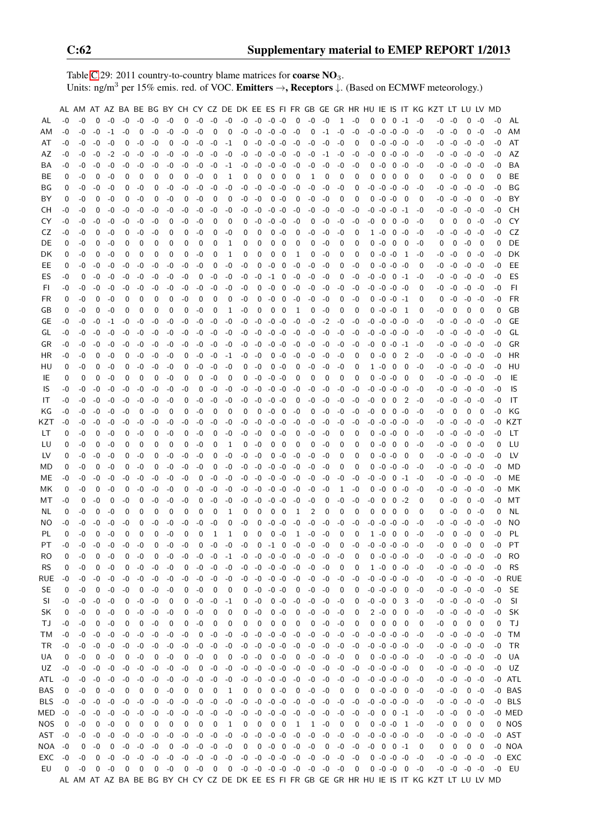Table [C.](#page-2-0)29: 2011 country-to-country blame matrices for **coarse NO**<sub>3</sub>. Units: ng/m<sup>3</sup> per 15% emis. red. of VOC. Emitters →, Receptors ↓. (Based on ECMWF meteorology.)

|            |      |      |          |      |      |             |          |      |      |      |      |      |      |                     |             |                          |                               |              |      |              |                         |          |                     |                         |                |      | AL AM AT AZ BA BE BG BY CH CY CZ DE DK EE ES FI FR GB GE GR HR HU IE IS IT KG KZT LT LU LV MD |          |                     |          |      |           |
|------------|------|------|----------|------|------|-------------|----------|------|------|------|------|------|------|---------------------|-------------|--------------------------|-------------------------------|--------------|------|--------------|-------------------------|----------|---------------------|-------------------------|----------------|------|-----------------------------------------------------------------------------------------------|----------|---------------------|----------|------|-----------|
| AL         | -0   | -0   | $\Omega$ | $-0$ | $-0$ | $-0$        | $-0$     | -0   | 0    | $-0$ | -0   | $-0$ | $-0$ | $-0$                | $-0$ $-0$   |                          | 0                             | -0           | -0   | $\mathbf{1}$ | $-0$                    | 0        | $\mathbf 0$         | $0 -1$                  |                | -0   | -0                                                                                            | -0       | 0                   | -0       | -0   | AL        |
| AM         | -0   | -0   | $-0$     | $-1$ | -0   | 0           | $-0$     | -0   | -0   | -0   | 0    | 0    | -0   | $-0$                | $-0 -0$     |                          | $-0$                          | 0            | $-1$ | -0           | $-0$                    | -0       | $-0$                | $-0 -0$                 |                | $-0$ | -0                                                                                            | -0       | 0                   | -0       | -0   | AM        |
| AT         | -0   | -0   | $-0$     | -0   | 0    | -0          | -0       | 0    | -0   | -0   | $-0$ | $-1$ | 0    | $-0$                | $-0 -0$     |                          | $-0$                          | -0           | $-0$ | -0           | 0                       | 0        | $-0$                | $-0 -0$                 |                | -0   |                                                                                               | -0 -0    |                     | $-0 - 0$ | -0   | AT        |
| AZ         | -0   | -0   | -0       | $-2$ | -0   | -0          | -0       | -0   | -0   | -0   | -0   | -0   | -0   | -0                  | $-0 -0$     |                          | -0                            | -0           | -1   | -0           | -0                      | -0       | 0                   | $-0 -0$                 |                | -0   |                                                                                               | -0 -0    |                     | $-0 - 0$ | -0   | AZ        |
| BA         | -0   | -0   | -0       | -0   | -0   | -0          | -0       | -0   | -0   | $-0$ | -0   | -1   | -0   | -0                  | $-0 - 0$    |                          | $-0$                          | -0           | $-0$ | -0           | -0                      | 0        | -0                  | $0 - 0$                 |                | -0   | -0                                                                                            | -0       | $-0$                | -0       | -0   | BA        |
| BE.        | 0    | -0   | 0        | -0   | 0    | 0           | 0        | 0    | 0    | -0   | 0    | 1    | 0    | 0                   | 0           | 0                        | 0                             | 1            | 0    | 0            | 0                       | 0        | 0                   | 0                       | 0              | 0    | 0                                                                                             | $-0$     | 0                   | 0        | 0    | BE        |
| ΒG         | 0    | -0   | -0       | -0   | 0    | -0          | 0        | -0   | -0   | $-0$ | -0   | -0   | -0   | $-0$                | $-0$        | -0                       | -0                            | -0           | $-0$ | -0           | 0                       | -0       | $-0$                | $-0$ $-0$               |                | -0   |                                                                                               | -0       | $-0$                | -0       | -0   | BG        |
|            |      |      |          |      |      |             |          |      |      |      |      |      |      |                     |             |                          |                               |              |      |              |                         |          |                     |                         |                |      | -0                                                                                            |          |                     |          |      |           |
| BY         | 0    | -0   | 0        | -0   | 0    | -0          | 0        | -0   | 0    | $-0$ | 0    | 0    | -0   | -0                  | $\mathbf 0$ | -0                       | 0                             | -0           | -0   | 0            | 0                       | 0        | $-0$                | $-0$                    | - 0            | 0    |                                                                                               | -0 -0    | $-0$                | 0        | -0   | BY        |
| CН         | -0   | -0   | 0        | -0   | -0   | -0          | -0       | -0   | -0   | $-0$ | -0   | -0   | -0   | -0                  | $-0 -0$     |                          | -0                            | -0           | -0   | -0           | -0                      | -0       | -0                  | $-0$ $-1$               |                | -0   | -0                                                                                            | -0       |                     | $-0 - 0$ | -0   | CН        |
| CY         | -0   | -0   | -0       | -0   | -0   | $-0$        | -0       | 0    | -0   | -0   | 0    | 0    | 0    | -0                  | -0          | -0                       | -0                            | 0            | -0   | -0           | -0                      | -0       | 0                   | $\mathbf 0$             | -0             | -0   | 0                                                                                             | 0        | 0                   | -0       | -0   | CY        |
| CZ         | -0   | -0   | 0        | -0   | 0    | -0          | -0       | 0    | 0    | -0   | 0    | -0   | 0    | 0                   | 0           | -0                       | 0                             | -0           | $-0$ | -0           | 0                       |          | $1 - 0$             | $0 - 0$                 |                | -0   | -0                                                                                            | -0       |                     | $-0 - 0$ | -0   | CZ        |
| DE         | 0    | -0   | 0        | -0   | 0    | 0           | 0        | 0    | 0    | 0    | 0    | 1    | 0    | 0                   | 0           | 0                        | 0                             | 0            | -0   | 0            | 0                       |          | 0-0                 | - 0                     | - 0            | -0   | 0                                                                                             | 0        | $-0$                | 0        | 0    | DE        |
| DK         | 0    | -0   | 0        | -0   | 0    | 0           | 0        | 0    | 0    | $-0$ | 0    | 1    | 0    | 0                   | 0           | 0                        | 1                             | 0            | $-0$ | 0            | 0                       | 0        | $-0 -0$             |                         | -1             | -0   | -0                                                                                            | -0       | 0                   | -0       | -0   | DK        |
| EE         | 0    | -0   | -0       | -0   | -0   | $-0$        | $-0$     | -0   | -0   | -0   | 0    | -0   | -0   | 0                   | $-0$        | 0                        | $-0$                          | -0           | -0   | 0            | $-0$                    | 0        | $-0$ $-0$ $-0$      |                         |                | 0    | -0                                                                                            | -0       | $-0$                | -0       | -0   | EE        |
| ES         | -0   | 0    | -0       | $-0$ | -0   | -0          | $-0$     | -0   | -0   | 0    | $-0$ | -0   | $-0$ | $-0$                | $-1$        | 0                        | $-0$                          | -0           | -0   | 0            | $-0$                    | $-0 - 0$ |                     | $0 -1$                  |                | -0   |                                                                                               | $-0 - 0$ |                     | $-0 - 0$ | -0   | ES        |
| FI         | -0   | -0   | $-0$     | -0   | -0   | -0          | -0       | -0   | -0   | $-0$ | -0   | -0   | -0   | 0                   | $-0$        | 0                        | -0                            | -0           | -0   | -0           | -0                      | $-0 -0$  |                     | $-0$ $-0$               |                | 0    |                                                                                               | -0 -0    |                     | $-0 -0$  | -0   | FI        |
| <b>FR</b>  | 0    | -0   | 0        | -0   | 0    | 0           | 0        | 0    | -0   | 0    | 0    | 0    | -0   | 0                   | $-0$        | 0                        | $-0$                          | -0           | -0   | 0            | $-0$                    | 0        | $-0$ $-0$ $-1$      |                         |                | 0    | 0                                                                                             | -0       |                     | $-0 - 0$ | -0   | <b>FR</b> |
| GB         | 0    | -0   | 0        | -0   | 0    | 0           | 0        | 0    | 0    | -0   | 0    | 1    | -0   | 0                   | 0           | 0                        | 1                             | 0            | $-0$ | 0            | 0                       | 0        | -0                  | $-0$                    | - 1            | 0    | -0                                                                                            | 0        | 0                   | 0        | 0    | GB        |
| GЕ         | -0   | -0   | -0       | $-1$ | -0   | -0          | -0       | -0   | -0   | $-0$ | $-0$ | -0   | -0   | -0                  | $-0$        | -0                       | $-0$                          | -0           | $-2$ | -0           | -0                      |          | -0 -0               | $-0 - 0$                |                | -0   | -0                                                                                            | -0       |                     | $-0 -0$  | -0   | GЕ        |
| GL         | -0   | -0   | -0       | -0   | -0   | -0          | -0       | -0   | -0   | -0   | -0   | -0   | -0   | -0                  | -0          | -0                       | $-0$                          | -0           | -0   | -0           | -0                      | -0       | -0                  | $-0 -0$                 |                | -0   | -0                                                                                            | -0       | $-0$                | -0       | -0   | GL        |
| GR         | -0   | -0   | -0       | -0   | -0   | $-0$        | $-0$     | -0   | -0   | $-0$ | -0   | -0   | -0   | $-0$                | $-0 -0$     |                          | -0                            | -0           | $-0$ | -0           | -0                      | -0       | 0                   | $-0$ $-1$               |                | -0   | -0                                                                                            | -0       | $-0$                | $-0$     | -0   | GR        |
| ΗR         | -0   | -0   | 0        | -0   | 0    | -0          | -0       | -0   | 0    | $-0$ | $-0$ | -1   | -0   | -0                  | 0           | -0                       | -0                            | -0           | -0   | -0           | 0                       | 0        | $-0$                | 0                       | $\overline{2}$ | -0   | -0                                                                                            | -0       | -0                  | -0       | -0   | HR        |
| HU         | 0    | -0   | 0        | -0   | 0    | -0          | -0       | -0   | 0    | $-0$ | -0   | -0   | 0    | $-0$                |             | $0 - 0$                  | 0                             | -0           | $-0$ | -0           | 0                       |          | $1 - 0$             | 0                       | 0              | -0   |                                                                                               | $-0 - 0$ |                     | $-0 - 0$ | -0   | HU        |
| IE         | 0    | 0    | 0        | -0   | 0    | 0           | 0        | -0   | 0    | 0    | -0   | 0    | 0    | -0                  | -0          | -0                       | 0                             | 0            | 0    | 0            | 0                       | 0        | -0                  | $-0$                    | 0              | 0    |                                                                                               | -0 -0    |                     | $-0 - 0$ | -0   | IE        |
| IS         | -0   | -0   | -0       | -0   | -0   | -0          | -0       | -0   | -0   | 0    | -0   | -0   | -0   | -0                  | $-0 - 0$    |                          | -0                            | -0           | -0   | -0           | -0                      | -0       | -0                  | $-0 -0$                 |                | -0   | -0                                                                                            | -0       |                     | $-0 -0$  | -0   | IS        |
| IT         | -0   | -0   | $-0$     | -0   | -0   | -0          | -0       | -0   | 0    | -0   | -0   | -0   | -0   | -0                  | $-0$        | -0                       | 0                             | -0           | -0   | -0           | -0                      | -0       | 0                   | 0                       | $\overline{2}$ | -0   | -0                                                                                            | -0       | -0                  | -0       | -0   | IT        |
| ΚG         | -0   | -0   | -0       | -0   | -0   | 0           | -0       | 0    | 0    | -0   | 0    | 0    | 0    | 0                   | $-0$        | $\overline{\mathbf{0}}$  | -0                            | 0            | -0   | -0           | -0                      | -0       | 0                   | $0 - 0$                 |                | -0   | -0                                                                                            | 0        | 0                   | 0        | -0   | ΚG        |
| KZT        | -0   | -0   | -0       | -0   | -0   | -0          | -0       |      | -0   | -0   | -0   | -0   | -0   | -0                  | -0          | -0                       | -0                            |              | -0   | -0           | -0                      |          | $-0 - 0$            | $-0 -0$                 |                | -0   |                                                                                               | -0 -0    |                     | $-0 - 0$ | -0   | KZT       |
|            |      |      |          |      |      |             |          | -0   |      |      |      |      |      |                     |             |                          |                               | $-0$         |      |              |                         |          |                     |                         |                |      |                                                                                               |          |                     |          |      |           |
| LT         | 0    | -0   | 0        | -0   | 0    | -0          | 0        | -0   | 0    | $-0$ | 0    | -0   | -0   | $-0$                | 0           | $-0$                     | 0                             | -0           | -0   | 0            | 0                       | 0        | -0                  | $-0$                    | 0              | -0   | -0                                                                                            | -0       | $-0$                | -0       | -0   | LT        |
| LU         | 0    | -0   | 0        | -0   | 0    | 0           | 0        | 0    | 0    | -0   | 0    | 1    | 0    | -0                  | 0           | 0                        | 0                             | 0            | -0   | 0            | 0                       | 0        | $-0$                | 0                       | 0              | -0   | -0                                                                                            | -0       | 0                   | -0       | 0    | LU        |
| LV         | 0    | -0   | -0       | -0   | 0    | -0          | 0        | -0   | -0   | $-0$ | 0    | -0   | -0   | $-0$                |             | $0 - 0$                  | $-0$                          | -0           | -0   | 0            | 0                       | 0        | $-0 -0$             |                         | - 0            | 0    |                                                                                               | $-0 - 0$ |                     | $-0 - 0$ | -0   | LV        |
| МD         | 0    | -0   | 0        | -0   | 0    | -0          | 0        | -0   | -0   | -0   | 0    | -0   | -0   | -0                  | $-0 -0$     |                          | -0                            | -0           | -0   | 0            | 0                       | 0        | -0                  | $-0 -0$                 |                | -0   |                                                                                               | $-0 - 0$ |                     | $-0 - 0$ | -0   | MD        |
| MЕ         | -0   | -0   | $-0$     | -0   | -0   | $-0$        | -0       | -0   | -0   | 0    | -0   | $-0$ | -0   | $-0$                | $-0 -0$     |                          | $-0$                          | -0           | $-0$ | -0           | $-0$                    | -0       | -0                  |                         | $0 -1$         | -0   | -0                                                                                            | -0       |                     | $-0 - 0$ | -0   | ME        |
| МK         | 0    | -0   | 0        | -0   | 0    | -0          | -0       | -0   | 0    | -0   | -0   | -0   | -0   | $-0$                | $-0$        | -0                       | -0                            | -0           | -0   | 1            | $-0$                    | 0        | $-0$                |                         | $0 - 0$        | -0   | -0                                                                                            | -0       |                     | $-0 - 0$ | -0   | МK        |
| МT         | -0   | 0    | -0       | 0    | -0   | 0           | -0       | -0   | -0   | 0    | -0   | -0   | -0   | -0                  | $-0$        | -0                       | -0                            | -0           | 0    | -0           | -0                      | -0       | 0                   |                         | $0 -2$         | 0    |                                                                                               | $0 - 0$  |                     | $0 - 0$  | -0   | МT        |
| NL         | 0    | -0   | 0        | -0   | 0    | 0           | 0        | 0    | 0    | 0    | 0    | 1    | 0    | 0                   | 0           | 0                        | 1                             | 2            | 0    | 0            | 0                       | 0        | 0                   | 0                       | 0              | 0    | 0                                                                                             | -0       | 0                   | -0       | 0    | NL        |
| NO.        | -0   | -0   | -0       | -0   | -0   | 0           | -0       | -0   | -0   | -0   | -0   | 0    | -0   | 0                   | $-0$        | $-0$                     | -0                            | $-0$         | $-0$ | -0           | $-0$                    | -0       | $-0$                | $-0 -0$                 |                | -0   | -0                                                                                            | -0       | $-0$                | $-0$     | -0   | NO        |
| PL         | 0    | $-0$ | 0        | $-0$ | 0    | $\mathbf 0$ | 0        | $-0$ | 0    | 0    | 1    | 1    | 0    | 0                   | $\mathbf 0$ | $-0$                     | 1                             | $-0$         | $-0$ | 0            | 0                       |          | $1 - 0$             | $\overline{0}$          | - 0            | -0   | -0                                                                                            | 0        | $-0$                | 0        | -0   | PL        |
| PT         | -0   | $-0$ | $-0$     | $-0$ | $-0$ | -0          | $\Omega$ | -0   | $-0$ | 0    | $-0$ | $-0$ | $-0$ | $\Omega$            | $-1\quad0$  |                          | -0                            | -0           | $-0$ | 0            | $-0$                    |          | $-0$ $-0$ $-0$ $-0$ |                         |                | -0   | -0                                                                                            | $\Omega$ | $-0$                | $\Omega$ | $-0$ | <b>PT</b> |
| RO.        | 0    | -0   | 0        | -0   | 0    | $-0$        | 0        | $-0$ | -0   | $-0$ | $-0$ | $-1$ | $-0$ | $-0$                | $-0 - 0$    |                          | $-0$                          | $-0$         | $-0$ | $-0$         | 0                       |          | $0 - 0 - 0 - 0$     |                         |                | -0   |                                                                                               | $-0 - 0$ | -0 -0               |          | $-0$ | RO        |
| <b>RS</b>  | 0    | -0   | 0        | -0   | 0    | $-0$        | $-0$     | -0   | 0    | $-0$ | -0   | $-0$ | -0   | $-0$                | $-0 - 0$    |                          | $-0$                          | -0           | -0   | 0            | 0                       |          | $1 - 0 0 - 0$       |                         |                | -0   |                                                                                               | $-0 - 0$ |                     | $-0 -0$  | -0   | <b>RS</b> |
| RUE        | $-0$ | -0   | -0       | -0   | $-0$ | $-0$        | $-0$     | -0   | -0   | $-0$ | $-0$ | $-0$ |      | $-0 - 0$            | $-0 - 0$    |                          | $-0$                          | $-0$         | $-0$ | $-0$         | -0                      |          | $-0$ $-0$ $-0$ $-0$ |                         |                | -0   |                                                                                               |          | $-0$ $-0$ $-0$ $-0$ |          |      | -0 RUE    |
| SE         | 0    | -0   | 0        | -0   | -0   | 0           | $-0$     | -0   | 0    | $-0$ | 0    | 0    |      | $0 - 0$             | $-0 - 0$    |                          | 0                             | -0           | -0   | 0            | 0                       |          | $-0$ $-0$ $-0$ 0    |                         |                | -0   |                                                                                               | $-0 - 0$ | $-0$ $-0$           |          | -0   | <b>SE</b> |
| <b>SI</b>  | -0   | -0   | -0       | -0   | 0    | -0          | $-0$     | 0    | 0    | $-0$ | $-0$ | $-1$ | 0    | $-0$                |             | $0 - 0$                  | $-0$                          | $-0$         | -0   | -0           | 0                       |          | $-0 - 0$            | $\overline{\mathbf{0}}$ | 3              | -0   |                                                                                               | $-0 - 0$ | $-0 -0$             |          | -0   | SI        |
| SK         | 0    | -0   | 0        | -0   | 0    | $-0$        | $-0$     | -0   | 0    | $-0$ | 0    | 0    | 0    | $-0$                |             | $0 - 0$                  | 0                             | -0           | -0   | -0           | 0                       | 2        | $-0$                | $\overline{0}$          | 0              | -0   |                                                                                               | $-0 - 0$ |                     | $-0 - 0$ | -0   | SK        |
| ТJ         | -0   | -0   | 0        | $-0$ | 0    | 0           | $-0$     | 0    | 0    | $-0$ | 0    | 0    | 0    | 0                   | 0           | $\overline{\phantom{0}}$ | 0                             | 0            | -0   | -0           | 0                       | 0        | 0                   | $\overline{\mathbf{0}}$ | 0              | 0    | -0                                                                                            | 0        | 0                   | 0        | 0    | ΤJ        |
| ТM         | -0   | $-0$ | -0       | -0   | -0   | $-0$        | $-0$     | -0   | -0   | 0    | $-0$ | -0   | -0   | $-0$                | $-0 - 0$    |                          | $-0$                          | $-0$         | -0   | $-0$         | $-0$                    |          | $-0$ $-0$ $-0$ $-0$ |                         |                | -0   |                                                                                               | $-0 - 0$ | $-0 -0$             |          | $-0$ | TM        |
| TR.        | -0   | $-0$ | $-0$     | $-0$ | -0   | -0          | $-0$     | -0   | -0   | $-0$ | $-0$ | -0   | -0   | $-0$                | $-0 - 0$    |                          | $-0$                          | $-0$         | $-0$ | $-0$         | $-0$                    |          | $-0$ $-0$ $-0$ $-0$ |                         |                | -0   |                                                                                               | $-0 - 0$ | $-0 - 0$            |          | $-0$ | TR        |
| UA         | 0    | -0   | 0        | -0   | 0    | -0          | 0        | $-0$ | 0    | $-0$ | 0    | 0    | -0   | $-0$                |             | $0 - 0$                  | 0                             | $-0$         | -0   | -0           | 0                       |          | $0 - 0 - 0 - 0$     |                         |                | -0   |                                                                                               | $-0 - 0$ | $-0 -0$             |          | -0   | UA        |
| UZ         | -0   | -0   | $-0$     | $-0$ | $-0$ | $-0$        | $-0$     | $-0$ | -0   | 0    | $-0$ | -0   | -0   | $-0$                | $-0 - 0$    |                          | $-0$                          | $-0$         | -0   | $-0$         | -0                      |          | $-0$ $-0$ $-0$ $-0$ |                         |                | 0    |                                                                                               | $-0 - 0$ | $-0$ $-0$           |          |      | $-0$ UZ   |
| ATL        | -0   | -0   | $-0$     | $-0$ | $-0$ | -0          | $-0$     | $-0$ | $-0$ | $-0$ | $-0$ | $-0$ |      | $-0 - 0$            | $-0 - 0$    |                          | $-0$                          | $-0$         | -0   | -0           | $-0$                    |          | $-0$ $-0$ $-0$ $-0$ |                         |                | -0   |                                                                                               | $-0 - 0$ | $-0 -0$             |          |      | -0 ATL    |
| BAS        | 0    | -0   | 0        | $-0$ | 0    | 0           | 0        | $-0$ | 0    | 0    | 0    | 1    | 0    | 0                   |             | $0 - 0$                  | 0                             | $-0$         | -0   | 0            | 0                       |          | $0 -0 -0 0$         |                         |                | -0   |                                                                                               | $-0 - 0$ |                     | $0 - 0$  |      | -0 BAS    |
| <b>BLS</b> | $-0$ | -0   | $-0$     | $-0$ | -0   | $-0$        | $-0$     | $-0$ | -0   | $-0$ | $-0$ | -0   |      | $-0$ $-0$ $-0$ $-0$ |             |                          | $-0$                          | $-0$         | $-0$ | -0           | -0                      |          | $-0$ $-0$ $-0$ $-0$ |                         |                | -0   |                                                                                               | $-0 - 0$ |                     | $-0 - 0$ |      | -0 BLS    |
| MED        |      | -0   | $-0$     | $-0$ | $-0$ | $-0$        | $-0$     | $-0$ | $-0$ | $-0$ | $-0$ | $-0$ |      | $-0$ $-0$ $-0$ $-0$ |             |                          | $-0$                          | $-0$         | $-0$ | $-0$         | $-0$                    | -0       |                     | $0 \t 0 \t -1$          |                | -0   |                                                                                               | $-0 - 0$ |                     | $0 - 0$  |      | -0 MED    |
|            | -0   |      |          |      |      |             |          |      |      |      |      |      |      |                     |             |                          |                               |              |      |              |                         |          |                     |                         |                |      |                                                                                               |          |                     |          |      |           |
| NOS        | 0    | -0   | 0        | $-0$ | 0    | 0           | 0        | 0    | 0    | 0    | 0    | 1    | 0    | 0                   | $0\quad 0$  |                          | 1                             | $\mathbf{1}$ | $-0$ | 0            | 0                       |          | $0 - 0 - 0$         |                         | - 1            | -0   |                                                                                               | $-0$ 0   | 0                   | 0        |      | 0 NOS     |
| AST        | -0   | -0   | $-0$     | $-0$ | $-0$ | $-0$        | $-0$     | $-0$ | -0   | $-0$ | $-0$ | $-0$ |      | $-0$ $-0$ $-0$ $-0$ |             |                          | $-0$                          | $-0$         | $-0$ | $-0$         | $-0$                    |          | $-0$ $-0$ $-0$ $-0$ |                         |                | -0   |                                                                                               | $-0 - 0$ |                     | $-0 - 0$ |      | -0 AST    |
| NOA        | -0   | 0    | -0       | 0    | $-0$ | $-0$        | $-0$     | 0    | $-0$ | $-0$ | $-0$ | $-0$ | 0    | 0                   | $-0$ 0      |                          | $-0$                          | $-0$         | 0    | $-0$         | $-0$                    | $-0$     | 0                   | $0 -1$                  |                | 0    | 0                                                                                             | 0        | 0                   | 0        |      | -0 NOA    |
| EXC        | $-0$ | -0   | 0        | $-0$ | $-0$ | $-0$        | $-0$     | $-0$ | -0   | $-0$ | $-0$ | $-0$ |      | $-0$ $-0$ $-0$ $-0$ |             |                          | $-0$                          | $-0$         | $-0$ | $-0$         | $-0$                    |          | $0 - 0 - 0 - 0$     |                         |                | -0   |                                                                                               | $-0 - 0$ | $-0$ $-0$           |          |      | -0 EXC    |
| EU         | 0    | -0   | 0        | $-0$ | 0    | 0           | 0        | -0   | 0    | $-0$ | 0    | 0    |      |                     |             |                          | $-0$ $-0$ $-0$ $-0$ $-0$ $-0$ |              | $-0$ | $-0$         | $\overline{\mathbf{0}}$ |          | $0 -0 -0 0$         |                         |                | -0   |                                                                                               |          | $-0$ $-0$ $-0$ $-0$ |          | $-0$ | EU        |
|            |      |      |          |      |      |             |          |      |      |      |      |      |      |                     |             |                          |                               |              |      |              |                         |          |                     |                         |                |      | AL AM AT AZ BA BE BG BY CH CY CZ DE DK EE ES FI FR GB GE GR HR HU IE IS IT KG KZT LT LU LV MD |          |                     |          |      |           |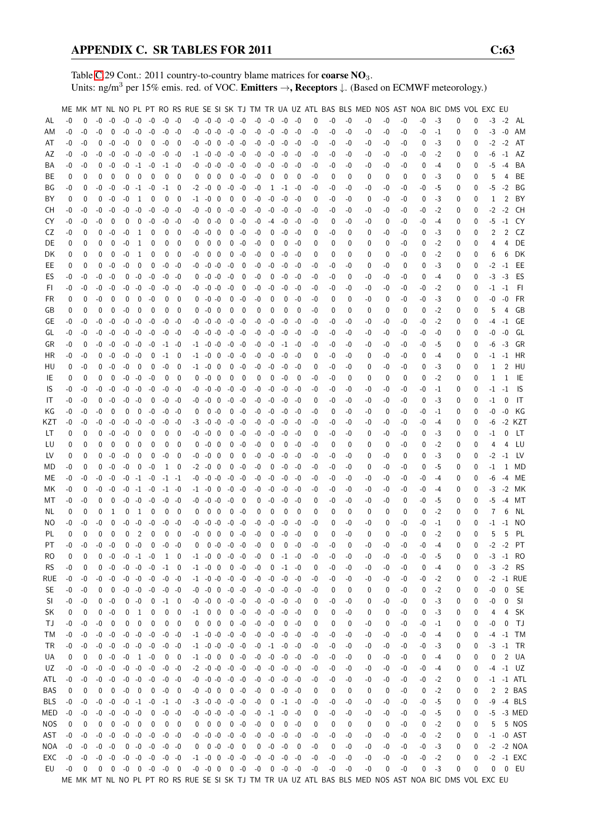Table [C.](#page-2-0)29 Cont.: 2011 country-to-country blame matrices for **coarse NO**<sub>3</sub>. Units: ng/m<sup>3</sup> per 15% emis. red. of VOC. Emitters →, Receptors ↓. (Based on ECMWF meteorology.)

|           |      |             |          |                         |      |                |                          |                                      |                |          |                          |                         |             |                          |      |             |                     |             |      |      |          | ME MK MT NL NO PL PT RO RS RUE SE SI SK TJ TM TR UA UZ ATL BAS BLS MED NOS AST NOA BIC DMS VOL EXC EU |      |      |      |         |   |          |      |                |                 |
|-----------|------|-------------|----------|-------------------------|------|----------------|--------------------------|--------------------------------------|----------------|----------|--------------------------|-------------------------|-------------|--------------------------|------|-------------|---------------------|-------------|------|------|----------|-------------------------------------------------------------------------------------------------------|------|------|------|---------|---|----------|------|----------------|-----------------|
|           | $-0$ | $\Omega$    | $-0$     | $-0$                    |      | $-0 -0$        | $-0$                     | $-0$ $-0$                            |                |          | $-0$ $-0$ $-0$ $-0$ $-0$ |                         |             |                          | $-0$ | $-0$        | -0                  | -0          | 0    | -0   | $-0$     | -0                                                                                                    | -0   | -0   | $-0$ | $-3$    | 0 | 0        | $-3$ | $-2$           | AL              |
| AL        |      |             |          |                         |      |                |                          |                                      |                |          |                          |                         |             |                          |      |             |                     |             |      |      |          |                                                                                                       |      |      |      |         |   |          |      |                |                 |
| ΑM        | -0   | $-0$        | -0       | $\mathbf 0$             | $-0$ | -0             | $-0$                     | -0 -0                                |                | -0       | $-0 - 0$                 |                         | $-0$ $-0$   |                          | -0   | $-0$        | $-0$                | $-0$        | -0   | -0   | -0       | -0                                                                                                    | -0   | $-0$ | $-0$ | $-1$    | 0 | 0        | $-3$ | $-0$           | AM              |
| AT        | $-0$ | -0          | 0        | -0                      | -0   | 0              | 0                        | $-0$                                 | 0              | -0       | -0                       | $\overline{\mathbf{0}}$ | $-0$        | -0                       | -0   | -0          | $-0$                | $-0$        | -0   | -0   | -0       | -0                                                                                                    | -0   | -0   | 0    | -3      | 0 | 0        | $-2$ | $-2$           | AT              |
| AZ        | -0   | -0          | -0       | -0                      |      | $-0 - 0$       | $-0$                     | $-0$                                 | -0             |          | $-1$ $-0$ $-0$           |                         | -0 -0       |                          | -0   | $-0$        | $-0$                | $-0$        | -0   | -0   | -0       | -0                                                                                                    | -0   | -0   | -0   | $-2$    | 0 | 0        | -6   | $-1$           | AZ              |
| BA        | -0   | -0          | 0        | -0                      |      | $-0$ $-1$ $-0$ |                          |                                      | $-1 - 0$       | -0       | $-0$ $-0$                |                         | $-0 - 0$    |                          | -0   | $-0$        | -0                  | -0          | -0   | -0   | -0       | -0                                                                                                    | -0   | -0   | 0    | $-4$    | 0 | $\Omega$ | -5   | $-4$           | BA              |
| BE        | 0    | 0           | 0        | $\mathbf 0$             | 0    | 0              | $\mathbf{0}$             | 0                                    | 0              | 0        | 0                        | - 0                     | 0           | -0                       | -0   | 0           | 0                   | 0           | -0   | 0    | 0        | 0                                                                                                     | 0    | 0    | 0    | -3      | 0 | 0        | 5    | 4              | BЕ              |
| ΒG        | -0   | 0           | -0       | $-0$                    | $-0$ | $-1$           | $-0$                     | $-1$                                 | 0              | -2       | -0                       | $\mathbf 0$             | $-0$        | $-0$                     | -0   | 1           | $-1$                | -0          | -0   | -0   | -0       | -0                                                                                                    | -0   | -0   | -0   | -5      | 0 | 0        | -5   | $-2$           | ΒG              |
| BY        | 0    | 0           | 0        | $-0$                    | -0   | 1              | 0                        | $\mathbf{0}$                         | 0              | $-1$     | $-0$                     | $\overline{\mathbf{0}}$ | 0           | $\overline{\mathbf{0}}$  | -0   | $-0$        | $-0$                | -0          | 0    | -0   | -0       | 0                                                                                                     | -0   | -0   | 0    | -3      | 0 | 0        | 1    | 2              | BY              |
|           |      |             | $-0$     | -0                      | $-0$ | -0             |                          |                                      |                |          | -0                       | $\overline{\mathbf{0}}$ | -0          | -0                       |      |             | -0                  |             |      |      |          |                                                                                                       |      |      |      |         |   |          |      | $-2$           | CН              |
| CН        | -0   | -0          |          |                         |      |                | $-0$                     | -0                                   | -0             | -0       |                          |                         |             |                          | -0   | -0          |                     | -0          | -0   | -0   | -0       | -0                                                                                                    | -0   | -0   | -0   | $-2$    | 0 | 0        | $-2$ |                |                 |
| CY        | $-0$ | -0          | -0       | 0                       | 0    | $\mathbf 0$    | $-0$                     |                                      | $-0 - 0$       | -0       |                          | $0 - 0$                 | 0           | -0                       | -0   | $-4$        | $-0$                | -0          | -0   | 0    | -0       | -0                                                                                                    | 0    | -0   | -0   | $-4$    | 0 | 0        | -5   | $-1$           | CY              |
| CZ        | -0   | 0           | $\Omega$ | -0                      | -0   | 1              | 0                        | 0                                    | 0              | -0       | -0                       | - 0                     | 0           | $-0$                     | -0   | 0           | -0                  | $-0$        | 0    | -0   | $\Omega$ | 0                                                                                                     | -0   | -0   | 0    | -3      | 0 | 0        | 2    | $\overline{2}$ | CZ              |
| DE        | 0    | 0           | 0        | 0                       | -0   | 1              | 0                        | 0                                    | $\mathbf 0$    | 0        |                          | $0\quad 0$              | 0           | -0                       | -0   | 0           | 0                   | -0          | 0    | 0    | 0        | 0                                                                                                     | 0    | -0   | 0    | -2      | 0 | 0        | 4    | 4              | DE              |
| DK        | 0    | 0           | 0        | 0                       | $-0$ | 1              | 0                        | 0                                    | 0              | -0       | $0\quad 0$               |                         | 0           | -0                       | -0   | 0           | $-0$                | -0          | 0    | 0    | 0        | 0                                                                                                     | 0    | -0   | 0    | $-2$    | 0 | 0        | 6    | 6              | DK              |
| EE        | 0    | 0           | 0        | -0                      | -0   | 0              | 0                        |                                      | $-0 - 0$       | -0       | $-0 - 0$                 |                         | -0          | 0                        | -0   | $-0$        | $-0$                | -0          | -0   | -0   | -0       | 0                                                                                                     | -0   | 0    | 0    | -3      | 0 | 0        | $-2$ | $-1$           | EE              |
| ES        | $-0$ | -0          | -0       | $-0$                    | 0    | $-0$           | $-0$                     | -0                                   | -0             | 0        | $-0 - 0$                 |                         | $-0$        | 0                        | -0   | 0           | $-0$                | -0          | -0   | -0   | 0        | -0                                                                                                    | -0   | -0   | 0    | $-4$    | 0 | 0        | $-3$ | $-3$           | ES              |
| FI.       | -0   | -0          | -0       | -0                      | -0   | $-0$           | $-0$                     | -0                                   | -0             | -0       | $-0 - 0$                 |                         | $-0$        | $\overline{0}$           | -0   | -0          | $-0$                | -0          | -0   | -0   | -0       | -0                                                                                                    | -0   | -0   | -0   | $-2$    | 0 | 0        | -1   | $-1$           | -FI             |
| FR.       | 0    | 0           | -0       | $\mathbf 0$             | 0    | $\mathbf 0$    | $-0$                     | 0                                    | 0              | 0        | $-0 -0$                  |                         | 0           | $-0$                     | -0   | 0           | 0                   | -0          | -0   | 0    | 0        | -0                                                                                                    | 0    | -0   | -0   | -3      | 0 | 0        | -0   | $-0$           | <b>FR</b>       |
| GB        | 0    | 0           | 0        | $\mathbf 0$             | -0   | 0              | 0                        | 0                                    | 0              | 0        | -0                       | $\overline{\mathbf{0}}$ | 0           | 0                        | 0    | 0           | 0                   | 0           | -0   | 0    | 0        | 0                                                                                                     | 0    | 0    | 0    | $-2$    | 0 | 0        | 5    | 4              | GB              |
| GE        | -0   | -0          | -0       | -0                      | -0   | $-0$           | $-0$                     | -0                                   | -0             | -0       | $-0 - 0$                 |                         | $-0$        | -0                       | -0   | -0          | -0                  | -0          | -0   | -0   | -0       | -0                                                                                                    | -0   | -0   | -0   | $-2$    | 0 | 0        | -4   | $-1$           | GE              |
| GL        | -0   | -0          | -0       | -0                      |      | $-0 - 0$       | $-0$                     | $-0$                                 | -0             |          | $-0$ $-0$ $-0$           |                         |             | $-0 - 0$                 | -0   | -0          | $-0$                | -0          | -0   | -0   | -0       | -0                                                                                                    | -0   | -0   | -0   | -0      | 0 | 0        | -0   | -0             | GL              |
| GR        | -0   | 0           | -0       | -0                      |      | $-0 - 0$       | $-0$                     |                                      |                |          | $-1$ $-0$ $-0$           |                         | -0 -0       |                          | -0   | $-0$        | $-1$                | -0          | -0   | -0   | -0       | -0                                                                                                    | -0   | -0   | -0   | -5      | 0 | $\Omega$ | -6   | $-3$           | GR              |
|           |      |             |          |                         |      |                |                          |                                      | $-1 - 0$       |          |                          |                         |             |                          |      |             |                     |             |      |      |          |                                                                                                       |      |      |      |         |   |          |      |                |                 |
| ΗR        | -0   | -0          | 0        | -0                      |      | $-0 - 0$       | 0                        | $-1$                                 | 0              |          | $-1$ $-0$ 0              |                         |             | $-0 -0$                  | -0   | -0          | $-0$                | -0          | 0    | -0   | -0       | 0                                                                                                     | -0   | -0   | 0    | $-4$    | 0 | 0        | -1   | $-1$           | HR              |
| HU        | 0    | -0          | 0        | $-0$                    | $-0$ | $\mathbf{0}$   | 0                        | -0                                   | $\mathbf 0$    | -1       | -0                       | 0                       | 0           | $-0$                     | -0   | -0          | $-0$                | -0          | 0    | -0   | -0       | 0                                                                                                     | -0   | -0   | 0    | -3      | 0 | $\Omega$ | 1    | $\overline{2}$ | HU              |
| IE        | 0    | 0           | $\Omega$ | 0                       |      | $-0 - 0$       | $-0$                     | $\mathbf 0$                          | 0              | 0        | $-0 \quad 0$             |                         | 0           | - 0                      | 0    | 0           | $-0$                | 0           | -0   | -0   | 0        | 0                                                                                                     | 0    | 0    | 0    | $-2$    | 0 | 0        | 1    | 1              | IE              |
| IS.       | -0   | -0          | -0       | -0                      | $-0$ | $-0$           | $-0$                     | -0                                   | -0             | -0       | $-0 - 0$                 |                         | $-0$        | -0                       | -0   | -0          | $-0$                | -0          | -0   | -0   | -0       | -0                                                                                                    | -0   | -0   | -0   | $^{-1}$ | 0 | 0        | -1   | $-1$           | 1S              |
| IT        | $-0$ | -0          | $\Omega$ | -0                      |      | $-0 - 0$       | 0                        |                                      | $-0 - 0$       | -0       | $-0$ 0                   |                         | $-0$        | -0                       | -0   | -0          | $-0$                | $-0$        | 0    | -0   | -0       | -0                                                                                                    | -0   | -0   | 0    | -3      | 0 | 0        | $-1$ | 0              | IT              |
| ΚG        | -0   | -0          | -0       | 0                       | 0    | $\mathbf 0$    | $-0$                     | -0                                   | -0             | 0        | $0 - 0$                  |                         | $\mathbf 0$ | $-0$                     | -0   | -0          | $-0$                | -0          | -0   | 0    | -0       | -0                                                                                                    | 0    | -0   | -0   | -1      | 0 | 0        | -0   | -0             | KG              |
| KZT       | -0   | -0          | -0       | -0                      | -0   | $-0$           | $-0$                     | -0                                   | -0             | -3       | $-0 - 0$                 |                         |             | $-0 -0$                  | -0   | $-0$        | $-0$                | -0          | -0   | -0   | -0       | -0                                                                                                    | -0   | -0   | -0   | $-4$    | 0 | 0        | -6   |                | -2 KZT          |
| LT        | 0    | 0           | 0        | -0                      | $-0$ | $\mathbf 0$    | 0                        | 0                                    | 0              | -0       | $-0 \quad 0$             |                         | 0           | -0                       | -0   | $-0$        | $-0$                | -0          | 0    | -0   | -0       | 0                                                                                                     | -0   | -0   | 0    | -3      | 0 | 0        | -1   | 0              | LT              |
| LU        | 0    | 0           | 0        | 0                       | 0    | 0              | 0                        | 0                                    | 0              | 0        | -0                       | - 0                     | 0           | $-0$                     | -0   | 0           | 0                   | -0          | -0   | 0    | 0        | 0                                                                                                     | 0    | -0   | 0    | -2      | 0 | 0        | 4    | 4              | LU              |
| LV        | 0    | 0           | 0        | $-0$                    | $-0$ | 0              | 0                        | -0                                   | $\mathbf 0$    | -0       | -0                       | 0                       | 0           | 0                        | -0   | -0          | $-0$                | -0          | -0   | -0   | -0       | 0                                                                                                     | -0   | 0    | 0    | -3      | 0 | 0        | $-2$ | $-1$           | LV              |
| MD        | -0   | 0           | $\Omega$ | $-0$                    | $-0$ | $\mathbf 0$    | $-0$                     | 1                                    | $\overline{0}$ | $-2$     | $-0 \quad 0$             |                         | 0           | -0                       | $-0$ | $\mathbf 0$ | $-0$                | -0          | -0   | -0   | -0       | 0                                                                                                     | -0   | -0   | 0    | -5      | 0 | 0        | $-1$ | 1              | MD              |
| ME        | -0   | -0          | -0       | -0                      | $-0$ |                | $-1 - 0$                 | $-1$ $-1$                            |                | -0       | $-0 - 0$                 |                         | $-0 -0$     |                          | $-0$ | $-0$        | $-0$                | -0          | -0   | -0   | -0       | -0                                                                                                    | -0   | -0   | -0   | $-4$    | 0 | 0        | -6   | $-4$           | ME              |
|           |      |             |          |                         |      |                |                          |                                      |                |          | $-1 - 0$                 |                         |             |                          |      |             |                     |             |      |      |          |                                                                                                       |      |      |      |         |   |          |      |                |                 |
| МK        | -0   | 0           | -0       | $-0$                    | -0   | $-1$           | -0                       |                                      | $-1 - 0$       |          |                          | 0                       |             | $-0 -0$                  | -0   | -0          | -0                  | $-0$        | -0   | -0   | -0       | -0                                                                                                    | -0   | -0   | -0   | $-4$    | 0 | 0        | -3   | $-2$           | МK              |
| МT        | -0   | -0          | 0        | 0                       | -0   | $-0$           | $-0$                     | -0                                   | -0             |          | $-0$ $-0$ $-0$           |                         | $-0$        | $\overline{\phantom{0}}$ | 0    | -0          | -0                  | -0          | 0    | -0   | -0       | -0                                                                                                    | -0   | 0    | -0   | -5      | 0 | 0        | -5   | $-4$           | МT              |
| NL.       | 0    | 0           | 0        | 1                       | 0    | 1              | 0                        | 0                                    | 0              | 0        | $\mathbf{0}$             | $\overline{\mathbf{0}}$ |             | $0 - 0$                  | 0    | 0           | 0                   | 0           | 0    | 0    | 0        | 0                                                                                                     | 0    | 0    | 0    | $-2$    | 0 | 0        | 7    | 6              | NL              |
| ΝO        | -0   | -0          | -0       | 0                       | -0   | $-0$           | $-0$                     | -0                                   | -0             | -0       | $-0 - 0$                 |                         |             | $-0 - 0$                 | -0   | -0          | -0                  | -0          | -0   | 0    | -0       | -0                                                                                                    | 0    | -0   | -0   | -1      | 0 | 0        | -1   | $-1$           | NO.             |
| PL        | 0    | 0           | 0        | 0                       | 0    | 2              | $\mathbf{0}$             | 0                                    | $\mathbf 0$    | -0       | 0                        | $\mathbf{0}$            | 0           | $-0$                     | $-0$ | 0           | $-0$                | $-0$        | 0    | 0    | $-0$     | $\mathbf 0$                                                                                           | 0    | $-0$ | 0    | $-2$    | 0 | $\Omega$ | 5    | 5              | PL              |
| PT        | $-0$ | $-0$        | $-0$     | $-0$                    |      | $0 - 0$        | $\mathbf 0$              | $-0 - 0$                             |                | $\Omega$ |                          | $0 - 0$                 | $-0 - 0$    |                          | $-0$ | 0           | $\mathbf 0$         | -0          | $-0$ | $-0$ | 0        | $-0$                                                                                                  | $-0$ | $-0$ | $-0$ | $-4$    | 0 | 0        |      |                | $-2$ $-2$ PT    |
| RO        | 0    | 0           | 0        | -0                      |      | $-0$ $-1$ $-0$ |                          | 1 0                                  |                |          | $-1$ $-0$ 0 $-0$ $-0$    |                         |             |                          | $-0$ | 0           | $-1$                | -0          | -0   | -0   | -0       | -0                                                                                                    | -0   | -0   | -0   | -5      | 0 | 0        |      |                | $-3 - 1$ RO     |
| <b>RS</b> | -0   | 0           | 0        | -0                      |      | $-0$ $-0$ $-0$ |                          | $-1$ 0                               |                |          | $-1$ $-0$ 0              |                         | $0 - 0$     |                          | $-0$ | 0           | $-1 - 0$            |             | 0    | -0   | -0       | -0                                                                                                    | -0   | -0   | 0    | -4      | 0 | 0        |      | $-3 -2$        | <b>RS</b>       |
| rue       | $-0$ | -0          |          | $-0 - 0$                |      | $-0 - 0$       | $-0$                     | $-0 - 0$                             |                |          | $-1$ $-0$ $-0$ $-0$ $-0$ |                         |             |                          | -0   | $-0$        | $-0$                | -0          | -0   | -0   | -0       | -0                                                                                                    | -0   | -0   | -0   | $-2$    | 0 | 0        | $-2$ |                | -1 RUE          |
| SE        | -0   | -0          | 0        | 0                       |      | $-0 - 0$       | $-0$                     | -0 -0                                |                |          | $-0$ $-0$ $0$ $-0$ $-0$  |                         |             |                          |      |             | $-0$ $-0$ $-0$      | -0          | -0   | 0    | 0        | 0                                                                                                     | 0    | -0   | 0    | $-2$    | 0 | 0        | -0   |                | 0 SE            |
| SI.       | -0   | -0          |          | $0 - 0$                 |      | $0 - 0$        | $\overline{\mathbf{0}}$  | $-1$ 0                               |                |          | $-0$ $-0$ $0$ $-0$ $-0$  |                         |             |                          |      | $-0 - 0$    | -0                  | -0          | 0    | -0   | -0       | 0                                                                                                     | -0   | -0   | 0    | -3      | 0 | 0        | -0   | 0              | - SI            |
| SK        | 0    | 0           | 0        | $-0$                    | 0    | 1              | 0                        | 0                                    | 0              | $-1$     | $0\quad 0$               |                         |             | $0 - 0$                  |      | $-0 - 0$    | $-0$                | -0          | 0    | 0    | -0       | 0                                                                                                     | 0    | -0   | 0    | $-3$    | 0 | 0        | 4    | 4              | <b>SK</b>       |
| TJ        | -0   | -0          | -0       | 0                       | 0    | 0              | 0                        | 0                                    | 0              | 0        | $0\quad 0$               |                         |             | $0 - 0$                  | $-0$ | $-0$        | 0                   | $-0$        | 0    | 0    | 0        | -0                                                                                                    | 0    | -0   | -0   | $-1$    | 0 | 0        | -0   | $\mathbf{0}$   | TJ              |
|           |      |             |          |                         |      |                |                          |                                      |                |          |                          |                         |             |                          |      |             |                     |             |      |      |          |                                                                                                       |      |      |      |         |   |          |      |                |                 |
| ТM        | $-0$ | $-0$        |          | $-0 - 0$                |      | $-0 - 0$       | $-0$                     | $-0 -0$                              |                |          | $-1$ $-0$ $-0$ $-0$ $-0$ |                         |             |                          |      | $-0 - 0$    | $-0$                | $-0$        | -0   | -0   | -0       | -0                                                                                                    | -0   | -0   | $-0$ | -4      | 0 | 0        | -4   | $-1$           | TM              |
| TR        | -0   | -0          |          | $-0 - 0$                |      | $-0$ $-0$ $-0$ |                          | $-0$ $-0$                            |                |          | $-1$ $-0$ $-0$ $-0$ $-0$ |                         |             |                          |      |             | $-0$ $-1$ $-0$      | -0          | -0   | -0   | -0       | -0                                                                                                    | -0   | -0   | -0   | -3      | 0 | 0        |      |                | $-3$ $-1$ TR    |
| UA        | 0    | 0           | 0        | -0                      |      | $-0$ 1 $-0$    |                          |                                      | $0\quad 0$     |          | $-1$ $-0$ 0              |                         | $0 - 0$     |                          |      | $-0 - 0$    | -0                  | $-0$        | -0   | -0   | -0       | 0                                                                                                     | -0   | -0   | 0    | -4      | 0 | 0        | 0    |                | 2 UA            |
| UZ        | -0   | -0          |          | $-0 - 0$                |      | $-0 - 0$       | $-0$                     | $-0 -0$                              |                |          | $-2$ $-0$ $-0$ $-0$ $-0$ |                         |             |                          | -0   | -0          | $-0$                | $-0$        | -0   | -0   | -0       | -0                                                                                                    | -0   | -0   | -0   | $-4$    | 0 | 0        |      |                | $-4 -1$ UZ      |
| ATL       | -0   | -0          |          | $-0 - 0$                |      |                |                          | $-0$ $-0$ $-0$ $-0$ $-0$             |                |          | $-0$ $-0$ $-0$ $-0$ $-0$ |                         |             |                          |      |             | $-0$ $-0$ $-0$      | $-0$        | -0   | -0   | -0       | -0                                                                                                    | -0   | -0   | -0   | $-2$    | 0 | 0        |      |                | $-1$ $-1$ $ATL$ |
| BAS       | 0    | 0           | 0        | $\overline{\mathbf{0}}$ |      | $-0$ 0         | $\overline{\phantom{0}}$ | $-0$ 0                               |                |          | $-0$ $-0$ 0 0 $-0$       |                         |             |                          | $-0$ |             | $0 - 0$             | -0          | 0    | 0    | 0        | 0                                                                                                     | 0    | -0   | 0    | $-2$    | 0 | 0        | 2    |                | 2 BAS           |
| BLS       | $-0$ | $-0$        |          | $-0 - 0$                |      | $-0$ $-1$ $-0$ |                          | $-1 - 0$                             |                |          | $-3$ $-0$ $-0$ $-0$ $-0$ |                         |             |                          | $-0$ | 0           | $-1$                | $-0$        | -0   | -0   | -0       | -0                                                                                                    | -0   | -0   | -0   | $-5$    | 0 | 0        | -9   |                | -4 BLS          |
| MED       | $-0$ | $-0$        |          | $-0 - 0$                |      | $-0 - 0$       | 0                        |                                      | $-0 - 0$       |          | $-0$ $-0$ $-0$ $-0$ $-0$ |                         |             |                          |      | $-0$ $-1$   | $-0$                | $-0$        | 0    | -0   | -0       | -0                                                                                                    | -0   | -0   | -0   | $-5$    | 0 | 0        | -5   |                | -3 MED          |
| NOS.      | 0    | 0           | 0        | $\mathbf 0$             |      | $-0$ 0         | $\mathbf 0$              |                                      | $0\quad 0$     |          | $0 \t0 \t0 \t0 \t-0$     |                         |             |                          | $-0$ | 0           | 0                   | $-0$        | 0    | 0    | 0        | 0                                                                                                     | 0    | -0   | 0    | $-2$    | 0 | 0        | 5    |                | 5 NOS           |
| AST       | $-0$ | -0          | $-0$     | $-0$                    |      | $-0 - 0$       | $-0$                     | $-0 - 0$                             |                |          | $-0$ $-0$ $-0$ $-0$ $-0$ |                         |             |                          |      | $-0 - 0$    | -0                  | $-0$        | -0   | -0   | -0       | -0                                                                                                    | -0   | -0   | $-0$ | $-2$    | 0 | 0        |      |                | $-1$ $-0$ AST   |
| NOA       | $-0$ | -0          |          | $-0 - 0$                |      | $0 - 0 - 0$    |                          | $-0 - 0$                             |                |          | $0 \t 0 -0 -0 0$         |                         |             |                          |      | $0 - 0$     | -0                  | $\mathbf 0$ | -0   | 0    | -0       | -0                                                                                                    | -0   | -0   | $-0$ | $-3$    | 0 | 0        |      |                | $-2$ $-2$ NOA   |
| EXC       | $-0$ | $-0$        |          | $-0 - 0$                |      |                |                          | $-0$ $-0$ $-0$ $-0$ $-0$             |                |          | $-1$ $-0$ 0 $-0$ $-0$    |                         |             |                          |      |             | $-0$ $-0$ $-0$ $-0$ |             | $-0$ | -0   | $-0$     | $-0$                                                                                                  | $-0$ | -0   | -0   | $-2$    | 0 | 0        |      |                | -2 -1 EXC       |
| EU        | $-0$ | $\mathbf 0$ |          |                         |      |                |                          | $0 \t 0 \t -0 \t 0 \t -0 \t -0 \t 0$ |                |          |                          |                         |             |                          |      |             |                     |             | -0   | -0   | $-0$     | -0                                                                                                    | 0    | -0   | 0    | $-3$    | 0 | 0        | 0    |                | 0 EU            |
|           |      |             |          |                         |      |                |                          |                                      |                |          |                          |                         |             |                          |      |             |                     |             |      |      |          | ME MK MT NL NO PL PT RO RS RUE SE SI SK TJ TM TR UA UZ ATL BAS BLS MED NOS AST NOA BIC DMS VOL EXC EU |      |      |      |         |   |          |      |                |                 |
|           |      |             |          |                         |      |                |                          |                                      |                |          |                          |                         |             |                          |      |             |                     |             |      |      |          |                                                                                                       |      |      |      |         |   |          |      |                |                 |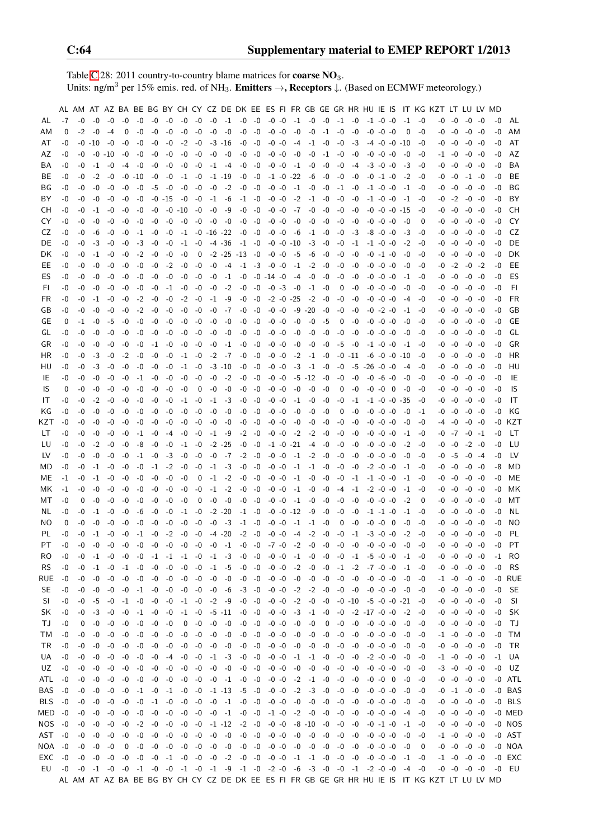Table [C.](#page-2-0)28: 2011 country-to-country blame matrices for **coarse NO**<sub>3</sub>. Units: ng/m<sup>3</sup> per 15% emis. red. of NH<sub>3</sub>. **Emitters**  $\rightarrow$ **, Receptors**  $\downarrow$ . (Based on ECMWF meteorology.)

|           |      | AL AM AT AZ BA BE BG BY CH CY CZ DE DK EE ES FI FR GB GE GR HR HU IE IS |          |        |      |          |                                                                                                                              |         |           |          |                  |            |                                                |                     |                 |    |                 |                |      |      |            |                                         |                      |                          |              |                          | IT KG KZT LT LU LV MD                                                                         |           |                     |          |      |           |
|-----------|------|-------------------------------------------------------------------------|----------|--------|------|----------|------------------------------------------------------------------------------------------------------------------------------|---------|-----------|----------|------------------|------------|------------------------------------------------|---------------------|-----------------|----|-----------------|----------------|------|------|------------|-----------------------------------------|----------------------|--------------------------|--------------|--------------------------|-----------------------------------------------------------------------------------------------|-----------|---------------------|----------|------|-----------|
| AL        | $-7$ | -0                                                                      | -0       | -0     | -0   | -0       | -0                                                                                                                           | -0      | -0        | $-0$     | $-0$             | $-1$       | $-0$                                           | -0                  | $-0$ $-0$       |    | $-1$ $-0$       |                | $-0$ | $-1$ | -0         | $-1$ $-0$ $-0$                          |                      |                          | $-1$         | -0                       | -0                                                                                            | $-0$      | -0                  | -0       | -0   | AL        |
| AM        | 0    | $-2$                                                                    | -0       | $-4$   | 0    | $-0$     | -0                                                                                                                           | -0      | -0        | $-0$     | $-0$             | $-0$       | $-0$                                           | $-0$                | $-0 -0$         |    | $-0$            | -0             | -1   | $-0$ | $-0$       |                                         | $-0$ $-0$ $-0$       |                          | 0            | -0                       |                                                                                               | $-0 - 0$  | $-0$                | -0       | $-0$ | AM        |
| AT        | -0   | -0                                                                      | $-10$    | -0     | -0   | -0       | -0                                                                                                                           | -0      | $-2$      | $-0$     |                  | $-3 - 16$  | $-0$                                           | $-0$                | $-0 -0$         |    | -4              | $-1$           | $-0$ | $-0$ | $-3$       |                                         | $-4$ $-0$ $-0$ $-10$ |                          |              | -0                       |                                                                                               | $-0 - 0$  | -0                  | -0       | -0   | AT        |
| AZ        | -0   | -0                                                                      |          | -0 -10 | -0   | -0       | -0                                                                                                                           | -0      | -0        | -0       | $-0$             | -0         | -0                                             | -0                  | $-0 -0$         |    | -0              | -0             | -1   | -0   | -0         |                                         | $-0$ $-0$ $-0$       |                          | -0           | -0                       |                                                                                               | -1 -0     |                     | -0 -0    | -0   | AZ        |
| BA        | -0   | -0                                                                      | -1       | -0     | -4   | -0       | -0                                                                                                                           | -0      | -0        | -0       | $-1$             | -4         | -0                                             | -0                  | $-0 -0$         |    | $-1$            | $-0$           | -0   | -0   | -4         |                                         | $-3$ $-0$ $-0$       |                          | -3           | -0                       |                                                                                               | $-0 - 0$  | -0                  | -0       | -0   | BA        |
| BЕ        | -0   | -0                                                                      | $-2$     | -0     | -0   | -10      | -0                                                                                                                           | -0      | -1        | $-0$     |                  | $-1$ $-19$ | -0                                             | $-0$                |                 |    | $-1$ $-0$ $-22$ | -6             | -0   | $-0$ | -0         |                                         | $-0 -1 -0$           |                          | $-2$         | -0                       | -0                                                                                            | -0        | -1                  | -0       | -0   | BЕ        |
| ΒG        | -0   | -0                                                                      | -0       | -0     | -0   | -0       | -5                                                                                                                           | -0      | -0        | -0       | -0               | $-2$       | -0                                             | $-0$                | $-0 -0$         |    | $-1$            | $-0$           | -0   | $-1$ | -0         |                                         | $-1$ $-0$ $-0$       |                          | $-1$         | -0                       |                                                                                               | -0 -0     | -0                  | -0       | -0   | ΒG        |
| ΒY        | -0   | -0                                                                      | -0       | -0     | -0   | -0       | -0                                                                                                                           | -15     | -0        | -0       | $-1$             | -6         |                                                | $-1$ $-0$           | -0 -0           |    | $-2$            | -1             | -0   | -0   | -0         |                                         | $-1$ $-0$ $-0$       |                          | -1           | -0                       |                                                                                               | $-0$ $-2$ | -0 -0               |          | -0   | BY        |
| CН        | -0   | -0                                                                      | $-1$     | -0     | -0   | -0       | -0                                                                                                                           |         | -0 -10    | -0       | -0               | -9         | $-0$                                           | -0                  | $-0$ $-0$       |    | -7              | $-0$           | -0   | -0   | -0         |                                         |                      |                          | -0 -0 -0 -15 | -0                       |                                                                                               | $-0 - 0$  |                     | -0 -0    | -0   | CH.       |
| CY        | -0   | -0                                                                      | -0       | -0     | -0   | -0       | -0                                                                                                                           | -0      | -0        | -0       | -0               | -0         | -0                                             | -0                  | $-0 -0$         |    | -0              | -0             | -0   | -0   | -0         |                                         | $-0$ $-0$ $-0$       |                          | -0           | $\Omega$                 | -0                                                                                            | -0        | -0                  | -0       | -0   | CY        |
| CZ        | -0   | -0                                                                      | -6       | -0     | -0   | -1       | -0                                                                                                                           | -0      | $-1$      |          | $-0$ $-16$ $-22$ |            | -0                                             | -0                  | $-0 -0$         |    | -6              | $-1$ $-0$      |      | -0   | -3         |                                         | $-8$ $-0$ $-0$       |                          | -3           | -0                       | -0                                                                                            | -0        |                     | -0 -0    | -0   | CZ        |
| DE.       | -0   | -0                                                                      | -3       | -0     | -0   | -3       | -0                                                                                                                           | -0      | $-1$      | -0       |                  | $-4$ $-36$ |                                                | $-1 -0$             |                 |    | -0 -0 -10       | -3             | -0   | -0   | $-1$       |                                         | $-1$ $-0$ $-0$       |                          | $-2$         | -0                       |                                                                                               | $-0 - 0$  |                     | -0 -0    | -0   | DE        |
| DK.       | -0   | -0                                                                      | -1       | -0     | -0   | $-2$     | -0                                                                                                                           | -0      | -0        | 0        |                  |            | $-2$ $-25$ $-13$ $-0$                          |                     | -0 -0           |    | -5              | -6             | -0   | -0   | -0         |                                         | $-0$ $-1$ $-0$       |                          | -0           | -0                       |                                                                                               | $-0 - 0$  | -0                  | -0       | -0   | DK        |
| EE        | -0   | -0                                                                      | -0       | -0     | -0   | -0       | -0                                                                                                                           | $-2$    | -0        | -0       | -0               | -4         |                                                | $-1$ $-3$           | $-0$ $-0$       |    | $-1$            | $-2$           | -0   | -0   | -0         |                                         | $-0$ $-0$ $-0$       |                          | -0           | -0                       | -0                                                                                            | $-2$      | -0                  | -2       | -0   | EE        |
| ES        | -0   | -0                                                                      | -0       | -0     | -0   | -0       | -0                                                                                                                           | -0      | -0        | -0       | -0               | $-1$       | -0                                             |                     | $-0$ $-14$ $-0$ |    | -4              | -0             | -0   | -0   | -0         |                                         | $-0$ $-0$ $-0$       |                          | $-1$         | -0                       |                                                                                               | $-0 - 0$  | -0                  | -0       | -0   | ES        |
| FI.       | $-0$ | -0                                                                      | -0       | -0     | -0   | -0       | -0                                                                                                                           | -1      | -0        | -0       | -0               | $-2$       | -0                                             | -0                  | $-0 -3$         |    | -0              | $-1$           | -0   | 0    | -0         |                                         | $-0$ $-0$ $-0$       |                          | -0           | $-0$                     |                                                                                               | $-0 - 0$  | -0                  | -0       | -0   | FI.       |
| FR        | -0   | -0                                                                      | -1       | -0     | -0   | $-2$     | -0                                                                                                                           | -0      | $-2$      | -0       | $-1$             | -9         | -0                                             | -0                  |                 |    | $-2$ $-0$ $-25$ | $-2$           | -0   | -0   | -0         |                                         | $-0$ $-0$ $-0$       |                          | -4           | -0                       |                                                                                               | -0 -0     | -0                  | -0       | -0   | <b>FR</b> |
| GB        | -0   | -0                                                                      | -0       | -0     | -0   | $-2$     | -0                                                                                                                           | -0      | -0        | -0       | -0               | $-7$       | -0                                             | -0                  | $-0 -0$         |    |                 | $-9 - 20$      | -0   | -0   | -0         |                                         | $-0$ $-2$ $-0$       |                          | $-1$         | -0                       | -0                                                                                            | $-0$      | -0                  | -0       | -0   | GB        |
| GЕ        | 0    | $-1$                                                                    | -0       | -5     | -0   | -0       | -0                                                                                                                           | -0      | -0        | -0       | -0               | $-0$       | -0                                             | -0                  | $-0 -0$         |    | -0              | -0             | -5   | 0    | -0         |                                         | $-0$ $-0$ $-0$       |                          | -0           | -0                       | -0                                                                                            | -0        | -0                  | -0       | -0   | GЕ        |
| GL        | -0   | -0                                                                      | -0       | -0     | -0   | -0       | -0                                                                                                                           | -0      | -0        | -0       | -0               | $-0$       | -0                                             | -0                  | $-0 -0$         |    | -0              | -0             | -0   | -0   | -0         |                                         | $-0$ $-0$ $-0$       |                          | -0           | -0                       | -0                                                                                            | -0        | -0                  | -0       | -0   | GL        |
| GR        | -0   | -0                                                                      | -0       | -0     | -0   | -0       | -1                                                                                                                           | $-0$    | -0        | -0       | $-0$             | $-1$       | -0                                             | $-0$                | $-0 -0$         |    | -0              | $-0$           | -0   | -5   | $-0$       |                                         | $-1$ $-0$ $-0$       |                          | $-1$         | -0                       | -0                                                                                            | -0        | -0                  | -0       | -0   | GR        |
| ΗR        | -0   | -0                                                                      | -3       | -0     | -2   | -0       | -0                                                                                                                           | -0      | -1        | -0       | $-2$             | $-7$       | -0                                             | $-0$                | -0              | -0 | $-2$            | $-1$           | -0   |      | $-0$ $-11$ |                                         | $-6$ $-0$ $-0$ $-10$ |                          |              | -0                       | -0                                                                                            | -0        | -0                  | -0       | -0   | HR        |
| HU        | -0   | -0                                                                      | $-3$     | -0     | -0   | -0       | -0                                                                                                                           | -0      | $-1$      | -0       |                  | $-3 - 10$  | -0                                             | -0                  | $-0 -0$         |    | $-3$            | -1             | -0   | -0   |            | $-5$ $-26$ $-0$ $-0$                    |                      |                          | -4           | -0                       | -0                                                                                            | -0        | -0                  | -0       | -0   | HU        |
| IE        | -0   | -0                                                                      | -0       | -0     | -0   | $-1$     | -0                                                                                                                           | -0      | -0        | -0       | -0               | $-2$       | -0                                             | -0                  | -0 -0           |    |                 | $-5$ $-12$     | -0   | -0   | -0         |                                         | $-0$ $-6$ $-0$       |                          | -0           | -0                       | -0                                                                                            | -0        | -0                  | -0       | -0   | IE        |
| IS        | 0    | -0                                                                      | -0       | -0     | -0   | -0       | -0                                                                                                                           | -0      | -0        | 0        | $-0$             | $-0$       | -0                                             | -0                  | $-0 -0$         |    | -0              | -0             | -0   | 0    | -0         | $-0 - 0$                                |                      | $\overline{\phantom{0}}$ | -0           | -0                       |                                                                                               | -0 -0     | -0                  | -0       | -0   | IS        |
| ΙT        | -0   | -0                                                                      | $-2$     | -0     | -0   | -0       | -0                                                                                                                           | -0      | $-1$      | -0       | $-1$             | -3         | -0                                             | -0                  | $-0 -0$         |    | $-1$            | -0             | -0   | -0   | $-1$       |                                         | $-1$ $-0$ $-0$ $-35$ |                          |              | -0                       | -0                                                                                            | $-0$      | -0                  | -0       | -0   | IT        |
| ΚG        | -0   | -0                                                                      | -0       | -0     | -0   | -0       | -0                                                                                                                           | -0      | -0        | -0       | $-0$             | -0         | -0                                             | -0                  | $-0 -0$         |    | -0              | -0             | -0   | 0    | -0         |                                         | $-0$ $-0$ $-0$       |                          | -0           | $-1$                     |                                                                                               | -0 -0     | -0                  | -0       | -0   | ΚG        |
| KZT       | -0   | -0                                                                      | -0       | -0     | -0   | -0       | -0                                                                                                                           | -0      | -0        | -0       | $-0$             | -0         | -0                                             | -0                  | $-0 -0$         |    | -0              | -0             | -0   | -0   | -0         |                                         | $-0$ $-0$ $-0$       |                          | -0           | -0                       | -4                                                                                            | -0        | -0                  | -0       | -0   | KZT       |
| LТ        | -0   | -0                                                                      | -0       | -0     | -0   | -1       | -0                                                                                                                           | -4      | $-0$      | -0       | $-1$             | -9         |                                                | $-2 - 0$            | $-0 -0$         |    | $-2$            | -2             | -0   | -0   | -0         |                                         | $-0$ $-0$ $-0$       |                          | $-1$         | -0                       |                                                                                               | -0 -7     | -0                  | -1       | -0   | LT        |
| LU        | -0   | -0                                                                      | $-2$     | -0     | -0   | -8       | -0                                                                                                                           | -0      | -1        | -0       | $-2$             | $-25$      | -0                                             | $-0$                |                 |    | $-1$ $-0$ $-21$ | -4             | -0   | -0   | -0         |                                         | $-0$ $-0$ $-0$       |                          | $-2$         | -0                       | -0                                                                                            | -0        | $-2$                | -0       | -0   | LU        |
| LV.       | -0   | -0                                                                      | -0       | -0     | -0   | $-1$     | -0                                                                                                                           | -3      | -0        | -0       | -0               | -7         |                                                | $-2 - 0$            | $-0 -0$         |    |                 | $-1$ $-2$ $-0$ |      | -0   | -0         |                                         | $-0$ $-0$ $-0$       |                          | -0           | -0                       |                                                                                               | $-0$ $-5$ | -0                  | -4       | -0   | LV        |
| MD        | -0   | -0                                                                      | $-1$     | -0     | -0   | -0       | -1                                                                                                                           | $-2$    | -0        | -0       | $-1$             | -3         | -0                                             | -0                  | $-0$ $-0$       |    |                 | $-1$ $-1$ $-0$ |      | -0   | -0         |                                         | $-2 - 0 - 0$         |                          | $-1$         | -0                       |                                                                                               | -0 -0     | -0                  | -0       | -8   | MD        |
| ME        | -1   | -0                                                                      | -1       | -0     | -0   | -0       | -0                                                                                                                           | -0      | -0        | 0        | $-1$             | $-2$       | $-0$                                           | $-0$                | $-0 -0$         |    | $-1$            | $-0$           | -0   | -0   | $-1$       |                                         | $-1$ $-0$ $-0$       |                          | $-1$         | -0                       |                                                                                               | -0 -0     | -0                  | -0       | -0   | MЕ        |
| МK        | -1   | -0                                                                      | -0       | -0     | -0   | -0       | -0                                                                                                                           | -0      | -0        | -0       | $-1$             | $-2$       | $-0$                                           | $-0$                | $-0 -0$         |    | $-1$            | -0             | -0   | $-4$ | -1         |                                         | $-2 - 0 - 0$         |                          | $-1$         | -0                       | -0                                                                                            | -0        | -0                  | -0       | -0   | МK        |
| мт        | -0   | 0                                                                       | -0       | -0     | -0   | -0       | -0                                                                                                                           | -0      | -0        | 0        | -0               | -0         |                                                | $-0 - 0$            | $-0$ $-0$       |    | $-1$            | $-0$           | -0   | -0   | -0         |                                         | $-0$ $-0$ $-0$       |                          | $-2$         | 0                        |                                                                                               | -0 -0     | -0                  | -0       | -0   | МT        |
| NL.       | -0   | -0                                                                      | -1       | -0     | -0   | -6       | -0                                                                                                                           | $-0$    | -1        | -0       |                  | $-2 - 20$  |                                                | $-1 - 0$            |                 |    | $-0$ $-0$ $-12$ | -9             | -0   | -0   | -0         |                                         | $-1$ $-1$ $-0$       |                          | $-1$         | -0                       | -0                                                                                            | -0        | -0                  | -0       | -0   | NL        |
| NO        | 0    | -0                                                                      | -0       | -0     | -0   | -0       | -0                                                                                                                           | -0      | -0        | -0       | -0               | -3         | -1                                             | -0                  | $-0 -0$         |    | $-1$            | $-1$           | -0   | 0    | -0         | $-0 - 0$                                |                      | - 0                      | -0           | -0                       | -0                                                                                            | -0        | -0                  | -0       | -0   | NO.       |
| PL        | -0   | -0                                                                      | -1       | -0     | $-0$ | -1       | -0                                                                                                                           | $-2$    | -0        | $-0$     |                  | $-4 - 20$  |                                                | $-2 - 0$            | $-0 -0$         |    | $-4$            | $-2$           | -0   | $-0$ | $-1$       |                                         | $-3 - 0 - 0$         |                          | $-2$         | -0                       | -0                                                                                            | $-0$      | -0                  | -0       | $-0$ | PL        |
| PT        | $-0$ | $-0$                                                                    | -0       | $-0$   | $-0$ | $-0$     | $-0$                                                                                                                         | $-0$    | $-0$      | $-0$     | -0               | $-1$       |                                                | $-0 - 0$            | $-7 - 0$        |    |                 | $-2 - 0$       | $-0$ | $-0$ | -0         |                                         | $-0 - 0 - 0$         |                          | -0           | -0                       |                                                                                               | $-0 - 0$  | $-0$ $-0$           |          | -0   | PT        |
| RO.       | $-0$ |                                                                         |          |        |      |          | $-0$ $-1$ $-0$ $-0$ $-0$ $-1$ $-1$ $-1$ $-0$ $-1$ $-3$ $-0$ $-0$ $-0$ $-0$ $-1$ $-0$ $-0$ $-1$ $-5$ $-0$ $-0$ $-1$ $-0$      |         |           |          |                  |            |                                                |                     |                 |    |                 |                |      |      |            |                                         |                      |                          |              |                          |                                                                                               |           | $-0$ $-0$ $-0$ $-0$ |          |      | -1 RO     |
| <b>RS</b> | -0   | -0                                                                      | $-1$     | -0     |      |          | $-1$ $-0$ $-0$ $-0$ $-0$ $-1$ $-5$ $-0$ $-0$ $-0$ $-2$ $-0$ $-0$ $-1$ $-2$ $-7$ $-0$ $-0$ $-1$ $-0$                          |         |           |          |                  |            |                                                |                     |                 |    |                 |                |      |      |            |                                         |                      |                          |              |                          |                                                                                               |           | $-0$ $-0$ $-0$ $-0$ |          | $-0$ | <b>RS</b> |
| RUE       | $-0$ | -0                                                                      | -0       | $-0$   |      |          | $-0$ $-0$ $-0$ $-0$                                                                                                          |         | $-0$ $-0$ |          |                  |            | $-0$ $-0$ $-0$ $-0$ $-0$ $-0$                  |                     |                 |    |                 |                |      |      |            | $-0$ $-0$ $-0$ $-0$ $-0$ $-0$ $-0$ $-0$ |                      |                          |              | $-0$ $-0$                |                                                                                               |           | $-1$ $-0$ $-0$ $-0$ |          |      | -0 RUE    |
| SE        | -0   |                                                                         | -0 -0    | $-0$   |      |          | $-0$ $-1$ $-0$ $-0$                                                                                                          |         | $-0 - 0$  |          |                  |            |                                                |                     |                 |    |                 |                |      |      |            |                                         |                      |                          |              |                          |                                                                                               |           | $-0$ $-0$ $-0$ $-0$ |          | $-0$ | SE        |
| SI.       | -0   | -0                                                                      | -5       | $-0$   |      | $-1 - 0$ | -0 -0                                                                                                                        |         |           | $-1 - 0$ |                  | $-2 -9$    |                                                | $-0$ $-0$ $-0$ $-0$ |                 |    |                 | $-2$ $-0$ $-0$ |      |      |            | $-0$ $-10$ $-5$ $-0$ $-0$ $-21$ $-0$    |                      |                          |              |                          |                                                                                               |           | $-0$ $-0$ $-0$ $-0$ |          | $-0$ | SI        |
| SK        | $-0$ | -0                                                                      | $-3$     | $-0$   | $-0$ | $-1$     | $-0$                                                                                                                         | -0      |           | $-1 - 0$ |                  | $-5 - 11$  |                                                | $-0 - 0$            | $-0 -0$         |    |                 | $-3 -1 -0$     |      | $-0$ |            | $-2$ $-17$ $-0$ $-0$                    |                      |                          |              | $-2 - 0$                 |                                                                                               | $-0 - 0$  | $-0 - 0$            |          | $-0$ | SK        |
| ΤJ        | -0   | 0                                                                       | $-0$     | $-0$   | $-0$ | $-0$     | $-0$                                                                                                                         | $-0$    | 0         | $-0$     |                  | $-0 - 0$   |                                                | $-0 - 0$            | $-0 -0$         |    |                 | $-0 - 0$       | 0    |      |            | $-0$ $-0$ $-0$ $-0$ $-0$ $-0$ $-0$      |                      |                          |              |                          |                                                                                               | $-0 - 0$  | $-0 - 0$            |          | $-0$ | TJ        |
| TM        | $-0$ |                                                                         | $-0 - 0$ | -0     | -0   | $-0$     | $-0$ $-0$                                                                                                                    |         | $-0$      | $-0$     |                  | $-0 - 0$   |                                                | $-0$ $-0$ $-0$ $-0$ |                 |    | $-0$ $-0$ $-0$  |                |      | -0   |            | $-0$ $-0$ $-0$ $-0$                     |                      |                          |              | $-0$ $-0$                |                                                                                               |           | $-1$ $-0$ $-0$ $-0$ |          | $-0$ | TM        |
| TR -0     |      | $-0$                                                                    | -0       | -0     | -0   | -0       | $-0$ $-0$                                                                                                                    |         | $-0 - 0$  |          |                  |            | $-0$ $-0$ $-0$ $-0$ $-0$ $-0$                  |                     |                 |    | $-0$ $-0$ $-0$  |                |      |      |            | $-0$ $-0$ $-0$ $-0$ $-0$                |                      |                          |              | -0 -0                    |                                                                                               |           | $-0$ $-0$ $-0$ $-0$ |          |      | -0 TR     |
| UA -0     |      | $-0$                                                                    | $-0$     | -0     | -0   | $-0$     | $-0$ $-4$ $-0$ $-0$                                                                                                          |         |           |          |                  |            | $-1$ $-3$ $-0$ $-0$ $-0$ $-1$ $-1$ $-0$        |                     |                 |    |                 |                |      |      |            | $-0$ $-0$ $-2$ $-0$ $-0$                |                      |                          | $-0$         | -0                       |                                                                                               |           | $-1$ $-0$ $-0$ $-0$ |          |      | -1 UA     |
| UZ        | $-0$ |                                                                         | $-0 - 0$ | $-0$   |      |          | $-0$ $-0$ $-0$ $-0$ $-0$ $-0$                                                                                                |         |           |          |                  |            |                                                |                     |                 |    |                 |                |      |      |            | $-0$ $-0$ $-0$ $-0$ $-0$ $-0$ $-0$      |                      |                          |              |                          |                                                                                               |           | $-3$ $-0$ $-0$ $-0$ |          |      | $-0$ UZ   |
| ATL -0    |      |                                                                         | $-0 - 0$ | $-0$   | $-0$ |          | $-0$ $-0$ $-0$ $-0$ $-0$ $-0$ $-1$ $-0$ $-0$ $-0$ $-0$ $-2$ $-1$ $-0$                                                        |         |           |          |                  |            |                                                |                     |                 |    |                 |                |      |      |            | $-0$ $-0$ $-0$ $-0$ $0$                 |                      |                          |              | $-0$ $-0$                |                                                                                               |           | $-0$ $-0$ $-0$ $-0$ |          |      | -0 ATL    |
| BAS       | $-0$ | $-0$                                                                    | $-0$     | $-0$   | $-0$ |          | $-1$ $-0$ $-1$ $-0$ $-0$ $-1$ $-13$ $-5$ $-0$ $-0$ $-0$ $-2$ $-3$ $-0$                                                       |         |           |          |                  |            |                                                |                     |                 |    |                 |                |      |      | -0 -0      |                                         | $-0$ $-0$ $-0$       |                          |              | $-0 - 0$                 |                                                                                               |           | $-0$ $-1$ $-0$ $-0$ |          |      | -0 BAS    |
| BLS -0    |      | $-0$                                                                    | $-0$     | $-0$   | $-0$ | $-0$     |                                                                                                                              | $-1 -0$ |           | $-0 - 0$ |                  |            | $-0$ $-1$ $-0$ $-0$ $-0$ $-0$ $-0$ $-0$ $-0$   |                     |                 |    |                 |                |      |      | -0 -0      |                                         | $-0$ $-0$ $-0$       |                          |              | $-0 - 0$                 |                                                                                               | $-0 - 0$  |                     | $-0 - 0$ |      | $-0$ BLS  |
| MED -0    |      | -0                                                                      | $-0$     | $-0$   | $-0$ | $-0$     | $-0 - 0$                                                                                                                     |         |           | $-0 - 0$ |                  |            | $-0$ $-1$ $-0$ $-0$ $-1$ $-0$ $-2$ $-0$ $-0$   |                     |                 |    |                 |                |      |      |            | $-0$ $-0$ $-0$ $-0$ $-0$                |                      |                          |              | -4 -0                    |                                                                                               | $-0 - 0$  | $-0 - 0$            |          |      | -0 MED    |
| NOS -0    |      | $-0$                                                                    | $-0$     | $-0$   |      |          | $-0$ $-2$ $-0$ $-0$ $-0$ $-0$                                                                                                |         |           |          |                  |            | $-1$ $-12$ $-2$ $-0$ $-0$ $-0$ $-8$ $-10$ $-0$ |                     |                 |    |                 |                |      |      |            | $-0$ $-0$ $-0$ $-1$ $-0$                |                      |                          |              | $-1 -0$                  |                                                                                               |           | $-0$ $-0$ $-0$ $-0$ |          |      | -0 NOS    |
| AST -0    |      | $-0$                                                                    | -0       | $-0$   | $-0$ |          | $-0$ $-0$ $-0$ $-0$ $-0$                                                                                                     |         |           |          |                  |            |                                                |                     |                 |    |                 |                |      |      |            | $-0$ $-0$ $-0$ $-0$ $-0$                |                      |                          |              | $-0 - 0$                 |                                                                                               |           | $-1$ $-0$ $-0$ $-0$ |          |      | -0 AST    |
| NOA -0    |      | $-0$                                                                    | $-0$     | $-0$   | 0    |          | $-0$ $-0$ $-0$ $-0$ $-0$                                                                                                     |         |           |          |                  |            |                                                |                     |                 |    |                 |                |      | $-0$ | $-0$       |                                         | $-0 - 0 - 0$         |                          | $-0$         | $\overline{\phantom{0}}$ |                                                                                               |           | $-0$ $-0$ $-0$ $-0$ |          |      | -0 NOA    |
| EXC -0    |      |                                                                         |          |        |      |          | $-0$ $-0$ $-0$ $-0$ $-0$ $-1$ $-0$ $-0$ $-0$ $-2$ $-0$ $-0$ $-0$ $-1$ $-1$ $-1$ $-0$ $-0$ $-0$ $-0$ $-0$ $-1$ $-0$           |         |           |          |                  |            |                                                |                     |                 |    |                 |                |      |      |            |                                         |                      |                          |              |                          |                                                                                               |           | $-1$ $-0$ $-0$ $-0$ |          |      | -0 EXC    |
| EU        | -0   |                                                                         |          |        |      |          | $-0$ $-1$ $-0$ $-0$ $-1$ $-0$ $-0$ $-1$ $-0$ $-1$ $-9$ $-1$ $-0$ $-2$ $-0$ $-6$ $-3$ $-0$ $-0$ $-1$ $-2$ $-0$ $-0$ $-4$ $-0$ |         |           |          |                  |            |                                                |                     |                 |    |                 |                |      |      |            |                                         |                      |                          |              |                          |                                                                                               |           | $-0$ $-0$ $-0$ $-0$ |          |      | -0 EU     |
|           |      |                                                                         |          |        |      |          |                                                                                                                              |         |           |          |                  |            |                                                |                     |                 |    |                 |                |      |      |            |                                         |                      |                          |              |                          | AL AM AT AZ BA BE BG BY CH CY CZ DE DK EE ES FI FR GB GE GR HR HU IE IS IT KG KZT LT LU LV MD |           |                     |          |      |           |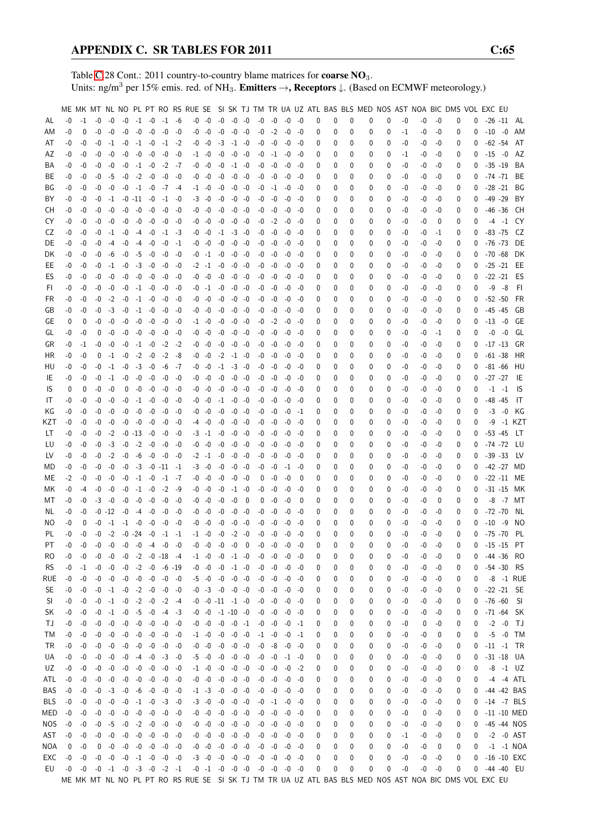Table [C.](#page-2-0)28 Cont.: 2011 country-to-country blame matrices for **coarse NO**<sub>3</sub>. Units: ng/m<sup>3</sup> per 15% emis. red. of NH<sub>3</sub>. **Emitters**  $\rightarrow$ **, Receptors**  $\downarrow$ . (Based on ECMWF meteorology.)

|           |      |          |                                              |          |                                    |                 |           |                           |           |                           |      |                |          |                                              |          |      |       |   |   |   |   |   |      | ME MK MT NL NO PL PT RO RS RUE SE SI SK TJ TM TR UA UZ ATL BAS BLS MED NOS AST NOA BIC DMS VOL EXC EU |      |   |          |               |               |                |
|-----------|------|----------|----------------------------------------------|----------|------------------------------------|-----------------|-----------|---------------------------|-----------|---------------------------|------|----------------|----------|----------------------------------------------|----------|------|-------|---|---|---|---|---|------|-------------------------------------------------------------------------------------------------------|------|---|----------|---------------|---------------|----------------|
| AL        | $-0$ | $-1$     | $-0$                                         | $-0$     | $-0$                               |                 | $-1$ $-0$ | $-1$ $-6$                 |           | $-0$ $-0$ $-0$ $-0$ $-0$  |      |                |          | $-0$                                         | $-0$     | -0   | -0    | 0 | 0 | 0 | 0 | 0 | -0   | $-0$                                                                                                  | -0   | 0 | 0        |               |               | $-26 - 11$ AL  |
| ΑM        | $-0$ | 0        | $-0$                                         | $-0$     | $-0$                               | $-0$            | $-0$      | $-0$                      | -0        | $-0 - 0$                  | -0   | $-0$           | -0       | $-0$                                         | $-2$     | $-0$ | -0    | 0 | 0 | 0 | 0 | 0 | $-1$ | -0                                                                                                    | $-0$ | 0 | 0        | $-10 - 0$     |               | AM             |
| AT        | -0   | -0       | -0                                           | $-1$     | $-0$                               | $-1$            | $-0$      |                           | $-1$ $-2$ | $-0 - 0$                  | $-3$ | $-1$ $-0$      |          | -0                                           | -0       |      |       |   | 0 | 0 | 0 | 0 | -0   |                                                                                                       | -0   | 0 | 0        | $-62 -54$     |               | AT             |
|           |      |          |                                              |          |                                    |                 |           |                           |           |                           |      |                |          |                                              |          | -0   | -0    | 0 |   |   |   |   |      | -0                                                                                                    |      |   |          |               |               |                |
| AZ        | -0   | -0       | -0                                           | $-0$     | $-0$                               | $-0$            | -0        | -0                        | -0        | $-1$ $-0$                 | -0   | $-0$ $-0$      |          | -0                                           | $-1$     | -0   | -0    | 0 | 0 | 0 | 0 | 0 | $-1$ | -0                                                                                                    | -0   | 0 | 0        | $-15 - 0$     |               | AZ             |
| ΒA        | -0   | -0       | -0                                           | -0       | $-0$                               | $-1 -0$         |           | $-2$                      | -7        | -0 -0                     | -0   | $-1$ $-0$      |          | -0                                           | -0       | -0   | -0    | 0 | 0 | 0 | 0 | 0 | -0   | -0                                                                                                    | -0   | 0 | 0        | $-35 - 19$    |               | BA             |
| BE        | -0   | -0       | -0                                           | -5       | $-0$                               | $-2$            | $-0$      | $-0$                      | -0        | $-0 - 0$                  | $-0$ | $-0$           | -0       | -0                                           | $-0$     | -0   | -0    | 0 | 0 | 0 | 0 | 0 | -0   | -0                                                                                                    | -0   | 0 | 0        | $-74 - 71$    |               | BE             |
| ΒG        | -0   | -0       | -0                                           | $-0$     | $-0$                               | $-1$            | $-0$      |                           | $-7 - 4$  | $-1$ $-0$                 | $-0$ | $-0$           | -0       | -0                                           | $-1$     | -0   | -0    | 0 | 0 | 0 | 0 | 0 | -0   | -0                                                                                                    | -0   | 0 | 0        | $-28 - 21$    |               | BG             |
| BY        | -0   | -0       | -0                                           | $-1$     |                                    | $-0$ $-11$ $-0$ |           | $-1$                      | -0        | $-3 - 0$                  | $-0$ | $-0$           | -0       | -0                                           | $-0$     | $-0$ | -0    | 0 | 0 | 0 | 0 | 0 | -0   | -0                                                                                                    | -0   | 0 | 0        | $-49 - 29$    |               | BY             |
| CН        | -0   | -0       | -0                                           | $-0$     | $-0$                               | $-0$            | $-0$      | -0                        | -0        | $-0 - 0$                  | -0   | $-0$           | -0       | $-0$                                         | -0       | -0   | -0    | 0 | 0 | 0 | 0 | 0 | -0   | -0                                                                                                    | -0   | 0 | 0        | $-46 - 36$    |               | CH             |
| CY        | -0   | -0       | $-0$                                         | $-0$     | $-0$                               | $-0$            | -0        | -0                        | -0        | -0 -0                     | $-0$ | $-0$           | -0       | -0                                           | $-2$     | $-0$ | -0    | 0 | 0 | 0 | 0 | 0 | -0   | -0                                                                                                    | 0    | 0 | 0        |               | $-4 - 1$      | CY.            |
| CZ        | -0   | -0       | -0                                           | $-1$     | $-0$                               | $-4$            | -0        |                           | $-1 -3$   | $-0 - 0$                  |      | $-1$ $-3$ $-0$ |          | -0                                           | -0       | -0   | -0    | 0 | 0 | 0 | 0 | 0 | -0   | -0                                                                                                    | -1   | 0 | 0        | $-83 - 75$    |               | CZ.            |
| DE        | -0   | -0       | -0                                           | -4       |                                    | $-0$ $-4$ $-0$  |           | $-0$                      | -1        | $-0 - 0$                  |      | $-0$ $-0$ $-0$ |          | -0                                           | -0       | -0   | -0    | 0 | 0 | 0 | 0 | 0 | -0   | -0                                                                                                    | -0   | 0 | 0        | -76 -73       |               | DE             |
| DK        | -0   | -0       | -0                                           | -6       |                                    | $-0 -5$         | -0        | -0                        | -0        | $-0$ $-1$ $-0$ $-0$ $-0$  |      |                |          |                                              | $-0 - 0$ | -0   | -0    | 0 | 0 | 0 | 0 | 0 | -0   | -0                                                                                                    | -0   | 0 | 0        | $-70 -68$     |               | DK             |
| EE        | -0   | -0       | -0                                           | $-1$     | $-0$                               |                 | $-3 - 0$  | -0                        | $-0$      | $-2$ $-1$ $-0$            |      | $-0$           | -0       | -0                                           | -0       | $-0$ | -0    | 0 | 0 | 0 | 0 | 0 | -0   | -0                                                                                                    | -0   | 0 | 0        | $-25 - 21$    |               | EE             |
| ES        | -0   | -0       | -0                                           | $-0$     | $-0$                               | $-0$            | $-0$      | $-0$                      | -0        | -0 -0                     | $-0$ | $-0$           | -0       | -0                                           | -0       | $-0$ | -0    | 0 | 0 | 0 | 0 | 0 | -0   | -0                                                                                                    | -0   | 0 | 0        | $-22 - 21$    |               | ES             |
| FI.       | -0   | -0       | -0                                           | $-0$     | $-0$                               |                 | $-1$ $-0$ | -0                        | -0        | $-0$ $-1$ $-0$            |      | -0             | -0       | -0                                           | -0       | $-0$ | -0    |   | 0 | 0 | 0 | 0 | -0   | -0                                                                                                    | -0   | 0 | 0        | -9            | -8            | -FI            |
| FR.       |      |          |                                              |          |                                    |                 | $-1 - 0$  |                           |           | -0 -0                     | -0   | -0             |          |                                              |          |      |       | 0 |   | 0 | 0 |   |      |                                                                                                       |      |   |          | $-52 - 50$    |               | FR             |
|           | -0   | -0       | -0                                           | $-2$     | $-0$                               |                 |           | -0                        | -0        |                           |      |                | -0       | -0                                           | $-0$     | $-0$ | -0    | 0 | 0 |   |   | 0 | -0   | -0                                                                                                    | -0   | 0 | 0        |               |               |                |
| GB        | -0   | -0       | $-0$                                         | $-3$     | $-0$                               | $-1$            | $-0$      | -0                        | -0        | $-0 - 0$                  | $-0$ | $-0$           | -0       | -0                                           | -0       | -0   | -0    | 0 | 0 | 0 | 0 | 0 | -0   | -0                                                                                                    | -0   | 0 | 0        | $-45 - 45$    |               | GB             |
| GE        | 0    | 0        | -0                                           | $-0$     | $-0$                               | $-0$            | $-0$      | -0                        | -0        | $-1 - 0$                  | -0   |                | $-0 -0$  | -0                                           | $-2$     | -0   | -0    | 0 | 0 | 0 | 0 | 0 | -0   | -0                                                                                                    | -0   | 0 | 0        | $-13 - 0$     |               | GE             |
| GL        | -0   | -0       | 0                                            | -0       | $-0$                               | -0              | -0        | -0                        | -0        | -0 -0                     | -0   | $-0$ $-0$      |          | $-0$                                         | -0       | -0   | -0    | 0 | 0 | 0 | 0 | 0 | -0   | -0                                                                                                    | -1   | 0 | 0        |               | $-0 - 0$      | GL             |
| GR        | -0   | -1       | -0                                           | -0       | $-0$                               |                 | $-1 - 0$  | $-2$                      | -2        | $-0 - 0$                  | -0   | $-0$ $-0$      |          | -0                                           | -0       | -0   | -0    | 0 | 0 | 0 | 0 | 0 | -0   | -0                                                                                                    | -0   | 0 | 0        | $-17 - 13$    |               | GR             |
| HR        | $-0$ | -0       | 0                                            | $-1$     | $-0$                               | $-2$            | $-0$      | $-2$                      | -8        | $-0 - 0$                  | $-2$ | $-1$           | -0       | -0                                           | -0       | $-0$ | -0    | 0 | 0 | 0 | 0 | 0 | -0   | -0                                                                                                    | -0   | 0 | 0        | $-61 - 38$    |               | HR             |
| HU        | -0   | -0       | -0                                           | $-1$     | $-0$                               | $-3$            | $-0$      | -6                        | -7        | -0 -0                     | $-1$ | $-3$           | -0       | -0                                           | -0       | $-0$ | -0    | 0 | 0 | 0 | 0 | 0 | -0   | -0                                                                                                    | -0   | 0 | 0        | $-81 - 66$    |               | HU             |
| IE        | -0   | -0       | $-0$                                         | $-1$     | $-0$                               | -0              | -0        | -0                        | -0        | -0 -0                     | -0   | -0             | -0       | $-0$                                         | -0       | -0   | -0    | 0 | 0 | 0 | 0 | 0 | -0   | -0                                                                                                    | -0   | 0 | $\Omega$ | $-27 -27$     |               | IE             |
| IS        | 0    | 0        | $-0$                                         | $-0$     | 0                                  |                 | $-0 - 0$  | $-0$                      | -0        | -0 -0                     | -0   | -0             | -0       | -0                                           | -0       | $-0$ | -0    | 0 | 0 | 0 | 0 | 0 | -0   | -0                                                                                                    | -0   | 0 | 0        |               | $-1 -1$       | 1S             |
| IT        | -0   | -0       | -0                                           | -0       | -0                                 | $-1 -0$         |           | -0                        | -0        | $-0 - 0$                  | $-1$ | -0             | $-0$     | -0                                           | -0       | -0   | -0    | 0 | 0 | 0 | 0 | 0 | -0   | -0                                                                                                    | -0   | 0 | 0        | $-48 - 45$    |               | IT             |
| ΚG        | -0   | -0       | -0                                           | $-0$     | $-0$                               | -0              | -0        | -0                        | -0        | -0 -0                     | -0   | $-0$ $-0$      |          | -0                                           | $-0$     | -0   | -1    | 0 | 0 | 0 | 0 | 0 | -0   | -0                                                                                                    | -0   | 0 | 0        |               | $-3 - 0$      | KG             |
| KZT       | -0   | -0       | -0                                           | -0       |                                    | $-0 - 0$        | $-0$      | -0                        | $-0$      | -4 -0                     | -0   | $-0 -0$        |          |                                              | $-0 - 0$ | -0   | -0    | 0 | 0 | 0 | 0 | 0 | -0   | -0                                                                                                    | -0   | 0 | 0        | -9            |               | -1 KZT         |
| LT        | -0   | -0       | -0                                           | $-2$     |                                    | $-0$ $-13$ $-0$ |           | $-0$                      | -0        | $-3$ $-1$ $-0$            |      | $-0$ $-0$      |          |                                              | -0 -0    | -0   | -0    | 0 | 0 | 0 | 0 | 0 | -0   | -0                                                                                                    | -0   | 0 | 0        | $-53 - 45$    |               | - LT           |
| LU        | -0   | -0       | $-0$                                         | $-3$     | $-0$                               | $-2$            | $-0$      | -0                        | -0        | $-0 - 0$                  | -0   | $-0$           | -0       | -0                                           | $-0$     | $-0$ | -0    | 0 | 0 | 0 | 0 | 0 | -0   | -0                                                                                                    | -0   | 0 | 0        | $-74 - 72$    |               | LU             |
|           |      |          |                                              |          |                                    |                 |           |                           |           |                           |      |                |          |                                              |          |      |       |   |   |   |   |   |      |                                                                                                       |      |   |          |               |               |                |
| LV        | -0   | -0       | -0                                           | $-2$     | $-0$                               | -6              | $-0$      | -0 -0                     |           | $-2$ $-1$ $-0$            |      | $-0$           | -0       | -0                                           | $-0$     | $-0$ | -0    | 0 | 0 | 0 | 0 | 0 | -0   | -0                                                                                                    | -0   | 0 | 0        | $-39 - 33$    |               | LV.            |
| MD        | -0   | -0       | -0                                           | -0       | $-0$                               |                 |           | $-3$ $-0$ $-11$ $-1$      |           | $-3 - 0$                  | -0   | $-0$           | -0       | -0                                           | -0       | $-1$ | -0    | 0 | 0 | 0 | 0 | 0 | -0   | -0                                                                                                    | -0   | 0 | $\Omega$ |               |               | -42 -27 MD     |
| МE        | $-2$ | -0       | -0                                           | -0       | $-0$                               | $-1$ $-0$       |           | $-1$ $-7$                 |           | $-0 - 0$                  | -0   | -0             | -0       | $\mathbf 0$                                  | -0       | -0   | - 0   | 0 | 0 | 0 | 0 | 0 | -0   | -0                                                                                                    | -0   | 0 | 0        |               |               | $-22 - 11$ ME  |
| МK        | -0   | $-4$     | -0                                           | -0       | $-0$                               | $-1$            | $-0$      | $-2$                      | - 9       | $-0 - 0$                  | $-0$ |                | $-1 - 0$ | -0                                           | -0       | -0   | -0    | 0 | 0 | 0 | 0 | 0 | -0   | -0                                                                                                    | -0   | 0 | 0        | $-31 - 15$    |               | МK             |
| МT        | -0   | -0       | $-3$                                         | $-0$     | $-0$                               | -0              | -0        | $-0$                      | -0        | $-0 - 0$                  | -0   | -0             | 0        | 0                                            | -0       | -0   | - 0   | 0 | 0 | 0 | 0 | 0 | -0   | -0                                                                                                    | 0    | 0 | 0        |               |               | -8 -7 MT       |
| NL        | -0   | -0       |                                              | $-0 -12$ |                                    | $-0$ $-4$ $-0$  |           | -0                        | -0        | $-0 - 0$                  | -0   | $-0$           | -0       | -0                                           | -0       | -0   | -0    | 0 | 0 | 0 | 0 | 0 | -0   | -0                                                                                                    | -0   | 0 | 0        | $-72 - 70$    |               | NL             |
| NO.       | -0   | 0        | -0                                           | $-1$     |                                    | $-1 - 0$        | $-0$      | $-0$                      | -0        | -0 -0                     | -0   | -0             | -0       | -0                                           | -0       | -0   | -0    | 0 | 0 | 0 | 0 | 0 | -0   | -0                                                                                                    | -0   | 0 | 0        | $-10$         | -9            | NO.            |
| PL        | $-0$ | -0       | $-0$                                         | $-2$     |                                    | $-0 -24$        | $-0$      |                           | $-1 -1$   | $-1 - 0$                  | $-0$ | $-2$           | -0       | $-0$                                         | $-0$     | $-0$ | -0    | 0 | 0 | 0 | 0 | 0 | -0   | -0                                                                                                    | -0   | 0 | 0        | $-75 - 70$    |               | PL             |
| PT        | $-0$ | $-0$     | $-0$                                         | $-0$     |                                    | $-0 - 0$        | $-4$      | $-0$                      | -0        | $-0 - 0$                  | $-0$ | $-0$           | $\Omega$ | $-0$                                         | -0       | -0   | -0    | 0 | U | U | U | U | $-0$ | -0                                                                                                    | $-0$ | 0 | 0        | $-15 - 15$    |               | PT             |
| RO.       | -0   | $-0$     | -0                                           | $-0$     |                                    |                 |           | $-0$ $-2$ $-0$ $-18$ $-4$ |           | $-1$ $-0$ $-0$ $-1$ $-0$  |      |                |          | -0                                           | -0       | $-0$ | -0    | 0 | 0 | 0 | 0 | 0 | -0   | -0                                                                                                    | -0   | 0 | 0        |               |               | -44 -36 RO     |
| <b>RS</b> | -0   | $-1$     | $-0$                                         |          | $-0$ $-0$ $-2$ $-0$ $-6$ $-19$     |                 |           |                           |           | $-0$ $-0$ $-0$ $-1$ $-0$  |      |                |          | -0                                           | -0       | -0   | -0    | 0 | 0 | 0 | 0 | 0 | -0   | -0                                                                                                    | -0   | 0 | 0        | $-54 - 30$    |               | - RS           |
| rue       | -0   | -0       | -0                                           | $-0$     | $-0$                               | $-0$            | $-0$      | $-0 - 0$                  |           | $-5$ $-0$ $-0$ $-0$ $-0$  |      |                |          | $-0$                                         | $-0$     | $-0$ | -0    | 0 | 0 | 0 | 0 | 0 | -0   | -0                                                                                                    | -0   | 0 | 0        |               |               | -8 -1 RUE      |
| SE.       | -0   | -0       |                                              |          | $-0$ $-1$ $-0$ $-2$ $-0$ $-0$ $-0$ |                 |           |                           |           | $-0$ $-3$ $-0$ $-0$ $-0$  |      |                |          |                                              | $-0 - 0$ | $-0$ | -0    | 0 | 0 | 0 | 0 | 0 | -0   | -0                                                                                                    | -0   | 0 | 0        |               | $-22 - 21$ SE |                |
| SI.       | -0   | -0       | -0                                           |          | $-1$ $-0$ $-2$ $-0$ $-2$ $-4$      |                 |           |                           |           | $-0$ $-0$ $-11$ $-1$ $-0$ |      |                |          |                                              | $-0 - 0$ | $-0$ | -0    | 0 | 0 | 0 | 0 | 0 | -0   | -0                                                                                                    | -0   | 0 | 0        | $-76 - 60$ SI |               |                |
| SK        | -0   | -0       | -0                                           | $-1$     |                                    |                 |           | $-0$ $-5$ $-0$ $-4$ $-3$  |           | $-0$ $-0$ $-1$ $-10$ $-0$ |      |                |          | -0                                           | -0       | $-0$ | -0    | 0 | 0 | 0 | 0 | 0 | -0   | -0                                                                                                    | -0   | 0 | 0        |               |               | -71 -64 SK     |
|           |      |          |                                              |          |                                    |                 |           |                           |           |                           |      |                |          |                                              |          |      |       |   |   |   |   |   |      |                                                                                                       |      |   |          |               | $-2$ $-0$ TJ  |                |
| ТJ        | -0   | -0       | $-0$                                         | $-0$     | $-0$                               | $-0$            | $-0$      |                           | $-0 - 0$  | $-0 - 0$                  |      | $-0 - 0$       | $-1$     | -0                                           | $-0$     | $-0$ | -1    | 0 | 0 | 0 | 0 | 0 | -0   | 0                                                                                                     | -0   | 0 | 0        |               |               |                |
| TM        | -0   | -0       | -0                                           | $-0$     |                                    | $-0$ $-0$ $-0$  |           | $-0$ $-0$                 |           | $-1$ $-0$ $-0$ $-0$ $-0$  |      |                |          |                                              | $-1 - 0$ | -0   | -1    | 0 | 0 | 0 | 0 | 0 | -0   | -0                                                                                                    | 0    | 0 | 0        |               |               | $-5 - 0$ TM    |
| TR        | -0   | $-0$     | $-0$                                         | $-0$     |                                    |                 |           | $-0$ $-0$ $-0$ $-0$ $-0$  |           | $-0$ $-0$ $-0$ $-0$ $-0$  |      |                |          |                                              | $-0 -8$  | $-0$ | -0    | 0 | 0 | 0 | 0 | 0 | -0   | -0                                                                                                    | -0   | 0 | 0        | $-11$ $-1$ TR |               |                |
| UA        | -0   | -0       | $-0$                                         | $-0$     |                                    |                 |           | $-0$ $-4$ $-0$ $-3$ $-0$  |           | $-5$ $-0$ $-0$ $-0$ $-0$  |      |                |          | -0                                           | -0       |      | -1 -0 | 0 | 0 | 0 | 0 | 0 | -0   | -0                                                                                                    | -0   | 0 | 0        |               |               | $-31 - 18$ UA  |
| UZ        | -0   | -0       |                                              | $-0 - 0$ |                                    |                 |           | $-0$ $-0$ $-0$ $-0$ $-0$  |           | $-1$ $-0$ $-0$ $-0$ $-0$  |      |                |          |                                              | $-0 - 0$ | $-0$ | -2    | 0 | 0 | 0 | 0 | 0 | -0   | -0                                                                                                    | -0   | 0 | 0        |               |               | $-8$ $-1$ UZ   |
| ATL       | $-0$ | $-0$     |                                              |          | $-0$ $-0$ $-0$ $-0$ $-0$ $-0$ $-0$ |                 |           |                           |           | $-0$ $-0$ $-0$ $-0$ $-0$  |      |                |          |                                              | $-0 - 0$ | -0   | -0    | 0 | 0 | 0 | 0 | 0 | -0   | -0                                                                                                    | -0   | 0 | 0        |               |               | -4 -4 ATL      |
| BAS       | -0   | $-0$     |                                              | $-0 -3$  |                                    |                 |           | $-0$ $-6$ $-0$ $-0$ $-0$  |           | $-1$ $-3$ $-0$ $-0$ $-0$  |      |                |          |                                              | $-0 - 0$ | -0   | -0    | 0 | 0 | 0 | 0 | 0 | -0   | -0                                                                                                    | -0   | 0 | 0        |               |               | -44 -42 BAS    |
| BLS       | $-0$ | -0       | $-0$                                         | $-0$     | $-0$                               | $-1 -0$         |           | $-3 - 0$                  |           | $-3 - 0$                  | $-0$ | $-0$ $-0$      |          |                                              | $-0 -1$  | $-0$ | -0    | 0 | 0 | 0 | 0 | 0 | -0   | -0                                                                                                    | -0   | 0 | 0        |               |               | $-14$ $-7$ BLS |
| MED       | $-0$ | -0       |                                              | $-0 - 0$ |                                    | $-0$ $-0$ $-0$  |           |                           | $-0 - 0$  | $-0$ $-0$ $-0$ $-0$ $-0$  |      |                |          |                                              | $-0 - 0$ | $-0$ | -0    | 0 | 0 | 0 | 0 | 0 | -0   | 0                                                                                                     | -0   | 0 | 0        |               |               | -11 -10 MED    |
| NOS.      | $-0$ | -0       |                                              | $-0 -5$  |                                    |                 |           | $-0$ $-2$ $-0$ $-0$ $-0$  |           | $-0$ $-0$ $-0$ $-0$ $-0$  |      |                |          | $-0$                                         | -0       | -0   | -0    | 0 | 0 | 0 | 0 | 0 | -0   | -0                                                                                                    | -0   | 0 | 0        |               |               | -45 -44 NOS    |
| AST       |      | $-0 - 0$ |                                              | $-0 - 0$ |                                    |                 |           | $-0$ $-0$ $-0$ $-0$ $-0$  |           | $-0$ $-0$ $-0$ $-0$ $-0$  |      |                |          |                                              | $-0 - 0$ | -0   | -0    | 0 | 0 | 0 | 0 | 0 | $-1$ | -0                                                                                                    | -0   | 0 | 0        |               |               | $-2$ $-0$ AST  |
| NOA       | 0    | -0       | 0                                            | $-0$     |                                    |                 |           | $-0$ $-0$ $-0$ $-0$ $-0$  |           | $-0$ $-0$ $-0$ $-0$ $-0$  |      |                |          | $-0$                                         | -0       | $-0$ | -0    | 0 | 0 | 0 | 0 | 0 | -0   | -0                                                                                                    | 0    | 0 | 0        |               |               | $-1$ $-1$ NOA  |
| EXC       | $-0$ | -0       |                                              |          | $-0$ $-0$ $-0$ $-1$ $-0$ $-0$ $-0$ |                 |           |                           |           | $-3$ $-0$ $-0$ $-0$ $-0$  |      |                |          |                                              | $-0 - 0$ | -0   | -0    | 0 | 0 | 0 | 0 | 0 | -0   | -0                                                                                                    | $-0$ | 0 | 0        |               |               | $-16 - 10$ EXC |
| EU        |      |          | $-0$ $-0$ $-0$ $-1$ $-0$ $-3$ $-0$ $-2$ $-1$ |          |                                    |                 |           |                           |           |                           |      |                |          | $-0$ $-1$ $-0$ $-0$ $-0$ $-0$ $-0$ $-0$ $-0$ |          |      |       | 0 | 0 | 0 | 0 | 0 | -0   | -0                                                                                                    | $-0$ | 0 |          | 0 -44 -40 EU  |               |                |
|           |      |          |                                              |          |                                    |                 |           |                           |           |                           |      |                |          |                                              |          |      |       |   |   |   |   |   |      | ME MK MT NL NO PL PT RO RS RUE SE SI SK TJ TM TR UA UZ ATL BAS BLS MED NOS AST NOA BIC DMS VOL EXC EU |      |   |          |               |               |                |
|           |      |          |                                              |          |                                    |                 |           |                           |           |                           |      |                |          |                                              |          |      |       |   |   |   |   |   |      |                                                                                                       |      |   |          |               |               |                |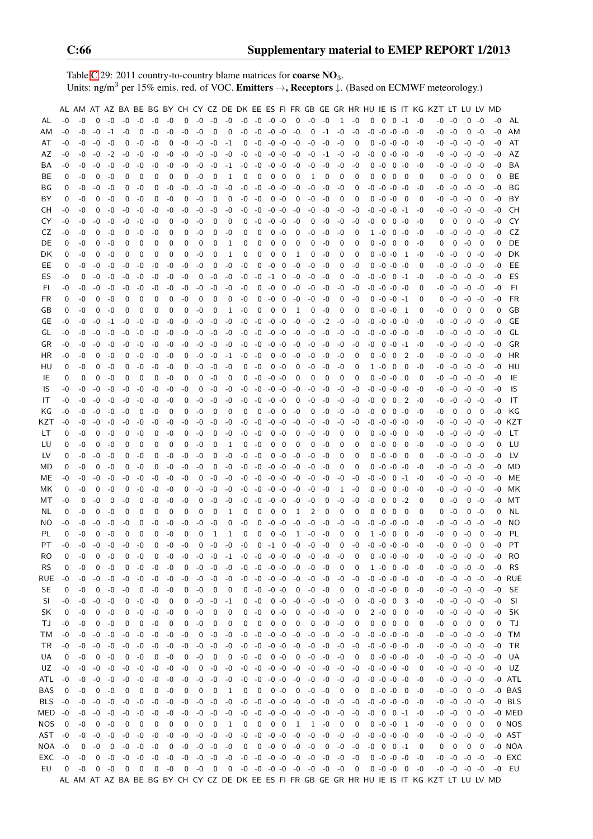Table [C.](#page-2-0)29: 2011 country-to-country blame matrices for **coarse NO**<sub>3</sub>. Units: ng/m<sup>3</sup> per 15% emis. red. of VOC. Emitters →, Receptors ↓. (Based on ECMWF meteorology.)

|            |      |      |          |      |      |             |          |          |      |      |      |                  |      |                          |                |                         |                                    |              |      |              |                          |          |                     |                         |                |      | AL AM AT AZ BA BE BG BY CH CY CZ DE DK EE ES FI FR GB GE GR HR HU IE IS IT KG KZT LT LU LV MD |          |                     |          |      |           |
|------------|------|------|----------|------|------|-------------|----------|----------|------|------|------|------------------|------|--------------------------|----------------|-------------------------|------------------------------------|--------------|------|--------------|--------------------------|----------|---------------------|-------------------------|----------------|------|-----------------------------------------------------------------------------------------------|----------|---------------------|----------|------|-----------|
| AL         | -0   | -0   | $\Omega$ | $-0$ | $-0$ | $-0$        | $-0$     | -0       | 0    | $-0$ | -0   | $-0$             | $-0$ | $-0$                     | $-0$ $-0$      |                         | 0                                  | -0           | -0   | $\mathbf{1}$ | $-0$                     | 0        | $\mathbf 0$         | $0 -1$                  |                | -0   | -0                                                                                            | -0       | 0                   | -0       | -0   | AL        |
| AМ         | -0   | -0   | $-0$     | $-1$ | -0   | 0           | $-0$     | -0       | -0   | -0   | 0    | 0                | -0   | $-0$                     | $-0 -0$        |                         | $-0$                               | 0            | $-1$ | -0           | $-0$                     | -0       | $-0$                | $-0 -0$                 |                | $-0$ | -0                                                                                            | -0       | 0                   | -0       | -0   | AM        |
| AT         | -0   | -0   | -0       | -0   | 0    | -0          | -0       | 0        | -0   | -0   | $-0$ | $-1$             | 0    | -0                       | $-0 -0$        |                         | $-0$                               | -0           | $-0$ | -0           | 0                        | 0        | $-0$                | $-0 -0$                 |                | -0   |                                                                                               | -0 -0    |                     | $-0 - 0$ | -0   | AT        |
| AZ         | -0   | -0   | -0       | $-2$ | -0   | -0          |          | -0       | -0   |      | -0   | -0               | -0   | -0                       | $-0 -0$        |                         | -0                                 | -0           | -1   | -0           | -0                       | -0       | 0                   | $-0 -0$                 |                |      |                                                                                               |          |                     | $-0 - 0$ | -0   | AZ        |
|            |      |      |          |      |      |             | -0       |          |      | -0   |      |                  |      |                          |                |                         |                                    |              |      |              |                          |          |                     |                         |                | -0   |                                                                                               | -0 -0    |                     |          |      |           |
| BA         | -0   | -0   | -0       | -0   | -0   | -0          | -0       | -0       | -0   | $-0$ | -0   | -1               | -0   | -0                       | $-0 - 0$       |                         | -0                                 | -0           | $-0$ | -0           | -0                       | 0        | -0                  | $0 - 0$                 |                | -0   | -0                                                                                            | -0       | $-0$                | -0       | -0   | BA        |
| BE.        | 0    | -0   | 0        | -0   | 0    | 0           | 0        | 0        | 0    | -0   | 0    | 1                | 0    | 0                        | 0              | 0                       | 0                                  | 1            | 0    | 0            | 0                        | 0        | 0                   | 0                       | 0              | 0    | 0                                                                                             | $-0$     | 0                   | 0        | 0    | BE        |
| ΒG         | 0    | -0   | -0       | -0   | 0    | -0          | 0        | -0       | -0   | $-0$ | -0   | -0               | -0   | $-0$                     | $-0$           | -0                      | -0                                 | -0           | $-0$ | -0           | 0                        | -0       | $-0$                | $-0$ $-0$               |                | -0   | -0                                                                                            | -0       | $-0$                | -0       | -0   | BG        |
| BY         | 0    | -0   | 0        | -0   | 0    | -0          | 0        | -0       | 0    | $-0$ | 0    | 0                | -0   | -0                       | $\mathbf 0$    | -0                      | 0                                  | -0           | -0   | 0            | 0                        | 0        | $-0$                | $-0$                    | - 0            | 0    |                                                                                               | -0 -0    | $-0$                | 0        | -0   | BY        |
| CН         | -0   | -0   | 0        | -0   | -0   | -0          | -0       | -0       | -0   | $-0$ | -0   | -0               | -0   | -0                       | $-0 - 0$       |                         | -0                                 | -0           | -0   | -0           | -0                       | -0       | -0                  | $-0$ $-1$               |                | -0   | -0                                                                                            | -0       |                     | $-0 - 0$ | -0   | CН        |
| CY         | -0   | -0   | -0       | -0   | -0   | $-0$        | -0       | 0        | -0   | -0   | 0    | 0                | 0    | -0                       | -0             | -0                      | -0                                 | 0            | $-0$ | -0           | -0                       | -0       | 0                   | $\mathbf 0$             | -0             | -0   | 0                                                                                             | 0        | 0                   | -0       | -0   | CY        |
| CZ         | -0   | -0   | 0        | -0   | 0    | -0          | -0       | 0        | 0    | -0   | 0    | -0               | 0    | 0                        | 0              | -0                      | 0                                  | -0           | $-0$ | -0           | 0                        |          | $1 - 0$             | $0 - 0$                 |                | -0   | -0                                                                                            | -0       |                     | $-0 - 0$ | -0   | CZ        |
| DE         | 0    | -0   | 0        | -0   | 0    | 0           | 0        | 0        | 0    | 0    | 0    | 1                | 0    | 0                        | 0              | 0                       | 0                                  | 0            | -0   | 0            | 0                        |          | 0-0                 | - 0                     | - 0            | -0   | 0                                                                                             | 0        | $-0$                | 0        | 0    | DE        |
| DK         | 0    | -0   | 0        | -0   | 0    | 0           | 0        | 0        | 0    | $-0$ | 0    | 1                | 0    | 0                        | 0              | 0                       | 1                                  | 0            | $-0$ | 0            | 0                        | 0        | $-0 -0$             |                         | -1             | -0   | -0                                                                                            | -0       | 0                   | -0       | -0   | DK        |
| EE         | 0    | $-0$ | -0       | -0   | -0   | $-0$        | $-0$     | -0       | -0   | -0   | 0    | -0               | -0   | 0                        | $-0$           | 0                       | $-0$                               | -0           | -0   | 0            | $-0$                     | 0        | $-0$ $-0$ $-0$      |                         |                | 0    | -0                                                                                            | -0       | $-0$                | -0       | -0   | EE        |
| ES         | -0   | 0    | -0       | $-0$ | -0   | -0          | $-0$     | -0       | -0   | 0    | $-0$ | -0               | $-0$ | $-0$                     | $-1$           | - 0                     | $-0$                               | -0           | -0   | 0            | $-0$                     | $-0 - 0$ |                     | $0 -1$                  |                | -0   |                                                                                               | $-0 - 0$ |                     | $-0 - 0$ | -0   | ES        |
| FI         | -0   | -0   | $-0$     | -0   | -0   | -0          | -0       | -0       | -0   | $-0$ | -0   | -0               | -0   | 0                        | $-0$           | 0                       | -0                                 | -0           | -0   | -0           | -0                       | $-0 -0$  |                     | $-0$ $-0$               |                | 0    |                                                                                               | -0 -0    |                     | $-0 -0$  | -0   | FI        |
| <b>FR</b>  | 0    | -0   | 0        | -0   | 0    | 0           | 0        | 0        | -0   | 0    | 0    | 0                | -0   | 0                        | $-0$           | 0                       | $-0$                               | -0           | -0   | 0            | $-0$                     | 0        | $-0$ $-0$ $-1$      |                         |                | 0    | 0                                                                                             | -0       |                     | $-0 - 0$ | -0   | <b>FR</b> |
| GB         | 0    | -0   | 0        | -0   | 0    | 0           | 0        | 0        | 0    | -0   | 0    | 1                | -0   | 0                        | 0              | 0                       | 1                                  | 0            | $-0$ | 0            | 0                        | 0        | -0                  | $-0$                    | -1             | 0    | -0                                                                                            | 0        | 0                   | 0        | 0    | GB        |
|            |      |      |          |      |      |             |          |          |      | $-0$ |      | -0               |      |                          |                | -0                      |                                    |              |      | -0           |                          |          | -0                  | $-0 - 0$                |                |      |                                                                                               |          |                     |          |      | GЕ        |
| GЕ         | -0   | -0   | -0       | $-1$ | -0   | -0          | -0       | -0       | -0   |      | -0   |                  | -0   | -0                       | $-0$           |                         | $-0$                               | -0           | $-2$ |              | -0                       | -0       |                     |                         |                | -0   | -0                                                                                            | -0       |                     | $-0 -0$  | -0   |           |
| GL         | -0   | -0   | -0       | -0   | -0   | -0          | -0       | -0       | -0   | -0   | -0   | -0               | -0   | -0                       | -0             | -0                      | -0                                 | -0           | -0   | -0           | -0                       | -0       | -0                  | $-0 -0$                 |                | -0   | -0                                                                                            | -0       | $-0$                | -0       | -0   | GL        |
| GR         | -0   | -0   | -0       | -0   | -0   | $-0$        | $-0$     | -0       | -0   | $-0$ | -0   | -0               | -0   | $-0$                     | $-0 -0$        |                         | $-0$                               | -0           | $-0$ | -0           | -0                       | -0       | 0                   | $-0$ $-1$               |                | $-0$ | -0                                                                                            | -0       | $-0$                | $-0$     | -0   | GR        |
| ΗR         | -0   | -0   | 0        | -0   | 0    | -0          | -0       | -0       | 0    | -0   | $-0$ | -1               | -0   | -0                       | 0              | -0                      | -0                                 | -0           | -0   | -0           | 0                        | 0        | $-0$                | 0                       | $\overline{2}$ | -0   | -0                                                                                            | -0       | -0                  | -0       | -0   | HR        |
| HU         | 0    | -0   | 0        | -0   | 0    | -0          | -0       | -0       | 0    | $-0$ | -0   | -0               | 0    | $-0$                     |                | $0 - 0$                 | 0                                  | -0           | $-0$ | -0           | 0                        |          | $1 - 0$             | $\mathbf 0$             | 0              | -0   |                                                                                               | $-0 - 0$ |                     | $-0 - 0$ | -0   | HU        |
| IE         | 0    | 0    | 0        | -0   | 0    | 0           | 0        | -0       | 0    | 0    | -0   | 0                | 0    | -0                       | -0             | -0                      | 0                                  | 0            | 0    | 0            | 0                        | 0        | -0                  | $-0$                    | 0              | 0    |                                                                                               | -0 -0    |                     | $-0 - 0$ | -0   | IE        |
| IS         | -0   | -0   | -0       | -0   | -0   | -0          | -0       | -0       | -0   | 0    | -0   | -0               | -0   | -0                       | $-0 - 0$       |                         | -0                                 | -0           | -0   | -0           | -0                       | -0       | -0                  | $-0 -0$                 |                | -0   | -0                                                                                            | -0       |                     | $-0 -0$  | -0   | IS        |
| IT         | -0   | -0   | $-0$     | -0   | -0   | -0          | -0       | -0       | 0    | -0   | -0   | -0               | -0   | -0                       | $-0$           | -0                      | 0                                  | -0           | -0   | -0           | -0                       | -0       | 0                   | 0                       | $\overline{2}$ | -0   | -0                                                                                            | -0       | -0                  | -0       | -0   | IT        |
| ΚG         | -0   | -0   | -0       | -0   | -0   | 0           | -0       | 0        | 0    | -0   | 0    | 0                | 0    | 0                        | $-0$           | $\overline{\mathbf{0}}$ | -0                                 | 0            | -0   | -0           | -0                       | -0       | 0                   | $0 - 0$                 |                | -0   | -0                                                                                            | 0        | 0                   | 0        | -0   | ΚG        |
| KZT        | -0   | -0   | -0       | -0   | -0   | -0          | -0       | -0       | -0   | -0   | -0   | -0               | -0   | -0                       | -0             | -0                      | -0                                 | $-0$         | -0   | -0           | -0                       | $-0 - 0$ |                     | $-0 -0$                 |                | -0   |                                                                                               | -0 -0    |                     | $-0 - 0$ | -0   | KZT       |
| LT         | 0    | -0   | 0        | -0   | 0    | -0          | 0        | -0       | 0    | $-0$ | 0    | -0               | -0   | $-0$                     | 0              | $-0$                    | 0                                  | -0           | -0   | 0            | 0                        | 0        | -0                  | $-0$                    | 0              | -0   | -0                                                                                            | -0       | $-0$                | -0       | -0   | LT        |
| LU         | 0    | -0   | 0        | -0   | 0    | 0           | 0        | 0        | 0    | -0   | 0    | 1                | 0    | -0                       | 0              | 0                       | 0                                  | 0            | -0   | 0            | 0                        | 0        | $-0$                | 0                       | 0              | -0   | -0                                                                                            | -0       | 0                   | -0       | 0    | LU        |
| LV         | 0    | -0   | -0       | -0   | 0    | -0          | 0        | -0       | -0   | $-0$ | 0    | -0               | -0   | $-0$                     |                | $0 - 0$                 | $-0$                               | -0           | -0   | 0            | 0                        | 0        | $-0 -0$             |                         | - 0            | 0    |                                                                                               | $-0 - 0$ |                     | $-0 - 0$ | -0   | LV        |
| МD         | 0    | -0   | 0        | -0   | 0    | -0          | 0        | -0       | -0   | -0   | 0    | -0               | -0   | -0                       | $-0 - 0$       |                         | -0                                 | -0           | -0   | 0            | 0                        | 0        | -0                  | $-0 -0$                 |                | -0   |                                                                                               | $-0 - 0$ |                     | $-0 - 0$ | -0   | MD        |
| MЕ         | -0   | -0   | $-0$     | -0   | -0   | $-0$        | -0       | -0       | -0   | 0    | -0   | -0               | -0   | $-0$                     | $-0 -0$        |                         | $-0$                               | -0           | $-0$ | -0           | $-0$                     | -0       | -0                  | $0 -1$                  |                | -0   | -0                                                                                            | -0       |                     | $-0 - 0$ | -0   | ME        |
| МK         | 0    | -0   | 0        | -0   | 0    | -0          | -0       | -0       | 0    | -0   | -0   | -0               | -0   | $-0$                     | $-0$           | -0                      | -0                                 | -0           | -0   | 1            | $-0$                     | 0        | $-0$                | 0                       | -0             | -0   | -0                                                                                            | -0       |                     | $-0 - 0$ | -0   | МK        |
| МT         | -0   | 0    | -0       | 0    | -0   | 0           | -0       | -0       | -0   | 0    | -0   | -0               | -0   | -0                       | $-0$           | -0                      | -0                                 | -0           | 0    | -0           | -0                       | -0       | 0                   | $0 -2$                  |                | 0    | 0                                                                                             | -0       |                     | $0 - 0$  | -0   | МT        |
|            |      | -0   | 0        |      | 0    |             |          |          |      | 0    |      |                  |      | 0                        | 0              | 0                       |                                    |              | 0    |              |                          |          |                     |                         | 0              |      |                                                                                               |          | 0                   |          | 0    | NL        |
| NL         | 0    |      |          | -0   |      | 0           | 0        | 0        | 0    |      | 0    | 1                | 0    |                          |                |                         | 1                                  | 2            |      | 0            | 0                        | 0        | 0                   | 0                       |                | 0    | 0                                                                                             | -0       |                     | -0       |      |           |
| NO.        | -0   | -0   | -0       | -0   | -0   | 0           | -0       | -0       | -0   | -0   | -0   | 0                | -0   | 0                        | $-0$           | $-0$                    | -0                                 | -0           | $-0$ | -0           | $-0$                     | -0       | $-0$                | $-0 -0$                 |                | -0   | -0                                                                                            | -0       | $-0$                | $-0$     | -0   | NO        |
| PL         | 0    | $-0$ | 0        | $-0$ | 0    | $\mathbf 0$ | 0        | $-0$     | 0    | 0    | 1    | 1                | 0    | 0                        | $\mathbf 0$    | $-0$                    | 1                                  | $-0$         | $-0$ | 0            | 0                        |          | $1 - 0$             | $\overline{0}$          | - 0            | $-0$ | -0                                                                                            | 0        | $-0$                | 0        | -0   | PL        |
| PT         | -0   | $-0$ | $-0$     | $-0$ | $-0$ | -0          | $\Omega$ | -0       | $-0$ | 0    | $-0$ | $-0$             | $-0$ | $\Omega$                 | $-1\quad0$     |                         | -0                                 | -0           | $-0$ | 0            | $-0$                     |          | $-0$ $-0$ $-0$ $-0$ |                         |                | -0   | -0                                                                                            | $\Omega$ | $-0$                | $\Omega$ | $-0$ | <b>PT</b> |
| RO.        | 0    | -0   | 0        | $-0$ | 0    | $-0$        | 0        | -0       | $-0$ | $-0$ | -0   | $-1$             | $-0$ |                          | $-0$ $-0$ $-0$ |                         | $-0$                               | $-0$         | $-0$ | $-0$         | 0                        |          | $0 - 0 - 0 - 0$     |                         |                | -0   |                                                                                               | $-0 - 0$ | $-0$ $-0$           |          | $-0$ | RO        |
| <b>RS</b>  | 0    | -0   | 0        | -0   | 0    | $-0$        | $-0$     | -0       | 0    | $-0$ | -0   | $-0$             |      | $-0 - 0$                 | $-0 - 0$       |                         | $-0$                               | -0           | $-0$ | 0            | 0                        |          | $1 - 0 0 - 0$       |                         |                | -0   |                                                                                               | $-0 - 0$ | $-0 - 0$            |          | -0   | <b>RS</b> |
| RUE        | $-0$ | $-0$ | $-0$     | $-0$ | $-0$ | $-0$        | $-0$     | -0       | -0   | $-0$ | $-0$ | $-0$             |      | $-0$ $-0$ $-0$ $-0$      |                |                         | $-0$                               | -0           | $-0$ | $-0$         | $-0$                     |          | $-0$ $-0$ $-0$ $-0$ |                         |                | -0   |                                                                                               |          | $-0$ $-0$ $-0$ $-0$ |          |      | -0 RUE    |
| SE         | 0    | -0   | 0        | -0   | -0   | 0           | $-0$     | -0       | 0    | $-0$ | 0    | 0                |      | $0 - 0 - 0 - 0$          |                |                         | 0                                  | -0           | -0   | 0            | 0                        |          | $-0$ $-0$ $-0$ $0$  |                         |                | -0   |                                                                                               |          | $-0$ $-0$ $-0$ $-0$ |          | -0   | <b>SE</b> |
| SI.        | -0   | -0   | $-0$     | -0   | 0    | $-0$        | $-0$     | 0        | 0    | $-0$ | $-0$ | -1               | 0    | -0                       |                | $0 - 0$                 | $-0$                               | $-0$         | $-0$ | -0           | 0                        |          | $-0$ $-0$ 0         |                         | 3              | -0   |                                                                                               | $-0 - 0$ | $-0$ $-0$           |          | -0   | SI        |
| SK         | 0    | -0   | 0        | $-0$ | 0    | $-0$        | $-0$     | $-0$     | 0    | $-0$ | 0    | 0                | 0    | $-0$                     |                | $0 - 0$                 | 0                                  | $-0$         | $-0$ | $-0$         | 0                        |          | $2 - 0$             | $\overline{\mathbf{0}}$ | 0              | -0   |                                                                                               | $-0 - 0$ |                     | $-0 - 0$ | $-0$ | SK        |
| ТJ         | $-0$ | $-0$ | 0        | $-0$ | 0    | 0           | $-0$     | 0        | 0    | $-0$ | 0    | 0                | 0    | 0                        |                | $0\quad 0$              | 0                                  | 0            | $-0$ | $-0$         | 0                        | 0        | 0                   | $\overline{0}$          | 0              | 0    | -0                                                                                            | 0        | 0                   | 0        | 0    | ΤJ        |
| TМ         | -0   | $-0$ | -0       | -0   | -0   | $-0$        | $-0$     | -0       | -0   | 0    | $-0$ | -0               |      | $-0 - 0$                 | $-0$ $-0$      |                         | $-0$                               | $-0$         | -0   | $-0$         | $-0$                     |          | $-0$ $-0$ $-0$ $-0$ |                         |                | -0   |                                                                                               | $-0 - 0$ | $-0$ $-0$           |          | $-0$ | TМ        |
| TR.        | -0   | $-0$ | -0       | -0   | $-0$ | $-0$        | $-0$     | $-0$     | -0   | $-0$ | $-0$ | $-0$             |      | $-0 - 0$                 | $-0 - 0$       |                         | $-0$                               | $-0$         | $-0$ | $-0$         | $-0$                     |          | $-0$ $-0$ $-0$ $-0$ |                         |                | -0   |                                                                                               | $-0 - 0$ | $-0$ $-0$           |          | $-0$ | TR        |
| UA         | 0    | -0   | 0        | -0   | 0    | -0          | 0        | $-0$     | 0    | $-0$ | 0    | 0                | -0   | $-0$                     | $0 - 0$        |                         | 0                                  | $-0$         | $-0$ | $-0$         | 0                        |          | $0 - 0 - 0 - 0$     |                         |                | -0   |                                                                                               |          | $-0$ $-0$ $-0$ $-0$ |          | $-0$ | UA        |
| UZ.        | -0   | -0   | $-0$     | $-0$ | -0   | $-0$        |          | $-0 - 0$ | $-0$ | 0    | $-0$ | -0               |      | $-0$ $-0$ $-0$ $-0$      |                |                         | $-0$                               | $-0$         | $-0$ | $-0$         | -0                       |          | $-0$ $-0$ $-0$ $-0$ |                         |                | 0    |                                                                                               |          | $-0$ $-0$ $-0$ $-0$ |          |      | $-0$ UZ   |
| ATL        | -0   | -0   | $-0$     | $-0$ | -0   | $-0$        | $-0$     | $-0$     | $-0$ | $-0$ | $-0$ | $-0$             |      | $-0$ $-0$ $-0$ $-0$      |                |                         | $-0$                               | -0           | $-0$ | -0           | $-0$                     |          | $-0$ $-0$ $-0$ $-0$ |                         |                | -0   |                                                                                               | $-0 - 0$ | $-0$ $-0$           |          |      | -0 ATL    |
| BAS        | 0    | -0   | 0        | $-0$ | 0    | 0           | 0        | $-0$     | 0    | 0    | 0    | 1                | 0    | 0                        |                | $0 - 0$                 | 0                                  | $-0$         | $-0$ | 0            | 0                        |          | $0 -0 -0 0$         |                         |                | -0   |                                                                                               | $-0 - 0$ |                     | $0 - 0$  |      | -0 BAS    |
| <b>BLS</b> | $-0$ | -0   | $-0$     | $-0$ | -0   | $-0$        | $-0$     | $-0$     | -0   | $-0$ | $-0$ | -0               |      | $-0$ $-0$ $-0$ $-0$      |                |                         | $-0$                               | $-0$         | $-0$ | $-0$         | $-0$                     |          | $-0$ $-0$ $-0$ $-0$ |                         |                | -0   |                                                                                               | $-0 - 0$ |                     | $-0 - 0$ |      | -0 BLS    |
| MED -0     |      | -0   | $-0$     | $-0$ | $-0$ | $-0$        | $-0$     | $-0$     | $-0$ | $-0$ | $-0$ | $-0$             |      | $-0$ $-0$ $-0$ $-0$      |                |                         | $-0$                               | $-0$         | -0   | $-0$         | $-0$                     |          | $-0$ 0 0 $-1$       |                         |                | -0   |                                                                                               | $-0 - 0$ |                     | $0 - 0$  |      | -0 MED    |
|            |      |      |          |      |      |             |          |          |      |      |      |                  |      |                          |                |                         |                                    |              |      |              |                          |          |                     |                         |                |      |                                                                                               |          |                     |          |      |           |
| NOS        | 0    | $-0$ | 0        | $-0$ | 0    | 0           | 0        | 0        | 0    | 0    | 0    | 1                | 0    | $\mathbf 0$              | $0\quad 0$     |                         | 1                                  | $\mathbf{1}$ | -0   | 0            | 0                        |          | $0 - 0 - 0$         |                         | - 1            | -0   |                                                                                               | $-0$ 0   | 0                   | 0        |      | 0 NOS     |
| AST        | -0   | $-0$ | -0       | $-0$ | $-0$ | $-0$        | $-0$     | $-0$     | $-0$ | $-0$ | $-0$ | $-0$             |      | $-0$ $-0$ $-0$ $-0$      |                |                         | $-0$                               | $-0$         | $-0$ | $-0$         | $-0$                     |          | $-0$ $-0$ $-0$ $-0$ |                         |                | -0   |                                                                                               | $-0 - 0$ | $-0 - 0$            |          |      | -0 AST    |
| NOA        | $-0$ | 0    | $-0$     | 0    | $-0$ | $-0$        | $-0$     | 0        | $-0$ | $-0$ | $-0$ | $-0$             | 0    |                          | $0 -0 0$       |                         | $-0$                               | $-0$         | 0    | $-0$         | $-0$                     | $-0$     |                     | $0 \t 0 \t -1$          |                | 0    | 0                                                                                             | 0        | 0                   | 0        |      | -0 NOA    |
| EXC        | $-0$ | -0   | 0        | $-0$ | $-0$ | $-0$        | $-0$     | -0       | $-0$ | $-0$ | $-0$ | $-0$             |      | $-0$ $-0$ $-0$ $-0$ $-0$ |                |                         |                                    | $-0$         | $-0$ | $-0$         | $-0$                     |          | $0 - 0 - 0 - 0$     |                         |                | $-0$ |                                                                                               |          | $-0$ $-0$ $-0$ $-0$ |          |      | -0 EXC    |
| EU         | 0    | -0   | 0        | -0   | 0    | 0           |          | $0 - 0$  | 0    | $-0$ | 0    | $\boldsymbol{0}$ |      |                          |                |                         | $-0$ $-0$ $-0$ $-0$ $-0$ $-0$ $-0$ |              |      | $-0$         | $\overline{\phantom{0}}$ |          | $0 -0 -0 0$         |                         |                | -0   |                                                                                               |          | $-0$ $-0$ $-0$ $-0$ |          |      | -0 EU     |
|            |      |      |          |      |      |             |          |          |      |      |      |                  |      |                          |                |                         |                                    |              |      |              |                          |          |                     |                         |                |      | AL AM AT AZ BA BE BG BY CH CY CZ DE DK EE ES FI FR GB GE GR HR HU IE IS IT KG KZT LT LU LV MD |          |                     |          |      |           |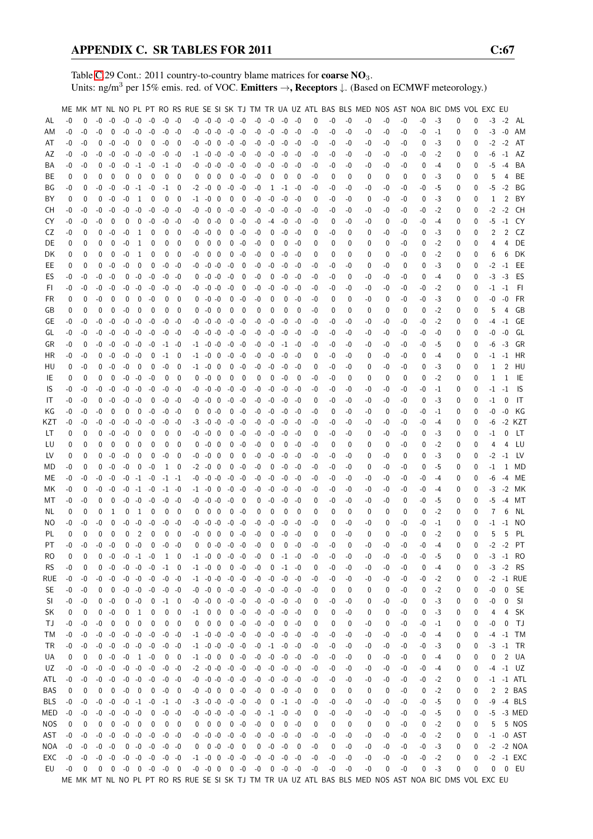Table [C.](#page-2-0)29 Cont.: 2011 country-to-country blame matrices for **coarse NO**<sub>3</sub>. Units: ng/m<sup>3</sup> per 15% emis. red. of VOC. Emitters →, Receptors ↓. (Based on ECMWF meteorology.)

|           |      |             |          |                         |      |                |                          |                                      |                |          |                          |                         |             |                          |      |             |                     |      |      |      |          | ME MK MT NL NO PL PT RO RS RUE SE SI SK TJ TM TR UA UZ ATL BAS BLS MED NOS AST NOA BIC DMS VOL EXC EU |      |      |      |         |   |          |      |                |                 |
|-----------|------|-------------|----------|-------------------------|------|----------------|--------------------------|--------------------------------------|----------------|----------|--------------------------|-------------------------|-------------|--------------------------|------|-------------|---------------------|------|------|------|----------|-------------------------------------------------------------------------------------------------------|------|------|------|---------|---|----------|------|----------------|-----------------|
|           | $-0$ | $\Omega$    | $-0$     | $-0$                    |      | $-0 -0$        | $-0$                     | $-0$ $-0$                            |                |          | $-0$ $-0$ $-0$ $-0$ $-0$ |                         |             |                          | $-0$ | $-0$        | -0                  | -0   | 0    | -0   | $-0$     | -0                                                                                                    | -0   | -0   | $-0$ | $-3$    | 0 | 0        | $-3$ | $-2$           | AL              |
| AL        |      |             |          |                         |      |                |                          |                                      |                |          |                          |                         |             |                          |      |             |                     |      |      |      |          |                                                                                                       |      |      |      |         |   |          |      |                |                 |
| ΑM        | -0   | $-0$        | -0       | $\mathbf 0$             | $-0$ | -0             | $-0$                     | $-0$ $-0$                            |                | -0       | $-0 - 0$                 |                         | $-0$ $-0$   |                          | -0   | $-0$        | $-0$                | $-0$ | -0   | -0   | -0       | -0                                                                                                    | -0   | $-0$ | $-0$ | $-1$    | 0 | 0        | $-3$ | $-0$           | AM              |
| AT        | $-0$ | -0          | 0        | -0                      | -0   | 0              | 0                        | $-0$                                 | 0              | -0       | -0                       | $\overline{\mathbf{0}}$ | $-0$        | -0                       | -0   | -0          | $-0$                | $-0$ | -0   | -0   | -0       | -0                                                                                                    | -0   | -0   | 0    | -3      | 0 | 0        | $-2$ | $-2$           | AT              |
| AZ        | -0   | -0          | -0       | -0                      |      | $-0 - 0$       | $-0$                     | $-0$                                 | -0             |          | $-1$ $-0$ $-0$           |                         | -0 -0       |                          | -0   | $-0$        | $-0$                | $-0$ | -0   | -0   | -0       | -0                                                                                                    | -0   | -0   | -0   | $-2$    | 0 | 0        | -6   | $-1$           | AZ              |
| BA        | -0   | -0          | 0        | -0                      |      | $-0$ $-1$ $-0$ |                          |                                      | $-1 - 0$       | -0       | $-0$ $-0$                |                         | $-0 - 0$    |                          | -0   | $-0$        | -0                  | -0   | -0   | -0   | -0       | -0                                                                                                    | -0   | -0   | 0    | $-4$    | 0 | $\Omega$ | -5   | $-4$           | BA              |
| ВE        | 0    | 0           | 0        | $\mathbf 0$             | 0    | 0              | $\mathbf{0}$             | 0                                    | 0              | 0        | 0                        | - 0                     | 0           | -0                       | -0   | 0           | 0                   | 0    | -0   | 0    | 0        | 0                                                                                                     | 0    | 0    | 0    | -3      | 0 | 0        | 5    | 4              | BЕ              |
| ΒG        | -0   | 0           | -0       | $-0$                    | $-0$ | $-1$           | $-0$                     | $-1$                                 | 0              | -2       | -0                       | $\mathbf 0$             | $-0$        | $-0$                     | -0   | 1           | $-1$                | -0   | -0   | -0   | -0       | -0                                                                                                    | -0   | -0   | -0   | -5      | 0 | 0        | -5   | $-2$           | ΒG              |
| BY        | 0    | 0           | 0        | $-0$                    | -0   | 1              | 0                        | $\mathbf{0}$                         | 0              | $-1$     | $-0$                     | $\overline{\mathbf{0}}$ | 0           | $\overline{\mathbf{0}}$  | -0   | $-0$        | $-0$                | -0   | 0    | -0   | -0       | 0                                                                                                     | -0   | -0   | 0    | -3      | 0 | 0        | 1    | 2              | BY              |
|           |      |             | $-0$     | -0                      | $-0$ | -0             |                          |                                      |                |          | -0                       | $\overline{\mathbf{0}}$ | -0          | -0                       |      |             | -0                  |      |      |      |          |                                                                                                       |      |      |      |         |   |          |      | $-2$           | CН              |
| CН        | -0   | -0          |          |                         |      |                | $-0$                     | -0                                   | -0             | -0       |                          |                         |             |                          | -0   | -0          |                     | -0   | -0   | -0   | -0       | -0                                                                                                    | -0   | -0   | -0   | $-2$    | 0 | 0        | $-2$ |                |                 |
| CY        | $-0$ | -0          | -0       | 0                       | 0    | $\mathbf 0$    | $-0$                     |                                      | $-0 - 0$       | -0       |                          | $0 - 0$                 | 0           | -0                       | -0   | $-4$        | $-0$                | -0   | -0   | 0    | -0       | -0                                                                                                    | 0    | -0   | -0   | $-4$    | 0 | 0        | -5   | $-1$           | CY              |
| CZ        | -0   | 0           | $\Omega$ | -0                      | -0   | 1              | 0                        | 0                                    | 0              | -0       | -0                       | - 0                     | 0           | $-0$                     | -0   | 0           | -0                  | $-0$ | 0    | -0   | $\Omega$ | 0                                                                                                     | -0   | -0   | 0    | -3      | 0 | 0        | 2    | $\overline{2}$ | CZ              |
| DE        | 0    | 0           | 0        | 0                       | -0   | 1              | 0                        | 0                                    | $\mathbf 0$    | 0        |                          | $0\quad 0$              | 0           | -0                       | -0   | 0           | 0                   | -0   | 0    | 0    | 0        | 0                                                                                                     | 0    | -0   | 0    | -2      | 0 | 0        | 4    | 4              | DE              |
| DK        | 0    | 0           | 0        | 0                       | $-0$ | 1              | 0                        | 0                                    | 0              | -0       | $0\quad 0$               |                         | 0           | -0                       | -0   | 0           | $-0$                | -0   | 0    | 0    | 0        | 0                                                                                                     | 0    | -0   | 0    | $-2$    | 0 | 0        | 6    | 6              | DK              |
| EE        | 0    | 0           | 0        | -0                      | -0   | 0              | 0                        |                                      | $-0 - 0$       | -0       | $-0 - 0$                 |                         | -0          | 0                        | -0   | $-0$        | $-0$                | -0   | -0   | -0   | -0       | 0                                                                                                     | -0   | 0    | 0    | -3      | 0 | 0        | $-2$ | $-1$           | EE              |
| ES        | $-0$ | -0          | -0       | $-0$                    | 0    | $-0$           | $-0$                     | -0                                   | -0             | 0        | $-0 - 0$                 |                         | $-0$        | 0                        | -0   | 0           | $-0$                | -0   | -0   | -0   | 0        | -0                                                                                                    | -0   | -0   | 0    | $-4$    | 0 | 0        | $-3$ | $-3$           | ES              |
| FI.       | -0   | -0          | -0       | -0                      | -0   | $-0$           | $-0$                     | -0                                   | -0             | -0       | $-0 - 0$                 |                         | $-0$        | $\overline{0}$           | -0   | -0          | $-0$                | -0   | -0   | -0   | -0       | -0                                                                                                    | -0   | -0   | -0   | $-2$    | 0 | 0        | -1   | $-1$           | -FI             |
| FR.       | 0    | 0           | -0       | $\mathbf 0$             | 0    | $\mathbf{0}$   | $-0$                     | 0                                    | 0              | 0        | $-0 -0$                  |                         | 0           | $-0$                     | -0   | 0           | 0                   | -0   | -0   | 0    | 0        | -0                                                                                                    | 0    | -0   | -0   | -3      | 0 | 0        | -0   | $-0$           | <b>FR</b>       |
| GB        | 0    | 0           | 0        | $\mathbf 0$             | -0   | 0              | 0                        | 0                                    | 0              | 0        | -0                       | $\overline{\mathbf{0}}$ | 0           | 0                        | 0    | 0           | 0                   | 0    | -0   | 0    | 0        | 0                                                                                                     | 0    | 0    | 0    | $-2$    | 0 | 0        | 5    | 4              | GB              |
| GE        | -0   | -0          | -0       | -0                      | -0   | $-0$           | $-0$                     | -0                                   | -0             | -0       | $-0 - 0$                 |                         | $-0$        | -0                       | -0   | -0          | -0                  | -0   | -0   | -0   | -0       | -0                                                                                                    | -0   | -0   | -0   | $-2$    | 0 | 0        | -4   | $-1$           | GE              |
| GL        | -0   | -0          | -0       | -0                      |      | $-0 - 0$       | $-0$                     | $-0$                                 | -0             |          | $-0$ $-0$ $-0$           |                         |             | $-0 - 0$                 | -0   | -0          | $-0$                | -0   | -0   | -0   | -0       | -0                                                                                                    | -0   | -0   | -0   | -0      | 0 | 0        | -0   | -0             | GL              |
| GR        | -0   | 0           | -0       | -0                      |      | $-0 - 0$       | $-0$                     |                                      |                |          | $-1$ $-0$ $-0$           |                         | -0 -0       |                          | -0   | $-0$        | $-1$                | -0   | -0   | -0   | -0       | -0                                                                                                    | -0   | -0   | -0   | -5      | 0 | $\Omega$ | -6   | $-3$           | GR              |
|           |      |             |          |                         |      |                |                          |                                      | $-1 - 0$       |          |                          |                         |             |                          |      |             |                     |      |      |      |          |                                                                                                       |      |      |      |         |   |          |      |                |                 |
| ΗR        | -0   | -0          | 0        | -0                      |      | $-0 - 0$       | 0                        | $-1$                                 | 0              |          | $-1$ $-0$ 0              |                         |             | $-0 -0$                  | -0   | -0          | $-0$                | -0   | 0    | -0   | -0       | 0                                                                                                     | -0   | -0   | 0    | $-4$    | 0 | 0        | -1   | $-1$           | HR              |
| HU        | 0    | -0          | 0        | $-0$                    | $-0$ | $\mathbf{0}$   | 0                        | -0                                   | $\mathbf 0$    | $-1$     | -0                       | 0                       | 0           | $-0$                     | -0   | -0          | $-0$                | -0   | 0    | -0   | -0       | 0                                                                                                     | -0   | -0   | 0    | -3      | 0 | $\Omega$ | 1    | $\overline{2}$ | HU              |
| IE        | 0    | 0           | $\Omega$ | 0                       |      | $-0 - 0$       | $-0$                     | $\mathbf 0$                          | 0              | 0        | $-0 \quad 0$             |                         | 0           | - 0                      | 0    | 0           | $-0$                | 0    | -0   | -0   | 0        | 0                                                                                                     | 0    | 0    | 0    | $-2$    | 0 | 0        | 1    | 1              | IE              |
| IS.       | -0   | -0          | -0       | -0                      | $-0$ | $-0$           | $-0$                     | -0                                   | -0             | -0       | $-0 - 0$                 |                         | $-0$        | -0                       | -0   | -0          | $-0$                | -0   | -0   | -0   | -0       | -0                                                                                                    | -0   | -0   | -0   | $^{-1}$ | 0 | 0        | -1   | $-1$           | 1S              |
| IT        | $-0$ | -0          | $\Omega$ | -0                      |      | $-0 - 0$       | 0                        |                                      | $-0 - 0$       | -0       | $-0$ 0                   |                         | $-0$        | -0                       | -0   | -0          | $-0$                | $-0$ | 0    | -0   | -0       | -0                                                                                                    | -0   | -0   | 0    | -3      | 0 | 0        | $-1$ | 0              | IT              |
| ΚG        | -0   | -0          | -0       | 0                       | 0    | $\mathbf 0$    | $-0$                     | -0                                   | -0             | 0        | $0 - 0$                  |                         | $\mathbf 0$ | $-0$                     | -0   | -0          | $-0$                | -0   | -0   | 0    | -0       | -0                                                                                                    | 0    | -0   | -0   | -1      | 0 | 0        | -0   | -0             | KG              |
| KZT       | -0   | -0          | -0       | -0                      | -0   | -0             | $-0$                     | -0                                   | -0             | -3       | $-0$ $-0$                |                         |             | $-0 -0$                  | -0   | $-0$        | $-0$                | -0   | -0   | -0   | -0       | -0                                                                                                    | -0   | -0   | -0   | $-4$    | 0 | 0        | -6   |                | -2 KZT          |
| LT        | 0    | 0           | 0        | -0                      | $-0$ | $\mathbf 0$    | 0                        | 0                                    | 0              | -0       | $-0 \quad 0$             |                         | 0           | -0                       | -0   | $-0$        | $-0$                | -0   | 0    | -0   | -0       | 0                                                                                                     | -0   | -0   | 0    | -3      | 0 | 0        | -1   | 0              | LT              |
| LU        | 0    | 0           | 0        | 0                       | 0    | 0              | 0                        | 0                                    | 0              | 0        | -0                       | - 0                     | 0           | $-0$                     | -0   | 0           | 0                   | -0   | -0   | 0    | 0        | 0                                                                                                     | 0    | -0   | 0    | -2      | 0 | 0        | 4    | 4              | LU              |
| LV        | 0    | 0           | 0        | $-0$                    | $-0$ | 0              | 0                        | -0                                   | $\mathbf 0$    | -0       | -0                       | 0                       | 0           | 0                        | -0   | -0          | $-0$                | -0   | -0   | -0   | -0       | 0                                                                                                     | -0   | 0    | 0    | -3      | 0 | 0        | $-2$ | $-1$           | LV              |
| MD        | -0   | 0           | $\Omega$ | $-0$                    | $-0$ | $\pmb{0}$      | $-0$                     | 1                                    | $\overline{0}$ | $-2$     | $-0 \quad 0$             |                         | 0           | -0                       | $-0$ | $\mathbf 0$ | $-0$                | -0   | -0   | -0   | -0       | 0                                                                                                     | -0   | -0   | 0    | -5      | 0 | 0        | $-1$ | 1              | MD              |
| ME        | -0   | -0          | -0       | -0                      | $-0$ |                | $-1 - 0$                 | $-1$ $-1$                            |                | -0       | $-0 - 0$                 |                         | $-0 -0$     |                          | $-0$ | $-0$        | $-0$                | -0   | -0   | -0   | -0       | -0                                                                                                    | -0   | -0   | -0   | $-4$    | 0 | 0        | -6   | $-4$           | ME              |
|           |      |             |          |                         |      |                |                          |                                      |                |          | $-1 - 0$                 |                         |             |                          |      |             |                     |      |      |      |          |                                                                                                       |      |      |      |         |   |          |      |                |                 |
| МK        | -0   | 0           | -0       | $-0$                    | -0   | $-1$           | -0                       |                                      | $-1 - 0$       |          |                          | 0                       |             | $-0 -0$                  | -0   | -0          | -0                  | $-0$ | -0   | -0   | -0       | -0                                                                                                    | -0   | -0   | -0   | $-4$    | 0 | 0        | -3   | $-2$           | МK              |
| МT        | -0   | -0          | 0        | 0                       | -0   | $-0$           | $-0$                     | -0                                   | -0             |          | $-0$ $-0$ $-0$           |                         | $-0$        | $\overline{\phantom{0}}$ | 0    | -0          | -0                  | -0   | 0    | -0   | -0       | -0                                                                                                    | -0   | 0    | -0   | -5      | 0 | 0        | -5   | $-4$           | МT              |
| NL.       | 0    | 0           | 0        | 1                       | 0    | 1              | 0                        | 0                                    | 0              | 0        | $\mathbf{0}$             | $\overline{\mathbf{0}}$ |             | $0 - 0$                  | 0    | 0           | 0                   | 0    | 0    | 0    | 0        | 0                                                                                                     | 0    | 0    | 0    | $-2$    | 0 | 0        | 7    | 6              | NL              |
| ΝO        | -0   | -0          | -0       | 0                       | -0   | $-0$           | $-0$                     | -0                                   | -0             | -0       | $-0 - 0$                 |                         |             | $-0 - 0$                 | -0   | -0          | -0                  | -0   | -0   | 0    | -0       | -0                                                                                                    | 0    | -0   | -0   | -1      | 0 | 0        | -1   | $-1$           | NO.             |
| PL        | 0    | 0           | 0        | 0                       | 0    | 2              | $\mathbf{0}$             | 0                                    | $\mathbf 0$    | -0       | 0                        | $\mathbf{0}$            | 0           | $-0$                     | $-0$ | 0           | $-0$                | $-0$ | 0    | 0    | $-0$     | $\mathbf 0$                                                                                           | 0    | $-0$ | 0    | $-2$    | 0 | $\Omega$ | 5    | 5              | PL              |
| PT        | $-0$ | $-0$        | $-0$     | $-0$                    |      | $0 - 0$        | $\mathbf 0$              | $-0 - 0$                             |                | $\Omega$ |                          | $0 - 0$                 | $-0 - 0$    |                          | $-0$ | 0           | $\mathbf 0$         | -0   | $-0$ | $-0$ | 0        | $-0$                                                                                                  | $-0$ | $-0$ | $-0$ | $-4$    | 0 | 0        |      |                | $-2$ $-2$ PT    |
| RO        | 0    | 0           | 0        | -0                      |      | $-0$ $-1$ $-0$ |                          | 1 0                                  |                |          | $-1$ $-0$ 0 $-0$ $-0$    |                         |             |                          | $-0$ | 0           | $-1$                | -0   | -0   | -0   | -0       | -0                                                                                                    | -0   | -0   | -0   | -5      | 0 | 0        |      |                | $-3 - 1$ RO     |
| <b>RS</b> | -0   | 0           | 0        | -0                      |      | $-0$ $-0$ $-0$ |                          | $-1$ 0                               |                |          | $-1$ $-0$ 0              |                         | $0 - 0$     |                          | $-0$ | 0           | $-1 - 0$            |      | 0    | -0   | -0       | -0                                                                                                    | -0   | -0   | 0    | -4      | 0 | 0        |      | $-3 -2$        | <b>RS</b>       |
| rue       | $-0$ | -0          |          | $-0 - 0$                |      | $-0 - 0$       | $-0$                     | $-0 - 0$                             |                |          | $-1$ $-0$ $-0$ $-0$ $-0$ |                         |             |                          | -0   | $-0$        | $-0$                | -0   | -0   | -0   | -0       | -0                                                                                                    | -0   | -0   | -0   | $-2$    | 0 | 0        | $-2$ |                | -1 RUE          |
| SE        | -0   | -0          | 0        | 0                       |      | $-0 - 0$       | $-0$                     | -0 -0                                |                |          | $-0$ $-0$ $0$ $-0$ $-0$  |                         |             |                          |      |             | $-0$ $-0$ $-0$      | -0   | -0   | 0    | 0        | 0                                                                                                     | 0    | -0   | 0    | $-2$    | 0 | 0        | -0   |                | 0 SE            |
| SI.       | -0   | -0          |          | $0 - 0$                 |      | $0 - 0$        | $\overline{\mathbf{0}}$  | $-1$ 0                               |                |          | $-0$ $-0$ $0$ $-0$ $-0$  |                         |             |                          |      | $-0 - 0$    | -0                  | -0   | 0    | -0   | -0       | 0                                                                                                     | -0   | -0   | 0    | -3      | 0 | 0        | -0   | 0              | - SI            |
| SK        | 0    | 0           | 0        | $-0$                    | 0    | 1              | 0                        | 0                                    | 0              | $-1$     | $0\quad 0$               |                         |             | $0 - 0$                  |      | $-0 - 0$    | $-0$                | -0   | 0    | 0    | -0       | 0                                                                                                     | 0    | -0   | 0    | $-3$    | 0 | 0        | 4    | 4              | <b>SK</b>       |
| TJ        | -0   | -0          | -0       | 0                       | 0    | 0              | 0                        | 0                                    | 0              | 0        | $0\quad 0$               |                         |             | $0 - 0$                  | $-0$ | $-0$        | 0                   | $-0$ | 0    | 0    | 0        | -0                                                                                                    | 0    | -0   | -0   | $-1$    | 0 | 0        | -0   | $\mathbf{0}$   | TJ              |
|           |      |             |          |                         |      |                |                          |                                      |                |          |                          |                         |             |                          |      |             |                     |      |      |      |          |                                                                                                       |      |      |      |         |   |          |      |                |                 |
| ТM        | $-0$ | $-0$        |          | $-0 - 0$                |      | $-0 - 0$       | $-0$                     | $-0 -0$                              |                |          | $-1$ $-0$ $-0$ $-0$ $-0$ |                         |             |                          |      | $-0 - 0$    | $-0$                | $-0$ | -0   | -0   | -0       | -0                                                                                                    | -0   | -0   | $-0$ | -4      | 0 | 0        | -4   | $-1$           | TM              |
| TR        | -0   | -0          |          | $-0 - 0$                |      | $-0$ $-0$ $-0$ |                          | $-0$ $-0$                            |                |          | $-1$ $-0$ $-0$ $-0$ $-0$ |                         |             |                          |      |             | $-0$ $-1$ $-0$      | -0   | -0   | -0   | -0       | -0                                                                                                    | -0   | -0   | -0   | -3      | 0 | 0        |      |                | $-3$ $-1$ TR    |
| UA        | 0    | 0           | 0        | -0                      |      | $-0$ 1 $-0$    |                          |                                      | $0\quad 0$     |          | $-1$ $-0$ 0              |                         | $0 - 0$     |                          |      | $-0 - 0$    | -0                  | $-0$ | -0   | -0   | -0       | 0                                                                                                     | -0   | -0   | 0    | -4      | 0 | 0        | 0    |                | 2 UA            |
| UZ        | -0   | -0          |          | $-0 - 0$                |      | $-0 - 0$       | $-0$                     | $-0 -0$                              |                |          | $-2$ $-0$ $-0$ $-0$ $-0$ |                         |             |                          | -0   | -0          | $-0$                | $-0$ | -0   | -0   | -0       | -0                                                                                                    | -0   | -0   | -0   | $-4$    | 0 | 0        |      |                | $-4 -1$ UZ      |
| ATL       | -0   | -0          |          | $-0 - 0$                |      |                |                          | $-0$ $-0$ $-0$ $-0$ $-0$             |                |          | $-0$ $-0$ $-0$ $-0$ $-0$ |                         |             |                          |      |             | $-0$ $-0$ $-0$      | $-0$ | -0   | -0   | -0       | -0                                                                                                    | -0   | -0   | -0   | $-2$    | 0 | 0        |      |                | $-1$ $-1$ $ATL$ |
| BAS       | 0    | 0           | 0        | $\overline{\mathbf{0}}$ |      | $-0$ 0         | $\overline{\phantom{0}}$ | $-0$ 0                               |                |          | $-0$ $-0$ 0 0 $-0$       |                         |             |                          | $-0$ |             | $0 - 0$             | -0   | 0    | 0    | 0        | 0                                                                                                     | 0    | -0   | 0    | $-2$    | 0 | 0        | 2    |                | 2 BAS           |
| BLS       | $-0$ | $-0$        |          | $-0 - 0$                |      | $-0$ $-1$ $-0$ |                          | $-1 - 0$                             |                |          | $-3$ $-0$ $-0$ $-0$ $-0$ |                         |             |                          | $-0$ | 0           | $-1$                | $-0$ | -0   | -0   | -0       | -0                                                                                                    | -0   | -0   | -0   | $-5$    | 0 | 0        | -9   |                | -4 BLS          |
| MED       | $-0$ | $-0$        |          | $-0 - 0$                |      | $-0 - 0$       | 0                        |                                      | $-0 - 0$       |          | $-0$ $-0$ $-0$ $-0$ $-0$ |                         |             |                          |      | $-0$ $-1$   | $-0$                | $-0$ | 0    | -0   | -0       | -0                                                                                                    | -0   | -0   | -0   | $-5$    | 0 | 0        | -5   |                | -3 MED          |
| NOS.      | 0    | 0           | 0        | $\mathbf 0$             |      | $-0$ 0         | $\mathbf 0$              |                                      | $0\quad 0$     |          | $0 \t0 \t0 \t0 \t-0$     |                         |             |                          | $-0$ | 0           | 0                   | $-0$ | 0    | 0    | 0        | 0                                                                                                     | 0    | -0   | 0    | $-2$    | 0 | 0        | 5    |                | 5 NOS           |
| AST       | $-0$ | -0          | $-0$     | $-0$                    |      | $-0 - 0$       | $-0$                     | $-0 - 0$                             |                |          | $-0$ $-0$ $-0$ $-0$ $-0$ |                         |             |                          |      | $-0 - 0$    | -0                  | $-0$ | -0   | -0   | -0       | -0                                                                                                    | -0   | -0   | $-0$ | $-2$    | 0 | 0        |      |                | $-1$ $-0$ AST   |
| NOA       | $-0$ | -0          |          | $-0 - 0$                |      | $0 - 0 - 0$    |                          | $-0 - 0$                             |                |          | $0 \t 0 -0 -0 0$         |                         |             |                          |      | $0 - 0$     | -0                  | 0    | -0   | 0    | -0       | -0                                                                                                    | -0   | -0   | $-0$ | $-3$    | 0 | 0        |      |                | $-2$ $-2$ NOA   |
| EXC       | $-0$ | $-0$        |          | $-0 - 0$                |      |                |                          | $-0$ $-0$ $-0$ $-0$ $-0$             |                |          | $-1$ $-0$ 0 $-0$ $-0$    |                         |             |                          |      |             | $-0$ $-0$ $-0$ $-0$ |      | $-0$ | -0   | $-0$     | $-0$                                                                                                  | $-0$ | -0   | -0   | $-2$    | 0 | 0        |      |                | -2 -1 EXC       |
| EU        | $-0$ | $\mathbf 0$ |          |                         |      |                |                          | $0 \t 0 \t -0 \t 0 \t -0 \t -0 \t 0$ |                |          |                          |                         |             |                          |      |             |                     |      | -0   | -0   | $-0$     | -0                                                                                                    | 0    | -0   | 0    | $-3$    | 0 | 0        | 0    |                | 0 EU            |
|           |      |             |          |                         |      |                |                          |                                      |                |          |                          |                         |             |                          |      |             |                     |      |      |      |          | ME MK MT NL NO PL PT RO RS RUE SE SI SK TJ TM TR UA UZ ATL BAS BLS MED NOS AST NOA BIC DMS VOL EXC EU |      |      |      |         |   |          |      |                |                 |
|           |      |             |          |                         |      |                |                          |                                      |                |          |                          |                         |             |                          |      |             |                     |      |      |      |          |                                                                                                       |      |      |      |         |   |          |      |                |                 |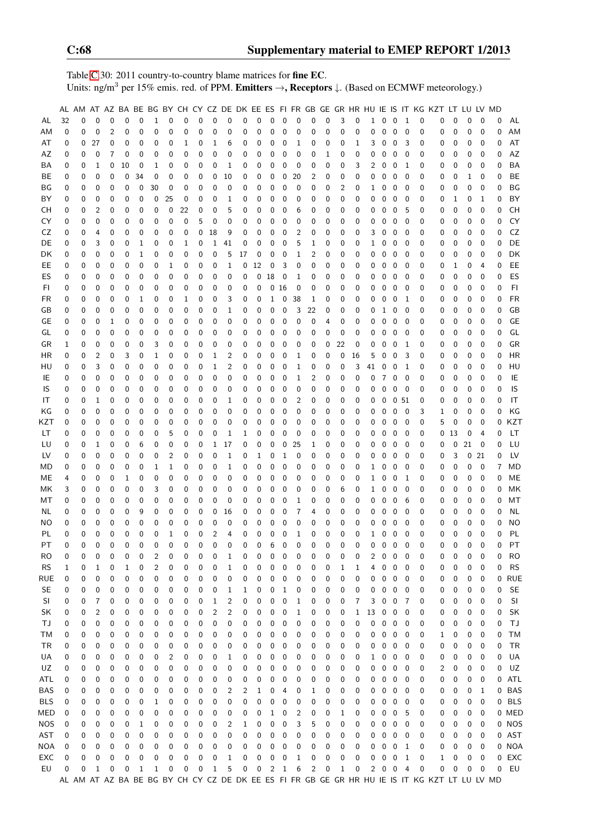Table [C.](#page-2-0)30: 2011 country-to-country blame matrices for fine EC. Units: ng/m<sup>3</sup> per 15% emis. red. of PPM. Emitters →, Receptors ↓. (Based on ECMWF meteorology.)

|            |          |          |                          |             |             |              |              |          |             |                  |                |                         |          |             |    |             |                |             |                  |              |              |                |              |                  |                          |             | AL AM AT AZ BA BE BG BY CH CY CZ DE DK EE ES FI FR GB GE GR HR HU IE IS IT KG KZT LT LU LV MD |          |          |                |          |                |
|------------|----------|----------|--------------------------|-------------|-------------|--------------|--------------|----------|-------------|------------------|----------------|-------------------------|----------|-------------|----|-------------|----------------|-------------|------------------|--------------|--------------|----------------|--------------|------------------|--------------------------|-------------|-----------------------------------------------------------------------------------------------|----------|----------|----------------|----------|----------------|
| AL         | 32       | 0        | $\Omega$                 | 0           | $\mathbf 0$ | $\mathbf 0$  | 1            | 0        | $\mathbf 0$ | $\mathbf{0}$     | $\mathbf 0$    | $\pmb{0}$               | 0        | $\mathbf 0$ | 0  | $\mathbf 0$ | $\mathbf 0$    | $\mathbf 0$ | 0                | 3            | 0            | $\mathbf{1}$   | 0            | $\mathbf 0$      | $\mathbf{1}$             | $\mathbf 0$ | 0                                                                                             | 0        | 0        | $\mathbf 0$    | 0        | AL             |
| AM         | 0        | 0        | $\mathbf 0$              | 2           | 0           | 0            | 0            | 0        | 0           | $\mathbf 0$      | 0              | 0                       | 0        | $\mathbf 0$ | 0  | $\pmb{0}$   | $\pmb{0}$      | 0           | 0                | $\pmb{0}$    | 0            | 0              | 0            | $\pmb{0}$        | $\mathbf 0$              | 0           | 0                                                                                             | 0        | 0        | $\mathbf 0$    | 0        | AM             |
| AT         | 0        | 0        | 27                       | 0           | 0           | 0            | 0            | 0        | 1           | 0                | 1              | 6                       | 0        | 0           | 0  | 0           | 1              | 0           | 0                | 0            | $\mathbf{1}$ | 3              | 0            | 0                | 3                        | 0           | 0                                                                                             | 0        | 0        | 0              | 0        | AT             |
| AZ         | 0        | 0        | 0                        | 7           | 0           | 0            | 0            | 0        | 0           | 0                | $\mathbf 0$    | 0                       | 0        | 0           | 0  | $\pmb{0}$   | 0              | 0           | 1                | 0            | 0            | 0              | 0            | $\mathbf 0$      | 0                        | 0           | 0                                                                                             | 0        | 0        | 0              | 0        | AZ             |
| BA         | 0        | 0        | $\mathbf 1$              | 0           | 10          | 0            | $\mathbf{1}$ | 0        | 0           | 0                | 0              | 1                       | 0        | 0           | 0  | 0           | 0              | 0           | 0                | 0            | 3            | 2              | 0            | 0                | 1                        | 0           | 0                                                                                             | 0        | 0        | 0              | 0        | <b>BA</b>      |
| BE         | 0        | 0        | 0                        | 0           | 0           | 34           | 0            | 0        | 0           | 0                | 0              | 10                      | 0        | 0           | 0  | 0           | 20             | 2           | 0                | 0            | 0            | 0              | 0            | $\mathbf 0$      | 0                        | 0           | 0                                                                                             | 0        | 1        | 0              | 0        | BE             |
| ΒG         | 0        | 0        | $\pmb{0}$                | 0           | 0           | 0            | 30           | 0        | 0           | 0                | 0              | 0                       | 0        | 0           | 0  | 0           | 0              | 0           | 0                | 2            | 0            | 1              | 0            | 0                | 0                        | 0           | 0                                                                                             | 0        | 0        | 0              | 0        | BG             |
| BY         | 0        | 0        | $\pmb{0}$                | 0           | 0           | 0            | 0            | 25       | $\mathbf 0$ | 0                | $\mathbf 0$    | 1                       | 0        | 0           | 0  | $\mathbf 0$ | 0              | 0           | $\boldsymbol{0}$ | 0            | 0            | 0              | 0            | $\pmb{0}$        | $\boldsymbol{0}$         | 0           | 0                                                                                             | 1        | 0        | 1              | 0        | BY             |
| CН         | 0        | 0        | $\overline{2}$           | 0           | 0           | 0            | 0            | 0        | 22          | $\boldsymbol{0}$ | 0              | 5                       | 0        | 0           | 0  | 0           | 6              | 0           | 0                | 0            | 0            | 0              | 0            | $\pmb{0}$        | 5                        | 0           | 0                                                                                             | 0        | 0        | 0              | 0        | <b>CH</b>      |
| CY         | 0        | 0        | $\mathbf 0$              | 0           | 0           | 0            | 0            | 0        | $\mathbf 0$ | 5                | $\mathbf 0$    | 0                       | 0        | 0           | 0  | 0           | 0              | 0           | 0                | 0            | $\mathbf 0$  | 0              | 0            | $\mathbf 0$      | 0                        | 0           | 0                                                                                             | 0        | 0        | 0              | 0        | CY             |
| CZ         | 0        | 0        | $\overline{4}$           | 0           | 0           | 0            | 0            | 0        | 0           | 0                | 18             | 9                       | 0        | 0           | 0  | 0           | 2              | 0           | 0                | 0            | $\mathbf 0$  | 3              | 0            | 0                | 0                        | 0           | 0                                                                                             | 0        | 0        | 0              | 0        | CZ             |
| DE         | 0        | 0        | 3                        | 0           | 0           | 1            | 0            | 0        | 1           | 0                | 1              | 41                      | 0        | 0           | 0  | 0           | 5              | 1           | 0                | 0            | 0            | 1              | 0            | $\mathbf 0$      | 0                        | 0           | 0                                                                                             | 0        | 0        | 0              | 0        | DE             |
| DK         | 0        | 0        | 0                        | 0           | 0           | 1            | 0            | 0        | 0           | 0                | 0              | 5                       | 17       | 0           | 0  | 0           | $\mathbf 1$    | 2           | 0                | 0            | 0            | 0              | 0            | 0                | 0                        | 0           | 0                                                                                             | 0        | 0        | 0              | 0        | DK             |
| EE         | 0        | 0        | $\pmb{0}$                | 0           | 0           | 0            | 0            | 1        | 0           | 0                | 0              | 1                       | 0        | 12          | 0  | 3           | 0              | 0           | 0                | 0            | 0            | 0              | 0            | $\mathbf 0$      | 0                        | 0           | 0                                                                                             | 1        | 0        | 4              | 0        | EE             |
|            |          | 0        | $\pmb{0}$                |             | 0           |              | 0            |          |             | 0                | 0              |                         |          | 0           | 18 |             |                |             | 0                |              |              |                | 0            |                  |                          | 0           |                                                                                               |          | 0        |                | 0        | ES             |
| ES         | 0        |          |                          | 0           |             | 0            |              | 0        | 0           | 0                |                | 0                       | 0        |             |    | 0<br>016    | 1              | 0           |                  | 0            | 0            | 0              |              | 0                | 0                        |             | 0                                                                                             | 0        | 0        | 0              |          | F1             |
| FI         | 0        | 0        | $\pmb{0}$<br>$\mathbf 0$ | 0           | 0           | 0            | 0            | 0        | 0           | 0                | 0              | 0                       | 0        | 0           |    |             | 0              | 0           | 0                | 0            | 0            | 0              | 0            | $\mathbf 0$      | 0                        | 0           | 0                                                                                             | 0        |          | 0              | 0        | <b>FR</b>      |
| FR         | 0        | 0        |                          | 0           | 0           | 1            | 0            | 0        | 1           |                  | 0              | 3                       | 0        | 0           | 1  | 0           | 38             | 1           | 0                | 0            | 0            | 0              | 0            | $\mathbf 0$      | 1                        | 0           | 0                                                                                             | 0        | 0        | 0              | 0        |                |
| GB         | 0        | 0        | $\mathbf 0$              | 0           | 0           | 0            | 0            | 0        | 0           | 0                | 0              | 1                       | 0        | 0           | 0  | 0           | 3              | 22          | 0                | 0            | 0            | 0              | $\mathbf{1}$ | 0                | 0                        | 0           | 0                                                                                             | 0        | 0        | 0              | 0        | GB             |
| GE         | 0        | 0        | 0                        | 1           | 0           | 0            | 0            | 0        | 0           | 0                | 0              | 0                       | 0        | 0           | 0  | 0           | 0              | 0           | 4                | 0            | 0            | 0              | 0            | $\mathbf 0$      | 0                        | 0           | 0                                                                                             | 0        | 0        | 0              | 0        | GE             |
| GL         | 0        | 0        | $\mathbf 0$              | 0           | 0           | 0            | 0            | 0        | 0           | 0                | 0              | 0                       | 0        | 0           | 0  | 0           | 0              | 0           | 0                | 0            | 0            | 0              | 0            | $\mathbf 0$      | 0                        | 0           | 0                                                                                             | 0        | 0        | 0              | 0        | $\mathsf{GL}%$ |
| GR         | 1        | 0        | 0                        | 0           | 0           | 0            | 3            | 0        | 0           | 0                | 0              | 0                       | 0        | 0           | 0  | 0           | 0              | 0           | 0                | 22           | 0            | 0              | 0            | $\mathbf 0$      | $\mathbf{1}$             | 0           | 0                                                                                             | 0        | 0        | 0              | 0        | GR             |
| HR         | 0        | 0        | $\overline{c}$           | 0           | 3           | 0            | 1            | 0        | 0           | 0                | 1              | 2                       | 0        | 0           | 0  | 0           | 1              | 0           | 0                | 0            | 16           | 5              | 0            | $\mathbf 0$      | 3                        | 0           | 0                                                                                             | 0        | 0        | 0              | 0        | <b>HR</b>      |
| HU         | 0        | 0        | 3                        | 0           | 0           | 0            | 0            | 0        | 0           | 0                | $1\,$          | $\overline{\mathbf{c}}$ | 0        | 0           | 0  | 0           | 1              | 0           | 0                | 0            | 3            | 41             | 0            | $\mathbf 0$      | 1                        | 0           | 0                                                                                             | 0        | 0        | 0              | 0        | HU             |
| IE         | 0        | 0        | $\mathbf 0$              | 0           | 0           | 0            | 0            | 0        | 0           | $\mathbf 0$      | $\mathbf 0$    | 0                       | 0        | 0           | 0  | 0           | 1              | 2           | 0                | $\pmb{0}$    | 0            | 0              | 7            | $\boldsymbol{0}$ | $\mathbf 0$              | 0           | 0                                                                                             | 0        | 0        | 0              | 0        | IE             |
| IS         | 0        | 0        | $\mathbf 0$              | 0           | 0           | 0            | 0            | 0        | 0           | $\mathbf 0$      | 0              | 0                       | 0        | 0           | 0  | 0           | 0              | 0           | 0                | 0            | 0            | 0              | 0            | $\mathbf 0$      | $\overline{\phantom{0}}$ | 0           | 0                                                                                             | 0        | 0        | 0              | 0        | IS             |
| IT         | 0        | 0        | $\mathbf{1}$             | 0           | 0           | 0            | 0            | 0        | 0           | $\mathbf 0$      | 0              | 1                       | 0        | 0           | 0  | 0           | 2              | 0           | 0                | 0            | 0            | 0              | 0            |                  | 0 <sub>51</sub>          | 0           | 0                                                                                             | 0        | 0        | 0              | 0        | IT             |
| ΚG         | 0        | 0        | $\mathbf 0$              | 0           | 0           | 0            | 0            | 0        | 0           | 0                | 0              | 0                       | 0        | 0           | 0  | 0           | 0              | 0           | 0                | 0            | 0            | 0              | 0            | $\mathbf 0$      | $\boldsymbol{0}$         | 3           | 1                                                                                             | 0        | 0        | 0              | 0        | KG             |
| KZT        | 0        | 0        | 0                        | 0           | 0           | 0            | 0            | 0        | 0           | 0                | 0              | 0                       | 0        | 0           | 0  | 0           | 0              | 0           | 0                | 0            | 0            | 0              | 0            | $\boldsymbol{0}$ | 0                        | 0           | 5                                                                                             | 0        | 0        | 0              | 0        | <b>KZT</b>     |
| LТ         | 0        | 0        | 0                        | 0           | 0           | 0            | 0            | 5        | 0           | 0                | 0              | 1                       | 1        | 0           | 0  | 0           | 0              | 0           | 0                | 0            | 0            | 0              | 0            | $\mathbf 0$      | 0                        | 0           | 0                                                                                             | 13       | 0        | $\overline{4}$ | 0        | <b>LT</b>      |
| LU         | 0        | 0        | $\mathbf{1}$             | 0           | 0           | 6            | 0            | 0        | 0           | 0                | 1              | 17                      | 0        | 0           | 0  | 0           | 25             | 1           | 0                | 0            | 0            | 0              | 0            | 0                | 0                        | 0           | 0                                                                                             | 0        | 21       | 0              | 0        | LU             |
| LV         | 0        | 0        | $\mathbf 0$              | 0           | 0           | 0            | 0            | 2        | 0           | 0                | 0              | 1                       | 0        | 1           | 0  | 1           | 0              | 0           | 0                | 0            | 0            | 0              | 0            | $\mathbf 0$      | 0                        | 0           | 0                                                                                             | 3        | 0        | 21             | 0        | LV             |
| MD         | 0        | 0        | $\mathbf 0$              | 0           | 0           | 0            | 1            | 1        | 0           | 0                | 0              | 1                       | 0        | $\mathbf 0$ | 0  | $\pmb{0}$   | 0              | 0           | 0                | 0            | 0            | 1              | 0            | $\mathbf 0$      | 0                        | 0           | 0                                                                                             | 0        | 0        | 0              | 7        | <b>MD</b>      |
| ME         | 4        | 0        | $\mathbf 0$              | 0           | 1           | 0            | 0            | 0        | 0           | $\mathbf 0$      | 0              | 0                       | 0        | $\mathbf 0$ | 0  | $\pmb{0}$   | 0              | 0           | 0                | 0            | $\mathbf{0}$ | 1              | 0            | $\mathbf 0$      | 1                        | 0           | 0                                                                                             | 0        | 0        | 0              | 0        | ME             |
| МK         | 3        | 0        | 0                        | 0           | 0           | 0            | 3            | 0        | 0           | 0                | 0              | 0                       | 0        | 0           | 0  | 0           | 0              | 0           | 0                | 6            | 0            | 1              | $\mathbf 0$  | $\mathbf 0$      | 0                        | 0           | 0                                                                                             | 0        | 0        | 0              | 0        | MK             |
| МT         | 0        | 0        | $\pmb{0}$                | 0           | 0           | 0            | 0            | 0        | 0           | $\mathbf 0$      | $\mathbf 0$    | $\mathbf 0$             | 0        | 0           | 0  | $\pmb{0}$   | $\mathbf 1$    | 0           | 0                | 0            | 0            | 0              | 0            | $\mathbf 0$      | 6                        | 0           | 0                                                                                             | 0        | 0        | 0              | 0        | MT             |
| NL         | 0        | 0        | 0                        | 0           | 0           | 9            | 0            | 0        | 0           | 0                | 0              | 16                      | 0        | 0           | 0  | 0           | $\overline{7}$ | 4           | 0                | 0            | 0            | 0              | 0            | 0                | 0                        | 0           | 0                                                                                             | 0        | 0        | 0              | 0        | <b>NL</b>      |
| ΝO         | 0        | 0        | 0                        | 0           | 0           | 0            | 0            | 0        | 0           | 0                | 0              | 0                       | 0        | 0           | 0  | $\mathbf 0$ | 0              | 0           | 0                | 0            | 0            | 0              | 0            | $\mathbf 0$      | 0                        | 0           | 0                                                                                             | 0        | 0        | 0              | 0        | <b>NO</b>      |
| PL         | 0        | 0        | $\mathbf 0$              | $\mathbf 0$ | 0           | 0            | 0            | 1        | 0           | 0                | $\overline{2}$ | 4                       | 0        | 0           | 0  | $\pmb{0}$   | $1\,$          | 0           | $\mathbf 0$      | 0            | $\mathbf 0$  | 1              | 0            | $\mathbf 0$      | 0                        | 0           | 0                                                                                             | 0        | 0        | 0              | 0        | PL             |
| PT         | $\Omega$ | $\Omega$ | $\mathbf 0$              | $\Omega$    | $\Omega$    | $\Omega$     | $\Omega$     | $\Omega$ | $\Omega$    | $\Omega$         | $\Omega$       | $\Omega$                | $\Omega$ | $\Omega$    | 6  | $\mathbf 0$ | $\mathbf 0$    | $\Omega$    | $\Omega$         | $\Omega$     | $\Omega$     | $\overline{0}$ | $\Omega$     | $\overline{0}$   | $\mathbf 0$              | $\Omega$    | 0                                                                                             | $\Omega$ | $\Omega$ | $\Omega$       | $\Omega$ | PT             |
| RO         | 0        | 0        | 0                        | 0           | 0           | 0            | 2            | 0        | 0           | 0                | 0              | 1                       | 0        | 0           | 0  | 0           | 0              | 0           | 0                | 0            | 0            | 2              | 0            | 0                | 0                        | 0           | 0                                                                                             | 0        | 0        | 0              | 0        | <b>RO</b>      |
| <b>RS</b>  | 1        | 0        | 1                        | 0           | 1           | 0            | 2            | 0        | 0           | 0                | 0              | 1                       | 0        | 0           | 0  | 0           | 0              | 0           | 0                | 1            | 1            | 4              | 0            | 0                | 0                        | 0           | 0                                                                                             | 0        | 0        | 0              | 0        | <b>RS</b>      |
| RUE        | 0        | 0        | 0                        | 0           | 0           | 0            | 0            | 0        | 0           | 0                | 0              | 0                       | 0        | 0           | 0  | 0           | 0              | 0           | 0                | 0            | 0            | 0              | 0            | 0                | 0                        | 0           | 0                                                                                             | 0        | 0        | 0              | 0        | RUE            |
| <b>SE</b>  | 0        | 0        | 0                        | 0           | 0           | 0            | 0            | 0        | 0           | 0                | 0              | 1                       | 1        | 0           | 0  | 1           | 0              | 0           | 0                | 0            | 0            | 0              | 0            | 0                | 0                        | 0           | 0                                                                                             | 0        | 0        | 0              | 0        | <b>SE</b>      |
| SI         | 0        | 0        | 7                        | 0           | 0           | 0            | 0            | 0        | 0           | 0                | 1              | 2                       | 0        | 0           | 0  | 0           | 1              | 0           | 0                | 0            | 7            | 3              | 0            | 0                | 7                        | 0           | 0                                                                                             | 0        | 0        | 0              | 0        | SI             |
| SK         | 0        | 0        | 2                        | 0           | 0           | 0            | 0            | 0        | 0           | 0                | $\overline{c}$ | 2                       | 0        | 0           | 0  | 0           | 1              | 0           | 0                | 0            | 1            | 13             | 0            | $\mathbf 0$      | 0                        | 0           | 0                                                                                             | 0        | 0        | 0              | 0        | SK             |
| ΤJ         | 0        | 0        | 0                        | 0           | 0           | 0            | 0            | 0        | 0           | 0                | 0              | 0                       | 0        | 0           | 0  | 0           | 0              | 0           | 0                | 0            | 0            | 0              | 0            | 0                | 0                        | 0           | 0                                                                                             | 0        | 0        | 0              | 0        | ΤJ             |
| ТM         | 0        | 0        | 0                        | 0           | 0           | 0            | 0            | 0        | 0           | 0                | 0              | 0                       | 0        | 0           | 0  | 0           | 0              | 0           | 0                | 0            | 0            | 0              | 0            | 0                | 0                        | 0           | 1                                                                                             | 0        | 0        | 0              | 0        | <b>TM</b>      |
| ΤR         | 0        | 0        | 0                        | 0           | 0           | 0            | 0            | 0        | 0           | 0                | 0              | 0                       | 0        | 0           | 0  | 0           | 0              | 0           | 0                | 0            | 0            | 0              | 0            | 0                | 0                        | 0           | 0                                                                                             | 0        | 0        | 0              | 0        | TR             |
| UA         | 0        | 0        | 0                        | 0           | 0           | 0            | 0            | 2        | 0           | 0                | 0              | 1                       | 0        | 0           | 0  | 0           | 0              | 0           | 0                | 0            | 0            | 1              | 0            | 0                | 0                        | 0           | 0                                                                                             | 0        | 0        | 0              | 0        | UA             |
| UZ         | 0        | 0        | 0                        | 0           | 0           | 0            | 0            | 0        | 0           | 0                | 0              | 0                       | 0        | 0           | 0  | 0           | 0              | 0           | 0                | 0            | 0            | 0              | 0            | 0                | 0                        | 0           | 2                                                                                             | 0        | 0        | 0              | 0        | UZ             |
| ATL        | 0        | 0        | 0                        | 0           | 0           | 0            | 0            | 0        | 0           | 0                | 0              | 0                       | 0        | 0           | 0  | 0           | 0              | 0           | 0                | 0            | 0            | 0              | 0            | 0                | 0                        | 0           | 0                                                                                             | 0        | 0        | 0              | 0        | ATL            |
| BAS        | 0        | 0        | 0                        | 0           | 0           | 0            | 0            | 0        | 0           | 0                | 0              | 2                       | 2        | 1           | 0  | 4           | 0              | 1           | 0                | 0            | 0            | 0              | 0            | 0                | 0                        | 0           | 0                                                                                             | 0        | 0        | 1              |          | 0 BAS          |
| <b>BLS</b> | 0        | 0        | 0                        | 0           | 0           | 0            | 1            | 0        | 0           | 0                | 0              | 0                       | 0        | 0           | 0  | 0           | 0              | 0           | 0                | 0            | 0            | 0              | 0            | 0                | 0                        | 0           | 0                                                                                             | 0        | 0        | 0              |          | 0 BLS          |
| MED        | 0        | 0        | 0                        | 0           | 0           | 0            | 0            | 0        | 0           | 0                | 0              | 0                       | 0        | 0           | 1  | 0           | 2              | 0           | 0                | 1            | 0            | 0              | 0            | $\boldsymbol{0}$ | 5                        | 0           | 0                                                                                             | 0        | 0        | 0              |          | 0 MED          |
| <b>NOS</b> | 0        | 0        | 0                        | 0           | 0           | 1            | 0            | 0        | 0           | 0                | 0              | 2                       | 1        | 0           | 0  | 0           | 3              | 5           | 0                | 0            | 0            | 0              | 0            | $\boldsymbol{0}$ | 0                        | 0           | 0                                                                                             | 0        | 0        | 0              |          | 0 NOS          |
| <b>AST</b> | 0        | 0        | 0                        | 0           | 0           | 0            | 0            | 0        | 0           | 0                | 0              | 0                       | 0        | 0           | 0  | 0           | 0              | 0           | 0                | 0            | 0            | 0              | 0            | $\overline{0}$   | 0                        | 0           | 0                                                                                             | 0        | 0        | 0              |          | 0 AST          |
| <b>NOA</b> | 0        | 0        | 0                        | 0           | 0           | 0            | 0            | 0        | 0           | 0                | 0              | 0                       | 0        | 0           | 0  | 0           | 0              | 0           | 0                | 0            | 0            | 0              | 0            | $\mathbf 0$      | 1                        | 0           | 0                                                                                             | 0        | 0        | 0              |          | 0 NOA          |
| EXC        | 0        | 0        | 0                        | 0           | 0           | 0            | 0            | 0        | 0           | 0                | 0              | 1                       | 0        | 0           | 0  | 0           | 1              | 0           | 0                | 0            | 0            | 0              | 0            | $\mathbf 0$      | 1                        | 0           | 1                                                                                             | 0        | 0        | 0              | 0        | EXC            |
| EU         | 0        | 0        | $\mathbf{1}$             | 0           | 0           | $\mathbf{1}$ | 1            | 0        | 0           | 0                | $\mathbf{1}$   | 5                       | 0        | 0           | 2  | 1           | 6              | 2           | 0                | $\mathbf{1}$ | 0            | $\overline{2}$ | $0\quad 0$   |                  | 4                        | 0           | 0                                                                                             | 0        | 0        | 0              | 0        | EU             |
|            |          |          |                          |             |             |              |              |          |             |                  |                |                         |          |             |    |             |                |             |                  |              |              |                |              |                  |                          |             | AL AM AT AZ BA BE BG BY CH CY CZ DE DK EE ES FI FR GB GE GR HR HU IE IS IT KG KZT LT LU LV MD |          |          |                |          |                |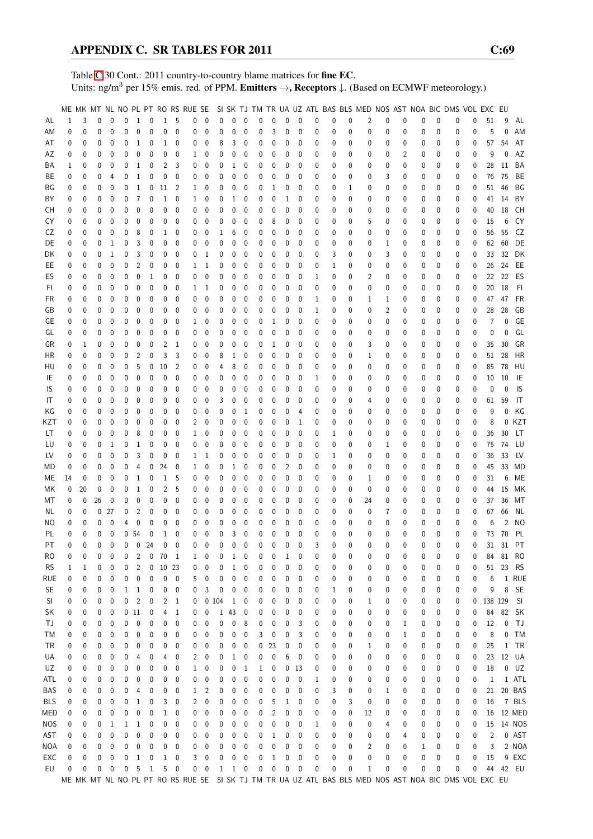Table [C.](#page-2-0)30 Cont.: 2011 country-to-country blame matrices for fine EC. Units: ng/m<sup>3</sup> per 15% emis. red. of PPM. Emitters →, Receptors ↓. (Based on ECMWF meteorology.)

|            |              |              |          |             |             |                 |              |              |                  |              |              |              |              |              |              |              |                |              |   |              |              | ME MK MT NL NO PL PT RO RS RUE SE SI SK TJ TM TR UA UZ ATL BAS BLS MED NOS AST NOA BIC DMS VOL EXC EU |                |          |          |              |              |             |                |                |           |
|------------|--------------|--------------|----------|-------------|-------------|-----------------|--------------|--------------|------------------|--------------|--------------|--------------|--------------|--------------|--------------|--------------|----------------|--------------|---|--------------|--------------|-------------------------------------------------------------------------------------------------------|----------------|----------|----------|--------------|--------------|-------------|----------------|----------------|-----------|
| AL         | $\mathbf{1}$ | 3            | 0        | 0           | $\mathbf 0$ | $\mathbf{1}$    | $\mathbf 0$  | $\mathbf{1}$ | - 5              | $\mathbf 0$  | $\mathbf 0$  | 0            | $\mathbf{0}$ | $\mathbf{0}$ | 0            | 0            | 0              | $\mathbf{0}$ | 0 | 0            | 0            | 2                                                                                                     | 0              | 0        | 0        | 0            | 0            | 0           | 51             | 9              | AL        |
| ΑM         | 0            | 0            | 0        | 0           | 0           | 0               | 0            | 0            | 0                | 0            | 0            | 0            | 0            | 0            | 0            | 3            | 0              | 0            | 0 | 0            | 0            | 0                                                                                                     | 0              | 0        | 0        | 0            | 0            | 0           | 5              | $\Omega$       | AM        |
| AT         | 0            | 0            | 0        | 0           | 0           | 1               | 0            | 1            | 0                | 0            | 0            | 8            | 3            | 0            | 0            | 0            | 0              | 0            | 0 | 0            | 0            | 0                                                                                                     | 0              | 0        | 0        | 0            | 0            | 0           | 57             | 54             | AT        |
| ΑZ         | 0            | 0            | 0        | 0           | 0           | 0               | 0            | 0            | 0                | 1            | 0            | 0            | 0            | 0            | 0            | 0            | 0              | 0            | 0 | 0            | 0            | 0                                                                                                     | 0              | 2        | 0        | 0            | 0            | 0           | 9              | 0              | AZ        |
| ΒA         | 1            | 0            | 0        | 0           | 0           | 1               | 0            | 2            | 3                | 0            | 0            | 0            | 1            | 0            | 0            | 0            | 0              | 0            | 0 | 0            | 0            | 0                                                                                                     | 0              | 0        | 0        | 0            | 0            | 0           | 28             | 11             | BA        |
| BE         | 0            | 0            | 0        | 4           | 0           | 1               | 0            | 0            | 0                | 0            | 0            | 0            | 0            | 0            | 0            | 0            | 0              | 0            | 0 | 0            | 0            | 0                                                                                                     | 3              | 0        | 0        | 0            | 0            | $\mathbf 0$ | 76             | 75             | BE        |
|            |              |              |          |             |             |                 |              |              |                  |              |              |              |              |              |              |              |                |              |   |              |              |                                                                                                       | 0              |          |          |              |              |             |                |                |           |
| ΒG         | 0            | 0            | 0        | 0           | 0           | 1               | 0            | 11           | $\overline{2}$   | $\mathbf{1}$ | 0            | 0            | 0            | 0            | 0            | 1            | 0              | 0            | 0 | 0            | 1            | 0                                                                                                     |                | 0        | 0        | 0            | 0            | 0           | 51             | 46             | ΒG        |
| BY         | 0            | 0            | 0        | 0           | 0           | 7               | 0            | 1            | 0                | 1            | 0            | 0            | 1            | 0            | 0            | 0            | 1              | 0            | 0 | 0            | 0            | 0                                                                                                     | 0              | 0        | 0        | 0            | 0            | 0           | 41             | 14             | BY        |
| CН         | 0            | 0            | 0        | 0           | 0           | 0               | 0            | 0            | 0                | 0            | 0            | 0            | 0            | 0            | 0            | 0            | 0              | 0            | 0 | 0            | 0            | 0                                                                                                     | 0              | 0        | 0        | 0            | 0            | 0           | 40             | 18             | CH        |
| CY         | 0            | 0            | 0        | 0           | 0           | 0               | 0            | 0            | 0                | 0            | $\mathbf{0}$ | 0            | 0            | 0            | 0            | 8            | 0              | 0            | 0 | 0            | 0            | 5                                                                                                     | 0              | 0        | 0        | 0            | 0            | 0           | 15             | 6              | CY        |
| CZ         | 0            | 0            | 0        | 0           | 0           | 8               | 0            | 1            | 0                | 0            | 0            | 1            | 6            | 0            | 0            | 0            | 0              | 0            | 0 | 0            | 0            | 0                                                                                                     | 0              | 0        | 0        | 0            | 0            | 0           | 56             | 55             | CZ        |
| DE         | 0            | 0            | 0        | 1           | 0           | 3               | 0            | 0            | 0                | 0            | 0            | 0            | 0            | 0            | 0            | 0            | 0              | 0            | 0 | 0            | 0            | 0                                                                                                     | 1              | 0        | 0        | 0            | 0            | $\mathbf 0$ | 62             | 60             | DE        |
| DK         | 0            | 0            | 0        | 1           | 0           | 3               | 0            | 0            | 0                | 0            | 1            | 0            | 0            | 0            | 0            | 0            | 0              | 0            | 0 | 3            | 0            | 0                                                                                                     | 3              | 0        | 0        | 0            | 0            | 0           | 33             | 32             | DK        |
| EE         | 0            | 0            | 0        | 0           | 0           | 2               | 0            | 0            | 0                | 1            | 1            | 0            | 0            | 0            | 0            | 0            | 0              | 0            | 0 | 1            | 0            | 0                                                                                                     | 0              | 0        | 0        | 0            | 0            | $\mathbf 0$ | 26             | 24             | EE        |
| ES         | 0            | 0            | 0        | 0           | 0           | 0               | 1            | 0            | 0                | 0            | 0            | 0            | 0            | 0            | 0            | 0            | 0              | 0            | 1 | 0            | 0            | 2                                                                                                     | 0              | 0        | 0        | 0            | 0            | 0           | 22             | 22             | ES        |
| FI.        | 0            | 0            | 0        | 0           | 0           | 0               | 0            | 0            | 0                | 1            | 1            | 0            | 0            | 0            | 0            | 0            | 0              | 0            | 0 | 0            | 0            | 0                                                                                                     | 0              | 0        | 0        | 0            | 0            | 0           | 20             | 18             | FI        |
| FR         | 0            | 0            | 0        | 0           | 0           | 0               | 0            | 0            | 0                | 0            | 0            | 0            | 0            | 0            | 0            | 0            | 0              | 0            | 1 | 0            | 0            | 1                                                                                                     | 1              | 0        | 0        | 0            | 0            | 0           | 47             | 47             | <b>FR</b> |
| GB         | 0            | 0            | 0        | $\mathbf 0$ | 0           | 0               | 0            | 0            | 0                | 0            | 0            | 0            | 0            | 0            | 0            | 0            | $\mathbf 0$    | 0            | 1 | 0            | 0            | 0                                                                                                     | $\overline{2}$ | 0        | 0        | 0            | 0            | 0           | 28             | 28             | GB        |
| GЕ         | 0            | 0            | 0        | 0           | 0           | 0               | 0            | 0            | 0                | $\mathbf{1}$ | 0            | 0            | 0            | 0            | 0            | 1            | 0              | 0            | 0 | 0            | 0            | 0                                                                                                     | 0              | 0        | 0        | 0            | 0            | 0           | 7              | 0              | <b>GE</b> |
| GL         | 0            | 0            | 0        | 0           | 0           | 0               | 0            | 0            | 0                | 0            | 0            | 0            | 0            | 0            | 0            | 0            | 0              | 0            | 0 | 0            | 0            | 0                                                                                                     | 0              | 0        | 0        | 0            | 0            | 0           | 0              | 0              | GL        |
| GR         | 0            | 1            | 0        | 0           | 0           | 0               | 0            | 2            | -1               | 0            | 0            | 0            | 0            | 0            | 0            | 1            | 0              | 0            | 0 | 0            | 0            | 3                                                                                                     | 0              | 0        | 0        | 0            | 0            | 0           | 35             | 30             | GR        |
| ΗR         | 0            | 0            | 0        | 0           | 0           | 2               | 0            | 3            | 3                | 0            | 0            | 8            | 1            | 0            | 0            | 0            | 0              | 0            | 0 | 0            | 0            | 1                                                                                                     | 0              | 0        | 0        | 0            | 0            | 0           | 51             | 28             | HR        |
| HU         | 0            | 0            | 0        | 0           | 0           | 5               | 0            | 10           | $\overline{2}$   | 0            | 0            | 4            | 8            | 0            | 0            | 0            | 0              | 0            | 0 | 0            | 0            | 0                                                                                                     | 0              | 0        | 0        | 0            | 0            | 0           | 85             | 78             | HU        |
| IE         | 0            | 0            | 0        | 0           | 0           | 0               | 0            | 0            | 0                | 0            | 0            | 0            | 0            | 0            | 0            | 0            | 0              | 0            | 1 | 0            | 0            | 0                                                                                                     | 0              | 0        | 0        | 0            | 0            | 0           | 10             | 10             | IE        |
| IS         | 0            | 0            | 0        | 0           | 0           | 0               | 0            | 0            | 0                | 0            | 0            | 0            | 0            | 0            | 0            | 0            | 0              | 0            | 0 | 0            | 0            | 0                                                                                                     | 0              | 0        | 0        | 0            | 0            | 0           | 0              | $\theta$       | IS        |
| IT         | 0            | 0            | 0        | 0           | 0           |                 |              |              |                  |              |              | 3            |              |              | 0            | 0            | 0              | 0            | 0 | 0            | 0            |                                                                                                       | 0              |          |          | 0            |              |             |                |                | IT        |
|            |              |              |          |             |             | 0               | 0            | 0            | 0                | 0            | 0            |              | 0            | 0            |              |              |                |              |   |              |              | 4                                                                                                     |                | 0        | 0        |              | 0            | 0           | 61             | 59             |           |
| ΚG         | 0            | 0            | 0        | 0           | 0           | 0               | 0            | 0            | 0                | 0            | 0            | 0            | 0            | 1            | 0            | 0            | 0              | 4            | 0 | 0            | 0            | 0                                                                                                     | 0              | 0        | 0        | 0            | 0            | 0           | 9              | 0              | ΚG        |
| KZT        | 0            | 0            | 0        | 0           | 0           | 0               | 0            | 0            | 0                | 2            | 0            | 0            | 0            | 0            | 0            | 0            | 0              | 1            | 0 | 0            | 0            | 0                                                                                                     | 0              | 0        | 0        | 0            | 0            | 0           | 8              | 0              | KZT       |
| LT         | 0            | 0            | 0        | 0           | 0           | 8               | 0            | 0            | 0                | 1            | 0            | 0            | 0            | 0            | 0            | 0            | 0              | 0            | 0 | 1            | 0            | 0                                                                                                     | 0              | 0        | 0        | 0            | 0            | 0           | 36             | 30             | LT        |
| LU         | 0            | 0            | 0        | 1           | 0           | 1               | 0            | 0            | 0                | 0            | 0            | 0            | 0            | 0            | 0            | 0            | 0              | 0            | 0 | 0            | 0            | 0                                                                                                     | 1              | 0        | 0        | 0            | 0            | 0           | 75             | 74             | LU        |
| LV         | 0            | 0            | 0        | 0           | 0           | 3               | 0            | 0            | 0                | 1            | 1            | 0            | 0            | 0            | 0            | 0            | 0              | 0            | 0 | 1            | 0            | 0                                                                                                     | 0              | 0        | 0        | 0            | 0            | 0           | 36             | 33             | LV        |
| MD         | 0            | 0            | 0        | 0           | 0           | $\overline{4}$  | 0            | 24           | 0                | 1            | 0            | 0            | 1            | 0            | 0            | 0            | $\overline{2}$ | 0            | 0 | 0            | 0            | 0                                                                                                     | 0              | 0        | 0        | 0            | 0            | 0           | 45             | 33             | MD        |
| МE         | 14           | 0            | 0        | 0           | 0           | $\mathbf{1}$    | 0            | 1            | 5                | 0            | 0            | 0            | 0            | 0            | 0            | 0            | 0              | 0            | 0 | 0            | 0            | 1                                                                                                     | 0              | 0        | 0        | 0            | 0            | 0           | 31             | 6              | МE        |
| МK         | 0            | 20           | 0        | $\mathbf 0$ | 0           | 1               | 0            | 2            | 5                | 0            | 0            | 0            | 0            | 0            | $\mathbf{0}$ | 0            | 0              | 0            | 0 | 0            | 0            | $\mathbf{0}$                                                                                          | 0              | 0        | 0        | 0            | 0            | 0           | 44             | 15             | MK        |
| МT         | 0            | 0            | 26       | 0           | 0           | 0               | 0            | 0            | 0                | 0            | 0            | 0            | 0            | 0            | 0            | 0            | 0              | 0            | 0 | 0            | 0            | 24                                                                                                    | 0              | 0        | 0        | 0            | 0            | 0           | 37             | 36             | МT        |
| NL         | 0            | 0            | 0        | 27          | 0           | $\overline{2}$  | 0            | 0            | 0                | 0            | 0            | 0            | 0            | 0            | 0            | 0            | 0              | 0            | 0 | 0            | 0            | 0                                                                                                     | 7              | 0        | 0        | 0            | 0            | 0           | 67             | 66             | ΝL        |
| ΝO         | 0            | 0            | 0        | 0           | 4           | 0               | 0            | 0            | 0                | 0            | 0            | 0            | 0            | 0            | 0            | 0            | 0              | 0            | 0 | 0            | 0            | 0                                                                                                     | 0              | 0        | 0        | 0            | 0            | 0           | 6              | $\overline{2}$ | <b>NO</b> |
| PL         | 0            | 0            | 0        | $\mathbf 0$ |             | 0 <sub>54</sub> | 0            | 1            | 0                | 0            | 0            | 0            | 3            | 0            | 0            | 0            | 0              | 0            | 0 | 0            | 0            | 0                                                                                                     | 0              | 0        | 0        | 0            | 0            | 0           | 73             | 70             | PL        |
| PT         | 0            | $\mathbf{0}$ | $\theta$ | $\theta$    | $\Omega$    | $\mathbf 0$     | 24           | $\mathbf{0}$ | $\mathbf{0}$     | 0            | $\mathbf 0$  | $\theta$     | $\mathbf{0}$ | $\Omega$     | $\Omega$     | $\mathbf{0}$ | $\Omega$       | $\mathbf{0}$ | 3 | $\mathbf{0}$ | $\mathbf{0}$ | $\Omega$                                                                                              | $\Omega$       | $\Omega$ | $\Omega$ | $\mathbf{0}$ | $\mathbf{0}$ | 0           |                | 31 31          | PT        |
| RO         | 0            | 0            | 0        | 0           | 0           | 2               | 0            | 70           | $\mathbf{1}$     | 1            | 0            | 0            | 1            | 0            | 0            | 0            | 1              | 0            | 0 | 0            | 0            | 0                                                                                                     | 0              | 0        | 0        | 0            | 0            | 0           | 84             | 81             | <b>RO</b> |
| <b>RS</b>  | 1            | 1            | 0        | 0           | 0           | 2               | 0            | 10           | 23               | 0            | 0            | 0            | 1            | 0            | 0            | 0            | 0              | 0            | 0 | 0            | 0            | 0                                                                                                     | 0              | 0        | 0        | 0            | 0            | 0           | 51             | 23             | <b>RS</b> |
| rue        | 0            | 0            | 0        | 0           | 0           | 0               | 0            | 0            | 0                | 5            | 0            | 0            | 0            | 0            | 0            | 0            | 0              | 0            | 0 | 0            | 0            | 0                                                                                                     | 0              | 0        | 0        | 0            | 0            | 0           | 6              |                | 1 RUE     |
| <b>SE</b>  | 0            | 0            | 0        | 0           | 1           | 1               | 0            | 0            | 0                | 0            | 3            | 0            | 0            | 0            | 0            | 0            | 0              | 0            | 0 | 1            | 0            | 0                                                                                                     | 0              | 0        | 0        | 0            | 0            | 0           | 9              | 8              | <b>SE</b> |
| SI         | 0            | 0            | 0        | 0           | 0           | $\overline{c}$  | 0            | 2            | $\mathbf{1}$     | 0            |              | 0104         | $\mathbf{1}$ | 0            | 0            | 0            | 0              | 0            | 0 | 0            | 0            | 1                                                                                                     | 0              | 0        | 0        | 0            | 0            | 0           | 138 129        |                | SI        |
| SK         | 0            | 0            | 0        | 0           |             | 0 11            | 0            | 4            | $\mathbf{1}$     | 0            | 0            | 1            | 43           | 0            | 0            | 0            | 0              | 0            | 0 | 0            | 0            | 0                                                                                                     | 0              | 0        | 0        | 0            | 0            | 0           | 84             | 82             | <b>SK</b> |
| ТJ         | 0            | 0            | 0        | 0           | 0           | 0               | 0            | 0            | 0                | 0            | 0            | 0            | 0            | 8            | 0            | 0            | 0              | 3            | 0 | 0            | 0            | 0                                                                                                     | 0              | 1        | 0        | 0            | 0            | 0           | 12             | 0              | TJ        |
| ТM         |              |              |          | 0           | 0           | 0               | 0            | 0            | 0                | 0            | 0            | 0            | 0            | 0            | 3            | 0            | 0              | 3            |   | 0            | 0            |                                                                                                       | 0              |          |          | 0            |              | 0           | 8              | 0              | <b>TM</b> |
|            | 0            | 0            | 0        |             |             |                 |              |              |                  |              |              |              |              |              | 0            |              |                |              | 0 |              |              | 0                                                                                                     |                | 1        | 0        | 0            | 0            |             |                |                | TR        |
| TR         | 0            | 0            | 0        | 0           | 0           | 0               | 0            | 0            | 0                | 0            | 0            | 0            | 0            | 0            |              | 23           | 0              | 0            | 0 | 0            | 0            | 1                                                                                                     | 0              | 0        | 0        |              | 0            | 0           | 25             | 1              |           |
| UA         | 0            | 0            | 0        | 0           | 0           | 4               | 0            | 4            | 0                | 2            | 0            | 0            | 1            | 0            | 0            | 0            | 6              | 0            | 0 | 0            | 0            | 0                                                                                                     | 0              | 0        | 0        | 0            | 0            | 0           | 23             |                | 12 UA     |
| UZ         | 0            | 0            | 0        | 0           | 0           | 0               | 0            | 0            | 0                | 1            | 0            | 0            | 0            | 1            | 1            | 0            | 0              | 13           | 0 | 0            | 0            | 0                                                                                                     | 0              | 0        | 0        | 0            | 0            | 0           | 18             |                | $0$ $UZ$  |
| ATL        | 0            | 0            | 0        | 0           | 0           | 0               | 0            | 0            | 0                | 0            | 0            | 0            | 0            | 0            | 0            | 0            | 0              | 0            | 1 | 0            | 0            | 0                                                                                                     | 0              | 0        | 0        | 0            | 0            | 0           | 1              |                | 1 ATL     |
| BAS        | 0            | 0            | 0        | 0           | 0           | 4               | 0            | 0            | 0                | 1            | 2            | 0            | 0            | 0            | 0            | 0            | 0              | 0            | 0 | 3            | 0            | 0                                                                                                     | 1              | 0        | 0        | 0            | 0            | 0           | 21             |                | 20 BAS    |
| <b>BLS</b> | 0            | 0            | 0        | 0           | 0           | 1               | 0            | 3            | 0                | 2            | 0            | 0            | 0            | 0            | 0            | 5            | 1              | 0            | 0 | 0            | 3            | 0                                                                                                     | 0              | 0        | 0        | 0            | 0            | 0           | 16             |                | 7 BLS     |
| MED        | 0            | 0            | 0        | 0           | 0           | 0               | 0            | 1            | 0                | 0            | 0            | 0            | 0            | 0            | 0            | 2            | 0              | 0            | 0 | 0            | 0            | 12                                                                                                    | 0              | 0        | 0        | 0            | 0            | 0           | 16             |                | 12 MED    |
| <b>NOS</b> | 0            | 0            | 0        | 1           | 1           | 1               | 0            | 0            | 0                | 0            | 0            | 0            | 0            | 0            | 0            | 0            | 0              | 0            | 1 | 0            | 0            | 0                                                                                                     | 4              | 0        | 0        | 0            | 0            | 0           | 15             |                | 14 NOS    |
| AST        | 0            | 0            | 0        | 0           | 0           | 0               | 0            | 0            | 0                | 0            | 0            | 0            | 0            | 0            | 0            | 1            | 0              | 0            | 0 | 0            | 0            | 0                                                                                                     | 0              | 4        | 0        | 0            | 0            | 0           | $\overline{2}$ |                | 0 AST     |
| NOA        | 0            | 0            | 0        | 0           | 0           | 0               | 0            | 0            | 0                | 0            | 0            | 0            | 0            | 0            | 0            | 0            | 0              | 0            | 0 | 0            | 0            | 2                                                                                                     | 0              | 0        | 1        | 0            | 0            | 0           | 3              |                | 2 NOA     |
| EXC        | 0            | 0            | 0        | 0           | 0           | 1               | 0            | 1            | 0                | 3            | 0            | 0            | 0            | 0            | 0            | 1            | 0              | 0            | 0 | 0            | 0            | 0                                                                                                     | 0              | 0        | 0        | 0            | 0            | 0           | 15             |                | 9 EXC     |
| EU         | 0            | 0            | 0        | 0           | 0           | 5               | $\mathbf{1}$ | 5            | $\boldsymbol{0}$ | 0            | 0            | $\mathbf{1}$ | $\mathbf{1}$ | 0            | 0            | 0            | 0              | 0            | 0 | 0            | 0            | 1                                                                                                     | 0              | 0        | 0        | 0            | 0            | 0           | 44             |                | 42 EU     |
|            |              |              |          |             |             |                 |              |              |                  |              |              |              |              |              |              |              |                |              |   |              |              | ME MK MT NL NO PL PT RO RS RUE SE SI SK TJ TM TR UA UZ ATL BAS BLS MED NOS AST NOA BIC DMS VOL EXC EU |                |          |          |              |              |             |                |                |           |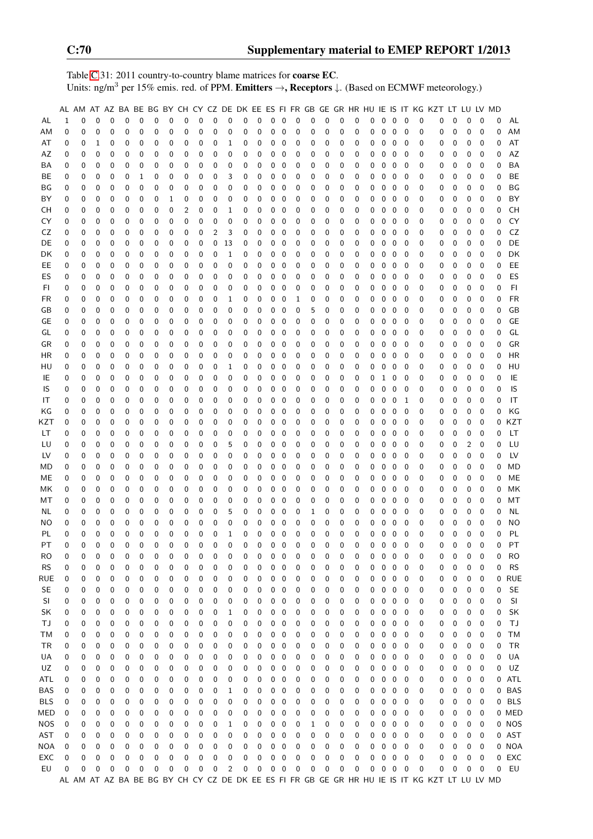Table [C.](#page-2-0)31: 2011 country-to-country blame matrices for coarse EC. Units: ng/m<sup>3</sup> per 15% emis. red. of PPM. Emitters →, Receptors ↓. (Based on ECMWF meteorology.)

|            |             |             |             |             |             |             |             |              |             |                |             |             |   |             |             |                  |             |   |             |          |             |   |              |                   |                          |             | AL AM AT AZ BA BE BG BY CH CY CZ DE DK EE ES FI FR GB GE GR HR HU IE IS IT KG KZT LT LU LV MD |   |                |              |   |            |
|------------|-------------|-------------|-------------|-------------|-------------|-------------|-------------|--------------|-------------|----------------|-------------|-------------|---|-------------|-------------|------------------|-------------|---|-------------|----------|-------------|---|--------------|-------------------|--------------------------|-------------|-----------------------------------------------------------------------------------------------|---|----------------|--------------|---|------------|
| AL         | $\mathbf 1$ | $\mathbf 0$ | $\mathbf 0$ | $\mathbf 0$ | $\mathbf 0$ | $\mathbf 0$ | $\pmb{0}$   | 0            | $\mathbf 0$ | $\mathbf 0$    | $\mathbf 0$ | $\mathbf 0$ | 0 | $\mathbf 0$ |             | $0\quad 0$       | $\mathbf 0$ | 0 | $\pmb{0}$   | 0        | $\mathbf 0$ | 0 | 0            | $\overline{0}$    | $\overline{\mathbf{0}}$  | 0           | 0                                                                                             | 0 | 0              | 0            | 0 | AL         |
| AM         | 0           | $\mathbf 0$ | $\pmb{0}$   | 0           | 0           | 0           | 0           | 0            | 0           | 0              | 0           | 0           | 0 | 0           | $\mathbf 0$ | 0                | 0           | 0 | 0           | 0        | $\mathbf 0$ | 0 | 0            | $\mathbf 0$       | $\mathbf 0$              | $\mathbf 0$ | 0                                                                                             | 0 | 0              | 0            | 0 | AM         |
| AT         | 0           | 0           | 1           | 0           | 0           | 0           | 0           | 0            | 0           | 0              | 0           | 1           | 0 | 0           | $\pmb{0}$   | 0                | 0           | 0 | 0           | 0        | 0           | 0 | 0            | $\pmb{0}$         | $\mathbf 0$              | 0           | 0                                                                                             | 0 | 0              | 0            | 0 | AT         |
|            |             |             |             |             |             |             |             |              |             |                |             |             |   |             |             |                  |             |   |             |          |             |   |              |                   |                          |             |                                                                                               |   |                |              |   |            |
| AZ         | 0           | 0           | 0           | 0           | 0           | 0           | 0           | 0            | 0           | 0              | 0           | 0           | 0 | 0           | 0           | 0                | 0           | 0 | 0           | 0        | 0           | 0 | 0            | $\mathbf 0$       | 0                        | 0           | 0                                                                                             | 0 | 0              | 0            | 0 | AZ         |
| ΒA         | 0           | 0           | 0           | 0           | 0           | 0           | 0           | 0            | 0           | 0              | 0           | 0           | 0 | 0           | 0           | 0                | 0           | 0 | 0           | 0        | 0           | 0 | 0            | $\pmb{0}$         | $\overline{0}$           | 0           | 0                                                                                             | 0 | 0              | 0            | 0 | <b>BA</b>  |
| BE         | 0           | 0           | 0           | 0           | 0           | 1           | 0           | 0            | 0           | 0              | 0           | 3           | 0 | 0           | 0           | 0                | 0           | 0 | 0           | 0        | 0           | 0 | 0            | $\mathbf 0$       | $\mathbf 0$              | 0           | 0                                                                                             | 0 | 0              | 0            | 0 | BE         |
| ΒG         | 0           | 0           | 0           | 0           | $\mathbf 0$ | 0           | 0           | 0            | 0           | 0              | 0           | 0           | 0 | 0           | $\pmb{0}$   | 0                | 0           | 0 | 0           | 0        | 0           | 0 | 0            | $\mathbf 0$       | $\mathbf 0$              | 0           | 0                                                                                             | 0 | 0              | 0            | 0 | BG         |
| BY         | 0           | 0           | $\pmb{0}$   | 0           | 0           | 0           | 0           | 1            | 0           | 0              | 0           | 0           | 0 | 0           | 0           | 0                | 0           | 0 | 0           | 0        | 0           | 0 | 0            | $\mathbf 0$       | 0                        | 0           | 0                                                                                             | 0 | 0              | 0            | 0 | BY         |
| <b>CH</b>  | 0           | 0           | 0           | 0           | 0           | 0           | 0           | 0            | 2           | 0              | 0           | 1           | 0 | 0           | 0           | 0                | 0           | 0 | $\mathbf 0$ | 0        | 0           | 0 | $\mathbf 0$  | $\mathbf 0$       | $\overline{\phantom{0}}$ | 0           | 0                                                                                             | 0 | 0              | 0            | 0 | <b>CH</b>  |
| CY         | 0           | 0           | 0           | 0           | 0           | 0           | 0           | 0            | 0           | 0              | 0           | 0           | 0 | 0           | 0           | 0                | 0           | 0 | 0           | 0        | $\mathbf 0$ | 0 | 0            | 0                 | - 0                      | 0           | 0                                                                                             | 0 | 0              | 0            | 0 | CY         |
| CZ         | 0           | 0           | $\pmb{0}$   | 0           | 0           | 0           | 0           | 0            | 0           | 0              | 2           | 3           | 0 | 0           | 0           | 0                | 0           | 0 | 0           | 0        | 0           | 0 | 0            | 0                 | 0                        | 0           | 0                                                                                             | 0 | 0              | 0            | 0 | CZ         |
| DE         | 0           | 0           | 0           | 0           | 0           | 0           | 0           | 0            | 0           | 0              | 0           | 13          | 0 | 0           | 0           | 0                | 0           | 0 | 0           | 0        | 0           | 0 | 0            | 0                 | 0                        | 0           | 0                                                                                             | 0 | 0              | 0            | 0 | DE         |
| DK         | 0           | 0           | 0           | 0           | 0           | 0           | 0           | 0            | 0           | 0              | 0           | 1           | 0 | 0           | 0           | 0                | 0           | 0 | 0           | 0        | 0           | 0 | 0            | $\mathbf 0$       | 0                        | 0           | 0                                                                                             | 0 | 0              | 0            | 0 | DK         |
| EE.        | 0           | 0           | 0           | 0           | 0           | 0           | 0           | 0            | 0           | 0              | 0           | 0           | 0 | 0           | 0           | 0                | 0           | 0 | 0           | 0        | 0           | 0 | 0            | 0                 | 0                        | 0           | 0                                                                                             | 0 | 0              | 0            | 0 | EE         |
|            |             |             |             |             |             |             |             |              |             |                |             |             |   |             |             |                  |             |   |             |          |             |   |              |                   |                          |             |                                                                                               |   |                |              |   |            |
| ES         | 0           | 0           | 0           | 0           | $\mathbf 0$ | 0           | 0           | 0            | 0           | 0              | 0           | 0           | 0 | 0           | 0           | $\mathbf 0$      | 0           | 0 | 0           | 0        | 0           | 0 | 0            | $\mathbf 0$       | $\mathbf 0$              | 0           | 0                                                                                             | 0 | 0              | 0            | 0 | ES         |
| FI         | 0           | 0           | 0           | 0           | 0           | 0           | 0           | 0            | 0           | 0              | 0           | 0           | 0 | 0           | 0           | 0                | 0           | 0 | 0           | 0        | 0           | 0 | 0            | $\mathbf 0$       | $\mathbf 0$              | 0           | 0                                                                                             | 0 | 0              | 0            | 0 | F1         |
| FR         | 0           | 0           | 0           | $\mathbf 0$ | 0           | 0           | 0           | 0            | 0           | 0              | 0           | 1           | 0 | 0           | 0           | 0                | 1           | 0 | 0           | 0        | $\mathbf 0$ | 0 | 0            | 0                 | $\mathbf 0$              | 0           | 0                                                                                             | 0 | 0              | 0            | 0 | <b>FR</b>  |
| GB         | 0           | 0           | $\pmb{0}$   | 0           | 0           | 0           | 0           | 0            | 0           | 0              | 0           | 0           | 0 | 0           | 0           | 0                | 0           | 5 | 0           | 0        | 0           | 0 | 0            | 0                 | 0                        | 0           | 0                                                                                             | 0 | 0              | 0            | 0 | GB         |
| GE         | 0           | 0           | $\pmb{0}$   | 0           | 0           | 0           | 0           | 0            | 0           | 0              | 0           | 0           | 0 | 0           | 0           | 0                | 0           | 0 | 0           | 0        | 0           | 0 | 0            | $\pmb{0}$         | $\mathbf 0$              | 0           | 0                                                                                             | 0 | 0              | 0            | 0 | GE         |
| GL         | 0           | 0           | 0           | 0           | 0           | 0           | 0           | 0            | 0           | 0              | 0           | 0           | 0 | 0           | 0           | 0                | 0           | 0 | 0           | 0        | 0           | 0 | 0            | $\mathbf 0$       | $\mathbf 0$              | 0           | 0                                                                                             | 0 | 0              | 0            | 0 | GL         |
| GR         | 0           | 0           | 0           | 0           | 0           | 0           | 0           | 0            | 0           | 0              | 0           | 0           | 0 | 0           | 0           | 0                | 0           | 0 | 0           | 0        | 0           | 0 | 0            | $\pmb{0}$         | - 0                      | 0           | 0                                                                                             | 0 | 0              | 0            | 0 | GR         |
| HR         | 0           | 0           | 0           | 0           | 0           | 0           | 0           | 0            | 0           | 0              | 0           | 0           | 0 | 0           | 0           | 0                | 0           | 0 | 0           | 0        | 0           | 0 | 0            | $\mathbf 0$       | $\mathbf 0$              | 0           | 0                                                                                             | 0 | 0              | 0            | 0 | <b>HR</b>  |
| HU         | 0           | $\mathbf 0$ | $\pmb{0}$   | $\mathbf 0$ | 0           | 0           | 0           | 0            | 0           | 0              | 0           | 1           | 0 | 0           | 0           | 0                | 0           | 0 | 0           | 0        | 0           | 0 | 0            | $\mathbf 0$       | $\mathbf 0$              | 0           | 0                                                                                             | 0 | 0              | 0            | 0 | HU         |
| IE         | 0           | 0           | $\mathbf 0$ | 0           | 0           | 0           | 0           | 0            | 0           | 0              | $\mathbf 0$ | 0           | 0 | 0           | 0           | 0                | 0           | 0 | 0           | 0        | 0           | 0 | $\mathbf{1}$ | $0\quad 0$        |                          | 0           | 0                                                                                             | 0 | 0              | 0            | 0 | IE         |
| IS         | 0           | 0           | $\pmb{0}$   | $\mathbf 0$ | 0           | 0           | 0           | 0            | 0           | 0              | 0           | 0           | 0 | 0           | 0           | 0                | 0           | 0 | 0           | 0        | $\mathbf 0$ | 0 | 0            | 0                 | $\overline{\phantom{0}}$ | 0           | 0                                                                                             | 0 | 0              | 0            | 0 | IS         |
|            |             | 0           | $\pmb{0}$   | 0           | 0           |             |             |              |             | 0              |             | 0           |   | 0           | 0           |                  |             | 0 | 0           |          | 0           |   |              |                   |                          |             |                                                                                               |   | 0              | 0            | 0 | IT         |
| IT         | 0           |             |             |             |             | 0           | 0           | 0            | 0           |                | 0           |             | 0 |             |             | 0                | 0           |   |             | 0        |             | 0 | 0            | 0                 | - 1                      | 0           | 0                                                                                             | 0 |                |              |   |            |
| ΚG         | 0           | 0           | 0           | 0           | 0           | 0           | 0           | 0            | 0           | 0              | 0           | 0           | 0 | 0           | 0           | 0                | 0           | 0 | 0           | 0        | 0           | 0 | 0            | 0                 | 0                        | 0           | 0                                                                                             | 0 | 0              | 0            | 0 | KG         |
| KZT        | 0           | 0           | 0           | 0           | 0           | 0           | 0           | 0            | 0           | 0              | 0           | 0           | 0 | 0           | 0           | 0                | 0           | 0 | 0           | 0        | 0           | 0 | 0            | 0                 | $\overline{\phantom{0}}$ | 0           | 0                                                                                             | 0 | 0              | 0            | 0 | KZT        |
| LТ         | 0           | 0           | 0           | 0           | 0           | 0           | 0           | 0            | 0           | 0              | 0           | 0           | 0 | 0           | 0           | 0                | 0           | 0 | 0           | 0        | 0           | 0 | 0            | 0                 | $\mathbf 0$              | 0           | 0                                                                                             | 0 | 0              | 0            | 0 | LT.        |
| LU         | 0           | 0           | 0           | 0           | 0           | 0           | 0           | 0            | 0           | 0              | 0           | 5           | 0 | 0           | 0           | 0                | 0           | 0 | 0           | 0        | 0           | 0 | 0            | $\pmb{0}$         | 0                        | 0           | 0                                                                                             | 0 | $\overline{c}$ | 0            | 0 | LU         |
| LV         | 0           | 0           | 0           | $\mathbf 0$ | 0           | 0           | 0           | 0            | 0           | 0              | 0           | 0           | 0 | 0           | 0           | 0                | 0           | 0 | 0           | 0        | 0           | 0 | 0            | $\pmb{0}$         | 0                        | 0           | 0                                                                                             | 0 | $\mathbf 0$    | 0            | 0 | LV         |
| MD         | 0           | 0           | 0           | 0           | 0           | 0           | 0           | 0            | 0           | 0              | 0           | 0           | 0 | 0           | 0           | 0                | 0           | 0 | 0           | 0        | 0           | 0 | 0            | $\mathbf 0$       | $\mathbf 0$              | 0           | 0                                                                                             | 0 | 0              | 0            | 0 | <b>MD</b>  |
| МE         | 0           | 0           | 0           | $\mathbf 0$ | 0           | 0           | 0           | 0            | 0           | 0              | 0           | 0           | 0 | 0           | 0           | 0                | 0           | 0 | 0           | 0        | $\mathbf 0$ | 0 | 0            | $\mathbf 0$       | $\mathbf 0$              | 0           | 0                                                                                             | 0 | $\mathbf 0$    | $\mathbf 0$  | 0 | ME         |
| МK         | 0           | 0           | $\pmb{0}$   | 0           | 0           | 0           | 0           | 0            | 0           | 0              | 0           | 0           | 0 | 0           | 0           | 0                | 0           | 0 | 0           | 0        | 0           | 0 | 0            | 0                 | 0                        | 0           | 0                                                                                             | 0 | 0              | 0            | 0 | MK         |
| МT         | 0           | 0           | $\pmb{0}$   | 0           | 0           | 0           | 0           | 0            | 0           | 0              | 0           | 0           | 0 | 0           | 0           | 0                | 0           | 0 | 0           | 0        | 0           | 0 | 0            | 0                 | 0                        | 0           | 0                                                                                             | 0 | 0              | 0            | 0 | MT         |
| NL         | 0           | 0           | 0           | 0           | 0           | 0           | 0           | 0            | 0           | 0              | 0           | 5           | 0 | 0           | 0           | 0                | 0           | 1 | 0           | 0        | 0           | 0 | 0            | $\mathbf 0$       | $\mathbf 0$              | 0           | 0                                                                                             | 0 | 0              | 0            | 0 | <b>NL</b>  |
| ΝO         | 0           | 0           | 0           | 0           | 0           | 0           | 0           | 0            | 0           | 0              | 0           | 0           | 0 | 0           | 0           | 0                | 0           | 0 | 0           | 0        | 0           | 0 | 0            | 0                 | $\mathbf 0$              | 0           | 0                                                                                             | 0 | 0              | 0            | 0 | <b>NO</b>  |
| PL         | 0           | 0           | 0           | $\mathbf 0$ | $\mathbf 0$ | $\pmb{0}$   | $\mathbf 0$ | $\mathbf{0}$ | 0           | 0              | 0           | 1           | 0 | 0           | 0           | $\boldsymbol{0}$ | 0           | 0 | $\mathbf 0$ | 0        | $\mathbf 0$ | 0 | $\mathbf{0}$ | $\pmb{0}$         | $\mathbf 0$              | $\mathbf 0$ | 0                                                                                             | 0 | $\mathbf 0$    | $\mathbf{0}$ | 0 | PL         |
| <b>PT</b>  | 0           | $\mathbf 0$ | $\mathbf 0$ | $\Omega$    | $\mathbf 0$ | $\mathbf 0$ | $\mathbf 0$ | 0            | 0           | $\overline{0}$ | 0           | $\Omega$    | 0 | 0           | $\mathbf 0$ | $\overline{0}$   | $\mathbf 0$ | 0 | 0           | $\Omega$ | 0           | 0 | $\mathbf 0$  | $\overline{0}$    | $\overline{0}$           | $\Omega$    | 0                                                                                             | 0 | 0              | $\Omega$     | 0 | PT         |
|            |             |             |             |             |             |             |             |              |             |                |             |             |   |             |             |                  |             |   |             |          |             |   |              |                   |                          |             |                                                                                               |   |                |              |   |            |
| <b>RO</b>  | 0           | 0           | 0           | 0           | 0           | 0           | 0           | 0            | 0           | 0              | 0           | 0           | 0 | 0           | 0           | 0                | 0           | 0 | 0           | 0        | 0           | 0 | 0            | 0                 | 0                        | 0           | 0                                                                                             | 0 | 0              | 0            | 0 | <b>RO</b>  |
| <b>RS</b>  | 0           | 0           | 0           | 0           | 0           | 0           | 0           | 0            | 0           | 0              | 0           | 0           | 0 | 0           | 0           | 0                | 0           | 0 | 0           | 0        | 0           | 0 | 0            | 0                 | 0                        | 0           | 0                                                                                             | 0 | 0              | 0            | 0 | <b>RS</b>  |
| RUE        | 0           | 0           | 0           | 0           | 0           | 0           | 0           | 0            | 0           | 0              | 0           | 0           | 0 | 0           | 0           | 0                | 0           | 0 | 0           | 0        | 0           | 0 | 0            | 0                 | 0                        | 0           | 0                                                                                             | 0 | 0              | 0            | 0 | <b>RUE</b> |
| SE         | 0           | 0           | 0           | 0           | 0           | 0           | 0           | 0            | 0           | 0              | 0           | 0           | 0 | 0           | 0           | 0                | 0           | 0 | 0           | 0        | 0           | 0 | 0            | 0                 | 0                        | 0           | 0                                                                                             | 0 | 0              | 0            | 0 | <b>SE</b>  |
| SI         | 0           | 0           | 0           | 0           | 0           | 0           | 0           | 0            | 0           | 0              | 0           | 0           | 0 | 0           | 0           | 0                | 0           | 0 | 0           | 0        | 0           | 0 | 0            | 0                 | - 0                      | 0           | 0                                                                                             | 0 | 0              | 0            | 0 | SI         |
| SK         | 0           | 0           | 0           | 0           | 0           | 0           | 0           | 0            | 0           | 0              | 0           | 1           | 0 | 0           | 0           | 0                | 0           | 0 | 0           | 0        | 0           | 0 | 0            | 0                 | 0                        | 0           | 0                                                                                             | 0 | 0              | 0            | 0 | SK         |
| ТJ         | 0           | 0           | 0           | 0           | 0           | 0           | 0           | 0            | 0           | 0              | 0           | 0           | 0 | 0           | 0           | 0                | 0           | 0 | 0           | 0        | 0           | 0 | 0            | $\pmb{0}$         | $\mathbf 0$              | 0           | 0                                                                                             | 0 | 0              | 0            | 0 | TJ         |
| ТM         | 0           | 0           | 0           | 0           | 0           | 0           | 0           | 0            | 0           | 0              | 0           | 0           | 0 | 0           | 0           | 0                | 0           | 0 | 0           | 0        | 0           | 0 | 0            | $\mathbf 0$       | 0                        | 0           | 0                                                                                             | 0 | 0              | 0            | 0 | <b>TM</b>  |
| TR         | 0           | 0           | 0           | 0           | 0           | 0           | 0           | 0            | 0           | 0              | 0           | 0           | 0 | 0           | 0           | 0                | 0           | 0 | 0           | 0        | 0           | 0 | 0            | 0                 | - 0                      | 0           | 0                                                                                             | 0 | 0              | 0            | 0 | <b>TR</b>  |
| UA         | 0           | 0           | 0           | 0           | 0           | 0           | 0           | 0            | 0           | 0              | 0           | 0           | 0 | 0           | 0           | 0                | 0           | 0 | 0           | 0        | 0           | 0 | 0            | 0                 | 0                        | 0           | 0                                                                                             | 0 | 0              | 0            | 0 | UA         |
| UZ         | 0           | 0           | 0           | 0           | 0           | 0           | 0           | 0            | 0           | 0              | 0           | 0           | 0 | 0           | 0           | 0                | 0           | 0 | 0           | 0        | 0           | 0 | 0            | 0                 | 0                        | 0           | 0                                                                                             | 0 | 0              | 0            | 0 | UZ         |
|            |             |             |             |             |             |             |             |              |             |                |             |             |   |             |             |                  |             |   |             |          |             |   |              |                   |                          |             |                                                                                               |   |                |              |   |            |
| ATL        | 0           | 0           | 0           | 0           | 0           | 0           | 0           | 0            | 0           | 0              | 0           | 0           | 0 | 0           | 0           | 0                | 0           | 0 | 0           | 0        | 0           | 0 | 0            | 0                 | 0                        | 0           | 0                                                                                             | 0 | 0              | 0            |   | 0 ATL      |
| BAS        | 0           | 0           | 0           | 0           | 0           | 0           | 0           | 0            | 0           | 0              | 0           | 1           | 0 | 0           | 0           | 0                | 0           | 0 | 0           | 0        | 0           | 0 | 0            | 0                 | 0                        | 0           | 0                                                                                             | 0 | 0              | 0            |   | 0 BAS      |
| <b>BLS</b> | 0           | 0           | 0           | 0           | 0           | 0           | 0           | 0            | 0           | 0              | 0           | 0           | 0 | 0           | 0           | 0                | 0           | 0 | 0           | 0        | 0           | 0 | 0            | $\pmb{0}$         | 0                        | 0           | 0                                                                                             | 0 | 0              | 0            |   | 0 BLS      |
| MED        | 0           | 0           | 0           | 0           | 0           | 0           | 0           | 0            | 0           | 0              | 0           | 0           | 0 | 0           | 0           | 0                | 0           | 0 | 0           | 0        | 0           | 0 | 0            | $\pmb{0}$         | 0                        | 0           | 0                                                                                             | 0 | 0              | 0            |   | 0 MED      |
| <b>NOS</b> | 0           | 0           | 0           | 0           | 0           | 0           | 0           | 0            | 0           | 0              | 0           | 1           | 0 | 0           | 0           | $\mathbf 0$      | 0           | 1 | 0           | 0        | 0           | 0 | 0            | $\mathbf 0$       | $\overline{\phantom{0}}$ | 0           | 0                                                                                             | 0 | 0              | 0            |   | 0 NOS      |
| AST        | 0           | 0           | 0           | 0           | 0           | 0           | 0           | 0            | 0           | 0              | 0           | 0           | 0 | 0           | 0           | 0                | 0           | 0 | 0           | 0        | 0           | 0 | 0            | 0                 | $\mathbf 0$              | 0           | 0                                                                                             | 0 | 0              | 0            |   | 0 AST      |
| <b>NOA</b> | 0           | 0           | 0           | 0           | 0           | 0           | 0           | 0            | 0           | 0              | 0           | 0           | 0 | 0           | 0           | 0                | 0           | 0 | 0           | 0        | 0           | 0 | 0            | 0                 | 0                        | 0           | 0                                                                                             | 0 | 0              | 0            |   | 0 NOA      |
| EXC        | 0           | 0           | 0           | 0           | 0           | 0           | 0           | 0            | 0           | 0              | 0           | 0           | 0 | 0           | 0           | 0                | 0           | 0 | 0           | 0        | 0           | 0 | 0            | $\mathbf 0$       | 0                        | 0           | 0                                                                                             | 0 | 0              | 0            |   | 0 EXC      |
| EU         | 0           | 0           | $\pmb{0}$   | 0           | 0           | 0           | 0           | 0            | 0           | 0              | 0           | 2           | 0 | 0           |             | $0\quad 0$       | 0           | 0 | 0           | 0        | 0           | 0 |              | $0\quad 0\quad 0$ |                          | 0           | 0                                                                                             | 0 | 0              | 0            | 0 | EU         |
|            |             |             |             |             |             |             |             |              |             |                |             |             |   |             |             |                  |             |   |             |          |             |   |              |                   |                          |             | AL AM AT AZ BA BE BG BY CH CY CZ DE DK EE ES FI FR GB GE GR HR HU IE IS IT KG KZT LT LU LV MD |   |                |              |   |            |